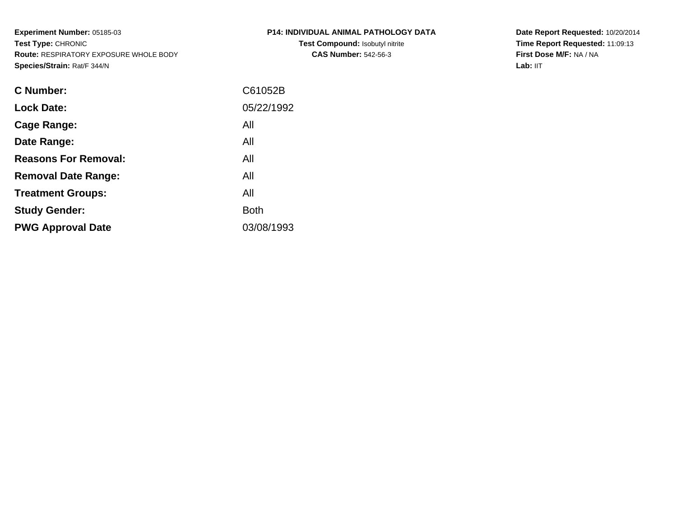**Experiment Number:** 05185-03**Test Type:** CHRONIC **Route:** RESPIRATORY EXPOSURE WHOLE BODY**Species/Strain:** Rat/F 344/N

| P14: INDIVIDUAL ANIMAL PATHOLOGY DATA |  |
|---------------------------------------|--|
| Test Comnound: Isobutyl nitrite       |  |

**Test Compound:** Isobutyl nitrite**CAS Number:** 542-56-3

**Date Report Requested:** 10/20/2014 **Time Report Requested:** 11:09:13**First Dose M/F:** NA / NA**Lab:** IIT

| C61052B     |
|-------------|
| 05/22/1992  |
| All         |
| All         |
| All         |
| All         |
| All         |
| <b>Both</b> |
| 03/08/1993  |
|             |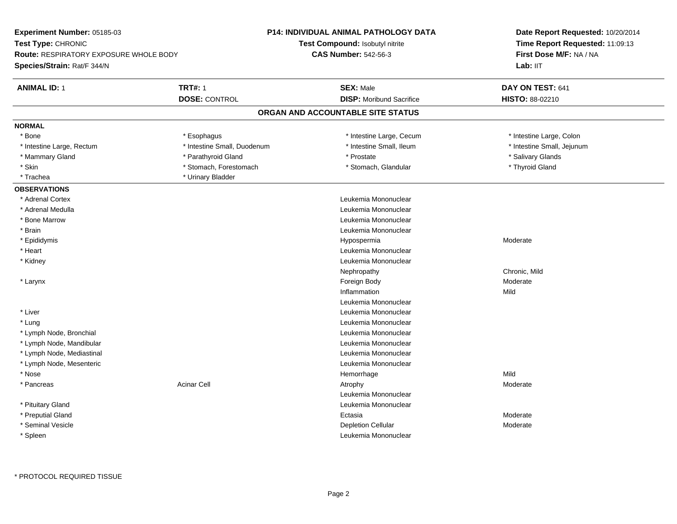| Experiment Number: 05185-03            |                             | P14: INDIVIDUAL ANIMAL PATHOLOGY DATA | Date Report Requested: 10/20/2014                          |  |
|----------------------------------------|-----------------------------|---------------------------------------|------------------------------------------------------------|--|
| Test Type: CHRONIC                     |                             | Test Compound: Isobutyl nitrite       | Time Report Requested: 11:09:13<br>First Dose M/F: NA / NA |  |
| Route: RESPIRATORY EXPOSURE WHOLE BODY |                             | <b>CAS Number: 542-56-3</b>           |                                                            |  |
| <b>Species/Strain: Rat/F 344/N</b>     |                             |                                       | Lab: IIT                                                   |  |
| <b>ANIMAL ID: 1</b>                    | <b>TRT#: 1</b>              | <b>SEX: Male</b>                      | DAY ON TEST: 641                                           |  |
|                                        | <b>DOSE: CONTROL</b>        | <b>DISP:</b> Moribund Sacrifice       | HISTO: 88-02210                                            |  |
|                                        |                             | ORGAN AND ACCOUNTABLE SITE STATUS     |                                                            |  |
| <b>NORMAL</b>                          |                             |                                       |                                                            |  |
| * Bone                                 | * Esophagus                 | * Intestine Large, Cecum              | * Intestine Large, Colon                                   |  |
| * Intestine Large, Rectum              | * Intestine Small, Duodenum | * Intestine Small, Ileum              | * Intestine Small, Jejunum                                 |  |
| * Mammary Gland                        | * Parathyroid Gland         | * Prostate                            | * Salivary Glands                                          |  |
| * Skin                                 | * Stomach, Forestomach      | * Stomach, Glandular                  | * Thyroid Gland                                            |  |
| * Trachea                              | * Urinary Bladder           |                                       |                                                            |  |
| <b>OBSERVATIONS</b>                    |                             |                                       |                                                            |  |
| * Adrenal Cortex                       |                             | Leukemia Mononuclear                  |                                                            |  |
| * Adrenal Medulla                      |                             | Leukemia Mononuclear                  |                                                            |  |
| * Bone Marrow                          |                             | Leukemia Mononuclear                  |                                                            |  |
| * Brain                                |                             | Leukemia Mononuclear                  |                                                            |  |
| * Epididymis                           |                             | Hypospermia                           | Moderate                                                   |  |
| * Heart                                |                             | Leukemia Mononuclear                  |                                                            |  |
| * Kidney                               |                             | Leukemia Mononuclear                  |                                                            |  |
|                                        |                             | Nephropathy                           | Chronic, Mild                                              |  |
| * Larynx                               |                             | Foreign Body                          | Moderate                                                   |  |
|                                        |                             | Inflammation                          | Mild                                                       |  |
|                                        |                             | Leukemia Mononuclear                  |                                                            |  |
| * Liver                                |                             | Leukemia Mononuclear                  |                                                            |  |
| * Lung                                 |                             | Leukemia Mononuclear                  |                                                            |  |
| * Lymph Node, Bronchial                |                             | Leukemia Mononuclear                  |                                                            |  |
| * Lymph Node, Mandibular               |                             | Leukemia Mononuclear                  |                                                            |  |
| * Lymph Node, Mediastinal              |                             | Leukemia Mononuclear                  |                                                            |  |
| * Lymph Node, Mesenteric               |                             | Leukemia Mononuclear                  |                                                            |  |
| * Nose                                 |                             | Hemorrhage                            | Mild                                                       |  |
| * Pancreas                             | <b>Acinar Cell</b>          | Atrophy                               | Moderate                                                   |  |
|                                        |                             | Leukemia Mononuclear                  |                                                            |  |
| * Pituitary Gland                      |                             | Leukemia Mononuclear                  |                                                            |  |
| * Preputial Gland                      |                             | Ectasia                               | Moderate                                                   |  |
| * Seminal Vesicle                      |                             | <b>Depletion Cellular</b>             | Moderate                                                   |  |
| * Spleen                               |                             | Leukemia Mononuclear                  |                                                            |  |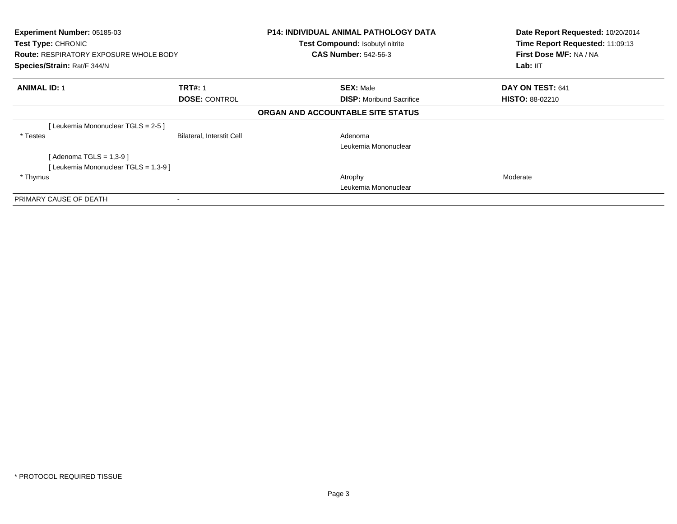| Experiment Number: 05185-03<br>Test Type: CHRONIC<br><b>Route: RESPIRATORY EXPOSURE WHOLE BODY</b><br>Species/Strain: Rat/F 344/N |                                        | <b>P14: INDIVIDUAL ANIMAL PATHOLOGY DATA</b><br>Test Compound: Isobutyl nitrite<br><b>CAS Number: 542-56-3</b> | Date Report Requested: 10/20/2014<br>Time Report Requested: 11:09:13<br>First Dose M/F: NA / NA<br>Lab: II <sub>T</sub> |
|-----------------------------------------------------------------------------------------------------------------------------------|----------------------------------------|----------------------------------------------------------------------------------------------------------------|-------------------------------------------------------------------------------------------------------------------------|
| <b>ANIMAL ID: 1</b>                                                                                                               | <b>TRT#: 1</b><br><b>DOSE: CONTROL</b> | <b>SEX: Male</b><br><b>DISP:</b> Moribund Sacrifice                                                            | DAY ON TEST: 641<br><b>HISTO: 88-02210</b>                                                                              |
|                                                                                                                                   |                                        | ORGAN AND ACCOUNTABLE SITE STATUS                                                                              |                                                                                                                         |
| [Leukemia Mononuclear TGLS = 2-5 ]                                                                                                |                                        |                                                                                                                |                                                                                                                         |
| * Testes                                                                                                                          | Bilateral, Interstit Cell              | Adenoma<br>Leukemia Mononuclear                                                                                |                                                                                                                         |
| [Adenoma TGLS = $1,3-9$ ]<br>[Leukemia Mononuclear TGLS = 1,3-9]                                                                  |                                        |                                                                                                                |                                                                                                                         |
| * Thymus                                                                                                                          |                                        | Atrophy<br>Leukemia Mononuclear                                                                                | Moderate                                                                                                                |
| PRIMARY CAUSE OF DEATH                                                                                                            |                                        |                                                                                                                |                                                                                                                         |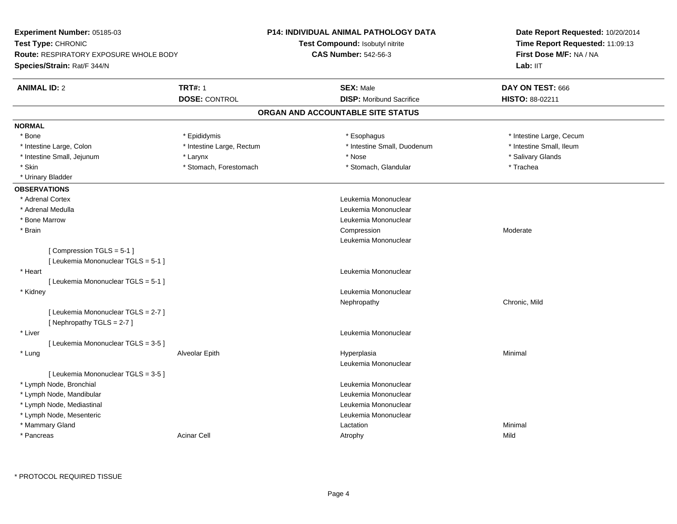| Test Type: CHRONIC<br>Test Compound: Isobutyl nitrite<br>Time Report Requested: 11:09:13<br><b>CAS Number: 542-56-3</b><br><b>Route: RESPIRATORY EXPOSURE WHOLE BODY</b><br>First Dose M/F: NA / NA<br>Lab: IIT<br>Species/Strain: Rat/F 344/N<br><b>TRT#: 1</b><br><b>ANIMAL ID: 2</b><br><b>SEX: Male</b><br>DAY ON TEST: 666<br><b>DOSE: CONTROL</b><br><b>DISP:</b> Moribund Sacrifice<br>HISTO: 88-02211<br>ORGAN AND ACCOUNTABLE SITE STATUS<br><b>NORMAL</b><br>* Bone<br>* Esophagus<br>* Intestine Large, Cecum<br>* Epididymis<br>* Intestine Small, Duodenum<br>* Intestine Small, Ileum<br>* Intestine Large, Colon<br>* Intestine Large, Rectum<br>* Intestine Small, Jejunum<br>* Nose<br>* Salivary Glands<br>* Larynx<br>* Stomach, Glandular<br>* Skin<br>* Stomach, Forestomach<br>* Trachea<br>* Urinary Bladder<br><b>OBSERVATIONS</b><br>* Adrenal Cortex<br>Leukemia Mononuclear<br>* Adrenal Medulla<br>Leukemia Mononuclear<br>Leukemia Mononuclear<br>* Bone Marrow<br>Compression<br>* Brain<br>Moderate<br>Leukemia Mononuclear<br>[Compression TGLS = 5-1]<br>[ Leukemia Mononuclear TGLS = 5-1 ]<br>* Heart<br>Leukemia Mononuclear<br>[ Leukemia Mononuclear TGLS = 5-1 ]<br>* Kidney<br>Leukemia Mononuclear<br>Chronic, Mild<br>Nephropathy<br>[ Leukemia Mononuclear TGLS = 2-7 ]<br>[Nephropathy TGLS = 2-7]<br>* Liver<br>Leukemia Mononuclear<br>[ Leukemia Mononuclear TGLS = 3-5 ]<br>* Lung<br>Alveolar Epith<br>Hyperplasia<br>Minimal<br>Leukemia Mononuclear<br>[ Leukemia Mononuclear TGLS = 3-5 ]<br>* Lymph Node, Bronchial<br>Leukemia Mononuclear<br>* Lymph Node, Mandibular<br>Leukemia Mononuclear<br>* Lymph Node, Mediastinal<br>Leukemia Mononuclear<br>* Lymph Node, Mesenteric<br>Leukemia Mononuclear<br>* Mammary Gland<br>Minimal<br>Lactation<br><b>Acinar Cell</b><br>Mild<br>* Pancreas<br>Atrophy | Experiment Number: 05185-03 | <b>P14: INDIVIDUAL ANIMAL PATHOLOGY DATA</b> | Date Report Requested: 10/20/2014 |  |
|-----------------------------------------------------------------------------------------------------------------------------------------------------------------------------------------------------------------------------------------------------------------------------------------------------------------------------------------------------------------------------------------------------------------------------------------------------------------------------------------------------------------------------------------------------------------------------------------------------------------------------------------------------------------------------------------------------------------------------------------------------------------------------------------------------------------------------------------------------------------------------------------------------------------------------------------------------------------------------------------------------------------------------------------------------------------------------------------------------------------------------------------------------------------------------------------------------------------------------------------------------------------------------------------------------------------------------------------------------------------------------------------------------------------------------------------------------------------------------------------------------------------------------------------------------------------------------------------------------------------------------------------------------------------------------------------------------------------------------------------------------------------------------------------------------------------------------------------------------------------|-----------------------------|----------------------------------------------|-----------------------------------|--|
|                                                                                                                                                                                                                                                                                                                                                                                                                                                                                                                                                                                                                                                                                                                                                                                                                                                                                                                                                                                                                                                                                                                                                                                                                                                                                                                                                                                                                                                                                                                                                                                                                                                                                                                                                                                                                                                                 |                             |                                              |                                   |  |
|                                                                                                                                                                                                                                                                                                                                                                                                                                                                                                                                                                                                                                                                                                                                                                                                                                                                                                                                                                                                                                                                                                                                                                                                                                                                                                                                                                                                                                                                                                                                                                                                                                                                                                                                                                                                                                                                 |                             |                                              |                                   |  |
|                                                                                                                                                                                                                                                                                                                                                                                                                                                                                                                                                                                                                                                                                                                                                                                                                                                                                                                                                                                                                                                                                                                                                                                                                                                                                                                                                                                                                                                                                                                                                                                                                                                                                                                                                                                                                                                                 |                             |                                              |                                   |  |
|                                                                                                                                                                                                                                                                                                                                                                                                                                                                                                                                                                                                                                                                                                                                                                                                                                                                                                                                                                                                                                                                                                                                                                                                                                                                                                                                                                                                                                                                                                                                                                                                                                                                                                                                                                                                                                                                 |                             |                                              |                                   |  |
|                                                                                                                                                                                                                                                                                                                                                                                                                                                                                                                                                                                                                                                                                                                                                                                                                                                                                                                                                                                                                                                                                                                                                                                                                                                                                                                                                                                                                                                                                                                                                                                                                                                                                                                                                                                                                                                                 |                             |                                              |                                   |  |
|                                                                                                                                                                                                                                                                                                                                                                                                                                                                                                                                                                                                                                                                                                                                                                                                                                                                                                                                                                                                                                                                                                                                                                                                                                                                                                                                                                                                                                                                                                                                                                                                                                                                                                                                                                                                                                                                 |                             |                                              |                                   |  |
|                                                                                                                                                                                                                                                                                                                                                                                                                                                                                                                                                                                                                                                                                                                                                                                                                                                                                                                                                                                                                                                                                                                                                                                                                                                                                                                                                                                                                                                                                                                                                                                                                                                                                                                                                                                                                                                                 |                             |                                              |                                   |  |
|                                                                                                                                                                                                                                                                                                                                                                                                                                                                                                                                                                                                                                                                                                                                                                                                                                                                                                                                                                                                                                                                                                                                                                                                                                                                                                                                                                                                                                                                                                                                                                                                                                                                                                                                                                                                                                                                 |                             |                                              |                                   |  |
|                                                                                                                                                                                                                                                                                                                                                                                                                                                                                                                                                                                                                                                                                                                                                                                                                                                                                                                                                                                                                                                                                                                                                                                                                                                                                                                                                                                                                                                                                                                                                                                                                                                                                                                                                                                                                                                                 |                             |                                              |                                   |  |
|                                                                                                                                                                                                                                                                                                                                                                                                                                                                                                                                                                                                                                                                                                                                                                                                                                                                                                                                                                                                                                                                                                                                                                                                                                                                                                                                                                                                                                                                                                                                                                                                                                                                                                                                                                                                                                                                 |                             |                                              |                                   |  |
|                                                                                                                                                                                                                                                                                                                                                                                                                                                                                                                                                                                                                                                                                                                                                                                                                                                                                                                                                                                                                                                                                                                                                                                                                                                                                                                                                                                                                                                                                                                                                                                                                                                                                                                                                                                                                                                                 |                             |                                              |                                   |  |
|                                                                                                                                                                                                                                                                                                                                                                                                                                                                                                                                                                                                                                                                                                                                                                                                                                                                                                                                                                                                                                                                                                                                                                                                                                                                                                                                                                                                                                                                                                                                                                                                                                                                                                                                                                                                                                                                 |                             |                                              |                                   |  |
|                                                                                                                                                                                                                                                                                                                                                                                                                                                                                                                                                                                                                                                                                                                                                                                                                                                                                                                                                                                                                                                                                                                                                                                                                                                                                                                                                                                                                                                                                                                                                                                                                                                                                                                                                                                                                                                                 |                             |                                              |                                   |  |
|                                                                                                                                                                                                                                                                                                                                                                                                                                                                                                                                                                                                                                                                                                                                                                                                                                                                                                                                                                                                                                                                                                                                                                                                                                                                                                                                                                                                                                                                                                                                                                                                                                                                                                                                                                                                                                                                 |                             |                                              |                                   |  |
|                                                                                                                                                                                                                                                                                                                                                                                                                                                                                                                                                                                                                                                                                                                                                                                                                                                                                                                                                                                                                                                                                                                                                                                                                                                                                                                                                                                                                                                                                                                                                                                                                                                                                                                                                                                                                                                                 |                             |                                              |                                   |  |
|                                                                                                                                                                                                                                                                                                                                                                                                                                                                                                                                                                                                                                                                                                                                                                                                                                                                                                                                                                                                                                                                                                                                                                                                                                                                                                                                                                                                                                                                                                                                                                                                                                                                                                                                                                                                                                                                 |                             |                                              |                                   |  |
|                                                                                                                                                                                                                                                                                                                                                                                                                                                                                                                                                                                                                                                                                                                                                                                                                                                                                                                                                                                                                                                                                                                                                                                                                                                                                                                                                                                                                                                                                                                                                                                                                                                                                                                                                                                                                                                                 |                             |                                              |                                   |  |
|                                                                                                                                                                                                                                                                                                                                                                                                                                                                                                                                                                                                                                                                                                                                                                                                                                                                                                                                                                                                                                                                                                                                                                                                                                                                                                                                                                                                                                                                                                                                                                                                                                                                                                                                                                                                                                                                 |                             |                                              |                                   |  |
|                                                                                                                                                                                                                                                                                                                                                                                                                                                                                                                                                                                                                                                                                                                                                                                                                                                                                                                                                                                                                                                                                                                                                                                                                                                                                                                                                                                                                                                                                                                                                                                                                                                                                                                                                                                                                                                                 |                             |                                              |                                   |  |
|                                                                                                                                                                                                                                                                                                                                                                                                                                                                                                                                                                                                                                                                                                                                                                                                                                                                                                                                                                                                                                                                                                                                                                                                                                                                                                                                                                                                                                                                                                                                                                                                                                                                                                                                                                                                                                                                 |                             |                                              |                                   |  |
|                                                                                                                                                                                                                                                                                                                                                                                                                                                                                                                                                                                                                                                                                                                                                                                                                                                                                                                                                                                                                                                                                                                                                                                                                                                                                                                                                                                                                                                                                                                                                                                                                                                                                                                                                                                                                                                                 |                             |                                              |                                   |  |
|                                                                                                                                                                                                                                                                                                                                                                                                                                                                                                                                                                                                                                                                                                                                                                                                                                                                                                                                                                                                                                                                                                                                                                                                                                                                                                                                                                                                                                                                                                                                                                                                                                                                                                                                                                                                                                                                 |                             |                                              |                                   |  |
|                                                                                                                                                                                                                                                                                                                                                                                                                                                                                                                                                                                                                                                                                                                                                                                                                                                                                                                                                                                                                                                                                                                                                                                                                                                                                                                                                                                                                                                                                                                                                                                                                                                                                                                                                                                                                                                                 |                             |                                              |                                   |  |
|                                                                                                                                                                                                                                                                                                                                                                                                                                                                                                                                                                                                                                                                                                                                                                                                                                                                                                                                                                                                                                                                                                                                                                                                                                                                                                                                                                                                                                                                                                                                                                                                                                                                                                                                                                                                                                                                 |                             |                                              |                                   |  |
|                                                                                                                                                                                                                                                                                                                                                                                                                                                                                                                                                                                                                                                                                                                                                                                                                                                                                                                                                                                                                                                                                                                                                                                                                                                                                                                                                                                                                                                                                                                                                                                                                                                                                                                                                                                                                                                                 |                             |                                              |                                   |  |
|                                                                                                                                                                                                                                                                                                                                                                                                                                                                                                                                                                                                                                                                                                                                                                                                                                                                                                                                                                                                                                                                                                                                                                                                                                                                                                                                                                                                                                                                                                                                                                                                                                                                                                                                                                                                                                                                 |                             |                                              |                                   |  |
|                                                                                                                                                                                                                                                                                                                                                                                                                                                                                                                                                                                                                                                                                                                                                                                                                                                                                                                                                                                                                                                                                                                                                                                                                                                                                                                                                                                                                                                                                                                                                                                                                                                                                                                                                                                                                                                                 |                             |                                              |                                   |  |
|                                                                                                                                                                                                                                                                                                                                                                                                                                                                                                                                                                                                                                                                                                                                                                                                                                                                                                                                                                                                                                                                                                                                                                                                                                                                                                                                                                                                                                                                                                                                                                                                                                                                                                                                                                                                                                                                 |                             |                                              |                                   |  |
|                                                                                                                                                                                                                                                                                                                                                                                                                                                                                                                                                                                                                                                                                                                                                                                                                                                                                                                                                                                                                                                                                                                                                                                                                                                                                                                                                                                                                                                                                                                                                                                                                                                                                                                                                                                                                                                                 |                             |                                              |                                   |  |
|                                                                                                                                                                                                                                                                                                                                                                                                                                                                                                                                                                                                                                                                                                                                                                                                                                                                                                                                                                                                                                                                                                                                                                                                                                                                                                                                                                                                                                                                                                                                                                                                                                                                                                                                                                                                                                                                 |                             |                                              |                                   |  |
|                                                                                                                                                                                                                                                                                                                                                                                                                                                                                                                                                                                                                                                                                                                                                                                                                                                                                                                                                                                                                                                                                                                                                                                                                                                                                                                                                                                                                                                                                                                                                                                                                                                                                                                                                                                                                                                                 |                             |                                              |                                   |  |
|                                                                                                                                                                                                                                                                                                                                                                                                                                                                                                                                                                                                                                                                                                                                                                                                                                                                                                                                                                                                                                                                                                                                                                                                                                                                                                                                                                                                                                                                                                                                                                                                                                                                                                                                                                                                                                                                 |                             |                                              |                                   |  |
|                                                                                                                                                                                                                                                                                                                                                                                                                                                                                                                                                                                                                                                                                                                                                                                                                                                                                                                                                                                                                                                                                                                                                                                                                                                                                                                                                                                                                                                                                                                                                                                                                                                                                                                                                                                                                                                                 |                             |                                              |                                   |  |
|                                                                                                                                                                                                                                                                                                                                                                                                                                                                                                                                                                                                                                                                                                                                                                                                                                                                                                                                                                                                                                                                                                                                                                                                                                                                                                                                                                                                                                                                                                                                                                                                                                                                                                                                                                                                                                                                 |                             |                                              |                                   |  |
|                                                                                                                                                                                                                                                                                                                                                                                                                                                                                                                                                                                                                                                                                                                                                                                                                                                                                                                                                                                                                                                                                                                                                                                                                                                                                                                                                                                                                                                                                                                                                                                                                                                                                                                                                                                                                                                                 |                             |                                              |                                   |  |
|                                                                                                                                                                                                                                                                                                                                                                                                                                                                                                                                                                                                                                                                                                                                                                                                                                                                                                                                                                                                                                                                                                                                                                                                                                                                                                                                                                                                                                                                                                                                                                                                                                                                                                                                                                                                                                                                 |                             |                                              |                                   |  |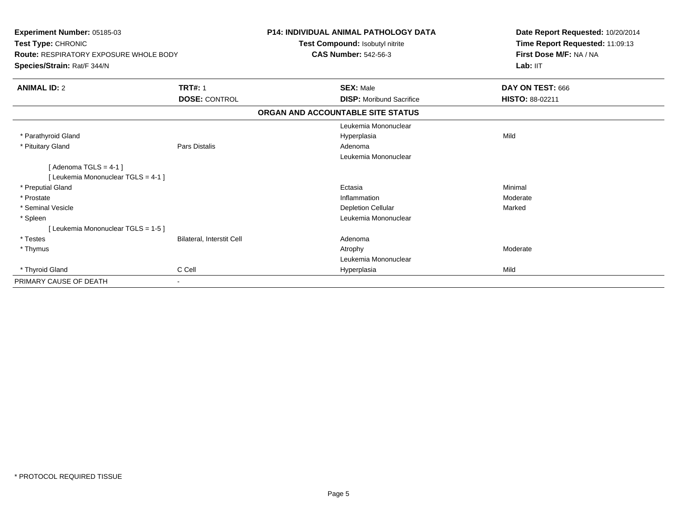| <b>Experiment Number: 05185-03</b><br>Test Type: CHRONIC<br><b>Route: RESPIRATORY EXPOSURE WHOLE BODY</b><br>Species/Strain: Rat/F 344/N |                           | <b>P14: INDIVIDUAL ANIMAL PATHOLOGY DATA</b><br>Test Compound: Isobutyl nitrite<br><b>CAS Number: 542-56-3</b> | Date Report Requested: 10/20/2014<br>Time Report Requested: 11:09:13<br>First Dose M/F: NA / NA<br>Lab: $III$ |
|------------------------------------------------------------------------------------------------------------------------------------------|---------------------------|----------------------------------------------------------------------------------------------------------------|---------------------------------------------------------------------------------------------------------------|
| <b>ANIMAL ID: 2</b>                                                                                                                      | <b>TRT#: 1</b>            | <b>SEX: Male</b>                                                                                               | DAY ON TEST: 666                                                                                              |
|                                                                                                                                          | <b>DOSE: CONTROL</b>      | <b>DISP:</b> Moribund Sacrifice                                                                                | <b>HISTO: 88-02211</b>                                                                                        |
|                                                                                                                                          |                           | ORGAN AND ACCOUNTABLE SITE STATUS                                                                              |                                                                                                               |
|                                                                                                                                          |                           | Leukemia Mononuclear                                                                                           |                                                                                                               |
| * Parathyroid Gland                                                                                                                      |                           | Hyperplasia                                                                                                    | Mild                                                                                                          |
| * Pituitary Gland                                                                                                                        | Pars Distalis             | Adenoma                                                                                                        |                                                                                                               |
|                                                                                                                                          |                           | Leukemia Mononuclear                                                                                           |                                                                                                               |
| [Adenoma TGLS = $4-1$ ]                                                                                                                  |                           |                                                                                                                |                                                                                                               |
| [ Leukemia Mononuclear TGLS = 4-1 ]                                                                                                      |                           |                                                                                                                |                                                                                                               |
| * Preputial Gland                                                                                                                        |                           | Ectasia                                                                                                        | Minimal                                                                                                       |
| * Prostate                                                                                                                               |                           | Inflammation                                                                                                   | Moderate                                                                                                      |
| * Seminal Vesicle                                                                                                                        |                           | <b>Depletion Cellular</b>                                                                                      | Marked                                                                                                        |
| * Spleen                                                                                                                                 |                           | Leukemia Mononuclear                                                                                           |                                                                                                               |
| [ Leukemia Mononuclear TGLS = 1-5 ]                                                                                                      |                           |                                                                                                                |                                                                                                               |
| * Testes                                                                                                                                 | Bilateral, Interstit Cell | Adenoma                                                                                                        |                                                                                                               |
| * Thymus                                                                                                                                 |                           | Atrophy                                                                                                        | Moderate                                                                                                      |
|                                                                                                                                          |                           | Leukemia Mononuclear                                                                                           |                                                                                                               |
| * Thyroid Gland                                                                                                                          | C Cell                    | Hyperplasia                                                                                                    | Mild                                                                                                          |
| PRIMARY CAUSE OF DEATH                                                                                                                   | $\blacksquare$            |                                                                                                                |                                                                                                               |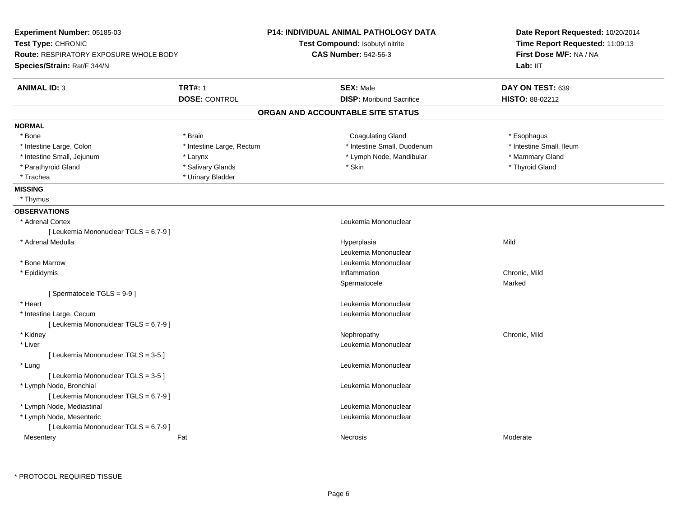| Experiment Number: 05185-03                   |                           | P14: INDIVIDUAL ANIMAL PATHOLOGY DATA | Date Report Requested: 10/20/2014 |  |
|-----------------------------------------------|---------------------------|---------------------------------------|-----------------------------------|--|
| Test Type: CHRONIC                            |                           | Test Compound: Isobutyl nitrite       | Time Report Requested: 11:09:13   |  |
| <b>Route: RESPIRATORY EXPOSURE WHOLE BODY</b> |                           | <b>CAS Number: 542-56-3</b>           | First Dose M/F: NA / NA           |  |
| Species/Strain: Rat/F 344/N                   |                           |                                       | Lab: IIT                          |  |
| <b>ANIMAL ID: 3</b>                           | <b>TRT#: 1</b>            | <b>SEX: Male</b>                      | DAY ON TEST: 639                  |  |
|                                               | <b>DOSE: CONTROL</b>      | <b>DISP:</b> Moribund Sacrifice       | <b>HISTO: 88-02212</b>            |  |
|                                               |                           | ORGAN AND ACCOUNTABLE SITE STATUS     |                                   |  |
| <b>NORMAL</b>                                 |                           |                                       |                                   |  |
| * Bone                                        | * Brain                   | <b>Coagulating Gland</b>              | * Esophagus                       |  |
| * Intestine Large, Colon                      | * Intestine Large, Rectum | * Intestine Small, Duodenum           | * Intestine Small, Ileum          |  |
| * Intestine Small, Jejunum                    | * Larynx                  | * Lymph Node, Mandibular              | * Mammary Gland                   |  |
| * Parathyroid Gland                           | * Salivary Glands         | * Skin                                | * Thyroid Gland                   |  |
| * Trachea                                     | * Urinary Bladder         |                                       |                                   |  |
| <b>MISSING</b>                                |                           |                                       |                                   |  |
| * Thymus                                      |                           |                                       |                                   |  |
| <b>OBSERVATIONS</b>                           |                           |                                       |                                   |  |
| * Adrenal Cortex                              |                           | Leukemia Mononuclear                  |                                   |  |
| [ Leukemia Mononuclear TGLS = 6,7-9 ]         |                           |                                       |                                   |  |
| * Adrenal Medulla                             |                           | Hyperplasia                           | Mild                              |  |
|                                               |                           | Leukemia Mononuclear                  |                                   |  |
| * Bone Marrow                                 |                           | Leukemia Mononuclear                  |                                   |  |
| * Epididymis                                  |                           | Inflammation                          | Chronic, Mild                     |  |
|                                               |                           | Spermatocele                          | Marked                            |  |
| [Spermatocele TGLS = 9-9]                     |                           |                                       |                                   |  |
| * Heart                                       |                           | Leukemia Mononuclear                  |                                   |  |
| * Intestine Large, Cecum                      |                           | Leukemia Mononuclear                  |                                   |  |
| [ Leukemia Mononuclear TGLS = 6,7-9 ]         |                           |                                       |                                   |  |
| * Kidney                                      |                           | Nephropathy                           | Chronic, Mild                     |  |
| * Liver                                       |                           | Leukemia Mononuclear                  |                                   |  |
| [ Leukemia Mononuclear TGLS = 3-5 ]           |                           |                                       |                                   |  |
| * Lung                                        |                           | Leukemia Mononuclear                  |                                   |  |
| [ Leukemia Mononuclear TGLS = 3-5 ]           |                           |                                       |                                   |  |
| * Lymph Node, Bronchial                       |                           | Leukemia Mononuclear                  |                                   |  |
| [ Leukemia Mononuclear TGLS = 6,7-9 ]         |                           |                                       |                                   |  |
| * Lymph Node, Mediastinal                     |                           | Leukemia Mononuclear                  |                                   |  |
| * Lymph Node, Mesenteric                      |                           | Leukemia Mononuclear                  |                                   |  |
| [ Leukemia Mononuclear TGLS = 6,7-9 ]         |                           |                                       |                                   |  |
|                                               |                           |                                       |                                   |  |
| Mesentery                                     | Fat                       | Necrosis                              | Moderate                          |  |
|                                               |                           |                                       |                                   |  |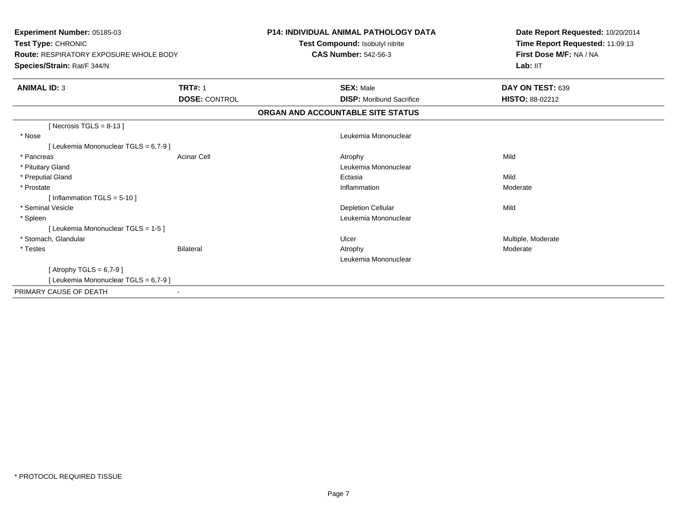| <b>Experiment Number: 05185-03</b><br>Test Type: CHRONIC<br>Route: RESPIRATORY EXPOSURE WHOLE BODY<br>Species/Strain: Rat/F 344/N |                      | <b>P14: INDIVIDUAL ANIMAL PATHOLOGY DATA</b><br>Test Compound: Isobutyl nitrite<br><b>CAS Number: 542-56-3</b> | Date Report Requested: 10/20/2014<br>Time Report Requested: 11:09:13<br>First Dose M/F: NA / NA<br>Lab: IIT |
|-----------------------------------------------------------------------------------------------------------------------------------|----------------------|----------------------------------------------------------------------------------------------------------------|-------------------------------------------------------------------------------------------------------------|
| <b>ANIMAL ID: 3</b>                                                                                                               | <b>TRT#: 1</b>       | <b>SEX: Male</b>                                                                                               | DAY ON TEST: 639                                                                                            |
|                                                                                                                                   | <b>DOSE: CONTROL</b> | <b>DISP:</b> Moribund Sacrifice                                                                                | <b>HISTO: 88-02212</b>                                                                                      |
|                                                                                                                                   |                      | ORGAN AND ACCOUNTABLE SITE STATUS                                                                              |                                                                                                             |
| [ Necrosis TGLS = $8-13$ ]                                                                                                        |                      |                                                                                                                |                                                                                                             |
| * Nose                                                                                                                            |                      | Leukemia Mononuclear                                                                                           |                                                                                                             |
| [ Leukemia Mononuclear TGLS = 6,7-9 ]                                                                                             |                      |                                                                                                                |                                                                                                             |
| * Pancreas                                                                                                                        | <b>Acinar Cell</b>   | Atrophy                                                                                                        | Mild                                                                                                        |
| * Pituitary Gland                                                                                                                 |                      | Leukemia Mononuclear                                                                                           |                                                                                                             |
| * Preputial Gland                                                                                                                 |                      | Ectasia                                                                                                        | Mild                                                                                                        |
| * Prostate                                                                                                                        |                      | Inflammation                                                                                                   | Moderate                                                                                                    |
| [Inflammation TGLS = $5-10$ ]                                                                                                     |                      |                                                                                                                |                                                                                                             |
| * Seminal Vesicle                                                                                                                 |                      | <b>Depletion Cellular</b>                                                                                      | Mild                                                                                                        |
| * Spleen                                                                                                                          |                      | Leukemia Mononuclear                                                                                           |                                                                                                             |
| [Leukemia Mononuclear TGLS = 1-5]                                                                                                 |                      |                                                                                                                |                                                                                                             |
| * Stomach, Glandular                                                                                                              |                      | Ulcer                                                                                                          | Multiple, Moderate                                                                                          |
| * Testes                                                                                                                          | Bilateral            | Atrophy                                                                                                        | Moderate                                                                                                    |
|                                                                                                                                   |                      | Leukemia Mononuclear                                                                                           |                                                                                                             |
| [Atrophy TGLS = $6,7-9$ ]                                                                                                         |                      |                                                                                                                |                                                                                                             |
| [ Leukemia Mononuclear TGLS = 6,7-9 ]                                                                                             |                      |                                                                                                                |                                                                                                             |
| PRIMARY CAUSE OF DEATH                                                                                                            |                      |                                                                                                                |                                                                                                             |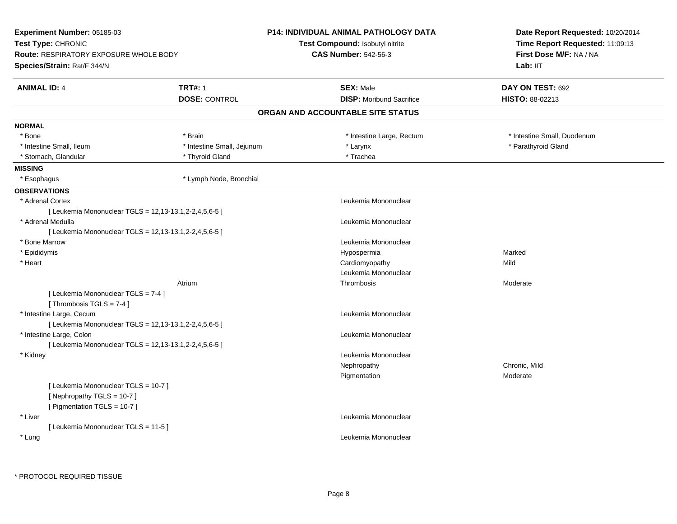| <b>Experiment Number: 05185-03</b>                     |                            | <b>P14: INDIVIDUAL ANIMAL PATHOLOGY DATA</b> | Date Report Requested: 10/20/2014 |
|--------------------------------------------------------|----------------------------|----------------------------------------------|-----------------------------------|
| <b>Test Type: CHRONIC</b>                              |                            | <b>Test Compound: Isobutyl nitrite</b>       | Time Report Requested: 11:09:13   |
| <b>Route: RESPIRATORY EXPOSURE WHOLE BODY</b>          |                            | <b>CAS Number: 542-56-3</b>                  | First Dose M/F: NA / NA           |
| Species/Strain: Rat/F 344/N                            |                            |                                              | Lab: IIT                          |
| <b>ANIMAL ID: 4</b>                                    | <b>TRT#: 1</b>             | <b>SEX: Male</b>                             | DAY ON TEST: 692                  |
|                                                        | <b>DOSE: CONTROL</b>       | <b>DISP:</b> Moribund Sacrifice              | HISTO: 88-02213                   |
|                                                        |                            | ORGAN AND ACCOUNTABLE SITE STATUS            |                                   |
| <b>NORMAL</b>                                          |                            |                                              |                                   |
| * Bone                                                 | * Brain                    | * Intestine Large, Rectum                    | * Intestine Small, Duodenum       |
| * Intestine Small, Ileum                               | * Intestine Small, Jejunum | * Larynx                                     | * Parathyroid Gland               |
| * Stomach, Glandular                                   | * Thyroid Gland            | * Trachea                                    |                                   |
| <b>MISSING</b>                                         |                            |                                              |                                   |
| * Esophagus                                            | * Lymph Node, Bronchial    |                                              |                                   |
| <b>OBSERVATIONS</b>                                    |                            |                                              |                                   |
| * Adrenal Cortex                                       |                            | Leukemia Mononuclear                         |                                   |
| [ Leukemia Mononuclear TGLS = 12,13-13,1,2-2,4,5,6-5 ] |                            |                                              |                                   |
| * Adrenal Medulla                                      |                            | Leukemia Mononuclear                         |                                   |
| [ Leukemia Mononuclear TGLS = 12,13-13,1,2-2,4,5,6-5 ] |                            |                                              |                                   |
| * Bone Marrow                                          |                            | Leukemia Mononuclear                         |                                   |
| * Epididymis                                           |                            | Hypospermia                                  | Marked                            |
| * Heart                                                |                            | Cardiomyopathy                               | Mild                              |
|                                                        |                            | Leukemia Mononuclear                         |                                   |
|                                                        | Atrium                     | Thrombosis                                   | Moderate                          |
| [ Leukemia Mononuclear TGLS = 7-4 ]                    |                            |                                              |                                   |
| [Thrombosis TGLS = 7-4]                                |                            |                                              |                                   |
| * Intestine Large, Cecum                               |                            | Leukemia Mononuclear                         |                                   |
| [ Leukemia Mononuclear TGLS = 12,13-13,1,2-2,4,5,6-5 ] |                            |                                              |                                   |
| * Intestine Large, Colon                               |                            | Leukemia Mononuclear                         |                                   |
| [ Leukemia Mononuclear TGLS = 12,13-13,1,2-2,4,5,6-5 ] |                            |                                              |                                   |
| * Kidney                                               |                            | Leukemia Mononuclear                         |                                   |
|                                                        |                            | Nephropathy                                  | Chronic, Mild                     |
|                                                        |                            | Pigmentation                                 | Moderate                          |
| [ Leukemia Mononuclear TGLS = 10-7 ]                   |                            |                                              |                                   |
| [Nephropathy TGLS = 10-7]                              |                            |                                              |                                   |
| [ Pigmentation TGLS = 10-7 ]                           |                            |                                              |                                   |
| * Liver                                                |                            | Leukemia Mononuclear                         |                                   |
| [ Leukemia Mononuclear TGLS = 11-5 ]                   |                            |                                              |                                   |
| * Lung                                                 |                            | Leukemia Mononuclear                         |                                   |
|                                                        |                            |                                              |                                   |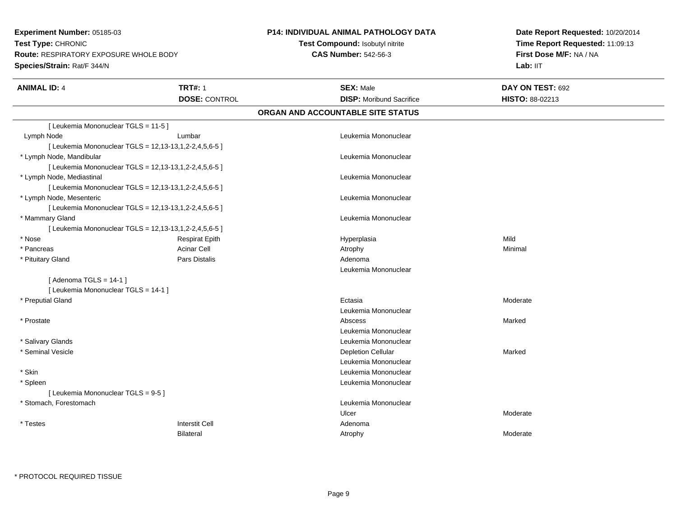**Experiment Number:** 05185-03**Test Type:** CHRONIC **Route:** RESPIRATORY EXPOSURE WHOLE BODY**Species/Strain:** Rat/F 344/N

## **P14: INDIVIDUAL ANIMAL PATHOLOGY DATA**

**Test Compound:** Isobutyl nitrite**CAS Number:** 542-56-3

**Date Report Requested:** 10/20/2014**Time Report Requested:** 11:09:13**First Dose M/F:** NA / NA**Lab:** IIT

| <b>ANIMAL ID: 4</b>                  | <b>TRT#: 1</b>                                         | <b>SEX: Male</b>                  | DAY ON TEST: 692 |  |
|--------------------------------------|--------------------------------------------------------|-----------------------------------|------------------|--|
|                                      | <b>DOSE: CONTROL</b>                                   | <b>DISP: Moribund Sacrifice</b>   | HISTO: 88-02213  |  |
|                                      |                                                        | ORGAN AND ACCOUNTABLE SITE STATUS |                  |  |
| [ Leukemia Mononuclear TGLS = 11-5 ] |                                                        |                                   |                  |  |
| Lymph Node                           | Lumbar                                                 | Leukemia Mononuclear              |                  |  |
|                                      | [ Leukemia Mononuclear TGLS = 12,13-13,1,2-2,4,5,6-5 ] |                                   |                  |  |
| * Lymph Node, Mandibular             |                                                        | Leukemia Mononuclear              |                  |  |
|                                      | [ Leukemia Mononuclear TGLS = 12,13-13,1,2-2,4,5,6-5 ] |                                   |                  |  |
| * Lymph Node, Mediastinal            |                                                        | Leukemia Mononuclear              |                  |  |
|                                      | [ Leukemia Mononuclear TGLS = 12,13-13,1,2-2,4,5,6-5 ] |                                   |                  |  |
| * Lymph Node, Mesenteric             |                                                        | Leukemia Mononuclear              |                  |  |
|                                      | [ Leukemia Mononuclear TGLS = 12,13-13,1,2-2,4,5,6-5 ] |                                   |                  |  |
| * Mammary Gland                      |                                                        | Leukemia Mononuclear              |                  |  |
|                                      | [ Leukemia Mononuclear TGLS = 12,13-13,1,2-2,4,5,6-5 ] |                                   |                  |  |
| * Nose                               | <b>Respirat Epith</b>                                  | Hyperplasia                       | Mild             |  |
| * Pancreas                           | <b>Acinar Cell</b>                                     | Atrophy                           | Minimal          |  |
| * Pituitary Gland                    | Pars Distalis                                          | Adenoma                           |                  |  |
|                                      |                                                        | Leukemia Mononuclear              |                  |  |
| [Adenoma TGLS = $14-1$ ]             |                                                        |                                   |                  |  |
| [ Leukemia Mononuclear TGLS = 14-1 ] |                                                        |                                   |                  |  |
| * Preputial Gland                    |                                                        | Ectasia                           | Moderate         |  |
|                                      |                                                        | Leukemia Mononuclear              |                  |  |
| * Prostate                           |                                                        | Abscess                           | Marked           |  |
|                                      |                                                        | Leukemia Mononuclear              |                  |  |
| * Salivary Glands                    |                                                        | Leukemia Mononuclear              |                  |  |
| * Seminal Vesicle                    |                                                        | <b>Depletion Cellular</b>         | Marked           |  |
|                                      |                                                        | Leukemia Mononuclear              |                  |  |
| * Skin                               |                                                        | Leukemia Mononuclear              |                  |  |
| * Spleen                             |                                                        | Leukemia Mononuclear              |                  |  |
| [ Leukemia Mononuclear TGLS = 9-5 ]  |                                                        |                                   |                  |  |
| * Stomach, Forestomach               |                                                        | Leukemia Mononuclear              |                  |  |
|                                      |                                                        | Ulcer                             | Moderate         |  |
| * Testes                             | <b>Interstit Cell</b>                                  | Adenoma                           |                  |  |
|                                      | <b>Bilateral</b>                                       | Atrophy                           | Moderate         |  |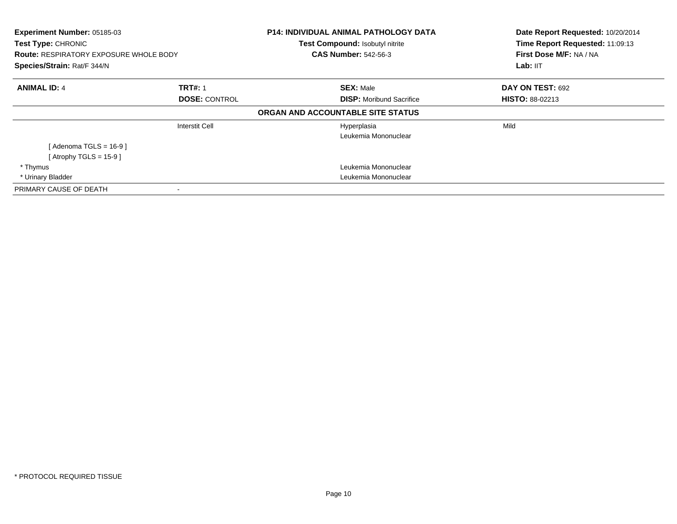| Experiment Number: 05185-03<br><b>Test Type: CHRONIC</b><br><b>Route: RESPIRATORY EXPOSURE WHOLE BODY</b><br>Species/Strain: Rat/F 344/N |                      | <b>P14: INDIVIDUAL ANIMAL PATHOLOGY DATA</b><br>Test Compound: Isobutyl nitrite<br><b>CAS Number: 542-56-3</b> | Date Report Requested: 10/20/2014<br>Time Report Requested: 11:09:13<br>First Dose M/F: NA / NA<br>Lab: IIT |
|------------------------------------------------------------------------------------------------------------------------------------------|----------------------|----------------------------------------------------------------------------------------------------------------|-------------------------------------------------------------------------------------------------------------|
| <b>ANIMAL ID: 4</b>                                                                                                                      | <b>TRT#: 1</b>       | <b>SEX: Male</b>                                                                                               | DAY ON TEST: 692                                                                                            |
|                                                                                                                                          | <b>DOSE: CONTROL</b> | <b>DISP:</b> Moribund Sacrifice                                                                                | <b>HISTO: 88-02213</b>                                                                                      |
|                                                                                                                                          |                      | ORGAN AND ACCOUNTABLE SITE STATUS                                                                              |                                                                                                             |
|                                                                                                                                          | Interstit Cell       | Hyperplasia                                                                                                    | Mild                                                                                                        |
|                                                                                                                                          |                      | Leukemia Mononuclear                                                                                           |                                                                                                             |
| [Adenoma TGLS = $16-9$ ]                                                                                                                 |                      |                                                                                                                |                                                                                                             |
| [Atrophy TGLS = $15-9$ ]                                                                                                                 |                      |                                                                                                                |                                                                                                             |
| * Thymus                                                                                                                                 |                      | Leukemia Mononuclear                                                                                           |                                                                                                             |
| * Urinary Bladder                                                                                                                        |                      | Leukemia Mononuclear                                                                                           |                                                                                                             |
| PRIMARY CAUSE OF DEATH                                                                                                                   |                      |                                                                                                                |                                                                                                             |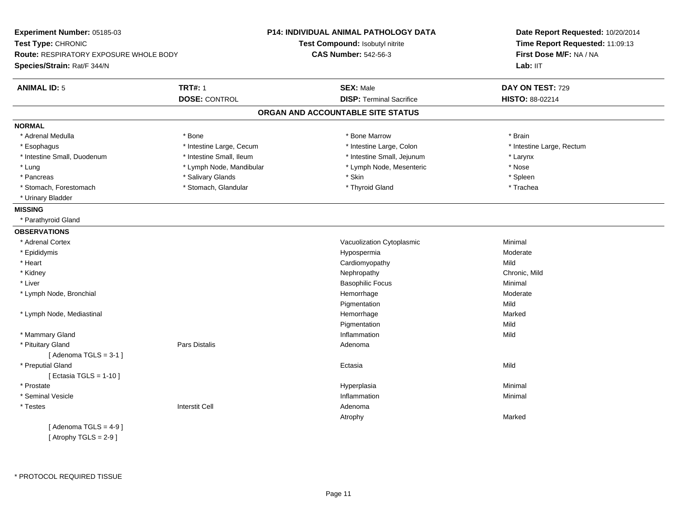|                                               |                                 | Date Report Requested: 10/20/2014                                                                                                                                                                                                                           |  |
|-----------------------------------------------|---------------------------------|-------------------------------------------------------------------------------------------------------------------------------------------------------------------------------------------------------------------------------------------------------------|--|
|                                               |                                 | Time Report Requested: 11:09:13                                                                                                                                                                                                                             |  |
| <b>Route: RESPIRATORY EXPOSURE WHOLE BODY</b> | <b>CAS Number: 542-56-3</b>     | First Dose M/F: NA / NA<br>Lab: II <sub>T</sub>                                                                                                                                                                                                             |  |
|                                               |                                 |                                                                                                                                                                                                                                                             |  |
| <b>TRT#: 1</b>                                | <b>SEX: Male</b>                | DAY ON TEST: 729                                                                                                                                                                                                                                            |  |
| <b>DOSE: CONTROL</b>                          | <b>DISP: Terminal Sacrifice</b> | HISTO: 88-02214                                                                                                                                                                                                                                             |  |
|                                               |                                 |                                                                                                                                                                                                                                                             |  |
|                                               |                                 |                                                                                                                                                                                                                                                             |  |
| $*$ Bone                                      | * Bone Marrow                   | * Brain                                                                                                                                                                                                                                                     |  |
| * Intestine Large, Cecum                      | * Intestine Large, Colon        | * Intestine Large, Rectum                                                                                                                                                                                                                                   |  |
| * Intestine Small, Ileum                      | * Intestine Small, Jejunum      | * Larynx                                                                                                                                                                                                                                                    |  |
| * Lymph Node, Mandibular                      | * Lymph Node, Mesenteric        | $*$ Nose                                                                                                                                                                                                                                                    |  |
| * Salivary Glands                             | * Skin                          | * Spleen                                                                                                                                                                                                                                                    |  |
| * Stomach, Glandular                          | * Thyroid Gland                 | * Trachea                                                                                                                                                                                                                                                   |  |
|                                               |                                 |                                                                                                                                                                                                                                                             |  |
|                                               |                                 |                                                                                                                                                                                                                                                             |  |
|                                               |                                 |                                                                                                                                                                                                                                                             |  |
|                                               |                                 |                                                                                                                                                                                                                                                             |  |
|                                               |                                 | Minimal                                                                                                                                                                                                                                                     |  |
|                                               |                                 | Moderate                                                                                                                                                                                                                                                    |  |
|                                               |                                 | Mild                                                                                                                                                                                                                                                        |  |
|                                               |                                 | Chronic, Mild                                                                                                                                                                                                                                               |  |
|                                               |                                 | Minimal                                                                                                                                                                                                                                                     |  |
|                                               | Hemorrhage                      | Moderate                                                                                                                                                                                                                                                    |  |
|                                               | Pigmentation                    | Mild                                                                                                                                                                                                                                                        |  |
|                                               | Hemorrhage                      | Marked                                                                                                                                                                                                                                                      |  |
|                                               |                                 | Mild                                                                                                                                                                                                                                                        |  |
|                                               | Inflammation                    | Mild                                                                                                                                                                                                                                                        |  |
| Pars Distalis                                 | Adenoma                         |                                                                                                                                                                                                                                                             |  |
|                                               |                                 |                                                                                                                                                                                                                                                             |  |
|                                               | Ectasia                         | Mild                                                                                                                                                                                                                                                        |  |
|                                               |                                 |                                                                                                                                                                                                                                                             |  |
|                                               |                                 | Minimal                                                                                                                                                                                                                                                     |  |
|                                               | Inflammation                    | Minimal                                                                                                                                                                                                                                                     |  |
| <b>Interstit Cell</b>                         | Adenoma                         |                                                                                                                                                                                                                                                             |  |
|                                               | Atrophy                         | Marked                                                                                                                                                                                                                                                      |  |
|                                               |                                 |                                                                                                                                                                                                                                                             |  |
|                                               |                                 |                                                                                                                                                                                                                                                             |  |
|                                               |                                 | <b>P14: INDIVIDUAL ANIMAL PATHOLOGY DATA</b><br>Test Compound: Isobutyl nitrite<br>ORGAN AND ACCOUNTABLE SITE STATUS<br>Vacuolization Cytoplasmic<br>Hypospermia<br>Cardiomyopathy<br>Nephropathy<br><b>Basophilic Focus</b><br>Pigmentation<br>Hyperplasia |  |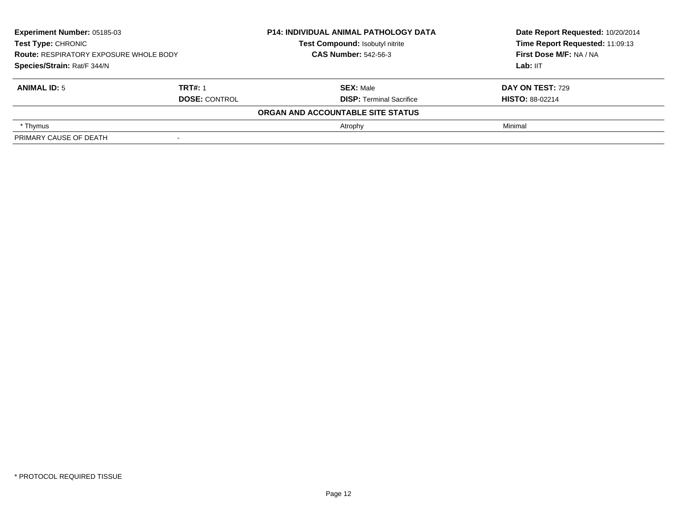| Experiment Number: 05185-03<br>Test Type: CHRONIC<br><b>Route: RESPIRATORY EXPOSURE WHOLE BODY</b><br>Species/Strain: Rat/F 344/N |                      | <b>P14: INDIVIDUAL ANIMAL PATHOLOGY DATA</b> | Date Report Requested: 10/20/2014 |
|-----------------------------------------------------------------------------------------------------------------------------------|----------------------|----------------------------------------------|-----------------------------------|
|                                                                                                                                   |                      | Test Compound: Isobutyl nitrite              | Time Report Requested: 11:09:13   |
|                                                                                                                                   |                      | <b>CAS Number: 542-56-3</b>                  | First Dose M/F: NA / NA           |
|                                                                                                                                   |                      |                                              | Lab: IIT                          |
| <b>ANIMAL ID: 5</b>                                                                                                               | <b>TRT#: 1</b>       | <b>SEX: Male</b>                             | DAY ON TEST: 729                  |
|                                                                                                                                   | <b>DOSE: CONTROL</b> | <b>DISP: Terminal Sacrifice</b>              | <b>HISTO: 88-02214</b>            |
|                                                                                                                                   |                      | ORGAN AND ACCOUNTABLE SITE STATUS            |                                   |
| * Thymus                                                                                                                          |                      | Atrophy                                      | Minimal                           |
| PRIMARY CAUSE OF DEATH                                                                                                            |                      |                                              |                                   |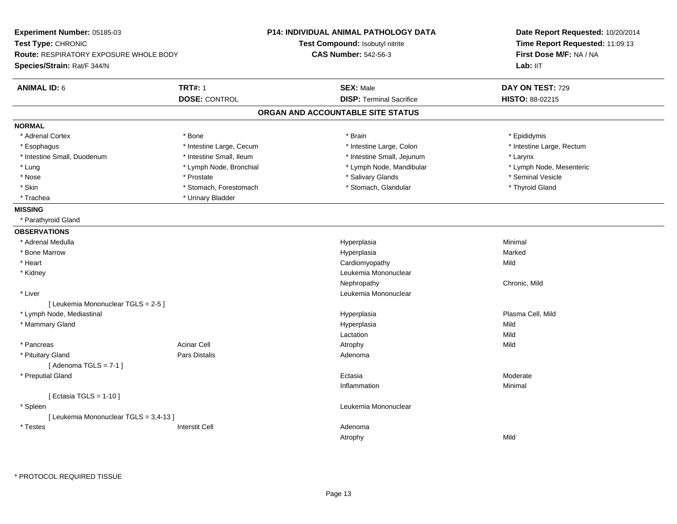| Experiment Number: 05185-03<br>Test Type: CHRONIC<br><b>Route: RESPIRATORY EXPOSURE WHOLE BODY</b><br>Species/Strain: Rat/F 344/N |                          | P14: INDIVIDUAL ANIMAL PATHOLOGY DATA<br>Test Compound: Isobutyl nitrite<br><b>CAS Number: 542-56-3</b> | Date Report Requested: 10/20/2014<br>Time Report Requested: 11:09:13<br>First Dose M/F: NA / NA<br>Lab: II <sub>T</sub> |
|-----------------------------------------------------------------------------------------------------------------------------------|--------------------------|---------------------------------------------------------------------------------------------------------|-------------------------------------------------------------------------------------------------------------------------|
| <b>ANIMAL ID: 6</b>                                                                                                               | <b>TRT#: 1</b>           | <b>SEX: Male</b>                                                                                        | DAY ON TEST: 729                                                                                                        |
|                                                                                                                                   | <b>DOSE: CONTROL</b>     | <b>DISP: Terminal Sacrifice</b>                                                                         | HISTO: 88-02215                                                                                                         |
|                                                                                                                                   |                          | ORGAN AND ACCOUNTABLE SITE STATUS                                                                       |                                                                                                                         |
| <b>NORMAL</b>                                                                                                                     |                          |                                                                                                         |                                                                                                                         |
| * Adrenal Cortex                                                                                                                  | * Bone                   | * Brain                                                                                                 | * Epididymis                                                                                                            |
| * Esophagus                                                                                                                       | * Intestine Large, Cecum | * Intestine Large, Colon                                                                                | * Intestine Large, Rectum                                                                                               |
| * Intestine Small, Duodenum                                                                                                       | * Intestine Small, Ileum | * Intestine Small, Jejunum                                                                              | * Larynx                                                                                                                |
| * Lung                                                                                                                            | * Lymph Node, Bronchial  | * Lymph Node, Mandibular                                                                                | * Lymph Node, Mesenteric                                                                                                |
| * Nose                                                                                                                            | * Prostate               | * Salivary Glands                                                                                       | * Seminal Vesicle                                                                                                       |
| * Skin                                                                                                                            | * Stomach, Forestomach   | * Stomach, Glandular                                                                                    | * Thyroid Gland                                                                                                         |
| * Trachea                                                                                                                         | * Urinary Bladder        |                                                                                                         |                                                                                                                         |
| <b>MISSING</b>                                                                                                                    |                          |                                                                                                         |                                                                                                                         |
| * Parathyroid Gland                                                                                                               |                          |                                                                                                         |                                                                                                                         |
| <b>OBSERVATIONS</b>                                                                                                               |                          |                                                                                                         |                                                                                                                         |
| * Adrenal Medulla                                                                                                                 |                          | Hyperplasia                                                                                             | Minimal                                                                                                                 |
| * Bone Marrow                                                                                                                     |                          | Hyperplasia                                                                                             | Marked                                                                                                                  |
| * Heart                                                                                                                           |                          | Cardiomyopathy                                                                                          | Mild                                                                                                                    |
| * Kidney                                                                                                                          |                          | Leukemia Mononuclear                                                                                    |                                                                                                                         |
|                                                                                                                                   |                          | Nephropathy                                                                                             | Chronic, Mild                                                                                                           |
| * Liver                                                                                                                           |                          | Leukemia Mononuclear                                                                                    |                                                                                                                         |
| [ Leukemia Mononuclear TGLS = 2-5 ]                                                                                               |                          |                                                                                                         |                                                                                                                         |
| * Lymph Node, Mediastinal                                                                                                         |                          | Hyperplasia                                                                                             | Plasma Cell, Mild                                                                                                       |
| * Mammary Gland                                                                                                                   |                          | Hyperplasia                                                                                             | Mild                                                                                                                    |
|                                                                                                                                   |                          | Lactation                                                                                               | Mild                                                                                                                    |
| * Pancreas                                                                                                                        | <b>Acinar Cell</b>       | Atrophy                                                                                                 | Mild                                                                                                                    |
| * Pituitary Gland                                                                                                                 | <b>Pars Distalis</b>     | Adenoma                                                                                                 |                                                                                                                         |
| [Adenoma TGLS = $7-1$ ]                                                                                                           |                          |                                                                                                         |                                                                                                                         |
| * Preputial Gland                                                                                                                 |                          | Ectasia                                                                                                 | Moderate                                                                                                                |
|                                                                                                                                   |                          | Inflammation                                                                                            | Minimal                                                                                                                 |
| [ Ectasia TGLS = $1-10$ ]                                                                                                         |                          |                                                                                                         |                                                                                                                         |
| * Spleen                                                                                                                          |                          | Leukemia Mononuclear                                                                                    |                                                                                                                         |
| [ Leukemia Mononuclear TGLS = 3,4-13 ]                                                                                            |                          |                                                                                                         |                                                                                                                         |
| * Testes                                                                                                                          | <b>Interstit Cell</b>    | Adenoma                                                                                                 |                                                                                                                         |
|                                                                                                                                   |                          | Atrophy                                                                                                 | Mild                                                                                                                    |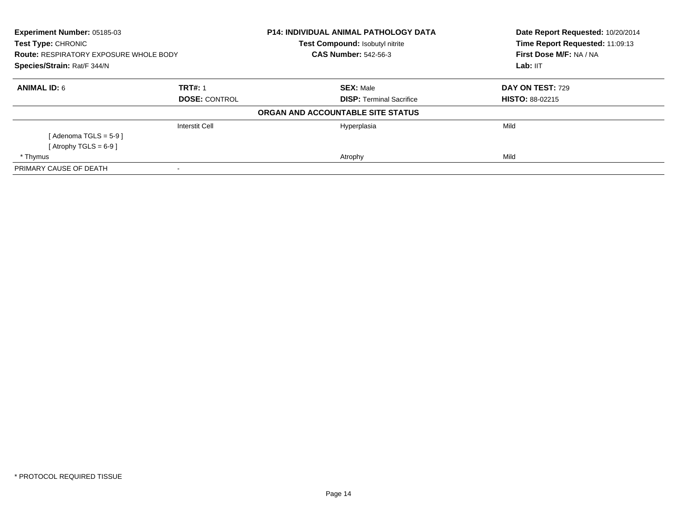| Experiment Number: 05185-03<br><b>Test Type: CHRONIC</b><br><b>Route: RESPIRATORY EXPOSURE WHOLE BODY</b><br>Species/Strain: Rat/F 344/N |                       | <b>P14: INDIVIDUAL ANIMAL PATHOLOGY DATA</b>                   | Date Report Requested: 10/20/2014<br>Time Report Requested: 11:09:13<br>First Dose M/F: NA / NA<br>Lab: IIT |
|------------------------------------------------------------------------------------------------------------------------------------------|-----------------------|----------------------------------------------------------------|-------------------------------------------------------------------------------------------------------------|
|                                                                                                                                          |                       | Test Compound: Isobutyl nitrite<br><b>CAS Number: 542-56-3</b> |                                                                                                             |
|                                                                                                                                          |                       |                                                                |                                                                                                             |
| <b>ANIMAL ID: 6</b>                                                                                                                      | <b>TRT#: 1</b>        | <b>SEX: Male</b>                                               | DAY ON TEST: 729                                                                                            |
|                                                                                                                                          | <b>DOSE: CONTROL</b>  | <b>DISP:</b> Terminal Sacrifice                                | <b>HISTO: 88-02215</b>                                                                                      |
|                                                                                                                                          |                       | ORGAN AND ACCOUNTABLE SITE STATUS                              |                                                                                                             |
|                                                                                                                                          | <b>Interstit Cell</b> | Hyperplasia                                                    | Mild                                                                                                        |
| [ Adenoma TGLS = 5-9 ]                                                                                                                   |                       |                                                                |                                                                                                             |
| [Atrophy TGLS = $6-9$ ]                                                                                                                  |                       |                                                                |                                                                                                             |
| * Thymus                                                                                                                                 |                       | Atrophy                                                        | Mild                                                                                                        |
| PRIMARY CAUSE OF DEATH                                                                                                                   |                       |                                                                |                                                                                                             |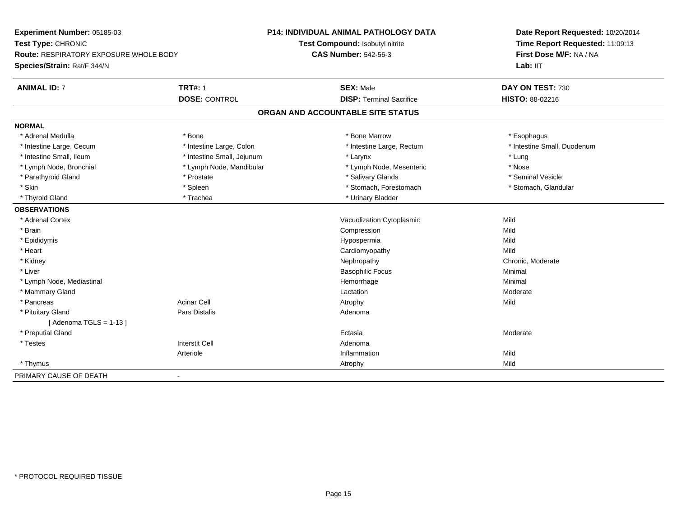| Experiment Number: 05185-03                   |                            | <b>P14: INDIVIDUAL ANIMAL PATHOLOGY DATA</b> | Date Report Requested: 10/20/2014 |
|-----------------------------------------------|----------------------------|----------------------------------------------|-----------------------------------|
| Test Type: CHRONIC                            |                            | Test Compound: Isobutyl nitrite              | Time Report Requested: 11:09:13   |
| <b>Route: RESPIRATORY EXPOSURE WHOLE BODY</b> |                            | <b>CAS Number: 542-56-3</b>                  | First Dose M/F: NA / NA           |
| Species/Strain: Rat/F 344/N                   |                            |                                              | Lab: IIT                          |
| <b>ANIMAL ID: 7</b>                           | <b>TRT#: 1</b>             | <b>SEX: Male</b>                             | DAY ON TEST: 730                  |
|                                               | <b>DOSE: CONTROL</b>       | <b>DISP: Terminal Sacrifice</b>              | <b>HISTO: 88-02216</b>            |
|                                               |                            | ORGAN AND ACCOUNTABLE SITE STATUS            |                                   |
| <b>NORMAL</b>                                 |                            |                                              |                                   |
| * Adrenal Medulla                             | * Bone                     | * Bone Marrow                                | * Esophagus                       |
| * Intestine Large, Cecum                      | * Intestine Large, Colon   | * Intestine Large, Rectum                    | * Intestine Small, Duodenum       |
| * Intestine Small, Ileum                      | * Intestine Small, Jejunum | * Larynx                                     | * Lung                            |
| * Lymph Node, Bronchial                       | * Lymph Node, Mandibular   | * Lymph Node, Mesenteric                     | * Nose                            |
| * Parathyroid Gland                           | * Prostate                 | * Salivary Glands                            | * Seminal Vesicle                 |
| * Skin                                        | * Spleen                   | * Stomach, Forestomach                       | * Stomach, Glandular              |
| * Thyroid Gland                               | * Trachea                  | * Urinary Bladder                            |                                   |
| <b>OBSERVATIONS</b>                           |                            |                                              |                                   |
| * Adrenal Cortex                              |                            | Vacuolization Cytoplasmic                    | Mild                              |
| * Brain                                       |                            | Compression                                  | Mild                              |
| * Epididymis                                  |                            | Hypospermia                                  | Mild                              |
| * Heart                                       |                            | Cardiomyopathy                               | Mild                              |
| * Kidney                                      |                            | Nephropathy                                  | Chronic, Moderate                 |
| * Liver                                       |                            | <b>Basophilic Focus</b>                      | Minimal                           |
| * Lymph Node, Mediastinal                     |                            | Hemorrhage                                   | Minimal                           |
| * Mammary Gland                               |                            | Lactation                                    | Moderate                          |
| * Pancreas                                    | <b>Acinar Cell</b>         | Atrophy                                      | Mild                              |
| * Pituitary Gland                             | Pars Distalis              | Adenoma                                      |                                   |
| [Adenoma TGLS = $1-13$ ]                      |                            |                                              |                                   |
| * Preputial Gland                             |                            | Ectasia                                      | Moderate                          |
| * Testes                                      | <b>Interstit Cell</b>      | Adenoma                                      |                                   |
|                                               | Arteriole                  | Inflammation                                 | Mild                              |
| * Thymus                                      |                            | Atrophy                                      | Mild                              |
| PRIMARY CAUSE OF DEATH                        | $\blacksquare$             |                                              |                                   |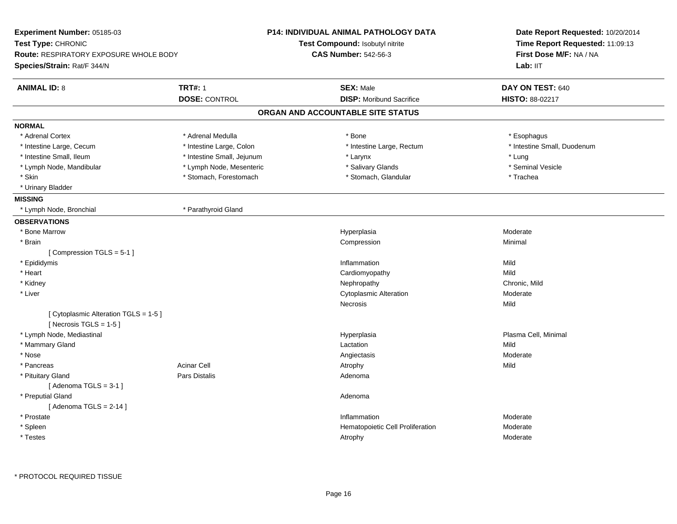| Experiment Number: 05185-03                   |                            | P14: INDIVIDUAL ANIMAL PATHOLOGY DATA | Date Report Requested: 10/20/2014 |  |
|-----------------------------------------------|----------------------------|---------------------------------------|-----------------------------------|--|
| Test Type: CHRONIC                            |                            | Test Compound: Isobutyl nitrite       | Time Report Requested: 11:09:13   |  |
| <b>Route: RESPIRATORY EXPOSURE WHOLE BODY</b> |                            | <b>CAS Number: 542-56-3</b>           | First Dose M/F: NA / NA           |  |
| Species/Strain: Rat/F 344/N                   |                            |                                       | Lab: IIT                          |  |
| <b>ANIMAL ID: 8</b>                           | <b>TRT#: 1</b>             | <b>SEX: Male</b>                      | DAY ON TEST: 640                  |  |
|                                               | <b>DOSE: CONTROL</b>       | <b>DISP:</b> Moribund Sacrifice       | <b>HISTO: 88-02217</b>            |  |
|                                               |                            | ORGAN AND ACCOUNTABLE SITE STATUS     |                                   |  |
| <b>NORMAL</b>                                 |                            |                                       |                                   |  |
| * Adrenal Cortex                              | * Adrenal Medulla          | * Bone                                | * Esophagus                       |  |
| * Intestine Large, Cecum                      | * Intestine Large, Colon   | * Intestine Large, Rectum             | * Intestine Small, Duodenum       |  |
| * Intestine Small, Ileum                      | * Intestine Small, Jejunum | * Larynx                              | * Lung                            |  |
| * Lymph Node, Mandibular                      | * Lymph Node, Mesenteric   | * Salivary Glands                     | * Seminal Vesicle                 |  |
| * Skin                                        | * Stomach, Forestomach     | * Stomach, Glandular                  | * Trachea                         |  |
| * Urinary Bladder                             |                            |                                       |                                   |  |
| <b>MISSING</b>                                |                            |                                       |                                   |  |
| * Lymph Node, Bronchial                       | * Parathyroid Gland        |                                       |                                   |  |
| <b>OBSERVATIONS</b>                           |                            |                                       |                                   |  |
| * Bone Marrow                                 |                            | Hyperplasia                           | Moderate                          |  |
| * Brain                                       |                            | Compression                           | Minimal                           |  |
| [Compression TGLS = 5-1]                      |                            |                                       |                                   |  |
| * Epididymis                                  |                            | Inflammation                          | Mild                              |  |
| * Heart                                       |                            | Cardiomyopathy                        | Mild                              |  |
| * Kidney                                      |                            | Nephropathy                           | Chronic, Mild                     |  |
| * Liver                                       |                            | <b>Cytoplasmic Alteration</b>         | Moderate                          |  |
|                                               |                            | Necrosis                              | Mild                              |  |
| [ Cytoplasmic Alteration TGLS = 1-5 ]         |                            |                                       |                                   |  |
| [Necrosis TGLS = $1-5$ ]                      |                            |                                       |                                   |  |
| * Lymph Node, Mediastinal                     |                            | Hyperplasia                           | Plasma Cell, Minimal              |  |
| * Mammary Gland                               |                            | Lactation                             | Mild                              |  |
| * Nose                                        |                            | Angiectasis                           | Moderate                          |  |
| * Pancreas                                    | <b>Acinar Cell</b>         | Atrophy                               | Mild                              |  |
| * Pituitary Gland                             | Pars Distalis              | Adenoma                               |                                   |  |
| [Adenoma TGLS = $3-1$ ]                       |                            |                                       |                                   |  |
| * Preputial Gland                             |                            | Adenoma                               |                                   |  |
| [Adenoma TGLS = $2-14$ ]                      |                            |                                       |                                   |  |
| * Prostate                                    |                            | Inflammation                          | Moderate                          |  |
| * Spleen                                      |                            | Hematopoietic Cell Proliferation      | Moderate                          |  |
| * Testes                                      |                            | Atrophy                               | Moderate                          |  |
|                                               |                            |                                       |                                   |  |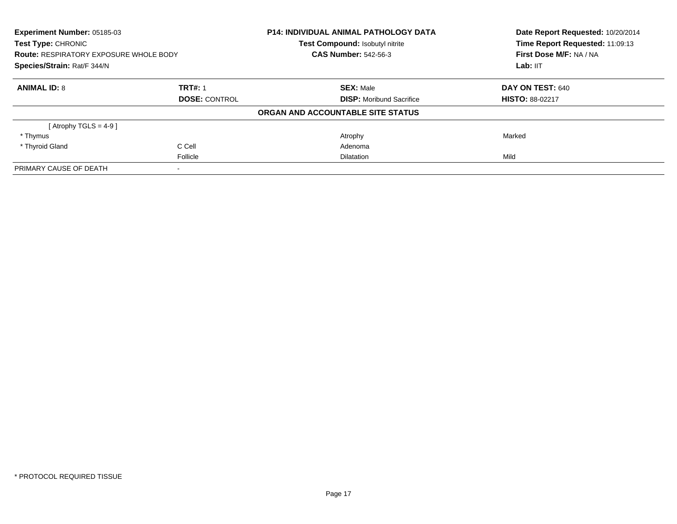| Experiment Number: 05185-03<br><b>Test Type: CHRONIC</b><br><b>Route: RESPIRATORY EXPOSURE WHOLE BODY</b><br>Species/Strain: Rat/F 344/N |                      | <b>P14: INDIVIDUAL ANIMAL PATHOLOGY DATA</b><br>Test Compound: Isobutyl nitrite | Date Report Requested: 10/20/2014<br>Time Report Requested: 11:09:13 |
|------------------------------------------------------------------------------------------------------------------------------------------|----------------------|---------------------------------------------------------------------------------|----------------------------------------------------------------------|
|                                                                                                                                          |                      | <b>CAS Number: 542-56-3</b>                                                     | First Dose M/F: NA / NA                                              |
|                                                                                                                                          |                      |                                                                                 | Lab: IIT                                                             |
| <b>ANIMAL ID: 8</b>                                                                                                                      | <b>TRT#: 1</b>       | <b>SEX: Male</b>                                                                | DAY ON TEST: 640                                                     |
|                                                                                                                                          | <b>DOSE: CONTROL</b> | <b>DISP:</b> Moribund Sacrifice                                                 | <b>HISTO: 88-02217</b>                                               |
|                                                                                                                                          |                      | ORGAN AND ACCOUNTABLE SITE STATUS                                               |                                                                      |
| [Atrophy TGLS = 4-9]                                                                                                                     |                      |                                                                                 |                                                                      |
| * Thymus                                                                                                                                 |                      | Atrophy                                                                         | Marked                                                               |
| * Thyroid Gland                                                                                                                          | C Cell               | Adenoma                                                                         |                                                                      |
|                                                                                                                                          | Follicle             | <b>Dilatation</b>                                                               | Mild                                                                 |
| PRIMARY CAUSE OF DEATH                                                                                                                   |                      |                                                                                 |                                                                      |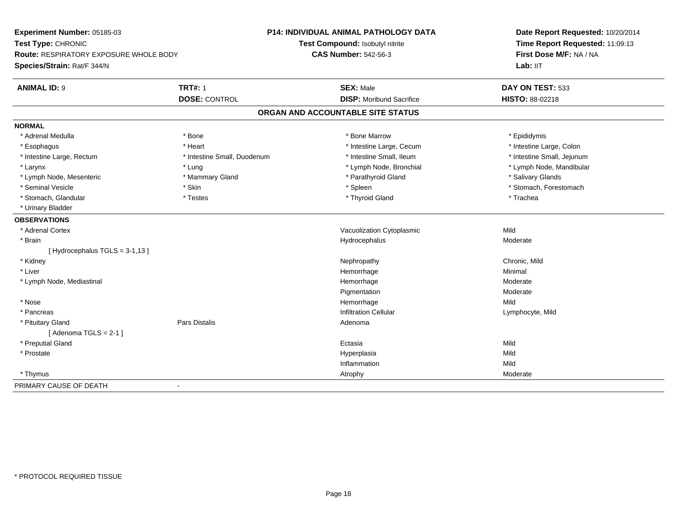**Experiment Number:** 05185-03**Test Type:** CHRONIC **Route:** RESPIRATORY EXPOSURE WHOLE BODY**Species/Strain:** Rat/F 344/N**P14: INDIVIDUAL ANIMAL PATHOLOGY DATATest Compound:** Isobutyl nitrite**CAS Number:** 542-56-3**Date Report Requested:** 10/20/2014**Time Report Requested:** 11:09:13**First Dose M/F:** NA / NALab: IIT **ANIMAL ID:** 9 **TRT#:** <sup>1</sup> **SEX:** Male **DAY ON TEST:** <sup>533</sup> **DOSE:** CONTROL **DISP:** Moribund Sacrifice **HISTO:** 88-02218 **ORGAN AND ACCOUNTABLE SITE STATUSNORMAL**\* Adrenal Medulla \* Adrenal Medulla \* \* The matter of the state of the state of the Marrow \* Bone Marrow \* Adrenal Medulla \* Epididymis \* Epididymis \* Bone Marrow \* Adrenal Medulla \* Epididymis \* Epididymis \* Epididymis \* Epididymis \* Epidi \* Intestine Large, Colon \* Esophagus \* **Heart \* Intestine Large, Cecum \* Intestine Large, Cecum \*** Intestine Large, Cecum \* Intestine Large, Rectum \* Thestine Small, Duodenum \* Number of the small, Ileum \* Intestine Small, Jejunum \* Intestine Small, Jejunum \* Larynx \* Lung \* Lymph Node, Bronchial \* Lymph Node, Mandibular \* Lymph Node, Mesenteric \* \* Mammary Gland \* Mammary Gland \* Parathyroid Gland \* Parathyroid Gland \* \* Salivary Glands \* Seminal Vesicle \* The state of the set of the set of the set of the set of the set of the set of the set of the set of the set of the set of the set of the set of the set of the set of the set of the set of the set of th \* Stomach, Glandular \* \* Trachea \* Testes \* Thyroid Gland \* Thyroid Gland \* Trachea \* Trachea \* Trachea \* Trachea \* Urinary Bladder**OBSERVATIONS** \* Adrenal CortexVacuolization Cytoplasmic **Mild** Moderate \* Brainn and the state of the state of the state of the Hydrocephalus and the Moderate of the Moderate of the Moderate of the Moderate of the Moderate of the Moderate of the Moderate of the Moderate of the Moderate of the Moderat  $[$  Hydrocephalus TGLS = 3-1,13  $]$  \* Kidneyy the controller of the controller of the controller of the controller of the controller of the chronic, Mild \* Liverr and the control of the control of the control of the control of the control of the control of the control of e Minimal \* Lymph Node, Mediastinal Hemorrhagee Moderate PigmentationModerate<br>Mild \* Nosee and the state of the state of the state of the state of the Middle Mild and the State of the Middle State of the Middle State of the State of the State of the State of the State of the State of the State of the State of \* Pancreass infiltration Cellular Lymphocyte, Mild (University of the University of the University of the University of the U \* Pituitary Glandd and the contract of Pars Distalis and the contract of Adenoma and Adenoma and the Adenoma and the Adenoma and  $\lambda$  $[$  Adenoma TGLS = 2-1  $]$  \* Preputial Glandd and the control of the control of the control of the control of the control of the control of the control of the control of the control of the control of the control of the control of the control of the control of the co \* Prostatee and the state of the state of the state of the Hyperplasia Mild and the Mild and the Mild and the Mild and M<br>In the state of the state of the state of the state of the state of the state of the state of the state of the Inflammationn Mild \* Thymuss and the control of the control of the control of the control of the control of the control of the control of the control of the control of the control of the control of the control of the control of the control of the co PRIMARY CAUSE OF DEATH-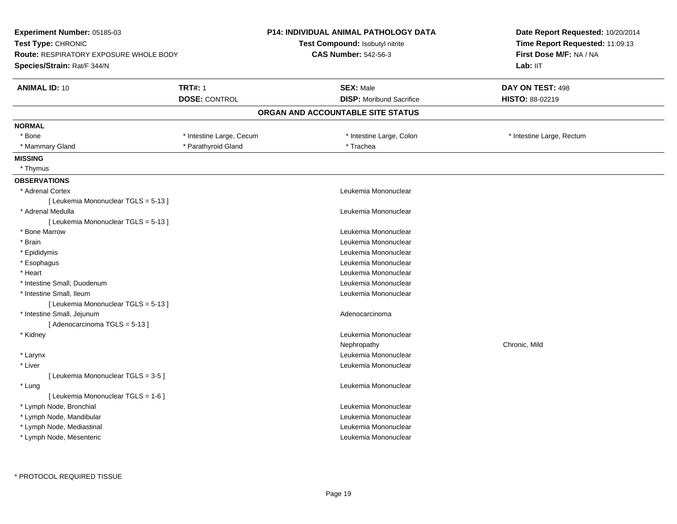| <b>Experiment Number: 05185-03</b>                                  |                          | <b>P14: INDIVIDUAL ANIMAL PATHOLOGY DATA</b> | Date Report Requested: 10/20/2014                          |  |
|---------------------------------------------------------------------|--------------------------|----------------------------------------------|------------------------------------------------------------|--|
| Test Type: CHRONIC<br><b>Route: RESPIRATORY EXPOSURE WHOLE BODY</b> |                          | <b>Test Compound: Isobutyl nitrite</b>       | Time Report Requested: 11:09:13<br>First Dose M/F: NA / NA |  |
|                                                                     |                          | <b>CAS Number: 542-56-3</b>                  |                                                            |  |
| Species/Strain: Rat/F 344/N                                         |                          |                                              | Lab: IIT                                                   |  |
| <b>ANIMAL ID: 10</b>                                                | <b>TRT#: 1</b>           | <b>SEX: Male</b>                             | DAY ON TEST: 498                                           |  |
|                                                                     | <b>DOSE: CONTROL</b>     | <b>DISP:</b> Moribund Sacrifice              | HISTO: 88-02219                                            |  |
|                                                                     |                          | ORGAN AND ACCOUNTABLE SITE STATUS            |                                                            |  |
| <b>NORMAL</b>                                                       |                          |                                              |                                                            |  |
| * Bone                                                              | * Intestine Large, Cecum | * Intestine Large, Colon                     | * Intestine Large, Rectum                                  |  |
| * Mammary Gland                                                     | * Parathyroid Gland      | * Trachea                                    |                                                            |  |
| <b>MISSING</b>                                                      |                          |                                              |                                                            |  |
| * Thymus                                                            |                          |                                              |                                                            |  |
| <b>OBSERVATIONS</b>                                                 |                          |                                              |                                                            |  |
| * Adrenal Cortex                                                    |                          | Leukemia Mononuclear                         |                                                            |  |
| [ Leukemia Mononuclear TGLS = 5-13 ]                                |                          |                                              |                                                            |  |
| * Adrenal Medulla                                                   |                          | Leukemia Mononuclear                         |                                                            |  |
| [ Leukemia Mononuclear TGLS = 5-13 ]                                |                          |                                              |                                                            |  |
| * Bone Marrow                                                       |                          | Leukemia Mononuclear                         |                                                            |  |
| * Brain                                                             |                          | Leukemia Mononuclear                         |                                                            |  |
| * Epididymis                                                        |                          | Leukemia Mononuclear                         |                                                            |  |
| * Esophagus                                                         |                          | Leukemia Mononuclear                         |                                                            |  |
| * Heart                                                             |                          | Leukemia Mononuclear                         |                                                            |  |
| * Intestine Small, Duodenum                                         |                          | Leukemia Mononuclear                         |                                                            |  |
| * Intestine Small, Ileum                                            |                          | Leukemia Mononuclear                         |                                                            |  |
| [ Leukemia Mononuclear TGLS = 5-13 ]                                |                          |                                              |                                                            |  |
| * Intestine Small, Jejunum                                          |                          | Adenocarcinoma                               |                                                            |  |
| [Adenocarcinoma TGLS = 5-13]                                        |                          |                                              |                                                            |  |
| * Kidney                                                            |                          | Leukemia Mononuclear                         |                                                            |  |
|                                                                     |                          | Nephropathy                                  | Chronic, Mild                                              |  |
| * Larynx                                                            |                          | Leukemia Mononuclear                         |                                                            |  |
| * Liver                                                             |                          | Leukemia Mononuclear                         |                                                            |  |
| [ Leukemia Mononuclear TGLS = 3-5 ]                                 |                          |                                              |                                                            |  |
| * Lung                                                              |                          | Leukemia Mononuclear                         |                                                            |  |
| [ Leukemia Mononuclear TGLS = 1-6 ]                                 |                          |                                              |                                                            |  |
| * Lymph Node, Bronchial                                             |                          | Leukemia Mononuclear                         |                                                            |  |
| * Lymph Node, Mandibular                                            |                          | Leukemia Mononuclear                         |                                                            |  |
| * Lymph Node, Mediastinal                                           |                          | Leukemia Mononuclear                         |                                                            |  |
| * Lymph Node, Mesenteric                                            |                          | Leukemia Mononuclear                         |                                                            |  |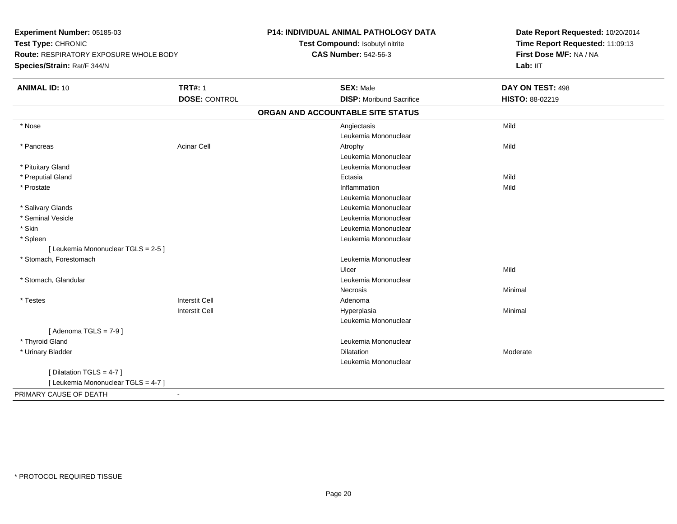**Experiment Number:** 05185-03**Test Type:** CHRONIC **Route:** RESPIRATORY EXPOSURE WHOLE BODY**Species/Strain:** Rat/F 344/N**P14: INDIVIDUAL ANIMAL PATHOLOGY DATATest Compound:** Isobutyl nitrite**CAS Number:** 542-56-3**Date Report Requested:** 10/20/2014**Time Report Requested:** 11:09:13**First Dose M/F:** NA / NA**Lab:** IIT**ANIMAL ID:** 10**TRT#:** 1 **SEX:** Male **DAY ON TEST:** 498 **DOSE:** CONTROL **DISP:** Moribund Sacrifice **HISTO:** 88-02219 **ORGAN AND ACCOUNTABLE SITE STATUS** \* Nosee and the control of the control of the control of the control of the control of the control of the control of the control of the control of the control of the control of the control of the control of the control of the co Leukemia Mononuclear \* Pancreass and the contract of the Acinar Cell and the Cell and the Atrophy and Atrophy and the Mild and Mild and Mild and Mild and Mild and Mild and Mild and Mild and Mild and Mild and Mild and Mild and Mild and Mild and Mild and Leukemia Mononuclear \* Pituitary Gland Leukemia Mononuclear \* Preputial Glandd and the control of the control of the control of the control of the control of the control of the control of the control of the control of the control of the control of the control of the control of the control of the co \* Prostatee discussion of the control of the control of the control of the control of the control of the control of the control of the control of the control of the control of the control of the control of the control of the control Leukemia Mononuclear \* Salivary Glands Leukemia Mononuclear \* Seminal Vesicle Leukemia Mononuclear \* Skin Leukemia Mononuclear \* Spleen Leukemia Mononuclear [ Leukemia Mononuclear TGLS = 2-5 ] \* Stomach, Forestomach Leukemia Mononuclear Ulcerr **Mild**  \* Stomach, Glandular Leukemia Mononuclear Necrosis Minimal \* Testess and the contract of the contract of the contract of the contract of the contract of the contract of the contract of  $\mathbb{R}^n$ I Contract to the Contract of the Hyperplasia Interstit Cella **Minimal** Leukemia Mononuclear $[$  Adenoma TGLS =  $7-9$   $]$  \* Thyroid GlandLeukemia Mononuclear<br>Dilatation \* Urinary Bladderr and the control of the control of the control of the control of the control of the control of the control of Moderate Leukemia Mononuclear[ Dilatation TGLS = 4-7 ][ Leukemia Mononuclear TGLS = 4-7 ]PRIMARY CAUSE OF DEATH-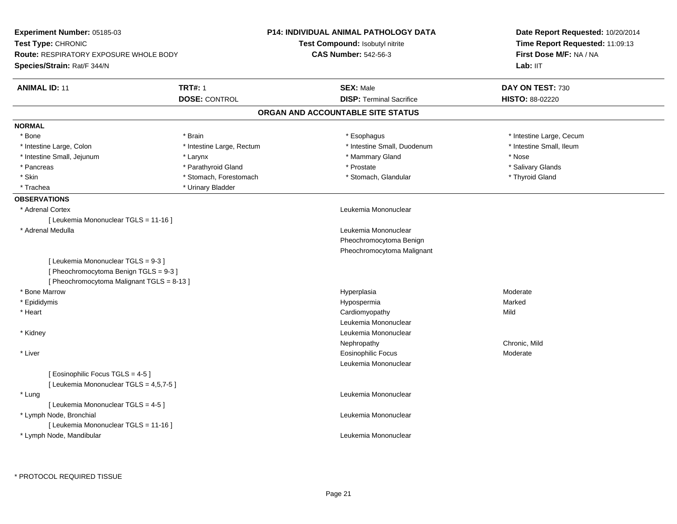| Experiment Number: 05185-03<br>Test Type: CHRONIC<br><b>Route: RESPIRATORY EXPOSURE WHOLE BODY</b> |                           | <b>P14: INDIVIDUAL ANIMAL PATHOLOGY DATA</b> | Date Report Requested: 10/20/2014<br>Time Report Requested: 11:09:13<br>First Dose M/F: NA / NA |
|----------------------------------------------------------------------------------------------------|---------------------------|----------------------------------------------|-------------------------------------------------------------------------------------------------|
|                                                                                                    |                           | Test Compound: Isobutyl nitrite              |                                                                                                 |
|                                                                                                    |                           | <b>CAS Number: 542-56-3</b>                  |                                                                                                 |
| Species/Strain: Rat/F 344/N                                                                        |                           |                                              | Lab: IIT                                                                                        |
| <b>ANIMAL ID: 11</b>                                                                               | <b>TRT#: 1</b>            | <b>SEX: Male</b>                             | DAY ON TEST: 730                                                                                |
|                                                                                                    | <b>DOSE: CONTROL</b>      | <b>DISP: Terminal Sacrifice</b>              | <b>HISTO: 88-02220</b>                                                                          |
|                                                                                                    |                           | ORGAN AND ACCOUNTABLE SITE STATUS            |                                                                                                 |
| <b>NORMAL</b>                                                                                      |                           |                                              |                                                                                                 |
| * Bone                                                                                             | * Brain                   | * Esophagus                                  | * Intestine Large, Cecum                                                                        |
| * Intestine Large, Colon                                                                           | * Intestine Large, Rectum | * Intestine Small, Duodenum                  | * Intestine Small, Ileum                                                                        |
| * Intestine Small, Jejunum                                                                         | * Larynx                  | * Mammary Gland                              | * Nose                                                                                          |
| * Pancreas                                                                                         | * Parathyroid Gland       | * Prostate                                   | * Salivary Glands                                                                               |
| * Skin                                                                                             | * Stomach, Forestomach    | * Stomach, Glandular                         | * Thyroid Gland                                                                                 |
| * Trachea                                                                                          | * Urinary Bladder         |                                              |                                                                                                 |
| <b>OBSERVATIONS</b>                                                                                |                           |                                              |                                                                                                 |
| * Adrenal Cortex                                                                                   |                           | Leukemia Mononuclear                         |                                                                                                 |
| [ Leukemia Mononuclear TGLS = 11-16 ]                                                              |                           |                                              |                                                                                                 |
| * Adrenal Medulla                                                                                  |                           | Leukemia Mononuclear                         |                                                                                                 |
|                                                                                                    |                           | Pheochromocytoma Benign                      |                                                                                                 |
|                                                                                                    |                           | Pheochromocytoma Malignant                   |                                                                                                 |
| [ Leukemia Mononuclear TGLS = 9-3 ]                                                                |                           |                                              |                                                                                                 |
| [Pheochromocytoma Benign TGLS = 9-3]                                                               |                           |                                              |                                                                                                 |
| [ Pheochromocytoma Malignant TGLS = 8-13 ]                                                         |                           |                                              |                                                                                                 |
| * Bone Marrow                                                                                      |                           | Hyperplasia                                  | Moderate                                                                                        |
| * Epididymis                                                                                       |                           | Hypospermia                                  | Marked                                                                                          |
| * Heart                                                                                            |                           | Cardiomyopathy                               | Mild                                                                                            |
|                                                                                                    |                           | Leukemia Mononuclear                         |                                                                                                 |
| * Kidney                                                                                           |                           | Leukemia Mononuclear                         |                                                                                                 |
|                                                                                                    |                           | Nephropathy                                  | Chronic, Mild                                                                                   |
| * Liver                                                                                            |                           | <b>Eosinophilic Focus</b>                    | Moderate                                                                                        |
|                                                                                                    |                           | Leukemia Mononuclear                         |                                                                                                 |
| [ Eosinophilic Focus TGLS = 4-5 ]                                                                  |                           |                                              |                                                                                                 |
| [ Leukemia Mononuclear TGLS = 4,5,7-5 ]                                                            |                           |                                              |                                                                                                 |
| * Lung                                                                                             |                           | Leukemia Mononuclear                         |                                                                                                 |
| [ Leukemia Mononuclear TGLS = 4-5 ]                                                                |                           |                                              |                                                                                                 |
| * Lymph Node, Bronchial                                                                            |                           | Leukemia Mononuclear                         |                                                                                                 |
| [ Leukemia Mononuclear TGLS = 11-16 ]                                                              |                           |                                              |                                                                                                 |
| * Lymph Node, Mandibular                                                                           |                           | Leukemia Mononuclear                         |                                                                                                 |
|                                                                                                    |                           |                                              |                                                                                                 |
|                                                                                                    |                           |                                              |                                                                                                 |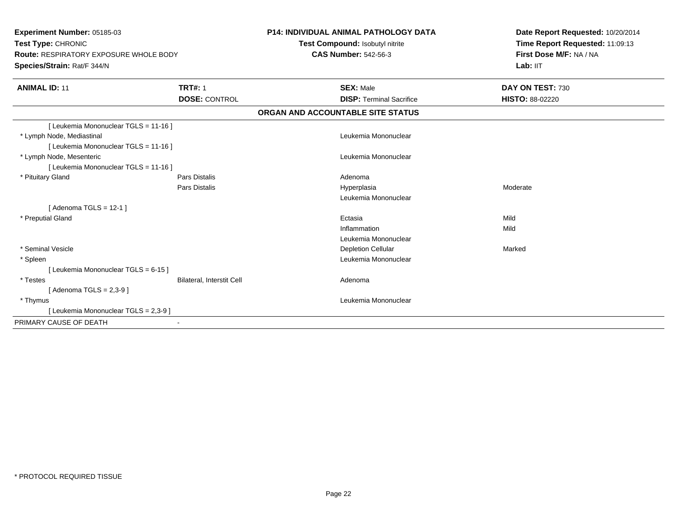| Experiment Number: 05185-03<br>Test Type: CHRONIC<br><b>Route: RESPIRATORY EXPOSURE WHOLE BODY</b><br>Species/Strain: Rat/F 344/N<br><b>TRT#: 1</b><br><b>ANIMAL ID: 11</b> |                                              | <b>P14: INDIVIDUAL ANIMAL PATHOLOGY DATA</b><br>Test Compound: Isobutyl nitrite<br><b>CAS Number: 542-56-3</b><br><b>SEX: Male</b> |                                                   | Date Report Requested: 10/20/2014<br>Time Report Requested: 11:09:13<br>First Dose M/F: NA / NA<br>Lab: IIT<br>DAY ON TEST: 730 |
|-----------------------------------------------------------------------------------------------------------------------------------------------------------------------------|----------------------------------------------|------------------------------------------------------------------------------------------------------------------------------------|---------------------------------------------------|---------------------------------------------------------------------------------------------------------------------------------|
|                                                                                                                                                                             | <b>DOSE: CONTROL</b>                         |                                                                                                                                    | <b>DISP: Terminal Sacrifice</b>                   | <b>HISTO: 88-02220</b>                                                                                                          |
|                                                                                                                                                                             |                                              |                                                                                                                                    | ORGAN AND ACCOUNTABLE SITE STATUS                 |                                                                                                                                 |
| [ Leukemia Mononuclear TGLS = 11-16 ]<br>* Lymph Node, Mediastinal<br>[ Leukemia Mononuclear TGLS = 11-16 ]                                                                 |                                              |                                                                                                                                    | Leukemia Mononuclear                              |                                                                                                                                 |
| * Lymph Node, Mesenteric<br>[ Leukemia Mononuclear TGLS = 11-16 ]                                                                                                           |                                              |                                                                                                                                    | Leukemia Mononuclear                              |                                                                                                                                 |
| * Pituitary Gland                                                                                                                                                           | <b>Pars Distalis</b><br><b>Pars Distalis</b> |                                                                                                                                    | Adenoma<br>Hyperplasia<br>Leukemia Mononuclear    | Moderate                                                                                                                        |
| [Adenoma TGLS = $12-1$ ]<br>* Preputial Gland                                                                                                                               |                                              |                                                                                                                                    | Ectasia<br>Inflammation<br>Leukemia Mononuclear   | Mild<br>Mild                                                                                                                    |
| * Seminal Vesicle<br>* Spleen<br>[ Leukemia Mononuclear TGLS = 6-15 ]                                                                                                       |                                              |                                                                                                                                    | <b>Depletion Cellular</b><br>Leukemia Mononuclear | Marked                                                                                                                          |
| * Testes<br>[ Adenoma TGLS = 2,3-9 ]                                                                                                                                        | <b>Bilateral, Interstit Cell</b>             |                                                                                                                                    | Adenoma                                           |                                                                                                                                 |
| * Thymus<br>[ Leukemia Mononuclear TGLS = 2,3-9 ]                                                                                                                           |                                              |                                                                                                                                    | Leukemia Mononuclear                              |                                                                                                                                 |
| PRIMARY CAUSE OF DEATH                                                                                                                                                      |                                              |                                                                                                                                    |                                                   |                                                                                                                                 |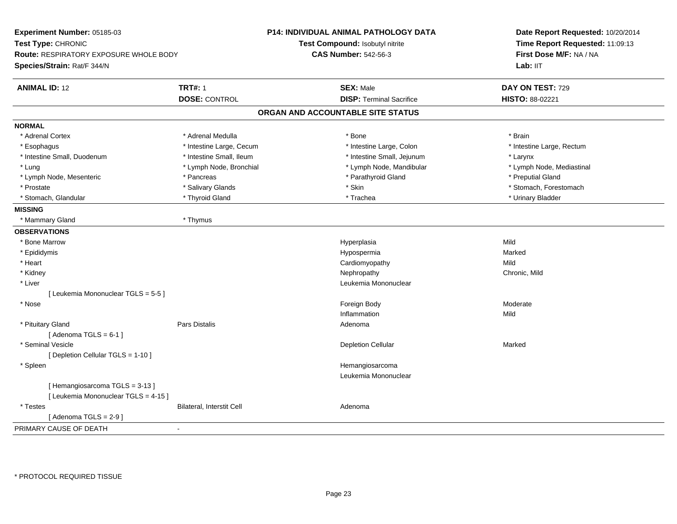| Experiment Number: 05185-03                                  |                           | <b>P14: INDIVIDUAL ANIMAL PATHOLOGY DATA</b> | Date Report Requested: 10/20/2014                          |  |
|--------------------------------------------------------------|---------------------------|----------------------------------------------|------------------------------------------------------------|--|
| Test Type: CHRONIC<br>Route: RESPIRATORY EXPOSURE WHOLE BODY |                           | Test Compound: Isobutyl nitrite              | Time Report Requested: 11:09:13<br>First Dose M/F: NA / NA |  |
|                                                              |                           | <b>CAS Number: 542-56-3</b>                  |                                                            |  |
| Species/Strain: Rat/F 344/N                                  |                           |                                              | Lab: IIT                                                   |  |
|                                                              |                           |                                              |                                                            |  |
| <b>ANIMAL ID: 12</b>                                         | <b>TRT#: 1</b>            | <b>SEX: Male</b>                             | DAY ON TEST: 729                                           |  |
|                                                              | <b>DOSE: CONTROL</b>      | <b>DISP: Terminal Sacrifice</b>              | HISTO: 88-02221                                            |  |
|                                                              |                           | ORGAN AND ACCOUNTABLE SITE STATUS            |                                                            |  |
| <b>NORMAL</b>                                                |                           |                                              |                                                            |  |
| * Adrenal Cortex                                             | * Adrenal Medulla         | * Bone                                       | * Brain                                                    |  |
| * Esophagus                                                  | * Intestine Large, Cecum  | * Intestine Large, Colon                     | * Intestine Large, Rectum                                  |  |
| * Intestine Small, Duodenum                                  | * Intestine Small, Ileum  | * Intestine Small, Jejunum                   | * Larynx                                                   |  |
| * Lung                                                       | * Lymph Node, Bronchial   | * Lymph Node, Mandibular                     | * Lymph Node, Mediastinal                                  |  |
| * Lymph Node, Mesenteric                                     | * Pancreas                | * Parathyroid Gland                          | * Preputial Gland                                          |  |
| * Prostate                                                   | * Salivary Glands         | * Skin                                       | * Stomach, Forestomach                                     |  |
| * Stomach, Glandular                                         | * Thyroid Gland           | * Trachea                                    | * Urinary Bladder                                          |  |
| <b>MISSING</b>                                               |                           |                                              |                                                            |  |
| * Mammary Gland                                              | * Thymus                  |                                              |                                                            |  |
| <b>OBSERVATIONS</b>                                          |                           |                                              |                                                            |  |
| * Bone Marrow                                                |                           | Hyperplasia                                  | Mild                                                       |  |
| * Epididymis                                                 |                           | Hypospermia                                  | Marked                                                     |  |
| * Heart                                                      |                           | Cardiomyopathy                               | Mild                                                       |  |
| * Kidney                                                     |                           | Nephropathy                                  | Chronic, Mild                                              |  |
| * Liver                                                      |                           | Leukemia Mononuclear                         |                                                            |  |
| [ Leukemia Mononuclear TGLS = 5-5 ]                          |                           |                                              |                                                            |  |
| * Nose                                                       |                           | Foreign Body                                 | Moderate                                                   |  |
|                                                              |                           | Inflammation                                 | Mild                                                       |  |
| * Pituitary Gland                                            | <b>Pars Distalis</b>      | Adenoma                                      |                                                            |  |
| [Adenoma TGLS = $6-1$ ]                                      |                           |                                              |                                                            |  |
| * Seminal Vesicle                                            |                           | <b>Depletion Cellular</b>                    | Marked                                                     |  |
| [ Depletion Cellular TGLS = 1-10 ]                           |                           |                                              |                                                            |  |
| * Spleen                                                     |                           | Hemangiosarcoma                              |                                                            |  |
|                                                              |                           | Leukemia Mononuclear                         |                                                            |  |
| [Hemangiosarcoma TGLS = 3-13]                                |                           |                                              |                                                            |  |
| [ Leukemia Mononuclear TGLS = 4-15 ]                         |                           |                                              |                                                            |  |
| * Testes                                                     | Bilateral, Interstit Cell | Adenoma                                      |                                                            |  |
| [Adenoma TGLS = $2-9$ ]                                      |                           |                                              |                                                            |  |
| PRIMARY CAUSE OF DEATH                                       | $\blacksquare$            |                                              |                                                            |  |
|                                                              |                           |                                              |                                                            |  |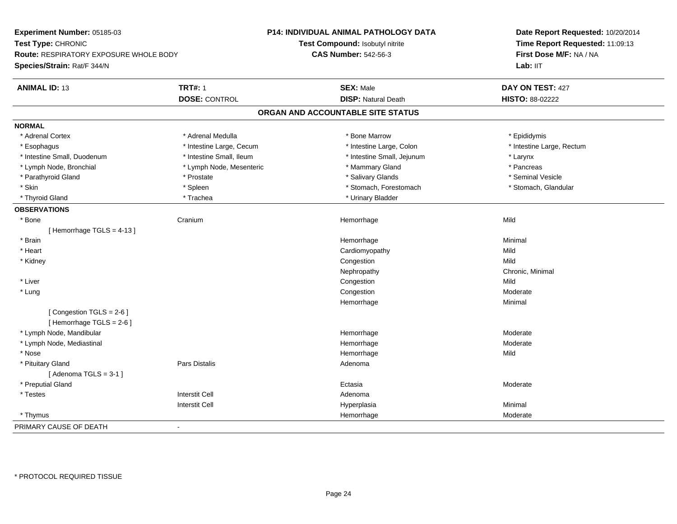| Experiment Number: 05185-03                        |                          | P14: INDIVIDUAL ANIMAL PATHOLOGY DATA | Date Report Requested: 10/20/2014                          |  |
|----------------------------------------------------|--------------------------|---------------------------------------|------------------------------------------------------------|--|
| Test Type: CHRONIC                                 |                          | Test Compound: Isobutyl nitrite       | Time Report Requested: 11:09:13<br>First Dose M/F: NA / NA |  |
| Route: RESPIRATORY EXPOSURE WHOLE BODY             |                          | <b>CAS Number: 542-56-3</b>           |                                                            |  |
| Species/Strain: Rat/F 344/N                        |                          |                                       | Lab: IIT                                                   |  |
| <b>ANIMAL ID: 13</b>                               | <b>TRT#: 1</b>           | <b>SEX: Male</b>                      | DAY ON TEST: 427                                           |  |
|                                                    | <b>DOSE: CONTROL</b>     | <b>DISP: Natural Death</b>            | HISTO: 88-02222                                            |  |
|                                                    |                          | ORGAN AND ACCOUNTABLE SITE STATUS     |                                                            |  |
| <b>NORMAL</b>                                      |                          |                                       |                                                            |  |
| * Adrenal Cortex                                   | * Adrenal Medulla        | * Bone Marrow                         | * Epididymis                                               |  |
| * Esophagus                                        | * Intestine Large, Cecum | * Intestine Large, Colon              | * Intestine Large, Rectum                                  |  |
| * Intestine Small, Duodenum                        | * Intestine Small, Ileum | * Intestine Small, Jejunum            | * Larynx                                                   |  |
| * Lymph Node, Bronchial                            | * Lymph Node, Mesenteric | * Mammary Gland                       | * Pancreas                                                 |  |
| * Parathyroid Gland                                | * Prostate               | * Salivary Glands                     | * Seminal Vesicle                                          |  |
| * Skin                                             | * Spleen                 | * Stomach, Forestomach                | * Stomach, Glandular                                       |  |
| * Thyroid Gland                                    | * Trachea                | * Urinary Bladder                     |                                                            |  |
| <b>OBSERVATIONS</b>                                |                          |                                       |                                                            |  |
| $*$ Bone                                           | Cranium                  | Hemorrhage                            | Mild                                                       |  |
| [Hemorrhage TGLS = $4-13$ ]                        |                          |                                       |                                                            |  |
| * Brain                                            |                          | Hemorrhage                            | Minimal                                                    |  |
| * Heart                                            |                          | Cardiomyopathy                        | Mild                                                       |  |
| * Kidney                                           |                          | Congestion                            | Mild                                                       |  |
|                                                    |                          | Nephropathy                           | Chronic, Minimal                                           |  |
| * Liver                                            |                          | Congestion                            | Mild                                                       |  |
| * Lung                                             |                          | Congestion                            | Moderate                                                   |  |
|                                                    |                          | Hemorrhage                            | Minimal                                                    |  |
| [Congestion TGLS = 2-6]<br>[Hemorrhage TGLS = 2-6] |                          |                                       |                                                            |  |
| * Lymph Node, Mandibular                           |                          | Hemorrhage                            | Moderate                                                   |  |
| * Lymph Node, Mediastinal                          |                          | Hemorrhage                            | Moderate                                                   |  |
| * Nose                                             |                          | Hemorrhage                            | Mild                                                       |  |
| * Pituitary Gland                                  | Pars Distalis            | Adenoma                               |                                                            |  |
| [Adenoma TGLS = $3-1$ ]                            |                          |                                       |                                                            |  |
| * Preputial Gland                                  |                          | Ectasia                               | Moderate                                                   |  |
| * Testes                                           | <b>Interstit Cell</b>    | Adenoma                               |                                                            |  |
|                                                    | <b>Interstit Cell</b>    | Hyperplasia                           | Minimal                                                    |  |
| * Thymus                                           |                          | Hemorrhage                            | Moderate                                                   |  |
| PRIMARY CAUSE OF DEATH                             | ä,                       |                                       |                                                            |  |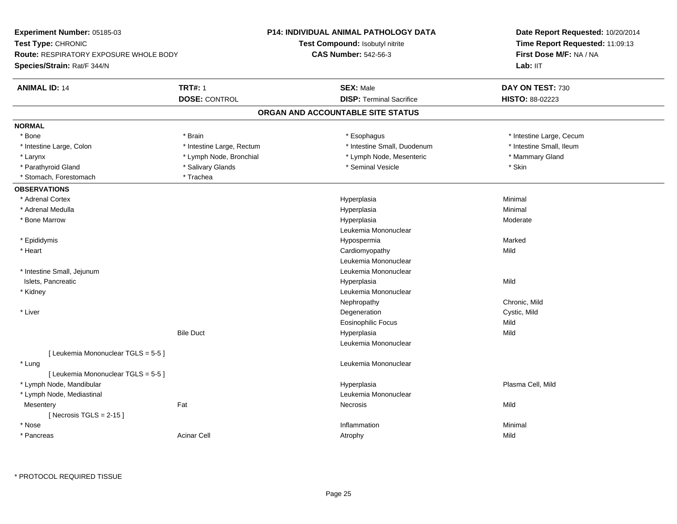| Experiment Number: 05185-03                                         |                           | P14: INDIVIDUAL ANIMAL PATHOLOGY DATA  | Date Report Requested: 10/20/2014 |
|---------------------------------------------------------------------|---------------------------|----------------------------------------|-----------------------------------|
| Test Type: CHRONIC<br><b>Route: RESPIRATORY EXPOSURE WHOLE BODY</b> |                           | <b>Test Compound: Isobutyl nitrite</b> | Time Report Requested: 11:09:13   |
|                                                                     |                           | <b>CAS Number: 542-56-3</b>            | First Dose M/F: NA / NA           |
| Species/Strain: Rat/F 344/N                                         |                           |                                        | Lab: IIT                          |
| <b>ANIMAL ID: 14</b>                                                | <b>TRT#: 1</b>            | <b>SEX: Male</b>                       | DAY ON TEST: 730                  |
|                                                                     | <b>DOSE: CONTROL</b>      | <b>DISP: Terminal Sacrifice</b>        | HISTO: 88-02223                   |
|                                                                     |                           | ORGAN AND ACCOUNTABLE SITE STATUS      |                                   |
| <b>NORMAL</b>                                                       |                           |                                        |                                   |
| * Bone                                                              | * Brain                   | * Esophagus                            | * Intestine Large, Cecum          |
| * Intestine Large, Colon                                            | * Intestine Large, Rectum | * Intestine Small, Duodenum            | * Intestine Small, Ileum          |
| * Larynx                                                            | * Lymph Node, Bronchial   | * Lymph Node, Mesenteric               | * Mammary Gland                   |
| * Parathyroid Gland                                                 | * Salivary Glands         | * Seminal Vesicle                      | * Skin                            |
| * Stomach, Forestomach                                              | * Trachea                 |                                        |                                   |
| <b>OBSERVATIONS</b>                                                 |                           |                                        |                                   |
| * Adrenal Cortex                                                    |                           | Hyperplasia                            | Minimal                           |
| * Adrenal Medulla                                                   |                           | Hyperplasia                            | Minimal                           |
| * Bone Marrow                                                       |                           | Hyperplasia                            | Moderate                          |
|                                                                     |                           | Leukemia Mononuclear                   |                                   |
| * Epididymis                                                        |                           | Hypospermia                            | Marked                            |
| * Heart                                                             |                           | Cardiomyopathy                         | Mild                              |
|                                                                     |                           | Leukemia Mononuclear                   |                                   |
| * Intestine Small, Jejunum                                          |                           | Leukemia Mononuclear                   |                                   |
| Islets, Pancreatic                                                  |                           | Hyperplasia                            | Mild                              |
| * Kidney                                                            |                           | Leukemia Mononuclear                   |                                   |
|                                                                     |                           | Nephropathy                            | Chronic, Mild                     |
| * Liver                                                             |                           | Degeneration                           | Cystic, Mild                      |
|                                                                     |                           | <b>Eosinophilic Focus</b>              | Mild                              |
|                                                                     | <b>Bile Duct</b>          | Hyperplasia                            | Mild                              |
|                                                                     |                           | Leukemia Mononuclear                   |                                   |
| [ Leukemia Mononuclear TGLS = 5-5 ]                                 |                           |                                        |                                   |
| * Lung                                                              |                           | Leukemia Mononuclear                   |                                   |
| [ Leukemia Mononuclear TGLS = 5-5 ]                                 |                           |                                        |                                   |
| * Lymph Node, Mandibular                                            |                           | Hyperplasia                            | Plasma Cell, Mild                 |
| * Lymph Node, Mediastinal                                           |                           | Leukemia Mononuclear                   |                                   |
| Mesentery                                                           | Fat                       | Necrosis                               | Mild                              |
| [Necrosis TGLS = $2-15$ ]                                           |                           |                                        |                                   |
| * Nose                                                              |                           | Inflammation                           | Minimal                           |
| * Pancreas                                                          | <b>Acinar Cell</b>        | Atrophy                                | Mild                              |
|                                                                     |                           |                                        |                                   |

\* PROTOCOL REQUIRED TISSUE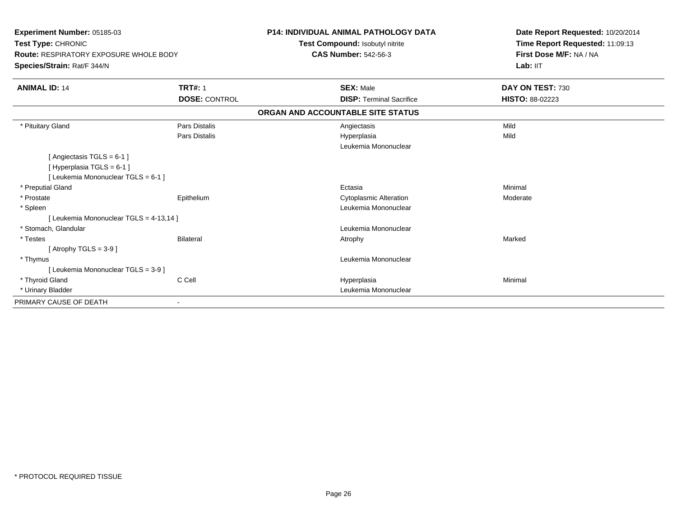| Experiment Number: 05185-03<br>Test Type: CHRONIC<br><b>Route: RESPIRATORY EXPOSURE WHOLE BODY</b> |                      | P14: INDIVIDUAL ANIMAL PATHOLOGY DATA<br>Test Compound: Isobutyl nitrite<br><b>CAS Number: 542-56-3</b> | Date Report Requested: 10/20/2014<br>Time Report Requested: 11:09:13<br>First Dose M/F: NA / NA |
|----------------------------------------------------------------------------------------------------|----------------------|---------------------------------------------------------------------------------------------------------|-------------------------------------------------------------------------------------------------|
| Species/Strain: Rat/F 344/N                                                                        |                      |                                                                                                         | Lab: IIT                                                                                        |
| <b>ANIMAL ID: 14</b>                                                                               | <b>TRT#: 1</b>       | <b>SEX: Male</b>                                                                                        | DAY ON TEST: 730                                                                                |
|                                                                                                    | <b>DOSE: CONTROL</b> | <b>DISP: Terminal Sacrifice</b>                                                                         | HISTO: 88-02223                                                                                 |
|                                                                                                    |                      | ORGAN AND ACCOUNTABLE SITE STATUS                                                                       |                                                                                                 |
| * Pituitary Gland                                                                                  | Pars Distalis        | Angiectasis                                                                                             | Mild                                                                                            |
|                                                                                                    | Pars Distalis        | Hyperplasia<br>Leukemia Mononuclear                                                                     | Mild                                                                                            |
| [ Angiectasis TGLS = 6-1 ]<br>[ Hyperplasia TGLS = 6-1 ]<br>[ Leukemia Mononuclear TGLS = 6-1 ]    |                      |                                                                                                         |                                                                                                 |
| * Preputial Gland                                                                                  |                      | Ectasia                                                                                                 | Minimal                                                                                         |
| * Prostate                                                                                         | Epithelium           | <b>Cytoplasmic Alteration</b>                                                                           | Moderate                                                                                        |
| * Spleen                                                                                           |                      | Leukemia Mononuclear                                                                                    |                                                                                                 |
| [ Leukemia Mononuclear TGLS = 4-13,14 ]                                                            |                      |                                                                                                         |                                                                                                 |
| * Stomach, Glandular                                                                               |                      | Leukemia Mononuclear                                                                                    |                                                                                                 |
| * Testes                                                                                           | Bilateral            | Atrophy                                                                                                 | Marked                                                                                          |
| [Atrophy TGLS = $3-9$ ]                                                                            |                      |                                                                                                         |                                                                                                 |
| * Thymus                                                                                           |                      | Leukemia Mononuclear                                                                                    |                                                                                                 |
| [ Leukemia Mononuclear TGLS = 3-9 ]                                                                |                      |                                                                                                         |                                                                                                 |
| * Thyroid Gland                                                                                    | C Cell               | Hyperplasia                                                                                             | Minimal                                                                                         |
| * Urinary Bladder                                                                                  |                      | Leukemia Mononuclear                                                                                    |                                                                                                 |
| PRIMARY CAUSE OF DEATH                                                                             |                      |                                                                                                         |                                                                                                 |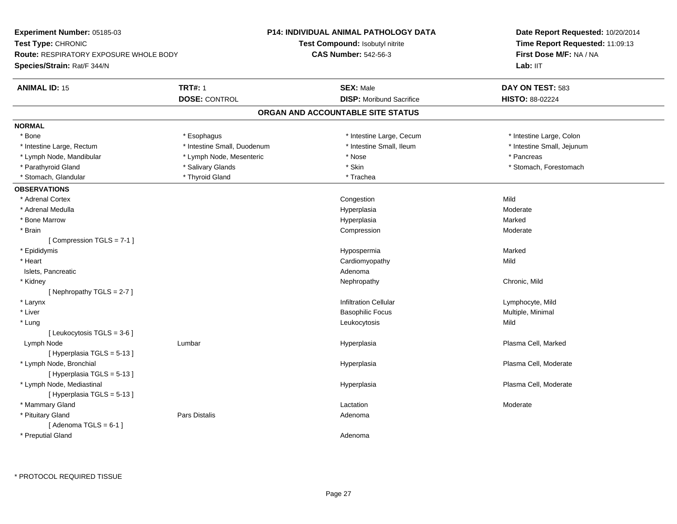| Test Type: CHRONIC<br>Test Compound: Isobutyl nitrite<br>Time Report Requested: 11:09:13<br><b>CAS Number: 542-56-3</b><br>First Dose M/F: NA / NA<br><b>Route: RESPIRATORY EXPOSURE WHOLE BODY</b><br>Lab: IIT<br>Species/Strain: Rat/F 344/N<br><b>TRT#: 1</b><br><b>ANIMAL ID: 15</b><br><b>SEX: Male</b><br>DAY ON TEST: 583<br><b>DOSE: CONTROL</b><br><b>DISP:</b> Moribund Sacrifice<br><b>HISTO: 88-02224</b><br>ORGAN AND ACCOUNTABLE SITE STATUS<br><b>NORMAL</b><br>* Bone<br>* Intestine Large, Cecum<br>* Intestine Large, Colon<br>* Esophagus<br>* Intestine Small, Duodenum<br>* Intestine Small, Ileum<br>* Intestine Small, Jejunum<br>* Intestine Large, Rectum<br>* Lymph Node, Mandibular<br>* Lymph Node, Mesenteric<br>* Nose<br>* Pancreas<br>* Skin<br>* Stomach, Forestomach<br>* Parathyroid Gland<br>* Salivary Glands<br>* Stomach, Glandular<br>* Thyroid Gland<br>* Trachea<br><b>OBSERVATIONS</b><br>Mild<br>* Adrenal Cortex<br>Congestion<br>* Adrenal Medulla<br>Hyperplasia<br>Moderate<br>Hyperplasia<br>Marked<br>* Bone Marrow<br>* Brain<br>Compression<br>Moderate<br>[Compression TGLS = 7-1]<br>* Epididymis<br>Hypospermia<br>Marked<br>* Heart<br>Cardiomyopathy<br>Mild<br>Islets, Pancreatic<br>Adenoma<br>* Kidney<br>Chronic, Mild<br>Nephropathy<br>[Nephropathy TGLS = $2-7$ ]<br><b>Infiltration Cellular</b><br>* Larynx<br>Lymphocyte, Mild<br>* Liver<br><b>Basophilic Focus</b><br>Multiple, Minimal<br>Mild<br>* Lung<br>Leukocytosis<br>[Leukocytosis $TGLS = 3-6$ ]<br>Plasma Cell, Marked<br>Lymph Node<br>Lumbar<br>Hyperplasia<br>[Hyperplasia TGLS = 5-13]<br>* Lymph Node, Bronchial<br>Plasma Cell, Moderate<br>Hyperplasia<br>[Hyperplasia TGLS = 5-13]<br>* Lymph Node, Mediastinal<br>Plasma Cell, Moderate<br>Hyperplasia<br>[Hyperplasia TGLS = 5-13]<br>* Mammary Gland<br>Lactation<br>Moderate<br>* Pituitary Gland<br>Pars Distalis<br>Adenoma<br>[Adenoma TGLS = $6-1$ ]<br>* Preputial Gland<br>Adenoma | Experiment Number: 05185-03 | P14: INDIVIDUAL ANIMAL PATHOLOGY DATA | Date Report Requested: 10/20/2014 |  |
|-------------------------------------------------------------------------------------------------------------------------------------------------------------------------------------------------------------------------------------------------------------------------------------------------------------------------------------------------------------------------------------------------------------------------------------------------------------------------------------------------------------------------------------------------------------------------------------------------------------------------------------------------------------------------------------------------------------------------------------------------------------------------------------------------------------------------------------------------------------------------------------------------------------------------------------------------------------------------------------------------------------------------------------------------------------------------------------------------------------------------------------------------------------------------------------------------------------------------------------------------------------------------------------------------------------------------------------------------------------------------------------------------------------------------------------------------------------------------------------------------------------------------------------------------------------------------------------------------------------------------------------------------------------------------------------------------------------------------------------------------------------------------------------------------------------------------------------------------------------------------------------------------------------------------------------------------------------------------------------|-----------------------------|---------------------------------------|-----------------------------------|--|
|                                                                                                                                                                                                                                                                                                                                                                                                                                                                                                                                                                                                                                                                                                                                                                                                                                                                                                                                                                                                                                                                                                                                                                                                                                                                                                                                                                                                                                                                                                                                                                                                                                                                                                                                                                                                                                                                                                                                                                                     |                             |                                       |                                   |  |
|                                                                                                                                                                                                                                                                                                                                                                                                                                                                                                                                                                                                                                                                                                                                                                                                                                                                                                                                                                                                                                                                                                                                                                                                                                                                                                                                                                                                                                                                                                                                                                                                                                                                                                                                                                                                                                                                                                                                                                                     |                             |                                       |                                   |  |
|                                                                                                                                                                                                                                                                                                                                                                                                                                                                                                                                                                                                                                                                                                                                                                                                                                                                                                                                                                                                                                                                                                                                                                                                                                                                                                                                                                                                                                                                                                                                                                                                                                                                                                                                                                                                                                                                                                                                                                                     |                             |                                       |                                   |  |
|                                                                                                                                                                                                                                                                                                                                                                                                                                                                                                                                                                                                                                                                                                                                                                                                                                                                                                                                                                                                                                                                                                                                                                                                                                                                                                                                                                                                                                                                                                                                                                                                                                                                                                                                                                                                                                                                                                                                                                                     |                             |                                       |                                   |  |
|                                                                                                                                                                                                                                                                                                                                                                                                                                                                                                                                                                                                                                                                                                                                                                                                                                                                                                                                                                                                                                                                                                                                                                                                                                                                                                                                                                                                                                                                                                                                                                                                                                                                                                                                                                                                                                                                                                                                                                                     |                             |                                       |                                   |  |
|                                                                                                                                                                                                                                                                                                                                                                                                                                                                                                                                                                                                                                                                                                                                                                                                                                                                                                                                                                                                                                                                                                                                                                                                                                                                                                                                                                                                                                                                                                                                                                                                                                                                                                                                                                                                                                                                                                                                                                                     |                             |                                       |                                   |  |
|                                                                                                                                                                                                                                                                                                                                                                                                                                                                                                                                                                                                                                                                                                                                                                                                                                                                                                                                                                                                                                                                                                                                                                                                                                                                                                                                                                                                                                                                                                                                                                                                                                                                                                                                                                                                                                                                                                                                                                                     |                             |                                       |                                   |  |
|                                                                                                                                                                                                                                                                                                                                                                                                                                                                                                                                                                                                                                                                                                                                                                                                                                                                                                                                                                                                                                                                                                                                                                                                                                                                                                                                                                                                                                                                                                                                                                                                                                                                                                                                                                                                                                                                                                                                                                                     |                             |                                       |                                   |  |
|                                                                                                                                                                                                                                                                                                                                                                                                                                                                                                                                                                                                                                                                                                                                                                                                                                                                                                                                                                                                                                                                                                                                                                                                                                                                                                                                                                                                                                                                                                                                                                                                                                                                                                                                                                                                                                                                                                                                                                                     |                             |                                       |                                   |  |
|                                                                                                                                                                                                                                                                                                                                                                                                                                                                                                                                                                                                                                                                                                                                                                                                                                                                                                                                                                                                                                                                                                                                                                                                                                                                                                                                                                                                                                                                                                                                                                                                                                                                                                                                                                                                                                                                                                                                                                                     |                             |                                       |                                   |  |
|                                                                                                                                                                                                                                                                                                                                                                                                                                                                                                                                                                                                                                                                                                                                                                                                                                                                                                                                                                                                                                                                                                                                                                                                                                                                                                                                                                                                                                                                                                                                                                                                                                                                                                                                                                                                                                                                                                                                                                                     |                             |                                       |                                   |  |
|                                                                                                                                                                                                                                                                                                                                                                                                                                                                                                                                                                                                                                                                                                                                                                                                                                                                                                                                                                                                                                                                                                                                                                                                                                                                                                                                                                                                                                                                                                                                                                                                                                                                                                                                                                                                                                                                                                                                                                                     |                             |                                       |                                   |  |
|                                                                                                                                                                                                                                                                                                                                                                                                                                                                                                                                                                                                                                                                                                                                                                                                                                                                                                                                                                                                                                                                                                                                                                                                                                                                                                                                                                                                                                                                                                                                                                                                                                                                                                                                                                                                                                                                                                                                                                                     |                             |                                       |                                   |  |
|                                                                                                                                                                                                                                                                                                                                                                                                                                                                                                                                                                                                                                                                                                                                                                                                                                                                                                                                                                                                                                                                                                                                                                                                                                                                                                                                                                                                                                                                                                                                                                                                                                                                                                                                                                                                                                                                                                                                                                                     |                             |                                       |                                   |  |
|                                                                                                                                                                                                                                                                                                                                                                                                                                                                                                                                                                                                                                                                                                                                                                                                                                                                                                                                                                                                                                                                                                                                                                                                                                                                                                                                                                                                                                                                                                                                                                                                                                                                                                                                                                                                                                                                                                                                                                                     |                             |                                       |                                   |  |
|                                                                                                                                                                                                                                                                                                                                                                                                                                                                                                                                                                                                                                                                                                                                                                                                                                                                                                                                                                                                                                                                                                                                                                                                                                                                                                                                                                                                                                                                                                                                                                                                                                                                                                                                                                                                                                                                                                                                                                                     |                             |                                       |                                   |  |
|                                                                                                                                                                                                                                                                                                                                                                                                                                                                                                                                                                                                                                                                                                                                                                                                                                                                                                                                                                                                                                                                                                                                                                                                                                                                                                                                                                                                                                                                                                                                                                                                                                                                                                                                                                                                                                                                                                                                                                                     |                             |                                       |                                   |  |
|                                                                                                                                                                                                                                                                                                                                                                                                                                                                                                                                                                                                                                                                                                                                                                                                                                                                                                                                                                                                                                                                                                                                                                                                                                                                                                                                                                                                                                                                                                                                                                                                                                                                                                                                                                                                                                                                                                                                                                                     |                             |                                       |                                   |  |
|                                                                                                                                                                                                                                                                                                                                                                                                                                                                                                                                                                                                                                                                                                                                                                                                                                                                                                                                                                                                                                                                                                                                                                                                                                                                                                                                                                                                                                                                                                                                                                                                                                                                                                                                                                                                                                                                                                                                                                                     |                             |                                       |                                   |  |
|                                                                                                                                                                                                                                                                                                                                                                                                                                                                                                                                                                                                                                                                                                                                                                                                                                                                                                                                                                                                                                                                                                                                                                                                                                                                                                                                                                                                                                                                                                                                                                                                                                                                                                                                                                                                                                                                                                                                                                                     |                             |                                       |                                   |  |
|                                                                                                                                                                                                                                                                                                                                                                                                                                                                                                                                                                                                                                                                                                                                                                                                                                                                                                                                                                                                                                                                                                                                                                                                                                                                                                                                                                                                                                                                                                                                                                                                                                                                                                                                                                                                                                                                                                                                                                                     |                             |                                       |                                   |  |
|                                                                                                                                                                                                                                                                                                                                                                                                                                                                                                                                                                                                                                                                                                                                                                                                                                                                                                                                                                                                                                                                                                                                                                                                                                                                                                                                                                                                                                                                                                                                                                                                                                                                                                                                                                                                                                                                                                                                                                                     |                             |                                       |                                   |  |
|                                                                                                                                                                                                                                                                                                                                                                                                                                                                                                                                                                                                                                                                                                                                                                                                                                                                                                                                                                                                                                                                                                                                                                                                                                                                                                                                                                                                                                                                                                                                                                                                                                                                                                                                                                                                                                                                                                                                                                                     |                             |                                       |                                   |  |
|                                                                                                                                                                                                                                                                                                                                                                                                                                                                                                                                                                                                                                                                                                                                                                                                                                                                                                                                                                                                                                                                                                                                                                                                                                                                                                                                                                                                                                                                                                                                                                                                                                                                                                                                                                                                                                                                                                                                                                                     |                             |                                       |                                   |  |
|                                                                                                                                                                                                                                                                                                                                                                                                                                                                                                                                                                                                                                                                                                                                                                                                                                                                                                                                                                                                                                                                                                                                                                                                                                                                                                                                                                                                                                                                                                                                                                                                                                                                                                                                                                                                                                                                                                                                                                                     |                             |                                       |                                   |  |
|                                                                                                                                                                                                                                                                                                                                                                                                                                                                                                                                                                                                                                                                                                                                                                                                                                                                                                                                                                                                                                                                                                                                                                                                                                                                                                                                                                                                                                                                                                                                                                                                                                                                                                                                                                                                                                                                                                                                                                                     |                             |                                       |                                   |  |
|                                                                                                                                                                                                                                                                                                                                                                                                                                                                                                                                                                                                                                                                                                                                                                                                                                                                                                                                                                                                                                                                                                                                                                                                                                                                                                                                                                                                                                                                                                                                                                                                                                                                                                                                                                                                                                                                                                                                                                                     |                             |                                       |                                   |  |
|                                                                                                                                                                                                                                                                                                                                                                                                                                                                                                                                                                                                                                                                                                                                                                                                                                                                                                                                                                                                                                                                                                                                                                                                                                                                                                                                                                                                                                                                                                                                                                                                                                                                                                                                                                                                                                                                                                                                                                                     |                             |                                       |                                   |  |
|                                                                                                                                                                                                                                                                                                                                                                                                                                                                                                                                                                                                                                                                                                                                                                                                                                                                                                                                                                                                                                                                                                                                                                                                                                                                                                                                                                                                                                                                                                                                                                                                                                                                                                                                                                                                                                                                                                                                                                                     |                             |                                       |                                   |  |
|                                                                                                                                                                                                                                                                                                                                                                                                                                                                                                                                                                                                                                                                                                                                                                                                                                                                                                                                                                                                                                                                                                                                                                                                                                                                                                                                                                                                                                                                                                                                                                                                                                                                                                                                                                                                                                                                                                                                                                                     |                             |                                       |                                   |  |
|                                                                                                                                                                                                                                                                                                                                                                                                                                                                                                                                                                                                                                                                                                                                                                                                                                                                                                                                                                                                                                                                                                                                                                                                                                                                                                                                                                                                                                                                                                                                                                                                                                                                                                                                                                                                                                                                                                                                                                                     |                             |                                       |                                   |  |
|                                                                                                                                                                                                                                                                                                                                                                                                                                                                                                                                                                                                                                                                                                                                                                                                                                                                                                                                                                                                                                                                                                                                                                                                                                                                                                                                                                                                                                                                                                                                                                                                                                                                                                                                                                                                                                                                                                                                                                                     |                             |                                       |                                   |  |
|                                                                                                                                                                                                                                                                                                                                                                                                                                                                                                                                                                                                                                                                                                                                                                                                                                                                                                                                                                                                                                                                                                                                                                                                                                                                                                                                                                                                                                                                                                                                                                                                                                                                                                                                                                                                                                                                                                                                                                                     |                             |                                       |                                   |  |
|                                                                                                                                                                                                                                                                                                                                                                                                                                                                                                                                                                                                                                                                                                                                                                                                                                                                                                                                                                                                                                                                                                                                                                                                                                                                                                                                                                                                                                                                                                                                                                                                                                                                                                                                                                                                                                                                                                                                                                                     |                             |                                       |                                   |  |
|                                                                                                                                                                                                                                                                                                                                                                                                                                                                                                                                                                                                                                                                                                                                                                                                                                                                                                                                                                                                                                                                                                                                                                                                                                                                                                                                                                                                                                                                                                                                                                                                                                                                                                                                                                                                                                                                                                                                                                                     |                             |                                       |                                   |  |
|                                                                                                                                                                                                                                                                                                                                                                                                                                                                                                                                                                                                                                                                                                                                                                                                                                                                                                                                                                                                                                                                                                                                                                                                                                                                                                                                                                                                                                                                                                                                                                                                                                                                                                                                                                                                                                                                                                                                                                                     |                             |                                       |                                   |  |
|                                                                                                                                                                                                                                                                                                                                                                                                                                                                                                                                                                                                                                                                                                                                                                                                                                                                                                                                                                                                                                                                                                                                                                                                                                                                                                                                                                                                                                                                                                                                                                                                                                                                                                                                                                                                                                                                                                                                                                                     |                             |                                       |                                   |  |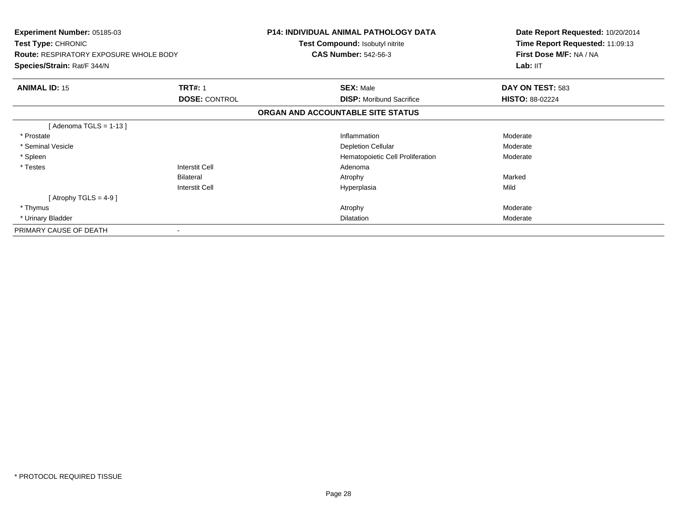| <b>Experiment Number: 05185-03</b><br>Test Type: CHRONIC<br><b>Route: RESPIRATORY EXPOSURE WHOLE BODY</b> |                       | <b>P14: INDIVIDUAL ANIMAL PATHOLOGY DATA</b><br>Test Compound: Isobutyl nitrite<br><b>CAS Number: 542-56-3</b> | Date Report Requested: 10/20/2014<br>Time Report Requested: 11:09:13<br>First Dose M/F: NA / NA<br>Lab: II <sub>T</sub> |
|-----------------------------------------------------------------------------------------------------------|-----------------------|----------------------------------------------------------------------------------------------------------------|-------------------------------------------------------------------------------------------------------------------------|
| Species/Strain: Rat/F 344/N                                                                               |                       |                                                                                                                |                                                                                                                         |
| <b>ANIMAL ID: 15</b>                                                                                      | <b>TRT#: 1</b>        | <b>SEX: Male</b>                                                                                               | DAY ON TEST: 583                                                                                                        |
|                                                                                                           | <b>DOSE: CONTROL</b>  | <b>DISP:</b> Moribund Sacrifice                                                                                | <b>HISTO: 88-02224</b>                                                                                                  |
|                                                                                                           |                       | ORGAN AND ACCOUNTABLE SITE STATUS                                                                              |                                                                                                                         |
| [ Adenoma TGLS = 1-13 ]                                                                                   |                       |                                                                                                                |                                                                                                                         |
| * Prostate                                                                                                |                       | Inflammation                                                                                                   | Moderate                                                                                                                |
| * Seminal Vesicle                                                                                         |                       | <b>Depletion Cellular</b>                                                                                      | Moderate                                                                                                                |
| * Spleen                                                                                                  |                       | Hematopoietic Cell Proliferation                                                                               | Moderate                                                                                                                |
| * Testes                                                                                                  | Interstit Cell        | Adenoma                                                                                                        |                                                                                                                         |
|                                                                                                           | <b>Bilateral</b>      | Atrophy                                                                                                        | Marked                                                                                                                  |
|                                                                                                           | <b>Interstit Cell</b> | Hyperplasia                                                                                                    | Mild                                                                                                                    |
| [ Atrophy TGLS = $4-9$ ]                                                                                  |                       |                                                                                                                |                                                                                                                         |
| * Thymus                                                                                                  |                       | Atrophy                                                                                                        | Moderate                                                                                                                |
| * Urinary Bladder                                                                                         |                       | Dilatation                                                                                                     | Moderate                                                                                                                |
| PRIMARY CAUSE OF DEATH                                                                                    |                       |                                                                                                                |                                                                                                                         |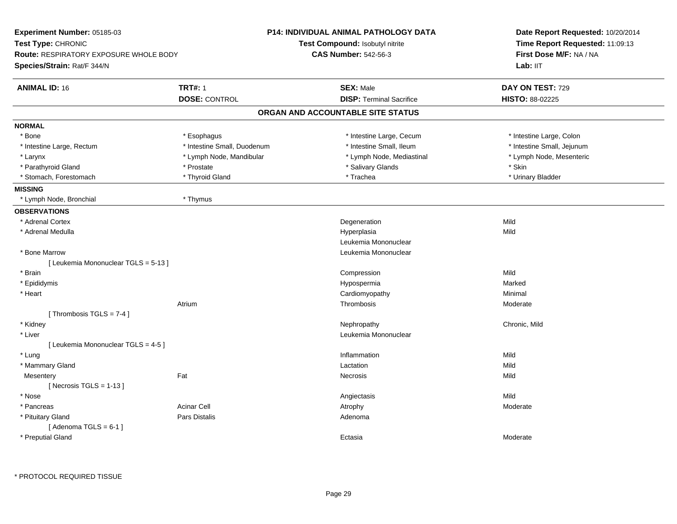| Experiment Number: 05185-03            |                             | P14: INDIVIDUAL ANIMAL PATHOLOGY DATA | Date Report Requested: 10/20/2014<br>Time Report Requested: 11:09:13<br>First Dose M/F: NA / NA |  |
|----------------------------------------|-----------------------------|---------------------------------------|-------------------------------------------------------------------------------------------------|--|
| Test Type: CHRONIC                     |                             | Test Compound: Isobutyl nitrite       |                                                                                                 |  |
| Route: RESPIRATORY EXPOSURE WHOLE BODY |                             | <b>CAS Number: 542-56-3</b>           |                                                                                                 |  |
| Species/Strain: Rat/F 344/N            |                             |                                       | Lab: IIT                                                                                        |  |
| <b>ANIMAL ID: 16</b>                   | <b>TRT#: 1</b>              | <b>SEX: Male</b>                      | DAY ON TEST: 729                                                                                |  |
|                                        | <b>DOSE: CONTROL</b>        | <b>DISP: Terminal Sacrifice</b>       | HISTO: 88-02225                                                                                 |  |
|                                        |                             | ORGAN AND ACCOUNTABLE SITE STATUS     |                                                                                                 |  |
| <b>NORMAL</b>                          |                             |                                       |                                                                                                 |  |
| * Bone                                 | * Esophagus                 | * Intestine Large, Cecum              | * Intestine Large, Colon                                                                        |  |
| * Intestine Large, Rectum              | * Intestine Small, Duodenum | * Intestine Small, Ileum              | * Intestine Small, Jejunum                                                                      |  |
| * Larynx                               | * Lymph Node, Mandibular    | * Lymph Node, Mediastinal             | * Lymph Node, Mesenteric                                                                        |  |
| * Parathyroid Gland                    | * Prostate                  | * Salivary Glands                     | * Skin                                                                                          |  |
| * Stomach, Forestomach                 | * Thyroid Gland             | * Trachea                             | * Urinary Bladder                                                                               |  |
| <b>MISSING</b>                         |                             |                                       |                                                                                                 |  |
| * Lymph Node, Bronchial                | * Thymus                    |                                       |                                                                                                 |  |
| <b>OBSERVATIONS</b>                    |                             |                                       |                                                                                                 |  |
| * Adrenal Cortex                       |                             | Degeneration                          | Mild                                                                                            |  |
| * Adrenal Medulla                      |                             | Hyperplasia                           | Mild                                                                                            |  |
|                                        |                             | Leukemia Mononuclear                  |                                                                                                 |  |
| * Bone Marrow                          |                             | Leukemia Mononuclear                  |                                                                                                 |  |
| [Leukemia Mononuclear TGLS = 5-13]     |                             |                                       |                                                                                                 |  |
| * Brain                                |                             | Compression                           | Mild                                                                                            |  |
| * Epididymis                           |                             | Hypospermia                           | Marked                                                                                          |  |
| * Heart                                |                             | Cardiomyopathy                        | Minimal                                                                                         |  |
|                                        | Atrium                      | Thrombosis                            | Moderate                                                                                        |  |
| [Thrombosis TGLS = $7-4$ ]             |                             |                                       |                                                                                                 |  |
| * Kidney                               |                             | Nephropathy                           | Chronic, Mild                                                                                   |  |
| * Liver                                |                             | Leukemia Mononuclear                  |                                                                                                 |  |
| [ Leukemia Mononuclear TGLS = 4-5 ]    |                             |                                       |                                                                                                 |  |
| * Lung                                 |                             | Inflammation                          | Mild                                                                                            |  |
| * Mammary Gland                        |                             | Lactation                             | Mild                                                                                            |  |
| Mesentery                              | Fat                         | Necrosis                              | Mild                                                                                            |  |
| [ Necrosis TGLS = $1-13$ ]             |                             |                                       |                                                                                                 |  |
| * Nose                                 |                             | Angiectasis                           | Mild                                                                                            |  |
| * Pancreas                             | Acinar Cell                 | Atrophy                               | Moderate                                                                                        |  |
| * Pituitary Gland                      | Pars Distalis               | Adenoma                               |                                                                                                 |  |
| [Adenoma TGLS = $6-1$ ]                |                             |                                       |                                                                                                 |  |
| * Preputial Gland                      |                             | Ectasia                               | Moderate                                                                                        |  |

\* PROTOCOL REQUIRED TISSUE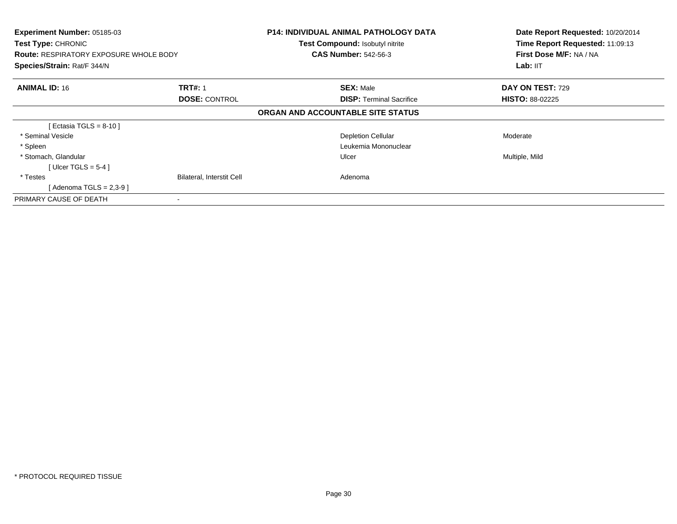| Experiment Number: 05185-03<br><b>Test Type: CHRONIC</b><br><b>Route: RESPIRATORY EXPOSURE WHOLE BODY</b><br>Species/Strain: Rat/F 344/N |                                        | <b>P14: INDIVIDUAL ANIMAL PATHOLOGY DATA</b><br>Test Compound: Isobutyl nitrite<br><b>CAS Number: 542-56-3</b> | Date Report Requested: 10/20/2014<br>Time Report Requested: 11:09:13<br>First Dose M/F: NA / NA<br>Lab: IIT |
|------------------------------------------------------------------------------------------------------------------------------------------|----------------------------------------|----------------------------------------------------------------------------------------------------------------|-------------------------------------------------------------------------------------------------------------|
| <b>ANIMAL ID: 16</b>                                                                                                                     | <b>TRT#: 1</b><br><b>DOSE: CONTROL</b> | <b>SEX: Male</b><br><b>DISP: Terminal Sacrifice</b>                                                            | DAY ON TEST: 729<br><b>HISTO: 88-02225</b>                                                                  |
|                                                                                                                                          |                                        | ORGAN AND ACCOUNTABLE SITE STATUS                                                                              |                                                                                                             |
| [ Ectasia TGLS = 8-10 ]                                                                                                                  |                                        |                                                                                                                |                                                                                                             |
| * Seminal Vesicle                                                                                                                        |                                        | <b>Depletion Cellular</b>                                                                                      | Moderate                                                                                                    |
| * Spleen                                                                                                                                 |                                        | Leukemia Mononuclear                                                                                           |                                                                                                             |
| * Stomach, Glandular<br>[ Ulcer TGLS = $5-4$ ]                                                                                           |                                        | Ulcer                                                                                                          | Multiple, Mild                                                                                              |
| * Testes<br>[ Adenoma TGLS = 2,3-9 ]                                                                                                     | <b>Bilateral, Interstit Cell</b>       | Adenoma                                                                                                        |                                                                                                             |
| PRIMARY CAUSE OF DEATH                                                                                                                   |                                        |                                                                                                                |                                                                                                             |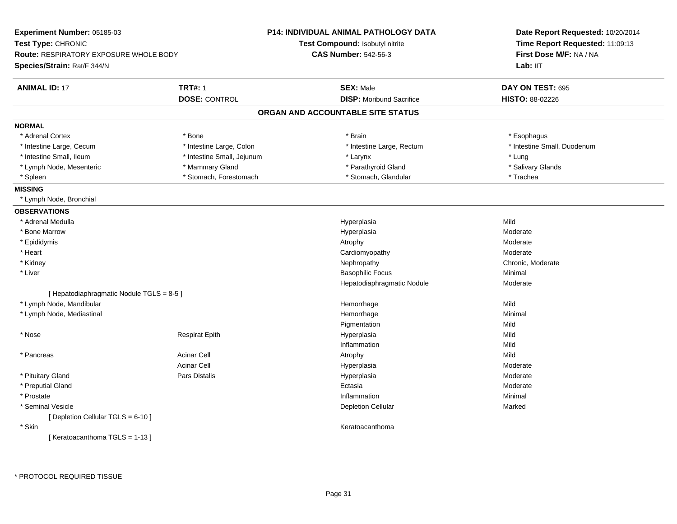| Experiment Number: 05185-03                                         |                            | <b>P14: INDIVIDUAL ANIMAL PATHOLOGY DATA</b> | Date Report Requested: 10/20/2014                          |  |
|---------------------------------------------------------------------|----------------------------|----------------------------------------------|------------------------------------------------------------|--|
| Test Type: CHRONIC<br><b>Route: RESPIRATORY EXPOSURE WHOLE BODY</b> |                            | Test Compound: Isobutyl nitrite              | Time Report Requested: 11:09:13<br>First Dose M/F: NA / NA |  |
|                                                                     |                            | <b>CAS Number: 542-56-3</b>                  |                                                            |  |
| Species/Strain: Rat/F 344/N                                         |                            |                                              | Lab: II <sub>T</sub>                                       |  |
| <b>ANIMAL ID: 17</b>                                                | <b>TRT#: 1</b>             | <b>SEX: Male</b>                             | DAY ON TEST: 695                                           |  |
|                                                                     | <b>DOSE: CONTROL</b>       | <b>DISP: Moribund Sacrifice</b>              | HISTO: 88-02226                                            |  |
|                                                                     |                            | ORGAN AND ACCOUNTABLE SITE STATUS            |                                                            |  |
| <b>NORMAL</b>                                                       |                            |                                              |                                                            |  |
| * Adrenal Cortex                                                    | * Bone                     | * Brain                                      | * Esophagus                                                |  |
| * Intestine Large, Cecum                                            | * Intestine Large, Colon   | * Intestine Large, Rectum                    | * Intestine Small, Duodenum                                |  |
| * Intestine Small, Ileum                                            | * Intestine Small, Jejunum | * Larynx                                     | * Lung                                                     |  |
| * Lymph Node, Mesenteric                                            | * Mammary Gland            | * Parathyroid Gland                          | * Salivary Glands                                          |  |
| * Spleen                                                            | * Stomach, Forestomach     | * Stomach, Glandular                         | * Trachea                                                  |  |
| <b>MISSING</b>                                                      |                            |                                              |                                                            |  |
| * Lymph Node, Bronchial                                             |                            |                                              |                                                            |  |
| <b>OBSERVATIONS</b>                                                 |                            |                                              |                                                            |  |
| * Adrenal Medulla                                                   |                            | Hyperplasia                                  | Mild                                                       |  |
| * Bone Marrow                                                       |                            | Hyperplasia                                  | Moderate                                                   |  |
| * Epididymis                                                        |                            | Atrophy                                      | Moderate                                                   |  |
| * Heart                                                             |                            | Cardiomyopathy                               | Moderate                                                   |  |
| * Kidney                                                            |                            | Nephropathy                                  | Chronic, Moderate                                          |  |
| * Liver                                                             |                            | <b>Basophilic Focus</b>                      | Minimal                                                    |  |
|                                                                     |                            | Hepatodiaphragmatic Nodule                   | Moderate                                                   |  |
| [ Hepatodiaphragmatic Nodule TGLS = 8-5 ]                           |                            |                                              |                                                            |  |
| * Lymph Node, Mandibular                                            |                            | Hemorrhage                                   | Mild                                                       |  |
| * Lymph Node, Mediastinal                                           |                            | Hemorrhage                                   | Minimal                                                    |  |
|                                                                     |                            | Pigmentation                                 | Mild                                                       |  |
| * Nose                                                              | <b>Respirat Epith</b>      | Hyperplasia                                  | Mild                                                       |  |
|                                                                     |                            | Inflammation                                 | Mild                                                       |  |
| * Pancreas                                                          | <b>Acinar Cell</b>         | Atrophy                                      | Mild                                                       |  |
|                                                                     | <b>Acinar Cell</b>         | Hyperplasia                                  | Moderate                                                   |  |
| * Pituitary Gland                                                   | <b>Pars Distalis</b>       | Hyperplasia                                  | Moderate                                                   |  |
| * Preputial Gland                                                   |                            | Ectasia                                      | Moderate                                                   |  |
| * Prostate                                                          |                            | Inflammation                                 | Minimal                                                    |  |
| * Seminal Vesicle                                                   |                            | <b>Depletion Cellular</b>                    | Marked                                                     |  |
| [ Depletion Cellular TGLS = 6-10 ]                                  |                            |                                              |                                                            |  |
| * Skin                                                              |                            | Keratoacanthoma                              |                                                            |  |
| [Keratoacanthoma TGLS = 1-13]                                       |                            |                                              |                                                            |  |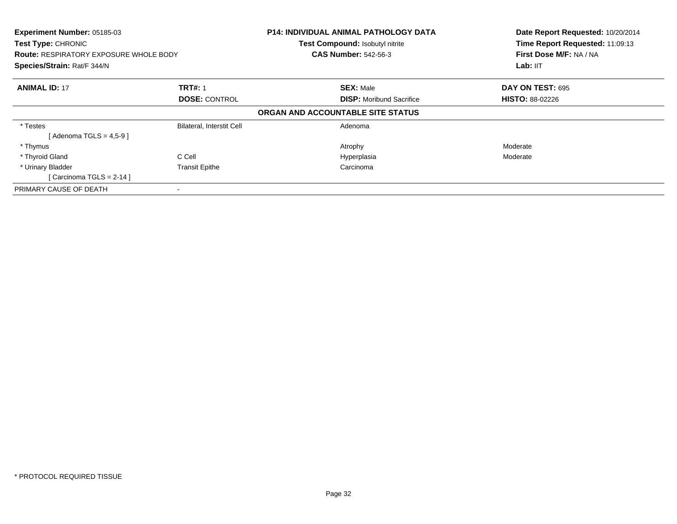| Experiment Number: 05185-03<br>Test Type: CHRONIC<br><b>Route: RESPIRATORY EXPOSURE WHOLE BODY</b><br>Species/Strain: Rat/F 344/N |                           | <b>P14: INDIVIDUAL ANIMAL PATHOLOGY DATA</b><br>Test Compound: Isobutyl nitrite<br><b>CAS Number: 542-56-3</b> | Date Report Requested: 10/20/2014<br>Time Report Requested: 11:09:13<br>First Dose M/F: NA / NA<br>Lab: IIT |  |
|-----------------------------------------------------------------------------------------------------------------------------------|---------------------------|----------------------------------------------------------------------------------------------------------------|-------------------------------------------------------------------------------------------------------------|--|
| <b>ANIMAL ID: 17</b>                                                                                                              | <b>TRT#: 1</b>            | <b>SEX: Male</b>                                                                                               | DAY ON TEST: 695                                                                                            |  |
|                                                                                                                                   | <b>DOSE: CONTROL</b>      | <b>DISP:</b> Moribund Sacrifice                                                                                | <b>HISTO: 88-02226</b>                                                                                      |  |
|                                                                                                                                   |                           | ORGAN AND ACCOUNTABLE SITE STATUS                                                                              |                                                                                                             |  |
| * Testes                                                                                                                          | Bilateral, Interstit Cell | Adenoma                                                                                                        |                                                                                                             |  |
| [Adenoma TGLS = $4,5-9$ ]                                                                                                         |                           |                                                                                                                |                                                                                                             |  |
| * Thymus                                                                                                                          |                           | Atrophy                                                                                                        | Moderate                                                                                                    |  |
| * Thyroid Gland                                                                                                                   | C Cell                    | Hyperplasia                                                                                                    | Moderate                                                                                                    |  |
| * Urinary Bladder                                                                                                                 | <b>Transit Epithe</b>     | Carcinoma                                                                                                      |                                                                                                             |  |
| [Carcinoma TGLS = $2-14$ ]                                                                                                        |                           |                                                                                                                |                                                                                                             |  |
| PRIMARY CAUSE OF DEATH                                                                                                            |                           |                                                                                                                |                                                                                                             |  |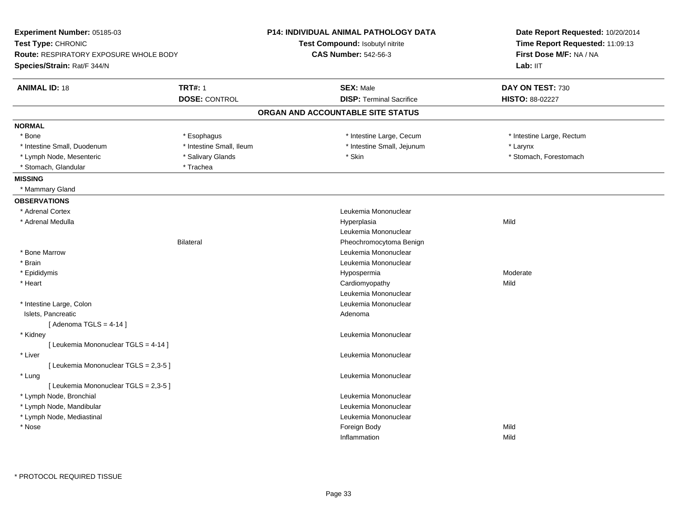| Experiment Number: 05185-03                                  |                          | P14: INDIVIDUAL ANIMAL PATHOLOGY DATA | Date Report Requested: 10/20/2014 |  |
|--------------------------------------------------------------|--------------------------|---------------------------------------|-----------------------------------|--|
| Test Type: CHRONIC<br>Route: RESPIRATORY EXPOSURE WHOLE BODY |                          | Test Compound: Isobutyl nitrite       | Time Report Requested: 11:09:13   |  |
|                                                              |                          | <b>CAS Number: 542-56-3</b>           | First Dose M/F: NA / NA           |  |
| Species/Strain: Rat/F 344/N                                  |                          |                                       | Lab: IIT                          |  |
| <b>ANIMAL ID: 18</b>                                         | <b>TRT#: 1</b>           | <b>SEX: Male</b>                      | DAY ON TEST: 730                  |  |
|                                                              | <b>DOSE: CONTROL</b>     | <b>DISP: Terminal Sacrifice</b>       | <b>HISTO: 88-02227</b>            |  |
|                                                              |                          | ORGAN AND ACCOUNTABLE SITE STATUS     |                                   |  |
| <b>NORMAL</b>                                                |                          |                                       |                                   |  |
| * Bone                                                       | * Esophagus              | * Intestine Large, Cecum              | * Intestine Large, Rectum         |  |
| * Intestine Small, Duodenum                                  | * Intestine Small, Ileum | * Intestine Small, Jejunum            | * Larynx                          |  |
| * Lymph Node, Mesenteric                                     | * Salivary Glands        | * Skin                                | * Stomach, Forestomach            |  |
| * Stomach, Glandular                                         | * Trachea                |                                       |                                   |  |
| <b>MISSING</b>                                               |                          |                                       |                                   |  |
| * Mammary Gland                                              |                          |                                       |                                   |  |
| <b>OBSERVATIONS</b>                                          |                          |                                       |                                   |  |
| * Adrenal Cortex                                             |                          | Leukemia Mononuclear                  |                                   |  |
| * Adrenal Medulla                                            |                          | Hyperplasia                           | Mild                              |  |
|                                                              |                          | Leukemia Mononuclear                  |                                   |  |
|                                                              | <b>Bilateral</b>         | Pheochromocytoma Benign               |                                   |  |
| * Bone Marrow                                                |                          | Leukemia Mononuclear                  |                                   |  |
| * Brain                                                      |                          | Leukemia Mononuclear                  |                                   |  |
| * Epididymis                                                 |                          | Hypospermia                           | Moderate                          |  |
| * Heart                                                      |                          | Cardiomyopathy                        | Mild                              |  |
|                                                              |                          | Leukemia Mononuclear                  |                                   |  |
| * Intestine Large, Colon                                     |                          | Leukemia Mononuclear                  |                                   |  |
| Islets, Pancreatic                                           |                          | Adenoma                               |                                   |  |
| [Adenoma TGLS = $4-14$ ]                                     |                          |                                       |                                   |  |
| * Kidney                                                     |                          | Leukemia Mononuclear                  |                                   |  |
| [ Leukemia Mononuclear TGLS = 4-14 ]                         |                          |                                       |                                   |  |
| * Liver                                                      |                          | Leukemia Mononuclear                  |                                   |  |
| [ Leukemia Mononuclear TGLS = 2,3-5 ]                        |                          |                                       |                                   |  |
| * Lung                                                       |                          | Leukemia Mononuclear                  |                                   |  |
| [ Leukemia Mononuclear TGLS = 2,3-5 ]                        |                          |                                       |                                   |  |
| * Lymph Node, Bronchial                                      |                          | Leukemia Mononuclear                  |                                   |  |
| * Lymph Node, Mandibular                                     |                          | Leukemia Mononuclear                  |                                   |  |
| * Lymph Node, Mediastinal                                    |                          | Leukemia Mononuclear                  |                                   |  |
| * Nose                                                       |                          | Foreign Body                          | Mild                              |  |
|                                                              |                          | Inflammation                          | Mild                              |  |
|                                                              |                          |                                       |                                   |  |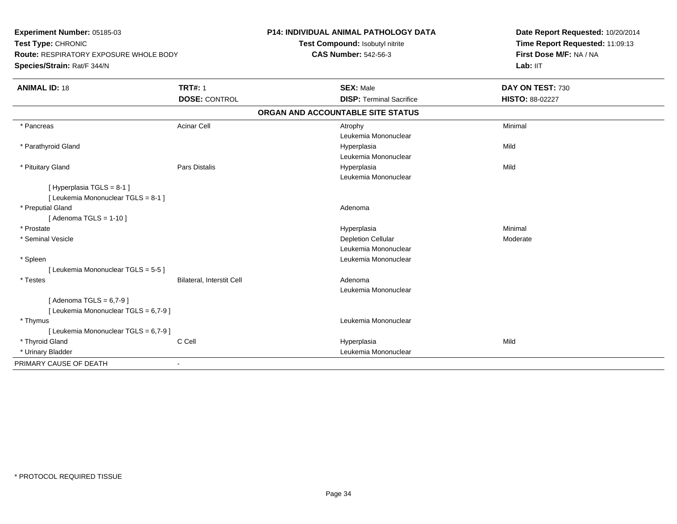| Experiment Number: 05185-03<br>Test Type: CHRONIC<br><b>Route: RESPIRATORY EXPOSURE WHOLE BODY</b><br>Species/Strain: Rat/F 344/N |                           | P14: INDIVIDUAL ANIMAL PATHOLOGY DATA<br>Test Compound: Isobutyl nitrite<br><b>CAS Number: 542-56-3</b> |                                     | Date Report Requested: 10/20/2014<br>Time Report Requested: 11:09:13<br>First Dose M/F: NA / NA<br>Lab: IIT |
|-----------------------------------------------------------------------------------------------------------------------------------|---------------------------|---------------------------------------------------------------------------------------------------------|-------------------------------------|-------------------------------------------------------------------------------------------------------------|
| <b>ANIMAL ID: 18</b>                                                                                                              | <b>TRT#: 1</b>            |                                                                                                         | <b>SEX: Male</b>                    | DAY ON TEST: 730                                                                                            |
|                                                                                                                                   | <b>DOSE: CONTROL</b>      |                                                                                                         | <b>DISP: Terminal Sacrifice</b>     | HISTO: 88-02227                                                                                             |
|                                                                                                                                   |                           |                                                                                                         | ORGAN AND ACCOUNTABLE SITE STATUS   |                                                                                                             |
| * Pancreas                                                                                                                        | <b>Acinar Cell</b>        |                                                                                                         | Atrophy<br>Leukemia Mononuclear     | Minimal                                                                                                     |
| * Parathyroid Gland                                                                                                               |                           |                                                                                                         | Hyperplasia<br>Leukemia Mononuclear | Mild                                                                                                        |
| * Pituitary Gland                                                                                                                 | <b>Pars Distalis</b>      |                                                                                                         | Hyperplasia<br>Leukemia Mononuclear | Mild                                                                                                        |
| [Hyperplasia TGLS = 8-1]<br>[ Leukemia Mononuclear TGLS = 8-1 ]                                                                   |                           |                                                                                                         |                                     |                                                                                                             |
| * Preputial Gland<br>[Adenoma TGLS = $1-10$ ]                                                                                     |                           |                                                                                                         | Adenoma                             |                                                                                                             |
| * Prostate                                                                                                                        |                           |                                                                                                         | Hyperplasia                         | Minimal                                                                                                     |
| * Seminal Vesicle                                                                                                                 |                           |                                                                                                         | <b>Depletion Cellular</b>           | Moderate                                                                                                    |
|                                                                                                                                   |                           |                                                                                                         | Leukemia Mononuclear                |                                                                                                             |
| * Spleen                                                                                                                          |                           |                                                                                                         | Leukemia Mononuclear                |                                                                                                             |
| [ Leukemia Mononuclear TGLS = 5-5 ]                                                                                               |                           |                                                                                                         |                                     |                                                                                                             |
| * Testes                                                                                                                          | Bilateral, Interstit Cell |                                                                                                         | Adenoma                             |                                                                                                             |
|                                                                                                                                   |                           |                                                                                                         | Leukemia Mononuclear                |                                                                                                             |
| [Adenoma TGLS = $6,7-9$ ]<br>[ Leukemia Mononuclear TGLS = 6,7-9 ]                                                                |                           |                                                                                                         |                                     |                                                                                                             |
| * Thymus                                                                                                                          |                           |                                                                                                         | Leukemia Mononuclear                |                                                                                                             |
| [ Leukemia Mononuclear TGLS = 6,7-9 ]                                                                                             |                           |                                                                                                         |                                     |                                                                                                             |
| * Thyroid Gland                                                                                                                   | C Cell                    |                                                                                                         | Hyperplasia                         | Mild                                                                                                        |
| * Urinary Bladder                                                                                                                 |                           |                                                                                                         | Leukemia Mononuclear                |                                                                                                             |
| PRIMARY CAUSE OF DEATH                                                                                                            | $\blacksquare$            |                                                                                                         |                                     |                                                                                                             |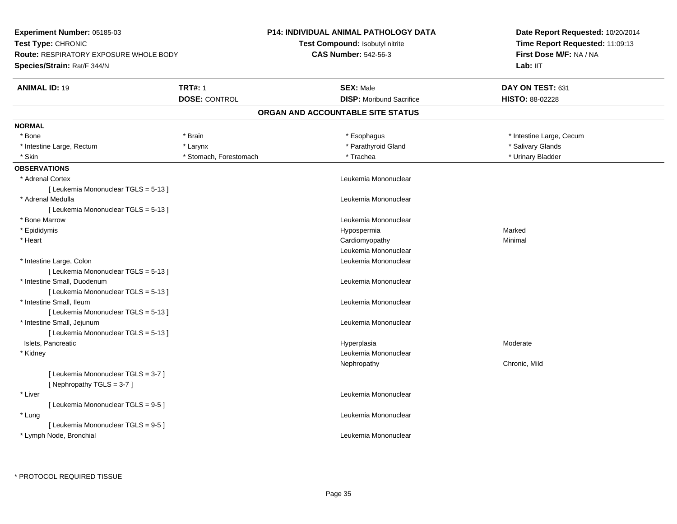**Experiment Number:** 05185-03**Test Type:** CHRONIC **Route:** RESPIRATORY EXPOSURE WHOLE BODY**Species/Strain:** Rat/F 344/N**P14: INDIVIDUAL ANIMAL PATHOLOGY DATATest Compound:** Isobutyl nitrite**CAS Number:** 542-56-3**Date Report Requested:** 10/20/2014**Time Report Requested:** 11:09:13**First Dose M/F:** NA / NALab: IIT **ANIMAL ID:** 19**TRT#:** 1 **SEX:** Male **DAY ON TEST:** 631 **DOSE:** CONTROL**DISP:** Moribund Sacrifice **HISTO:** 88-02228 **ORGAN AND ACCOUNTABLE SITE STATUSNORMAL**\* Bone \* Brain \* Esophagus \* Esophagus \* Esophagus \* 11testine Large, Cecum \* Intestine Large, Rectum \* The state of the state of the state of the state of the state of the state of the state of the state of the state of the state of the state of the state of the state of the state of the state of \* Urinary Bladder \* Skin \* New York \* Stomach, Forestomach \* New York \* Trachea **OBSERVATIONS** \* Adrenal Cortex Leukemia Mononuclear [ Leukemia Mononuclear TGLS = 5-13 ] \* Adrenal Medulla Leukemia Mononuclear [ Leukemia Mononuclear TGLS = 5-13 ] \* Bone MarrowLeukemia Mononuclear<br>Hypospermia \* Epididymis Hypospermiaa and a more contained to the Marked \* Heart Cardiomyopathy Minimal Leukemia Mononuclear \* Intestine Large, Colon Leukemia Mononuclear [ Leukemia Mononuclear TGLS = 5-13 ] \* Intestine Small, Duodenum Leukemia Mononuclear [ Leukemia Mononuclear TGLS = 5-13 ] \* Intestine Small, Ileum Leukemia Mononuclear [ Leukemia Mononuclear TGLS = 5-13 ] \* Intestine Small, Jejunum Leukemia Mononuclear [ Leukemia Mononuclear TGLS = 5-13 ] Islets, Pancreaticc description of the control of the control of the control of the control of the control of the control of the control of the control of the control of the control of the control of the control of the control of the contro Hyperplasia Moderate \* Kidney Leukemia Mononuclear Nephropathy Chronic, Mild[ Leukemia Mononuclear TGLS = 3-7 ][ Nephropathy TGLS = 3-7 ] \* Liver Leukemia Mononuclear [ Leukemia Mononuclear TGLS = 9-5 ] \* Lung Leukemia Mononuclear [ Leukemia Mononuclear TGLS = 9-5 ] \* Lymph Node, BronchialLeukemia Mononuclear

\* PROTOCOL REQUIRED TISSUE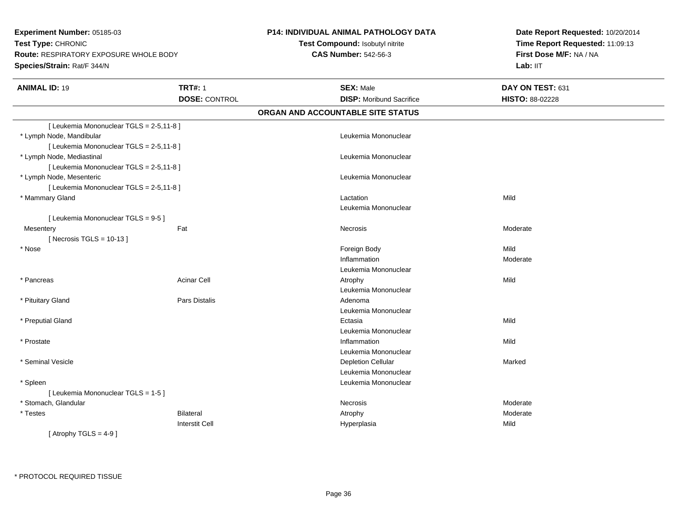**Experiment Number:** 05185-03**Test Type:** CHRONIC **Route:** RESPIRATORY EXPOSURE WHOLE BODY**Species/Strain:** Rat/F 344/N**P14: INDIVIDUAL ANIMAL PATHOLOGY DATATest Compound:** Isobutyl nitrite**CAS Number:** 542-56-3**Date Report Requested:** 10/20/2014**Time Report Requested:** 11:09:13**First Dose M/F:** NA / NALab: IIT **ANIMAL ID:** 19**TRT#:** 1 **SEX:** Male **DAY ON TEST:** 631 **DOSE:** CONTROL **DISP:** Moribund Sacrifice **HISTO:** 88-02228 **ORGAN AND ACCOUNTABLE SITE STATUS**[ Leukemia Mononuclear TGLS = 2-5,11-8 ] \* Lymph Node, Mandibular Leukemia Mononuclear [ Leukemia Mononuclear TGLS = 2-5,11-8 ] \* Lymph Node, Mediastinal Leukemia Mononuclear[ Leukemia Mononuclear TGLS = 2-5,11-8 ] \* Lymph Node, Mesenteric Leukemia Mononuclear [ Leukemia Mononuclear TGLS = 2-5,11-8 ] \* Mammary Glandd and the control of the control of the control of the control of the control of the control of the control of the control of the control of the control of the control of the control of the control of the control of the co Leukemia Mononuclear[ Leukemia Mononuclear TGLS = 9-5 ]**Mesentery** y the control of the set of the control of the Moderate of the Moderate of the Moderate of the Moderate of the Moderate of the Moderate of the Moderate of the Moderate of the Moderate of the Moderate of the Moderate of the  $[$  Necrosis TGLS = 10-13  $]$  \* Nosee and the state of the state of the state of the state of the state of the state of the state of the state of the state of the state of the state of the state of the state of the state of the state of the state of the stat Inflammation Moderate Leukemia Mononuclear \* Pancreass and the contract of the Acinar Cell and the Cell and the Atrophy and Atrophy and the Mild and Mild and Mild and Mild and Mild and Mild and Mild and Mild and Mild and Mild and Mild and Mild and Mild and Mild and Mild and Leukemia Mononuclear \* Pituitary Glandd and the set of Pars Distalis and the Second Adenomal Adenomal Second Second Pars Distallis Leukemia Mononuclear \* Preputial Glandd and the control of the control of the control of the control of the control of the control of the control of the control of the control of the control of the control of the control of the control of the control of the co Leukemia Mononuclear \* Prostatee discussion of the control of the control of the control of the control of the control of the control of the control of the control of the control of the control of the control of the control of the control of the control Leukemia Mononuclear \* Seminal Vesiclee and the contract of the contract of the contract of the Depletion Cellular contract of the Marked Marked of the Marked of the contract of the contract of the contract of the contract of the contract of the contract of th Leukemia Mononuclear \* Spleenn and the control of the control of the control of the control of the control of the control of the control of the control of the control of the control of the control of the control of the control of the control of the co [ Leukemia Mononuclear TGLS = 1-5 ] \* Stomach, Glandularr **Necrosis** Necrosis Moderate Moderate \* Testess Bilateral Atrophy Moderate Interstit Cell Hyperplasiaa Mild  $[$  Atrophy TGLS = 4-9  $]$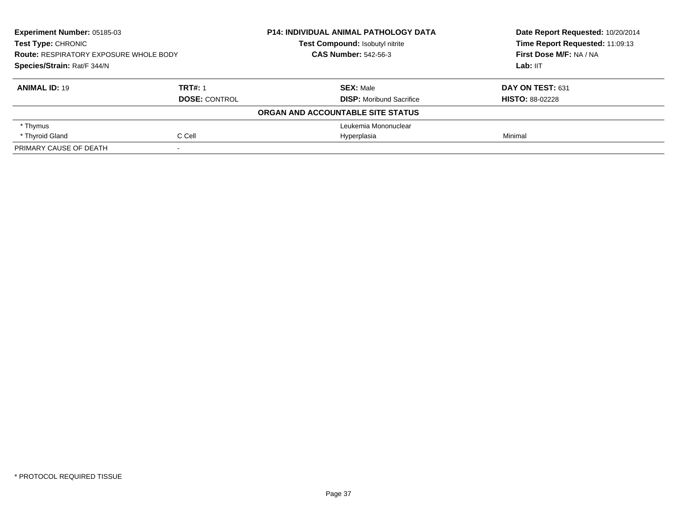| Experiment Number: 05185-03<br><b>Test Type: CHRONIC</b><br><b>Route: RESPIRATORY EXPOSURE WHOLE BODY</b><br>Species/Strain: Rat/F 344/N |                      | <b>P14: INDIVIDUAL ANIMAL PATHOLOGY DATA</b> | Date Report Requested: 10/20/2014<br>Time Report Requested: 11:09:13 |
|------------------------------------------------------------------------------------------------------------------------------------------|----------------------|----------------------------------------------|----------------------------------------------------------------------|
|                                                                                                                                          |                      | <b>Test Compound: Isobutyl nitrite</b>       |                                                                      |
|                                                                                                                                          |                      | <b>CAS Number: 542-56-3</b>                  | First Dose M/F: NA / NA                                              |
|                                                                                                                                          |                      |                                              | Lab: IIT                                                             |
| <b>ANIMAL ID: 19</b>                                                                                                                     | <b>TRT#: 1</b>       | <b>SEX: Male</b>                             | DAY ON TEST: 631                                                     |
|                                                                                                                                          | <b>DOSE: CONTROL</b> | <b>DISP:</b> Moribund Sacrifice              | <b>HISTO: 88-02228</b>                                               |
|                                                                                                                                          |                      | ORGAN AND ACCOUNTABLE SITE STATUS            |                                                                      |
| * Thymus                                                                                                                                 |                      | Leukemia Mononuclear                         |                                                                      |
| * Thyroid Gland                                                                                                                          | C Cell               | Hyperplasia                                  | Minimal                                                              |
| PRIMARY CAUSE OF DEATH                                                                                                                   |                      |                                              |                                                                      |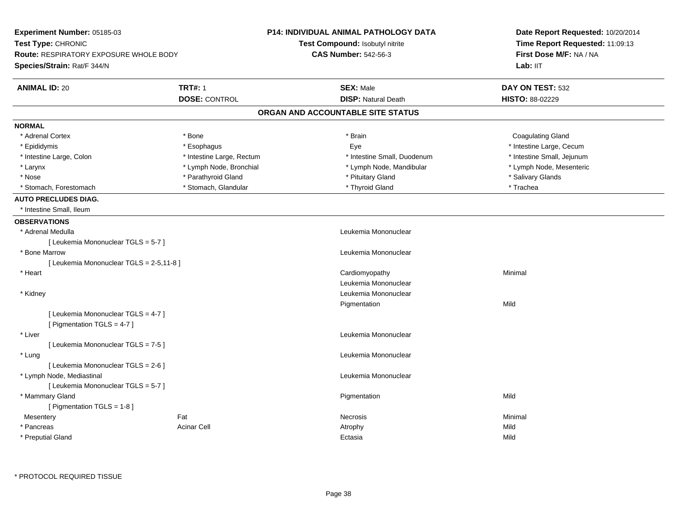| Experiment Number: 05185-03                                        |                           | <b>P14: INDIVIDUAL ANIMAL PATHOLOGY DATA</b> | Date Report Requested: 10/20/2014 |  |
|--------------------------------------------------------------------|---------------------------|----------------------------------------------|-----------------------------------|--|
| Test Type: CHRONIC                                                 |                           | Test Compound: Isobutyl nitrite              | Time Report Requested: 11:09:13   |  |
| <b>Route: RESPIRATORY EXPOSURE WHOLE BODY</b>                      |                           | <b>CAS Number: 542-56-3</b>                  | First Dose M/F: NA / NA           |  |
| Species/Strain: Rat/F 344/N                                        |                           |                                              | Lab: IIT                          |  |
| <b>ANIMAL ID: 20</b>                                               | <b>TRT#: 1</b>            | <b>SEX: Male</b>                             | DAY ON TEST: 532                  |  |
|                                                                    | <b>DOSE: CONTROL</b>      | <b>DISP: Natural Death</b>                   | HISTO: 88-02229                   |  |
|                                                                    |                           | ORGAN AND ACCOUNTABLE SITE STATUS            |                                   |  |
| <b>NORMAL</b>                                                      |                           |                                              |                                   |  |
| * Adrenal Cortex                                                   | * Bone                    | * Brain                                      | <b>Coagulating Gland</b>          |  |
| * Epididymis                                                       | * Esophagus               | Eye                                          | * Intestine Large, Cecum          |  |
| * Intestine Large, Colon                                           | * Intestine Large, Rectum | * Intestine Small, Duodenum                  | * Intestine Small, Jejunum        |  |
| * Larynx                                                           | * Lymph Node, Bronchial   | * Lymph Node, Mandibular                     | * Lymph Node, Mesenteric          |  |
| * Nose                                                             | * Parathyroid Gland       | * Pituitary Gland                            | * Salivary Glands                 |  |
| * Stomach, Forestomach                                             | * Stomach, Glandular      | * Thyroid Gland                              | * Trachea                         |  |
| <b>AUTO PRECLUDES DIAG.</b>                                        |                           |                                              |                                   |  |
| * Intestine Small, Ileum                                           |                           |                                              |                                   |  |
| <b>OBSERVATIONS</b>                                                |                           |                                              |                                   |  |
| * Adrenal Medulla                                                  |                           | Leukemia Mononuclear                         |                                   |  |
| [ Leukemia Mononuclear TGLS = 5-7 ]                                |                           |                                              |                                   |  |
| * Bone Marrow                                                      |                           | Leukemia Mononuclear                         |                                   |  |
| [ Leukemia Mononuclear TGLS = 2-5,11-8 ]                           |                           |                                              |                                   |  |
| * Heart                                                            |                           | Cardiomyopathy                               | Minimal                           |  |
|                                                                    |                           | Leukemia Mononuclear                         |                                   |  |
| * Kidney                                                           |                           | Leukemia Mononuclear                         |                                   |  |
|                                                                    |                           | Pigmentation                                 | Mild                              |  |
| [ Leukemia Mononuclear TGLS = 4-7 ]<br>[ Pigmentation TGLS = 4-7 ] |                           |                                              |                                   |  |
| * Liver                                                            |                           | Leukemia Mononuclear                         |                                   |  |
| [ Leukemia Mononuclear TGLS = 7-5 ]                                |                           |                                              |                                   |  |
| * Lung                                                             |                           | Leukemia Mononuclear                         |                                   |  |
| [ Leukemia Mononuclear TGLS = 2-6 ]                                |                           |                                              |                                   |  |
| * Lymph Node, Mediastinal                                          |                           | Leukemia Mononuclear                         |                                   |  |
| [ Leukemia Mononuclear TGLS = 5-7 ]                                |                           |                                              |                                   |  |
| * Mammary Gland                                                    |                           | Pigmentation                                 | Mild                              |  |
| [ Pigmentation TGLS = 1-8 ]                                        |                           |                                              |                                   |  |
| Mesentery                                                          | Fat                       | <b>Necrosis</b>                              | Minimal                           |  |
| * Pancreas                                                         | <b>Acinar Cell</b>        | Atrophy                                      | Mild                              |  |
| * Preputial Gland                                                  |                           | Ectasia                                      | Mild                              |  |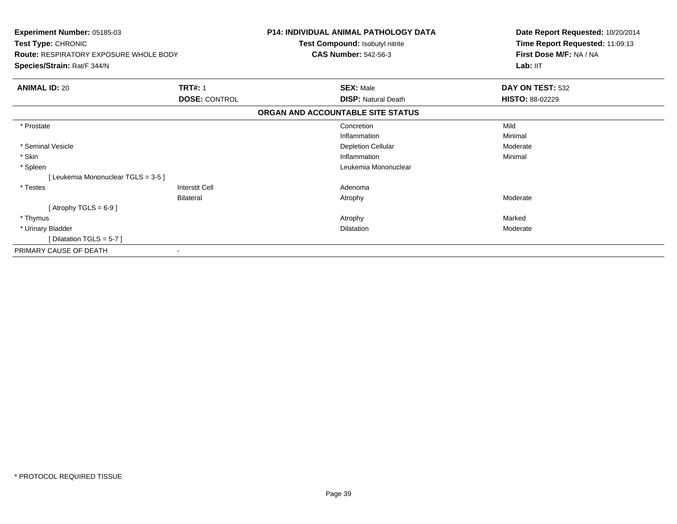| Experiment Number: 05185-03<br>Test Type: CHRONIC<br><b>Route: RESPIRATORY EXPOSURE WHOLE BODY</b><br>Species/Strain: Rat/F 344/N |                      | <b>P14: INDIVIDUAL ANIMAL PATHOLOGY DATA</b><br>Test Compound: Isobutyl nitrite<br><b>CAS Number: 542-56-3</b> | Date Report Requested: 10/20/2014<br>Time Report Requested: 11:09:13<br>First Dose M/F: NA / NA<br>Lab: IIT |
|-----------------------------------------------------------------------------------------------------------------------------------|----------------------|----------------------------------------------------------------------------------------------------------------|-------------------------------------------------------------------------------------------------------------|
| <b>ANIMAL ID: 20</b>                                                                                                              | <b>TRT#: 1</b>       | <b>SEX: Male</b>                                                                                               | DAY ON TEST: 532                                                                                            |
|                                                                                                                                   | <b>DOSE: CONTROL</b> | <b>DISP: Natural Death</b>                                                                                     | <b>HISTO: 88-02229</b>                                                                                      |
|                                                                                                                                   |                      | ORGAN AND ACCOUNTABLE SITE STATUS                                                                              |                                                                                                             |
| * Prostate                                                                                                                        |                      | Concretion                                                                                                     | Mild                                                                                                        |
|                                                                                                                                   |                      | Inflammation                                                                                                   | Minimal                                                                                                     |
| * Seminal Vesicle                                                                                                                 |                      | <b>Depletion Cellular</b>                                                                                      | Moderate                                                                                                    |
| * Skin                                                                                                                            |                      | Inflammation                                                                                                   | Minimal                                                                                                     |
| * Spleen                                                                                                                          |                      | Leukemia Mononuclear                                                                                           |                                                                                                             |
| [Leukemia Mononuclear TGLS = 3-5]                                                                                                 |                      |                                                                                                                |                                                                                                             |
| * Testes                                                                                                                          | Interstit Cell       | Adenoma                                                                                                        |                                                                                                             |
|                                                                                                                                   | <b>Bilateral</b>     | Atrophy                                                                                                        | Moderate                                                                                                    |
| [Atrophy TGLS = $6-9$ ]                                                                                                           |                      |                                                                                                                |                                                                                                             |
| * Thymus                                                                                                                          |                      | Atrophy                                                                                                        | Marked                                                                                                      |
| * Urinary Bladder                                                                                                                 |                      | <b>Dilatation</b>                                                                                              | Moderate                                                                                                    |
| [ Dilatation TGLS = $5-7$ ]                                                                                                       |                      |                                                                                                                |                                                                                                             |
| PRIMARY CAUSE OF DEATH                                                                                                            |                      |                                                                                                                |                                                                                                             |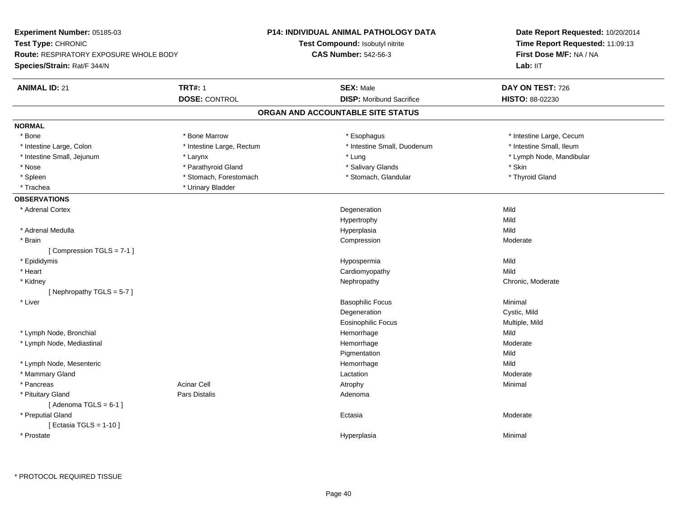| Experiment Number: 05185-03                   |                           | P14: INDIVIDUAL ANIMAL PATHOLOGY DATA | Date Report Requested: 10/20/2014                          |  |
|-----------------------------------------------|---------------------------|---------------------------------------|------------------------------------------------------------|--|
| Test Type: CHRONIC                            |                           | Test Compound: Isobutyl nitrite       | Time Report Requested: 11:09:13<br>First Dose M/F: NA / NA |  |
| <b>Route: RESPIRATORY EXPOSURE WHOLE BODY</b> |                           | <b>CAS Number: 542-56-3</b>           |                                                            |  |
| Species/Strain: Rat/F 344/N                   |                           |                                       | Lab: IIT                                                   |  |
| <b>ANIMAL ID: 21</b>                          | <b>TRT#: 1</b>            | <b>SEX: Male</b>                      | DAY ON TEST: 726                                           |  |
|                                               | <b>DOSE: CONTROL</b>      | <b>DISP:</b> Moribund Sacrifice       | HISTO: 88-02230                                            |  |
|                                               |                           | ORGAN AND ACCOUNTABLE SITE STATUS     |                                                            |  |
| <b>NORMAL</b>                                 |                           |                                       |                                                            |  |
| $*$ Bone                                      | * Bone Marrow             | * Esophagus                           | * Intestine Large, Cecum                                   |  |
| * Intestine Large, Colon                      | * Intestine Large, Rectum | * Intestine Small, Duodenum           | * Intestine Small, Ileum                                   |  |
| * Intestine Small, Jejunum                    | * Larynx                  | * Lung                                | * Lymph Node, Mandibular                                   |  |
| * Nose                                        | * Parathyroid Gland       | * Salivary Glands                     | * Skin                                                     |  |
| * Spleen                                      | * Stomach, Forestomach    | * Stomach, Glandular                  | * Thyroid Gland                                            |  |
| * Trachea                                     | * Urinary Bladder         |                                       |                                                            |  |
| <b>OBSERVATIONS</b>                           |                           |                                       |                                                            |  |
| * Adrenal Cortex                              |                           | Degeneration                          | Mild                                                       |  |
|                                               |                           | Hypertrophy                           | Mild                                                       |  |
| * Adrenal Medulla                             |                           | Hyperplasia                           | Mild                                                       |  |
| * Brain                                       |                           | Compression                           | Moderate                                                   |  |
| [Compression TGLS = 7-1]                      |                           |                                       |                                                            |  |
| * Epididymis                                  |                           | Hypospermia                           | Mild                                                       |  |
| * Heart                                       |                           | Cardiomyopathy                        | Mild                                                       |  |
| * Kidney                                      |                           | Nephropathy                           | Chronic, Moderate                                          |  |
| [Nephropathy TGLS = 5-7]                      |                           |                                       |                                                            |  |
| * Liver                                       |                           | <b>Basophilic Focus</b>               | Minimal                                                    |  |
|                                               |                           | Degeneration                          | Cystic, Mild                                               |  |
|                                               |                           | <b>Eosinophilic Focus</b>             | Multiple, Mild                                             |  |
| * Lymph Node, Bronchial                       |                           | Hemorrhage                            | Mild                                                       |  |
| * Lymph Node, Mediastinal                     |                           | Hemorrhage                            | Moderate                                                   |  |
|                                               |                           | Pigmentation                          | Mild                                                       |  |
| * Lymph Node, Mesenteric                      |                           | Hemorrhage                            | Mild                                                       |  |
| * Mammary Gland                               |                           | Lactation                             | Moderate                                                   |  |
| * Pancreas                                    | <b>Acinar Cell</b>        | Atrophy                               | Minimal                                                    |  |
| * Pituitary Gland                             | Pars Distalis             | Adenoma                               |                                                            |  |
| [Adenoma TGLS = $6-1$ ]                       |                           |                                       |                                                            |  |
| * Preputial Gland                             |                           | Ectasia                               | Moderate                                                   |  |
| [ Ectasia TGLS = $1-10$ ]                     |                           |                                       |                                                            |  |
| * Prostate                                    |                           | Hyperplasia                           | Minimal                                                    |  |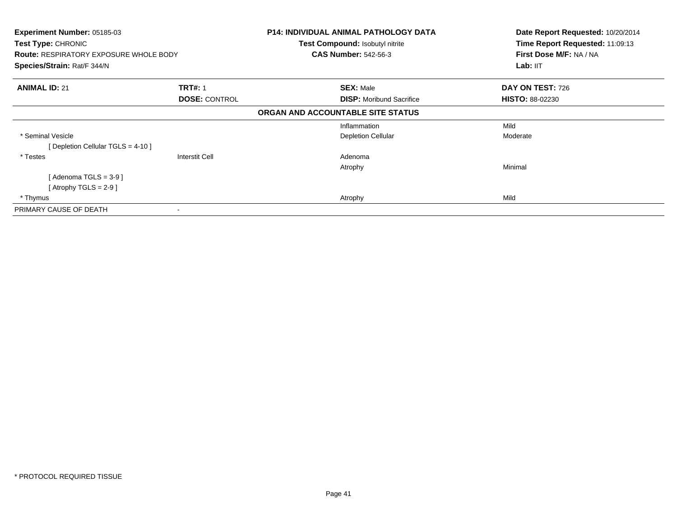| <b>Experiment Number: 05185-03</b><br>Test Type: CHRONIC<br><b>Route: RESPIRATORY EXPOSURE WHOLE BODY</b><br>Species/Strain: Rat/F 344/N |                      | <b>P14: INDIVIDUAL ANIMAL PATHOLOGY DATA</b><br><b>Test Compound: Isobutyl nitrite</b><br><b>CAS Number: 542-56-3</b> | Date Report Requested: 10/20/2014<br>Time Report Requested: 11:09:13<br>First Dose M/F: NA / NA<br>Lab: IIT |
|------------------------------------------------------------------------------------------------------------------------------------------|----------------------|-----------------------------------------------------------------------------------------------------------------------|-------------------------------------------------------------------------------------------------------------|
|                                                                                                                                          |                      |                                                                                                                       |                                                                                                             |
| <b>ANIMAL ID: 21</b>                                                                                                                     | <b>TRT#: 1</b>       | <b>SEX: Male</b>                                                                                                      | DAY ON TEST: 726                                                                                            |
|                                                                                                                                          | <b>DOSE: CONTROL</b> | <b>DISP:</b> Moribund Sacrifice                                                                                       | <b>HISTO: 88-02230</b>                                                                                      |
|                                                                                                                                          |                      | ORGAN AND ACCOUNTABLE SITE STATUS                                                                                     |                                                                                                             |
|                                                                                                                                          |                      | Inflammation                                                                                                          | Mild                                                                                                        |
| * Seminal Vesicle                                                                                                                        |                      | <b>Depletion Cellular</b>                                                                                             | Moderate                                                                                                    |
| [ Depletion Cellular TGLS = 4-10 ]                                                                                                       |                      |                                                                                                                       |                                                                                                             |
| * Testes                                                                                                                                 | Interstit Cell       | Adenoma                                                                                                               |                                                                                                             |
|                                                                                                                                          |                      | Atrophy                                                                                                               | Minimal                                                                                                     |
| [ Adenoma TGLS = 3-9 ]                                                                                                                   |                      |                                                                                                                       |                                                                                                             |
| $[$ Atrophy TGLS = 2-9 $]$                                                                                                               |                      |                                                                                                                       |                                                                                                             |
| * Thymus                                                                                                                                 |                      | Atrophy                                                                                                               | Mild                                                                                                        |
| PRIMARY CAUSE OF DEATH                                                                                                                   | $\,$                 |                                                                                                                       |                                                                                                             |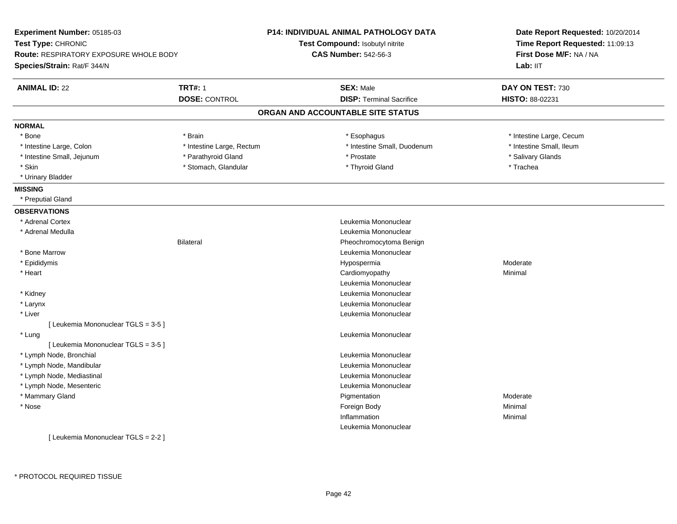| Experiment Number: 05185-03                   |                           | <b>P14: INDIVIDUAL ANIMAL PATHOLOGY DATA</b> | Date Report Requested: 10/20/2014<br>Time Report Requested: 11:09:13<br>First Dose M/F: NA / NA |  |
|-----------------------------------------------|---------------------------|----------------------------------------------|-------------------------------------------------------------------------------------------------|--|
| Test Type: CHRONIC                            |                           | Test Compound: Isobutyl nitrite              |                                                                                                 |  |
| <b>Route: RESPIRATORY EXPOSURE WHOLE BODY</b> |                           | <b>CAS Number: 542-56-3</b>                  |                                                                                                 |  |
| Species/Strain: Rat/F 344/N                   |                           |                                              | Lab: IIT                                                                                        |  |
| <b>ANIMAL ID: 22</b>                          | <b>TRT#: 1</b>            | <b>SEX: Male</b>                             | DAY ON TEST: 730                                                                                |  |
|                                               | <b>DOSE: CONTROL</b>      | <b>DISP: Terminal Sacrifice</b>              | HISTO: 88-02231                                                                                 |  |
|                                               |                           | ORGAN AND ACCOUNTABLE SITE STATUS            |                                                                                                 |  |
| <b>NORMAL</b>                                 |                           |                                              |                                                                                                 |  |
| * Bone                                        | * Brain                   | * Esophagus                                  | * Intestine Large, Cecum                                                                        |  |
| * Intestine Large, Colon                      | * Intestine Large, Rectum | * Intestine Small, Duodenum                  | * Intestine Small, Ileum                                                                        |  |
| * Intestine Small, Jejunum                    | * Parathyroid Gland       | * Prostate                                   | * Salivary Glands                                                                               |  |
| * Skin                                        | * Stomach, Glandular      | * Thyroid Gland                              | * Trachea                                                                                       |  |
| * Urinary Bladder                             |                           |                                              |                                                                                                 |  |
| <b>MISSING</b>                                |                           |                                              |                                                                                                 |  |
| * Preputial Gland                             |                           |                                              |                                                                                                 |  |
| <b>OBSERVATIONS</b>                           |                           |                                              |                                                                                                 |  |
| * Adrenal Cortex                              |                           | Leukemia Mononuclear                         |                                                                                                 |  |
| * Adrenal Medulla                             |                           | Leukemia Mononuclear                         |                                                                                                 |  |
|                                               | <b>Bilateral</b>          | Pheochromocytoma Benign                      |                                                                                                 |  |
| * Bone Marrow                                 |                           | Leukemia Mononuclear                         |                                                                                                 |  |
| * Epididymis                                  |                           | Hypospermia                                  | Moderate                                                                                        |  |
| * Heart                                       |                           | Cardiomyopathy                               | Minimal                                                                                         |  |
|                                               |                           | Leukemia Mononuclear                         |                                                                                                 |  |
| * Kidney                                      |                           | Leukemia Mononuclear                         |                                                                                                 |  |
| * Larynx                                      |                           | Leukemia Mononuclear                         |                                                                                                 |  |
| * Liver                                       |                           | Leukemia Mononuclear                         |                                                                                                 |  |
| [ Leukemia Mononuclear TGLS = 3-5 ]           |                           |                                              |                                                                                                 |  |
| * Lung                                        |                           | Leukemia Mononuclear                         |                                                                                                 |  |
| [ Leukemia Mononuclear TGLS = 3-5 ]           |                           |                                              |                                                                                                 |  |
| * Lymph Node, Bronchial                       |                           | Leukemia Mononuclear                         |                                                                                                 |  |
| * Lymph Node, Mandibular                      |                           | Leukemia Mononuclear                         |                                                                                                 |  |
| * Lymph Node, Mediastinal                     |                           | Leukemia Mononuclear                         |                                                                                                 |  |
| * Lymph Node, Mesenteric                      |                           | Leukemia Mononuclear                         |                                                                                                 |  |
| * Mammary Gland                               |                           | Pigmentation                                 | Moderate                                                                                        |  |
| * Nose                                        |                           | Foreign Body                                 | Minimal                                                                                         |  |
|                                               |                           | Inflammation                                 | Minimal                                                                                         |  |
|                                               |                           | Leukemia Mononuclear                         |                                                                                                 |  |
| [Leukemia Mononuclear TGLS = 2-2]             |                           |                                              |                                                                                                 |  |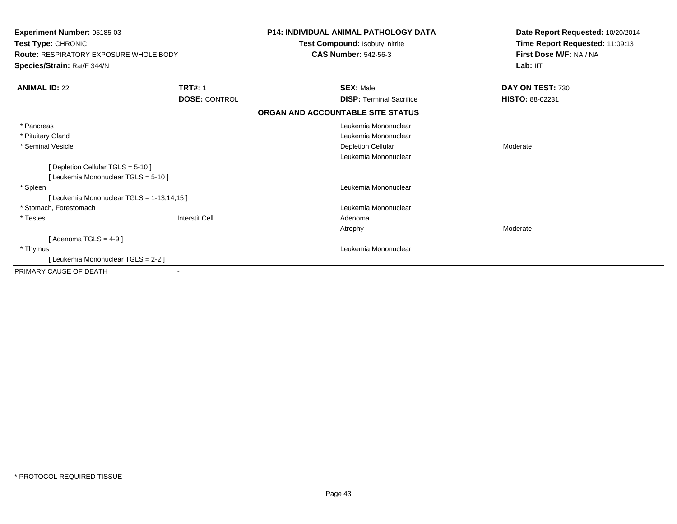| <b>Experiment Number: 05185-03</b><br>Test Type: CHRONIC<br>Route: RESPIRATORY EXPOSURE WHOLE BODY<br>Species/Strain: Rat/F 344/N |                       | <b>P14: INDIVIDUAL ANIMAL PATHOLOGY DATA</b><br>Test Compound: Isobutyl nitrite<br><b>CAS Number: 542-56-3</b> | Date Report Requested: 10/20/2014<br>Time Report Requested: 11:09:13<br>First Dose M/F: NA / NA<br>Lab: IIT |
|-----------------------------------------------------------------------------------------------------------------------------------|-----------------------|----------------------------------------------------------------------------------------------------------------|-------------------------------------------------------------------------------------------------------------|
| <b>ANIMAL ID: 22</b>                                                                                                              | <b>TRT#: 1</b>        | <b>SEX: Male</b>                                                                                               | DAY ON TEST: 730                                                                                            |
|                                                                                                                                   | <b>DOSE: CONTROL</b>  | <b>DISP: Terminal Sacrifice</b>                                                                                | HISTO: 88-02231                                                                                             |
|                                                                                                                                   |                       | ORGAN AND ACCOUNTABLE SITE STATUS                                                                              |                                                                                                             |
| * Pancreas                                                                                                                        |                       | Leukemia Mononuclear                                                                                           |                                                                                                             |
| * Pituitary Gland                                                                                                                 |                       | Leukemia Mononuclear                                                                                           |                                                                                                             |
| * Seminal Vesicle                                                                                                                 |                       | <b>Depletion Cellular</b>                                                                                      | Moderate                                                                                                    |
|                                                                                                                                   |                       | Leukemia Mononuclear                                                                                           |                                                                                                             |
| [Depletion Cellular TGLS = 5-10]                                                                                                  |                       |                                                                                                                |                                                                                                             |
| [ Leukemia Mononuclear TGLS = 5-10 ]                                                                                              |                       |                                                                                                                |                                                                                                             |
| * Spleen                                                                                                                          |                       | Leukemia Mononuclear                                                                                           |                                                                                                             |
| [ Leukemia Mononuclear TGLS = 1-13,14,15 ]                                                                                        |                       |                                                                                                                |                                                                                                             |
| * Stomach. Forestomach                                                                                                            |                       | Leukemia Mononuclear                                                                                           |                                                                                                             |
| * Testes                                                                                                                          | <b>Interstit Cell</b> | Adenoma                                                                                                        |                                                                                                             |
|                                                                                                                                   |                       | Atrophy                                                                                                        | Moderate                                                                                                    |
| [Adenoma TGLS = $4-9$ ]                                                                                                           |                       |                                                                                                                |                                                                                                             |
| * Thymus                                                                                                                          |                       | Leukemia Mononuclear                                                                                           |                                                                                                             |
| [Leukemia Mononuclear TGLS = 2-2 ]                                                                                                |                       |                                                                                                                |                                                                                                             |
| PRIMARY CAUSE OF DEATH                                                                                                            |                       |                                                                                                                |                                                                                                             |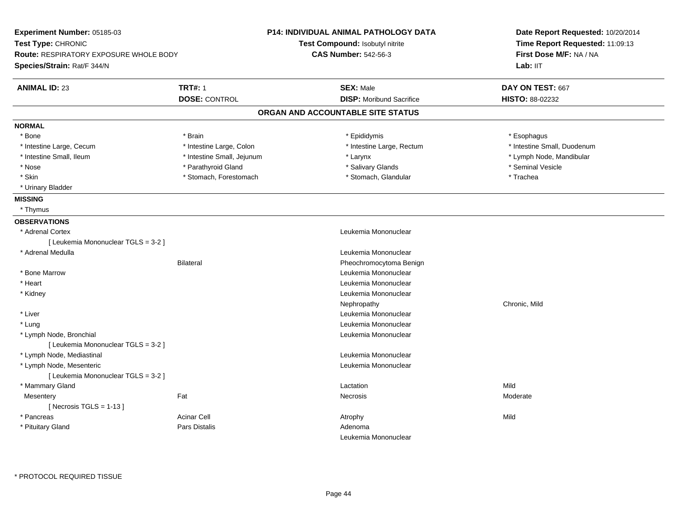| Experiment Number: 05185-03            |                            | <b>P14: INDIVIDUAL ANIMAL PATHOLOGY DATA</b> | Date Report Requested: 10/20/2014<br>Time Report Requested: 11:09:13<br>First Dose M/F: NA / NA |  |
|----------------------------------------|----------------------------|----------------------------------------------|-------------------------------------------------------------------------------------------------|--|
| Test Type: CHRONIC                     |                            | Test Compound: Isobutyl nitrite              |                                                                                                 |  |
| Route: RESPIRATORY EXPOSURE WHOLE BODY |                            | <b>CAS Number: 542-56-3</b>                  |                                                                                                 |  |
| Species/Strain: Rat/F 344/N            |                            |                                              | Lab: IIT                                                                                        |  |
| <b>ANIMAL ID: 23</b>                   | <b>TRT#: 1</b>             | <b>SEX: Male</b>                             | DAY ON TEST: 667                                                                                |  |
|                                        | <b>DOSE: CONTROL</b>       | <b>DISP: Moribund Sacrifice</b>              | HISTO: 88-02232                                                                                 |  |
|                                        |                            | ORGAN AND ACCOUNTABLE SITE STATUS            |                                                                                                 |  |
| <b>NORMAL</b>                          |                            |                                              |                                                                                                 |  |
| * Bone                                 | * Brain                    | * Epididymis                                 | * Esophagus                                                                                     |  |
| * Intestine Large, Cecum               | * Intestine Large, Colon   | * Intestine Large, Rectum                    | * Intestine Small, Duodenum                                                                     |  |
| * Intestine Small, Ileum               | * Intestine Small, Jejunum | * Larynx                                     | * Lymph Node, Mandibular                                                                        |  |
| * Nose                                 | * Parathyroid Gland        | * Salivary Glands                            | * Seminal Vesicle                                                                               |  |
| * Skin                                 | * Stomach, Forestomach     | * Stomach, Glandular                         | * Trachea                                                                                       |  |
| * Urinary Bladder                      |                            |                                              |                                                                                                 |  |
| <b>MISSING</b>                         |                            |                                              |                                                                                                 |  |
| * Thymus                               |                            |                                              |                                                                                                 |  |
| <b>OBSERVATIONS</b>                    |                            |                                              |                                                                                                 |  |
| * Adrenal Cortex                       |                            | Leukemia Mononuclear                         |                                                                                                 |  |
| [ Leukemia Mononuclear TGLS = 3-2 ]    |                            |                                              |                                                                                                 |  |
| * Adrenal Medulla                      |                            | Leukemia Mononuclear                         |                                                                                                 |  |
|                                        | <b>Bilateral</b>           | Pheochromocytoma Benign                      |                                                                                                 |  |
| * Bone Marrow                          |                            | Leukemia Mononuclear                         |                                                                                                 |  |
| * Heart                                |                            | Leukemia Mononuclear                         |                                                                                                 |  |
| * Kidney                               |                            | Leukemia Mononuclear                         |                                                                                                 |  |
|                                        |                            | Nephropathy                                  | Chronic, Mild                                                                                   |  |
| * Liver                                |                            | Leukemia Mononuclear                         |                                                                                                 |  |
| * Lung                                 |                            | Leukemia Mononuclear                         |                                                                                                 |  |
| * Lymph Node, Bronchial                |                            | Leukemia Mononuclear                         |                                                                                                 |  |
| [ Leukemia Mononuclear TGLS = 3-2 ]    |                            |                                              |                                                                                                 |  |
| * Lymph Node, Mediastinal              |                            | Leukemia Mononuclear                         |                                                                                                 |  |
| * Lymph Node, Mesenteric               |                            | Leukemia Mononuclear                         |                                                                                                 |  |
| [ Leukemia Mononuclear TGLS = 3-2 ]    |                            |                                              |                                                                                                 |  |
| * Mammary Gland                        |                            | Lactation                                    | Mild                                                                                            |  |
| Mesentery                              | Fat                        | Necrosis                                     | Moderate                                                                                        |  |
| [Necrosis TGLS = $1-13$ ]              |                            |                                              |                                                                                                 |  |
| * Pancreas                             | <b>Acinar Cell</b>         | Atrophy                                      | Mild                                                                                            |  |
| * Pituitary Gland                      | <b>Pars Distalis</b>       | Adenoma                                      |                                                                                                 |  |
|                                        |                            | Leukemia Mononuclear                         |                                                                                                 |  |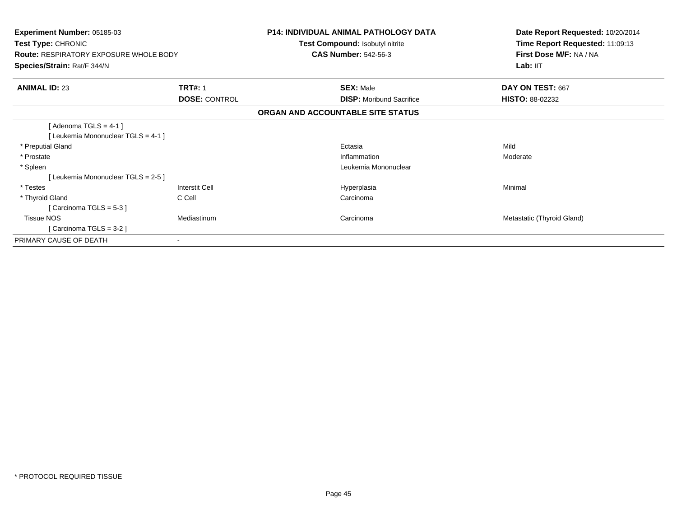| Experiment Number: 05185-03<br>Test Type: CHRONIC<br><b>Route: RESPIRATORY EXPOSURE WHOLE BODY</b><br>Species/Strain: Rat/F 344/N |                                        | <b>P14: INDIVIDUAL ANIMAL PATHOLOGY DATA</b><br>Test Compound: Isobutyl nitrite<br><b>CAS Number: 542-56-3</b> | Date Report Requested: 10/20/2014<br>Time Report Requested: 11:09:13<br>First Dose M/F: NA / NA<br>Lab: $III$ |
|-----------------------------------------------------------------------------------------------------------------------------------|----------------------------------------|----------------------------------------------------------------------------------------------------------------|---------------------------------------------------------------------------------------------------------------|
|                                                                                                                                   |                                        |                                                                                                                |                                                                                                               |
| <b>ANIMAL ID: 23</b>                                                                                                              | <b>TRT#: 1</b><br><b>DOSE: CONTROL</b> | <b>SEX: Male</b><br><b>DISP:</b> Moribund Sacrifice                                                            | DAY ON TEST: 667<br><b>HISTO: 88-02232</b>                                                                    |
|                                                                                                                                   |                                        | ORGAN AND ACCOUNTABLE SITE STATUS                                                                              |                                                                                                               |
| [Adenoma TGLS = 4-1 ]<br>[Leukemia Mononuclear TGLS = 4-1]                                                                        |                                        |                                                                                                                |                                                                                                               |
| * Preputial Gland                                                                                                                 |                                        | Ectasia                                                                                                        | Mild                                                                                                          |
| * Prostate                                                                                                                        |                                        | Inflammation                                                                                                   | Moderate                                                                                                      |
| * Spleen                                                                                                                          |                                        | Leukemia Mononuclear                                                                                           |                                                                                                               |
| [Leukemia Mononuclear TGLS = 2-5 ]                                                                                                |                                        |                                                                                                                |                                                                                                               |
| * Testes                                                                                                                          | Interstit Cell                         | Hyperplasia                                                                                                    | Minimal                                                                                                       |
| * Thyroid Gland                                                                                                                   | C Cell                                 | Carcinoma                                                                                                      |                                                                                                               |
| [Carcinoma TGLS = $5-3$ ]                                                                                                         |                                        |                                                                                                                |                                                                                                               |
| <b>Tissue NOS</b>                                                                                                                 | Mediastinum                            | Carcinoma                                                                                                      | Metastatic (Thyroid Gland)                                                                                    |
| [Carcinoma TGLS = $3-2$ ]                                                                                                         |                                        |                                                                                                                |                                                                                                               |
| PRIMARY CAUSE OF DEATH                                                                                                            |                                        |                                                                                                                |                                                                                                               |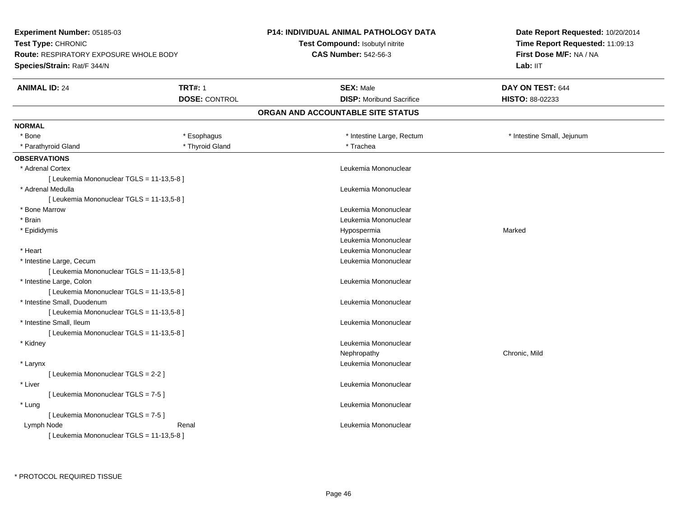**Experiment Number:** 05185-03**Test Type:** CHRONIC **Route:** RESPIRATORY EXPOSURE WHOLE BODY**Species/Strain:** Rat/F 344/N**P14: INDIVIDUAL ANIMAL PATHOLOGY DATATest Compound:** Isobutyl nitrite**CAS Number:** 542-56-3**Date Report Requested:** 10/20/2014**Time Report Requested:** 11:09:13**First Dose M/F:** NA / NALab: IIT **ANIMAL ID:** 24**TRT#:** 1 **SEX:** Male **DAY ON TEST:** 644 **DOSE:** CONTROL **DISP:** Moribund Sacrifice **HISTO:** 88-02233 **ORGAN AND ACCOUNTABLE SITE STATUSNORMAL**\* Bone \* Esophagus \* Intestine Large, Rectum \* 100 metal \* 100 metal intestine Small, Jejunum \* Parathyroid Gland \* The state of the state of the state of the state of the state of the state of the state of the state of the state of the state of the state of the state of the state of the state of the state of the s **OBSERVATIONS** \* Adrenal Cortex Leukemia Mononuclear [ Leukemia Mononuclear TGLS = 11-13,5-8 ] \* Adrenal Medulla Leukemia Mononuclear [ Leukemia Mononuclear TGLS = 11-13,5-8 ] \* Bone Marrow Leukemia Mononuclear \* Brain Leukemia Mononuclear \* Epididymis Hypospermiaa and a more contained to the Marked Leukemia Mononuclear \* Heart Leukemia Mononuclear \* Intestine Large, Cecum Leukemia Mononuclear [ Leukemia Mononuclear TGLS = 11-13,5-8 ] \* Intestine Large, Colon Leukemia Mononuclear [ Leukemia Mononuclear TGLS = 11-13,5-8 ] \* Intestine Small, Duodenum Leukemia Mononuclear [ Leukemia Mononuclear TGLS = 11-13,5-8 ] \* Intestine Small, Ileum Leukemia Mononuclear [ Leukemia Mononuclear TGLS = 11-13,5-8 ] \* Kidney Leukemia Mononuclear Nephropathy Chronic, Mild \* Larynx Leukemia Mononuclear [ Leukemia Mononuclear TGLS = 2-2 ] \* Liver Leukemia Mononuclear [ Leukemia Mononuclear TGLS = 7-5 ] \* Lung Leukemia Mononuclear [ Leukemia Mononuclear TGLS = 7-5 ] Lymph NodeRenal **Renal Leukemia Mononuclear Contract Leukemia Mononuclear** [ Leukemia Mononuclear TGLS = 11-13,5-8 ]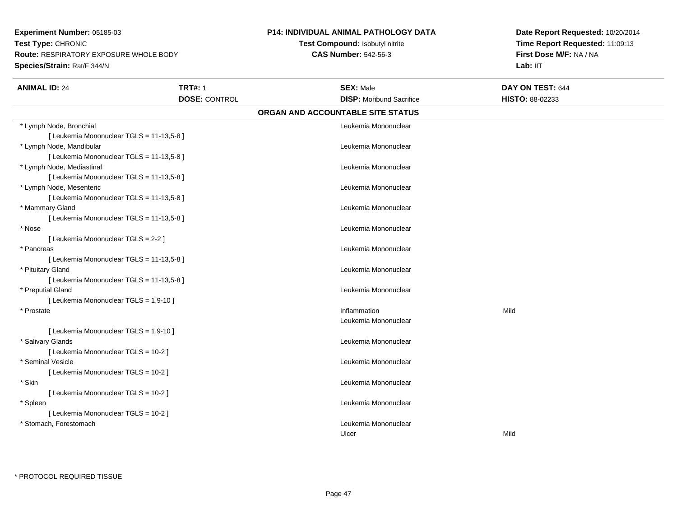**Experiment Number:** 05185-03**Test Type:** CHRONIC **Route:** RESPIRATORY EXPOSURE WHOLE BODY**Species/Strain:** Rat/F 344/N

## **P14: INDIVIDUAL ANIMAL PATHOLOGY DATA**

**Test Compound:** Isobutyl nitrite**CAS Number:** 542-56-3

**Date Report Requested:** 10/20/2014 **Time Report Requested:** 11:09:13**First Dose M/F:** NA / NA**Lab:** IIT

| <b>ANIMAL ID: 24</b>                      | <b>TRT#: 1</b>       | <b>SEX: Male</b>                  | DAY ON TEST: 644 |  |
|-------------------------------------------|----------------------|-----------------------------------|------------------|--|
|                                           | <b>DOSE: CONTROL</b> | <b>DISP: Moribund Sacrifice</b>   | HISTO: 88-02233  |  |
|                                           |                      | ORGAN AND ACCOUNTABLE SITE STATUS |                  |  |
| * Lymph Node, Bronchial                   |                      | Leukemia Mononuclear              |                  |  |
| [ Leukemia Mononuclear TGLS = 11-13,5-8 ] |                      |                                   |                  |  |
| * Lymph Node, Mandibular                  |                      | Leukemia Mononuclear              |                  |  |
| [ Leukemia Mononuclear TGLS = 11-13,5-8 ] |                      |                                   |                  |  |
| * Lymph Node, Mediastinal                 |                      | Leukemia Mononuclear              |                  |  |
| [ Leukemia Mononuclear TGLS = 11-13,5-8 ] |                      |                                   |                  |  |
| * Lymph Node, Mesenteric                  |                      | Leukemia Mononuclear              |                  |  |
| [ Leukemia Mononuclear TGLS = 11-13,5-8 ] |                      |                                   |                  |  |
| * Mammary Gland                           |                      | Leukemia Mononuclear              |                  |  |
| [ Leukemia Mononuclear TGLS = 11-13,5-8 ] |                      |                                   |                  |  |
| * Nose                                    |                      | Leukemia Mononuclear              |                  |  |
| [ Leukemia Mononuclear TGLS = 2-2 ]       |                      |                                   |                  |  |
| * Pancreas                                |                      | Leukemia Mononuclear              |                  |  |
| [ Leukemia Mononuclear TGLS = 11-13,5-8 ] |                      |                                   |                  |  |
| * Pituitary Gland                         |                      | Leukemia Mononuclear              |                  |  |
| [ Leukemia Mononuclear TGLS = 11-13,5-8 ] |                      |                                   |                  |  |
| * Preputial Gland                         |                      | Leukemia Mononuclear              |                  |  |
| [ Leukemia Mononuclear TGLS = 1,9-10 ]    |                      |                                   |                  |  |
| * Prostate                                |                      | Inflammation                      | Mild             |  |
|                                           |                      | Leukemia Mononuclear              |                  |  |
| [ Leukemia Mononuclear TGLS = 1,9-10 ]    |                      |                                   |                  |  |
| * Salivary Glands                         |                      | Leukemia Mononuclear              |                  |  |
| [ Leukemia Mononuclear TGLS = 10-2 ]      |                      |                                   |                  |  |
| * Seminal Vesicle                         |                      | Leukemia Mononuclear              |                  |  |
| [ Leukemia Mononuclear TGLS = 10-2 ]      |                      |                                   |                  |  |
| * Skin                                    |                      | Leukemia Mononuclear              |                  |  |
| [ Leukemia Mononuclear TGLS = 10-2 ]      |                      |                                   |                  |  |
| * Spleen                                  |                      | Leukemia Mononuclear              |                  |  |
| [ Leukemia Mononuclear TGLS = 10-2 ]      |                      |                                   |                  |  |
| * Stomach, Forestomach                    |                      | Leukemia Mononuclear              |                  |  |
|                                           |                      | Ulcer                             | Mild             |  |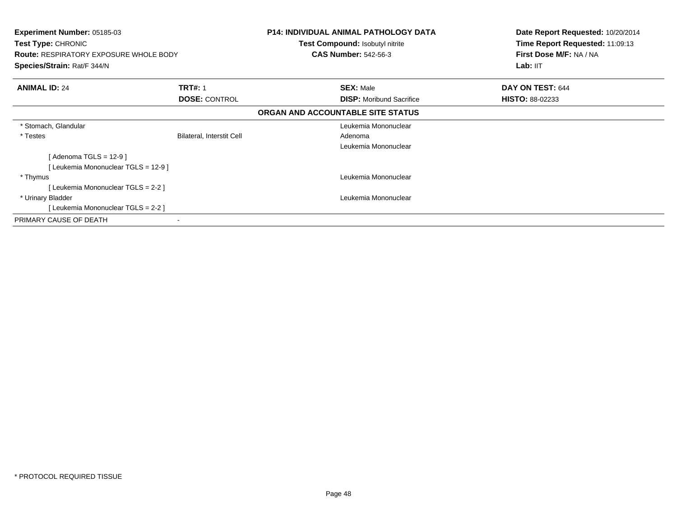| <b>Experiment Number: 05185-03</b><br><b>Test Type: CHRONIC</b><br><b>Route: RESPIRATORY EXPOSURE WHOLE BODY</b><br>Species/Strain: Rat/F 344/N |                           | <b>P14: INDIVIDUAL ANIMAL PATHOLOGY DATA</b><br><b>Test Compound: Isobutyl nitrite</b><br><b>CAS Number: 542-56-3</b> | Date Report Requested: 10/20/2014<br>Time Report Requested: 11:09:13<br>First Dose M/F: NA / NA<br>Lab: IIT |
|-------------------------------------------------------------------------------------------------------------------------------------------------|---------------------------|-----------------------------------------------------------------------------------------------------------------------|-------------------------------------------------------------------------------------------------------------|
| <b>ANIMAL ID: 24</b>                                                                                                                            | <b>TRT#: 1</b>            | <b>SEX: Male</b>                                                                                                      | DAY ON TEST: 644                                                                                            |
|                                                                                                                                                 | <b>DOSE: CONTROL</b>      | <b>DISP:</b> Moribund Sacrifice                                                                                       | <b>HISTO: 88-02233</b>                                                                                      |
|                                                                                                                                                 |                           | ORGAN AND ACCOUNTABLE SITE STATUS                                                                                     |                                                                                                             |
| * Stomach, Glandular                                                                                                                            |                           | Leukemia Mononuclear                                                                                                  |                                                                                                             |
| * Testes                                                                                                                                        | Bilateral, Interstit Cell | Adenoma                                                                                                               |                                                                                                             |
|                                                                                                                                                 |                           | Leukemia Mononuclear                                                                                                  |                                                                                                             |
| [ Adenoma TGLS = 12-9 ]                                                                                                                         |                           |                                                                                                                       |                                                                                                             |
| [ Leukemia Mononuclear TGLS = 12-9 ]                                                                                                            |                           |                                                                                                                       |                                                                                                             |
| * Thymus                                                                                                                                        |                           | Leukemia Mononuclear                                                                                                  |                                                                                                             |
| [ Leukemia Mononuclear TGLS = 2-2 ]                                                                                                             |                           |                                                                                                                       |                                                                                                             |
| * Urinary Bladder                                                                                                                               |                           | Leukemia Mononuclear                                                                                                  |                                                                                                             |
| [Leukemia Mononuclear TGLS = 2-2 ]                                                                                                              |                           |                                                                                                                       |                                                                                                             |
| PRIMARY CAUSE OF DEATH                                                                                                                          |                           |                                                                                                                       |                                                                                                             |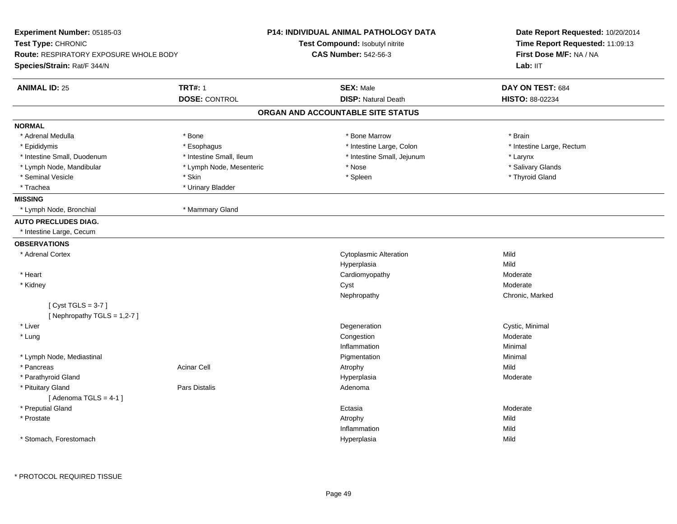| Experiment Number: 05185-03                   |                          | <b>P14: INDIVIDUAL ANIMAL PATHOLOGY DATA</b> | Date Report Requested: 10/20/2014<br>Time Report Requested: 11:09:13 |  |
|-----------------------------------------------|--------------------------|----------------------------------------------|----------------------------------------------------------------------|--|
| Test Type: CHRONIC                            |                          | Test Compound: Isobutyl nitrite              |                                                                      |  |
| <b>Route: RESPIRATORY EXPOSURE WHOLE BODY</b> |                          | <b>CAS Number: 542-56-3</b>                  | First Dose M/F: NA / NA                                              |  |
| Species/Strain: Rat/F 344/N                   |                          |                                              | Lab: IIT                                                             |  |
| <b>ANIMAL ID: 25</b>                          | <b>TRT#: 1</b>           | <b>SEX: Male</b>                             | DAY ON TEST: 684                                                     |  |
|                                               | <b>DOSE: CONTROL</b>     | <b>DISP: Natural Death</b>                   | HISTO: 88-02234                                                      |  |
|                                               |                          | ORGAN AND ACCOUNTABLE SITE STATUS            |                                                                      |  |
| <b>NORMAL</b>                                 |                          |                                              |                                                                      |  |
| * Adrenal Medulla                             | * Bone                   | * Bone Marrow                                | * Brain                                                              |  |
| * Epididymis                                  | * Esophagus              | * Intestine Large, Colon                     | * Intestine Large, Rectum                                            |  |
| * Intestine Small, Duodenum                   | * Intestine Small, Ileum | * Intestine Small, Jejunum                   | * Larynx                                                             |  |
| * Lymph Node, Mandibular                      | * Lymph Node, Mesenteric | * Nose                                       | * Salivary Glands                                                    |  |
| * Seminal Vesicle                             | * Skin                   | * Spleen                                     | * Thyroid Gland                                                      |  |
| * Trachea                                     | * Urinary Bladder        |                                              |                                                                      |  |
| <b>MISSING</b>                                |                          |                                              |                                                                      |  |
| * Lymph Node, Bronchial                       | * Mammary Gland          |                                              |                                                                      |  |
| <b>AUTO PRECLUDES DIAG.</b>                   |                          |                                              |                                                                      |  |
| * Intestine Large, Cecum                      |                          |                                              |                                                                      |  |
| <b>OBSERVATIONS</b>                           |                          |                                              |                                                                      |  |
| * Adrenal Cortex                              |                          | <b>Cytoplasmic Alteration</b>                | Mild                                                                 |  |
|                                               |                          | Hyperplasia                                  | Mild                                                                 |  |
| * Heart                                       |                          | Cardiomyopathy                               | Moderate                                                             |  |
| * Kidney                                      |                          | Cyst                                         | Moderate                                                             |  |
|                                               |                          | Nephropathy                                  | Chronic, Marked                                                      |  |
| [Cyst TGLS = $3-7$ ]                          |                          |                                              |                                                                      |  |
| [Nephropathy TGLS = 1,2-7]                    |                          |                                              |                                                                      |  |
| * Liver                                       |                          | Degeneration                                 | Cystic, Minimal                                                      |  |
| $*$ Lung                                      |                          | Congestion                                   | Moderate                                                             |  |
|                                               |                          | Inflammation                                 | Minimal                                                              |  |
| * Lymph Node, Mediastinal                     |                          | Pigmentation                                 | Minimal                                                              |  |
| * Pancreas                                    | <b>Acinar Cell</b>       | Atrophy                                      | Mild                                                                 |  |
| * Parathyroid Gland                           |                          | Hyperplasia                                  | Moderate                                                             |  |
| * Pituitary Gland                             | Pars Distalis            | Adenoma                                      |                                                                      |  |
| [Adenoma TGLS = $4-1$ ]                       |                          |                                              |                                                                      |  |
| * Preputial Gland                             |                          | Ectasia                                      | Moderate                                                             |  |
| * Prostate                                    |                          | Atrophy                                      | Mild                                                                 |  |
|                                               |                          | Inflammation                                 | Mild                                                                 |  |
| * Stomach, Forestomach                        |                          | Hyperplasia                                  | Mild                                                                 |  |
|                                               |                          |                                              |                                                                      |  |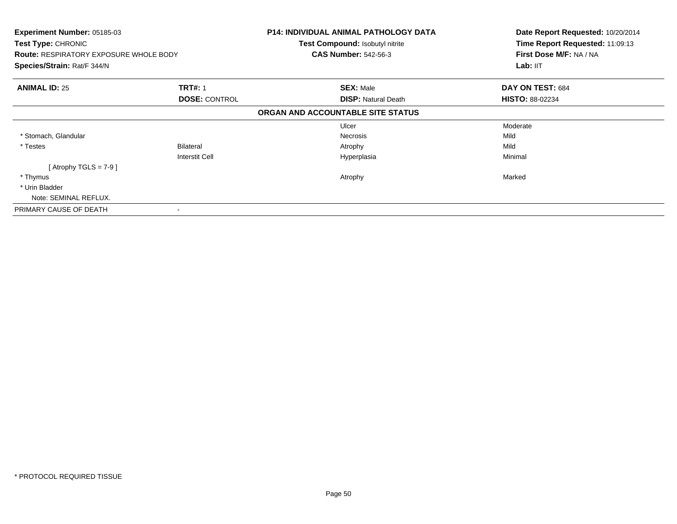| <b>Experiment Number: 05185-03</b><br>Test Type: CHRONIC<br><b>Route: RESPIRATORY EXPOSURE WHOLE BODY</b> |                       | <b>P14: INDIVIDUAL ANIMAL PATHOLOGY DATA</b><br><b>Test Compound: Isobutyl nitrite</b><br><b>CAS Number: 542-56-3</b> | Date Report Requested: 10/20/2014<br>Time Report Requested: 11:09:13<br>First Dose M/F: NA / NA |
|-----------------------------------------------------------------------------------------------------------|-----------------------|-----------------------------------------------------------------------------------------------------------------------|-------------------------------------------------------------------------------------------------|
| Species/Strain: Rat/F 344/N                                                                               |                       |                                                                                                                       | Lab: IIT                                                                                        |
| <b>ANIMAL ID: 25</b>                                                                                      | <b>TRT#: 1</b>        | <b>SEX: Male</b>                                                                                                      | DAY ON TEST: 684                                                                                |
|                                                                                                           | <b>DOSE: CONTROL</b>  | <b>DISP:</b> Natural Death                                                                                            | <b>HISTO: 88-02234</b>                                                                          |
|                                                                                                           |                       | ORGAN AND ACCOUNTABLE SITE STATUS                                                                                     |                                                                                                 |
|                                                                                                           |                       | Ulcer                                                                                                                 | Moderate                                                                                        |
| * Stomach, Glandular                                                                                      |                       | <b>Necrosis</b>                                                                                                       | Mild                                                                                            |
| * Testes                                                                                                  | Bilateral             | Atrophy                                                                                                               | Mild                                                                                            |
|                                                                                                           | <b>Interstit Cell</b> | Hyperplasia                                                                                                           | Minimal                                                                                         |
| [Atrophy TGLS = $7-9$ ]                                                                                   |                       |                                                                                                                       |                                                                                                 |
| * Thymus                                                                                                  |                       | Atrophy                                                                                                               | Marked                                                                                          |
| * Urin Bladder                                                                                            |                       |                                                                                                                       |                                                                                                 |
| Note: SEMINAL REFLUX.                                                                                     |                       |                                                                                                                       |                                                                                                 |
| PRIMARY CAUSE OF DEATH                                                                                    |                       |                                                                                                                       |                                                                                                 |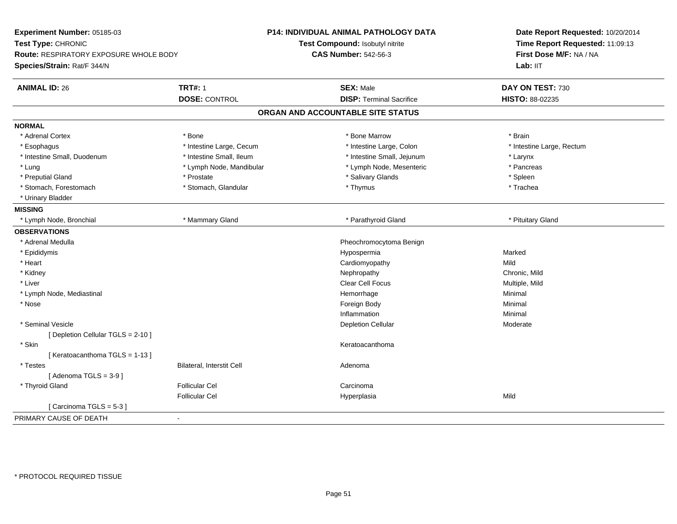| Experiment Number: 05185-03<br>Test Type: CHRONIC<br>Route: RESPIRATORY EXPOSURE WHOLE BODY<br>Species/Strain: Rat/F 344/N |                                        | P14: INDIVIDUAL ANIMAL PATHOLOGY DATA<br>Test Compound: Isobutyl nitrite | Date Report Requested: 10/20/2014<br>Time Report Requested: 11:09:13<br>First Dose M/F: NA / NA<br>Lab: IIT |
|----------------------------------------------------------------------------------------------------------------------------|----------------------------------------|--------------------------------------------------------------------------|-------------------------------------------------------------------------------------------------------------|
|                                                                                                                            |                                        | <b>CAS Number: 542-56-3</b>                                              |                                                                                                             |
|                                                                                                                            |                                        |                                                                          |                                                                                                             |
| <b>ANIMAL ID: 26</b>                                                                                                       | <b>TRT#: 1</b><br><b>DOSE: CONTROL</b> | <b>SEX: Male</b><br><b>DISP: Terminal Sacrifice</b>                      | DAY ON TEST: 730<br>HISTO: 88-02235                                                                         |
|                                                                                                                            |                                        | ORGAN AND ACCOUNTABLE SITE STATUS                                        |                                                                                                             |
| <b>NORMAL</b>                                                                                                              |                                        |                                                                          |                                                                                                             |
| * Adrenal Cortex                                                                                                           | * Bone                                 | * Bone Marrow                                                            | * Brain                                                                                                     |
| * Esophagus                                                                                                                | * Intestine Large, Cecum               | * Intestine Large, Colon                                                 | * Intestine Large, Rectum                                                                                   |
| * Intestine Small, Duodenum                                                                                                | * Intestine Small, Ileum               | * Intestine Small, Jejunum                                               | * Larynx                                                                                                    |
| * Lung                                                                                                                     | * Lymph Node, Mandibular               | * Lymph Node, Mesenteric                                                 | * Pancreas                                                                                                  |
| * Preputial Gland                                                                                                          | * Prostate                             | * Salivary Glands                                                        | * Spleen                                                                                                    |
| * Stomach, Forestomach                                                                                                     | * Stomach, Glandular                   | * Thymus                                                                 | * Trachea                                                                                                   |
| * Urinary Bladder                                                                                                          |                                        |                                                                          |                                                                                                             |
| <b>MISSING</b>                                                                                                             |                                        |                                                                          |                                                                                                             |
| Lymph Node, Bronchial                                                                                                      | * Mammary Gland                        | * Parathyroid Gland                                                      | * Pituitary Gland                                                                                           |
| <b>OBSERVATIONS</b>                                                                                                        |                                        |                                                                          |                                                                                                             |
| * Adrenal Medulla                                                                                                          |                                        | Pheochromocytoma Benign                                                  |                                                                                                             |
| * Epididymis                                                                                                               |                                        | Hypospermia                                                              | Marked                                                                                                      |
| * Heart                                                                                                                    |                                        | Cardiomyopathy                                                           | Mild                                                                                                        |
| * Kidney                                                                                                                   |                                        | Nephropathy                                                              | Chronic, Mild                                                                                               |
| * Liver                                                                                                                    |                                        | Clear Cell Focus                                                         | Multiple, Mild                                                                                              |
| * Lymph Node, Mediastinal                                                                                                  |                                        | Hemorrhage                                                               | Minimal                                                                                                     |
| * Nose                                                                                                                     |                                        | Foreign Body                                                             | Minimal                                                                                                     |
|                                                                                                                            |                                        | Inflammation                                                             | Minimal                                                                                                     |
| * Seminal Vesicle                                                                                                          |                                        | <b>Depletion Cellular</b>                                                | Moderate                                                                                                    |
| [ Depletion Cellular TGLS = 2-10 ]                                                                                         |                                        |                                                                          |                                                                                                             |
| * Skin                                                                                                                     |                                        | Keratoacanthoma                                                          |                                                                                                             |
| [Keratoacanthoma TGLS = 1-13]                                                                                              |                                        |                                                                          |                                                                                                             |
| * Testes                                                                                                                   | Bilateral, Interstit Cell              | Adenoma                                                                  |                                                                                                             |
| [Adenoma TGLS = $3-9$ ]                                                                                                    |                                        |                                                                          |                                                                                                             |
| * Thyroid Gland                                                                                                            | <b>Follicular Cel</b>                  | Carcinoma                                                                |                                                                                                             |
|                                                                                                                            | <b>Follicular Cel</b>                  | Hyperplasia                                                              | Mild                                                                                                        |
| [Carcinoma TGLS = 5-3]                                                                                                     |                                        |                                                                          |                                                                                                             |
| PRIMARY CAUSE OF DEATH                                                                                                     | $\blacksquare$                         |                                                                          |                                                                                                             |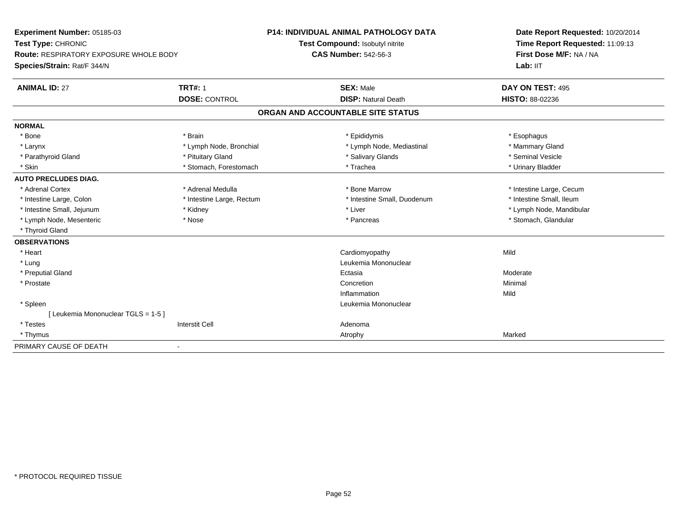| Experiment Number: 05185-03                   |                           | P14: INDIVIDUAL ANIMAL PATHOLOGY DATA | Date Report Requested: 10/20/2014 |  |
|-----------------------------------------------|---------------------------|---------------------------------------|-----------------------------------|--|
| Test Type: CHRONIC                            |                           | Test Compound: Isobutyl nitrite       | Time Report Requested: 11:09:13   |  |
| <b>Route: RESPIRATORY EXPOSURE WHOLE BODY</b> |                           | <b>CAS Number: 542-56-3</b>           | First Dose M/F: NA / NA           |  |
| Species/Strain: Rat/F 344/N                   |                           |                                       | Lab: IIT                          |  |
| <b>ANIMAL ID: 27</b>                          | <b>TRT#: 1</b>            | <b>SEX: Male</b>                      | DAY ON TEST: 495                  |  |
|                                               | <b>DOSE: CONTROL</b>      | <b>DISP: Natural Death</b>            | <b>HISTO: 88-02236</b>            |  |
|                                               |                           | ORGAN AND ACCOUNTABLE SITE STATUS     |                                   |  |
| <b>NORMAL</b>                                 |                           |                                       |                                   |  |
| * Bone                                        | * Brain                   | * Epididymis                          | * Esophagus                       |  |
| * Larynx                                      | * Lymph Node, Bronchial   | * Lymph Node, Mediastinal             | * Mammary Gland                   |  |
| * Parathyroid Gland                           | * Pituitary Gland         | * Salivary Glands                     | * Seminal Vesicle                 |  |
| * Skin                                        | * Stomach, Forestomach    | * Trachea                             | * Urinary Bladder                 |  |
| <b>AUTO PRECLUDES DIAG.</b>                   |                           |                                       |                                   |  |
| * Adrenal Cortex                              | * Adrenal Medulla         | * Bone Marrow                         | * Intestine Large, Cecum          |  |
| * Intestine Large, Colon                      | * Intestine Large, Rectum | * Intestine Small, Duodenum           | * Intestine Small, Ileum          |  |
| * Intestine Small, Jejunum                    | * Kidney                  | * Liver                               | * Lymph Node, Mandibular          |  |
| * Lymph Node, Mesenteric                      | * Nose                    | * Pancreas                            | * Stomach, Glandular              |  |
| * Thyroid Gland                               |                           |                                       |                                   |  |
| <b>OBSERVATIONS</b>                           |                           |                                       |                                   |  |
| * Heart                                       |                           | Cardiomyopathy                        | Mild                              |  |
| * Lung                                        |                           | Leukemia Mononuclear                  |                                   |  |
| * Preputial Gland                             |                           | Ectasia                               | Moderate                          |  |
| * Prostate                                    |                           | Concretion                            | Minimal                           |  |
|                                               |                           | Inflammation                          | Mild                              |  |
| * Spleen                                      |                           | Leukemia Mononuclear                  |                                   |  |
| Leukemia Mononuclear TGLS = 1-5 ]             |                           |                                       |                                   |  |
| * Testes                                      | <b>Interstit Cell</b>     | Adenoma                               |                                   |  |
| * Thymus                                      |                           | Atrophy                               | Marked                            |  |
| PRIMARY CAUSE OF DEATH                        | ٠                         |                                       |                                   |  |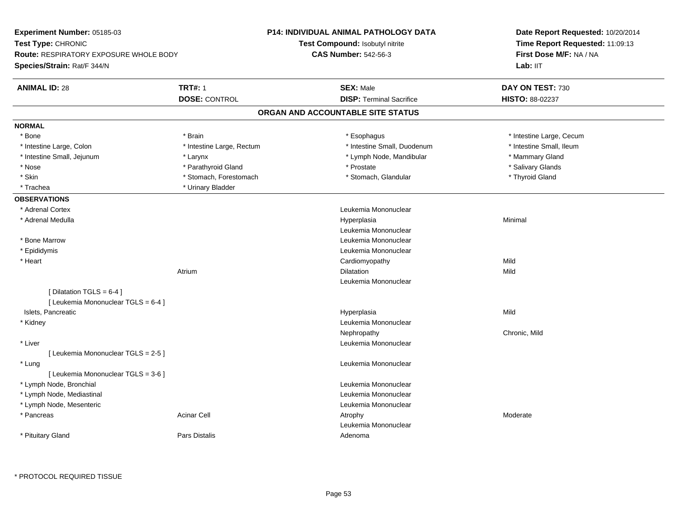| Experiment Number: 05185-03                   |                           | <b>P14: INDIVIDUAL ANIMAL PATHOLOGY DATA</b> | Date Report Requested: 10/20/2014<br>Time Report Requested: 11:09:13<br>First Dose M/F: NA / NA |  |
|-----------------------------------------------|---------------------------|----------------------------------------------|-------------------------------------------------------------------------------------------------|--|
| Test Type: CHRONIC                            |                           | Test Compound: Isobutyl nitrite              |                                                                                                 |  |
| <b>Route: RESPIRATORY EXPOSURE WHOLE BODY</b> |                           | <b>CAS Number: 542-56-3</b>                  |                                                                                                 |  |
| Species/Strain: Rat/F 344/N                   |                           |                                              | Lab: IIT                                                                                        |  |
| <b>ANIMAL ID: 28</b>                          | <b>TRT#: 1</b>            | <b>SEX: Male</b>                             | DAY ON TEST: 730                                                                                |  |
|                                               | <b>DOSE: CONTROL</b>      | <b>DISP: Terminal Sacrifice</b>              | HISTO: 88-02237                                                                                 |  |
|                                               |                           | ORGAN AND ACCOUNTABLE SITE STATUS            |                                                                                                 |  |
| <b>NORMAL</b>                                 |                           |                                              |                                                                                                 |  |
| * Bone                                        | * Brain                   | * Esophagus                                  | * Intestine Large, Cecum                                                                        |  |
| * Intestine Large, Colon                      | * Intestine Large, Rectum | * Intestine Small, Duodenum                  | * Intestine Small, Ileum                                                                        |  |
| * Intestine Small, Jejunum                    | * Larynx                  | * Lymph Node, Mandibular                     | * Mammary Gland                                                                                 |  |
| * Nose                                        | * Parathyroid Gland       | * Prostate                                   | * Salivary Glands                                                                               |  |
| * Skin                                        | * Stomach, Forestomach    | * Stomach, Glandular                         | * Thyroid Gland                                                                                 |  |
| * Trachea                                     | * Urinary Bladder         |                                              |                                                                                                 |  |
| <b>OBSERVATIONS</b>                           |                           |                                              |                                                                                                 |  |
| * Adrenal Cortex                              |                           | Leukemia Mononuclear                         |                                                                                                 |  |
| * Adrenal Medulla                             |                           | Hyperplasia                                  | Minimal                                                                                         |  |
|                                               |                           | Leukemia Mononuclear                         |                                                                                                 |  |
| * Bone Marrow                                 |                           | Leukemia Mononuclear                         |                                                                                                 |  |
| * Epididymis                                  |                           | Leukemia Mononuclear                         |                                                                                                 |  |
| * Heart                                       |                           | Cardiomyopathy                               | Mild                                                                                            |  |
|                                               | Atrium                    | Dilatation                                   | Mild                                                                                            |  |
|                                               |                           | Leukemia Mononuclear                         |                                                                                                 |  |
| [ Dilatation TGLS = $6-4$ ]                   |                           |                                              |                                                                                                 |  |
| [ Leukemia Mononuclear TGLS = 6-4 ]           |                           |                                              |                                                                                                 |  |
| Islets, Pancreatic                            |                           | Hyperplasia                                  | Mild                                                                                            |  |
| * Kidney                                      |                           | Leukemia Mononuclear                         |                                                                                                 |  |
|                                               |                           | Nephropathy                                  | Chronic, Mild                                                                                   |  |
| * Liver                                       |                           | Leukemia Mononuclear                         |                                                                                                 |  |
| [ Leukemia Mononuclear TGLS = 2-5 ]           |                           |                                              |                                                                                                 |  |
| * Lung                                        |                           | Leukemia Mononuclear                         |                                                                                                 |  |
| [ Leukemia Mononuclear TGLS = 3-6 ]           |                           |                                              |                                                                                                 |  |
| * Lymph Node, Bronchial                       |                           | Leukemia Mononuclear                         |                                                                                                 |  |
| * Lymph Node, Mediastinal                     |                           | Leukemia Mononuclear                         |                                                                                                 |  |
|                                               |                           | Leukemia Mononuclear                         |                                                                                                 |  |
| * Pancreas                                    | <b>Acinar Cell</b>        |                                              | Moderate                                                                                        |  |
|                                               |                           | Leukemia Mononuclear                         |                                                                                                 |  |
|                                               | <b>Pars Distalis</b>      | Adenoma                                      |                                                                                                 |  |
| * Lymph Node, Mesenteric<br>* Pituitary Gland |                           | Atrophy                                      |                                                                                                 |  |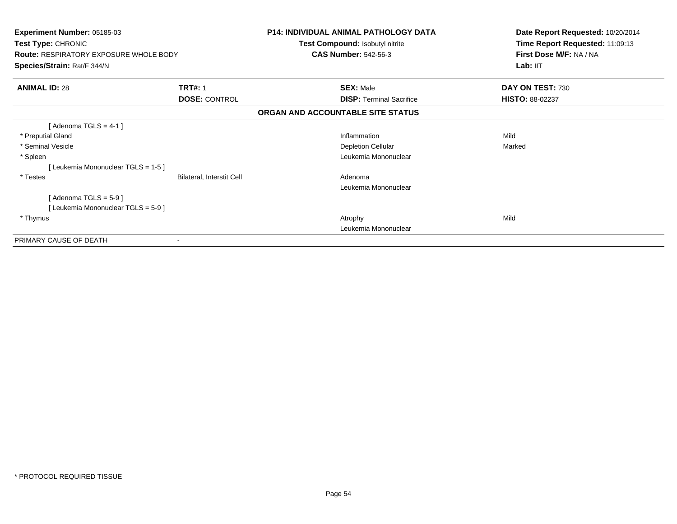| Experiment Number: 05185-03<br>Test Type: CHRONIC<br><b>Route: RESPIRATORY EXPOSURE WHOLE BODY</b><br>Species/Strain: Rat/F 344/N |                                  | <b>P14: INDIVIDUAL ANIMAL PATHOLOGY DATA</b><br>Test Compound: Isobutyl nitrite<br><b>CAS Number: 542-56-3</b> | Date Report Requested: 10/20/2014<br>Time Report Requested: 11:09:13<br>First Dose M/F: NA / NA<br>Lab: IIT |
|-----------------------------------------------------------------------------------------------------------------------------------|----------------------------------|----------------------------------------------------------------------------------------------------------------|-------------------------------------------------------------------------------------------------------------|
|                                                                                                                                   |                                  |                                                                                                                |                                                                                                             |
| <b>ANIMAL ID: 28</b><br><b>TRT#: 1</b><br><b>DOSE: CONTROL</b>                                                                    |                                  | <b>SEX: Male</b><br><b>DISP: Terminal Sacrifice</b>                                                            | DAY ON TEST: 730<br><b>HISTO: 88-02237</b>                                                                  |
|                                                                                                                                   |                                  | ORGAN AND ACCOUNTABLE SITE STATUS                                                                              |                                                                                                             |
| [Adenoma TGLS = $4-1$ ]                                                                                                           |                                  |                                                                                                                |                                                                                                             |
| * Preputial Gland                                                                                                                 |                                  | Inflammation                                                                                                   | Mild                                                                                                        |
| * Seminal Vesicle                                                                                                                 |                                  | <b>Depletion Cellular</b>                                                                                      | Marked                                                                                                      |
| * Spleen                                                                                                                          |                                  | Leukemia Mononuclear                                                                                           |                                                                                                             |
| [Leukemia Mononuclear TGLS = 1-5]                                                                                                 |                                  |                                                                                                                |                                                                                                             |
| * Testes                                                                                                                          | <b>Bilateral, Interstit Cell</b> | Adenoma                                                                                                        |                                                                                                             |
|                                                                                                                                   |                                  | Leukemia Mononuclear                                                                                           |                                                                                                             |
| [Adenoma TGLS = $5-9$ ]                                                                                                           |                                  |                                                                                                                |                                                                                                             |
| [Leukemia Mononuclear TGLS = 5-9]                                                                                                 |                                  |                                                                                                                |                                                                                                             |
| * Thymus                                                                                                                          |                                  | Atrophy                                                                                                        | Mild                                                                                                        |
|                                                                                                                                   |                                  | Leukemia Mononuclear                                                                                           |                                                                                                             |
| PRIMARY CAUSE OF DEATH                                                                                                            |                                  |                                                                                                                |                                                                                                             |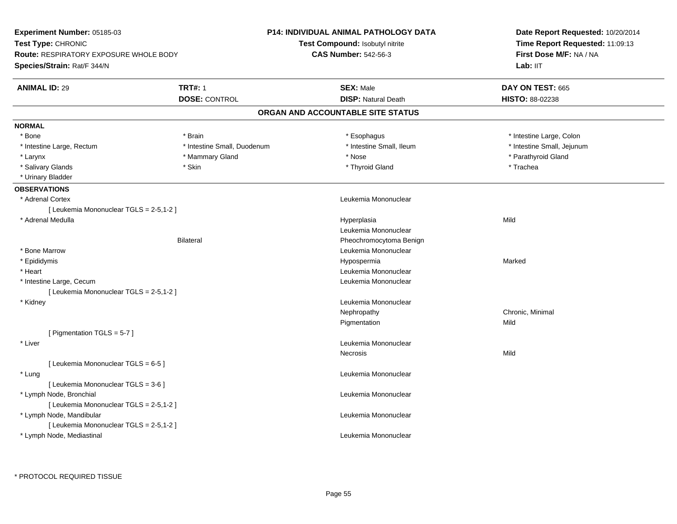| <b>Experiment Number: 05185-03</b>      |                             | <b>P14: INDIVIDUAL ANIMAL PATHOLOGY DATA</b> | Date Report Requested: 10/20/2014<br>Time Report Requested: 11:09:13<br>First Dose M/F: NA / NA |  |
|-----------------------------------------|-----------------------------|----------------------------------------------|-------------------------------------------------------------------------------------------------|--|
| Test Type: CHRONIC                      |                             | Test Compound: Isobutyl nitrite              |                                                                                                 |  |
| Route: RESPIRATORY EXPOSURE WHOLE BODY  |                             | <b>CAS Number: 542-56-3</b>                  |                                                                                                 |  |
| Species/Strain: Rat/F 344/N             |                             |                                              | Lab: IIT                                                                                        |  |
| <b>ANIMAL ID: 29</b>                    | <b>TRT#: 1</b>              | <b>SEX: Male</b>                             | DAY ON TEST: 665                                                                                |  |
|                                         | <b>DOSE: CONTROL</b>        | <b>DISP: Natural Death</b>                   | <b>HISTO: 88-02238</b>                                                                          |  |
|                                         |                             | ORGAN AND ACCOUNTABLE SITE STATUS            |                                                                                                 |  |
| <b>NORMAL</b>                           |                             |                                              |                                                                                                 |  |
| * Bone                                  | * Brain                     | * Esophagus                                  | * Intestine Large, Colon                                                                        |  |
| * Intestine Large, Rectum               | * Intestine Small, Duodenum | * Intestine Small, Ileum                     | * Intestine Small, Jejunum                                                                      |  |
| * Larynx                                | * Mammary Gland             | * Nose                                       | * Parathyroid Gland                                                                             |  |
| * Salivary Glands                       | * Skin                      | * Thyroid Gland                              | * Trachea                                                                                       |  |
| * Urinary Bladder                       |                             |                                              |                                                                                                 |  |
| <b>OBSERVATIONS</b>                     |                             |                                              |                                                                                                 |  |
| * Adrenal Cortex                        |                             | Leukemia Mononuclear                         |                                                                                                 |  |
| [ Leukemia Mononuclear TGLS = 2-5,1-2 ] |                             |                                              |                                                                                                 |  |
| * Adrenal Medulla                       |                             | Hyperplasia                                  | Mild                                                                                            |  |
|                                         |                             | Leukemia Mononuclear                         |                                                                                                 |  |
|                                         | <b>Bilateral</b>            | Pheochromocytoma Benign                      |                                                                                                 |  |
| * Bone Marrow                           |                             | Leukemia Mononuclear                         |                                                                                                 |  |
| * Epididymis                            |                             | Hypospermia                                  | Marked                                                                                          |  |
| * Heart                                 |                             | Leukemia Mononuclear                         |                                                                                                 |  |
| * Intestine Large, Cecum                |                             | Leukemia Mononuclear                         |                                                                                                 |  |
| [ Leukemia Mononuclear TGLS = 2-5,1-2 ] |                             |                                              |                                                                                                 |  |
| * Kidney                                |                             | Leukemia Mononuclear                         |                                                                                                 |  |
|                                         |                             | Nephropathy                                  | Chronic, Minimal                                                                                |  |
|                                         |                             | Pigmentation                                 | Mild                                                                                            |  |
| [ Pigmentation TGLS = 5-7 ]             |                             |                                              |                                                                                                 |  |
| * Liver                                 |                             | Leukemia Mononuclear                         |                                                                                                 |  |
|                                         |                             | Necrosis                                     | Mild                                                                                            |  |
| [ Leukemia Mononuclear TGLS = 6-5 ]     |                             |                                              |                                                                                                 |  |
| * Lung                                  |                             | Leukemia Mononuclear                         |                                                                                                 |  |
| [ Leukemia Mononuclear TGLS = 3-6 ]     |                             |                                              |                                                                                                 |  |
| * Lymph Node, Bronchial                 |                             | Leukemia Mononuclear                         |                                                                                                 |  |
| [ Leukemia Mononuclear TGLS = 2-5,1-2 ] |                             |                                              |                                                                                                 |  |
| * Lymph Node, Mandibular                |                             | Leukemia Mononuclear                         |                                                                                                 |  |
| [ Leukemia Mononuclear TGLS = 2-5,1-2 ] |                             |                                              |                                                                                                 |  |
| * Lymph Node, Mediastinal               |                             | Leukemia Mononuclear                         |                                                                                                 |  |
|                                         |                             |                                              |                                                                                                 |  |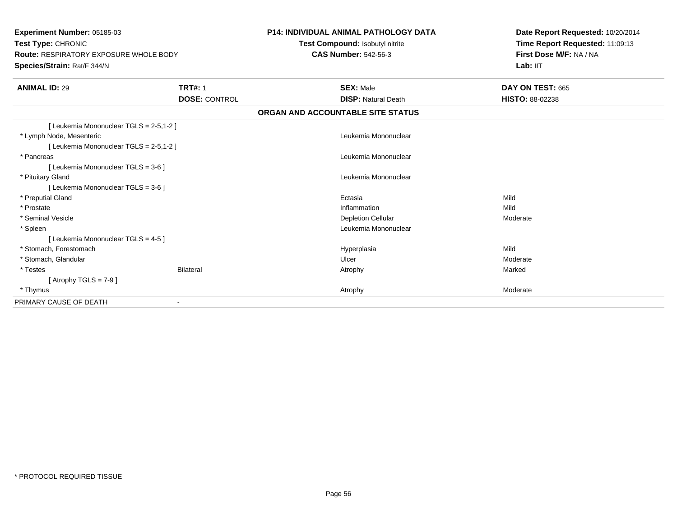**Experiment Number:** 05185-03**Test Type:** CHRONIC **Route:** RESPIRATORY EXPOSURE WHOLE BODY**Species/Strain:** Rat/F 344/N**P14: INDIVIDUAL ANIMAL PATHOLOGY DATATest Compound:** Isobutyl nitrite**CAS Number:** 542-56-3**Date Report Requested:** 10/20/2014**Time Report Requested:** 11:09:13**First Dose M/F:** NA / NALab: IIT **ANIMAL ID:** 29 **TRT#:** <sup>1</sup> **SEX:** Male **DAY ON TEST:** <sup>665</sup> **DOSE:** CONTROL **DISP:** Natural Death **HISTO:** 88-02238 **ORGAN AND ACCOUNTABLE SITE STATUS**[ Leukemia Mononuclear TGLS = 2-5,1-2 ] \* Lymph Node, Mesenteric Leukemia Mononuclear [ Leukemia Mononuclear TGLS = 2-5,1-2 ] \* Pancreas Leukemia Mononuclear [ Leukemia Mononuclear TGLS = 3-6 ] \* Pituitary Gland Leukemia Mononuclear [ Leukemia Mononuclear TGLS = 3-6 ] \* Preputial Glandd and the control of the control of the control of the control of the control of the control of the control of the control of the control of the control of the control of the control of the control of the control of the co \* Prostatee discussion of the control of the control of the control of the control of the control of the control of the control of the control of the control of the control of the control of the control of the control of the control \* Seminal Vesiclee and the contract of the contract of the contract of the Depletion Cellular contract of the Moderate of the Moderate of the contract of the contract of the contract of the contract of  $\sim$  Depletion Cellular contract of t \* Spleen Leukemia Mononuclear [ Leukemia Mononuclear TGLS = 4-5 ] \* Stomach, Forestomachh anns an t-aisimeil anns an t-aisimeil anns an t-aisimeil anns an t-aisimeil an t-aisimeil anns an t-aisimeil \* Stomach, Glandularr and the control of the control of the control of the Ulcer Control of the control of the Moderate \* Testes Bilateral Atrophy Marked $[$  Atrophy TGLS = 7-9  $]$  \* Thymuss and the control of the control of the control of the control of the control of the control of the control of the control of the control of the control of the control of the control of the control of the control of the co PRIMARY CAUSE OF DEATH-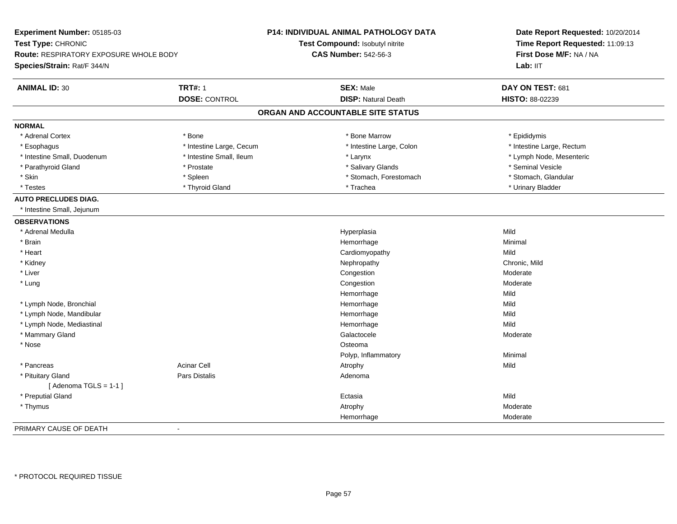| Experiment Number: 05185-03<br>Test Type: CHRONIC<br>Route: RESPIRATORY EXPOSURE WHOLE BODY<br>Species/Strain: Rat/F 344/N |                          | <b>P14: INDIVIDUAL ANIMAL PATHOLOGY DATA</b><br>Test Compound: Isobutyl nitrite<br><b>CAS Number: 542-56-3</b> | Date Report Requested: 10/20/2014<br>Time Report Requested: 11:09:13<br>First Dose M/F: NA / NA<br>Lab: IIT |
|----------------------------------------------------------------------------------------------------------------------------|--------------------------|----------------------------------------------------------------------------------------------------------------|-------------------------------------------------------------------------------------------------------------|
| <b>ANIMAL ID: 30</b>                                                                                                       | <b>TRT#: 1</b>           | <b>SEX: Male</b>                                                                                               | DAY ON TEST: 681                                                                                            |
|                                                                                                                            | <b>DOSE: CONTROL</b>     | <b>DISP: Natural Death</b>                                                                                     | HISTO: 88-02239                                                                                             |
|                                                                                                                            |                          | ORGAN AND ACCOUNTABLE SITE STATUS                                                                              |                                                                                                             |
| <b>NORMAL</b>                                                                                                              |                          |                                                                                                                |                                                                                                             |
| * Adrenal Cortex                                                                                                           | * Bone                   | * Bone Marrow                                                                                                  | * Epididymis                                                                                                |
| * Esophagus                                                                                                                | * Intestine Large, Cecum | * Intestine Large, Colon                                                                                       | * Intestine Large, Rectum                                                                                   |
| * Intestine Small, Duodenum                                                                                                | * Intestine Small, Ileum | * Larynx                                                                                                       | * Lymph Node, Mesenteric                                                                                    |
| * Parathyroid Gland                                                                                                        | * Prostate               | * Salivary Glands                                                                                              | * Seminal Vesicle                                                                                           |
| * Skin                                                                                                                     | * Spleen                 | * Stomach, Forestomach                                                                                         | * Stomach, Glandular                                                                                        |
| * Testes                                                                                                                   | * Thyroid Gland          | * Trachea                                                                                                      | * Urinary Bladder                                                                                           |
| <b>AUTO PRECLUDES DIAG.</b>                                                                                                |                          |                                                                                                                |                                                                                                             |
| * Intestine Small, Jejunum                                                                                                 |                          |                                                                                                                |                                                                                                             |
| <b>OBSERVATIONS</b>                                                                                                        |                          |                                                                                                                |                                                                                                             |
| * Adrenal Medulla                                                                                                          |                          | Hyperplasia                                                                                                    | Mild                                                                                                        |
| * Brain                                                                                                                    |                          | Hemorrhage                                                                                                     | Minimal                                                                                                     |
| * Heart                                                                                                                    |                          | Cardiomyopathy                                                                                                 | Mild                                                                                                        |
| * Kidney                                                                                                                   |                          | Nephropathy                                                                                                    | Chronic, Mild                                                                                               |
| * Liver                                                                                                                    |                          | Congestion                                                                                                     | Moderate                                                                                                    |
| * Lung                                                                                                                     |                          | Congestion                                                                                                     | Moderate                                                                                                    |
|                                                                                                                            |                          | Hemorrhage                                                                                                     | Mild                                                                                                        |
| * Lymph Node, Bronchial                                                                                                    |                          | Hemorrhage                                                                                                     | Mild                                                                                                        |
| * Lymph Node, Mandibular                                                                                                   |                          | Hemorrhage                                                                                                     | Mild                                                                                                        |
| * Lymph Node, Mediastinal                                                                                                  |                          | Hemorrhage                                                                                                     | Mild                                                                                                        |
| * Mammary Gland                                                                                                            |                          | Galactocele                                                                                                    | Moderate                                                                                                    |
| * Nose                                                                                                                     |                          | Osteoma                                                                                                        |                                                                                                             |
|                                                                                                                            |                          | Polyp, Inflammatory                                                                                            | Minimal                                                                                                     |
| * Pancreas                                                                                                                 | <b>Acinar Cell</b>       | Atrophy                                                                                                        | Mild                                                                                                        |
| * Pituitary Gland                                                                                                          | Pars Distalis            | Adenoma                                                                                                        |                                                                                                             |
| [Adenoma TGLS = $1-1$ ]                                                                                                    |                          |                                                                                                                |                                                                                                             |
| * Preputial Gland                                                                                                          |                          | Ectasia                                                                                                        | Mild                                                                                                        |
| * Thymus                                                                                                                   |                          | Atrophy                                                                                                        | Moderate                                                                                                    |
|                                                                                                                            |                          | Hemorrhage                                                                                                     | Moderate                                                                                                    |
| PRIMARY CAUSE OF DEATH                                                                                                     | $\blacksquare$           |                                                                                                                |                                                                                                             |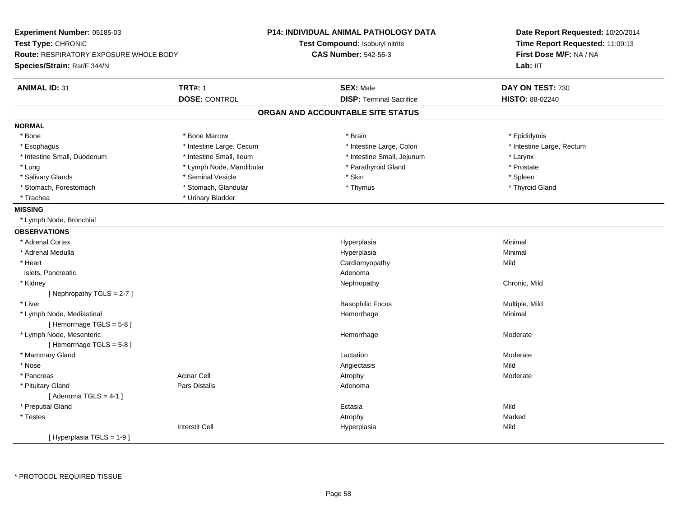| Experiment Number: 05185-03<br>Test Type: CHRONIC<br><b>Route: RESPIRATORY EXPOSURE WHOLE BODY</b><br>Species/Strain: Rat/F 344/N |                          | P14: INDIVIDUAL ANIMAL PATHOLOGY DATA<br>Test Compound: Isobutyl nitrite<br><b>CAS Number: 542-56-3</b> | Date Report Requested: 10/20/2014<br>Time Report Requested: 11:09:13<br>First Dose M/F: NA / NA<br>Lab: IIT |
|-----------------------------------------------------------------------------------------------------------------------------------|--------------------------|---------------------------------------------------------------------------------------------------------|-------------------------------------------------------------------------------------------------------------|
| <b>ANIMAL ID: 31</b>                                                                                                              | <b>TRT#: 1</b>           | <b>SEX: Male</b>                                                                                        | DAY ON TEST: 730                                                                                            |
|                                                                                                                                   | <b>DOSE: CONTROL</b>     | <b>DISP: Terminal Sacrifice</b>                                                                         | HISTO: 88-02240                                                                                             |
|                                                                                                                                   |                          | ORGAN AND ACCOUNTABLE SITE STATUS                                                                       |                                                                                                             |
| <b>NORMAL</b>                                                                                                                     |                          |                                                                                                         |                                                                                                             |
| $*$ Bone                                                                                                                          | * Bone Marrow            | * Brain                                                                                                 | * Epididymis                                                                                                |
| * Esophagus                                                                                                                       | * Intestine Large, Cecum | * Intestine Large, Colon                                                                                | * Intestine Large, Rectum                                                                                   |
| * Intestine Small, Duodenum                                                                                                       | * Intestine Small, Ileum | * Intestine Small, Jejunum                                                                              | * Larynx                                                                                                    |
| * Lung                                                                                                                            | * Lymph Node, Mandibular | * Parathyroid Gland                                                                                     | * Prostate                                                                                                  |
| * Salivary Glands                                                                                                                 | * Seminal Vesicle        | * Skin                                                                                                  | * Spleen                                                                                                    |
| * Stomach, Forestomach                                                                                                            | * Stomach, Glandular     | * Thymus                                                                                                | * Thyroid Gland                                                                                             |
| * Trachea                                                                                                                         | * Urinary Bladder        |                                                                                                         |                                                                                                             |
| <b>MISSING</b>                                                                                                                    |                          |                                                                                                         |                                                                                                             |
| * Lymph Node, Bronchial                                                                                                           |                          |                                                                                                         |                                                                                                             |
| <b>OBSERVATIONS</b>                                                                                                               |                          |                                                                                                         |                                                                                                             |
| * Adrenal Cortex                                                                                                                  |                          | Hyperplasia                                                                                             | Minimal                                                                                                     |
| * Adrenal Medulla                                                                                                                 |                          | Hyperplasia                                                                                             | Minimal                                                                                                     |
| * Heart                                                                                                                           |                          | Cardiomyopathy                                                                                          | Mild                                                                                                        |
| Islets, Pancreatic                                                                                                                |                          | Adenoma                                                                                                 |                                                                                                             |
| * Kidney                                                                                                                          |                          | Nephropathy                                                                                             | Chronic, Mild                                                                                               |
| [Nephropathy TGLS = $2-7$ ]                                                                                                       |                          |                                                                                                         |                                                                                                             |
| * Liver                                                                                                                           |                          | <b>Basophilic Focus</b>                                                                                 | Multiple, Mild                                                                                              |
| * Lymph Node, Mediastinal                                                                                                         |                          | Hemorrhage                                                                                              | Minimal                                                                                                     |
| [Hemorrhage TGLS = 5-8]                                                                                                           |                          |                                                                                                         |                                                                                                             |
| * Lymph Node, Mesenteric                                                                                                          |                          | Hemorrhage                                                                                              | Moderate                                                                                                    |
| [Hemorrhage TGLS = 5-8]                                                                                                           |                          |                                                                                                         |                                                                                                             |
| * Mammary Gland                                                                                                                   |                          | Lactation                                                                                               | Moderate                                                                                                    |
| * Nose                                                                                                                            |                          | Angiectasis                                                                                             | Mild                                                                                                        |
| * Pancreas                                                                                                                        | <b>Acinar Cell</b>       | Atrophy                                                                                                 | Moderate                                                                                                    |
| * Pituitary Gland                                                                                                                 | Pars Distalis            | Adenoma                                                                                                 |                                                                                                             |
| [Adenoma TGLS = $4-1$ ]                                                                                                           |                          |                                                                                                         |                                                                                                             |
| * Preputial Gland                                                                                                                 |                          | Ectasia                                                                                                 | Mild                                                                                                        |
| * Testes                                                                                                                          |                          | Atrophy                                                                                                 | Marked                                                                                                      |
|                                                                                                                                   | <b>Interstit Cell</b>    | Hyperplasia                                                                                             | Mild                                                                                                        |
| [Hyperplasia TGLS = 1-9]                                                                                                          |                          |                                                                                                         |                                                                                                             |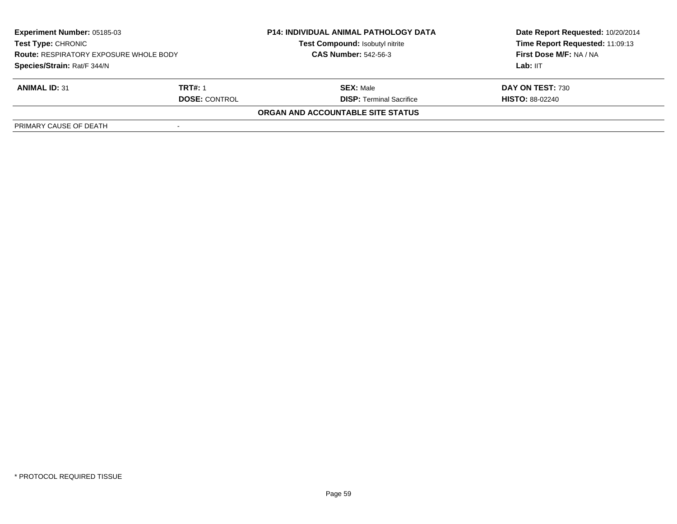| <b>Experiment Number: 05185-03</b><br><b>Test Type: CHRONIC</b><br><b>Route: RESPIRATORY EXPOSURE WHOLE BODY</b><br>Species/Strain: Rat/F 344/N |         | <b>P14: INDIVIDUAL ANIMAL PATHOLOGY DATA</b><br>Test Compound: Isobutyl nitrite<br><b>CAS Number: 542-56-3</b> | Date Report Requested: 10/20/2014<br>Time Report Requested: 11:09:13<br>First Dose M/F: NA / NA<br>Lab: $III$ |
|-------------------------------------------------------------------------------------------------------------------------------------------------|---------|----------------------------------------------------------------------------------------------------------------|---------------------------------------------------------------------------------------------------------------|
|                                                                                                                                                 |         |                                                                                                                |                                                                                                               |
| <b>ANIMAL ID: 31</b>                                                                                                                            | TRT#: 1 | <b>SEX: Male</b>                                                                                               | DAY ON TEST: 730                                                                                              |
| <b>DOSE: CONTROL</b>                                                                                                                            |         | <b>DISP: Terminal Sacrifice</b>                                                                                | <b>HISTO: 88-02240</b>                                                                                        |
|                                                                                                                                                 |         | <b>ORGAN AND ACCOUNTABLE SITE STATUS</b>                                                                       |                                                                                                               |
| PRIMARY CAUSE OF DEATH                                                                                                                          |         |                                                                                                                |                                                                                                               |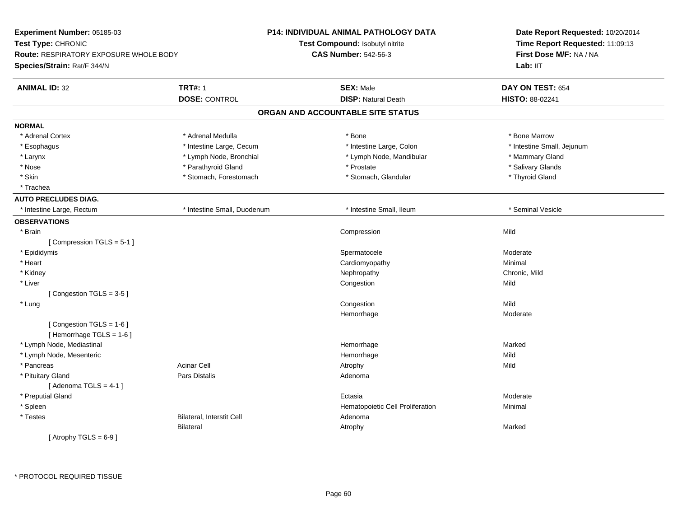| Experiment Number: 05185-03                   |                             | P14: INDIVIDUAL ANIMAL PATHOLOGY DATA | Date Report Requested: 10/20/2014<br>Time Report Requested: 11:09:13<br>First Dose M/F: NA / NA |  |
|-----------------------------------------------|-----------------------------|---------------------------------------|-------------------------------------------------------------------------------------------------|--|
| Test Type: CHRONIC                            |                             | Test Compound: Isobutyl nitrite       |                                                                                                 |  |
| <b>Route: RESPIRATORY EXPOSURE WHOLE BODY</b> |                             | <b>CAS Number: 542-56-3</b>           |                                                                                                 |  |
| Species/Strain: Rat/F 344/N                   |                             |                                       | Lab: IIT                                                                                        |  |
| <b>ANIMAL ID: 32</b>                          | <b>TRT#: 1</b>              | <b>SEX: Male</b>                      | DAY ON TEST: 654                                                                                |  |
|                                               | <b>DOSE: CONTROL</b>        | <b>DISP: Natural Death</b>            | HISTO: 88-02241                                                                                 |  |
|                                               |                             | ORGAN AND ACCOUNTABLE SITE STATUS     |                                                                                                 |  |
| <b>NORMAL</b>                                 |                             |                                       |                                                                                                 |  |
| * Adrenal Cortex                              | * Adrenal Medulla           | * Bone                                | * Bone Marrow                                                                                   |  |
| * Esophagus                                   | * Intestine Large, Cecum    | * Intestine Large, Colon              | * Intestine Small, Jejunum                                                                      |  |
| * Larynx                                      | * Lymph Node, Bronchial     | * Lymph Node, Mandibular              | * Mammary Gland                                                                                 |  |
| * Nose                                        | * Parathyroid Gland         | * Prostate                            | * Salivary Glands                                                                               |  |
| * Skin                                        | * Stomach, Forestomach      | * Stomach, Glandular                  | * Thyroid Gland                                                                                 |  |
| * Trachea                                     |                             |                                       |                                                                                                 |  |
| <b>AUTO PRECLUDES DIAG.</b>                   |                             |                                       |                                                                                                 |  |
| * Intestine Large, Rectum                     | * Intestine Small, Duodenum | * Intestine Small, Ileum              | * Seminal Vesicle                                                                               |  |
| <b>OBSERVATIONS</b>                           |                             |                                       |                                                                                                 |  |
| * Brain                                       |                             | Compression                           | Mild                                                                                            |  |
| [Compression TGLS = 5-1]                      |                             |                                       |                                                                                                 |  |
| * Epididymis                                  |                             | Spermatocele                          | Moderate                                                                                        |  |
| * Heart                                       |                             | Cardiomyopathy                        | Minimal                                                                                         |  |
| * Kidney                                      |                             | Nephropathy                           | Chronic, Mild                                                                                   |  |
| * Liver                                       |                             | Congestion                            | Mild                                                                                            |  |
| [Congestion TGLS = 3-5]                       |                             |                                       |                                                                                                 |  |
| * Lung                                        |                             | Congestion                            | Mild                                                                                            |  |
|                                               |                             | Hemorrhage                            | Moderate                                                                                        |  |
| [Congestion TGLS = 1-6]                       |                             |                                       |                                                                                                 |  |
| [Hemorrhage TGLS = 1-6]                       |                             |                                       |                                                                                                 |  |
| * Lymph Node, Mediastinal                     |                             | Hemorrhage                            | Marked                                                                                          |  |
| * Lymph Node, Mesenteric                      |                             | Hemorrhage                            | Mild                                                                                            |  |
| * Pancreas                                    | <b>Acinar Cell</b>          | Atrophy                               | Mild                                                                                            |  |
| * Pituitary Gland                             | Pars Distalis               | Adenoma                               |                                                                                                 |  |
| [Adenoma TGLS = $4-1$ ]                       |                             |                                       |                                                                                                 |  |
| * Preputial Gland                             |                             | Ectasia                               | Moderate                                                                                        |  |
| * Spleen                                      |                             | Hematopoietic Cell Proliferation      | Minimal                                                                                         |  |
| * Testes                                      | Bilateral, Interstit Cell   | Adenoma                               |                                                                                                 |  |
|                                               | <b>Bilateral</b>            | Atrophy                               | Marked                                                                                          |  |
| [Atrophy TGLS = $6-9$ ]                       |                             |                                       |                                                                                                 |  |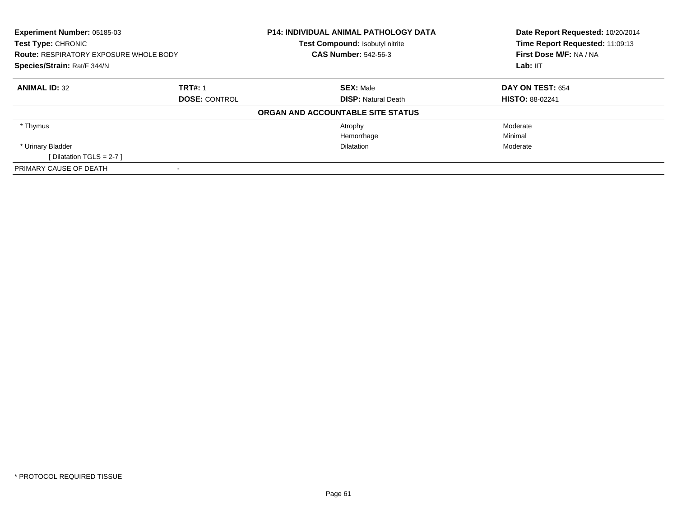| <b>Experiment Number: 05185-03</b><br>Test Type: CHRONIC |                | <b>P14: INDIVIDUAL ANIMAL PATHOLOGY DATA</b><br>Test Compound: Isobutyl nitrite | Date Report Requested: 10/20/2014<br>Time Report Requested: 11:09:13 |
|----------------------------------------------------------|----------------|---------------------------------------------------------------------------------|----------------------------------------------------------------------|
| <b>Route: RESPIRATORY EXPOSURE WHOLE BODY</b>            |                | <b>CAS Number: 542-56-3</b>                                                     | First Dose M/F: NA / NA                                              |
| Species/Strain: Rat/F 344/N                              |                |                                                                                 | Lab: IIT                                                             |
| <b>ANIMAL ID: 32</b>                                     | <b>TRT#: 1</b> | <b>SEX: Male</b>                                                                | <b>DAY ON TEST: 654</b>                                              |
| <b>DOSE: CONTROL</b>                                     |                | <b>DISP: Natural Death</b>                                                      | <b>HISTO: 88-02241</b>                                               |
|                                                          |                | ORGAN AND ACCOUNTABLE SITE STATUS                                               |                                                                      |
| * Thymus                                                 |                | Atrophy                                                                         | Moderate                                                             |
|                                                          |                | Hemorrhage                                                                      | Minimal                                                              |
| * Urinary Bladder                                        |                | <b>Dilatation</b>                                                               | Moderate                                                             |
| [Dilatation TGLS = $2-7$ ]                               |                |                                                                                 |                                                                      |
| PRIMARY CAUSE OF DEATH                                   |                |                                                                                 |                                                                      |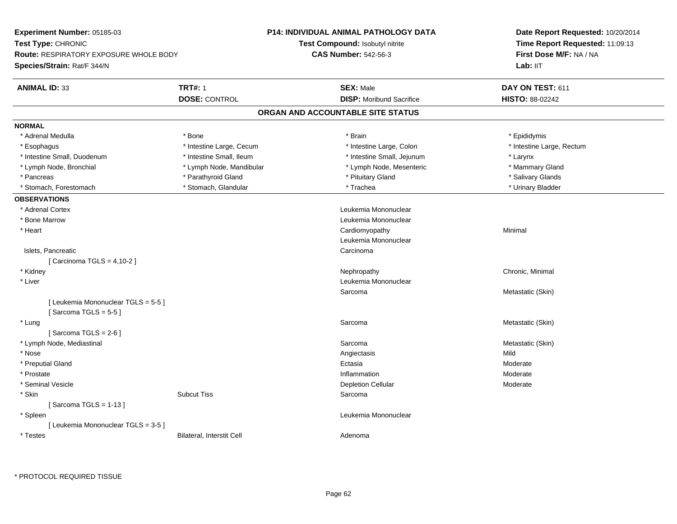| <b>Experiment Number: 05185-03</b>            |                           | <b>P14: INDIVIDUAL ANIMAL PATHOLOGY DATA</b> | Date Report Requested: 10/20/2014<br>Time Report Requested: 11:09:13 |
|-----------------------------------------------|---------------------------|----------------------------------------------|----------------------------------------------------------------------|
| Test Type: CHRONIC                            |                           | Test Compound: Isobutyl nitrite              |                                                                      |
| <b>Route: RESPIRATORY EXPOSURE WHOLE BODY</b> |                           | <b>CAS Number: 542-56-3</b>                  | First Dose M/F: NA / NA                                              |
| <b>Species/Strain: Rat/F 344/N</b>            |                           |                                              | Lab: IIT                                                             |
| <b>ANIMAL ID: 33</b>                          | <b>TRT#: 1</b>            | <b>SEX: Male</b>                             | DAY ON TEST: 611                                                     |
|                                               | <b>DOSE: CONTROL</b>      | <b>DISP:</b> Moribund Sacrifice              | HISTO: 88-02242                                                      |
|                                               |                           | ORGAN AND ACCOUNTABLE SITE STATUS            |                                                                      |
| <b>NORMAL</b>                                 |                           |                                              |                                                                      |
| * Adrenal Medulla                             | * Bone                    | * Brain                                      | * Epididymis                                                         |
| * Esophagus                                   | * Intestine Large, Cecum  | * Intestine Large, Colon                     | * Intestine Large, Rectum                                            |
| * Intestine Small, Duodenum                   | * Intestine Small, Ileum  | * Intestine Small, Jejunum                   | * Larynx                                                             |
| * Lymph Node, Bronchial                       | * Lymph Node, Mandibular  | * Lymph Node, Mesenteric                     | * Mammary Gland                                                      |
| * Pancreas                                    | * Parathyroid Gland       | * Pituitary Gland                            | * Salivary Glands                                                    |
| * Stomach, Forestomach                        | * Stomach, Glandular      | * Trachea                                    | * Urinary Bladder                                                    |
| <b>OBSERVATIONS</b>                           |                           |                                              |                                                                      |
| * Adrenal Cortex                              |                           | Leukemia Mononuclear                         |                                                                      |
| * Bone Marrow                                 |                           | Leukemia Mononuclear                         |                                                                      |
| * Heart                                       |                           | Cardiomyopathy                               | Minimal                                                              |
|                                               |                           | Leukemia Mononuclear                         |                                                                      |
| Islets, Pancreatic                            |                           | Carcinoma                                    |                                                                      |
| [Carcinoma TGLS = $4,10-2$ ]                  |                           |                                              |                                                                      |
| * Kidney                                      |                           | Nephropathy                                  | Chronic, Minimal                                                     |
| * Liver                                       |                           | Leukemia Mononuclear                         |                                                                      |
|                                               |                           | Sarcoma                                      | Metastatic (Skin)                                                    |
| [ Leukemia Mononuclear TGLS = 5-5 ]           |                           |                                              |                                                                      |
| [Sarcoma TGLS = $5-5$ ]                       |                           |                                              |                                                                      |
| * Lung                                        |                           | Sarcoma                                      | Metastatic (Skin)                                                    |
| [Sarcoma TGLS = $2-6$ ]                       |                           |                                              |                                                                      |
| * Lymph Node, Mediastinal                     |                           | Sarcoma                                      | Metastatic (Skin)                                                    |
| * Nose                                        |                           | Angiectasis                                  | Mild                                                                 |
| * Preputial Gland                             |                           | Ectasia                                      | Moderate                                                             |
| * Prostate                                    |                           | Inflammation                                 | Moderate                                                             |
| * Seminal Vesicle                             |                           | <b>Depletion Cellular</b>                    | Moderate                                                             |
| * Skin                                        | <b>Subcut Tiss</b>        | Sarcoma                                      |                                                                      |
| [Sarcoma TGLS = $1-13$ ]                      |                           |                                              |                                                                      |
| * Spleen                                      |                           | Leukemia Mononuclear                         |                                                                      |
| [ Leukemia Mononuclear TGLS = 3-5 ]           |                           |                                              |                                                                      |
| * Testes                                      | Bilateral, Interstit Cell | Adenoma                                      |                                                                      |
|                                               |                           |                                              |                                                                      |

\* PROTOCOL REQUIRED TISSUE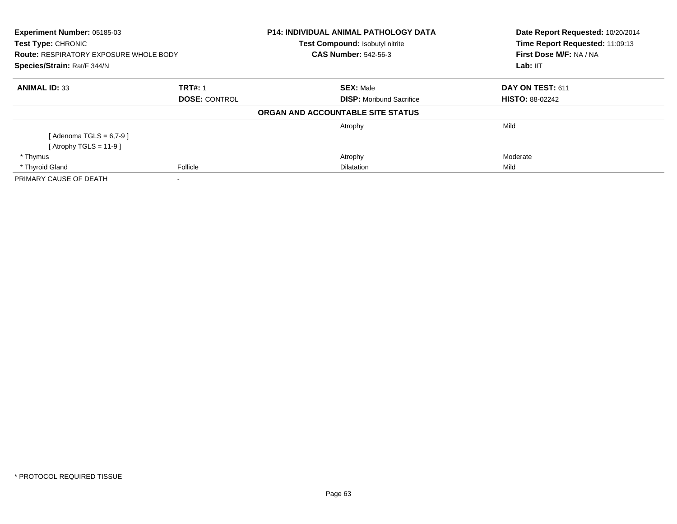| Experiment Number: 05185-03                                                |                      | <b>P14: INDIVIDUAL ANIMAL PATHOLOGY DATA</b> | Date Report Requested: 10/20/2014 |
|----------------------------------------------------------------------------|----------------------|----------------------------------------------|-----------------------------------|
| <b>Test Type: CHRONIC</b><br><b>Route: RESPIRATORY EXPOSURE WHOLE BODY</b> |                      | Test Compound: Isobutyl nitrite              | Time Report Requested: 11:09:13   |
|                                                                            |                      | <b>CAS Number: 542-56-3</b>                  | First Dose M/F: NA / NA           |
| Species/Strain: Rat/F 344/N                                                |                      |                                              | Lab: IIT                          |
| <b>ANIMAL ID: 33</b>                                                       | <b>TRT#: 1</b>       | <b>SEX: Male</b>                             | DAY ON TEST: 611                  |
|                                                                            | <b>DOSE: CONTROL</b> | <b>DISP:</b> Moribund Sacrifice              | <b>HISTO: 88-02242</b>            |
|                                                                            |                      | ORGAN AND ACCOUNTABLE SITE STATUS            |                                   |
|                                                                            |                      | Atrophy                                      | Mild                              |
| [Adenoma TGLS = $6,7-9$ ]                                                  |                      |                                              |                                   |
| [Atrophy TGLS = 11-9]                                                      |                      |                                              |                                   |
| * Thymus                                                                   |                      | Atrophy                                      | Moderate                          |
| * Thyroid Gland                                                            | Follicle             | <b>Dilatation</b>                            | Mild                              |
| PRIMARY CAUSE OF DEATH                                                     |                      |                                              |                                   |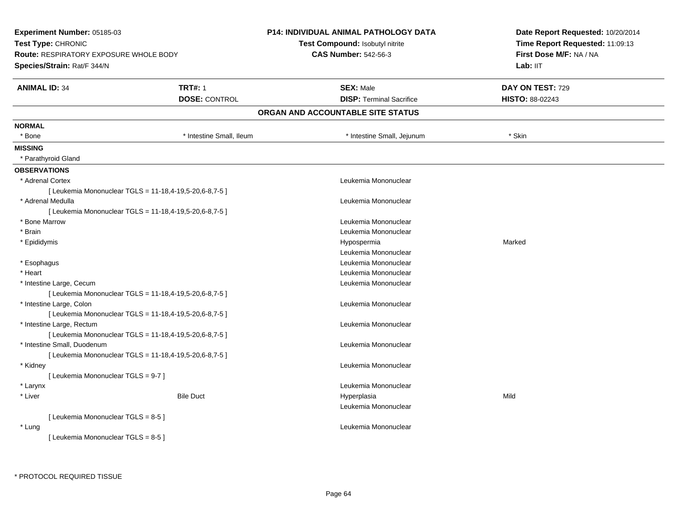| Experiment Number: 05185-03                   |                                                         | <b>P14: INDIVIDUAL ANIMAL PATHOLOGY DATA</b> | Date Report Requested: 10/20/2014 |
|-----------------------------------------------|---------------------------------------------------------|----------------------------------------------|-----------------------------------|
| Test Type: CHRONIC                            |                                                         | Test Compound: Isobutyl nitrite              | Time Report Requested: 11:09:13   |
| <b>Route: RESPIRATORY EXPOSURE WHOLE BODY</b> |                                                         | <b>CAS Number: 542-56-3</b>                  | First Dose M/F: NA / NA           |
| Species/Strain: Rat/F 344/N                   |                                                         |                                              | Lab: II <sub>T</sub>              |
| <b>ANIMAL ID: 34</b>                          | <b>TRT#: 1</b>                                          | <b>SEX: Male</b>                             | DAY ON TEST: 729                  |
|                                               | <b>DOSE: CONTROL</b>                                    | <b>DISP: Terminal Sacrifice</b>              | HISTO: 88-02243                   |
|                                               |                                                         | ORGAN AND ACCOUNTABLE SITE STATUS            |                                   |
| <b>NORMAL</b>                                 |                                                         |                                              |                                   |
| * Bone                                        | * Intestine Small, Ileum                                | * Intestine Small, Jejunum                   | * Skin                            |
| <b>MISSING</b>                                |                                                         |                                              |                                   |
| * Parathyroid Gland                           |                                                         |                                              |                                   |
| <b>OBSERVATIONS</b>                           |                                                         |                                              |                                   |
| * Adrenal Cortex                              |                                                         | Leukemia Mononuclear                         |                                   |
|                                               | [Leukemia Mononuclear TGLS = 11-18,4-19,5-20,6-8,7-5]   |                                              |                                   |
| * Adrenal Medulla                             |                                                         | Leukemia Mononuclear                         |                                   |
|                                               | [ Leukemia Mononuclear TGLS = 11-18,4-19,5-20,6-8,7-5 ] |                                              |                                   |
| * Bone Marrow                                 |                                                         | Leukemia Mononuclear                         |                                   |
| * Brain                                       |                                                         | Leukemia Mononuclear                         |                                   |
| * Epididymis                                  |                                                         | Hypospermia                                  | Marked                            |
|                                               |                                                         | Leukemia Mononuclear                         |                                   |
| * Esophagus                                   |                                                         | Leukemia Mononuclear                         |                                   |
| * Heart                                       |                                                         | Leukemia Mononuclear                         |                                   |
| * Intestine Large, Cecum                      |                                                         | Leukemia Mononuclear                         |                                   |
|                                               | [ Leukemia Mononuclear TGLS = 11-18,4-19,5-20,6-8,7-5 ] |                                              |                                   |
| * Intestine Large, Colon                      |                                                         | Leukemia Mononuclear                         |                                   |
|                                               | [ Leukemia Mononuclear TGLS = 11-18,4-19,5-20,6-8,7-5 ] |                                              |                                   |
| * Intestine Large, Rectum                     |                                                         | Leukemia Mononuclear                         |                                   |
|                                               | [ Leukemia Mononuclear TGLS = 11-18,4-19,5-20,6-8,7-5 ] |                                              |                                   |
| * Intestine Small, Duodenum                   |                                                         | Leukemia Mononuclear                         |                                   |
|                                               | [ Leukemia Mononuclear TGLS = 11-18,4-19,5-20,6-8,7-5 ] |                                              |                                   |
| * Kidney                                      |                                                         | Leukemia Mononuclear                         |                                   |
| [ Leukemia Mononuclear TGLS = 9-7 ]           |                                                         |                                              |                                   |
| * Larynx                                      |                                                         | Leukemia Mononuclear                         |                                   |
| * Liver                                       | <b>Bile Duct</b>                                        | Hyperplasia                                  | Mild                              |
|                                               |                                                         | Leukemia Mononuclear                         |                                   |
| [ Leukemia Mononuclear TGLS = 8-5 ]           |                                                         |                                              |                                   |
| * Lung                                        |                                                         | Leukemia Mononuclear                         |                                   |
| [ Leukemia Mononuclear TGLS = 8-5 ]           |                                                         |                                              |                                   |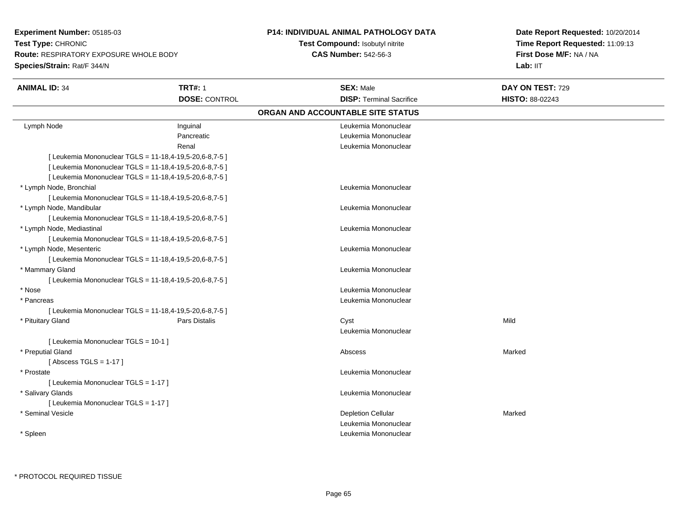**Experiment Number:** 05185-03**Test Type:** CHRONIC **Route:** RESPIRATORY EXPOSURE WHOLE BODY**Species/Strain:** Rat/F 344/N

## **P14: INDIVIDUAL ANIMAL PATHOLOGY DATA**

## **Test Compound:** Isobutyl nitrite**CAS Number:** 542-56-3

**Date Report Requested:** 10/20/2014 **Time Report Requested:** 11:09:13**First Dose M/F:** NA / NA**Lab:** IIT

| <b>ANIMAL ID: 34</b>                                    | <b>TRT#: 1</b>       | <b>SEX: Male</b>                  | DAY ON TEST: 729 |  |
|---------------------------------------------------------|----------------------|-----------------------------------|------------------|--|
|                                                         | <b>DOSE: CONTROL</b> | <b>DISP: Terminal Sacrifice</b>   | HISTO: 88-02243  |  |
|                                                         |                      | ORGAN AND ACCOUNTABLE SITE STATUS |                  |  |
| Lymph Node                                              | Inguinal             | Leukemia Mononuclear              |                  |  |
|                                                         | Pancreatic           | Leukemia Mononuclear              |                  |  |
|                                                         | Renal                | Leukemia Mononuclear              |                  |  |
| [ Leukemia Mononuclear TGLS = 11-18,4-19,5-20,6-8,7-5 ] |                      |                                   |                  |  |
| [ Leukemia Mononuclear TGLS = 11-18,4-19,5-20,6-8,7-5 ] |                      |                                   |                  |  |
| [ Leukemia Mononuclear TGLS = 11-18,4-19,5-20,6-8,7-5 ] |                      |                                   |                  |  |
| * Lymph Node, Bronchial                                 |                      | Leukemia Mononuclear              |                  |  |
| [ Leukemia Mononuclear TGLS = 11-18,4-19,5-20,6-8,7-5 ] |                      |                                   |                  |  |
| * Lymph Node, Mandibular                                |                      | Leukemia Mononuclear              |                  |  |
| [ Leukemia Mononuclear TGLS = 11-18,4-19,5-20,6-8,7-5 ] |                      |                                   |                  |  |
| * Lymph Node, Mediastinal                               |                      | Leukemia Mononuclear              |                  |  |
| [ Leukemia Mononuclear TGLS = 11-18,4-19,5-20,6-8,7-5 ] |                      |                                   |                  |  |
| * Lymph Node, Mesenteric                                |                      | Leukemia Mononuclear              |                  |  |
| [ Leukemia Mononuclear TGLS = 11-18,4-19,5-20,6-8,7-5 ] |                      |                                   |                  |  |
| * Mammary Gland                                         |                      | Leukemia Mononuclear              |                  |  |
| [ Leukemia Mononuclear TGLS = 11-18,4-19,5-20,6-8,7-5 ] |                      |                                   |                  |  |
| * Nose                                                  |                      | Leukemia Mononuclear              |                  |  |
| * Pancreas                                              |                      | Leukemia Mononuclear              |                  |  |
| [Leukemia Mononuclear TGLS = 11-18,4-19,5-20,6-8,7-5]   |                      |                                   |                  |  |
| * Pituitary Gland                                       | Pars Distalis        | Cyst                              | Mild             |  |
|                                                         |                      | Leukemia Mononuclear              |                  |  |
| [ Leukemia Mononuclear TGLS = 10-1 ]                    |                      |                                   |                  |  |
| * Preputial Gland                                       |                      | Abscess                           | Marked           |  |
| [Abscess TGLS = $1-17$ ]                                |                      |                                   |                  |  |
| * Prostate                                              |                      | Leukemia Mononuclear              |                  |  |
| [ Leukemia Mononuclear TGLS = 1-17 ]                    |                      |                                   |                  |  |
| * Salivary Glands                                       |                      | Leukemia Mononuclear              |                  |  |
| [ Leukemia Mononuclear TGLS = 1-17 ]                    |                      |                                   |                  |  |
| * Seminal Vesicle                                       |                      | <b>Depletion Cellular</b>         | Marked           |  |
|                                                         |                      | Leukemia Mononuclear              |                  |  |
| * Spleen                                                |                      | Leukemia Mononuclear              |                  |  |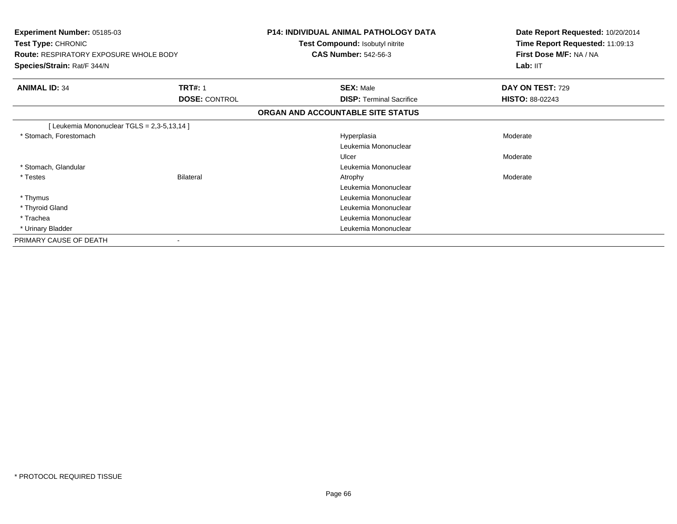| Experiment Number: 05185-03<br>Test Type: CHRONIC<br><b>Route: RESPIRATORY EXPOSURE WHOLE BODY</b><br>Species/Strain: Rat/F 344/N |                      | <b>P14: INDIVIDUAL ANIMAL PATHOLOGY DATA</b><br>Test Compound: Isobutyl nitrite<br><b>CAS Number: 542-56-3</b> | Date Report Requested: 10/20/2014<br>Time Report Requested: 11:09:13<br>First Dose M/F: NA / NA<br>Lab: IIT |
|-----------------------------------------------------------------------------------------------------------------------------------|----------------------|----------------------------------------------------------------------------------------------------------------|-------------------------------------------------------------------------------------------------------------|
|                                                                                                                                   |                      |                                                                                                                |                                                                                                             |
| <b>ANIMAL ID: 34</b>                                                                                                              | <b>TRT#: 1</b>       | <b>SEX: Male</b>                                                                                               | DAY ON TEST: 729                                                                                            |
|                                                                                                                                   | <b>DOSE: CONTROL</b> | <b>DISP:</b> Terminal Sacrifice                                                                                | <b>HISTO: 88-02243</b>                                                                                      |
|                                                                                                                                   |                      | ORGAN AND ACCOUNTABLE SITE STATUS                                                                              |                                                                                                             |
| [Leukemia Mononuclear TGLS = 2,3-5,13,14 ]                                                                                        |                      |                                                                                                                |                                                                                                             |
| * Stomach, Forestomach                                                                                                            |                      | Hyperplasia                                                                                                    | Moderate                                                                                                    |
|                                                                                                                                   |                      | Leukemia Mononuclear                                                                                           |                                                                                                             |
|                                                                                                                                   |                      | Ulcer                                                                                                          | Moderate                                                                                                    |
| * Stomach, Glandular                                                                                                              |                      | Leukemia Mononuclear                                                                                           |                                                                                                             |
| * Testes                                                                                                                          | <b>Bilateral</b>     | Atrophy                                                                                                        | Moderate                                                                                                    |
|                                                                                                                                   |                      | Leukemia Mononuclear                                                                                           |                                                                                                             |
| * Thymus                                                                                                                          |                      | Leukemia Mononuclear                                                                                           |                                                                                                             |
| * Thyroid Gland                                                                                                                   |                      | Leukemia Mononuclear                                                                                           |                                                                                                             |
| * Trachea                                                                                                                         |                      | Leukemia Mononuclear                                                                                           |                                                                                                             |
| * Urinary Bladder                                                                                                                 |                      | Leukemia Mononuclear                                                                                           |                                                                                                             |
| PRIMARY CAUSE OF DEATH                                                                                                            |                      |                                                                                                                |                                                                                                             |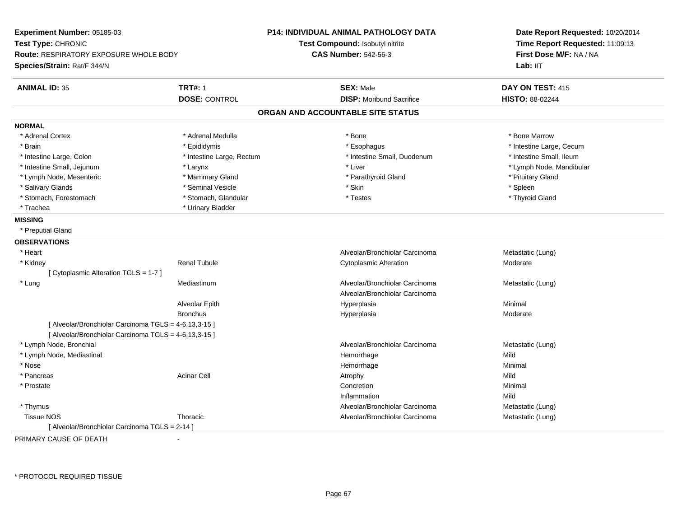| Experiment Number: 05185-03<br>Test Type: CHRONIC<br><b>Route: RESPIRATORY EXPOSURE WHOLE BODY</b><br>Species/Strain: Rat/F 344/N |                           | <b>P14: INDIVIDUAL ANIMAL PATHOLOGY DATA</b><br>Test Compound: Isobutyl nitrite<br><b>CAS Number: 542-56-3</b> | Date Report Requested: 10/20/2014<br>Time Report Requested: 11:09:13<br>First Dose M/F: NA / NA<br>Lab: IIT |
|-----------------------------------------------------------------------------------------------------------------------------------|---------------------------|----------------------------------------------------------------------------------------------------------------|-------------------------------------------------------------------------------------------------------------|
| <b>ANIMAL ID: 35</b>                                                                                                              | <b>TRT#: 1</b>            | <b>SEX: Male</b>                                                                                               | DAY ON TEST: 415                                                                                            |
|                                                                                                                                   | <b>DOSE: CONTROL</b>      | <b>DISP: Moribund Sacrifice</b>                                                                                | HISTO: 88-02244                                                                                             |
|                                                                                                                                   |                           | ORGAN AND ACCOUNTABLE SITE STATUS                                                                              |                                                                                                             |
| <b>NORMAL</b>                                                                                                                     |                           |                                                                                                                |                                                                                                             |
| * Adrenal Cortex                                                                                                                  | * Adrenal Medulla         | * Bone                                                                                                         | * Bone Marrow                                                                                               |
| * Brain                                                                                                                           | * Epididymis              | * Esophagus                                                                                                    | * Intestine Large, Cecum                                                                                    |
| * Intestine Large, Colon                                                                                                          | * Intestine Large, Rectum | * Intestine Small, Duodenum                                                                                    | * Intestine Small, Ileum                                                                                    |
| * Intestine Small, Jejunum                                                                                                        | * Larynx                  | * Liver                                                                                                        | * Lymph Node, Mandibular                                                                                    |
| * Lymph Node, Mesenteric                                                                                                          | * Mammary Gland           | * Parathyroid Gland                                                                                            | * Pituitary Gland                                                                                           |
| * Salivary Glands                                                                                                                 | * Seminal Vesicle         | * Skin                                                                                                         | $*$ Spleen                                                                                                  |
| * Stomach, Forestomach                                                                                                            | * Stomach, Glandular      | * Testes                                                                                                       | * Thyroid Gland                                                                                             |
| * Trachea                                                                                                                         | * Urinary Bladder         |                                                                                                                |                                                                                                             |
| <b>MISSING</b>                                                                                                                    |                           |                                                                                                                |                                                                                                             |
| * Preputial Gland                                                                                                                 |                           |                                                                                                                |                                                                                                             |
| <b>OBSERVATIONS</b>                                                                                                               |                           |                                                                                                                |                                                                                                             |
| * Heart                                                                                                                           |                           | Alveolar/Bronchiolar Carcinoma                                                                                 | Metastatic (Lung)                                                                                           |
| * Kidney                                                                                                                          | <b>Renal Tubule</b>       | <b>Cytoplasmic Alteration</b>                                                                                  | Moderate                                                                                                    |
| [ Cytoplasmic Alteration TGLS = 1-7 ]                                                                                             |                           |                                                                                                                |                                                                                                             |
| * Lung                                                                                                                            | Mediastinum               | Alveolar/Bronchiolar Carcinoma                                                                                 | Metastatic (Lung)                                                                                           |
|                                                                                                                                   |                           | Alveolar/Bronchiolar Carcinoma                                                                                 |                                                                                                             |
|                                                                                                                                   | Alveolar Epith            | Hyperplasia                                                                                                    | Minimal                                                                                                     |
|                                                                                                                                   | <b>Bronchus</b>           | Hyperplasia                                                                                                    | Moderate                                                                                                    |
| [ Alveolar/Bronchiolar Carcinoma TGLS = 4-6,13,3-15 ]                                                                             |                           |                                                                                                                |                                                                                                             |
| [ Alveolar/Bronchiolar Carcinoma TGLS = 4-6,13,3-15 ]                                                                             |                           |                                                                                                                |                                                                                                             |
| * Lymph Node, Bronchial                                                                                                           |                           | Alveolar/Bronchiolar Carcinoma                                                                                 | Metastatic (Lung)                                                                                           |
| * Lymph Node, Mediastinal                                                                                                         |                           | Hemorrhage                                                                                                     | Mild                                                                                                        |
| * Nose                                                                                                                            |                           | Hemorrhage                                                                                                     | Minimal                                                                                                     |
| * Pancreas                                                                                                                        | <b>Acinar Cell</b>        | Atrophy                                                                                                        | Mild                                                                                                        |
| * Prostate                                                                                                                        |                           | Concretion                                                                                                     | Minimal                                                                                                     |
|                                                                                                                                   |                           | Inflammation                                                                                                   | Mild                                                                                                        |
| * Thymus                                                                                                                          |                           | Alveolar/Bronchiolar Carcinoma                                                                                 | Metastatic (Lung)                                                                                           |
| <b>Tissue NOS</b>                                                                                                                 | Thoracic                  | Alveolar/Bronchiolar Carcinoma                                                                                 | Metastatic (Lung)                                                                                           |
| [ Alveolar/Bronchiolar Carcinoma TGLS = 2-14 ]                                                                                    |                           |                                                                                                                |                                                                                                             |

PRIMARY CAUSE OF DEATH-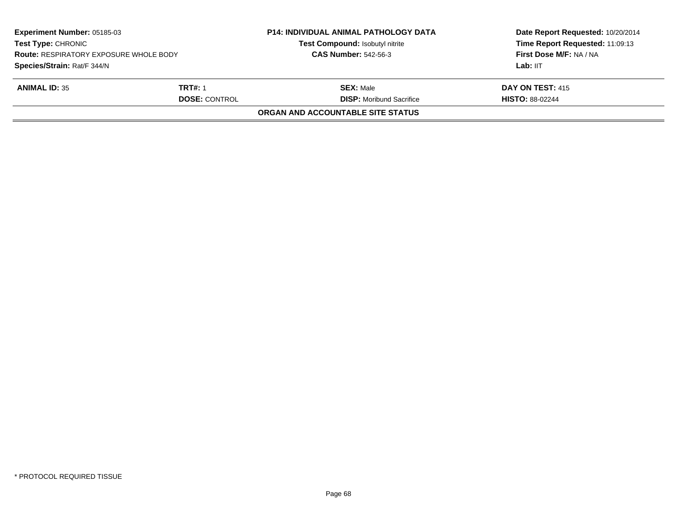| <b>Experiment Number: 05185-03</b><br><b>Test Type: CHRONIC</b><br><b>Route: RESPIRATORY EXPOSURE WHOLE BODY</b><br>Species/Strain: Rat/F 344/N |                                        | <b>P14: INDIVIDUAL ANIMAL PATHOLOGY DATA</b><br>Test Compound: Isobutyl nitrite<br><b>CAS Number: 542-56-3</b> | Date Report Requested: 10/20/2014<br>Time Report Requested: 11:09:13<br>First Dose M/F: NA / NA<br>Lab: IIT |
|-------------------------------------------------------------------------------------------------------------------------------------------------|----------------------------------------|----------------------------------------------------------------------------------------------------------------|-------------------------------------------------------------------------------------------------------------|
| <b>ANIMAL ID: 35</b>                                                                                                                            | <b>TRT#: 1</b><br><b>DOSE: CONTROL</b> | <b>SEX:</b> Male<br><b>DISP:</b> Moribund Sacrifice                                                            | DAY ON TEST: 415<br><b>HISTO: 88-02244</b>                                                                  |
|                                                                                                                                                 |                                        | ORGAN AND ACCOUNTABLE SITE STATUS                                                                              |                                                                                                             |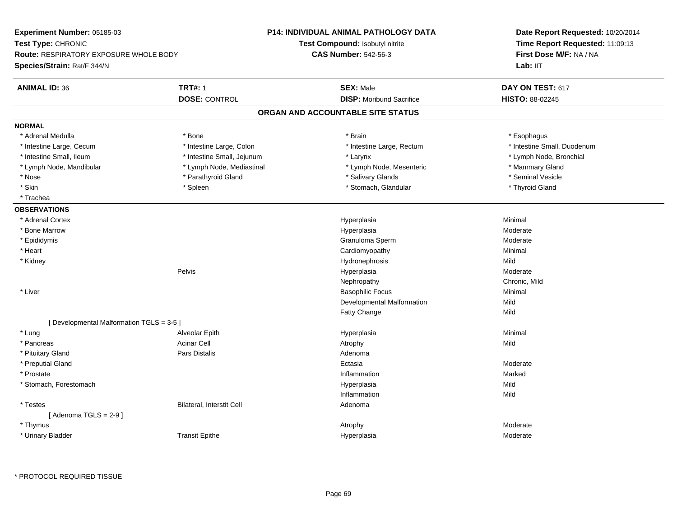| Experiment Number: 05185-03               |                            | <b>P14: INDIVIDUAL ANIMAL PATHOLOGY DATA</b> | Date Report Requested: 10/20/2014 |
|-------------------------------------------|----------------------------|----------------------------------------------|-----------------------------------|
| Test Type: CHRONIC                        |                            | Test Compound: Isobutyl nitrite              | Time Report Requested: 11:09:13   |
| Route: RESPIRATORY EXPOSURE WHOLE BODY    |                            | <b>CAS Number: 542-56-3</b>                  | First Dose M/F: NA / NA           |
| Species/Strain: Rat/F 344/N               |                            |                                              | Lab: IIT                          |
| <b>ANIMAL ID: 36</b>                      | <b>TRT#: 1</b>             | <b>SEX: Male</b>                             | DAY ON TEST: 617                  |
|                                           | <b>DOSE: CONTROL</b>       | <b>DISP:</b> Moribund Sacrifice              | HISTO: 88-02245                   |
|                                           |                            | ORGAN AND ACCOUNTABLE SITE STATUS            |                                   |
| <b>NORMAL</b>                             |                            |                                              |                                   |
| * Adrenal Medulla                         | * Bone                     | * Brain                                      | * Esophagus                       |
| * Intestine Large, Cecum                  | * Intestine Large, Colon   | * Intestine Large, Rectum                    | * Intestine Small, Duodenum       |
| * Intestine Small, Ileum                  | * Intestine Small, Jejunum | * Larynx                                     | * Lymph Node, Bronchial           |
| * Lymph Node, Mandibular                  | * Lymph Node, Mediastinal  | * Lymph Node, Mesenteric                     | * Mammary Gland                   |
| * Nose                                    | * Parathyroid Gland        | * Salivary Glands                            | * Seminal Vesicle                 |
| * Skin                                    | * Spleen                   | * Stomach, Glandular                         | * Thyroid Gland                   |
| * Trachea                                 |                            |                                              |                                   |
| <b>OBSERVATIONS</b>                       |                            |                                              |                                   |
| * Adrenal Cortex                          |                            | Hyperplasia                                  | Minimal                           |
| * Bone Marrow                             |                            | Hyperplasia                                  | Moderate                          |
| * Epididymis                              |                            | Granuloma Sperm                              | Moderate                          |
| * Heart                                   |                            | Cardiomyopathy                               | Minimal                           |
| * Kidney                                  |                            | Hydronephrosis                               | Mild                              |
|                                           | Pelvis                     | Hyperplasia                                  | Moderate                          |
|                                           |                            | Nephropathy                                  | Chronic, Mild                     |
| * Liver                                   |                            | <b>Basophilic Focus</b>                      | Minimal                           |
|                                           |                            | Developmental Malformation                   | Mild                              |
|                                           |                            | Fatty Change                                 | Mild                              |
| [ Developmental Malformation TGLS = 3-5 ] |                            |                                              |                                   |
| * Lung                                    | Alveolar Epith             | Hyperplasia                                  | Minimal                           |
| * Pancreas                                | <b>Acinar Cell</b>         | Atrophy                                      | Mild                              |
| * Pituitary Gland                         | <b>Pars Distalis</b>       | Adenoma                                      |                                   |
| * Preputial Gland                         |                            | Ectasia                                      | Moderate                          |
| * Prostate                                |                            | Inflammation                                 | Marked                            |
| * Stomach, Forestomach                    |                            | Hyperplasia                                  | Mild                              |
|                                           |                            | Inflammation                                 | Mild                              |
| $^\star$ Testes                           | Bilateral, Interstit Cell  | Adenoma                                      |                                   |
| [Adenoma TGLS = $2-9$ ]                   |                            |                                              |                                   |
| * Thymus                                  |                            | Atrophy                                      | Moderate                          |
| * Urinary Bladder                         | <b>Transit Epithe</b>      | Hyperplasia                                  | Moderate                          |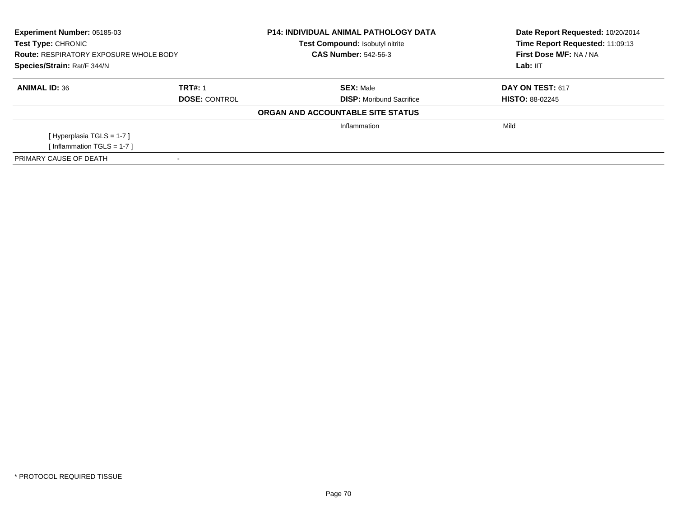| <b>Experiment Number: 05185-03</b><br>Test Type: CHRONIC<br><b>Route: RESPIRATORY EXPOSURE WHOLE BODY</b> |                      | <b>P14: INDIVIDUAL ANIMAL PATHOLOGY DATA</b><br>Test Compound: Isobutyl nitrite<br><b>CAS Number: 542-56-3</b> | Date Report Requested: 10/20/2014<br>Time Report Requested: 11:09:13<br>First Dose M/F: NA / NA |  |
|-----------------------------------------------------------------------------------------------------------|----------------------|----------------------------------------------------------------------------------------------------------------|-------------------------------------------------------------------------------------------------|--|
| Species/Strain: Rat/F 344/N                                                                               |                      |                                                                                                                | Lab: IIT                                                                                        |  |
| <b>ANIMAL ID: 36</b>                                                                                      | <b>TRT#: 1</b>       | <b>SEX: Male</b>                                                                                               | <b>DAY ON TEST: 617</b>                                                                         |  |
|                                                                                                           | <b>DOSE: CONTROL</b> | <b>DISP:</b> Moribund Sacrifice                                                                                | <b>HISTO: 88-02245</b>                                                                          |  |
|                                                                                                           |                      | ORGAN AND ACCOUNTABLE SITE STATUS                                                                              |                                                                                                 |  |
|                                                                                                           |                      | Inflammation                                                                                                   | Mild                                                                                            |  |
| [Hyperplasia TGLS = $1-7$ ]                                                                               |                      |                                                                                                                |                                                                                                 |  |
| [Inflammation TGLS = $1-7$ ]                                                                              |                      |                                                                                                                |                                                                                                 |  |
| PRIMARY CAUSE OF DEATH                                                                                    |                      |                                                                                                                |                                                                                                 |  |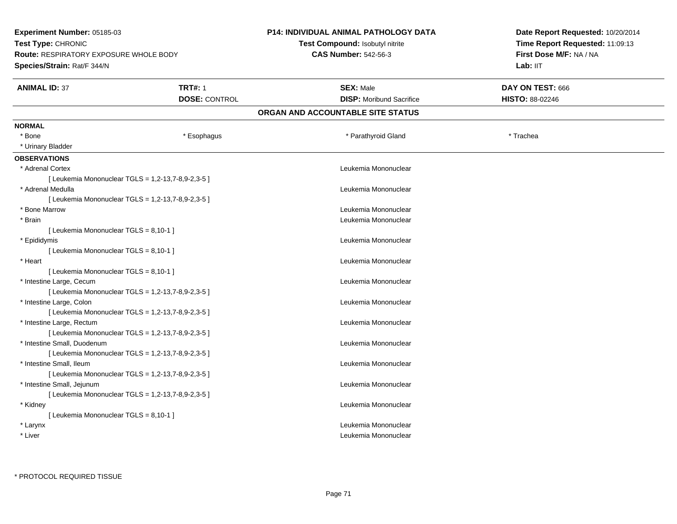| Experiment Number: 05185-03                   |                                                    | <b>P14: INDIVIDUAL ANIMAL PATHOLOGY DATA</b> | Date Report Requested: 10/20/2014 |
|-----------------------------------------------|----------------------------------------------------|----------------------------------------------|-----------------------------------|
| Test Type: CHRONIC                            |                                                    | <b>Test Compound: Isobutyl nitrite</b>       | Time Report Requested: 11:09:13   |
| <b>Route: RESPIRATORY EXPOSURE WHOLE BODY</b> |                                                    | <b>CAS Number: 542-56-3</b>                  | First Dose M/F: NA / NA           |
| Species/Strain: Rat/F 344/N                   |                                                    |                                              | Lab: IIT                          |
| <b>ANIMAL ID: 37</b>                          | <b>TRT#: 1</b>                                     | <b>SEX: Male</b>                             | DAY ON TEST: 666                  |
|                                               | <b>DOSE: CONTROL</b>                               | <b>DISP:</b> Moribund Sacrifice              | <b>HISTO: 88-02246</b>            |
|                                               |                                                    | ORGAN AND ACCOUNTABLE SITE STATUS            |                                   |
| <b>NORMAL</b>                                 |                                                    |                                              |                                   |
| $*$ Bone                                      | * Esophagus                                        | * Parathyroid Gland                          | * Trachea                         |
| * Urinary Bladder                             |                                                    |                                              |                                   |
| <b>OBSERVATIONS</b>                           |                                                    |                                              |                                   |
| * Adrenal Cortex                              |                                                    | Leukemia Mononuclear                         |                                   |
|                                               | [ Leukemia Mononuclear TGLS = 1,2-13,7-8,9-2,3-5 ] |                                              |                                   |
| * Adrenal Medulla                             |                                                    | Leukemia Mononuclear                         |                                   |
|                                               | [ Leukemia Mononuclear TGLS = 1,2-13,7-8,9-2,3-5 ] |                                              |                                   |
| * Bone Marrow                                 |                                                    | Leukemia Mononuclear                         |                                   |
| * Brain                                       |                                                    | Leukemia Mononuclear                         |                                   |
| [ Leukemia Mononuclear TGLS = 8,10-1 ]        |                                                    |                                              |                                   |
| * Epididymis                                  |                                                    | Leukemia Mononuclear                         |                                   |
| [ Leukemia Mononuclear TGLS = 8,10-1 ]        |                                                    |                                              |                                   |
| * Heart                                       |                                                    | Leukemia Mononuclear                         |                                   |
| [ Leukemia Mononuclear TGLS = 8,10-1 ]        |                                                    |                                              |                                   |
| * Intestine Large, Cecum                      |                                                    | Leukemia Mononuclear                         |                                   |
|                                               | [ Leukemia Mononuclear TGLS = 1,2-13,7-8,9-2,3-5 ] |                                              |                                   |
| * Intestine Large, Colon                      |                                                    | Leukemia Mononuclear                         |                                   |
|                                               | [ Leukemia Mononuclear TGLS = 1,2-13,7-8,9-2,3-5 ] |                                              |                                   |
| * Intestine Large, Rectum                     |                                                    | Leukemia Mononuclear                         |                                   |
|                                               | [ Leukemia Mononuclear TGLS = 1,2-13,7-8,9-2,3-5 ] |                                              |                                   |
| * Intestine Small, Duodenum                   |                                                    | Leukemia Mononuclear                         |                                   |
|                                               | [ Leukemia Mononuclear TGLS = 1,2-13,7-8,9-2,3-5 ] |                                              |                                   |
| * Intestine Small, Ileum                      |                                                    | Leukemia Mononuclear                         |                                   |
|                                               | [ Leukemia Mononuclear TGLS = 1,2-13,7-8,9-2,3-5 ] |                                              |                                   |
| * Intestine Small, Jejunum                    |                                                    | Leukemia Mononuclear                         |                                   |
|                                               | [ Leukemia Mononuclear TGLS = 1,2-13,7-8,9-2,3-5 ] |                                              |                                   |
| * Kidney                                      |                                                    | Leukemia Mononuclear                         |                                   |
| [ Leukemia Mononuclear TGLS = 8,10-1 ]        |                                                    |                                              |                                   |
| * Larynx                                      |                                                    | Leukemia Mononuclear                         |                                   |
| * Liver                                       |                                                    | Leukemia Mononuclear                         |                                   |
|                                               |                                                    |                                              |                                   |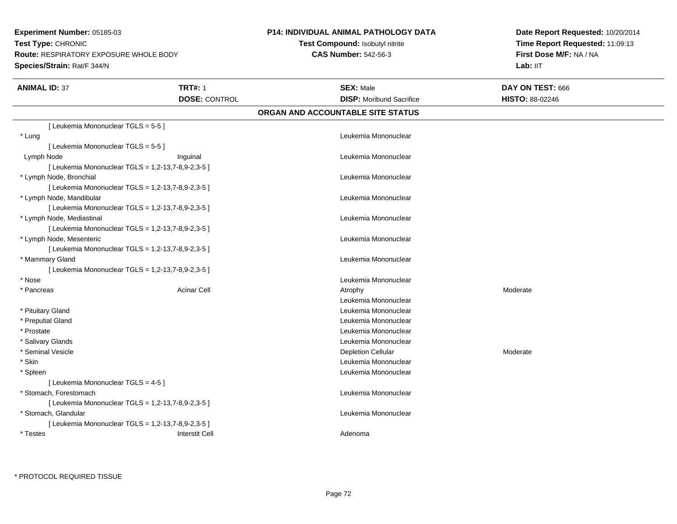**Experiment Number:** 05185-03**Test Type:** CHRONIC **Route:** RESPIRATORY EXPOSURE WHOLE BODY**Species/Strain:** Rat/F 344/N

## **P14: INDIVIDUAL ANIMAL PATHOLOGY DATA**

**Test Compound:** Isobutyl nitrite**CAS Number:** 542-56-3

**Date Report Requested:** 10/20/2014**Time Report Requested:** 11:09:13**First Dose M/F:** NA / NA**Lab:** IIT

| <b>ANIMAL ID: 37</b>                | <b>TRT#: 1</b>                                     | <b>SEX: Male</b>                  | DAY ON TEST: 666       |  |
|-------------------------------------|----------------------------------------------------|-----------------------------------|------------------------|--|
|                                     | <b>DOSE: CONTROL</b>                               | <b>DISP:</b> Moribund Sacrifice   | <b>HISTO: 88-02246</b> |  |
|                                     |                                                    | ORGAN AND ACCOUNTABLE SITE STATUS |                        |  |
| [ Leukemia Mononuclear TGLS = 5-5 ] |                                                    |                                   |                        |  |
| * Lung                              |                                                    | Leukemia Mononuclear              |                        |  |
| [Leukemia Mononuclear TGLS = 5-5]   |                                                    |                                   |                        |  |
| Lymph Node                          | Inguinal                                           | Leukemia Mononuclear              |                        |  |
|                                     | [ Leukemia Mononuclear TGLS = 1,2-13,7-8,9-2,3-5 ] |                                   |                        |  |
| * Lymph Node, Bronchial             |                                                    | Leukemia Mononuclear              |                        |  |
|                                     | [ Leukemia Mononuclear TGLS = 1,2-13,7-8,9-2,3-5 ] |                                   |                        |  |
| * Lymph Node, Mandibular            |                                                    | Leukemia Mononuclear              |                        |  |
|                                     | [ Leukemia Mononuclear TGLS = 1,2-13,7-8,9-2,3-5 ] |                                   |                        |  |
| * Lymph Node, Mediastinal           |                                                    | Leukemia Mononuclear              |                        |  |
|                                     | [ Leukemia Mononuclear TGLS = 1,2-13,7-8,9-2,3-5 ] |                                   |                        |  |
| * Lymph Node, Mesenteric            |                                                    | Leukemia Mononuclear              |                        |  |
|                                     | [ Leukemia Mononuclear TGLS = 1,2-13,7-8,9-2,3-5 ] |                                   |                        |  |
| * Mammary Gland                     |                                                    | Leukemia Mononuclear              |                        |  |
|                                     | [ Leukemia Mononuclear TGLS = 1,2-13,7-8,9-2,3-5 ] |                                   |                        |  |
| * Nose                              |                                                    | Leukemia Mononuclear              |                        |  |
| * Pancreas                          | <b>Acinar Cell</b>                                 | Atrophy                           | Moderate               |  |
|                                     |                                                    | Leukemia Mononuclear              |                        |  |
| * Pituitary Gland                   |                                                    | Leukemia Mononuclear              |                        |  |
| * Preputial Gland                   |                                                    | Leukemia Mononuclear              |                        |  |
| * Prostate                          |                                                    | Leukemia Mononuclear              |                        |  |
| * Salivary Glands                   |                                                    | Leukemia Mononuclear              |                        |  |
| * Seminal Vesicle                   |                                                    | <b>Depletion Cellular</b>         | Moderate               |  |
| * Skin                              |                                                    | Leukemia Mononuclear              |                        |  |
| * Spleen                            |                                                    | Leukemia Mononuclear              |                        |  |
| [ Leukemia Mononuclear TGLS = 4-5 ] |                                                    |                                   |                        |  |
| * Stomach, Forestomach              |                                                    | Leukemia Mononuclear              |                        |  |
|                                     | [ Leukemia Mononuclear TGLS = 1,2-13,7-8,9-2,3-5 ] |                                   |                        |  |
| * Stomach, Glandular                |                                                    | Leukemia Mononuclear              |                        |  |
|                                     | [ Leukemia Mononuclear TGLS = 1,2-13,7-8,9-2,3-5 ] |                                   |                        |  |
| * Testes                            | <b>Interstit Cell</b>                              | Adenoma                           |                        |  |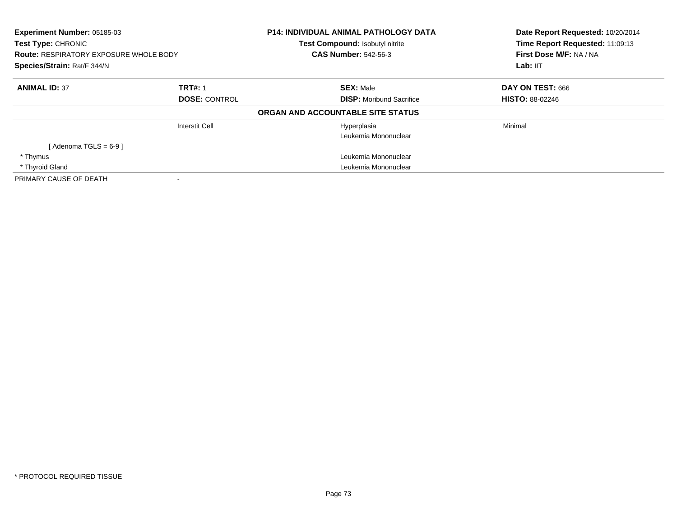| Experiment Number: 05185-03<br><b>Test Type: CHRONIC</b><br><b>Route: RESPIRATORY EXPOSURE WHOLE BODY</b><br>Species/Strain: Rat/F 344/N |                      | <b>P14: INDIVIDUAL ANIMAL PATHOLOGY DATA</b><br>Test Compound: Isobutyl nitrite<br><b>CAS Number: 542-56-3</b> | Date Report Requested: 10/20/2014<br>Time Report Requested: 11:09:13<br>First Dose M/F: NA / NA<br>Lab: IIT |
|------------------------------------------------------------------------------------------------------------------------------------------|----------------------|----------------------------------------------------------------------------------------------------------------|-------------------------------------------------------------------------------------------------------------|
| <b>ANIMAL ID: 37</b>                                                                                                                     | <b>TRT#: 1</b>       | <b>SEX: Male</b>                                                                                               | DAY ON TEST: 666                                                                                            |
|                                                                                                                                          | <b>DOSE: CONTROL</b> | <b>DISP:</b> Moribund Sacrifice                                                                                | <b>HISTO: 88-02246</b>                                                                                      |
|                                                                                                                                          |                      | ORGAN AND ACCOUNTABLE SITE STATUS                                                                              |                                                                                                             |
|                                                                                                                                          | Interstit Cell       | Hyperplasia                                                                                                    | Minimal                                                                                                     |
|                                                                                                                                          |                      | Leukemia Mononuclear                                                                                           |                                                                                                             |
| [Adenoma TGLS = $6-9$ ]                                                                                                                  |                      |                                                                                                                |                                                                                                             |
| * Thymus                                                                                                                                 |                      | Leukemia Mononuclear                                                                                           |                                                                                                             |
| * Thyroid Gland                                                                                                                          |                      | Leukemia Mononuclear                                                                                           |                                                                                                             |
| PRIMARY CAUSE OF DEATH                                                                                                                   |                      |                                                                                                                |                                                                                                             |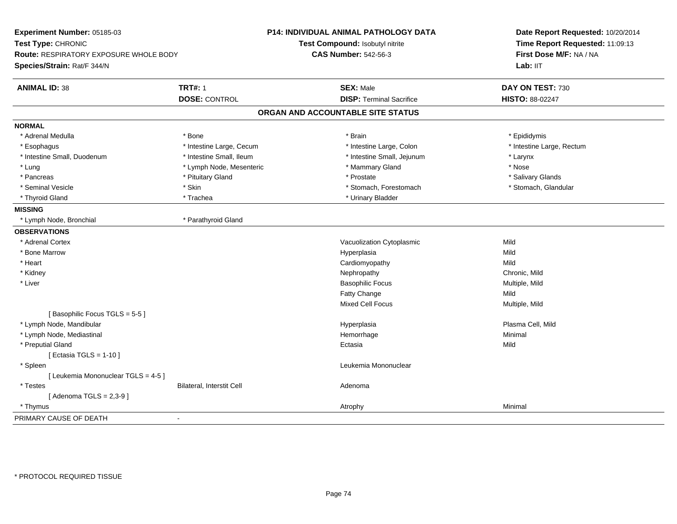| <b>TRT#: 1</b><br><b>SEX: Male</b><br><b>ANIMAL ID: 38</b><br>DAY ON TEST: 730<br><b>DOSE: CONTROL</b><br><b>DISP: Terminal Sacrifice</b><br>HISTO: 88-02247<br>ORGAN AND ACCOUNTABLE SITE STATUS<br><b>NORMAL</b><br>* Adrenal Medulla<br>* Brain<br>* Epididymis<br>* Bone<br>* Intestine Large, Cecum<br>* Intestine Large, Rectum<br>* Esophagus<br>* Intestine Large, Colon<br>* Intestine Small, Ileum<br>* Intestine Small, Duodenum<br>* Intestine Small, Jejunum<br>* Larynx<br>* Lymph Node, Mesenteric<br>* Nose<br>* Lung<br>* Mammary Gland<br>* Salivary Glands<br>* Pancreas<br>* Pituitary Gland<br>* Prostate<br>* Skin<br>* Stomach, Forestomach<br>* Seminal Vesicle<br>* Stomach, Glandular<br>* Urinary Bladder<br>* Thyroid Gland<br>* Trachea<br><b>MISSING</b><br>* Lymph Node, Bronchial<br>* Parathyroid Gland<br><b>OBSERVATIONS</b><br>* Adrenal Cortex<br>Mild<br>Vacuolization Cytoplasmic<br>* Bone Marrow<br>Hyperplasia<br>Mild<br>* Heart<br>Cardiomyopathy<br>Mild<br>* Kidney<br>Chronic, Mild<br>Nephropathy<br>* Liver<br><b>Basophilic Focus</b><br>Multiple, Mild<br><b>Fatty Change</b><br>Mild<br>Mixed Cell Focus<br>Multiple, Mild<br>[Basophilic Focus TGLS = 5-5]<br>Plasma Cell, Mild<br>* Lymph Node, Mandibular<br>Hyperplasia<br>Hemorrhage<br>Minimal<br>* Lymph Node, Mediastinal<br>* Preputial Gland<br>Mild<br>Ectasia<br>[ Ectasia TGLS = $1-10$ ]<br>Leukemia Mononuclear<br>* Spleen<br>[ Leukemia Mononuclear TGLS = 4-5 ]<br>Bilateral, Interstit Cell<br>* Testes<br>Adenoma<br>[Adenoma TGLS = $2,3-9$ ]<br>Minimal<br>* Thymus<br>Atrophy<br>PRIMARY CAUSE OF DEATH<br>$\blacksquare$ | Experiment Number: 05185-03<br>Test Type: CHRONIC<br>Route: RESPIRATORY EXPOSURE WHOLE BODY<br>Species/Strain: Rat/F 344/N | P14: INDIVIDUAL ANIMAL PATHOLOGY DATA<br>Test Compound: Isobutyl nitrite<br><b>CAS Number: 542-56-3</b> | Date Report Requested: 10/20/2014<br>Time Report Requested: 11:09:13<br>First Dose M/F: NA / NA<br>Lab: IIT |
|------------------------------------------------------------------------------------------------------------------------------------------------------------------------------------------------------------------------------------------------------------------------------------------------------------------------------------------------------------------------------------------------------------------------------------------------------------------------------------------------------------------------------------------------------------------------------------------------------------------------------------------------------------------------------------------------------------------------------------------------------------------------------------------------------------------------------------------------------------------------------------------------------------------------------------------------------------------------------------------------------------------------------------------------------------------------------------------------------------------------------------------------------------------------------------------------------------------------------------------------------------------------------------------------------------------------------------------------------------------------------------------------------------------------------------------------------------------------------------------------------------------------------------------------------------------------------------------------------------------------------------------------------|----------------------------------------------------------------------------------------------------------------------------|---------------------------------------------------------------------------------------------------------|-------------------------------------------------------------------------------------------------------------|
|                                                                                                                                                                                                                                                                                                                                                                                                                                                                                                                                                                                                                                                                                                                                                                                                                                                                                                                                                                                                                                                                                                                                                                                                                                                                                                                                                                                                                                                                                                                                                                                                                                                      |                                                                                                                            |                                                                                                         |                                                                                                             |
|                                                                                                                                                                                                                                                                                                                                                                                                                                                                                                                                                                                                                                                                                                                                                                                                                                                                                                                                                                                                                                                                                                                                                                                                                                                                                                                                                                                                                                                                                                                                                                                                                                                      |                                                                                                                            |                                                                                                         |                                                                                                             |
|                                                                                                                                                                                                                                                                                                                                                                                                                                                                                                                                                                                                                                                                                                                                                                                                                                                                                                                                                                                                                                                                                                                                                                                                                                                                                                                                                                                                                                                                                                                                                                                                                                                      |                                                                                                                            |                                                                                                         |                                                                                                             |
|                                                                                                                                                                                                                                                                                                                                                                                                                                                                                                                                                                                                                                                                                                                                                                                                                                                                                                                                                                                                                                                                                                                                                                                                                                                                                                                                                                                                                                                                                                                                                                                                                                                      |                                                                                                                            |                                                                                                         |                                                                                                             |
|                                                                                                                                                                                                                                                                                                                                                                                                                                                                                                                                                                                                                                                                                                                                                                                                                                                                                                                                                                                                                                                                                                                                                                                                                                                                                                                                                                                                                                                                                                                                                                                                                                                      |                                                                                                                            |                                                                                                         |                                                                                                             |
|                                                                                                                                                                                                                                                                                                                                                                                                                                                                                                                                                                                                                                                                                                                                                                                                                                                                                                                                                                                                                                                                                                                                                                                                                                                                                                                                                                                                                                                                                                                                                                                                                                                      |                                                                                                                            |                                                                                                         |                                                                                                             |
|                                                                                                                                                                                                                                                                                                                                                                                                                                                                                                                                                                                                                                                                                                                                                                                                                                                                                                                                                                                                                                                                                                                                                                                                                                                                                                                                                                                                                                                                                                                                                                                                                                                      |                                                                                                                            |                                                                                                         |                                                                                                             |
|                                                                                                                                                                                                                                                                                                                                                                                                                                                                                                                                                                                                                                                                                                                                                                                                                                                                                                                                                                                                                                                                                                                                                                                                                                                                                                                                                                                                                                                                                                                                                                                                                                                      |                                                                                                                            |                                                                                                         |                                                                                                             |
|                                                                                                                                                                                                                                                                                                                                                                                                                                                                                                                                                                                                                                                                                                                                                                                                                                                                                                                                                                                                                                                                                                                                                                                                                                                                                                                                                                                                                                                                                                                                                                                                                                                      |                                                                                                                            |                                                                                                         |                                                                                                             |
|                                                                                                                                                                                                                                                                                                                                                                                                                                                                                                                                                                                                                                                                                                                                                                                                                                                                                                                                                                                                                                                                                                                                                                                                                                                                                                                                                                                                                                                                                                                                                                                                                                                      |                                                                                                                            |                                                                                                         |                                                                                                             |
|                                                                                                                                                                                                                                                                                                                                                                                                                                                                                                                                                                                                                                                                                                                                                                                                                                                                                                                                                                                                                                                                                                                                                                                                                                                                                                                                                                                                                                                                                                                                                                                                                                                      |                                                                                                                            |                                                                                                         |                                                                                                             |
|                                                                                                                                                                                                                                                                                                                                                                                                                                                                                                                                                                                                                                                                                                                                                                                                                                                                                                                                                                                                                                                                                                                                                                                                                                                                                                                                                                                                                                                                                                                                                                                                                                                      |                                                                                                                            |                                                                                                         |                                                                                                             |
|                                                                                                                                                                                                                                                                                                                                                                                                                                                                                                                                                                                                                                                                                                                                                                                                                                                                                                                                                                                                                                                                                                                                                                                                                                                                                                                                                                                                                                                                                                                                                                                                                                                      |                                                                                                                            |                                                                                                         |                                                                                                             |
|                                                                                                                                                                                                                                                                                                                                                                                                                                                                                                                                                                                                                                                                                                                                                                                                                                                                                                                                                                                                                                                                                                                                                                                                                                                                                                                                                                                                                                                                                                                                                                                                                                                      |                                                                                                                            |                                                                                                         |                                                                                                             |
|                                                                                                                                                                                                                                                                                                                                                                                                                                                                                                                                                                                                                                                                                                                                                                                                                                                                                                                                                                                                                                                                                                                                                                                                                                                                                                                                                                                                                                                                                                                                                                                                                                                      |                                                                                                                            |                                                                                                         |                                                                                                             |
|                                                                                                                                                                                                                                                                                                                                                                                                                                                                                                                                                                                                                                                                                                                                                                                                                                                                                                                                                                                                                                                                                                                                                                                                                                                                                                                                                                                                                                                                                                                                                                                                                                                      |                                                                                                                            |                                                                                                         |                                                                                                             |
|                                                                                                                                                                                                                                                                                                                                                                                                                                                                                                                                                                                                                                                                                                                                                                                                                                                                                                                                                                                                                                                                                                                                                                                                                                                                                                                                                                                                                                                                                                                                                                                                                                                      |                                                                                                                            |                                                                                                         |                                                                                                             |
|                                                                                                                                                                                                                                                                                                                                                                                                                                                                                                                                                                                                                                                                                                                                                                                                                                                                                                                                                                                                                                                                                                                                                                                                                                                                                                                                                                                                                                                                                                                                                                                                                                                      |                                                                                                                            |                                                                                                         |                                                                                                             |
|                                                                                                                                                                                                                                                                                                                                                                                                                                                                                                                                                                                                                                                                                                                                                                                                                                                                                                                                                                                                                                                                                                                                                                                                                                                                                                                                                                                                                                                                                                                                                                                                                                                      |                                                                                                                            |                                                                                                         |                                                                                                             |
|                                                                                                                                                                                                                                                                                                                                                                                                                                                                                                                                                                                                                                                                                                                                                                                                                                                                                                                                                                                                                                                                                                                                                                                                                                                                                                                                                                                                                                                                                                                                                                                                                                                      |                                                                                                                            |                                                                                                         |                                                                                                             |
|                                                                                                                                                                                                                                                                                                                                                                                                                                                                                                                                                                                                                                                                                                                                                                                                                                                                                                                                                                                                                                                                                                                                                                                                                                                                                                                                                                                                                                                                                                                                                                                                                                                      |                                                                                                                            |                                                                                                         |                                                                                                             |
|                                                                                                                                                                                                                                                                                                                                                                                                                                                                                                                                                                                                                                                                                                                                                                                                                                                                                                                                                                                                                                                                                                                                                                                                                                                                                                                                                                                                                                                                                                                                                                                                                                                      |                                                                                                                            |                                                                                                         |                                                                                                             |
|                                                                                                                                                                                                                                                                                                                                                                                                                                                                                                                                                                                                                                                                                                                                                                                                                                                                                                                                                                                                                                                                                                                                                                                                                                                                                                                                                                                                                                                                                                                                                                                                                                                      |                                                                                                                            |                                                                                                         |                                                                                                             |
|                                                                                                                                                                                                                                                                                                                                                                                                                                                                                                                                                                                                                                                                                                                                                                                                                                                                                                                                                                                                                                                                                                                                                                                                                                                                                                                                                                                                                                                                                                                                                                                                                                                      |                                                                                                                            |                                                                                                         |                                                                                                             |
|                                                                                                                                                                                                                                                                                                                                                                                                                                                                                                                                                                                                                                                                                                                                                                                                                                                                                                                                                                                                                                                                                                                                                                                                                                                                                                                                                                                                                                                                                                                                                                                                                                                      |                                                                                                                            |                                                                                                         |                                                                                                             |
|                                                                                                                                                                                                                                                                                                                                                                                                                                                                                                                                                                                                                                                                                                                                                                                                                                                                                                                                                                                                                                                                                                                                                                                                                                                                                                                                                                                                                                                                                                                                                                                                                                                      |                                                                                                                            |                                                                                                         |                                                                                                             |
|                                                                                                                                                                                                                                                                                                                                                                                                                                                                                                                                                                                                                                                                                                                                                                                                                                                                                                                                                                                                                                                                                                                                                                                                                                                                                                                                                                                                                                                                                                                                                                                                                                                      |                                                                                                                            |                                                                                                         |                                                                                                             |
|                                                                                                                                                                                                                                                                                                                                                                                                                                                                                                                                                                                                                                                                                                                                                                                                                                                                                                                                                                                                                                                                                                                                                                                                                                                                                                                                                                                                                                                                                                                                                                                                                                                      |                                                                                                                            |                                                                                                         |                                                                                                             |
|                                                                                                                                                                                                                                                                                                                                                                                                                                                                                                                                                                                                                                                                                                                                                                                                                                                                                                                                                                                                                                                                                                                                                                                                                                                                                                                                                                                                                                                                                                                                                                                                                                                      |                                                                                                                            |                                                                                                         |                                                                                                             |
|                                                                                                                                                                                                                                                                                                                                                                                                                                                                                                                                                                                                                                                                                                                                                                                                                                                                                                                                                                                                                                                                                                                                                                                                                                                                                                                                                                                                                                                                                                                                                                                                                                                      |                                                                                                                            |                                                                                                         |                                                                                                             |
|                                                                                                                                                                                                                                                                                                                                                                                                                                                                                                                                                                                                                                                                                                                                                                                                                                                                                                                                                                                                                                                                                                                                                                                                                                                                                                                                                                                                                                                                                                                                                                                                                                                      |                                                                                                                            |                                                                                                         |                                                                                                             |
|                                                                                                                                                                                                                                                                                                                                                                                                                                                                                                                                                                                                                                                                                                                                                                                                                                                                                                                                                                                                                                                                                                                                                                                                                                                                                                                                                                                                                                                                                                                                                                                                                                                      |                                                                                                                            |                                                                                                         |                                                                                                             |
|                                                                                                                                                                                                                                                                                                                                                                                                                                                                                                                                                                                                                                                                                                                                                                                                                                                                                                                                                                                                                                                                                                                                                                                                                                                                                                                                                                                                                                                                                                                                                                                                                                                      |                                                                                                                            |                                                                                                         |                                                                                                             |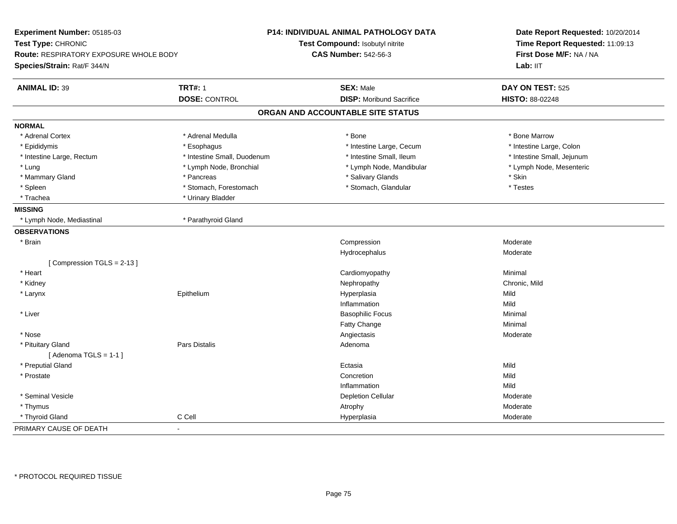| Experiment Number: 05185-03                  |                             | <b>P14: INDIVIDUAL ANIMAL PATHOLOGY DATA</b> | Date Report Requested: 10/20/2014<br>Time Report Requested: 11:09:13<br>First Dose M/F: NA / NA |  |
|----------------------------------------------|-----------------------------|----------------------------------------------|-------------------------------------------------------------------------------------------------|--|
| Test Type: CHRONIC                           |                             | Test Compound: Isobutyl nitrite              |                                                                                                 |  |
| Route: RESPIRATORY EXPOSURE WHOLE BODY       |                             | <b>CAS Number: 542-56-3</b>                  |                                                                                                 |  |
| Species/Strain: Rat/F 344/N                  |                             |                                              | Lab: IIT                                                                                        |  |
| <b>ANIMAL ID: 39</b>                         | <b>TRT#: 1</b>              | <b>SEX: Male</b>                             | DAY ON TEST: 525                                                                                |  |
|                                              | <b>DOSE: CONTROL</b>        | <b>DISP:</b> Moribund Sacrifice              | HISTO: 88-02248                                                                                 |  |
|                                              |                             | ORGAN AND ACCOUNTABLE SITE STATUS            |                                                                                                 |  |
| <b>NORMAL</b>                                |                             |                                              |                                                                                                 |  |
| * Adrenal Cortex                             | * Adrenal Medulla           | * Bone                                       | * Bone Marrow                                                                                   |  |
| * Epididymis                                 | * Esophagus                 | * Intestine Large, Cecum                     | * Intestine Large, Colon                                                                        |  |
| * Intestine Large, Rectum                    | * Intestine Small, Duodenum | * Intestine Small, Ileum                     | * Intestine Small, Jejunum                                                                      |  |
| * Lung                                       | * Lymph Node, Bronchial     | * Lymph Node, Mandibular                     | * Lymph Node, Mesenteric                                                                        |  |
| * Mammary Gland                              | * Pancreas                  | * Salivary Glands                            | * Skin                                                                                          |  |
| * Spleen                                     | * Stomach, Forestomach      | * Stomach, Glandular                         | * Testes                                                                                        |  |
| * Trachea                                    | * Urinary Bladder           |                                              |                                                                                                 |  |
| <b>MISSING</b>                               |                             |                                              |                                                                                                 |  |
| * Lymph Node, Mediastinal                    | * Parathyroid Gland         |                                              |                                                                                                 |  |
| <b>OBSERVATIONS</b>                          |                             |                                              |                                                                                                 |  |
| * Brain                                      |                             | Compression                                  | Moderate                                                                                        |  |
|                                              |                             | Hydrocephalus                                | Moderate                                                                                        |  |
| [Compression TGLS = 2-13]                    |                             |                                              |                                                                                                 |  |
| * Heart                                      |                             | Cardiomyopathy                               | Minimal                                                                                         |  |
| * Kidney                                     |                             | Nephropathy                                  | Chronic, Mild                                                                                   |  |
| * Larynx                                     | Epithelium                  | Hyperplasia                                  | Mild                                                                                            |  |
|                                              |                             | Inflammation                                 | Mild                                                                                            |  |
| * Liver                                      |                             | <b>Basophilic Focus</b>                      | Minimal                                                                                         |  |
|                                              |                             | Fatty Change                                 | Minimal                                                                                         |  |
| * Nose                                       |                             | Angiectasis                                  | Moderate                                                                                        |  |
| * Pituitary Gland<br>[Adenoma TGLS = $1-1$ ] | Pars Distalis               | Adenoma                                      |                                                                                                 |  |
| * Preputial Gland                            |                             | Ectasia                                      | Mild                                                                                            |  |
| * Prostate                                   |                             | Concretion                                   | Mild                                                                                            |  |
|                                              |                             | Inflammation                                 | Mild                                                                                            |  |
| * Seminal Vesicle                            |                             | <b>Depletion Cellular</b>                    | Moderate                                                                                        |  |
| * Thymus                                     |                             | Atrophy                                      | Moderate                                                                                        |  |
| * Thyroid Gland                              | C Cell                      | Hyperplasia                                  | Moderate                                                                                        |  |
| PRIMARY CAUSE OF DEATH                       | $\blacksquare$              |                                              |                                                                                                 |  |
|                                              |                             |                                              |                                                                                                 |  |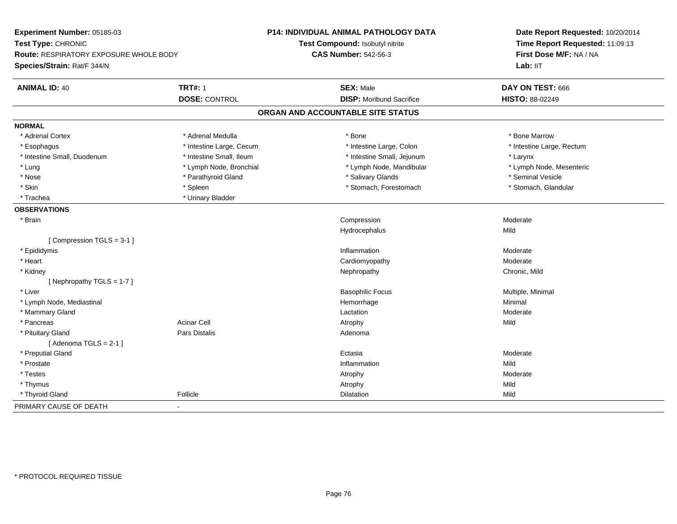| Experiment Number: 05185-03            |                          | <b>P14: INDIVIDUAL ANIMAL PATHOLOGY DATA</b> | Date Report Requested: 10/20/2014 |
|----------------------------------------|--------------------------|----------------------------------------------|-----------------------------------|
| Test Type: CHRONIC                     |                          | Test Compound: Isobutyl nitrite              | Time Report Requested: 11:09:13   |
| Route: RESPIRATORY EXPOSURE WHOLE BODY |                          | <b>CAS Number: 542-56-3</b>                  | First Dose M/F: NA / NA           |
| Species/Strain: Rat/F 344/N            |                          |                                              | Lab: IIT                          |
| <b>ANIMAL ID: 40</b>                   | <b>TRT#: 1</b>           | <b>SEX: Male</b>                             | DAY ON TEST: 666                  |
|                                        | <b>DOSE: CONTROL</b>     | <b>DISP:</b> Moribund Sacrifice              | HISTO: 88-02249                   |
|                                        |                          | ORGAN AND ACCOUNTABLE SITE STATUS            |                                   |
| <b>NORMAL</b>                          |                          |                                              |                                   |
| * Adrenal Cortex                       | * Adrenal Medulla        | * Bone                                       | * Bone Marrow                     |
| * Esophagus                            | * Intestine Large, Cecum | * Intestine Large, Colon                     | * Intestine Large, Rectum         |
| * Intestine Small, Duodenum            | * Intestine Small, Ileum | * Intestine Small, Jejunum                   | * Larynx                          |
| * Lung                                 | * Lymph Node, Bronchial  | * Lymph Node, Mandibular                     | * Lymph Node, Mesenteric          |
| * Nose                                 | * Parathyroid Gland      | * Salivary Glands                            | * Seminal Vesicle                 |
| * Skin                                 | * Spleen                 | * Stomach, Forestomach                       | * Stomach, Glandular              |
| * Trachea                              | * Urinary Bladder        |                                              |                                   |
| <b>OBSERVATIONS</b>                    |                          |                                              |                                   |
| * Brain                                |                          | Compression                                  | Moderate                          |
|                                        |                          | Hydrocephalus                                | Mild                              |
| [Compression TGLS = 3-1]               |                          |                                              |                                   |
| * Epididymis                           |                          | Inflammation                                 | Moderate                          |
| * Heart                                |                          | Cardiomyopathy                               | Moderate                          |
| * Kidney                               |                          | Nephropathy                                  | Chronic, Mild                     |
| [Nephropathy TGLS = 1-7]               |                          |                                              |                                   |
| * Liver                                |                          | <b>Basophilic Focus</b>                      | Multiple, Minimal                 |
| * Lymph Node, Mediastinal              |                          | Hemorrhage                                   | Minimal                           |
| * Mammary Gland                        |                          | Lactation                                    | Moderate                          |
| * Pancreas                             | <b>Acinar Cell</b>       | Atrophy                                      | Mild                              |
| * Pituitary Gland                      | Pars Distalis            | Adenoma                                      |                                   |
| [Adenoma TGLS = $2-1$ ]                |                          |                                              |                                   |
| * Preputial Gland                      |                          | Ectasia                                      | Moderate                          |
| * Prostate                             |                          | Inflammation                                 | Mild                              |
| * Testes                               |                          | Atrophy                                      | Moderate                          |
| * Thymus                               |                          | Atrophy                                      | Mild                              |
| * Thyroid Gland                        | Follicle                 | Dilatation                                   | Mild                              |
| PRIMARY CAUSE OF DEATH                 | $\blacksquare$           |                                              |                                   |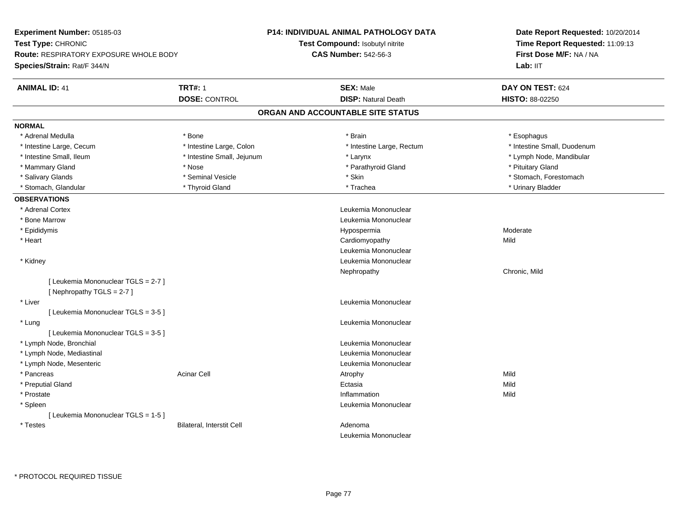| Experiment Number: 05185-03                                        |                            | <b>P14: INDIVIDUAL ANIMAL PATHOLOGY DATA</b> | Date Report Requested: 10/20/2014<br>Time Report Requested: 11:09:13<br>First Dose M/F: NA / NA |  |
|--------------------------------------------------------------------|----------------------------|----------------------------------------------|-------------------------------------------------------------------------------------------------|--|
| Test Type: CHRONIC                                                 |                            | Test Compound: Isobutyl nitrite              |                                                                                                 |  |
| <b>Route: RESPIRATORY EXPOSURE WHOLE BODY</b>                      |                            | <b>CAS Number: 542-56-3</b>                  |                                                                                                 |  |
| Species/Strain: Rat/F 344/N                                        |                            |                                              | Lab: IIT                                                                                        |  |
| <b>ANIMAL ID: 41</b>                                               | <b>TRT#: 1</b>             | <b>SEX: Male</b>                             | DAY ON TEST: 624                                                                                |  |
|                                                                    | <b>DOSE: CONTROL</b>       | <b>DISP: Natural Death</b>                   | HISTO: 88-02250                                                                                 |  |
|                                                                    |                            | ORGAN AND ACCOUNTABLE SITE STATUS            |                                                                                                 |  |
| <b>NORMAL</b>                                                      |                            |                                              |                                                                                                 |  |
| * Adrenal Medulla                                                  | * Bone                     | * Brain                                      | * Esophagus                                                                                     |  |
| * Intestine Large, Cecum                                           | * Intestine Large, Colon   | * Intestine Large, Rectum                    | * Intestine Small, Duodenum                                                                     |  |
| * Intestine Small, Ileum                                           | * Intestine Small, Jejunum | * Larynx                                     | * Lymph Node, Mandibular                                                                        |  |
| * Mammary Gland                                                    | * Nose                     | * Parathyroid Gland                          | * Pituitary Gland                                                                               |  |
| * Salivary Glands                                                  | * Seminal Vesicle          | * Skin                                       | * Stomach, Forestomach                                                                          |  |
| * Stomach, Glandular                                               | * Thyroid Gland            | * Trachea                                    | * Urinary Bladder                                                                               |  |
| <b>OBSERVATIONS</b>                                                |                            |                                              |                                                                                                 |  |
| * Adrenal Cortex                                                   |                            | Leukemia Mononuclear                         |                                                                                                 |  |
| * Bone Marrow                                                      |                            | Leukemia Mononuclear                         |                                                                                                 |  |
| * Epididymis                                                       |                            | Hypospermia                                  | Moderate                                                                                        |  |
| * Heart                                                            |                            | Cardiomyopathy                               | Mild                                                                                            |  |
|                                                                    |                            | Leukemia Mononuclear                         |                                                                                                 |  |
| * Kidney                                                           |                            | Leukemia Mononuclear                         |                                                                                                 |  |
|                                                                    |                            | Nephropathy                                  | Chronic, Mild                                                                                   |  |
| [ Leukemia Mononuclear TGLS = 2-7 ]<br>[Nephropathy TGLS = $2-7$ ] |                            |                                              |                                                                                                 |  |
| * Liver                                                            |                            | Leukemia Mononuclear                         |                                                                                                 |  |
| [ Leukemia Mononuclear TGLS = 3-5 ]                                |                            |                                              |                                                                                                 |  |
| * Lung                                                             |                            | Leukemia Mononuclear                         |                                                                                                 |  |
| [Leukemia Mononuclear TGLS = 3-5]                                  |                            |                                              |                                                                                                 |  |
| * Lymph Node, Bronchial                                            |                            | Leukemia Mononuclear                         |                                                                                                 |  |
| * Lymph Node, Mediastinal                                          |                            | Leukemia Mononuclear                         |                                                                                                 |  |
| * Lymph Node, Mesenteric                                           |                            | Leukemia Mononuclear                         |                                                                                                 |  |
| * Pancreas                                                         | <b>Acinar Cell</b>         | Atrophy                                      | Mild                                                                                            |  |
| * Preputial Gland                                                  |                            | Ectasia                                      | Mild                                                                                            |  |
| * Prostate                                                         |                            | Inflammation                                 | Mild                                                                                            |  |
| * Spleen                                                           |                            | Leukemia Mononuclear                         |                                                                                                 |  |
| [Leukemia Mononuclear TGLS = 1-5]                                  |                            |                                              |                                                                                                 |  |
| * Testes                                                           | Bilateral, Interstit Cell  | Adenoma                                      |                                                                                                 |  |
|                                                                    |                            | Leukemia Mononuclear                         |                                                                                                 |  |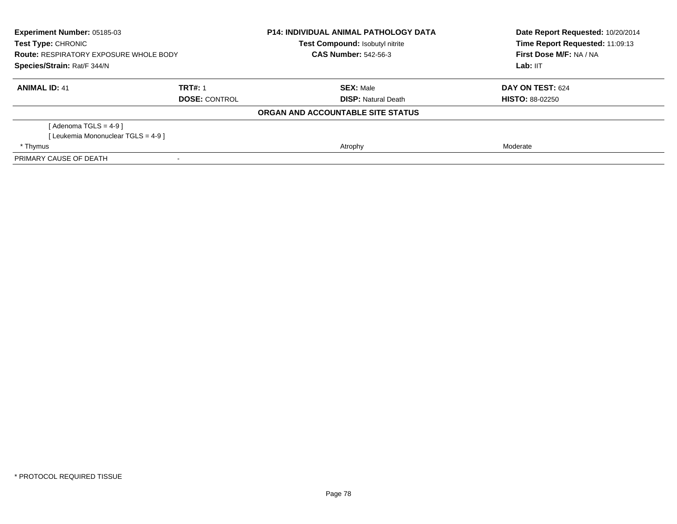| Experiment Number: 05185-03<br>Test Type: CHRONIC<br><b>Route: RESPIRATORY EXPOSURE WHOLE BODY</b><br>Species/Strain: Rat/F 344/N |                      | <b>P14: INDIVIDUAL ANIMAL PATHOLOGY DATA</b><br><b>Test Compound: Isobutyl nitrite</b><br><b>CAS Number: 542-56-3</b> | Date Report Requested: 10/20/2014<br>Time Report Requested: 11:09:13<br>First Dose M/F: NA / NA<br>Lab: IIT |
|-----------------------------------------------------------------------------------------------------------------------------------|----------------------|-----------------------------------------------------------------------------------------------------------------------|-------------------------------------------------------------------------------------------------------------|
| <b>ANIMAL ID: 41</b>                                                                                                              | TRT#: 1              | <b>SEX: Male</b>                                                                                                      | DAY ON TEST: 624                                                                                            |
|                                                                                                                                   | <b>DOSE: CONTROL</b> | <b>DISP:</b> Natural Death                                                                                            | <b>HISTO: 88-02250</b>                                                                                      |
|                                                                                                                                   |                      | ORGAN AND ACCOUNTABLE SITE STATUS                                                                                     |                                                                                                             |
| [ Adenoma TGLS = 4-9 ]                                                                                                            |                      |                                                                                                                       |                                                                                                             |
| [Leukemia Mononuclear TGLS = 4-9]                                                                                                 |                      |                                                                                                                       |                                                                                                             |
| * Thymus                                                                                                                          |                      | Atrophy                                                                                                               | Moderate                                                                                                    |
| PRIMARY CAUSE OF DEATH                                                                                                            |                      |                                                                                                                       |                                                                                                             |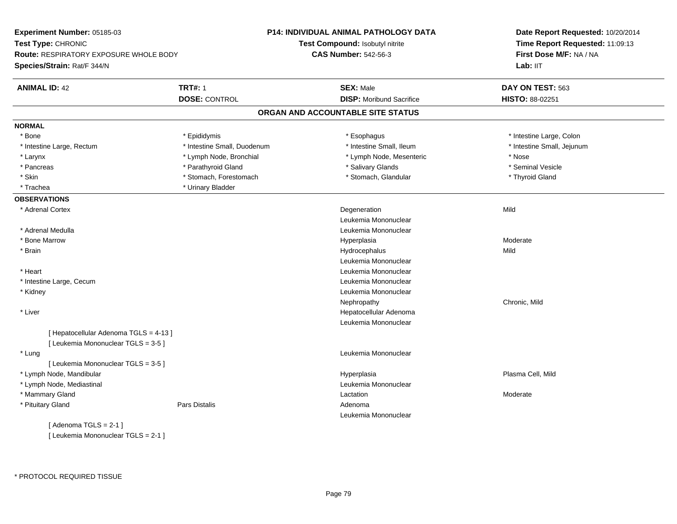| Experiment Number: 05185-03                                         |                             | P14: INDIVIDUAL ANIMAL PATHOLOGY DATA | Date Report Requested: 10/20/2014<br>Time Report Requested: 11:09:13<br>First Dose M/F: NA / NA |  |
|---------------------------------------------------------------------|-----------------------------|---------------------------------------|-------------------------------------------------------------------------------------------------|--|
| Test Type: CHRONIC                                                  |                             | Test Compound: Isobutyl nitrite       |                                                                                                 |  |
| Route: RESPIRATORY EXPOSURE WHOLE BODY                              |                             | <b>CAS Number: 542-56-3</b>           |                                                                                                 |  |
| Species/Strain: Rat/F 344/N                                         |                             |                                       | Lab: IIT                                                                                        |  |
| <b>ANIMAL ID: 42</b>                                                | <b>TRT#: 1</b>              | <b>SEX: Male</b>                      | DAY ON TEST: 563                                                                                |  |
|                                                                     | <b>DOSE: CONTROL</b>        | <b>DISP:</b> Moribund Sacrifice       | HISTO: 88-02251                                                                                 |  |
|                                                                     |                             | ORGAN AND ACCOUNTABLE SITE STATUS     |                                                                                                 |  |
| <b>NORMAL</b>                                                       |                             |                                       |                                                                                                 |  |
| * Bone                                                              | * Epididymis                | * Esophagus                           | * Intestine Large, Colon                                                                        |  |
| * Intestine Large, Rectum                                           | * Intestine Small, Duodenum | * Intestine Small, Ileum              | * Intestine Small, Jejunum                                                                      |  |
| * Larynx                                                            | * Lymph Node, Bronchial     | * Lymph Node, Mesenteric              | * Nose                                                                                          |  |
| * Pancreas                                                          | * Parathyroid Gland         | * Salivary Glands                     | * Seminal Vesicle                                                                               |  |
| * Skin                                                              | * Stomach, Forestomach      | * Stomach, Glandular                  | * Thyroid Gland                                                                                 |  |
| * Trachea                                                           | * Urinary Bladder           |                                       |                                                                                                 |  |
| <b>OBSERVATIONS</b>                                                 |                             |                                       |                                                                                                 |  |
| * Adrenal Cortex                                                    |                             | Degeneration                          | Mild                                                                                            |  |
|                                                                     |                             | Leukemia Mononuclear                  |                                                                                                 |  |
| * Adrenal Medulla                                                   |                             | Leukemia Mononuclear                  |                                                                                                 |  |
| * Bone Marrow                                                       |                             | Hyperplasia                           | Moderate                                                                                        |  |
| * Brain                                                             |                             | Hydrocephalus                         | Mild                                                                                            |  |
|                                                                     |                             | Leukemia Mononuclear                  |                                                                                                 |  |
| * Heart                                                             |                             | Leukemia Mononuclear                  |                                                                                                 |  |
| * Intestine Large, Cecum                                            |                             | Leukemia Mononuclear                  |                                                                                                 |  |
| * Kidney                                                            |                             | Leukemia Mononuclear                  |                                                                                                 |  |
|                                                                     |                             | Nephropathy                           | Chronic, Mild                                                                                   |  |
| * Liver                                                             |                             | Hepatocellular Adenoma                |                                                                                                 |  |
|                                                                     |                             | Leukemia Mononuclear                  |                                                                                                 |  |
| [ Hepatocellular Adenoma TGLS = 4-13 ]                              |                             |                                       |                                                                                                 |  |
| [ Leukemia Mononuclear TGLS = 3-5 ]                                 |                             |                                       |                                                                                                 |  |
| * Lung                                                              |                             | Leukemia Mononuclear                  |                                                                                                 |  |
| [ Leukemia Mononuclear TGLS = 3-5 ]                                 |                             |                                       |                                                                                                 |  |
| * Lymph Node, Mandibular                                            |                             | Hyperplasia                           | Plasma Cell, Mild                                                                               |  |
| * Lymph Node, Mediastinal                                           |                             | Leukemia Mononuclear                  |                                                                                                 |  |
| * Mammary Gland                                                     |                             | Lactation                             | Moderate                                                                                        |  |
| * Pituitary Gland                                                   | Pars Distalis               | Adenoma                               |                                                                                                 |  |
|                                                                     |                             | Leukemia Mononuclear                  |                                                                                                 |  |
| [Adenoma TGLS = $2-1$ ]                                             |                             |                                       |                                                                                                 |  |
| $F1$ and $F2$ and $F3$ and $F4$ and $F5$ and $F6$ and $F6$ and $F8$ |                             |                                       |                                                                                                 |  |

[ Leukemia Mononuclear TGLS = 2-1 ]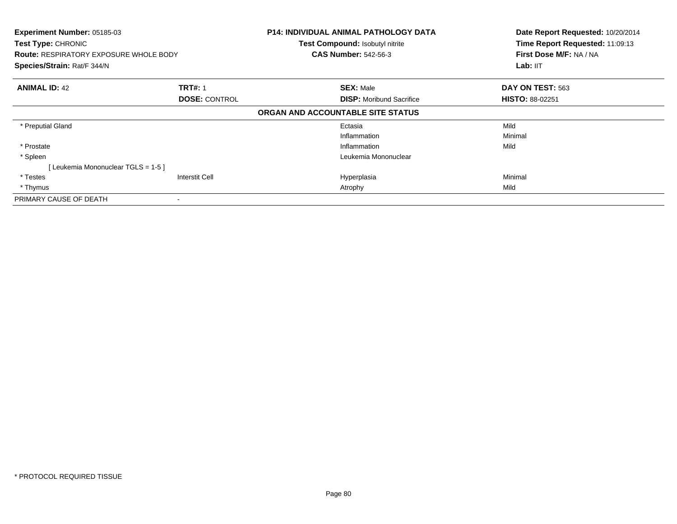| Experiment Number: 05185-03<br><b>Test Type: CHRONIC</b><br><b>Route: RESPIRATORY EXPOSURE WHOLE BODY</b><br>Species/Strain: Rat/F 344/N |                       | P14: INDIVIDUAL ANIMAL PATHOLOGY DATA<br>Test Compound: Isobutyl nitrite<br><b>CAS Number: 542-56-3</b> | Date Report Requested: 10/20/2014<br>Time Report Requested: 11:09:13<br>First Dose M/F: NA / NA<br>Lab: IIT |
|------------------------------------------------------------------------------------------------------------------------------------------|-----------------------|---------------------------------------------------------------------------------------------------------|-------------------------------------------------------------------------------------------------------------|
| <b>ANIMAL ID: 42</b>                                                                                                                     | <b>TRT#: 1</b>        | <b>SEX: Male</b>                                                                                        | DAY ON TEST: 563                                                                                            |
|                                                                                                                                          | <b>DOSE: CONTROL</b>  | <b>DISP:</b> Moribund Sacrifice                                                                         | <b>HISTO: 88-02251</b>                                                                                      |
|                                                                                                                                          |                       | ORGAN AND ACCOUNTABLE SITE STATUS                                                                       |                                                                                                             |
| * Preputial Gland                                                                                                                        |                       | Ectasia                                                                                                 | Mild                                                                                                        |
|                                                                                                                                          |                       | Inflammation                                                                                            | Minimal                                                                                                     |
| * Prostate                                                                                                                               |                       | Inflammation                                                                                            | Mild                                                                                                        |
| * Spleen                                                                                                                                 |                       | Leukemia Mononuclear                                                                                    |                                                                                                             |
| [Leukemia Mononuclear TGLS = 1-5]                                                                                                        |                       |                                                                                                         |                                                                                                             |
| * Testes                                                                                                                                 | <b>Interstit Cell</b> | Hyperplasia                                                                                             | Minimal                                                                                                     |
| * Thymus                                                                                                                                 |                       | Atrophy                                                                                                 | Mild                                                                                                        |
| PRIMARY CAUSE OF DEATH                                                                                                                   |                       |                                                                                                         |                                                                                                             |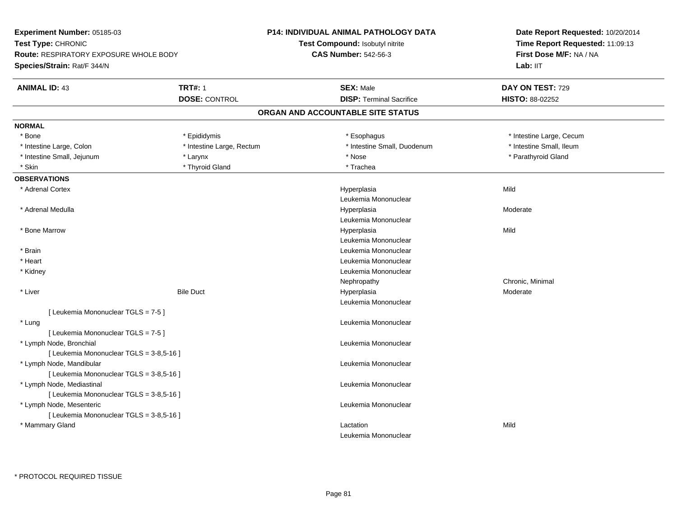| Experiment Number: 05185-03                   |                           | P14: INDIVIDUAL ANIMAL PATHOLOGY DATA | Date Report Requested: 10/20/2014<br>Time Report Requested: 11:09:13 |  |
|-----------------------------------------------|---------------------------|---------------------------------------|----------------------------------------------------------------------|--|
| Test Type: CHRONIC                            |                           | Test Compound: Isobutyl nitrite       |                                                                      |  |
| <b>Route: RESPIRATORY EXPOSURE WHOLE BODY</b> |                           | <b>CAS Number: 542-56-3</b>           | First Dose M/F: NA / NA                                              |  |
| Species/Strain: Rat/F 344/N                   |                           |                                       | Lab: IIT                                                             |  |
| <b>ANIMAL ID: 43</b>                          | <b>TRT#: 1</b>            | <b>SEX: Male</b>                      | DAY ON TEST: 729                                                     |  |
|                                               | <b>DOSE: CONTROL</b>      | <b>DISP: Terminal Sacrifice</b>       | HISTO: 88-02252                                                      |  |
|                                               |                           | ORGAN AND ACCOUNTABLE SITE STATUS     |                                                                      |  |
| <b>NORMAL</b>                                 |                           |                                       |                                                                      |  |
| * Bone                                        | * Epididymis              | * Esophagus                           | * Intestine Large, Cecum                                             |  |
| * Intestine Large, Colon                      | * Intestine Large, Rectum | * Intestine Small, Duodenum           | * Intestine Small, Ileum                                             |  |
| * Intestine Small, Jejunum                    | * Larynx                  | * Nose                                | * Parathyroid Gland                                                  |  |
| * Skin                                        | * Thyroid Gland           | * Trachea                             |                                                                      |  |
| <b>OBSERVATIONS</b>                           |                           |                                       |                                                                      |  |
| * Adrenal Cortex                              |                           | Hyperplasia                           | Mild                                                                 |  |
|                                               |                           | Leukemia Mononuclear                  |                                                                      |  |
| * Adrenal Medulla                             |                           | Hyperplasia                           | Moderate                                                             |  |
|                                               |                           | Leukemia Mononuclear                  |                                                                      |  |
| * Bone Marrow                                 |                           | Hyperplasia                           | Mild                                                                 |  |
|                                               |                           | Leukemia Mononuclear                  |                                                                      |  |
| * Brain                                       |                           | Leukemia Mononuclear                  |                                                                      |  |
| * Heart                                       |                           | Leukemia Mononuclear                  |                                                                      |  |
| * Kidney                                      |                           | Leukemia Mononuclear                  |                                                                      |  |
|                                               |                           | Nephropathy                           | Chronic, Minimal                                                     |  |
| * Liver                                       | <b>Bile Duct</b>          | Hyperplasia                           | Moderate                                                             |  |
|                                               |                           | Leukemia Mononuclear                  |                                                                      |  |
| [ Leukemia Mononuclear TGLS = 7-5 ]           |                           |                                       |                                                                      |  |
| * Lung                                        |                           | Leukemia Mononuclear                  |                                                                      |  |
| [ Leukemia Mononuclear TGLS = 7-5 ]           |                           |                                       |                                                                      |  |
| * Lymph Node, Bronchial                       |                           | Leukemia Mononuclear                  |                                                                      |  |
| [ Leukemia Mononuclear TGLS = 3-8,5-16 ]      |                           |                                       |                                                                      |  |
| * Lymph Node, Mandibular                      |                           | Leukemia Mononuclear                  |                                                                      |  |
| [ Leukemia Mononuclear TGLS = 3-8,5-16 ]      |                           |                                       |                                                                      |  |
| * Lymph Node, Mediastinal                     |                           | Leukemia Mononuclear                  |                                                                      |  |
| [ Leukemia Mononuclear TGLS = 3-8,5-16 ]      |                           |                                       |                                                                      |  |
| * Lymph Node, Mesenteric                      |                           | Leukemia Mononuclear                  |                                                                      |  |
| [ Leukemia Mononuclear TGLS = 3-8,5-16 ]      |                           |                                       |                                                                      |  |
| * Mammary Gland                               |                           | Lactation                             | Mild                                                                 |  |
|                                               |                           | Leukemia Mononuclear                  |                                                                      |  |
|                                               |                           |                                       |                                                                      |  |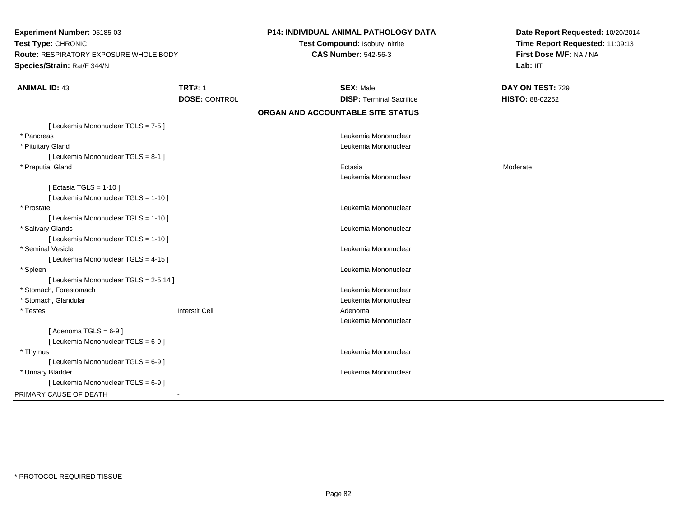**Experiment Number:** 05185-03**Test Type:** CHRONIC **Route:** RESPIRATORY EXPOSURE WHOLE BODY**Species/Strain:** Rat/F 344/N**P14: INDIVIDUAL ANIMAL PATHOLOGY DATATest Compound:** Isobutyl nitrite**CAS Number:** 542-56-3**Date Report Requested:** 10/20/2014**Time Report Requested:** 11:09:13**First Dose M/F:** NA / NA**Lab:** IIT**ANIMAL ID:** 43**TRT#:** 1 **SEX:** Male **DAY ON TEST:** 729 **DOSE:** CONTROL **DISP:** Terminal Sacrifice **HISTO:** 88-02252 **ORGAN AND ACCOUNTABLE SITE STATUS**[ Leukemia Mononuclear TGLS = 7-5 ] \* Pancreas Leukemia Mononuclear \* Pituitary Gland Leukemia Mononuclear [ Leukemia Mononuclear TGLS = 8-1 ] \* Preputial Glandd and the control of the control of the control of the control of the control of the control of the control of the control of the control of the control of the control of the control of the control of the control of the co Leukemia Mononuclear $[$  Ectasia TGLS = 1-10  $]$ [ Leukemia Mononuclear TGLS = 1-10 ] \* Prostatee de la controlle de la controlle de la controlle de la controlle de la controlle de la controlle de la controlle de la controlle de la controlle de la controlle de la controlle de la controlle de la controlle de la contro [ Leukemia Mononuclear TGLS = 1-10 ] \* Salivary Glands Leukemia Mononuclear [ Leukemia Mononuclear TGLS = 1-10 ] \* Seminal Vesicle Leukemia Mononuclear [ Leukemia Mononuclear TGLS = 4-15 ] \* Spleen Leukemia Mononuclear [ Leukemia Mononuclear TGLS = 2-5,14 ] \* Stomach, Forestomach Leukemia Mononuclear \* Stomach, Glandular Leukemia Mononuclear \* Testess and the contract of the contract of the contract of the contract of the contract of the contract of the contract of  $\mathbb{R}^n$  Leukemia Mononuclear $[$  Adenoma TGLS = 6-9  $]$ [ Leukemia Mononuclear TGLS = 6-9 ] \* Thymus Leukemia Mononuclear [ Leukemia Mononuclear TGLS = 6-9 ] \* Urinary Bladder Leukemia Mononuclear [ Leukemia Mononuclear TGLS = 6-9 ]PRIMARY CAUSE OF DEATH-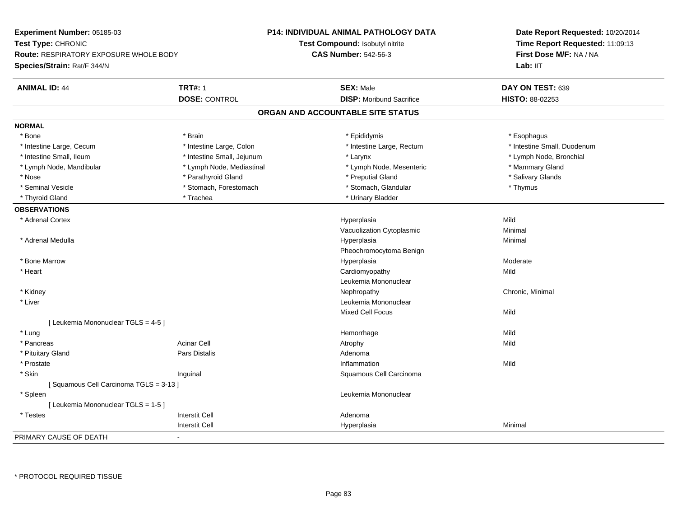| Experiment Number: 05185-03                   |                            | <b>P14: INDIVIDUAL ANIMAL PATHOLOGY DATA</b> | Date Report Requested: 10/20/2014<br>Time Report Requested: 11:09:13<br>First Dose M/F: NA / NA |
|-----------------------------------------------|----------------------------|----------------------------------------------|-------------------------------------------------------------------------------------------------|
| Test Type: CHRONIC                            |                            | <b>Test Compound: Isobutyl nitrite</b>       |                                                                                                 |
| <b>Route: RESPIRATORY EXPOSURE WHOLE BODY</b> |                            | <b>CAS Number: 542-56-3</b>                  |                                                                                                 |
| Species/Strain: Rat/F 344/N                   |                            |                                              | Lab: IIT                                                                                        |
| <b>ANIMAL ID: 44</b>                          | <b>TRT#: 1</b>             | <b>SEX: Male</b>                             | DAY ON TEST: 639                                                                                |
|                                               | <b>DOSE: CONTROL</b>       | <b>DISP: Moribund Sacrifice</b>              | HISTO: 88-02253                                                                                 |
|                                               |                            | ORGAN AND ACCOUNTABLE SITE STATUS            |                                                                                                 |
| <b>NORMAL</b>                                 |                            |                                              |                                                                                                 |
| * Bone                                        | * Brain                    | * Epididymis                                 | * Esophagus                                                                                     |
| * Intestine Large, Cecum                      | * Intestine Large, Colon   | * Intestine Large, Rectum                    | * Intestine Small, Duodenum                                                                     |
| * Intestine Small, Ileum                      | * Intestine Small, Jejunum | * Larynx                                     | * Lymph Node, Bronchial                                                                         |
| * Lymph Node, Mandibular                      | * Lymph Node, Mediastinal  | * Lymph Node, Mesenteric                     | * Mammary Gland                                                                                 |
| * Nose                                        | * Parathyroid Gland        | * Preputial Gland                            | * Salivary Glands                                                                               |
| * Seminal Vesicle                             | * Stomach, Forestomach     | * Stomach, Glandular                         | * Thymus                                                                                        |
| * Thyroid Gland                               | * Trachea                  | * Urinary Bladder                            |                                                                                                 |
| <b>OBSERVATIONS</b>                           |                            |                                              |                                                                                                 |
| * Adrenal Cortex                              |                            | Hyperplasia                                  | Mild                                                                                            |
|                                               |                            | Vacuolization Cytoplasmic                    | Minimal                                                                                         |
| * Adrenal Medulla                             |                            | Hyperplasia                                  | Minimal                                                                                         |
|                                               |                            | Pheochromocytoma Benign                      |                                                                                                 |
| * Bone Marrow                                 |                            | Hyperplasia                                  | Moderate                                                                                        |
| * Heart                                       |                            | Cardiomyopathy                               | Mild                                                                                            |
|                                               |                            | Leukemia Mononuclear                         |                                                                                                 |
| * Kidney                                      |                            | Nephropathy                                  | Chronic, Minimal                                                                                |
| * Liver                                       |                            | Leukemia Mononuclear                         |                                                                                                 |
|                                               |                            | <b>Mixed Cell Focus</b>                      | Mild                                                                                            |
| [ Leukemia Mononuclear TGLS = 4-5 ]           |                            |                                              |                                                                                                 |
| * Lung                                        |                            | Hemorrhage                                   | Mild                                                                                            |
| * Pancreas                                    | <b>Acinar Cell</b>         | Atrophy                                      | Mild                                                                                            |
| * Pituitary Gland                             | Pars Distalis              | Adenoma                                      |                                                                                                 |
| * Prostate                                    |                            | Inflammation                                 | Mild                                                                                            |
| * Skin                                        | Inguinal                   | Squamous Cell Carcinoma                      |                                                                                                 |
| [Squamous Cell Carcinoma TGLS = 3-13]         |                            |                                              |                                                                                                 |
| * Spleen                                      |                            | Leukemia Mononuclear                         |                                                                                                 |
| [ Leukemia Mononuclear TGLS = 1-5 ]           |                            |                                              |                                                                                                 |
| * Testes                                      | <b>Interstit Cell</b>      | Adenoma                                      |                                                                                                 |
|                                               | <b>Interstit Cell</b>      | Hyperplasia                                  | Minimal                                                                                         |
| PRIMARY CAUSE OF DEATH                        |                            |                                              |                                                                                                 |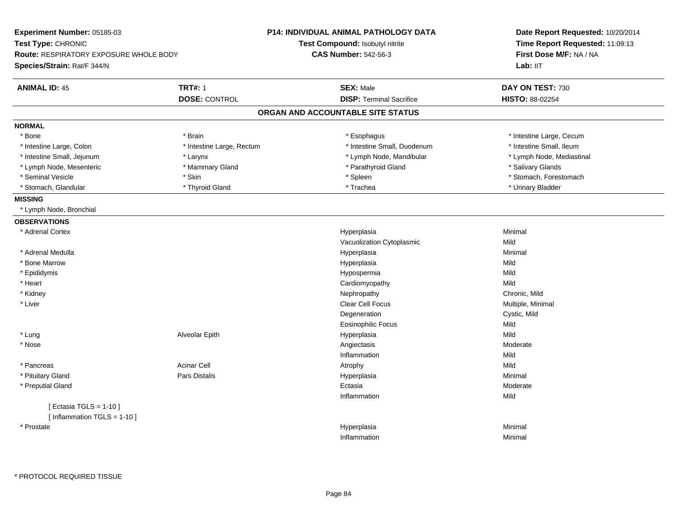| Experiment Number: 05185-03            |                           | <b>P14: INDIVIDUAL ANIMAL PATHOLOGY DATA</b> | Date Report Requested: 10/20/2014<br>Time Report Requested: 11:09:13<br>First Dose M/F: NA / NA |  |
|----------------------------------------|---------------------------|----------------------------------------------|-------------------------------------------------------------------------------------------------|--|
| Test Type: CHRONIC                     |                           | Test Compound: Isobutyl nitrite              |                                                                                                 |  |
| Route: RESPIRATORY EXPOSURE WHOLE BODY |                           | <b>CAS Number: 542-56-3</b>                  |                                                                                                 |  |
| Species/Strain: Rat/F 344/N            |                           |                                              | Lab: II <sub>T</sub>                                                                            |  |
| <b>ANIMAL ID: 45</b>                   | <b>TRT#: 1</b>            | <b>SEX: Male</b>                             | DAY ON TEST: 730                                                                                |  |
|                                        | <b>DOSE: CONTROL</b>      | <b>DISP: Terminal Sacrifice</b>              | HISTO: 88-02254                                                                                 |  |
|                                        |                           | ORGAN AND ACCOUNTABLE SITE STATUS            |                                                                                                 |  |
| <b>NORMAL</b>                          |                           |                                              |                                                                                                 |  |
| * Bone                                 | * Brain                   | * Esophagus                                  | * Intestine Large, Cecum                                                                        |  |
| * Intestine Large, Colon               | * Intestine Large, Rectum | * Intestine Small, Duodenum                  | * Intestine Small, Ileum                                                                        |  |
| * Intestine Small, Jejunum             | * Larynx                  | * Lymph Node, Mandibular                     | * Lymph Node, Mediastinal                                                                       |  |
| * Lymph Node, Mesenteric               | * Mammary Gland           | * Parathyroid Gland                          | * Salivary Glands                                                                               |  |
| * Seminal Vesicle                      | * Skin                    | * Spleen                                     | * Stomach, Forestomach                                                                          |  |
| * Stomach, Glandular                   | * Thyroid Gland           | * Trachea                                    | * Urinary Bladder                                                                               |  |
| <b>MISSING</b>                         |                           |                                              |                                                                                                 |  |
| * Lymph Node, Bronchial                |                           |                                              |                                                                                                 |  |
| <b>OBSERVATIONS</b>                    |                           |                                              |                                                                                                 |  |
| * Adrenal Cortex                       |                           | Hyperplasia                                  | Minimal                                                                                         |  |
|                                        |                           | Vacuolization Cytoplasmic                    | Mild                                                                                            |  |
| * Adrenal Medulla                      |                           | Hyperplasia                                  | Minimal                                                                                         |  |
| * Bone Marrow                          |                           | Hyperplasia                                  | Mild                                                                                            |  |
| * Epididymis                           |                           | Hypospermia                                  | Mild                                                                                            |  |
| * Heart                                |                           | Cardiomyopathy                               | Mild                                                                                            |  |
| * Kidney                               |                           | Nephropathy                                  | Chronic, Mild                                                                                   |  |
| * Liver                                |                           | <b>Clear Cell Focus</b>                      | Multiple, Minimal                                                                               |  |
|                                        |                           | Degeneration                                 | Cystic, Mild                                                                                    |  |
|                                        |                           | <b>Eosinophilic Focus</b>                    | Mild                                                                                            |  |
| * Lung                                 | Alveolar Epith            | Hyperplasia                                  | Mild                                                                                            |  |
| * Nose                                 |                           | Angiectasis                                  | Moderate                                                                                        |  |
|                                        |                           | Inflammation                                 | Mild                                                                                            |  |
| * Pancreas                             | <b>Acinar Cell</b>        | Atrophy                                      | Mild                                                                                            |  |
| * Pituitary Gland                      | <b>Pars Distalis</b>      | Hyperplasia                                  | Minimal                                                                                         |  |
| * Preputial Gland                      |                           | Ectasia                                      | Moderate                                                                                        |  |
|                                        |                           | Inflammation                                 | Mild                                                                                            |  |
| [ Ectasia TGLS = $1-10$ ]              |                           |                                              |                                                                                                 |  |
| [ Inflammation TGLS = 1-10 ]           |                           |                                              |                                                                                                 |  |
| * Prostate                             |                           | Hyperplasia                                  | Minimal                                                                                         |  |
|                                        |                           | Inflammation                                 | Minimal                                                                                         |  |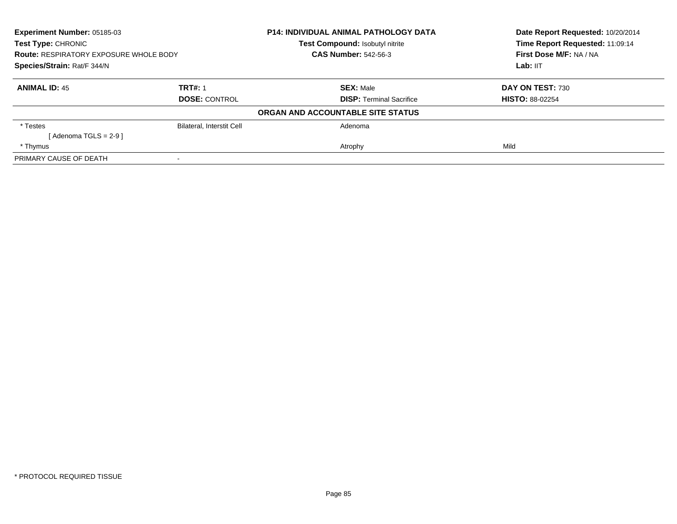| <b>Experiment Number: 05185-03</b><br>Test Type: CHRONIC<br><b>Route: RESPIRATORY EXPOSURE WHOLE BODY</b><br>Species/Strain: Rat/F 344/N |                           | <b>P14: INDIVIDUAL ANIMAL PATHOLOGY DATA</b> | Date Report Requested: 10/20/2014<br>Time Report Requested: 11:09:14 |
|------------------------------------------------------------------------------------------------------------------------------------------|---------------------------|----------------------------------------------|----------------------------------------------------------------------|
|                                                                                                                                          |                           | Test Compound: Isobutyl nitrite              |                                                                      |
|                                                                                                                                          |                           | <b>CAS Number: 542-56-3</b>                  | First Dose M/F: NA / NA                                              |
|                                                                                                                                          |                           |                                              | Lab: IIT                                                             |
| <b>ANIMAL ID: 45</b>                                                                                                                     | <b>TRT#: 1</b>            | <b>SEX: Male</b>                             | DAY ON TEST: 730                                                     |
|                                                                                                                                          | <b>DOSE: CONTROL</b>      | <b>DISP:</b> Terminal Sacrifice              | <b>HISTO: 88-02254</b>                                               |
|                                                                                                                                          |                           | ORGAN AND ACCOUNTABLE SITE STATUS            |                                                                      |
| * Testes                                                                                                                                 | Bilateral, Interstit Cell | Adenoma                                      |                                                                      |
| $Adenoma TGLS = 2-91$                                                                                                                    |                           |                                              |                                                                      |
| * Thymus                                                                                                                                 |                           | Atrophy                                      | Mild                                                                 |
| PRIMARY CAUSE OF DEATH                                                                                                                   |                           |                                              |                                                                      |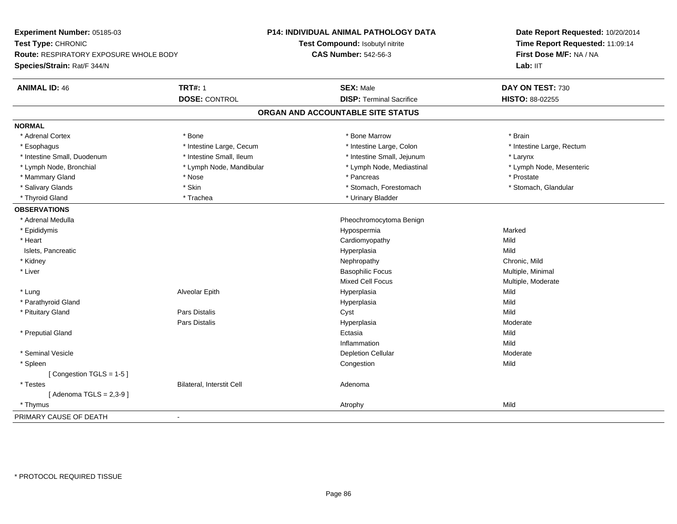| Time Report Requested: 11:09:14<br>Test Compound: Isobutyl nitrite<br>First Dose M/F: NA / NA<br><b>CAS Number: 542-56-3</b><br><b>Route: RESPIRATORY EXPOSURE WHOLE BODY</b><br>Lab: IIT<br><b>TRT#: 1</b><br><b>SEX: Male</b><br>DAY ON TEST: 730<br><b>DISP: Terminal Sacrifice</b><br><b>DOSE: CONTROL</b><br>HISTO: 88-02255<br>ORGAN AND ACCOUNTABLE SITE STATUS<br>* Brain<br>* Adrenal Cortex<br>* Bone<br>* Bone Marrow<br>* Intestine Large, Cecum<br>* Intestine Large, Colon<br>* Esophagus<br>* Intestine Large, Rectum<br>* Intestine Small, Ileum<br>* Intestine Small, Duodenum<br>* Intestine Small, Jejunum<br>* Larynx<br>* Lymph Node, Bronchial<br>* Lymph Node, Mandibular<br>* Lymph Node, Mediastinal<br>* Lymph Node, Mesenteric<br>* Mammary Gland<br>* Pancreas<br>* Prostate<br>* Nose<br>* Salivary Glands<br>* Skin<br>* Stomach, Forestomach<br>* Stomach, Glandular<br>* Thyroid Gland<br>* Trachea<br>* Urinary Bladder<br>* Adrenal Medulla<br>Pheochromocytoma Benign<br>* Epididymis<br>Hypospermia<br>Marked<br>* Heart<br>Cardiomyopathy<br>Mild<br>Islets, Pancreatic<br>Mild<br>Hyperplasia<br>* Kidney<br>Chronic, Mild<br>Nephropathy<br>* Liver<br><b>Basophilic Focus</b><br>Multiple, Minimal<br><b>Mixed Cell Focus</b><br>Multiple, Moderate<br>Mild<br>* Lung<br>Alveolar Epith<br>Hyperplasia<br>* Parathyroid Gland<br>Mild<br>Hyperplasia<br>Pars Distalis<br>Mild<br>* Pituitary Gland<br>Cyst<br>Pars Distalis<br>Hyperplasia<br>Moderate<br>Ectasia<br>* Preputial Gland<br>Mild<br>Mild<br>Inflammation<br>* Seminal Vesicle<br><b>Depletion Cellular</b><br>Moderate<br>Congestion<br>Mild<br>* Spleen | Experiment Number: 05185-03 | <b>P14: INDIVIDUAL ANIMAL PATHOLOGY DATA</b> | Date Report Requested: 10/20/2014 |  |
|----------------------------------------------------------------------------------------------------------------------------------------------------------------------------------------------------------------------------------------------------------------------------------------------------------------------------------------------------------------------------------------------------------------------------------------------------------------------------------------------------------------------------------------------------------------------------------------------------------------------------------------------------------------------------------------------------------------------------------------------------------------------------------------------------------------------------------------------------------------------------------------------------------------------------------------------------------------------------------------------------------------------------------------------------------------------------------------------------------------------------------------------------------------------------------------------------------------------------------------------------------------------------------------------------------------------------------------------------------------------------------------------------------------------------------------------------------------------------------------------------------------------------------------------------------------------------------------------------------------------------------------------------------------|-----------------------------|----------------------------------------------|-----------------------------------|--|
|                                                                                                                                                                                                                                                                                                                                                                                                                                                                                                                                                                                                                                                                                                                                                                                                                                                                                                                                                                                                                                                                                                                                                                                                                                                                                                                                                                                                                                                                                                                                                                                                                                                                | Test Type: CHRONIC          |                                              |                                   |  |
|                                                                                                                                                                                                                                                                                                                                                                                                                                                                                                                                                                                                                                                                                                                                                                                                                                                                                                                                                                                                                                                                                                                                                                                                                                                                                                                                                                                                                                                                                                                                                                                                                                                                |                             |                                              |                                   |  |
|                                                                                                                                                                                                                                                                                                                                                                                                                                                                                                                                                                                                                                                                                                                                                                                                                                                                                                                                                                                                                                                                                                                                                                                                                                                                                                                                                                                                                                                                                                                                                                                                                                                                | Species/Strain: Rat/F 344/N |                                              |                                   |  |
|                                                                                                                                                                                                                                                                                                                                                                                                                                                                                                                                                                                                                                                                                                                                                                                                                                                                                                                                                                                                                                                                                                                                                                                                                                                                                                                                                                                                                                                                                                                                                                                                                                                                | <b>ANIMAL ID: 46</b>        |                                              |                                   |  |
|                                                                                                                                                                                                                                                                                                                                                                                                                                                                                                                                                                                                                                                                                                                                                                                                                                                                                                                                                                                                                                                                                                                                                                                                                                                                                                                                                                                                                                                                                                                                                                                                                                                                |                             |                                              |                                   |  |
|                                                                                                                                                                                                                                                                                                                                                                                                                                                                                                                                                                                                                                                                                                                                                                                                                                                                                                                                                                                                                                                                                                                                                                                                                                                                                                                                                                                                                                                                                                                                                                                                                                                                |                             |                                              |                                   |  |
|                                                                                                                                                                                                                                                                                                                                                                                                                                                                                                                                                                                                                                                                                                                                                                                                                                                                                                                                                                                                                                                                                                                                                                                                                                                                                                                                                                                                                                                                                                                                                                                                                                                                | <b>NORMAL</b>               |                                              |                                   |  |
|                                                                                                                                                                                                                                                                                                                                                                                                                                                                                                                                                                                                                                                                                                                                                                                                                                                                                                                                                                                                                                                                                                                                                                                                                                                                                                                                                                                                                                                                                                                                                                                                                                                                |                             |                                              |                                   |  |
|                                                                                                                                                                                                                                                                                                                                                                                                                                                                                                                                                                                                                                                                                                                                                                                                                                                                                                                                                                                                                                                                                                                                                                                                                                                                                                                                                                                                                                                                                                                                                                                                                                                                |                             |                                              |                                   |  |
|                                                                                                                                                                                                                                                                                                                                                                                                                                                                                                                                                                                                                                                                                                                                                                                                                                                                                                                                                                                                                                                                                                                                                                                                                                                                                                                                                                                                                                                                                                                                                                                                                                                                |                             |                                              |                                   |  |
|                                                                                                                                                                                                                                                                                                                                                                                                                                                                                                                                                                                                                                                                                                                                                                                                                                                                                                                                                                                                                                                                                                                                                                                                                                                                                                                                                                                                                                                                                                                                                                                                                                                                |                             |                                              |                                   |  |
|                                                                                                                                                                                                                                                                                                                                                                                                                                                                                                                                                                                                                                                                                                                                                                                                                                                                                                                                                                                                                                                                                                                                                                                                                                                                                                                                                                                                                                                                                                                                                                                                                                                                |                             |                                              |                                   |  |
|                                                                                                                                                                                                                                                                                                                                                                                                                                                                                                                                                                                                                                                                                                                                                                                                                                                                                                                                                                                                                                                                                                                                                                                                                                                                                                                                                                                                                                                                                                                                                                                                                                                                |                             |                                              |                                   |  |
|                                                                                                                                                                                                                                                                                                                                                                                                                                                                                                                                                                                                                                                                                                                                                                                                                                                                                                                                                                                                                                                                                                                                                                                                                                                                                                                                                                                                                                                                                                                                                                                                                                                                |                             |                                              |                                   |  |
|                                                                                                                                                                                                                                                                                                                                                                                                                                                                                                                                                                                                                                                                                                                                                                                                                                                                                                                                                                                                                                                                                                                                                                                                                                                                                                                                                                                                                                                                                                                                                                                                                                                                | <b>OBSERVATIONS</b>         |                                              |                                   |  |
|                                                                                                                                                                                                                                                                                                                                                                                                                                                                                                                                                                                                                                                                                                                                                                                                                                                                                                                                                                                                                                                                                                                                                                                                                                                                                                                                                                                                                                                                                                                                                                                                                                                                |                             |                                              |                                   |  |
|                                                                                                                                                                                                                                                                                                                                                                                                                                                                                                                                                                                                                                                                                                                                                                                                                                                                                                                                                                                                                                                                                                                                                                                                                                                                                                                                                                                                                                                                                                                                                                                                                                                                |                             |                                              |                                   |  |
|                                                                                                                                                                                                                                                                                                                                                                                                                                                                                                                                                                                                                                                                                                                                                                                                                                                                                                                                                                                                                                                                                                                                                                                                                                                                                                                                                                                                                                                                                                                                                                                                                                                                |                             |                                              |                                   |  |
|                                                                                                                                                                                                                                                                                                                                                                                                                                                                                                                                                                                                                                                                                                                                                                                                                                                                                                                                                                                                                                                                                                                                                                                                                                                                                                                                                                                                                                                                                                                                                                                                                                                                |                             |                                              |                                   |  |
|                                                                                                                                                                                                                                                                                                                                                                                                                                                                                                                                                                                                                                                                                                                                                                                                                                                                                                                                                                                                                                                                                                                                                                                                                                                                                                                                                                                                                                                                                                                                                                                                                                                                |                             |                                              |                                   |  |
|                                                                                                                                                                                                                                                                                                                                                                                                                                                                                                                                                                                                                                                                                                                                                                                                                                                                                                                                                                                                                                                                                                                                                                                                                                                                                                                                                                                                                                                                                                                                                                                                                                                                |                             |                                              |                                   |  |
|                                                                                                                                                                                                                                                                                                                                                                                                                                                                                                                                                                                                                                                                                                                                                                                                                                                                                                                                                                                                                                                                                                                                                                                                                                                                                                                                                                                                                                                                                                                                                                                                                                                                |                             |                                              |                                   |  |
|                                                                                                                                                                                                                                                                                                                                                                                                                                                                                                                                                                                                                                                                                                                                                                                                                                                                                                                                                                                                                                                                                                                                                                                                                                                                                                                                                                                                                                                                                                                                                                                                                                                                |                             |                                              |                                   |  |
|                                                                                                                                                                                                                                                                                                                                                                                                                                                                                                                                                                                                                                                                                                                                                                                                                                                                                                                                                                                                                                                                                                                                                                                                                                                                                                                                                                                                                                                                                                                                                                                                                                                                |                             |                                              |                                   |  |
|                                                                                                                                                                                                                                                                                                                                                                                                                                                                                                                                                                                                                                                                                                                                                                                                                                                                                                                                                                                                                                                                                                                                                                                                                                                                                                                                                                                                                                                                                                                                                                                                                                                                |                             |                                              |                                   |  |
|                                                                                                                                                                                                                                                                                                                                                                                                                                                                                                                                                                                                                                                                                                                                                                                                                                                                                                                                                                                                                                                                                                                                                                                                                                                                                                                                                                                                                                                                                                                                                                                                                                                                |                             |                                              |                                   |  |
|                                                                                                                                                                                                                                                                                                                                                                                                                                                                                                                                                                                                                                                                                                                                                                                                                                                                                                                                                                                                                                                                                                                                                                                                                                                                                                                                                                                                                                                                                                                                                                                                                                                                |                             |                                              |                                   |  |
|                                                                                                                                                                                                                                                                                                                                                                                                                                                                                                                                                                                                                                                                                                                                                                                                                                                                                                                                                                                                                                                                                                                                                                                                                                                                                                                                                                                                                                                                                                                                                                                                                                                                |                             |                                              |                                   |  |
|                                                                                                                                                                                                                                                                                                                                                                                                                                                                                                                                                                                                                                                                                                                                                                                                                                                                                                                                                                                                                                                                                                                                                                                                                                                                                                                                                                                                                                                                                                                                                                                                                                                                |                             |                                              |                                   |  |
|                                                                                                                                                                                                                                                                                                                                                                                                                                                                                                                                                                                                                                                                                                                                                                                                                                                                                                                                                                                                                                                                                                                                                                                                                                                                                                                                                                                                                                                                                                                                                                                                                                                                |                             |                                              |                                   |  |
|                                                                                                                                                                                                                                                                                                                                                                                                                                                                                                                                                                                                                                                                                                                                                                                                                                                                                                                                                                                                                                                                                                                                                                                                                                                                                                                                                                                                                                                                                                                                                                                                                                                                | [Congestion TGLS = 1-5]     |                                              |                                   |  |
| * Testes<br>Bilateral, Interstit Cell<br>Adenoma                                                                                                                                                                                                                                                                                                                                                                                                                                                                                                                                                                                                                                                                                                                                                                                                                                                                                                                                                                                                                                                                                                                                                                                                                                                                                                                                                                                                                                                                                                                                                                                                               |                             |                                              |                                   |  |
| [Adenoma TGLS = $2,3-9$ ]                                                                                                                                                                                                                                                                                                                                                                                                                                                                                                                                                                                                                                                                                                                                                                                                                                                                                                                                                                                                                                                                                                                                                                                                                                                                                                                                                                                                                                                                                                                                                                                                                                      |                             |                                              |                                   |  |
| Mild<br>* Thymus<br>Atrophy                                                                                                                                                                                                                                                                                                                                                                                                                                                                                                                                                                                                                                                                                                                                                                                                                                                                                                                                                                                                                                                                                                                                                                                                                                                                                                                                                                                                                                                                                                                                                                                                                                    |                             |                                              |                                   |  |
| $\blacksquare$                                                                                                                                                                                                                                                                                                                                                                                                                                                                                                                                                                                                                                                                                                                                                                                                                                                                                                                                                                                                                                                                                                                                                                                                                                                                                                                                                                                                                                                                                                                                                                                                                                                 | PRIMARY CAUSE OF DEATH      |                                              |                                   |  |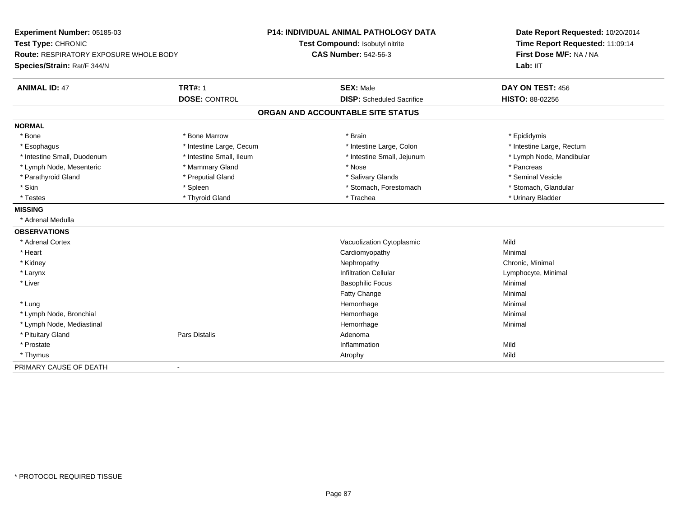| Experiment Number: 05185-03<br>Test Type: CHRONIC<br>Route: RESPIRATORY EXPOSURE WHOLE BODY |                          | <b>P14: INDIVIDUAL ANIMAL PATHOLOGY DATA</b> | Date Report Requested: 10/20/2014<br>Time Report Requested: 11:09:14<br>First Dose M/F: NA / NA |
|---------------------------------------------------------------------------------------------|--------------------------|----------------------------------------------|-------------------------------------------------------------------------------------------------|
|                                                                                             |                          | Test Compound: Isobutyl nitrite              |                                                                                                 |
|                                                                                             |                          | <b>CAS Number: 542-56-3</b>                  |                                                                                                 |
| Species/Strain: Rat/F 344/N                                                                 |                          |                                              | Lab: IIT                                                                                        |
| <b>ANIMAL ID: 47</b>                                                                        | <b>TRT#: 1</b>           | <b>SEX: Male</b>                             | DAY ON TEST: 456                                                                                |
|                                                                                             | <b>DOSE: CONTROL</b>     | <b>DISP:</b> Scheduled Sacrifice             | HISTO: 88-02256                                                                                 |
|                                                                                             |                          | ORGAN AND ACCOUNTABLE SITE STATUS            |                                                                                                 |
| <b>NORMAL</b>                                                                               |                          |                                              |                                                                                                 |
| * Bone                                                                                      | * Bone Marrow            | * Brain                                      | * Epididymis                                                                                    |
| * Esophagus                                                                                 | * Intestine Large, Cecum | * Intestine Large, Colon                     | * Intestine Large, Rectum                                                                       |
| * Intestine Small, Duodenum                                                                 | * Intestine Small. Ileum | * Intestine Small, Jejunum                   | * Lymph Node, Mandibular                                                                        |
| * Lymph Node, Mesenteric                                                                    | * Mammary Gland          | * Nose                                       | * Pancreas                                                                                      |
| * Parathyroid Gland                                                                         | * Preputial Gland        | * Salivary Glands                            | * Seminal Vesicle                                                                               |
| * Skin                                                                                      | * Spleen                 | * Stomach, Forestomach                       | * Stomach, Glandular                                                                            |
| * Testes                                                                                    | * Thyroid Gland          | * Trachea                                    | * Urinary Bladder                                                                               |
| <b>MISSING</b>                                                                              |                          |                                              |                                                                                                 |
| * Adrenal Medulla                                                                           |                          |                                              |                                                                                                 |
| <b>OBSERVATIONS</b>                                                                         |                          |                                              |                                                                                                 |
| * Adrenal Cortex                                                                            |                          | Vacuolization Cytoplasmic                    | Mild                                                                                            |
| * Heart                                                                                     |                          | Cardiomyopathy                               | Minimal                                                                                         |
| * Kidney                                                                                    |                          | Nephropathy                                  | Chronic, Minimal                                                                                |
| * Larynx                                                                                    |                          | <b>Infiltration Cellular</b>                 | Lymphocyte, Minimal                                                                             |
| * Liver                                                                                     |                          | <b>Basophilic Focus</b>                      | Minimal                                                                                         |
|                                                                                             |                          | Fatty Change                                 | Minimal                                                                                         |
| * Lung                                                                                      |                          | Hemorrhage                                   | Minimal                                                                                         |
| * Lymph Node, Bronchial                                                                     |                          | Hemorrhage                                   | Minimal                                                                                         |
| * Lymph Node, Mediastinal                                                                   |                          | Hemorrhage                                   | Minimal                                                                                         |
| * Pituitary Gland                                                                           | <b>Pars Distalis</b>     | Adenoma                                      |                                                                                                 |
| * Prostate                                                                                  |                          | Inflammation                                 | Mild                                                                                            |
| * Thymus                                                                                    |                          | Atrophy                                      | Mild                                                                                            |
| PRIMARY CAUSE OF DEATH                                                                      |                          |                                              |                                                                                                 |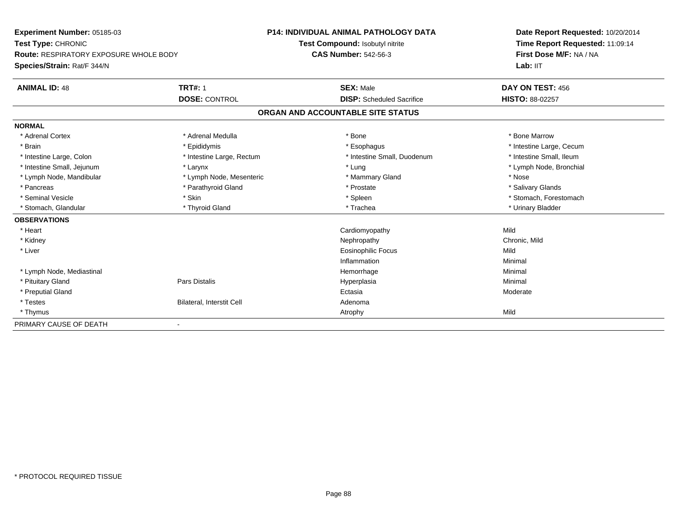| Experiment Number: 05185-03<br>Test Type: CHRONIC<br><b>Route: RESPIRATORY EXPOSURE WHOLE BODY</b><br>Species/Strain: Rat/F 344/N |                           | <b>P14: INDIVIDUAL ANIMAL PATHOLOGY DATA</b> | Date Report Requested: 10/20/2014<br>Time Report Requested: 11:09:14<br>First Dose M/F: NA / NA |
|-----------------------------------------------------------------------------------------------------------------------------------|---------------------------|----------------------------------------------|-------------------------------------------------------------------------------------------------|
|                                                                                                                                   |                           | Test Compound: Isobutyl nitrite              |                                                                                                 |
|                                                                                                                                   |                           | <b>CAS Number: 542-56-3</b>                  |                                                                                                 |
|                                                                                                                                   |                           |                                              | Lab: IIT                                                                                        |
| <b>ANIMAL ID: 48</b>                                                                                                              | <b>TRT#: 1</b>            | <b>SEX: Male</b>                             | DAY ON TEST: 456                                                                                |
|                                                                                                                                   | <b>DOSE: CONTROL</b>      | <b>DISP:</b> Scheduled Sacrifice             | <b>HISTO: 88-02257</b>                                                                          |
|                                                                                                                                   |                           | ORGAN AND ACCOUNTABLE SITE STATUS            |                                                                                                 |
| <b>NORMAL</b>                                                                                                                     |                           |                                              |                                                                                                 |
| * Adrenal Cortex                                                                                                                  | * Adrenal Medulla         | * Bone                                       | * Bone Marrow                                                                                   |
| * Brain                                                                                                                           | * Epididymis              | * Esophagus                                  | * Intestine Large, Cecum                                                                        |
| * Intestine Large, Colon                                                                                                          | * Intestine Large, Rectum | * Intestine Small, Duodenum                  | * Intestine Small, Ileum                                                                        |
| * Intestine Small, Jejunum                                                                                                        | * Larynx                  | * Lung                                       | * Lymph Node, Bronchial                                                                         |
| * Lymph Node, Mandibular                                                                                                          | * Lymph Node, Mesenteric  | * Mammary Gland                              | * Nose                                                                                          |
| * Pancreas                                                                                                                        | * Parathyroid Gland       | * Prostate                                   | * Salivary Glands                                                                               |
| * Seminal Vesicle                                                                                                                 | * Skin                    | * Spleen                                     | * Stomach, Forestomach                                                                          |
| * Stomach, Glandular                                                                                                              | * Thyroid Gland           | * Trachea                                    | * Urinary Bladder                                                                               |
| <b>OBSERVATIONS</b>                                                                                                               |                           |                                              |                                                                                                 |
| * Heart                                                                                                                           |                           | Cardiomyopathy                               | Mild                                                                                            |
| * Kidney                                                                                                                          |                           | Nephropathy                                  | Chronic, Mild                                                                                   |
| * Liver                                                                                                                           |                           | <b>Eosinophilic Focus</b>                    | Mild                                                                                            |
|                                                                                                                                   |                           | Inflammation                                 | Minimal                                                                                         |
| * Lymph Node, Mediastinal                                                                                                         |                           | Hemorrhage                                   | Minimal                                                                                         |
| * Pituitary Gland                                                                                                                 | <b>Pars Distalis</b>      | Hyperplasia                                  | Minimal                                                                                         |
| * Preputial Gland                                                                                                                 |                           | Ectasia                                      | Moderate                                                                                        |
| * Testes                                                                                                                          | Bilateral, Interstit Cell | Adenoma                                      |                                                                                                 |
| * Thymus                                                                                                                          |                           | Atrophy                                      | Mild                                                                                            |
| PRIMARY CAUSE OF DEATH                                                                                                            |                           |                                              |                                                                                                 |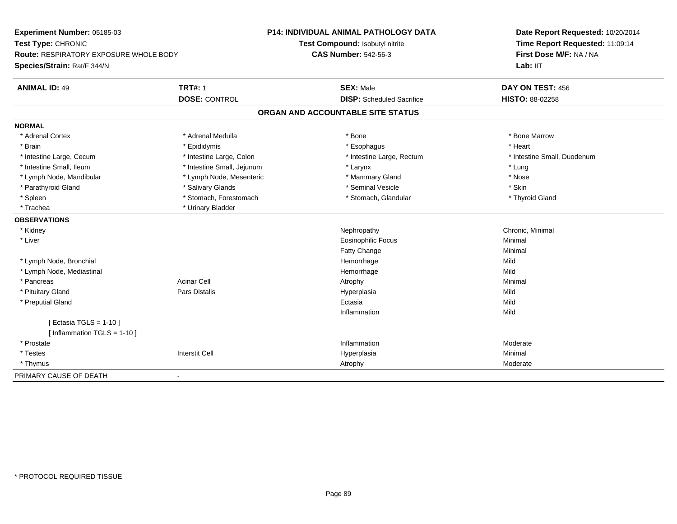| Experiment Number: 05185-03            |                            | <b>P14: INDIVIDUAL ANIMAL PATHOLOGY DATA</b> | Date Report Requested: 10/20/2014                          |
|----------------------------------------|----------------------------|----------------------------------------------|------------------------------------------------------------|
| Test Type: CHRONIC                     |                            | Test Compound: Isobutyl nitrite              | Time Report Requested: 11:09:14<br>First Dose M/F: NA / NA |
| Route: RESPIRATORY EXPOSURE WHOLE BODY |                            | <b>CAS Number: 542-56-3</b>                  |                                                            |
| Species/Strain: Rat/F 344/N            |                            |                                              | Lab: IIT                                                   |
| <b>ANIMAL ID: 49</b>                   | <b>TRT#: 1</b>             | <b>SEX: Male</b>                             | DAY ON TEST: 456                                           |
|                                        | <b>DOSE: CONTROL</b>       | <b>DISP:</b> Scheduled Sacrifice             | <b>HISTO: 88-02258</b>                                     |
|                                        |                            | ORGAN AND ACCOUNTABLE SITE STATUS            |                                                            |
| <b>NORMAL</b>                          |                            |                                              |                                                            |
| * Adrenal Cortex                       | * Adrenal Medulla          | * Bone                                       | * Bone Marrow                                              |
| * Brain                                | * Epididymis               | * Esophagus                                  | * Heart                                                    |
| * Intestine Large, Cecum               | * Intestine Large, Colon   | * Intestine Large, Rectum                    | * Intestine Small, Duodenum                                |
| * Intestine Small, Ileum               | * Intestine Small, Jejunum | * Larynx                                     | * Lung                                                     |
| * Lymph Node, Mandibular               | * Lymph Node, Mesenteric   | * Mammary Gland                              | * Nose                                                     |
| * Parathyroid Gland                    | * Salivary Glands          | * Seminal Vesicle                            | * Skin                                                     |
| * Spleen                               | * Stomach, Forestomach     | * Stomach, Glandular                         | * Thyroid Gland                                            |
| * Trachea                              | * Urinary Bladder          |                                              |                                                            |
| <b>OBSERVATIONS</b>                    |                            |                                              |                                                            |
| * Kidney                               |                            | Nephropathy                                  | Chronic, Minimal                                           |
| * Liver                                |                            | Eosinophilic Focus                           | Minimal                                                    |
|                                        |                            | Fatty Change                                 | Minimal                                                    |
| * Lymph Node, Bronchial                |                            | Hemorrhage                                   | Mild                                                       |
| * Lymph Node, Mediastinal              |                            | Hemorrhage                                   | Mild                                                       |
| * Pancreas                             | <b>Acinar Cell</b>         | Atrophy                                      | Minimal                                                    |
| * Pituitary Gland                      | Pars Distalis              | Hyperplasia                                  | Mild                                                       |
| * Preputial Gland                      |                            | Ectasia                                      | Mild                                                       |
|                                        |                            | Inflammation                                 | Mild                                                       |
| [ Ectasia TGLS = 1-10 ]                |                            |                                              |                                                            |
| [Inflammation TGLS = $1-10$ ]          |                            |                                              |                                                            |
| * Prostate                             |                            | Inflammation                                 | Moderate                                                   |
| * Testes                               | <b>Interstit Cell</b>      | Hyperplasia                                  | Minimal                                                    |
| * Thymus                               |                            | Atrophy                                      | Moderate                                                   |
| PRIMARY CAUSE OF DEATH                 |                            |                                              |                                                            |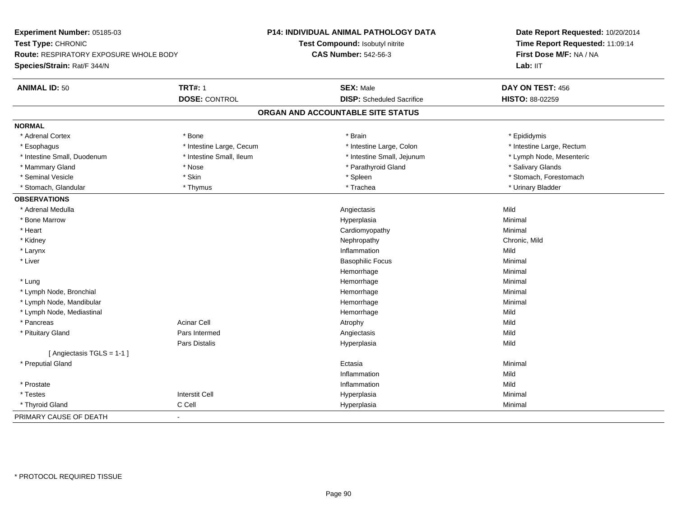**Experiment Number:** 05185-03**Test Type:** CHRONIC **Route:** RESPIRATORY EXPOSURE WHOLE BODY**Species/Strain:** Rat/F 344/N**P14: INDIVIDUAL ANIMAL PATHOLOGY DATATest Compound:** Isobutyl nitrite**CAS Number:** 542-56-3**Date Report Requested:** 10/20/2014**Time Report Requested:** 11:09:14**First Dose M/F:** NA / NALab: IIT **ANIMAL ID:** 50**TRT#:** 1 **SEX:** Male **DAY ON TEST:** 456 **DOSE:** CONTROL **DISP:** Scheduled Sacrifice **HISTO:** 88-02259 **ORGAN AND ACCOUNTABLE SITE STATUSNORMAL**\* Adrenal Cortex \* Adrenal Cortex \* \* Annual Cortex \* Epididymis \* Bone \* \* Bone \* \* Brain \* \* Brain \* \* Epididymis \* Epididymis \* Esophagus \* Thestine Large, Cecum \* Intestine Large, Cecum \* Intestine Large, Colon \* Intestine Large, Rectum \* Intestine Small, Duodenum \* Intestine Small, Ileum \* Intestine Small, Jejunum \* Lymph Node, Mesenteric\* Mammary Gland \* \* And \* \* Nose \* \* Parathyroid Gland \* \* Parathyroid Gland \* \* Salivary Glands \* Salivary Glands \* Salivary Glands \* Salivary Glands \* Salivary Glands \* Salivary Glands \* Salivary Glands \* Salivary Glands \* Seminal Vesicle \* The state of the set of the set of the set of the set of the set of the set of the set of the set of the set of the set of the set of the set of the set of the set of the set of the set of the set of th \* Stomach, Glandular \* \* \* Thymus \* \* Thymus \* \* The \* \* Trachea \* \* Trachea \* \* Urinary Bladder \* \* Urinary Bladder \* **OBSERVATIONS** \* Adrenal Medullaa and the control of the control of the control of the control of the control of the control of the control of the control of the control of the control of the control of the control of the control of the control of the co \* Bone Marroww the contract of the Hyperplasia through the Hyperplasia contract of the Minimal Minimal Section 1, 1986, 198<br>In the contract of the Minimal Section 1, 1986, 1997, 1998, 1998, 1998, 1999, 1999, 1999, 1999, 1999, 1999, 19 \* Heart Cardiomyopathy Minimal \* Kidneyy the controller of the controller of the controller of the controller of the controller of the chronic, Mild \* Larynx**x** and the contract of the contract of the contract of the contract of the contract of the contract of the contract of the contract of the contract of the contract of the contract of the contract of the contract of the co n Mild \* Liver Basophilic Focus Minimal Hemorrhagee Minimal \* Lungg and the state of the state of the state of the state of the Minimal Section 1, the state of the state of the Minimal Section 1, the state of the state of the state of the state of the state of the state of the state of t \* Lymph Node, Bronchial Hemorrhagee Minimal \* Lymph Node, Mandibular Hemorrhagee Minimal \* Lymph Node, Mediastinal Hemorrhagee Mild \* Pancreass the contract of the contract of the contract of the contract of the contract of the contract of the contract of  $\mathsf{A}$  and  $\mathsf{A}$  and  $\mathsf{A}$  and  $\mathsf{A}$  and  $\mathsf{A}$  and  $\mathsf{A}$  and  $\mathsf{A}$  and  $\mathsf{A}$  and  $\mathsf$ Mild \* Pituitary Gland Pars Intermed Angiectasis Mild Pars Distalis Hyperplasiaa Mild [ Angiectasis TGLS = 1-1 ] \* Preputial Glandd and the control of the control of the control of the control of the control of the control of the control of the control of the control of the control of the control of the control of the control of the control of the co Inflammationn Mild \* Prostatee discussion of the control of the control of the control of the control of the control of the control of the control of the control of the control of the control of the control of the control of the control of the control \* Testes Interstit Cell Hyperplasiaa and a studies of the studies of the Minimal \* Thyroid Gland C Cell Hyperplasia Minimal PRIMARY CAUSE OF DEATH-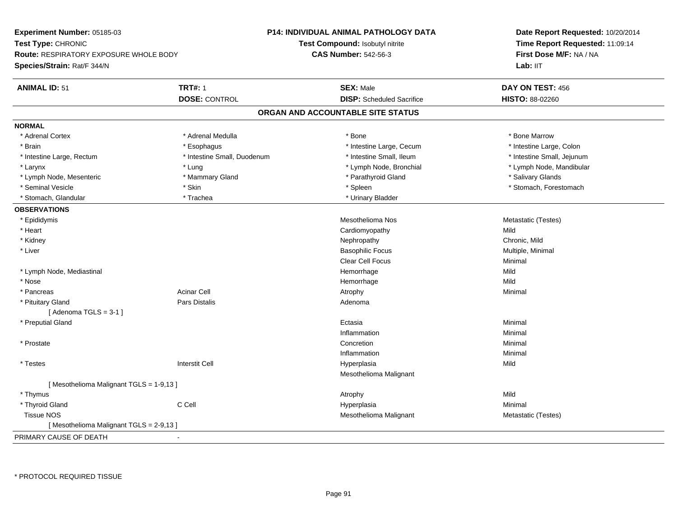| Experiment Number: 05185-03                   |                             | P14: INDIVIDUAL ANIMAL PATHOLOGY DATA | Date Report Requested: 10/20/2014<br>Time Report Requested: 11:09:14<br>First Dose M/F: NA / NA |  |
|-----------------------------------------------|-----------------------------|---------------------------------------|-------------------------------------------------------------------------------------------------|--|
| Test Type: CHRONIC                            |                             | Test Compound: Isobutyl nitrite       |                                                                                                 |  |
| <b>Route: RESPIRATORY EXPOSURE WHOLE BODY</b> |                             | <b>CAS Number: 542-56-3</b>           |                                                                                                 |  |
| Species/Strain: Rat/F 344/N                   |                             |                                       | Lab: IIT                                                                                        |  |
| <b>ANIMAL ID: 51</b>                          | <b>TRT#: 1</b>              | <b>SEX: Male</b>                      | DAY ON TEST: 456                                                                                |  |
|                                               | <b>DOSE: CONTROL</b>        | <b>DISP:</b> Scheduled Sacrifice      | HISTO: 88-02260                                                                                 |  |
|                                               |                             | ORGAN AND ACCOUNTABLE SITE STATUS     |                                                                                                 |  |
| <b>NORMAL</b>                                 |                             |                                       |                                                                                                 |  |
| * Adrenal Cortex                              | * Adrenal Medulla           | * Bone                                | * Bone Marrow                                                                                   |  |
| * Brain                                       | * Esophagus                 | * Intestine Large, Cecum              | * Intestine Large, Colon                                                                        |  |
| * Intestine Large, Rectum                     | * Intestine Small, Duodenum | * Intestine Small, Ileum              | * Intestine Small, Jejunum                                                                      |  |
| * Larynx                                      | * Lung                      | * Lymph Node, Bronchial               | * Lymph Node, Mandibular                                                                        |  |
| * Lymph Node, Mesenteric                      | * Mammary Gland             | * Parathyroid Gland                   | * Salivary Glands                                                                               |  |
| * Seminal Vesicle                             | * Skin                      | * Spleen                              | * Stomach, Forestomach                                                                          |  |
| * Stomach, Glandular                          | * Trachea                   | * Urinary Bladder                     |                                                                                                 |  |
| <b>OBSERVATIONS</b>                           |                             |                                       |                                                                                                 |  |
| * Epididymis                                  |                             | Mesothelioma Nos                      | Metastatic (Testes)                                                                             |  |
| * Heart                                       |                             | Cardiomyopathy                        | Mild                                                                                            |  |
| * Kidney                                      |                             | Nephropathy                           | Chronic, Mild                                                                                   |  |
| * Liver                                       |                             | <b>Basophilic Focus</b>               | Multiple, Minimal                                                                               |  |
|                                               |                             | <b>Clear Cell Focus</b>               | Minimal                                                                                         |  |
| * Lymph Node, Mediastinal                     |                             | Hemorrhage                            | Mild                                                                                            |  |
| * Nose                                        |                             | Hemorrhage                            | Mild                                                                                            |  |
| * Pancreas                                    | <b>Acinar Cell</b>          | Atrophy                               | Minimal                                                                                         |  |
| * Pituitary Gland                             | Pars Distalis               | Adenoma                               |                                                                                                 |  |
| [Adenoma TGLS = $3-1$ ]                       |                             |                                       |                                                                                                 |  |
| * Preputial Gland                             |                             | Ectasia                               | Minimal                                                                                         |  |
|                                               |                             | Inflammation                          | Minimal                                                                                         |  |
| * Prostate                                    |                             | Concretion                            | Minimal                                                                                         |  |
|                                               |                             | Inflammation                          | Minimal                                                                                         |  |
| * Testes                                      | <b>Interstit Cell</b>       | Hyperplasia                           | Mild                                                                                            |  |
|                                               |                             | Mesothelioma Malignant                |                                                                                                 |  |
| [Mesothelioma Malignant TGLS = 1-9,13]        |                             |                                       |                                                                                                 |  |
| * Thymus                                      |                             | Atrophy                               | Mild                                                                                            |  |
| * Thyroid Gland                               | C Cell                      | Hyperplasia                           | Minimal                                                                                         |  |
| <b>Tissue NOS</b>                             |                             | Mesothelioma Malignant                | Metastatic (Testes)                                                                             |  |
| [Mesothelioma Malignant TGLS = 2-9,13]        |                             |                                       |                                                                                                 |  |
| PRIMARY CAUSE OF DEATH                        |                             |                                       |                                                                                                 |  |

\* PROTOCOL REQUIRED TISSUE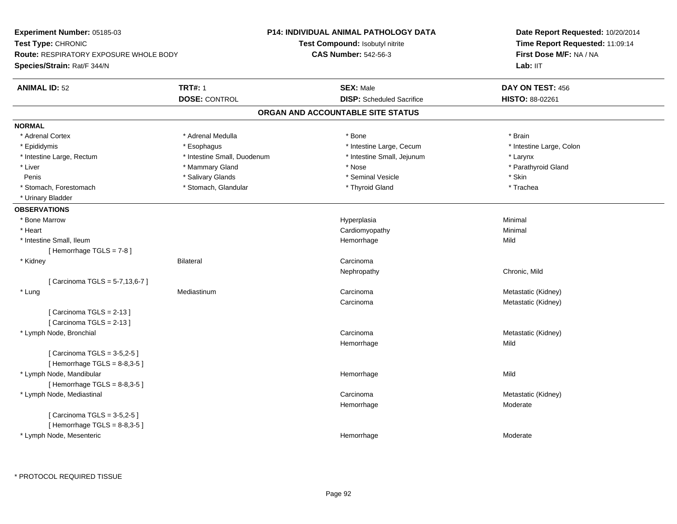| Experiment Number: 05185-03            |                             | P14: INDIVIDUAL ANIMAL PATHOLOGY DATA | Date Report Requested: 10/20/2014<br>Time Report Requested: 11:09:14<br>First Dose M/F: NA / NA |  |
|----------------------------------------|-----------------------------|---------------------------------------|-------------------------------------------------------------------------------------------------|--|
| Test Type: CHRONIC                     |                             | Test Compound: Isobutyl nitrite       |                                                                                                 |  |
| Route: RESPIRATORY EXPOSURE WHOLE BODY |                             | <b>CAS Number: 542-56-3</b>           |                                                                                                 |  |
| Species/Strain: Rat/F 344/N            |                             |                                       | Lab: IIT                                                                                        |  |
| <b>ANIMAL ID: 52</b>                   | <b>TRT#: 1</b>              | <b>SEX: Male</b>                      | DAY ON TEST: 456                                                                                |  |
|                                        | <b>DOSE: CONTROL</b>        | <b>DISP:</b> Scheduled Sacrifice      | HISTO: 88-02261                                                                                 |  |
|                                        |                             | ORGAN AND ACCOUNTABLE SITE STATUS     |                                                                                                 |  |
| <b>NORMAL</b>                          |                             |                                       |                                                                                                 |  |
| * Adrenal Cortex                       | * Adrenal Medulla           | $*$ Bone                              | * Brain                                                                                         |  |
| * Epididymis                           | * Esophagus                 | * Intestine Large, Cecum              | * Intestine Large, Colon                                                                        |  |
| * Intestine Large, Rectum              | * Intestine Small, Duodenum | * Intestine Small, Jejunum            | * Larynx                                                                                        |  |
| * Liver                                | * Mammary Gland             | * Nose                                | * Parathyroid Gland                                                                             |  |
| Penis                                  | * Salivary Glands           | * Seminal Vesicle                     | * Skin                                                                                          |  |
| * Stomach, Forestomach                 | * Stomach, Glandular        | * Thyroid Gland                       | * Trachea                                                                                       |  |
| * Urinary Bladder                      |                             |                                       |                                                                                                 |  |
| <b>OBSERVATIONS</b>                    |                             |                                       |                                                                                                 |  |
| * Bone Marrow                          |                             | Hyperplasia                           | Minimal                                                                                         |  |
| * Heart                                |                             | Cardiomyopathy                        | Minimal                                                                                         |  |
| * Intestine Small, Ileum               |                             | Hemorrhage                            | Mild                                                                                            |  |
| [Hemorrhage TGLS = $7-8$ ]             |                             |                                       |                                                                                                 |  |
| * Kidney                               | <b>Bilateral</b>            | Carcinoma                             |                                                                                                 |  |
|                                        |                             | Nephropathy                           | Chronic, Mild                                                                                   |  |
| [ Carcinoma TGLS = 5-7,13,6-7 ]        |                             |                                       |                                                                                                 |  |
| * Lung                                 | Mediastinum                 | Carcinoma                             | Metastatic (Kidney)                                                                             |  |
|                                        |                             | Carcinoma                             | Metastatic (Kidney)                                                                             |  |
| [Carcinoma TGLS = $2-13$ ]             |                             |                                       |                                                                                                 |  |
| [Carcinoma TGLS = 2-13]                |                             |                                       |                                                                                                 |  |
| * Lymph Node, Bronchial                |                             | Carcinoma                             | Metastatic (Kidney)                                                                             |  |
|                                        |                             | Hemorrhage                            | Mild                                                                                            |  |
| [ Carcinoma TGLS = 3-5,2-5 ]           |                             |                                       |                                                                                                 |  |
| [Hemorrhage TGLS = $8-8,3-5$ ]         |                             |                                       |                                                                                                 |  |
| * Lymph Node, Mandibular               |                             | Hemorrhage                            | Mild                                                                                            |  |
| [Hemorrhage TGLS = $8-8,3-5$ ]         |                             |                                       |                                                                                                 |  |
| * Lymph Node, Mediastinal              |                             | Carcinoma                             | Metastatic (Kidney)                                                                             |  |
|                                        |                             | Hemorrhage                            | Moderate                                                                                        |  |
| [ Carcinoma TGLS = 3-5,2-5 ]           |                             |                                       |                                                                                                 |  |
| [Hemorrhage TGLS = $8-8,3-5$ ]         |                             |                                       |                                                                                                 |  |
| * Lymph Node, Mesenteric               |                             | Hemorrhage                            | Moderate                                                                                        |  |
|                                        |                             |                                       |                                                                                                 |  |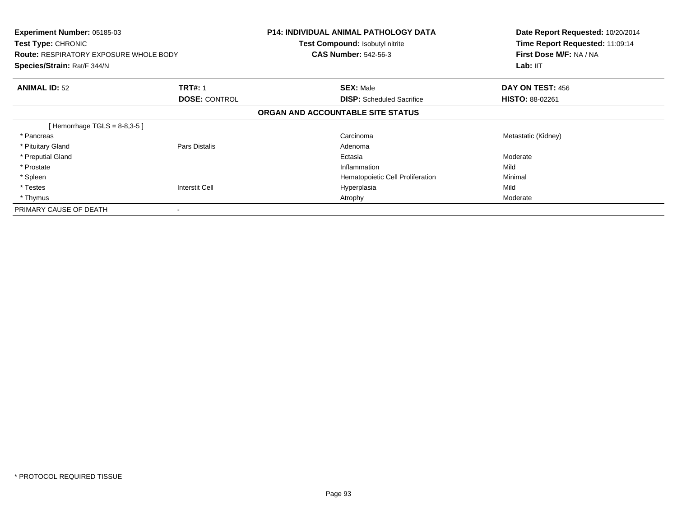| Experiment Number: 05185-03<br><b>Test Type: CHRONIC</b><br><b>Route: RESPIRATORY EXPOSURE WHOLE BODY</b><br>Species/Strain: Rat/F 344/N |                      | <b>P14: INDIVIDUAL ANIMAL PATHOLOGY DATA</b><br><b>Test Compound: Isobutyl nitrite</b><br><b>CAS Number: 542-56-3</b> | Date Report Requested: 10/20/2014<br>Time Report Requested: 11:09:14<br>First Dose M/F: NA / NA<br>Lab: II <sub>T</sub> |
|------------------------------------------------------------------------------------------------------------------------------------------|----------------------|-----------------------------------------------------------------------------------------------------------------------|-------------------------------------------------------------------------------------------------------------------------|
| <b>ANIMAL ID: 52</b>                                                                                                                     | <b>TRT#: 1</b>       | <b>SEX: Male</b>                                                                                                      | DAY ON TEST: 456                                                                                                        |
|                                                                                                                                          | <b>DOSE: CONTROL</b> | <b>DISP:</b> Scheduled Sacrifice                                                                                      | <b>HISTO: 88-02261</b>                                                                                                  |
|                                                                                                                                          |                      | ORGAN AND ACCOUNTABLE SITE STATUS                                                                                     |                                                                                                                         |
| [Hemorrhage TGLS = $8-8,3-5$ ]                                                                                                           |                      |                                                                                                                       |                                                                                                                         |
| * Pancreas                                                                                                                               |                      | Carcinoma                                                                                                             | Metastatic (Kidney)                                                                                                     |
| * Pituitary Gland                                                                                                                        | Pars Distalis        | Adenoma                                                                                                               |                                                                                                                         |
| * Preputial Gland                                                                                                                        |                      | Ectasia                                                                                                               | Moderate                                                                                                                |
| * Prostate                                                                                                                               |                      | Inflammation                                                                                                          | Mild                                                                                                                    |
| * Spleen                                                                                                                                 |                      | Hematopoietic Cell Proliferation                                                                                      | Minimal                                                                                                                 |
| * Testes                                                                                                                                 | Interstit Cell       | Hyperplasia                                                                                                           | Mild                                                                                                                    |
| * Thymus                                                                                                                                 |                      | Atrophy                                                                                                               | Moderate                                                                                                                |
| PRIMARY CAUSE OF DEATH                                                                                                                   |                      |                                                                                                                       |                                                                                                                         |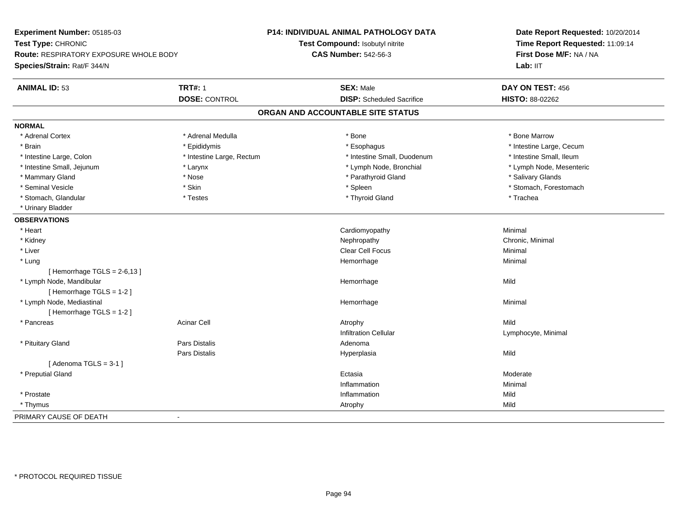| Experiment Number: 05185-03<br>Test Type: CHRONIC<br>Route: RESPIRATORY EXPOSURE WHOLE BODY<br>Species/Strain: Rat/F 344/N |                           | <b>P14: INDIVIDUAL ANIMAL PATHOLOGY DATA</b> | Date Report Requested: 10/20/2014<br>Time Report Requested: 11:09:14 |
|----------------------------------------------------------------------------------------------------------------------------|---------------------------|----------------------------------------------|----------------------------------------------------------------------|
|                                                                                                                            |                           | Test Compound: Isobutyl nitrite              |                                                                      |
|                                                                                                                            |                           | <b>CAS Number: 542-56-3</b>                  | First Dose M/F: NA / NA                                              |
|                                                                                                                            |                           |                                              | Lab: IIT                                                             |
| <b>ANIMAL ID: 53</b>                                                                                                       | <b>TRT#: 1</b>            | <b>SEX: Male</b>                             | DAY ON TEST: 456                                                     |
|                                                                                                                            | <b>DOSE: CONTROL</b>      | <b>DISP:</b> Scheduled Sacrifice             | HISTO: 88-02262                                                      |
|                                                                                                                            |                           | ORGAN AND ACCOUNTABLE SITE STATUS            |                                                                      |
| <b>NORMAL</b>                                                                                                              |                           |                                              |                                                                      |
| * Adrenal Cortex                                                                                                           | * Adrenal Medulla         | * Bone                                       | * Bone Marrow                                                        |
| * Brain                                                                                                                    | * Epididymis              | * Esophagus                                  | * Intestine Large, Cecum                                             |
| * Intestine Large, Colon                                                                                                   | * Intestine Large, Rectum | * Intestine Small, Duodenum                  | * Intestine Small, Ileum                                             |
| * Intestine Small, Jejunum                                                                                                 | * Larynx                  | * Lymph Node, Bronchial                      | * Lymph Node, Mesenteric                                             |
| * Mammary Gland                                                                                                            | * Nose                    | * Parathyroid Gland                          | * Salivary Glands                                                    |
| * Seminal Vesicle                                                                                                          | * Skin                    | * Spleen                                     | * Stomach, Forestomach                                               |
| * Stomach, Glandular                                                                                                       | $^\star$ Testes           | * Thyroid Gland                              | * Trachea                                                            |
| * Urinary Bladder                                                                                                          |                           |                                              |                                                                      |
| <b>OBSERVATIONS</b>                                                                                                        |                           |                                              |                                                                      |
| * Heart                                                                                                                    |                           | Cardiomyopathy                               | Minimal                                                              |
| * Kidney                                                                                                                   |                           | Nephropathy                                  | Chronic, Minimal                                                     |
| * Liver                                                                                                                    |                           | Clear Cell Focus                             | Minimal                                                              |
| * Lung                                                                                                                     |                           | Hemorrhage                                   | Minimal                                                              |
| [Hemorrhage TGLS = $2-6,13$ ]                                                                                              |                           |                                              |                                                                      |
| * Lymph Node, Mandibular                                                                                                   |                           | Hemorrhage                                   | Mild                                                                 |
| [Hemorrhage TGLS = 1-2]                                                                                                    |                           |                                              |                                                                      |
| * Lymph Node, Mediastinal                                                                                                  |                           | Hemorrhage                                   | Minimal                                                              |
| [Hemorrhage TGLS = 1-2]                                                                                                    |                           |                                              |                                                                      |
| * Pancreas                                                                                                                 | <b>Acinar Cell</b>        | Atrophy                                      | Mild                                                                 |
|                                                                                                                            |                           | <b>Infiltration Cellular</b>                 | Lymphocyte, Minimal                                                  |
| * Pituitary Gland                                                                                                          | Pars Distalis             | Adenoma                                      |                                                                      |
|                                                                                                                            | Pars Distalis             | Hyperplasia                                  | Mild                                                                 |
| [Adenoma TGLS = $3-1$ ]                                                                                                    |                           |                                              |                                                                      |
| * Preputial Gland                                                                                                          |                           | Ectasia                                      | Moderate                                                             |
|                                                                                                                            |                           | Inflammation                                 | Minimal                                                              |
| * Prostate                                                                                                                 |                           | Inflammation                                 | Mild                                                                 |
| * Thymus                                                                                                                   |                           | Atrophy                                      | Mild                                                                 |
| PRIMARY CAUSE OF DEATH                                                                                                     | $\blacksquare$            |                                              |                                                                      |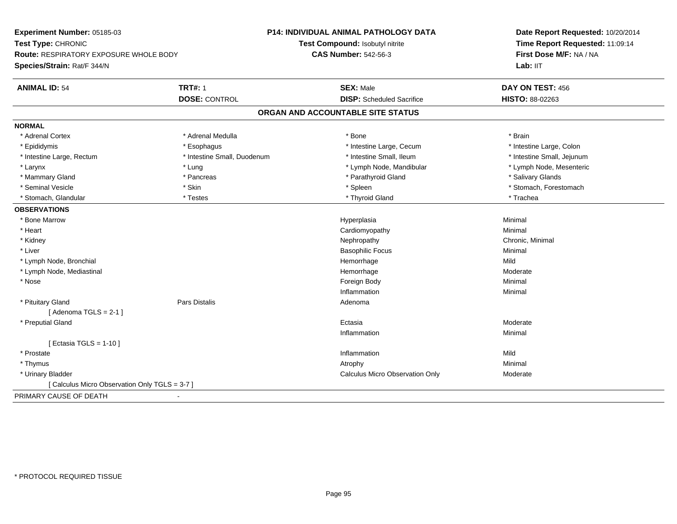| Experiment Number: 05185-03                              | P14: INDIVIDUAL ANIMAL PATHOLOGY DATA  | Date Report Requested: 10/20/2014 |
|----------------------------------------------------------|----------------------------------------|-----------------------------------|
| Test Type: CHRONIC                                       | Test Compound: Isobutyl nitrite        | Time Report Requested: 11:09:14   |
| Route: RESPIRATORY EXPOSURE WHOLE BODY                   | <b>CAS Number: 542-56-3</b>            | First Dose M/F: NA / NA           |
| Species/Strain: Rat/F 344/N                              |                                        | Lab: IIT                          |
| <b>TRT#: 1</b><br><b>ANIMAL ID: 54</b>                   | <b>SEX: Male</b>                       | DAY ON TEST: 456                  |
| <b>DOSE: CONTROL</b>                                     | <b>DISP:</b> Scheduled Sacrifice       | HISTO: 88-02263                   |
|                                                          | ORGAN AND ACCOUNTABLE SITE STATUS      |                                   |
| <b>NORMAL</b>                                            |                                        |                                   |
| * Adrenal Cortex<br>* Adrenal Medulla                    | * Bone                                 | * Brain                           |
| * Esophagus<br>* Epididymis                              | * Intestine Large, Cecum               | * Intestine Large, Colon          |
| * Intestine Large, Rectum<br>* Intestine Small, Duodenum | * Intestine Small, Ileum               | * Intestine Small, Jejunum        |
| * Lung<br>* Larynx                                       | * Lymph Node, Mandibular               | * Lymph Node, Mesenteric          |
| * Mammary Gland<br>* Pancreas                            | * Parathyroid Gland                    | * Salivary Glands                 |
| * Seminal Vesicle<br>* Skin                              | * Spleen                               | * Stomach, Forestomach            |
| * Testes<br>* Stomach, Glandular                         | * Thyroid Gland                        | * Trachea                         |
| <b>OBSERVATIONS</b>                                      |                                        |                                   |
| * Bone Marrow                                            | Hyperplasia                            | Minimal                           |
| * Heart                                                  | Cardiomyopathy                         | Minimal                           |
| * Kidney                                                 | Nephropathy                            | Chronic, Minimal                  |
| * Liver                                                  | <b>Basophilic Focus</b>                | Minimal                           |
| * Lymph Node, Bronchial                                  | Hemorrhage                             | Mild                              |
| * Lymph Node, Mediastinal                                | Hemorrhage                             | Moderate                          |
| * Nose                                                   | Foreign Body                           | Minimal                           |
|                                                          | Inflammation                           | Minimal                           |
| * Pituitary Gland<br><b>Pars Distalis</b>                | Adenoma                                |                                   |
| [Adenoma TGLS = $2-1$ ]                                  |                                        |                                   |
| * Preputial Gland                                        | Ectasia                                | Moderate                          |
|                                                          | Inflammation                           | Minimal                           |
| [ Ectasia TGLS = $1-10$ ]                                |                                        |                                   |
| * Prostate                                               | Inflammation                           | Mild                              |
| * Thymus                                                 | Atrophy                                | Minimal                           |
| * Urinary Bladder                                        | <b>Calculus Micro Observation Only</b> | Moderate                          |
| [ Calculus Micro Observation Only TGLS = 3-7 ]           |                                        |                                   |
| PRIMARY CAUSE OF DEATH<br>$\blacksquare$                 |                                        |                                   |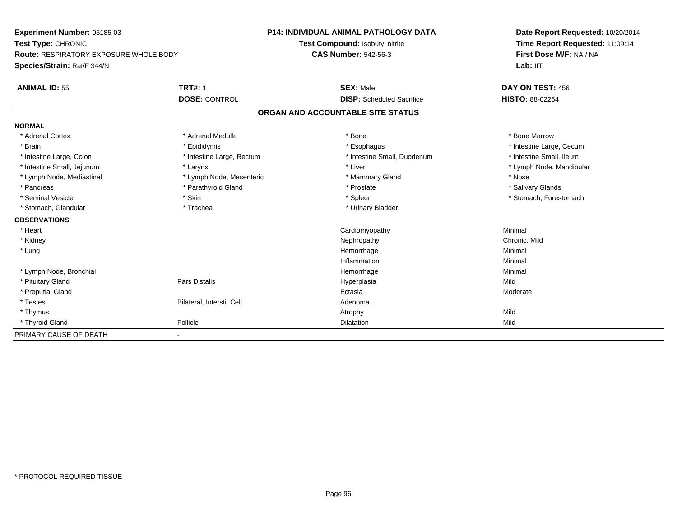| Experiment Number: 05185-03                   |                           | <b>P14: INDIVIDUAL ANIMAL PATHOLOGY DATA</b> |                                  | Date Report Requested: 10/20/2014 |
|-----------------------------------------------|---------------------------|----------------------------------------------|----------------------------------|-----------------------------------|
| Test Type: CHRONIC                            |                           | Test Compound: Isobutyl nitrite              |                                  | Time Report Requested: 11:09:14   |
| <b>Route: RESPIRATORY EXPOSURE WHOLE BODY</b> |                           | <b>CAS Number: 542-56-3</b>                  |                                  | First Dose M/F: NA / NA           |
| Species/Strain: Rat/F 344/N                   |                           |                                              |                                  | Lab: IIT                          |
| <b>ANIMAL ID: 55</b>                          | <b>TRT#: 1</b>            | <b>SEX: Male</b>                             |                                  | DAY ON TEST: 456                  |
|                                               | <b>DOSE: CONTROL</b>      |                                              | <b>DISP:</b> Scheduled Sacrifice | HISTO: 88-02264                   |
|                                               |                           | ORGAN AND ACCOUNTABLE SITE STATUS            |                                  |                                   |
| <b>NORMAL</b>                                 |                           |                                              |                                  |                                   |
| * Adrenal Cortex                              | * Adrenal Medulla         | * Bone                                       |                                  | * Bone Marrow                     |
| * Brain                                       | * Epididymis              | * Esophagus                                  |                                  | * Intestine Large, Cecum          |
| * Intestine Large, Colon                      | * Intestine Large, Rectum |                                              | * Intestine Small, Duodenum      | * Intestine Small, Ileum          |
| * Intestine Small, Jejunum                    | * Larynx                  | * Liver                                      |                                  | * Lymph Node, Mandibular          |
| * Lymph Node, Mediastinal                     | * Lymph Node, Mesenteric  |                                              | * Mammary Gland                  | * Nose                            |
| * Pancreas                                    | * Parathyroid Gland       | * Prostate                                   |                                  | * Salivary Glands                 |
| * Seminal Vesicle                             | * Skin                    | * Spleen                                     |                                  | * Stomach, Forestomach            |
| * Stomach, Glandular                          | * Trachea                 |                                              | * Urinary Bladder                |                                   |
| <b>OBSERVATIONS</b>                           |                           |                                              |                                  |                                   |
| * Heart                                       |                           | Cardiomyopathy                               |                                  | Minimal                           |
| * Kidney                                      |                           | Nephropathy                                  |                                  | Chronic, Mild                     |
| * Lung                                        |                           | Hemorrhage                                   |                                  | Minimal                           |
|                                               |                           | Inflammation                                 |                                  | Minimal                           |
| * Lymph Node, Bronchial                       |                           | Hemorrhage                                   |                                  | Minimal                           |
| * Pituitary Gland                             | Pars Distalis             | Hyperplasia                                  |                                  | Mild                              |
| * Preputial Gland                             |                           | Ectasia                                      |                                  | Moderate                          |
| * Testes                                      | Bilateral, Interstit Cell | Adenoma                                      |                                  |                                   |
| * Thymus                                      |                           | Atrophy                                      |                                  | Mild                              |
| * Thyroid Gland                               | Follicle                  | Dilatation                                   |                                  | Mild                              |
| PRIMARY CAUSE OF DEATH                        | $\blacksquare$            |                                              |                                  |                                   |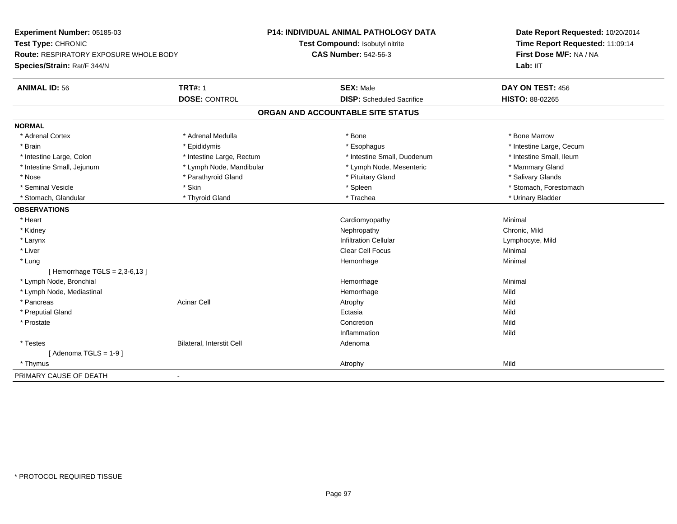| Experiment Number: 05185-03<br>Test Type: CHRONIC<br>Route: RESPIRATORY EXPOSURE WHOLE BODY |                           | <b>P14: INDIVIDUAL ANIMAL PATHOLOGY DATA</b> | Date Report Requested: 10/20/2014<br>Time Report Requested: 11:09:14 |
|---------------------------------------------------------------------------------------------|---------------------------|----------------------------------------------|----------------------------------------------------------------------|
|                                                                                             |                           | Test Compound: Isobutyl nitrite              |                                                                      |
|                                                                                             |                           | <b>CAS Number: 542-56-3</b>                  | First Dose M/F: NA / NA                                              |
| Species/Strain: Rat/F 344/N                                                                 |                           |                                              | Lab: IIT                                                             |
| <b>ANIMAL ID: 56</b>                                                                        | <b>TRT#: 1</b>            | <b>SEX: Male</b>                             | DAY ON TEST: 456                                                     |
|                                                                                             | <b>DOSE: CONTROL</b>      | <b>DISP:</b> Scheduled Sacrifice             | HISTO: 88-02265                                                      |
|                                                                                             |                           | ORGAN AND ACCOUNTABLE SITE STATUS            |                                                                      |
| <b>NORMAL</b>                                                                               |                           |                                              |                                                                      |
| * Adrenal Cortex                                                                            | * Adrenal Medulla         | * Bone                                       | * Bone Marrow                                                        |
| * Brain                                                                                     | * Epididymis              | * Esophagus                                  | * Intestine Large, Cecum                                             |
| * Intestine Large, Colon                                                                    | * Intestine Large, Rectum | * Intestine Small, Duodenum                  | * Intestine Small, Ileum                                             |
| * Intestine Small, Jejunum                                                                  | * Lymph Node, Mandibular  | * Lymph Node, Mesenteric                     | * Mammary Gland                                                      |
| * Nose                                                                                      | * Parathyroid Gland       | * Pituitary Gland                            | * Salivary Glands                                                    |
| * Seminal Vesicle                                                                           | * Skin                    | * Spleen                                     | * Stomach, Forestomach                                               |
| * Stomach, Glandular                                                                        | * Thyroid Gland           | * Trachea                                    | * Urinary Bladder                                                    |
| <b>OBSERVATIONS</b>                                                                         |                           |                                              |                                                                      |
| * Heart                                                                                     |                           | Cardiomyopathy                               | Minimal                                                              |
| * Kidney                                                                                    |                           | Nephropathy                                  | Chronic, Mild                                                        |
| * Larynx                                                                                    |                           | <b>Infiltration Cellular</b>                 | Lymphocyte, Mild                                                     |
| * Liver                                                                                     |                           | Clear Cell Focus                             | Minimal                                                              |
| * Lung                                                                                      |                           | Hemorrhage                                   | Minimal                                                              |
| [Hemorrhage TGLS = 2,3-6,13]                                                                |                           |                                              |                                                                      |
| * Lymph Node, Bronchial                                                                     |                           | Hemorrhage                                   | Minimal                                                              |
| * Lymph Node, Mediastinal                                                                   |                           | Hemorrhage                                   | Mild                                                                 |
| * Pancreas                                                                                  | <b>Acinar Cell</b>        | Atrophy                                      | Mild                                                                 |
| * Preputial Gland                                                                           |                           | Ectasia                                      | Mild                                                                 |
| * Prostate                                                                                  |                           | Concretion                                   | Mild                                                                 |
|                                                                                             |                           | Inflammation                                 | Mild                                                                 |
| * Testes                                                                                    | Bilateral, Interstit Cell | Adenoma                                      |                                                                      |
| [Adenoma TGLS = $1-9$ ]                                                                     |                           |                                              |                                                                      |
| * Thymus                                                                                    |                           | Atrophy                                      | Mild                                                                 |
| PRIMARY CAUSE OF DEATH                                                                      | $\blacksquare$            |                                              |                                                                      |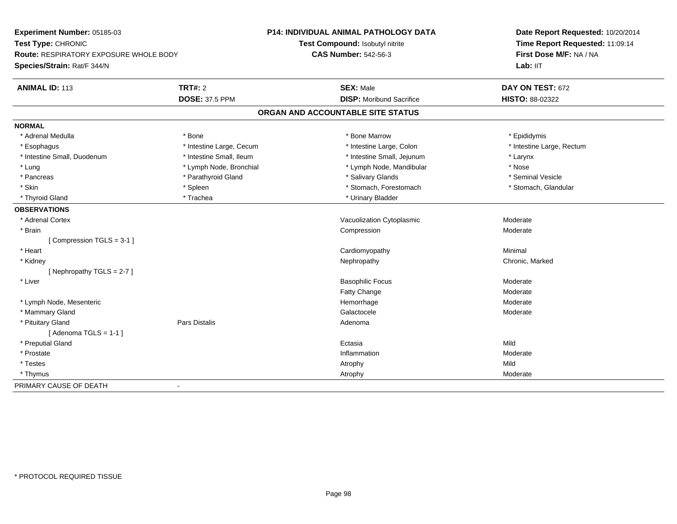| Experiment Number: 05185-03<br>Test Type: CHRONIC<br><b>Route: RESPIRATORY EXPOSURE WHOLE BODY</b><br>Species/Strain: Rat/F 344/N |                          | <b>P14: INDIVIDUAL ANIMAL PATHOLOGY DATA</b> | Date Report Requested: 10/20/2014<br>Time Report Requested: 11:09:14 |
|-----------------------------------------------------------------------------------------------------------------------------------|--------------------------|----------------------------------------------|----------------------------------------------------------------------|
|                                                                                                                                   |                          | Test Compound: Isobutyl nitrite              |                                                                      |
|                                                                                                                                   |                          | <b>CAS Number: 542-56-3</b>                  | First Dose M/F: NA / NA                                              |
|                                                                                                                                   |                          |                                              | Lab: IIT                                                             |
| <b>ANIMAL ID: 113</b>                                                                                                             | <b>TRT#: 2</b>           | <b>SEX: Male</b>                             | DAY ON TEST: 672                                                     |
|                                                                                                                                   | <b>DOSE: 37.5 PPM</b>    | <b>DISP:</b> Moribund Sacrifice              | HISTO: 88-02322                                                      |
|                                                                                                                                   |                          | ORGAN AND ACCOUNTABLE SITE STATUS            |                                                                      |
| <b>NORMAL</b>                                                                                                                     |                          |                                              |                                                                      |
| * Adrenal Medulla                                                                                                                 | * Bone                   | * Bone Marrow                                | * Epididymis                                                         |
| * Esophagus                                                                                                                       | * Intestine Large, Cecum | * Intestine Large, Colon                     | * Intestine Large, Rectum                                            |
| * Intestine Small, Duodenum                                                                                                       | * Intestine Small, Ileum | * Intestine Small, Jejunum                   | * Larynx                                                             |
| * Lung                                                                                                                            | * Lymph Node, Bronchial  | * Lymph Node, Mandibular                     | * Nose                                                               |
| * Pancreas                                                                                                                        | * Parathyroid Gland      | * Salivary Glands                            | * Seminal Vesicle                                                    |
| * Skin                                                                                                                            | * Spleen                 | * Stomach, Forestomach                       | * Stomach, Glandular                                                 |
| * Thyroid Gland                                                                                                                   | * Trachea                | * Urinary Bladder                            |                                                                      |
| <b>OBSERVATIONS</b>                                                                                                               |                          |                                              |                                                                      |
| * Adrenal Cortex                                                                                                                  |                          | Vacuolization Cytoplasmic                    | Moderate                                                             |
| * Brain                                                                                                                           |                          | Compression                                  | Moderate                                                             |
| [Compression TGLS = 3-1]                                                                                                          |                          |                                              |                                                                      |
| * Heart                                                                                                                           |                          | Cardiomyopathy                               | Minimal                                                              |
| * Kidney                                                                                                                          |                          | Nephropathy                                  | Chronic, Marked                                                      |
| [Nephropathy TGLS = $2-7$ ]                                                                                                       |                          |                                              |                                                                      |
| * Liver                                                                                                                           |                          | <b>Basophilic Focus</b>                      | Moderate                                                             |
|                                                                                                                                   |                          | <b>Fatty Change</b>                          | Moderate                                                             |
| * Lymph Node, Mesenteric                                                                                                          |                          | Hemorrhage                                   | Moderate                                                             |
| * Mammary Gland                                                                                                                   |                          | Galactocele                                  | Moderate                                                             |
| * Pituitary Gland                                                                                                                 | <b>Pars Distalis</b>     | Adenoma                                      |                                                                      |
| [Adenoma TGLS = $1-1$ ]                                                                                                           |                          |                                              |                                                                      |
| * Preputial Gland                                                                                                                 |                          | Ectasia                                      | Mild                                                                 |
| * Prostate                                                                                                                        |                          | Inflammation                                 | Moderate                                                             |
| * Testes                                                                                                                          |                          | Atrophy                                      | Mild                                                                 |
| * Thymus                                                                                                                          |                          | Atrophy                                      | Moderate                                                             |
| PRIMARY CAUSE OF DEATH<br>$\blacksquare$                                                                                          |                          |                                              |                                                                      |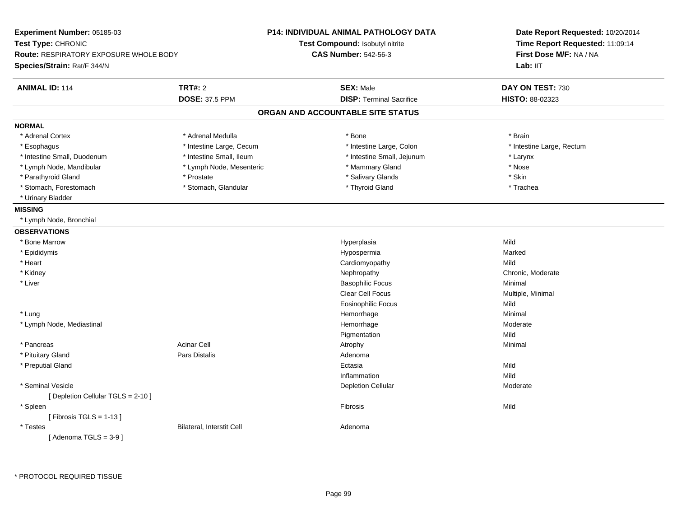|                          |                                                                                                        | Date Report Requested: 10/20/2014<br>Time Report Requested: 11:09:14<br>First Dose M/F: NA / NA                                                                                                                                                   |  |
|--------------------------|--------------------------------------------------------------------------------------------------------|---------------------------------------------------------------------------------------------------------------------------------------------------------------------------------------------------------------------------------------------------|--|
|                          |                                                                                                        |                                                                                                                                                                                                                                                   |  |
|                          |                                                                                                        |                                                                                                                                                                                                                                                   |  |
|                          |                                                                                                        | Lab: IIT                                                                                                                                                                                                                                          |  |
| <b>TRT#: 2</b>           | <b>SEX: Male</b>                                                                                       | DAY ON TEST: 730                                                                                                                                                                                                                                  |  |
| <b>DOSE: 37.5 PPM</b>    | <b>DISP: Terminal Sacrifice</b>                                                                        | HISTO: 88-02323                                                                                                                                                                                                                                   |  |
|                          |                                                                                                        |                                                                                                                                                                                                                                                   |  |
|                          |                                                                                                        |                                                                                                                                                                                                                                                   |  |
| * Adrenal Medulla        | * Bone                                                                                                 | * Brain                                                                                                                                                                                                                                           |  |
|                          | * Intestine Large, Colon                                                                               | * Intestine Large, Rectum                                                                                                                                                                                                                         |  |
| * Intestine Small, Ileum | * Intestine Small, Jejunum                                                                             | * Larynx                                                                                                                                                                                                                                          |  |
| * Lymph Node, Mesenteric | * Mammary Gland                                                                                        | * Nose                                                                                                                                                                                                                                            |  |
| * Prostate               | * Salivary Glands                                                                                      | * Skin                                                                                                                                                                                                                                            |  |
| * Stomach, Glandular     | * Thyroid Gland                                                                                        | * Trachea                                                                                                                                                                                                                                         |  |
|                          |                                                                                                        |                                                                                                                                                                                                                                                   |  |
|                          |                                                                                                        |                                                                                                                                                                                                                                                   |  |
|                          |                                                                                                        |                                                                                                                                                                                                                                                   |  |
|                          |                                                                                                        |                                                                                                                                                                                                                                                   |  |
|                          | Hyperplasia                                                                                            | Mild                                                                                                                                                                                                                                              |  |
|                          | Hypospermia                                                                                            | Marked                                                                                                                                                                                                                                            |  |
|                          | Cardiomyopathy                                                                                         | Mild                                                                                                                                                                                                                                              |  |
|                          | Nephropathy                                                                                            | Chronic, Moderate                                                                                                                                                                                                                                 |  |
|                          | <b>Basophilic Focus</b>                                                                                | Minimal                                                                                                                                                                                                                                           |  |
|                          | Clear Cell Focus                                                                                       | Multiple, Minimal                                                                                                                                                                                                                                 |  |
|                          | <b>Eosinophilic Focus</b>                                                                              | Mild                                                                                                                                                                                                                                              |  |
|                          |                                                                                                        | Minimal                                                                                                                                                                                                                                           |  |
|                          |                                                                                                        | Moderate                                                                                                                                                                                                                                          |  |
|                          |                                                                                                        | Mild                                                                                                                                                                                                                                              |  |
| <b>Acinar Cell</b>       |                                                                                                        | Minimal                                                                                                                                                                                                                                           |  |
| Pars Distalis            | Adenoma                                                                                                |                                                                                                                                                                                                                                                   |  |
|                          | Ectasia                                                                                                | Mild                                                                                                                                                                                                                                              |  |
|                          |                                                                                                        | Mild                                                                                                                                                                                                                                              |  |
|                          | <b>Depletion Cellular</b>                                                                              | Moderate                                                                                                                                                                                                                                          |  |
|                          |                                                                                                        | Mild                                                                                                                                                                                                                                              |  |
|                          |                                                                                                        |                                                                                                                                                                                                                                                   |  |
|                          |                                                                                                        |                                                                                                                                                                                                                                                   |  |
|                          |                                                                                                        |                                                                                                                                                                                                                                                   |  |
|                          | <b>Route: RESPIRATORY EXPOSURE WHOLE BODY</b><br>* Intestine Large, Cecum<br>Bilateral, Interstit Cell | <b>P14: INDIVIDUAL ANIMAL PATHOLOGY DATA</b><br>Test Compound: Isobutyl nitrite<br><b>CAS Number: 542-56-3</b><br>ORGAN AND ACCOUNTABLE SITE STATUS<br>Hemorrhage<br>Hemorrhage<br>Pigmentation<br>Atrophy<br>Inflammation<br>Fibrosis<br>Adenoma |  |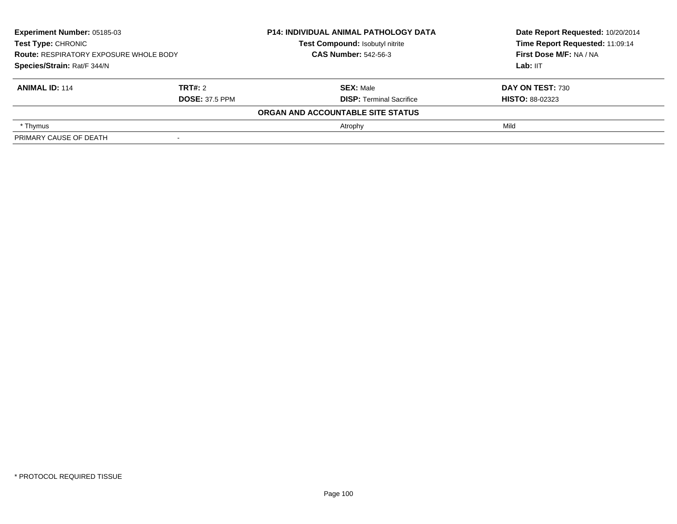| <b>Experiment Number: 05185-03</b><br>Test Type: CHRONIC<br><b>Route: RESPIRATORY EXPOSURE WHOLE BODY</b><br>Species/Strain: Rat/F 344/N |                       | <b>P14: INDIVIDUAL ANIMAL PATHOLOGY DATA</b> | Date Report Requested: 10/20/2014<br>Time Report Requested: 11:09:14<br>First Dose M/F: NA / NA |
|------------------------------------------------------------------------------------------------------------------------------------------|-----------------------|----------------------------------------------|-------------------------------------------------------------------------------------------------|
|                                                                                                                                          |                       | Test Compound: Isobutyl nitrite              |                                                                                                 |
|                                                                                                                                          |                       | <b>CAS Number: 542-56-3</b>                  |                                                                                                 |
|                                                                                                                                          |                       |                                              | Lab: $III$                                                                                      |
| <b>ANIMAL ID: 114</b>                                                                                                                    | TRT#: 2               | <b>SEX: Male</b>                             | DAY ON TEST: 730                                                                                |
|                                                                                                                                          | <b>DOSE: 37.5 PPM</b> | <b>DISP: Terminal Sacrifice</b>              | <b>HISTO: 88-02323</b>                                                                          |
|                                                                                                                                          |                       | ORGAN AND ACCOUNTABLE SITE STATUS            |                                                                                                 |
| * Thymus                                                                                                                                 |                       | Atrophy                                      | Mild                                                                                            |
| PRIMARY CAUSE OF DEATH                                                                                                                   |                       |                                              |                                                                                                 |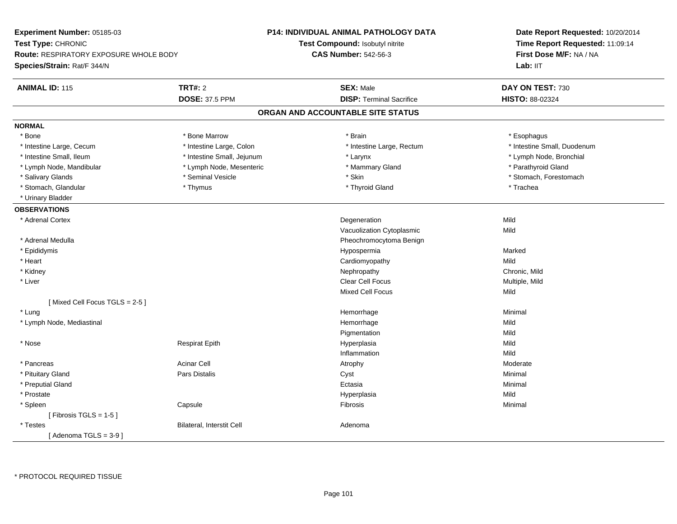| Experiment Number: 05185-03<br>Test Type: CHRONIC<br><b>Route: RESPIRATORY EXPOSURE WHOLE BODY</b> |                            | <b>P14: INDIVIDUAL ANIMAL PATHOLOGY DATA</b> | Date Report Requested: 10/20/2014 |
|----------------------------------------------------------------------------------------------------|----------------------------|----------------------------------------------|-----------------------------------|
|                                                                                                    |                            | Test Compound: Isobutyl nitrite              | Time Report Requested: 11:09:14   |
|                                                                                                    |                            | <b>CAS Number: 542-56-3</b>                  | First Dose M/F: NA / NA           |
| Species/Strain: Rat/F 344/N                                                                        |                            |                                              | Lab: IIT                          |
| <b>ANIMAL ID: 115</b>                                                                              | <b>TRT#: 2</b>             | <b>SEX: Male</b>                             | DAY ON TEST: 730                  |
|                                                                                                    | <b>DOSE: 37.5 PPM</b>      | <b>DISP: Terminal Sacrifice</b>              | <b>HISTO: 88-02324</b>            |
|                                                                                                    |                            | ORGAN AND ACCOUNTABLE SITE STATUS            |                                   |
| <b>NORMAL</b>                                                                                      |                            |                                              |                                   |
| * Bone                                                                                             | * Bone Marrow              | * Brain                                      | * Esophagus                       |
| * Intestine Large, Cecum                                                                           | * Intestine Large, Colon   | * Intestine Large, Rectum                    | * Intestine Small, Duodenum       |
| * Intestine Small, Ileum                                                                           | * Intestine Small, Jejunum | * Larynx                                     | * Lymph Node, Bronchial           |
| * Lymph Node, Mandibular                                                                           | * Lymph Node, Mesenteric   | * Mammary Gland                              | * Parathyroid Gland               |
| * Salivary Glands                                                                                  | * Seminal Vesicle          | * Skin                                       | * Stomach, Forestomach            |
| * Stomach, Glandular                                                                               | * Thymus                   | * Thyroid Gland                              | * Trachea                         |
| * Urinary Bladder                                                                                  |                            |                                              |                                   |
| <b>OBSERVATIONS</b>                                                                                |                            |                                              |                                   |
| * Adrenal Cortex                                                                                   |                            | Degeneration                                 | Mild                              |
|                                                                                                    |                            | Vacuolization Cytoplasmic                    | Mild                              |
| * Adrenal Medulla                                                                                  |                            | Pheochromocytoma Benign                      |                                   |
| * Epididymis                                                                                       |                            | Hypospermia                                  | Marked                            |
| * Heart                                                                                            |                            | Cardiomyopathy                               | Mild                              |
| * Kidney                                                                                           |                            | Nephropathy                                  | Chronic, Mild                     |
| * Liver                                                                                            |                            | Clear Cell Focus                             | Multiple, Mild                    |
|                                                                                                    |                            | <b>Mixed Cell Focus</b>                      | Mild                              |
| [Mixed Cell Focus TGLS = $2-5$ ]                                                                   |                            |                                              |                                   |
| * Lung                                                                                             |                            | Hemorrhage                                   | Minimal                           |
| * Lymph Node, Mediastinal                                                                          |                            | Hemorrhage                                   | Mild                              |
|                                                                                                    |                            | Pigmentation                                 | Mild                              |
| * Nose                                                                                             | <b>Respirat Epith</b>      | Hyperplasia                                  | Mild                              |
|                                                                                                    |                            | Inflammation                                 | Mild                              |
| * Pancreas                                                                                         | <b>Acinar Cell</b>         | Atrophy                                      | Moderate                          |
| * Pituitary Gland                                                                                  | Pars Distalis              | Cyst                                         | Minimal                           |
| * Preputial Gland                                                                                  |                            | Ectasia                                      | Minimal                           |
| * Prostate                                                                                         |                            | Hyperplasia                                  | Mild                              |
| * Spleen                                                                                           | Capsule                    | Fibrosis                                     | Minimal                           |
| [Fibrosis TGLS = $1-5$ ]                                                                           |                            |                                              |                                   |
| * Testes                                                                                           | Bilateral, Interstit Cell  | Adenoma                                      |                                   |
| [Adenoma TGLS = $3-9$ ]                                                                            |                            |                                              |                                   |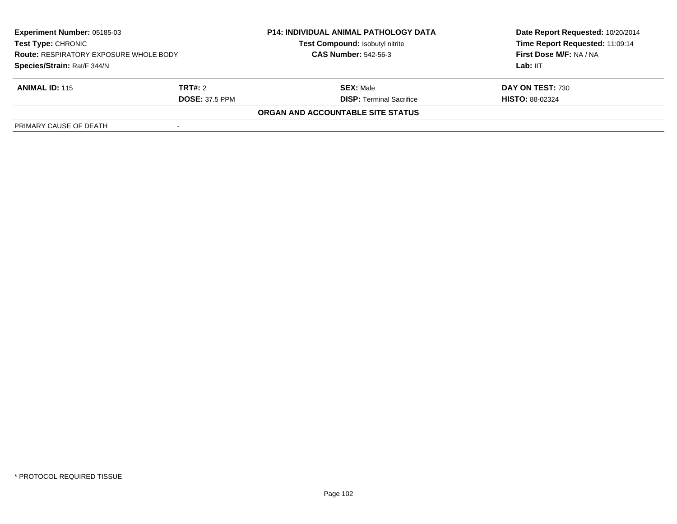| <b>Experiment Number: 05185-03</b><br><b>Test Type: CHRONIC</b><br><b>Route: RESPIRATORY EXPOSURE WHOLE BODY</b><br>Species/Strain: Rat/F 344/N |                       | <b>P14: INDIVIDUAL ANIMAL PATHOLOGY DATA</b><br>Test Compound: Isobutyl nitrite | Date Report Requested: 10/20/2014<br>Time Report Requested: 11:09:14 |
|-------------------------------------------------------------------------------------------------------------------------------------------------|-----------------------|---------------------------------------------------------------------------------|----------------------------------------------------------------------|
|                                                                                                                                                 |                       | <b>CAS Number: 542-56-3</b>                                                     | First Dose M/F: NA / NA                                              |
|                                                                                                                                                 |                       |                                                                                 | Lab: IIT                                                             |
| <b>ANIMAL ID: 115</b>                                                                                                                           | TRT#: 2               | <b>SEX: Male</b>                                                                | DAY ON TEST: 730                                                     |
|                                                                                                                                                 | <b>DOSE: 37.5 PPM</b> | <b>DISP: Terminal Sacrifice</b>                                                 | <b>HISTO: 88-02324</b>                                               |
|                                                                                                                                                 |                       | ORGAN AND ACCOUNTABLE SITE STATUS                                               |                                                                      |
| PRIMARY CAUSE OF DEATH                                                                                                                          |                       |                                                                                 |                                                                      |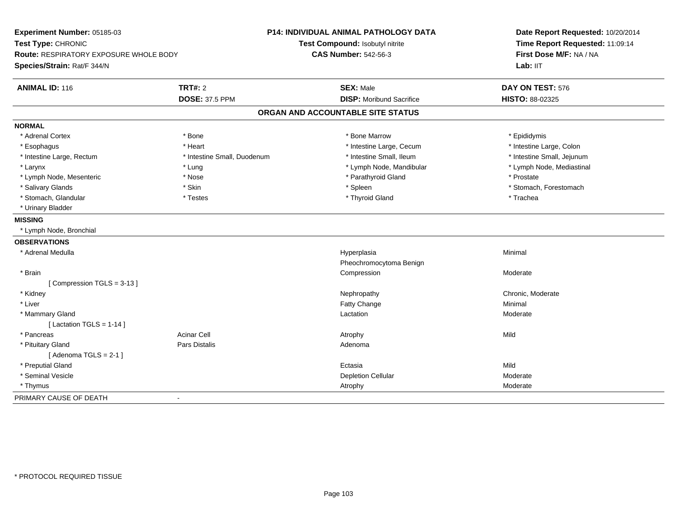| Experiment Number: 05185-03            |                             | <b>P14: INDIVIDUAL ANIMAL PATHOLOGY DATA</b> | Date Report Requested: 10/20/2014<br>Time Report Requested: 11:09:14 |
|----------------------------------------|-----------------------------|----------------------------------------------|----------------------------------------------------------------------|
| Test Type: CHRONIC                     |                             | Test Compound: Isobutyl nitrite              |                                                                      |
| Route: RESPIRATORY EXPOSURE WHOLE BODY |                             | <b>CAS Number: 542-56-3</b>                  | First Dose M/F: NA / NA                                              |
| Species/Strain: Rat/F 344/N            |                             |                                              | Lab: IIT                                                             |
| <b>ANIMAL ID: 116</b>                  | TRT#: 2                     | <b>SEX: Male</b>                             | DAY ON TEST: 576                                                     |
|                                        | <b>DOSE: 37.5 PPM</b>       | <b>DISP:</b> Moribund Sacrifice              | HISTO: 88-02325                                                      |
|                                        |                             | ORGAN AND ACCOUNTABLE SITE STATUS            |                                                                      |
| <b>NORMAL</b>                          |                             |                                              |                                                                      |
| * Adrenal Cortex                       | * Bone                      | * Bone Marrow                                | * Epididymis                                                         |
| * Esophagus                            | * Heart                     | * Intestine Large, Cecum                     | * Intestine Large, Colon                                             |
| * Intestine Large, Rectum              | * Intestine Small, Duodenum | * Intestine Small, Ileum                     | * Intestine Small, Jejunum                                           |
| * Larynx                               | * Lung                      | * Lymph Node, Mandibular                     | * Lymph Node, Mediastinal                                            |
| * Lymph Node, Mesenteric               | * Nose                      | * Parathyroid Gland                          | * Prostate                                                           |
| * Salivary Glands                      | * Skin                      | * Spleen                                     | * Stomach, Forestomach                                               |
| * Stomach, Glandular                   | * Testes                    | * Thyroid Gland                              | * Trachea                                                            |
| * Urinary Bladder                      |                             |                                              |                                                                      |
| <b>MISSING</b>                         |                             |                                              |                                                                      |
| * Lymph Node, Bronchial                |                             |                                              |                                                                      |
| <b>OBSERVATIONS</b>                    |                             |                                              |                                                                      |
| * Adrenal Medulla                      |                             | Hyperplasia                                  | Minimal                                                              |
|                                        |                             | Pheochromocytoma Benign                      |                                                                      |
| * Brain                                |                             | Compression                                  | Moderate                                                             |
| [Compression TGLS = 3-13]              |                             |                                              |                                                                      |
| * Kidney                               |                             | Nephropathy                                  | Chronic, Moderate                                                    |
| * Liver                                |                             | Fatty Change                                 | Minimal                                                              |
| * Mammary Gland                        |                             | Lactation                                    | Moderate                                                             |
| [ Lactation TGLS = $1-14$ ]            |                             |                                              |                                                                      |
| * Pancreas                             | <b>Acinar Cell</b>          | Atrophy                                      | Mild                                                                 |
| * Pituitary Gland                      | Pars Distalis               | Adenoma                                      |                                                                      |
| [Adenoma TGLS = $2-1$ ]                |                             |                                              |                                                                      |
| * Preputial Gland                      |                             | Ectasia                                      | Mild                                                                 |
| * Seminal Vesicle                      |                             | <b>Depletion Cellular</b>                    | Moderate                                                             |
| * Thymus                               |                             | Atrophy                                      | Moderate                                                             |
| PRIMARY CAUSE OF DEATH                 |                             |                                              |                                                                      |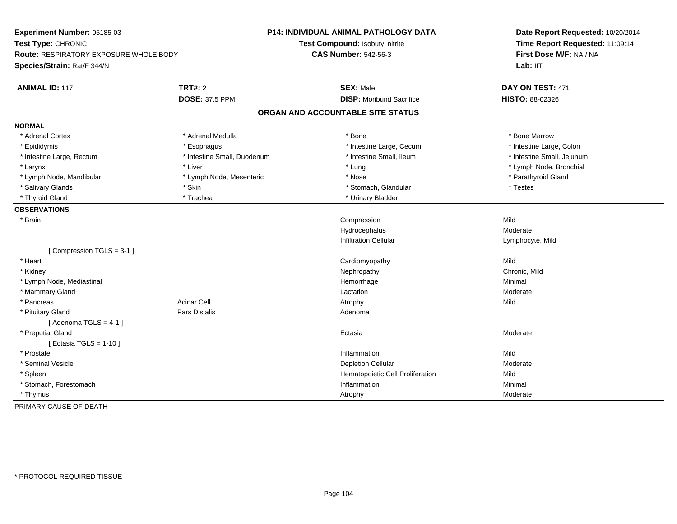| Experiment Number: 05185-03                   | <b>P14: INDIVIDUAL ANIMAL PATHOLOGY DATA</b>            | Date Report Requested: 10/20/2014 |
|-----------------------------------------------|---------------------------------------------------------|-----------------------------------|
| Test Type: CHRONIC                            | Test Compound: Isobutyl nitrite                         | Time Report Requested: 11:09:14   |
| <b>Route: RESPIRATORY EXPOSURE WHOLE BODY</b> | <b>CAS Number: 542-56-3</b>                             | First Dose M/F: NA / NA           |
| Species/Strain: Rat/F 344/N                   |                                                         | Lab: IIT                          |
| <b>TRT#: 2</b><br><b>ANIMAL ID: 117</b>       | <b>SEX: Male</b>                                        | DAY ON TEST: 471                  |
| <b>DOSE: 37.5 PPM</b>                         | <b>DISP:</b> Moribund Sacrifice                         | <b>HISTO: 88-02326</b>            |
|                                               | ORGAN AND ACCOUNTABLE SITE STATUS                       |                                   |
| <b>NORMAL</b>                                 |                                                         |                                   |
| * Adrenal Cortex<br>* Adrenal Medulla         | * Bone                                                  | * Bone Marrow                     |
| * Epididymis<br>* Esophagus                   | * Intestine Large, Cecum                                | * Intestine Large, Colon          |
| * Intestine Large, Rectum                     | * Intestine Small, Duodenum<br>* Intestine Small, Ileum | * Intestine Small, Jejunum        |
| * Larynx<br>* Liver                           | * Lung                                                  | * Lymph Node, Bronchial           |
| * Lymph Node, Mandibular                      | * Lymph Node, Mesenteric<br>* Nose                      | * Parathyroid Gland               |
| * Salivary Glands<br>* Skin                   | * Stomach, Glandular                                    | * Testes                          |
| * Thyroid Gland<br>* Trachea                  | * Urinary Bladder                                       |                                   |
| <b>OBSERVATIONS</b>                           |                                                         |                                   |
| * Brain                                       | Compression                                             | Mild                              |
|                                               | Hydrocephalus                                           | Moderate                          |
|                                               | <b>Infiltration Cellular</b>                            | Lymphocyte, Mild                  |
| [Compression TGLS = 3-1]                      |                                                         |                                   |
| * Heart                                       | Cardiomyopathy                                          | Mild                              |
| * Kidney                                      | Nephropathy                                             | Chronic, Mild                     |
| * Lymph Node, Mediastinal                     | Hemorrhage                                              | Minimal                           |
| * Mammary Gland                               | Lactation                                               | Moderate                          |
| <b>Acinar Cell</b><br>* Pancreas              | Atrophy                                                 | Mild                              |
| Pars Distalis<br>* Pituitary Gland            | Adenoma                                                 |                                   |
| [Adenoma TGLS = $4-1$ ]                       |                                                         |                                   |
| * Preputial Gland                             | Ectasia                                                 | Moderate                          |
| [ Ectasia TGLS = $1-10$ ]                     |                                                         |                                   |
| * Prostate                                    | Inflammation                                            | Mild                              |
| * Seminal Vesicle                             | <b>Depletion Cellular</b>                               | Moderate                          |
| * Spleen                                      | Hematopoietic Cell Proliferation                        | Mild                              |
| * Stomach, Forestomach                        | Inflammation                                            | Minimal                           |
| * Thymus                                      | Atrophy                                                 | Moderate                          |
| PRIMARY CAUSE OF DEATH<br>$\blacksquare$      |                                                         |                                   |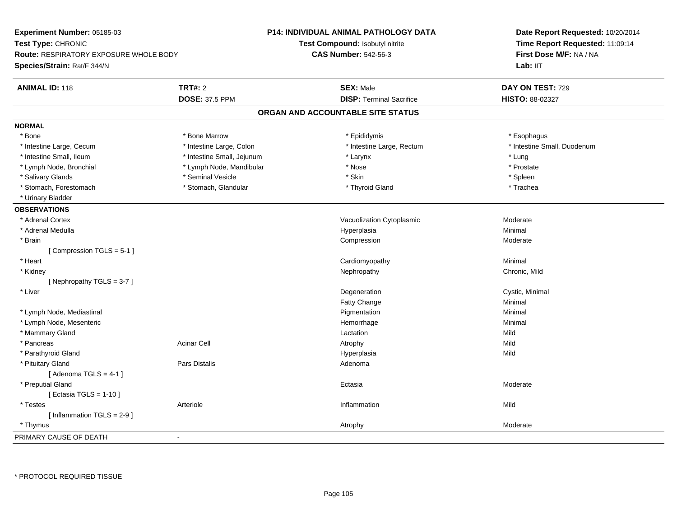| Experiment Number: 05185-03                   |                            | P14: INDIVIDUAL ANIMAL PATHOLOGY DATA | Date Report Requested: 10/20/2014<br>Time Report Requested: 11:09:14 |
|-----------------------------------------------|----------------------------|---------------------------------------|----------------------------------------------------------------------|
| Test Type: CHRONIC                            |                            | Test Compound: Isobutyl nitrite       |                                                                      |
| <b>Route: RESPIRATORY EXPOSURE WHOLE BODY</b> |                            | <b>CAS Number: 542-56-3</b>           | First Dose M/F: NA / NA                                              |
| Species/Strain: Rat/F 344/N                   |                            |                                       | Lab: II <sub>T</sub>                                                 |
| <b>ANIMAL ID: 118</b>                         | <b>TRT#: 2</b>             | <b>SEX: Male</b>                      | DAY ON TEST: 729                                                     |
|                                               | <b>DOSE: 37.5 PPM</b>      | <b>DISP: Terminal Sacrifice</b>       | HISTO: 88-02327                                                      |
|                                               |                            | ORGAN AND ACCOUNTABLE SITE STATUS     |                                                                      |
| <b>NORMAL</b>                                 |                            |                                       |                                                                      |
| * Bone                                        | * Bone Marrow              | * Epididymis                          | * Esophagus                                                          |
| * Intestine Large, Cecum                      | * Intestine Large, Colon   | * Intestine Large, Rectum             | * Intestine Small, Duodenum                                          |
| * Intestine Small, Ileum                      | * Intestine Small, Jejunum | * Larynx                              | * Lung                                                               |
| * Lymph Node, Bronchial                       | * Lymph Node, Mandibular   | * Nose                                | * Prostate                                                           |
| * Salivary Glands                             | * Seminal Vesicle          | * Skin                                | * Spleen                                                             |
| * Stomach, Forestomach                        | * Stomach, Glandular       | * Thyroid Gland                       | * Trachea                                                            |
| * Urinary Bladder                             |                            |                                       |                                                                      |
| <b>OBSERVATIONS</b>                           |                            |                                       |                                                                      |
| * Adrenal Cortex                              |                            | Vacuolization Cytoplasmic             | Moderate                                                             |
| * Adrenal Medulla                             |                            | Hyperplasia                           | Minimal                                                              |
| * Brain                                       |                            | Compression                           | Moderate                                                             |
| [Compression TGLS = 5-1]                      |                            |                                       |                                                                      |
| * Heart                                       |                            | Cardiomyopathy                        | Minimal                                                              |
| * Kidney                                      |                            | Nephropathy                           | Chronic, Mild                                                        |
| [Nephropathy TGLS = $3-7$ ]                   |                            |                                       |                                                                      |
| * Liver                                       |                            | Degeneration                          | Cystic, Minimal                                                      |
|                                               |                            | Fatty Change                          | Minimal                                                              |
| * Lymph Node, Mediastinal                     |                            | Pigmentation                          | Minimal                                                              |
| * Lymph Node, Mesenteric                      |                            | Hemorrhage                            | Minimal                                                              |
| * Mammary Gland                               |                            | Lactation                             | Mild                                                                 |
| * Pancreas                                    | <b>Acinar Cell</b>         | Atrophy                               | Mild                                                                 |
| * Parathyroid Gland                           |                            | Hyperplasia                           | Mild                                                                 |
| * Pituitary Gland                             | Pars Distalis              | Adenoma                               |                                                                      |
| [Adenoma TGLS = $4-1$ ]                       |                            |                                       |                                                                      |
| * Preputial Gland                             |                            | Ectasia                               | Moderate                                                             |
| [Ectasia TGLS = $1-10$ ]                      |                            |                                       |                                                                      |
| * Testes                                      | Arteriole                  | Inflammation                          | Mild                                                                 |
| [Inflammation TGLS = $2-9$ ]                  |                            |                                       |                                                                      |
| * Thymus                                      |                            | Atrophy                               | Moderate                                                             |
| PRIMARY CAUSE OF DEATH                        | ÷,                         |                                       |                                                                      |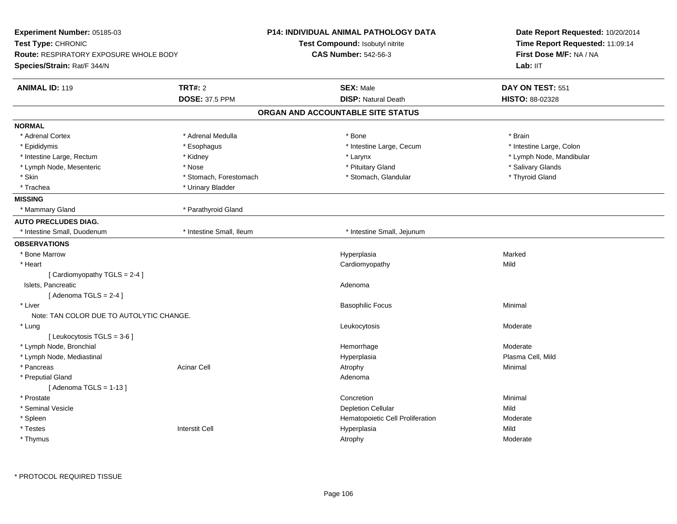| Experiment Number: 05185-03<br>Test Type: CHRONIC<br><b>Route: RESPIRATORY EXPOSURE WHOLE BODY</b> |                          | <b>P14: INDIVIDUAL ANIMAL PATHOLOGY DATA</b> | Date Report Requested: 10/20/2014<br>Time Report Requested: 11:09:14 |  |
|----------------------------------------------------------------------------------------------------|--------------------------|----------------------------------------------|----------------------------------------------------------------------|--|
|                                                                                                    |                          | Test Compound: Isobutyl nitrite              |                                                                      |  |
|                                                                                                    |                          | <b>CAS Number: 542-56-3</b>                  | First Dose M/F: NA / NA                                              |  |
| Species/Strain: Rat/F 344/N                                                                        |                          |                                              | Lab: IIT                                                             |  |
| <b>ANIMAL ID: 119</b>                                                                              | <b>TRT#: 2</b>           | <b>SEX: Male</b>                             | DAY ON TEST: 551                                                     |  |
|                                                                                                    | <b>DOSE: 37.5 PPM</b>    | <b>DISP: Natural Death</b>                   | HISTO: 88-02328                                                      |  |
|                                                                                                    |                          | ORGAN AND ACCOUNTABLE SITE STATUS            |                                                                      |  |
| <b>NORMAL</b>                                                                                      |                          |                                              |                                                                      |  |
| * Adrenal Cortex                                                                                   | * Adrenal Medulla        | * Bone                                       | * Brain                                                              |  |
| * Epididymis                                                                                       | * Esophagus              | * Intestine Large, Cecum                     | * Intestine Large, Colon                                             |  |
| * Intestine Large, Rectum                                                                          | * Kidney                 | * Larynx                                     | * Lymph Node, Mandibular                                             |  |
| * Lymph Node, Mesenteric                                                                           | * Nose                   | * Pituitary Gland                            | * Salivary Glands                                                    |  |
| * Skin                                                                                             | * Stomach, Forestomach   | * Stomach, Glandular                         | * Thyroid Gland                                                      |  |
| * Trachea                                                                                          | * Urinary Bladder        |                                              |                                                                      |  |
| <b>MISSING</b>                                                                                     |                          |                                              |                                                                      |  |
| * Mammary Gland                                                                                    | * Parathyroid Gland      |                                              |                                                                      |  |
| <b>AUTO PRECLUDES DIAG.</b>                                                                        |                          |                                              |                                                                      |  |
| * Intestine Small, Duodenum                                                                        | * Intestine Small, Ileum | * Intestine Small, Jejunum                   |                                                                      |  |
| <b>OBSERVATIONS</b>                                                                                |                          |                                              |                                                                      |  |
| * Bone Marrow                                                                                      |                          | Hyperplasia                                  | Marked                                                               |  |
| * Heart                                                                                            |                          | Cardiomyopathy                               | Mild                                                                 |  |
| [Cardiomyopathy TGLS = 2-4]                                                                        |                          |                                              |                                                                      |  |
| Islets, Pancreatic                                                                                 |                          | Adenoma                                      |                                                                      |  |
| [Adenoma TGLS = $2-4$ ]                                                                            |                          |                                              |                                                                      |  |
| * Liver                                                                                            |                          | <b>Basophilic Focus</b>                      | Minimal                                                              |  |
| Note: TAN COLOR DUE TO AUTOLYTIC CHANGE.                                                           |                          |                                              |                                                                      |  |
| * Lung                                                                                             |                          | Leukocytosis                                 | Moderate                                                             |  |
| [Leukocytosis TGLS = 3-6]                                                                          |                          |                                              |                                                                      |  |
| * Lymph Node, Bronchial                                                                            |                          | Hemorrhage                                   | Moderate                                                             |  |
| * Lymph Node, Mediastinal                                                                          |                          | Hyperplasia                                  | Plasma Cell, Mild                                                    |  |
| * Pancreas                                                                                         | <b>Acinar Cell</b>       | Atrophy                                      | Minimal                                                              |  |
| * Preputial Gland                                                                                  |                          | Adenoma                                      |                                                                      |  |
| [Adenoma TGLS = $1-13$ ]                                                                           |                          |                                              |                                                                      |  |
| * Prostate                                                                                         |                          | Concretion                                   | Minimal                                                              |  |
| * Seminal Vesicle                                                                                  |                          | <b>Depletion Cellular</b>                    | Mild                                                                 |  |
| * Spleen                                                                                           |                          | Hematopoietic Cell Proliferation             | Moderate                                                             |  |
| * Testes                                                                                           | <b>Interstit Cell</b>    | Hyperplasia                                  | Mild                                                                 |  |
| * Thymus                                                                                           |                          | Atrophy                                      | Moderate                                                             |  |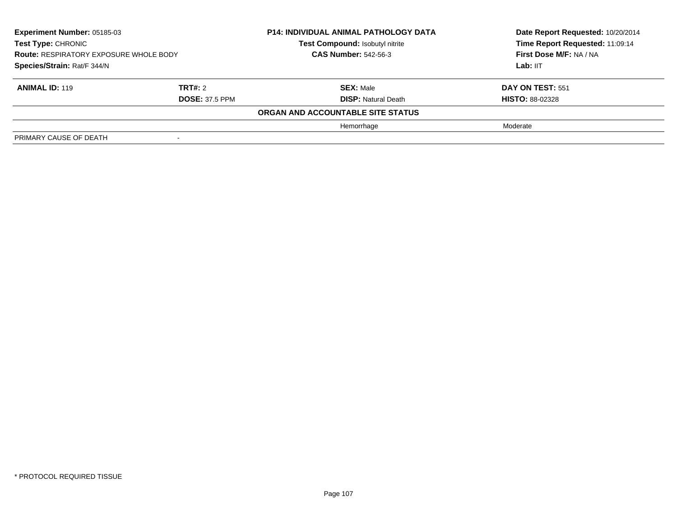| Experiment Number: 05185-03<br><b>Test Type: CHRONIC</b><br><b>Route: RESPIRATORY EXPOSURE WHOLE BODY</b><br>Species/Strain: Rat/F 344/N |                       | <b>P14: INDIVIDUAL ANIMAL PATHOLOGY DATA</b><br>Test Compound: Isobutyl nitrite<br><b>CAS Number: 542-56-3</b> | Date Report Requested: 10/20/2014<br>Time Report Requested: 11:09:14<br>First Dose M/F: NA / NA |
|------------------------------------------------------------------------------------------------------------------------------------------|-----------------------|----------------------------------------------------------------------------------------------------------------|-------------------------------------------------------------------------------------------------|
|                                                                                                                                          |                       |                                                                                                                | Lab: IIT                                                                                        |
| <b>ANIMAL ID: 119</b>                                                                                                                    | TRT#: 2               | <b>SEX: Male</b>                                                                                               | DAY ON TEST: 551                                                                                |
|                                                                                                                                          | <b>DOSE: 37.5 PPM</b> | <b>DISP: Natural Death</b>                                                                                     | <b>HISTO: 88-02328</b>                                                                          |
|                                                                                                                                          |                       | ORGAN AND ACCOUNTABLE SITE STATUS                                                                              |                                                                                                 |
|                                                                                                                                          |                       | Hemorrhage                                                                                                     | Moderate                                                                                        |
| PRIMARY CAUSE OF DEATH                                                                                                                   |                       |                                                                                                                |                                                                                                 |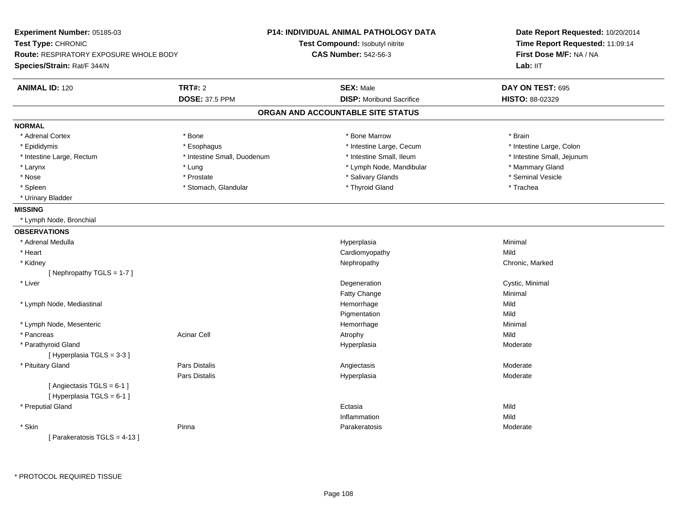| Experiment Number: 05185-03                   |                             | <b>P14: INDIVIDUAL ANIMAL PATHOLOGY DATA</b> | Date Report Requested: 10/20/2014<br>Time Report Requested: 11:09:14 |  |
|-----------------------------------------------|-----------------------------|----------------------------------------------|----------------------------------------------------------------------|--|
| Test Type: CHRONIC                            |                             | Test Compound: Isobutyl nitrite              |                                                                      |  |
| <b>Route: RESPIRATORY EXPOSURE WHOLE BODY</b> |                             | <b>CAS Number: 542-56-3</b>                  | First Dose M/F: NA / NA                                              |  |
| Species/Strain: Rat/F 344/N                   |                             |                                              | Lab: IIT                                                             |  |
| <b>ANIMAL ID: 120</b>                         | <b>TRT#: 2</b>              | <b>SEX: Male</b>                             | DAY ON TEST: 695                                                     |  |
|                                               | <b>DOSE: 37.5 PPM</b>       | <b>DISP:</b> Moribund Sacrifice              | HISTO: 88-02329                                                      |  |
|                                               |                             | ORGAN AND ACCOUNTABLE SITE STATUS            |                                                                      |  |
| <b>NORMAL</b>                                 |                             |                                              |                                                                      |  |
| * Adrenal Cortex                              | * Bone                      | * Bone Marrow                                | * Brain                                                              |  |
| * Epididymis                                  | * Esophagus                 | * Intestine Large, Cecum                     | * Intestine Large, Colon                                             |  |
| * Intestine Large, Rectum                     | * Intestine Small, Duodenum | * Intestine Small, Ileum                     | * Intestine Small, Jejunum                                           |  |
| * Larynx                                      | * Lung                      | * Lymph Node, Mandibular                     | * Mammary Gland                                                      |  |
| * Nose                                        | * Prostate                  | * Salivary Glands                            | * Seminal Vesicle                                                    |  |
| * Spleen                                      | * Stomach, Glandular        | * Thyroid Gland                              | * Trachea                                                            |  |
| * Urinary Bladder                             |                             |                                              |                                                                      |  |
| <b>MISSING</b>                                |                             |                                              |                                                                      |  |
| * Lymph Node, Bronchial                       |                             |                                              |                                                                      |  |
| <b>OBSERVATIONS</b>                           |                             |                                              |                                                                      |  |
| * Adrenal Medulla                             |                             | Hyperplasia                                  | Minimal                                                              |  |
| * Heart                                       |                             | Cardiomyopathy                               | Mild                                                                 |  |
| * Kidney                                      |                             | Nephropathy                                  | Chronic, Marked                                                      |  |
| [Nephropathy TGLS = 1-7]                      |                             |                                              |                                                                      |  |
| * Liver                                       |                             | Degeneration                                 | Cystic, Minimal                                                      |  |
|                                               |                             | Fatty Change                                 | Minimal                                                              |  |
| * Lymph Node, Mediastinal                     |                             | Hemorrhage                                   | Mild                                                                 |  |
|                                               |                             | Pigmentation                                 | Mild                                                                 |  |
| * Lymph Node, Mesenteric                      |                             | Hemorrhage                                   | Minimal                                                              |  |
| * Pancreas                                    | Acinar Cell                 | Atrophy                                      | Mild                                                                 |  |
| * Parathyroid Gland                           |                             | Hyperplasia                                  | Moderate                                                             |  |
| [Hyperplasia TGLS = 3-3]                      |                             |                                              |                                                                      |  |
| * Pituitary Gland                             | <b>Pars Distalis</b>        | Angiectasis                                  | Moderate                                                             |  |
|                                               | <b>Pars Distalis</b>        | Hyperplasia                                  | Moderate                                                             |  |
| [Angiectasis TGLS = 6-1]                      |                             |                                              |                                                                      |  |
| [Hyperplasia TGLS = 6-1]                      |                             |                                              |                                                                      |  |
| * Preputial Gland                             |                             | Ectasia                                      | Mild                                                                 |  |
|                                               |                             | Inflammation                                 | Mild                                                                 |  |
| * Skin                                        | Pinna                       | Parakeratosis                                | Moderate                                                             |  |
| [Parakeratosis TGLS = 4-13]                   |                             |                                              |                                                                      |  |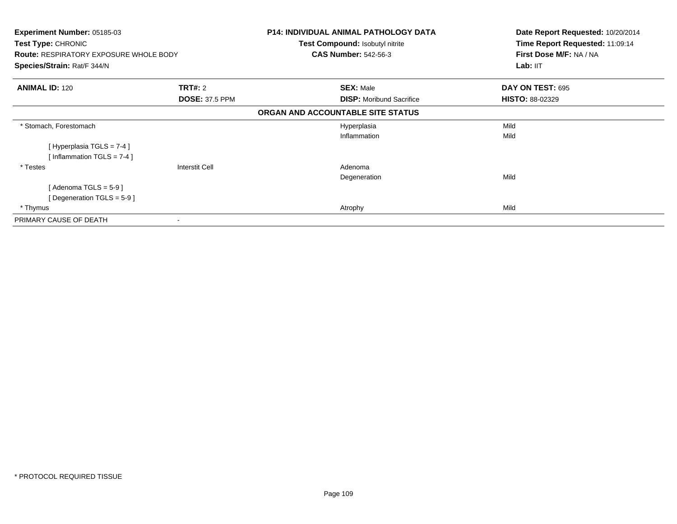| <b>Experiment Number: 05185-03</b><br>Test Type: CHRONIC<br><b>Route: RESPIRATORY EXPOSURE WHOLE BODY</b> |                       | <b>P14: INDIVIDUAL ANIMAL PATHOLOGY DATA</b><br>Test Compound: Isobutyl nitrite<br><b>CAS Number: 542-56-3</b> | Date Report Requested: 10/20/2014<br>Time Report Requested: 11:09:14<br>First Dose M/F: NA / NA |
|-----------------------------------------------------------------------------------------------------------|-----------------------|----------------------------------------------------------------------------------------------------------------|-------------------------------------------------------------------------------------------------|
| Species/Strain: Rat/F 344/N                                                                               |                       |                                                                                                                | Lab: IIT                                                                                        |
| <b>ANIMAL ID: 120</b>                                                                                     | <b>TRT#: 2</b>        | <b>SEX: Male</b>                                                                                               | DAY ON TEST: 695                                                                                |
|                                                                                                           | <b>DOSE: 37.5 PPM</b> | <b>DISP:</b> Moribund Sacrifice                                                                                | <b>HISTO: 88-02329</b>                                                                          |
|                                                                                                           |                       | ORGAN AND ACCOUNTABLE SITE STATUS                                                                              |                                                                                                 |
| * Stomach, Forestomach                                                                                    |                       | Hyperplasia                                                                                                    | Mild                                                                                            |
|                                                                                                           |                       | Inflammation                                                                                                   | Mild                                                                                            |
| [Hyperplasia TGLS = $7-4$ ]                                                                               |                       |                                                                                                                |                                                                                                 |
| [Inflammation TGLS = 7-4]                                                                                 |                       |                                                                                                                |                                                                                                 |
| * Testes                                                                                                  | Interstit Cell        | Adenoma                                                                                                        |                                                                                                 |
|                                                                                                           |                       | Degeneration                                                                                                   | Mild                                                                                            |
| [Adenoma TGLS = $5-9$ ]                                                                                   |                       |                                                                                                                |                                                                                                 |
| [Degeneration TGLS = $5-9$ ]                                                                              |                       |                                                                                                                |                                                                                                 |
| * Thymus                                                                                                  |                       | Atrophy                                                                                                        | Mild                                                                                            |
| PRIMARY CAUSE OF DEATH                                                                                    |                       |                                                                                                                |                                                                                                 |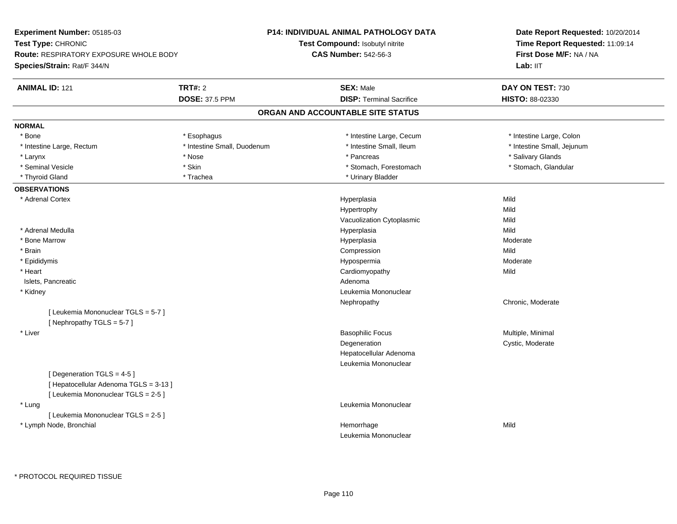| Experiment Number: 05185-03                                     |                             | P14: INDIVIDUAL ANIMAL PATHOLOGY DATA | Date Report Requested: 10/20/2014<br>Time Report Requested: 11:09:14 |
|-----------------------------------------------------------------|-----------------------------|---------------------------------------|----------------------------------------------------------------------|
| Test Type: CHRONIC                                              |                             | Test Compound: Isobutyl nitrite       |                                                                      |
| Route: RESPIRATORY EXPOSURE WHOLE BODY                          |                             | <b>CAS Number: 542-56-3</b>           | First Dose M/F: NA / NA                                              |
| Species/Strain: Rat/F 344/N                                     |                             |                                       | Lab: IIT                                                             |
| <b>ANIMAL ID: 121</b>                                           | <b>TRT#: 2</b>              | <b>SEX: Male</b>                      | DAY ON TEST: 730                                                     |
|                                                                 | <b>DOSE: 37.5 PPM</b>       | <b>DISP: Terminal Sacrifice</b>       | HISTO: 88-02330                                                      |
|                                                                 |                             | ORGAN AND ACCOUNTABLE SITE STATUS     |                                                                      |
| <b>NORMAL</b>                                                   |                             |                                       |                                                                      |
| * Bone                                                          | * Esophagus                 | * Intestine Large, Cecum              | * Intestine Large, Colon                                             |
| * Intestine Large, Rectum                                       | * Intestine Small, Duodenum | * Intestine Small, Ileum              | * Intestine Small, Jejunum                                           |
| * Larynx                                                        | * Nose                      | * Pancreas                            | * Salivary Glands                                                    |
| * Seminal Vesicle                                               | * Skin                      | * Stomach, Forestomach                | * Stomach, Glandular                                                 |
| * Thyroid Gland                                                 | * Trachea                   | * Urinary Bladder                     |                                                                      |
| <b>OBSERVATIONS</b>                                             |                             |                                       |                                                                      |
| * Adrenal Cortex                                                |                             | Hyperplasia                           | Mild                                                                 |
|                                                                 |                             | Hypertrophy                           | Mild                                                                 |
|                                                                 |                             | Vacuolization Cytoplasmic             | Mild                                                                 |
| * Adrenal Medulla                                               |                             | Hyperplasia                           | Mild                                                                 |
| * Bone Marrow                                                   |                             | Hyperplasia                           | Moderate                                                             |
| * Brain                                                         |                             | Compression                           | Mild                                                                 |
| * Epididymis                                                    |                             | Hypospermia                           | Moderate                                                             |
| * Heart                                                         |                             | Cardiomyopathy                        | Mild                                                                 |
| Islets, Pancreatic                                              |                             | Adenoma                               |                                                                      |
| * Kidney                                                        |                             | Leukemia Mononuclear                  |                                                                      |
|                                                                 |                             | Nephropathy                           | Chronic, Moderate                                                    |
| [ Leukemia Mononuclear TGLS = 5-7 ]<br>[Nephropathy TGLS = 5-7] |                             |                                       |                                                                      |
| * Liver                                                         |                             | <b>Basophilic Focus</b>               | Multiple, Minimal                                                    |
|                                                                 |                             | Degeneration                          | Cystic, Moderate                                                     |
|                                                                 |                             | Hepatocellular Adenoma                |                                                                      |
|                                                                 |                             | Leukemia Mononuclear                  |                                                                      |
| [Degeneration TGLS = 4-5]                                       |                             |                                       |                                                                      |
| [Hepatocellular Adenoma TGLS = 3-13]                            |                             |                                       |                                                                      |
| [ Leukemia Mononuclear TGLS = 2-5 ]                             |                             |                                       |                                                                      |
| * Lung                                                          |                             | Leukemia Mononuclear                  |                                                                      |
| [ Leukemia Mononuclear TGLS = 2-5 ]                             |                             |                                       |                                                                      |
| * Lymph Node, Bronchial                                         |                             | Hemorrhage                            | Mild                                                                 |
|                                                                 |                             | Leukemia Mononuclear                  |                                                                      |
|                                                                 |                             |                                       |                                                                      |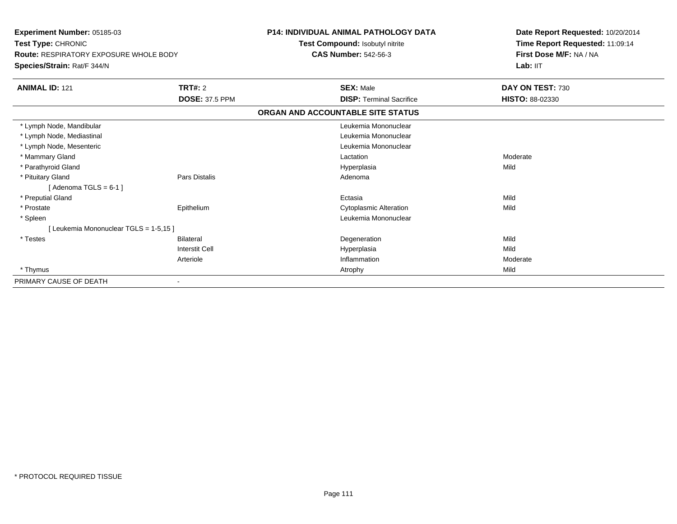| <b>Experiment Number: 05185-03</b><br>Test Type: CHRONIC |                       | <b>P14: INDIVIDUAL ANIMAL PATHOLOGY DATA</b> | Date Report Requested: 10/20/2014<br>Time Report Requested: 11:09:14 |
|----------------------------------------------------------|-----------------------|----------------------------------------------|----------------------------------------------------------------------|
|                                                          |                       | Test Compound: Isobutyl nitrite              |                                                                      |
| <b>Route: RESPIRATORY EXPOSURE WHOLE BODY</b>            |                       | <b>CAS Number: 542-56-3</b>                  | First Dose M/F: NA / NA                                              |
| Species/Strain: Rat/F 344/N                              |                       |                                              | Lab: IIT                                                             |
| <b>ANIMAL ID: 121</b>                                    | <b>TRT#: 2</b>        | <b>SEX: Male</b>                             | DAY ON TEST: 730                                                     |
|                                                          | <b>DOSE: 37.5 PPM</b> | <b>DISP: Terminal Sacrifice</b>              | HISTO: 88-02330                                                      |
|                                                          |                       | ORGAN AND ACCOUNTABLE SITE STATUS            |                                                                      |
| * Lymph Node, Mandibular                                 |                       | Leukemia Mononuclear                         |                                                                      |
| * Lymph Node, Mediastinal                                |                       | Leukemia Mononuclear                         |                                                                      |
| * Lymph Node, Mesenteric                                 |                       | Leukemia Mononuclear                         |                                                                      |
| * Mammary Gland                                          |                       | Lactation                                    | Moderate                                                             |
| * Parathyroid Gland                                      |                       | Hyperplasia                                  | Mild                                                                 |
| * Pituitary Gland                                        | <b>Pars Distalis</b>  | Adenoma                                      |                                                                      |
| [Adenoma TGLS = $6-1$ ]                                  |                       |                                              |                                                                      |
| * Preputial Gland                                        |                       | Ectasia                                      | Mild                                                                 |
| * Prostate                                               | Epithelium            | <b>Cytoplasmic Alteration</b>                | Mild                                                                 |
| * Spleen                                                 |                       | Leukemia Mononuclear                         |                                                                      |
| [Leukemia Mononuclear TGLS = 1-5,15]                     |                       |                                              |                                                                      |
| * Testes                                                 | <b>Bilateral</b>      | Degeneration                                 | Mild                                                                 |
|                                                          | <b>Interstit Cell</b> | Hyperplasia                                  | Mild                                                                 |
|                                                          | Arteriole             | Inflammation                                 | Moderate                                                             |
| * Thymus                                                 |                       | Atrophy                                      | Mild                                                                 |
| PRIMARY CAUSE OF DEATH                                   |                       |                                              |                                                                      |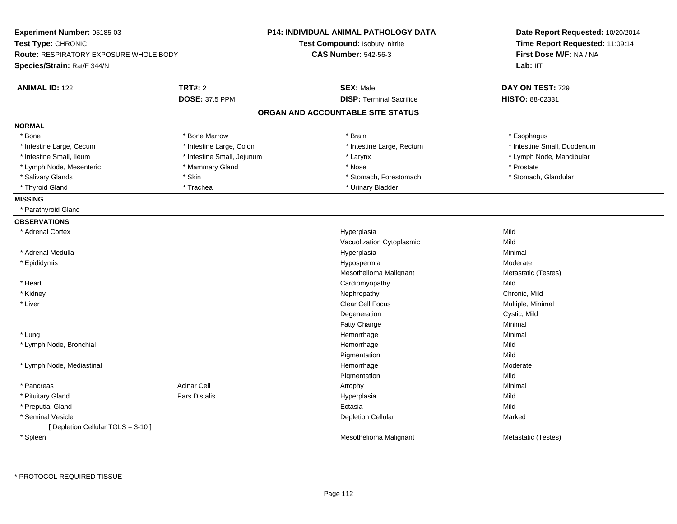| Experiment Number: 05185-03                                  |                            | <b>P14: INDIVIDUAL ANIMAL PATHOLOGY DATA</b> | Date Report Requested: 10/20/2014 |
|--------------------------------------------------------------|----------------------------|----------------------------------------------|-----------------------------------|
| Test Type: CHRONIC<br>Route: RESPIRATORY EXPOSURE WHOLE BODY |                            | <b>Test Compound: Isobutyl nitrite</b>       | Time Report Requested: 11:09:14   |
|                                                              |                            | <b>CAS Number: 542-56-3</b>                  | First Dose M/F: NA / NA           |
| Species/Strain: Rat/F 344/N                                  |                            |                                              | Lab: IIT                          |
| <b>ANIMAL ID: 122</b>                                        | <b>TRT#: 2</b>             | <b>SEX: Male</b>                             | DAY ON TEST: 729                  |
|                                                              | <b>DOSE: 37.5 PPM</b>      | <b>DISP: Terminal Sacrifice</b>              | HISTO: 88-02331                   |
|                                                              |                            | ORGAN AND ACCOUNTABLE SITE STATUS            |                                   |
| <b>NORMAL</b>                                                |                            |                                              |                                   |
| * Bone                                                       | * Bone Marrow              | * Brain                                      | * Esophagus                       |
| * Intestine Large, Cecum                                     | * Intestine Large, Colon   | * Intestine Large, Rectum                    | * Intestine Small, Duodenum       |
| * Intestine Small, Ileum                                     | * Intestine Small, Jejunum | * Larynx                                     | * Lymph Node, Mandibular          |
| * Lymph Node, Mesenteric                                     | * Mammary Gland            | * Nose                                       | * Prostate                        |
| * Salivary Glands                                            | * Skin                     | * Stomach, Forestomach                       | * Stomach, Glandular              |
| * Thyroid Gland                                              | * Trachea                  | * Urinary Bladder                            |                                   |
| <b>MISSING</b>                                               |                            |                                              |                                   |
| * Parathyroid Gland                                          |                            |                                              |                                   |
| <b>OBSERVATIONS</b>                                          |                            |                                              |                                   |
| * Adrenal Cortex                                             |                            | Hyperplasia                                  | Mild                              |
|                                                              |                            | Vacuolization Cytoplasmic                    | Mild                              |
| * Adrenal Medulla                                            |                            | Hyperplasia                                  | Minimal                           |
| * Epididymis                                                 |                            | Hypospermia                                  | Moderate                          |
|                                                              |                            | Mesothelioma Malignant                       | Metastatic (Testes)               |
| * Heart                                                      |                            | Cardiomyopathy                               | Mild                              |
| * Kidney                                                     |                            | Nephropathy                                  | Chronic, Mild                     |
| * Liver                                                      |                            | Clear Cell Focus                             | Multiple, Minimal                 |
|                                                              |                            | Degeneration                                 | Cystic, Mild                      |
|                                                              |                            | Fatty Change                                 | Minimal                           |
| * Lung                                                       |                            | Hemorrhage                                   | Minimal                           |
| * Lymph Node, Bronchial                                      |                            | Hemorrhage                                   | Mild                              |
|                                                              |                            | Pigmentation                                 | Mild                              |
| * Lymph Node, Mediastinal                                    |                            | Hemorrhage                                   | Moderate                          |
|                                                              |                            | Pigmentation                                 | Mild                              |
| * Pancreas                                                   | Acinar Cell                | Atrophy                                      | Minimal                           |
| * Pituitary Gland                                            | <b>Pars Distalis</b>       | Hyperplasia                                  | Mild                              |
| * Preputial Gland                                            |                            | Ectasia                                      | Mild                              |
| * Seminal Vesicle                                            |                            | <b>Depletion Cellular</b>                    | Marked                            |
| [ Depletion Cellular TGLS = 3-10 ]                           |                            |                                              |                                   |
| * Spleen                                                     |                            | Mesothelioma Malignant                       | Metastatic (Testes)               |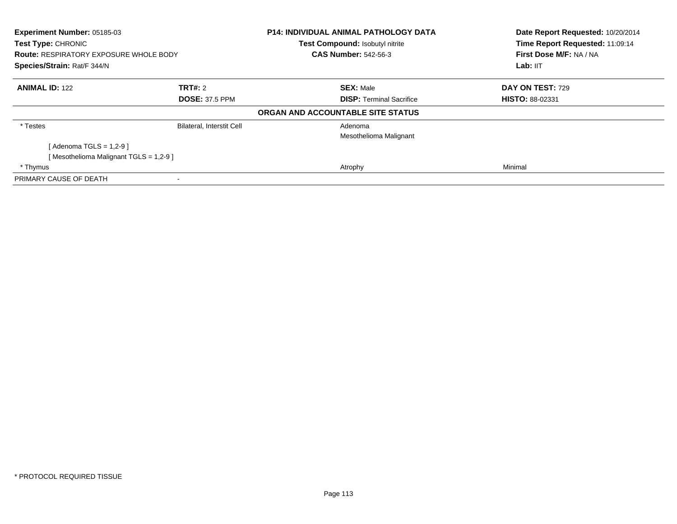| <b>Experiment Number: 05185-03</b><br>Test Type: CHRONIC<br><b>Route: RESPIRATORY EXPOSURE WHOLE BODY</b><br>Species/Strain: Rat/F 344/N |                                  | <b>P14: INDIVIDUAL ANIMAL PATHOLOGY DATA</b> | Date Report Requested: 10/20/2014 |
|------------------------------------------------------------------------------------------------------------------------------------------|----------------------------------|----------------------------------------------|-----------------------------------|
|                                                                                                                                          |                                  | Test Compound: Isobutyl nitrite              | Time Report Requested: 11:09:14   |
|                                                                                                                                          |                                  | <b>CAS Number: 542-56-3</b>                  | First Dose M/F: NA / NA           |
|                                                                                                                                          |                                  |                                              | Lab: IIT                          |
| <b>ANIMAL ID: 122</b>                                                                                                                    | <b>TRT#: 2</b>                   | <b>SEX: Male</b>                             | DAY ON TEST: 729                  |
|                                                                                                                                          | <b>DOSE: 37.5 PPM</b>            | <b>DISP:</b> Terminal Sacrifice              | <b>HISTO: 88-02331</b>            |
|                                                                                                                                          |                                  | ORGAN AND ACCOUNTABLE SITE STATUS            |                                   |
| * Testes                                                                                                                                 | <b>Bilateral, Interstit Cell</b> | Adenoma                                      |                                   |
|                                                                                                                                          |                                  | Mesothelioma Malignant                       |                                   |
| [Adenoma TGLS = 1,2-9]                                                                                                                   |                                  |                                              |                                   |
| [Mesothelioma Malignant TGLS = 1,2-9]                                                                                                    |                                  |                                              |                                   |
| * Thymus                                                                                                                                 |                                  | Atrophy                                      | Minimal                           |
| PRIMARY CAUSE OF DEATH                                                                                                                   |                                  |                                              |                                   |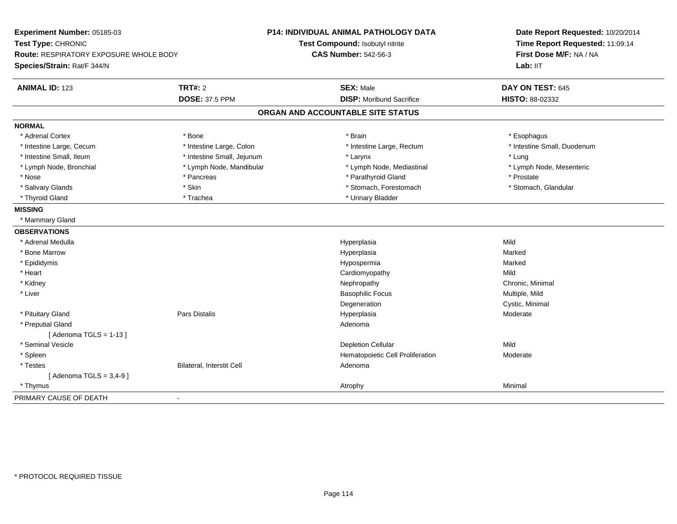| Experiment Number: 05185-03            |                            | P14: INDIVIDUAL ANIMAL PATHOLOGY DATA | Date Report Requested: 10/20/2014 |
|----------------------------------------|----------------------------|---------------------------------------|-----------------------------------|
| Test Type: CHRONIC                     |                            | Test Compound: Isobutyl nitrite       | Time Report Requested: 11:09:14   |
| Route: RESPIRATORY EXPOSURE WHOLE BODY |                            | <b>CAS Number: 542-56-3</b>           | First Dose M/F: NA / NA           |
| Species/Strain: Rat/F 344/N            |                            |                                       | Lab: IIT                          |
| <b>ANIMAL ID: 123</b>                  | <b>TRT#: 2</b>             | <b>SEX: Male</b>                      | DAY ON TEST: 645                  |
|                                        | <b>DOSE: 37.5 PPM</b>      | <b>DISP:</b> Moribund Sacrifice       | HISTO: 88-02332                   |
|                                        |                            | ORGAN AND ACCOUNTABLE SITE STATUS     |                                   |
| <b>NORMAL</b>                          |                            |                                       |                                   |
| * Adrenal Cortex                       | * Bone                     | * Brain                               | * Esophagus                       |
| * Intestine Large, Cecum               | * Intestine Large, Colon   | * Intestine Large, Rectum             | * Intestine Small, Duodenum       |
| * Intestine Small, Ileum               | * Intestine Small, Jejunum | * Larynx                              | * Lung                            |
| * Lymph Node, Bronchial                | * Lymph Node, Mandibular   | * Lymph Node, Mediastinal             | * Lymph Node, Mesenteric          |
| * Nose                                 | * Pancreas                 | * Parathyroid Gland                   | * Prostate                        |
| * Salivary Glands                      | * Skin                     | * Stomach, Forestomach                | * Stomach, Glandular              |
| * Thyroid Gland                        | * Trachea                  | * Urinary Bladder                     |                                   |
| <b>MISSING</b>                         |                            |                                       |                                   |
| * Mammary Gland                        |                            |                                       |                                   |
| <b>OBSERVATIONS</b>                    |                            |                                       |                                   |
| * Adrenal Medulla                      |                            | Hyperplasia                           | Mild                              |
| * Bone Marrow                          |                            | Hyperplasia                           | Marked                            |
| * Epididymis                           |                            | Hypospermia                           | Marked                            |
| * Heart                                |                            | Cardiomyopathy                        | Mild                              |
| * Kidney                               |                            | Nephropathy                           | Chronic, Minimal                  |
| * Liver                                |                            | <b>Basophilic Focus</b>               | Multiple, Mild                    |
|                                        |                            | Degeneration                          | Cystic, Minimal                   |
| * Pituitary Gland                      | Pars Distalis              | Hyperplasia                           | Moderate                          |
| * Preputial Gland                      |                            | Adenoma                               |                                   |
| [Adenoma TGLS = $1-13$ ]               |                            |                                       |                                   |
| * Seminal Vesicle                      |                            | <b>Depletion Cellular</b>             | Mild                              |
| * Spleen                               |                            | Hematopoietic Cell Proliferation      | Moderate                          |
| * Testes                               | Bilateral, Interstit Cell  | Adenoma                               |                                   |
| [Adenoma TGLS = $3,4-9$ ]              |                            |                                       |                                   |
| * Thymus                               |                            | Atrophy                               | Minimal                           |
| PRIMARY CAUSE OF DEATH                 |                            |                                       |                                   |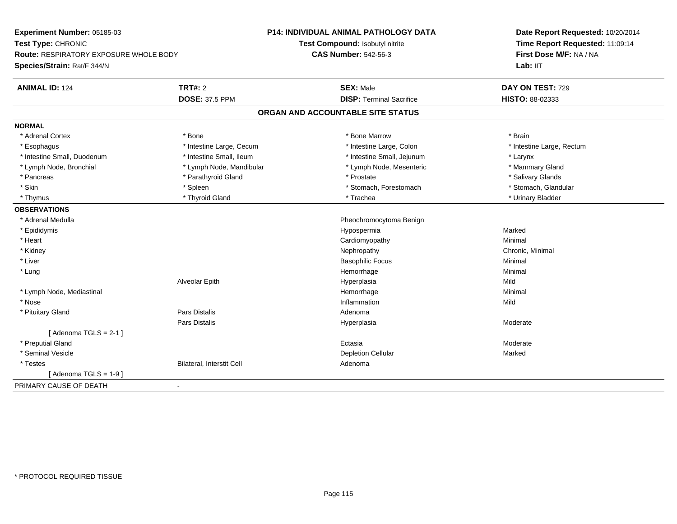| Experiment Number: 05185-03                   |                           | <b>P14: INDIVIDUAL ANIMAL PATHOLOGY DATA</b> | Date Report Requested: 10/20/2014<br>Time Report Requested: 11:09:14 |
|-----------------------------------------------|---------------------------|----------------------------------------------|----------------------------------------------------------------------|
| Test Type: CHRONIC                            |                           | Test Compound: Isobutyl nitrite              |                                                                      |
| <b>Route: RESPIRATORY EXPOSURE WHOLE BODY</b> |                           | <b>CAS Number: 542-56-3</b>                  | First Dose M/F: NA / NA                                              |
| Species/Strain: Rat/F 344/N                   |                           |                                              | Lab: IIT                                                             |
| <b>ANIMAL ID: 124</b>                         | TRT#: 2                   | <b>SEX: Male</b>                             | DAY ON TEST: 729                                                     |
|                                               | <b>DOSE: 37.5 PPM</b>     | <b>DISP: Terminal Sacrifice</b>              | <b>HISTO: 88-02333</b>                                               |
|                                               |                           | ORGAN AND ACCOUNTABLE SITE STATUS            |                                                                      |
| <b>NORMAL</b>                                 |                           |                                              |                                                                      |
| * Adrenal Cortex                              | * Bone                    | * Bone Marrow                                | * Brain                                                              |
| * Esophagus                                   | * Intestine Large, Cecum  | * Intestine Large, Colon                     | * Intestine Large, Rectum                                            |
| * Intestine Small, Duodenum                   | * Intestine Small. Ileum  | * Intestine Small, Jejunum                   | * Larynx                                                             |
| * Lymph Node, Bronchial                       | * Lymph Node, Mandibular  | * Lymph Node, Mesenteric                     | * Mammary Gland                                                      |
| * Pancreas                                    | * Parathyroid Gland       | * Prostate                                   | * Salivary Glands                                                    |
| * Skin                                        | * Spleen                  | * Stomach, Forestomach                       | * Stomach, Glandular                                                 |
| * Thymus                                      | * Thyroid Gland           | * Trachea                                    | * Urinary Bladder                                                    |
| <b>OBSERVATIONS</b>                           |                           |                                              |                                                                      |
| * Adrenal Medulla                             |                           | Pheochromocytoma Benign                      |                                                                      |
| * Epididymis                                  |                           | Hypospermia                                  | Marked                                                               |
| * Heart                                       |                           | Cardiomyopathy                               | Minimal                                                              |
| * Kidney                                      |                           | Nephropathy                                  | Chronic, Minimal                                                     |
| * Liver                                       |                           | <b>Basophilic Focus</b>                      | Minimal                                                              |
| * Lung                                        |                           | Hemorrhage                                   | Minimal                                                              |
|                                               | Alveolar Epith            | Hyperplasia                                  | Mild                                                                 |
| * Lymph Node, Mediastinal                     |                           | Hemorrhage                                   | Minimal                                                              |
| * Nose                                        |                           | Inflammation                                 | Mild                                                                 |
| * Pituitary Gland                             | <b>Pars Distalis</b>      | Adenoma                                      |                                                                      |
|                                               | <b>Pars Distalis</b>      | Hyperplasia                                  | Moderate                                                             |
| [Adenoma TGLS = $2-1$ ]                       |                           |                                              |                                                                      |
| * Preputial Gland                             |                           | Ectasia                                      | Moderate                                                             |
| * Seminal Vesicle                             |                           | <b>Depletion Cellular</b>                    | Marked                                                               |
| * Testes                                      | Bilateral, Interstit Cell | Adenoma                                      |                                                                      |
| [Adenoma TGLS = $1-9$ ]                       |                           |                                              |                                                                      |
| PRIMARY CAUSE OF DEATH                        | $\blacksquare$            |                                              |                                                                      |
|                                               |                           |                                              |                                                                      |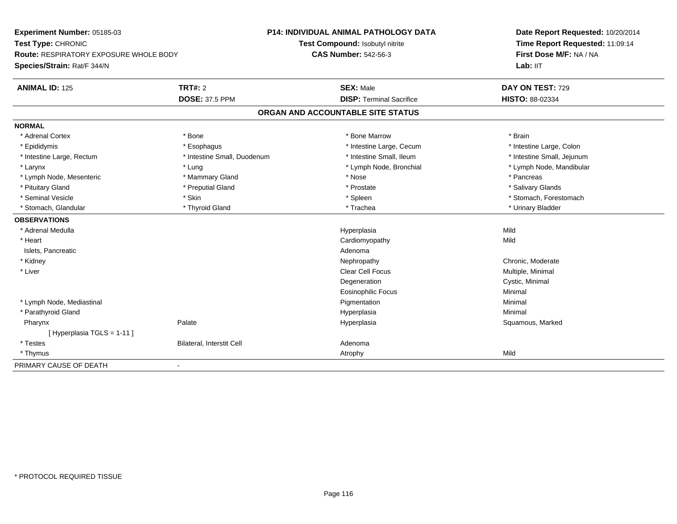**Experiment Number:** 05185-03**Test Type:** CHRONIC **Route:** RESPIRATORY EXPOSURE WHOLE BODY**Species/Strain:** Rat/F 344/N**P14: INDIVIDUAL ANIMAL PATHOLOGY DATATest Compound:** Isobutyl nitrite**CAS Number:** 542-56-3**Date Report Requested:** 10/20/2014**Time Report Requested:** 11:09:14**First Dose M/F:** NA / NA**Lab:** IIT**ANIMAL ID:** 125**TRT#:** 2 **SEX:** Male **DAY ON TEST:** 729 **DOSE:** 37.5 PPM **DISP:** Terminal Sacrifice **HISTO:** 88-02334 **ORGAN AND ACCOUNTABLE SITE STATUSNORMAL**\* Adrenal Cortex \* Adrenal Cortex \* \* Adrenal Cortex \* Brain \* Bone \* \* Bone Marrow \* Bone Marrow \* \* Brain \* Brain \* Brain \* Brain \* Brain \* Brain \* Brain \* Brain \* Brain \* Brain \* Brain \* Brain \* Brain \* Brain \* Brain \* Brain \* Brain \* B \* Intestine Large, Colon \* Epididymis \* Intestine Large, Cecum \* Esophagus \* Intestine Large, Cecum \* Intestine Large, Cecum \* Intestine Large, Rectum \* Thestine Small, Duodenum \* Number of the small, Ileum \* Intestine Small, Jejunum \* Intestine Small, Jejunum \* Larynx \* Lung \* Lymph Node, Bronchial \* Lymph Node, Mandibular \* Lymph Node, Mesenteric \* \* The matter of the Mammary Gland \* The matter \* Nose \* The matter of the matter \* Pancreas \* Pancreas \* Salivary Glands \* Pituitary Gland \* \* Then the state \* Preputial Gland \* Prosection \* Prostate \* \* Salivary Glands \* Salivary Glands \* Salivary Glands \* Salivary Glands \* Salivary Glands \* Salivary Glands \* Salivary Glands \* Salivary Glan \* Seminal Vesicle \* The state of the set of the set of the set of the set of the set of the set of the set of the set of the set of the set of the set of the set of the set of the set of the set of the set of the set of th \* Stomach, Glandular \* \* Thyroid Gland \* \* Thyroid Gland \* \* Trachea \* \* Trachea \* \* Urinary Bladder \* \* Urinary Bladder \* \* Urinary Bladder \* \* Urinary Bladder \* \* Urinary Bladder \* \* Urinary Bladder \* \* Urinary Bladder \* **OBSERVATIONS** \* Adrenal Medulla Hyperplasia Mild \* Heart Cardiomyopathyy Mild Islets, Pancreaticc and the contract of the contract of the contract of the contract of the contract of the contract of the contract of the contract of the contract of the contract of the contract of the contract of the contract of the cont Nephropathy \* Kidneyy the chronic, Moderate and September 2012 of the Chronic Moderate and September 2013 of the Chronic, Moderate \* Liver Clear Cell Focus Multiple, Minimal Degeneration Cystic, Minimal Eosinophilic Focus Minimal \* Lymph Node, Mediastinal Pigmentationn Minimal \* Parathyroid Glandd and the control of the control of the control of the Hyperplasia and the control of the Minimal of the control of the control of the control of the control of the control of the control of the control of the control of t Pharynxx Palate Palate **Source According to the Source According Hyperplasia** Squamous, Marked Squamous, Marked [ Hyperplasia TGLS = 1-11 ] \* TestesBilateral, Interstit Cell **Adenoma** Adenoma \* Thymuss and the control of the control of the control of the control of the control of the control of the control of the control of the control of the control of the control of the control of the control of the control of the co PRIMARY CAUSE OF DEATH-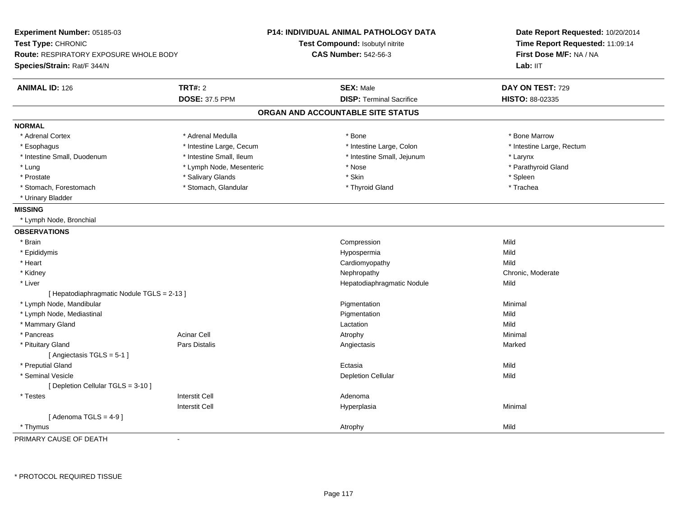| Experiment Number: 05185-03<br>Test Type: CHRONIC<br>Route: RESPIRATORY EXPOSURE WHOLE BODY<br>Species/Strain: Rat/F 344/N |                          | <b>P14: INDIVIDUAL ANIMAL PATHOLOGY DATA</b><br>Test Compound: Isobutyl nitrite<br><b>CAS Number: 542-56-3</b> | Date Report Requested: 10/20/2014<br>Time Report Requested: 11:09:14<br>First Dose M/F: NA / NA<br>Lab: IIT |
|----------------------------------------------------------------------------------------------------------------------------|--------------------------|----------------------------------------------------------------------------------------------------------------|-------------------------------------------------------------------------------------------------------------|
| <b>ANIMAL ID: 126</b>                                                                                                      | <b>TRT#: 2</b>           | <b>SEX: Male</b>                                                                                               | DAY ON TEST: 729                                                                                            |
|                                                                                                                            | <b>DOSE: 37.5 PPM</b>    | <b>DISP: Terminal Sacrifice</b>                                                                                | HISTO: 88-02335                                                                                             |
|                                                                                                                            |                          | ORGAN AND ACCOUNTABLE SITE STATUS                                                                              |                                                                                                             |
| <b>NORMAL</b>                                                                                                              |                          |                                                                                                                |                                                                                                             |
| * Adrenal Cortex                                                                                                           | * Adrenal Medulla        | * Bone                                                                                                         | * Bone Marrow                                                                                               |
| * Esophagus                                                                                                                | * Intestine Large, Cecum | * Intestine Large, Colon                                                                                       | * Intestine Large, Rectum                                                                                   |
| * Intestine Small, Duodenum                                                                                                | * Intestine Small, Ileum | * Intestine Small, Jejunum                                                                                     | * Larynx                                                                                                    |
| * Lung                                                                                                                     | * Lymph Node, Mesenteric | * Nose                                                                                                         | * Parathyroid Gland                                                                                         |
| * Prostate                                                                                                                 | * Salivary Glands        | * Skin                                                                                                         | * Spleen                                                                                                    |
| * Stomach, Forestomach                                                                                                     | * Stomach, Glandular     | * Thyroid Gland                                                                                                | * Trachea                                                                                                   |
| * Urinary Bladder                                                                                                          |                          |                                                                                                                |                                                                                                             |
| <b>MISSING</b>                                                                                                             |                          |                                                                                                                |                                                                                                             |
| * Lymph Node, Bronchial                                                                                                    |                          |                                                                                                                |                                                                                                             |
| <b>OBSERVATIONS</b>                                                                                                        |                          |                                                                                                                |                                                                                                             |
| * Brain                                                                                                                    |                          | Compression                                                                                                    | Mild                                                                                                        |
| * Epididymis                                                                                                               |                          | Hypospermia                                                                                                    | Mild                                                                                                        |
| * Heart                                                                                                                    |                          | Cardiomyopathy                                                                                                 | Mild                                                                                                        |
| * Kidney                                                                                                                   |                          | Nephropathy                                                                                                    | Chronic, Moderate                                                                                           |
| * Liver                                                                                                                    |                          | Hepatodiaphragmatic Nodule                                                                                     | Mild                                                                                                        |
| [Hepatodiaphragmatic Nodule TGLS = 2-13 ]                                                                                  |                          |                                                                                                                |                                                                                                             |
| * Lymph Node, Mandibular                                                                                                   |                          | Pigmentation                                                                                                   | Minimal                                                                                                     |
| * Lymph Node, Mediastinal                                                                                                  |                          | Pigmentation                                                                                                   | Mild                                                                                                        |
| * Mammary Gland                                                                                                            |                          | Lactation                                                                                                      | Mild                                                                                                        |
| * Pancreas                                                                                                                 | <b>Acinar Cell</b>       | Atrophy                                                                                                        | Minimal                                                                                                     |
| * Pituitary Gland                                                                                                          | Pars Distalis            | Angiectasis                                                                                                    | Marked                                                                                                      |
| [ Angiectasis $TGLS = 5-1$ ]                                                                                               |                          |                                                                                                                |                                                                                                             |
| * Preputial Gland                                                                                                          |                          | Ectasia                                                                                                        | Mild                                                                                                        |
| * Seminal Vesicle                                                                                                          |                          | <b>Depletion Cellular</b>                                                                                      | Mild                                                                                                        |
| [ Depletion Cellular TGLS = 3-10 ]                                                                                         |                          |                                                                                                                |                                                                                                             |
| $^\star$ Testes                                                                                                            | <b>Interstit Cell</b>    | Adenoma                                                                                                        |                                                                                                             |
|                                                                                                                            | <b>Interstit Cell</b>    | Hyperplasia                                                                                                    | Minimal                                                                                                     |
| [Adenoma TGLS = $4-9$ ]                                                                                                    |                          |                                                                                                                |                                                                                                             |
| * Thymus                                                                                                                   |                          | Atrophy                                                                                                        | Mild                                                                                                        |

PRIMARY CAUSE OF DEATH-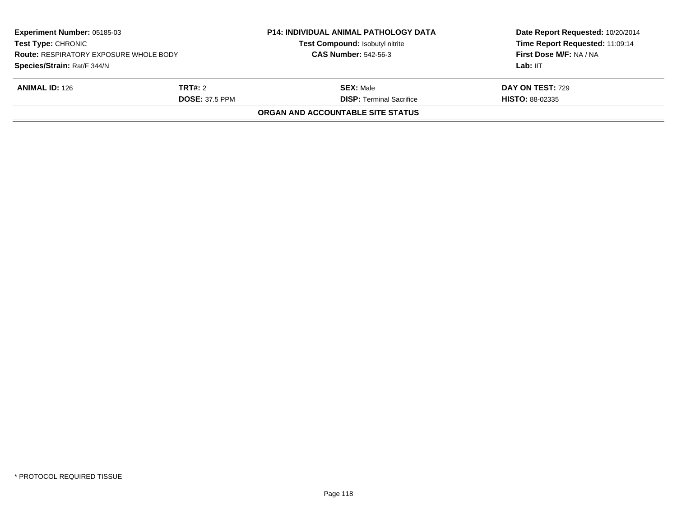| Experiment Number: 05185-03<br><b>Test Type: CHRONIC</b><br><b>Route: RESPIRATORY EXPOSURE WHOLE BODY</b> |                       | <b>P14: INDIVIDUAL ANIMAL PATHOLOGY DATA</b><br>Test Compound: Isobutyl nitrite<br><b>CAS Number: 542-56-3</b> | Date Report Requested: 10/20/2014<br>Time Report Requested: 11:09:14<br>First Dose M/F: NA / NA |
|-----------------------------------------------------------------------------------------------------------|-----------------------|----------------------------------------------------------------------------------------------------------------|-------------------------------------------------------------------------------------------------|
| Species/Strain: Rat/F 344/N                                                                               |                       |                                                                                                                | Lab: IIT                                                                                        |
| <b>ANIMAL ID: 126</b>                                                                                     | <b>TRT#:</b> 2        | <b>SEX: Male</b>                                                                                               | <b>DAY ON TEST: 729</b>                                                                         |
|                                                                                                           | <b>DOSE: 37.5 PPM</b> | <b>DISP: Terminal Sacrifice</b>                                                                                | <b>HISTO: 88-02335</b>                                                                          |
|                                                                                                           |                       | ORGAN AND ACCOUNTABLE SITE STATUS                                                                              |                                                                                                 |
|                                                                                                           |                       |                                                                                                                |                                                                                                 |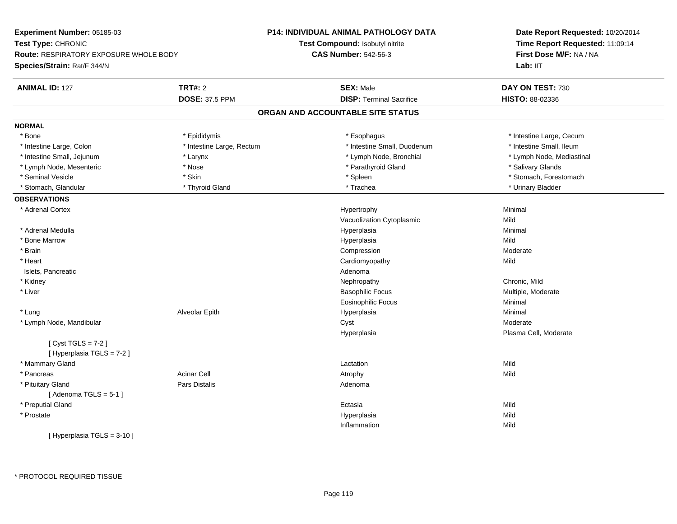| Experiment Number: 05185-03            |                           | P14: INDIVIDUAL ANIMAL PATHOLOGY DATA | Date Report Requested: 10/20/2014<br>Time Report Requested: 11:09:14<br>First Dose M/F: NA / NA |  |
|----------------------------------------|---------------------------|---------------------------------------|-------------------------------------------------------------------------------------------------|--|
| Test Type: CHRONIC                     |                           | Test Compound: Isobutyl nitrite       |                                                                                                 |  |
| Route: RESPIRATORY EXPOSURE WHOLE BODY |                           | <b>CAS Number: 542-56-3</b>           |                                                                                                 |  |
| Species/Strain: Rat/F 344/N            |                           |                                       | Lab: IIT                                                                                        |  |
| <b>ANIMAL ID: 127</b>                  | <b>TRT#: 2</b>            | <b>SEX: Male</b>                      | DAY ON TEST: 730                                                                                |  |
|                                        | <b>DOSE: 37.5 PPM</b>     | <b>DISP: Terminal Sacrifice</b>       | HISTO: 88-02336                                                                                 |  |
|                                        |                           | ORGAN AND ACCOUNTABLE SITE STATUS     |                                                                                                 |  |
| <b>NORMAL</b>                          |                           |                                       |                                                                                                 |  |
| * Bone                                 | * Epididymis              | * Esophagus                           | * Intestine Large, Cecum                                                                        |  |
| * Intestine Large, Colon               | * Intestine Large, Rectum | * Intestine Small, Duodenum           | * Intestine Small, Ileum                                                                        |  |
| * Intestine Small, Jejunum             | * Larynx                  | * Lymph Node, Bronchial               | * Lymph Node, Mediastinal                                                                       |  |
| * Lymph Node, Mesenteric               | * Nose                    | * Parathyroid Gland                   | * Salivary Glands                                                                               |  |
| * Seminal Vesicle                      | * Skin                    | * Spleen                              | * Stomach, Forestomach                                                                          |  |
| * Stomach, Glandular                   | * Thyroid Gland           | * Trachea                             | * Urinary Bladder                                                                               |  |
| <b>OBSERVATIONS</b>                    |                           |                                       |                                                                                                 |  |
| * Adrenal Cortex                       |                           | Hypertrophy                           | Minimal                                                                                         |  |
|                                        |                           | Vacuolization Cytoplasmic             | Mild                                                                                            |  |
| * Adrenal Medulla                      |                           | Hyperplasia                           | Minimal                                                                                         |  |
| * Bone Marrow                          |                           | Hyperplasia                           | Mild                                                                                            |  |
| * Brain                                |                           | Compression                           | Moderate                                                                                        |  |
| * Heart                                |                           | Cardiomyopathy                        | Mild                                                                                            |  |
| Islets, Pancreatic                     |                           | Adenoma                               |                                                                                                 |  |
| * Kidney                               |                           | Nephropathy                           | Chronic, Mild                                                                                   |  |
| * Liver                                |                           | <b>Basophilic Focus</b>               | Multiple, Moderate                                                                              |  |
|                                        |                           | Eosinophilic Focus                    | Minimal                                                                                         |  |
| * Lung                                 | Alveolar Epith            | Hyperplasia                           | Minimal                                                                                         |  |
| * Lymph Node, Mandibular               |                           | Cyst                                  | Moderate                                                                                        |  |
|                                        |                           | Hyperplasia                           | Plasma Cell, Moderate                                                                           |  |
| [Cyst TGLS = $7-2$ ]                   |                           |                                       |                                                                                                 |  |
| [ Hyperplasia TGLS = 7-2 ]             |                           |                                       |                                                                                                 |  |
| * Mammary Gland                        |                           | Lactation                             | Mild                                                                                            |  |
| * Pancreas                             | <b>Acinar Cell</b>        | Atrophy                               | Mild                                                                                            |  |
| * Pituitary Gland                      | Pars Distalis             | Adenoma                               |                                                                                                 |  |
| [Adenoma TGLS = $5-1$ ]                |                           |                                       |                                                                                                 |  |
| * Preputial Gland                      |                           | Ectasia                               | Mild                                                                                            |  |
| * Prostate                             |                           | Hyperplasia                           | Mild                                                                                            |  |
|                                        |                           | Inflammation                          | Mild                                                                                            |  |
| [ Hyperplasia TGLS = 3-10 ]            |                           |                                       |                                                                                                 |  |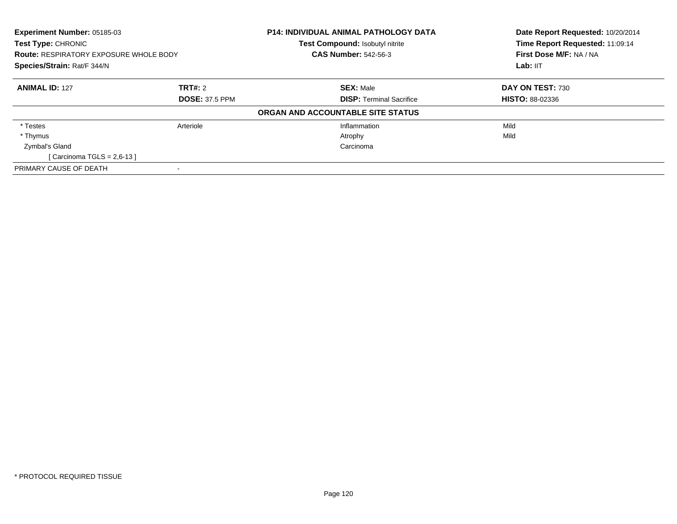| Experiment Number: 05185-03                   |                       | <b>P14: INDIVIDUAL ANIMAL PATHOLOGY DATA</b> | Date Report Requested: 10/20/2014 |  |
|-----------------------------------------------|-----------------------|----------------------------------------------|-----------------------------------|--|
| Test Type: CHRONIC                            |                       | Test Compound: Isobutyl nitrite              | Time Report Requested: 11:09:14   |  |
| <b>Route: RESPIRATORY EXPOSURE WHOLE BODY</b> |                       | <b>CAS Number: 542-56-3</b>                  | First Dose M/F: NA / NA           |  |
| Species/Strain: Rat/F 344/N                   |                       |                                              | Lab: IIT                          |  |
| <b>ANIMAL ID: 127</b>                         | <b>TRT#: 2</b>        | <b>SEX: Male</b>                             | DAY ON TEST: 730                  |  |
|                                               | <b>DOSE: 37.5 PPM</b> | <b>DISP: Terminal Sacrifice</b>              | <b>HISTO: 88-02336</b>            |  |
|                                               |                       | ORGAN AND ACCOUNTABLE SITE STATUS            |                                   |  |
| * Testes                                      | Arteriole             | Inflammation                                 | Mild                              |  |
| * Thymus                                      |                       | Atrophy                                      | Mild                              |  |
| Zymbal's Gland                                |                       | Carcinoma                                    |                                   |  |
| [Carcinoma TGLS = $2,6-13$ ]                  |                       |                                              |                                   |  |
| PRIMARY CAUSE OF DEATH                        |                       |                                              |                                   |  |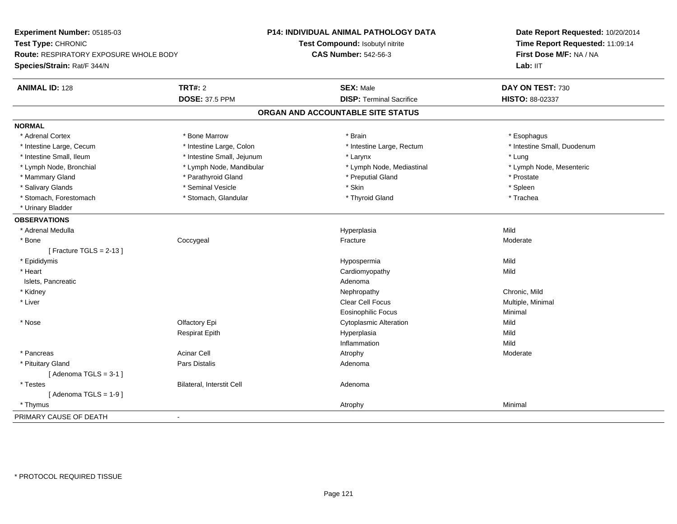| Experiment Number: 05185-03                   |                            | P14: INDIVIDUAL ANIMAL PATHOLOGY DATA | Date Report Requested: 10/20/2014<br>Time Report Requested: 11:09:14<br>First Dose M/F: NA / NA |
|-----------------------------------------------|----------------------------|---------------------------------------|-------------------------------------------------------------------------------------------------|
| Test Type: CHRONIC                            |                            | Test Compound: Isobutyl nitrite       |                                                                                                 |
| <b>Route: RESPIRATORY EXPOSURE WHOLE BODY</b> |                            | <b>CAS Number: 542-56-3</b>           |                                                                                                 |
| Species/Strain: Rat/F 344/N                   |                            |                                       | Lab: IIT                                                                                        |
|                                               |                            |                                       |                                                                                                 |
| <b>ANIMAL ID: 128</b>                         | <b>TRT#: 2</b>             | <b>SEX: Male</b>                      | DAY ON TEST: 730                                                                                |
|                                               | <b>DOSE: 37.5 PPM</b>      | <b>DISP: Terminal Sacrifice</b>       | HISTO: 88-02337                                                                                 |
|                                               |                            | ORGAN AND ACCOUNTABLE SITE STATUS     |                                                                                                 |
| <b>NORMAL</b>                                 |                            |                                       |                                                                                                 |
| * Adrenal Cortex                              | * Bone Marrow              | * Brain                               | * Esophagus                                                                                     |
| * Intestine Large, Cecum                      | * Intestine Large, Colon   | * Intestine Large, Rectum             | * Intestine Small, Duodenum                                                                     |
| * Intestine Small, Ileum                      | * Intestine Small, Jejunum | * Larynx                              | * Lung                                                                                          |
| * Lymph Node, Bronchial                       | * Lymph Node, Mandibular   | * Lymph Node, Mediastinal             | * Lymph Node, Mesenteric                                                                        |
| * Mammary Gland                               | * Parathyroid Gland        | * Preputial Gland                     | * Prostate                                                                                      |
| * Salivary Glands                             | * Seminal Vesicle          | * Skin                                | * Spleen                                                                                        |
| * Stomach, Forestomach                        | * Stomach, Glandular       | * Thyroid Gland                       | * Trachea                                                                                       |
| * Urinary Bladder                             |                            |                                       |                                                                                                 |
| <b>OBSERVATIONS</b>                           |                            |                                       |                                                                                                 |
| * Adrenal Medulla                             |                            | Hyperplasia                           | Mild                                                                                            |
| * Bone                                        | Coccygeal                  | Fracture                              | Moderate                                                                                        |
| [Fracture TGLS = $2-13$ ]                     |                            |                                       |                                                                                                 |
| * Epididymis                                  |                            | Hypospermia                           | Mild                                                                                            |
| * Heart                                       |                            | Cardiomyopathy                        | Mild                                                                                            |
| Islets, Pancreatic                            |                            | Adenoma                               |                                                                                                 |
| * Kidney                                      |                            | Nephropathy                           | Chronic, Mild                                                                                   |
| * Liver                                       |                            | Clear Cell Focus                      | Multiple, Minimal                                                                               |
|                                               |                            | <b>Eosinophilic Focus</b>             | Minimal                                                                                         |
| * Nose                                        | Olfactory Epi              | <b>Cytoplasmic Alteration</b>         | Mild                                                                                            |
|                                               | <b>Respirat Epith</b>      | Hyperplasia                           | Mild                                                                                            |
|                                               |                            | Inflammation                          | Mild                                                                                            |
| * Pancreas                                    | <b>Acinar Cell</b>         | Atrophy                               | Moderate                                                                                        |
| * Pituitary Gland                             | Pars Distalis              | Adenoma                               |                                                                                                 |
| [Adenoma TGLS = $3-1$ ]                       |                            |                                       |                                                                                                 |
| * Testes                                      | Bilateral, Interstit Cell  | Adenoma                               |                                                                                                 |
| [Adenoma TGLS = $1-9$ ]                       |                            |                                       |                                                                                                 |
| * Thymus                                      |                            | Atrophy                               | Minimal                                                                                         |
| PRIMARY CAUSE OF DEATH                        | $\overline{\phantom{a}}$   |                                       |                                                                                                 |
|                                               |                            |                                       |                                                                                                 |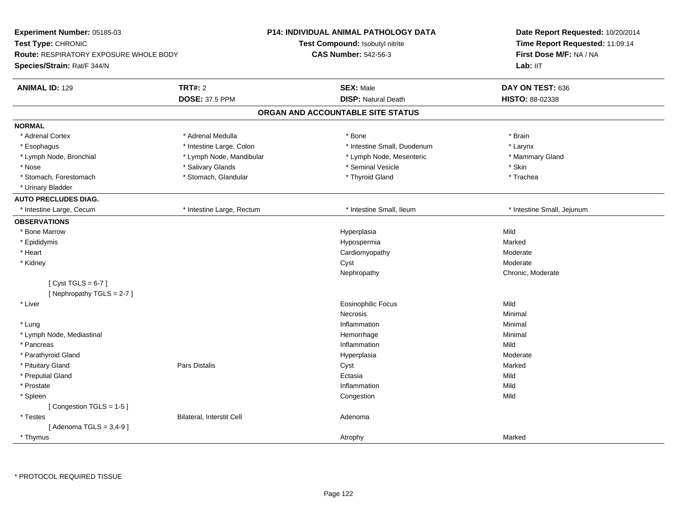| <b>Experiment Number: 05185-03</b><br>Test Type: CHRONIC<br><b>Route: RESPIRATORY EXPOSURE WHOLE BODY</b><br>Species/Strain: Rat/F 344/N |                           | <b>P14: INDIVIDUAL ANIMAL PATHOLOGY DATA</b><br>Test Compound: Isobutyl nitrite<br><b>CAS Number: 542-56-3</b> | Date Report Requested: 10/20/2014<br>Time Report Requested: 11:09:14<br>First Dose M/F: NA / NA<br>Lab: IIT |
|------------------------------------------------------------------------------------------------------------------------------------------|---------------------------|----------------------------------------------------------------------------------------------------------------|-------------------------------------------------------------------------------------------------------------|
| <b>ANIMAL ID: 129</b>                                                                                                                    | <b>TRT#: 2</b>            | <b>SEX: Male</b>                                                                                               | DAY ON TEST: 636                                                                                            |
|                                                                                                                                          | <b>DOSE: 37.5 PPM</b>     | <b>DISP: Natural Death</b>                                                                                     | HISTO: 88-02338                                                                                             |
|                                                                                                                                          |                           | ORGAN AND ACCOUNTABLE SITE STATUS                                                                              |                                                                                                             |
| <b>NORMAL</b>                                                                                                                            |                           |                                                                                                                |                                                                                                             |
| * Adrenal Cortex                                                                                                                         | * Adrenal Medulla         | * Bone                                                                                                         | * Brain                                                                                                     |
| * Esophagus                                                                                                                              | * Intestine Large, Colon  | * Intestine Small, Duodenum                                                                                    | * Larynx                                                                                                    |
| * Lymph Node, Bronchial                                                                                                                  | * Lymph Node, Mandibular  | * Lymph Node, Mesenteric                                                                                       | * Mammary Gland                                                                                             |
| * Nose                                                                                                                                   | * Salivary Glands         | * Seminal Vesicle                                                                                              | * Skin                                                                                                      |
| * Stomach, Forestomach                                                                                                                   | * Stomach, Glandular      | * Thyroid Gland                                                                                                | * Trachea                                                                                                   |
| * Urinary Bladder                                                                                                                        |                           |                                                                                                                |                                                                                                             |
| <b>AUTO PRECLUDES DIAG.</b>                                                                                                              |                           |                                                                                                                |                                                                                                             |
| * Intestine Large, Cecum                                                                                                                 | * Intestine Large, Rectum | * Intestine Small, Ileum                                                                                       | * Intestine Small, Jejunum                                                                                  |
| <b>OBSERVATIONS</b>                                                                                                                      |                           |                                                                                                                |                                                                                                             |
| * Bone Marrow                                                                                                                            |                           | Hyperplasia                                                                                                    | Mild                                                                                                        |
| * Epididymis                                                                                                                             |                           | Hypospermia                                                                                                    | Marked                                                                                                      |
| * Heart                                                                                                                                  |                           | Cardiomyopathy                                                                                                 | Moderate                                                                                                    |
| * Kidney                                                                                                                                 |                           | Cyst                                                                                                           | Moderate                                                                                                    |
|                                                                                                                                          |                           | Nephropathy                                                                                                    | Chronic, Moderate                                                                                           |
| [Cyst TGLS = $6-7$ ]                                                                                                                     |                           |                                                                                                                |                                                                                                             |
| [Nephropathy TGLS = 2-7]                                                                                                                 |                           |                                                                                                                |                                                                                                             |
| * Liver                                                                                                                                  |                           | <b>Eosinophilic Focus</b>                                                                                      | Mild                                                                                                        |
|                                                                                                                                          |                           | <b>Necrosis</b>                                                                                                | Minimal                                                                                                     |
| * Lung                                                                                                                                   |                           | Inflammation                                                                                                   | Minimal                                                                                                     |
| * Lymph Node, Mediastinal                                                                                                                |                           | Hemorrhage                                                                                                     | Minimal                                                                                                     |
| * Pancreas                                                                                                                               |                           | Inflammation                                                                                                   | Mild                                                                                                        |
| * Parathyroid Gland                                                                                                                      |                           | Hyperplasia                                                                                                    | Moderate                                                                                                    |
| * Pituitary Gland                                                                                                                        | Pars Distalis             | Cyst                                                                                                           | Marked                                                                                                      |
| * Preputial Gland                                                                                                                        |                           | Ectasia                                                                                                        | Mild                                                                                                        |
| * Prostate                                                                                                                               |                           | Inflammation                                                                                                   | Mild                                                                                                        |
| * Spleen                                                                                                                                 |                           | Congestion                                                                                                     | Mild                                                                                                        |
| [Congestion TGLS = 1-5]                                                                                                                  |                           | Adenoma                                                                                                        |                                                                                                             |
| * Testes<br>[Adenoma TGLS = $3,4-9$ ]                                                                                                    | Bilateral, Interstit Cell |                                                                                                                |                                                                                                             |
| * Thymus                                                                                                                                 |                           | Atrophy                                                                                                        | Marked                                                                                                      |
|                                                                                                                                          |                           |                                                                                                                |                                                                                                             |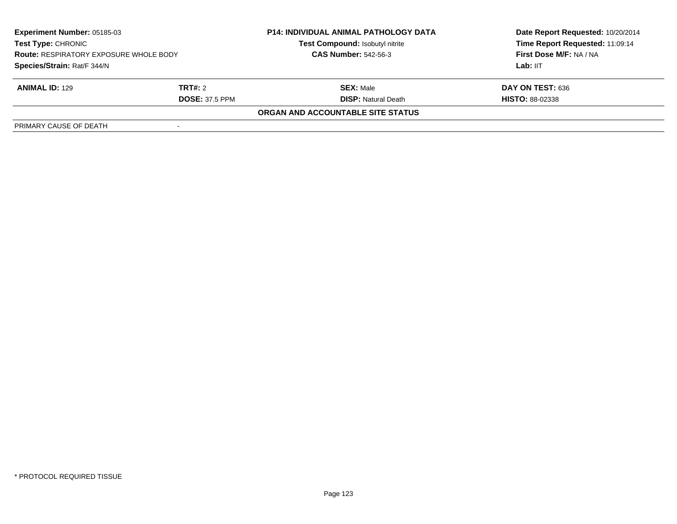| <b>Experiment Number: 05185-03</b><br><b>Test Type: CHRONIC</b><br><b>Route: RESPIRATORY EXPOSURE WHOLE BODY</b> |                       | <b>P14: INDIVIDUAL ANIMAL PATHOLOGY DATA</b><br>Test Compound: Isobutyl nitrite | Date Report Requested: 10/20/2014<br>Time Report Requested: 11:09:14 |
|------------------------------------------------------------------------------------------------------------------|-----------------------|---------------------------------------------------------------------------------|----------------------------------------------------------------------|
|                                                                                                                  |                       | <b>CAS Number: 542-56-3</b>                                                     | First Dose M/F: NA / NA                                              |
| Species/Strain: Rat/F 344/N                                                                                      |                       |                                                                                 | Lab: IIT                                                             |
| <b>ANIMAL ID: 129</b>                                                                                            | TRT#: 2               | <b>SEX: Male</b>                                                                | DAY ON TEST: 636                                                     |
|                                                                                                                  | <b>DOSE: 37.5 PPM</b> | <b>DISP:</b> Natural Death                                                      | <b>HISTO: 88-02338</b>                                               |
|                                                                                                                  |                       | ORGAN AND ACCOUNTABLE SITE STATUS                                               |                                                                      |
| PRIMARY CAUSE OF DEATH                                                                                           |                       |                                                                                 |                                                                      |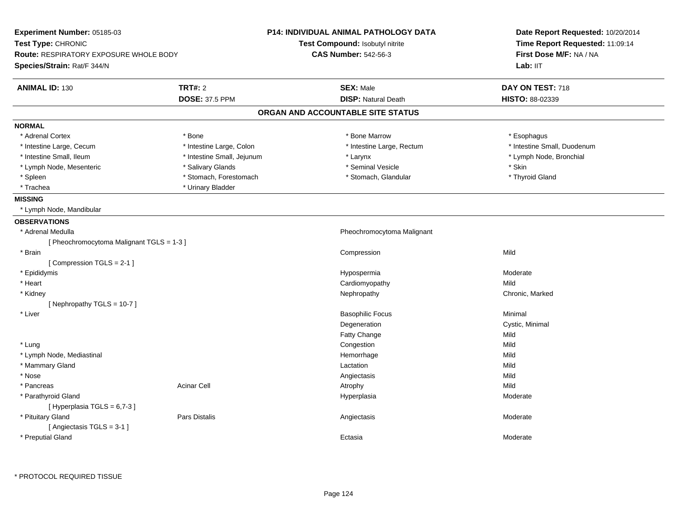| Experiment Number: 05185-03<br>Test Type: CHRONIC<br><b>Route: RESPIRATORY EXPOSURE WHOLE BODY</b><br>Species/Strain: Rat/F 344/N |                            | <b>P14: INDIVIDUAL ANIMAL PATHOLOGY DATA</b><br>Test Compound: Isobutyl nitrite<br><b>CAS Number: 542-56-3</b> | Date Report Requested: 10/20/2014<br>Time Report Requested: 11:09:14<br>First Dose M/F: NA / NA<br>Lab: II <sub>T</sub> |
|-----------------------------------------------------------------------------------------------------------------------------------|----------------------------|----------------------------------------------------------------------------------------------------------------|-------------------------------------------------------------------------------------------------------------------------|
| <b>ANIMAL ID: 130</b>                                                                                                             | <b>TRT#: 2</b>             | <b>SEX: Male</b>                                                                                               | DAY ON TEST: 718                                                                                                        |
|                                                                                                                                   | <b>DOSE: 37.5 PPM</b>      | <b>DISP: Natural Death</b>                                                                                     | <b>HISTO: 88-02339</b>                                                                                                  |
|                                                                                                                                   |                            | ORGAN AND ACCOUNTABLE SITE STATUS                                                                              |                                                                                                                         |
| <b>NORMAL</b>                                                                                                                     |                            |                                                                                                                |                                                                                                                         |
| * Adrenal Cortex                                                                                                                  | * Bone                     | * Bone Marrow                                                                                                  | * Esophagus                                                                                                             |
| * Intestine Large, Cecum                                                                                                          | * Intestine Large, Colon   | * Intestine Large, Rectum                                                                                      | * Intestine Small, Duodenum                                                                                             |
| * Intestine Small, Ileum                                                                                                          | * Intestine Small, Jejunum | * Larynx                                                                                                       | * Lymph Node, Bronchial                                                                                                 |
| * Lymph Node, Mesenteric                                                                                                          | * Salivary Glands          | * Seminal Vesicle                                                                                              | * Skin                                                                                                                  |
| * Spleen                                                                                                                          | * Stomach, Forestomach     | * Stomach, Glandular                                                                                           | * Thyroid Gland                                                                                                         |
| * Trachea                                                                                                                         | * Urinary Bladder          |                                                                                                                |                                                                                                                         |
| <b>MISSING</b>                                                                                                                    |                            |                                                                                                                |                                                                                                                         |
| * Lymph Node, Mandibular                                                                                                          |                            |                                                                                                                |                                                                                                                         |
| <b>OBSERVATIONS</b>                                                                                                               |                            |                                                                                                                |                                                                                                                         |
| * Adrenal Medulla                                                                                                                 |                            | Pheochromocytoma Malignant                                                                                     |                                                                                                                         |
| [ Pheochromocytoma Malignant TGLS = 1-3 ]                                                                                         |                            |                                                                                                                |                                                                                                                         |
| * Brain                                                                                                                           |                            | Compression                                                                                                    | Mild                                                                                                                    |
| [Compression TGLS = 2-1]                                                                                                          |                            |                                                                                                                |                                                                                                                         |
| * Epididymis                                                                                                                      |                            | Hypospermia                                                                                                    | Moderate                                                                                                                |
| * Heart                                                                                                                           |                            | Cardiomyopathy                                                                                                 | Mild                                                                                                                    |
| * Kidney                                                                                                                          |                            | Nephropathy                                                                                                    | Chronic, Marked                                                                                                         |
| [Nephropathy TGLS = 10-7]                                                                                                         |                            |                                                                                                                |                                                                                                                         |
| * Liver                                                                                                                           |                            | <b>Basophilic Focus</b>                                                                                        | Minimal                                                                                                                 |
|                                                                                                                                   |                            | Degeneration                                                                                                   | Cystic, Minimal                                                                                                         |
|                                                                                                                                   |                            | Fatty Change                                                                                                   | Mild                                                                                                                    |
| * Lung                                                                                                                            |                            | Congestion                                                                                                     | Mild                                                                                                                    |
| * Lymph Node, Mediastinal                                                                                                         |                            | Hemorrhage                                                                                                     | Mild                                                                                                                    |
| * Mammary Gland                                                                                                                   |                            | Lactation                                                                                                      | Mild                                                                                                                    |
| * Nose                                                                                                                            |                            | Angiectasis                                                                                                    | Mild                                                                                                                    |
| * Pancreas                                                                                                                        | Acinar Cell                | Atrophy                                                                                                        | Mild                                                                                                                    |
| * Parathyroid Gland<br>[Hyperplasia TGLS = 6,7-3]                                                                                 |                            | Hyperplasia                                                                                                    | Moderate                                                                                                                |
| * Pituitary Gland<br>[Angiectasis TGLS = 3-1]                                                                                     | Pars Distalis              | Angiectasis                                                                                                    | Moderate                                                                                                                |
| * Preputial Gland                                                                                                                 |                            | Ectasia                                                                                                        | Moderate                                                                                                                |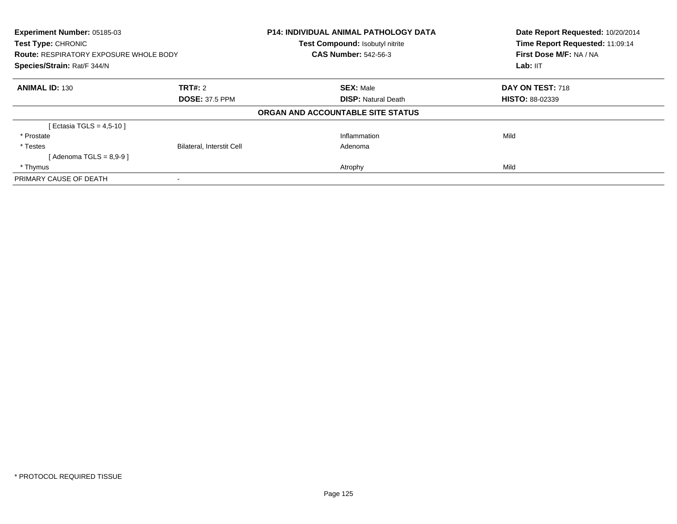| <b>Experiment Number: 05185-03</b>            |                                  | <b>P14: INDIVIDUAL ANIMAL PATHOLOGY DATA</b> | Date Report Requested: 10/20/2014<br>Time Report Requested: 11:09:14<br>First Dose M/F: NA / NA |
|-----------------------------------------------|----------------------------------|----------------------------------------------|-------------------------------------------------------------------------------------------------|
| <b>Test Type: CHRONIC</b>                     |                                  | Test Compound: Isobutyl nitrite              |                                                                                                 |
| <b>Route: RESPIRATORY EXPOSURE WHOLE BODY</b> |                                  | <b>CAS Number: 542-56-3</b>                  |                                                                                                 |
| Species/Strain: Rat/F 344/N                   |                                  |                                              | Lab: $III$                                                                                      |
| <b>ANIMAL ID: 130</b>                         | TRT#: 2                          | <b>SEX: Male</b>                             | DAY ON TEST: 718                                                                                |
|                                               | <b>DOSE: 37.5 PPM</b>            | <b>DISP:</b> Natural Death                   | <b>HISTO: 88-02339</b>                                                                          |
|                                               |                                  | ORGAN AND ACCOUNTABLE SITE STATUS            |                                                                                                 |
| [ Ectasia TGLS = 4,5-10 ]                     |                                  |                                              |                                                                                                 |
| * Prostate                                    |                                  | Inflammation                                 | Mild                                                                                            |
| * Testes                                      | <b>Bilateral, Interstit Cell</b> | Adenoma                                      |                                                                                                 |
| [Adenoma TGLS = $8.9 - 9$ ]                   |                                  |                                              |                                                                                                 |
| * Thymus                                      |                                  | Atrophy                                      | Mild                                                                                            |
| PRIMARY CAUSE OF DEATH                        |                                  |                                              |                                                                                                 |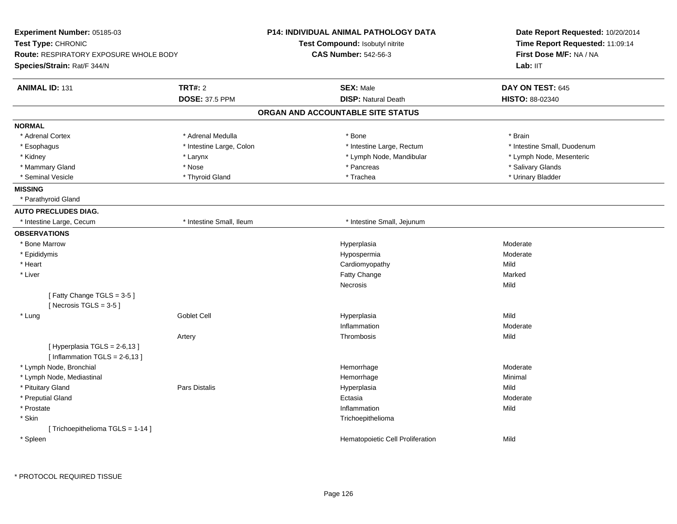| Experiment Number: 05185-03                                         |                          | <b>P14: INDIVIDUAL ANIMAL PATHOLOGY DATA</b> | Date Report Requested: 10/20/2014 |  |
|---------------------------------------------------------------------|--------------------------|----------------------------------------------|-----------------------------------|--|
| Test Type: CHRONIC<br><b>Route: RESPIRATORY EXPOSURE WHOLE BODY</b> |                          | Test Compound: Isobutyl nitrite              | Time Report Requested: 11:09:14   |  |
|                                                                     |                          | <b>CAS Number: 542-56-3</b>                  | First Dose M/F: NA / NA           |  |
| Species/Strain: Rat/F 344/N                                         |                          |                                              | Lab: IIT                          |  |
| <b>ANIMAL ID: 131</b>                                               | <b>TRT#: 2</b>           | <b>SEX: Male</b>                             | DAY ON TEST: 645                  |  |
|                                                                     | <b>DOSE: 37.5 PPM</b>    | <b>DISP: Natural Death</b>                   | HISTO: 88-02340                   |  |
|                                                                     |                          | ORGAN AND ACCOUNTABLE SITE STATUS            |                                   |  |
| <b>NORMAL</b>                                                       |                          |                                              |                                   |  |
| * Adrenal Cortex                                                    | * Adrenal Medulla        | * Bone                                       | * Brain                           |  |
| * Esophagus                                                         | * Intestine Large, Colon | * Intestine Large, Rectum                    | * Intestine Small, Duodenum       |  |
| * Kidney                                                            | * Larynx                 | * Lymph Node, Mandibular                     | * Lymph Node, Mesenteric          |  |
| * Mammary Gland                                                     | * Nose                   | * Pancreas                                   | * Salivary Glands                 |  |
| * Seminal Vesicle                                                   | * Thyroid Gland          | * Trachea                                    | * Urinary Bladder                 |  |
| <b>MISSING</b>                                                      |                          |                                              |                                   |  |
| * Parathyroid Gland                                                 |                          |                                              |                                   |  |
| <b>AUTO PRECLUDES DIAG.</b>                                         |                          |                                              |                                   |  |
| * Intestine Large, Cecum                                            | * Intestine Small, Ileum | * Intestine Small, Jejunum                   |                                   |  |
| <b>OBSERVATIONS</b>                                                 |                          |                                              |                                   |  |
| * Bone Marrow                                                       |                          | Hyperplasia                                  | Moderate                          |  |
| * Epididymis                                                        |                          | Hypospermia                                  | Moderate                          |  |
| * Heart                                                             |                          | Cardiomyopathy                               | Mild                              |  |
| * Liver                                                             |                          | <b>Fatty Change</b>                          | Marked                            |  |
|                                                                     |                          | Necrosis                                     | Mild                              |  |
| [Fatty Change TGLS = 3-5]<br>[Necrosis $TGLS = 3-5$ ]               |                          |                                              |                                   |  |
| * Lung                                                              | <b>Goblet Cell</b>       | Hyperplasia                                  | Mild                              |  |
|                                                                     |                          | Inflammation                                 | Moderate                          |  |
|                                                                     | Artery                   | Thrombosis                                   | Mild                              |  |
| [Hyperplasia TGLS = 2-6,13]                                         |                          |                                              |                                   |  |
| [Inflammation TGLS = $2-6,13$ ]                                     |                          |                                              |                                   |  |
| * Lymph Node, Bronchial                                             |                          | Hemorrhage                                   | Moderate                          |  |
| * Lymph Node, Mediastinal                                           |                          | Hemorrhage                                   | Minimal                           |  |
| * Pituitary Gland                                                   | <b>Pars Distalis</b>     | Hyperplasia                                  | Mild                              |  |
| * Preputial Gland                                                   |                          | Ectasia                                      | Moderate                          |  |
| * Prostate                                                          |                          | Inflammation                                 | Mild                              |  |
| * Skin                                                              |                          | Trichoepithelioma                            |                                   |  |
| [Trichoepithelioma TGLS = 1-14]                                     |                          |                                              |                                   |  |
| * Spleen                                                            |                          | Hematopoietic Cell Proliferation             | Mild                              |  |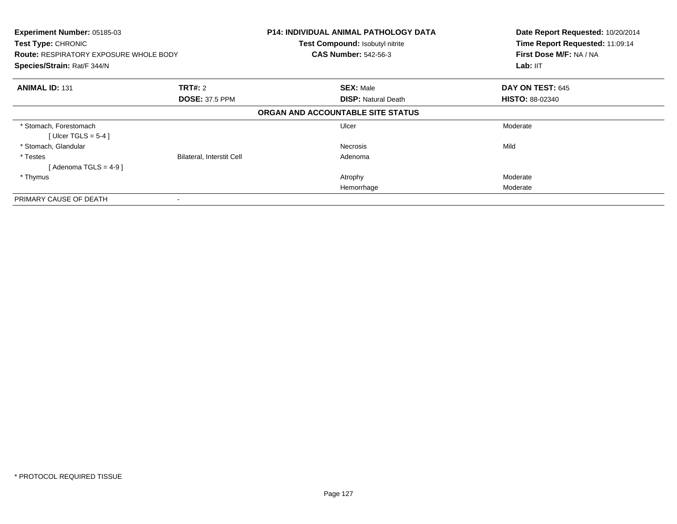| Experiment Number: 05185-03<br><b>Test Type: CHRONIC</b><br><b>Route: RESPIRATORY EXPOSURE WHOLE BODY</b><br>Species/Strain: Rat/F 344/N |                                         | <b>P14: INDIVIDUAL ANIMAL PATHOLOGY DATA</b><br>Test Compound: Isobutyl nitrite<br><b>CAS Number: 542-56-3</b> | Date Report Requested: 10/20/2014<br>Time Report Requested: 11:09:14<br>First Dose M/F: NA / NA<br>Lab: IIT |
|------------------------------------------------------------------------------------------------------------------------------------------|-----------------------------------------|----------------------------------------------------------------------------------------------------------------|-------------------------------------------------------------------------------------------------------------|
| <b>ANIMAL ID: 131</b>                                                                                                                    | <b>TRT#:</b> 2<br><b>DOSE: 37.5 PPM</b> | <b>SEX: Male</b><br><b>DISP:</b> Natural Death                                                                 | DAY ON TEST: 645<br><b>HISTO: 88-02340</b>                                                                  |
|                                                                                                                                          |                                         | ORGAN AND ACCOUNTABLE SITE STATUS                                                                              |                                                                                                             |
| * Stomach, Forestomach<br>[Ulcer TGLS = $5-4$ ]                                                                                          |                                         | Ulcer                                                                                                          | Moderate                                                                                                    |
| * Stomach, Glandular                                                                                                                     |                                         | Necrosis                                                                                                       | Mild                                                                                                        |
| * Testes<br>[Adenoma TGLS = $4-9$ ]                                                                                                      | <b>Bilateral, Interstit Cell</b>        | Adenoma                                                                                                        |                                                                                                             |
| * Thymus                                                                                                                                 |                                         | Atrophy                                                                                                        | Moderate                                                                                                    |
|                                                                                                                                          |                                         | Hemorrhage                                                                                                     | Moderate                                                                                                    |
| PRIMARY CAUSE OF DEATH                                                                                                                   |                                         |                                                                                                                |                                                                                                             |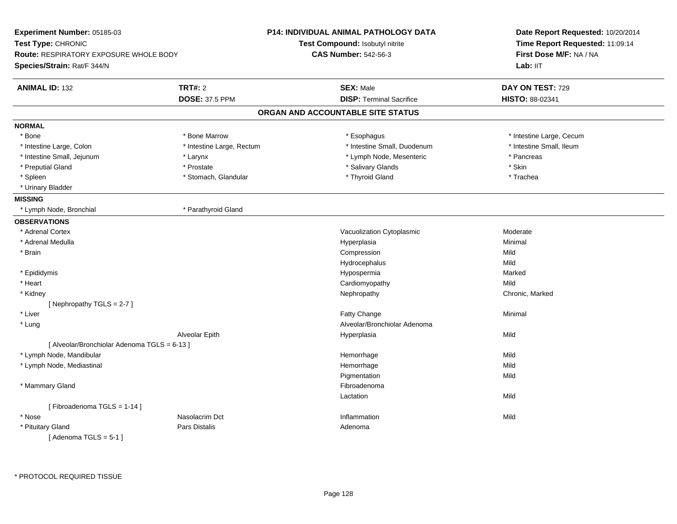| Experiment Number: 05185-03                   |                           | <b>P14: INDIVIDUAL ANIMAL PATHOLOGY DATA</b> | Date Report Requested: 10/20/2014<br>Time Report Requested: 11:09:14<br>First Dose M/F: NA / NA |  |
|-----------------------------------------------|---------------------------|----------------------------------------------|-------------------------------------------------------------------------------------------------|--|
| Test Type: CHRONIC                            |                           | Test Compound: Isobutyl nitrite              |                                                                                                 |  |
| <b>Route: RESPIRATORY EXPOSURE WHOLE BODY</b> |                           | <b>CAS Number: 542-56-3</b>                  |                                                                                                 |  |
| Species/Strain: Rat/F 344/N                   |                           |                                              | Lab: IIT                                                                                        |  |
| <b>ANIMAL ID: 132</b>                         | <b>TRT#: 2</b>            | <b>SEX: Male</b>                             | DAY ON TEST: 729                                                                                |  |
|                                               | <b>DOSE: 37.5 PPM</b>     | <b>DISP: Terminal Sacrifice</b>              | HISTO: 88-02341                                                                                 |  |
|                                               |                           | ORGAN AND ACCOUNTABLE SITE STATUS            |                                                                                                 |  |
| <b>NORMAL</b>                                 |                           |                                              |                                                                                                 |  |
| * Bone                                        | * Bone Marrow             | * Esophagus                                  | * Intestine Large, Cecum                                                                        |  |
| * Intestine Large, Colon                      | * Intestine Large, Rectum | * Intestine Small, Duodenum                  | * Intestine Small, Ileum                                                                        |  |
| * Intestine Small, Jejunum                    | * Larynx                  | * Lymph Node, Mesenteric                     | * Pancreas                                                                                      |  |
| * Preputial Gland                             | * Prostate                | * Salivary Glands                            | * Skin                                                                                          |  |
| * Spleen                                      | * Stomach, Glandular      | * Thyroid Gland                              | * Trachea                                                                                       |  |
| * Urinary Bladder                             |                           |                                              |                                                                                                 |  |
| <b>MISSING</b>                                |                           |                                              |                                                                                                 |  |
| * Lymph Node, Bronchial                       | * Parathyroid Gland       |                                              |                                                                                                 |  |
| <b>OBSERVATIONS</b>                           |                           |                                              |                                                                                                 |  |
| * Adrenal Cortex                              |                           | Vacuolization Cytoplasmic                    | Moderate                                                                                        |  |
| * Adrenal Medulla                             |                           | Hyperplasia                                  | Minimal                                                                                         |  |
| * Brain                                       |                           | Compression                                  | Mild                                                                                            |  |
|                                               |                           | Hydrocephalus                                | Mild                                                                                            |  |
| * Epididymis                                  |                           | Hypospermia                                  | Marked                                                                                          |  |
| * Heart                                       |                           | Cardiomyopathy                               | Mild                                                                                            |  |
| * Kidney                                      |                           | Nephropathy                                  | Chronic, Marked                                                                                 |  |
| [Nephropathy TGLS = $2-7$ ]                   |                           |                                              |                                                                                                 |  |
| * Liver                                       |                           | <b>Fatty Change</b>                          | Minimal                                                                                         |  |
| * Lung                                        |                           | Alveolar/Bronchiolar Adenoma                 |                                                                                                 |  |
|                                               | Alveolar Epith            | Hyperplasia                                  | Mild                                                                                            |  |
| [ Alveolar/Bronchiolar Adenoma TGLS = 6-13 ]  |                           |                                              |                                                                                                 |  |
| * Lymph Node, Mandibular                      |                           | Hemorrhage                                   | Mild                                                                                            |  |
| * Lymph Node, Mediastinal                     |                           | Hemorrhage                                   | Mild                                                                                            |  |
|                                               |                           | Pigmentation                                 | Mild                                                                                            |  |
| * Mammary Gland                               |                           | Fibroadenoma                                 |                                                                                                 |  |
|                                               |                           | Lactation                                    | Mild                                                                                            |  |
| [Fibroadenoma TGLS = 1-14]                    |                           |                                              |                                                                                                 |  |
| * Nose                                        | Nasolacrim Dct            | Inflammation                                 | Mild                                                                                            |  |
| * Pituitary Gland                             | Pars Distalis             | Adenoma                                      |                                                                                                 |  |
| [Adenoma TGLS = $5-1$ ]                       |                           |                                              |                                                                                                 |  |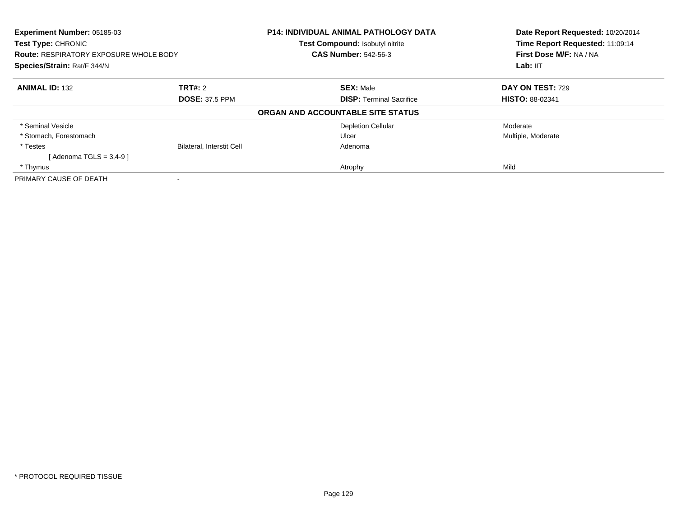| <b>Experiment Number: 05185-03</b><br><b>Test Type: CHRONIC</b>              |                                  | <b>P14: INDIVIDUAL ANIMAL PATHOLOGY DATA</b><br>Test Compound: Isobutyl nitrite | Date Report Requested: 10/20/2014<br>Time Report Requested: 11:09:14 |
|------------------------------------------------------------------------------|----------------------------------|---------------------------------------------------------------------------------|----------------------------------------------------------------------|
| <b>Route: RESPIRATORY EXPOSURE WHOLE BODY</b><br>Species/Strain: Rat/F 344/N |                                  | <b>CAS Number: 542-56-3</b>                                                     | First Dose M/F: NA / NA<br>Lab: IIT                                  |
|                                                                              |                                  |                                                                                 |                                                                      |
| <b>ANIMAL ID: 132</b>                                                        | TRT#: 2                          | <b>SEX: Male</b>                                                                | <b>DAY ON TEST: 729</b>                                              |
|                                                                              | <b>DOSE: 37.5 PPM</b>            | <b>DISP:</b> Terminal Sacrifice                                                 | <b>HISTO: 88-02341</b>                                               |
|                                                                              |                                  | ORGAN AND ACCOUNTABLE SITE STATUS                                               |                                                                      |
| * Seminal Vesicle                                                            |                                  | <b>Depletion Cellular</b>                                                       | Moderate                                                             |
| * Stomach, Forestomach                                                       |                                  | Ulcer                                                                           | Multiple, Moderate                                                   |
| * Testes                                                                     | <b>Bilateral, Interstit Cell</b> | Adenoma                                                                         |                                                                      |
| [Adenoma TGLS = $3,4-9$ ]                                                    |                                  |                                                                                 |                                                                      |
| * Thymus                                                                     |                                  | Atrophy                                                                         | Mild                                                                 |
| PRIMARY CAUSE OF DEATH                                                       |                                  |                                                                                 |                                                                      |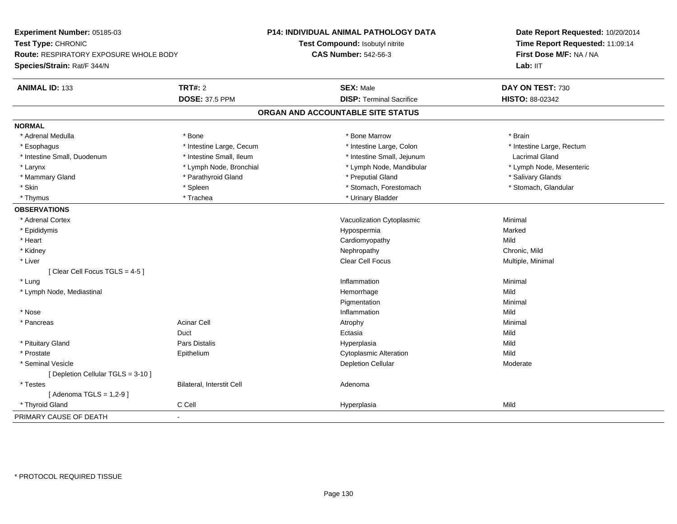| Experiment Number: 05185-03                                         |                           | <b>P14: INDIVIDUAL ANIMAL PATHOLOGY DATA</b> | Date Report Requested: 10/20/2014 |
|---------------------------------------------------------------------|---------------------------|----------------------------------------------|-----------------------------------|
| Test Type: CHRONIC<br><b>Route: RESPIRATORY EXPOSURE WHOLE BODY</b> |                           | Test Compound: Isobutyl nitrite              | Time Report Requested: 11:09:14   |
|                                                                     |                           | <b>CAS Number: 542-56-3</b>                  | First Dose M/F: NA / NA           |
| Species/Strain: Rat/F 344/N                                         |                           |                                              | Lab: IIT                          |
| <b>ANIMAL ID: 133</b>                                               | <b>TRT#: 2</b>            | <b>SEX: Male</b>                             | DAY ON TEST: 730                  |
|                                                                     | <b>DOSE: 37.5 PPM</b>     | <b>DISP: Terminal Sacrifice</b>              | HISTO: 88-02342                   |
|                                                                     |                           | ORGAN AND ACCOUNTABLE SITE STATUS            |                                   |
| <b>NORMAL</b>                                                       |                           |                                              |                                   |
| * Adrenal Medulla                                                   | * Bone                    | * Bone Marrow                                | * Brain                           |
| * Esophagus                                                         | * Intestine Large, Cecum  | * Intestine Large, Colon                     | * Intestine Large, Rectum         |
| * Intestine Small, Duodenum                                         | * Intestine Small, Ileum  | * Intestine Small, Jejunum                   | <b>Lacrimal Gland</b>             |
| * Larynx                                                            | * Lymph Node, Bronchial   | * Lymph Node, Mandibular                     | * Lymph Node, Mesenteric          |
| * Mammary Gland                                                     | * Parathyroid Gland       | * Preputial Gland                            | * Salivary Glands                 |
| * Skin                                                              | * Spleen                  | * Stomach, Forestomach                       | * Stomach, Glandular              |
| * Thymus                                                            | * Trachea                 | * Urinary Bladder                            |                                   |
| <b>OBSERVATIONS</b>                                                 |                           |                                              |                                   |
| * Adrenal Cortex                                                    |                           | Vacuolization Cytoplasmic                    | Minimal                           |
| * Epididymis                                                        |                           | Hypospermia                                  | Marked                            |
| * Heart                                                             |                           | Cardiomyopathy                               | Mild                              |
| * Kidney                                                            |                           | Nephropathy                                  | Chronic, Mild                     |
| * Liver                                                             |                           | Clear Cell Focus                             | Multiple, Minimal                 |
| [Clear Cell Focus TGLS = 4-5]                                       |                           |                                              |                                   |
| * Lung                                                              |                           | Inflammation                                 | Minimal                           |
| * Lymph Node, Mediastinal                                           |                           | Hemorrhage                                   | Mild                              |
|                                                                     |                           | Pigmentation                                 | Minimal                           |
| * Nose                                                              |                           | Inflammation                                 | Mild                              |
| * Pancreas                                                          | <b>Acinar Cell</b>        | Atrophy                                      | Minimal                           |
|                                                                     | Duct                      | Ectasia                                      | Mild                              |
| * Pituitary Gland                                                   | <b>Pars Distalis</b>      | Hyperplasia                                  | Mild                              |
| * Prostate                                                          | Epithelium                | <b>Cytoplasmic Alteration</b>                | Mild                              |
| * Seminal Vesicle                                                   |                           | <b>Depletion Cellular</b>                    | Moderate                          |
| [ Depletion Cellular TGLS = 3-10 ]                                  |                           |                                              |                                   |
| * Testes                                                            | Bilateral, Interstit Cell | Adenoma                                      |                                   |
| [Adenoma TGLS = $1,2-9$ ]                                           |                           |                                              |                                   |
| * Thyroid Gland                                                     | C Cell                    | Hyperplasia                                  | Mild                              |
| PRIMARY CAUSE OF DEATH                                              | $\blacksquare$            |                                              |                                   |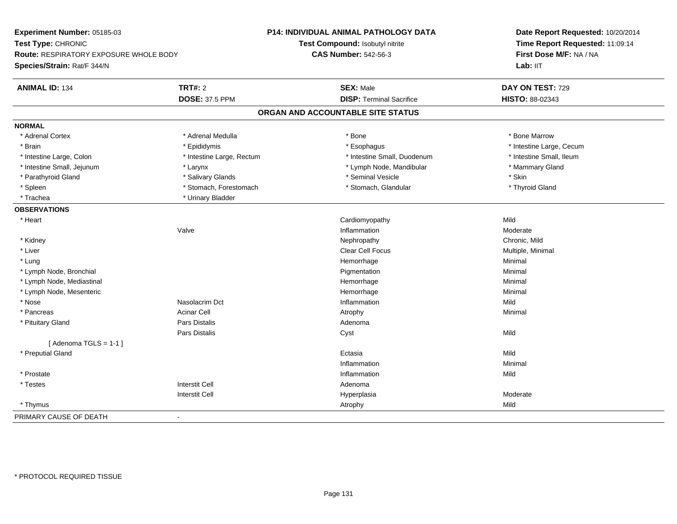| Time Report Requested: 11:09:14<br>Test Type: CHRONIC<br>Test Compound: Isobutyl nitrite<br>First Dose M/F: NA / NA<br>Route: RESPIRATORY EXPOSURE WHOLE BODY<br><b>CAS Number: 542-56-3</b><br>Lab: IIT<br>Species/Strain: Rat/F 344/N<br><b>TRT#: 2</b><br><b>SEX: Male</b><br>DAY ON TEST: 729<br><b>ANIMAL ID: 134</b><br><b>DOSE: 37.5 PPM</b><br><b>DISP: Terminal Sacrifice</b><br>HISTO: 88-02343<br>ORGAN AND ACCOUNTABLE SITE STATUS<br>* Adrenal Medulla<br>* Adrenal Cortex<br>* Bone<br>* Bone Marrow<br>* Brain<br>* Epididymis<br>* Esophagus<br>* Intestine Large, Cecum<br>* Intestine Large, Rectum<br>* Intestine Small, Duodenum<br>* Intestine Small, Ileum<br>* Intestine Large, Colon<br>* Intestine Small, Jejunum<br>* Lymph Node, Mandibular<br>* Mammary Gland<br>* Larynx<br>* Seminal Vesicle<br>* Skin<br>* Parathyroid Gland<br>* Salivary Glands<br>* Stomach, Forestomach<br>* Spleen<br>* Stomach, Glandular<br>* Thyroid Gland<br>* Trachea<br>* Urinary Bladder<br>* Heart<br>Cardiomyopathy<br>Mild<br>Valve<br>Inflammation<br>Moderate<br>* Kidney<br>Nephropathy<br>Chronic, Mild<br>* Liver<br>Clear Cell Focus<br>Multiple, Minimal<br>Hemorrhage<br>Minimal<br>* Lung<br>* Lymph Node, Bronchial<br>Minimal<br>Pigmentation<br>* Lymph Node, Mediastinal<br>Hemorrhage<br>Minimal<br>* Lymph Node, Mesenteric<br>Hemorrhage<br>Minimal<br>Nasolacrim Dct<br>* Nose<br>Inflammation<br>Mild<br>* Pancreas<br>Acinar Cell<br>Minimal<br>Atrophy<br>Pars Distalis<br>* Pituitary Gland<br>Adenoma<br>Pars Distalis<br>Mild<br>Cyst<br>[Adenoma TGLS = $1-1$ ]<br>* Preputial Gland<br>Mild<br>Ectasia<br>Inflammation<br>Minimal<br>* Prostate<br>Inflammation<br>Mild<br><b>Interstit Cell</b><br>* Testes<br>Adenoma<br><b>Interstit Cell</b><br>Moderate<br>Hyperplasia<br>Mild<br>* Thymus<br>Atrophy<br>$\blacksquare$ | Experiment Number: 05185-03 | P14: INDIVIDUAL ANIMAL PATHOLOGY DATA | Date Report Requested: 10/20/2014 |
|---------------------------------------------------------------------------------------------------------------------------------------------------------------------------------------------------------------------------------------------------------------------------------------------------------------------------------------------------------------------------------------------------------------------------------------------------------------------------------------------------------------------------------------------------------------------------------------------------------------------------------------------------------------------------------------------------------------------------------------------------------------------------------------------------------------------------------------------------------------------------------------------------------------------------------------------------------------------------------------------------------------------------------------------------------------------------------------------------------------------------------------------------------------------------------------------------------------------------------------------------------------------------------------------------------------------------------------------------------------------------------------------------------------------------------------------------------------------------------------------------------------------------------------------------------------------------------------------------------------------------------------------------------------------------------------------------------------------------------------------------------------------------------------------------------------------------------------------------------------------|-----------------------------|---------------------------------------|-----------------------------------|
|                                                                                                                                                                                                                                                                                                                                                                                                                                                                                                                                                                                                                                                                                                                                                                                                                                                                                                                                                                                                                                                                                                                                                                                                                                                                                                                                                                                                                                                                                                                                                                                                                                                                                                                                                                                                                                                                     |                             |                                       |                                   |
|                                                                                                                                                                                                                                                                                                                                                                                                                                                                                                                                                                                                                                                                                                                                                                                                                                                                                                                                                                                                                                                                                                                                                                                                                                                                                                                                                                                                                                                                                                                                                                                                                                                                                                                                                                                                                                                                     |                             |                                       |                                   |
|                                                                                                                                                                                                                                                                                                                                                                                                                                                                                                                                                                                                                                                                                                                                                                                                                                                                                                                                                                                                                                                                                                                                                                                                                                                                                                                                                                                                                                                                                                                                                                                                                                                                                                                                                                                                                                                                     |                             |                                       |                                   |
|                                                                                                                                                                                                                                                                                                                                                                                                                                                                                                                                                                                                                                                                                                                                                                                                                                                                                                                                                                                                                                                                                                                                                                                                                                                                                                                                                                                                                                                                                                                                                                                                                                                                                                                                                                                                                                                                     |                             |                                       |                                   |
|                                                                                                                                                                                                                                                                                                                                                                                                                                                                                                                                                                                                                                                                                                                                                                                                                                                                                                                                                                                                                                                                                                                                                                                                                                                                                                                                                                                                                                                                                                                                                                                                                                                                                                                                                                                                                                                                     |                             |                                       |                                   |
|                                                                                                                                                                                                                                                                                                                                                                                                                                                                                                                                                                                                                                                                                                                                                                                                                                                                                                                                                                                                                                                                                                                                                                                                                                                                                                                                                                                                                                                                                                                                                                                                                                                                                                                                                                                                                                                                     |                             |                                       |                                   |
|                                                                                                                                                                                                                                                                                                                                                                                                                                                                                                                                                                                                                                                                                                                                                                                                                                                                                                                                                                                                                                                                                                                                                                                                                                                                                                                                                                                                                                                                                                                                                                                                                                                                                                                                                                                                                                                                     |                             |                                       |                                   |
|                                                                                                                                                                                                                                                                                                                                                                                                                                                                                                                                                                                                                                                                                                                                                                                                                                                                                                                                                                                                                                                                                                                                                                                                                                                                                                                                                                                                                                                                                                                                                                                                                                                                                                                                                                                                                                                                     | <b>NORMAL</b>               |                                       |                                   |
|                                                                                                                                                                                                                                                                                                                                                                                                                                                                                                                                                                                                                                                                                                                                                                                                                                                                                                                                                                                                                                                                                                                                                                                                                                                                                                                                                                                                                                                                                                                                                                                                                                                                                                                                                                                                                                                                     |                             |                                       |                                   |
|                                                                                                                                                                                                                                                                                                                                                                                                                                                                                                                                                                                                                                                                                                                                                                                                                                                                                                                                                                                                                                                                                                                                                                                                                                                                                                                                                                                                                                                                                                                                                                                                                                                                                                                                                                                                                                                                     |                             |                                       |                                   |
|                                                                                                                                                                                                                                                                                                                                                                                                                                                                                                                                                                                                                                                                                                                                                                                                                                                                                                                                                                                                                                                                                                                                                                                                                                                                                                                                                                                                                                                                                                                                                                                                                                                                                                                                                                                                                                                                     |                             |                                       |                                   |
|                                                                                                                                                                                                                                                                                                                                                                                                                                                                                                                                                                                                                                                                                                                                                                                                                                                                                                                                                                                                                                                                                                                                                                                                                                                                                                                                                                                                                                                                                                                                                                                                                                                                                                                                                                                                                                                                     |                             |                                       |                                   |
|                                                                                                                                                                                                                                                                                                                                                                                                                                                                                                                                                                                                                                                                                                                                                                                                                                                                                                                                                                                                                                                                                                                                                                                                                                                                                                                                                                                                                                                                                                                                                                                                                                                                                                                                                                                                                                                                     |                             |                                       |                                   |
|                                                                                                                                                                                                                                                                                                                                                                                                                                                                                                                                                                                                                                                                                                                                                                                                                                                                                                                                                                                                                                                                                                                                                                                                                                                                                                                                                                                                                                                                                                                                                                                                                                                                                                                                                                                                                                                                     |                             |                                       |                                   |
|                                                                                                                                                                                                                                                                                                                                                                                                                                                                                                                                                                                                                                                                                                                                                                                                                                                                                                                                                                                                                                                                                                                                                                                                                                                                                                                                                                                                                                                                                                                                                                                                                                                                                                                                                                                                                                                                     |                             |                                       |                                   |
|                                                                                                                                                                                                                                                                                                                                                                                                                                                                                                                                                                                                                                                                                                                                                                                                                                                                                                                                                                                                                                                                                                                                                                                                                                                                                                                                                                                                                                                                                                                                                                                                                                                                                                                                                                                                                                                                     | <b>OBSERVATIONS</b>         |                                       |                                   |
|                                                                                                                                                                                                                                                                                                                                                                                                                                                                                                                                                                                                                                                                                                                                                                                                                                                                                                                                                                                                                                                                                                                                                                                                                                                                                                                                                                                                                                                                                                                                                                                                                                                                                                                                                                                                                                                                     |                             |                                       |                                   |
|                                                                                                                                                                                                                                                                                                                                                                                                                                                                                                                                                                                                                                                                                                                                                                                                                                                                                                                                                                                                                                                                                                                                                                                                                                                                                                                                                                                                                                                                                                                                                                                                                                                                                                                                                                                                                                                                     |                             |                                       |                                   |
|                                                                                                                                                                                                                                                                                                                                                                                                                                                                                                                                                                                                                                                                                                                                                                                                                                                                                                                                                                                                                                                                                                                                                                                                                                                                                                                                                                                                                                                                                                                                                                                                                                                                                                                                                                                                                                                                     |                             |                                       |                                   |
|                                                                                                                                                                                                                                                                                                                                                                                                                                                                                                                                                                                                                                                                                                                                                                                                                                                                                                                                                                                                                                                                                                                                                                                                                                                                                                                                                                                                                                                                                                                                                                                                                                                                                                                                                                                                                                                                     |                             |                                       |                                   |
|                                                                                                                                                                                                                                                                                                                                                                                                                                                                                                                                                                                                                                                                                                                                                                                                                                                                                                                                                                                                                                                                                                                                                                                                                                                                                                                                                                                                                                                                                                                                                                                                                                                                                                                                                                                                                                                                     |                             |                                       |                                   |
|                                                                                                                                                                                                                                                                                                                                                                                                                                                                                                                                                                                                                                                                                                                                                                                                                                                                                                                                                                                                                                                                                                                                                                                                                                                                                                                                                                                                                                                                                                                                                                                                                                                                                                                                                                                                                                                                     |                             |                                       |                                   |
|                                                                                                                                                                                                                                                                                                                                                                                                                                                                                                                                                                                                                                                                                                                                                                                                                                                                                                                                                                                                                                                                                                                                                                                                                                                                                                                                                                                                                                                                                                                                                                                                                                                                                                                                                                                                                                                                     |                             |                                       |                                   |
|                                                                                                                                                                                                                                                                                                                                                                                                                                                                                                                                                                                                                                                                                                                                                                                                                                                                                                                                                                                                                                                                                                                                                                                                                                                                                                                                                                                                                                                                                                                                                                                                                                                                                                                                                                                                                                                                     |                             |                                       |                                   |
|                                                                                                                                                                                                                                                                                                                                                                                                                                                                                                                                                                                                                                                                                                                                                                                                                                                                                                                                                                                                                                                                                                                                                                                                                                                                                                                                                                                                                                                                                                                                                                                                                                                                                                                                                                                                                                                                     |                             |                                       |                                   |
|                                                                                                                                                                                                                                                                                                                                                                                                                                                                                                                                                                                                                                                                                                                                                                                                                                                                                                                                                                                                                                                                                                                                                                                                                                                                                                                                                                                                                                                                                                                                                                                                                                                                                                                                                                                                                                                                     |                             |                                       |                                   |
|                                                                                                                                                                                                                                                                                                                                                                                                                                                                                                                                                                                                                                                                                                                                                                                                                                                                                                                                                                                                                                                                                                                                                                                                                                                                                                                                                                                                                                                                                                                                                                                                                                                                                                                                                                                                                                                                     |                             |                                       |                                   |
|                                                                                                                                                                                                                                                                                                                                                                                                                                                                                                                                                                                                                                                                                                                                                                                                                                                                                                                                                                                                                                                                                                                                                                                                                                                                                                                                                                                                                                                                                                                                                                                                                                                                                                                                                                                                                                                                     |                             |                                       |                                   |
|                                                                                                                                                                                                                                                                                                                                                                                                                                                                                                                                                                                                                                                                                                                                                                                                                                                                                                                                                                                                                                                                                                                                                                                                                                                                                                                                                                                                                                                                                                                                                                                                                                                                                                                                                                                                                                                                     |                             |                                       |                                   |
|                                                                                                                                                                                                                                                                                                                                                                                                                                                                                                                                                                                                                                                                                                                                                                                                                                                                                                                                                                                                                                                                                                                                                                                                                                                                                                                                                                                                                                                                                                                                                                                                                                                                                                                                                                                                                                                                     |                             |                                       |                                   |
|                                                                                                                                                                                                                                                                                                                                                                                                                                                                                                                                                                                                                                                                                                                                                                                                                                                                                                                                                                                                                                                                                                                                                                                                                                                                                                                                                                                                                                                                                                                                                                                                                                                                                                                                                                                                                                                                     |                             |                                       |                                   |
|                                                                                                                                                                                                                                                                                                                                                                                                                                                                                                                                                                                                                                                                                                                                                                                                                                                                                                                                                                                                                                                                                                                                                                                                                                                                                                                                                                                                                                                                                                                                                                                                                                                                                                                                                                                                                                                                     |                             |                                       |                                   |
|                                                                                                                                                                                                                                                                                                                                                                                                                                                                                                                                                                                                                                                                                                                                                                                                                                                                                                                                                                                                                                                                                                                                                                                                                                                                                                                                                                                                                                                                                                                                                                                                                                                                                                                                                                                                                                                                     |                             |                                       |                                   |
|                                                                                                                                                                                                                                                                                                                                                                                                                                                                                                                                                                                                                                                                                                                                                                                                                                                                                                                                                                                                                                                                                                                                                                                                                                                                                                                                                                                                                                                                                                                                                                                                                                                                                                                                                                                                                                                                     |                             |                                       |                                   |
|                                                                                                                                                                                                                                                                                                                                                                                                                                                                                                                                                                                                                                                                                                                                                                                                                                                                                                                                                                                                                                                                                                                                                                                                                                                                                                                                                                                                                                                                                                                                                                                                                                                                                                                                                                                                                                                                     |                             |                                       |                                   |
|                                                                                                                                                                                                                                                                                                                                                                                                                                                                                                                                                                                                                                                                                                                                                                                                                                                                                                                                                                                                                                                                                                                                                                                                                                                                                                                                                                                                                                                                                                                                                                                                                                                                                                                                                                                                                                                                     | PRIMARY CAUSE OF DEATH      |                                       |                                   |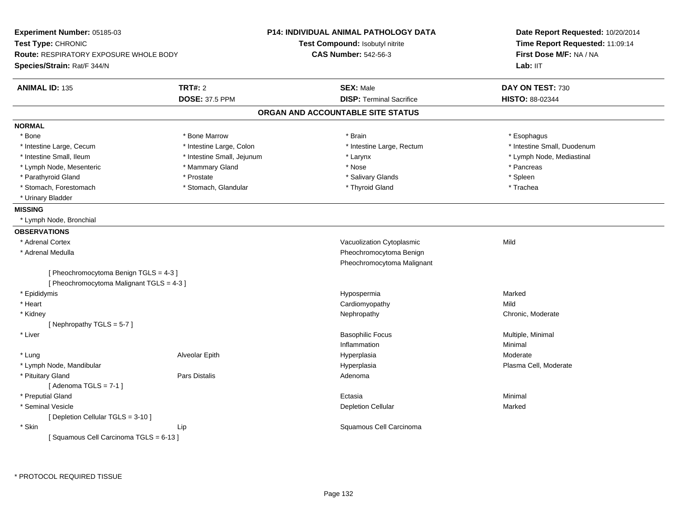| Time Report Requested: 11:09:14<br>Test Compound: Isobutyl nitrite<br><b>CAS Number: 542-56-3</b><br>First Dose M/F: NA / NA<br>Route: RESPIRATORY EXPOSURE WHOLE BODY<br>Lab: II <sub>T</sub><br><b>TRT#: 2</b><br><b>SEX: Male</b><br>DAY ON TEST: 730<br><b>DOSE: 37.5 PPM</b><br><b>DISP: Terminal Sacrifice</b><br>HISTO: 88-02344<br>ORGAN AND ACCOUNTABLE SITE STATUS<br>* Bone Marrow<br>* Bone<br>* Brain<br>* Esophagus<br>* Intestine Large, Colon<br>* Intestine Small, Duodenum<br>* Intestine Large, Cecum<br>* Intestine Large, Rectum<br>* Intestine Small, Ileum<br>* Intestine Small, Jejunum<br>* Lymph Node, Mediastinal<br>* Larynx<br>* Lymph Node, Mesenteric<br>* Mammary Gland<br>* Pancreas<br>* Nose<br>* Parathyroid Gland<br>* Prostate<br>* Salivary Glands<br>* Spleen<br>* Stomach, Glandular<br>* Thyroid Gland<br>* Trachea<br>* Stomach, Forestomach<br>* Urinary Bladder<br>* Lymph Node, Bronchial<br>* Adrenal Cortex<br>Vacuolization Cytoplasmic<br>Mild<br>Pheochromocytoma Benign<br>* Adrenal Medulla<br>Pheochromocytoma Malignant<br>[ Pheochromocytoma Benign TGLS = 4-3 ]<br>[ Pheochromocytoma Malignant TGLS = 4-3 ]<br>* Epididymis<br>Hypospermia<br>Marked<br>Cardiomyopathy<br>* Heart<br>Mild<br>Chronic, Moderate<br>* Kidney<br>Nephropathy<br>[Nephropathy TGLS = 5-7]<br>* Liver<br><b>Basophilic Focus</b><br>Multiple, Minimal<br>Inflammation<br>Minimal<br>Alveolar Epith<br>Hyperplasia<br>Moderate<br>* Lung<br>* Lymph Node, Mandibular<br>Hyperplasia<br>Plasma Cell, Moderate<br>* Pituitary Gland<br><b>Pars Distalis</b><br>Adenoma<br>[Adenoma TGLS = $7-1$ ]<br>* Preputial Gland<br>Ectasia<br>Minimal<br>* Seminal Vesicle<br><b>Depletion Cellular</b><br>Marked<br>[ Depletion Cellular TGLS = 3-10 ]<br>* Skin<br>Squamous Cell Carcinoma<br>Lip<br>[Squamous Cell Carcinoma TGLS = 6-13] | Experiment Number: 05185-03 | <b>P14: INDIVIDUAL ANIMAL PATHOLOGY DATA</b> | Date Report Requested: 10/20/2014 |  |
|-----------------------------------------------------------------------------------------------------------------------------------------------------------------------------------------------------------------------------------------------------------------------------------------------------------------------------------------------------------------------------------------------------------------------------------------------------------------------------------------------------------------------------------------------------------------------------------------------------------------------------------------------------------------------------------------------------------------------------------------------------------------------------------------------------------------------------------------------------------------------------------------------------------------------------------------------------------------------------------------------------------------------------------------------------------------------------------------------------------------------------------------------------------------------------------------------------------------------------------------------------------------------------------------------------------------------------------------------------------------------------------------------------------------------------------------------------------------------------------------------------------------------------------------------------------------------------------------------------------------------------------------------------------------------------------------------------------------------------------------------------------------------------------------------------------------------------------------------------------------------|-----------------------------|----------------------------------------------|-----------------------------------|--|
|                                                                                                                                                                                                                                                                                                                                                                                                                                                                                                                                                                                                                                                                                                                                                                                                                                                                                                                                                                                                                                                                                                                                                                                                                                                                                                                                                                                                                                                                                                                                                                                                                                                                                                                                                                                                                                                                       | Test Type: CHRONIC          |                                              |                                   |  |
|                                                                                                                                                                                                                                                                                                                                                                                                                                                                                                                                                                                                                                                                                                                                                                                                                                                                                                                                                                                                                                                                                                                                                                                                                                                                                                                                                                                                                                                                                                                                                                                                                                                                                                                                                                                                                                                                       |                             |                                              |                                   |  |
|                                                                                                                                                                                                                                                                                                                                                                                                                                                                                                                                                                                                                                                                                                                                                                                                                                                                                                                                                                                                                                                                                                                                                                                                                                                                                                                                                                                                                                                                                                                                                                                                                                                                                                                                                                                                                                                                       | Species/Strain: Rat/F 344/N |                                              |                                   |  |
|                                                                                                                                                                                                                                                                                                                                                                                                                                                                                                                                                                                                                                                                                                                                                                                                                                                                                                                                                                                                                                                                                                                                                                                                                                                                                                                                                                                                                                                                                                                                                                                                                                                                                                                                                                                                                                                                       | <b>ANIMAL ID: 135</b>       |                                              |                                   |  |
|                                                                                                                                                                                                                                                                                                                                                                                                                                                                                                                                                                                                                                                                                                                                                                                                                                                                                                                                                                                                                                                                                                                                                                                                                                                                                                                                                                                                                                                                                                                                                                                                                                                                                                                                                                                                                                                                       |                             |                                              |                                   |  |
|                                                                                                                                                                                                                                                                                                                                                                                                                                                                                                                                                                                                                                                                                                                                                                                                                                                                                                                                                                                                                                                                                                                                                                                                                                                                                                                                                                                                                                                                                                                                                                                                                                                                                                                                                                                                                                                                       |                             |                                              |                                   |  |
|                                                                                                                                                                                                                                                                                                                                                                                                                                                                                                                                                                                                                                                                                                                                                                                                                                                                                                                                                                                                                                                                                                                                                                                                                                                                                                                                                                                                                                                                                                                                                                                                                                                                                                                                                                                                                                                                       | <b>NORMAL</b>               |                                              |                                   |  |
|                                                                                                                                                                                                                                                                                                                                                                                                                                                                                                                                                                                                                                                                                                                                                                                                                                                                                                                                                                                                                                                                                                                                                                                                                                                                                                                                                                                                                                                                                                                                                                                                                                                                                                                                                                                                                                                                       |                             |                                              |                                   |  |
|                                                                                                                                                                                                                                                                                                                                                                                                                                                                                                                                                                                                                                                                                                                                                                                                                                                                                                                                                                                                                                                                                                                                                                                                                                                                                                                                                                                                                                                                                                                                                                                                                                                                                                                                                                                                                                                                       |                             |                                              |                                   |  |
|                                                                                                                                                                                                                                                                                                                                                                                                                                                                                                                                                                                                                                                                                                                                                                                                                                                                                                                                                                                                                                                                                                                                                                                                                                                                                                                                                                                                                                                                                                                                                                                                                                                                                                                                                                                                                                                                       |                             |                                              |                                   |  |
|                                                                                                                                                                                                                                                                                                                                                                                                                                                                                                                                                                                                                                                                                                                                                                                                                                                                                                                                                                                                                                                                                                                                                                                                                                                                                                                                                                                                                                                                                                                                                                                                                                                                                                                                                                                                                                                                       |                             |                                              |                                   |  |
|                                                                                                                                                                                                                                                                                                                                                                                                                                                                                                                                                                                                                                                                                                                                                                                                                                                                                                                                                                                                                                                                                                                                                                                                                                                                                                                                                                                                                                                                                                                                                                                                                                                                                                                                                                                                                                                                       |                             |                                              |                                   |  |
|                                                                                                                                                                                                                                                                                                                                                                                                                                                                                                                                                                                                                                                                                                                                                                                                                                                                                                                                                                                                                                                                                                                                                                                                                                                                                                                                                                                                                                                                                                                                                                                                                                                                                                                                                                                                                                                                       |                             |                                              |                                   |  |
|                                                                                                                                                                                                                                                                                                                                                                                                                                                                                                                                                                                                                                                                                                                                                                                                                                                                                                                                                                                                                                                                                                                                                                                                                                                                                                                                                                                                                                                                                                                                                                                                                                                                                                                                                                                                                                                                       |                             |                                              |                                   |  |
|                                                                                                                                                                                                                                                                                                                                                                                                                                                                                                                                                                                                                                                                                                                                                                                                                                                                                                                                                                                                                                                                                                                                                                                                                                                                                                                                                                                                                                                                                                                                                                                                                                                                                                                                                                                                                                                                       | <b>MISSING</b>              |                                              |                                   |  |
|                                                                                                                                                                                                                                                                                                                                                                                                                                                                                                                                                                                                                                                                                                                                                                                                                                                                                                                                                                                                                                                                                                                                                                                                                                                                                                                                                                                                                                                                                                                                                                                                                                                                                                                                                                                                                                                                       |                             |                                              |                                   |  |
|                                                                                                                                                                                                                                                                                                                                                                                                                                                                                                                                                                                                                                                                                                                                                                                                                                                                                                                                                                                                                                                                                                                                                                                                                                                                                                                                                                                                                                                                                                                                                                                                                                                                                                                                                                                                                                                                       | <b>OBSERVATIONS</b>         |                                              |                                   |  |
|                                                                                                                                                                                                                                                                                                                                                                                                                                                                                                                                                                                                                                                                                                                                                                                                                                                                                                                                                                                                                                                                                                                                                                                                                                                                                                                                                                                                                                                                                                                                                                                                                                                                                                                                                                                                                                                                       |                             |                                              |                                   |  |
|                                                                                                                                                                                                                                                                                                                                                                                                                                                                                                                                                                                                                                                                                                                                                                                                                                                                                                                                                                                                                                                                                                                                                                                                                                                                                                                                                                                                                                                                                                                                                                                                                                                                                                                                                                                                                                                                       |                             |                                              |                                   |  |
|                                                                                                                                                                                                                                                                                                                                                                                                                                                                                                                                                                                                                                                                                                                                                                                                                                                                                                                                                                                                                                                                                                                                                                                                                                                                                                                                                                                                                                                                                                                                                                                                                                                                                                                                                                                                                                                                       |                             |                                              |                                   |  |
|                                                                                                                                                                                                                                                                                                                                                                                                                                                                                                                                                                                                                                                                                                                                                                                                                                                                                                                                                                                                                                                                                                                                                                                                                                                                                                                                                                                                                                                                                                                                                                                                                                                                                                                                                                                                                                                                       |                             |                                              |                                   |  |
|                                                                                                                                                                                                                                                                                                                                                                                                                                                                                                                                                                                                                                                                                                                                                                                                                                                                                                                                                                                                                                                                                                                                                                                                                                                                                                                                                                                                                                                                                                                                                                                                                                                                                                                                                                                                                                                                       |                             |                                              |                                   |  |
|                                                                                                                                                                                                                                                                                                                                                                                                                                                                                                                                                                                                                                                                                                                                                                                                                                                                                                                                                                                                                                                                                                                                                                                                                                                                                                                                                                                                                                                                                                                                                                                                                                                                                                                                                                                                                                                                       |                             |                                              |                                   |  |
|                                                                                                                                                                                                                                                                                                                                                                                                                                                                                                                                                                                                                                                                                                                                                                                                                                                                                                                                                                                                                                                                                                                                                                                                                                                                                                                                                                                                                                                                                                                                                                                                                                                                                                                                                                                                                                                                       |                             |                                              |                                   |  |
|                                                                                                                                                                                                                                                                                                                                                                                                                                                                                                                                                                                                                                                                                                                                                                                                                                                                                                                                                                                                                                                                                                                                                                                                                                                                                                                                                                                                                                                                                                                                                                                                                                                                                                                                                                                                                                                                       |                             |                                              |                                   |  |
|                                                                                                                                                                                                                                                                                                                                                                                                                                                                                                                                                                                                                                                                                                                                                                                                                                                                                                                                                                                                                                                                                                                                                                                                                                                                                                                                                                                                                                                                                                                                                                                                                                                                                                                                                                                                                                                                       |                             |                                              |                                   |  |
|                                                                                                                                                                                                                                                                                                                                                                                                                                                                                                                                                                                                                                                                                                                                                                                                                                                                                                                                                                                                                                                                                                                                                                                                                                                                                                                                                                                                                                                                                                                                                                                                                                                                                                                                                                                                                                                                       |                             |                                              |                                   |  |
|                                                                                                                                                                                                                                                                                                                                                                                                                                                                                                                                                                                                                                                                                                                                                                                                                                                                                                                                                                                                                                                                                                                                                                                                                                                                                                                                                                                                                                                                                                                                                                                                                                                                                                                                                                                                                                                                       |                             |                                              |                                   |  |
|                                                                                                                                                                                                                                                                                                                                                                                                                                                                                                                                                                                                                                                                                                                                                                                                                                                                                                                                                                                                                                                                                                                                                                                                                                                                                                                                                                                                                                                                                                                                                                                                                                                                                                                                                                                                                                                                       |                             |                                              |                                   |  |
|                                                                                                                                                                                                                                                                                                                                                                                                                                                                                                                                                                                                                                                                                                                                                                                                                                                                                                                                                                                                                                                                                                                                                                                                                                                                                                                                                                                                                                                                                                                                                                                                                                                                                                                                                                                                                                                                       |                             |                                              |                                   |  |
|                                                                                                                                                                                                                                                                                                                                                                                                                                                                                                                                                                                                                                                                                                                                                                                                                                                                                                                                                                                                                                                                                                                                                                                                                                                                                                                                                                                                                                                                                                                                                                                                                                                                                                                                                                                                                                                                       |                             |                                              |                                   |  |
|                                                                                                                                                                                                                                                                                                                                                                                                                                                                                                                                                                                                                                                                                                                                                                                                                                                                                                                                                                                                                                                                                                                                                                                                                                                                                                                                                                                                                                                                                                                                                                                                                                                                                                                                                                                                                                                                       |                             |                                              |                                   |  |
|                                                                                                                                                                                                                                                                                                                                                                                                                                                                                                                                                                                                                                                                                                                                                                                                                                                                                                                                                                                                                                                                                                                                                                                                                                                                                                                                                                                                                                                                                                                                                                                                                                                                                                                                                                                                                                                                       |                             |                                              |                                   |  |
|                                                                                                                                                                                                                                                                                                                                                                                                                                                                                                                                                                                                                                                                                                                                                                                                                                                                                                                                                                                                                                                                                                                                                                                                                                                                                                                                                                                                                                                                                                                                                                                                                                                                                                                                                                                                                                                                       |                             |                                              |                                   |  |
|                                                                                                                                                                                                                                                                                                                                                                                                                                                                                                                                                                                                                                                                                                                                                                                                                                                                                                                                                                                                                                                                                                                                                                                                                                                                                                                                                                                                                                                                                                                                                                                                                                                                                                                                                                                                                                                                       |                             |                                              |                                   |  |
|                                                                                                                                                                                                                                                                                                                                                                                                                                                                                                                                                                                                                                                                                                                                                                                                                                                                                                                                                                                                                                                                                                                                                                                                                                                                                                                                                                                                                                                                                                                                                                                                                                                                                                                                                                                                                                                                       |                             |                                              |                                   |  |
|                                                                                                                                                                                                                                                                                                                                                                                                                                                                                                                                                                                                                                                                                                                                                                                                                                                                                                                                                                                                                                                                                                                                                                                                                                                                                                                                                                                                                                                                                                                                                                                                                                                                                                                                                                                                                                                                       |                             |                                              |                                   |  |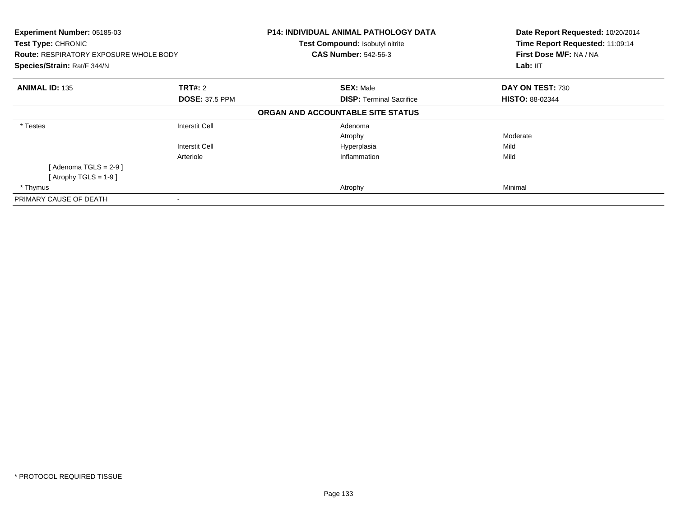| Experiment Number: 05185-03<br><b>Test Type: CHRONIC</b><br><b>Route: RESPIRATORY EXPOSURE WHOLE BODY</b><br>Species/Strain: Rat/F 344/N |                                                | <b>P14: INDIVIDUAL ANIMAL PATHOLOGY DATA</b><br>Test Compound: Isobutyl nitrite<br><b>CAS Number: 542-56-3</b> | Date Report Requested: 10/20/2014<br>Time Report Requested: 11:09:14<br>First Dose M/F: NA / NA<br>Lab: IIT |
|------------------------------------------------------------------------------------------------------------------------------------------|------------------------------------------------|----------------------------------------------------------------------------------------------------------------|-------------------------------------------------------------------------------------------------------------|
| <b>ANIMAL ID: 135</b>                                                                                                                    | <b>TRT#:</b> 2<br><b>DOSE: 37.5 PPM</b>        | <b>SEX: Male</b><br><b>DISP: Terminal Sacrifice</b>                                                            | DAY ON TEST: 730<br><b>HISTO: 88-02344</b>                                                                  |
|                                                                                                                                          |                                                | ORGAN AND ACCOUNTABLE SITE STATUS                                                                              |                                                                                                             |
| * Testes                                                                                                                                 | <b>Interstit Cell</b><br><b>Interstit Cell</b> | Adenoma<br>Atrophy<br>Hyperplasia                                                                              | Moderate<br>Mild                                                                                            |
| [Adenoma TGLS = $2-9$ ]<br>[Atrophy TGLS = $1-9$ ]<br>* Thymus                                                                           | Arteriole                                      | Inflammation<br>Atrophy                                                                                        | Mild<br>Minimal                                                                                             |
| PRIMARY CAUSE OF DEATH                                                                                                                   |                                                |                                                                                                                |                                                                                                             |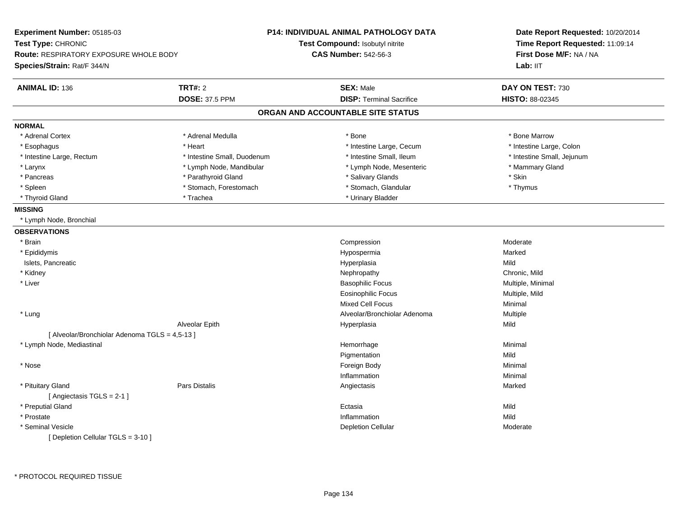| Experiment Number: 05185-03                    |                             | P14: INDIVIDUAL ANIMAL PATHOLOGY DATA | Date Report Requested: 10/20/2014<br>Time Report Requested: 11:09:14<br>First Dose M/F: NA / NA<br>Lab: IIT |
|------------------------------------------------|-----------------------------|---------------------------------------|-------------------------------------------------------------------------------------------------------------|
| Test Type: CHRONIC                             |                             | Test Compound: Isobutyl nitrite       |                                                                                                             |
| Route: RESPIRATORY EXPOSURE WHOLE BODY         |                             | <b>CAS Number: 542-56-3</b>           |                                                                                                             |
| Species/Strain: Rat/F 344/N                    |                             |                                       |                                                                                                             |
| <b>ANIMAL ID: 136</b>                          | TRT#: 2                     | <b>SEX: Male</b>                      | DAY ON TEST: 730                                                                                            |
|                                                | <b>DOSE: 37.5 PPM</b>       | <b>DISP: Terminal Sacrifice</b>       | <b>HISTO: 88-02345</b>                                                                                      |
|                                                |                             | ORGAN AND ACCOUNTABLE SITE STATUS     |                                                                                                             |
| <b>NORMAL</b>                                  |                             |                                       |                                                                                                             |
| * Adrenal Cortex                               | * Adrenal Medulla           | * Bone                                | * Bone Marrow                                                                                               |
| * Esophagus                                    | * Heart                     | * Intestine Large, Cecum              | * Intestine Large, Colon                                                                                    |
| * Intestine Large, Rectum                      | * Intestine Small, Duodenum | * Intestine Small, Ileum              | * Intestine Small, Jejunum                                                                                  |
| * Larynx                                       | * Lymph Node, Mandibular    | * Lymph Node, Mesenteric              | * Mammary Gland                                                                                             |
| * Pancreas                                     | * Parathyroid Gland         | * Salivary Glands                     | * Skin                                                                                                      |
| * Spleen                                       | * Stomach, Forestomach      | * Stomach, Glandular                  | * Thymus                                                                                                    |
| * Thyroid Gland                                | * Trachea                   | * Urinary Bladder                     |                                                                                                             |
| <b>MISSING</b>                                 |                             |                                       |                                                                                                             |
| * Lymph Node, Bronchial                        |                             |                                       |                                                                                                             |
| <b>OBSERVATIONS</b>                            |                             |                                       |                                                                                                             |
| * Brain                                        |                             | Compression                           | Moderate                                                                                                    |
| * Epididymis                                   |                             | Hypospermia                           | Marked                                                                                                      |
| Islets, Pancreatic                             |                             | Hyperplasia                           | Mild                                                                                                        |
| * Kidney                                       |                             | Nephropathy                           | Chronic, Mild                                                                                               |
| * Liver                                        |                             | <b>Basophilic Focus</b>               | Multiple, Minimal                                                                                           |
|                                                |                             | <b>Eosinophilic Focus</b>             | Multiple, Mild                                                                                              |
|                                                |                             | <b>Mixed Cell Focus</b>               | Minimal                                                                                                     |
| * Lung                                         |                             | Alveolar/Bronchiolar Adenoma          | Multiple                                                                                                    |
|                                                | Alveolar Epith              | Hyperplasia                           | Mild                                                                                                        |
| [ Alveolar/Bronchiolar Adenoma TGLS = 4,5-13 ] |                             |                                       |                                                                                                             |
| * Lymph Node, Mediastinal                      |                             | Hemorrhage                            | Minimal                                                                                                     |
|                                                |                             | Pigmentation                          | Mild                                                                                                        |
| $*$ Nose                                       |                             | Foreign Body                          | Minimal                                                                                                     |
|                                                |                             | Inflammation                          | Minimal                                                                                                     |
| * Pituitary Gland                              | <b>Pars Distalis</b>        | Angiectasis                           | Marked                                                                                                      |
| [ Angiectasis $TGLS = 2-1$ ]                   |                             |                                       |                                                                                                             |
| * Preputial Gland                              |                             | Ectasia                               | Mild                                                                                                        |
| * Prostate                                     |                             | Inflammation                          | Mild                                                                                                        |
| * Seminal Vesicle                              |                             | <b>Depletion Cellular</b>             | Moderate                                                                                                    |
| [ Depletion Cellular TGLS = 3-10 ]             |                             |                                       |                                                                                                             |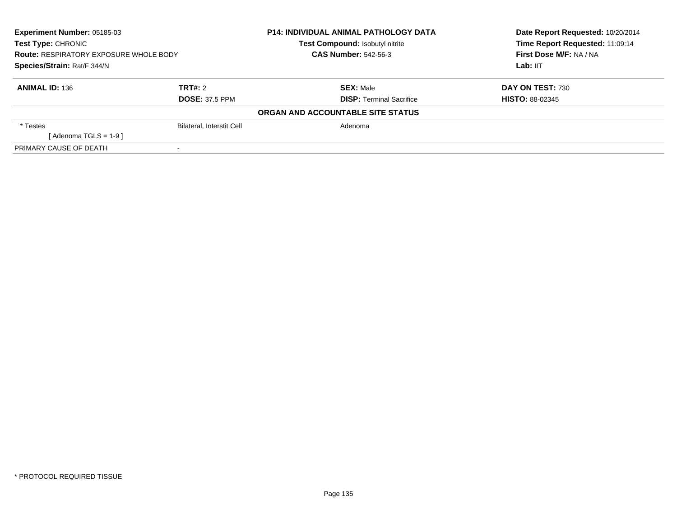| <b>Experiment Number: 05185-03</b>                                           |                                  | <b>P14: INDIVIDUAL ANIMAL PATHOLOGY DATA</b> | Date Report Requested: 10/20/2014 |
|------------------------------------------------------------------------------|----------------------------------|----------------------------------------------|-----------------------------------|
| Test Type: CHRONIC                                                           |                                  | Test Compound: Isobutyl nitrite              | Time Report Requested: 11:09:14   |
| <b>Route: RESPIRATORY EXPOSURE WHOLE BODY</b><br>Species/Strain: Rat/F 344/N |                                  | <b>CAS Number: 542-56-3</b>                  | First Dose M/F: NA / NA           |
|                                                                              |                                  |                                              | Lab: IIT                          |
| <b>ANIMAL ID: 136</b>                                                        | TRT#: 2                          | <b>SEX: Male</b>                             | DAY ON TEST: 730                  |
|                                                                              | <b>DOSE: 37.5 PPM</b>            | <b>DISP: Terminal Sacrifice</b>              | <b>HISTO: 88-02345</b>            |
|                                                                              |                                  | ORGAN AND ACCOUNTABLE SITE STATUS            |                                   |
| * Testes                                                                     | <b>Bilateral, Interstit Cell</b> | Adenoma                                      |                                   |
| [Adenoma TGLS = $1-9$ ]                                                      |                                  |                                              |                                   |
| PRIMARY CAUSE OF DEATH                                                       |                                  |                                              |                                   |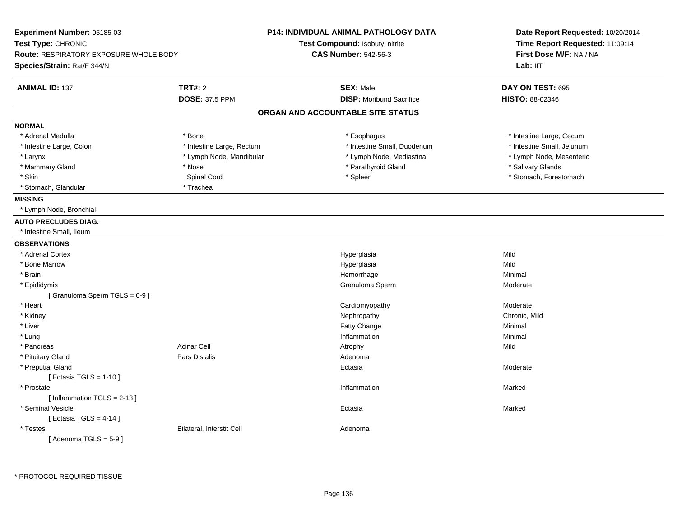| Experiment Number: 05185-03            |                           | <b>P14: INDIVIDUAL ANIMAL PATHOLOGY DATA</b> | Date Report Requested: 10/20/2014<br>Time Report Requested: 11:09:14 |  |
|----------------------------------------|---------------------------|----------------------------------------------|----------------------------------------------------------------------|--|
| Test Type: CHRONIC                     |                           | Test Compound: Isobutyl nitrite              |                                                                      |  |
| Route: RESPIRATORY EXPOSURE WHOLE BODY |                           | <b>CAS Number: 542-56-3</b>                  | First Dose M/F: NA / NA                                              |  |
| Species/Strain: Rat/F 344/N            |                           |                                              | Lab: IIT                                                             |  |
| <b>ANIMAL ID: 137</b>                  | <b>TRT#: 2</b>            | <b>SEX: Male</b>                             | DAY ON TEST: 695                                                     |  |
|                                        | <b>DOSE: 37.5 PPM</b>     | <b>DISP:</b> Moribund Sacrifice              | HISTO: 88-02346                                                      |  |
|                                        |                           | ORGAN AND ACCOUNTABLE SITE STATUS            |                                                                      |  |
| <b>NORMAL</b>                          |                           |                                              |                                                                      |  |
| * Adrenal Medulla                      | * Bone                    | * Esophagus                                  | * Intestine Large, Cecum                                             |  |
| * Intestine Large, Colon               | * Intestine Large, Rectum | * Intestine Small, Duodenum                  | * Intestine Small, Jejunum                                           |  |
| * Larynx                               | * Lymph Node, Mandibular  | * Lymph Node, Mediastinal                    | * Lymph Node, Mesenteric                                             |  |
| * Mammary Gland                        | * Nose                    | * Parathyroid Gland                          | * Salivary Glands                                                    |  |
| * Skin                                 | Spinal Cord               | * Spleen                                     | * Stomach, Forestomach                                               |  |
| * Stomach, Glandular                   | * Trachea                 |                                              |                                                                      |  |
| <b>MISSING</b>                         |                           |                                              |                                                                      |  |
| * Lymph Node, Bronchial                |                           |                                              |                                                                      |  |
| <b>AUTO PRECLUDES DIAG.</b>            |                           |                                              |                                                                      |  |
| * Intestine Small, Ileum               |                           |                                              |                                                                      |  |
| <b>OBSERVATIONS</b>                    |                           |                                              |                                                                      |  |
| * Adrenal Cortex                       |                           | Hyperplasia                                  | Mild                                                                 |  |
| * Bone Marrow                          |                           | Hyperplasia                                  | Mild                                                                 |  |
| * Brain                                |                           | Hemorrhage                                   | Minimal                                                              |  |
| * Epididymis                           |                           | Granuloma Sperm                              | Moderate                                                             |  |
| [Granuloma Sperm TGLS = 6-9]           |                           |                                              |                                                                      |  |
| * Heart                                |                           | Cardiomyopathy                               | Moderate                                                             |  |
| * Kidney                               |                           | Nephropathy                                  | Chronic, Mild                                                        |  |
| * Liver                                |                           | Fatty Change                                 | Minimal                                                              |  |
| * Lung                                 |                           | Inflammation                                 | Minimal                                                              |  |
| * Pancreas                             | Acinar Cell               | Atrophy                                      | Mild                                                                 |  |
| * Pituitary Gland                      | <b>Pars Distalis</b>      | Adenoma                                      |                                                                      |  |
| * Preputial Gland                      |                           | Ectasia                                      | Moderate                                                             |  |
| [ Ectasia TGLS = 1-10 ]                |                           |                                              |                                                                      |  |
| * Prostate                             |                           | Inflammation                                 | Marked                                                               |  |
| [Inflammation $TGLS = 2-13$ ]          |                           |                                              |                                                                      |  |
| * Seminal Vesicle                      |                           | Ectasia                                      | Marked                                                               |  |
| [ Ectasia TGLS = $4-14$ ]              |                           |                                              |                                                                      |  |
| * Testes                               | Bilateral, Interstit Cell | Adenoma                                      |                                                                      |  |
| [Adenoma TGLS = $5-9$ ]                |                           |                                              |                                                                      |  |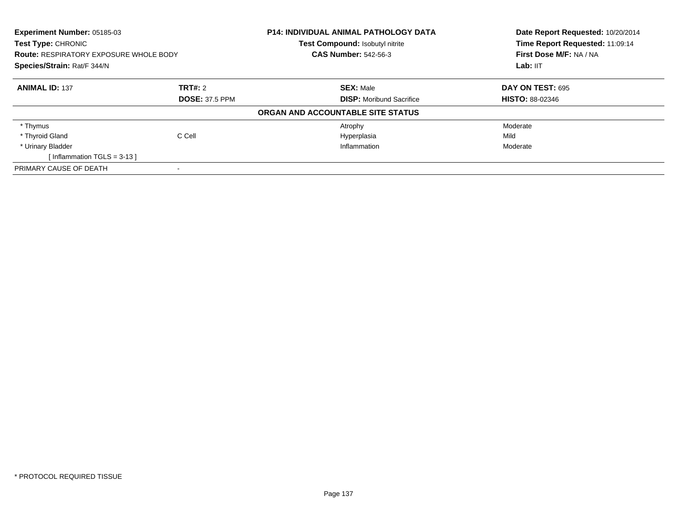| Experiment Number: 05185-03<br><b>Test Type: CHRONIC</b><br><b>Route: RESPIRATORY EXPOSURE WHOLE BODY</b><br>Species/Strain: Rat/F 344/N |                       | <b>P14: INDIVIDUAL ANIMAL PATHOLOGY DATA</b><br><b>Test Compound: Isobutyl nitrite</b> | Date Report Requested: 10/20/2014<br>Time Report Requested: 11:09:14<br>First Dose M/F: NA / NA<br>Lab: IIT |
|------------------------------------------------------------------------------------------------------------------------------------------|-----------------------|----------------------------------------------------------------------------------------|-------------------------------------------------------------------------------------------------------------|
|                                                                                                                                          |                       | <b>CAS Number: 542-56-3</b>                                                            |                                                                                                             |
|                                                                                                                                          |                       |                                                                                        |                                                                                                             |
| <b>ANIMAL ID: 137</b>                                                                                                                    | TRT#: 2               | <b>SEX: Male</b>                                                                       | DAY ON TEST: 695                                                                                            |
|                                                                                                                                          | <b>DOSE: 37.5 PPM</b> | <b>DISP:</b> Moribund Sacrifice                                                        | <b>HISTO: 88-02346</b>                                                                                      |
|                                                                                                                                          |                       | ORGAN AND ACCOUNTABLE SITE STATUS                                                      |                                                                                                             |
| * Thymus                                                                                                                                 |                       | Atrophy                                                                                | Moderate                                                                                                    |
| * Thyroid Gland                                                                                                                          | C Cell                | Hyperplasia                                                                            | Mild                                                                                                        |
| * Urinary Bladder                                                                                                                        |                       | Inflammation                                                                           | Moderate                                                                                                    |
| [Inflammation TGLS = $3-13$ ]                                                                                                            |                       |                                                                                        |                                                                                                             |
| PRIMARY CAUSE OF DEATH                                                                                                                   |                       |                                                                                        |                                                                                                             |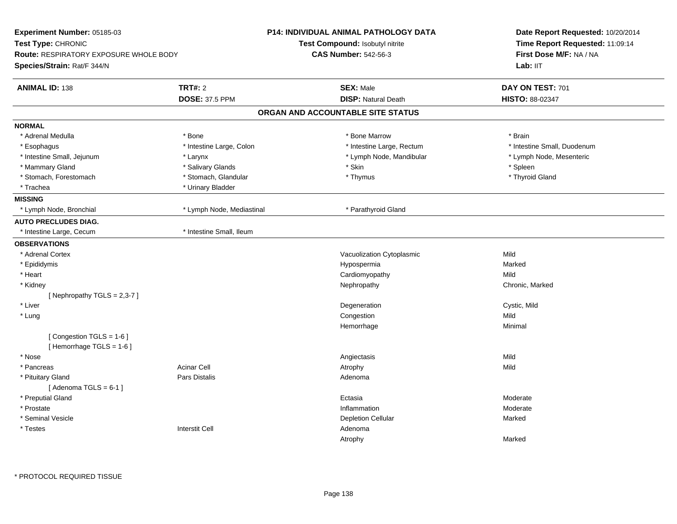| Experiment Number: 05185-03                           |                           | <b>P14: INDIVIDUAL ANIMAL PATHOLOGY DATA</b> | Date Report Requested: 10/20/2014<br>Time Report Requested: 11:09:14<br>First Dose M/F: NA / NA<br>Lab: IIT |
|-------------------------------------------------------|---------------------------|----------------------------------------------|-------------------------------------------------------------------------------------------------------------|
| Test Type: CHRONIC                                    |                           | Test Compound: Isobutyl nitrite              |                                                                                                             |
| <b>Route: RESPIRATORY EXPOSURE WHOLE BODY</b>         |                           | <b>CAS Number: 542-56-3</b>                  |                                                                                                             |
| Species/Strain: Rat/F 344/N                           |                           |                                              |                                                                                                             |
| <b>ANIMAL ID: 138</b>                                 | <b>TRT#: 2</b>            | <b>SEX: Male</b>                             | DAY ON TEST: 701                                                                                            |
|                                                       | <b>DOSE: 37.5 PPM</b>     | <b>DISP: Natural Death</b>                   | HISTO: 88-02347                                                                                             |
|                                                       |                           | ORGAN AND ACCOUNTABLE SITE STATUS            |                                                                                                             |
| <b>NORMAL</b>                                         |                           |                                              |                                                                                                             |
| * Adrenal Medulla                                     | * Bone                    | * Bone Marrow                                | * Brain                                                                                                     |
| * Esophagus                                           | * Intestine Large, Colon  | * Intestine Large, Rectum                    | * Intestine Small, Duodenum                                                                                 |
| * Intestine Small, Jejunum                            | * Larynx                  | * Lymph Node, Mandibular                     | * Lymph Node, Mesenteric                                                                                    |
| * Mammary Gland                                       | * Salivary Glands         | * Skin                                       | * Spleen                                                                                                    |
| * Stomach, Forestomach                                | * Stomach, Glandular      | * Thymus                                     | * Thyroid Gland                                                                                             |
| * Trachea                                             | * Urinary Bladder         |                                              |                                                                                                             |
| <b>MISSING</b>                                        |                           |                                              |                                                                                                             |
| * Lymph Node, Bronchial                               | * Lymph Node, Mediastinal | * Parathyroid Gland                          |                                                                                                             |
| <b>AUTO PRECLUDES DIAG.</b>                           |                           |                                              |                                                                                                             |
| * Intestine Large, Cecum                              | * Intestine Small, Ileum  |                                              |                                                                                                             |
| <b>OBSERVATIONS</b>                                   |                           |                                              |                                                                                                             |
| * Adrenal Cortex                                      |                           | Vacuolization Cytoplasmic                    | Mild                                                                                                        |
| * Epididymis                                          |                           | Hypospermia                                  | Marked                                                                                                      |
| * Heart                                               |                           | Cardiomyopathy                               | Mild                                                                                                        |
| * Kidney                                              |                           | Nephropathy                                  | Chronic, Marked                                                                                             |
| [Nephropathy TGLS = $2,3-7$ ]                         |                           |                                              |                                                                                                             |
| * Liver                                               |                           | Degeneration                                 | Cystic, Mild                                                                                                |
| * Lung                                                |                           | Congestion                                   | Mild                                                                                                        |
|                                                       |                           | Hemorrhage                                   | Minimal                                                                                                     |
| [Congestion TGLS = 1-6]<br>[Hemorrhage TGLS = $1-6$ ] |                           |                                              |                                                                                                             |
| * Nose                                                |                           | Angiectasis                                  | Mild                                                                                                        |
| * Pancreas                                            | <b>Acinar Cell</b>        | Atrophy                                      | Mild                                                                                                        |
| * Pituitary Gland                                     | <b>Pars Distalis</b>      | Adenoma                                      |                                                                                                             |
| [Adenoma TGLS = $6-1$ ]                               |                           |                                              |                                                                                                             |
| * Preputial Gland                                     |                           | Ectasia                                      | Moderate                                                                                                    |
| * Prostate                                            |                           | Inflammation                                 | Moderate                                                                                                    |
| * Seminal Vesicle                                     |                           | <b>Depletion Cellular</b>                    | Marked                                                                                                      |
| * Testes                                              | <b>Interstit Cell</b>     | Adenoma                                      |                                                                                                             |
|                                                       |                           | Atrophy                                      | Marked                                                                                                      |
|                                                       |                           |                                              |                                                                                                             |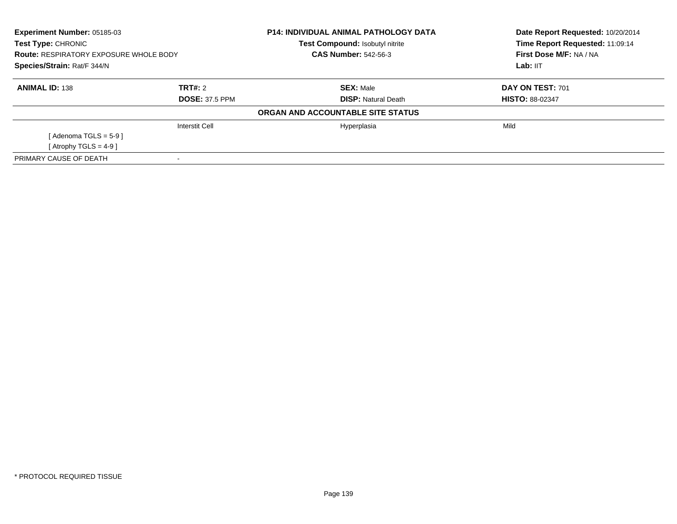| Experiment Number: 05185-03<br>Test Type: CHRONIC<br><b>Route: RESPIRATORY EXPOSURE WHOLE BODY</b><br>Species/Strain: Rat/F 344/N |                       | <b>P14: INDIVIDUAL ANIMAL PATHOLOGY DATA</b><br><b>Test Compound: Isobutyl nitrite</b><br><b>CAS Number: 542-56-3</b> | Date Report Requested: 10/20/2014<br>Time Report Requested: 11:09:14<br>First Dose M/F: NA / NA<br>Lab: IIT |
|-----------------------------------------------------------------------------------------------------------------------------------|-----------------------|-----------------------------------------------------------------------------------------------------------------------|-------------------------------------------------------------------------------------------------------------|
|                                                                                                                                   |                       |                                                                                                                       |                                                                                                             |
| <b>ANIMAL ID: 138</b>                                                                                                             | TRT#: 2               | <b>SEX: Male</b>                                                                                                      | DAY ON TEST: 701                                                                                            |
|                                                                                                                                   | <b>DOSE: 37.5 PPM</b> | <b>DISP:</b> Natural Death                                                                                            | <b>HISTO: 88-02347</b>                                                                                      |
|                                                                                                                                   |                       | ORGAN AND ACCOUNTABLE SITE STATUS                                                                                     |                                                                                                             |
|                                                                                                                                   | Interstit Cell        | Hyperplasia                                                                                                           | Mild                                                                                                        |
| [Adenoma TGLS = $5-9$ ]                                                                                                           |                       |                                                                                                                       |                                                                                                             |
| [ Atrophy TGLS = $4-9$ ]                                                                                                          |                       |                                                                                                                       |                                                                                                             |
| PRIMARY CAUSE OF DEATH                                                                                                            |                       |                                                                                                                       |                                                                                                             |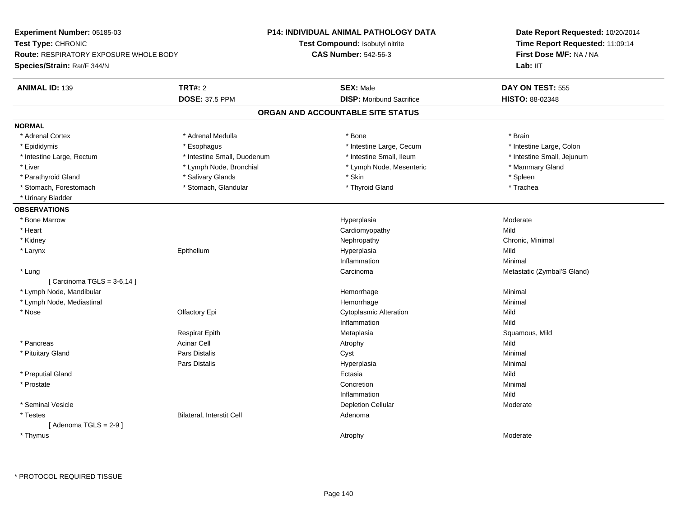**Experiment Number:** 05185-03**Test Type:** CHRONIC **Route:** RESPIRATORY EXPOSURE WHOLE BODY**Species/Strain:** Rat/F 344/N**P14: INDIVIDUAL ANIMAL PATHOLOGY DATATest Compound:** Isobutyl nitrite**CAS Number:** 542-56-3**Date Report Requested:** 10/20/2014**Time Report Requested:** 11:09:14**First Dose M/F:** NA / NALab: IIT **ANIMAL ID:** 139**TRT#:** 2 **SEX:** Male **DAY ON TEST:** 555 **DOSE:** 37.5 PPM**DISP:** Moribund Sacrifice **HISTO:** 88-02348 **ORGAN AND ACCOUNTABLE SITE STATUSNORMAL**\* Adrenal Cortex \* Adrenal Medulla \* Adrenal Medulla \* Bone \* Brain \* Brain \* Brain \* Brain \* Brain \* Brain \* Brain \* Brain \* Brain \* Brain \* Brain \* Brain \* Brain \* Brain \* Brain \* Brain \* Brain \* Brain \* Brain \* Brain \* Brain \* Brain \* B \* Intestine Large, Colon \* Epididymis \* Esophagus \* Esophagus \* Esophagus \* 11testine Large, Cecum \* Intestine Large, Rectum \* Thestine Small, Duodenum \* Number of the small, Ileum \* Intestine Small, Jejunum \* Intestine Small, Jejunum \* Liver \* Lymph Node, Bronchial \* Lymph Node, Alexander \* Lymph Node, Mesenteric \* \* Mammary Gland \* Parathyroid Gland \* \* Salivary Glands \* Salivary Glands \* Skin \* Skin \* Streen \* Spleen \* Spleen \* Spleen \* Spleen \* Trachea \* Stomach, Forestomach \* Thyroid Gland \* Stomach, Glandular \* Thyroid Gland \* Thyroid Gland \* Urinary Bladder**OBSERVATIONS** \* Bone Marroww which is a controller to the Hyperplasia controller to the Moderate Moderate of the Moderate of the Moderate  $\sim$  \* Heart Cardiomyopathyy Mild Chronic, Minimal \* Kidneyy the controller of the controller of the controller of the controller of the controller of the controller of the controller of the controller of the controller of the controller of the controller of the controller of the \* Larynx Epithelium Hyperplasia Mild Inflammationn Minimal \* LungCarcinoma **Metastatic (Zymbal'S Gland)** Metastatic (Zymbal'S Gland)  $[$  Carcinoma TGLS = 3-6,14  $]$  \* Lymph Node, Mandibular Hemorrhagee Minimal \* Lymph Node, Mediastinal Hemorrhagee Minimal \* Nosee the contract of the Clear Chemister's Controller Controller Cytoplasmic Alteration Mild Inflammationn Mild Respirat Epith Metaplasia Squamous, Mild \* Pancreass the contract of the contract of the contract of the contract of the contract of the contract of the contract of  $\mathsf{A}$  and  $\mathsf{A}$  and  $\mathsf{A}$  and  $\mathsf{A}$  and  $\mathsf{A}$  and  $\mathsf{A}$  and  $\mathsf{A}$  and  $\mathsf{A}$  and  $\mathsf$ Minimal \* Pituitary Gland Pars Distalis Cyst Minimal Pars Distalis Hyperplasiaa and a studies of the studies of the Minimal \* Preputial Glandd and the control of the control of the control of the control of the control of the control of the control of the control of the control of the control of the control of the control of the control of the control of the co \* Prostatee de la concertion de la concertion de la concertion de la concertion de la concertion de la concertion de la concertion de la concertion de la concertion de la concertion de la concertion de la concertion de la concertion Inflammationn Mild \* Seminal Vesiclee and the contract of the contract of the contract of the Depletion Cellular contract of the Moderate of the Moderate of the contract of the contract of the contract of the contract of  $\mathbb{R}^n$  and  $\mathbb{R}^n$  and  $\mathbb{R}$  \* TestesBilateral, Interstit Cell **Adenoma** Adenoma  $[$  Adenoma TGLS = 2-9  $]$  \* Thymuss the contract of the contract of the contract of the contract of the contract of the contract of the contract of the contract of the contract of the contract of the contract of the contract of the contract of the contract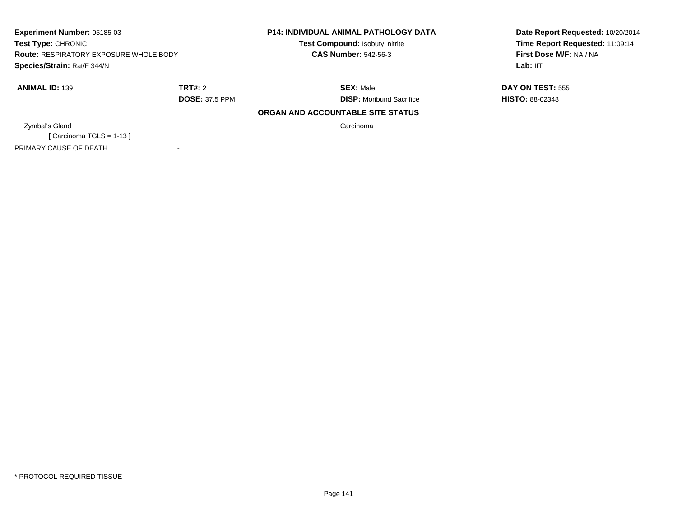| <b>Experiment Number: 05185-03</b><br>Test Type: CHRONIC<br><b>Route: RESPIRATORY EXPOSURE WHOLE BODY</b><br>Species/Strain: Rat/F 344/N |                                  | <b>P14: INDIVIDUAL ANIMAL PATHOLOGY DATA</b><br>Test Compound: Isobutyl nitrite | Date Report Requested: 10/20/2014<br>Time Report Requested: 11:09:14<br>First Dose M/F: NA / NA<br>Lab: IIT |
|------------------------------------------------------------------------------------------------------------------------------------------|----------------------------------|---------------------------------------------------------------------------------|-------------------------------------------------------------------------------------------------------------|
|                                                                                                                                          |                                  | <b>CAS Number: 542-56-3</b>                                                     |                                                                                                             |
| <b>ANIMAL ID: 139</b>                                                                                                                    | TRT#: 2<br><b>DOSE: 37.5 PPM</b> | <b>SEX: Male</b><br><b>DISP:</b> Moribund Sacrifice                             | <b>DAY ON TEST: 555</b><br><b>HISTO: 88-02348</b>                                                           |
|                                                                                                                                          |                                  | ORGAN AND ACCOUNTABLE SITE STATUS                                               |                                                                                                             |
| Zymbal's Gland<br>[ Carcinoma TGLS = 1-13 ]                                                                                              |                                  | Carcinoma                                                                       |                                                                                                             |
| PRIMARY CAUSE OF DEATH                                                                                                                   |                                  |                                                                                 |                                                                                                             |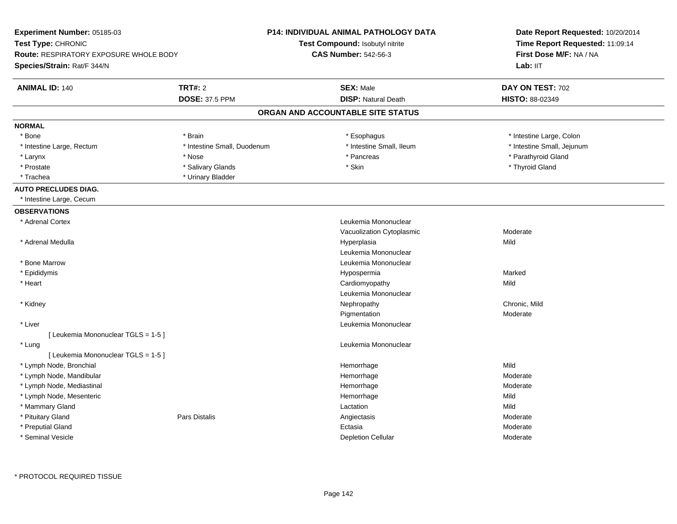| Test Type: CHRONIC<br>Test Compound: Isobutyl nitrite<br>Time Report Requested: 11:09:14<br><b>CAS Number: 542-56-3</b><br>First Dose M/F: NA / NA<br>Route: RESPIRATORY EXPOSURE WHOLE BODY<br>Species/Strain: Rat/F 344/N<br>Lab: IIT<br><b>TRT#: 2</b><br><b>SEX: Male</b><br><b>ANIMAL ID: 140</b><br>DAY ON TEST: 702<br><b>DISP: Natural Death</b><br><b>DOSE: 37.5 PPM</b><br>HISTO: 88-02349<br>ORGAN AND ACCOUNTABLE SITE STATUS<br><b>NORMAL</b><br>* Intestine Large, Colon<br>* Bone<br>* Brain<br>* Esophagus<br>* Intestine Small, Ileum<br>* Intestine Small, Duodenum<br>* Intestine Small, Jejunum<br>* Intestine Large, Rectum<br>* Parathyroid Gland<br>* Larynx<br>* Nose<br>* Pancreas<br>* Skin<br>* Prostate<br>* Salivary Glands<br>* Thyroid Gland<br>* Trachea<br>* Urinary Bladder<br><b>AUTO PRECLUDES DIAG.</b><br>* Intestine Large, Cecum<br><b>OBSERVATIONS</b><br>* Adrenal Cortex<br>Leukemia Mononuclear<br>Vacuolization Cytoplasmic<br>Moderate<br>Mild<br>* Adrenal Medulla<br>Hyperplasia<br>Leukemia Mononuclear<br>* Bone Marrow<br>Leukemia Mononuclear<br>Marked<br>* Epididymis<br>Hypospermia<br>* Heart<br>Cardiomyopathy<br>Mild<br>Leukemia Mononuclear<br>Chronic, Mild<br>* Kidney<br>Nephropathy<br>Pigmentation<br>Moderate<br>Leukemia Mononuclear<br>* Liver<br>[ Leukemia Mononuclear TGLS = 1-5 ]<br>* Lung<br>Leukemia Mononuclear<br>[ Leukemia Mononuclear TGLS = 1-5 ]<br>Mild<br>* Lymph Node, Bronchial<br>Hemorrhage<br>* Lymph Node, Mandibular<br>Moderate<br>Hemorrhage<br>* Lymph Node, Mediastinal<br>Hemorrhage<br>Moderate<br>* Lymph Node, Mesenteric<br>Mild<br>Hemorrhage<br>* Mammary Gland<br>Mild<br>Lactation<br><b>Pars Distalis</b><br>* Pituitary Gland<br>Angiectasis<br>Moderate<br>* Preputial Gland<br>Ectasia<br>Moderate<br>* Seminal Vesicle | Experiment Number: 05185-03 | P14: INDIVIDUAL ANIMAL PATHOLOGY DATA | Date Report Requested: 10/20/2014 |  |
|-------------------------------------------------------------------------------------------------------------------------------------------------------------------------------------------------------------------------------------------------------------------------------------------------------------------------------------------------------------------------------------------------------------------------------------------------------------------------------------------------------------------------------------------------------------------------------------------------------------------------------------------------------------------------------------------------------------------------------------------------------------------------------------------------------------------------------------------------------------------------------------------------------------------------------------------------------------------------------------------------------------------------------------------------------------------------------------------------------------------------------------------------------------------------------------------------------------------------------------------------------------------------------------------------------------------------------------------------------------------------------------------------------------------------------------------------------------------------------------------------------------------------------------------------------------------------------------------------------------------------------------------------------------------------------------------------------------------------------------------------------------------------------------------------------------------------------------|-----------------------------|---------------------------------------|-----------------------------------|--|
|                                                                                                                                                                                                                                                                                                                                                                                                                                                                                                                                                                                                                                                                                                                                                                                                                                                                                                                                                                                                                                                                                                                                                                                                                                                                                                                                                                                                                                                                                                                                                                                                                                                                                                                                                                                                                                     |                             |                                       |                                   |  |
|                                                                                                                                                                                                                                                                                                                                                                                                                                                                                                                                                                                                                                                                                                                                                                                                                                                                                                                                                                                                                                                                                                                                                                                                                                                                                                                                                                                                                                                                                                                                                                                                                                                                                                                                                                                                                                     |                             |                                       |                                   |  |
|                                                                                                                                                                                                                                                                                                                                                                                                                                                                                                                                                                                                                                                                                                                                                                                                                                                                                                                                                                                                                                                                                                                                                                                                                                                                                                                                                                                                                                                                                                                                                                                                                                                                                                                                                                                                                                     |                             |                                       |                                   |  |
|                                                                                                                                                                                                                                                                                                                                                                                                                                                                                                                                                                                                                                                                                                                                                                                                                                                                                                                                                                                                                                                                                                                                                                                                                                                                                                                                                                                                                                                                                                                                                                                                                                                                                                                                                                                                                                     |                             |                                       |                                   |  |
|                                                                                                                                                                                                                                                                                                                                                                                                                                                                                                                                                                                                                                                                                                                                                                                                                                                                                                                                                                                                                                                                                                                                                                                                                                                                                                                                                                                                                                                                                                                                                                                                                                                                                                                                                                                                                                     |                             |                                       |                                   |  |
|                                                                                                                                                                                                                                                                                                                                                                                                                                                                                                                                                                                                                                                                                                                                                                                                                                                                                                                                                                                                                                                                                                                                                                                                                                                                                                                                                                                                                                                                                                                                                                                                                                                                                                                                                                                                                                     |                             |                                       |                                   |  |
|                                                                                                                                                                                                                                                                                                                                                                                                                                                                                                                                                                                                                                                                                                                                                                                                                                                                                                                                                                                                                                                                                                                                                                                                                                                                                                                                                                                                                                                                                                                                                                                                                                                                                                                                                                                                                                     |                             |                                       |                                   |  |
|                                                                                                                                                                                                                                                                                                                                                                                                                                                                                                                                                                                                                                                                                                                                                                                                                                                                                                                                                                                                                                                                                                                                                                                                                                                                                                                                                                                                                                                                                                                                                                                                                                                                                                                                                                                                                                     |                             |                                       |                                   |  |
|                                                                                                                                                                                                                                                                                                                                                                                                                                                                                                                                                                                                                                                                                                                                                                                                                                                                                                                                                                                                                                                                                                                                                                                                                                                                                                                                                                                                                                                                                                                                                                                                                                                                                                                                                                                                                                     |                             |                                       |                                   |  |
|                                                                                                                                                                                                                                                                                                                                                                                                                                                                                                                                                                                                                                                                                                                                                                                                                                                                                                                                                                                                                                                                                                                                                                                                                                                                                                                                                                                                                                                                                                                                                                                                                                                                                                                                                                                                                                     |                             |                                       |                                   |  |
|                                                                                                                                                                                                                                                                                                                                                                                                                                                                                                                                                                                                                                                                                                                                                                                                                                                                                                                                                                                                                                                                                                                                                                                                                                                                                                                                                                                                                                                                                                                                                                                                                                                                                                                                                                                                                                     |                             |                                       |                                   |  |
|                                                                                                                                                                                                                                                                                                                                                                                                                                                                                                                                                                                                                                                                                                                                                                                                                                                                                                                                                                                                                                                                                                                                                                                                                                                                                                                                                                                                                                                                                                                                                                                                                                                                                                                                                                                                                                     |                             |                                       |                                   |  |
|                                                                                                                                                                                                                                                                                                                                                                                                                                                                                                                                                                                                                                                                                                                                                                                                                                                                                                                                                                                                                                                                                                                                                                                                                                                                                                                                                                                                                                                                                                                                                                                                                                                                                                                                                                                                                                     |                             |                                       |                                   |  |
|                                                                                                                                                                                                                                                                                                                                                                                                                                                                                                                                                                                                                                                                                                                                                                                                                                                                                                                                                                                                                                                                                                                                                                                                                                                                                                                                                                                                                                                                                                                                                                                                                                                                                                                                                                                                                                     |                             |                                       |                                   |  |
|                                                                                                                                                                                                                                                                                                                                                                                                                                                                                                                                                                                                                                                                                                                                                                                                                                                                                                                                                                                                                                                                                                                                                                                                                                                                                                                                                                                                                                                                                                                                                                                                                                                                                                                                                                                                                                     |                             |                                       |                                   |  |
|                                                                                                                                                                                                                                                                                                                                                                                                                                                                                                                                                                                                                                                                                                                                                                                                                                                                                                                                                                                                                                                                                                                                                                                                                                                                                                                                                                                                                                                                                                                                                                                                                                                                                                                                                                                                                                     |                             |                                       |                                   |  |
|                                                                                                                                                                                                                                                                                                                                                                                                                                                                                                                                                                                                                                                                                                                                                                                                                                                                                                                                                                                                                                                                                                                                                                                                                                                                                                                                                                                                                                                                                                                                                                                                                                                                                                                                                                                                                                     |                             |                                       |                                   |  |
|                                                                                                                                                                                                                                                                                                                                                                                                                                                                                                                                                                                                                                                                                                                                                                                                                                                                                                                                                                                                                                                                                                                                                                                                                                                                                                                                                                                                                                                                                                                                                                                                                                                                                                                                                                                                                                     |                             |                                       |                                   |  |
|                                                                                                                                                                                                                                                                                                                                                                                                                                                                                                                                                                                                                                                                                                                                                                                                                                                                                                                                                                                                                                                                                                                                                                                                                                                                                                                                                                                                                                                                                                                                                                                                                                                                                                                                                                                                                                     |                             |                                       |                                   |  |
|                                                                                                                                                                                                                                                                                                                                                                                                                                                                                                                                                                                                                                                                                                                                                                                                                                                                                                                                                                                                                                                                                                                                                                                                                                                                                                                                                                                                                                                                                                                                                                                                                                                                                                                                                                                                                                     |                             |                                       |                                   |  |
|                                                                                                                                                                                                                                                                                                                                                                                                                                                                                                                                                                                                                                                                                                                                                                                                                                                                                                                                                                                                                                                                                                                                                                                                                                                                                                                                                                                                                                                                                                                                                                                                                                                                                                                                                                                                                                     |                             |                                       |                                   |  |
|                                                                                                                                                                                                                                                                                                                                                                                                                                                                                                                                                                                                                                                                                                                                                                                                                                                                                                                                                                                                                                                                                                                                                                                                                                                                                                                                                                                                                                                                                                                                                                                                                                                                                                                                                                                                                                     |                             |                                       |                                   |  |
|                                                                                                                                                                                                                                                                                                                                                                                                                                                                                                                                                                                                                                                                                                                                                                                                                                                                                                                                                                                                                                                                                                                                                                                                                                                                                                                                                                                                                                                                                                                                                                                                                                                                                                                                                                                                                                     |                             |                                       |                                   |  |
|                                                                                                                                                                                                                                                                                                                                                                                                                                                                                                                                                                                                                                                                                                                                                                                                                                                                                                                                                                                                                                                                                                                                                                                                                                                                                                                                                                                                                                                                                                                                                                                                                                                                                                                                                                                                                                     |                             |                                       |                                   |  |
|                                                                                                                                                                                                                                                                                                                                                                                                                                                                                                                                                                                                                                                                                                                                                                                                                                                                                                                                                                                                                                                                                                                                                                                                                                                                                                                                                                                                                                                                                                                                                                                                                                                                                                                                                                                                                                     |                             |                                       |                                   |  |
|                                                                                                                                                                                                                                                                                                                                                                                                                                                                                                                                                                                                                                                                                                                                                                                                                                                                                                                                                                                                                                                                                                                                                                                                                                                                                                                                                                                                                                                                                                                                                                                                                                                                                                                                                                                                                                     |                             |                                       |                                   |  |
|                                                                                                                                                                                                                                                                                                                                                                                                                                                                                                                                                                                                                                                                                                                                                                                                                                                                                                                                                                                                                                                                                                                                                                                                                                                                                                                                                                                                                                                                                                                                                                                                                                                                                                                                                                                                                                     |                             |                                       |                                   |  |
|                                                                                                                                                                                                                                                                                                                                                                                                                                                                                                                                                                                                                                                                                                                                                                                                                                                                                                                                                                                                                                                                                                                                                                                                                                                                                                                                                                                                                                                                                                                                                                                                                                                                                                                                                                                                                                     |                             |                                       |                                   |  |
|                                                                                                                                                                                                                                                                                                                                                                                                                                                                                                                                                                                                                                                                                                                                                                                                                                                                                                                                                                                                                                                                                                                                                                                                                                                                                                                                                                                                                                                                                                                                                                                                                                                                                                                                                                                                                                     |                             |                                       |                                   |  |
|                                                                                                                                                                                                                                                                                                                                                                                                                                                                                                                                                                                                                                                                                                                                                                                                                                                                                                                                                                                                                                                                                                                                                                                                                                                                                                                                                                                                                                                                                                                                                                                                                                                                                                                                                                                                                                     |                             |                                       |                                   |  |
|                                                                                                                                                                                                                                                                                                                                                                                                                                                                                                                                                                                                                                                                                                                                                                                                                                                                                                                                                                                                                                                                                                                                                                                                                                                                                                                                                                                                                                                                                                                                                                                                                                                                                                                                                                                                                                     |                             |                                       |                                   |  |
|                                                                                                                                                                                                                                                                                                                                                                                                                                                                                                                                                                                                                                                                                                                                                                                                                                                                                                                                                                                                                                                                                                                                                                                                                                                                                                                                                                                                                                                                                                                                                                                                                                                                                                                                                                                                                                     |                             |                                       |                                   |  |
|                                                                                                                                                                                                                                                                                                                                                                                                                                                                                                                                                                                                                                                                                                                                                                                                                                                                                                                                                                                                                                                                                                                                                                                                                                                                                                                                                                                                                                                                                                                                                                                                                                                                                                                                                                                                                                     |                             |                                       |                                   |  |
|                                                                                                                                                                                                                                                                                                                                                                                                                                                                                                                                                                                                                                                                                                                                                                                                                                                                                                                                                                                                                                                                                                                                                                                                                                                                                                                                                                                                                                                                                                                                                                                                                                                                                                                                                                                                                                     |                             |                                       |                                   |  |
|                                                                                                                                                                                                                                                                                                                                                                                                                                                                                                                                                                                                                                                                                                                                                                                                                                                                                                                                                                                                                                                                                                                                                                                                                                                                                                                                                                                                                                                                                                                                                                                                                                                                                                                                                                                                                                     |                             |                                       |                                   |  |
|                                                                                                                                                                                                                                                                                                                                                                                                                                                                                                                                                                                                                                                                                                                                                                                                                                                                                                                                                                                                                                                                                                                                                                                                                                                                                                                                                                                                                                                                                                                                                                                                                                                                                                                                                                                                                                     |                             |                                       |                                   |  |
|                                                                                                                                                                                                                                                                                                                                                                                                                                                                                                                                                                                                                                                                                                                                                                                                                                                                                                                                                                                                                                                                                                                                                                                                                                                                                                                                                                                                                                                                                                                                                                                                                                                                                                                                                                                                                                     |                             | <b>Depletion Cellular</b>             | Moderate                          |  |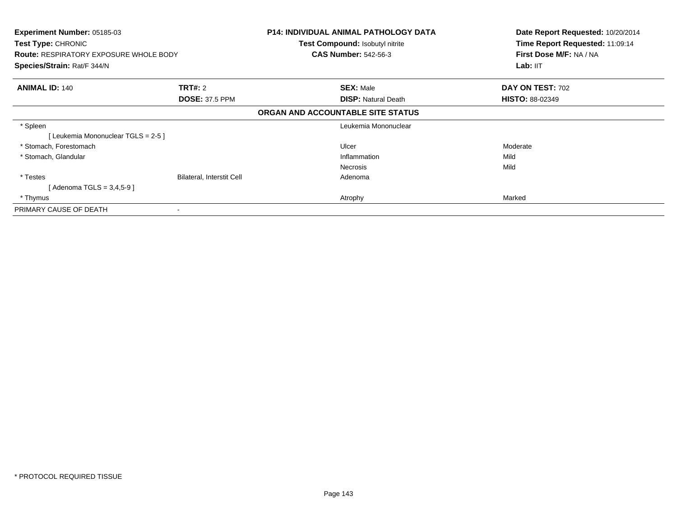| Experiment Number: 05185-03<br>Test Type: CHRONIC |                           | <b>P14: INDIVIDUAL ANIMAL PATHOLOGY DATA</b><br><b>Test Compound: Isobutyl nitrite</b> | Date Report Requested: 10/20/2014<br>Time Report Requested: 11:09:14 |
|---------------------------------------------------|---------------------------|----------------------------------------------------------------------------------------|----------------------------------------------------------------------|
| <b>Route: RESPIRATORY EXPOSURE WHOLE BODY</b>     |                           | <b>CAS Number: 542-56-3</b>                                                            | First Dose M/F: NA / NA                                              |
| Species/Strain: Rat/F 344/N                       |                           |                                                                                        | Lab: IIT                                                             |
| <b>ANIMAL ID: 140</b>                             | <b>TRT#:</b> 2            | <b>SEX: Male</b>                                                                       | DAY ON TEST: 702                                                     |
|                                                   | <b>DOSE: 37.5 PPM</b>     | <b>DISP:</b> Natural Death                                                             | <b>HISTO: 88-02349</b>                                               |
|                                                   |                           | ORGAN AND ACCOUNTABLE SITE STATUS                                                      |                                                                      |
| * Spleen                                          |                           | Leukemia Mononuclear                                                                   |                                                                      |
| [Leukemia Mononuclear TGLS = 2-5 ]                |                           |                                                                                        |                                                                      |
| * Stomach, Forestomach                            |                           | Ulcer                                                                                  | Moderate                                                             |
| * Stomach, Glandular                              |                           | Inflammation                                                                           | Mild                                                                 |
|                                                   |                           | <b>Necrosis</b>                                                                        | Mild                                                                 |
| * Testes                                          | Bilateral, Interstit Cell | Adenoma                                                                                |                                                                      |
| [ Adenoma TGLS = 3,4,5-9 ]                        |                           |                                                                                        |                                                                      |
| * Thymus                                          |                           | Atrophy                                                                                | Marked                                                               |
| PRIMARY CAUSE OF DEATH                            |                           |                                                                                        |                                                                      |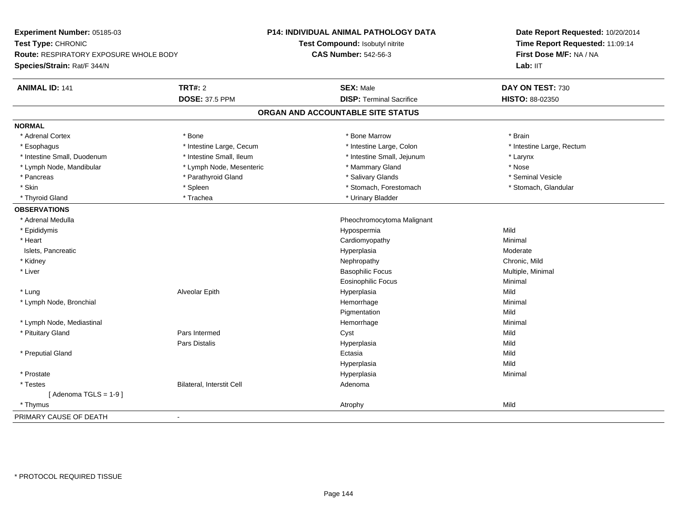| Experiment Number: 05185-03                   |                           | <b>P14: INDIVIDUAL ANIMAL PATHOLOGY DATA</b> | Date Report Requested: 10/20/2014 |
|-----------------------------------------------|---------------------------|----------------------------------------------|-----------------------------------|
| Test Type: CHRONIC                            |                           | Test Compound: Isobutyl nitrite              | Time Report Requested: 11:09:14   |
| <b>Route: RESPIRATORY EXPOSURE WHOLE BODY</b> |                           | <b>CAS Number: 542-56-3</b>                  | First Dose M/F: NA / NA           |
| Species/Strain: Rat/F 344/N                   |                           |                                              | Lab: IIT                          |
| <b>ANIMAL ID: 141</b>                         | <b>TRT#: 2</b>            | <b>SEX: Male</b>                             | DAY ON TEST: 730                  |
|                                               | <b>DOSE: 37.5 PPM</b>     | <b>DISP: Terminal Sacrifice</b>              | HISTO: 88-02350                   |
|                                               |                           | ORGAN AND ACCOUNTABLE SITE STATUS            |                                   |
| <b>NORMAL</b>                                 |                           |                                              |                                   |
| * Adrenal Cortex                              | * Bone                    | * Bone Marrow                                | * Brain                           |
| * Esophagus                                   | * Intestine Large, Cecum  | * Intestine Large, Colon                     | * Intestine Large, Rectum         |
| * Intestine Small, Duodenum                   | * Intestine Small, Ileum  | * Intestine Small, Jejunum                   | * Larynx                          |
| * Lymph Node, Mandibular                      | * Lymph Node, Mesenteric  | * Mammary Gland                              | * Nose                            |
| * Pancreas                                    | * Parathyroid Gland       | * Salivary Glands                            | * Seminal Vesicle                 |
| * Skin                                        | * Spleen                  | * Stomach, Forestomach                       | * Stomach, Glandular              |
| * Thyroid Gland                               | * Trachea                 | * Urinary Bladder                            |                                   |
| <b>OBSERVATIONS</b>                           |                           |                                              |                                   |
| * Adrenal Medulla                             |                           | Pheochromocytoma Malignant                   |                                   |
| * Epididymis                                  |                           | Hypospermia                                  | Mild                              |
| * Heart                                       |                           | Cardiomyopathy                               | Minimal                           |
| Islets, Pancreatic                            |                           | Hyperplasia                                  | Moderate                          |
| * Kidney                                      |                           | Nephropathy                                  | Chronic, Mild                     |
| * Liver                                       |                           | <b>Basophilic Focus</b>                      | Multiple, Minimal                 |
|                                               |                           | <b>Eosinophilic Focus</b>                    | Minimal                           |
| * Lung                                        | Alveolar Epith            | Hyperplasia                                  | Mild                              |
| * Lymph Node, Bronchial                       |                           | Hemorrhage                                   | Minimal                           |
|                                               |                           | Pigmentation                                 | Mild                              |
| * Lymph Node, Mediastinal                     |                           | Hemorrhage                                   | Minimal                           |
| * Pituitary Gland                             | Pars Intermed             | Cyst                                         | Mild                              |
|                                               | Pars Distalis             | Hyperplasia                                  | Mild                              |
| * Preputial Gland                             |                           | Ectasia                                      | Mild                              |
|                                               |                           | Hyperplasia                                  | Mild                              |
| * Prostate                                    |                           | Hyperplasia                                  | Minimal                           |
| * Testes                                      | Bilateral, Interstit Cell | Adenoma                                      |                                   |
| [Adenoma TGLS = $1-9$ ]                       |                           |                                              |                                   |
| * Thymus                                      |                           | Atrophy                                      | Mild                              |
| PRIMARY CAUSE OF DEATH                        | $\overline{a}$            |                                              |                                   |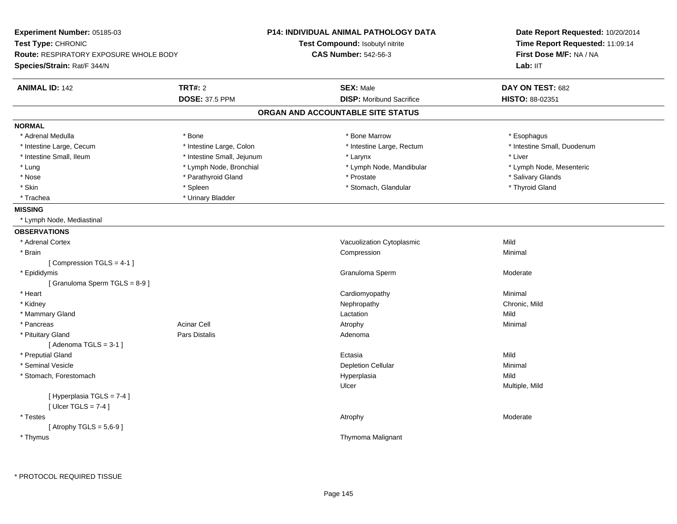| Experiment Number: 05185-03                   |                            | <b>P14: INDIVIDUAL ANIMAL PATHOLOGY DATA</b> | Date Report Requested: 10/20/2014 |  |
|-----------------------------------------------|----------------------------|----------------------------------------------|-----------------------------------|--|
| Test Type: CHRONIC                            |                            | Test Compound: Isobutyl nitrite              | Time Report Requested: 11:09:14   |  |
| <b>Route: RESPIRATORY EXPOSURE WHOLE BODY</b> |                            | <b>CAS Number: 542-56-3</b>                  | First Dose M/F: NA / NA           |  |
| Species/Strain: Rat/F 344/N                   |                            |                                              | Lab: II <sub>T</sub>              |  |
| <b>ANIMAL ID: 142</b>                         | <b>TRT#: 2</b>             | <b>SEX: Male</b>                             | DAY ON TEST: 682                  |  |
|                                               | <b>DOSE: 37.5 PPM</b>      | <b>DISP:</b> Moribund Sacrifice              | HISTO: 88-02351                   |  |
|                                               |                            | ORGAN AND ACCOUNTABLE SITE STATUS            |                                   |  |
| <b>NORMAL</b>                                 |                            |                                              |                                   |  |
| * Adrenal Medulla                             | * Bone                     | * Bone Marrow                                | * Esophagus                       |  |
| * Intestine Large, Cecum                      | * Intestine Large, Colon   | * Intestine Large, Rectum                    | * Intestine Small, Duodenum       |  |
| * Intestine Small, Ileum                      | * Intestine Small, Jejunum | * Larynx                                     | * Liver                           |  |
| * Lung                                        | * Lymph Node, Bronchial    | * Lymph Node, Mandibular                     | * Lymph Node, Mesenteric          |  |
| * Nose                                        | * Parathyroid Gland        | * Prostate                                   | * Salivary Glands                 |  |
| * Skin                                        | * Spleen                   | * Stomach, Glandular                         | * Thyroid Gland                   |  |
| * Trachea                                     | * Urinary Bladder          |                                              |                                   |  |
| <b>MISSING</b>                                |                            |                                              |                                   |  |
| * Lymph Node, Mediastinal                     |                            |                                              |                                   |  |
| <b>OBSERVATIONS</b>                           |                            |                                              |                                   |  |
| * Adrenal Cortex                              |                            | Vacuolization Cytoplasmic                    | Mild                              |  |
| * Brain                                       |                            | Compression                                  | Minimal                           |  |
| [Compression TGLS = 4-1]                      |                            |                                              |                                   |  |
| * Epididymis                                  |                            | Granuloma Sperm                              | Moderate                          |  |
| [Granuloma Sperm TGLS = 8-9]                  |                            |                                              |                                   |  |
| * Heart                                       |                            | Cardiomyopathy                               | Minimal                           |  |
| * Kidney                                      |                            | Nephropathy                                  | Chronic, Mild                     |  |
| * Mammary Gland                               |                            | Lactation                                    | Mild                              |  |
| * Pancreas                                    | Acinar Cell                | Atrophy                                      | Minimal                           |  |
| * Pituitary Gland                             | Pars Distalis              | Adenoma                                      |                                   |  |
| [Adenoma TGLS = $3-1$ ]                       |                            |                                              |                                   |  |
| * Preputial Gland                             |                            | Ectasia                                      | Mild                              |  |
| * Seminal Vesicle                             |                            | <b>Depletion Cellular</b>                    | Minimal                           |  |
| * Stomach, Forestomach                        |                            | Hyperplasia                                  | Mild                              |  |
|                                               |                            | Ulcer                                        | Multiple, Mild                    |  |
| [ Hyperplasia TGLS = 7-4 ]                    |                            |                                              |                                   |  |
| [ $Ulec$ TGLS = 7-4 ]                         |                            |                                              |                                   |  |
| * Testes                                      |                            | Atrophy                                      | Moderate                          |  |
| [Atrophy TGLS = $5,6-9$ ]                     |                            |                                              |                                   |  |
| * Thymus                                      |                            | Thymoma Malignant                            |                                   |  |
|                                               |                            |                                              |                                   |  |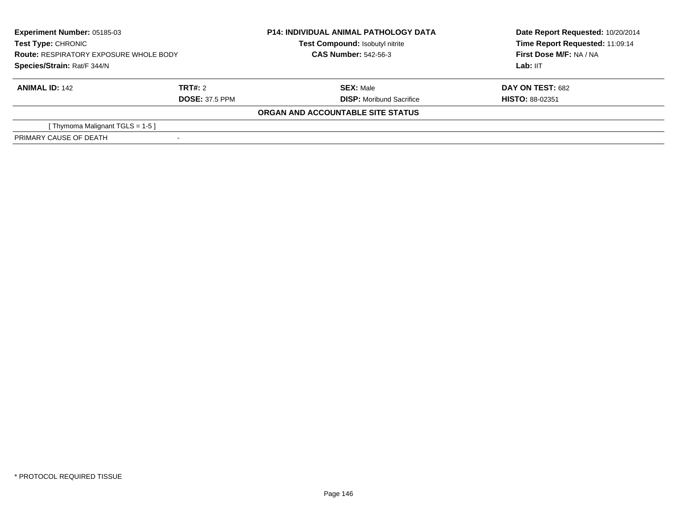| <b>Experiment Number: 05185-03</b><br>Test Type: CHRONIC<br><b>Route: RESPIRATORY EXPOSURE WHOLE BODY</b><br>Species/Strain: Rat/F 344/N |                       | <b>P14: INDIVIDUAL ANIMAL PATHOLOGY DATA</b> | Date Report Requested: 10/20/2014 |  |
|------------------------------------------------------------------------------------------------------------------------------------------|-----------------------|----------------------------------------------|-----------------------------------|--|
|                                                                                                                                          |                       | Test Compound: Isobutyl nitrite              | Time Report Requested: 11:09:14   |  |
|                                                                                                                                          |                       | <b>CAS Number: 542-56-3</b>                  | First Dose M/F: NA / NA           |  |
|                                                                                                                                          |                       |                                              | Lab: IIT                          |  |
| <b>ANIMAL ID: 142</b>                                                                                                                    | TRT#: 2               | <b>SEX: Male</b>                             | <b>DAY ON TEST: 682</b>           |  |
|                                                                                                                                          | <b>DOSE: 37.5 PPM</b> | <b>DISP:</b> Moribund Sacrifice              | <b>HISTO: 88-02351</b>            |  |
|                                                                                                                                          |                       | ORGAN AND ACCOUNTABLE SITE STATUS            |                                   |  |
| [Thymoma Malignant TGLS = 1-5]                                                                                                           |                       |                                              |                                   |  |
| PRIMARY CAUSE OF DEATH                                                                                                                   |                       |                                              |                                   |  |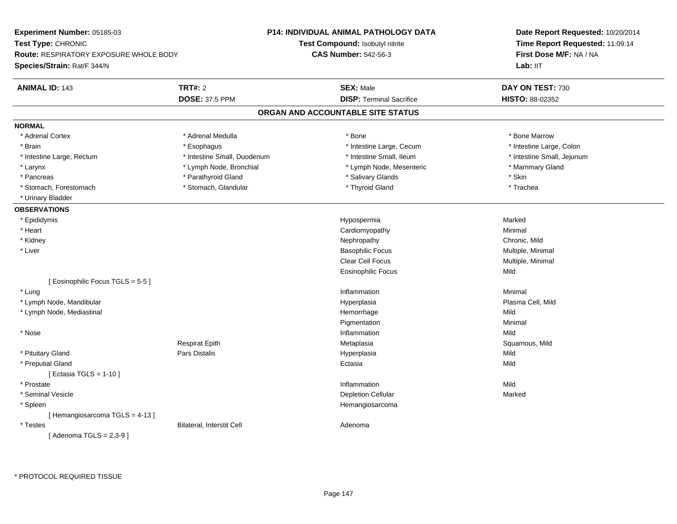| Experiment Number: 05185-03                    |                             | <b>P14: INDIVIDUAL ANIMAL PATHOLOGY DATA</b> | Date Report Requested: 10/20/2014                          |  |
|------------------------------------------------|-----------------------------|----------------------------------------------|------------------------------------------------------------|--|
| Test Type: CHRONIC                             |                             | <b>Test Compound: Isobutyl nitrite</b>       | Time Report Requested: 11:09:14<br>First Dose M/F: NA / NA |  |
| <b>Route: RESPIRATORY EXPOSURE WHOLE BODY</b>  |                             | <b>CAS Number: 542-56-3</b>                  |                                                            |  |
| Species/Strain: Rat/F 344/N                    |                             |                                              | Lab: IIT                                                   |  |
| <b>ANIMAL ID: 143</b>                          | <b>TRT#: 2</b>              | <b>SEX: Male</b>                             | DAY ON TEST: 730                                           |  |
|                                                | <b>DOSE: 37.5 PPM</b>       | <b>DISP: Terminal Sacrifice</b>              | HISTO: 88-02352                                            |  |
|                                                |                             | ORGAN AND ACCOUNTABLE SITE STATUS            |                                                            |  |
| <b>NORMAL</b>                                  |                             |                                              |                                                            |  |
| * Adrenal Cortex                               | * Adrenal Medulla           | * Bone                                       | * Bone Marrow                                              |  |
| * Brain                                        | * Esophagus                 | * Intestine Large, Cecum                     | * Intestine Large, Colon                                   |  |
| * Intestine Large, Rectum                      | * Intestine Small, Duodenum | * Intestine Small, Ileum                     | * Intestine Small, Jejunum                                 |  |
| * Larynx                                       | * Lymph Node, Bronchial     | * Lymph Node, Mesenteric                     | * Mammary Gland                                            |  |
| * Pancreas                                     | * Parathyroid Gland         | * Salivary Glands                            | * Skin                                                     |  |
| * Stomach, Forestomach                         | * Stomach, Glandular        | * Thyroid Gland                              | * Trachea                                                  |  |
| * Urinary Bladder                              |                             |                                              |                                                            |  |
| <b>OBSERVATIONS</b>                            |                             |                                              |                                                            |  |
| * Epididymis                                   |                             | Hypospermia                                  | Marked                                                     |  |
| * Heart                                        |                             | Cardiomyopathy                               | Minimal                                                    |  |
| * Kidney                                       |                             | Nephropathy                                  | Chronic, Mild                                              |  |
| * Liver                                        |                             | <b>Basophilic Focus</b>                      | Multiple, Minimal                                          |  |
|                                                |                             | <b>Clear Cell Focus</b>                      | Multiple, Minimal                                          |  |
|                                                |                             | <b>Eosinophilic Focus</b>                    | Mild                                                       |  |
| [ Eosinophilic Focus TGLS = 5-5 ]              |                             |                                              |                                                            |  |
| * Lung                                         |                             | Inflammation                                 | Minimal                                                    |  |
| * Lymph Node, Mandibular                       |                             | Hyperplasia                                  | Plasma Cell, Mild                                          |  |
| * Lymph Node, Mediastinal                      |                             | Hemorrhage                                   | Mild                                                       |  |
|                                                |                             | Pigmentation                                 | Minimal                                                    |  |
| $^{\star}$ Nose                                |                             | Inflammation                                 | Mild                                                       |  |
|                                                | <b>Respirat Epith</b>       | Metaplasia                                   | Squamous, Mild                                             |  |
| * Pituitary Gland                              | Pars Distalis               | Hyperplasia                                  | Mild                                                       |  |
| * Preputial Gland<br>[ Ectasia TGLS = $1-10$ ] |                             | Ectasia                                      | Mild                                                       |  |
| * Prostate                                     |                             | Inflammation                                 | Mild                                                       |  |
| * Seminal Vesicle                              |                             | <b>Depletion Cellular</b>                    | Marked                                                     |  |
| * Spleen                                       |                             | Hemangiosarcoma                              |                                                            |  |
|                                                |                             |                                              |                                                            |  |
| [Hemangiosarcoma TGLS = 4-13]<br>* Testes      | Bilateral, Interstit Cell   | Adenoma                                      |                                                            |  |
|                                                |                             |                                              |                                                            |  |
| [Adenoma TGLS = $2,3-9$ ]                      |                             |                                              |                                                            |  |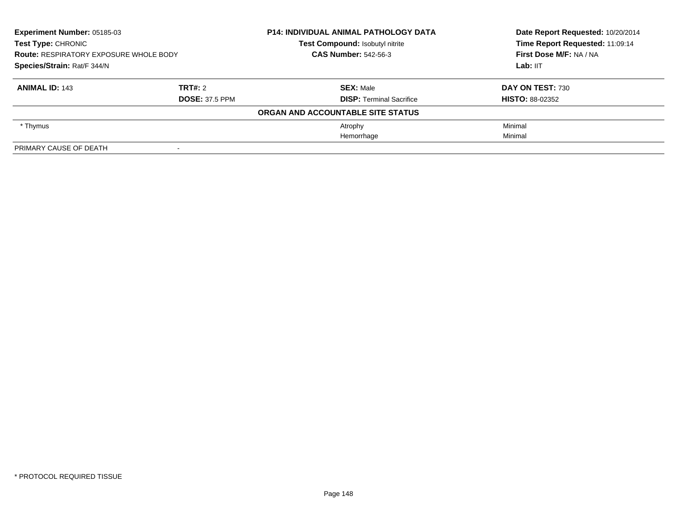| Experiment Number: 05185-03<br><b>Test Type: CHRONIC</b><br><b>Route: RESPIRATORY EXPOSURE WHOLE BODY</b><br>Species/Strain: Rat/F 344/N |                       | <b>P14: INDIVIDUAL ANIMAL PATHOLOGY DATA</b> | Date Report Requested: 10/20/2014<br>Time Report Requested: 11:09:14 |
|------------------------------------------------------------------------------------------------------------------------------------------|-----------------------|----------------------------------------------|----------------------------------------------------------------------|
|                                                                                                                                          |                       | Test Compound: Isobutyl nitrite              |                                                                      |
|                                                                                                                                          |                       | <b>CAS Number: 542-56-3</b>                  | First Dose M/F: NA / NA                                              |
|                                                                                                                                          |                       |                                              | Lab: IIT                                                             |
| <b>ANIMAL ID: 143</b>                                                                                                                    | TRT#: 2               | <b>SEX: Male</b>                             | DAY ON TEST: 730                                                     |
|                                                                                                                                          | <b>DOSE: 37.5 PPM</b> | <b>DISP: Terminal Sacrifice</b>              | <b>HISTO: 88-02352</b>                                               |
|                                                                                                                                          |                       | ORGAN AND ACCOUNTABLE SITE STATUS            |                                                                      |
| * Thymus                                                                                                                                 |                       | Atrophy                                      | Minimal                                                              |
|                                                                                                                                          |                       | Hemorrhage                                   | Minimal                                                              |
| PRIMARY CAUSE OF DEATH                                                                                                                   |                       |                                              |                                                                      |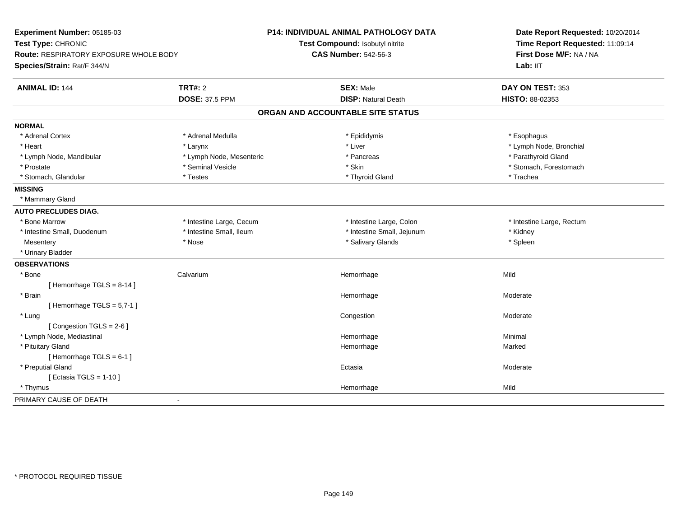| Experiment Number: 05185-03            |                          | P14: INDIVIDUAL ANIMAL PATHOLOGY DATA | Date Report Requested: 10/20/2014                          |  |
|----------------------------------------|--------------------------|---------------------------------------|------------------------------------------------------------|--|
| Test Type: CHRONIC                     |                          | Test Compound: Isobutyl nitrite       | Time Report Requested: 11:09:14<br>First Dose M/F: NA / NA |  |
| Route: RESPIRATORY EXPOSURE WHOLE BODY |                          | <b>CAS Number: 542-56-3</b>           |                                                            |  |
| Species/Strain: Rat/F 344/N            |                          |                                       | Lab: IIT                                                   |  |
| <b>ANIMAL ID: 144</b>                  | <b>TRT#: 2</b>           | <b>SEX: Male</b>                      | DAY ON TEST: 353                                           |  |
|                                        | <b>DOSE: 37.5 PPM</b>    | <b>DISP: Natural Death</b>            | HISTO: 88-02353                                            |  |
|                                        |                          | ORGAN AND ACCOUNTABLE SITE STATUS     |                                                            |  |
| <b>NORMAL</b>                          |                          |                                       |                                                            |  |
| * Adrenal Cortex                       | * Adrenal Medulla        | * Epididymis                          | * Esophagus                                                |  |
| * Heart                                | * Larynx                 | * Liver                               | * Lymph Node, Bronchial                                    |  |
| * Lymph Node, Mandibular               | * Lymph Node, Mesenteric | * Pancreas                            | * Parathyroid Gland                                        |  |
| * Prostate                             | * Seminal Vesicle        | * Skin                                | * Stomach, Forestomach                                     |  |
| * Stomach, Glandular                   | * Testes                 | * Thyroid Gland                       | * Trachea                                                  |  |
| <b>MISSING</b>                         |                          |                                       |                                                            |  |
| * Mammary Gland                        |                          |                                       |                                                            |  |
| <b>AUTO PRECLUDES DIAG.</b>            |                          |                                       |                                                            |  |
| * Bone Marrow                          | * Intestine Large, Cecum | * Intestine Large, Colon              | * Intestine Large, Rectum                                  |  |
| * Intestine Small, Duodenum            | * Intestine Small, Ileum | * Intestine Small, Jejunum            | * Kidney                                                   |  |
| Mesentery                              | * Nose                   | * Salivary Glands                     | * Spleen                                                   |  |
| * Urinary Bladder                      |                          |                                       |                                                            |  |
| <b>OBSERVATIONS</b>                    |                          |                                       |                                                            |  |
| * Bone                                 | Calvarium                | Hemorrhage                            | Mild                                                       |  |
| [Hemorrhage TGLS = 8-14]               |                          |                                       |                                                            |  |
| * Brain                                |                          | Hemorrhage                            | Moderate                                                   |  |
| [Hemorrhage TGLS = $5,7-1$ ]           |                          |                                       |                                                            |  |
| * Lung                                 |                          | Congestion                            | Moderate                                                   |  |
| [Congestion TGLS = $2-6$ ]             |                          |                                       |                                                            |  |
| * Lymph Node, Mediastinal              |                          | Hemorrhage                            | Minimal                                                    |  |
| * Pituitary Gland                      |                          | Hemorrhage                            | Marked                                                     |  |
| [Hemorrhage TGLS = 6-1]                |                          |                                       |                                                            |  |
| * Preputial Gland                      |                          | Ectasia                               | Moderate                                                   |  |
| [ Ectasia TGLS = $1-10$ ]              |                          |                                       |                                                            |  |
| * Thymus                               |                          | Hemorrhage                            | Mild                                                       |  |
| PRIMARY CAUSE OF DEATH                 | $\blacksquare$           |                                       |                                                            |  |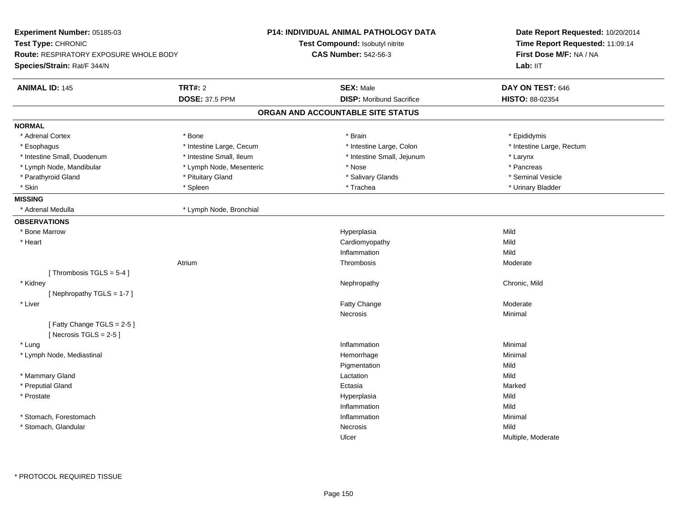| Test Compound: Isobutyl nitrite<br><b>CAS Number: 542-56-3</b><br><b>SEX: Male</b> | Time Report Requested: 11:09:14<br>First Dose M/F: NA / NA<br>Lab: IIT                                                                                                                                       |
|------------------------------------------------------------------------------------|--------------------------------------------------------------------------------------------------------------------------------------------------------------------------------------------------------------|
|                                                                                    |                                                                                                                                                                                                              |
|                                                                                    |                                                                                                                                                                                                              |
|                                                                                    |                                                                                                                                                                                                              |
|                                                                                    | DAY ON TEST: 646                                                                                                                                                                                             |
| <b>DISP:</b> Moribund Sacrifice                                                    | HISTO: 88-02354                                                                                                                                                                                              |
|                                                                                    |                                                                                                                                                                                                              |
|                                                                                    |                                                                                                                                                                                                              |
| * Brain                                                                            | * Epididymis                                                                                                                                                                                                 |
| * Intestine Large, Colon                                                           | * Intestine Large, Rectum                                                                                                                                                                                    |
| * Intestine Small, Jejunum                                                         | * Larynx                                                                                                                                                                                                     |
| * Nose                                                                             | * Pancreas                                                                                                                                                                                                   |
| * Salivary Glands                                                                  | * Seminal Vesicle                                                                                                                                                                                            |
| * Trachea                                                                          | * Urinary Bladder                                                                                                                                                                                            |
|                                                                                    |                                                                                                                                                                                                              |
|                                                                                    |                                                                                                                                                                                                              |
|                                                                                    |                                                                                                                                                                                                              |
|                                                                                    | Mild                                                                                                                                                                                                         |
|                                                                                    | Mild                                                                                                                                                                                                         |
| Inflammation                                                                       | Mild                                                                                                                                                                                                         |
| Thrombosis                                                                         | Moderate                                                                                                                                                                                                     |
|                                                                                    |                                                                                                                                                                                                              |
| Nephropathy                                                                        | Chronic, Mild                                                                                                                                                                                                |
|                                                                                    |                                                                                                                                                                                                              |
| Fatty Change                                                                       | Moderate                                                                                                                                                                                                     |
| Necrosis                                                                           | Minimal                                                                                                                                                                                                      |
|                                                                                    |                                                                                                                                                                                                              |
|                                                                                    | Minimal                                                                                                                                                                                                      |
|                                                                                    | Minimal                                                                                                                                                                                                      |
|                                                                                    | Mild                                                                                                                                                                                                         |
|                                                                                    | Mild                                                                                                                                                                                                         |
|                                                                                    | Marked                                                                                                                                                                                                       |
|                                                                                    | Mild                                                                                                                                                                                                         |
|                                                                                    | Mild                                                                                                                                                                                                         |
|                                                                                    | Minimal                                                                                                                                                                                                      |
|                                                                                    | Mild                                                                                                                                                                                                         |
|                                                                                    | Multiple, Moderate                                                                                                                                                                                           |
|                                                                                    | ORGAN AND ACCOUNTABLE SITE STATUS<br>Hyperplasia<br>Cardiomyopathy<br>Inflammation<br>Hemorrhage<br>Pigmentation<br>Lactation<br>Ectasia<br>Hyperplasia<br>Inflammation<br>Inflammation<br>Necrosis<br>Ulcer |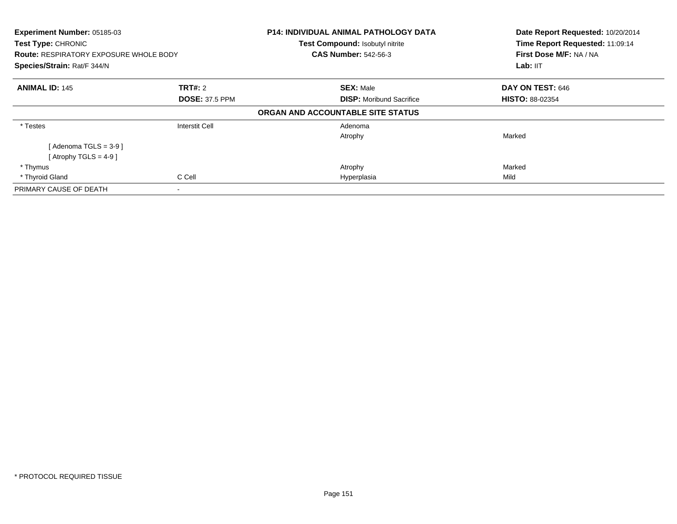| Experiment Number: 05185-03<br>Test Type: CHRONIC<br><b>Route: RESPIRATORY EXPOSURE WHOLE BODY</b> |                          | <b>P14: INDIVIDUAL ANIMAL PATHOLOGY DATA</b><br>Test Compound: Isobutyl nitrite<br><b>CAS Number: 542-56-3</b> | Date Report Requested: 10/20/2014<br>Time Report Requested: 11:09:14<br>First Dose M/F: NA / NA |
|----------------------------------------------------------------------------------------------------|--------------------------|----------------------------------------------------------------------------------------------------------------|-------------------------------------------------------------------------------------------------|
| Species/Strain: Rat/F 344/N                                                                        |                          |                                                                                                                | Lab: IIT                                                                                        |
| <b>ANIMAL ID: 145</b>                                                                              | <b>TRT#:</b> 2           | <b>SEX: Male</b>                                                                                               | DAY ON TEST: 646                                                                                |
|                                                                                                    | <b>DOSE: 37.5 PPM</b>    | <b>DISP:</b> Moribund Sacrifice                                                                                | <b>HISTO: 88-02354</b>                                                                          |
|                                                                                                    |                          | ORGAN AND ACCOUNTABLE SITE STATUS                                                                              |                                                                                                 |
| * Testes                                                                                           | <b>Interstit Cell</b>    | Adenoma                                                                                                        |                                                                                                 |
|                                                                                                    |                          | Atrophy                                                                                                        | Marked                                                                                          |
| [Adenoma TGLS = $3-9$ ]                                                                            |                          |                                                                                                                |                                                                                                 |
| [Atrophy TGLS = 4-9 ]                                                                              |                          |                                                                                                                |                                                                                                 |
| * Thymus                                                                                           |                          | Atrophy                                                                                                        | Marked                                                                                          |
| * Thyroid Gland                                                                                    | C Cell                   | Hyperplasia                                                                                                    | Mild                                                                                            |
| PRIMARY CAUSE OF DEATH                                                                             | $\overline{\phantom{a}}$ |                                                                                                                |                                                                                                 |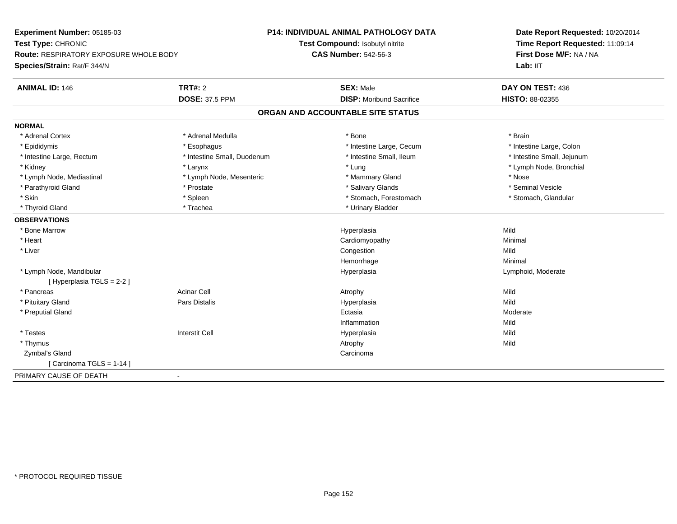| Experiment Number: 05185-03                        |                             | <b>P14: INDIVIDUAL ANIMAL PATHOLOGY DATA</b> | Date Report Requested: 10/20/2014<br>Time Report Requested: 11:09:14<br>First Dose M/F: NA / NA |  |
|----------------------------------------------------|-----------------------------|----------------------------------------------|-------------------------------------------------------------------------------------------------|--|
| Test Type: CHRONIC                                 |                             | Test Compound: Isobutyl nitrite              |                                                                                                 |  |
| Route: RESPIRATORY EXPOSURE WHOLE BODY             |                             | <b>CAS Number: 542-56-3</b>                  |                                                                                                 |  |
| Species/Strain: Rat/F 344/N                        |                             |                                              | Lab: IIT                                                                                        |  |
| <b>ANIMAL ID: 146</b><br><b>TRT#: 2</b>            |                             | <b>SEX: Male</b>                             | DAY ON TEST: 436                                                                                |  |
|                                                    | <b>DOSE: 37.5 PPM</b>       | <b>DISP:</b> Moribund Sacrifice              | HISTO: 88-02355                                                                                 |  |
|                                                    |                             | ORGAN AND ACCOUNTABLE SITE STATUS            |                                                                                                 |  |
| <b>NORMAL</b>                                      |                             |                                              |                                                                                                 |  |
| * Adrenal Cortex                                   | * Adrenal Medulla           | * Bone                                       | * Brain                                                                                         |  |
| * Epididymis<br>* Esophagus                        |                             | * Intestine Large, Cecum                     | * Intestine Large, Colon                                                                        |  |
| * Intestine Large, Rectum                          | * Intestine Small, Duodenum | * Intestine Small, Ileum                     | * Intestine Small, Jejunum                                                                      |  |
| * Kidney<br>* Larynx                               |                             | * Lung                                       | * Lymph Node, Bronchial                                                                         |  |
| * Lymph Node, Mediastinal                          | * Lymph Node, Mesenteric    | * Mammary Gland                              | * Nose                                                                                          |  |
| * Parathyroid Gland<br>* Prostate                  |                             | * Salivary Glands                            | * Seminal Vesicle                                                                               |  |
| * Skin<br>* Spleen                                 |                             | * Stomach, Forestomach                       | * Stomach, Glandular                                                                            |  |
| * Thyroid Gland<br>* Trachea                       |                             | * Urinary Bladder                            |                                                                                                 |  |
| <b>OBSERVATIONS</b>                                |                             |                                              |                                                                                                 |  |
| * Bone Marrow                                      |                             | Hyperplasia                                  | Mild                                                                                            |  |
| * Heart                                            |                             | Cardiomyopathy                               | Minimal                                                                                         |  |
| * Liver                                            |                             | Congestion                                   | Mild                                                                                            |  |
|                                                    |                             | Hemorrhage                                   | Minimal                                                                                         |  |
| * Lymph Node, Mandibular                           |                             | Hyperplasia                                  | Lymphoid, Moderate                                                                              |  |
| [ Hyperplasia TGLS = 2-2 ]                         |                             |                                              |                                                                                                 |  |
| Acinar Cell<br>* Pancreas                          |                             | Atrophy                                      | Mild                                                                                            |  |
| * Pituitary Gland<br>Pars Distalis                 |                             | Hyperplasia                                  | Mild                                                                                            |  |
| * Preputial Gland                                  |                             | Ectasia                                      | Moderate                                                                                        |  |
|                                                    |                             | Inflammation                                 | Mild                                                                                            |  |
| <b>Interstit Cell</b><br>* Testes                  |                             | Hyperplasia                                  | Mild                                                                                            |  |
| * Thymus                                           |                             | Atrophy                                      | Mild                                                                                            |  |
| Zymbal's Gland                                     |                             | Carcinoma                                    |                                                                                                 |  |
| [Carcinoma TGLS = $1-14$ ]                         |                             |                                              |                                                                                                 |  |
| PRIMARY CAUSE OF DEATH<br>$\overline{\phantom{a}}$ |                             |                                              |                                                                                                 |  |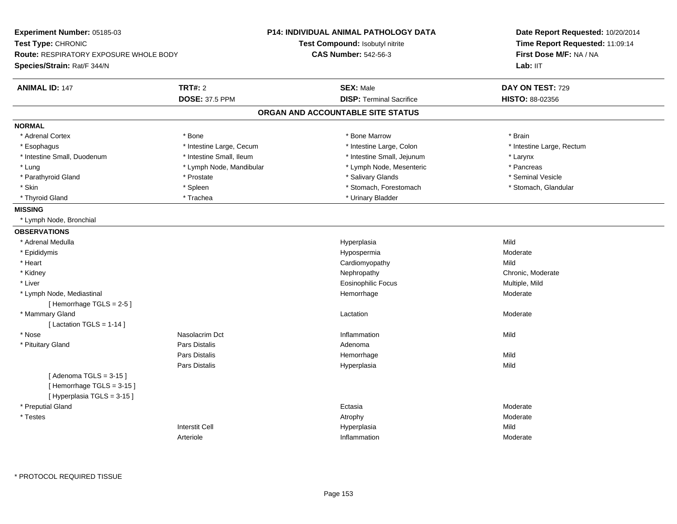| Experiment Number: 05185-03                   |                          | <b>P14: INDIVIDUAL ANIMAL PATHOLOGY DATA</b> | Date Report Requested: 10/20/2014                          |  |
|-----------------------------------------------|--------------------------|----------------------------------------------|------------------------------------------------------------|--|
| Test Type: CHRONIC                            |                          | <b>Test Compound: Isobutyl nitrite</b>       | Time Report Requested: 11:09:14<br>First Dose M/F: NA / NA |  |
| <b>Route: RESPIRATORY EXPOSURE WHOLE BODY</b> |                          | <b>CAS Number: 542-56-3</b>                  |                                                            |  |
| Species/Strain: Rat/F 344/N                   |                          |                                              | Lab: IIT                                                   |  |
| <b>ANIMAL ID: 147</b>                         | <b>TRT#: 2</b>           | <b>SEX: Male</b>                             | DAY ON TEST: 729                                           |  |
|                                               | <b>DOSE: 37.5 PPM</b>    | <b>DISP: Terminal Sacrifice</b>              | HISTO: 88-02356                                            |  |
|                                               |                          | ORGAN AND ACCOUNTABLE SITE STATUS            |                                                            |  |
| <b>NORMAL</b>                                 |                          |                                              |                                                            |  |
| * Adrenal Cortex                              | * Bone                   | * Bone Marrow                                | * Brain                                                    |  |
| * Esophagus                                   | * Intestine Large, Cecum | * Intestine Large, Colon                     | * Intestine Large, Rectum                                  |  |
| * Intestine Small, Duodenum                   | * Intestine Small, Ileum | * Intestine Small, Jejunum                   | * Larynx                                                   |  |
| * Lung                                        | * Lymph Node, Mandibular | * Lymph Node, Mesenteric                     | * Pancreas                                                 |  |
| * Parathyroid Gland                           | * Prostate               | * Salivary Glands                            | * Seminal Vesicle                                          |  |
| * Skin                                        | * Spleen                 | * Stomach, Forestomach                       | * Stomach, Glandular                                       |  |
| * Thyroid Gland                               | * Trachea                | * Urinary Bladder                            |                                                            |  |
| <b>MISSING</b>                                |                          |                                              |                                                            |  |
| * Lymph Node, Bronchial                       |                          |                                              |                                                            |  |
| <b>OBSERVATIONS</b>                           |                          |                                              |                                                            |  |
| * Adrenal Medulla                             |                          | Hyperplasia                                  | Mild                                                       |  |
| * Epididymis                                  |                          | Hypospermia                                  | Moderate                                                   |  |
| * Heart                                       |                          | Cardiomyopathy                               | Mild                                                       |  |
| * Kidney                                      |                          | Nephropathy                                  | Chronic, Moderate                                          |  |
| * Liver                                       |                          | <b>Eosinophilic Focus</b>                    | Multiple, Mild                                             |  |
| * Lymph Node, Mediastinal                     |                          | Hemorrhage                                   | Moderate                                                   |  |
| [Hemorrhage TGLS = 2-5]                       |                          |                                              |                                                            |  |
| * Mammary Gland                               |                          | Lactation                                    | Moderate                                                   |  |
| [ Lactation TGLS = $1-14$ ]                   |                          |                                              |                                                            |  |
| * Nose                                        | Nasolacrim Dct           | Inflammation                                 | Mild                                                       |  |
| * Pituitary Gland                             | Pars Distalis            | Adenoma                                      |                                                            |  |
|                                               | <b>Pars Distalis</b>     | Hemorrhage                                   | Mild                                                       |  |
|                                               | <b>Pars Distalis</b>     | Hyperplasia                                  | Mild                                                       |  |
| [Adenoma TGLS = $3-15$ ]                      |                          |                                              |                                                            |  |
| [Hemorrhage TGLS = 3-15]                      |                          |                                              |                                                            |  |
| [Hyperplasia TGLS = 3-15]                     |                          |                                              |                                                            |  |
| * Preputial Gland                             |                          | Ectasia                                      | Moderate                                                   |  |
| * Testes                                      |                          | Atrophy                                      | Moderate                                                   |  |
|                                               | <b>Interstit Cell</b>    | Hyperplasia                                  | Mild                                                       |  |
|                                               | Arteriole                | Inflammation                                 | Moderate                                                   |  |
|                                               |                          |                                              |                                                            |  |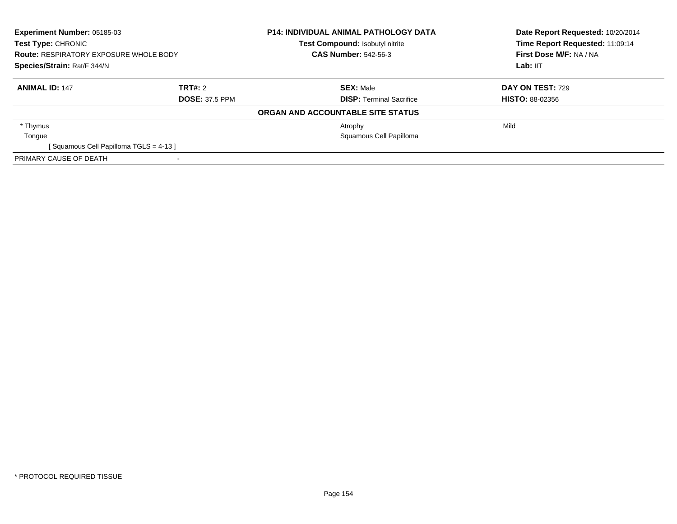| Experiment Number: 05185-03<br>Test Type: CHRONIC<br><b>Route: RESPIRATORY EXPOSURE WHOLE BODY</b><br>Species/Strain: Rat/F 344/N |                       | <b>P14: INDIVIDUAL ANIMAL PATHOLOGY DATA</b> | Date Report Requested: 10/20/2014<br>Time Report Requested: 11:09:14 |
|-----------------------------------------------------------------------------------------------------------------------------------|-----------------------|----------------------------------------------|----------------------------------------------------------------------|
|                                                                                                                                   |                       | Test Compound: Isobutyl nitrite              |                                                                      |
|                                                                                                                                   |                       | <b>CAS Number: 542-56-3</b>                  | First Dose M/F: NA / NA                                              |
|                                                                                                                                   |                       |                                              | Lab: IIT                                                             |
| <b>ANIMAL ID: 147</b>                                                                                                             | TRT#: 2               | <b>SEX: Male</b>                             | DAY ON TEST: 729                                                     |
|                                                                                                                                   | <b>DOSE: 37.5 PPM</b> | <b>DISP:</b> Terminal Sacrifice              | <b>HISTO: 88-02356</b>                                               |
|                                                                                                                                   |                       | ORGAN AND ACCOUNTABLE SITE STATUS            |                                                                      |
| * Thymus                                                                                                                          |                       | Atrophy                                      | Mild                                                                 |
| Tongue                                                                                                                            |                       | Squamous Cell Papilloma                      |                                                                      |
| [Squamous Cell Papilloma TGLS = 4-13]                                                                                             |                       |                                              |                                                                      |
| PRIMARY CAUSE OF DEATH                                                                                                            |                       |                                              |                                                                      |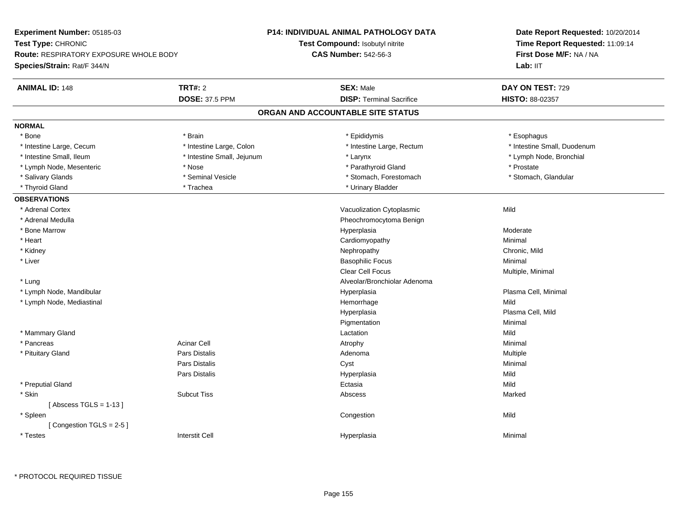| Experiment Number: 05185-03                   |                            | <b>P14: INDIVIDUAL ANIMAL PATHOLOGY DATA</b> | Date Report Requested: 10/20/2014 |  |
|-----------------------------------------------|----------------------------|----------------------------------------------|-----------------------------------|--|
| Test Type: CHRONIC                            |                            | <b>Test Compound: Isobutyl nitrite</b>       | Time Report Requested: 11:09:14   |  |
| <b>Route: RESPIRATORY EXPOSURE WHOLE BODY</b> |                            | <b>CAS Number: 542-56-3</b>                  | First Dose M/F: NA / NA           |  |
| Species/Strain: Rat/F 344/N                   |                            |                                              | Lab: IIT                          |  |
| <b>ANIMAL ID: 148</b>                         | <b>TRT#: 2</b>             | <b>SEX: Male</b>                             | DAY ON TEST: 729                  |  |
|                                               | <b>DOSE: 37.5 PPM</b>      | <b>DISP: Terminal Sacrifice</b>              | HISTO: 88-02357                   |  |
|                                               |                            | ORGAN AND ACCOUNTABLE SITE STATUS            |                                   |  |
| <b>NORMAL</b>                                 |                            |                                              |                                   |  |
| * Bone                                        | * Brain                    | * Epididymis                                 | * Esophagus                       |  |
| * Intestine Large, Cecum                      | * Intestine Large, Colon   | * Intestine Large, Rectum                    | * Intestine Small, Duodenum       |  |
| * Intestine Small, Ileum                      | * Intestine Small, Jejunum | * Larynx                                     | * Lymph Node, Bronchial           |  |
| * Lymph Node, Mesenteric                      | * Nose                     | * Parathyroid Gland                          | * Prostate                        |  |
| * Salivary Glands                             | * Seminal Vesicle          | * Stomach, Forestomach                       | * Stomach, Glandular              |  |
| * Thyroid Gland                               | * Trachea                  | * Urinary Bladder                            |                                   |  |
| <b>OBSERVATIONS</b>                           |                            |                                              |                                   |  |
| * Adrenal Cortex                              |                            | Vacuolization Cytoplasmic                    | Mild                              |  |
| * Adrenal Medulla                             |                            | Pheochromocytoma Benign                      |                                   |  |
| * Bone Marrow                                 |                            | Hyperplasia                                  | Moderate                          |  |
| * Heart                                       |                            | Cardiomyopathy                               | Minimal                           |  |
| * Kidney                                      |                            | Nephropathy                                  | Chronic, Mild                     |  |
| * Liver                                       |                            | <b>Basophilic Focus</b>                      | Minimal                           |  |
|                                               |                            | <b>Clear Cell Focus</b>                      | Multiple, Minimal                 |  |
| * Lung                                        |                            | Alveolar/Bronchiolar Adenoma                 |                                   |  |
| * Lymph Node, Mandibular                      |                            | Hyperplasia                                  | Plasma Cell, Minimal              |  |
| * Lymph Node, Mediastinal                     |                            | Hemorrhage                                   | Mild                              |  |
|                                               |                            | Hyperplasia                                  | Plasma Cell, Mild                 |  |
|                                               |                            | Pigmentation                                 | Minimal                           |  |
| * Mammary Gland                               |                            | Lactation                                    | Mild                              |  |
| * Pancreas                                    | <b>Acinar Cell</b>         | Atrophy                                      | Minimal                           |  |
| * Pituitary Gland                             | <b>Pars Distalis</b>       | Adenoma                                      | Multiple                          |  |
|                                               | <b>Pars Distalis</b>       | Cyst                                         | Minimal                           |  |
|                                               | <b>Pars Distalis</b>       | Hyperplasia                                  | Mild                              |  |
| * Preputial Gland                             |                            | Ectasia                                      | Mild                              |  |
| * Skin                                        | <b>Subcut Tiss</b>         | Abscess                                      | Marked                            |  |
| [Abscess TGLS = $1-13$ ]                      |                            |                                              |                                   |  |
| * Spleen                                      |                            | Congestion                                   | Mild                              |  |
| [Congestion TGLS = 2-5]                       |                            |                                              |                                   |  |
| * Testes                                      | <b>Interstit Cell</b>      | Hyperplasia                                  | Minimal                           |  |
|                                               |                            |                                              |                                   |  |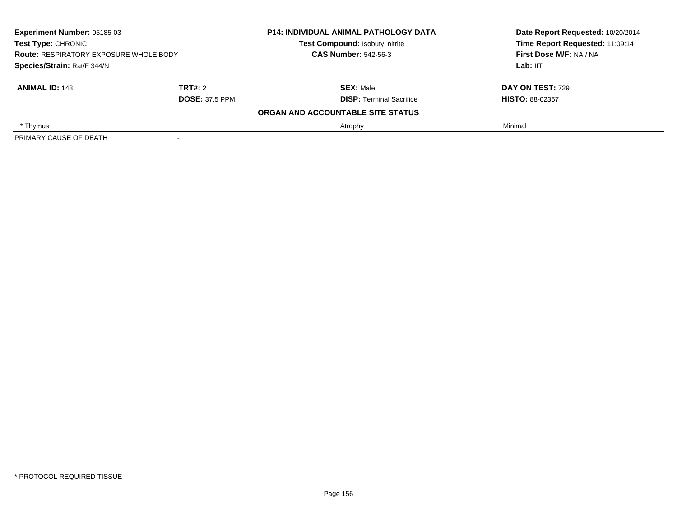| Experiment Number: 05185-03<br>Test Type: CHRONIC<br><b>Route: RESPIRATORY EXPOSURE WHOLE BODY</b><br>Species/Strain: Rat/F 344/N |                       | <b>P14: INDIVIDUAL ANIMAL PATHOLOGY DATA</b> | Date Report Requested: 10/20/2014 |
|-----------------------------------------------------------------------------------------------------------------------------------|-----------------------|----------------------------------------------|-----------------------------------|
|                                                                                                                                   |                       | Test Compound: Isobutyl nitrite              | Time Report Requested: 11:09:14   |
|                                                                                                                                   |                       | <b>CAS Number: 542-56-3</b>                  | First Dose M/F: NA / NA           |
|                                                                                                                                   |                       |                                              | Lab: IIT                          |
| <b>ANIMAL ID: 148</b>                                                                                                             | TRT#: 2               | <b>SEX: Male</b>                             | <b>DAY ON TEST: 729</b>           |
|                                                                                                                                   | <b>DOSE: 37.5 PPM</b> | <b>DISP: Terminal Sacrifice</b>              | <b>HISTO: 88-02357</b>            |
|                                                                                                                                   |                       | ORGAN AND ACCOUNTABLE SITE STATUS            |                                   |
| * Thymus                                                                                                                          |                       | Atrophy                                      | Minimal                           |
| PRIMARY CAUSE OF DEATH                                                                                                            |                       |                                              |                                   |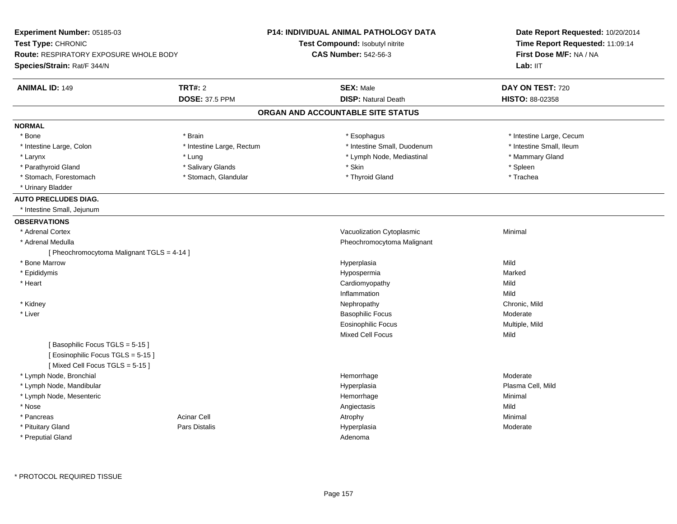| Experiment Number: 05185-03                                          |                           | <b>P14: INDIVIDUAL ANIMAL PATHOLOGY DATA</b> | Date Report Requested: 10/20/2014<br>Time Report Requested: 11:09:14 |  |
|----------------------------------------------------------------------|---------------------------|----------------------------------------------|----------------------------------------------------------------------|--|
| Test Type: CHRONIC                                                   |                           | Test Compound: Isobutyl nitrite              |                                                                      |  |
| <b>Route: RESPIRATORY EXPOSURE WHOLE BODY</b>                        |                           | <b>CAS Number: 542-56-3</b>                  | First Dose M/F: NA / NA                                              |  |
| Species/Strain: Rat/F 344/N                                          |                           |                                              | Lab: IIT                                                             |  |
| <b>ANIMAL ID: 149</b>                                                | <b>TRT#: 2</b>            | <b>SEX: Male</b>                             | DAY ON TEST: 720                                                     |  |
|                                                                      | <b>DOSE: 37.5 PPM</b>     | <b>DISP: Natural Death</b>                   | <b>HISTO: 88-02358</b>                                               |  |
|                                                                      |                           | ORGAN AND ACCOUNTABLE SITE STATUS            |                                                                      |  |
| <b>NORMAL</b>                                                        |                           |                                              |                                                                      |  |
| * Bone                                                               | * Brain                   | * Esophagus                                  | * Intestine Large, Cecum                                             |  |
| * Intestine Large, Colon                                             | * Intestine Large, Rectum | * Intestine Small, Duodenum                  | * Intestine Small, Ileum                                             |  |
| * Larynx                                                             | * Lung                    | * Lymph Node, Mediastinal                    | * Mammary Gland                                                      |  |
| * Parathyroid Gland                                                  | * Salivary Glands         | * Skin                                       | * Spleen                                                             |  |
| * Stomach, Forestomach                                               | * Stomach, Glandular      | * Thyroid Gland                              | * Trachea                                                            |  |
| * Urinary Bladder                                                    |                           |                                              |                                                                      |  |
| <b>AUTO PRECLUDES DIAG.</b>                                          |                           |                                              |                                                                      |  |
| * Intestine Small, Jejunum                                           |                           |                                              |                                                                      |  |
| <b>OBSERVATIONS</b>                                                  |                           |                                              |                                                                      |  |
| * Adrenal Cortex                                                     |                           | Vacuolization Cytoplasmic                    | Minimal                                                              |  |
| * Adrenal Medulla                                                    |                           | Pheochromocytoma Malignant                   |                                                                      |  |
| [ Pheochromocytoma Malignant TGLS = 4-14 ]                           |                           |                                              |                                                                      |  |
| * Bone Marrow                                                        |                           | Hyperplasia                                  | Mild                                                                 |  |
| * Epididymis                                                         |                           | Hypospermia                                  | Marked                                                               |  |
| * Heart                                                              |                           | Cardiomyopathy                               | Mild                                                                 |  |
|                                                                      |                           | Inflammation                                 | Mild                                                                 |  |
| * Kidney                                                             |                           | Nephropathy                                  | Chronic, Mild                                                        |  |
| * Liver                                                              |                           | <b>Basophilic Focus</b>                      | Moderate                                                             |  |
|                                                                      |                           | <b>Eosinophilic Focus</b>                    | Multiple, Mild                                                       |  |
|                                                                      |                           | <b>Mixed Cell Focus</b>                      | Mild                                                                 |  |
| [Basophilic Focus TGLS = 5-15]<br>[ Eosinophilic Focus TGLS = 5-15 ] |                           |                                              |                                                                      |  |
| [Mixed Cell Focus TGLS = 5-15]                                       |                           |                                              |                                                                      |  |
| * Lymph Node, Bronchial                                              |                           | Hemorrhage                                   | Moderate                                                             |  |
| * Lymph Node, Mandibular                                             |                           | Hyperplasia                                  | Plasma Cell, Mild                                                    |  |
| * Lymph Node, Mesenteric                                             |                           | Hemorrhage                                   | Minimal                                                              |  |
| * Nose                                                               |                           | Angiectasis                                  | Mild                                                                 |  |
| * Pancreas                                                           | <b>Acinar Cell</b>        | Atrophy                                      | Minimal                                                              |  |
| * Pituitary Gland                                                    | Pars Distalis             | Hyperplasia                                  | Moderate                                                             |  |
| * Preputial Gland                                                    |                           | Adenoma                                      |                                                                      |  |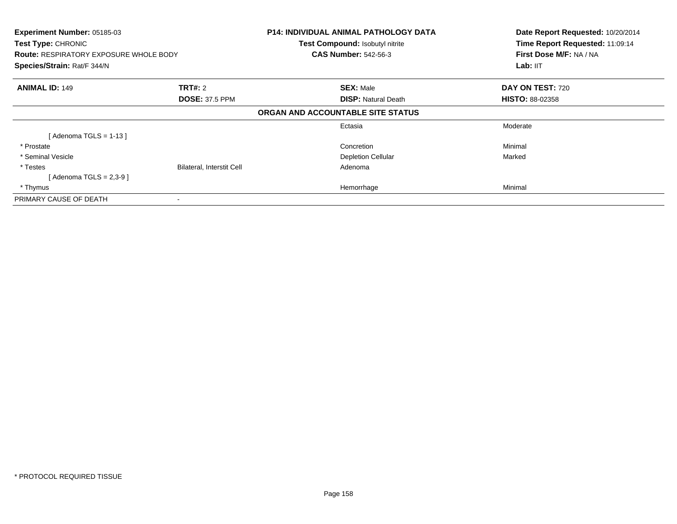| Experiment Number: 05185-03<br>Test Type: CHRONIC<br><b>Route: RESPIRATORY EXPOSURE WHOLE BODY</b><br>Species/Strain: Rat/F 344/N |                           | <b>P14: INDIVIDUAL ANIMAL PATHOLOGY DATA</b><br>Test Compound: Isobutyl nitrite<br><b>CAS Number: 542-56-3</b> | Date Report Requested: 10/20/2014<br>Time Report Requested: 11:09:14<br>First Dose M/F: NA / NA<br>Lab: IIT |
|-----------------------------------------------------------------------------------------------------------------------------------|---------------------------|----------------------------------------------------------------------------------------------------------------|-------------------------------------------------------------------------------------------------------------|
| <b>ANIMAL ID: 149</b>                                                                                                             | <b>TRT#: 2</b>            | <b>SEX: Male</b>                                                                                               | DAY ON TEST: 720                                                                                            |
|                                                                                                                                   | <b>DOSE: 37.5 PPM</b>     | <b>DISP: Natural Death</b>                                                                                     | <b>HISTO: 88-02358</b>                                                                                      |
|                                                                                                                                   |                           | ORGAN AND ACCOUNTABLE SITE STATUS                                                                              |                                                                                                             |
|                                                                                                                                   |                           | Ectasia                                                                                                        | Moderate                                                                                                    |
| [Adenoma TGLS = 1-13 ]                                                                                                            |                           |                                                                                                                |                                                                                                             |
| * Prostate                                                                                                                        |                           | Concretion                                                                                                     | Minimal                                                                                                     |
| * Seminal Vesicle                                                                                                                 |                           | <b>Depletion Cellular</b>                                                                                      | Marked                                                                                                      |
| * Testes                                                                                                                          | Bilateral, Interstit Cell | Adenoma                                                                                                        |                                                                                                             |
| [ Adenoma TGLS = 2,3-9 ]                                                                                                          |                           |                                                                                                                |                                                                                                             |
| * Thymus                                                                                                                          |                           | Hemorrhage                                                                                                     | Minimal                                                                                                     |
| PRIMARY CAUSE OF DEATH                                                                                                            |                           |                                                                                                                |                                                                                                             |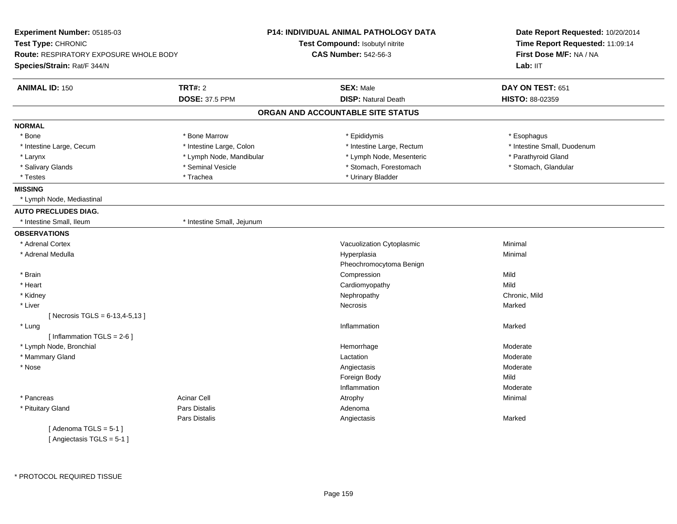| Experiment Number: 05185-03                   |                            | <b>P14: INDIVIDUAL ANIMAL PATHOLOGY DATA</b> | Date Report Requested: 10/20/2014<br>Time Report Requested: 11:09:14<br>First Dose M/F: NA / NA |  |
|-----------------------------------------------|----------------------------|----------------------------------------------|-------------------------------------------------------------------------------------------------|--|
| Test Type: CHRONIC                            |                            | Test Compound: Isobutyl nitrite              |                                                                                                 |  |
| <b>Route: RESPIRATORY EXPOSURE WHOLE BODY</b> |                            | <b>CAS Number: 542-56-3</b>                  |                                                                                                 |  |
| Species/Strain: Rat/F 344/N                   |                            |                                              | Lab: IIT                                                                                        |  |
| <b>ANIMAL ID: 150</b>                         | <b>TRT#: 2</b>             | <b>SEX: Male</b>                             | DAY ON TEST: 651                                                                                |  |
|                                               | <b>DOSE: 37.5 PPM</b>      | <b>DISP: Natural Death</b>                   | HISTO: 88-02359                                                                                 |  |
|                                               |                            | ORGAN AND ACCOUNTABLE SITE STATUS            |                                                                                                 |  |
| <b>NORMAL</b>                                 |                            |                                              |                                                                                                 |  |
| * Bone                                        | * Bone Marrow              | * Epididymis                                 | * Esophagus                                                                                     |  |
| * Intestine Large, Cecum                      | * Intestine Large, Colon   | * Intestine Large, Rectum                    | * Intestine Small, Duodenum                                                                     |  |
| * Larynx                                      | * Lymph Node, Mandibular   | * Lymph Node, Mesenteric                     | * Parathyroid Gland                                                                             |  |
| * Salivary Glands                             | * Seminal Vesicle          | * Stomach, Forestomach                       | * Stomach, Glandular                                                                            |  |
| * Testes                                      | * Trachea                  | * Urinary Bladder                            |                                                                                                 |  |
| <b>MISSING</b>                                |                            |                                              |                                                                                                 |  |
| * Lymph Node, Mediastinal                     |                            |                                              |                                                                                                 |  |
| <b>AUTO PRECLUDES DIAG.</b>                   |                            |                                              |                                                                                                 |  |
| * Intestine Small, Ileum                      | * Intestine Small, Jejunum |                                              |                                                                                                 |  |
| <b>OBSERVATIONS</b>                           |                            |                                              |                                                                                                 |  |
| * Adrenal Cortex                              |                            | Vacuolization Cytoplasmic                    | Minimal                                                                                         |  |
| * Adrenal Medulla                             |                            | Hyperplasia                                  | Minimal                                                                                         |  |
|                                               |                            | Pheochromocytoma Benign                      |                                                                                                 |  |
| * Brain                                       |                            | Compression                                  | Mild                                                                                            |  |
| * Heart                                       |                            | Cardiomyopathy                               | Mild                                                                                            |  |
| * Kidney                                      |                            | Nephropathy                                  | Chronic, Mild                                                                                   |  |
| * Liver                                       |                            | <b>Necrosis</b>                              | Marked                                                                                          |  |
| [Necrosis TGLS = 6-13,4-5,13]                 |                            |                                              |                                                                                                 |  |
| * Lung                                        |                            | Inflammation                                 | Marked                                                                                          |  |
| [Inflammation TGLS = $2-6$ ]                  |                            |                                              |                                                                                                 |  |
| * Lymph Node, Bronchial                       |                            | Hemorrhage                                   | Moderate                                                                                        |  |
| * Mammary Gland                               |                            | Lactation                                    | Moderate                                                                                        |  |
| * Nose                                        |                            | Angiectasis                                  | Moderate                                                                                        |  |
|                                               |                            | Foreign Body                                 | Mild                                                                                            |  |
|                                               |                            | Inflammation                                 | Moderate                                                                                        |  |
| * Pancreas                                    | <b>Acinar Cell</b>         | Atrophy                                      | Minimal                                                                                         |  |
| * Pituitary Gland                             | Pars Distalis              | Adenoma                                      |                                                                                                 |  |
|                                               | Pars Distalis              | Angiectasis                                  | Marked                                                                                          |  |
| [Adenoma TGLS = $5-1$ ]                       |                            |                                              |                                                                                                 |  |
| [ Angiectasis $TGLS = 5-1$ ]                  |                            |                                              |                                                                                                 |  |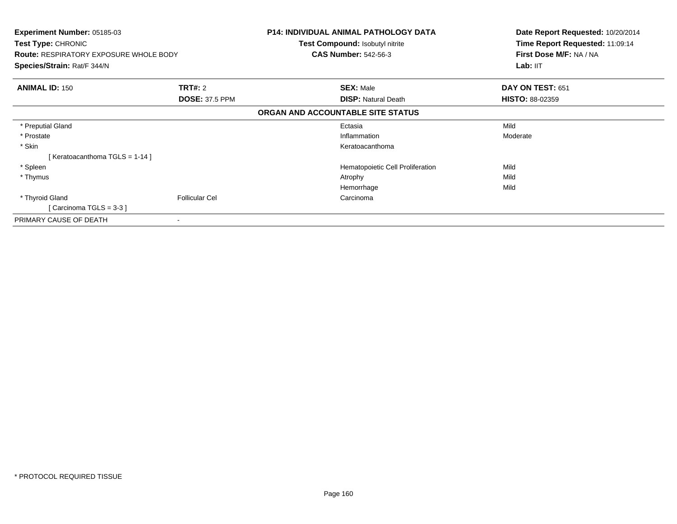| Experiment Number: 05185-03<br>Test Type: CHRONIC<br><b>Route: RESPIRATORY EXPOSURE WHOLE BODY</b><br><b>Species/Strain: Rat/F 344/N</b> |                       | <b>P14: INDIVIDUAL ANIMAL PATHOLOGY DATA</b><br><b>Test Compound: Isobutyl nitrite</b><br><b>CAS Number: 542-56-3</b> | Date Report Requested: 10/20/2014<br>Time Report Requested: 11:09:14<br>First Dose M/F: NA / NA<br>Lab: IIT |
|------------------------------------------------------------------------------------------------------------------------------------------|-----------------------|-----------------------------------------------------------------------------------------------------------------------|-------------------------------------------------------------------------------------------------------------|
| <b>ANIMAL ID: 150</b>                                                                                                                    | <b>TRT#: 2</b>        | <b>SEX: Male</b>                                                                                                      | DAY ON TEST: 651                                                                                            |
|                                                                                                                                          | <b>DOSE: 37.5 PPM</b> | <b>DISP: Natural Death</b>                                                                                            | <b>HISTO: 88-02359</b>                                                                                      |
|                                                                                                                                          |                       | ORGAN AND ACCOUNTABLE SITE STATUS                                                                                     |                                                                                                             |
| * Preputial Gland                                                                                                                        |                       | Ectasia                                                                                                               | Mild                                                                                                        |
| * Prostate                                                                                                                               |                       | Inflammation                                                                                                          | Moderate                                                                                                    |
| * Skin                                                                                                                                   |                       | Keratoacanthoma                                                                                                       |                                                                                                             |
| [Keratoacanthoma TGLS = 1-14]                                                                                                            |                       |                                                                                                                       |                                                                                                             |
| * Spleen                                                                                                                                 |                       | Hematopoietic Cell Proliferation                                                                                      | Mild                                                                                                        |
| * Thymus                                                                                                                                 |                       | Atrophy                                                                                                               | Mild                                                                                                        |
|                                                                                                                                          |                       | Hemorrhage                                                                                                            | Mild                                                                                                        |
| * Thyroid Gland                                                                                                                          | <b>Follicular Cel</b> | Carcinoma                                                                                                             |                                                                                                             |
| [ Carcinoma TGLS = 3-3 ]                                                                                                                 |                       |                                                                                                                       |                                                                                                             |
| PRIMARY CAUSE OF DEATH                                                                                                                   |                       |                                                                                                                       |                                                                                                             |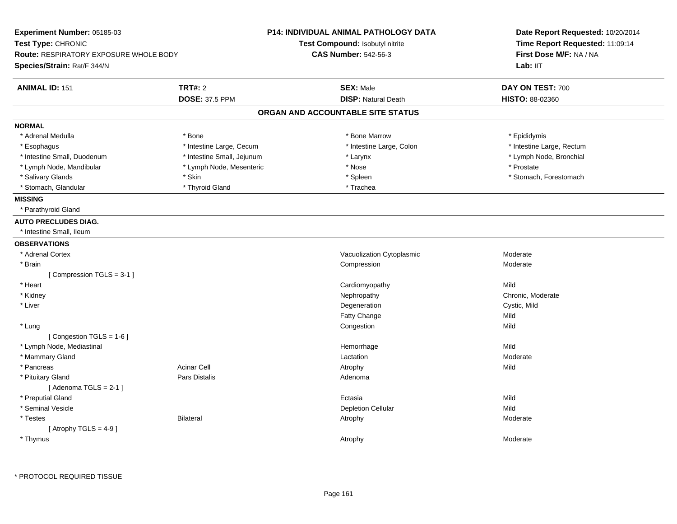| Experiment Number: 05185-03<br>Test Type: CHRONIC<br><b>Route: RESPIRATORY EXPOSURE WHOLE BODY</b><br>Species/Strain: Rat/F 344/N |                                         | <b>P14: INDIVIDUAL ANIMAL PATHOLOGY DATA</b><br>Test Compound: Isobutyl nitrite<br><b>CAS Number: 542-56-3</b> | Date Report Requested: 10/20/2014<br>Time Report Requested: 11:09:14<br>First Dose M/F: NA / NA<br>Lab: IIT |
|-----------------------------------------------------------------------------------------------------------------------------------|-----------------------------------------|----------------------------------------------------------------------------------------------------------------|-------------------------------------------------------------------------------------------------------------|
| <b>ANIMAL ID: 151</b>                                                                                                             | <b>TRT#: 2</b><br><b>DOSE: 37.5 PPM</b> | <b>SEX: Male</b><br><b>DISP: Natural Death</b>                                                                 | DAY ON TEST: 700<br>HISTO: 88-02360                                                                         |
|                                                                                                                                   |                                         |                                                                                                                |                                                                                                             |
|                                                                                                                                   |                                         | ORGAN AND ACCOUNTABLE SITE STATUS                                                                              |                                                                                                             |
| <b>NORMAL</b>                                                                                                                     |                                         |                                                                                                                |                                                                                                             |
| * Adrenal Medulla                                                                                                                 | * Bone                                  | * Bone Marrow                                                                                                  | * Epididymis                                                                                                |
| * Esophagus                                                                                                                       | * Intestine Large, Cecum                | * Intestine Large, Colon                                                                                       | * Intestine Large, Rectum                                                                                   |
| * Intestine Small, Duodenum                                                                                                       | * Intestine Small, Jejunum              | * Larynx                                                                                                       | * Lymph Node, Bronchial                                                                                     |
| * Lymph Node, Mandibular                                                                                                          | * Lymph Node, Mesenteric                | * Nose                                                                                                         | * Prostate                                                                                                  |
| * Salivary Glands                                                                                                                 | * Skin                                  | * Spleen                                                                                                       | * Stomach, Forestomach                                                                                      |
| * Stomach, Glandular                                                                                                              | * Thyroid Gland                         | * Trachea                                                                                                      |                                                                                                             |
| <b>MISSING</b>                                                                                                                    |                                         |                                                                                                                |                                                                                                             |
| * Parathyroid Gland                                                                                                               |                                         |                                                                                                                |                                                                                                             |
| <b>AUTO PRECLUDES DIAG.</b>                                                                                                       |                                         |                                                                                                                |                                                                                                             |
| * Intestine Small, Ileum                                                                                                          |                                         |                                                                                                                |                                                                                                             |
| <b>OBSERVATIONS</b>                                                                                                               |                                         |                                                                                                                |                                                                                                             |
| * Adrenal Cortex                                                                                                                  |                                         | Vacuolization Cytoplasmic                                                                                      | Moderate                                                                                                    |
| * Brain                                                                                                                           |                                         | Compression                                                                                                    | Moderate                                                                                                    |
| [Compression TGLS = 3-1]                                                                                                          |                                         |                                                                                                                |                                                                                                             |
| * Heart                                                                                                                           |                                         | Cardiomyopathy                                                                                                 | Mild                                                                                                        |
| * Kidney                                                                                                                          |                                         | Nephropathy                                                                                                    | Chronic, Moderate                                                                                           |
| * Liver                                                                                                                           |                                         | Degeneration                                                                                                   | Cystic, Mild                                                                                                |
|                                                                                                                                   |                                         | Fatty Change                                                                                                   | Mild                                                                                                        |
| * Lung                                                                                                                            |                                         | Congestion                                                                                                     | Mild                                                                                                        |
| [Congestion TGLS = 1-6]                                                                                                           |                                         |                                                                                                                |                                                                                                             |
| * Lymph Node, Mediastinal                                                                                                         |                                         | Hemorrhage                                                                                                     | Mild                                                                                                        |
| * Mammary Gland                                                                                                                   |                                         | Lactation                                                                                                      | Moderate                                                                                                    |
| * Pancreas                                                                                                                        | <b>Acinar Cell</b>                      | Atrophy                                                                                                        | Mild                                                                                                        |
| * Pituitary Gland                                                                                                                 | Pars Distalis                           | Adenoma                                                                                                        |                                                                                                             |
| [Adenoma TGLS = $2-1$ ]                                                                                                           |                                         |                                                                                                                |                                                                                                             |
| * Preputial Gland                                                                                                                 |                                         | Ectasia                                                                                                        | Mild                                                                                                        |
| * Seminal Vesicle                                                                                                                 |                                         | <b>Depletion Cellular</b>                                                                                      | Mild                                                                                                        |
| * Testes                                                                                                                          | <b>Bilateral</b>                        | Atrophy                                                                                                        | Moderate                                                                                                    |
| [Atrophy TGLS = $4-9$ ]                                                                                                           |                                         |                                                                                                                |                                                                                                             |
| * Thymus                                                                                                                          |                                         | Atrophy                                                                                                        | Moderate                                                                                                    |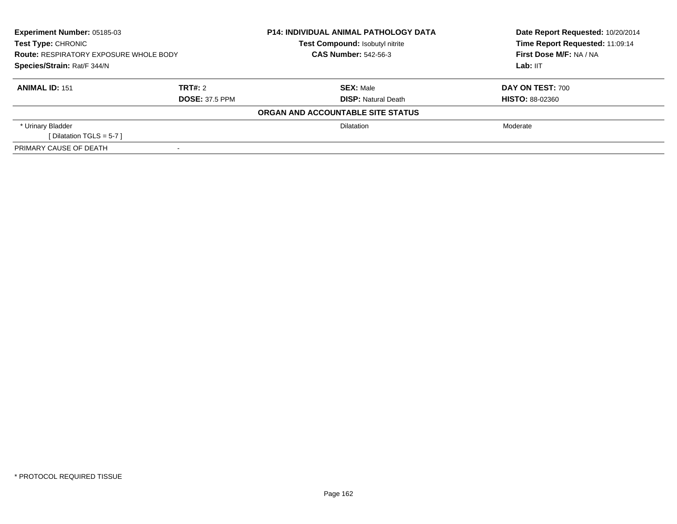| <b>Experiment Number: 05185-03</b><br><b>Test Type: CHRONIC</b><br><b>Route: RESPIRATORY EXPOSURE WHOLE BODY</b><br>Species/Strain: Rat/F 344/N |  | <b>P14: INDIVIDUAL ANIMAL PATHOLOGY DATA</b><br>Test Compound: Isobutyl nitrite<br><b>CAS Number: 542-56-3</b> | Date Report Requested: 10/20/2014<br>Time Report Requested: 11:09:14<br>First Dose M/F: NA / NA<br>Lab: IIT |
|-------------------------------------------------------------------------------------------------------------------------------------------------|--|----------------------------------------------------------------------------------------------------------------|-------------------------------------------------------------------------------------------------------------|
| TRT#: 2<br><b>ANIMAL ID: 151</b><br><b>DOSE: 37.5 PPM</b>                                                                                       |  | <b>SEX: Male</b><br><b>DISP:</b> Natural Death                                                                 | DAY ON TEST: 700<br><b>HISTO: 88-02360</b>                                                                  |
|                                                                                                                                                 |  | ORGAN AND ACCOUNTABLE SITE STATUS                                                                              |                                                                                                             |
| * Urinary Bladder<br>[Dilatation TGLS = $5-7$ ]                                                                                                 |  | <b>Dilatation</b>                                                                                              | Moderate                                                                                                    |
| PRIMARY CAUSE OF DEATH                                                                                                                          |  |                                                                                                                |                                                                                                             |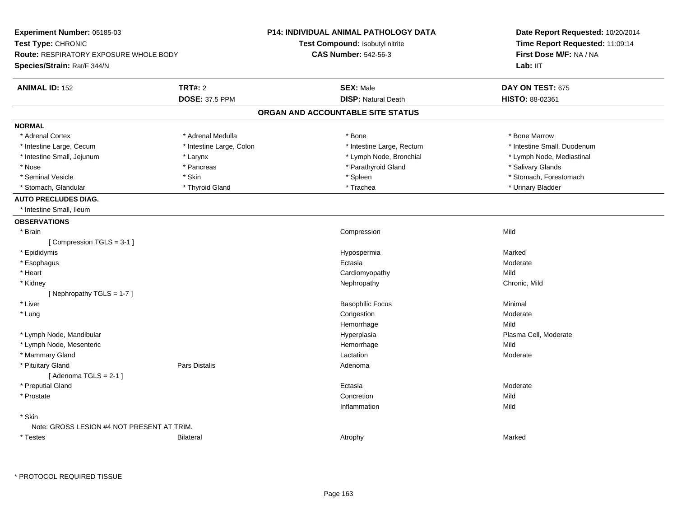| Experiment Number: 05185-03                                  |                          | <b>P14: INDIVIDUAL ANIMAL PATHOLOGY DATA</b> | Date Report Requested: 10/20/2014                          |  |
|--------------------------------------------------------------|--------------------------|----------------------------------------------|------------------------------------------------------------|--|
| Test Type: CHRONIC<br>Route: RESPIRATORY EXPOSURE WHOLE BODY |                          | Test Compound: Isobutyl nitrite              | Time Report Requested: 11:09:14<br>First Dose M/F: NA / NA |  |
|                                                              |                          | <b>CAS Number: 542-56-3</b>                  |                                                            |  |
| Species/Strain: Rat/F 344/N                                  |                          |                                              | Lab: II <sub>T</sub>                                       |  |
| <b>ANIMAL ID: 152</b>                                        | <b>TRT#: 2</b>           | <b>SEX: Male</b>                             | DAY ON TEST: 675                                           |  |
|                                                              | <b>DOSE: 37.5 PPM</b>    | <b>DISP: Natural Death</b>                   | HISTO: 88-02361                                            |  |
|                                                              |                          | ORGAN AND ACCOUNTABLE SITE STATUS            |                                                            |  |
| <b>NORMAL</b>                                                |                          |                                              |                                                            |  |
| * Adrenal Cortex                                             | * Adrenal Medulla        | * Bone                                       | * Bone Marrow                                              |  |
| * Intestine Large, Cecum                                     | * Intestine Large, Colon | * Intestine Large, Rectum                    | * Intestine Small, Duodenum                                |  |
| * Intestine Small, Jejunum                                   | * Larynx                 | * Lymph Node, Bronchial                      | * Lymph Node, Mediastinal                                  |  |
| * Nose                                                       | * Pancreas               | * Parathyroid Gland                          | * Salivary Glands                                          |  |
| * Seminal Vesicle                                            | * Skin                   | * Spleen                                     | * Stomach, Forestomach                                     |  |
| * Stomach, Glandular                                         | * Thyroid Gland          | * Trachea                                    | * Urinary Bladder                                          |  |
| <b>AUTO PRECLUDES DIAG.</b>                                  |                          |                                              |                                                            |  |
| * Intestine Small, Ileum                                     |                          |                                              |                                                            |  |
| <b>OBSERVATIONS</b>                                          |                          |                                              |                                                            |  |
| * Brain                                                      |                          | Compression                                  | Mild                                                       |  |
| [Compression TGLS = 3-1]                                     |                          |                                              |                                                            |  |
| * Epididymis                                                 |                          | Hypospermia                                  | Marked                                                     |  |
| * Esophagus                                                  |                          | Ectasia                                      | Moderate                                                   |  |
| * Heart                                                      |                          | Cardiomyopathy                               | Mild                                                       |  |
| * Kidney                                                     |                          | Nephropathy                                  | Chronic, Mild                                              |  |
| [Nephropathy TGLS = $1-7$ ]                                  |                          |                                              |                                                            |  |
| * Liver                                                      |                          | <b>Basophilic Focus</b>                      | Minimal                                                    |  |
| * Lung                                                       |                          | Congestion                                   | Moderate                                                   |  |
|                                                              |                          | Hemorrhage                                   | Mild                                                       |  |
| * Lymph Node, Mandibular                                     |                          | Hyperplasia                                  | Plasma Cell, Moderate                                      |  |
| * Lymph Node, Mesenteric                                     |                          | Hemorrhage                                   | Mild                                                       |  |
| * Mammary Gland                                              |                          | Lactation                                    | Moderate                                                   |  |
| * Pituitary Gland                                            | Pars Distalis            | Adenoma                                      |                                                            |  |
| [Adenoma TGLS = $2-1$ ]                                      |                          |                                              |                                                            |  |
| * Preputial Gland                                            |                          | Ectasia                                      | Moderate                                                   |  |
| * Prostate                                                   |                          | Concretion                                   | Mild                                                       |  |
|                                                              |                          | Inflammation                                 | Mild                                                       |  |
| * Skin                                                       |                          |                                              |                                                            |  |
| Note: GROSS LESION #4 NOT PRESENT AT TRIM.                   |                          |                                              |                                                            |  |
| * Testes                                                     | <b>Bilateral</b>         | Atrophy                                      | Marked                                                     |  |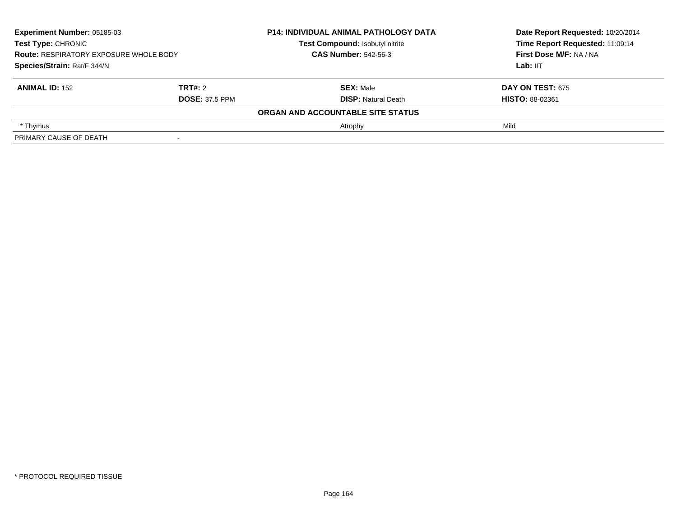| Experiment Number: 05185-03<br>Test Type: CHRONIC<br><b>Route: RESPIRATORY EXPOSURE WHOLE BODY</b><br>Species/Strain: Rat/F 344/N |                       | <b>P14: INDIVIDUAL ANIMAL PATHOLOGY DATA</b> | Date Report Requested: 10/20/2014 |
|-----------------------------------------------------------------------------------------------------------------------------------|-----------------------|----------------------------------------------|-----------------------------------|
|                                                                                                                                   |                       | Test Compound: Isobutyl nitrite              | Time Report Requested: 11:09:14   |
|                                                                                                                                   |                       | <b>CAS Number: 542-56-3</b>                  | First Dose M/F: NA / NA           |
|                                                                                                                                   |                       |                                              | Lab: IIT                          |
| <b>ANIMAL ID: 152</b>                                                                                                             | TRT#: 2               | <b>SEX: Male</b>                             | <b>DAY ON TEST: 675</b>           |
|                                                                                                                                   | <b>DOSE: 37.5 PPM</b> | <b>DISP: Natural Death</b>                   | <b>HISTO: 88-02361</b>            |
|                                                                                                                                   |                       | ORGAN AND ACCOUNTABLE SITE STATUS            |                                   |
| * Thymus                                                                                                                          |                       | Atrophy                                      | Mild                              |
| PRIMARY CAUSE OF DEATH                                                                                                            |                       |                                              |                                   |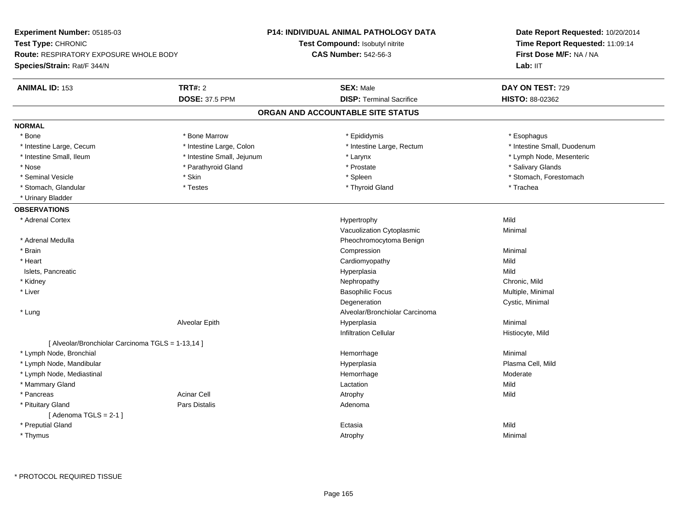| Experiment Number: 05185-03                       |                            | P14: INDIVIDUAL ANIMAL PATHOLOGY DATA  | Date Report Requested: 10/20/2014<br>Time Report Requested: 11:09:14<br>First Dose M/F: NA / NA |  |
|---------------------------------------------------|----------------------------|----------------------------------------|-------------------------------------------------------------------------------------------------|--|
| Test Type: CHRONIC                                |                            | <b>Test Compound: Isobutyl nitrite</b> |                                                                                                 |  |
| <b>Route: RESPIRATORY EXPOSURE WHOLE BODY</b>     |                            | <b>CAS Number: 542-56-3</b>            |                                                                                                 |  |
| Species/Strain: Rat/F 344/N                       |                            |                                        | Lab: IIT                                                                                        |  |
| <b>ANIMAL ID: 153</b>                             | <b>TRT#: 2</b>             | <b>SEX: Male</b>                       | DAY ON TEST: 729                                                                                |  |
|                                                   | <b>DOSE: 37.5 PPM</b>      | <b>DISP: Terminal Sacrifice</b>        | HISTO: 88-02362                                                                                 |  |
|                                                   |                            | ORGAN AND ACCOUNTABLE SITE STATUS      |                                                                                                 |  |
| <b>NORMAL</b>                                     |                            |                                        |                                                                                                 |  |
| * Bone                                            | * Bone Marrow              | * Epididymis                           | * Esophagus                                                                                     |  |
| * Intestine Large, Cecum                          | * Intestine Large, Colon   | * Intestine Large, Rectum              | * Intestine Small, Duodenum                                                                     |  |
| * Intestine Small, Ileum                          | * Intestine Small, Jejunum | * Larynx                               | * Lymph Node, Mesenteric                                                                        |  |
| * Nose                                            | * Parathyroid Gland        | * Prostate                             | * Salivary Glands                                                                               |  |
| * Seminal Vesicle                                 | * Skin                     | * Spleen                               | * Stomach, Forestomach                                                                          |  |
| * Stomach, Glandular                              | $^\star$ Testes            | * Thyroid Gland                        | * Trachea                                                                                       |  |
| * Urinary Bladder                                 |                            |                                        |                                                                                                 |  |
| <b>OBSERVATIONS</b>                               |                            |                                        |                                                                                                 |  |
| * Adrenal Cortex                                  |                            | Hypertrophy                            | Mild                                                                                            |  |
|                                                   |                            | Vacuolization Cytoplasmic              | Minimal                                                                                         |  |
| * Adrenal Medulla                                 |                            | Pheochromocytoma Benign                |                                                                                                 |  |
| * Brain                                           |                            | Compression                            | Minimal                                                                                         |  |
| * Heart                                           |                            | Cardiomyopathy                         | Mild                                                                                            |  |
| Islets, Pancreatic                                |                            | Hyperplasia                            | Mild                                                                                            |  |
| * Kidney                                          |                            | Nephropathy                            | Chronic, Mild                                                                                   |  |
| * Liver                                           |                            | <b>Basophilic Focus</b>                | Multiple, Minimal                                                                               |  |
|                                                   |                            | Degeneration                           | Cystic, Minimal                                                                                 |  |
| * Lung                                            |                            | Alveolar/Bronchiolar Carcinoma         |                                                                                                 |  |
|                                                   | Alveolar Epith             | Hyperplasia                            | Minimal                                                                                         |  |
|                                                   |                            | Infiltration Cellular                  | Histiocyte, Mild                                                                                |  |
| [ Alveolar/Bronchiolar Carcinoma TGLS = 1-13,14 ] |                            |                                        |                                                                                                 |  |
| * Lymph Node, Bronchial                           |                            | Hemorrhage                             | Minimal                                                                                         |  |
| * Lymph Node, Mandibular                          |                            | Hyperplasia                            | Plasma Cell, Mild                                                                               |  |
| * Lymph Node, Mediastinal                         |                            | Hemorrhage                             | Moderate                                                                                        |  |
| * Mammary Gland                                   |                            | Lactation                              | Mild                                                                                            |  |
| * Pancreas                                        | <b>Acinar Cell</b>         | Atrophy                                | Mild                                                                                            |  |
| * Pituitary Gland                                 | <b>Pars Distalis</b>       | Adenoma                                |                                                                                                 |  |
| [Adenoma TGLS = $2-1$ ]                           |                            |                                        |                                                                                                 |  |
| * Preputial Gland                                 |                            | Ectasia                                | Mild                                                                                            |  |
| * Thymus                                          |                            | Atrophy                                | Minimal                                                                                         |  |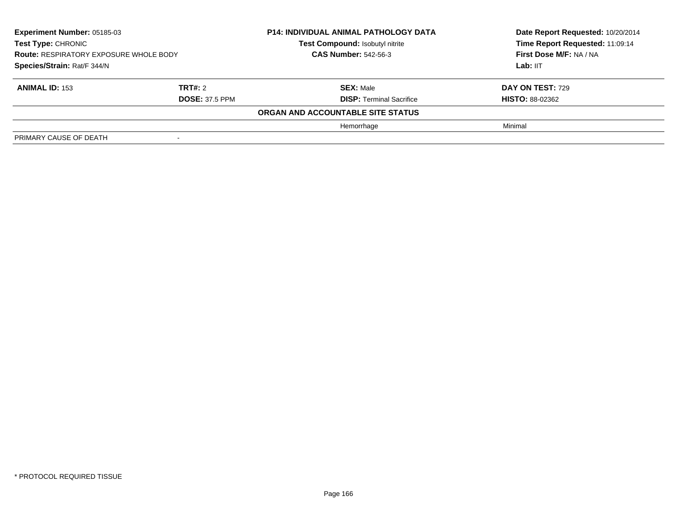| Experiment Number: 05185-03<br><b>Test Type: CHRONIC</b><br><b>Route: RESPIRATORY EXPOSURE WHOLE BODY</b><br>Species/Strain: Rat/F 344/N |                       | <b>P14: INDIVIDUAL ANIMAL PATHOLOGY DATA</b> | Date Report Requested: 10/20/2014 |
|------------------------------------------------------------------------------------------------------------------------------------------|-----------------------|----------------------------------------------|-----------------------------------|
|                                                                                                                                          |                       | Test Compound: Isobutyl nitrite              | Time Report Requested: 11:09:14   |
|                                                                                                                                          |                       | <b>CAS Number: 542-56-3</b>                  | First Dose M/F: NA / NA           |
|                                                                                                                                          |                       |                                              | Lab: IIT                          |
| <b>ANIMAL ID: 153</b>                                                                                                                    | TRT#: 2               | <b>SEX: Male</b>                             | <b>DAY ON TEST: 729</b>           |
|                                                                                                                                          | <b>DOSE: 37.5 PPM</b> | <b>DISP: Terminal Sacrifice</b>              | <b>HISTO: 88-02362</b>            |
|                                                                                                                                          |                       | ORGAN AND ACCOUNTABLE SITE STATUS            |                                   |
|                                                                                                                                          |                       | Hemorrhage                                   | Minimal                           |
| PRIMARY CAUSE OF DEATH                                                                                                                   |                       |                                              |                                   |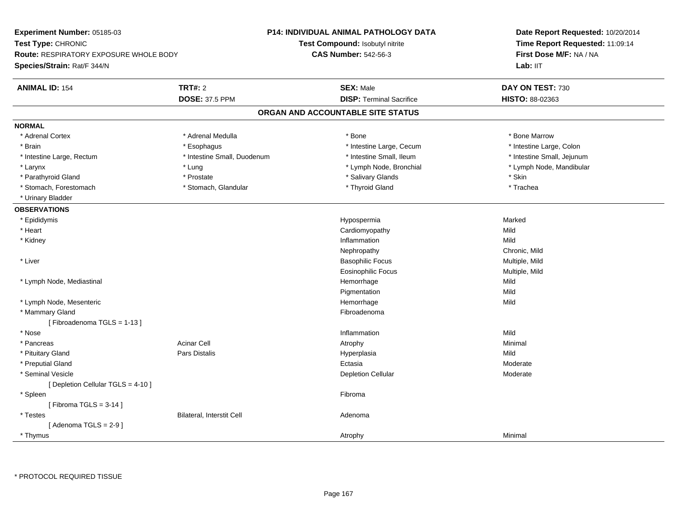| Experiment Number: 05185-03                   |                             | <b>P14: INDIVIDUAL ANIMAL PATHOLOGY DATA</b> | Date Report Requested: 10/20/2014<br>Time Report Requested: 11:09:14<br>First Dose M/F: NA / NA |  |
|-----------------------------------------------|-----------------------------|----------------------------------------------|-------------------------------------------------------------------------------------------------|--|
| Test Type: CHRONIC                            |                             | Test Compound: Isobutyl nitrite              |                                                                                                 |  |
| <b>Route: RESPIRATORY EXPOSURE WHOLE BODY</b> |                             | <b>CAS Number: 542-56-3</b>                  |                                                                                                 |  |
| Species/Strain: Rat/F 344/N                   |                             |                                              | Lab: IIT                                                                                        |  |
| <b>ANIMAL ID: 154</b>                         | <b>TRT#: 2</b>              | <b>SEX: Male</b>                             | DAY ON TEST: 730                                                                                |  |
|                                               | <b>DOSE: 37.5 PPM</b>       | <b>DISP: Terminal Sacrifice</b>              | HISTO: 88-02363                                                                                 |  |
|                                               |                             | ORGAN AND ACCOUNTABLE SITE STATUS            |                                                                                                 |  |
| <b>NORMAL</b>                                 |                             |                                              |                                                                                                 |  |
| * Adrenal Cortex                              | * Adrenal Medulla           | * Bone                                       | * Bone Marrow                                                                                   |  |
| * Brain                                       | * Esophagus                 | * Intestine Large, Cecum                     | * Intestine Large, Colon                                                                        |  |
| * Intestine Large, Rectum                     | * Intestine Small, Duodenum | * Intestine Small, Ileum                     | * Intestine Small, Jejunum                                                                      |  |
| * Larynx                                      | * Lung                      | * Lymph Node, Bronchial                      | * Lymph Node, Mandibular                                                                        |  |
| * Parathyroid Gland                           | * Prostate                  | * Salivary Glands                            | * Skin                                                                                          |  |
| * Stomach, Forestomach                        | * Stomach, Glandular        | * Thyroid Gland                              | * Trachea                                                                                       |  |
| * Urinary Bladder                             |                             |                                              |                                                                                                 |  |
| <b>OBSERVATIONS</b>                           |                             |                                              |                                                                                                 |  |
| * Epididymis                                  |                             | Hypospermia                                  | Marked                                                                                          |  |
| * Heart                                       |                             | Cardiomyopathy                               | Mild                                                                                            |  |
| * Kidney                                      |                             | Inflammation                                 | Mild                                                                                            |  |
|                                               |                             | Nephropathy                                  | Chronic, Mild                                                                                   |  |
| * Liver                                       |                             | <b>Basophilic Focus</b>                      | Multiple, Mild                                                                                  |  |
|                                               |                             | Eosinophilic Focus                           | Multiple, Mild                                                                                  |  |
| * Lymph Node, Mediastinal                     |                             | Hemorrhage                                   | Mild                                                                                            |  |
|                                               |                             | Pigmentation                                 | Mild                                                                                            |  |
| * Lymph Node, Mesenteric                      |                             | Hemorrhage                                   | Mild                                                                                            |  |
| * Mammary Gland                               |                             | Fibroadenoma                                 |                                                                                                 |  |
| [Fibroadenoma TGLS = 1-13]                    |                             |                                              |                                                                                                 |  |
| * Nose                                        |                             | Inflammation                                 | Mild                                                                                            |  |
| * Pancreas                                    | <b>Acinar Cell</b>          | Atrophy                                      | Minimal                                                                                         |  |
| * Pituitary Gland                             | Pars Distalis               | Hyperplasia                                  | Mild                                                                                            |  |
| * Preputial Gland                             |                             | Ectasia                                      | Moderate                                                                                        |  |
| * Seminal Vesicle                             |                             | <b>Depletion Cellular</b>                    | Moderate                                                                                        |  |
| [ Depletion Cellular TGLS = 4-10 ]            |                             |                                              |                                                                                                 |  |
| * Spleen                                      |                             | Fibroma                                      |                                                                                                 |  |
| [Fibroma TGLS = $3-14$ ]                      |                             |                                              |                                                                                                 |  |
| * Testes                                      | Bilateral, Interstit Cell   | Adenoma                                      |                                                                                                 |  |
| [Adenoma TGLS = $2-9$ ]                       |                             |                                              |                                                                                                 |  |
| * Thymus                                      |                             | Atrophy                                      | Minimal                                                                                         |  |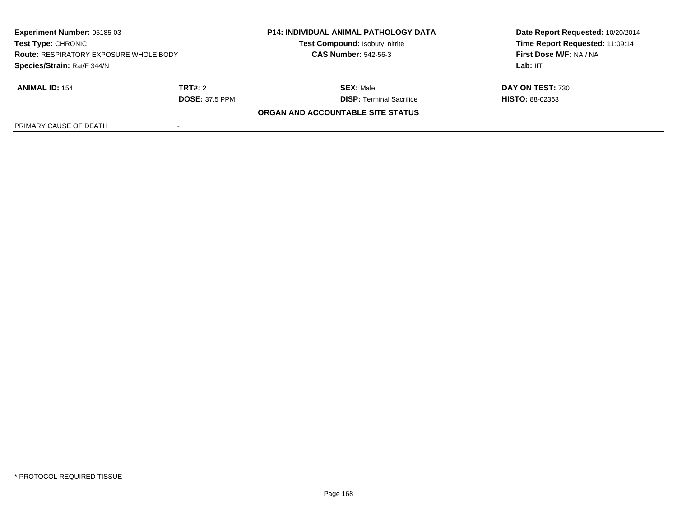| <b>Experiment Number: 05185-03</b><br><b>Test Type: CHRONIC</b><br><b>Route: RESPIRATORY EXPOSURE WHOLE BODY</b><br>Species/Strain: Rat/F 344/N |                       | <b>P14: INDIVIDUAL ANIMAL PATHOLOGY DATA</b><br>Test Compound: Isobutyl nitrite | Date Report Requested: 10/20/2014<br>Time Report Requested: 11:09:14 |
|-------------------------------------------------------------------------------------------------------------------------------------------------|-----------------------|---------------------------------------------------------------------------------|----------------------------------------------------------------------|
|                                                                                                                                                 |                       | <b>CAS Number: 542-56-3</b>                                                     | First Dose M/F: NA / NA                                              |
|                                                                                                                                                 |                       |                                                                                 | Lab: IIT                                                             |
| <b>ANIMAL ID: 154</b>                                                                                                                           | TRT#: 2               | <b>SEX: Male</b>                                                                | DAY ON TEST: 730                                                     |
|                                                                                                                                                 | <b>DOSE: 37.5 PPM</b> | <b>DISP: Terminal Sacrifice</b>                                                 | <b>HISTO: 88-02363</b>                                               |
|                                                                                                                                                 |                       | <b>ORGAN AND ACCOUNTABLE SITE STATUS</b>                                        |                                                                      |
| PRIMARY CAUSE OF DEATH                                                                                                                          |                       |                                                                                 |                                                                      |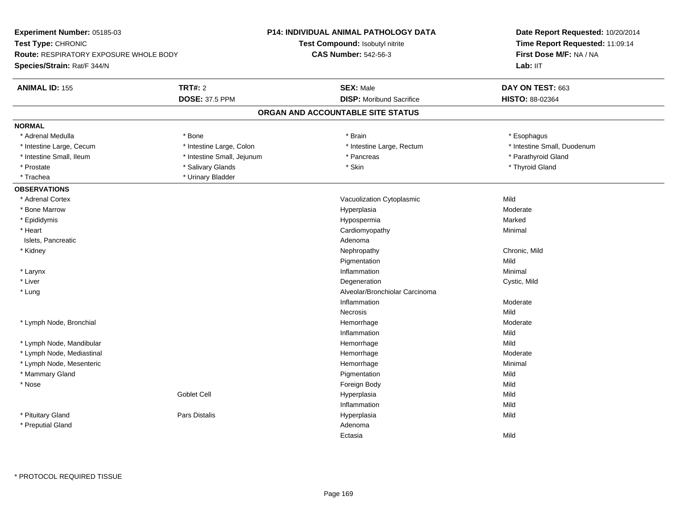| Experiment Number: 05185-03                   |                            | <b>P14: INDIVIDUAL ANIMAL PATHOLOGY DATA</b> | Date Report Requested: 10/20/2014<br>Time Report Requested: 11:09:14<br>First Dose M/F: NA / NA |  |
|-----------------------------------------------|----------------------------|----------------------------------------------|-------------------------------------------------------------------------------------------------|--|
| Test Type: CHRONIC                            |                            | Test Compound: Isobutyl nitrite              |                                                                                                 |  |
| <b>Route: RESPIRATORY EXPOSURE WHOLE BODY</b> |                            | <b>CAS Number: 542-56-3</b>                  |                                                                                                 |  |
| Species/Strain: Rat/F 344/N                   |                            |                                              | Lab: IIT                                                                                        |  |
| <b>ANIMAL ID: 155</b>                         | <b>TRT#: 2</b>             | <b>SEX: Male</b>                             | DAY ON TEST: 663                                                                                |  |
|                                               | <b>DOSE: 37.5 PPM</b>      | <b>DISP:</b> Moribund Sacrifice              | HISTO: 88-02364                                                                                 |  |
|                                               |                            | ORGAN AND ACCOUNTABLE SITE STATUS            |                                                                                                 |  |
| <b>NORMAL</b>                                 |                            |                                              |                                                                                                 |  |
| * Adrenal Medulla                             | * Bone                     | * Brain                                      | * Esophagus                                                                                     |  |
| * Intestine Large, Cecum                      | * Intestine Large, Colon   | * Intestine Large, Rectum                    | * Intestine Small, Duodenum                                                                     |  |
| * Intestine Small, Ileum                      | * Intestine Small, Jejunum | * Pancreas                                   | * Parathyroid Gland                                                                             |  |
| * Prostate                                    | * Salivary Glands          | * Skin                                       | * Thyroid Gland                                                                                 |  |
| * Trachea                                     | * Urinary Bladder          |                                              |                                                                                                 |  |
| <b>OBSERVATIONS</b>                           |                            |                                              |                                                                                                 |  |
| * Adrenal Cortex                              |                            | Vacuolization Cytoplasmic                    | Mild                                                                                            |  |
| * Bone Marrow                                 |                            | Hyperplasia                                  | Moderate                                                                                        |  |
| * Epididymis                                  |                            | Hypospermia                                  | Marked                                                                                          |  |
| * Heart                                       |                            | Cardiomyopathy                               | Minimal                                                                                         |  |
| Islets, Pancreatic                            |                            | Adenoma                                      |                                                                                                 |  |
| * Kidney                                      |                            | Nephropathy                                  | Chronic, Mild                                                                                   |  |
|                                               |                            | Pigmentation                                 | Mild                                                                                            |  |
| * Larynx                                      |                            | Inflammation                                 | Minimal                                                                                         |  |
| * Liver                                       |                            | Degeneration                                 | Cystic, Mild                                                                                    |  |
| * Lung                                        |                            | Alveolar/Bronchiolar Carcinoma               |                                                                                                 |  |
|                                               |                            | Inflammation                                 | Moderate                                                                                        |  |
|                                               |                            | <b>Necrosis</b>                              | Mild                                                                                            |  |
| * Lymph Node, Bronchial                       |                            | Hemorrhage                                   | Moderate                                                                                        |  |
|                                               |                            | Inflammation                                 | Mild                                                                                            |  |
| * Lymph Node, Mandibular                      |                            | Hemorrhage                                   | Mild                                                                                            |  |
| * Lymph Node, Mediastinal                     |                            | Hemorrhage                                   | Moderate                                                                                        |  |
| * Lymph Node, Mesenteric                      |                            | Hemorrhage                                   | Minimal                                                                                         |  |
| * Mammary Gland                               |                            | Pigmentation                                 | Mild                                                                                            |  |
| * Nose                                        |                            | Foreign Body                                 | Mild                                                                                            |  |
|                                               | Goblet Cell                | Hyperplasia                                  | Mild                                                                                            |  |
|                                               |                            | Inflammation                                 | Mild                                                                                            |  |
| * Pituitary Gland                             | Pars Distalis              | Hyperplasia                                  | Mild                                                                                            |  |
| * Preputial Gland                             |                            | Adenoma                                      |                                                                                                 |  |
|                                               |                            | Ectasia                                      | Mild                                                                                            |  |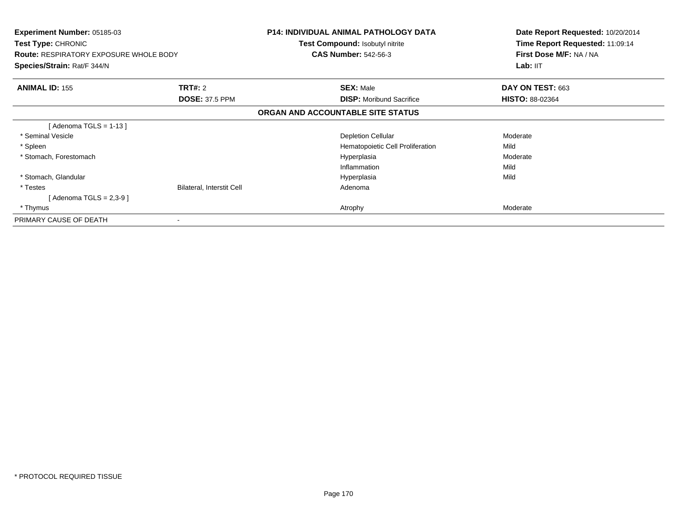| <b>Experiment Number: 05185-03</b><br><b>Test Type: CHRONIC</b><br><b>Route: RESPIRATORY EXPOSURE WHOLE BODY</b><br>Species/Strain: Rat/F 344/N |                           | <b>P14: INDIVIDUAL ANIMAL PATHOLOGY DATA</b><br><b>Test Compound: Isobutyl nitrite</b><br><b>CAS Number: 542-56-3</b> | Date Report Requested: 10/20/2014<br>Time Report Requested: 11:09:14<br>First Dose M/F: NA / NA<br>Lab: IIT |
|-------------------------------------------------------------------------------------------------------------------------------------------------|---------------------------|-----------------------------------------------------------------------------------------------------------------------|-------------------------------------------------------------------------------------------------------------|
| <b>ANIMAL ID: 155</b>                                                                                                                           | <b>TRT#: 2</b>            | <b>SEX: Male</b>                                                                                                      | DAY ON TEST: 663                                                                                            |
|                                                                                                                                                 | <b>DOSE: 37.5 PPM</b>     | <b>DISP:</b> Moribund Sacrifice                                                                                       | <b>HISTO: 88-02364</b>                                                                                      |
|                                                                                                                                                 |                           | ORGAN AND ACCOUNTABLE SITE STATUS                                                                                     |                                                                                                             |
| [Adenoma TGLS = 1-13 ]                                                                                                                          |                           |                                                                                                                       |                                                                                                             |
| * Seminal Vesicle                                                                                                                               |                           | <b>Depletion Cellular</b>                                                                                             | Moderate                                                                                                    |
| * Spleen                                                                                                                                        |                           | Hematopoietic Cell Proliferation                                                                                      | Mild                                                                                                        |
| * Stomach, Forestomach                                                                                                                          |                           | Hyperplasia                                                                                                           | Moderate                                                                                                    |
|                                                                                                                                                 |                           | Inflammation                                                                                                          | Mild                                                                                                        |
| * Stomach, Glandular                                                                                                                            |                           | Hyperplasia                                                                                                           | Mild                                                                                                        |
| * Testes                                                                                                                                        | Bilateral, Interstit Cell | Adenoma                                                                                                               |                                                                                                             |
| [ Adenoma TGLS = 2,3-9 ]                                                                                                                        |                           |                                                                                                                       |                                                                                                             |
| * Thymus                                                                                                                                        |                           | Atrophy                                                                                                               | Moderate                                                                                                    |
| PRIMARY CAUSE OF DEATH                                                                                                                          |                           |                                                                                                                       |                                                                                                             |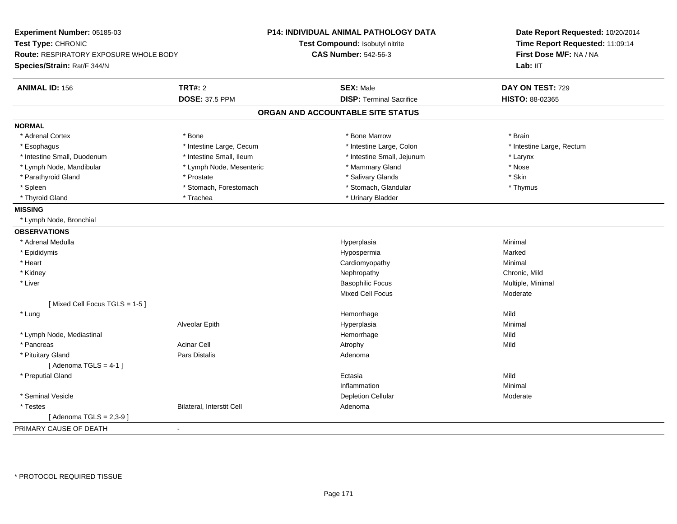| Experiment Number: 05185-03<br>Test Type: CHRONIC<br><b>Route: RESPIRATORY EXPOSURE WHOLE BODY</b><br>Species/Strain: Rat/F 344/N |                           | P14: INDIVIDUAL ANIMAL PATHOLOGY DATA<br>Test Compound: Isobutyl nitrite<br><b>CAS Number: 542-56-3</b> | Date Report Requested: 10/20/2014<br>Time Report Requested: 11:09:14<br>First Dose M/F: NA / NA<br>Lab: II <sub>T</sub> |
|-----------------------------------------------------------------------------------------------------------------------------------|---------------------------|---------------------------------------------------------------------------------------------------------|-------------------------------------------------------------------------------------------------------------------------|
| <b>ANIMAL ID: 156</b>                                                                                                             | <b>TRT#: 2</b>            | <b>SEX: Male</b>                                                                                        | DAY ON TEST: 729                                                                                                        |
|                                                                                                                                   | <b>DOSE: 37.5 PPM</b>     | <b>DISP: Terminal Sacrifice</b>                                                                         | <b>HISTO: 88-02365</b>                                                                                                  |
|                                                                                                                                   |                           | ORGAN AND ACCOUNTABLE SITE STATUS                                                                       |                                                                                                                         |
| <b>NORMAL</b>                                                                                                                     |                           |                                                                                                         |                                                                                                                         |
| * Adrenal Cortex                                                                                                                  | * Bone                    | * Bone Marrow                                                                                           | * Brain                                                                                                                 |
| * Esophagus                                                                                                                       | * Intestine Large, Cecum  | * Intestine Large, Colon                                                                                | * Intestine Large, Rectum                                                                                               |
| * Intestine Small, Duodenum                                                                                                       | * Intestine Small, Ileum  | * Intestine Small, Jejunum                                                                              | * Larynx                                                                                                                |
| * Lymph Node, Mandibular                                                                                                          | * Lymph Node, Mesenteric  | * Mammary Gland                                                                                         | * Nose                                                                                                                  |
| * Parathyroid Gland                                                                                                               | * Prostate                | * Salivary Glands                                                                                       | * Skin                                                                                                                  |
| * Spleen                                                                                                                          | * Stomach, Forestomach    | * Stomach, Glandular                                                                                    | * Thymus                                                                                                                |
| * Thyroid Gland                                                                                                                   | * Trachea                 | * Urinary Bladder                                                                                       |                                                                                                                         |
| <b>MISSING</b>                                                                                                                    |                           |                                                                                                         |                                                                                                                         |
| * Lymph Node, Bronchial                                                                                                           |                           |                                                                                                         |                                                                                                                         |
| <b>OBSERVATIONS</b>                                                                                                               |                           |                                                                                                         |                                                                                                                         |
| * Adrenal Medulla                                                                                                                 |                           | Hyperplasia                                                                                             | Minimal                                                                                                                 |
| * Epididymis                                                                                                                      |                           | Hypospermia                                                                                             | Marked                                                                                                                  |
| * Heart                                                                                                                           |                           | Cardiomyopathy                                                                                          | Minimal                                                                                                                 |
| * Kidney                                                                                                                          |                           | Nephropathy                                                                                             | Chronic, Mild                                                                                                           |
| * Liver                                                                                                                           |                           | <b>Basophilic Focus</b>                                                                                 | Multiple, Minimal                                                                                                       |
|                                                                                                                                   |                           | Mixed Cell Focus                                                                                        | Moderate                                                                                                                |
| [Mixed Cell Focus TGLS = 1-5]                                                                                                     |                           |                                                                                                         |                                                                                                                         |
| * Lung                                                                                                                            |                           | Hemorrhage                                                                                              | Mild                                                                                                                    |
|                                                                                                                                   | Alveolar Epith            | Hyperplasia                                                                                             | Minimal                                                                                                                 |
| * Lymph Node, Mediastinal                                                                                                         |                           | Hemorrhage                                                                                              | Mild                                                                                                                    |
| * Pancreas                                                                                                                        | <b>Acinar Cell</b>        | Atrophy                                                                                                 | Mild                                                                                                                    |
| * Pituitary Gland                                                                                                                 | <b>Pars Distalis</b>      | Adenoma                                                                                                 |                                                                                                                         |
| [Adenoma TGLS = $4-1$ ]                                                                                                           |                           |                                                                                                         |                                                                                                                         |
| * Preputial Gland                                                                                                                 |                           | Ectasia                                                                                                 | Mild                                                                                                                    |
|                                                                                                                                   |                           | Inflammation                                                                                            | Minimal                                                                                                                 |
| * Seminal Vesicle                                                                                                                 |                           | <b>Depletion Cellular</b>                                                                               | Moderate                                                                                                                |
| * Testes                                                                                                                          | Bilateral, Interstit Cell | Adenoma                                                                                                 |                                                                                                                         |
| [ Adenoma TGLS = 2,3-9 ]                                                                                                          |                           |                                                                                                         |                                                                                                                         |
| PRIMARY CAUSE OF DEATH                                                                                                            | $\blacksquare$            |                                                                                                         |                                                                                                                         |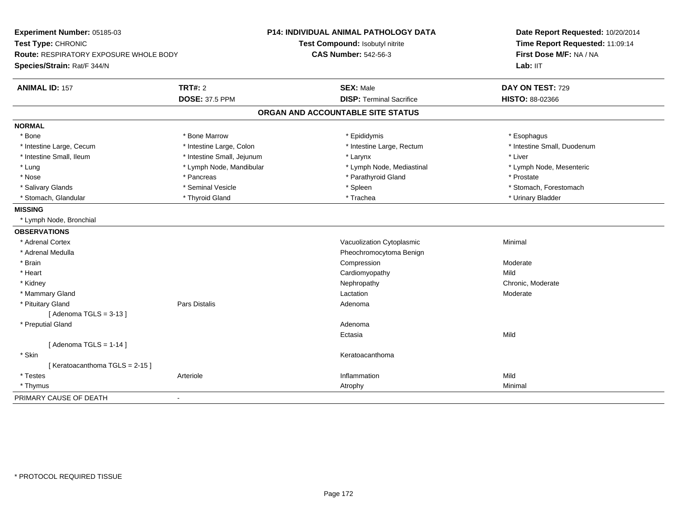| Experiment Number: 05185-03            |                            | P14: INDIVIDUAL ANIMAL PATHOLOGY DATA | Date Report Requested: 10/20/2014 |  |
|----------------------------------------|----------------------------|---------------------------------------|-----------------------------------|--|
| Test Type: CHRONIC                     |                            | Test Compound: Isobutyl nitrite       | Time Report Requested: 11:09:14   |  |
| Route: RESPIRATORY EXPOSURE WHOLE BODY |                            | <b>CAS Number: 542-56-3</b>           | First Dose M/F: NA / NA           |  |
| Species/Strain: Rat/F 344/N            |                            |                                       | Lab: IIT                          |  |
| <b>ANIMAL ID: 157</b>                  | <b>TRT#: 2</b>             | <b>SEX: Male</b>                      | DAY ON TEST: 729                  |  |
|                                        | <b>DOSE: 37.5 PPM</b>      | <b>DISP: Terminal Sacrifice</b>       | HISTO: 88-02366                   |  |
|                                        |                            | ORGAN AND ACCOUNTABLE SITE STATUS     |                                   |  |
| <b>NORMAL</b>                          |                            |                                       |                                   |  |
| * Bone                                 | * Bone Marrow              | * Epididymis                          | * Esophagus                       |  |
| * Intestine Large, Cecum               | * Intestine Large, Colon   | * Intestine Large, Rectum             | * Intestine Small, Duodenum       |  |
| * Intestine Small, Ileum               | * Intestine Small, Jejunum | * Larynx                              | * Liver                           |  |
| * Lung                                 | * Lymph Node, Mandibular   | * Lymph Node, Mediastinal             | * Lymph Node, Mesenteric          |  |
| * Nose                                 | * Pancreas                 | * Parathyroid Gland                   | * Prostate                        |  |
| * Salivary Glands                      | * Seminal Vesicle          | * Spleen                              | * Stomach, Forestomach            |  |
| * Stomach, Glandular                   | * Thyroid Gland            | * Trachea                             | * Urinary Bladder                 |  |
| <b>MISSING</b>                         |                            |                                       |                                   |  |
| * Lymph Node, Bronchial                |                            |                                       |                                   |  |
| <b>OBSERVATIONS</b>                    |                            |                                       |                                   |  |
| * Adrenal Cortex                       |                            | Vacuolization Cytoplasmic             | Minimal                           |  |
| * Adrenal Medulla                      |                            | Pheochromocytoma Benign               |                                   |  |
| * Brain                                |                            | Compression                           | Moderate                          |  |
| * Heart                                |                            | Cardiomyopathy                        | Mild                              |  |
| * Kidney                               |                            | Nephropathy                           | Chronic, Moderate                 |  |
| * Mammary Gland                        |                            | Lactation                             | Moderate                          |  |
| * Pituitary Gland                      | <b>Pars Distalis</b>       | Adenoma                               |                                   |  |
| [Adenoma TGLS = $3-13$ ]               |                            |                                       |                                   |  |
| * Preputial Gland                      |                            | Adenoma                               |                                   |  |
|                                        |                            | Ectasia                               | Mild                              |  |
| [Adenoma TGLS = $1-14$ ]               |                            |                                       |                                   |  |
| * Skin                                 |                            | Keratoacanthoma                       |                                   |  |
| [Keratoacanthoma TGLS = 2-15]          |                            |                                       |                                   |  |
| * Testes                               | Arteriole                  | Inflammation                          | Mild                              |  |
| * Thymus                               |                            | Atrophy                               | Minimal                           |  |
| PRIMARY CAUSE OF DEATH                 | $\blacksquare$             |                                       |                                   |  |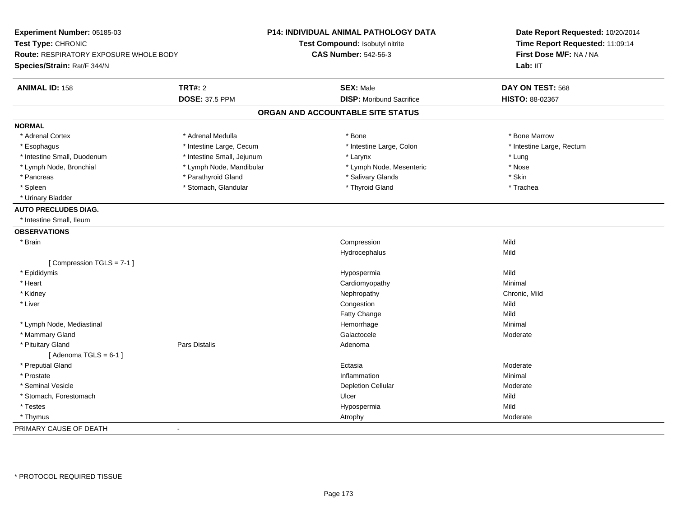| Experiment Number: 05185-03<br>Test Type: CHRONIC<br>Route: RESPIRATORY EXPOSURE WHOLE BODY<br>Species/Strain: Rat/F 344/N |                            | P14: INDIVIDUAL ANIMAL PATHOLOGY DATA<br>Test Compound: Isobutyl nitrite<br><b>CAS Number: 542-56-3</b> | Date Report Requested: 10/20/2014<br>Time Report Requested: 11:09:14<br>First Dose M/F: NA / NA<br>Lab: IIT |
|----------------------------------------------------------------------------------------------------------------------------|----------------------------|---------------------------------------------------------------------------------------------------------|-------------------------------------------------------------------------------------------------------------|
| <b>ANIMAL ID: 158</b>                                                                                                      | <b>TRT#: 2</b>             | <b>SEX: Male</b>                                                                                        | DAY ON TEST: 568                                                                                            |
|                                                                                                                            | <b>DOSE: 37.5 PPM</b>      | <b>DISP:</b> Moribund Sacrifice                                                                         | HISTO: 88-02367                                                                                             |
|                                                                                                                            |                            | ORGAN AND ACCOUNTABLE SITE STATUS                                                                       |                                                                                                             |
| <b>NORMAL</b>                                                                                                              |                            |                                                                                                         |                                                                                                             |
| * Adrenal Cortex                                                                                                           | * Adrenal Medulla          | * Bone                                                                                                  | * Bone Marrow                                                                                               |
| * Esophagus                                                                                                                | * Intestine Large, Cecum   | * Intestine Large, Colon                                                                                | * Intestine Large, Rectum                                                                                   |
| * Intestine Small, Duodenum                                                                                                | * Intestine Small, Jejunum | * Larynx                                                                                                | $*$ Lung                                                                                                    |
| * Lymph Node, Bronchial                                                                                                    | * Lymph Node, Mandibular   | * Lymph Node, Mesenteric                                                                                | * Nose                                                                                                      |
| * Pancreas                                                                                                                 | * Parathyroid Gland        | * Salivary Glands                                                                                       | * Skin                                                                                                      |
| * Spleen                                                                                                                   | * Stomach, Glandular       | * Thyroid Gland                                                                                         | * Trachea                                                                                                   |
| * Urinary Bladder                                                                                                          |                            |                                                                                                         |                                                                                                             |
| <b>AUTO PRECLUDES DIAG.</b>                                                                                                |                            |                                                                                                         |                                                                                                             |
| * Intestine Small, Ileum                                                                                                   |                            |                                                                                                         |                                                                                                             |
| <b>OBSERVATIONS</b>                                                                                                        |                            |                                                                                                         |                                                                                                             |
| * Brain                                                                                                                    |                            | Compression                                                                                             | Mild                                                                                                        |
|                                                                                                                            |                            | Hydrocephalus                                                                                           | Mild                                                                                                        |
| [Compression TGLS = 7-1]                                                                                                   |                            |                                                                                                         |                                                                                                             |
| * Epididymis                                                                                                               |                            | Hypospermia                                                                                             | Mild                                                                                                        |
| * Heart                                                                                                                    |                            | Cardiomyopathy                                                                                          | Minimal                                                                                                     |
| * Kidney                                                                                                                   |                            | Nephropathy                                                                                             | Chronic, Mild                                                                                               |
| * Liver                                                                                                                    |                            | Congestion                                                                                              | Mild                                                                                                        |
|                                                                                                                            |                            | Fatty Change                                                                                            | Mild                                                                                                        |
| * Lymph Node, Mediastinal                                                                                                  |                            | Hemorrhage                                                                                              | Minimal                                                                                                     |
| * Mammary Gland                                                                                                            |                            | Galactocele                                                                                             | Moderate                                                                                                    |
| * Pituitary Gland                                                                                                          | Pars Distalis              | Adenoma                                                                                                 |                                                                                                             |
| [Adenoma TGLS = $6-1$ ]                                                                                                    |                            |                                                                                                         |                                                                                                             |
| * Preputial Gland                                                                                                          |                            | Ectasia                                                                                                 | Moderate                                                                                                    |
| * Prostate                                                                                                                 |                            | Inflammation                                                                                            | Minimal                                                                                                     |
| * Seminal Vesicle                                                                                                          |                            | <b>Depletion Cellular</b>                                                                               | Moderate                                                                                                    |
| * Stomach, Forestomach                                                                                                     |                            | Ulcer                                                                                                   | Mild                                                                                                        |
| * Testes                                                                                                                   |                            | Hypospermia                                                                                             | Mild                                                                                                        |
| * Thymus                                                                                                                   |                            | Atrophy                                                                                                 | Moderate                                                                                                    |
| PRIMARY CAUSE OF DEATH                                                                                                     | $\blacksquare$             |                                                                                                         |                                                                                                             |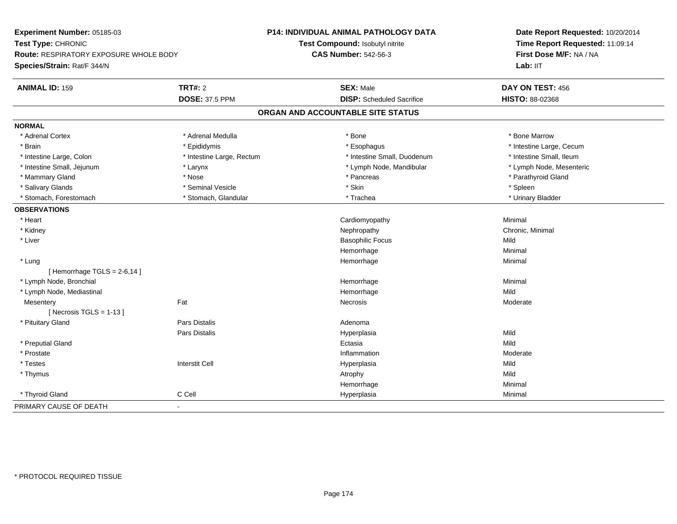| Experiment Number: 05185-03            |                           | <b>P14: INDIVIDUAL ANIMAL PATHOLOGY DATA</b> | Date Report Requested: 10/20/2014<br>Time Report Requested: 11:09:14<br>First Dose M/F: NA / NA<br>Lab: IIT |
|----------------------------------------|---------------------------|----------------------------------------------|-------------------------------------------------------------------------------------------------------------|
| Test Type: CHRONIC                     |                           | Test Compound: Isobutyl nitrite              |                                                                                                             |
| Route: RESPIRATORY EXPOSURE WHOLE BODY |                           | <b>CAS Number: 542-56-3</b>                  |                                                                                                             |
| Species/Strain: Rat/F 344/N            |                           |                                              |                                                                                                             |
| <b>ANIMAL ID: 159</b>                  | <b>TRT#: 2</b>            | <b>SEX: Male</b>                             | DAY ON TEST: 456                                                                                            |
|                                        | <b>DOSE: 37.5 PPM</b>     | <b>DISP:</b> Scheduled Sacrifice             | HISTO: 88-02368                                                                                             |
|                                        |                           | ORGAN AND ACCOUNTABLE SITE STATUS            |                                                                                                             |
| <b>NORMAL</b>                          |                           |                                              |                                                                                                             |
| * Adrenal Cortex                       | * Adrenal Medulla         | * Bone                                       | * Bone Marrow                                                                                               |
| * Brain                                | * Epididymis              | * Esophagus                                  | * Intestine Large, Cecum                                                                                    |
| * Intestine Large, Colon               | * Intestine Large, Rectum | * Intestine Small, Duodenum                  | * Intestine Small, Ileum                                                                                    |
| * Intestine Small, Jejunum             | * Larynx                  | * Lymph Node, Mandibular                     | * Lymph Node, Mesenteric                                                                                    |
| * Mammary Gland                        | * Nose                    | * Pancreas                                   | * Parathyroid Gland                                                                                         |
| * Salivary Glands                      | * Seminal Vesicle         | * Skin                                       | * Spleen                                                                                                    |
| * Stomach, Forestomach                 | * Stomach, Glandular      | * Trachea                                    | * Urinary Bladder                                                                                           |
| <b>OBSERVATIONS</b>                    |                           |                                              |                                                                                                             |
| * Heart                                |                           | Cardiomyopathy                               | Minimal                                                                                                     |
| * Kidney                               |                           | Nephropathy                                  | Chronic, Minimal                                                                                            |
| * Liver                                |                           | <b>Basophilic Focus</b>                      | Mild                                                                                                        |
|                                        |                           | Hemorrhage                                   | Minimal                                                                                                     |
| * Lung                                 |                           | Hemorrhage                                   | Minimal                                                                                                     |
| [Hemorrhage TGLS = $2-6,14$ ]          |                           |                                              |                                                                                                             |
| * Lymph Node, Bronchial                |                           | Hemorrhage                                   | Minimal                                                                                                     |
| * Lymph Node, Mediastinal              |                           | Hemorrhage                                   | Mild                                                                                                        |
| Mesentery                              | Fat                       | Necrosis                                     | Moderate                                                                                                    |
| [Necrosis TGLS = $1-13$ ]              |                           |                                              |                                                                                                             |
| * Pituitary Gland                      | <b>Pars Distalis</b>      | Adenoma                                      |                                                                                                             |
|                                        | Pars Distalis             | Hyperplasia                                  | Mild                                                                                                        |
| * Preputial Gland                      |                           | Ectasia                                      | Mild                                                                                                        |
| * Prostate                             |                           | Inflammation                                 | Moderate                                                                                                    |
| * Testes                               | <b>Interstit Cell</b>     | Hyperplasia                                  | Mild                                                                                                        |
| * Thymus                               |                           | Atrophy                                      | Mild                                                                                                        |
|                                        |                           | Hemorrhage                                   | Minimal                                                                                                     |
| * Thyroid Gland                        | C Cell                    | Hyperplasia                                  | Minimal                                                                                                     |
| PRIMARY CAUSE OF DEATH                 | $\sim$                    |                                              |                                                                                                             |
|                                        |                           |                                              |                                                                                                             |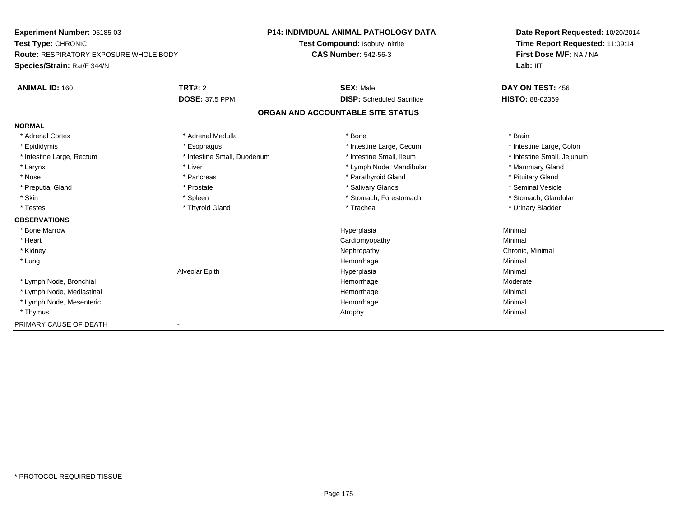**Experiment Number:** 05185-03**Test Type:** CHRONIC **Route:** RESPIRATORY EXPOSURE WHOLE BODY**Species/Strain:** Rat/F 344/N**P14: INDIVIDUAL ANIMAL PATHOLOGY DATATest Compound:** Isobutyl nitrite**CAS Number:** 542-56-3**Date Report Requested:** 10/20/2014**Time Report Requested:** 11:09:14**First Dose M/F:** NA / NA**Lab:** IIT**ANIMAL ID:** 160**TRT#:** 2 **SEX:** Male **DAY ON TEST:** 456 **DOSE:** 37.5 PPM **DISP:** Scheduled Sacrifice **HISTO:** 88-02369 **ORGAN AND ACCOUNTABLE SITE STATUSNORMAL**\* Adrenal Cortex \* Adrenal Medulla \* Adrenal Medulla \* Bone \* Brain \* Brain \* Brain \* Brain \* Brain \* Brain \* Brain \* Brain \* Brain \* Brain \* Brain \* Brain \* Brain \* Brain \* Brain \* Brain \* Brain \* Brain \* Brain \* Brain \* Brain \* Brain \* B \* Intestine Large, Colon \* Epididymis \* Esophagus \* Esophagus \* Esophagus \* 11testine Large, Cecum \* Intestine Small, Jejunum \* Intestine Large, Rectum \* Intestine Small, Duodenum \* Intestine Small, Duodenum \* \* Intestine Small, Ileum \* Larynx \* Liver \* Liver \* Liver \* Liver \* Lymph Node, Mandibular \* \* Mammary Gland \* Mammary Gland \* Nose \* Pancreas \* Pancreas \* Pancreas \* Parathyroid Gland \* Parathyroid Gland \* Pituitary Gland \* Pituitary Gland \* Seminal Vesicle \* Preputial Gland \* \* Annual vesicle \* \* Prostate \* \* Salivary Glands \* \* Salivary Glands \* \* Seminal Vesicle \* \* Stomach. Glandular \* Skin \* Spleen \* Spleen \* Spleen \* Stomach, Forestomach \* Stomach, Forestomach \* Testes \* \* Thyroid Gland \* \* Thyroid Gland \* \* Trachea \* \* Trachea \* \* \* Trachea \* Urinary Bladder \* \* Urinary Bladder \* \* Urinary Bladder \* \* Urinary Bladder \* \* Urinary Bladder \* \* Urinary Bladder \* \* Urinary Bladder \* **OBSERVATIONS** \* Bone Marroww the contract of the Hyperplasia through the Hyperplasia contract of the Minimal Minimal Section 1, 1986, 198<br>In the contract of the Minimal Section 1, 1986, 1997, 1998, 1998, 1998, 1999, 1999, 1999, 1999, 1999, 1999, 19 \* Heart Cardiomyopathy Minimal \* Kidneyy the controller of the controller of the controller of the controller of the controller of the controller of the controller of the controller of the controller of the controller of the controller of the controller of the \* Lungg and the state of the state of the state of the state of the Minimal Section 1, the state of the state of the Minimal Section 1, the state of the state of the state of the state of the state of the state of the state of t Alveolar Epithh anns an t-Imperplasia anns an t-Imperplasia anns an t-Imperplasia anns an t-Imperplasia anns an t-Imperplasi<br>Iomraidhean \* Lymph Node, Bronchial Hemorrhage Moderate \* Lymph Node, Mediastinal Hemorrhagee Minimal \* Lymph Node, Mesenteric Hemorrhagee Minimal \* Thymuss and the control of the control of the control of the control of the control of the control of the control of the control of the control of the control of the control of the control of the control of the control of the co PRIMARY CAUSE OF DEATH-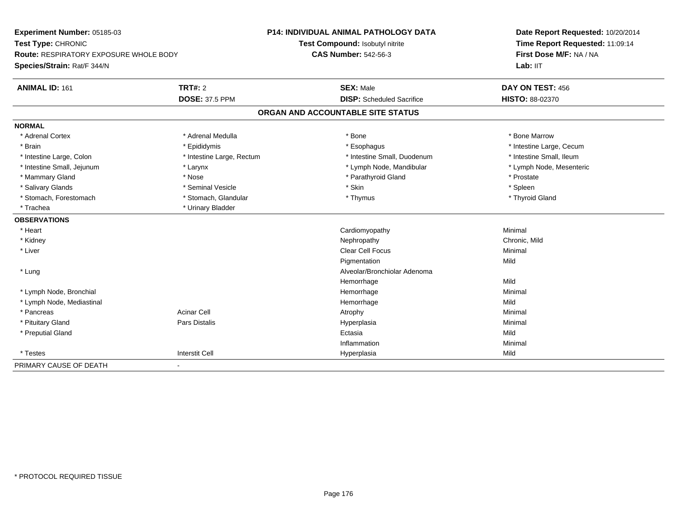| Experiment Number: 05185-03<br>Test Type: CHRONIC<br><b>Route: RESPIRATORY EXPOSURE WHOLE BODY</b><br>Species/Strain: Rat/F 344/N |                           | <b>P14: INDIVIDUAL ANIMAL PATHOLOGY DATA</b> | Date Report Requested: 10/20/2014<br>Time Report Requested: 11:09:14<br>First Dose M/F: NA / NA |
|-----------------------------------------------------------------------------------------------------------------------------------|---------------------------|----------------------------------------------|-------------------------------------------------------------------------------------------------|
|                                                                                                                                   |                           | Test Compound: Isobutyl nitrite              |                                                                                                 |
|                                                                                                                                   |                           | <b>CAS Number: 542-56-3</b>                  |                                                                                                 |
|                                                                                                                                   |                           |                                              | Lab: IIT                                                                                        |
| <b>ANIMAL ID: 161</b>                                                                                                             | <b>TRT#: 2</b>            | <b>SEX: Male</b>                             | DAY ON TEST: 456                                                                                |
|                                                                                                                                   | <b>DOSE: 37.5 PPM</b>     | <b>DISP:</b> Scheduled Sacrifice             | <b>HISTO: 88-02370</b>                                                                          |
|                                                                                                                                   |                           | ORGAN AND ACCOUNTABLE SITE STATUS            |                                                                                                 |
| <b>NORMAL</b>                                                                                                                     |                           |                                              |                                                                                                 |
| * Adrenal Cortex                                                                                                                  | * Adrenal Medulla         | * Bone                                       | * Bone Marrow                                                                                   |
| * Brain                                                                                                                           | * Epididymis              | * Esophagus                                  | * Intestine Large, Cecum                                                                        |
| * Intestine Large, Colon                                                                                                          | * Intestine Large, Rectum | * Intestine Small, Duodenum                  | * Intestine Small, Ileum                                                                        |
| * Intestine Small, Jejunum                                                                                                        | * Larynx                  | * Lymph Node, Mandibular                     | * Lymph Node, Mesenteric                                                                        |
| * Mammary Gland                                                                                                                   | * Nose                    | * Parathyroid Gland                          | * Prostate                                                                                      |
| * Salivary Glands                                                                                                                 | * Seminal Vesicle         | * Skin                                       | * Spleen                                                                                        |
| * Stomach, Forestomach                                                                                                            | * Stomach, Glandular      | * Thymus                                     | * Thyroid Gland                                                                                 |
| * Trachea                                                                                                                         | * Urinary Bladder         |                                              |                                                                                                 |
| <b>OBSERVATIONS</b>                                                                                                               |                           |                                              |                                                                                                 |
| * Heart                                                                                                                           |                           | Cardiomyopathy                               | Minimal                                                                                         |
| * Kidney                                                                                                                          |                           | Nephropathy                                  | Chronic, Mild                                                                                   |
| * Liver                                                                                                                           |                           | <b>Clear Cell Focus</b>                      | Minimal                                                                                         |
|                                                                                                                                   |                           | Pigmentation                                 | Mild                                                                                            |
| * Lung                                                                                                                            |                           | Alveolar/Bronchiolar Adenoma                 |                                                                                                 |
|                                                                                                                                   |                           | Hemorrhage                                   | Mild                                                                                            |
| * Lymph Node, Bronchial                                                                                                           |                           | Hemorrhage                                   | Minimal                                                                                         |
| * Lymph Node, Mediastinal                                                                                                         |                           | Hemorrhage                                   | Mild                                                                                            |
| * Pancreas                                                                                                                        | <b>Acinar Cell</b>        | Atrophy                                      | Minimal                                                                                         |
| * Pituitary Gland                                                                                                                 | <b>Pars Distalis</b>      | Hyperplasia                                  | Minimal                                                                                         |
| * Preputial Gland                                                                                                                 |                           | Ectasia                                      | Mild                                                                                            |
|                                                                                                                                   |                           | Inflammation                                 | Minimal                                                                                         |
| * Testes                                                                                                                          | <b>Interstit Cell</b>     | Hyperplasia                                  | Mild                                                                                            |
| PRIMARY CAUSE OF DEATH                                                                                                            |                           |                                              |                                                                                                 |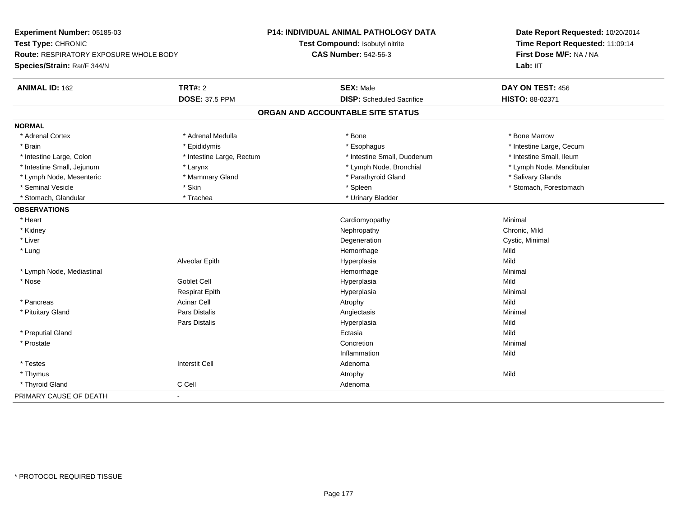| Experiment Number: 05185-03            |                           | P14: INDIVIDUAL ANIMAL PATHOLOGY DATA | Date Report Requested: 10/20/2014<br>Time Report Requested: 11:09:14<br>First Dose M/F: NA / NA |  |
|----------------------------------------|---------------------------|---------------------------------------|-------------------------------------------------------------------------------------------------|--|
| Test Type: CHRONIC                     |                           | Test Compound: Isobutyl nitrite       |                                                                                                 |  |
| Route: RESPIRATORY EXPOSURE WHOLE BODY |                           | <b>CAS Number: 542-56-3</b>           |                                                                                                 |  |
| Species/Strain: Rat/F 344/N            |                           |                                       | Lab: IIT                                                                                        |  |
| <b>ANIMAL ID: 162</b>                  | <b>TRT#: 2</b>            | <b>SEX: Male</b>                      | DAY ON TEST: 456                                                                                |  |
|                                        | <b>DOSE: 37.5 PPM</b>     | <b>DISP:</b> Scheduled Sacrifice      | HISTO: 88-02371                                                                                 |  |
|                                        |                           | ORGAN AND ACCOUNTABLE SITE STATUS     |                                                                                                 |  |
| <b>NORMAL</b>                          |                           |                                       |                                                                                                 |  |
| * Adrenal Cortex                       | * Adrenal Medulla         | * Bone                                | * Bone Marrow                                                                                   |  |
| * Brain                                | * Epididymis              | * Esophagus                           | * Intestine Large, Cecum                                                                        |  |
| * Intestine Large, Colon               | * Intestine Large, Rectum | * Intestine Small, Duodenum           | * Intestine Small, Ileum                                                                        |  |
| * Intestine Small, Jejunum             | * Larynx                  | * Lymph Node, Bronchial               | * Lymph Node, Mandibular                                                                        |  |
| * Lymph Node, Mesenteric               | * Mammary Gland           | * Parathyroid Gland                   | * Salivary Glands                                                                               |  |
| * Seminal Vesicle                      | * Skin                    | * Spleen                              | * Stomach, Forestomach                                                                          |  |
| * Stomach, Glandular                   | * Trachea                 | * Urinary Bladder                     |                                                                                                 |  |
| <b>OBSERVATIONS</b>                    |                           |                                       |                                                                                                 |  |
| * Heart                                |                           | Cardiomyopathy                        | Minimal                                                                                         |  |
| * Kidney                               |                           | Nephropathy                           | Chronic, Mild                                                                                   |  |
| * Liver                                |                           | Degeneration                          | Cystic, Minimal                                                                                 |  |
| * Lung                                 |                           | Hemorrhage                            | Mild                                                                                            |  |
|                                        | Alveolar Epith            | Hyperplasia                           | Mild                                                                                            |  |
| * Lymph Node, Mediastinal              |                           | Hemorrhage                            | Minimal                                                                                         |  |
| * Nose                                 | <b>Goblet Cell</b>        | Hyperplasia                           | Mild                                                                                            |  |
|                                        | <b>Respirat Epith</b>     | Hyperplasia                           | Minimal                                                                                         |  |
| * Pancreas                             | <b>Acinar Cell</b>        | Atrophy                               | Mild                                                                                            |  |
| * Pituitary Gland                      | Pars Distalis             | Angiectasis                           | Minimal                                                                                         |  |
|                                        | Pars Distalis             | Hyperplasia                           | Mild                                                                                            |  |
| * Preputial Gland                      |                           | Ectasia                               | Mild                                                                                            |  |
| * Prostate                             |                           | Concretion                            | Minimal                                                                                         |  |
|                                        |                           | Inflammation                          | Mild                                                                                            |  |
| * Testes                               | Interstit Cell            | Adenoma                               |                                                                                                 |  |
| * Thymus                               |                           | Atrophy                               | Mild                                                                                            |  |
| * Thyroid Gland                        | C Cell                    | Adenoma                               |                                                                                                 |  |
| PRIMARY CAUSE OF DEATH                 | $\blacksquare$            |                                       |                                                                                                 |  |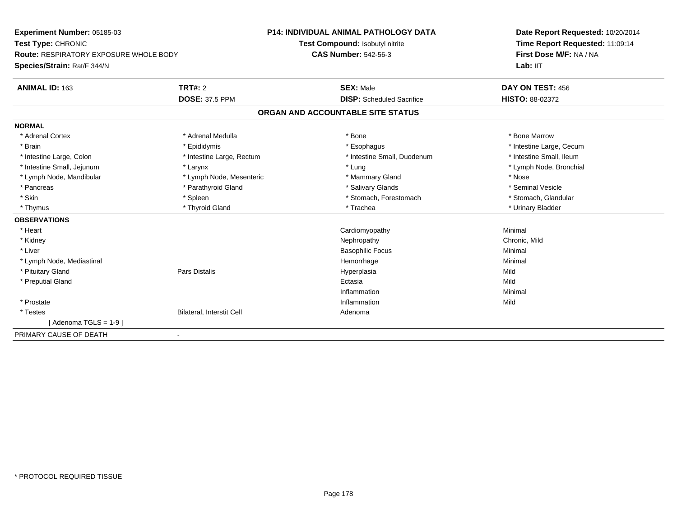| <b>Experiment Number: 05185-03</b><br>Test Type: CHRONIC<br><b>Route: RESPIRATORY EXPOSURE WHOLE BODY</b><br>Species/Strain: Rat/F 344/N |                           | <b>P14: INDIVIDUAL ANIMAL PATHOLOGY DATA</b> | Date Report Requested: 10/20/2014<br>Time Report Requested: 11:09:14<br>First Dose M/F: NA / NA<br>Lab: IIT |
|------------------------------------------------------------------------------------------------------------------------------------------|---------------------------|----------------------------------------------|-------------------------------------------------------------------------------------------------------------|
|                                                                                                                                          |                           | Test Compound: Isobutyl nitrite              |                                                                                                             |
|                                                                                                                                          |                           | <b>CAS Number: 542-56-3</b>                  |                                                                                                             |
|                                                                                                                                          |                           |                                              |                                                                                                             |
| ANIMAL ID: 163                                                                                                                           | TRT#: 2                   | <b>SEX: Male</b>                             | DAY ON TEST: 456                                                                                            |
|                                                                                                                                          | <b>DOSE: 37.5 PPM</b>     | <b>DISP:</b> Scheduled Sacrifice             | <b>HISTO: 88-02372</b>                                                                                      |
|                                                                                                                                          |                           | ORGAN AND ACCOUNTABLE SITE STATUS            |                                                                                                             |
| <b>NORMAL</b>                                                                                                                            |                           |                                              |                                                                                                             |
| * Adrenal Cortex                                                                                                                         | * Adrenal Medulla         | * Bone                                       | * Bone Marrow                                                                                               |
| * Brain                                                                                                                                  | * Epididymis              | * Esophagus                                  | * Intestine Large, Cecum                                                                                    |
| * Intestine Large, Colon                                                                                                                 | * Intestine Large, Rectum | * Intestine Small, Duodenum                  | * Intestine Small, Ileum                                                                                    |
| * Intestine Small, Jejunum                                                                                                               | * Larynx                  | * Lung                                       | * Lymph Node, Bronchial                                                                                     |
| * Lymph Node, Mandibular                                                                                                                 | * Lymph Node, Mesenteric  | * Mammary Gland                              | * Nose                                                                                                      |
| * Pancreas                                                                                                                               | * Parathyroid Gland       | * Salivary Glands                            | * Seminal Vesicle                                                                                           |
| * Skin                                                                                                                                   | * Spleen                  | * Stomach, Forestomach                       | * Stomach, Glandular                                                                                        |
| * Thymus                                                                                                                                 | * Thyroid Gland           | * Trachea                                    | * Urinary Bladder                                                                                           |
| <b>OBSERVATIONS</b>                                                                                                                      |                           |                                              |                                                                                                             |
| * Heart                                                                                                                                  |                           | Cardiomyopathy                               | Minimal                                                                                                     |
| * Kidney                                                                                                                                 |                           | Nephropathy                                  | Chronic, Mild                                                                                               |
| * Liver                                                                                                                                  |                           | <b>Basophilic Focus</b>                      | Minimal                                                                                                     |
| * Lymph Node, Mediastinal                                                                                                                |                           | Hemorrhage                                   | Minimal                                                                                                     |
| * Pituitary Gland                                                                                                                        | Pars Distalis             | Hyperplasia                                  | Mild                                                                                                        |
| * Preputial Gland                                                                                                                        |                           | Ectasia                                      | Mild                                                                                                        |
|                                                                                                                                          |                           | Inflammation                                 | Minimal                                                                                                     |
| * Prostate                                                                                                                               |                           | Inflammation                                 | Mild                                                                                                        |
| * Testes                                                                                                                                 | Bilateral, Interstit Cell | Adenoma                                      |                                                                                                             |
| $[Adenoma TGLS = 1-9]$                                                                                                                   |                           |                                              |                                                                                                             |
| PRIMARY CAUSE OF DEATH                                                                                                                   | $\blacksquare$            |                                              |                                                                                                             |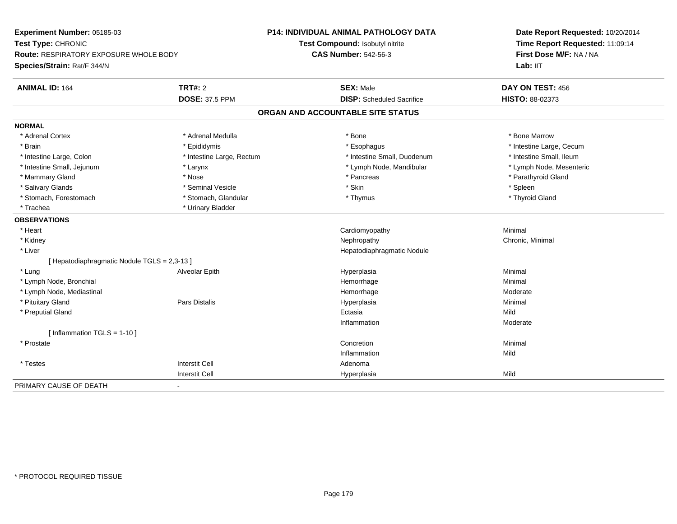| Experiment Number: 05185-03<br>Test Type: CHRONIC<br><b>Route: RESPIRATORY EXPOSURE WHOLE BODY</b><br>Species/Strain: Rat/F 344/N |                           | P14: INDIVIDUAL ANIMAL PATHOLOGY DATA | Date Report Requested: 10/20/2014<br>Time Report Requested: 11:09:14<br>First Dose M/F: NA / NA |
|-----------------------------------------------------------------------------------------------------------------------------------|---------------------------|---------------------------------------|-------------------------------------------------------------------------------------------------|
|                                                                                                                                   |                           | Test Compound: Isobutyl nitrite       |                                                                                                 |
|                                                                                                                                   |                           | <b>CAS Number: 542-56-3</b>           |                                                                                                 |
|                                                                                                                                   |                           |                                       | Lab: IIT                                                                                        |
| <b>ANIMAL ID: 164</b>                                                                                                             | <b>TRT#: 2</b>            | <b>SEX: Male</b>                      | DAY ON TEST: 456                                                                                |
|                                                                                                                                   | <b>DOSE: 37.5 PPM</b>     | <b>DISP:</b> Scheduled Sacrifice      | HISTO: 88-02373                                                                                 |
|                                                                                                                                   |                           | ORGAN AND ACCOUNTABLE SITE STATUS     |                                                                                                 |
| <b>NORMAL</b>                                                                                                                     |                           |                                       |                                                                                                 |
| * Adrenal Cortex                                                                                                                  | * Adrenal Medulla         | * Bone                                | * Bone Marrow                                                                                   |
| * Brain                                                                                                                           | * Epididymis              | * Esophagus                           | * Intestine Large, Cecum                                                                        |
| * Intestine Large, Colon                                                                                                          | * Intestine Large, Rectum | * Intestine Small, Duodenum           | * Intestine Small, Ileum                                                                        |
| * Intestine Small, Jejunum                                                                                                        | * Larynx                  | * Lymph Node, Mandibular              | * Lymph Node, Mesenteric                                                                        |
| * Mammary Gland                                                                                                                   | * Nose                    | * Pancreas                            | * Parathyroid Gland                                                                             |
| * Salivary Glands                                                                                                                 | * Seminal Vesicle         | * Skin                                | * Spleen                                                                                        |
| * Stomach, Forestomach                                                                                                            | * Stomach, Glandular      | * Thymus                              | * Thyroid Gland                                                                                 |
| * Trachea                                                                                                                         | * Urinary Bladder         |                                       |                                                                                                 |
| <b>OBSERVATIONS</b>                                                                                                               |                           |                                       |                                                                                                 |
| * Heart                                                                                                                           |                           | Cardiomyopathy                        | Minimal                                                                                         |
| * Kidney                                                                                                                          |                           | Nephropathy                           | Chronic, Minimal                                                                                |
| * Liver                                                                                                                           |                           | Hepatodiaphragmatic Nodule            |                                                                                                 |
| [Hepatodiaphragmatic Nodule TGLS = 2,3-13]                                                                                        |                           |                                       |                                                                                                 |
| * Lung                                                                                                                            | Alveolar Epith            | Hyperplasia                           | Minimal                                                                                         |
| * Lymph Node, Bronchial                                                                                                           |                           | Hemorrhage                            | Minimal                                                                                         |
| * Lymph Node, Mediastinal                                                                                                         |                           | Hemorrhage                            | Moderate                                                                                        |
| * Pituitary Gland                                                                                                                 | <b>Pars Distalis</b>      | Hyperplasia                           | Minimal                                                                                         |
| * Preputial Gland                                                                                                                 |                           | Ectasia                               | Mild                                                                                            |
|                                                                                                                                   |                           | Inflammation                          | Moderate                                                                                        |
| [Inflammation TGLS = $1-10$ ]                                                                                                     |                           |                                       |                                                                                                 |
| * Prostate                                                                                                                        |                           | Concretion                            | Minimal                                                                                         |
|                                                                                                                                   |                           | Inflammation                          | Mild                                                                                            |
| * Testes                                                                                                                          | <b>Interstit Cell</b>     | Adenoma                               |                                                                                                 |
|                                                                                                                                   | <b>Interstit Cell</b>     | Hyperplasia                           | Mild                                                                                            |
| PRIMARY CAUSE OF DEATH                                                                                                            |                           |                                       |                                                                                                 |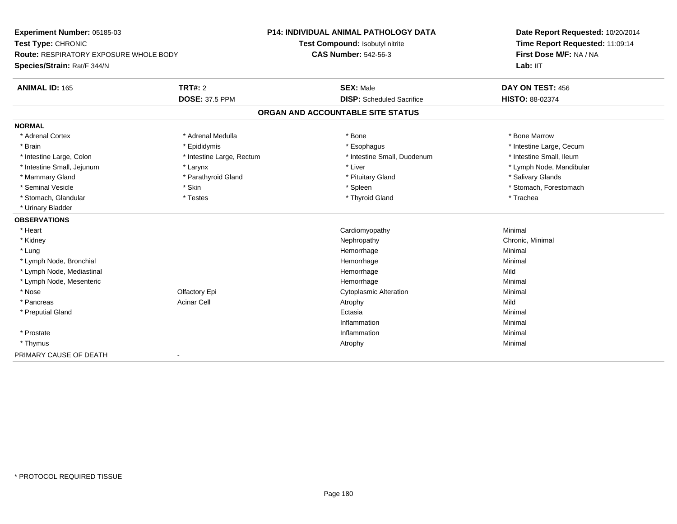| Experiment Number: 05185-03<br>Test Type: CHRONIC<br>Route: RESPIRATORY EXPOSURE WHOLE BODY<br>Species/Strain: Rat/F 344/N |                           | <b>P14: INDIVIDUAL ANIMAL PATHOLOGY DATA</b> | Date Report Requested: 10/20/2014<br>Time Report Requested: 11:09:14<br>First Dose M/F: NA / NA |
|----------------------------------------------------------------------------------------------------------------------------|---------------------------|----------------------------------------------|-------------------------------------------------------------------------------------------------|
|                                                                                                                            |                           | Test Compound: Isobutyl nitrite              |                                                                                                 |
|                                                                                                                            |                           | <b>CAS Number: 542-56-3</b>                  |                                                                                                 |
|                                                                                                                            |                           |                                              | Lab: IIT                                                                                        |
| <b>ANIMAL ID: 165</b>                                                                                                      | <b>TRT#: 2</b>            | <b>SEX: Male</b>                             | DAY ON TEST: 456                                                                                |
|                                                                                                                            | <b>DOSE: 37.5 PPM</b>     | <b>DISP:</b> Scheduled Sacrifice             | HISTO: 88-02374                                                                                 |
|                                                                                                                            |                           | ORGAN AND ACCOUNTABLE SITE STATUS            |                                                                                                 |
| <b>NORMAL</b>                                                                                                              |                           |                                              |                                                                                                 |
| * Adrenal Cortex                                                                                                           | * Adrenal Medulla         | * Bone                                       | * Bone Marrow                                                                                   |
| * Brain                                                                                                                    | * Epididymis              | * Esophagus                                  | * Intestine Large, Cecum                                                                        |
| * Intestine Large, Colon                                                                                                   | * Intestine Large, Rectum | * Intestine Small, Duodenum                  | * Intestine Small, Ileum                                                                        |
| * Intestine Small, Jejunum                                                                                                 | * Larynx                  | * Liver                                      | * Lymph Node, Mandibular                                                                        |
| * Mammary Gland                                                                                                            | * Parathyroid Gland       | * Pituitary Gland                            | * Salivary Glands                                                                               |
| * Seminal Vesicle                                                                                                          | * Skin                    | * Spleen                                     | * Stomach, Forestomach                                                                          |
| * Stomach, Glandular                                                                                                       | * Testes                  | * Thyroid Gland                              | * Trachea                                                                                       |
| * Urinary Bladder                                                                                                          |                           |                                              |                                                                                                 |
| <b>OBSERVATIONS</b>                                                                                                        |                           |                                              |                                                                                                 |
| * Heart                                                                                                                    |                           | Cardiomyopathy                               | Minimal                                                                                         |
| * Kidney                                                                                                                   |                           | Nephropathy                                  | Chronic, Minimal                                                                                |
| * Lung                                                                                                                     |                           | Hemorrhage                                   | Minimal                                                                                         |
| * Lymph Node, Bronchial                                                                                                    |                           | Hemorrhage                                   | Minimal                                                                                         |
| * Lymph Node, Mediastinal                                                                                                  |                           | Hemorrhage                                   | Mild                                                                                            |
| * Lymph Node, Mesenteric                                                                                                   |                           | Hemorrhage                                   | Minimal                                                                                         |
| * Nose                                                                                                                     | Olfactory Epi             | <b>Cytoplasmic Alteration</b>                | Minimal                                                                                         |
| * Pancreas                                                                                                                 | <b>Acinar Cell</b>        | Atrophy                                      | Mild                                                                                            |
| * Preputial Gland                                                                                                          |                           | Ectasia                                      | Minimal                                                                                         |
|                                                                                                                            |                           | Inflammation                                 | Minimal                                                                                         |
| * Prostate                                                                                                                 |                           | Inflammation                                 | Minimal                                                                                         |
| * Thymus                                                                                                                   |                           | Atrophy                                      | Minimal                                                                                         |
| PRIMARY CAUSE OF DEATH                                                                                                     | $\blacksquare$            |                                              |                                                                                                 |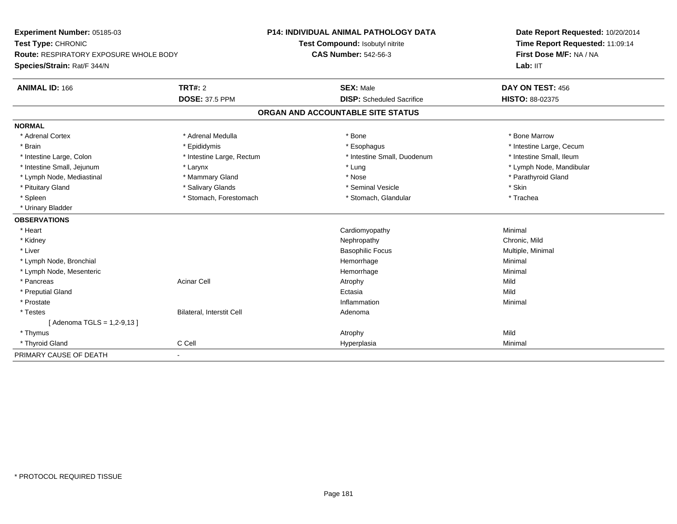| Experiment Number: 05185-03<br>Test Type: CHRONIC<br>Route: RESPIRATORY EXPOSURE WHOLE BODY |                                  | <b>P14: INDIVIDUAL ANIMAL PATHOLOGY DATA</b> | Date Report Requested: 10/20/2014<br>Time Report Requested: 11:09:14<br>First Dose M/F: NA / NA |
|---------------------------------------------------------------------------------------------|----------------------------------|----------------------------------------------|-------------------------------------------------------------------------------------------------|
|                                                                                             |                                  | Test Compound: Isobutyl nitrite              |                                                                                                 |
|                                                                                             |                                  | <b>CAS Number: 542-56-3</b>                  |                                                                                                 |
| Species/Strain: Rat/F 344/N                                                                 |                                  |                                              | Lab: IIT                                                                                        |
| <b>ANIMAL ID: 166</b>                                                                       | <b>TRT#: 2</b>                   | <b>SEX: Male</b>                             | DAY ON TEST: 456                                                                                |
|                                                                                             | <b>DOSE: 37.5 PPM</b>            | <b>DISP:</b> Scheduled Sacrifice             | HISTO: 88-02375                                                                                 |
|                                                                                             |                                  | ORGAN AND ACCOUNTABLE SITE STATUS            |                                                                                                 |
| <b>NORMAL</b>                                                                               |                                  |                                              |                                                                                                 |
| * Adrenal Cortex                                                                            | * Adrenal Medulla                | * Bone                                       | * Bone Marrow                                                                                   |
| * Brain                                                                                     | * Epididymis                     | * Esophagus                                  | * Intestine Large, Cecum                                                                        |
| * Intestine Large, Colon                                                                    | * Intestine Large, Rectum        | * Intestine Small, Duodenum                  | * Intestine Small, Ileum                                                                        |
| * Intestine Small, Jejunum                                                                  | * Larynx                         | * Lung                                       | * Lymph Node, Mandibular                                                                        |
| * Lymph Node, Mediastinal                                                                   | * Mammary Gland                  | * Nose                                       | * Parathyroid Gland                                                                             |
| * Pituitary Gland                                                                           | * Salivary Glands                | * Seminal Vesicle                            | * Skin                                                                                          |
| * Spleen                                                                                    | * Stomach, Forestomach           | * Stomach, Glandular                         | * Trachea                                                                                       |
| * Urinary Bladder                                                                           |                                  |                                              |                                                                                                 |
| <b>OBSERVATIONS</b>                                                                         |                                  |                                              |                                                                                                 |
| * Heart                                                                                     |                                  | Cardiomyopathy                               | Minimal                                                                                         |
| * Kidney                                                                                    |                                  | Nephropathy                                  | Chronic, Mild                                                                                   |
| * Liver                                                                                     |                                  | <b>Basophilic Focus</b>                      | Multiple, Minimal                                                                               |
| * Lymph Node, Bronchial                                                                     |                                  | Hemorrhage                                   | Minimal                                                                                         |
| * Lymph Node, Mesenteric                                                                    |                                  | Hemorrhage                                   | Minimal                                                                                         |
| * Pancreas                                                                                  | <b>Acinar Cell</b>               | Atrophy                                      | Mild                                                                                            |
| * Preputial Gland                                                                           |                                  | Ectasia                                      | Mild                                                                                            |
| * Prostate                                                                                  |                                  | Inflammation                                 | Minimal                                                                                         |
| * Testes                                                                                    | <b>Bilateral, Interstit Cell</b> | Adenoma                                      |                                                                                                 |
| [ Adenoma TGLS = 1,2-9,13 ]                                                                 |                                  |                                              |                                                                                                 |
| * Thymus                                                                                    |                                  | Atrophy                                      | Mild                                                                                            |
| * Thyroid Gland                                                                             | C Cell                           | Hyperplasia                                  | Minimal                                                                                         |
| PRIMARY CAUSE OF DEATH                                                                      | $\blacksquare$                   |                                              |                                                                                                 |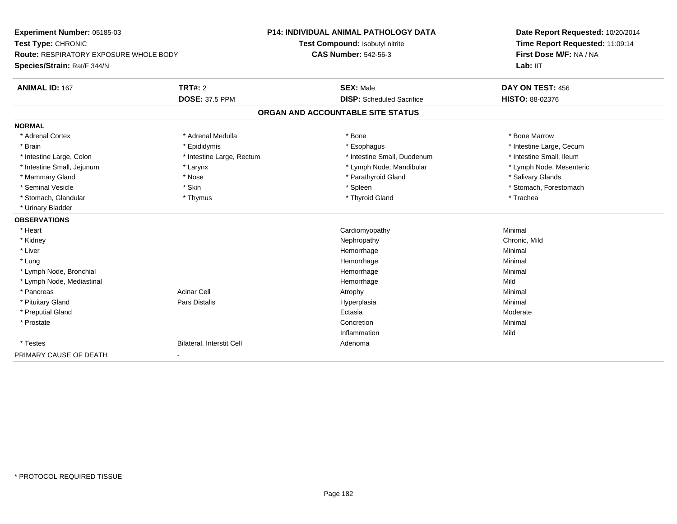| Experiment Number: 05185-03<br>Test Type: CHRONIC<br>Route: RESPIRATORY EXPOSURE WHOLE BODY<br>Species/Strain: Rat/F 344/N |                           | <b>P14: INDIVIDUAL ANIMAL PATHOLOGY DATA</b> | Date Report Requested: 10/20/2014<br>Time Report Requested: 11:09:14<br>First Dose M/F: NA / NA |
|----------------------------------------------------------------------------------------------------------------------------|---------------------------|----------------------------------------------|-------------------------------------------------------------------------------------------------|
|                                                                                                                            |                           | Test Compound: Isobutyl nitrite              |                                                                                                 |
|                                                                                                                            |                           | <b>CAS Number: 542-56-3</b>                  |                                                                                                 |
|                                                                                                                            |                           |                                              | Lab: IIT                                                                                        |
| <b>ANIMAL ID: 167</b>                                                                                                      | <b>TRT#: 2</b>            | <b>SEX: Male</b>                             | DAY ON TEST: 456                                                                                |
|                                                                                                                            | <b>DOSE: 37.5 PPM</b>     | <b>DISP:</b> Scheduled Sacrifice             | HISTO: 88-02376                                                                                 |
|                                                                                                                            |                           | ORGAN AND ACCOUNTABLE SITE STATUS            |                                                                                                 |
| <b>NORMAL</b>                                                                                                              |                           |                                              |                                                                                                 |
| * Adrenal Cortex                                                                                                           | * Adrenal Medulla         | * Bone                                       | * Bone Marrow                                                                                   |
| * Brain                                                                                                                    | * Epididymis              | * Esophagus                                  | * Intestine Large, Cecum                                                                        |
| * Intestine Large, Colon                                                                                                   | * Intestine Large, Rectum | * Intestine Small, Duodenum                  | * Intestine Small, Ileum                                                                        |
| * Intestine Small, Jejunum                                                                                                 | * Larynx                  | * Lymph Node, Mandibular                     | * Lymph Node, Mesenteric                                                                        |
| * Mammary Gland                                                                                                            | * Nose                    | * Parathyroid Gland                          | * Salivary Glands                                                                               |
| * Seminal Vesicle                                                                                                          | * Skin                    | * Spleen                                     | * Stomach, Forestomach                                                                          |
| * Stomach, Glandular                                                                                                       | * Thymus                  | * Thyroid Gland                              | * Trachea                                                                                       |
| * Urinary Bladder                                                                                                          |                           |                                              |                                                                                                 |
| <b>OBSERVATIONS</b>                                                                                                        |                           |                                              |                                                                                                 |
| * Heart                                                                                                                    |                           | Cardiomyopathy                               | Minimal                                                                                         |
| * Kidney                                                                                                                   |                           | Nephropathy                                  | Chronic, Mild                                                                                   |
| * Liver                                                                                                                    |                           | Hemorrhage                                   | Minimal                                                                                         |
| * Lung                                                                                                                     |                           | Hemorrhage                                   | Minimal                                                                                         |
| * Lymph Node, Bronchial                                                                                                    |                           | Hemorrhage                                   | Minimal                                                                                         |
| * Lymph Node, Mediastinal                                                                                                  |                           | Hemorrhage                                   | Mild                                                                                            |
| * Pancreas                                                                                                                 | <b>Acinar Cell</b>        | Atrophy                                      | Minimal                                                                                         |
| * Pituitary Gland                                                                                                          | Pars Distalis             | Hyperplasia                                  | Minimal                                                                                         |
| * Preputial Gland                                                                                                          |                           | Ectasia                                      | Moderate                                                                                        |
| * Prostate                                                                                                                 |                           | Concretion                                   | Minimal                                                                                         |
|                                                                                                                            |                           | Inflammation                                 | Mild                                                                                            |
| * Testes                                                                                                                   | Bilateral, Interstit Cell | Adenoma                                      |                                                                                                 |
| PRIMARY CAUSE OF DEATH                                                                                                     | $\blacksquare$            |                                              |                                                                                                 |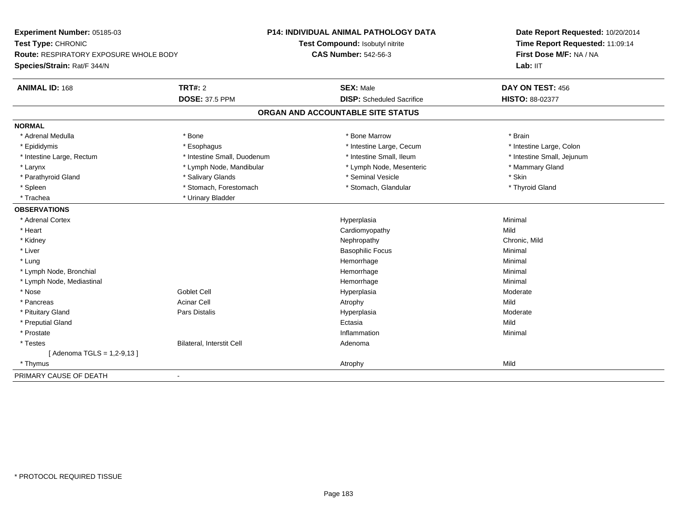| <b>Experiment Number: 05185-03</b>            |                             | <b>P14: INDIVIDUAL ANIMAL PATHOLOGY DATA</b> | Date Report Requested: 10/20/2014<br>Time Report Requested: 11:09:14<br>First Dose M/F: NA / NA |  |
|-----------------------------------------------|-----------------------------|----------------------------------------------|-------------------------------------------------------------------------------------------------|--|
| Test Type: CHRONIC                            |                             | Test Compound: Isobutyl nitrite              |                                                                                                 |  |
| <b>Route: RESPIRATORY EXPOSURE WHOLE BODY</b> |                             | <b>CAS Number: 542-56-3</b>                  |                                                                                                 |  |
| Species/Strain: Rat/F 344/N                   |                             |                                              | Lab: IIT                                                                                        |  |
| <b>ANIMAL ID: 168</b>                         | <b>TRT#: 2</b>              | <b>SEX: Male</b>                             | DAY ON TEST: 456                                                                                |  |
|                                               | <b>DOSE: 37.5 PPM</b>       | <b>DISP:</b> Scheduled Sacrifice             | HISTO: 88-02377                                                                                 |  |
|                                               |                             | ORGAN AND ACCOUNTABLE SITE STATUS            |                                                                                                 |  |
| <b>NORMAL</b>                                 |                             |                                              |                                                                                                 |  |
| * Adrenal Medulla                             | * Bone                      | * Bone Marrow                                | * Brain                                                                                         |  |
| * Epididymis                                  | * Esophagus                 | * Intestine Large, Cecum                     | * Intestine Large, Colon                                                                        |  |
| * Intestine Large, Rectum                     | * Intestine Small, Duodenum | * Intestine Small, Ileum                     | * Intestine Small, Jejunum                                                                      |  |
| * Larynx                                      | * Lymph Node, Mandibular    | * Lymph Node, Mesenteric                     | * Mammary Gland                                                                                 |  |
| * Parathyroid Gland                           | * Salivary Glands           | * Seminal Vesicle                            | * Skin                                                                                          |  |
| * Spleen                                      | * Stomach, Forestomach      | * Stomach, Glandular                         | * Thyroid Gland                                                                                 |  |
| * Trachea                                     | * Urinary Bladder           |                                              |                                                                                                 |  |
| <b>OBSERVATIONS</b>                           |                             |                                              |                                                                                                 |  |
| * Adrenal Cortex                              |                             | Hyperplasia                                  | Minimal                                                                                         |  |
| * Heart                                       |                             | Cardiomyopathy                               | Mild                                                                                            |  |
| * Kidney                                      |                             | Nephropathy                                  | Chronic, Mild                                                                                   |  |
| * Liver                                       |                             | <b>Basophilic Focus</b>                      | Minimal                                                                                         |  |
| * Lung                                        |                             | Hemorrhage                                   | Minimal                                                                                         |  |
| * Lymph Node, Bronchial                       |                             | Hemorrhage                                   | Minimal                                                                                         |  |
| * Lymph Node, Mediastinal                     |                             | Hemorrhage                                   | Minimal                                                                                         |  |
| * Nose                                        | <b>Goblet Cell</b>          | Hyperplasia                                  | Moderate                                                                                        |  |
| * Pancreas                                    | <b>Acinar Cell</b>          | Atrophy                                      | Mild                                                                                            |  |
| * Pituitary Gland                             | <b>Pars Distalis</b>        | Hyperplasia                                  | Moderate                                                                                        |  |
| * Preputial Gland                             |                             | Ectasia                                      | Mild                                                                                            |  |
| * Prostate                                    |                             | Inflammation                                 | Minimal                                                                                         |  |
| * Testes                                      | Bilateral, Interstit Cell   | Adenoma                                      |                                                                                                 |  |
| [ Adenoma TGLS = 1,2-9,13 ]                   |                             |                                              |                                                                                                 |  |
| * Thymus                                      |                             | Atrophy                                      | Mild                                                                                            |  |
| PRIMARY CAUSE OF DEATH                        |                             |                                              |                                                                                                 |  |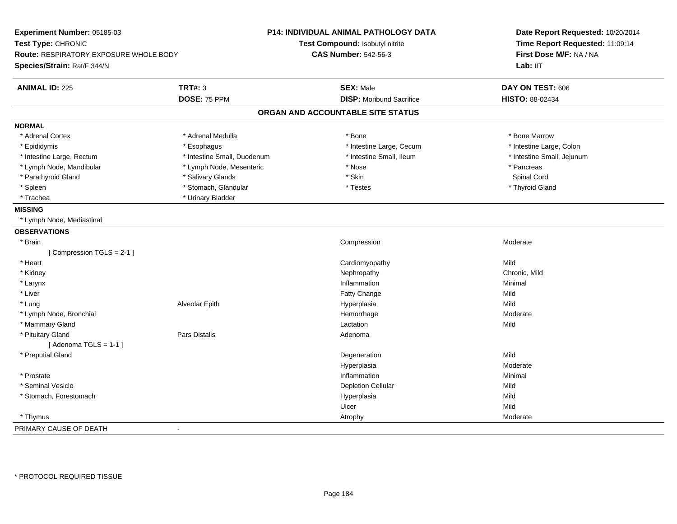| Experiment Number: 05185-03<br>Test Type: CHRONIC<br>Route: RESPIRATORY EXPOSURE WHOLE BODY<br>Species/Strain: Rat/F 344/N |                             | <b>P14: INDIVIDUAL ANIMAL PATHOLOGY DATA</b><br>Test Compound: Isobutyl nitrite<br><b>CAS Number: 542-56-3</b> | Date Report Requested: 10/20/2014<br>Time Report Requested: 11:09:14<br>First Dose M/F: NA / NA<br>Lab: IIT |
|----------------------------------------------------------------------------------------------------------------------------|-----------------------------|----------------------------------------------------------------------------------------------------------------|-------------------------------------------------------------------------------------------------------------|
| <b>ANIMAL ID: 225</b>                                                                                                      | <b>TRT#: 3</b>              | <b>SEX: Male</b>                                                                                               | DAY ON TEST: 606                                                                                            |
|                                                                                                                            | DOSE: 75 PPM                | <b>DISP:</b> Moribund Sacrifice                                                                                | HISTO: 88-02434                                                                                             |
|                                                                                                                            |                             | ORGAN AND ACCOUNTABLE SITE STATUS                                                                              |                                                                                                             |
| <b>NORMAL</b>                                                                                                              |                             |                                                                                                                |                                                                                                             |
| * Adrenal Cortex                                                                                                           | * Adrenal Medulla           | * Bone                                                                                                         | * Bone Marrow                                                                                               |
| * Epididymis                                                                                                               | * Esophagus                 | * Intestine Large, Cecum                                                                                       | * Intestine Large, Colon                                                                                    |
| * Intestine Large, Rectum                                                                                                  | * Intestine Small, Duodenum | * Intestine Small, Ileum                                                                                       | * Intestine Small, Jejunum                                                                                  |
| * Lymph Node, Mandibular                                                                                                   | * Lymph Node, Mesenteric    | * Nose                                                                                                         | * Pancreas                                                                                                  |
| * Parathyroid Gland                                                                                                        | * Salivary Glands           | * Skin                                                                                                         | Spinal Cord                                                                                                 |
| * Spleen                                                                                                                   | * Stomach, Glandular        | * Testes                                                                                                       | * Thyroid Gland                                                                                             |
| * Trachea                                                                                                                  | * Urinary Bladder           |                                                                                                                |                                                                                                             |
| <b>MISSING</b>                                                                                                             |                             |                                                                                                                |                                                                                                             |
| * Lymph Node, Mediastinal                                                                                                  |                             |                                                                                                                |                                                                                                             |
| <b>OBSERVATIONS</b>                                                                                                        |                             |                                                                                                                |                                                                                                             |
| * Brain                                                                                                                    |                             | Compression                                                                                                    | Moderate                                                                                                    |
| [Compression TGLS = 2-1]                                                                                                   |                             |                                                                                                                |                                                                                                             |
| * Heart                                                                                                                    |                             | Cardiomyopathy                                                                                                 | Mild                                                                                                        |
| * Kidney                                                                                                                   |                             | Nephropathy                                                                                                    | Chronic, Mild                                                                                               |
| * Larynx                                                                                                                   |                             | Inflammation                                                                                                   | Minimal                                                                                                     |
| * Liver                                                                                                                    |                             | Fatty Change                                                                                                   | Mild                                                                                                        |
| * Lung                                                                                                                     | Alveolar Epith              | Hyperplasia                                                                                                    | Mild                                                                                                        |
| * Lymph Node, Bronchial                                                                                                    |                             | Hemorrhage                                                                                                     | Moderate                                                                                                    |
| * Mammary Gland                                                                                                            |                             | Lactation                                                                                                      | Mild                                                                                                        |
| * Pituitary Gland                                                                                                          | Pars Distalis               | Adenoma                                                                                                        |                                                                                                             |
| [Adenoma TGLS = $1-1$ ]                                                                                                    |                             |                                                                                                                |                                                                                                             |
| * Preputial Gland                                                                                                          |                             | Degeneration                                                                                                   | Mild                                                                                                        |
|                                                                                                                            |                             | Hyperplasia                                                                                                    | Moderate                                                                                                    |
| * Prostate                                                                                                                 |                             | Inflammation                                                                                                   | Minimal                                                                                                     |
| * Seminal Vesicle                                                                                                          |                             | <b>Depletion Cellular</b>                                                                                      | Mild                                                                                                        |
| * Stomach, Forestomach                                                                                                     |                             | Hyperplasia                                                                                                    | Mild                                                                                                        |
|                                                                                                                            |                             | Ulcer                                                                                                          | Mild                                                                                                        |
| * Thymus                                                                                                                   |                             | Atrophy                                                                                                        | Moderate                                                                                                    |
| PRIMARY CAUSE OF DEATH                                                                                                     | $\blacksquare$              |                                                                                                                |                                                                                                             |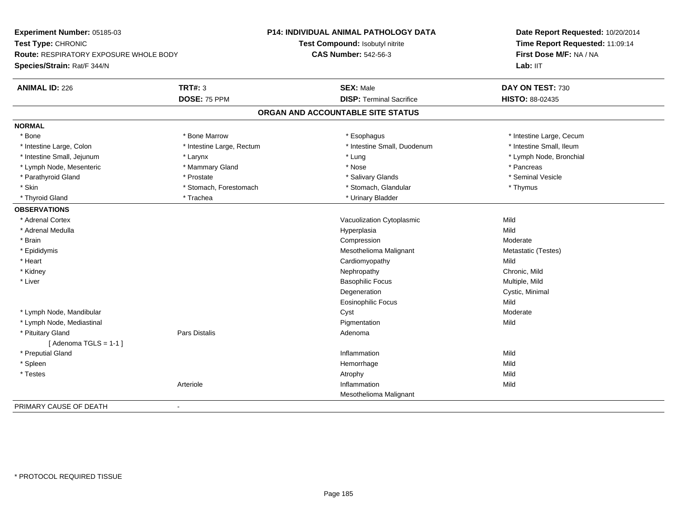| Experiment Number: 05185-03            |                           | <b>P14: INDIVIDUAL ANIMAL PATHOLOGY DATA</b> | Date Report Requested: 10/20/2014<br>Time Report Requested: 11:09:14 |
|----------------------------------------|---------------------------|----------------------------------------------|----------------------------------------------------------------------|
| Test Type: CHRONIC                     |                           | Test Compound: Isobutyl nitrite              |                                                                      |
| Route: RESPIRATORY EXPOSURE WHOLE BODY |                           | <b>CAS Number: 542-56-3</b>                  | First Dose M/F: NA / NA                                              |
| Species/Strain: Rat/F 344/N            |                           |                                              | Lab: IIT                                                             |
| <b>ANIMAL ID: 226</b>                  | <b>TRT#: 3</b>            | <b>SEX: Male</b>                             | DAY ON TEST: 730                                                     |
|                                        | DOSE: 75 PPM              | <b>DISP: Terminal Sacrifice</b>              | HISTO: 88-02435                                                      |
|                                        |                           | ORGAN AND ACCOUNTABLE SITE STATUS            |                                                                      |
| <b>NORMAL</b>                          |                           |                                              |                                                                      |
| * Bone                                 | * Bone Marrow             | * Esophagus                                  | * Intestine Large, Cecum                                             |
| * Intestine Large, Colon               | * Intestine Large, Rectum | * Intestine Small, Duodenum                  | * Intestine Small, Ileum                                             |
| * Intestine Small, Jejunum             | * Larynx                  | * Lung                                       | * Lymph Node, Bronchial                                              |
| * Lymph Node, Mesenteric               | * Mammary Gland           | * Nose                                       | * Pancreas                                                           |
| * Parathyroid Gland                    | * Prostate                | * Salivary Glands                            | * Seminal Vesicle                                                    |
| * Skin                                 | * Stomach, Forestomach    | * Stomach, Glandular                         | * Thymus                                                             |
| * Thyroid Gland                        | * Trachea                 | * Urinary Bladder                            |                                                                      |
| <b>OBSERVATIONS</b>                    |                           |                                              |                                                                      |
| * Adrenal Cortex                       |                           | Vacuolization Cytoplasmic                    | Mild                                                                 |
| * Adrenal Medulla                      |                           | Hyperplasia                                  | Mild                                                                 |
| * Brain                                |                           | Compression                                  | Moderate                                                             |
| * Epididymis                           |                           | Mesothelioma Malignant                       | Metastatic (Testes)                                                  |
| * Heart                                |                           | Cardiomyopathy                               | Mild                                                                 |
| * Kidney                               |                           | Nephropathy                                  | Chronic, Mild                                                        |
| * Liver                                |                           | <b>Basophilic Focus</b>                      | Multiple, Mild                                                       |
|                                        |                           | Degeneration                                 | Cystic, Minimal                                                      |
|                                        |                           | Eosinophilic Focus                           | Mild                                                                 |
| * Lymph Node, Mandibular               |                           | Cyst                                         | Moderate                                                             |
| * Lymph Node, Mediastinal              |                           | Pigmentation                                 | Mild                                                                 |
| * Pituitary Gland                      | Pars Distalis             | Adenoma                                      |                                                                      |
| [Adenoma TGLS = $1-1$ ]                |                           |                                              |                                                                      |
| * Preputial Gland                      |                           | Inflammation                                 | Mild                                                                 |
| * Spleen                               |                           | Hemorrhage                                   | Mild                                                                 |
| * Testes                               |                           | Atrophy                                      | Mild                                                                 |
|                                        | Arteriole                 | Inflammation                                 | Mild                                                                 |
|                                        |                           | Mesothelioma Malignant                       |                                                                      |
| PRIMARY CAUSE OF DEATH                 | $\sim$                    |                                              |                                                                      |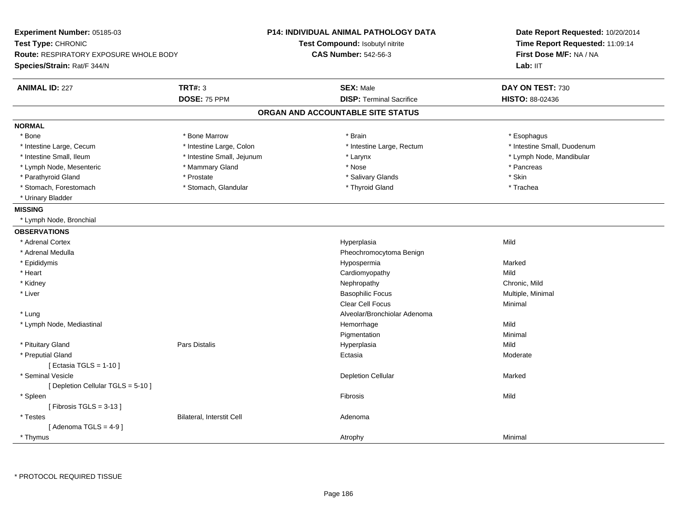| Experiment Number: 05185-03<br>Test Type: CHRONIC<br><b>Route: RESPIRATORY EXPOSURE WHOLE BODY</b><br>Species/Strain: Rat/F 344/N |                            | <b>P14: INDIVIDUAL ANIMAL PATHOLOGY DATA</b><br>Test Compound: Isobutyl nitrite<br><b>CAS Number: 542-56-3</b> | Date Report Requested: 10/20/2014<br>Time Report Requested: 11:09:14<br>First Dose M/F: NA / NA<br>Lab: IIT |
|-----------------------------------------------------------------------------------------------------------------------------------|----------------------------|----------------------------------------------------------------------------------------------------------------|-------------------------------------------------------------------------------------------------------------|
| <b>ANIMAL ID: 227</b>                                                                                                             | <b>TRT#: 3</b>             | <b>SEX: Male</b>                                                                                               | DAY ON TEST: 730                                                                                            |
|                                                                                                                                   | DOSE: 75 PPM               | <b>DISP: Terminal Sacrifice</b>                                                                                | <b>HISTO: 88-02436</b>                                                                                      |
|                                                                                                                                   |                            | ORGAN AND ACCOUNTABLE SITE STATUS                                                                              |                                                                                                             |
| <b>NORMAL</b>                                                                                                                     |                            |                                                                                                                |                                                                                                             |
| * Bone                                                                                                                            | * Bone Marrow              | * Brain                                                                                                        | * Esophagus                                                                                                 |
| * Intestine Large, Cecum                                                                                                          | * Intestine Large, Colon   | * Intestine Large, Rectum                                                                                      | * Intestine Small, Duodenum                                                                                 |
| * Intestine Small, Ileum                                                                                                          | * Intestine Small, Jejunum | * Larynx                                                                                                       | * Lymph Node, Mandibular                                                                                    |
| * Lymph Node, Mesenteric                                                                                                          | * Mammary Gland            | * Nose                                                                                                         | * Pancreas                                                                                                  |
| * Parathyroid Gland                                                                                                               | * Prostate                 | * Salivary Glands                                                                                              | * Skin                                                                                                      |
| * Stomach, Forestomach                                                                                                            | * Stomach, Glandular       | * Thyroid Gland                                                                                                | * Trachea                                                                                                   |
| * Urinary Bladder                                                                                                                 |                            |                                                                                                                |                                                                                                             |
| <b>MISSING</b>                                                                                                                    |                            |                                                                                                                |                                                                                                             |
| * Lymph Node, Bronchial                                                                                                           |                            |                                                                                                                |                                                                                                             |
| <b>OBSERVATIONS</b>                                                                                                               |                            |                                                                                                                |                                                                                                             |
| * Adrenal Cortex                                                                                                                  |                            | Hyperplasia                                                                                                    | Mild                                                                                                        |
| * Adrenal Medulla                                                                                                                 |                            | Pheochromocytoma Benign                                                                                        |                                                                                                             |
| * Epididymis                                                                                                                      |                            | Hypospermia                                                                                                    | Marked                                                                                                      |
| * Heart                                                                                                                           |                            | Cardiomyopathy                                                                                                 | Mild                                                                                                        |
| * Kidney                                                                                                                          |                            | Nephropathy                                                                                                    | Chronic, Mild                                                                                               |
| * Liver                                                                                                                           |                            | <b>Basophilic Focus</b>                                                                                        | Multiple, Minimal                                                                                           |
|                                                                                                                                   |                            | <b>Clear Cell Focus</b>                                                                                        | Minimal                                                                                                     |
| * Lung                                                                                                                            |                            | Alveolar/Bronchiolar Adenoma                                                                                   |                                                                                                             |
| * Lymph Node, Mediastinal                                                                                                         |                            | Hemorrhage                                                                                                     | Mild                                                                                                        |
|                                                                                                                                   |                            | Pigmentation                                                                                                   | Minimal                                                                                                     |
| * Pituitary Gland                                                                                                                 | <b>Pars Distalis</b>       | Hyperplasia                                                                                                    | Mild                                                                                                        |
| * Preputial Gland                                                                                                                 |                            | Ectasia                                                                                                        | Moderate                                                                                                    |
| [ Ectasia TGLS = $1-10$ ]                                                                                                         |                            |                                                                                                                |                                                                                                             |
| * Seminal Vesicle                                                                                                                 |                            | <b>Depletion Cellular</b>                                                                                      | Marked                                                                                                      |
| [ Depletion Cellular TGLS = 5-10 ]                                                                                                |                            |                                                                                                                |                                                                                                             |
| * Spleen                                                                                                                          |                            | Fibrosis                                                                                                       | Mild                                                                                                        |
| [Fibrosis TGLS = $3-13$ ]                                                                                                         |                            |                                                                                                                |                                                                                                             |
| * Testes                                                                                                                          | Bilateral, Interstit Cell  | Adenoma                                                                                                        |                                                                                                             |
| [Adenoma TGLS = $4-9$ ]                                                                                                           |                            |                                                                                                                |                                                                                                             |
| * Thymus                                                                                                                          |                            | Atrophy                                                                                                        | Minimal                                                                                                     |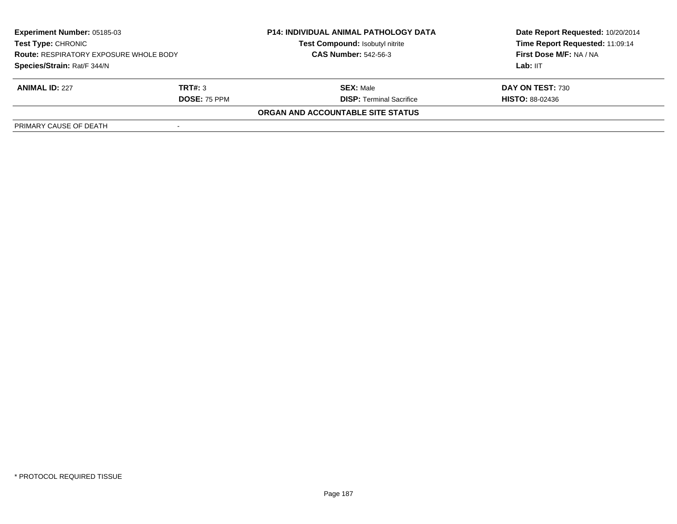| Experiment Number: 05185-03<br><b>Test Type: CHRONIC</b><br><b>Route: RESPIRATORY EXPOSURE WHOLE BODY</b><br>Species/Strain: Rat/F 344/N |                     | <b>P14: INDIVIDUAL ANIMAL PATHOLOGY DATA</b> | Date Report Requested: 10/20/2014 |  |
|------------------------------------------------------------------------------------------------------------------------------------------|---------------------|----------------------------------------------|-----------------------------------|--|
|                                                                                                                                          |                     | <b>Test Compound: Isobutyl nitrite</b>       | Time Report Requested: 11:09:14   |  |
|                                                                                                                                          |                     | <b>CAS Number: 542-56-3</b>                  | First Dose M/F: NA / NA           |  |
|                                                                                                                                          |                     |                                              | Lab: $III$                        |  |
| <b>ANIMAL ID: 227</b>                                                                                                                    | TRT#: 3             | <b>SEX: Male</b>                             | DAY ON TEST: 730                  |  |
|                                                                                                                                          | <b>DOSE: 75 PPM</b> | <b>DISP:</b> Terminal Sacrifice              | <b>HISTO: 88-02436</b>            |  |
|                                                                                                                                          |                     | ORGAN AND ACCOUNTABLE SITE STATUS            |                                   |  |
| PRIMARY CAUSE OF DEATH                                                                                                                   |                     |                                              |                                   |  |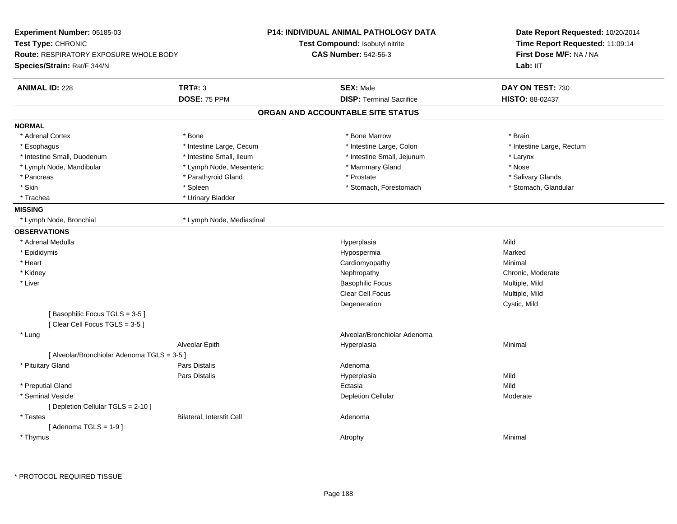| Experiment Number: 05185-03                                    |                                  | <b>P14: INDIVIDUAL ANIMAL PATHOLOGY DATA</b> | Date Report Requested: 10/20/2014<br>Time Report Requested: 11:09:14 |
|----------------------------------------------------------------|----------------------------------|----------------------------------------------|----------------------------------------------------------------------|
| Test Type: CHRONIC                                             |                                  | Test Compound: Isobutyl nitrite              |                                                                      |
| Route: RESPIRATORY EXPOSURE WHOLE BODY                         |                                  | <b>CAS Number: 542-56-3</b>                  | First Dose M/F: NA / NA                                              |
| Species/Strain: Rat/F 344/N                                    |                                  |                                              | Lab: IIT                                                             |
| <b>ANIMAL ID: 228</b>                                          | <b>TRT#: 3</b>                   | <b>SEX: Male</b>                             | DAY ON TEST: 730                                                     |
|                                                                | DOSE: 75 PPM                     | <b>DISP: Terminal Sacrifice</b>              | HISTO: 88-02437                                                      |
|                                                                |                                  | ORGAN AND ACCOUNTABLE SITE STATUS            |                                                                      |
| <b>NORMAL</b>                                                  |                                  |                                              |                                                                      |
| * Adrenal Cortex                                               | * Bone                           | * Bone Marrow                                | * Brain                                                              |
| * Esophagus                                                    | * Intestine Large, Cecum         | * Intestine Large, Colon                     | * Intestine Large, Rectum                                            |
| * Intestine Small, Duodenum                                    | * Intestine Small, Ileum         | * Intestine Small, Jejunum                   | * Larynx                                                             |
| * Lymph Node, Mandibular                                       | * Lymph Node, Mesenteric         | * Mammary Gland                              | * Nose                                                               |
| * Pancreas                                                     | * Parathyroid Gland              | * Prostate                                   | * Salivary Glands                                                    |
| * Skin                                                         | * Spleen                         | * Stomach, Forestomach                       | * Stomach, Glandular                                                 |
| * Trachea                                                      | * Urinary Bladder                |                                              |                                                                      |
| <b>MISSING</b>                                                 |                                  |                                              |                                                                      |
| * Lymph Node, Bronchial                                        | * Lymph Node, Mediastinal        |                                              |                                                                      |
| <b>OBSERVATIONS</b>                                            |                                  |                                              |                                                                      |
| * Adrenal Medulla                                              |                                  | Hyperplasia                                  | Mild                                                                 |
| * Epididymis                                                   |                                  | Hypospermia                                  | Marked                                                               |
| * Heart                                                        |                                  | Cardiomyopathy                               | Minimal                                                              |
| * Kidney                                                       |                                  | Nephropathy                                  | Chronic, Moderate                                                    |
| * Liver                                                        |                                  | <b>Basophilic Focus</b>                      | Multiple, Mild                                                       |
|                                                                |                                  | <b>Clear Cell Focus</b>                      | Multiple, Mild                                                       |
|                                                                |                                  | Degeneration                                 | Cystic, Mild                                                         |
| [Basophilic Focus TGLS = 3-5]<br>[Clear Cell Focus TGLS = 3-5] |                                  |                                              |                                                                      |
| * Lung                                                         |                                  | Alveolar/Bronchiolar Adenoma                 |                                                                      |
|                                                                | Alveolar Epith                   | Hyperplasia                                  | Minimal                                                              |
| [ Alveolar/Bronchiolar Adenoma TGLS = 3-5 ]                    |                                  |                                              |                                                                      |
| * Pituitary Gland                                              | <b>Pars Distalis</b>             | Adenoma                                      |                                                                      |
|                                                                | Pars Distalis                    | Hyperplasia                                  | Mild                                                                 |
| * Preputial Gland                                              |                                  | Ectasia                                      | Mild                                                                 |
| * Seminal Vesicle                                              |                                  | <b>Depletion Cellular</b>                    | Moderate                                                             |
| [ Depletion Cellular TGLS = 2-10 ]                             |                                  |                                              |                                                                      |
| * Testes                                                       | <b>Bilateral, Interstit Cell</b> | Adenoma                                      |                                                                      |
| [Adenoma TGLS = $1-9$ ]                                        |                                  |                                              |                                                                      |
| * Thymus                                                       |                                  | Atrophy                                      | Minimal                                                              |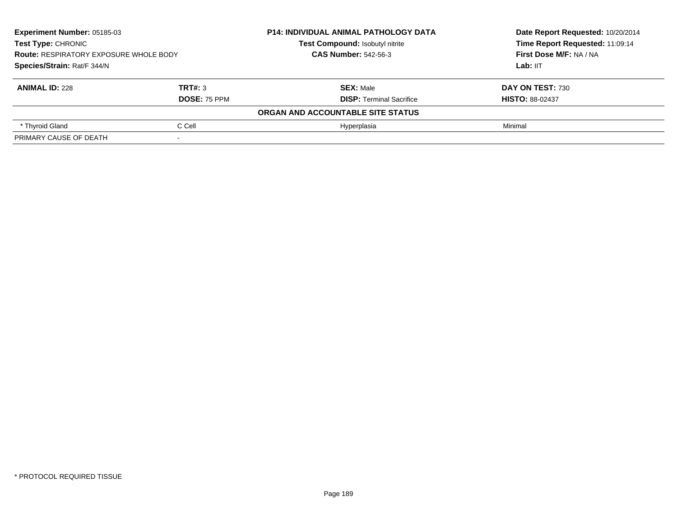| Experiment Number: 05185-03<br>Test Type: CHRONIC<br><b>Route: RESPIRATORY EXPOSURE WHOLE BODY</b> |                     | <b>P14: INDIVIDUAL ANIMAL PATHOLOGY DATA</b> | Date Report Requested: 10/20/2014<br>Time Report Requested: 11:09:14<br>First Dose M/F: NA / NA |
|----------------------------------------------------------------------------------------------------|---------------------|----------------------------------------------|-------------------------------------------------------------------------------------------------|
|                                                                                                    |                     | Test Compound: Isobutyl nitrite              |                                                                                                 |
|                                                                                                    |                     | <b>CAS Number: 542-56-3</b>                  |                                                                                                 |
| Species/Strain: Rat/F 344/N                                                                        |                     |                                              | Lab: IIT                                                                                        |
| <b>ANIMAL ID: 228</b>                                                                              | TRT#: 3             | <b>SEX: Male</b>                             | DAY ON TEST: 730                                                                                |
|                                                                                                    | <b>DOSE: 75 PPM</b> | <b>DISP: Terminal Sacrifice</b>              | <b>HISTO: 88-02437</b>                                                                          |
|                                                                                                    |                     | ORGAN AND ACCOUNTABLE SITE STATUS            |                                                                                                 |
| * Thyroid Gland                                                                                    | C Cell              | Hyperplasia                                  | Minimal                                                                                         |
| PRIMARY CAUSE OF DEATH                                                                             |                     |                                              |                                                                                                 |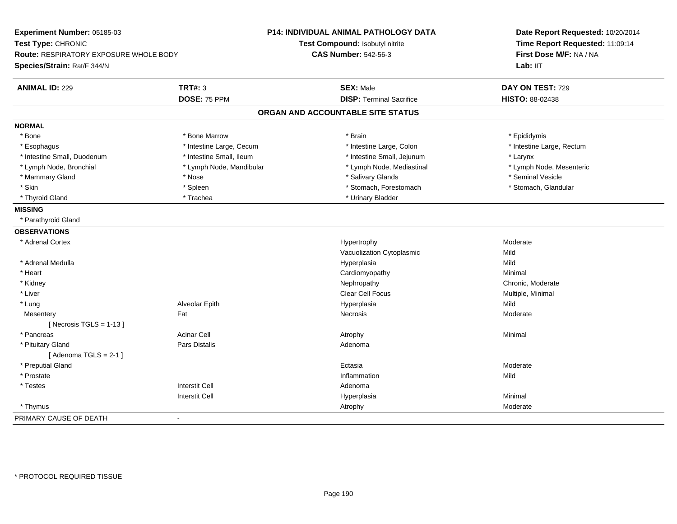| Experiment Number: 05185-03<br>Test Type: CHRONIC |                          | P14: INDIVIDUAL ANIMAL PATHOLOGY DATA<br>Test Compound: Isobutyl nitrite | Date Report Requested: 10/20/2014<br>Time Report Requested: 11:09:14 |  |
|---------------------------------------------------|--------------------------|--------------------------------------------------------------------------|----------------------------------------------------------------------|--|
| Route: RESPIRATORY EXPOSURE WHOLE BODY            |                          | <b>CAS Number: 542-56-3</b>                                              | First Dose M/F: NA / NA                                              |  |
| Species/Strain: Rat/F 344/N                       |                          |                                                                          | Lab: IIT                                                             |  |
| <b>ANIMAL ID: 229</b>                             | <b>TRT#: 3</b>           | <b>SEX: Male</b>                                                         | DAY ON TEST: 729                                                     |  |
|                                                   | DOSE: 75 PPM             | <b>DISP: Terminal Sacrifice</b>                                          | HISTO: 88-02438                                                      |  |
|                                                   |                          | ORGAN AND ACCOUNTABLE SITE STATUS                                        |                                                                      |  |
| <b>NORMAL</b>                                     |                          |                                                                          |                                                                      |  |
| * Bone                                            | * Bone Marrow            | * Brain                                                                  | * Epididymis                                                         |  |
| * Esophagus                                       | * Intestine Large, Cecum | * Intestine Large, Colon                                                 | * Intestine Large, Rectum                                            |  |
| * Intestine Small, Duodenum                       | * Intestine Small, Ileum | * Intestine Small, Jejunum                                               | * Larynx                                                             |  |
| * Lymph Node, Bronchial                           | * Lymph Node, Mandibular | * Lymph Node, Mediastinal                                                | * Lymph Node, Mesenteric                                             |  |
| * Mammary Gland                                   | * Nose                   | * Salivary Glands                                                        | * Seminal Vesicle                                                    |  |
| * Skin                                            | * Spleen                 | * Stomach, Forestomach                                                   | * Stomach, Glandular                                                 |  |
| * Thyroid Gland                                   | * Trachea                | * Urinary Bladder                                                        |                                                                      |  |
| <b>MISSING</b>                                    |                          |                                                                          |                                                                      |  |
| * Parathyroid Gland                               |                          |                                                                          |                                                                      |  |
| <b>OBSERVATIONS</b>                               |                          |                                                                          |                                                                      |  |
| * Adrenal Cortex                                  |                          | Hypertrophy                                                              | Moderate                                                             |  |
|                                                   |                          | Vacuolization Cytoplasmic                                                | Mild                                                                 |  |
| * Adrenal Medulla                                 |                          | Hyperplasia                                                              | Mild                                                                 |  |
| * Heart                                           |                          | Cardiomyopathy                                                           | Minimal                                                              |  |
| * Kidney                                          |                          | Nephropathy                                                              | Chronic, Moderate                                                    |  |
| * Liver                                           |                          | <b>Clear Cell Focus</b>                                                  | Multiple, Minimal                                                    |  |
| * Lung                                            | Alveolar Epith           | Hyperplasia                                                              | Mild                                                                 |  |
| Mesentery                                         | Fat                      | Necrosis                                                                 | Moderate                                                             |  |
| [Necrosis $TGLS = 1-13$ ]                         |                          |                                                                          |                                                                      |  |
| * Pancreas                                        | <b>Acinar Cell</b>       | Atrophy                                                                  | Minimal                                                              |  |
| * Pituitary Gland                                 | Pars Distalis            | Adenoma                                                                  |                                                                      |  |
| [Adenoma TGLS = $2-1$ ]                           |                          |                                                                          |                                                                      |  |
| * Preputial Gland                                 |                          | Ectasia                                                                  | Moderate                                                             |  |
| * Prostate                                        |                          | Inflammation                                                             | Mild                                                                 |  |
| * Testes                                          | <b>Interstit Cell</b>    | Adenoma                                                                  |                                                                      |  |
|                                                   | <b>Interstit Cell</b>    | Hyperplasia                                                              | Minimal                                                              |  |
| * Thymus                                          |                          | Atrophy                                                                  | Moderate                                                             |  |
| PRIMARY CAUSE OF DEATH                            | $\overline{a}$           |                                                                          |                                                                      |  |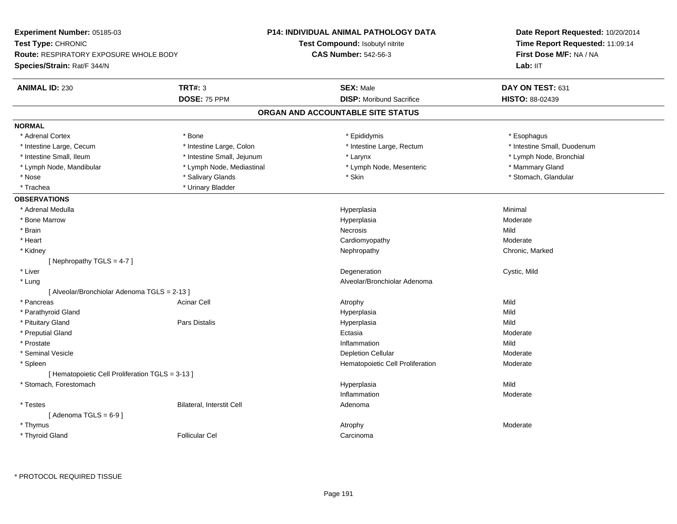| Date Report Requested: 10/20/2014<br>Time Report Requested: 11:09:14<br>First Dose M/F: NA / NA<br>Lab: IIT<br>DAY ON TEST: 631<br>HISTO: 88-02439<br>* Esophagus<br>* Intestine Small, Duodenum<br>* Lymph Node, Bronchial |
|-----------------------------------------------------------------------------------------------------------------------------------------------------------------------------------------------------------------------------|
|                                                                                                                                                                                                                             |
|                                                                                                                                                                                                                             |
|                                                                                                                                                                                                                             |
|                                                                                                                                                                                                                             |
|                                                                                                                                                                                                                             |
|                                                                                                                                                                                                                             |
|                                                                                                                                                                                                                             |
|                                                                                                                                                                                                                             |
|                                                                                                                                                                                                                             |
|                                                                                                                                                                                                                             |
| * Mammary Gland                                                                                                                                                                                                             |
| * Stomach, Glandular                                                                                                                                                                                                        |
|                                                                                                                                                                                                                             |
|                                                                                                                                                                                                                             |
| Minimal                                                                                                                                                                                                                     |
| Moderate                                                                                                                                                                                                                    |
| Mild                                                                                                                                                                                                                        |
| Moderate                                                                                                                                                                                                                    |
| Chronic, Marked                                                                                                                                                                                                             |
|                                                                                                                                                                                                                             |
| Cystic, Mild                                                                                                                                                                                                                |
|                                                                                                                                                                                                                             |
|                                                                                                                                                                                                                             |
| Mild                                                                                                                                                                                                                        |
| Mild                                                                                                                                                                                                                        |
| Mild                                                                                                                                                                                                                        |
| Moderate                                                                                                                                                                                                                    |
| Mild                                                                                                                                                                                                                        |
| Moderate                                                                                                                                                                                                                    |
| Moderate                                                                                                                                                                                                                    |
|                                                                                                                                                                                                                             |
| Mild                                                                                                                                                                                                                        |
| Moderate                                                                                                                                                                                                                    |
|                                                                                                                                                                                                                             |
|                                                                                                                                                                                                                             |
| Moderate                                                                                                                                                                                                                    |
|                                                                                                                                                                                                                             |
|                                                                                                                                                                                                                             |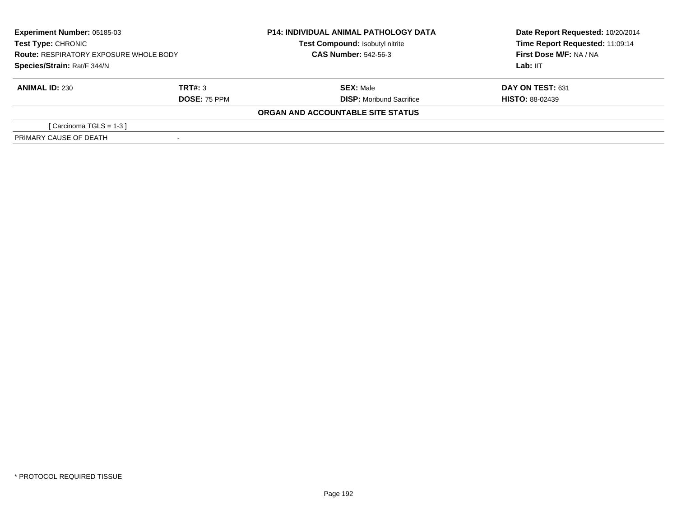| <b>Experiment Number: 05185-03</b><br>Test Type: CHRONIC<br><b>Route: RESPIRATORY EXPOSURE WHOLE BODY</b><br>Species/Strain: Rat/F 344/N |              | <b>P14: INDIVIDUAL ANIMAL PATHOLOGY DATA</b> | Date Report Requested: 10/20/2014 |
|------------------------------------------------------------------------------------------------------------------------------------------|--------------|----------------------------------------------|-----------------------------------|
|                                                                                                                                          |              | Test Compound: Isobutyl nitrite              | Time Report Requested: 11:09:14   |
|                                                                                                                                          |              | <b>CAS Number: 542-56-3</b>                  | First Dose M/F: NA / NA           |
|                                                                                                                                          |              |                                              | Lab: IIT                          |
| <b>ANIMAL ID: 230</b>                                                                                                                    | TRT#: 3      | <b>SEX: Male</b>                             | DAY ON TEST: 631                  |
|                                                                                                                                          | DOSE: 75 PPM | <b>DISP:</b> Moribund Sacrifice              | <b>HISTO: 88-02439</b>            |
|                                                                                                                                          |              | ORGAN AND ACCOUNTABLE SITE STATUS            |                                   |
| [ Carcinoma TGLS = $1-3$ ]                                                                                                               |              |                                              |                                   |
| PRIMARY CAUSE OF DEATH                                                                                                                   |              |                                              |                                   |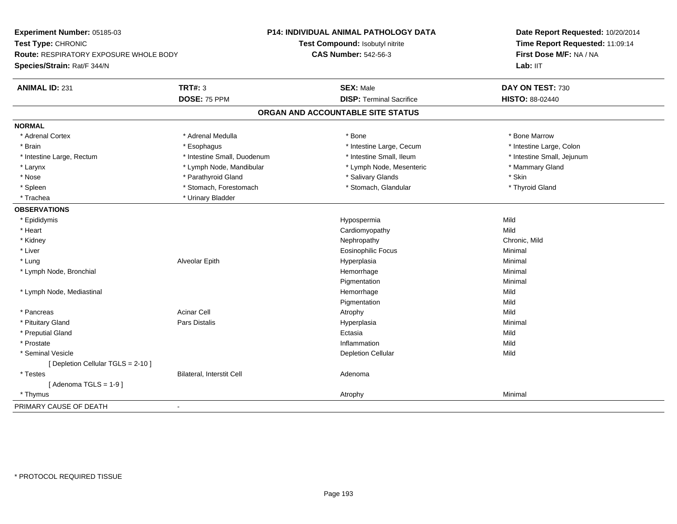| Experiment Number: 05185-03                   |                             | <b>P14: INDIVIDUAL ANIMAL PATHOLOGY DATA</b> | Date Report Requested: 10/20/2014<br>Time Report Requested: 11:09:14<br>First Dose M/F: NA / NA |
|-----------------------------------------------|-----------------------------|----------------------------------------------|-------------------------------------------------------------------------------------------------|
| Test Type: CHRONIC                            |                             | Test Compound: Isobutyl nitrite              |                                                                                                 |
| <b>Route: RESPIRATORY EXPOSURE WHOLE BODY</b> |                             | <b>CAS Number: 542-56-3</b>                  |                                                                                                 |
| Species/Strain: Rat/F 344/N                   |                             |                                              | Lab: IIT                                                                                        |
| <b>ANIMAL ID: 231</b>                         | <b>TRT#: 3</b>              | <b>SEX: Male</b>                             | DAY ON TEST: 730                                                                                |
|                                               | DOSE: 75 PPM                | <b>DISP: Terminal Sacrifice</b>              | HISTO: 88-02440                                                                                 |
|                                               |                             | ORGAN AND ACCOUNTABLE SITE STATUS            |                                                                                                 |
| <b>NORMAL</b>                                 |                             |                                              |                                                                                                 |
| * Adrenal Cortex                              | * Adrenal Medulla           | * Bone                                       | * Bone Marrow                                                                                   |
| * Brain                                       | * Esophagus                 | * Intestine Large, Cecum                     | * Intestine Large, Colon                                                                        |
| * Intestine Large, Rectum                     | * Intestine Small, Duodenum | * Intestine Small, Ileum                     | * Intestine Small, Jejunum                                                                      |
| * Larynx                                      | * Lymph Node, Mandibular    | * Lymph Node, Mesenteric                     | * Mammary Gland                                                                                 |
| * Nose                                        | * Parathyroid Gland         | * Salivary Glands                            | * Skin                                                                                          |
| * Spleen                                      | * Stomach, Forestomach      | * Stomach, Glandular                         | * Thyroid Gland                                                                                 |
| * Trachea                                     | * Urinary Bladder           |                                              |                                                                                                 |
| <b>OBSERVATIONS</b>                           |                             |                                              |                                                                                                 |
| * Epididymis                                  |                             | Hypospermia                                  | Mild                                                                                            |
| * Heart                                       |                             | Cardiomyopathy                               | Mild                                                                                            |
| * Kidney                                      |                             | Nephropathy                                  | Chronic, Mild                                                                                   |
| * Liver                                       |                             | Eosinophilic Focus                           | Minimal                                                                                         |
| * Lung                                        | Alveolar Epith              | Hyperplasia                                  | Minimal                                                                                         |
| * Lymph Node, Bronchial                       |                             | Hemorrhage                                   | Minimal                                                                                         |
|                                               |                             | Pigmentation                                 | Minimal                                                                                         |
| * Lymph Node, Mediastinal                     |                             | Hemorrhage                                   | Mild                                                                                            |
|                                               |                             | Pigmentation                                 | Mild                                                                                            |
| * Pancreas                                    | <b>Acinar Cell</b>          | Atrophy                                      | Mild                                                                                            |
| * Pituitary Gland                             | Pars Distalis               | Hyperplasia                                  | Minimal                                                                                         |
| * Preputial Gland                             |                             | Ectasia                                      | Mild                                                                                            |
| * Prostate                                    |                             | Inflammation                                 | Mild                                                                                            |
| * Seminal Vesicle                             |                             | <b>Depletion Cellular</b>                    | Mild                                                                                            |
| [ Depletion Cellular TGLS = 2-10 ]            |                             |                                              |                                                                                                 |
| * Testes                                      | Bilateral, Interstit Cell   | Adenoma                                      |                                                                                                 |
| [Adenoma TGLS = $1-9$ ]                       |                             |                                              |                                                                                                 |
| * Thymus                                      |                             | Atrophy                                      | Minimal                                                                                         |
| PRIMARY CAUSE OF DEATH<br>$\blacksquare$      |                             |                                              |                                                                                                 |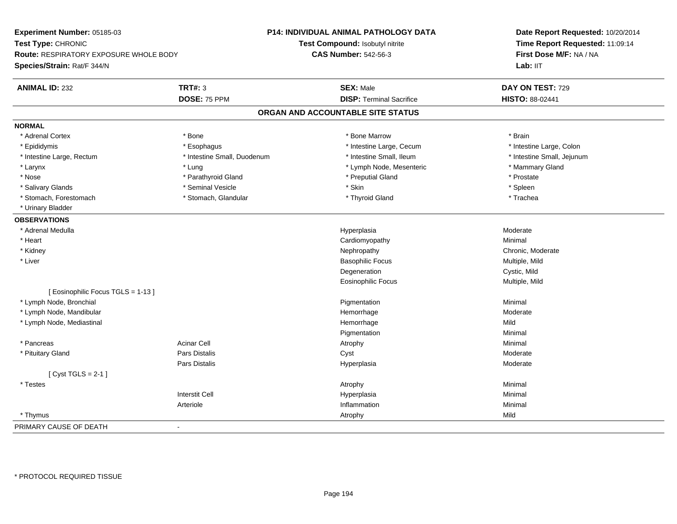**Experiment Number:** 05185-03**Test Type:** CHRONIC **Route:** RESPIRATORY EXPOSURE WHOLE BODY**Species/Strain:** Rat/F 344/N**P14: INDIVIDUAL ANIMAL PATHOLOGY DATATest Compound:** Isobutyl nitrite**CAS Number:** 542-56-3**Date Report Requested:** 10/20/2014**Time Report Requested:** 11:09:14**First Dose M/F:** NA / NALab: IIT **ANIMAL ID:** 232**TRT#:** 3 **SEX:** Male **DAY ON TEST:** 729 **DOSE:** 75 PPM**DISP:** Terminal Sacrifice **HISTO:** 88-02441 **ORGAN AND ACCOUNTABLE SITE STATUSNORMAL**\* Adrenal Cortex \* Adrenal Cortex \* \* Adrenal Cortex \* Brain \* Bone \* \* Bone Marrow \* Bone Marrow \* \* Brain \* Brain \* Brain \* Brain \* Brain \* Brain \* Brain \* Brain \* Brain \* Brain \* Brain \* Brain \* Brain \* Brain \* Brain \* Brain \* Brain \* B \* Intestine Large, Colon \* Epididymis \* Intestine Large, Cecum \* Esophagus \* Intestine Large, Cecum \* Intestine Large, Cecum \* Intestine Large, Rectum \* Thestine Small, Duodenum \* Number of the small, Ileum \* Intestine Small, Jejunum \* Intestine Small, Jejunum \* Larynx **\* Lung \* Lung \* Lung \* Allah and the set of the set of the set of the set of the set of the set of the set of the set of the set of the set of the set of the set of the set of the set of the set of the set of the** \* Nose \* Parathyroid Gland \* Parathyroid Gland \* Preputial Gland \* Preputial Gland \* Prostate \* Spleen \* Salivary Glands \* \* \* Sheen \* Seminal Vesicle \* \* \* Stan \* \* Skin \* \* Skin \* \* Spleen \* \* Spleen \* \* Spleen \* \* Trachea \* Stomach, Forestomach \* The stormach \* Stomach, Glandular \* Thyroid Gland \* Thyroid Gland \* Thyroid Gland \* \* Urinary Bladder**OBSERVATIONS** \* Adrenal Medullaa and the state of the state of the state of the Hyperplasia and the Moderate of the Moderate of the Shane and T \* Heart Cardiomyopathy Minimal \* Kidneyy the chronic, Moderate and September 2012 of the Chronic Moderate and September 2013 of the Chronic, Moderate \* Liver Basophilic Focus Multiple, MildDegeneration Cystic, Mild Eosinophilic Focus Multiple, Mild[ Eosinophilic Focus TGLS = 1-13 ] \* Lymph Node, Bronchial Pigmentationn Minimal \* Lymph Node, Mandibular Hemorrhagee Moderate \* Lymph Node, Mediastinal Hemorrhagee Mild Pigmentationn Minimal \* Pancreass Acinar Cell Atrophy Minimal \* Pituitary Gland Pars Distalis Cyst Moderate Pars Distalis Hyperplasiaa Moderate [ Cyst TGLS = 2-1 ] \* Testess the control of the control of the control of the control of the control of the control of the control of the control of the control of the control of the control of the control of the control of the control of the contro Interstit Cell Hyperplasiaa and a studies of the studies of the Minimal Arteriolee and the settlement of the inflammation of the settlement of the settlement of the settlement of the settleme<br>Inflammation \* Thymuss and the control of the control of the control of the control of the control of the control of the control of the control of the control of the control of the control of the control of the control of the control of the co PRIMARY CAUSE OF DEATH-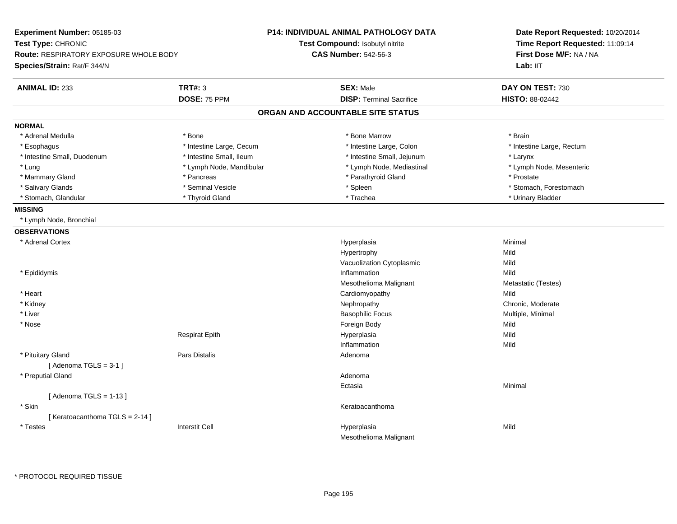| Experiment Number: 05185-03<br>Test Type: CHRONIC<br>Route: RESPIRATORY EXPOSURE WHOLE BODY<br>Species/Strain: Rat/F 344/N |                          | P14: INDIVIDUAL ANIMAL PATHOLOGY DATA<br>Test Compound: Isobutyl nitrite<br><b>CAS Number: 542-56-3</b> | Date Report Requested: 10/20/2014<br>Time Report Requested: 11:09:14<br>First Dose M/F: NA / NA<br>Lab: IIT |
|----------------------------------------------------------------------------------------------------------------------------|--------------------------|---------------------------------------------------------------------------------------------------------|-------------------------------------------------------------------------------------------------------------|
| <b>ANIMAL ID: 233</b>                                                                                                      | <b>TRT#: 3</b>           | <b>SEX: Male</b>                                                                                        | DAY ON TEST: 730                                                                                            |
|                                                                                                                            | DOSE: 75 PPM             | <b>DISP: Terminal Sacrifice</b>                                                                         | HISTO: 88-02442                                                                                             |
|                                                                                                                            |                          | ORGAN AND ACCOUNTABLE SITE STATUS                                                                       |                                                                                                             |
| <b>NORMAL</b>                                                                                                              |                          |                                                                                                         |                                                                                                             |
| * Adrenal Medulla                                                                                                          | * Bone                   | * Bone Marrow                                                                                           | * Brain                                                                                                     |
| * Esophagus                                                                                                                | * Intestine Large, Cecum | * Intestine Large, Colon                                                                                | * Intestine Large, Rectum                                                                                   |
| * Intestine Small, Duodenum                                                                                                | * Intestine Small, Ileum | * Intestine Small, Jejunum                                                                              | * Larynx                                                                                                    |
| * Lung                                                                                                                     | * Lymph Node, Mandibular | * Lymph Node, Mediastinal                                                                               | * Lymph Node, Mesenteric                                                                                    |
| * Mammary Gland                                                                                                            | * Pancreas               | * Parathyroid Gland                                                                                     | * Prostate                                                                                                  |
| * Salivary Glands                                                                                                          | * Seminal Vesicle        | * Spleen                                                                                                | * Stomach, Forestomach                                                                                      |
| * Stomach, Glandular                                                                                                       | * Thyroid Gland          | * Trachea                                                                                               | * Urinary Bladder                                                                                           |
| <b>MISSING</b>                                                                                                             |                          |                                                                                                         |                                                                                                             |
| * Lymph Node, Bronchial                                                                                                    |                          |                                                                                                         |                                                                                                             |
| <b>OBSERVATIONS</b>                                                                                                        |                          |                                                                                                         |                                                                                                             |
| * Adrenal Cortex                                                                                                           |                          | Hyperplasia                                                                                             | Minimal                                                                                                     |
|                                                                                                                            |                          | Hypertrophy                                                                                             | Mild                                                                                                        |
|                                                                                                                            |                          | Vacuolization Cytoplasmic                                                                               | Mild                                                                                                        |
| * Epididymis                                                                                                               |                          | Inflammation                                                                                            | Mild                                                                                                        |
|                                                                                                                            |                          | Mesothelioma Malignant                                                                                  | Metastatic (Testes)                                                                                         |
| * Heart                                                                                                                    |                          | Cardiomyopathy                                                                                          | Mild                                                                                                        |
| * Kidney                                                                                                                   |                          | Nephropathy                                                                                             | Chronic, Moderate                                                                                           |
| * Liver                                                                                                                    |                          | <b>Basophilic Focus</b>                                                                                 | Multiple, Minimal                                                                                           |
| * Nose                                                                                                                     |                          | Foreign Body                                                                                            | Mild                                                                                                        |
|                                                                                                                            | <b>Respirat Epith</b>    | Hyperplasia                                                                                             | Mild                                                                                                        |
|                                                                                                                            |                          | Inflammation                                                                                            | Mild                                                                                                        |
| * Pituitary Gland                                                                                                          | <b>Pars Distalis</b>     | Adenoma                                                                                                 |                                                                                                             |
| [Adenoma TGLS = $3-1$ ]                                                                                                    |                          |                                                                                                         |                                                                                                             |
| * Preputial Gland                                                                                                          |                          | Adenoma                                                                                                 |                                                                                                             |
|                                                                                                                            |                          | Ectasia                                                                                                 | Minimal                                                                                                     |
| [Adenoma TGLS = $1-13$ ]                                                                                                   |                          |                                                                                                         |                                                                                                             |
| * Skin                                                                                                                     |                          | Keratoacanthoma                                                                                         |                                                                                                             |
| [Keratoacanthoma TGLS = 2-14]                                                                                              |                          |                                                                                                         |                                                                                                             |
| $^\star$ Testes                                                                                                            | <b>Interstit Cell</b>    | Hyperplasia                                                                                             | Mild                                                                                                        |
|                                                                                                                            |                          | Mesothelioma Malignant                                                                                  |                                                                                                             |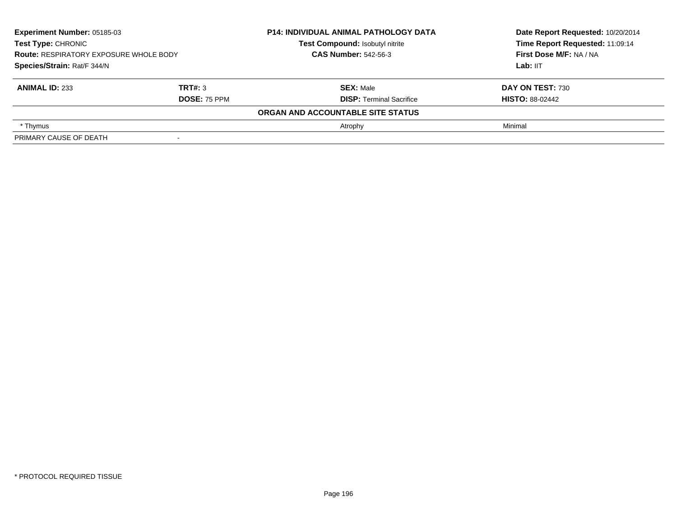| Experiment Number: 05185-03<br><b>Test Type: CHRONIC</b><br><b>Route: RESPIRATORY EXPOSURE WHOLE BODY</b><br>Species/Strain: Rat/F 344/N |                     | <b>P14: INDIVIDUAL ANIMAL PATHOLOGY DATA</b> | Date Report Requested: 10/20/2014 |
|------------------------------------------------------------------------------------------------------------------------------------------|---------------------|----------------------------------------------|-----------------------------------|
|                                                                                                                                          |                     | Test Compound: Isobutyl nitrite              | Time Report Requested: 11:09:14   |
|                                                                                                                                          |                     | <b>CAS Number: 542-56-3</b>                  | First Dose M/F: NA / NA           |
|                                                                                                                                          |                     |                                              | Lab: IIT                          |
| <b>ANIMAL ID: 233</b>                                                                                                                    | TRT#: 3             | <b>SEX: Male</b>                             | DAY ON TEST: 730                  |
|                                                                                                                                          | <b>DOSE: 75 PPM</b> | <b>DISP: Terminal Sacrifice</b>              | <b>HISTO: 88-02442</b>            |
|                                                                                                                                          |                     | ORGAN AND ACCOUNTABLE SITE STATUS            |                                   |
| * Thymus                                                                                                                                 |                     | Atrophy                                      | Minimal                           |
| PRIMARY CAUSE OF DEATH                                                                                                                   |                     |                                              |                                   |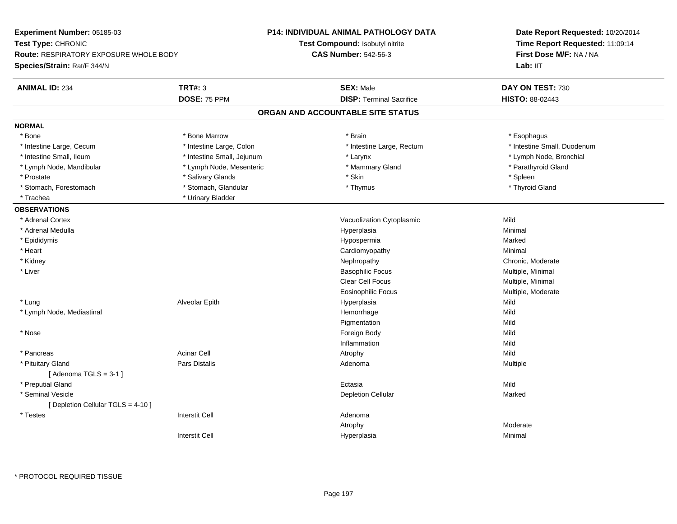| Test Type: CHRONIC<br>Test Compound: Isobutyl nitrite<br><b>CAS Number: 542-56-3</b><br>First Dose M/F: NA / NA<br><b>Route: RESPIRATORY EXPOSURE WHOLE BODY</b><br>Lab: IIT<br>Species/Strain: Rat/F 344/N<br><b>TRT#: 3</b><br><b>ANIMAL ID: 234</b><br><b>SEX: Male</b><br>DAY ON TEST: 730<br>DOSE: 75 PPM<br><b>DISP: Terminal Sacrifice</b><br>HISTO: 88-02443<br>ORGAN AND ACCOUNTABLE SITE STATUS<br><b>NORMAL</b><br>* Bone<br>* Bone Marrow<br>* Brain<br>* Esophagus<br>* Intestine Large, Colon<br>* Intestine Small, Duodenum<br>* Intestine Large, Cecum<br>* Intestine Large, Rectum<br>* Intestine Small, Ileum<br>* Intestine Small, Jejunum<br>* Lymph Node, Bronchial<br>* Larynx<br>* Lymph Node, Mesenteric<br>* Parathyroid Gland<br>* Lymph Node, Mandibular<br>* Mammary Gland<br>* Skin<br>* Prostate<br>* Salivary Glands<br>* Spleen<br>* Stomach, Glandular<br>* Thyroid Gland<br>* Stomach, Forestomach<br>* Thymus<br>* Trachea<br>* Urinary Bladder<br><b>OBSERVATIONS</b><br>* Adrenal Cortex<br>Mild<br>Vacuolization Cytoplasmic<br>* Adrenal Medulla<br>Hyperplasia<br>Minimal<br>* Epididymis<br>Hypospermia<br>Marked<br>* Heart<br>Cardiomyopathy<br>Minimal<br>* Kidney<br>Chronic, Moderate<br>Nephropathy<br>* Liver<br><b>Basophilic Focus</b><br>Multiple, Minimal<br>Clear Cell Focus<br>Multiple, Minimal<br><b>Eosinophilic Focus</b><br>Multiple, Moderate<br>Alveolar Epith<br>Hyperplasia<br>Mild<br>* Lung<br>Hemorrhage<br>Mild<br>* Lymph Node, Mediastinal<br>Pigmentation<br>Mild<br>* Nose<br>Foreign Body<br>Mild<br>Inflammation<br>Mild<br>* Pancreas<br><b>Acinar Cell</b><br>Mild<br>Atrophy<br><b>Pars Distalis</b><br>* Pituitary Gland<br>Adenoma<br>Multiple<br>[Adenoma TGLS = $3-1$ ]<br>* Preputial Gland<br>Ectasia<br>Mild | Experiment Number: 05185-03 | P14: INDIVIDUAL ANIMAL PATHOLOGY DATA | Date Report Requested: 10/20/2014<br>Time Report Requested: 11:09:14 |  |
|-------------------------------------------------------------------------------------------------------------------------------------------------------------------------------------------------------------------------------------------------------------------------------------------------------------------------------------------------------------------------------------------------------------------------------------------------------------------------------------------------------------------------------------------------------------------------------------------------------------------------------------------------------------------------------------------------------------------------------------------------------------------------------------------------------------------------------------------------------------------------------------------------------------------------------------------------------------------------------------------------------------------------------------------------------------------------------------------------------------------------------------------------------------------------------------------------------------------------------------------------------------------------------------------------------------------------------------------------------------------------------------------------------------------------------------------------------------------------------------------------------------------------------------------------------------------------------------------------------------------------------------------------------------------------------------------------------------------------------------------------------------------------------------------------|-----------------------------|---------------------------------------|----------------------------------------------------------------------|--|
|                                                                                                                                                                                                                                                                                                                                                                                                                                                                                                                                                                                                                                                                                                                                                                                                                                                                                                                                                                                                                                                                                                                                                                                                                                                                                                                                                                                                                                                                                                                                                                                                                                                                                                                                                                                                 |                             |                                       |                                                                      |  |
|                                                                                                                                                                                                                                                                                                                                                                                                                                                                                                                                                                                                                                                                                                                                                                                                                                                                                                                                                                                                                                                                                                                                                                                                                                                                                                                                                                                                                                                                                                                                                                                                                                                                                                                                                                                                 |                             |                                       |                                                                      |  |
|                                                                                                                                                                                                                                                                                                                                                                                                                                                                                                                                                                                                                                                                                                                                                                                                                                                                                                                                                                                                                                                                                                                                                                                                                                                                                                                                                                                                                                                                                                                                                                                                                                                                                                                                                                                                 |                             |                                       |                                                                      |  |
|                                                                                                                                                                                                                                                                                                                                                                                                                                                                                                                                                                                                                                                                                                                                                                                                                                                                                                                                                                                                                                                                                                                                                                                                                                                                                                                                                                                                                                                                                                                                                                                                                                                                                                                                                                                                 |                             |                                       |                                                                      |  |
|                                                                                                                                                                                                                                                                                                                                                                                                                                                                                                                                                                                                                                                                                                                                                                                                                                                                                                                                                                                                                                                                                                                                                                                                                                                                                                                                                                                                                                                                                                                                                                                                                                                                                                                                                                                                 |                             |                                       |                                                                      |  |
|                                                                                                                                                                                                                                                                                                                                                                                                                                                                                                                                                                                                                                                                                                                                                                                                                                                                                                                                                                                                                                                                                                                                                                                                                                                                                                                                                                                                                                                                                                                                                                                                                                                                                                                                                                                                 |                             |                                       |                                                                      |  |
|                                                                                                                                                                                                                                                                                                                                                                                                                                                                                                                                                                                                                                                                                                                                                                                                                                                                                                                                                                                                                                                                                                                                                                                                                                                                                                                                                                                                                                                                                                                                                                                                                                                                                                                                                                                                 |                             |                                       |                                                                      |  |
|                                                                                                                                                                                                                                                                                                                                                                                                                                                                                                                                                                                                                                                                                                                                                                                                                                                                                                                                                                                                                                                                                                                                                                                                                                                                                                                                                                                                                                                                                                                                                                                                                                                                                                                                                                                                 |                             |                                       |                                                                      |  |
|                                                                                                                                                                                                                                                                                                                                                                                                                                                                                                                                                                                                                                                                                                                                                                                                                                                                                                                                                                                                                                                                                                                                                                                                                                                                                                                                                                                                                                                                                                                                                                                                                                                                                                                                                                                                 |                             |                                       |                                                                      |  |
|                                                                                                                                                                                                                                                                                                                                                                                                                                                                                                                                                                                                                                                                                                                                                                                                                                                                                                                                                                                                                                                                                                                                                                                                                                                                                                                                                                                                                                                                                                                                                                                                                                                                                                                                                                                                 |                             |                                       |                                                                      |  |
|                                                                                                                                                                                                                                                                                                                                                                                                                                                                                                                                                                                                                                                                                                                                                                                                                                                                                                                                                                                                                                                                                                                                                                                                                                                                                                                                                                                                                                                                                                                                                                                                                                                                                                                                                                                                 |                             |                                       |                                                                      |  |
|                                                                                                                                                                                                                                                                                                                                                                                                                                                                                                                                                                                                                                                                                                                                                                                                                                                                                                                                                                                                                                                                                                                                                                                                                                                                                                                                                                                                                                                                                                                                                                                                                                                                                                                                                                                                 |                             |                                       |                                                                      |  |
|                                                                                                                                                                                                                                                                                                                                                                                                                                                                                                                                                                                                                                                                                                                                                                                                                                                                                                                                                                                                                                                                                                                                                                                                                                                                                                                                                                                                                                                                                                                                                                                                                                                                                                                                                                                                 |                             |                                       |                                                                      |  |
|                                                                                                                                                                                                                                                                                                                                                                                                                                                                                                                                                                                                                                                                                                                                                                                                                                                                                                                                                                                                                                                                                                                                                                                                                                                                                                                                                                                                                                                                                                                                                                                                                                                                                                                                                                                                 |                             |                                       |                                                                      |  |
|                                                                                                                                                                                                                                                                                                                                                                                                                                                                                                                                                                                                                                                                                                                                                                                                                                                                                                                                                                                                                                                                                                                                                                                                                                                                                                                                                                                                                                                                                                                                                                                                                                                                                                                                                                                                 |                             |                                       |                                                                      |  |
|                                                                                                                                                                                                                                                                                                                                                                                                                                                                                                                                                                                                                                                                                                                                                                                                                                                                                                                                                                                                                                                                                                                                                                                                                                                                                                                                                                                                                                                                                                                                                                                                                                                                                                                                                                                                 |                             |                                       |                                                                      |  |
|                                                                                                                                                                                                                                                                                                                                                                                                                                                                                                                                                                                                                                                                                                                                                                                                                                                                                                                                                                                                                                                                                                                                                                                                                                                                                                                                                                                                                                                                                                                                                                                                                                                                                                                                                                                                 |                             |                                       |                                                                      |  |
|                                                                                                                                                                                                                                                                                                                                                                                                                                                                                                                                                                                                                                                                                                                                                                                                                                                                                                                                                                                                                                                                                                                                                                                                                                                                                                                                                                                                                                                                                                                                                                                                                                                                                                                                                                                                 |                             |                                       |                                                                      |  |
|                                                                                                                                                                                                                                                                                                                                                                                                                                                                                                                                                                                                                                                                                                                                                                                                                                                                                                                                                                                                                                                                                                                                                                                                                                                                                                                                                                                                                                                                                                                                                                                                                                                                                                                                                                                                 |                             |                                       |                                                                      |  |
|                                                                                                                                                                                                                                                                                                                                                                                                                                                                                                                                                                                                                                                                                                                                                                                                                                                                                                                                                                                                                                                                                                                                                                                                                                                                                                                                                                                                                                                                                                                                                                                                                                                                                                                                                                                                 |                             |                                       |                                                                      |  |
|                                                                                                                                                                                                                                                                                                                                                                                                                                                                                                                                                                                                                                                                                                                                                                                                                                                                                                                                                                                                                                                                                                                                                                                                                                                                                                                                                                                                                                                                                                                                                                                                                                                                                                                                                                                                 |                             |                                       |                                                                      |  |
|                                                                                                                                                                                                                                                                                                                                                                                                                                                                                                                                                                                                                                                                                                                                                                                                                                                                                                                                                                                                                                                                                                                                                                                                                                                                                                                                                                                                                                                                                                                                                                                                                                                                                                                                                                                                 |                             |                                       |                                                                      |  |
|                                                                                                                                                                                                                                                                                                                                                                                                                                                                                                                                                                                                                                                                                                                                                                                                                                                                                                                                                                                                                                                                                                                                                                                                                                                                                                                                                                                                                                                                                                                                                                                                                                                                                                                                                                                                 |                             |                                       |                                                                      |  |
|                                                                                                                                                                                                                                                                                                                                                                                                                                                                                                                                                                                                                                                                                                                                                                                                                                                                                                                                                                                                                                                                                                                                                                                                                                                                                                                                                                                                                                                                                                                                                                                                                                                                                                                                                                                                 |                             |                                       |                                                                      |  |
|                                                                                                                                                                                                                                                                                                                                                                                                                                                                                                                                                                                                                                                                                                                                                                                                                                                                                                                                                                                                                                                                                                                                                                                                                                                                                                                                                                                                                                                                                                                                                                                                                                                                                                                                                                                                 |                             |                                       |                                                                      |  |
|                                                                                                                                                                                                                                                                                                                                                                                                                                                                                                                                                                                                                                                                                                                                                                                                                                                                                                                                                                                                                                                                                                                                                                                                                                                                                                                                                                                                                                                                                                                                                                                                                                                                                                                                                                                                 |                             |                                       |                                                                      |  |
|                                                                                                                                                                                                                                                                                                                                                                                                                                                                                                                                                                                                                                                                                                                                                                                                                                                                                                                                                                                                                                                                                                                                                                                                                                                                                                                                                                                                                                                                                                                                                                                                                                                                                                                                                                                                 |                             |                                       |                                                                      |  |
|                                                                                                                                                                                                                                                                                                                                                                                                                                                                                                                                                                                                                                                                                                                                                                                                                                                                                                                                                                                                                                                                                                                                                                                                                                                                                                                                                                                                                                                                                                                                                                                                                                                                                                                                                                                                 |                             |                                       |                                                                      |  |
|                                                                                                                                                                                                                                                                                                                                                                                                                                                                                                                                                                                                                                                                                                                                                                                                                                                                                                                                                                                                                                                                                                                                                                                                                                                                                                                                                                                                                                                                                                                                                                                                                                                                                                                                                                                                 |                             |                                       |                                                                      |  |
|                                                                                                                                                                                                                                                                                                                                                                                                                                                                                                                                                                                                                                                                                                                                                                                                                                                                                                                                                                                                                                                                                                                                                                                                                                                                                                                                                                                                                                                                                                                                                                                                                                                                                                                                                                                                 |                             |                                       |                                                                      |  |
|                                                                                                                                                                                                                                                                                                                                                                                                                                                                                                                                                                                                                                                                                                                                                                                                                                                                                                                                                                                                                                                                                                                                                                                                                                                                                                                                                                                                                                                                                                                                                                                                                                                                                                                                                                                                 |                             |                                       |                                                                      |  |
| * Seminal Vesicle<br><b>Depletion Cellular</b><br>Marked                                                                                                                                                                                                                                                                                                                                                                                                                                                                                                                                                                                                                                                                                                                                                                                                                                                                                                                                                                                                                                                                                                                                                                                                                                                                                                                                                                                                                                                                                                                                                                                                                                                                                                                                        |                             |                                       |                                                                      |  |
| [ Depletion Cellular TGLS = 4-10 ]                                                                                                                                                                                                                                                                                                                                                                                                                                                                                                                                                                                                                                                                                                                                                                                                                                                                                                                                                                                                                                                                                                                                                                                                                                                                                                                                                                                                                                                                                                                                                                                                                                                                                                                                                              |                             |                                       |                                                                      |  |
| $^\star$ Testes<br><b>Interstit Cell</b><br>Adenoma                                                                                                                                                                                                                                                                                                                                                                                                                                                                                                                                                                                                                                                                                                                                                                                                                                                                                                                                                                                                                                                                                                                                                                                                                                                                                                                                                                                                                                                                                                                                                                                                                                                                                                                                             |                             |                                       |                                                                      |  |
| Atrophy<br>Moderate                                                                                                                                                                                                                                                                                                                                                                                                                                                                                                                                                                                                                                                                                                                                                                                                                                                                                                                                                                                                                                                                                                                                                                                                                                                                                                                                                                                                                                                                                                                                                                                                                                                                                                                                                                             |                             |                                       |                                                                      |  |
| <b>Interstit Cell</b><br>Minimal<br>Hyperplasia                                                                                                                                                                                                                                                                                                                                                                                                                                                                                                                                                                                                                                                                                                                                                                                                                                                                                                                                                                                                                                                                                                                                                                                                                                                                                                                                                                                                                                                                                                                                                                                                                                                                                                                                                 |                             |                                       |                                                                      |  |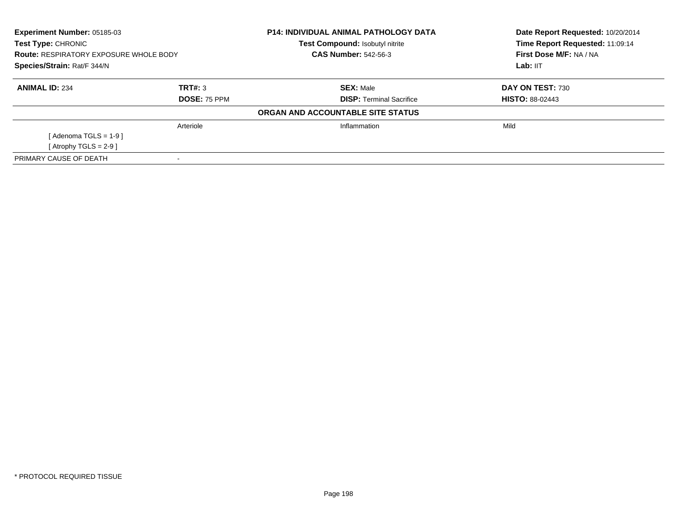| <b>Experiment Number: 05185-03</b><br><b>Test Type: CHRONIC</b><br><b>Route: RESPIRATORY EXPOSURE WHOLE BODY</b><br>Species/Strain: Rat/F 344/N |                     | <b>P14: INDIVIDUAL ANIMAL PATHOLOGY DATA</b><br><b>Test Compound: Isobutyl nitrite</b> | Date Report Requested: 10/20/2014<br>Time Report Requested: 11:09:14 |
|-------------------------------------------------------------------------------------------------------------------------------------------------|---------------------|----------------------------------------------------------------------------------------|----------------------------------------------------------------------|
|                                                                                                                                                 |                     | <b>CAS Number: 542-56-3</b>                                                            | First Dose M/F: NA / NA                                              |
|                                                                                                                                                 |                     |                                                                                        | Lab: IIT                                                             |
| <b>ANIMAL ID: 234</b>                                                                                                                           | TRT#: 3             | <b>SEX: Male</b>                                                                       | DAY ON TEST: 730                                                     |
|                                                                                                                                                 | <b>DOSE: 75 PPM</b> | <b>DISP:</b> Terminal Sacrifice                                                        | <b>HISTO: 88-02443</b>                                               |
|                                                                                                                                                 |                     | ORGAN AND ACCOUNTABLE SITE STATUS                                                      |                                                                      |
|                                                                                                                                                 | Arteriole           | Inflammation                                                                           | Mild                                                                 |
| [Adenoma TGLS = $1-9$ ]                                                                                                                         |                     |                                                                                        |                                                                      |
| [ Atrophy TGLS = $2-9$ ]                                                                                                                        |                     |                                                                                        |                                                                      |
| PRIMARY CAUSE OF DEATH                                                                                                                          |                     |                                                                                        |                                                                      |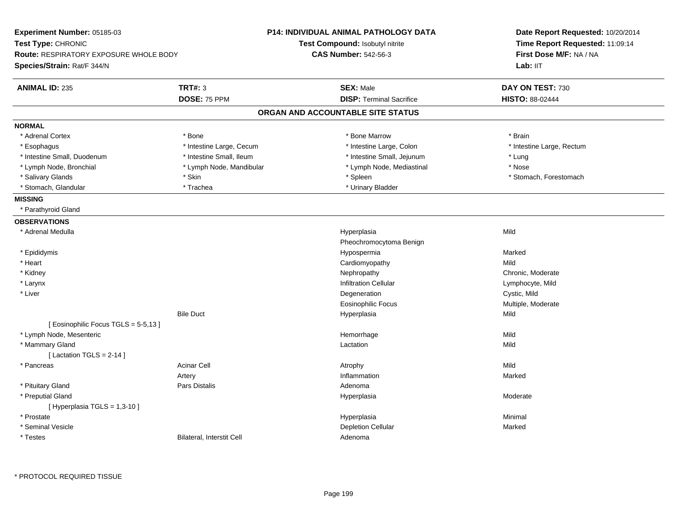| Experiment Number: 05185-03<br>Test Type: CHRONIC<br><b>Route: RESPIRATORY EXPOSURE WHOLE BODY</b> |                           | <b>P14: INDIVIDUAL ANIMAL PATHOLOGY DATA</b> | Date Report Requested: 10/20/2014<br>Time Report Requested: 11:09:14 |  |
|----------------------------------------------------------------------------------------------------|---------------------------|----------------------------------------------|----------------------------------------------------------------------|--|
|                                                                                                    |                           | <b>Test Compound: Isobutyl nitrite</b>       |                                                                      |  |
|                                                                                                    |                           | <b>CAS Number: 542-56-3</b>                  | First Dose M/F: NA / NA                                              |  |
| Species/Strain: Rat/F 344/N                                                                        |                           |                                              | Lab: IIT                                                             |  |
| <b>ANIMAL ID: 235</b>                                                                              | <b>TRT#: 3</b>            | <b>SEX: Male</b>                             | DAY ON TEST: 730                                                     |  |
|                                                                                                    | DOSE: 75 PPM              | <b>DISP: Terminal Sacrifice</b>              | <b>HISTO: 88-02444</b>                                               |  |
|                                                                                                    |                           | ORGAN AND ACCOUNTABLE SITE STATUS            |                                                                      |  |
| <b>NORMAL</b>                                                                                      |                           |                                              |                                                                      |  |
| * Adrenal Cortex                                                                                   | * Bone                    | * Bone Marrow                                | * Brain                                                              |  |
| * Esophagus                                                                                        | * Intestine Large, Cecum  | * Intestine Large, Colon                     | * Intestine Large, Rectum                                            |  |
| * Intestine Small, Duodenum                                                                        | * Intestine Small, Ileum  | * Intestine Small, Jejunum                   | * Lung                                                               |  |
| * Lymph Node, Bronchial                                                                            | * Lymph Node, Mandibular  | * Lymph Node, Mediastinal                    | * Nose                                                               |  |
| * Salivary Glands                                                                                  | * Skin                    | * Spleen                                     | * Stomach, Forestomach                                               |  |
| * Stomach, Glandular                                                                               | * Trachea                 | * Urinary Bladder                            |                                                                      |  |
| <b>MISSING</b>                                                                                     |                           |                                              |                                                                      |  |
| * Parathyroid Gland                                                                                |                           |                                              |                                                                      |  |
| <b>OBSERVATIONS</b>                                                                                |                           |                                              |                                                                      |  |
| * Adrenal Medulla                                                                                  |                           | Hyperplasia                                  | Mild                                                                 |  |
|                                                                                                    |                           | Pheochromocytoma Benign                      |                                                                      |  |
| * Epididymis                                                                                       |                           | Hypospermia                                  | Marked                                                               |  |
| * Heart                                                                                            |                           | Cardiomyopathy                               | Mild                                                                 |  |
| * Kidney                                                                                           |                           | Nephropathy                                  | Chronic, Moderate                                                    |  |
| * Larynx                                                                                           |                           | <b>Infiltration Cellular</b>                 | Lymphocyte, Mild                                                     |  |
| * Liver                                                                                            |                           | Degeneration                                 | Cystic, Mild                                                         |  |
|                                                                                                    |                           | <b>Eosinophilic Focus</b>                    | Multiple, Moderate                                                   |  |
|                                                                                                    | <b>Bile Duct</b>          | Hyperplasia                                  | Mild                                                                 |  |
| [Eosinophilic Focus TGLS = 5-5,13]                                                                 |                           |                                              |                                                                      |  |
| * Lymph Node, Mesenteric                                                                           |                           | Hemorrhage                                   | Mild                                                                 |  |
| * Mammary Gland                                                                                    |                           | Lactation                                    | Mild                                                                 |  |
| [ Lactation TGLS = $2-14$ ]                                                                        |                           |                                              |                                                                      |  |
| * Pancreas                                                                                         | <b>Acinar Cell</b>        | Atrophy                                      | Mild                                                                 |  |
|                                                                                                    | Artery                    | Inflammation                                 | Marked                                                               |  |
| * Pituitary Gland                                                                                  | <b>Pars Distalis</b>      | Adenoma                                      |                                                                      |  |
| * Preputial Gland                                                                                  |                           | Hyperplasia                                  | Moderate                                                             |  |
| [ Hyperplasia TGLS = 1,3-10 ]                                                                      |                           |                                              |                                                                      |  |
| * Prostate                                                                                         |                           | Hyperplasia                                  | Minimal                                                              |  |
| * Seminal Vesicle                                                                                  |                           | <b>Depletion Cellular</b>                    | Marked                                                               |  |
|                                                                                                    | Bilateral, Interstit Cell | Adenoma                                      |                                                                      |  |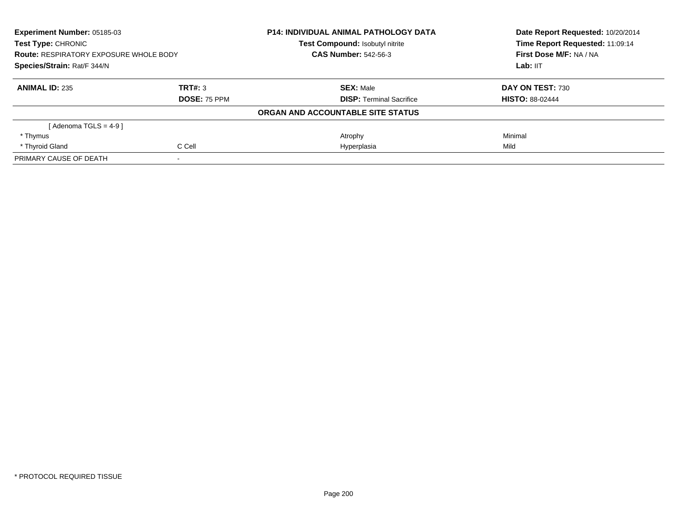| Experiment Number: 05185-03<br><b>Test Type: CHRONIC</b><br><b>Route: RESPIRATORY EXPOSURE WHOLE BODY</b><br>Species/Strain: Rat/F 344/N |                     | <b>P14: INDIVIDUAL ANIMAL PATHOLOGY DATA</b> | Date Report Requested: 10/20/2014<br>Time Report Requested: 11:09:14<br>First Dose M/F: NA / NA<br>Lab: IIT |
|------------------------------------------------------------------------------------------------------------------------------------------|---------------------|----------------------------------------------|-------------------------------------------------------------------------------------------------------------|
|                                                                                                                                          |                     | <b>Test Compound: Isobutyl nitrite</b>       |                                                                                                             |
|                                                                                                                                          |                     | <b>CAS Number: 542-56-3</b>                  |                                                                                                             |
|                                                                                                                                          |                     |                                              |                                                                                                             |
| <b>ANIMAL ID: 235</b>                                                                                                                    | TRT#: 3             | <b>SEX: Male</b>                             | DAY ON TEST: 730                                                                                            |
|                                                                                                                                          | <b>DOSE: 75 PPM</b> | <b>DISP:</b> Terminal Sacrifice              | <b>HISTO: 88-02444</b>                                                                                      |
|                                                                                                                                          |                     | ORGAN AND ACCOUNTABLE SITE STATUS            |                                                                                                             |
| [Adenoma TGLS = $4-9$ ]                                                                                                                  |                     |                                              |                                                                                                             |
| * Thymus                                                                                                                                 |                     | Atrophy                                      | Minimal                                                                                                     |
| * Thyroid Gland                                                                                                                          | C Cell              | Hyperplasia                                  | Mild                                                                                                        |
| PRIMARY CAUSE OF DEATH                                                                                                                   |                     |                                              |                                                                                                             |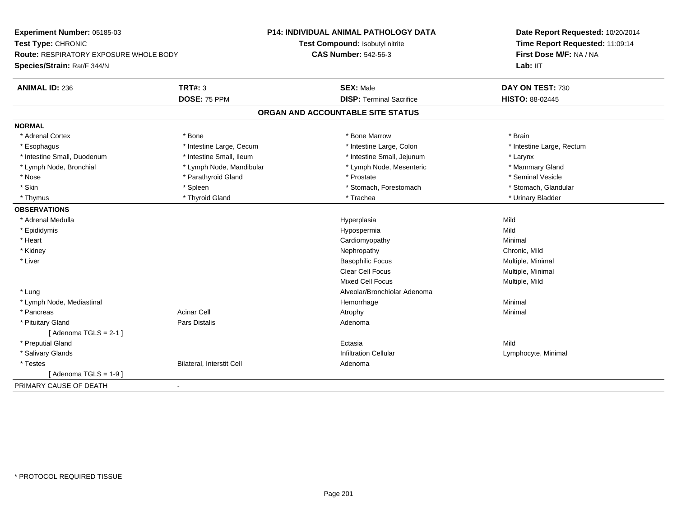| Experiment Number: 05185-03            |                           | <b>P14: INDIVIDUAL ANIMAL PATHOLOGY DATA</b> | Date Report Requested: 10/20/2014 |
|----------------------------------------|---------------------------|----------------------------------------------|-----------------------------------|
| Test Type: CHRONIC                     |                           | Test Compound: Isobutyl nitrite              | Time Report Requested: 11:09:14   |
| Route: RESPIRATORY EXPOSURE WHOLE BODY |                           | <b>CAS Number: 542-56-3</b>                  | First Dose M/F: NA / NA           |
| Species/Strain: Rat/F 344/N            |                           |                                              | Lab: IIT                          |
| <b>ANIMAL ID: 236</b>                  | <b>TRT#: 3</b>            | <b>SEX: Male</b>                             | DAY ON TEST: 730                  |
|                                        | <b>DOSE: 75 PPM</b>       | <b>DISP: Terminal Sacrifice</b>              | HISTO: 88-02445                   |
|                                        |                           | ORGAN AND ACCOUNTABLE SITE STATUS            |                                   |
| <b>NORMAL</b>                          |                           |                                              |                                   |
| * Adrenal Cortex                       | * Bone                    | * Bone Marrow                                | * Brain                           |
| * Esophagus                            | * Intestine Large, Cecum  | * Intestine Large, Colon                     | * Intestine Large, Rectum         |
| * Intestine Small, Duodenum            | * Intestine Small, Ileum  | * Intestine Small, Jejunum                   | * Larynx                          |
| * Lymph Node, Bronchial                | * Lymph Node, Mandibular  | * Lymph Node, Mesenteric                     | * Mammary Gland                   |
| * Nose                                 | * Parathyroid Gland       | * Prostate                                   | * Seminal Vesicle                 |
| * Skin                                 | * Spleen                  | * Stomach, Forestomach                       | * Stomach, Glandular              |
| * Thymus                               | * Thyroid Gland           | * Trachea                                    | * Urinary Bladder                 |
| <b>OBSERVATIONS</b>                    |                           |                                              |                                   |
| * Adrenal Medulla                      |                           | Hyperplasia                                  | Mild                              |
| * Epididymis                           |                           | Hypospermia                                  | Mild                              |
| * Heart                                |                           | Cardiomyopathy                               | Minimal                           |
| * Kidney                               |                           | Nephropathy                                  | Chronic, Mild                     |
| * Liver                                |                           | <b>Basophilic Focus</b>                      | Multiple, Minimal                 |
|                                        |                           | Clear Cell Focus                             | Multiple, Minimal                 |
|                                        |                           | <b>Mixed Cell Focus</b>                      | Multiple, Mild                    |
| * Lung                                 |                           | Alveolar/Bronchiolar Adenoma                 |                                   |
| * Lymph Node, Mediastinal              |                           | Hemorrhage                                   | Minimal                           |
| * Pancreas                             | <b>Acinar Cell</b>        | Atrophy                                      | Minimal                           |
| * Pituitary Gland                      | Pars Distalis             | Adenoma                                      |                                   |
| [Adenoma TGLS = $2-1$ ]                |                           |                                              |                                   |
| * Preputial Gland                      |                           | Ectasia                                      | Mild                              |
| * Salivary Glands                      |                           | <b>Infiltration Cellular</b>                 | Lymphocyte, Minimal               |
| * Testes                               | Bilateral, Interstit Cell | Adenoma                                      |                                   |
| [Adenoma TGLS = $1-9$ ]                |                           |                                              |                                   |
| PRIMARY CAUSE OF DEATH                 | $\overline{\phantom{a}}$  |                                              |                                   |
|                                        |                           |                                              |                                   |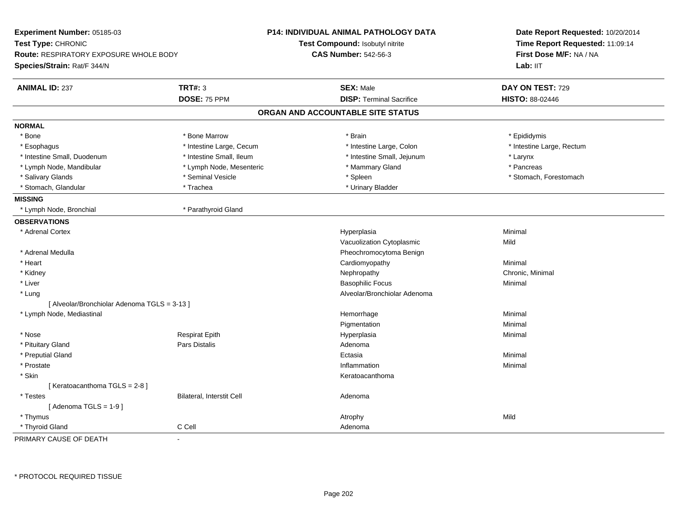| <b>Experiment Number: 05185-03</b><br>Test Type: CHRONIC<br><b>Route: RESPIRATORY EXPOSURE WHOLE BODY</b><br>Species/Strain: Rat/F 344/N |                                  | P14: INDIVIDUAL ANIMAL PATHOLOGY DATA<br>Test Compound: Isobutyl nitrite<br><b>CAS Number: 542-56-3</b> | Date Report Requested: 10/20/2014<br>Time Report Requested: 11:09:14<br>First Dose M/F: NA / NA<br>Lab: IIT |
|------------------------------------------------------------------------------------------------------------------------------------------|----------------------------------|---------------------------------------------------------------------------------------------------------|-------------------------------------------------------------------------------------------------------------|
| <b>ANIMAL ID: 237</b>                                                                                                                    | <b>TRT#: 3</b>                   | <b>SEX: Male</b>                                                                                        | DAY ON TEST: 729                                                                                            |
|                                                                                                                                          | DOSE: 75 PPM                     | <b>DISP: Terminal Sacrifice</b>                                                                         | <b>HISTO: 88-02446</b>                                                                                      |
|                                                                                                                                          |                                  | ORGAN AND ACCOUNTABLE SITE STATUS                                                                       |                                                                                                             |
| <b>NORMAL</b>                                                                                                                            |                                  |                                                                                                         |                                                                                                             |
| * Bone                                                                                                                                   | * Bone Marrow                    | * Brain                                                                                                 | * Epididymis                                                                                                |
| * Esophagus                                                                                                                              | * Intestine Large, Cecum         | * Intestine Large, Colon                                                                                | * Intestine Large, Rectum                                                                                   |
| * Intestine Small, Duodenum                                                                                                              | * Intestine Small, Ileum         | * Intestine Small, Jejunum                                                                              | * Larynx                                                                                                    |
| * Lymph Node, Mandibular                                                                                                                 | * Lymph Node, Mesenteric         | * Mammary Gland                                                                                         | * Pancreas                                                                                                  |
| * Salivary Glands                                                                                                                        | * Seminal Vesicle                | * Spleen                                                                                                | * Stomach, Forestomach                                                                                      |
| * Stomach, Glandular                                                                                                                     | * Trachea                        | * Urinary Bladder                                                                                       |                                                                                                             |
| <b>MISSING</b>                                                                                                                           |                                  |                                                                                                         |                                                                                                             |
| * Lymph Node, Bronchial                                                                                                                  | * Parathyroid Gland              |                                                                                                         |                                                                                                             |
| <b>OBSERVATIONS</b>                                                                                                                      |                                  |                                                                                                         |                                                                                                             |
| * Adrenal Cortex                                                                                                                         |                                  | Hyperplasia                                                                                             | Minimal                                                                                                     |
|                                                                                                                                          |                                  | Vacuolization Cytoplasmic                                                                               | Mild                                                                                                        |
| * Adrenal Medulla                                                                                                                        |                                  | Pheochromocytoma Benign                                                                                 |                                                                                                             |
| * Heart                                                                                                                                  |                                  | Cardiomyopathy                                                                                          | Minimal                                                                                                     |
| * Kidney                                                                                                                                 |                                  | Nephropathy                                                                                             | Chronic, Minimal                                                                                            |
| $*$ Liver                                                                                                                                |                                  | <b>Basophilic Focus</b>                                                                                 | Minimal                                                                                                     |
| * Lung                                                                                                                                   |                                  | Alveolar/Bronchiolar Adenoma                                                                            |                                                                                                             |
| [ Alveolar/Bronchiolar Adenoma TGLS = 3-13 ]                                                                                             |                                  |                                                                                                         |                                                                                                             |
| * Lymph Node, Mediastinal                                                                                                                |                                  | Hemorrhage                                                                                              | Minimal                                                                                                     |
|                                                                                                                                          |                                  | Pigmentation                                                                                            | Minimal                                                                                                     |
| * Nose                                                                                                                                   | <b>Respirat Epith</b>            | Hyperplasia                                                                                             | Minimal                                                                                                     |
| * Pituitary Gland                                                                                                                        | Pars Distalis                    | Adenoma                                                                                                 |                                                                                                             |
| * Preputial Gland                                                                                                                        |                                  | Ectasia                                                                                                 | Minimal                                                                                                     |
| * Prostate                                                                                                                               |                                  | Inflammation                                                                                            | Minimal                                                                                                     |
| * Skin                                                                                                                                   |                                  | Keratoacanthoma                                                                                         |                                                                                                             |
| [Keratoacanthoma TGLS = 2-8]                                                                                                             |                                  |                                                                                                         |                                                                                                             |
| * Testes                                                                                                                                 | <b>Bilateral, Interstit Cell</b> | Adenoma                                                                                                 |                                                                                                             |
| [Adenoma TGLS = $1-9$ ]                                                                                                                  |                                  |                                                                                                         |                                                                                                             |
| * Thymus                                                                                                                                 |                                  | Atrophy                                                                                                 | Mild                                                                                                        |
| * Thyroid Gland                                                                                                                          | C Cell                           | Adenoma                                                                                                 |                                                                                                             |
| PRIMARY CAUSE OF DEATH                                                                                                                   |                                  |                                                                                                         |                                                                                                             |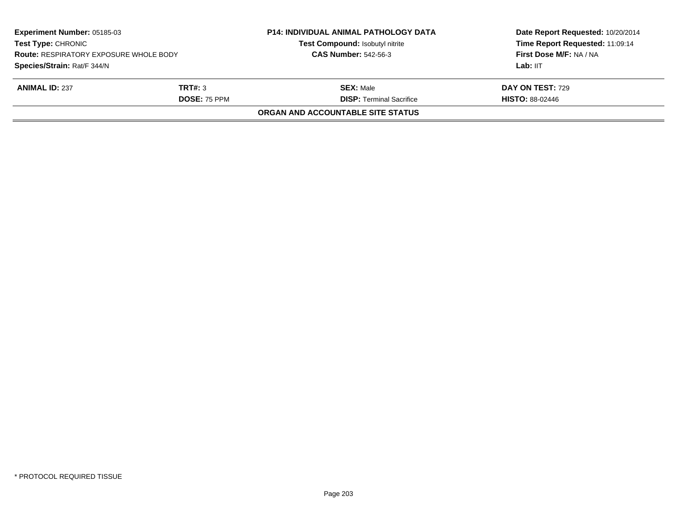| Experiment Number: 05185-03<br><b>Test Type: CHRONIC</b><br><b>Route: RESPIRATORY EXPOSURE WHOLE BODY</b> |                     | <b>P14: INDIVIDUAL ANIMAL PATHOLOGY DATA</b><br>Test Compound: Isobutyl nitrite | Date Report Requested: 10/20/2014<br>Time Report Requested: 11:09:14 |
|-----------------------------------------------------------------------------------------------------------|---------------------|---------------------------------------------------------------------------------|----------------------------------------------------------------------|
|                                                                                                           |                     | <b>CAS Number: 542-56-3</b>                                                     | First Dose M/F: NA / NA                                              |
| Species/Strain: Rat/F 344/N                                                                               |                     |                                                                                 | Lab: IIT                                                             |
| <b>ANIMAL ID: 237</b>                                                                                     | TRT#: 3             | <b>SEX:</b> Male                                                                | <b>DAY ON TEST: 729</b>                                              |
|                                                                                                           | <b>DOSE: 75 PPM</b> | <b>DISP: Terminal Sacrifice</b>                                                 | <b>HISTO: 88-02446</b>                                               |
|                                                                                                           |                     | ORGAN AND ACCOUNTABLE SITE STATUS                                               |                                                                      |
|                                                                                                           |                     |                                                                                 |                                                                      |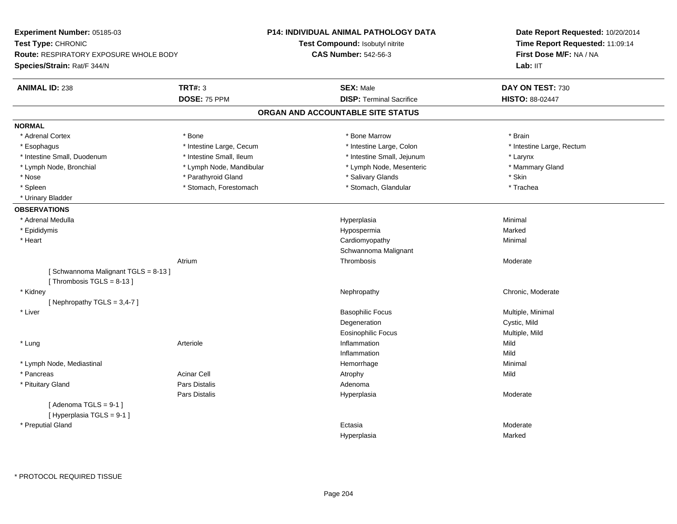| Experiment Number: 05185-03                   |                          | <b>P14: INDIVIDUAL ANIMAL PATHOLOGY DATA</b> | Date Report Requested: 10/20/2014<br>Time Report Requested: 11:09:14 |  |
|-----------------------------------------------|--------------------------|----------------------------------------------|----------------------------------------------------------------------|--|
| Test Type: CHRONIC                            |                          | Test Compound: Isobutyl nitrite              |                                                                      |  |
| <b>Route: RESPIRATORY EXPOSURE WHOLE BODY</b> |                          | <b>CAS Number: 542-56-3</b>                  | First Dose M/F: NA / NA                                              |  |
| Species/Strain: Rat/F 344/N                   |                          |                                              | Lab: IIT                                                             |  |
| <b>ANIMAL ID: 238</b>                         | <b>TRT#: 3</b>           | <b>SEX: Male</b>                             | DAY ON TEST: 730                                                     |  |
|                                               | DOSE: 75 PPM             | <b>DISP: Terminal Sacrifice</b>              | HISTO: 88-02447                                                      |  |
|                                               |                          | ORGAN AND ACCOUNTABLE SITE STATUS            |                                                                      |  |
| <b>NORMAL</b>                                 |                          |                                              |                                                                      |  |
| * Adrenal Cortex                              | * Bone                   | * Bone Marrow                                | * Brain                                                              |  |
| * Esophagus                                   | * Intestine Large, Cecum | * Intestine Large, Colon                     | * Intestine Large, Rectum                                            |  |
| * Intestine Small, Duodenum                   | * Intestine Small, Ileum | * Intestine Small, Jejunum                   | * Larynx                                                             |  |
| * Lymph Node, Bronchial                       | * Lymph Node, Mandibular | * Lymph Node, Mesenteric                     | * Mammary Gland                                                      |  |
| * Nose                                        | * Parathyroid Gland      | * Salivary Glands                            | * Skin                                                               |  |
| * Spleen                                      | * Stomach, Forestomach   | * Stomach, Glandular                         | * Trachea                                                            |  |
| * Urinary Bladder                             |                          |                                              |                                                                      |  |
| <b>OBSERVATIONS</b>                           |                          |                                              |                                                                      |  |
| * Adrenal Medulla                             |                          | Hyperplasia                                  | Minimal                                                              |  |
| * Epididymis                                  |                          | Hypospermia                                  | Marked                                                               |  |
| * Heart                                       |                          | Cardiomyopathy                               | Minimal                                                              |  |
|                                               |                          | Schwannoma Malignant                         |                                                                      |  |
|                                               | Atrium                   | Thrombosis                                   | Moderate                                                             |  |
| [Schwannoma Malignant TGLS = 8-13]            |                          |                                              |                                                                      |  |
| [Thrombosis $TGLS = 8-13$ ]                   |                          |                                              |                                                                      |  |
| * Kidney                                      |                          | Nephropathy                                  | Chronic, Moderate                                                    |  |
| [Nephropathy TGLS = $3,4-7$ ]                 |                          |                                              |                                                                      |  |
| * Liver                                       |                          | <b>Basophilic Focus</b>                      | Multiple, Minimal                                                    |  |
|                                               |                          | Degeneration                                 | Cystic, Mild                                                         |  |
|                                               |                          | Eosinophilic Focus                           | Multiple, Mild                                                       |  |
| * Lung                                        | Arteriole                | Inflammation                                 | Mild                                                                 |  |
|                                               |                          | Inflammation                                 | Mild                                                                 |  |
| * Lymph Node, Mediastinal                     |                          | Hemorrhage                                   | Minimal                                                              |  |
| * Pancreas                                    | <b>Acinar Cell</b>       | Atrophy                                      | Mild                                                                 |  |
| * Pituitary Gland                             | Pars Distalis            | Adenoma                                      |                                                                      |  |
|                                               | Pars Distalis            | Hyperplasia                                  | Moderate                                                             |  |
| [Adenoma TGLS = $9-1$ ]                       |                          |                                              |                                                                      |  |
| [Hyperplasia TGLS = 9-1]                      |                          |                                              |                                                                      |  |
| * Preputial Gland                             |                          | Ectasia                                      | Moderate                                                             |  |
|                                               |                          | Hyperplasia                                  | Marked                                                               |  |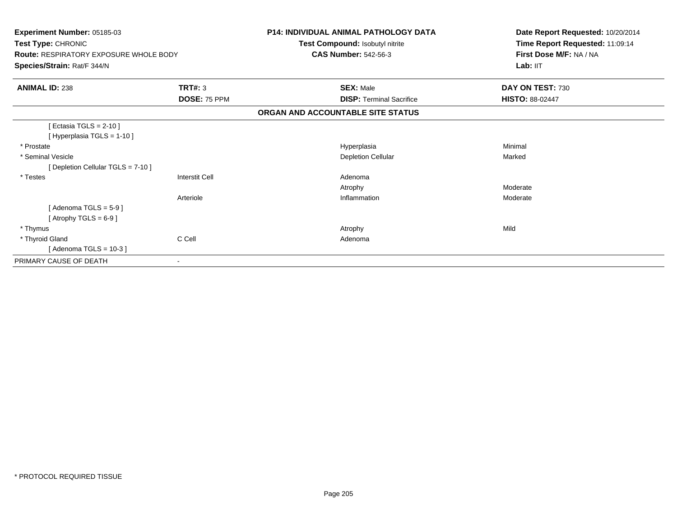| Experiment Number: 05185-03<br>Test Type: CHRONIC<br><b>Route: RESPIRATORY EXPOSURE WHOLE BODY</b><br>Species/Strain: Rat/F 344/N |                                | <b>P14: INDIVIDUAL ANIMAL PATHOLOGY DATA</b><br>Test Compound: Isobutyl nitrite<br><b>CAS Number: 542-56-3</b> | Date Report Requested: 10/20/2014<br>Time Report Requested: 11:09:14<br>First Dose M/F: NA / NA<br>Lab: IIT |  |
|-----------------------------------------------------------------------------------------------------------------------------------|--------------------------------|----------------------------------------------------------------------------------------------------------------|-------------------------------------------------------------------------------------------------------------|--|
| <b>ANIMAL ID: 238</b>                                                                                                             | <b>TRT#: 3</b><br>DOSE: 75 PPM | <b>SEX: Male</b><br><b>DISP: Terminal Sacrifice</b>                                                            | DAY ON TEST: 730<br><b>HISTO: 88-02447</b>                                                                  |  |
|                                                                                                                                   |                                | ORGAN AND ACCOUNTABLE SITE STATUS                                                                              |                                                                                                             |  |
| [Ectasia TGLS = $2-10$ ]<br>[ Hyperplasia TGLS = 1-10 ]<br>* Prostate<br>* Seminal Vesicle                                        |                                | Hyperplasia<br><b>Depletion Cellular</b>                                                                       | Minimal<br>Marked                                                                                           |  |
| [ Depletion Cellular TGLS = 7-10 ]<br>* Testes                                                                                    | <b>Interstit Cell</b>          | Adenoma                                                                                                        |                                                                                                             |  |
|                                                                                                                                   | Arteriole                      | Atrophy<br>Inflammation                                                                                        | Moderate<br>Moderate                                                                                        |  |
| [Adenoma TGLS = $5-9$ ]<br>[Atrophy TGLS = $6-9$ ]                                                                                |                                |                                                                                                                |                                                                                                             |  |
| * Thymus                                                                                                                          |                                | Atrophy                                                                                                        | Mild                                                                                                        |  |
| * Thyroid Gland<br>[Adenoma TGLS = $10-3$ ]                                                                                       | C Cell                         | Adenoma                                                                                                        |                                                                                                             |  |
| PRIMARY CAUSE OF DEATH                                                                                                            |                                |                                                                                                                |                                                                                                             |  |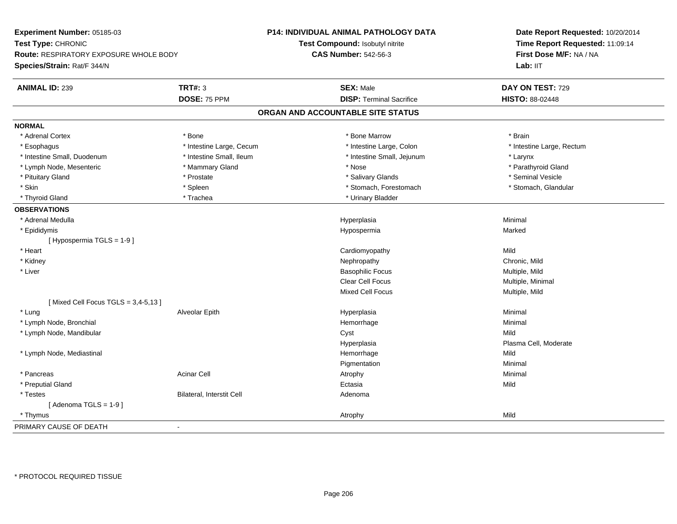| Experiment Number: 05185-03<br>Test Type: CHRONIC<br><b>Route: RESPIRATORY EXPOSURE WHOLE BODY</b> |                           | <b>P14: INDIVIDUAL ANIMAL PATHOLOGY DATA</b> | Date Report Requested: 10/20/2014<br>Time Report Requested: 11:09:14<br>First Dose M/F: NA / NA |
|----------------------------------------------------------------------------------------------------|---------------------------|----------------------------------------------|-------------------------------------------------------------------------------------------------|
|                                                                                                    |                           | Test Compound: Isobutyl nitrite              |                                                                                                 |
|                                                                                                    |                           | <b>CAS Number: 542-56-3</b>                  |                                                                                                 |
| Species/Strain: Rat/F 344/N                                                                        |                           |                                              | Lab: IIT                                                                                        |
| <b>ANIMAL ID: 239</b>                                                                              | <b>TRT#: 3</b>            | <b>SEX: Male</b>                             | DAY ON TEST: 729                                                                                |
|                                                                                                    | DOSE: 75 PPM              | <b>DISP: Terminal Sacrifice</b>              | <b>HISTO: 88-02448</b>                                                                          |
|                                                                                                    |                           | ORGAN AND ACCOUNTABLE SITE STATUS            |                                                                                                 |
| <b>NORMAL</b>                                                                                      |                           |                                              |                                                                                                 |
| * Adrenal Cortex                                                                                   | * Bone                    | * Bone Marrow                                | * Brain                                                                                         |
| * Esophagus                                                                                        | * Intestine Large, Cecum  | * Intestine Large, Colon                     | * Intestine Large, Rectum                                                                       |
| * Intestine Small, Duodenum                                                                        | * Intestine Small, Ileum  | * Intestine Small, Jejunum                   | * Larynx                                                                                        |
| * Lymph Node, Mesenteric                                                                           | * Mammary Gland           | * Nose                                       | * Parathyroid Gland                                                                             |
| * Pituitary Gland                                                                                  | * Prostate                | * Salivary Glands                            | * Seminal Vesicle                                                                               |
| * Skin                                                                                             | * Spleen                  | * Stomach, Forestomach                       | * Stomach, Glandular                                                                            |
| * Thyroid Gland                                                                                    | * Trachea                 | * Urinary Bladder                            |                                                                                                 |
| <b>OBSERVATIONS</b>                                                                                |                           |                                              |                                                                                                 |
| * Adrenal Medulla                                                                                  |                           | Hyperplasia                                  | Minimal                                                                                         |
| * Epididymis                                                                                       |                           | Hypospermia                                  | Marked                                                                                          |
| [Hypospermia TGLS = 1-9]                                                                           |                           |                                              |                                                                                                 |
| * Heart                                                                                            |                           | Cardiomyopathy                               | Mild                                                                                            |
| * Kidney                                                                                           |                           | Nephropathy                                  | Chronic, Mild                                                                                   |
| * Liver                                                                                            |                           | <b>Basophilic Focus</b>                      | Multiple, Mild                                                                                  |
|                                                                                                    |                           | <b>Clear Cell Focus</b>                      | Multiple, Minimal                                                                               |
|                                                                                                    |                           | <b>Mixed Cell Focus</b>                      | Multiple, Mild                                                                                  |
| [Mixed Cell Focus TGLS = $3,4-5,13$ ]                                                              |                           |                                              |                                                                                                 |
| * Lung                                                                                             | Alveolar Epith            | Hyperplasia                                  | Minimal                                                                                         |
| * Lymph Node, Bronchial                                                                            |                           | Hemorrhage                                   | Minimal                                                                                         |
| * Lymph Node, Mandibular                                                                           |                           | Cyst                                         | Mild                                                                                            |
|                                                                                                    |                           | Hyperplasia                                  | Plasma Cell, Moderate                                                                           |
| * Lymph Node, Mediastinal                                                                          |                           | Hemorrhage                                   | Mild                                                                                            |
|                                                                                                    |                           | Pigmentation                                 | Minimal                                                                                         |
| * Pancreas                                                                                         | <b>Acinar Cell</b>        | Atrophy                                      | Minimal                                                                                         |
| * Preputial Gland                                                                                  |                           | Ectasia                                      | Mild                                                                                            |
| * Testes                                                                                           | Bilateral, Interstit Cell | Adenoma                                      |                                                                                                 |
| [Adenoma TGLS = $1-9$ ]                                                                            |                           |                                              |                                                                                                 |
| * Thymus                                                                                           |                           | Atrophy                                      | Mild                                                                                            |
| PRIMARY CAUSE OF DEATH                                                                             | $\sim$                    |                                              |                                                                                                 |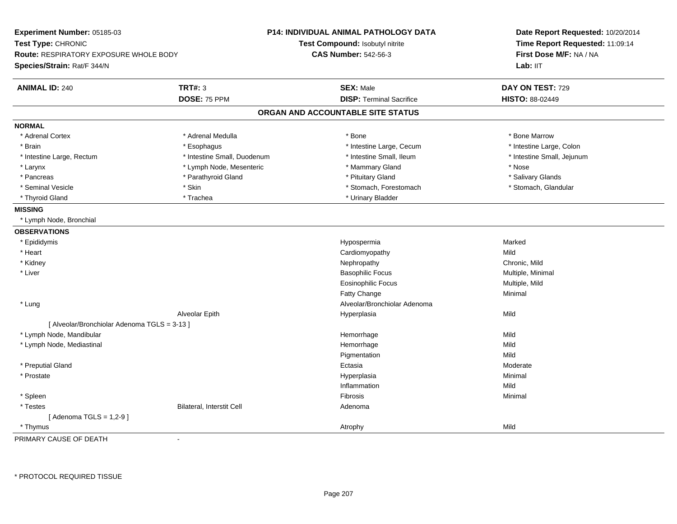| Experiment Number: 05185-03<br>Test Type: CHRONIC<br><b>Route: RESPIRATORY EXPOSURE WHOLE BODY</b><br>Species/Strain: Rat/F 344/N |                             | P14: INDIVIDUAL ANIMAL PATHOLOGY DATA<br>Test Compound: Isobutyl nitrite<br><b>CAS Number: 542-56-3</b> | Date Report Requested: 10/20/2014<br>Time Report Requested: 11:09:14<br>First Dose M/F: NA / NA<br>Lab: IIT |
|-----------------------------------------------------------------------------------------------------------------------------------|-----------------------------|---------------------------------------------------------------------------------------------------------|-------------------------------------------------------------------------------------------------------------|
| <b>ANIMAL ID: 240</b>                                                                                                             | <b>TRT#: 3</b>              | <b>SEX: Male</b>                                                                                        | DAY ON TEST: 729                                                                                            |
|                                                                                                                                   | DOSE: 75 PPM                | <b>DISP: Terminal Sacrifice</b>                                                                         | HISTO: 88-02449                                                                                             |
|                                                                                                                                   |                             | ORGAN AND ACCOUNTABLE SITE STATUS                                                                       |                                                                                                             |
| <b>NORMAL</b>                                                                                                                     |                             |                                                                                                         |                                                                                                             |
| * Adrenal Cortex                                                                                                                  | * Adrenal Medulla           | * Bone                                                                                                  | * Bone Marrow                                                                                               |
| * Brain                                                                                                                           | * Esophagus                 | * Intestine Large, Cecum                                                                                | * Intestine Large, Colon                                                                                    |
| * Intestine Large, Rectum                                                                                                         | * Intestine Small, Duodenum | * Intestine Small, Ileum                                                                                | * Intestine Small, Jejunum                                                                                  |
| * Larynx                                                                                                                          | * Lymph Node, Mesenteric    | * Mammary Gland                                                                                         | * Nose                                                                                                      |
| * Pancreas                                                                                                                        | * Parathyroid Gland         | * Pituitary Gland                                                                                       | * Salivary Glands                                                                                           |
| * Seminal Vesicle                                                                                                                 | * Skin                      | * Stomach, Forestomach                                                                                  | * Stomach, Glandular                                                                                        |
| * Thyroid Gland                                                                                                                   | * Trachea                   | * Urinary Bladder                                                                                       |                                                                                                             |
| <b>MISSING</b>                                                                                                                    |                             |                                                                                                         |                                                                                                             |
| * Lymph Node, Bronchial                                                                                                           |                             |                                                                                                         |                                                                                                             |
| <b>OBSERVATIONS</b>                                                                                                               |                             |                                                                                                         |                                                                                                             |
| * Epididymis                                                                                                                      |                             | Hypospermia                                                                                             | Marked                                                                                                      |
| * Heart                                                                                                                           |                             | Cardiomyopathy                                                                                          | Mild                                                                                                        |
| * Kidney                                                                                                                          |                             | Nephropathy                                                                                             | Chronic, Mild                                                                                               |
| * Liver                                                                                                                           |                             | <b>Basophilic Focus</b>                                                                                 | Multiple, Minimal                                                                                           |
|                                                                                                                                   |                             | <b>Eosinophilic Focus</b>                                                                               | Multiple, Mild                                                                                              |
|                                                                                                                                   |                             | Fatty Change                                                                                            | Minimal                                                                                                     |
| * Lung                                                                                                                            |                             | Alveolar/Bronchiolar Adenoma                                                                            |                                                                                                             |
|                                                                                                                                   | Alveolar Epith              | Hyperplasia                                                                                             | Mild                                                                                                        |
| [ Alveolar/Bronchiolar Adenoma TGLS = 3-13 ]                                                                                      |                             |                                                                                                         |                                                                                                             |
| * Lymph Node, Mandibular                                                                                                          |                             | Hemorrhage                                                                                              | Mild                                                                                                        |
| * Lymph Node, Mediastinal                                                                                                         |                             | Hemorrhage                                                                                              | Mild                                                                                                        |
|                                                                                                                                   |                             | Pigmentation                                                                                            | Mild                                                                                                        |
| * Preputial Gland                                                                                                                 |                             | Ectasia                                                                                                 | Moderate                                                                                                    |
| * Prostate                                                                                                                        |                             | Hyperplasia                                                                                             | Minimal                                                                                                     |
|                                                                                                                                   |                             | Inflammation                                                                                            | Mild                                                                                                        |
| * Spleen                                                                                                                          |                             | Fibrosis                                                                                                | Minimal                                                                                                     |
| * Testes                                                                                                                          | Bilateral, Interstit Cell   | Adenoma                                                                                                 |                                                                                                             |
| [Adenoma TGLS = $1,2-9$ ]                                                                                                         |                             |                                                                                                         |                                                                                                             |
| * Thymus                                                                                                                          |                             | Atrophy                                                                                                 | Mild                                                                                                        |

PRIMARY CAUSE OF DEATH-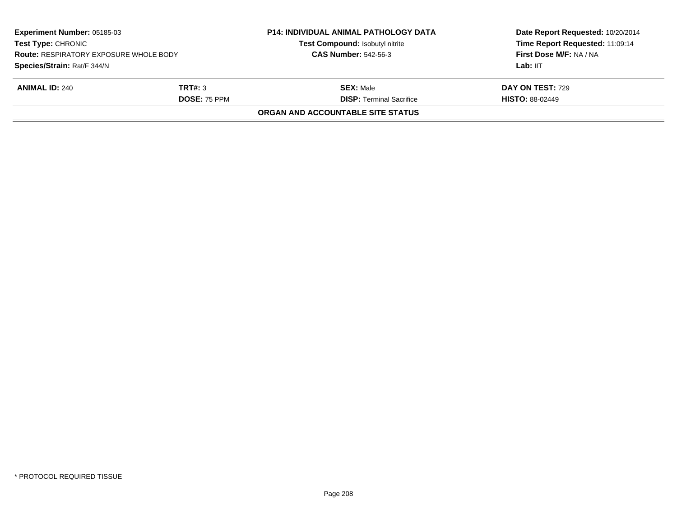|                     | Test Compound: Isobutyl nitrite               | Date Report Requested: 10/20/2014<br>Time Report Requested: 11:09:14<br>First Dose M/F: NA / NA<br>Lab: IIT |
|---------------------|-----------------------------------------------|-------------------------------------------------------------------------------------------------------------|
|                     |                                               |                                                                                                             |
| TRT#: 3             | <b>SEX: Male</b>                              | <b>DAY ON TEST: 729</b>                                                                                     |
| <b>DOSE: 75 PPM</b> | <b>DISP: Terminal Sacrifice</b>               | <b>HISTO: 88-02449</b>                                                                                      |
|                     | ORGAN AND ACCOUNTABLE SITE STATUS             |                                                                                                             |
|                     | <b>Route: RESPIRATORY EXPOSURE WHOLE BODY</b> | <b>CAS Number: 542-56-3</b>                                                                                 |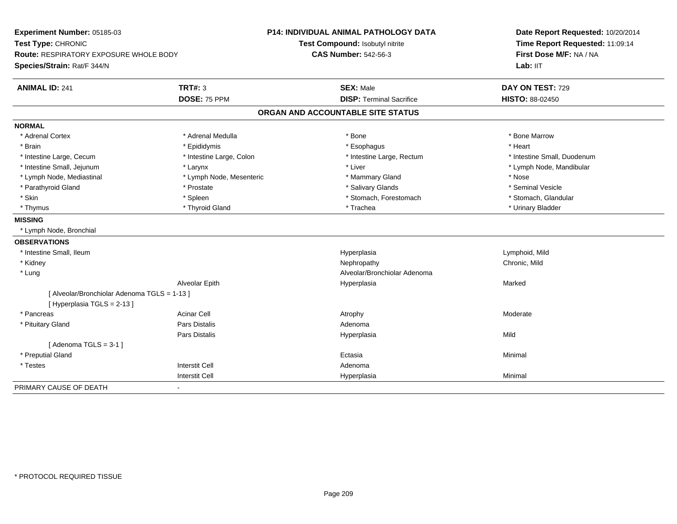| Experiment Number: 05185-03                           | <b>P14: INDIVIDUAL ANIMAL PATHOLOGY DATA</b> | Date Report Requested: 10/20/2014<br>Time Report Requested: 11:09:14<br>First Dose M/F: NA / NA |  |
|-------------------------------------------------------|----------------------------------------------|-------------------------------------------------------------------------------------------------|--|
| Test Type: CHRONIC                                    | Test Compound: Isobutyl nitrite              |                                                                                                 |  |
| Route: RESPIRATORY EXPOSURE WHOLE BODY                | <b>CAS Number: 542-56-3</b>                  |                                                                                                 |  |
| Species/Strain: Rat/F 344/N                           |                                              | Lab: IIT                                                                                        |  |
| <b>ANIMAL ID: 241</b><br><b>TRT#: 3</b>               | <b>SEX: Male</b>                             | DAY ON TEST: 729                                                                                |  |
| DOSE: 75 PPM                                          | <b>DISP: Terminal Sacrifice</b>              | HISTO: 88-02450                                                                                 |  |
|                                                       | ORGAN AND ACCOUNTABLE SITE STATUS            |                                                                                                 |  |
| <b>NORMAL</b>                                         |                                              |                                                                                                 |  |
| * Adrenal Cortex<br>* Adrenal Medulla                 | * Bone                                       | * Bone Marrow                                                                                   |  |
| * Brain<br>* Epididymis                               | * Esophagus                                  | * Heart                                                                                         |  |
| * Intestine Large, Colon<br>* Intestine Large, Cecum  | * Intestine Large, Rectum                    | * Intestine Small, Duodenum                                                                     |  |
| * Intestine Small, Jejunum<br>* Larynx                | * Liver                                      | * Lymph Node, Mandibular                                                                        |  |
| * Lymph Node, Mediastinal<br>* Lymph Node, Mesenteric | * Mammary Gland                              | * Nose                                                                                          |  |
| * Parathyroid Gland<br>* Prostate                     | * Salivary Glands                            | * Seminal Vesicle                                                                               |  |
| * Skin<br>* Spleen                                    | * Stomach, Forestomach                       | * Stomach, Glandular                                                                            |  |
| * Thyroid Gland<br>* Thymus                           | * Trachea                                    | * Urinary Bladder                                                                               |  |
| <b>MISSING</b>                                        |                                              |                                                                                                 |  |
| * Lymph Node, Bronchial                               |                                              |                                                                                                 |  |
| <b>OBSERVATIONS</b>                                   |                                              |                                                                                                 |  |
| * Intestine Small, Ileum                              | Hyperplasia                                  | Lymphoid, Mild                                                                                  |  |
| * Kidney                                              | Nephropathy                                  | Chronic, Mild                                                                                   |  |
| * Lung                                                | Alveolar/Bronchiolar Adenoma                 |                                                                                                 |  |
| Alveolar Epith                                        | Hyperplasia                                  | Marked                                                                                          |  |
| [ Alveolar/Bronchiolar Adenoma TGLS = 1-13 ]          |                                              |                                                                                                 |  |
| [ Hyperplasia TGLS = 2-13 ]                           |                                              |                                                                                                 |  |
| <b>Acinar Cell</b><br>* Pancreas                      | Atrophy                                      | Moderate                                                                                        |  |
| <b>Pars Distalis</b><br>* Pituitary Gland             | Adenoma                                      |                                                                                                 |  |
| <b>Pars Distalis</b>                                  | Hyperplasia                                  | Mild                                                                                            |  |
| [Adenoma TGLS = $3-1$ ]                               |                                              |                                                                                                 |  |
| * Preputial Gland                                     | Ectasia                                      | Minimal                                                                                         |  |
| <b>Interstit Cell</b><br>* Testes                     | Adenoma                                      |                                                                                                 |  |
| <b>Interstit Cell</b>                                 | Hyperplasia                                  | Minimal                                                                                         |  |
| PRIMARY CAUSE OF DEATH                                |                                              |                                                                                                 |  |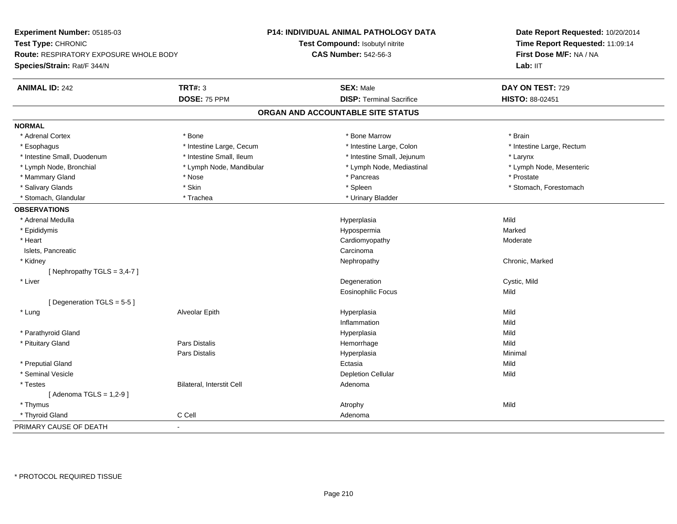| Experiment Number: 05185-03              |                           | P14: INDIVIDUAL ANIMAL PATHOLOGY DATA | Date Report Requested: 10/20/2014 |  |
|------------------------------------------|---------------------------|---------------------------------------|-----------------------------------|--|
| Test Type: CHRONIC                       |                           | Test Compound: Isobutyl nitrite       | Time Report Requested: 11:09:14   |  |
| Route: RESPIRATORY EXPOSURE WHOLE BODY   |                           | <b>CAS Number: 542-56-3</b>           | First Dose M/F: NA / NA           |  |
| Species/Strain: Rat/F 344/N              |                           |                                       | Lab: II <sub>T</sub>              |  |
| <b>ANIMAL ID: 242</b>                    | <b>TRT#: 3</b>            | <b>SEX: Male</b>                      | DAY ON TEST: 729                  |  |
|                                          | DOSE: 75 PPM              | <b>DISP: Terminal Sacrifice</b>       | HISTO: 88-02451                   |  |
|                                          |                           | ORGAN AND ACCOUNTABLE SITE STATUS     |                                   |  |
| <b>NORMAL</b>                            |                           |                                       |                                   |  |
| * Adrenal Cortex                         | * Bone                    | * Bone Marrow                         | * Brain                           |  |
| * Esophagus                              | * Intestine Large, Cecum  | * Intestine Large, Colon              | * Intestine Large, Rectum         |  |
| * Intestine Small, Duodenum              | * Intestine Small, Ileum  | * Intestine Small, Jejunum            | * Larynx                          |  |
| * Lymph Node, Bronchial                  | * Lymph Node, Mandibular  | * Lymph Node, Mediastinal             | * Lymph Node, Mesenteric          |  |
| * Mammary Gland                          | * Nose                    | * Pancreas                            | * Prostate                        |  |
| * Salivary Glands                        | * Skin                    | * Spleen                              | * Stomach, Forestomach            |  |
| * Stomach, Glandular                     | * Trachea                 | * Urinary Bladder                     |                                   |  |
| <b>OBSERVATIONS</b>                      |                           |                                       |                                   |  |
| * Adrenal Medulla                        |                           | Hyperplasia                           | Mild                              |  |
| * Epididymis                             |                           | Hypospermia                           | Marked                            |  |
| * Heart                                  |                           | Cardiomyopathy                        | Moderate                          |  |
| Islets, Pancreatic                       |                           | Carcinoma                             |                                   |  |
| * Kidney                                 |                           | Nephropathy                           | Chronic, Marked                   |  |
| [Nephropathy TGLS = 3,4-7]               |                           |                                       |                                   |  |
| * Liver                                  |                           | Degeneration                          | Cystic, Mild                      |  |
|                                          |                           | <b>Eosinophilic Focus</b>             | Mild                              |  |
| [Degeneration TGLS = 5-5]                |                           |                                       |                                   |  |
| * Lung                                   | Alveolar Epith            | Hyperplasia                           | Mild                              |  |
|                                          |                           | Inflammation                          | Mild                              |  |
| * Parathyroid Gland                      |                           | Hyperplasia                           | Mild                              |  |
| * Pituitary Gland                        | Pars Distalis             | Hemorrhage                            | Mild                              |  |
|                                          | Pars Distalis             | Hyperplasia                           | Minimal                           |  |
| * Preputial Gland                        |                           | Ectasia                               | Mild                              |  |
| * Seminal Vesicle                        |                           | <b>Depletion Cellular</b>             | Mild                              |  |
| * Testes                                 | Bilateral, Interstit Cell | Adenoma                               |                                   |  |
| [Adenoma TGLS = $1,2-9$ ]                |                           |                                       |                                   |  |
| * Thymus                                 |                           | Atrophy                               | Mild                              |  |
| * Thyroid Gland                          | C Cell                    | Adenoma                               |                                   |  |
| PRIMARY CAUSE OF DEATH<br>$\overline{a}$ |                           |                                       |                                   |  |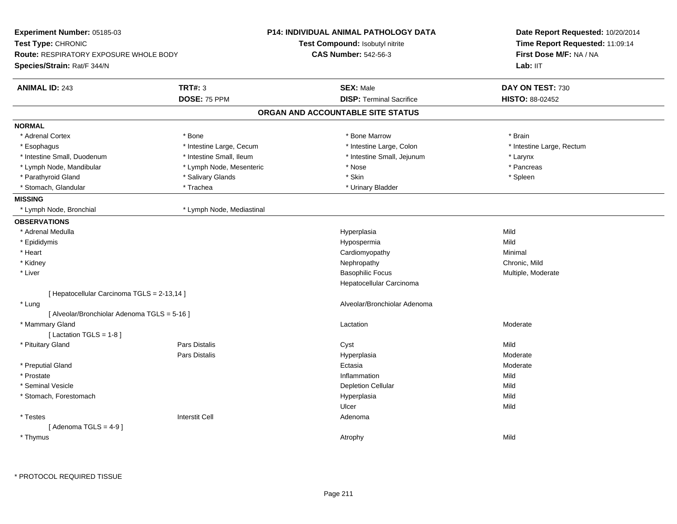| Experiment Number: 05185-03                   |                           | <b>P14: INDIVIDUAL ANIMAL PATHOLOGY DATA</b> | Date Report Requested: 10/20/2014 |
|-----------------------------------------------|---------------------------|----------------------------------------------|-----------------------------------|
| Test Type: CHRONIC                            |                           | Test Compound: Isobutyl nitrite              | Time Report Requested: 11:09:14   |
| <b>Route: RESPIRATORY EXPOSURE WHOLE BODY</b> |                           | <b>CAS Number: 542-56-3</b>                  | First Dose M/F: NA / NA           |
| Species/Strain: Rat/F 344/N                   |                           |                                              | Lab: IIT                          |
| <b>ANIMAL ID: 243</b>                         | <b>TRT#: 3</b>            | <b>SEX: Male</b>                             | DAY ON TEST: 730                  |
|                                               | DOSE: 75 PPM              | <b>DISP: Terminal Sacrifice</b>              | HISTO: 88-02452                   |
|                                               |                           | ORGAN AND ACCOUNTABLE SITE STATUS            |                                   |
| <b>NORMAL</b>                                 |                           |                                              |                                   |
| * Adrenal Cortex                              | * Bone                    | * Bone Marrow                                | * Brain                           |
| * Esophagus                                   | * Intestine Large, Cecum  | * Intestine Large, Colon                     | * Intestine Large, Rectum         |
| * Intestine Small, Duodenum                   | * Intestine Small, Ileum  | * Intestine Small, Jejunum                   | * Larynx                          |
| * Lymph Node, Mandibular                      | * Lymph Node, Mesenteric  | * Nose                                       | * Pancreas                        |
| * Parathyroid Gland                           | * Salivary Glands         | * Skin                                       | * Spleen                          |
| * Stomach, Glandular                          | * Trachea                 | * Urinary Bladder                            |                                   |
| <b>MISSING</b>                                |                           |                                              |                                   |
| * Lymph Node, Bronchial                       | * Lymph Node, Mediastinal |                                              |                                   |
| <b>OBSERVATIONS</b>                           |                           |                                              |                                   |
| * Adrenal Medulla                             |                           | Hyperplasia                                  | Mild                              |
| * Epididymis                                  |                           | Hypospermia                                  | Mild                              |
| * Heart                                       |                           | Cardiomyopathy                               | Minimal                           |
| * Kidney                                      |                           | Nephropathy                                  | Chronic, Mild                     |
| * Liver                                       |                           | <b>Basophilic Focus</b>                      | Multiple, Moderate                |
|                                               |                           | Hepatocellular Carcinoma                     |                                   |
| [ Hepatocellular Carcinoma TGLS = 2-13,14 ]   |                           |                                              |                                   |
| * Lung                                        |                           | Alveolar/Bronchiolar Adenoma                 |                                   |
| [ Alveolar/Bronchiolar Adenoma TGLS = 5-16 ]  |                           |                                              |                                   |
| * Mammary Gland                               |                           | Lactation                                    | Moderate                          |
| [Lactation TGLS = 1-8]                        |                           |                                              |                                   |
| * Pituitary Gland                             | Pars Distalis             | Cyst                                         | Mild                              |
|                                               | Pars Distalis             | Hyperplasia                                  | Moderate                          |
| * Preputial Gland                             |                           | Ectasia                                      | Moderate                          |
| * Prostate                                    |                           | Inflammation                                 | Mild                              |
| * Seminal Vesicle                             |                           | <b>Depletion Cellular</b>                    | Mild                              |
| * Stomach, Forestomach                        |                           | Hyperplasia                                  | Mild                              |
|                                               |                           | Ulcer                                        | Mild                              |
| * Testes                                      | <b>Interstit Cell</b>     | Adenoma                                      |                                   |
| [Adenoma TGLS = $4-9$ ]                       |                           |                                              |                                   |
| * Thymus                                      |                           | Atrophy                                      | Mild                              |
|                                               |                           |                                              |                                   |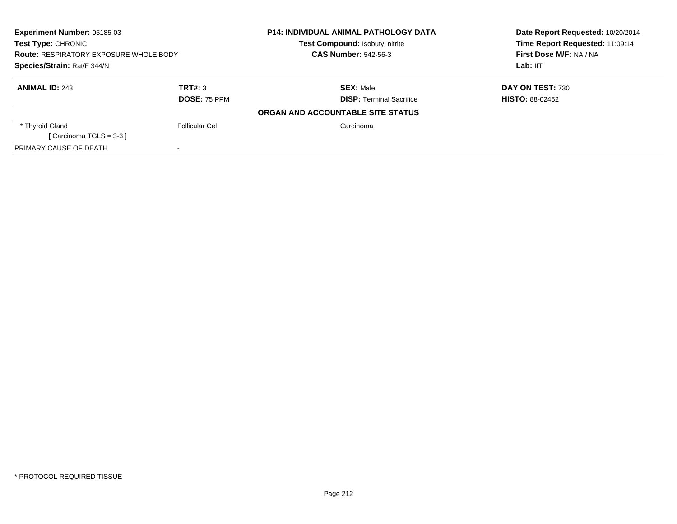| <b>Experiment Number: 05185-03</b><br><b>Test Type: CHRONIC</b><br><b>Route: RESPIRATORY EXPOSURE WHOLE BODY</b><br>Species/Strain: Rat/F 344/N |                     | <b>P14: INDIVIDUAL ANIMAL PATHOLOGY DATA</b><br><b>Test Compound: Isobutyl nitrite</b> | Date Report Requested: 10/20/2014                          |
|-------------------------------------------------------------------------------------------------------------------------------------------------|---------------------|----------------------------------------------------------------------------------------|------------------------------------------------------------|
|                                                                                                                                                 |                     | <b>CAS Number: 542-56-3</b>                                                            | Time Report Requested: 11:09:14<br>First Dose M/F: NA / NA |
|                                                                                                                                                 |                     |                                                                                        | Lab: IIT                                                   |
| <b>ANIMAL ID: 243</b>                                                                                                                           | TRT#: 3             | <b>SEX: Male</b>                                                                       | <b>DAY ON TEST: 730</b>                                    |
|                                                                                                                                                 | <b>DOSE: 75 PPM</b> | <b>DISP:</b> Terminal Sacrifice                                                        | <b>HISTO: 88-02452</b>                                     |
|                                                                                                                                                 |                     | ORGAN AND ACCOUNTABLE SITE STATUS                                                      |                                                            |
| * Thyroid Gland                                                                                                                                 | Follicular Cel      | Carcinoma                                                                              |                                                            |
| [ Carcinoma TGLS = $3-3$ ]                                                                                                                      |                     |                                                                                        |                                                            |
| PRIMARY CAUSE OF DEATH                                                                                                                          |                     |                                                                                        |                                                            |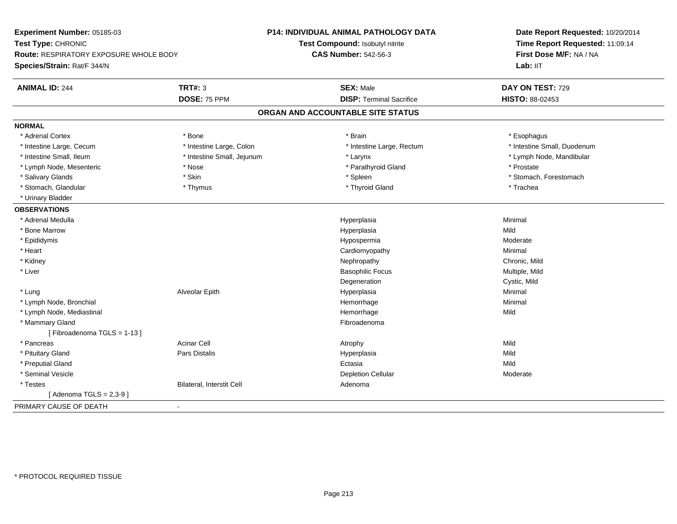| Experiment Number: 05185-03<br>Test Type: CHRONIC<br>Route: RESPIRATORY EXPOSURE WHOLE BODY<br>Species/Strain: Rat/F 344/N | <b>P14: INDIVIDUAL ANIMAL PATHOLOGY DATA</b><br>Test Compound: Isobutyl nitrite<br><b>CAS Number: 542-56-3</b> | Date Report Requested: 10/20/2014<br>Time Report Requested: 11:09:14<br>First Dose M/F: NA / NA<br>Lab: IIT |
|----------------------------------------------------------------------------------------------------------------------------|----------------------------------------------------------------------------------------------------------------|-------------------------------------------------------------------------------------------------------------|
| <b>TRT#: 3</b><br><b>ANIMAL ID: 244</b><br>DOSE: 75 PPM                                                                    | <b>SEX: Male</b><br><b>DISP: Terminal Sacrifice</b>                                                            | DAY ON TEST: 729<br>HISTO: 88-02453                                                                         |
|                                                                                                                            | ORGAN AND ACCOUNTABLE SITE STATUS                                                                              |                                                                                                             |
| <b>NORMAL</b>                                                                                                              |                                                                                                                |                                                                                                             |
| * Adrenal Cortex<br>* Bone                                                                                                 | * Brain                                                                                                        | * Esophagus                                                                                                 |
| * Intestine Large, Cecum<br>* Intestine Large, Colon                                                                       | * Intestine Large, Rectum                                                                                      | * Intestine Small, Duodenum                                                                                 |
| * Intestine Small, Ileum<br>* Intestine Small, Jejunum                                                                     | * Larynx                                                                                                       | * Lymph Node, Mandibular                                                                                    |
| * Lymph Node, Mesenteric<br>* Nose                                                                                         | * Parathyroid Gland                                                                                            | * Prostate                                                                                                  |
| * Skin<br>* Salivary Glands                                                                                                | * Spleen                                                                                                       | * Stomach, Forestomach                                                                                      |
| * Stomach, Glandular<br>* Thymus                                                                                           | * Thyroid Gland                                                                                                | * Trachea                                                                                                   |
| * Urinary Bladder                                                                                                          |                                                                                                                |                                                                                                             |
| <b>OBSERVATIONS</b>                                                                                                        |                                                                                                                |                                                                                                             |
| * Adrenal Medulla                                                                                                          | Hyperplasia                                                                                                    | Minimal                                                                                                     |
| * Bone Marrow                                                                                                              | Hyperplasia                                                                                                    | Mild                                                                                                        |
| * Epididymis                                                                                                               | Hypospermia                                                                                                    | Moderate                                                                                                    |
| * Heart                                                                                                                    | Cardiomyopathy                                                                                                 | Minimal                                                                                                     |
| * Kidney                                                                                                                   | Nephropathy                                                                                                    | Chronic, Mild                                                                                               |
| * Liver                                                                                                                    | <b>Basophilic Focus</b>                                                                                        | Multiple, Mild                                                                                              |
|                                                                                                                            | Degeneration                                                                                                   | Cystic, Mild                                                                                                |
| Alveolar Epith<br>* Lung                                                                                                   | Hyperplasia                                                                                                    | Minimal                                                                                                     |
| * Lymph Node, Bronchial                                                                                                    | Hemorrhage                                                                                                     | Minimal                                                                                                     |
| * Lymph Node, Mediastinal                                                                                                  | Hemorrhage                                                                                                     | Mild                                                                                                        |
| * Mammary Gland                                                                                                            | Fibroadenoma                                                                                                   |                                                                                                             |
| [Fibroadenoma TGLS = 1-13]                                                                                                 |                                                                                                                |                                                                                                             |
| * Pancreas<br><b>Acinar Cell</b>                                                                                           | Atrophy                                                                                                        | Mild                                                                                                        |
| * Pituitary Gland<br>Pars Distalis                                                                                         | Hyperplasia                                                                                                    | Mild                                                                                                        |
| * Preputial Gland                                                                                                          | Ectasia                                                                                                        | Mild                                                                                                        |
| * Seminal Vesicle                                                                                                          | <b>Depletion Cellular</b>                                                                                      | Moderate                                                                                                    |
| Bilateral, Interstit Cell<br>* Testes                                                                                      | Adenoma                                                                                                        |                                                                                                             |
| [Adenoma TGLS = $2,3-9$ ]                                                                                                  |                                                                                                                |                                                                                                             |
| PRIMARY CAUSE OF DEATH<br>$\blacksquare$                                                                                   |                                                                                                                |                                                                                                             |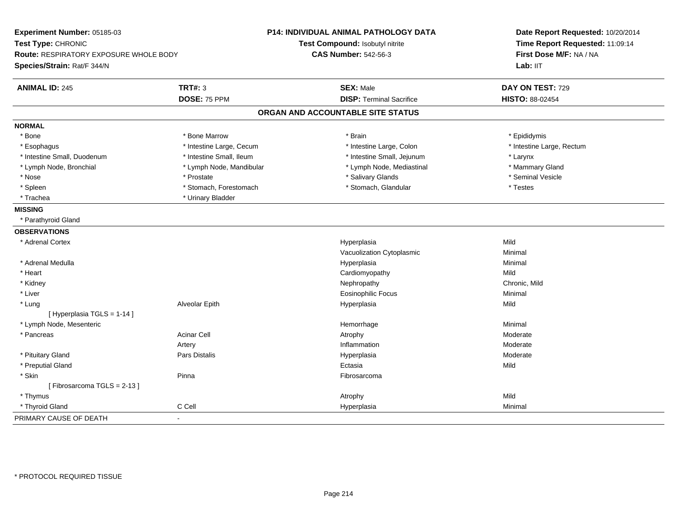| Experiment Number: 05185-03<br>Test Type: CHRONIC<br>Route: RESPIRATORY EXPOSURE WHOLE BODY<br>Species/Strain: Rat/F 344/N |                          | P14: INDIVIDUAL ANIMAL PATHOLOGY DATA<br>Test Compound: Isobutyl nitrite<br><b>CAS Number: 542-56-3</b> | Date Report Requested: 10/20/2014<br>Time Report Requested: 11:09:14<br>First Dose M/F: NA / NA<br>Lab: IIT |
|----------------------------------------------------------------------------------------------------------------------------|--------------------------|---------------------------------------------------------------------------------------------------------|-------------------------------------------------------------------------------------------------------------|
| <b>ANIMAL ID: 245</b>                                                                                                      | <b>TRT#: 3</b>           | <b>SEX: Male</b>                                                                                        | DAY ON TEST: 729                                                                                            |
|                                                                                                                            | DOSE: 75 PPM             | <b>DISP: Terminal Sacrifice</b>                                                                         | HISTO: 88-02454                                                                                             |
|                                                                                                                            |                          | ORGAN AND ACCOUNTABLE SITE STATUS                                                                       |                                                                                                             |
| <b>NORMAL</b>                                                                                                              |                          |                                                                                                         |                                                                                                             |
| * Bone                                                                                                                     | * Bone Marrow            | * Brain                                                                                                 | * Epididymis                                                                                                |
| * Esophagus                                                                                                                | * Intestine Large, Cecum | * Intestine Large, Colon                                                                                | * Intestine Large, Rectum                                                                                   |
| * Intestine Small, Duodenum                                                                                                | * Intestine Small, Ileum | * Intestine Small, Jejunum                                                                              | * Larynx                                                                                                    |
| * Lymph Node, Bronchial                                                                                                    | * Lymph Node, Mandibular | * Lymph Node, Mediastinal                                                                               | * Mammary Gland                                                                                             |
| * Nose                                                                                                                     | * Prostate               | * Salivary Glands                                                                                       | * Seminal Vesicle                                                                                           |
| * Spleen                                                                                                                   | * Stomach, Forestomach   | * Stomach, Glandular                                                                                    | * Testes                                                                                                    |
| * Trachea                                                                                                                  | * Urinary Bladder        |                                                                                                         |                                                                                                             |
| <b>MISSING</b>                                                                                                             |                          |                                                                                                         |                                                                                                             |
| * Parathyroid Gland                                                                                                        |                          |                                                                                                         |                                                                                                             |
| <b>OBSERVATIONS</b>                                                                                                        |                          |                                                                                                         |                                                                                                             |
| * Adrenal Cortex                                                                                                           |                          | Hyperplasia                                                                                             | Mild                                                                                                        |
|                                                                                                                            |                          | Vacuolization Cytoplasmic                                                                               | Minimal                                                                                                     |
| * Adrenal Medulla                                                                                                          |                          | Hyperplasia                                                                                             | Minimal                                                                                                     |
| * Heart                                                                                                                    |                          | Cardiomyopathy                                                                                          | Mild                                                                                                        |
| * Kidney                                                                                                                   |                          | Nephropathy                                                                                             | Chronic, Mild                                                                                               |
| * Liver                                                                                                                    |                          | <b>Eosinophilic Focus</b>                                                                               | Minimal                                                                                                     |
| * Lung                                                                                                                     | Alveolar Epith           | Hyperplasia                                                                                             | Mild                                                                                                        |
| [ Hyperplasia TGLS = 1-14 ]                                                                                                |                          |                                                                                                         |                                                                                                             |
| * Lymph Node, Mesenteric                                                                                                   |                          | Hemorrhage                                                                                              | Minimal                                                                                                     |
| * Pancreas                                                                                                                 | <b>Acinar Cell</b>       | Atrophy                                                                                                 | Moderate                                                                                                    |
|                                                                                                                            | Artery                   | Inflammation                                                                                            | Moderate                                                                                                    |
| * Pituitary Gland                                                                                                          | <b>Pars Distalis</b>     | Hyperplasia                                                                                             | Moderate                                                                                                    |
| * Preputial Gland                                                                                                          |                          | Ectasia                                                                                                 | Mild                                                                                                        |
| * Skin                                                                                                                     | Pinna                    | Fibrosarcoma                                                                                            |                                                                                                             |
| [Fibrosarcoma TGLS = 2-13]                                                                                                 |                          |                                                                                                         |                                                                                                             |
| * Thymus                                                                                                                   |                          | Atrophy                                                                                                 | Mild                                                                                                        |
| * Thyroid Gland                                                                                                            | C Cell                   | Hyperplasia                                                                                             | Minimal                                                                                                     |
| PRIMARY CAUSE OF DEATH                                                                                                     | $\blacksquare$           |                                                                                                         |                                                                                                             |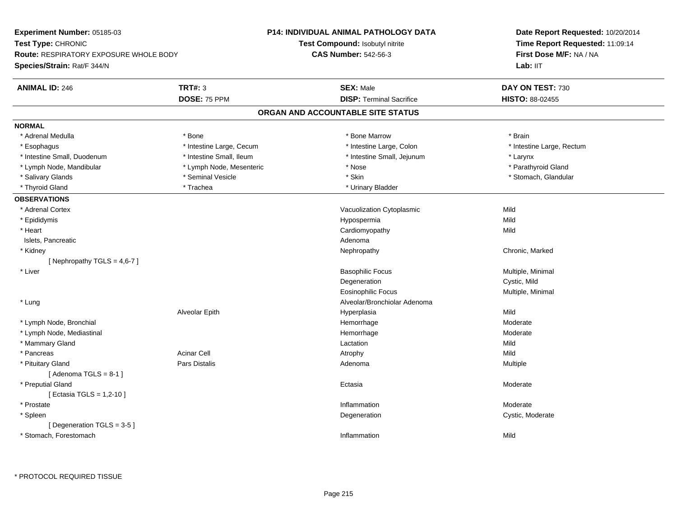| Experiment Number: 05185-03                   |                          | P14: INDIVIDUAL ANIMAL PATHOLOGY DATA | Date Report Requested: 10/20/2014                          |  |
|-----------------------------------------------|--------------------------|---------------------------------------|------------------------------------------------------------|--|
| Test Type: CHRONIC                            |                          | Test Compound: Isobutyl nitrite       | Time Report Requested: 11:09:14<br>First Dose M/F: NA / NA |  |
| <b>Route: RESPIRATORY EXPOSURE WHOLE BODY</b> |                          | <b>CAS Number: 542-56-3</b>           |                                                            |  |
| Species/Strain: Rat/F 344/N                   |                          |                                       | Lab: IIT                                                   |  |
| <b>ANIMAL ID: 246</b>                         | <b>TRT#: 3</b>           | <b>SEX: Male</b>                      | DAY ON TEST: 730                                           |  |
|                                               | DOSE: 75 PPM             | <b>DISP: Terminal Sacrifice</b>       | HISTO: 88-02455                                            |  |
|                                               |                          | ORGAN AND ACCOUNTABLE SITE STATUS     |                                                            |  |
| <b>NORMAL</b>                                 |                          |                                       |                                                            |  |
| * Adrenal Medulla                             | * Bone                   | * Bone Marrow                         | * Brain                                                    |  |
| * Esophagus                                   | * Intestine Large, Cecum | * Intestine Large, Colon              | * Intestine Large, Rectum                                  |  |
| * Intestine Small, Duodenum                   | * Intestine Small, Ileum | * Intestine Small, Jejunum            | * Larynx                                                   |  |
| * Lymph Node, Mandibular                      | * Lymph Node, Mesenteric | * Nose                                | * Parathyroid Gland                                        |  |
| * Salivary Glands                             | * Seminal Vesicle        | * Skin                                | * Stomach, Glandular                                       |  |
| * Thyroid Gland                               | * Trachea                | * Urinary Bladder                     |                                                            |  |
| <b>OBSERVATIONS</b>                           |                          |                                       |                                                            |  |
| * Adrenal Cortex                              |                          | Vacuolization Cytoplasmic             | Mild                                                       |  |
| * Epididymis                                  |                          | Hypospermia                           | Mild                                                       |  |
| * Heart                                       |                          | Cardiomyopathy                        | Mild                                                       |  |
| Islets, Pancreatic                            |                          | Adenoma                               |                                                            |  |
| * Kidney                                      |                          | Nephropathy                           | Chronic, Marked                                            |  |
| [Nephropathy TGLS = $4,6-7$ ]                 |                          |                                       |                                                            |  |
| * Liver                                       |                          | <b>Basophilic Focus</b>               | Multiple, Minimal                                          |  |
|                                               |                          | Degeneration                          | Cystic, Mild                                               |  |
|                                               |                          | <b>Eosinophilic Focus</b>             | Multiple, Minimal                                          |  |
| * Lung                                        |                          | Alveolar/Bronchiolar Adenoma          |                                                            |  |
|                                               | Alveolar Epith           | Hyperplasia                           | Mild                                                       |  |
| * Lymph Node, Bronchial                       |                          | Hemorrhage                            | Moderate                                                   |  |
| * Lymph Node, Mediastinal                     |                          | Hemorrhage                            | Moderate                                                   |  |
| * Mammary Gland                               |                          | Lactation                             | Mild                                                       |  |
| * Pancreas                                    | <b>Acinar Cell</b>       | Atrophy                               | Mild                                                       |  |
| * Pituitary Gland                             | <b>Pars Distalis</b>     | Adenoma                               | Multiple                                                   |  |
| [Adenoma TGLS = $8-1$ ]                       |                          |                                       |                                                            |  |
| * Preputial Gland                             |                          | Ectasia                               | Moderate                                                   |  |
| [ Ectasia TGLS = 1,2-10 ]                     |                          |                                       |                                                            |  |
| * Prostate                                    |                          | Inflammation                          | Moderate                                                   |  |
| * Spleen                                      |                          | Degeneration                          | Cystic, Moderate                                           |  |
| [ Degeneration TGLS = $3-5$ ]                 |                          |                                       |                                                            |  |
| * Stomach, Forestomach                        |                          | Inflammation                          | Mild                                                       |  |
|                                               |                          |                                       |                                                            |  |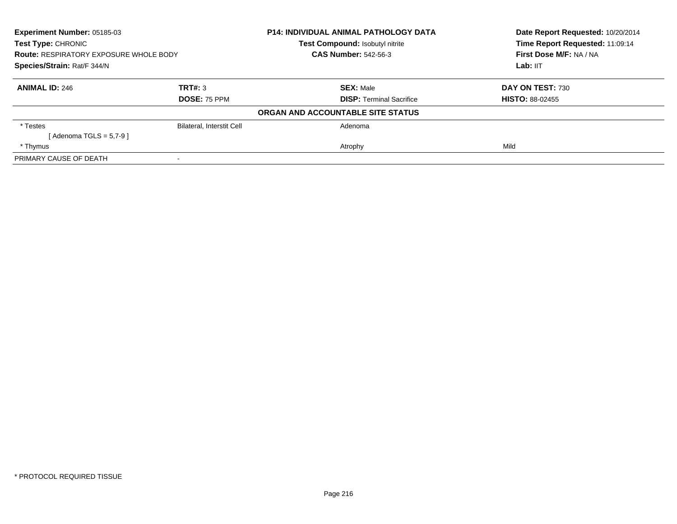| <b>Experiment Number: 05185-03</b><br><b>Test Type: CHRONIC</b><br><b>Route: RESPIRATORY EXPOSURE WHOLE BODY</b><br>Species/Strain: Rat/F 344/N |                           | P14: INDIVIDUAL ANIMAL PATHOLOGY DATA | Date Report Requested: 10/20/2014<br>Time Report Requested: 11:09:14<br>First Dose M/F: NA / NA<br>Lab: IIT |
|-------------------------------------------------------------------------------------------------------------------------------------------------|---------------------------|---------------------------------------|-------------------------------------------------------------------------------------------------------------|
|                                                                                                                                                 |                           | Test Compound: Isobutyl nitrite       |                                                                                                             |
|                                                                                                                                                 |                           | <b>CAS Number: 542-56-3</b>           |                                                                                                             |
|                                                                                                                                                 |                           |                                       |                                                                                                             |
| <b>ANIMAL ID: 246</b>                                                                                                                           | TRT#: 3                   | <b>SEX: Male</b>                      | DAY ON TEST: 730                                                                                            |
|                                                                                                                                                 | <b>DOSE: 75 PPM</b>       | <b>DISP: Terminal Sacrifice</b>       | <b>HISTO: 88-02455</b>                                                                                      |
|                                                                                                                                                 |                           | ORGAN AND ACCOUNTABLE SITE STATUS     |                                                                                                             |
| * Testes                                                                                                                                        | Bilateral, Interstit Cell | Adenoma                               |                                                                                                             |
| [ Adenoma TGLS = 5,7-9 ]                                                                                                                        |                           |                                       |                                                                                                             |
| * Thymus                                                                                                                                        |                           | Atrophy                               | Mild                                                                                                        |
| PRIMARY CAUSE OF DEATH                                                                                                                          |                           |                                       |                                                                                                             |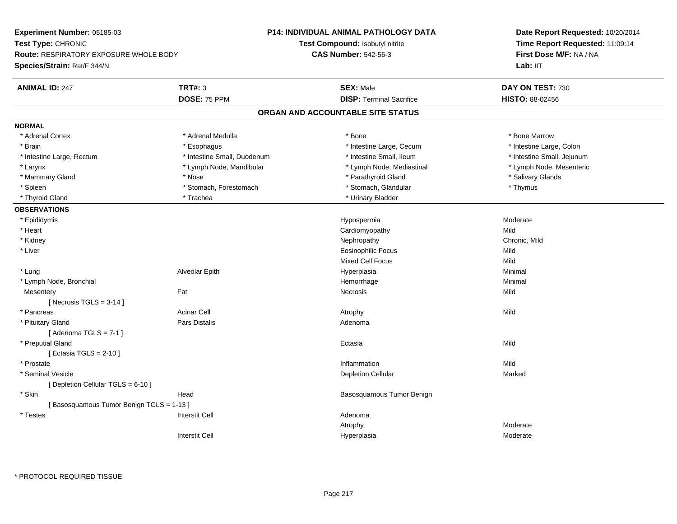**Experiment Number:** 05185-03**Test Type:** CHRONIC **Route:** RESPIRATORY EXPOSURE WHOLE BODY**Species/Strain:** Rat/F 344/N**P14: INDIVIDUAL ANIMAL PATHOLOGY DATATest Compound:** Isobutyl nitrite**CAS Number:** 542-56-3**Date Report Requested:** 10/20/2014**Time Report Requested:** 11:09:14**First Dose M/F:** NA / NALab: IIT **ANIMAL ID:** 247**TRT#:** 3 **SEX:** Male **DAY ON TEST:** 730 **DOSE:** 75 PPM **DISP:** Terminal Sacrifice **HISTO:** 88-02456 **ORGAN AND ACCOUNTABLE SITE STATUSNORMAL**\* Adrenal Cortex \* Adrenal Medulla \* Adrenal Medulla \* Bone \* Bone \* Bone \* Bone \* Bone Marrow \* Intestine Large, Colon \* Brain \* Esophagus \* Esophagus \* Esophagus \* 11testine Large, Cecum \* \* Intestine Large, Rectum \* Thestine Small, Duodenum \* Number of the small, Ileum \* Intestine Small, Jejunum \* Intestine Small, Jejunum \* Lymph Node, Mesenteric \* Larynx **\* Lymph Node, Mandibular \*** Lymph Node, Mediastinal \* Lymph Node, Mediastinal \* \* Mammary Gland \* \* And \* \* Nose \* \* Parathyroid Gland \* \* Parathyroid Gland \* \* Salivary Glands \* Salivary Glands \* Salivary Glands \* Salivary Glands \* Salivary Glands \* Salivary Glands \* Salivary Glands \* Salivary Glands \* Spleen \* Stomach, Forestomach \* Stomach \* Stomach, Glandular \* Stomach, Glandular \* Thymus \* Thyroid Gland \* The manufacture \* Trachea \* Trachea \* Thyroid Gland \* Urinary Bladder **OBSERVATIONS** \* Epididymis Hypospermiaa and a moderate the Moderate \* Heart Cardiomyopathyy Mild Chronic, Mild \* Kidneyy the controller of the controller of the controller of the controller of the controller of the chronic, Mild \* Liver Eosinophilic Focuss Mild Mild Mixed Cell Focuss Mild Minimal \* Lung Alveolar Epith Hyperplasia Minimal \* Lymph Node, Bronchial Hemorrhagee Minimal **Mesentery** y the contract of the contract of the contract of the contract of the contract of the contract of the contract of the contract of the contract of the contract of the contract of the contract of the contract of the contract  $[$  Necrosis TGLS = 3-14  $]$  \* Pancreass the contract of the contract of the contract of the contract of the contract of the contract of the contract of  $\mathsf{A}$  and  $\mathsf{A}$  and  $\mathsf{A}$  and  $\mathsf{A}$  and  $\mathsf{A}$  and  $\mathsf{A}$  and  $\mathsf{A}$  and  $\mathsf{A}$  and  $\mathsf$  \* Pituitary Glandd and the contract of Pars Distalis and the contract of Adenoma and Adenoma and the Adenoma and the Adenoma and  $\lambda$  $[$  Adenoma TGLS = 7-1  $]$  \* Preputial Glandd and the control of the control of the control of the control of the control of the control of the control of the control of the control of the control of the control of the control of the control of the control of the co [ Ectasia TGLS = 2-10 ] \* Prostatee discussion of the control of the control of the control of the control of the control of the control of the control of the control of the control of the control of the control of the control of the control of the control \* Seminal Vesiclee and the contract of the contract of the contract of the Depletion Cellular contract of the Marked Marked of the Marked of the contract of the contract of the contract of the contract of the contract of the contract of th [ Depletion Cellular TGLS = 6-10 ] \* SkinHead **Basosquamous Tumor Benign** Benign [ Basosquamous Tumor Benign TGLS = 1-13 ] \* Testes Interstit Cell AdenomaAtrophy Moderatea Moderate Interstit CellHyperplasia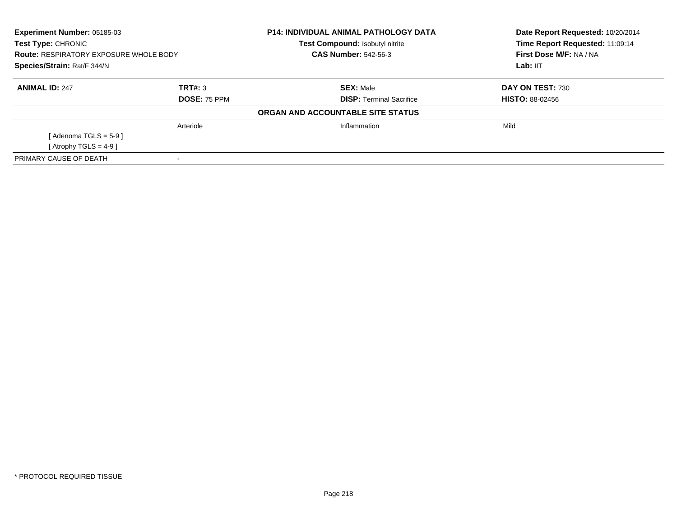| <b>Experiment Number: 05185-03</b><br><b>Test Type: CHRONIC</b><br><b>Route: RESPIRATORY EXPOSURE WHOLE BODY</b><br>Species/Strain: Rat/F 344/N |                     | <b>P14: INDIVIDUAL ANIMAL PATHOLOGY DATA</b><br><b>Test Compound: Isobutyl nitrite</b> | Date Report Requested: 10/20/2014<br>Time Report Requested: 11:09:14 |
|-------------------------------------------------------------------------------------------------------------------------------------------------|---------------------|----------------------------------------------------------------------------------------|----------------------------------------------------------------------|
|                                                                                                                                                 |                     | <b>CAS Number: 542-56-3</b>                                                            | First Dose M/F: NA / NA                                              |
|                                                                                                                                                 |                     |                                                                                        | Lab: IIT                                                             |
| <b>ANIMAL ID: 247</b>                                                                                                                           | TRT#: 3             | <b>SEX: Male</b>                                                                       | DAY ON TEST: 730                                                     |
|                                                                                                                                                 | <b>DOSE: 75 PPM</b> | <b>DISP:</b> Terminal Sacrifice                                                        | <b>HISTO: 88-02456</b>                                               |
|                                                                                                                                                 |                     | ORGAN AND ACCOUNTABLE SITE STATUS                                                      |                                                                      |
|                                                                                                                                                 | Arteriole           | Inflammation                                                                           | Mild                                                                 |
| [Adenoma TGLS = $5-9$ ]                                                                                                                         |                     |                                                                                        |                                                                      |
| [ Atrophy TGLS = $4-9$ ]                                                                                                                        |                     |                                                                                        |                                                                      |
| PRIMARY CAUSE OF DEATH                                                                                                                          |                     |                                                                                        |                                                                      |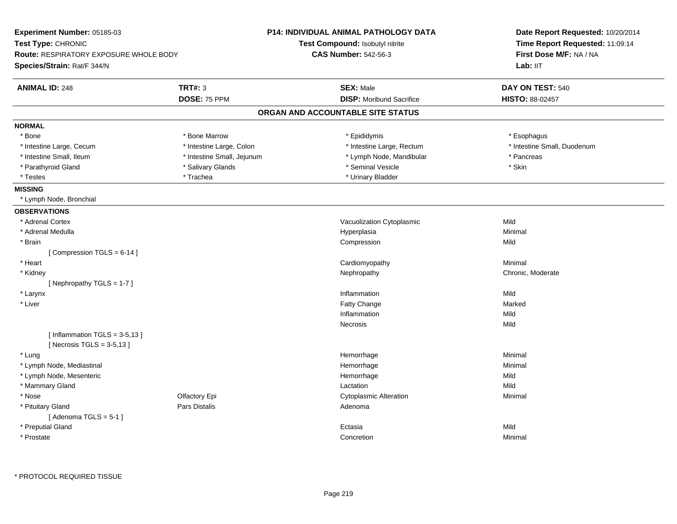| Experiment Number: 05185-03                                    |                            | <b>P14: INDIVIDUAL ANIMAL PATHOLOGY DATA</b> | Date Report Requested: 10/20/2014                                      |
|----------------------------------------------------------------|----------------------------|----------------------------------------------|------------------------------------------------------------------------|
| <b>Test Type: CHRONIC</b>                                      |                            | Test Compound: Isobutyl nitrite              | Time Report Requested: 11:09:14<br>First Dose M/F: NA / NA<br>Lab: IIT |
| <b>Route: RESPIRATORY EXPOSURE WHOLE BODY</b>                  |                            | <b>CAS Number: 542-56-3</b>                  |                                                                        |
| Species/Strain: Rat/F 344/N                                    |                            |                                              |                                                                        |
| <b>ANIMAL ID: 248</b>                                          | <b>TRT#: 3</b>             | <b>SEX: Male</b>                             | DAY ON TEST: 540                                                       |
|                                                                | DOSE: 75 PPM               | <b>DISP:</b> Moribund Sacrifice              | <b>HISTO: 88-02457</b>                                                 |
|                                                                |                            | ORGAN AND ACCOUNTABLE SITE STATUS            |                                                                        |
| <b>NORMAL</b>                                                  |                            |                                              |                                                                        |
| * Bone                                                         | * Bone Marrow              | * Epididymis                                 | * Esophagus                                                            |
| * Intestine Large, Cecum                                       | * Intestine Large, Colon   | * Intestine Large, Rectum                    | * Intestine Small, Duodenum                                            |
| * Intestine Small, Ileum                                       | * Intestine Small, Jejunum | * Lymph Node, Mandibular                     | * Pancreas                                                             |
| * Parathyroid Gland                                            | * Salivary Glands          | * Seminal Vesicle                            | * Skin                                                                 |
| * Testes                                                       | * Trachea                  | * Urinary Bladder                            |                                                                        |
| <b>MISSING</b>                                                 |                            |                                              |                                                                        |
| * Lymph Node, Bronchial                                        |                            |                                              |                                                                        |
| <b>OBSERVATIONS</b>                                            |                            |                                              |                                                                        |
| * Adrenal Cortex                                               |                            | Vacuolization Cytoplasmic                    | Mild                                                                   |
| * Adrenal Medulla                                              |                            | Hyperplasia                                  | Minimal                                                                |
| * Brain                                                        |                            | Compression                                  | Mild                                                                   |
| [Compression TGLS = 6-14]                                      |                            |                                              |                                                                        |
| * Heart                                                        |                            | Cardiomyopathy                               | Minimal                                                                |
| * Kidney                                                       |                            | Nephropathy                                  | Chronic, Moderate                                                      |
| [Nephropathy TGLS = 1-7]                                       |                            |                                              |                                                                        |
| * Larynx                                                       |                            | Inflammation                                 | Mild                                                                   |
| * Liver                                                        |                            | Fatty Change                                 | Marked                                                                 |
|                                                                |                            | Inflammation                                 | Mild                                                                   |
|                                                                |                            | Necrosis                                     | Mild                                                                   |
| [Inflammation TGLS = $3-5,13$ ]<br>[Necrosis TGLS = $3-5,13$ ] |                            |                                              |                                                                        |
| * Lung                                                         |                            | Hemorrhage                                   | Minimal                                                                |
| * Lymph Node, Mediastinal                                      |                            | Hemorrhage                                   | Minimal                                                                |
| * Lymph Node, Mesenteric                                       |                            | Hemorrhage                                   | Mild                                                                   |
| * Mammary Gland                                                |                            | Lactation                                    | Mild                                                                   |
| * Nose                                                         | Olfactory Epi              | <b>Cytoplasmic Alteration</b>                | Minimal                                                                |
| * Pituitary Gland<br>[Adenoma TGLS = $5-1$ ]                   | Pars Distalis              | Adenoma                                      |                                                                        |
| * Preputial Gland                                              |                            | Ectasia                                      | Mild                                                                   |
| * Prostate                                                     |                            | Concretion                                   | Minimal                                                                |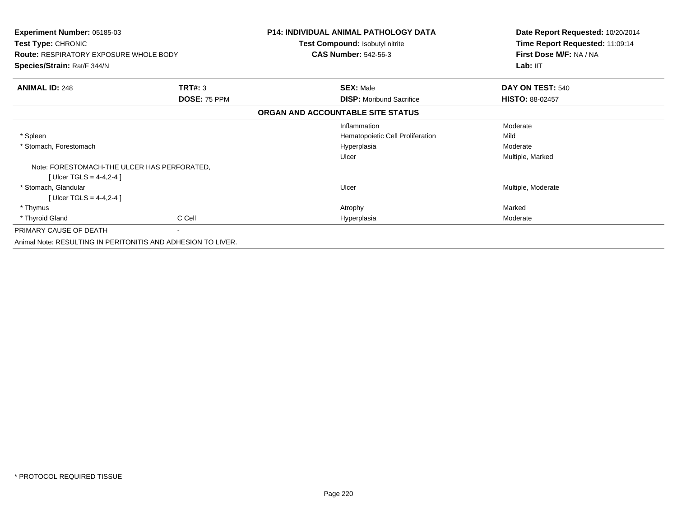| <b>Experiment Number: 05185-03</b><br><b>Test Type: CHRONIC</b> |                | <b>P14: INDIVIDUAL ANIMAL PATHOLOGY DATA</b> | Date Report Requested: 10/20/2014<br>Time Report Requested: 11:09:14 |
|-----------------------------------------------------------------|----------------|----------------------------------------------|----------------------------------------------------------------------|
|                                                                 |                | Test Compound: Isobutyl nitrite              |                                                                      |
| <b>Route: RESPIRATORY EXPOSURE WHOLE BODY</b>                   |                | <b>CAS Number: 542-56-3</b>                  | First Dose M/F: NA / NA                                              |
| Species/Strain: Rat/F 344/N                                     |                |                                              | Lab: IIT                                                             |
| <b>ANIMAL ID: 248</b>                                           | <b>TRT#: 3</b> | <b>SEX: Male</b>                             | DAY ON TEST: 540                                                     |
|                                                                 | DOSE: 75 PPM   | <b>DISP:</b> Moribund Sacrifice              | <b>HISTO: 88-02457</b>                                               |
|                                                                 |                | ORGAN AND ACCOUNTABLE SITE STATUS            |                                                                      |
|                                                                 |                | Inflammation                                 | Moderate                                                             |
| * Spleen                                                        |                | Hematopoietic Cell Proliferation             | Mild                                                                 |
| * Stomach, Forestomach                                          |                | Hyperplasia                                  | Moderate                                                             |
|                                                                 |                | Ulcer                                        | Multiple, Marked                                                     |
| Note: FORESTOMACH-THE ULCER HAS PERFORATED.                     |                |                                              |                                                                      |
| [ Ulcer TGLS = $4-4,2-4$ ]                                      |                |                                              |                                                                      |
| * Stomach, Glandular                                            |                | Ulcer                                        | Multiple, Moderate                                                   |
| [ Ulcer TGLS = $4-4,2-4$ ]                                      |                |                                              |                                                                      |
| * Thymus                                                        |                | Atrophy                                      | Marked                                                               |
| * Thyroid Gland                                                 | C Cell         | Hyperplasia                                  | Moderate                                                             |
| PRIMARY CAUSE OF DEATH                                          | $\sim$         |                                              |                                                                      |
| Animal Note: RESULTING IN PERITONITIS AND ADHESION TO LIVER.    |                |                                              |                                                                      |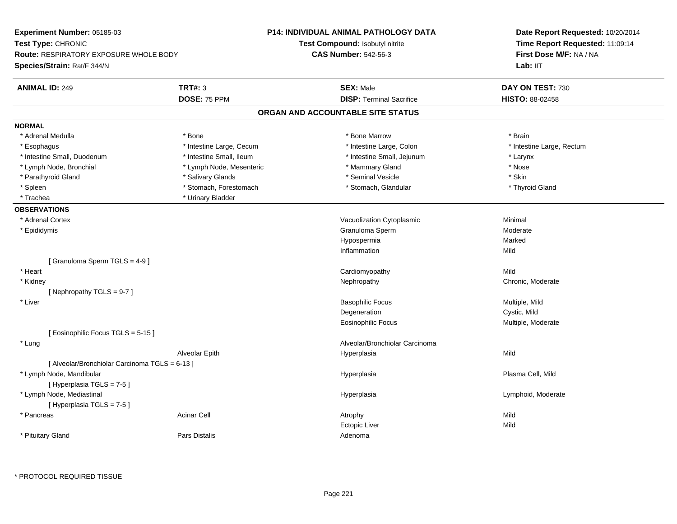| <b>Experiment Number: 05185-03</b><br>Test Type: CHRONIC<br>Route: RESPIRATORY EXPOSURE WHOLE BODY<br>Species/Strain: Rat/F 344/N |                          | P14: INDIVIDUAL ANIMAL PATHOLOGY DATA<br>Test Compound: Isobutyl nitrite<br><b>CAS Number: 542-56-3</b> | Date Report Requested: 10/20/2014<br>Time Report Requested: 11:09:14<br>First Dose M/F: NA / NA<br>Lab: IIT |
|-----------------------------------------------------------------------------------------------------------------------------------|--------------------------|---------------------------------------------------------------------------------------------------------|-------------------------------------------------------------------------------------------------------------|
| <b>ANIMAL ID: 249</b>                                                                                                             | TRT#: 3                  | <b>SEX: Male</b>                                                                                        | DAY ON TEST: 730                                                                                            |
|                                                                                                                                   | DOSE: 75 PPM             | <b>DISP: Terminal Sacrifice</b>                                                                         | <b>HISTO: 88-02458</b>                                                                                      |
|                                                                                                                                   |                          | ORGAN AND ACCOUNTABLE SITE STATUS                                                                       |                                                                                                             |
| <b>NORMAL</b>                                                                                                                     |                          |                                                                                                         |                                                                                                             |
| * Adrenal Medulla                                                                                                                 | * Bone                   | * Bone Marrow                                                                                           | * Brain                                                                                                     |
| * Esophagus                                                                                                                       | * Intestine Large, Cecum | * Intestine Large, Colon                                                                                | * Intestine Large, Rectum                                                                                   |
| * Intestine Small, Duodenum                                                                                                       | * Intestine Small, Ileum | * Intestine Small, Jejunum                                                                              | * Larynx                                                                                                    |
| * Lymph Node, Bronchial                                                                                                           | * Lymph Node, Mesenteric | * Mammary Gland                                                                                         | * Nose                                                                                                      |
| * Parathyroid Gland                                                                                                               | * Salivary Glands        | * Seminal Vesicle                                                                                       | * Skin                                                                                                      |
| * Spleen                                                                                                                          | * Stomach, Forestomach   | * Stomach, Glandular                                                                                    | * Thyroid Gland                                                                                             |
| * Trachea                                                                                                                         | * Urinary Bladder        |                                                                                                         |                                                                                                             |
| <b>OBSERVATIONS</b>                                                                                                               |                          |                                                                                                         |                                                                                                             |
| * Adrenal Cortex                                                                                                                  |                          | Vacuolization Cytoplasmic                                                                               | Minimal                                                                                                     |
| * Epididymis                                                                                                                      |                          | Granuloma Sperm                                                                                         | Moderate                                                                                                    |
|                                                                                                                                   |                          | Hypospermia                                                                                             | Marked                                                                                                      |
|                                                                                                                                   |                          | Inflammation                                                                                            | Mild                                                                                                        |
| [Granuloma Sperm TGLS = 4-9]                                                                                                      |                          |                                                                                                         |                                                                                                             |
| * Heart                                                                                                                           |                          | Cardiomyopathy                                                                                          | Mild                                                                                                        |
| * Kidney                                                                                                                          |                          | Nephropathy                                                                                             | Chronic, Moderate                                                                                           |
| [Nephropathy TGLS = 9-7]                                                                                                          |                          |                                                                                                         |                                                                                                             |
| * Liver                                                                                                                           |                          | <b>Basophilic Focus</b>                                                                                 | Multiple, Mild                                                                                              |
|                                                                                                                                   |                          | Degeneration                                                                                            | Cystic, Mild                                                                                                |
|                                                                                                                                   |                          | Eosinophilic Focus                                                                                      | Multiple, Moderate                                                                                          |
| [Eosinophilic Focus TGLS = 5-15]                                                                                                  |                          |                                                                                                         |                                                                                                             |
| * Lung                                                                                                                            |                          | Alveolar/Bronchiolar Carcinoma                                                                          |                                                                                                             |
|                                                                                                                                   | Alveolar Epith           | Hyperplasia                                                                                             | Mild                                                                                                        |
| [ Alveolar/Bronchiolar Carcinoma TGLS = 6-13 ]                                                                                    |                          |                                                                                                         |                                                                                                             |
| * Lymph Node, Mandibular                                                                                                          |                          | Hyperplasia                                                                                             | Plasma Cell, Mild                                                                                           |
| [Hyperplasia TGLS = 7-5]                                                                                                          |                          |                                                                                                         |                                                                                                             |
| * Lymph Node, Mediastinal                                                                                                         |                          | Hyperplasia                                                                                             | Lymphoid, Moderate                                                                                          |
| [Hyperplasia TGLS = 7-5]                                                                                                          |                          |                                                                                                         |                                                                                                             |
| * Pancreas                                                                                                                        | <b>Acinar Cell</b>       | Atrophy                                                                                                 | Mild                                                                                                        |
|                                                                                                                                   |                          | <b>Ectopic Liver</b>                                                                                    | Mild                                                                                                        |
| * Pituitary Gland                                                                                                                 | <b>Pars Distalis</b>     | Adenoma                                                                                                 |                                                                                                             |
|                                                                                                                                   |                          |                                                                                                         |                                                                                                             |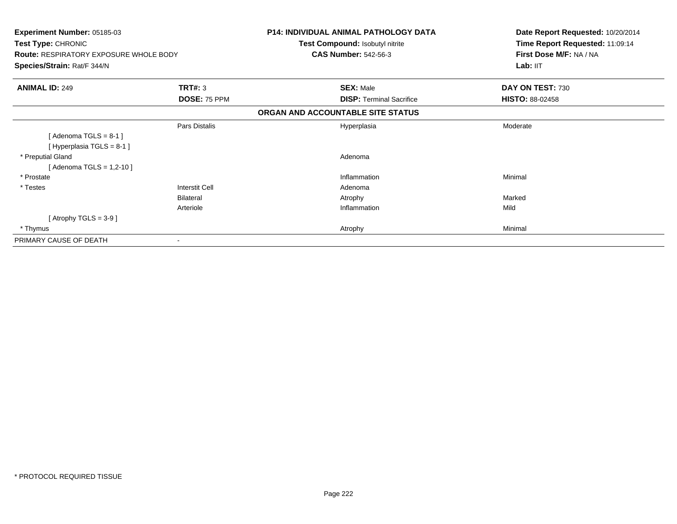| Experiment Number: 05185-03<br>Test Type: CHRONIC<br><b>Route: RESPIRATORY EXPOSURE WHOLE BODY</b><br>Species/Strain: Rat/F 344/N |                | <b>P14: INDIVIDUAL ANIMAL PATHOLOGY DATA</b><br>Test Compound: Isobutyl nitrite<br><b>CAS Number: 542-56-3</b> | Date Report Requested: 10/20/2014<br>Time Report Requested: 11:09:14<br>First Dose M/F: NA / NA<br>Lab: IIT |
|-----------------------------------------------------------------------------------------------------------------------------------|----------------|----------------------------------------------------------------------------------------------------------------|-------------------------------------------------------------------------------------------------------------|
|                                                                                                                                   |                |                                                                                                                |                                                                                                             |
| <b>ANIMAL ID: 249</b>                                                                                                             | TRT#: 3        | <b>SEX: Male</b>                                                                                               | DAY ON TEST: 730                                                                                            |
|                                                                                                                                   | DOSE: 75 PPM   | <b>DISP:</b> Terminal Sacrifice                                                                                | <b>HISTO: 88-02458</b>                                                                                      |
|                                                                                                                                   |                | ORGAN AND ACCOUNTABLE SITE STATUS                                                                              |                                                                                                             |
| [Adenoma TGLS = $8-1$ ]<br>[Hyperplasia TGLS = $8-1$ ]                                                                            | Pars Distalis  | Hyperplasia                                                                                                    | Moderate                                                                                                    |
| * Preputial Gland<br>[ Adenoma TGLS = 1,2-10 ]                                                                                    |                | Adenoma                                                                                                        |                                                                                                             |
| * Prostate                                                                                                                        |                | Inflammation                                                                                                   | Minimal                                                                                                     |
| * Testes                                                                                                                          | Interstit Cell | Adenoma                                                                                                        |                                                                                                             |
|                                                                                                                                   | Bilateral      | Atrophy                                                                                                        | Marked                                                                                                      |
|                                                                                                                                   | Arteriole      | Inflammation                                                                                                   | Mild                                                                                                        |
| [Atrophy TGLS = $3-9$ ]                                                                                                           |                |                                                                                                                |                                                                                                             |
| * Thymus                                                                                                                          |                | Atrophy                                                                                                        | Minimal                                                                                                     |
| PRIMARY CAUSE OF DEATH                                                                                                            |                |                                                                                                                |                                                                                                             |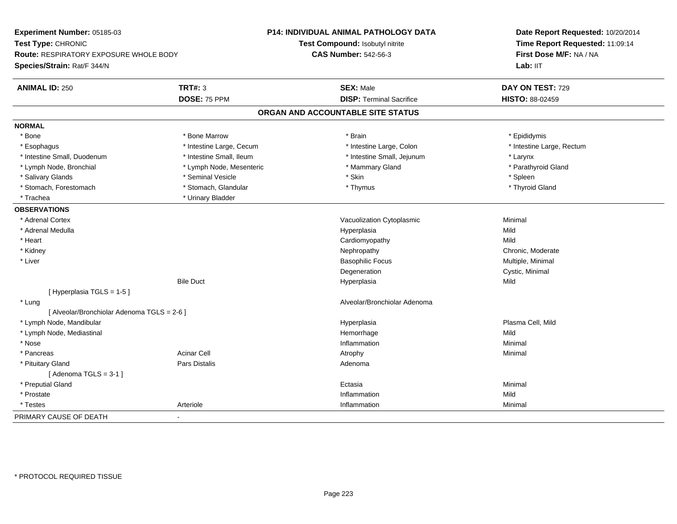| Experiment Number: 05185-03                 |                          | <b>P14: INDIVIDUAL ANIMAL PATHOLOGY DATA</b> | Date Report Requested: 10/20/2014<br>Time Report Requested: 11:09:14<br>First Dose M/F: NA / NA |  |
|---------------------------------------------|--------------------------|----------------------------------------------|-------------------------------------------------------------------------------------------------|--|
| Test Type: CHRONIC                          |                          | Test Compound: Isobutyl nitrite              |                                                                                                 |  |
| Route: RESPIRATORY EXPOSURE WHOLE BODY      |                          | <b>CAS Number: 542-56-3</b>                  |                                                                                                 |  |
| Species/Strain: Rat/F 344/N                 |                          |                                              | Lab: IIT                                                                                        |  |
| <b>ANIMAL ID: 250</b>                       | <b>TRT#: 3</b>           | <b>SEX: Male</b>                             | DAY ON TEST: 729                                                                                |  |
|                                             | DOSE: 75 PPM             | <b>DISP: Terminal Sacrifice</b>              | <b>HISTO: 88-02459</b>                                                                          |  |
|                                             |                          | ORGAN AND ACCOUNTABLE SITE STATUS            |                                                                                                 |  |
| <b>NORMAL</b>                               |                          |                                              |                                                                                                 |  |
| * Bone                                      | * Bone Marrow            | * Brain                                      | * Epididymis                                                                                    |  |
| * Esophagus                                 | * Intestine Large, Cecum | * Intestine Large, Colon                     | * Intestine Large, Rectum                                                                       |  |
| * Intestine Small, Duodenum                 | * Intestine Small, Ileum | * Intestine Small, Jejunum                   | * Larynx                                                                                        |  |
| * Lymph Node, Bronchial                     | * Lymph Node, Mesenteric | * Mammary Gland                              | * Parathyroid Gland                                                                             |  |
| * Salivary Glands                           | * Seminal Vesicle        | * Skin                                       | * Spleen                                                                                        |  |
| * Stomach, Forestomach                      | * Stomach, Glandular     | * Thymus                                     | * Thyroid Gland                                                                                 |  |
| * Trachea                                   | * Urinary Bladder        |                                              |                                                                                                 |  |
| <b>OBSERVATIONS</b>                         |                          |                                              |                                                                                                 |  |
| * Adrenal Cortex                            |                          | Vacuolization Cytoplasmic                    | Minimal                                                                                         |  |
| * Adrenal Medulla                           |                          | Hyperplasia                                  | Mild                                                                                            |  |
| * Heart                                     |                          | Cardiomyopathy                               | Mild                                                                                            |  |
| * Kidney                                    |                          | Nephropathy                                  | Chronic, Moderate                                                                               |  |
| * Liver                                     |                          | <b>Basophilic Focus</b>                      | Multiple, Minimal                                                                               |  |
|                                             |                          | Degeneration                                 | Cystic, Minimal                                                                                 |  |
|                                             | <b>Bile Duct</b>         | Hyperplasia                                  | Mild                                                                                            |  |
| [ Hyperplasia TGLS = 1-5 ]                  |                          |                                              |                                                                                                 |  |
| * Lung                                      |                          | Alveolar/Bronchiolar Adenoma                 |                                                                                                 |  |
| [ Alveolar/Bronchiolar Adenoma TGLS = 2-6 ] |                          |                                              |                                                                                                 |  |
| * Lymph Node, Mandibular                    |                          | Hyperplasia                                  | Plasma Cell, Mild                                                                               |  |
| * Lymph Node, Mediastinal                   |                          | Hemorrhage                                   | Mild                                                                                            |  |
| * Nose                                      |                          | Inflammation                                 | Minimal                                                                                         |  |
| * Pancreas                                  | <b>Acinar Cell</b>       | Atrophy                                      | Minimal                                                                                         |  |
| * Pituitary Gland                           | <b>Pars Distalis</b>     | Adenoma                                      |                                                                                                 |  |
| [Adenoma TGLS = $3-1$ ]                     |                          |                                              |                                                                                                 |  |
| * Preputial Gland                           |                          | Ectasia                                      | Minimal                                                                                         |  |
| * Prostate                                  |                          | Inflammation                                 | Mild                                                                                            |  |
| * Testes                                    | Arteriole                | Inflammation                                 | Minimal                                                                                         |  |
| PRIMARY CAUSE OF DEATH                      | $\blacksquare$           |                                              |                                                                                                 |  |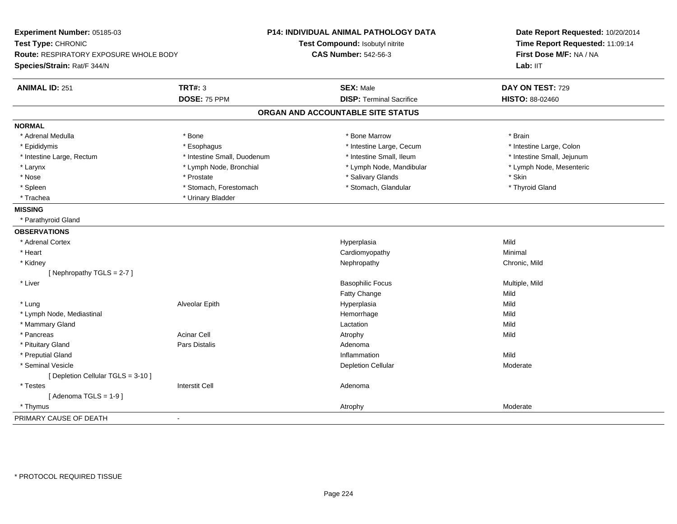| Experiment Number: 05185-03<br>Test Type: CHRONIC<br>Route: RESPIRATORY EXPOSURE WHOLE BODY<br>Species/Strain: Rat/F 344/N |                             | P14: INDIVIDUAL ANIMAL PATHOLOGY DATA<br>Test Compound: Isobutyl nitrite<br><b>CAS Number: 542-56-3</b> | Date Report Requested: 10/20/2014<br>Time Report Requested: 11:09:14<br>First Dose M/F: NA / NA<br>Lab: IIT |
|----------------------------------------------------------------------------------------------------------------------------|-----------------------------|---------------------------------------------------------------------------------------------------------|-------------------------------------------------------------------------------------------------------------|
| <b>ANIMAL ID: 251</b>                                                                                                      | <b>TRT#: 3</b>              | <b>SEX: Male</b>                                                                                        | DAY ON TEST: 729                                                                                            |
|                                                                                                                            | DOSE: 75 PPM                | <b>DISP: Terminal Sacrifice</b>                                                                         | HISTO: 88-02460                                                                                             |
|                                                                                                                            |                             | ORGAN AND ACCOUNTABLE SITE STATUS                                                                       |                                                                                                             |
| <b>NORMAL</b>                                                                                                              |                             |                                                                                                         |                                                                                                             |
| * Adrenal Medulla                                                                                                          | * Bone                      | * Bone Marrow                                                                                           | * Brain                                                                                                     |
| * Epididymis                                                                                                               | * Esophagus                 | * Intestine Large, Cecum                                                                                | * Intestine Large, Colon                                                                                    |
| * Intestine Large, Rectum                                                                                                  | * Intestine Small, Duodenum | * Intestine Small, Ileum                                                                                | * Intestine Small, Jejunum                                                                                  |
| * Larynx                                                                                                                   | * Lymph Node, Bronchial     | * Lymph Node, Mandibular                                                                                | * Lymph Node, Mesenteric                                                                                    |
| * Nose                                                                                                                     | * Prostate                  | * Salivary Glands                                                                                       | * Skin                                                                                                      |
| * Spleen                                                                                                                   | * Stomach, Forestomach      | * Stomach, Glandular                                                                                    | * Thyroid Gland                                                                                             |
| * Trachea                                                                                                                  | * Urinary Bladder           |                                                                                                         |                                                                                                             |
| <b>MISSING</b>                                                                                                             |                             |                                                                                                         |                                                                                                             |
| * Parathyroid Gland                                                                                                        |                             |                                                                                                         |                                                                                                             |
| <b>OBSERVATIONS</b>                                                                                                        |                             |                                                                                                         |                                                                                                             |
| * Adrenal Cortex                                                                                                           |                             | Hyperplasia                                                                                             | Mild                                                                                                        |
| * Heart                                                                                                                    |                             | Cardiomyopathy                                                                                          | Minimal                                                                                                     |
| * Kidney                                                                                                                   |                             | Nephropathy                                                                                             | Chronic, Mild                                                                                               |
| [Nephropathy TGLS = $2-7$ ]                                                                                                |                             |                                                                                                         |                                                                                                             |
| * Liver                                                                                                                    |                             | <b>Basophilic Focus</b>                                                                                 | Multiple, Mild                                                                                              |
|                                                                                                                            |                             | Fatty Change                                                                                            | Mild                                                                                                        |
| * Lung                                                                                                                     | Alveolar Epith              | Hyperplasia                                                                                             | Mild                                                                                                        |
| * Lymph Node, Mediastinal                                                                                                  |                             | Hemorrhage                                                                                              | Mild                                                                                                        |
| * Mammary Gland                                                                                                            |                             | Lactation                                                                                               | Mild                                                                                                        |
| * Pancreas                                                                                                                 | <b>Acinar Cell</b>          | Atrophy                                                                                                 | Mild                                                                                                        |
| * Pituitary Gland                                                                                                          | <b>Pars Distalis</b>        | Adenoma                                                                                                 |                                                                                                             |
| * Preputial Gland                                                                                                          |                             | Inflammation                                                                                            | Mild                                                                                                        |
| * Seminal Vesicle                                                                                                          |                             | <b>Depletion Cellular</b>                                                                               | Moderate                                                                                                    |
| [ Depletion Cellular TGLS = 3-10 ]                                                                                         |                             |                                                                                                         |                                                                                                             |
| * Testes                                                                                                                   | <b>Interstit Cell</b>       | Adenoma                                                                                                 |                                                                                                             |
| [Adenoma TGLS = $1-9$ ]                                                                                                    |                             |                                                                                                         |                                                                                                             |
| * Thymus                                                                                                                   |                             | Atrophy                                                                                                 | Moderate                                                                                                    |
| PRIMARY CAUSE OF DEATH                                                                                                     | $\blacksquare$              |                                                                                                         |                                                                                                             |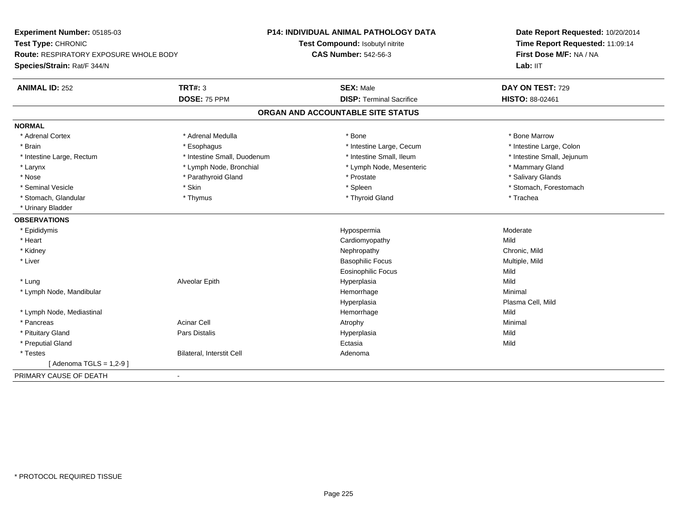| Experiment Number: 05185-03              |                             | <b>P14: INDIVIDUAL ANIMAL PATHOLOGY DATA</b> | Date Report Requested: 10/20/2014<br>Time Report Requested: 11:09:14<br>First Dose M/F: NA / NA |
|------------------------------------------|-----------------------------|----------------------------------------------|-------------------------------------------------------------------------------------------------|
| Test Type: CHRONIC                       |                             | Test Compound: Isobutyl nitrite              |                                                                                                 |
| Route: RESPIRATORY EXPOSURE WHOLE BODY   |                             | <b>CAS Number: 542-56-3</b>                  |                                                                                                 |
| Species/Strain: Rat/F 344/N              |                             |                                              | Lab: IIT                                                                                        |
| <b>ANIMAL ID: 252</b>                    | <b>TRT#: 3</b>              | <b>SEX: Male</b>                             | DAY ON TEST: 729                                                                                |
|                                          | <b>DOSE: 75 PPM</b>         | <b>DISP: Terminal Sacrifice</b>              | HISTO: 88-02461                                                                                 |
|                                          |                             | ORGAN AND ACCOUNTABLE SITE STATUS            |                                                                                                 |
| <b>NORMAL</b>                            |                             |                                              |                                                                                                 |
| * Adrenal Cortex                         | * Adrenal Medulla           | * Bone                                       | * Bone Marrow                                                                                   |
| * Brain                                  | * Esophagus                 | * Intestine Large, Cecum                     | * Intestine Large, Colon                                                                        |
| * Intestine Large, Rectum                | * Intestine Small, Duodenum | * Intestine Small, Ileum                     | * Intestine Small, Jejunum                                                                      |
| * Larynx                                 | * Lymph Node, Bronchial     | * Lymph Node, Mesenteric                     | * Mammary Gland                                                                                 |
| * Nose                                   | * Parathyroid Gland         | * Prostate                                   | * Salivary Glands                                                                               |
| * Seminal Vesicle                        | * Skin                      | * Spleen                                     | * Stomach, Forestomach                                                                          |
| * Stomach, Glandular                     | * Thymus                    | * Thyroid Gland                              | * Trachea                                                                                       |
| * Urinary Bladder                        |                             |                                              |                                                                                                 |
| <b>OBSERVATIONS</b>                      |                             |                                              |                                                                                                 |
| * Epididymis                             |                             | Hypospermia                                  | Moderate                                                                                        |
| * Heart                                  |                             | Cardiomyopathy                               | Mild                                                                                            |
| * Kidney                                 |                             | Nephropathy                                  | Chronic, Mild                                                                                   |
| * Liver                                  |                             | <b>Basophilic Focus</b>                      | Multiple, Mild                                                                                  |
|                                          |                             | <b>Eosinophilic Focus</b>                    | Mild                                                                                            |
| * Lung                                   | Alveolar Epith              | Hyperplasia                                  | Mild                                                                                            |
| * Lymph Node, Mandibular                 |                             | Hemorrhage                                   | Minimal                                                                                         |
|                                          |                             | Hyperplasia                                  | Plasma Cell, Mild                                                                               |
| * Lymph Node, Mediastinal                |                             | Hemorrhage                                   | Mild                                                                                            |
| * Pancreas                               | <b>Acinar Cell</b>          | Atrophy                                      | Minimal                                                                                         |
| * Pituitary Gland                        | Pars Distalis               | Hyperplasia                                  | Mild                                                                                            |
| * Preputial Gland                        |                             | Ectasia                                      | Mild                                                                                            |
| * Testes                                 | Bilateral, Interstit Cell   | Adenoma                                      |                                                                                                 |
| [ Adenoma TGLS = 1,2-9 ]                 |                             |                                              |                                                                                                 |
| PRIMARY CAUSE OF DEATH<br>$\blacksquare$ |                             |                                              |                                                                                                 |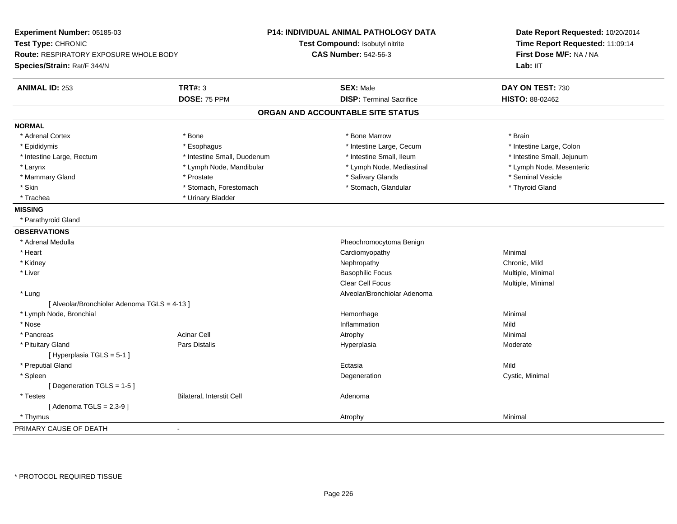| Experiment Number: 05185-03<br>Test Type: CHRONIC<br>Route: RESPIRATORY EXPOSURE WHOLE BODY<br>Species/Strain: Rat/F 344/N |                             | <b>P14: INDIVIDUAL ANIMAL PATHOLOGY DATA</b><br>Test Compound: Isobutyl nitrite<br><b>CAS Number: 542-56-3</b> | Date Report Requested: 10/20/2014<br>Time Report Requested: 11:09:14<br>First Dose M/F: NA / NA<br>Lab: IIT |
|----------------------------------------------------------------------------------------------------------------------------|-----------------------------|----------------------------------------------------------------------------------------------------------------|-------------------------------------------------------------------------------------------------------------|
| <b>ANIMAL ID: 253</b>                                                                                                      | <b>TRT#: 3</b>              | <b>SEX: Male</b>                                                                                               | DAY ON TEST: 730                                                                                            |
|                                                                                                                            | DOSE: 75 PPM                | <b>DISP: Terminal Sacrifice</b>                                                                                | HISTO: 88-02462                                                                                             |
|                                                                                                                            |                             | ORGAN AND ACCOUNTABLE SITE STATUS                                                                              |                                                                                                             |
| <b>NORMAL</b>                                                                                                              |                             |                                                                                                                |                                                                                                             |
| * Adrenal Cortex                                                                                                           | * Bone                      | * Bone Marrow                                                                                                  | * Brain                                                                                                     |
| * Epididymis                                                                                                               | * Esophagus                 | * Intestine Large, Cecum                                                                                       | * Intestine Large, Colon                                                                                    |
| * Intestine Large, Rectum                                                                                                  | * Intestine Small, Duodenum | * Intestine Small, Ileum                                                                                       | * Intestine Small, Jejunum                                                                                  |
| * Larynx                                                                                                                   | * Lymph Node, Mandibular    | * Lymph Node, Mediastinal                                                                                      | * Lymph Node, Mesenteric                                                                                    |
| * Mammary Gland                                                                                                            | * Prostate                  | * Salivary Glands                                                                                              | * Seminal Vesicle                                                                                           |
| * Skin                                                                                                                     | * Stomach, Forestomach      | * Stomach, Glandular                                                                                           | * Thyroid Gland                                                                                             |
| * Trachea                                                                                                                  | * Urinary Bladder           |                                                                                                                |                                                                                                             |
| <b>MISSING</b>                                                                                                             |                             |                                                                                                                |                                                                                                             |
| * Parathyroid Gland                                                                                                        |                             |                                                                                                                |                                                                                                             |
| <b>OBSERVATIONS</b>                                                                                                        |                             |                                                                                                                |                                                                                                             |
| * Adrenal Medulla                                                                                                          |                             | Pheochromocytoma Benign                                                                                        |                                                                                                             |
| * Heart                                                                                                                    |                             | Cardiomyopathy                                                                                                 | Minimal                                                                                                     |
| * Kidney                                                                                                                   |                             | Nephropathy                                                                                                    | Chronic, Mild                                                                                               |
| * Liver                                                                                                                    |                             | <b>Basophilic Focus</b>                                                                                        | Multiple, Minimal                                                                                           |
|                                                                                                                            |                             | Clear Cell Focus                                                                                               | Multiple, Minimal                                                                                           |
| * Lung                                                                                                                     |                             | Alveolar/Bronchiolar Adenoma                                                                                   |                                                                                                             |
| [ Alveolar/Bronchiolar Adenoma TGLS = 4-13 ]                                                                               |                             |                                                                                                                |                                                                                                             |
| * Lymph Node, Bronchial                                                                                                    |                             | Hemorrhage                                                                                                     | Minimal                                                                                                     |
| * Nose                                                                                                                     |                             | Inflammation                                                                                                   | Mild                                                                                                        |
| * Pancreas                                                                                                                 | <b>Acinar Cell</b>          | Atrophy                                                                                                        | Minimal                                                                                                     |
| * Pituitary Gland                                                                                                          | Pars Distalis               | Hyperplasia                                                                                                    | Moderate                                                                                                    |
| [Hyperplasia TGLS = $5-1$ ]                                                                                                |                             |                                                                                                                |                                                                                                             |
| * Preputial Gland                                                                                                          |                             | Ectasia                                                                                                        | Mild                                                                                                        |
| * Spleen                                                                                                                   |                             | Degeneration                                                                                                   | Cystic, Minimal                                                                                             |
| [Degeneration TGLS = 1-5]                                                                                                  |                             |                                                                                                                |                                                                                                             |
| * Testes                                                                                                                   | Bilateral, Interstit Cell   | Adenoma                                                                                                        |                                                                                                             |
| [Adenoma TGLS = $2,3-9$ ]                                                                                                  |                             |                                                                                                                |                                                                                                             |
| * Thymus                                                                                                                   |                             | Atrophy                                                                                                        | Minimal                                                                                                     |
| PRIMARY CAUSE OF DEATH                                                                                                     | $\blacksquare$              |                                                                                                                |                                                                                                             |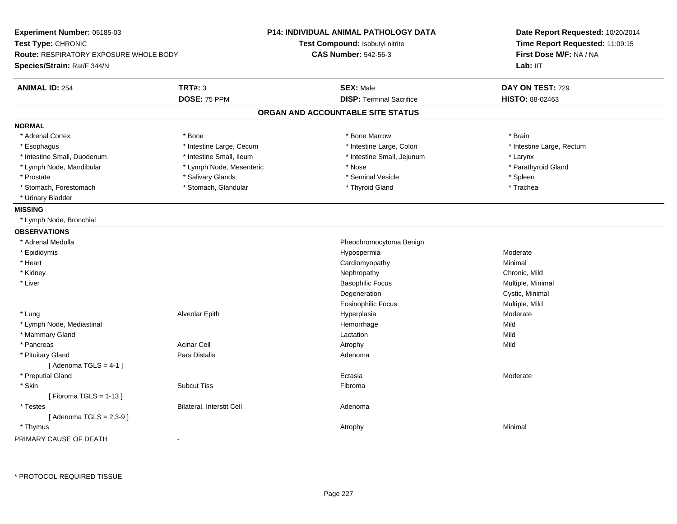| Experiment Number: 05185-03<br>Test Type: CHRONIC<br><b>Route: RESPIRATORY EXPOSURE WHOLE BODY</b><br>Species/Strain: Rat/F 344/N |                           | <b>P14: INDIVIDUAL ANIMAL PATHOLOGY DATA</b><br>Test Compound: Isobutyl nitrite<br><b>CAS Number: 542-56-3</b> | Date Report Requested: 10/20/2014<br>Time Report Requested: 11:09:15<br>First Dose M/F: NA / NA<br>Lab: IIT |
|-----------------------------------------------------------------------------------------------------------------------------------|---------------------------|----------------------------------------------------------------------------------------------------------------|-------------------------------------------------------------------------------------------------------------|
| <b>ANIMAL ID: 254</b>                                                                                                             | <b>TRT#: 3</b>            | <b>SEX: Male</b>                                                                                               | DAY ON TEST: 729                                                                                            |
|                                                                                                                                   | DOSE: 75 PPM              | <b>DISP: Terminal Sacrifice</b>                                                                                | HISTO: 88-02463                                                                                             |
|                                                                                                                                   |                           | ORGAN AND ACCOUNTABLE SITE STATUS                                                                              |                                                                                                             |
| <b>NORMAL</b>                                                                                                                     |                           |                                                                                                                |                                                                                                             |
| * Adrenal Cortex                                                                                                                  | * Bone                    | * Bone Marrow                                                                                                  | * Brain                                                                                                     |
| * Esophagus                                                                                                                       | * Intestine Large, Cecum  | * Intestine Large, Colon                                                                                       | * Intestine Large, Rectum                                                                                   |
| * Intestine Small, Duodenum                                                                                                       | * Intestine Small, Ileum  | * Intestine Small, Jejunum                                                                                     | * Larynx                                                                                                    |
| * Lymph Node, Mandibular                                                                                                          | * Lymph Node, Mesenteric  | * Nose                                                                                                         | * Parathyroid Gland                                                                                         |
| * Prostate                                                                                                                        | * Salivary Glands         | * Seminal Vesicle                                                                                              | * Spleen                                                                                                    |
| * Stomach, Forestomach                                                                                                            | * Stomach, Glandular      | * Thyroid Gland                                                                                                | * Trachea                                                                                                   |
| * Urinary Bladder                                                                                                                 |                           |                                                                                                                |                                                                                                             |
| <b>MISSING</b>                                                                                                                    |                           |                                                                                                                |                                                                                                             |
| * Lymph Node, Bronchial                                                                                                           |                           |                                                                                                                |                                                                                                             |
| <b>OBSERVATIONS</b>                                                                                                               |                           |                                                                                                                |                                                                                                             |
| * Adrenal Medulla                                                                                                                 |                           | Pheochromocytoma Benign                                                                                        |                                                                                                             |
| * Epididymis                                                                                                                      |                           | Hypospermia                                                                                                    | Moderate                                                                                                    |
| * Heart                                                                                                                           |                           | Cardiomyopathy                                                                                                 | Minimal                                                                                                     |
| * Kidney                                                                                                                          |                           | Nephropathy                                                                                                    | Chronic, Mild                                                                                               |
| * Liver                                                                                                                           |                           | <b>Basophilic Focus</b>                                                                                        | Multiple, Minimal                                                                                           |
|                                                                                                                                   |                           | Degeneration                                                                                                   | Cystic, Minimal                                                                                             |
|                                                                                                                                   |                           | <b>Eosinophilic Focus</b>                                                                                      | Multiple, Mild                                                                                              |
| * Lung                                                                                                                            | Alveolar Epith            | Hyperplasia                                                                                                    | Moderate                                                                                                    |
| * Lymph Node, Mediastinal                                                                                                         |                           | Hemorrhage                                                                                                     | Mild                                                                                                        |
| * Mammary Gland                                                                                                                   |                           | Lactation                                                                                                      | Mild                                                                                                        |
| * Pancreas                                                                                                                        | <b>Acinar Cell</b>        | Atrophy                                                                                                        | Mild                                                                                                        |
| * Pituitary Gland                                                                                                                 | <b>Pars Distalis</b>      | Adenoma                                                                                                        |                                                                                                             |
| [Adenoma TGLS = $4-1$ ]                                                                                                           |                           |                                                                                                                |                                                                                                             |
| * Preputial Gland                                                                                                                 |                           | Ectasia                                                                                                        | Moderate                                                                                                    |
| * Skin                                                                                                                            | <b>Subcut Tiss</b>        | Fibroma                                                                                                        |                                                                                                             |
| [Fibroma TGLS = $1-13$ ]                                                                                                          |                           |                                                                                                                |                                                                                                             |
| * Testes                                                                                                                          | Bilateral, Interstit Cell | Adenoma                                                                                                        |                                                                                                             |
| [Adenoma TGLS = $2,3-9$ ]                                                                                                         |                           |                                                                                                                |                                                                                                             |
| * Thymus                                                                                                                          |                           | Atrophy                                                                                                        | Minimal                                                                                                     |

PRIMARY CAUSE OF DEATH-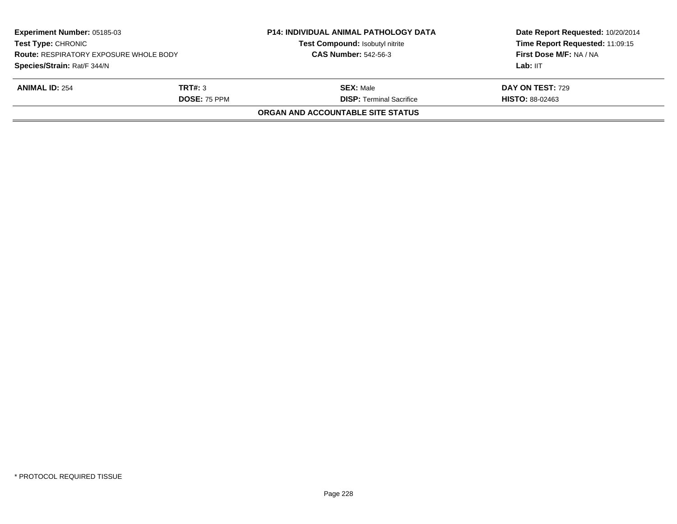| Experiment Number: 05185-03<br><b>Test Type: CHRONIC</b><br><b>Route: RESPIRATORY EXPOSURE WHOLE BODY</b> |                     | <b>P14: INDIVIDUAL ANIMAL PATHOLOGY DATA</b><br>Test Compound: Isobutyl nitrite | Date Report Requested: 10/20/2014<br>Time Report Requested: 11:09:15<br>First Dose M/F: NA / NA |
|-----------------------------------------------------------------------------------------------------------|---------------------|---------------------------------------------------------------------------------|-------------------------------------------------------------------------------------------------|
|                                                                                                           |                     | <b>CAS Number: 542-56-3</b>                                                     |                                                                                                 |
| Species/Strain: Rat/F 344/N                                                                               |                     |                                                                                 | Lab: IIT                                                                                        |
| <b>ANIMAL ID: 254</b>                                                                                     | TRT#: 3             | <b>SEX: Male</b>                                                                | <b>DAY ON TEST: 729</b>                                                                         |
|                                                                                                           | <b>DOSE: 75 PPM</b> | <b>DISP: Terminal Sacrifice</b>                                                 | <b>HISTO: 88-02463</b>                                                                          |
|                                                                                                           |                     | ORGAN AND ACCOUNTABLE SITE STATUS                                               |                                                                                                 |
|                                                                                                           |                     |                                                                                 |                                                                                                 |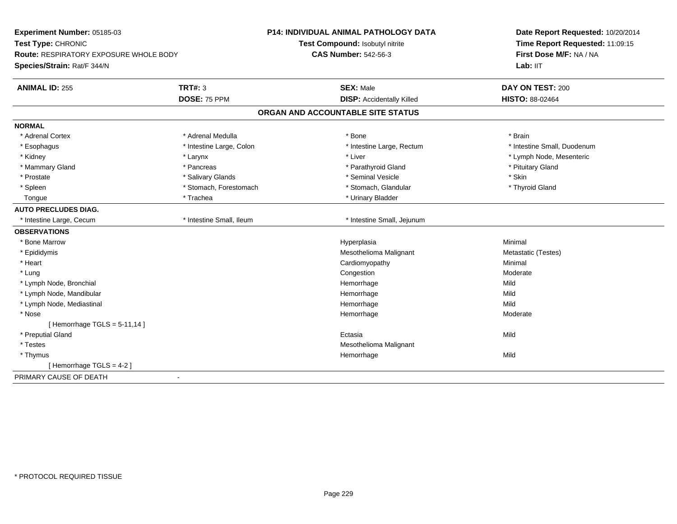| Experiment Number: 05185-03<br>Test Type: CHRONIC<br>Route: RESPIRATORY EXPOSURE WHOLE BODY |                          | <b>P14: INDIVIDUAL ANIMAL PATHOLOGY DATA</b> | Date Report Requested: 10/20/2014<br>Time Report Requested: 11:09:15<br>First Dose M/F: NA / NA |
|---------------------------------------------------------------------------------------------|--------------------------|----------------------------------------------|-------------------------------------------------------------------------------------------------|
|                                                                                             |                          | Test Compound: Isobutyl nitrite              |                                                                                                 |
|                                                                                             |                          | <b>CAS Number: 542-56-3</b>                  |                                                                                                 |
| Species/Strain: Rat/F 344/N                                                                 |                          |                                              | Lab: IIT                                                                                        |
| <b>ANIMAL ID: 255</b>                                                                       | <b>TRT#: 3</b>           | <b>SEX: Male</b>                             | DAY ON TEST: 200                                                                                |
|                                                                                             | DOSE: 75 PPM             | <b>DISP:</b> Accidentally Killed             | HISTO: 88-02464                                                                                 |
|                                                                                             |                          | ORGAN AND ACCOUNTABLE SITE STATUS            |                                                                                                 |
| <b>NORMAL</b>                                                                               |                          |                                              |                                                                                                 |
| * Adrenal Cortex                                                                            | * Adrenal Medulla        | * Bone                                       | * Brain                                                                                         |
| * Esophagus                                                                                 | * Intestine Large, Colon | * Intestine Large, Rectum                    | * Intestine Small, Duodenum                                                                     |
| * Kidney                                                                                    | * Larynx                 | * Liver                                      | * Lymph Node, Mesenteric                                                                        |
| * Mammary Gland                                                                             | * Pancreas               | * Parathyroid Gland                          | * Pituitary Gland                                                                               |
| * Prostate                                                                                  | * Salivary Glands        | * Seminal Vesicle                            | * Skin                                                                                          |
| * Spleen                                                                                    | * Stomach, Forestomach   | * Stomach, Glandular                         | * Thyroid Gland                                                                                 |
| Tongue                                                                                      | * Trachea                | * Urinary Bladder                            |                                                                                                 |
| <b>AUTO PRECLUDES DIAG.</b>                                                                 |                          |                                              |                                                                                                 |
| * Intestine Large, Cecum                                                                    | * Intestine Small, Ileum | * Intestine Small, Jejunum                   |                                                                                                 |
| <b>OBSERVATIONS</b>                                                                         |                          |                                              |                                                                                                 |
| * Bone Marrow                                                                               |                          | Hyperplasia                                  | Minimal                                                                                         |
| * Epididymis                                                                                |                          | Mesothelioma Malignant                       | Metastatic (Testes)                                                                             |
| * Heart                                                                                     |                          | Cardiomyopathy                               | Minimal                                                                                         |
| * Lung                                                                                      |                          | Congestion                                   | Moderate                                                                                        |
| * Lymph Node, Bronchial                                                                     |                          | Hemorrhage                                   | Mild                                                                                            |
| * Lymph Node, Mandibular                                                                    |                          | Hemorrhage                                   | Mild                                                                                            |
| * Lymph Node, Mediastinal                                                                   |                          | Hemorrhage                                   | Mild                                                                                            |
| * Nose                                                                                      |                          | Hemorrhage                                   | Moderate                                                                                        |
| [Hemorrhage $TGLS = 5-11,14$ ]                                                              |                          |                                              |                                                                                                 |
| * Preputial Gland                                                                           |                          | Ectasia                                      | Mild                                                                                            |
| * Testes                                                                                    |                          | Mesothelioma Malignant                       |                                                                                                 |
| * Thymus                                                                                    |                          | Hemorrhage                                   | Mild                                                                                            |
| [Hemorrhage TGLS = $4-2$ ]                                                                  |                          |                                              |                                                                                                 |
| PRIMARY CAUSE OF DEATH                                                                      | $\blacksquare$           |                                              |                                                                                                 |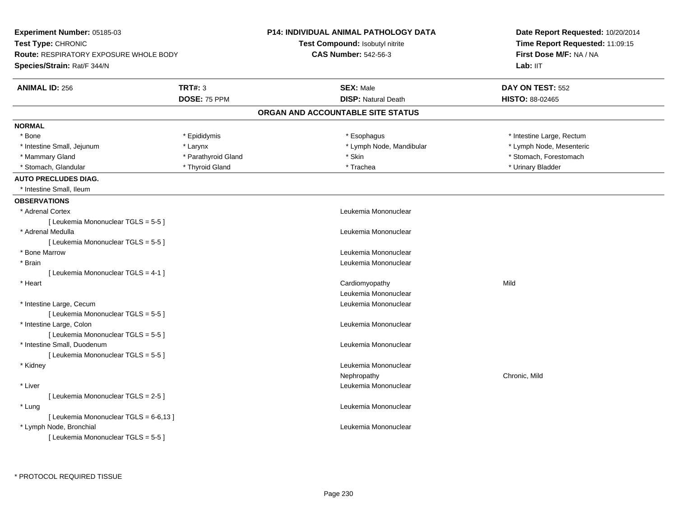| Experiment Number: 05185-03                                         |                     | <b>P14: INDIVIDUAL ANIMAL PATHOLOGY DATA</b> | Date Report Requested: 10/20/2014                          |
|---------------------------------------------------------------------|---------------------|----------------------------------------------|------------------------------------------------------------|
| Test Type: CHRONIC<br><b>Route: RESPIRATORY EXPOSURE WHOLE BODY</b> |                     | <b>Test Compound: Isobutyl nitrite</b>       | Time Report Requested: 11:09:15<br>First Dose M/F: NA / NA |
|                                                                     |                     | <b>CAS Number: 542-56-3</b>                  |                                                            |
| Species/Strain: Rat/F 344/N                                         |                     |                                              | Lab: IIT                                                   |
| <b>ANIMAL ID: 256</b>                                               | <b>TRT#: 3</b>      | <b>SEX: Male</b>                             | DAY ON TEST: 552                                           |
|                                                                     | DOSE: 75 PPM        | <b>DISP: Natural Death</b>                   | HISTO: 88-02465                                            |
|                                                                     |                     | ORGAN AND ACCOUNTABLE SITE STATUS            |                                                            |
| <b>NORMAL</b>                                                       |                     |                                              |                                                            |
| * Bone                                                              | * Epididymis        | * Esophagus                                  | * Intestine Large, Rectum                                  |
| * Intestine Small, Jejunum                                          | * Larynx            | * Lymph Node, Mandibular                     | * Lymph Node, Mesenteric                                   |
| * Mammary Gland                                                     | * Parathyroid Gland | * Skin                                       | * Stomach, Forestomach                                     |
| * Stomach, Glandular                                                | * Thyroid Gland     | * Trachea                                    | * Urinary Bladder                                          |
| <b>AUTO PRECLUDES DIAG.</b>                                         |                     |                                              |                                                            |
| * Intestine Small, Ileum                                            |                     |                                              |                                                            |
| <b>OBSERVATIONS</b>                                                 |                     |                                              |                                                            |
| * Adrenal Cortex                                                    |                     | Leukemia Mononuclear                         |                                                            |
| [ Leukemia Mononuclear TGLS = 5-5 ]                                 |                     |                                              |                                                            |
| * Adrenal Medulla                                                   |                     | Leukemia Mononuclear                         |                                                            |
| [ Leukemia Mononuclear TGLS = 5-5 ]                                 |                     |                                              |                                                            |
| * Bone Marrow                                                       |                     | Leukemia Mononuclear                         |                                                            |
| * Brain                                                             |                     | Leukemia Mononuclear                         |                                                            |
| [ Leukemia Mononuclear TGLS = 4-1 ]                                 |                     |                                              |                                                            |
| * Heart                                                             |                     | Cardiomyopathy                               | Mild                                                       |
|                                                                     |                     | Leukemia Mononuclear                         |                                                            |
| * Intestine Large, Cecum                                            |                     | Leukemia Mononuclear                         |                                                            |
| [ Leukemia Mononuclear TGLS = 5-5 ]                                 |                     |                                              |                                                            |
| * Intestine Large, Colon                                            |                     | Leukemia Mononuclear                         |                                                            |
| [ Leukemia Mononuclear TGLS = 5-5 ]                                 |                     |                                              |                                                            |
| * Intestine Small, Duodenum                                         |                     | Leukemia Mononuclear                         |                                                            |
| [ Leukemia Mononuclear TGLS = 5-5 ]                                 |                     |                                              |                                                            |
| * Kidney                                                            |                     | Leukemia Mononuclear                         |                                                            |
|                                                                     |                     | Nephropathy                                  | Chronic, Mild                                              |
| * Liver                                                             |                     | Leukemia Mononuclear                         |                                                            |
| [ Leukemia Mononuclear TGLS = 2-5 ]                                 |                     |                                              |                                                            |
| * Lung                                                              |                     | Leukemia Mononuclear                         |                                                            |
| [ Leukemia Mononuclear TGLS = 6-6,13 ]                              |                     |                                              |                                                            |
| * Lymph Node, Bronchial                                             |                     | Leukemia Mononuclear                         |                                                            |
| [Leukemia Mononuclear TGLS = 5-5]                                   |                     |                                              |                                                            |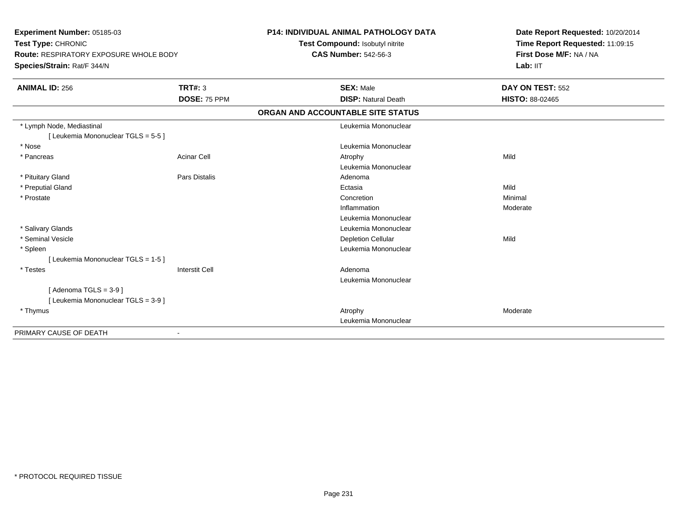**Experiment Number:** 05185-03**Test Type:** CHRONIC **Route:** RESPIRATORY EXPOSURE WHOLE BODY**Species/Strain:** Rat/F 344/N**P14: INDIVIDUAL ANIMAL PATHOLOGY DATATest Compound:** Isobutyl nitrite**CAS Number:** 542-56-3**Date Report Requested:** 10/20/2014**Time Report Requested:** 11:09:15**First Dose M/F:** NA / NA**Lab:** IIT**ANIMAL ID:** 256**6 DAY ON TEST:** 552 **DOSE:** 75 PPM **DISP:** Natural Death **HISTO:** 88-02465 **ORGAN AND ACCOUNTABLE SITE STATUS** \* Lymph Node, Mediastinal Leukemia Mononuclear[ Leukemia Mononuclear TGLS = 5-5 ] \* NoseLeukemia Mononuclear<br>Acinar Cell **Acidemia Mononuclear**<br>Atrophy \* Pancreass and the contract of the Acinar Cell and the Cell and the Atrophy and Atrophy and the Mild and Mild and Mild and Mild and Mild and Mild and Mild and Mild and Mild and Mild and Mild and Mild and Mild and Mild and Mild and Leukemia Mononuclear \* Pituitary Glandd and the set of Pars Distalis and the Second Adenomal Adenomal Second Second Pars Distallis \* Preputial Glandd and the control of the control of the control of the control of the control of the control of the control of the control of the control of the control of the control of the control of the control of the control of the co \* Prostatee de la concertion de la concertion de la concertion de la concertion de la concertion de la concertion de la concertion de la concertion de la concertion de la concertion de la concertion de la concertion de la concertion Inflammation Moderate Leukemia Mononuclear \* Salivary Glands Leukemia Mononuclear \* Seminal Vesiclee and the control of the control of the control of the Depletion Cellular and the control of the Mild of the C \* Spleen Leukemia Mononuclear [ Leukemia Mononuclear TGLS = 1-5 ] \* Testess and the contract of the contract of the contract of the contract of the contract of the contract of the contract of  $\mathbb{R}^n$  Leukemia Mononuclear $[$  Adenoma TGLS = 3-9  $]$ [ Leukemia Mononuclear TGLS = 3-9 ] \* Thymuss and the control of the control of the control of the control of the control of the control of the control of the control of the control of the control of the control of the control of the control of the control of the co Leukemia MononuclearPRIMARY CAUSE OF DEATH-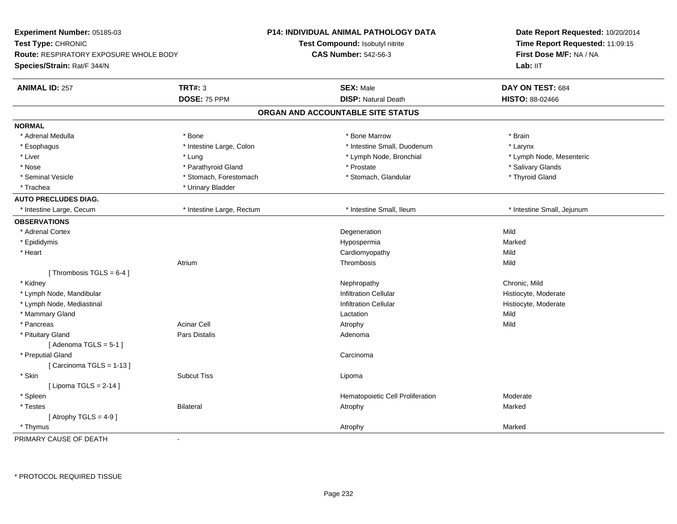| <b>Route: RESPIRATORY EXPOSURE WHOLE BODY</b><br>Species/Strain: Rat/F 344/N |                           | Test Compound: Isobutyl nitrite<br><b>CAS Number: 542-56-3</b> | Time Report Requested: 11:09:15<br>First Dose M/F: NA / NA<br>Lab: IIT |
|------------------------------------------------------------------------------|---------------------------|----------------------------------------------------------------|------------------------------------------------------------------------|
| <b>ANIMAL ID: 257</b>                                                        | <b>TRT#: 3</b>            | <b>SEX: Male</b>                                               | DAY ON TEST: 684                                                       |
|                                                                              | DOSE: 75 PPM              | <b>DISP: Natural Death</b>                                     | HISTO: 88-02466                                                        |
|                                                                              |                           | ORGAN AND ACCOUNTABLE SITE STATUS                              |                                                                        |
| <b>NORMAL</b>                                                                |                           |                                                                |                                                                        |
| * Adrenal Medulla                                                            | * Bone                    | * Bone Marrow                                                  | * Brain                                                                |
| * Esophagus                                                                  | * Intestine Large, Colon  | * Intestine Small, Duodenum                                    | * Larynx                                                               |
| * Liver                                                                      | * Lung                    | * Lymph Node, Bronchial                                        | * Lymph Node, Mesenteric                                               |
| * Nose                                                                       | * Parathyroid Gland       | * Prostate                                                     | * Salivary Glands                                                      |
| * Seminal Vesicle                                                            | * Stomach, Forestomach    | * Stomach, Glandular                                           | * Thyroid Gland                                                        |
| * Trachea                                                                    | * Urinary Bladder         |                                                                |                                                                        |
| <b>AUTO PRECLUDES DIAG.</b>                                                  |                           |                                                                |                                                                        |
| * Intestine Large, Cecum                                                     | * Intestine Large, Rectum | * Intestine Small, Ileum                                       | * Intestine Small, Jejunum                                             |
| <b>OBSERVATIONS</b>                                                          |                           |                                                                |                                                                        |
| * Adrenal Cortex                                                             |                           | Degeneration                                                   | Mild                                                                   |
| * Epididymis                                                                 |                           | Hypospermia                                                    | Marked                                                                 |
| * Heart                                                                      |                           | Cardiomyopathy                                                 | Mild                                                                   |
|                                                                              | Atrium                    | Thrombosis                                                     | Mild                                                                   |
| [Thrombosis TGLS = $6-4$ ]                                                   |                           |                                                                |                                                                        |
| * Kidney                                                                     |                           | Nephropathy                                                    | Chronic, Mild                                                          |
| * Lymph Node, Mandibular                                                     |                           | <b>Infiltration Cellular</b>                                   | Histiocyte, Moderate                                                   |
| * Lymph Node, Mediastinal                                                    |                           | <b>Infiltration Cellular</b>                                   | Histiocyte, Moderate                                                   |
| * Mammary Gland                                                              |                           | Lactation                                                      | Mild                                                                   |
| * Pancreas                                                                   | <b>Acinar Cell</b>        | Atrophy                                                        | Mild                                                                   |
| * Pituitary Gland                                                            | Pars Distalis             | Adenoma                                                        |                                                                        |
| [Adenoma TGLS = $5-1$ ]                                                      |                           |                                                                |                                                                        |
| * Preputial Gland                                                            |                           | Carcinoma                                                      |                                                                        |
| [Carcinoma TGLS = $1-13$ ]                                                   |                           |                                                                |                                                                        |
| * Skin                                                                       | <b>Subcut Tiss</b>        | Lipoma                                                         |                                                                        |
| [ Lipoma TGLS = $2-14$ ]                                                     |                           |                                                                |                                                                        |
| * Spleen                                                                     |                           | Hematopoietic Cell Proliferation                               | Moderate                                                               |
| $^\star$ Testes                                                              | <b>Bilateral</b>          | Atrophy                                                        | Marked                                                                 |
| [Atrophy TGLS = $4-9$ ]                                                      |                           |                                                                |                                                                        |
| * Thymus                                                                     |                           | Atrophy                                                        | Marked                                                                 |

PRIMARY CAUSE OF DEATH-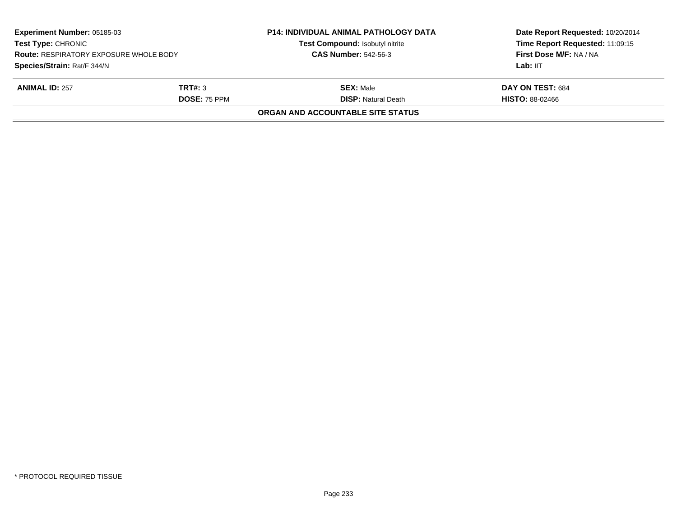| Experiment Number: 05185-03<br><b>Test Type: CHRONIC</b><br><b>Route: RESPIRATORY EXPOSURE WHOLE BODY</b> |                     | <b>P14: INDIVIDUAL ANIMAL PATHOLOGY DATA</b> | Date Report Requested: 10/20/2014<br>Time Report Requested: 11:09:15<br>First Dose M/F: NA / NA |
|-----------------------------------------------------------------------------------------------------------|---------------------|----------------------------------------------|-------------------------------------------------------------------------------------------------|
|                                                                                                           |                     | Test Compound: Isobutyl nitrite              |                                                                                                 |
|                                                                                                           |                     | <b>CAS Number: 542-56-3</b>                  |                                                                                                 |
| Species/Strain: Rat/F 344/N                                                                               |                     |                                              | Lab: IIT                                                                                        |
| <b>ANIMAL ID: 257</b>                                                                                     | TRT#: 3             | <b>SEX: Male</b>                             | DAY ON TEST: 684                                                                                |
|                                                                                                           | <b>DOSE: 75 PPM</b> | <b>DISP: Natural Death</b>                   | <b>HISTO: 88-02466</b>                                                                          |
|                                                                                                           |                     | ORGAN AND ACCOUNTABLE SITE STATUS            |                                                                                                 |
|                                                                                                           |                     |                                              |                                                                                                 |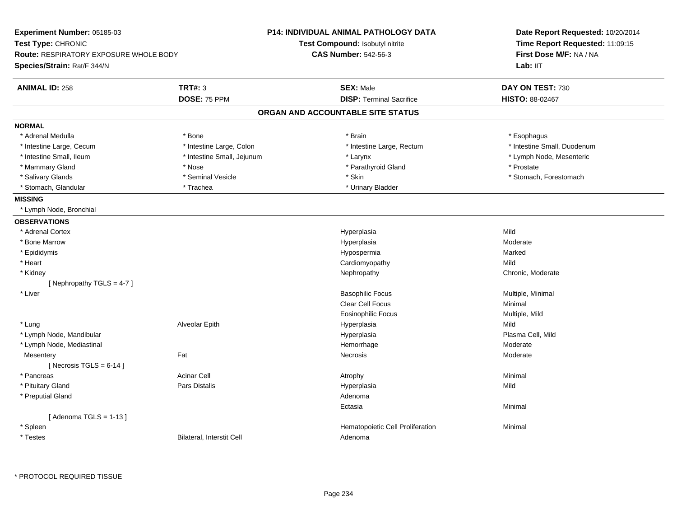| Experiment Number: 05185-03                                         |                                  | P14: INDIVIDUAL ANIMAL PATHOLOGY DATA | Date Report Requested: 10/20/2014                          |  |
|---------------------------------------------------------------------|----------------------------------|---------------------------------------|------------------------------------------------------------|--|
| Test Type: CHRONIC<br><b>Route: RESPIRATORY EXPOSURE WHOLE BODY</b> |                                  | Test Compound: Isobutyl nitrite       | Time Report Requested: 11:09:15<br>First Dose M/F: NA / NA |  |
|                                                                     |                                  | <b>CAS Number: 542-56-3</b>           |                                                            |  |
| Species/Strain: Rat/F 344/N                                         |                                  |                                       | Lab: IIT                                                   |  |
| <b>ANIMAL ID: 258</b>                                               | <b>TRT#: 3</b>                   | <b>SEX: Male</b>                      | DAY ON TEST: 730                                           |  |
|                                                                     | DOSE: 75 PPM                     | <b>DISP: Terminal Sacrifice</b>       | HISTO: 88-02467                                            |  |
|                                                                     |                                  | ORGAN AND ACCOUNTABLE SITE STATUS     |                                                            |  |
| <b>NORMAL</b>                                                       |                                  |                                       |                                                            |  |
| * Adrenal Medulla                                                   | * Bone                           | * Brain                               | * Esophagus                                                |  |
| * Intestine Large, Cecum                                            | * Intestine Large, Colon         | * Intestine Large, Rectum             | * Intestine Small, Duodenum                                |  |
| * Intestine Small, Ileum                                            | * Intestine Small, Jejunum       | * Larynx                              | * Lymph Node, Mesenteric                                   |  |
| * Mammary Gland                                                     | * Nose                           | * Parathyroid Gland                   | * Prostate                                                 |  |
| * Salivary Glands                                                   | * Seminal Vesicle                | * Skin                                | * Stomach, Forestomach                                     |  |
| * Stomach, Glandular                                                | * Trachea                        | * Urinary Bladder                     |                                                            |  |
| <b>MISSING</b>                                                      |                                  |                                       |                                                            |  |
| * Lymph Node, Bronchial                                             |                                  |                                       |                                                            |  |
| <b>OBSERVATIONS</b>                                                 |                                  |                                       |                                                            |  |
| * Adrenal Cortex                                                    |                                  | Hyperplasia                           | Mild                                                       |  |
| * Bone Marrow                                                       |                                  | Hyperplasia                           | Moderate                                                   |  |
| * Epididymis                                                        |                                  | Hypospermia                           | Marked                                                     |  |
| * Heart                                                             |                                  | Cardiomyopathy                        | Mild                                                       |  |
| * Kidney                                                            |                                  | Nephropathy                           | Chronic, Moderate                                          |  |
| [ Nephropathy TGLS = 4-7 ]                                          |                                  |                                       |                                                            |  |
| * Liver                                                             |                                  | <b>Basophilic Focus</b>               | Multiple, Minimal                                          |  |
|                                                                     |                                  | Clear Cell Focus                      | Minimal                                                    |  |
|                                                                     |                                  | Eosinophilic Focus                    | Multiple, Mild                                             |  |
| * Lung                                                              | Alveolar Epith                   | Hyperplasia                           | Mild                                                       |  |
| * Lymph Node, Mandibular                                            |                                  | Hyperplasia                           | Plasma Cell, Mild                                          |  |
| * Lymph Node, Mediastinal                                           |                                  | Hemorrhage                            | Moderate                                                   |  |
| Mesentery                                                           | Fat                              | Necrosis                              | Moderate                                                   |  |
| [Necrosis TGLS = $6-14$ ]                                           |                                  |                                       |                                                            |  |
| * Pancreas                                                          | <b>Acinar Cell</b>               | Atrophy                               | Minimal                                                    |  |
| * Pituitary Gland                                                   | <b>Pars Distalis</b>             | Hyperplasia                           | Mild                                                       |  |
| * Preputial Gland                                                   |                                  | Adenoma                               |                                                            |  |
|                                                                     |                                  | Ectasia                               | Minimal                                                    |  |
| [Adenoma TGLS = $1-13$ ]                                            |                                  |                                       |                                                            |  |
| * Spleen                                                            |                                  | Hematopoietic Cell Proliferation      | Minimal                                                    |  |
| * Testes                                                            | <b>Bilateral, Interstit Cell</b> | Adenoma                               |                                                            |  |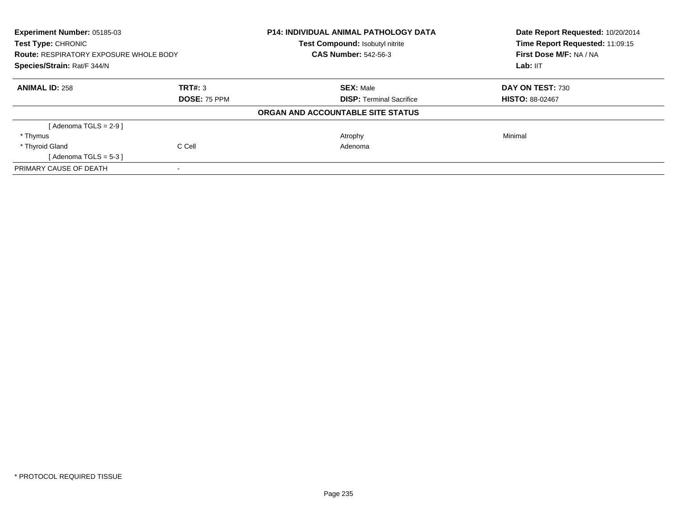| Experiment Number: 05185-03<br><b>Test Type: CHRONIC</b> |                     | <b>P14: INDIVIDUAL ANIMAL PATHOLOGY DATA</b><br>Test Compound: Isobutyl nitrite | Date Report Requested: 10/20/2014<br>Time Report Requested: 11:09:15 |
|----------------------------------------------------------|---------------------|---------------------------------------------------------------------------------|----------------------------------------------------------------------|
| <b>Route: RESPIRATORY EXPOSURE WHOLE BODY</b>            |                     | <b>CAS Number: 542-56-3</b>                                                     | First Dose M/F: NA / NA                                              |
| Species/Strain: Rat/F 344/N                              |                     |                                                                                 | Lab: IIT                                                             |
| <b>ANIMAL ID: 258</b>                                    | TRT#: 3             | <b>SEX: Male</b>                                                                | DAY ON TEST: 730                                                     |
|                                                          | <b>DOSE: 75 PPM</b> | <b>DISP:</b> Terminal Sacrifice                                                 | <b>HISTO: 88-02467</b>                                               |
|                                                          |                     | ORGAN AND ACCOUNTABLE SITE STATUS                                               |                                                                      |
| [Adenoma TGLS = $2-9$ ]                                  |                     |                                                                                 |                                                                      |
| * Thymus                                                 |                     | Atrophy                                                                         | Minimal                                                              |
| * Thyroid Gland                                          | C Cell              | Adenoma                                                                         |                                                                      |
| [Adenoma TGLS = $5-3$ ]                                  |                     |                                                                                 |                                                                      |
| PRIMARY CAUSE OF DEATH                                   |                     |                                                                                 |                                                                      |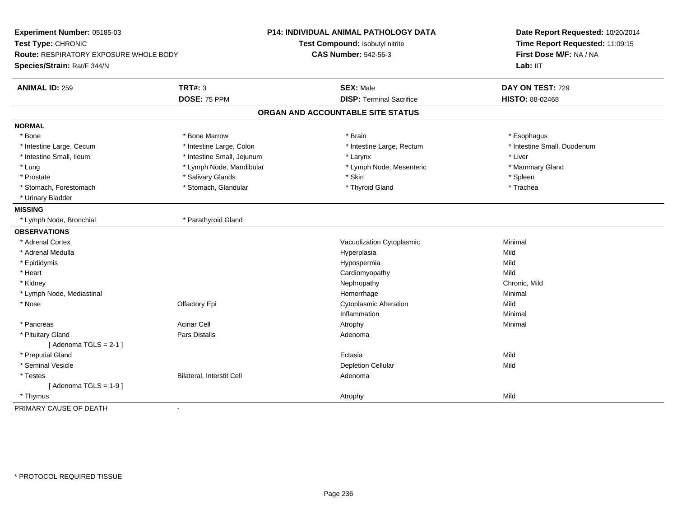| Experiment Number: 05185-03<br>Test Type: CHRONIC<br>Route: RESPIRATORY EXPOSURE WHOLE BODY<br>Species/Strain: Rat/F 344/N |                            | P14: INDIVIDUAL ANIMAL PATHOLOGY DATA<br>Test Compound: Isobutyl nitrite<br><b>CAS Number: 542-56-3</b> | Date Report Requested: 10/20/2014<br>Time Report Requested: 11:09:15<br>First Dose M/F: NA / NA<br>Lab: II <sub>T</sub> |
|----------------------------------------------------------------------------------------------------------------------------|----------------------------|---------------------------------------------------------------------------------------------------------|-------------------------------------------------------------------------------------------------------------------------|
| <b>ANIMAL ID: 259</b>                                                                                                      | <b>TRT#: 3</b>             | <b>SEX: Male</b>                                                                                        | DAY ON TEST: 729                                                                                                        |
|                                                                                                                            | DOSE: 75 PPM               | <b>DISP: Terminal Sacrifice</b>                                                                         | HISTO: 88-02468                                                                                                         |
|                                                                                                                            |                            | ORGAN AND ACCOUNTABLE SITE STATUS                                                                       |                                                                                                                         |
| <b>NORMAL</b>                                                                                                              |                            |                                                                                                         |                                                                                                                         |
| * Bone                                                                                                                     | * Bone Marrow              | * Brain                                                                                                 | * Esophagus                                                                                                             |
| * Intestine Large, Cecum                                                                                                   | * Intestine Large, Colon   | * Intestine Large, Rectum                                                                               | * Intestine Small, Duodenum                                                                                             |
| * Intestine Small, Ileum                                                                                                   | * Intestine Small, Jejunum | * Larynx                                                                                                | * Liver                                                                                                                 |
| * Lung                                                                                                                     | * Lymph Node, Mandibular   | * Lymph Node, Mesenteric                                                                                | * Mammary Gland                                                                                                         |
| * Prostate                                                                                                                 | * Salivary Glands          | * Skin                                                                                                  | * Spleen                                                                                                                |
| * Stomach, Forestomach                                                                                                     | * Stomach, Glandular       | * Thyroid Gland                                                                                         | * Trachea                                                                                                               |
| * Urinary Bladder                                                                                                          |                            |                                                                                                         |                                                                                                                         |
| <b>MISSING</b>                                                                                                             |                            |                                                                                                         |                                                                                                                         |
| * Lymph Node, Bronchial                                                                                                    | * Parathyroid Gland        |                                                                                                         |                                                                                                                         |
| <b>OBSERVATIONS</b>                                                                                                        |                            |                                                                                                         |                                                                                                                         |
| * Adrenal Cortex                                                                                                           |                            | Vacuolization Cytoplasmic                                                                               | Minimal                                                                                                                 |
| * Adrenal Medulla                                                                                                          |                            | Hyperplasia                                                                                             | Mild                                                                                                                    |
| * Epididymis                                                                                                               |                            | Hypospermia                                                                                             | Mild                                                                                                                    |
| * Heart                                                                                                                    |                            | Cardiomyopathy                                                                                          | Mild                                                                                                                    |
| * Kidney                                                                                                                   |                            | Nephropathy                                                                                             | Chronic, Mild                                                                                                           |
| * Lymph Node, Mediastinal                                                                                                  |                            | Hemorrhage                                                                                              | Minimal                                                                                                                 |
| * Nose                                                                                                                     | Olfactory Epi              | <b>Cytoplasmic Alteration</b>                                                                           | Mild                                                                                                                    |
|                                                                                                                            |                            | Inflammation                                                                                            | Minimal                                                                                                                 |
| * Pancreas                                                                                                                 | <b>Acinar Cell</b>         | Atrophy                                                                                                 | Minimal                                                                                                                 |
| * Pituitary Gland                                                                                                          | Pars Distalis              | Adenoma                                                                                                 |                                                                                                                         |
| [Adenoma TGLS = $2-1$ ]                                                                                                    |                            |                                                                                                         |                                                                                                                         |
| * Preputial Gland                                                                                                          |                            | Ectasia                                                                                                 | Mild                                                                                                                    |
| * Seminal Vesicle                                                                                                          |                            | <b>Depletion Cellular</b>                                                                               | Mild                                                                                                                    |
| * Testes                                                                                                                   | Bilateral, Interstit Cell  | Adenoma                                                                                                 |                                                                                                                         |
| [Adenoma TGLS = $1-9$ ]                                                                                                    |                            |                                                                                                         |                                                                                                                         |
| * Thymus                                                                                                                   |                            | Atrophy                                                                                                 | Mild                                                                                                                    |
| PRIMARY CAUSE OF DEATH                                                                                                     | $\overline{\phantom{a}}$   |                                                                                                         |                                                                                                                         |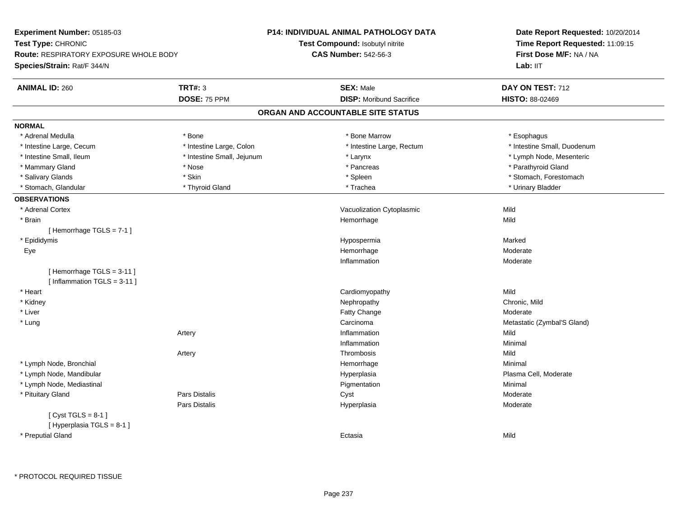| Experiment Number: 05185-03            |                            | P14: INDIVIDUAL ANIMAL PATHOLOGY DATA | Date Report Requested: 10/20/2014<br>Time Report Requested: 11:09:15 |  |
|----------------------------------------|----------------------------|---------------------------------------|----------------------------------------------------------------------|--|
| Test Type: CHRONIC                     |                            | Test Compound: Isobutyl nitrite       |                                                                      |  |
| Route: RESPIRATORY EXPOSURE WHOLE BODY |                            | <b>CAS Number: 542-56-3</b>           | First Dose M/F: NA / NA                                              |  |
| Species/Strain: Rat/F 344/N            |                            |                                       | Lab: IIT                                                             |  |
| <b>ANIMAL ID: 260</b>                  | <b>TRT#: 3</b>             | <b>SEX: Male</b>                      | DAY ON TEST: 712                                                     |  |
|                                        | DOSE: 75 PPM               | <b>DISP:</b> Moribund Sacrifice       | <b>HISTO: 88-02469</b>                                               |  |
|                                        |                            | ORGAN AND ACCOUNTABLE SITE STATUS     |                                                                      |  |
| <b>NORMAL</b>                          |                            |                                       |                                                                      |  |
| * Adrenal Medulla                      | * Bone                     | * Bone Marrow                         | * Esophagus                                                          |  |
| * Intestine Large, Cecum               | * Intestine Large, Colon   | * Intestine Large, Rectum             | * Intestine Small, Duodenum                                          |  |
| * Intestine Small, Ileum               | * Intestine Small, Jejunum | * Larynx                              | * Lymph Node, Mesenteric                                             |  |
| * Mammary Gland                        | * Nose                     | * Pancreas                            | * Parathyroid Gland                                                  |  |
| * Salivary Glands                      | * Skin                     | * Spleen                              | * Stomach, Forestomach                                               |  |
| * Stomach, Glandular                   | * Thyroid Gland            | * Trachea                             | * Urinary Bladder                                                    |  |
| <b>OBSERVATIONS</b>                    |                            |                                       |                                                                      |  |
| * Adrenal Cortex                       |                            | Vacuolization Cytoplasmic             | Mild                                                                 |  |
| * Brain                                |                            | Hemorrhage                            | Mild                                                                 |  |
| [Hemorrhage TGLS = 7-1]                |                            |                                       |                                                                      |  |
| * Epididymis                           |                            | Hypospermia                           | Marked                                                               |  |
| Eye                                    |                            | Hemorrhage                            | Moderate                                                             |  |
|                                        |                            | Inflammation                          | Moderate                                                             |  |
| [Hemorrhage TGLS = 3-11]               |                            |                                       |                                                                      |  |
| [Inflammation TGLS = $3-11$ ]          |                            |                                       |                                                                      |  |
| * Heart                                |                            | Cardiomyopathy                        | Mild                                                                 |  |
| * Kidney                               |                            | Nephropathy                           | Chronic, Mild                                                        |  |
| * Liver                                |                            | <b>Fatty Change</b>                   | Moderate                                                             |  |
| * Lung                                 |                            | Carcinoma                             | Metastatic (Zymbal'S Gland)                                          |  |
|                                        | Artery                     | Inflammation                          | Mild                                                                 |  |
|                                        |                            | Inflammation                          | Minimal                                                              |  |
|                                        | Artery                     | Thrombosis                            | Mild                                                                 |  |
| * Lymph Node, Bronchial                |                            | Hemorrhage                            | Minimal                                                              |  |
| * Lymph Node, Mandibular               |                            | Hyperplasia                           | Plasma Cell, Moderate                                                |  |
| * Lymph Node, Mediastinal              |                            | Pigmentation                          | Minimal                                                              |  |
| * Pituitary Gland                      | <b>Pars Distalis</b>       | Cyst                                  | Moderate                                                             |  |
|                                        | Pars Distalis              | Hyperplasia                           | Moderate                                                             |  |
| [Cyst TGLS = $8-1$ ]                   |                            |                                       |                                                                      |  |
| [Hyperplasia TGLS = 8-1]               |                            |                                       |                                                                      |  |
| * Preputial Gland                      |                            | Ectasia                               | Mild                                                                 |  |
|                                        |                            |                                       |                                                                      |  |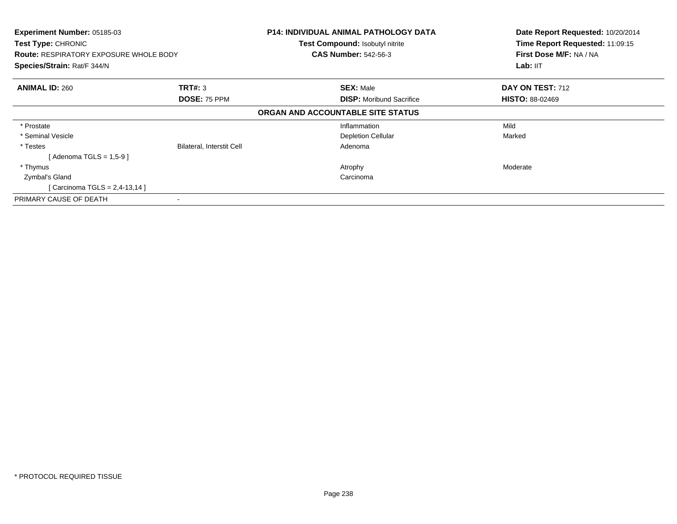| Experiment Number: 05185-03<br><b>Test Type: CHRONIC</b><br><b>Route: RESPIRATORY EXPOSURE WHOLE BODY</b><br>Species/Strain: Rat/F 344/N |                                  | <b>P14: INDIVIDUAL ANIMAL PATHOLOGY DATA</b><br>Test Compound: Isobutyl nitrite<br><b>CAS Number: 542-56-3</b> | Date Report Requested: 10/20/2014<br>Time Report Requested: 11:09:15<br>First Dose M/F: NA / NA<br>Lab: IIT |
|------------------------------------------------------------------------------------------------------------------------------------------|----------------------------------|----------------------------------------------------------------------------------------------------------------|-------------------------------------------------------------------------------------------------------------|
| <b>ANIMAL ID: 260</b>                                                                                                                    | <b>TRT#: 3</b><br>DOSE: 75 PPM   | <b>SEX: Male</b><br><b>DISP:</b> Moribund Sacrifice                                                            | DAY ON TEST: 712<br><b>HISTO: 88-02469</b>                                                                  |
|                                                                                                                                          |                                  | ORGAN AND ACCOUNTABLE SITE STATUS                                                                              |                                                                                                             |
| * Prostate                                                                                                                               |                                  | Inflammation                                                                                                   | Mild                                                                                                        |
| * Seminal Vesicle                                                                                                                        |                                  | <b>Depletion Cellular</b>                                                                                      | Marked                                                                                                      |
| * Testes                                                                                                                                 | <b>Bilateral, Interstit Cell</b> | Adenoma                                                                                                        |                                                                                                             |
| [Adenoma TGLS = $1,5-9$ ]                                                                                                                |                                  |                                                                                                                |                                                                                                             |
| * Thymus                                                                                                                                 |                                  | Atrophy                                                                                                        | Moderate                                                                                                    |
| Zymbal's Gland                                                                                                                           |                                  | Carcinoma                                                                                                      |                                                                                                             |
| [ Carcinoma TGLS = $2,4-13,14$ ]                                                                                                         |                                  |                                                                                                                |                                                                                                             |
| PRIMARY CAUSE OF DEATH                                                                                                                   |                                  |                                                                                                                |                                                                                                             |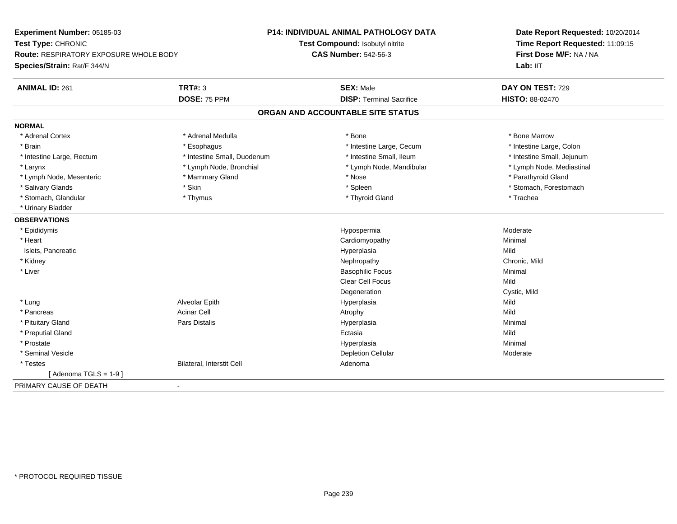| Experiment Number: 05185-03            |                             | <b>P14: INDIVIDUAL ANIMAL PATHOLOGY DATA</b> | Date Report Requested: 10/20/2014<br>Time Report Requested: 11:09:15<br>First Dose M/F: NA / NA |
|----------------------------------------|-----------------------------|----------------------------------------------|-------------------------------------------------------------------------------------------------|
| Test Type: CHRONIC                     |                             | Test Compound: Isobutyl nitrite              |                                                                                                 |
| Route: RESPIRATORY EXPOSURE WHOLE BODY |                             | <b>CAS Number: 542-56-3</b>                  |                                                                                                 |
| Species/Strain: Rat/F 344/N            |                             |                                              | Lab: IIT                                                                                        |
| <b>ANIMAL ID: 261</b>                  | <b>TRT#: 3</b>              | <b>SEX: Male</b>                             | DAY ON TEST: 729                                                                                |
|                                        | DOSE: 75 PPM                | <b>DISP: Terminal Sacrifice</b>              | HISTO: 88-02470                                                                                 |
|                                        |                             | ORGAN AND ACCOUNTABLE SITE STATUS            |                                                                                                 |
| <b>NORMAL</b>                          |                             |                                              |                                                                                                 |
| * Adrenal Cortex                       | * Adrenal Medulla           | * Bone                                       | * Bone Marrow                                                                                   |
| * Brain                                | * Esophagus                 | * Intestine Large, Cecum                     | * Intestine Large, Colon                                                                        |
| * Intestine Large, Rectum              | * Intestine Small, Duodenum | * Intestine Small. Ileum                     | * Intestine Small, Jejunum                                                                      |
| * Larynx                               | * Lymph Node, Bronchial     | * Lymph Node, Mandibular                     | * Lymph Node, Mediastinal                                                                       |
| * Lymph Node, Mesenteric               | * Mammary Gland             | * Nose                                       | * Parathyroid Gland                                                                             |
| * Salivary Glands                      | * Skin                      | * Spleen                                     | * Stomach, Forestomach                                                                          |
| * Stomach, Glandular                   | * Thymus                    | * Thyroid Gland                              | * Trachea                                                                                       |
| * Urinary Bladder                      |                             |                                              |                                                                                                 |
| <b>OBSERVATIONS</b>                    |                             |                                              |                                                                                                 |
| * Epididymis                           |                             | Hypospermia                                  | Moderate                                                                                        |
| * Heart                                |                             | Cardiomyopathy                               | Minimal                                                                                         |
| Islets, Pancreatic                     |                             | Hyperplasia                                  | Mild                                                                                            |
| * Kidney                               |                             | Nephropathy                                  | Chronic, Mild                                                                                   |
| * Liver                                |                             | <b>Basophilic Focus</b>                      | Minimal                                                                                         |
|                                        |                             | <b>Clear Cell Focus</b>                      | Mild                                                                                            |
|                                        |                             | Degeneration                                 | Cystic, Mild                                                                                    |
| * Lung                                 | Alveolar Epith              | Hyperplasia                                  | Mild                                                                                            |
| * Pancreas                             | <b>Acinar Cell</b>          | Atrophy                                      | Mild                                                                                            |
| * Pituitary Gland                      | Pars Distalis               | Hyperplasia                                  | Minimal                                                                                         |
| * Preputial Gland                      |                             | Ectasia                                      | Mild                                                                                            |
| * Prostate                             |                             | Hyperplasia                                  | Minimal                                                                                         |
| * Seminal Vesicle                      |                             | <b>Depletion Cellular</b>                    | Moderate                                                                                        |
| * Testes                               | Bilateral, Interstit Cell   | Adenoma                                      |                                                                                                 |
| [Adenoma TGLS = $1-9$ ]                |                             |                                              |                                                                                                 |
| PRIMARY CAUSE OF DEATH                 | $\blacksquare$              |                                              |                                                                                                 |
|                                        |                             |                                              |                                                                                                 |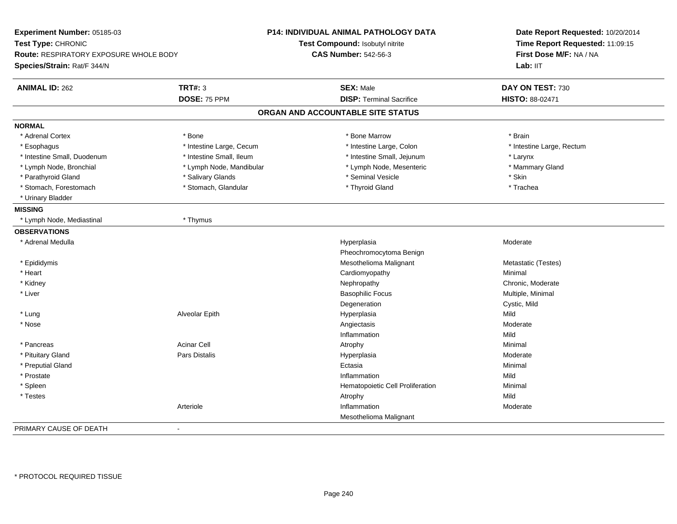| Experiment Number: 05185-03                             | <b>P14: INDIVIDUAL ANIMAL PATHOLOGY DATA</b> | Date Report Requested: 10/20/2014<br>Time Report Requested: 11:09:15 |  |
|---------------------------------------------------------|----------------------------------------------|----------------------------------------------------------------------|--|
| Test Type: CHRONIC                                      | Test Compound: Isobutyl nitrite              |                                                                      |  |
| <b>Route: RESPIRATORY EXPOSURE WHOLE BODY</b>           | <b>CAS Number: 542-56-3</b>                  | First Dose M/F: NA / NA                                              |  |
| Species/Strain: Rat/F 344/N                             |                                              | Lab: IIT                                                             |  |
| <b>TRT#: 3</b><br><b>ANIMAL ID: 262</b>                 | <b>SEX: Male</b>                             | DAY ON TEST: 730                                                     |  |
| DOSE: 75 PPM                                            | <b>DISP: Terminal Sacrifice</b>              | <b>HISTO: 88-02471</b>                                               |  |
|                                                         | ORGAN AND ACCOUNTABLE SITE STATUS            |                                                                      |  |
| <b>NORMAL</b>                                           |                                              |                                                                      |  |
| * Adrenal Cortex<br>* Bone                              | * Bone Marrow                                | * Brain                                                              |  |
| * Intestine Large, Cecum<br>* Esophagus                 | * Intestine Large, Colon                     | * Intestine Large, Rectum                                            |  |
| * Intestine Small, Ileum<br>* Intestine Small, Duodenum | * Intestine Small, Jejunum                   | * Larynx                                                             |  |
| * Lymph Node, Mandibular<br>* Lymph Node, Bronchial     | * Lymph Node, Mesenteric                     | * Mammary Gland                                                      |  |
| * Parathyroid Gland<br>* Salivary Glands                | * Seminal Vesicle                            | * Skin                                                               |  |
| * Stomach, Forestomach<br>* Stomach, Glandular          | * Thyroid Gland                              | * Trachea                                                            |  |
| * Urinary Bladder                                       |                                              |                                                                      |  |
| <b>MISSING</b>                                          |                                              |                                                                      |  |
| * Lymph Node, Mediastinal<br>* Thymus                   |                                              |                                                                      |  |
| <b>OBSERVATIONS</b>                                     |                                              |                                                                      |  |
| * Adrenal Medulla                                       | Hyperplasia                                  | Moderate                                                             |  |
|                                                         | Pheochromocytoma Benign                      |                                                                      |  |
| * Epididymis                                            | Mesothelioma Malignant                       | Metastatic (Testes)                                                  |  |
| * Heart                                                 | Cardiomyopathy                               | Minimal                                                              |  |
| * Kidney                                                | Nephropathy                                  | Chronic, Moderate                                                    |  |
| * Liver                                                 | <b>Basophilic Focus</b>                      | Multiple, Minimal                                                    |  |
|                                                         | Degeneration                                 | Cystic, Mild                                                         |  |
| Alveolar Epith<br>* Lung                                | Hyperplasia                                  | Mild                                                                 |  |
| * Nose                                                  | Angiectasis                                  | Moderate                                                             |  |
|                                                         | Inflammation                                 | Mild                                                                 |  |
| <b>Acinar Cell</b><br>* Pancreas                        | Atrophy                                      | Minimal                                                              |  |
| * Pituitary Gland<br>Pars Distalis                      | Hyperplasia                                  | Moderate                                                             |  |
| * Preputial Gland                                       | Ectasia                                      | Minimal                                                              |  |
| * Prostate                                              | Inflammation                                 | Mild                                                                 |  |
| * Spleen                                                | Hematopoietic Cell Proliferation             | Minimal                                                              |  |
| * Testes                                                | Atrophy                                      | Mild                                                                 |  |
| Arteriole                                               | Inflammation                                 | Moderate                                                             |  |
|                                                         | Mesothelioma Malignant                       |                                                                      |  |
| PRIMARY CAUSE OF DEATH<br>$\sim$                        |                                              |                                                                      |  |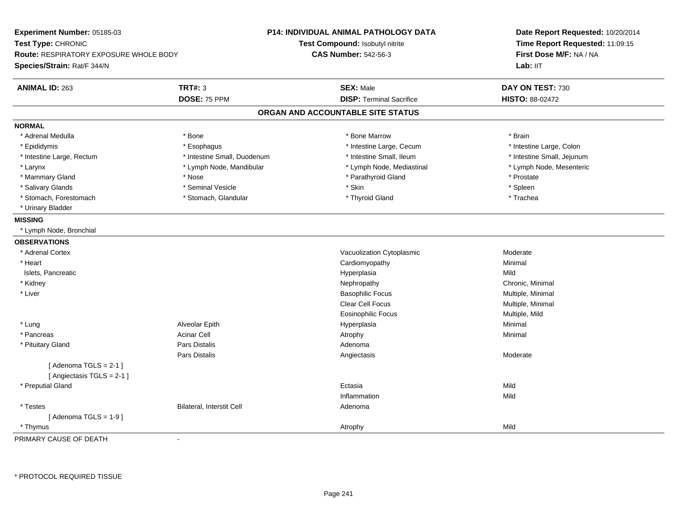| Experiment Number: 05185-03<br>Test Type: CHRONIC<br>Route: RESPIRATORY EXPOSURE WHOLE BODY<br>Species/Strain: Rat/F 344/N |                             | <b>P14: INDIVIDUAL ANIMAL PATHOLOGY DATA</b><br>Test Compound: Isobutyl nitrite<br><b>CAS Number: 542-56-3</b> | Date Report Requested: 10/20/2014<br>Time Report Requested: 11:09:15<br>First Dose M/F: NA / NA<br>Lab: IIT |
|----------------------------------------------------------------------------------------------------------------------------|-----------------------------|----------------------------------------------------------------------------------------------------------------|-------------------------------------------------------------------------------------------------------------|
| <b>ANIMAL ID: 263</b>                                                                                                      | <b>TRT#: 3</b>              | <b>SEX: Male</b>                                                                                               | DAY ON TEST: 730                                                                                            |
|                                                                                                                            | DOSE: 75 PPM                | <b>DISP: Terminal Sacrifice</b>                                                                                | HISTO: 88-02472                                                                                             |
|                                                                                                                            |                             | ORGAN AND ACCOUNTABLE SITE STATUS                                                                              |                                                                                                             |
| <b>NORMAL</b>                                                                                                              |                             |                                                                                                                |                                                                                                             |
| * Adrenal Medulla                                                                                                          | * Bone                      | * Bone Marrow                                                                                                  | * Brain                                                                                                     |
| * Epididymis                                                                                                               | * Esophagus                 | * Intestine Large, Cecum                                                                                       | * Intestine Large, Colon                                                                                    |
| * Intestine Large, Rectum                                                                                                  | * Intestine Small, Duodenum | * Intestine Small, Ileum                                                                                       | * Intestine Small, Jejunum                                                                                  |
| * Larynx                                                                                                                   | * Lymph Node, Mandibular    | * Lymph Node, Mediastinal                                                                                      | * Lymph Node, Mesenteric                                                                                    |
| * Mammary Gland                                                                                                            | $*$ Nose                    | * Parathyroid Gland                                                                                            | * Prostate                                                                                                  |
| * Salivary Glands                                                                                                          | * Seminal Vesicle           | * Skin                                                                                                         | * Spleen                                                                                                    |
| * Stomach, Forestomach                                                                                                     | * Stomach, Glandular        | * Thyroid Gland                                                                                                | * Trachea                                                                                                   |
| * Urinary Bladder                                                                                                          |                             |                                                                                                                |                                                                                                             |
| <b>MISSING</b>                                                                                                             |                             |                                                                                                                |                                                                                                             |
| * Lymph Node, Bronchial                                                                                                    |                             |                                                                                                                |                                                                                                             |
| <b>OBSERVATIONS</b>                                                                                                        |                             |                                                                                                                |                                                                                                             |
| * Adrenal Cortex                                                                                                           |                             | Vacuolization Cytoplasmic                                                                                      | Moderate                                                                                                    |
| * Heart                                                                                                                    |                             | Cardiomyopathy                                                                                                 | Minimal                                                                                                     |
| Islets, Pancreatic                                                                                                         |                             | Hyperplasia                                                                                                    | Mild                                                                                                        |
| * Kidney                                                                                                                   |                             | Nephropathy                                                                                                    | Chronic, Minimal                                                                                            |
| * Liver                                                                                                                    |                             | <b>Basophilic Focus</b>                                                                                        | Multiple, Minimal                                                                                           |
|                                                                                                                            |                             | Clear Cell Focus                                                                                               | Multiple, Minimal                                                                                           |
|                                                                                                                            |                             | <b>Eosinophilic Focus</b>                                                                                      | Multiple, Mild                                                                                              |
| * Lung                                                                                                                     | Alveolar Epith              | Hyperplasia                                                                                                    | Minimal                                                                                                     |
| * Pancreas                                                                                                                 | <b>Acinar Cell</b>          | Atrophy                                                                                                        | Minimal                                                                                                     |
| * Pituitary Gland                                                                                                          | <b>Pars Distalis</b>        | Adenoma                                                                                                        |                                                                                                             |
|                                                                                                                            | <b>Pars Distalis</b>        | Angiectasis                                                                                                    | Moderate                                                                                                    |
| [Adenoma TGLS = $2-1$ ]                                                                                                    |                             |                                                                                                                |                                                                                                             |
| [Angiectasis TGLS = 2-1]                                                                                                   |                             |                                                                                                                |                                                                                                             |
| * Preputial Gland                                                                                                          |                             | Ectasia                                                                                                        | Mild                                                                                                        |
|                                                                                                                            |                             | Inflammation                                                                                                   | Mild                                                                                                        |
| * Testes                                                                                                                   | Bilateral, Interstit Cell   | Adenoma                                                                                                        |                                                                                                             |
| [Adenoma TGLS = $1-9$ ]                                                                                                    |                             |                                                                                                                |                                                                                                             |
| * Thymus                                                                                                                   |                             | Atrophy                                                                                                        | Mild                                                                                                        |

PRIMARY CAUSE OF DEATH-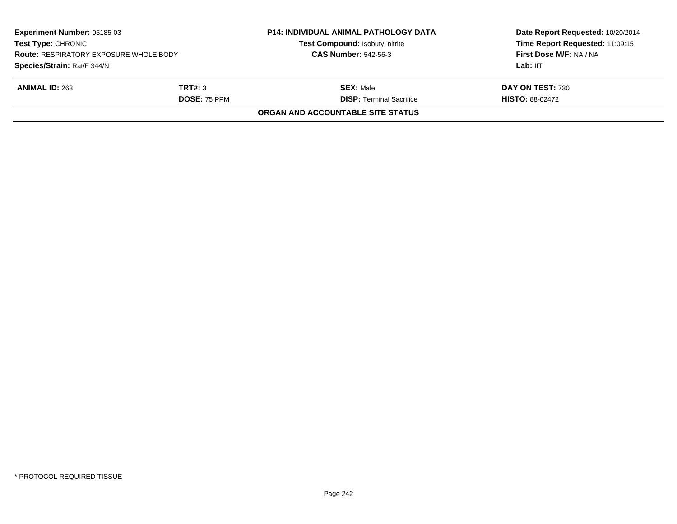| Experiment Number: 05185-03<br><b>Test Type: CHRONIC</b><br><b>Route: RESPIRATORY EXPOSURE WHOLE BODY</b> |                     | <b>P14: INDIVIDUAL ANIMAL PATHOLOGY DATA</b><br>Test Compound: Isobutyl nitrite<br><b>CAS Number: 542-56-3</b> | Date Report Requested: 10/20/2014<br>Time Report Requested: 11:09:15<br>First Dose M/F: NA / NA |
|-----------------------------------------------------------------------------------------------------------|---------------------|----------------------------------------------------------------------------------------------------------------|-------------------------------------------------------------------------------------------------|
|                                                                                                           |                     |                                                                                                                |                                                                                                 |
| Species/Strain: Rat/F 344/N                                                                               |                     |                                                                                                                | Lab: IIT                                                                                        |
| <b>ANIMAL ID: 263</b>                                                                                     | TRT#: 3             | <b>SEX: Male</b>                                                                                               | DAY ON TEST: 730                                                                                |
|                                                                                                           | <b>DOSE: 75 PPM</b> | <b>DISP: Terminal Sacrifice</b>                                                                                | <b>HISTO: 88-02472</b>                                                                          |
|                                                                                                           |                     | ORGAN AND ACCOUNTABLE SITE STATUS                                                                              |                                                                                                 |
|                                                                                                           |                     |                                                                                                                |                                                                                                 |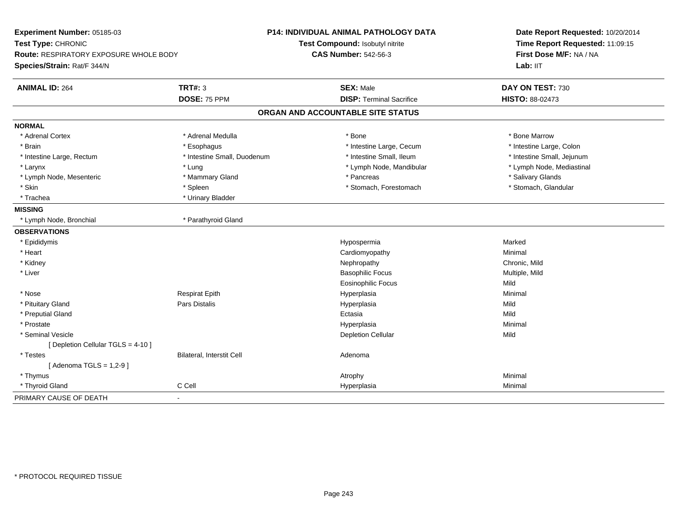| Experiment Number: 05185-03<br>Test Type: CHRONIC<br><b>Route: RESPIRATORY EXPOSURE WHOLE BODY</b><br>Species/Strain: Rat/F 344/N |                             | P14: INDIVIDUAL ANIMAL PATHOLOGY DATA<br>Test Compound: Isobutyl nitrite<br><b>CAS Number: 542-56-3</b> | Date Report Requested: 10/20/2014<br>Time Report Requested: 11:09:15<br>First Dose M/F: NA / NA<br>Lab: IIT |
|-----------------------------------------------------------------------------------------------------------------------------------|-----------------------------|---------------------------------------------------------------------------------------------------------|-------------------------------------------------------------------------------------------------------------|
| <b>ANIMAL ID: 264</b>                                                                                                             | <b>TRT#: 3</b>              | <b>SEX: Male</b>                                                                                        | DAY ON TEST: 730                                                                                            |
|                                                                                                                                   | DOSE: 75 PPM                | <b>DISP: Terminal Sacrifice</b>                                                                         | HISTO: 88-02473                                                                                             |
|                                                                                                                                   |                             | ORGAN AND ACCOUNTABLE SITE STATUS                                                                       |                                                                                                             |
| <b>NORMAL</b>                                                                                                                     |                             |                                                                                                         |                                                                                                             |
| * Adrenal Cortex                                                                                                                  | * Adrenal Medulla           | * Bone                                                                                                  | * Bone Marrow                                                                                               |
| * Brain                                                                                                                           | * Esophagus                 | * Intestine Large, Cecum                                                                                | * Intestine Large, Colon                                                                                    |
| * Intestine Large, Rectum                                                                                                         | * Intestine Small, Duodenum | * Intestine Small, Ileum                                                                                | * Intestine Small, Jejunum                                                                                  |
| * Larynx                                                                                                                          | * Lung                      | * Lymph Node, Mandibular                                                                                | * Lymph Node, Mediastinal                                                                                   |
| * Lymph Node, Mesenteric                                                                                                          | * Mammary Gland             | * Pancreas                                                                                              | * Salivary Glands                                                                                           |
| * Skin                                                                                                                            | * Spleen                    | * Stomach, Forestomach                                                                                  | * Stomach, Glandular                                                                                        |
| * Trachea                                                                                                                         | * Urinary Bladder           |                                                                                                         |                                                                                                             |
| <b>MISSING</b>                                                                                                                    |                             |                                                                                                         |                                                                                                             |
| * Lymph Node, Bronchial                                                                                                           | * Parathyroid Gland         |                                                                                                         |                                                                                                             |
| <b>OBSERVATIONS</b>                                                                                                               |                             |                                                                                                         |                                                                                                             |
| * Epididymis                                                                                                                      |                             | Hypospermia                                                                                             | Marked                                                                                                      |
| * Heart                                                                                                                           |                             | Cardiomyopathy                                                                                          | Minimal                                                                                                     |
| * Kidney                                                                                                                          |                             | Nephropathy                                                                                             | Chronic, Mild                                                                                               |
| * Liver                                                                                                                           |                             | <b>Basophilic Focus</b>                                                                                 | Multiple, Mild                                                                                              |
|                                                                                                                                   |                             | Eosinophilic Focus                                                                                      | Mild                                                                                                        |
| * Nose                                                                                                                            | <b>Respirat Epith</b>       | Hyperplasia                                                                                             | Minimal                                                                                                     |
| * Pituitary Gland                                                                                                                 | Pars Distalis               | Hyperplasia                                                                                             | Mild                                                                                                        |
| * Preputial Gland                                                                                                                 |                             | Ectasia                                                                                                 | Mild                                                                                                        |
| * Prostate                                                                                                                        |                             | Hyperplasia                                                                                             | Minimal                                                                                                     |
| * Seminal Vesicle                                                                                                                 |                             | <b>Depletion Cellular</b>                                                                               | Mild                                                                                                        |
| [ Depletion Cellular TGLS = 4-10 ]                                                                                                |                             |                                                                                                         |                                                                                                             |
| * Testes                                                                                                                          | Bilateral, Interstit Cell   | Adenoma                                                                                                 |                                                                                                             |
| [Adenoma TGLS = $1,2-9$ ]                                                                                                         |                             |                                                                                                         |                                                                                                             |
| * Thymus                                                                                                                          |                             | Atrophy                                                                                                 | Minimal                                                                                                     |
| * Thyroid Gland                                                                                                                   | C Cell                      | Hyperplasia                                                                                             | Minimal                                                                                                     |
| PRIMARY CAUSE OF DEATH                                                                                                            | $\blacksquare$              |                                                                                                         |                                                                                                             |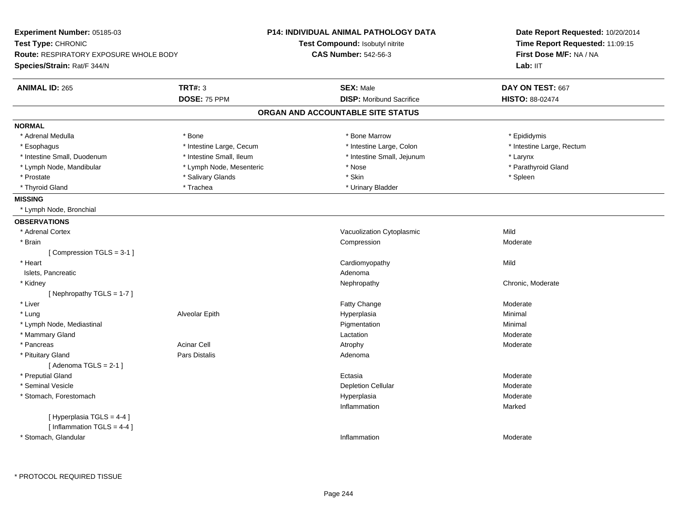| Experiment Number: 05185-03                                |                          | P14: INDIVIDUAL ANIMAL PATHOLOGY DATA | Date Report Requested: 10/20/2014<br>Time Report Requested: 11:09:15<br>First Dose M/F: NA / NA |  |
|------------------------------------------------------------|--------------------------|---------------------------------------|-------------------------------------------------------------------------------------------------|--|
| Test Type: CHRONIC                                         |                          | Test Compound: Isobutyl nitrite       |                                                                                                 |  |
| <b>Route: RESPIRATORY EXPOSURE WHOLE BODY</b>              |                          | <b>CAS Number: 542-56-3</b>           |                                                                                                 |  |
| Species/Strain: Rat/F 344/N                                |                          |                                       | Lab: IIT                                                                                        |  |
| <b>ANIMAL ID: 265</b>                                      | <b>TRT#: 3</b>           | <b>SEX: Male</b>                      | DAY ON TEST: 667                                                                                |  |
|                                                            | DOSE: 75 PPM             | <b>DISP:</b> Moribund Sacrifice       | HISTO: 88-02474                                                                                 |  |
|                                                            |                          | ORGAN AND ACCOUNTABLE SITE STATUS     |                                                                                                 |  |
| <b>NORMAL</b>                                              |                          |                                       |                                                                                                 |  |
| * Adrenal Medulla                                          | * Bone                   | * Bone Marrow                         | * Epididymis                                                                                    |  |
| * Esophagus                                                | * Intestine Large, Cecum | * Intestine Large, Colon              | * Intestine Large, Rectum                                                                       |  |
| * Intestine Small, Duodenum                                | * Intestine Small, Ileum | * Intestine Small, Jejunum            | * Larynx                                                                                        |  |
| * Lymph Node, Mandibular                                   | * Lymph Node, Mesenteric | * Nose                                | * Parathyroid Gland                                                                             |  |
| * Prostate                                                 | * Salivary Glands        | * Skin                                | * Spleen                                                                                        |  |
| * Thyroid Gland                                            | * Trachea                | * Urinary Bladder                     |                                                                                                 |  |
| <b>MISSING</b>                                             |                          |                                       |                                                                                                 |  |
| * Lymph Node, Bronchial                                    |                          |                                       |                                                                                                 |  |
| <b>OBSERVATIONS</b>                                        |                          |                                       |                                                                                                 |  |
| * Adrenal Cortex                                           |                          | Vacuolization Cytoplasmic             | Mild                                                                                            |  |
| * Brain                                                    |                          | Compression                           | Moderate                                                                                        |  |
| [ Compression $TGLS = 3-1$ ]                               |                          |                                       |                                                                                                 |  |
| * Heart                                                    |                          | Cardiomyopathy                        | Mild                                                                                            |  |
| Islets, Pancreatic                                         |                          | Adenoma                               |                                                                                                 |  |
| * Kidney                                                   |                          | Nephropathy                           | Chronic, Moderate                                                                               |  |
| [Nephropathy TGLS = 1-7]                                   |                          |                                       |                                                                                                 |  |
| * Liver                                                    |                          | Fatty Change                          | Moderate                                                                                        |  |
| * Lung                                                     | Alveolar Epith           | Hyperplasia                           | Minimal                                                                                         |  |
| * Lymph Node, Mediastinal                                  |                          | Pigmentation                          | Minimal                                                                                         |  |
| * Mammary Gland                                            |                          | Lactation                             | Moderate                                                                                        |  |
| * Pancreas                                                 | <b>Acinar Cell</b>       | Atrophy                               | Moderate                                                                                        |  |
| * Pituitary Gland                                          | <b>Pars Distalis</b>     | Adenoma                               |                                                                                                 |  |
| [Adenoma TGLS = $2-1$ ]                                    |                          |                                       |                                                                                                 |  |
| * Preputial Gland                                          |                          | Ectasia                               | Moderate                                                                                        |  |
| * Seminal Vesicle                                          |                          | <b>Depletion Cellular</b>             | Moderate                                                                                        |  |
| * Stomach, Forestomach                                     |                          | Hyperplasia                           | Moderate                                                                                        |  |
|                                                            |                          | Inflammation                          | Marked                                                                                          |  |
| [ Hyperplasia TGLS = 4-4 ]<br>[Inflammation TGLS = $4-4$ ] |                          |                                       |                                                                                                 |  |
| * Stomach, Glandular                                       |                          | Inflammation                          | Moderate                                                                                        |  |
|                                                            |                          |                                       |                                                                                                 |  |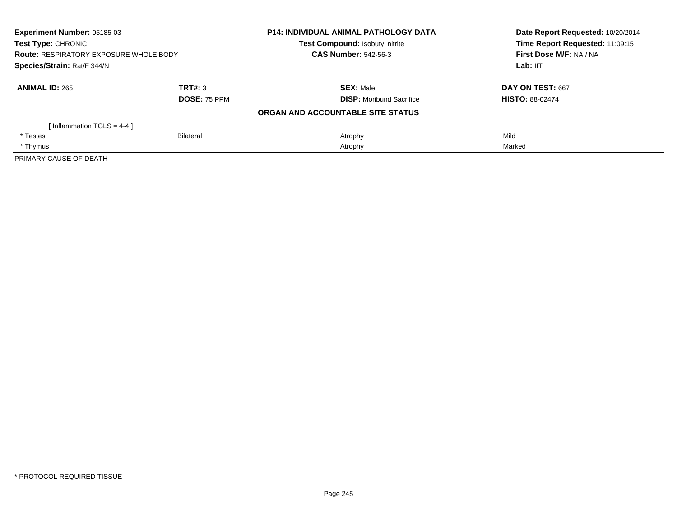| Experiment Number: 05185-03<br><b>Test Type: CHRONIC</b><br><b>Route: RESPIRATORY EXPOSURE WHOLE BODY</b><br>Species/Strain: Rat/F 344/N |                     | <b>P14: INDIVIDUAL ANIMAL PATHOLOGY DATA</b> | Date Report Requested: 10/20/2014<br>Time Report Requested: 11:09:15<br>First Dose M/F: NA / NA |
|------------------------------------------------------------------------------------------------------------------------------------------|---------------------|----------------------------------------------|-------------------------------------------------------------------------------------------------|
|                                                                                                                                          |                     | <b>Test Compound: Isobutyl nitrite</b>       |                                                                                                 |
|                                                                                                                                          |                     | <b>CAS Number: 542-56-3</b>                  |                                                                                                 |
|                                                                                                                                          |                     |                                              | Lab: IIT                                                                                        |
| <b>ANIMAL ID: 265</b>                                                                                                                    | <b>TRT#: 3</b>      | <b>SEX: Male</b>                             | DAY ON TEST: 667                                                                                |
|                                                                                                                                          | <b>DOSE: 75 PPM</b> | <b>DISP:</b> Moribund Sacrifice              | <b>HISTO: 88-02474</b>                                                                          |
|                                                                                                                                          |                     | ORGAN AND ACCOUNTABLE SITE STATUS            |                                                                                                 |
| [Inflammation TGLS = 4-4]                                                                                                                |                     |                                              |                                                                                                 |
| * Testes                                                                                                                                 | Bilateral           | Atrophy                                      | Mild                                                                                            |
| * Thymus                                                                                                                                 |                     | Atrophy                                      | Marked                                                                                          |
| PRIMARY CAUSE OF DEATH                                                                                                                   |                     |                                              |                                                                                                 |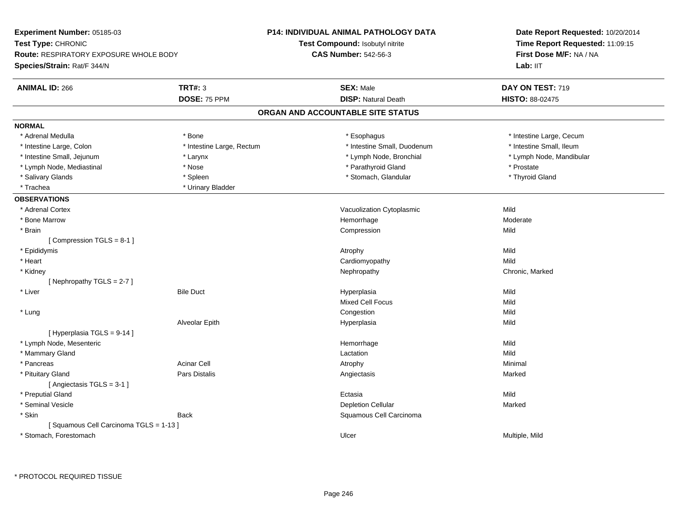| Experiment Number: 05185-03                   |                           | P14: INDIVIDUAL ANIMAL PATHOLOGY DATA | Date Report Requested: 10/20/2014<br>Time Report Requested: 11:09:15 |  |
|-----------------------------------------------|---------------------------|---------------------------------------|----------------------------------------------------------------------|--|
| Test Type: CHRONIC                            |                           | Test Compound: Isobutyl nitrite       |                                                                      |  |
| <b>Route: RESPIRATORY EXPOSURE WHOLE BODY</b> |                           | <b>CAS Number: 542-56-3</b>           | First Dose M/F: NA / NA                                              |  |
| Species/Strain: Rat/F 344/N                   |                           |                                       | Lab: IIT                                                             |  |
| <b>ANIMAL ID: 266</b>                         | <b>TRT#: 3</b>            | <b>SEX: Male</b>                      | DAY ON TEST: 719                                                     |  |
|                                               | DOSE: 75 PPM              | <b>DISP: Natural Death</b>            | HISTO: 88-02475                                                      |  |
|                                               |                           | ORGAN AND ACCOUNTABLE SITE STATUS     |                                                                      |  |
| <b>NORMAL</b>                                 |                           |                                       |                                                                      |  |
| * Adrenal Medulla                             | * Bone                    | * Esophagus                           | * Intestine Large, Cecum                                             |  |
| * Intestine Large, Colon                      | * Intestine Large, Rectum | * Intestine Small, Duodenum           | * Intestine Small, Ileum                                             |  |
| * Intestine Small, Jejunum                    | * Larynx                  | * Lymph Node, Bronchial               | * Lymph Node, Mandibular                                             |  |
| * Lymph Node, Mediastinal                     | * Nose                    | * Parathyroid Gland                   | * Prostate                                                           |  |
| * Salivary Glands                             | * Spleen                  | * Stomach, Glandular                  | * Thyroid Gland                                                      |  |
| * Trachea                                     | * Urinary Bladder         |                                       |                                                                      |  |
| <b>OBSERVATIONS</b>                           |                           |                                       |                                                                      |  |
| * Adrenal Cortex                              |                           | Vacuolization Cytoplasmic             | Mild                                                                 |  |
| * Bone Marrow                                 |                           | Hemorrhage                            | Moderate                                                             |  |
| * Brain                                       |                           | Compression                           | Mild                                                                 |  |
| [Compression TGLS = 8-1]                      |                           |                                       |                                                                      |  |
| * Epididymis                                  |                           | Atrophy                               | Mild                                                                 |  |
| * Heart                                       |                           | Cardiomyopathy                        | Mild                                                                 |  |
| * Kidney                                      |                           | Nephropathy                           | Chronic, Marked                                                      |  |
| [Nephropathy TGLS = 2-7]                      |                           |                                       |                                                                      |  |
| * Liver                                       | <b>Bile Duct</b>          | Hyperplasia                           | Mild                                                                 |  |
|                                               |                           | <b>Mixed Cell Focus</b>               | Mild                                                                 |  |
| * Lung                                        |                           | Congestion                            | Mild                                                                 |  |
|                                               | Alveolar Epith            | Hyperplasia                           | Mild                                                                 |  |
| [Hyperplasia TGLS = 9-14]                     |                           |                                       |                                                                      |  |
| * Lymph Node, Mesenteric                      |                           | Hemorrhage                            | Mild                                                                 |  |
| * Mammary Gland                               |                           | Lactation                             | Mild                                                                 |  |
| * Pancreas                                    | <b>Acinar Cell</b>        | Atrophy                               | Minimal                                                              |  |
| * Pituitary Gland                             | Pars Distalis             | Angiectasis                           | Marked                                                               |  |
| [ Angiectasis TGLS = 3-1 ]                    |                           |                                       |                                                                      |  |
| * Preputial Gland                             |                           | Ectasia                               | Mild                                                                 |  |
| * Seminal Vesicle                             |                           | <b>Depletion Cellular</b>             | Marked                                                               |  |
| * Skin                                        | <b>Back</b>               | Squamous Cell Carcinoma               |                                                                      |  |
| [Squamous Cell Carcinoma TGLS = 1-13]         |                           |                                       |                                                                      |  |
| * Stomach, Forestomach                        |                           | Ulcer                                 | Multiple, Mild                                                       |  |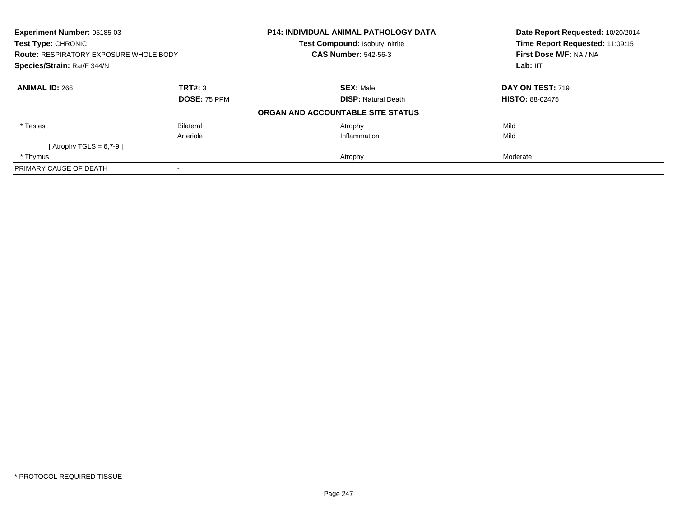| Experiment Number: 05185-03<br>Test Type: CHRONIC<br><b>Route: RESPIRATORY EXPOSURE WHOLE BODY</b><br>Species/Strain: Rat/F 344/N |                     | <b>P14: INDIVIDUAL ANIMAL PATHOLOGY DATA</b><br><b>Test Compound: Isobutyl nitrite</b> | Date Report Requested: 10/20/2014<br>Time Report Requested: 11:09:15<br>First Dose M/F: NA / NA<br>Lab: IIT |
|-----------------------------------------------------------------------------------------------------------------------------------|---------------------|----------------------------------------------------------------------------------------|-------------------------------------------------------------------------------------------------------------|
|                                                                                                                                   |                     | <b>CAS Number: 542-56-3</b>                                                            |                                                                                                             |
|                                                                                                                                   |                     |                                                                                        |                                                                                                             |
| <b>ANIMAL ID: 266</b>                                                                                                             | TRT#: 3             | <b>SEX: Male</b>                                                                       | DAY ON TEST: 719                                                                                            |
|                                                                                                                                   | <b>DOSE: 75 PPM</b> | <b>DISP: Natural Death</b>                                                             | <b>HISTO: 88-02475</b>                                                                                      |
|                                                                                                                                   |                     | ORGAN AND ACCOUNTABLE SITE STATUS                                                      |                                                                                                             |
| * Testes                                                                                                                          | Bilateral           | Atrophy                                                                                | Mild                                                                                                        |
|                                                                                                                                   | Arteriole           | Inflammation                                                                           | Mild                                                                                                        |
| [Atrophy TGLS = $6,7-9$ ]                                                                                                         |                     |                                                                                        |                                                                                                             |
| * Thymus                                                                                                                          |                     | Atrophy                                                                                | Moderate                                                                                                    |
| PRIMARY CAUSE OF DEATH                                                                                                            |                     |                                                                                        |                                                                                                             |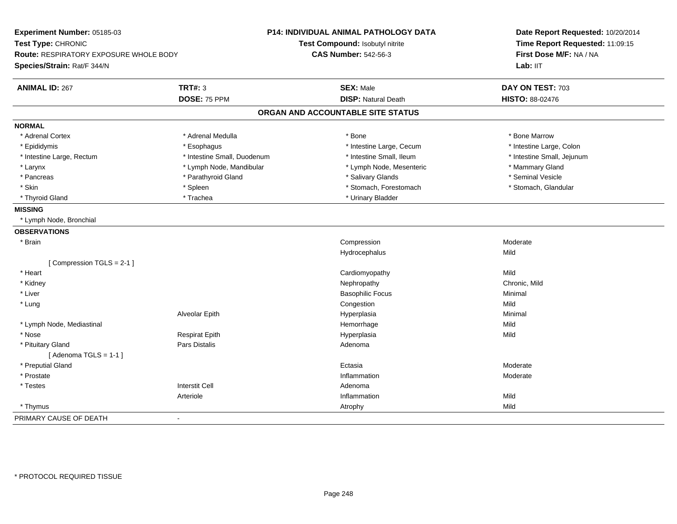| Experiment Number: 05185-03<br>Test Type: CHRONIC<br>Route: RESPIRATORY EXPOSURE WHOLE BODY<br>Species/Strain: Rat/F 344/N |                             | P14: INDIVIDUAL ANIMAL PATHOLOGY DATA<br>Test Compound: Isobutyl nitrite<br><b>CAS Number: 542-56-3</b> | Date Report Requested: 10/20/2014<br>Time Report Requested: 11:09:15<br>First Dose M/F: NA / NA<br>Lab: IIT |
|----------------------------------------------------------------------------------------------------------------------------|-----------------------------|---------------------------------------------------------------------------------------------------------|-------------------------------------------------------------------------------------------------------------|
| <b>ANIMAL ID: 267</b>                                                                                                      | <b>TRT#: 3</b>              | <b>SEX: Male</b>                                                                                        | DAY ON TEST: 703                                                                                            |
|                                                                                                                            | DOSE: 75 PPM                | <b>DISP: Natural Death</b>                                                                              | HISTO: 88-02476                                                                                             |
|                                                                                                                            |                             | ORGAN AND ACCOUNTABLE SITE STATUS                                                                       |                                                                                                             |
| <b>NORMAL</b>                                                                                                              |                             |                                                                                                         |                                                                                                             |
| * Adrenal Cortex                                                                                                           | * Adrenal Medulla           | * Bone                                                                                                  | * Bone Marrow                                                                                               |
| * Epididymis                                                                                                               | * Esophagus                 | * Intestine Large, Cecum                                                                                | * Intestine Large, Colon                                                                                    |
| * Intestine Large, Rectum                                                                                                  | * Intestine Small, Duodenum | * Intestine Small, Ileum                                                                                | * Intestine Small, Jejunum                                                                                  |
| * Larynx                                                                                                                   | * Lymph Node, Mandibular    | * Lymph Node, Mesenteric                                                                                | * Mammary Gland                                                                                             |
| * Pancreas                                                                                                                 | * Parathyroid Gland         | * Salivary Glands                                                                                       | * Seminal Vesicle                                                                                           |
| * Skin                                                                                                                     | * Spleen                    | * Stomach, Forestomach                                                                                  | * Stomach, Glandular                                                                                        |
| * Thyroid Gland                                                                                                            | * Trachea                   | * Urinary Bladder                                                                                       |                                                                                                             |
| <b>MISSING</b>                                                                                                             |                             |                                                                                                         |                                                                                                             |
| * Lymph Node, Bronchial                                                                                                    |                             |                                                                                                         |                                                                                                             |
| <b>OBSERVATIONS</b>                                                                                                        |                             |                                                                                                         |                                                                                                             |
| * Brain                                                                                                                    |                             | Compression                                                                                             | Moderate                                                                                                    |
|                                                                                                                            |                             | Hydrocephalus                                                                                           | Mild                                                                                                        |
| [Compression TGLS = 2-1]                                                                                                   |                             |                                                                                                         |                                                                                                             |
| * Heart                                                                                                                    |                             | Cardiomyopathy                                                                                          | Mild                                                                                                        |
| * Kidney                                                                                                                   |                             | Nephropathy                                                                                             | Chronic, Mild                                                                                               |
| * Liver                                                                                                                    |                             | <b>Basophilic Focus</b>                                                                                 | Minimal                                                                                                     |
| * Lung                                                                                                                     |                             | Congestion                                                                                              | Mild                                                                                                        |
|                                                                                                                            | Alveolar Epith              | Hyperplasia                                                                                             | Minimal                                                                                                     |
| * Lymph Node, Mediastinal                                                                                                  |                             | Hemorrhage                                                                                              | Mild                                                                                                        |
| * Nose                                                                                                                     | <b>Respirat Epith</b>       | Hyperplasia                                                                                             | Mild                                                                                                        |
| * Pituitary Gland                                                                                                          | <b>Pars Distalis</b>        | Adenoma                                                                                                 |                                                                                                             |
| [Adenoma TGLS = $1-1$ ]                                                                                                    |                             |                                                                                                         |                                                                                                             |
| * Preputial Gland                                                                                                          |                             | Ectasia                                                                                                 | Moderate                                                                                                    |
| * Prostate                                                                                                                 |                             | Inflammation                                                                                            | Moderate                                                                                                    |
| * Testes                                                                                                                   | <b>Interstit Cell</b>       | Adenoma                                                                                                 |                                                                                                             |
|                                                                                                                            | Arteriole                   | Inflammation                                                                                            | Mild                                                                                                        |
| * Thymus                                                                                                                   |                             | Atrophy                                                                                                 | Mild                                                                                                        |
| PRIMARY CAUSE OF DEATH                                                                                                     |                             |                                                                                                         |                                                                                                             |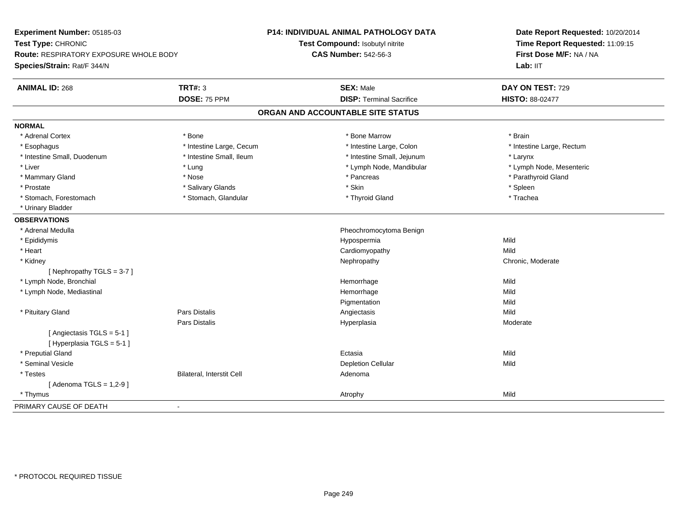| Experiment Number: 05185-03                             | <b>P14: INDIVIDUAL ANIMAL PATHOLOGY DATA</b> | Date Report Requested: 10/20/2014 |  |
|---------------------------------------------------------|----------------------------------------------|-----------------------------------|--|
| Test Type: CHRONIC                                      | Test Compound: Isobutyl nitrite              | Time Report Requested: 11:09:15   |  |
| Route: RESPIRATORY EXPOSURE WHOLE BODY                  | <b>CAS Number: 542-56-3</b>                  | First Dose M/F: NA / NA           |  |
| Species/Strain: Rat/F 344/N                             |                                              | Lab: IIT                          |  |
| <b>TRT#: 3</b><br><b>ANIMAL ID: 268</b>                 | <b>SEX: Male</b>                             | DAY ON TEST: 729                  |  |
| DOSE: 75 PPM                                            | <b>DISP: Terminal Sacrifice</b>              | <b>HISTO: 88-02477</b>            |  |
|                                                         | ORGAN AND ACCOUNTABLE SITE STATUS            |                                   |  |
| <b>NORMAL</b>                                           |                                              |                                   |  |
| * Adrenal Cortex<br>* Bone                              | * Bone Marrow                                | * Brain                           |  |
| * Intestine Large, Cecum<br>* Esophagus                 | * Intestine Large, Colon                     | * Intestine Large, Rectum         |  |
| * Intestine Small, Duodenum<br>* Intestine Small, Ileum | * Intestine Small, Jejunum                   | * Larynx                          |  |
| * Liver<br>* Lung                                       | * Lymph Node, Mandibular                     | * Lymph Node, Mesenteric          |  |
| * Mammary Gland<br>* Nose                               | * Pancreas                                   | * Parathyroid Gland               |  |
| * Prostate<br>* Salivary Glands                         | * Skin                                       | * Spleen                          |  |
| * Stomach, Glandular<br>* Stomach, Forestomach          | * Thyroid Gland                              | * Trachea                         |  |
| * Urinary Bladder                                       |                                              |                                   |  |
| <b>OBSERVATIONS</b>                                     |                                              |                                   |  |
| * Adrenal Medulla                                       | Pheochromocytoma Benign                      |                                   |  |
| * Epididymis                                            | Hypospermia                                  | Mild                              |  |
| * Heart                                                 | Cardiomyopathy                               | Mild                              |  |
| * Kidney                                                | Nephropathy                                  | Chronic, Moderate                 |  |
| [Nephropathy TGLS = 3-7]                                |                                              |                                   |  |
| * Lymph Node, Bronchial                                 | Hemorrhage                                   | Mild                              |  |
| * Lymph Node, Mediastinal                               | Hemorrhage                                   | Mild                              |  |
|                                                         | Pigmentation                                 | Mild                              |  |
| <b>Pars Distalis</b><br>* Pituitary Gland               | Angiectasis                                  | Mild                              |  |
| Pars Distalis                                           | Hyperplasia                                  | Moderate                          |  |
| [Angiectasis TGLS = 5-1]                                |                                              |                                   |  |
| [Hyperplasia TGLS = 5-1]                                |                                              |                                   |  |
| * Preputial Gland                                       | Ectasia                                      | Mild                              |  |
| * Seminal Vesicle                                       | <b>Depletion Cellular</b>                    | Mild                              |  |
| Bilateral, Interstit Cell<br>* Testes                   | Adenoma                                      |                                   |  |
| [Adenoma TGLS = $1,2-9$ ]                               |                                              |                                   |  |
| * Thymus                                                | Atrophy                                      | Mild                              |  |
| PRIMARY CAUSE OF DEATH<br>$\blacksquare$                |                                              |                                   |  |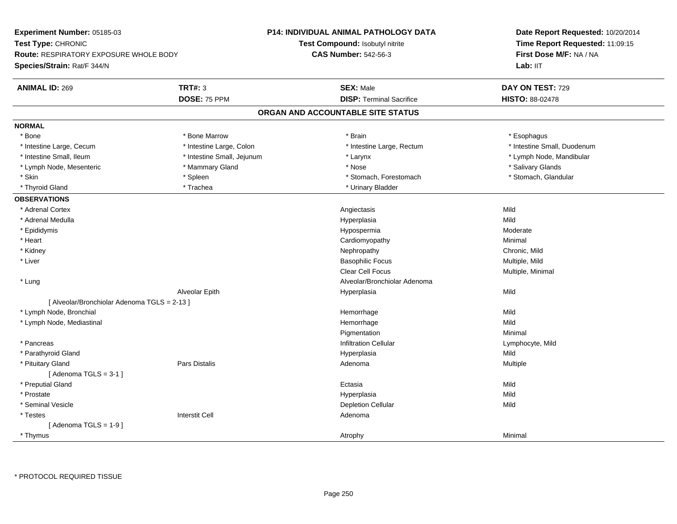| Experiment Number: 05185-03                                         |                            | <b>P14: INDIVIDUAL ANIMAL PATHOLOGY DATA</b> | Date Report Requested: 10/20/2014 |  |
|---------------------------------------------------------------------|----------------------------|----------------------------------------------|-----------------------------------|--|
| Test Type: CHRONIC<br><b>Route: RESPIRATORY EXPOSURE WHOLE BODY</b> |                            | Test Compound: Isobutyl nitrite              | Time Report Requested: 11:09:15   |  |
|                                                                     |                            | <b>CAS Number: 542-56-3</b>                  | First Dose M/F: NA / NA           |  |
| Species/Strain: Rat/F 344/N                                         |                            |                                              | Lab: IIT                          |  |
| <b>ANIMAL ID: 269</b>                                               | <b>TRT#: 3</b>             | <b>SEX: Male</b>                             | DAY ON TEST: 729                  |  |
|                                                                     | DOSE: 75 PPM               | <b>DISP: Terminal Sacrifice</b>              | <b>HISTO: 88-02478</b>            |  |
|                                                                     |                            | ORGAN AND ACCOUNTABLE SITE STATUS            |                                   |  |
| <b>NORMAL</b>                                                       |                            |                                              |                                   |  |
| * Bone                                                              | * Bone Marrow              | * Brain                                      | * Esophagus                       |  |
| * Intestine Large, Cecum                                            | * Intestine Large, Colon   | * Intestine Large, Rectum                    | * Intestine Small, Duodenum       |  |
| * Intestine Small, Ileum                                            | * Intestine Small, Jejunum | * Larynx                                     | * Lymph Node, Mandibular          |  |
| * Lymph Node, Mesenteric                                            | * Mammary Gland            | * Nose                                       | * Salivary Glands                 |  |
| * Skin                                                              | * Spleen                   | * Stomach, Forestomach                       | * Stomach, Glandular              |  |
| * Thyroid Gland                                                     | * Trachea                  | * Urinary Bladder                            |                                   |  |
| <b>OBSERVATIONS</b>                                                 |                            |                                              |                                   |  |
| * Adrenal Cortex                                                    |                            | Angiectasis                                  | Mild                              |  |
| * Adrenal Medulla                                                   |                            | Hyperplasia                                  | Mild                              |  |
| * Epididymis                                                        |                            | Hypospermia                                  | Moderate                          |  |
| * Heart                                                             |                            | Cardiomyopathy                               | Minimal                           |  |
| * Kidney                                                            |                            | Nephropathy                                  | Chronic, Mild                     |  |
| * Liver                                                             |                            | <b>Basophilic Focus</b>                      | Multiple, Mild                    |  |
|                                                                     |                            | Clear Cell Focus                             | Multiple, Minimal                 |  |
| * Lung                                                              |                            | Alveolar/Bronchiolar Adenoma                 |                                   |  |
|                                                                     | Alveolar Epith             | Hyperplasia                                  | Mild                              |  |
| [ Alveolar/Bronchiolar Adenoma TGLS = 2-13 ]                        |                            |                                              |                                   |  |
| * Lymph Node, Bronchial                                             |                            | Hemorrhage                                   | Mild                              |  |
| * Lymph Node, Mediastinal                                           |                            | Hemorrhage                                   | Mild                              |  |
|                                                                     |                            | Pigmentation                                 | Minimal                           |  |
| * Pancreas                                                          |                            | <b>Infiltration Cellular</b>                 | Lymphocyte, Mild                  |  |
| * Parathyroid Gland                                                 |                            | Hyperplasia                                  | Mild                              |  |
| * Pituitary Gland                                                   | Pars Distalis              | Adenoma                                      | Multiple                          |  |
| [Adenoma TGLS = $3-1$ ]                                             |                            |                                              |                                   |  |
| * Preputial Gland                                                   |                            | Ectasia                                      | Mild                              |  |
| * Prostate                                                          |                            | Hyperplasia                                  | Mild                              |  |
| * Seminal Vesicle                                                   |                            | <b>Depletion Cellular</b>                    | Mild                              |  |
| * Testes                                                            | <b>Interstit Cell</b>      | Adenoma                                      |                                   |  |
| [Adenoma TGLS = $1-9$ ]                                             |                            |                                              |                                   |  |
| * Thymus                                                            |                            | Atrophy                                      | Minimal                           |  |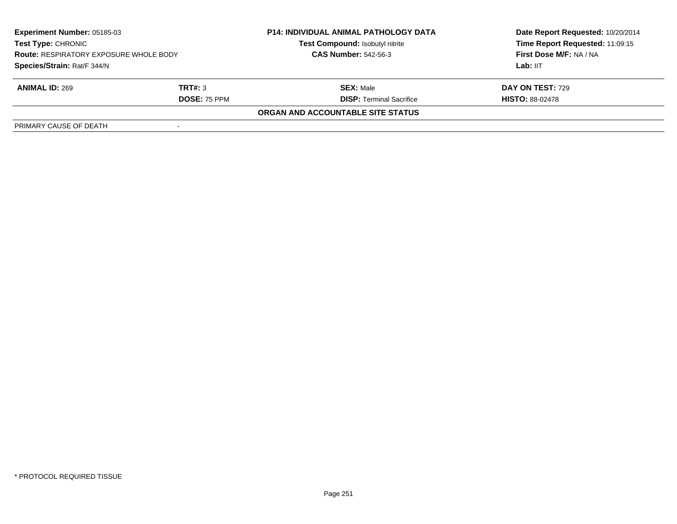| <b>Experiment Number: 05185-03</b><br><b>Test Type: CHRONIC</b><br><b>Route: RESPIRATORY EXPOSURE WHOLE BODY</b> |                          | <b>P14: INDIVIDUAL ANIMAL PATHOLOGY DATA</b><br>Test Compound: Isobutyl nitrite | Date Report Requested: 10/20/2014<br>Time Report Requested: 11:09:15<br>First Dose M/F: NA / NA |
|------------------------------------------------------------------------------------------------------------------|--------------------------|---------------------------------------------------------------------------------|-------------------------------------------------------------------------------------------------|
|                                                                                                                  |                          | <b>CAS Number: 542-56-3</b>                                                     |                                                                                                 |
| Species/Strain: Rat/F 344/N                                                                                      |                          |                                                                                 | Lab: IIT                                                                                        |
| <b>ANIMAL ID: 269</b>                                                                                            | TRT#: 3                  | <b>SEX: Male</b>                                                                | <b>DAY ON TEST: 729</b>                                                                         |
|                                                                                                                  | <b>DOSE: 75 PPM</b>      | <b>DISP: Terminal Sacrifice</b>                                                 | <b>HISTO: 88-02478</b>                                                                          |
|                                                                                                                  |                          | ORGAN AND ACCOUNTABLE SITE STATUS                                               |                                                                                                 |
| PRIMARY CAUSE OF DEATH                                                                                           | $\overline{\phantom{a}}$ |                                                                                 |                                                                                                 |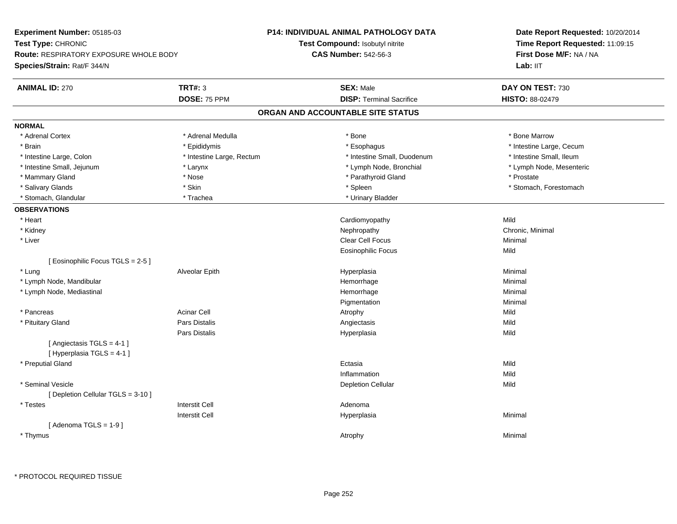| Test Compound: Isobutyl nitrite<br>Time Report Requested: 11:09:15<br><b>Route: RESPIRATORY EXPOSURE WHOLE BODY</b><br><b>CAS Number: 542-56-3</b><br>First Dose M/F: NA / NA<br>Lab: II <sub>T</sub><br><b>TRT#: 3</b><br><b>ANIMAL ID: 270</b><br><b>SEX: Male</b><br>DAY ON TEST: 730<br>DOSE: 75 PPM<br><b>DISP: Terminal Sacrifice</b><br>HISTO: 88-02479<br>ORGAN AND ACCOUNTABLE SITE STATUS<br>* Adrenal Cortex<br>* Adrenal Medulla<br>* Bone<br>* Bone Marrow<br>* Brain<br>* Epididymis<br>* Esophagus<br>* Intestine Large, Cecum<br>* Intestine Large, Colon<br>* Intestine Large, Rectum<br>* Intestine Small, Duodenum<br>* Intestine Small, Ileum<br>* Intestine Small, Jejunum<br>* Lymph Node, Bronchial<br>* Lymph Node, Mesenteric<br>* Larynx<br>* Mammary Gland<br>* Nose<br>* Parathyroid Gland<br>* Prostate<br>* Skin<br>* Stomach, Forestomach<br>* Salivary Glands<br>* Spleen<br>* Urinary Bladder<br>* Stomach, Glandular<br>* Trachea<br>Mild<br>* Heart<br>Cardiomyopathy<br>* Kidney<br>Nephropathy<br>Chronic, Minimal<br>Clear Cell Focus<br>* Liver<br>Minimal<br>Mild<br>Eosinophilic Focus<br>[Eosinophilic Focus TGLS = 2-5]<br>Alveolar Epith<br>Minimal<br>* Lung<br>Hyperplasia<br>* Lymph Node, Mandibular<br>Hemorrhage<br>Minimal<br>Hemorrhage<br>Minimal<br>* Lymph Node, Mediastinal<br>Pigmentation<br>Minimal<br><b>Acinar Cell</b><br>Mild<br>* Pancreas<br>Atrophy<br>* Pituitary Gland<br>Pars Distalis<br>Mild<br>Angiectasis<br>Pars Distalis<br>Mild<br>Hyperplasia<br>[Angiectasis TGLS = 4-1]<br>[Hyperplasia TGLS = 4-1]<br>* Preputial Gland<br>Mild<br>Ectasia<br>Mild<br>Inflammation<br>* Seminal Vesicle<br><b>Depletion Cellular</b><br>Mild<br>[ Depletion Cellular TGLS = 3-10 ]<br><b>Interstit Cell</b><br>* Testes<br>Adenoma<br><b>Interstit Cell</b><br>Minimal<br>Hyperplasia<br>[Adenoma TGLS = $1-9$ ]<br>* Thymus<br>Minimal<br>Atrophy | Experiment Number: 05185-03 | <b>P14: INDIVIDUAL ANIMAL PATHOLOGY DATA</b> | Date Report Requested: 10/20/2014 |
|--------------------------------------------------------------------------------------------------------------------------------------------------------------------------------------------------------------------------------------------------------------------------------------------------------------------------------------------------------------------------------------------------------------------------------------------------------------------------------------------------------------------------------------------------------------------------------------------------------------------------------------------------------------------------------------------------------------------------------------------------------------------------------------------------------------------------------------------------------------------------------------------------------------------------------------------------------------------------------------------------------------------------------------------------------------------------------------------------------------------------------------------------------------------------------------------------------------------------------------------------------------------------------------------------------------------------------------------------------------------------------------------------------------------------------------------------------------------------------------------------------------------------------------------------------------------------------------------------------------------------------------------------------------------------------------------------------------------------------------------------------------------------------------------------------------------------------------------------------------------------------------------------------------------|-----------------------------|----------------------------------------------|-----------------------------------|
|                                                                                                                                                                                                                                                                                                                                                                                                                                                                                                                                                                                                                                                                                                                                                                                                                                                                                                                                                                                                                                                                                                                                                                                                                                                                                                                                                                                                                                                                                                                                                                                                                                                                                                                                                                                                                                                                                                                    | Test Type: CHRONIC          |                                              |                                   |
|                                                                                                                                                                                                                                                                                                                                                                                                                                                                                                                                                                                                                                                                                                                                                                                                                                                                                                                                                                                                                                                                                                                                                                                                                                                                                                                                                                                                                                                                                                                                                                                                                                                                                                                                                                                                                                                                                                                    |                             |                                              |                                   |
|                                                                                                                                                                                                                                                                                                                                                                                                                                                                                                                                                                                                                                                                                                                                                                                                                                                                                                                                                                                                                                                                                                                                                                                                                                                                                                                                                                                                                                                                                                                                                                                                                                                                                                                                                                                                                                                                                                                    | Species/Strain: Rat/F 344/N |                                              |                                   |
|                                                                                                                                                                                                                                                                                                                                                                                                                                                                                                                                                                                                                                                                                                                                                                                                                                                                                                                                                                                                                                                                                                                                                                                                                                                                                                                                                                                                                                                                                                                                                                                                                                                                                                                                                                                                                                                                                                                    |                             |                                              |                                   |
|                                                                                                                                                                                                                                                                                                                                                                                                                                                                                                                                                                                                                                                                                                                                                                                                                                                                                                                                                                                                                                                                                                                                                                                                                                                                                                                                                                                                                                                                                                                                                                                                                                                                                                                                                                                                                                                                                                                    |                             |                                              |                                   |
|                                                                                                                                                                                                                                                                                                                                                                                                                                                                                                                                                                                                                                                                                                                                                                                                                                                                                                                                                                                                                                                                                                                                                                                                                                                                                                                                                                                                                                                                                                                                                                                                                                                                                                                                                                                                                                                                                                                    |                             |                                              |                                   |
|                                                                                                                                                                                                                                                                                                                                                                                                                                                                                                                                                                                                                                                                                                                                                                                                                                                                                                                                                                                                                                                                                                                                                                                                                                                                                                                                                                                                                                                                                                                                                                                                                                                                                                                                                                                                                                                                                                                    | <b>NORMAL</b>               |                                              |                                   |
|                                                                                                                                                                                                                                                                                                                                                                                                                                                                                                                                                                                                                                                                                                                                                                                                                                                                                                                                                                                                                                                                                                                                                                                                                                                                                                                                                                                                                                                                                                                                                                                                                                                                                                                                                                                                                                                                                                                    |                             |                                              |                                   |
|                                                                                                                                                                                                                                                                                                                                                                                                                                                                                                                                                                                                                                                                                                                                                                                                                                                                                                                                                                                                                                                                                                                                                                                                                                                                                                                                                                                                                                                                                                                                                                                                                                                                                                                                                                                                                                                                                                                    |                             |                                              |                                   |
|                                                                                                                                                                                                                                                                                                                                                                                                                                                                                                                                                                                                                                                                                                                                                                                                                                                                                                                                                                                                                                                                                                                                                                                                                                                                                                                                                                                                                                                                                                                                                                                                                                                                                                                                                                                                                                                                                                                    |                             |                                              |                                   |
|                                                                                                                                                                                                                                                                                                                                                                                                                                                                                                                                                                                                                                                                                                                                                                                                                                                                                                                                                                                                                                                                                                                                                                                                                                                                                                                                                                                                                                                                                                                                                                                                                                                                                                                                                                                                                                                                                                                    |                             |                                              |                                   |
|                                                                                                                                                                                                                                                                                                                                                                                                                                                                                                                                                                                                                                                                                                                                                                                                                                                                                                                                                                                                                                                                                                                                                                                                                                                                                                                                                                                                                                                                                                                                                                                                                                                                                                                                                                                                                                                                                                                    |                             |                                              |                                   |
|                                                                                                                                                                                                                                                                                                                                                                                                                                                                                                                                                                                                                                                                                                                                                                                                                                                                                                                                                                                                                                                                                                                                                                                                                                                                                                                                                                                                                                                                                                                                                                                                                                                                                                                                                                                                                                                                                                                    |                             |                                              |                                   |
|                                                                                                                                                                                                                                                                                                                                                                                                                                                                                                                                                                                                                                                                                                                                                                                                                                                                                                                                                                                                                                                                                                                                                                                                                                                                                                                                                                                                                                                                                                                                                                                                                                                                                                                                                                                                                                                                                                                    |                             |                                              |                                   |
|                                                                                                                                                                                                                                                                                                                                                                                                                                                                                                                                                                                                                                                                                                                                                                                                                                                                                                                                                                                                                                                                                                                                                                                                                                                                                                                                                                                                                                                                                                                                                                                                                                                                                                                                                                                                                                                                                                                    | <b>OBSERVATIONS</b>         |                                              |                                   |
|                                                                                                                                                                                                                                                                                                                                                                                                                                                                                                                                                                                                                                                                                                                                                                                                                                                                                                                                                                                                                                                                                                                                                                                                                                                                                                                                                                                                                                                                                                                                                                                                                                                                                                                                                                                                                                                                                                                    |                             |                                              |                                   |
|                                                                                                                                                                                                                                                                                                                                                                                                                                                                                                                                                                                                                                                                                                                                                                                                                                                                                                                                                                                                                                                                                                                                                                                                                                                                                                                                                                                                                                                                                                                                                                                                                                                                                                                                                                                                                                                                                                                    |                             |                                              |                                   |
|                                                                                                                                                                                                                                                                                                                                                                                                                                                                                                                                                                                                                                                                                                                                                                                                                                                                                                                                                                                                                                                                                                                                                                                                                                                                                                                                                                                                                                                                                                                                                                                                                                                                                                                                                                                                                                                                                                                    |                             |                                              |                                   |
|                                                                                                                                                                                                                                                                                                                                                                                                                                                                                                                                                                                                                                                                                                                                                                                                                                                                                                                                                                                                                                                                                                                                                                                                                                                                                                                                                                                                                                                                                                                                                                                                                                                                                                                                                                                                                                                                                                                    |                             |                                              |                                   |
|                                                                                                                                                                                                                                                                                                                                                                                                                                                                                                                                                                                                                                                                                                                                                                                                                                                                                                                                                                                                                                                                                                                                                                                                                                                                                                                                                                                                                                                                                                                                                                                                                                                                                                                                                                                                                                                                                                                    |                             |                                              |                                   |
|                                                                                                                                                                                                                                                                                                                                                                                                                                                                                                                                                                                                                                                                                                                                                                                                                                                                                                                                                                                                                                                                                                                                                                                                                                                                                                                                                                                                                                                                                                                                                                                                                                                                                                                                                                                                                                                                                                                    |                             |                                              |                                   |
|                                                                                                                                                                                                                                                                                                                                                                                                                                                                                                                                                                                                                                                                                                                                                                                                                                                                                                                                                                                                                                                                                                                                                                                                                                                                                                                                                                                                                                                                                                                                                                                                                                                                                                                                                                                                                                                                                                                    |                             |                                              |                                   |
|                                                                                                                                                                                                                                                                                                                                                                                                                                                                                                                                                                                                                                                                                                                                                                                                                                                                                                                                                                                                                                                                                                                                                                                                                                                                                                                                                                                                                                                                                                                                                                                                                                                                                                                                                                                                                                                                                                                    |                             |                                              |                                   |
|                                                                                                                                                                                                                                                                                                                                                                                                                                                                                                                                                                                                                                                                                                                                                                                                                                                                                                                                                                                                                                                                                                                                                                                                                                                                                                                                                                                                                                                                                                                                                                                                                                                                                                                                                                                                                                                                                                                    |                             |                                              |                                   |
|                                                                                                                                                                                                                                                                                                                                                                                                                                                                                                                                                                                                                                                                                                                                                                                                                                                                                                                                                                                                                                                                                                                                                                                                                                                                                                                                                                                                                                                                                                                                                                                                                                                                                                                                                                                                                                                                                                                    |                             |                                              |                                   |
|                                                                                                                                                                                                                                                                                                                                                                                                                                                                                                                                                                                                                                                                                                                                                                                                                                                                                                                                                                                                                                                                                                                                                                                                                                                                                                                                                                                                                                                                                                                                                                                                                                                                                                                                                                                                                                                                                                                    |                             |                                              |                                   |
|                                                                                                                                                                                                                                                                                                                                                                                                                                                                                                                                                                                                                                                                                                                                                                                                                                                                                                                                                                                                                                                                                                                                                                                                                                                                                                                                                                                                                                                                                                                                                                                                                                                                                                                                                                                                                                                                                                                    |                             |                                              |                                   |
|                                                                                                                                                                                                                                                                                                                                                                                                                                                                                                                                                                                                                                                                                                                                                                                                                                                                                                                                                                                                                                                                                                                                                                                                                                                                                                                                                                                                                                                                                                                                                                                                                                                                                                                                                                                                                                                                                                                    |                             |                                              |                                   |
|                                                                                                                                                                                                                                                                                                                                                                                                                                                                                                                                                                                                                                                                                                                                                                                                                                                                                                                                                                                                                                                                                                                                                                                                                                                                                                                                                                                                                                                                                                                                                                                                                                                                                                                                                                                                                                                                                                                    |                             |                                              |                                   |
|                                                                                                                                                                                                                                                                                                                                                                                                                                                                                                                                                                                                                                                                                                                                                                                                                                                                                                                                                                                                                                                                                                                                                                                                                                                                                                                                                                                                                                                                                                                                                                                                                                                                                                                                                                                                                                                                                                                    |                             |                                              |                                   |
|                                                                                                                                                                                                                                                                                                                                                                                                                                                                                                                                                                                                                                                                                                                                                                                                                                                                                                                                                                                                                                                                                                                                                                                                                                                                                                                                                                                                                                                                                                                                                                                                                                                                                                                                                                                                                                                                                                                    |                             |                                              |                                   |
|                                                                                                                                                                                                                                                                                                                                                                                                                                                                                                                                                                                                                                                                                                                                                                                                                                                                                                                                                                                                                                                                                                                                                                                                                                                                                                                                                                                                                                                                                                                                                                                                                                                                                                                                                                                                                                                                                                                    |                             |                                              |                                   |
|                                                                                                                                                                                                                                                                                                                                                                                                                                                                                                                                                                                                                                                                                                                                                                                                                                                                                                                                                                                                                                                                                                                                                                                                                                                                                                                                                                                                                                                                                                                                                                                                                                                                                                                                                                                                                                                                                                                    |                             |                                              |                                   |
|                                                                                                                                                                                                                                                                                                                                                                                                                                                                                                                                                                                                                                                                                                                                                                                                                                                                                                                                                                                                                                                                                                                                                                                                                                                                                                                                                                                                                                                                                                                                                                                                                                                                                                                                                                                                                                                                                                                    |                             |                                              |                                   |
|                                                                                                                                                                                                                                                                                                                                                                                                                                                                                                                                                                                                                                                                                                                                                                                                                                                                                                                                                                                                                                                                                                                                                                                                                                                                                                                                                                                                                                                                                                                                                                                                                                                                                                                                                                                                                                                                                                                    |                             |                                              |                                   |
|                                                                                                                                                                                                                                                                                                                                                                                                                                                                                                                                                                                                                                                                                                                                                                                                                                                                                                                                                                                                                                                                                                                                                                                                                                                                                                                                                                                                                                                                                                                                                                                                                                                                                                                                                                                                                                                                                                                    |                             |                                              |                                   |
|                                                                                                                                                                                                                                                                                                                                                                                                                                                                                                                                                                                                                                                                                                                                                                                                                                                                                                                                                                                                                                                                                                                                                                                                                                                                                                                                                                                                                                                                                                                                                                                                                                                                                                                                                                                                                                                                                                                    |                             |                                              |                                   |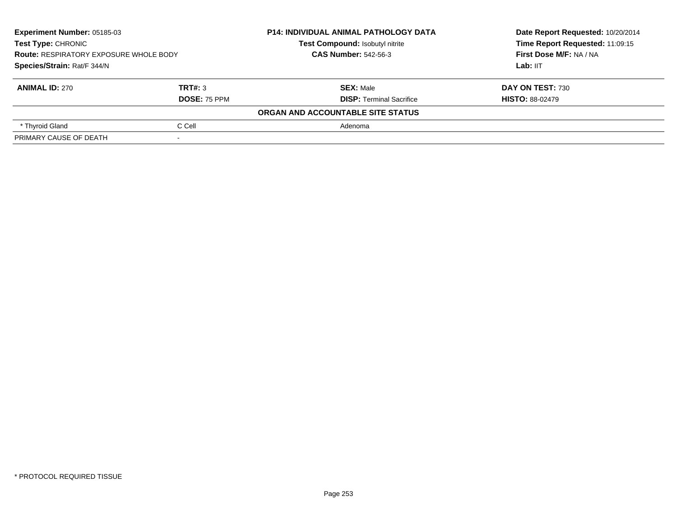| <b>Experiment Number: 05185-03</b><br>Test Type: CHRONIC<br><b>Route: RESPIRATORY EXPOSURE WHOLE BODY</b><br>Species/Strain: Rat/F 344/N |                     | <b>P14: INDIVIDUAL ANIMAL PATHOLOGY DATA</b> | Date Report Requested: 10/20/2014<br>Time Report Requested: 11:09:15<br>First Dose M/F: NA / NA |
|------------------------------------------------------------------------------------------------------------------------------------------|---------------------|----------------------------------------------|-------------------------------------------------------------------------------------------------|
|                                                                                                                                          |                     | Test Compound: Isobutyl nitrite              |                                                                                                 |
|                                                                                                                                          |                     | <b>CAS Number: 542-56-3</b>                  |                                                                                                 |
|                                                                                                                                          |                     |                                              | Lab: IIT                                                                                        |
| <b>ANIMAL ID: 270</b>                                                                                                                    | TRT#: 3             | <b>SEX: Male</b>                             | <b>DAY ON TEST: 730</b>                                                                         |
|                                                                                                                                          | <b>DOSE: 75 PPM</b> | <b>DISP: Terminal Sacrifice</b>              | <b>HISTO: 88-02479</b>                                                                          |
|                                                                                                                                          |                     | ORGAN AND ACCOUNTABLE SITE STATUS            |                                                                                                 |
| * Thyroid Gland                                                                                                                          | C Cell              | Adenoma                                      |                                                                                                 |
| PRIMARY CAUSE OF DEATH                                                                                                                   |                     |                                              |                                                                                                 |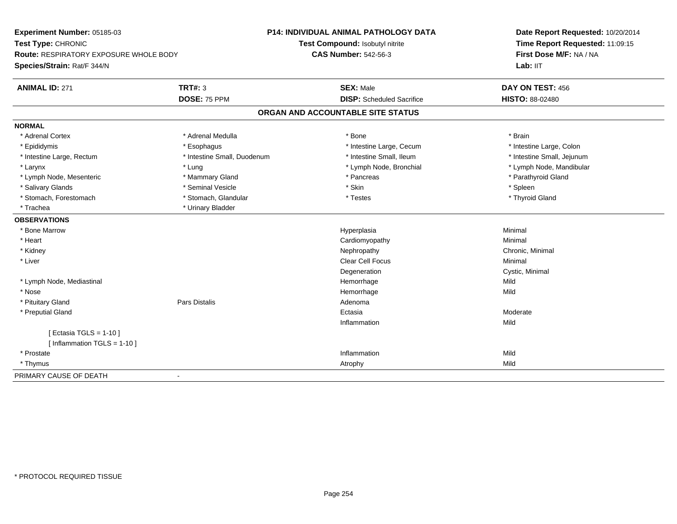| Experiment Number: 05185-03                   |                             | <b>P14: INDIVIDUAL ANIMAL PATHOLOGY DATA</b> | Date Report Requested: 10/20/2014<br>Time Report Requested: 11:09:15 |
|-----------------------------------------------|-----------------------------|----------------------------------------------|----------------------------------------------------------------------|
| Test Type: CHRONIC                            |                             | Test Compound: Isobutyl nitrite              |                                                                      |
| <b>Route: RESPIRATORY EXPOSURE WHOLE BODY</b> |                             | <b>CAS Number: 542-56-3</b>                  | First Dose M/F: NA / NA                                              |
| Species/Strain: Rat/F 344/N                   |                             |                                              | Lab: IIT                                                             |
| <b>ANIMAL ID: 271</b>                         | <b>TRT#: 3</b>              | <b>SEX: Male</b>                             | DAY ON TEST: 456                                                     |
|                                               | DOSE: 75 PPM                | <b>DISP:</b> Scheduled Sacrifice             | <b>HISTO: 88-02480</b>                                               |
|                                               |                             | ORGAN AND ACCOUNTABLE SITE STATUS            |                                                                      |
| <b>NORMAL</b>                                 |                             |                                              |                                                                      |
| * Adrenal Cortex                              | * Adrenal Medulla           | * Bone                                       | * Brain                                                              |
| * Epididymis                                  | * Esophagus                 | * Intestine Large, Cecum                     | * Intestine Large, Colon                                             |
| * Intestine Large, Rectum                     | * Intestine Small, Duodenum | * Intestine Small, Ileum                     | * Intestine Small, Jejunum                                           |
| * Larynx                                      | * Lung                      | * Lymph Node, Bronchial                      | * Lymph Node, Mandibular                                             |
| * Lymph Node, Mesenteric                      | * Mammary Gland             | * Pancreas                                   | * Parathyroid Gland                                                  |
| * Salivary Glands                             | * Seminal Vesicle           | * Skin                                       | * Spleen                                                             |
| * Stomach, Forestomach                        | * Stomach, Glandular        | * Testes                                     | * Thyroid Gland                                                      |
| * Trachea                                     | * Urinary Bladder           |                                              |                                                                      |
| <b>OBSERVATIONS</b>                           |                             |                                              |                                                                      |
| * Bone Marrow                                 |                             | Hyperplasia                                  | Minimal                                                              |
| * Heart                                       |                             | Cardiomyopathy                               | Minimal                                                              |
| * Kidney                                      |                             | Nephropathy                                  | Chronic, Minimal                                                     |
| * Liver                                       |                             | <b>Clear Cell Focus</b>                      | Minimal                                                              |
|                                               |                             | Degeneration                                 | Cystic, Minimal                                                      |
| * Lymph Node, Mediastinal                     |                             | Hemorrhage                                   | Mild                                                                 |
| * Nose                                        |                             | Hemorrhage                                   | Mild                                                                 |
| * Pituitary Gland                             | <b>Pars Distalis</b>        | Adenoma                                      |                                                                      |
| * Preputial Gland                             |                             | Ectasia                                      | Moderate                                                             |
|                                               |                             | Inflammation                                 | Mild                                                                 |
| [Ectasia TGLS = $1-10$ ]                      |                             |                                              |                                                                      |
| [Inflammation TGLS = $1-10$ ]                 |                             |                                              |                                                                      |
| * Prostate                                    |                             | Inflammation                                 | Mild                                                                 |
| * Thymus                                      |                             | Atrophy                                      | Mild                                                                 |
| PRIMARY CAUSE OF DEATH                        | $\blacksquare$              |                                              |                                                                      |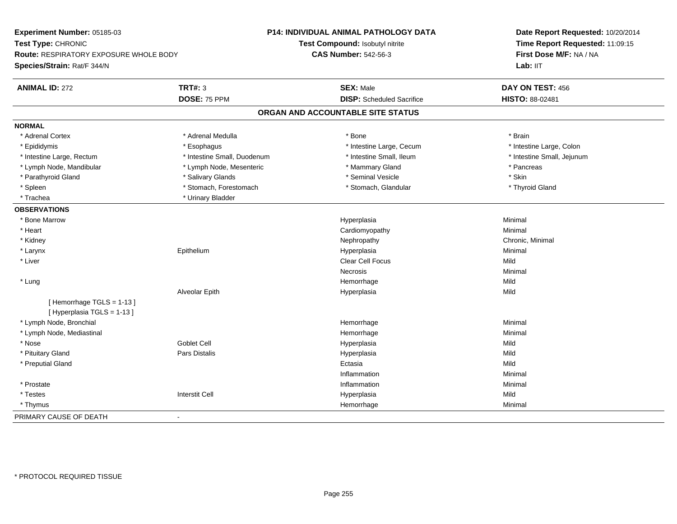| Experiment Number: 05185-03                           |                             | <b>P14: INDIVIDUAL ANIMAL PATHOLOGY DATA</b> | Date Report Requested: 10/20/2014<br>Time Report Requested: 11:09:15<br>First Dose M/F: NA / NA |  |
|-------------------------------------------------------|-----------------------------|----------------------------------------------|-------------------------------------------------------------------------------------------------|--|
| Test Type: CHRONIC                                    |                             | Test Compound: Isobutyl nitrite              |                                                                                                 |  |
| Route: RESPIRATORY EXPOSURE WHOLE BODY                |                             | <b>CAS Number: 542-56-3</b>                  |                                                                                                 |  |
| Species/Strain: Rat/F 344/N                           |                             |                                              | Lab: IIT                                                                                        |  |
| <b>ANIMAL ID: 272</b>                                 | <b>TRT#: 3</b>              | <b>SEX: Male</b>                             | DAY ON TEST: 456                                                                                |  |
|                                                       | DOSE: 75 PPM                | <b>DISP:</b> Scheduled Sacrifice             | HISTO: 88-02481                                                                                 |  |
|                                                       |                             | ORGAN AND ACCOUNTABLE SITE STATUS            |                                                                                                 |  |
| <b>NORMAL</b>                                         |                             |                                              |                                                                                                 |  |
| * Adrenal Cortex                                      | * Adrenal Medulla           | * Bone                                       | * Brain                                                                                         |  |
| * Epididymis                                          | * Esophagus                 | * Intestine Large, Cecum                     | * Intestine Large, Colon                                                                        |  |
| * Intestine Large, Rectum                             | * Intestine Small, Duodenum | * Intestine Small, Ileum                     | * Intestine Small, Jejunum                                                                      |  |
| * Lymph Node, Mandibular                              | * Lymph Node, Mesenteric    | * Mammary Gland                              | * Pancreas                                                                                      |  |
| * Parathyroid Gland                                   | * Salivary Glands           | * Seminal Vesicle                            | * Skin                                                                                          |  |
| * Spleen                                              | * Stomach, Forestomach      | * Stomach, Glandular                         | * Thyroid Gland                                                                                 |  |
| * Trachea                                             | * Urinary Bladder           |                                              |                                                                                                 |  |
| <b>OBSERVATIONS</b>                                   |                             |                                              |                                                                                                 |  |
| * Bone Marrow                                         |                             | Hyperplasia                                  | Minimal                                                                                         |  |
| * Heart                                               |                             | Cardiomyopathy                               | Minimal                                                                                         |  |
| * Kidney                                              |                             | Nephropathy                                  | Chronic, Minimal                                                                                |  |
| * Larynx                                              | Epithelium                  | Hyperplasia                                  | Minimal                                                                                         |  |
| * Liver                                               |                             | Clear Cell Focus                             | Mild                                                                                            |  |
|                                                       |                             | Necrosis                                     | Minimal                                                                                         |  |
| * Lung                                                |                             | Hemorrhage                                   | Mild                                                                                            |  |
|                                                       | Alveolar Epith              | Hyperplasia                                  | Mild                                                                                            |  |
| [Hemorrhage TGLS = 1-13]<br>[Hyperplasia TGLS = 1-13] |                             |                                              |                                                                                                 |  |
| * Lymph Node, Bronchial                               |                             | Hemorrhage                                   | Minimal                                                                                         |  |
| * Lymph Node, Mediastinal                             |                             | Hemorrhage                                   | Minimal                                                                                         |  |
| * Nose                                                | Goblet Cell                 | Hyperplasia                                  | Mild                                                                                            |  |
| * Pituitary Gland                                     | Pars Distalis               | Hyperplasia                                  | Mild                                                                                            |  |
| * Preputial Gland                                     |                             | Ectasia                                      | Mild                                                                                            |  |
|                                                       |                             | Inflammation                                 | Minimal                                                                                         |  |
| * Prostate                                            |                             | Inflammation                                 | Minimal                                                                                         |  |
| * Testes                                              | <b>Interstit Cell</b>       | Hyperplasia                                  | Mild                                                                                            |  |
| * Thymus                                              |                             | Hemorrhage                                   | Minimal                                                                                         |  |
| PRIMARY CAUSE OF DEATH                                | $\blacksquare$              |                                              |                                                                                                 |  |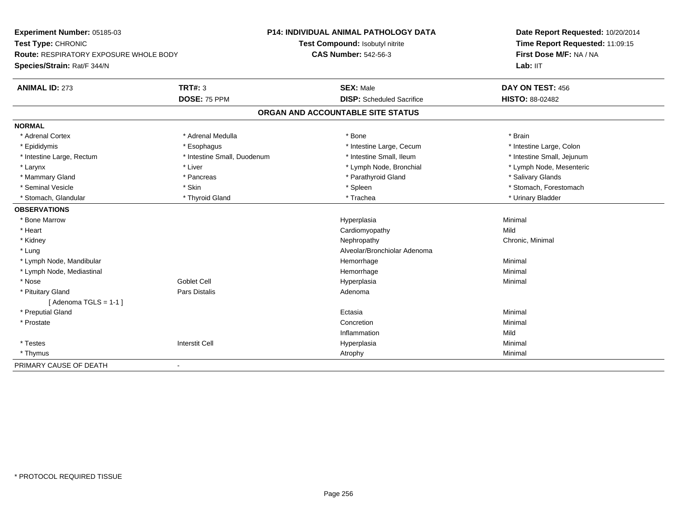| Experiment Number: 05185-03                   |                             | <b>P14: INDIVIDUAL ANIMAL PATHOLOGY DATA</b> | Date Report Requested: 10/20/2014<br>Time Report Requested: 11:09:15<br>First Dose M/F: NA / NA<br>Lab: IIT |
|-----------------------------------------------|-----------------------------|----------------------------------------------|-------------------------------------------------------------------------------------------------------------|
| Test Type: CHRONIC                            |                             | Test Compound: Isobutyl nitrite              |                                                                                                             |
| <b>Route: RESPIRATORY EXPOSURE WHOLE BODY</b> |                             | <b>CAS Number: 542-56-3</b>                  |                                                                                                             |
| Species/Strain: Rat/F 344/N                   |                             |                                              |                                                                                                             |
| <b>ANIMAL ID: 273</b>                         | <b>TRT#: 3</b>              | <b>SEX: Male</b>                             | DAY ON TEST: 456                                                                                            |
|                                               | DOSE: 75 PPM                | <b>DISP:</b> Scheduled Sacrifice             | <b>HISTO: 88-02482</b>                                                                                      |
|                                               |                             | ORGAN AND ACCOUNTABLE SITE STATUS            |                                                                                                             |
| <b>NORMAL</b>                                 |                             |                                              |                                                                                                             |
| * Adrenal Cortex                              | * Adrenal Medulla           | * Bone                                       | * Brain                                                                                                     |
| * Epididymis                                  | * Esophagus                 | * Intestine Large, Cecum                     | * Intestine Large, Colon                                                                                    |
| * Intestine Large, Rectum                     | * Intestine Small, Duodenum | * Intestine Small, Ileum                     | * Intestine Small, Jejunum                                                                                  |
| * Larynx                                      | * Liver                     | * Lymph Node, Bronchial                      | * Lymph Node, Mesenteric                                                                                    |
| * Mammary Gland                               | * Pancreas                  | * Parathyroid Gland                          | * Salivary Glands                                                                                           |
| * Seminal Vesicle                             | * Skin                      | * Spleen                                     | * Stomach, Forestomach                                                                                      |
| * Stomach, Glandular                          | * Thyroid Gland             | * Trachea                                    | * Urinary Bladder                                                                                           |
| <b>OBSERVATIONS</b>                           |                             |                                              |                                                                                                             |
| * Bone Marrow                                 |                             | Hyperplasia                                  | Minimal                                                                                                     |
| * Heart                                       |                             | Cardiomyopathy                               | Mild                                                                                                        |
| * Kidney                                      |                             | Nephropathy                                  | Chronic, Minimal                                                                                            |
| * Lung                                        |                             | Alveolar/Bronchiolar Adenoma                 |                                                                                                             |
| * Lymph Node, Mandibular                      |                             | Hemorrhage                                   | Minimal                                                                                                     |
| * Lymph Node, Mediastinal                     |                             | Hemorrhage                                   | Minimal                                                                                                     |
| * Nose                                        | <b>Goblet Cell</b>          | Hyperplasia                                  | Minimal                                                                                                     |
| * Pituitary Gland                             | Pars Distalis               | Adenoma                                      |                                                                                                             |
| [Adenoma TGLS = $1-1$ ]                       |                             |                                              |                                                                                                             |
| * Preputial Gland                             |                             | Ectasia                                      | Minimal                                                                                                     |
| * Prostate                                    |                             | Concretion                                   | Minimal                                                                                                     |
|                                               |                             | Inflammation                                 | Mild                                                                                                        |
| * Testes                                      | <b>Interstit Cell</b>       | Hyperplasia                                  | Minimal                                                                                                     |
| * Thymus                                      |                             | Atrophy                                      | Minimal                                                                                                     |
| PRIMARY CAUSE OF DEATH                        |                             |                                              |                                                                                                             |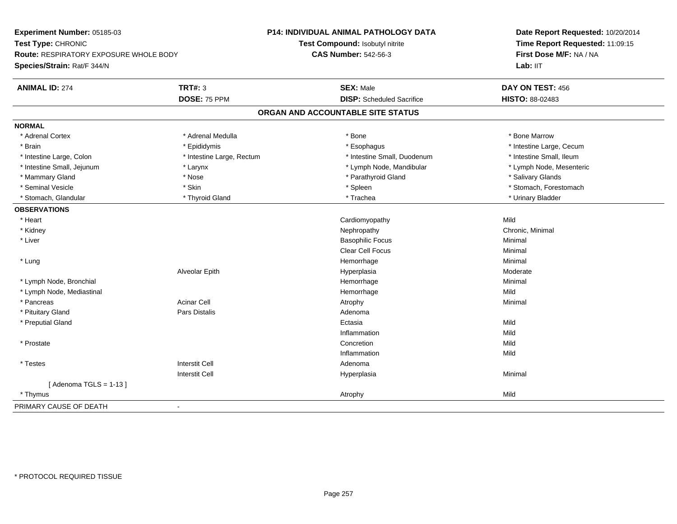| Experiment Number: 05185-03                   |                           | P14: INDIVIDUAL ANIMAL PATHOLOGY DATA | Date Report Requested: 10/20/2014<br>Time Report Requested: 11:09:15<br>First Dose M/F: NA / NA |  |
|-----------------------------------------------|---------------------------|---------------------------------------|-------------------------------------------------------------------------------------------------|--|
| Test Type: CHRONIC                            |                           | Test Compound: Isobutyl nitrite       |                                                                                                 |  |
| <b>Route: RESPIRATORY EXPOSURE WHOLE BODY</b> |                           | <b>CAS Number: 542-56-3</b>           |                                                                                                 |  |
| Species/Strain: Rat/F 344/N                   |                           |                                       | Lab: IIT                                                                                        |  |
| <b>ANIMAL ID: 274</b>                         | <b>TRT#: 3</b>            | <b>SEX: Male</b>                      | DAY ON TEST: 456                                                                                |  |
|                                               | DOSE: 75 PPM              | <b>DISP:</b> Scheduled Sacrifice      | HISTO: 88-02483                                                                                 |  |
|                                               |                           | ORGAN AND ACCOUNTABLE SITE STATUS     |                                                                                                 |  |
| <b>NORMAL</b>                                 |                           |                                       |                                                                                                 |  |
| * Adrenal Cortex                              | * Adrenal Medulla         | * Bone                                | * Bone Marrow                                                                                   |  |
| * Brain                                       | * Epididymis              | * Esophagus                           | * Intestine Large, Cecum                                                                        |  |
| * Intestine Large, Colon                      | * Intestine Large, Rectum | * Intestine Small, Duodenum           | * Intestine Small, Ileum                                                                        |  |
| * Intestine Small, Jejunum                    | * Larynx                  | * Lymph Node, Mandibular              | * Lymph Node, Mesenteric                                                                        |  |
| * Mammary Gland                               | * Nose                    | * Parathyroid Gland                   | * Salivary Glands                                                                               |  |
| * Seminal Vesicle                             | * Skin                    | * Spleen                              | * Stomach, Forestomach                                                                          |  |
| * Stomach, Glandular                          | * Thyroid Gland           | * Trachea                             | * Urinary Bladder                                                                               |  |
| <b>OBSERVATIONS</b>                           |                           |                                       |                                                                                                 |  |
| * Heart                                       |                           | Cardiomyopathy                        | Mild                                                                                            |  |
| * Kidney                                      |                           | Nephropathy                           | Chronic, Minimal                                                                                |  |
| * Liver                                       |                           | <b>Basophilic Focus</b>               | Minimal                                                                                         |  |
|                                               |                           | Clear Cell Focus                      | Minimal                                                                                         |  |
| * Lung                                        |                           | Hemorrhage                            | Minimal                                                                                         |  |
|                                               | Alveolar Epith            | Hyperplasia                           | Moderate                                                                                        |  |
| * Lymph Node, Bronchial                       |                           | Hemorrhage                            | Minimal                                                                                         |  |
| * Lymph Node, Mediastinal                     |                           | Hemorrhage                            | Mild                                                                                            |  |
| * Pancreas                                    | <b>Acinar Cell</b>        | Atrophy                               | Minimal                                                                                         |  |
| * Pituitary Gland                             | Pars Distalis             | Adenoma                               |                                                                                                 |  |
| * Preputial Gland                             |                           | Ectasia                               | Mild                                                                                            |  |
|                                               |                           | Inflammation                          | Mild                                                                                            |  |
| * Prostate                                    |                           | Concretion                            | Mild                                                                                            |  |
|                                               |                           | Inflammation                          | Mild                                                                                            |  |
| * Testes                                      | <b>Interstit Cell</b>     | Adenoma                               |                                                                                                 |  |
|                                               | <b>Interstit Cell</b>     | Hyperplasia                           | Minimal                                                                                         |  |
| [Adenoma TGLS = $1-13$ ]                      |                           |                                       |                                                                                                 |  |
| * Thymus                                      |                           | Atrophy                               | Mild                                                                                            |  |
| PRIMARY CAUSE OF DEATH                        | $\blacksquare$            |                                       |                                                                                                 |  |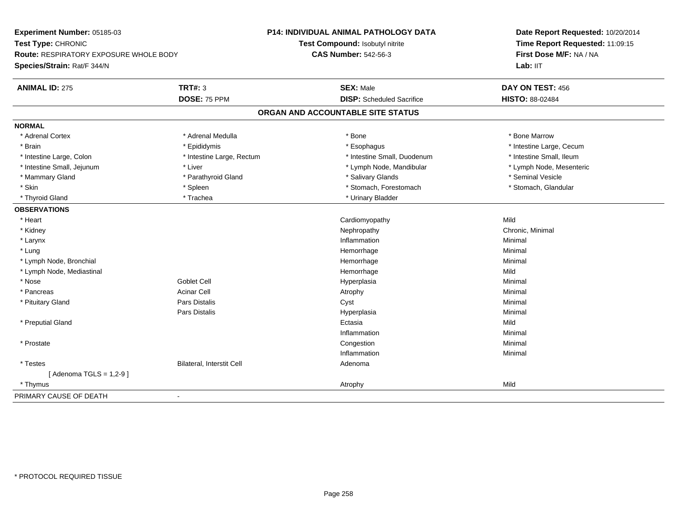| Experiment Number: 05185-03                                  |                           | P14: INDIVIDUAL ANIMAL PATHOLOGY DATA | Date Report Requested: 10/20/2014                          |  |
|--------------------------------------------------------------|---------------------------|---------------------------------------|------------------------------------------------------------|--|
| Test Type: CHRONIC<br>Route: RESPIRATORY EXPOSURE WHOLE BODY |                           | Test Compound: Isobutyl nitrite       | Time Report Requested: 11:09:15<br>First Dose M/F: NA / NA |  |
|                                                              |                           | <b>CAS Number: 542-56-3</b>           |                                                            |  |
| Species/Strain: Rat/F 344/N                                  |                           |                                       | Lab: IIT                                                   |  |
| <b>ANIMAL ID: 275</b>                                        | <b>TRT#: 3</b>            | <b>SEX: Male</b>                      | DAY ON TEST: 456                                           |  |
|                                                              | DOSE: 75 PPM              | <b>DISP:</b> Scheduled Sacrifice      | HISTO: 88-02484                                            |  |
|                                                              |                           | ORGAN AND ACCOUNTABLE SITE STATUS     |                                                            |  |
| <b>NORMAL</b>                                                |                           |                                       |                                                            |  |
| * Adrenal Cortex                                             | * Adrenal Medulla         | * Bone                                | * Bone Marrow                                              |  |
| * Brain                                                      | * Epididymis              | * Esophagus                           | * Intestine Large, Cecum                                   |  |
| * Intestine Large, Colon                                     | * Intestine Large, Rectum | * Intestine Small, Duodenum           | * Intestine Small, Ileum                                   |  |
| * Intestine Small, Jejunum                                   | * Liver                   | * Lymph Node, Mandibular              | * Lymph Node, Mesenteric                                   |  |
| * Mammary Gland                                              | * Parathyroid Gland       | * Salivary Glands                     | * Seminal Vesicle                                          |  |
| * Skin                                                       | * Spleen                  | * Stomach, Forestomach                | * Stomach, Glandular                                       |  |
| * Thyroid Gland                                              | * Trachea                 | * Urinary Bladder                     |                                                            |  |
| <b>OBSERVATIONS</b>                                          |                           |                                       |                                                            |  |
| * Heart                                                      |                           | Cardiomyopathy                        | Mild                                                       |  |
| * Kidney                                                     |                           | Nephropathy                           | Chronic, Minimal                                           |  |
| * Larynx                                                     |                           | Inflammation                          | Minimal                                                    |  |
| * Lung                                                       |                           | Hemorrhage                            | Minimal                                                    |  |
| * Lymph Node, Bronchial                                      |                           | Hemorrhage                            | Minimal                                                    |  |
| * Lymph Node, Mediastinal                                    |                           | Hemorrhage                            | Mild                                                       |  |
| * Nose                                                       | <b>Goblet Cell</b>        | Hyperplasia                           | Minimal                                                    |  |
| * Pancreas                                                   | <b>Acinar Cell</b>        | Atrophy                               | Minimal                                                    |  |
| * Pituitary Gland                                            | Pars Distalis             | Cyst                                  | Minimal                                                    |  |
|                                                              | Pars Distalis             | Hyperplasia                           | Minimal                                                    |  |
| * Preputial Gland                                            |                           | Ectasia                               | Mild                                                       |  |
|                                                              |                           | Inflammation                          | Minimal                                                    |  |
| * Prostate                                                   |                           | Congestion                            | Minimal                                                    |  |
|                                                              |                           | Inflammation                          | Minimal                                                    |  |
| * Testes                                                     | Bilateral, Interstit Cell | Adenoma                               |                                                            |  |
| [Adenoma TGLS = $1,2-9$ ]                                    |                           |                                       |                                                            |  |
| * Thymus                                                     |                           | Atrophy                               | Mild                                                       |  |
| PRIMARY CAUSE OF DEATH                                       | $\blacksquare$            |                                       |                                                            |  |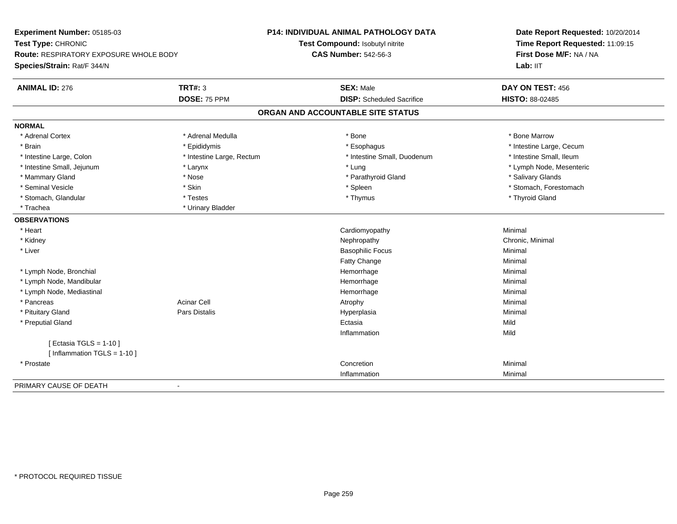| Experiment Number: 05185-03                                         |                           | <b>P14: INDIVIDUAL ANIMAL PATHOLOGY DATA</b> | Date Report Requested: 10/20/2014 |
|---------------------------------------------------------------------|---------------------------|----------------------------------------------|-----------------------------------|
| Test Type: CHRONIC<br><b>Route: RESPIRATORY EXPOSURE WHOLE BODY</b> |                           | Test Compound: Isobutyl nitrite              | Time Report Requested: 11:09:15   |
|                                                                     |                           | <b>CAS Number: 542-56-3</b>                  | First Dose M/F: NA / NA           |
| Species/Strain: Rat/F 344/N                                         |                           |                                              | Lab: IIT                          |
| <b>ANIMAL ID: 276</b>                                               | <b>TRT#: 3</b>            | <b>SEX: Male</b>                             | DAY ON TEST: 456                  |
|                                                                     | DOSE: 75 PPM              | <b>DISP:</b> Scheduled Sacrifice             | HISTO: 88-02485                   |
|                                                                     |                           | ORGAN AND ACCOUNTABLE SITE STATUS            |                                   |
| <b>NORMAL</b>                                                       |                           |                                              |                                   |
| * Adrenal Cortex                                                    | * Adrenal Medulla         | * Bone                                       | * Bone Marrow                     |
| * Brain                                                             | * Epididymis              | * Esophagus                                  | * Intestine Large, Cecum          |
| * Intestine Large, Colon                                            | * Intestine Large, Rectum | * Intestine Small, Duodenum                  | * Intestine Small, Ileum          |
| * Intestine Small, Jejunum                                          | * Larynx                  | * Lung                                       | * Lymph Node, Mesenteric          |
| * Mammary Gland                                                     | * Nose                    | * Parathyroid Gland                          | * Salivary Glands                 |
| * Seminal Vesicle                                                   | * Skin                    | * Spleen                                     | * Stomach, Forestomach            |
| * Stomach, Glandular                                                | * Testes                  | * Thymus                                     | * Thyroid Gland                   |
| * Trachea                                                           | * Urinary Bladder         |                                              |                                   |
| <b>OBSERVATIONS</b>                                                 |                           |                                              |                                   |
| * Heart                                                             |                           | Cardiomyopathy                               | Minimal                           |
| * Kidney                                                            |                           | Nephropathy                                  | Chronic, Minimal                  |
| * Liver                                                             |                           | <b>Basophilic Focus</b>                      | Minimal                           |
|                                                                     |                           | Fatty Change                                 | Minimal                           |
| * Lymph Node, Bronchial                                             |                           | Hemorrhage                                   | Minimal                           |
| * Lymph Node, Mandibular                                            |                           | Hemorrhage                                   | Minimal                           |
| * Lymph Node, Mediastinal                                           |                           | Hemorrhage                                   | Minimal                           |
| * Pancreas                                                          | <b>Acinar Cell</b>        | Atrophy                                      | Minimal                           |
| * Pituitary Gland                                                   | <b>Pars Distalis</b>      | Hyperplasia                                  | Minimal                           |
| * Preputial Gland                                                   |                           | Ectasia                                      | Mild                              |
|                                                                     |                           | Inflammation                                 | Mild                              |
| [ Ectasia TGLS = $1-10$ ]                                           |                           |                                              |                                   |
| [Inflammation TGLS = $1-10$ ]                                       |                           |                                              |                                   |
| * Prostate                                                          |                           | Concretion                                   | Minimal                           |
|                                                                     |                           | Inflammation                                 | Minimal                           |
| PRIMARY CAUSE OF DEATH                                              | $\blacksquare$            |                                              |                                   |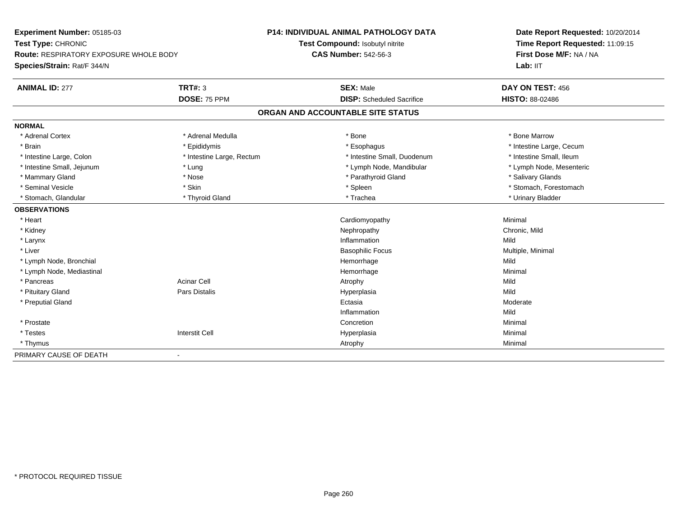| Experiment Number: 05185-03                   |                           | <b>P14: INDIVIDUAL ANIMAL PATHOLOGY DATA</b> | Date Report Requested: 10/20/2014 |
|-----------------------------------------------|---------------------------|----------------------------------------------|-----------------------------------|
| Test Type: CHRONIC                            |                           | Test Compound: Isobutyl nitrite              | Time Report Requested: 11:09:15   |
| <b>Route: RESPIRATORY EXPOSURE WHOLE BODY</b> |                           | <b>CAS Number: 542-56-3</b>                  | First Dose M/F: NA / NA           |
| Species/Strain: Rat/F 344/N                   |                           |                                              | Lab: IIT                          |
| <b>ANIMAL ID: 277</b>                         | <b>TRT#: 3</b>            | <b>SEX: Male</b>                             | DAY ON TEST: 456                  |
|                                               | DOSE: 75 PPM              | <b>DISP:</b> Scheduled Sacrifice             | HISTO: 88-02486                   |
|                                               |                           | ORGAN AND ACCOUNTABLE SITE STATUS            |                                   |
| <b>NORMAL</b>                                 |                           |                                              |                                   |
| * Adrenal Cortex                              | * Adrenal Medulla         | * Bone                                       | * Bone Marrow                     |
| * Brain                                       | * Epididymis              | * Esophagus                                  | * Intestine Large, Cecum          |
| * Intestine Large, Colon                      | * Intestine Large, Rectum | * Intestine Small, Duodenum                  | * Intestine Small, Ileum          |
| * Intestine Small, Jejunum                    | * Lung                    | * Lymph Node, Mandibular                     | * Lymph Node, Mesenteric          |
| * Mammary Gland                               | * Nose                    | * Parathyroid Gland                          | * Salivary Glands                 |
| * Seminal Vesicle                             | * Skin                    | * Spleen                                     | * Stomach, Forestomach            |
| * Stomach, Glandular                          | * Thyroid Gland           | * Trachea                                    | * Urinary Bladder                 |
| <b>OBSERVATIONS</b>                           |                           |                                              |                                   |
| * Heart                                       |                           | Cardiomyopathy                               | Minimal                           |
| * Kidney                                      |                           | Nephropathy                                  | Chronic, Mild                     |
| * Larynx                                      |                           | Inflammation                                 | Mild                              |
| * Liver                                       |                           | <b>Basophilic Focus</b>                      | Multiple, Minimal                 |
| * Lymph Node, Bronchial                       |                           | Hemorrhage                                   | Mild                              |
| * Lymph Node, Mediastinal                     |                           | Hemorrhage                                   | Minimal                           |
| * Pancreas                                    | <b>Acinar Cell</b>        | Atrophy                                      | Mild                              |
| * Pituitary Gland                             | <b>Pars Distalis</b>      | Hyperplasia                                  | Mild                              |
| * Preputial Gland                             |                           | Ectasia                                      | Moderate                          |
|                                               |                           | Inflammation                                 | Mild                              |
| * Prostate                                    |                           | Concretion                                   | Minimal                           |
| * Testes                                      | <b>Interstit Cell</b>     | Hyperplasia                                  | Minimal                           |
| * Thymus                                      |                           | Atrophy                                      | Minimal                           |
| PRIMARY CAUSE OF DEATH                        |                           |                                              |                                   |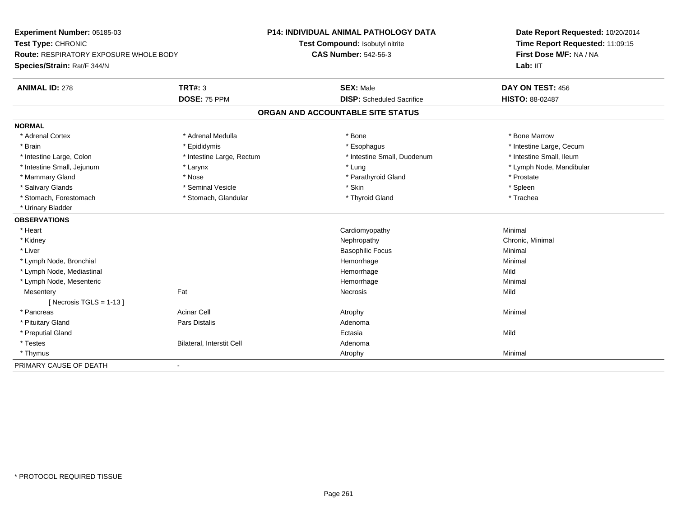| Experiment Number: 05185-03                   |                           | <b>P14: INDIVIDUAL ANIMAL PATHOLOGY DATA</b> | Date Report Requested: 10/20/2014 |
|-----------------------------------------------|---------------------------|----------------------------------------------|-----------------------------------|
| Test Type: CHRONIC                            |                           | Test Compound: Isobutyl nitrite              | Time Report Requested: 11:09:15   |
| <b>Route: RESPIRATORY EXPOSURE WHOLE BODY</b> |                           | <b>CAS Number: 542-56-3</b>                  | First Dose M/F: NA / NA           |
| Species/Strain: Rat/F 344/N                   |                           |                                              | Lab: IIT                          |
| <b>ANIMAL ID: 278</b>                         | <b>TRT#: 3</b>            | <b>SEX: Male</b>                             | DAY ON TEST: 456                  |
|                                               | DOSE: 75 PPM              | <b>DISP:</b> Scheduled Sacrifice             | <b>HISTO: 88-02487</b>            |
|                                               |                           | ORGAN AND ACCOUNTABLE SITE STATUS            |                                   |
| <b>NORMAL</b>                                 |                           |                                              |                                   |
| * Adrenal Cortex                              | * Adrenal Medulla         | * Bone                                       | * Bone Marrow                     |
| * Brain                                       | * Epididymis              | * Esophagus                                  | * Intestine Large, Cecum          |
| * Intestine Large, Colon                      | * Intestine Large, Rectum | * Intestine Small, Duodenum                  | * Intestine Small, Ileum          |
| * Intestine Small, Jejunum                    | * Larynx                  | * Lung                                       | * Lymph Node, Mandibular          |
| * Mammary Gland                               | * Nose                    | * Parathyroid Gland                          | * Prostate                        |
| * Salivary Glands                             | * Seminal Vesicle         | * Skin                                       | * Spleen                          |
| * Stomach, Forestomach                        | * Stomach, Glandular      | * Thyroid Gland                              | * Trachea                         |
| * Urinary Bladder                             |                           |                                              |                                   |
| <b>OBSERVATIONS</b>                           |                           |                                              |                                   |
| * Heart                                       |                           | Cardiomyopathy                               | Minimal                           |
| * Kidney                                      |                           | Nephropathy                                  | Chronic, Minimal                  |
| * Liver                                       |                           | <b>Basophilic Focus</b>                      | Minimal                           |
| * Lymph Node, Bronchial                       |                           | Hemorrhage                                   | Minimal                           |
| * Lymph Node, Mediastinal                     |                           | Hemorrhage                                   | Mild                              |
| * Lymph Node, Mesenteric                      |                           | Hemorrhage                                   | Minimal                           |
| Mesentery                                     | Fat                       | Necrosis                                     | Mild                              |
| [Necrosis TGLS = $1-13$ ]                     |                           |                                              |                                   |
| * Pancreas                                    | <b>Acinar Cell</b>        | Atrophy                                      | Minimal                           |
| * Pituitary Gland                             | <b>Pars Distalis</b>      | Adenoma                                      |                                   |
| * Preputial Gland                             |                           | Ectasia                                      | Mild                              |
| * Testes                                      | Bilateral, Interstit Cell | Adenoma                                      |                                   |
| * Thymus                                      |                           | Atrophy                                      | Minimal                           |
| PRIMARY CAUSE OF DEATH                        | $\blacksquare$            |                                              |                                   |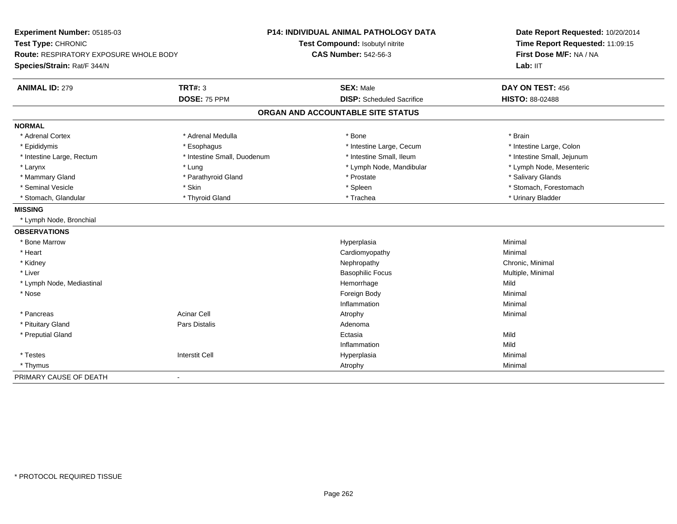| Experiment Number: 05185-03                   |                             | <b>P14: INDIVIDUAL ANIMAL PATHOLOGY DATA</b> | Date Report Requested: 10/20/2014<br>Time Report Requested: 11:09:15<br>First Dose M/F: NA / NA |
|-----------------------------------------------|-----------------------------|----------------------------------------------|-------------------------------------------------------------------------------------------------|
| Test Type: CHRONIC                            |                             | Test Compound: Isobutyl nitrite              |                                                                                                 |
| <b>Route: RESPIRATORY EXPOSURE WHOLE BODY</b> |                             | <b>CAS Number: 542-56-3</b>                  |                                                                                                 |
| Species/Strain: Rat/F 344/N                   |                             |                                              | Lab: IIT                                                                                        |
| <b>ANIMAL ID: 279</b>                         | <b>TRT#: 3</b>              | <b>SEX: Male</b>                             | DAY ON TEST: 456                                                                                |
|                                               | DOSE: 75 PPM                | <b>DISP:</b> Scheduled Sacrifice             | HISTO: 88-02488                                                                                 |
|                                               |                             | ORGAN AND ACCOUNTABLE SITE STATUS            |                                                                                                 |
| <b>NORMAL</b>                                 |                             |                                              |                                                                                                 |
| * Adrenal Cortex                              | * Adrenal Medulla           | * Bone                                       | * Brain                                                                                         |
| * Epididymis                                  | * Esophagus                 | * Intestine Large, Cecum                     | * Intestine Large, Colon                                                                        |
| * Intestine Large, Rectum                     | * Intestine Small, Duodenum | * Intestine Small, Ileum                     | * Intestine Small, Jejunum                                                                      |
| * Larynx                                      | * Lung                      | * Lymph Node, Mandibular                     | * Lymph Node, Mesenteric                                                                        |
| * Mammary Gland                               | * Parathyroid Gland         | * Prostate                                   | * Salivary Glands                                                                               |
| * Seminal Vesicle                             | * Skin                      | * Spleen                                     | * Stomach, Forestomach                                                                          |
| * Stomach, Glandular                          | * Thyroid Gland             | * Trachea                                    | * Urinary Bladder                                                                               |
| <b>MISSING</b>                                |                             |                                              |                                                                                                 |
| * Lymph Node, Bronchial                       |                             |                                              |                                                                                                 |
| <b>OBSERVATIONS</b>                           |                             |                                              |                                                                                                 |
| * Bone Marrow                                 |                             | Hyperplasia                                  | Minimal                                                                                         |
| * Heart                                       |                             | Cardiomyopathy                               | Minimal                                                                                         |
| * Kidney                                      |                             | Nephropathy                                  | Chronic, Minimal                                                                                |
| * Liver                                       |                             | <b>Basophilic Focus</b>                      | Multiple, Minimal                                                                               |
| * Lymph Node, Mediastinal                     |                             | Hemorrhage                                   | Mild                                                                                            |
| * Nose                                        |                             | Foreign Body                                 | Minimal                                                                                         |
|                                               |                             | Inflammation                                 | Minimal                                                                                         |
| * Pancreas                                    | <b>Acinar Cell</b>          | Atrophy                                      | Minimal                                                                                         |
| * Pituitary Gland                             | Pars Distalis               | Adenoma                                      |                                                                                                 |
| * Preputial Gland                             |                             | Ectasia                                      | Mild                                                                                            |
|                                               |                             | Inflammation                                 | Mild                                                                                            |
| * Testes                                      | <b>Interstit Cell</b>       | Hyperplasia                                  | Minimal                                                                                         |
| * Thymus                                      |                             | Atrophy                                      | Minimal                                                                                         |
| PRIMARY CAUSE OF DEATH                        | $\blacksquare$              |                                              |                                                                                                 |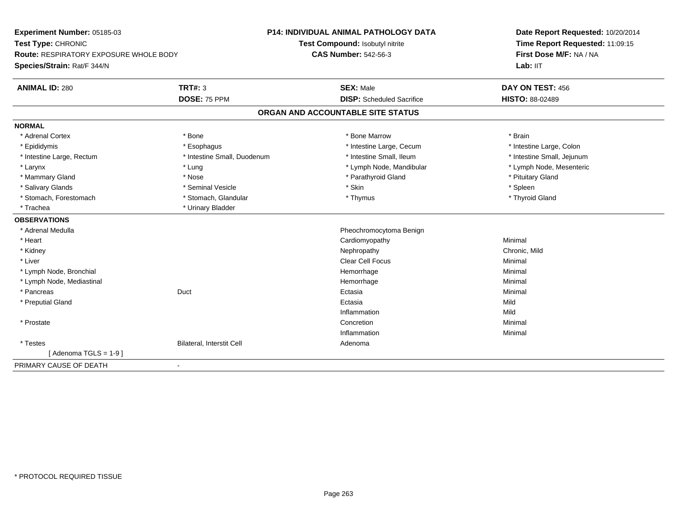**Experiment Number:** 05185-03**Test Type:** CHRONIC **Route:** RESPIRATORY EXPOSURE WHOLE BODY**Species/Strain:** Rat/F 344/N**P14: INDIVIDUAL ANIMAL PATHOLOGY DATATest Compound:** Isobutyl nitrite**CAS Number:** 542-56-3**Date Report Requested:** 10/20/2014**Time Report Requested:** 11:09:15**First Dose M/F:** NA / NA**Lab:** IIT**ANIMAL ID:** 280**C TRT#:** 3 **SEX:** Male **DAY ON TEST:** 456 **DOSE:** 75 PPM **DISP:** Scheduled Sacrifice **HISTO:** 88-02489 **ORGAN AND ACCOUNTABLE SITE STATUSNORMAL**\* Adrenal Cortex \* Adrenal Cortex \* \* Adrenal Cortex \* Brain \* Bone \* \* Bone Marrow \* Bone Marrow \* \* Brain \* Brain \* Brain \* Brain \* Brain \* Brain \* Brain \* Brain \* Brain \* Brain \* Brain \* Brain \* Brain \* Brain \* Brain \* Brain \* Brain \* B \* Intestine Large, Colon \* Epididymis \* Intestine Large, Cecum \* Esophagus \* Intestine Large, Cecum \* Intestine Large, Cecum \* Intestine Small, Jejunum \* Intestine Large, Rectum \* Intestine Small, Duodenum \* Intestine Small, Duodenum \* \* Intestine Small, Ileum \* Lymph Node, Mesenteric \* Larynx \* Lung \* Lung \* Lung \* Lung \* Larynx \* Lymph Node, Mandibular \* Lymph Node, Mandibular \* Mammary Gland \* The state of the state of the state of the state of the state of the state of the state of the state of the state of the state of the state of the state of the state of the state of the state of the state \* Salivary Glands \* \* \* Sheen \* Seminal Vesicle \* \* \* Stan \* \* Skin \* \* Skin \* \* Spleen \* \* Spleen \* \* Spleen \* \* Thyroid Gland \* Stomach, Forestomach \* Thymus \* Stomach, Glandular \* Thymus \* Thymus \* Thymus \* Thymus \* Thymus \* Thymus \* Thymus \* Thymus \* Thymus \* Thymus \* Thymus \* Thymus \* Thymus \* Thymus \* Thymus \* Thymus \* Thymus \* Thymus \* Thymu \* Trachea \* Urinary Bladder**OBSERVATIONS** \* Adrenal Medulla Pheochromocytoma Benign \* Heart Cardiomyopathy Minimal \* Kidneyy the controller of the controller of the controller of the controller of the controller of the chronic, Mild \* Liver Clear Cell Focus Minimal \* Lymph Node, Bronchial Hemorrhagee Minimal \* Lymph Node, Mediastinal Hemorrhagee Minimal \* Pancreass and the contract of the Duct of the contract of the contract of the Ectasia a and a study of the study of the Minimal \* Preputial Glandd and the control of the control of the control of the control of the control of the control of the control of the control of the control of the control of the control of the control of the control of the control of the co Inflammationn Mild \* Prostatee de la concertion de la concertion de la concertion de la concertion de la concertion de la concertion de la concertion de la concertion de la concertion de la concertion de la concertion de la concertion de la concertion Inflammationn and a basic control of the Minimal \* TestesBilateral, Interstit Cell **Adenoma** Adenoma  $[$  Adenoma TGLS = 1-9  $]$ PRIMARY CAUSE OF DEATH-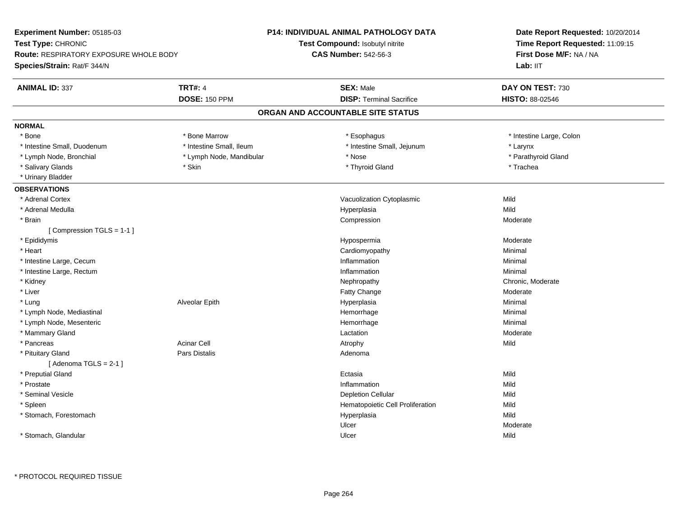| Experiment Number: 05185-03                   |                          | P14: INDIVIDUAL ANIMAL PATHOLOGY DATA | Date Report Requested: 10/20/2014<br>Time Report Requested: 11:09:15<br>First Dose M/F: NA / NA |  |
|-----------------------------------------------|--------------------------|---------------------------------------|-------------------------------------------------------------------------------------------------|--|
| Test Type: CHRONIC                            |                          | Test Compound: Isobutyl nitrite       |                                                                                                 |  |
| <b>Route: RESPIRATORY EXPOSURE WHOLE BODY</b> |                          | <b>CAS Number: 542-56-3</b>           |                                                                                                 |  |
| Species/Strain: Rat/F 344/N                   |                          |                                       | Lab: IIT                                                                                        |  |
| <b>ANIMAL ID: 337</b>                         | <b>TRT#: 4</b>           | <b>SEX: Male</b>                      | DAY ON TEST: 730                                                                                |  |
|                                               | <b>DOSE: 150 PPM</b>     | <b>DISP: Terminal Sacrifice</b>       | HISTO: 88-02546                                                                                 |  |
|                                               |                          | ORGAN AND ACCOUNTABLE SITE STATUS     |                                                                                                 |  |
| <b>NORMAL</b>                                 |                          |                                       |                                                                                                 |  |
| * Bone                                        | * Bone Marrow            | * Esophagus                           | * Intestine Large, Colon                                                                        |  |
| * Intestine Small, Duodenum                   | * Intestine Small, Ileum | * Intestine Small, Jejunum            | * Larynx                                                                                        |  |
| * Lymph Node, Bronchial                       | * Lymph Node, Mandibular | * Nose                                | * Parathyroid Gland                                                                             |  |
| * Salivary Glands                             | * Skin                   | * Thyroid Gland                       | * Trachea                                                                                       |  |
| * Urinary Bladder                             |                          |                                       |                                                                                                 |  |
| <b>OBSERVATIONS</b>                           |                          |                                       |                                                                                                 |  |
| * Adrenal Cortex                              |                          | Vacuolization Cytoplasmic             | Mild                                                                                            |  |
| * Adrenal Medulla                             |                          | Hyperplasia                           | Mild                                                                                            |  |
| * Brain                                       |                          | Compression                           | Moderate                                                                                        |  |
| [Compression TGLS = 1-1]                      |                          |                                       |                                                                                                 |  |
| * Epididymis                                  |                          | Hypospermia                           | Moderate                                                                                        |  |
| * Heart                                       |                          | Cardiomyopathy                        | Minimal                                                                                         |  |
| * Intestine Large, Cecum                      |                          | Inflammation                          | Minimal                                                                                         |  |
| * Intestine Large, Rectum                     |                          | Inflammation                          | Minimal                                                                                         |  |
| * Kidney                                      |                          | Nephropathy                           | Chronic, Moderate                                                                               |  |
| * Liver                                       |                          | Fatty Change                          | Moderate                                                                                        |  |
| * Lung                                        | Alveolar Epith           | Hyperplasia                           | Minimal                                                                                         |  |
| * Lymph Node, Mediastinal                     |                          | Hemorrhage                            | Minimal                                                                                         |  |
| * Lymph Node, Mesenteric                      |                          | Hemorrhage                            | Minimal                                                                                         |  |
| * Mammary Gland                               |                          | Lactation                             | Moderate                                                                                        |  |
| * Pancreas                                    | <b>Acinar Cell</b>       | Atrophy                               | Mild                                                                                            |  |
| * Pituitary Gland                             | Pars Distalis            | Adenoma                               |                                                                                                 |  |
| [Adenoma TGLS = $2-1$ ]                       |                          |                                       |                                                                                                 |  |
| * Preputial Gland                             |                          | Ectasia                               | Mild                                                                                            |  |
| * Prostate                                    |                          | Inflammation                          | Mild                                                                                            |  |
| * Seminal Vesicle                             |                          | <b>Depletion Cellular</b>             | Mild                                                                                            |  |
| * Spleen                                      |                          | Hematopoietic Cell Proliferation      | Mild                                                                                            |  |
| * Stomach, Forestomach                        |                          | Hyperplasia                           | Mild                                                                                            |  |
|                                               |                          | Ulcer                                 | Moderate                                                                                        |  |
| * Stomach, Glandular                          |                          | Ulcer                                 | Mild                                                                                            |  |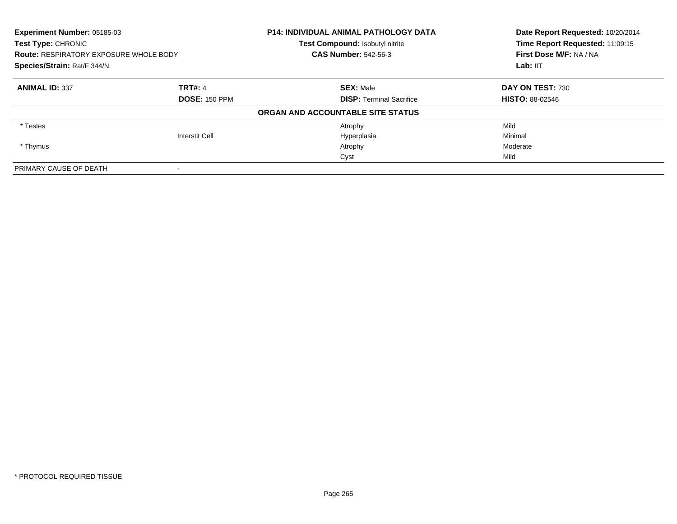| <b>Experiment Number: 05185-03</b><br>Test Type: CHRONIC<br><b>Route: RESPIRATORY EXPOSURE WHOLE BODY</b><br>Species/Strain: Rat/F 344/N |                       | <b>P14: INDIVIDUAL ANIMAL PATHOLOGY DATA</b><br>Test Compound: Isobutyl nitrite | Date Report Requested: 10/20/2014<br>Time Report Requested: 11:09:15<br>First Dose M/F: NA / NA<br>Lab: IIT |
|------------------------------------------------------------------------------------------------------------------------------------------|-----------------------|---------------------------------------------------------------------------------|-------------------------------------------------------------------------------------------------------------|
|                                                                                                                                          |                       | <b>CAS Number: 542-56-3</b>                                                     |                                                                                                             |
|                                                                                                                                          |                       |                                                                                 |                                                                                                             |
| <b>ANIMAL ID: 337</b>                                                                                                                    | <b>TRT#: 4</b>        | <b>SEX: Male</b>                                                                | DAY ON TEST: 730                                                                                            |
|                                                                                                                                          | <b>DOSE: 150 PPM</b>  | <b>DISP:</b> Terminal Sacrifice                                                 | <b>HISTO: 88-02546</b>                                                                                      |
|                                                                                                                                          |                       | ORGAN AND ACCOUNTABLE SITE STATUS                                               |                                                                                                             |
| * Testes                                                                                                                                 |                       | Atrophy                                                                         | Mild                                                                                                        |
|                                                                                                                                          | <b>Interstit Cell</b> | Hyperplasia                                                                     | Minimal                                                                                                     |
| * Thymus                                                                                                                                 |                       | Atrophy                                                                         | Moderate                                                                                                    |
|                                                                                                                                          |                       | Cyst                                                                            | Mild                                                                                                        |
| PRIMARY CAUSE OF DEATH                                                                                                                   |                       |                                                                                 |                                                                                                             |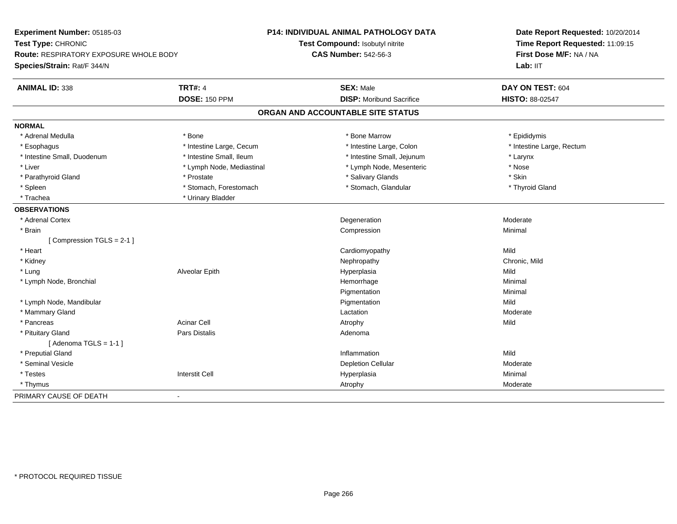| Experiment Number: 05185-03            |                           | P14: INDIVIDUAL ANIMAL PATHOLOGY DATA | Date Report Requested: 10/20/2014<br>Time Report Requested: 11:09:15 |  |
|----------------------------------------|---------------------------|---------------------------------------|----------------------------------------------------------------------|--|
| Test Type: CHRONIC                     |                           | Test Compound: Isobutyl nitrite       |                                                                      |  |
| Route: RESPIRATORY EXPOSURE WHOLE BODY |                           | <b>CAS Number: 542-56-3</b>           | First Dose M/F: NA / NA                                              |  |
| Species/Strain: Rat/F 344/N            |                           |                                       | Lab: IIT                                                             |  |
| <b>ANIMAL ID: 338</b>                  | <b>TRT#: 4</b>            | <b>SEX: Male</b>                      | DAY ON TEST: 604                                                     |  |
|                                        | <b>DOSE: 150 PPM</b>      | <b>DISP:</b> Moribund Sacrifice       | HISTO: 88-02547                                                      |  |
|                                        |                           | ORGAN AND ACCOUNTABLE SITE STATUS     |                                                                      |  |
| <b>NORMAL</b>                          |                           |                                       |                                                                      |  |
| * Adrenal Medulla                      | * Bone                    | * Bone Marrow                         | * Epididymis                                                         |  |
| * Esophagus                            | * Intestine Large, Cecum  | * Intestine Large, Colon              | * Intestine Large, Rectum                                            |  |
| * Intestine Small, Duodenum            | * Intestine Small, Ileum  | * Intestine Small, Jejunum            | * Larynx                                                             |  |
| * Liver                                | * Lymph Node, Mediastinal | * Lymph Node, Mesenteric              | * Nose                                                               |  |
| * Parathyroid Gland                    | * Prostate                | * Salivary Glands                     | * Skin                                                               |  |
| * Spleen                               | * Stomach, Forestomach    | * Stomach, Glandular                  | * Thyroid Gland                                                      |  |
| * Trachea                              | * Urinary Bladder         |                                       |                                                                      |  |
| <b>OBSERVATIONS</b>                    |                           |                                       |                                                                      |  |
| * Adrenal Cortex                       |                           | Degeneration                          | Moderate                                                             |  |
| * Brain                                |                           | Compression                           | Minimal                                                              |  |
| [Compression TGLS = 2-1]               |                           |                                       |                                                                      |  |
| * Heart                                |                           | Cardiomyopathy                        | Mild                                                                 |  |
| * Kidney                               |                           | Nephropathy                           | Chronic, Mild                                                        |  |
| * Lung                                 | Alveolar Epith            | Hyperplasia                           | Mild                                                                 |  |
| * Lymph Node, Bronchial                |                           | Hemorrhage                            | Minimal                                                              |  |
|                                        |                           | Pigmentation                          | Minimal                                                              |  |
| * Lymph Node, Mandibular               |                           | Pigmentation                          | Mild                                                                 |  |
| * Mammary Gland                        |                           | Lactation                             | Moderate                                                             |  |
| * Pancreas                             | <b>Acinar Cell</b>        | Atrophy                               | Mild                                                                 |  |
| * Pituitary Gland                      | Pars Distalis             | Adenoma                               |                                                                      |  |
| [Adenoma TGLS = $1-1$ ]                |                           |                                       |                                                                      |  |
| * Preputial Gland                      |                           | Inflammation                          | Mild                                                                 |  |
| * Seminal Vesicle                      |                           | <b>Depletion Cellular</b>             | Moderate                                                             |  |
| * Testes                               | <b>Interstit Cell</b>     | Hyperplasia                           | Minimal                                                              |  |
| * Thymus                               |                           | Atrophy                               | Moderate                                                             |  |
| PRIMARY CAUSE OF DEATH                 | $\overline{\phantom{a}}$  |                                       |                                                                      |  |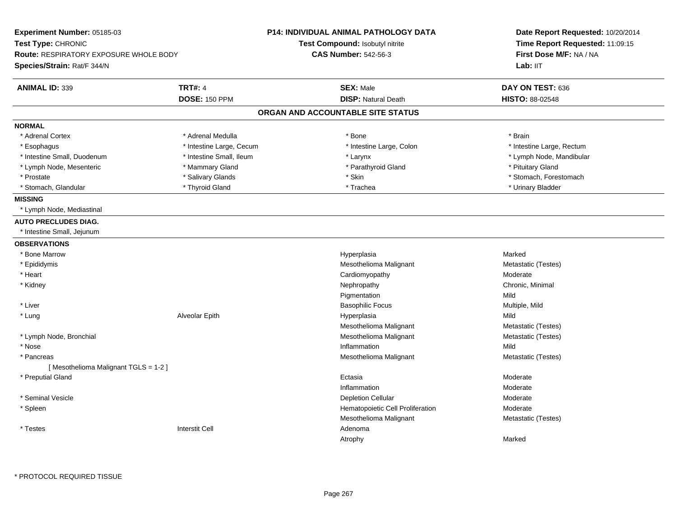| Experiment Number: 05185-03<br>Test Type: CHRONIC<br><b>Route: RESPIRATORY EXPOSURE WHOLE BODY</b><br>Species/Strain: Rat/F 344/N |                          | <b>P14: INDIVIDUAL ANIMAL PATHOLOGY DATA</b><br>Test Compound: Isobutyl nitrite<br><b>CAS Number: 542-56-3</b> | Date Report Requested: 10/20/2014<br>Time Report Requested: 11:09:15<br>First Dose M/F: NA / NA<br>Lab: IIT |
|-----------------------------------------------------------------------------------------------------------------------------------|--------------------------|----------------------------------------------------------------------------------------------------------------|-------------------------------------------------------------------------------------------------------------|
| <b>ANIMAL ID: 339</b>                                                                                                             | <b>TRT#: 4</b>           | <b>SEX: Male</b>                                                                                               | DAY ON TEST: 636                                                                                            |
|                                                                                                                                   | <b>DOSE: 150 PPM</b>     | <b>DISP: Natural Death</b>                                                                                     | <b>HISTO: 88-02548</b>                                                                                      |
|                                                                                                                                   |                          | ORGAN AND ACCOUNTABLE SITE STATUS                                                                              |                                                                                                             |
| <b>NORMAL</b>                                                                                                                     |                          |                                                                                                                |                                                                                                             |
| * Adrenal Cortex                                                                                                                  | * Adrenal Medulla        | * Bone                                                                                                         | * Brain                                                                                                     |
| * Esophagus                                                                                                                       | * Intestine Large, Cecum | * Intestine Large, Colon                                                                                       | * Intestine Large, Rectum                                                                                   |
| * Intestine Small, Duodenum                                                                                                       | * Intestine Small, Ileum | * Larynx                                                                                                       | * Lymph Node, Mandibular                                                                                    |
| * Lymph Node, Mesenteric                                                                                                          | * Mammary Gland          | * Parathyroid Gland                                                                                            | * Pituitary Gland                                                                                           |
| * Prostate                                                                                                                        | * Salivary Glands        | * Skin                                                                                                         | * Stomach, Forestomach                                                                                      |
| * Stomach, Glandular                                                                                                              | * Thyroid Gland          | * Trachea                                                                                                      | * Urinary Bladder                                                                                           |
| <b>MISSING</b>                                                                                                                    |                          |                                                                                                                |                                                                                                             |
| * Lymph Node, Mediastinal                                                                                                         |                          |                                                                                                                |                                                                                                             |
| <b>AUTO PRECLUDES DIAG.</b>                                                                                                       |                          |                                                                                                                |                                                                                                             |
| * Intestine Small, Jejunum                                                                                                        |                          |                                                                                                                |                                                                                                             |
| <b>OBSERVATIONS</b>                                                                                                               |                          |                                                                                                                |                                                                                                             |
| * Bone Marrow                                                                                                                     |                          | Hyperplasia                                                                                                    | Marked                                                                                                      |
| * Epididymis                                                                                                                      |                          | Mesothelioma Malignant                                                                                         | Metastatic (Testes)                                                                                         |
| * Heart                                                                                                                           |                          | Cardiomyopathy                                                                                                 | Moderate                                                                                                    |
| * Kidney                                                                                                                          |                          | Nephropathy                                                                                                    | Chronic, Minimal                                                                                            |
|                                                                                                                                   |                          | Pigmentation                                                                                                   | Mild                                                                                                        |
| * Liver                                                                                                                           |                          | <b>Basophilic Focus</b>                                                                                        | Multiple, Mild                                                                                              |
| * Lung                                                                                                                            | Alveolar Epith           | Hyperplasia                                                                                                    | Mild                                                                                                        |
|                                                                                                                                   |                          | Mesothelioma Malignant                                                                                         | Metastatic (Testes)                                                                                         |
| * Lymph Node, Bronchial                                                                                                           |                          | Mesothelioma Malignant                                                                                         | Metastatic (Testes)                                                                                         |
| * Nose                                                                                                                            |                          | Inflammation                                                                                                   | Mild                                                                                                        |
| * Pancreas                                                                                                                        |                          | Mesothelioma Malignant                                                                                         | Metastatic (Testes)                                                                                         |
| [Mesothelioma Malignant TGLS = 1-2]                                                                                               |                          |                                                                                                                |                                                                                                             |
| * Preputial Gland                                                                                                                 |                          | Ectasia                                                                                                        | Moderate                                                                                                    |
|                                                                                                                                   |                          | Inflammation                                                                                                   | Moderate                                                                                                    |
| * Seminal Vesicle                                                                                                                 |                          | <b>Depletion Cellular</b>                                                                                      | Moderate                                                                                                    |
| * Spleen                                                                                                                          |                          | Hematopoietic Cell Proliferation                                                                               | Moderate                                                                                                    |
|                                                                                                                                   |                          | Mesothelioma Malignant                                                                                         | Metastatic (Testes)                                                                                         |
| * Testes                                                                                                                          | <b>Interstit Cell</b>    | Adenoma                                                                                                        |                                                                                                             |
|                                                                                                                                   |                          | Atrophy                                                                                                        | Marked                                                                                                      |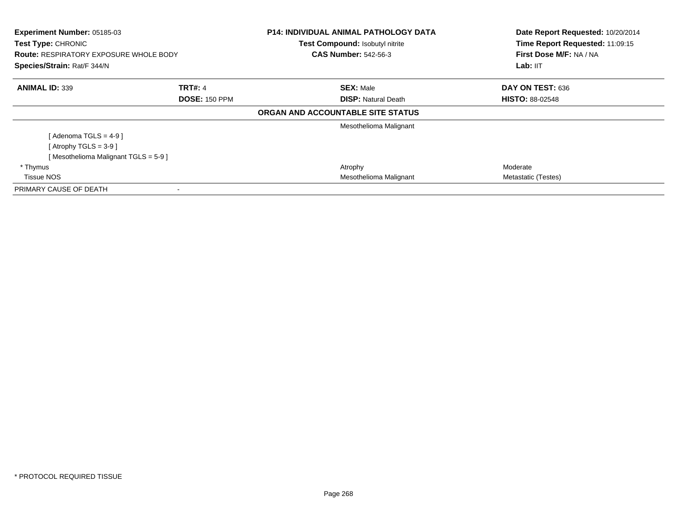| Experiment Number: 05185-03<br><b>Test Type: CHRONIC</b><br><b>Route: RESPIRATORY EXPOSURE WHOLE BODY</b><br>Species/Strain: Rat/F 344/N |                      | <b>P14: INDIVIDUAL ANIMAL PATHOLOGY DATA</b><br>Test Compound: Isobutyl nitrite<br><b>CAS Number: 542-56-3</b> | Date Report Requested: 10/20/2014<br>Time Report Requested: 11:09:15<br>First Dose M/F: NA / NA<br>Lab: IIT |
|------------------------------------------------------------------------------------------------------------------------------------------|----------------------|----------------------------------------------------------------------------------------------------------------|-------------------------------------------------------------------------------------------------------------|
| <b>ANIMAL ID: 339</b>                                                                                                                    | <b>TRT#: 4</b>       | <b>SEX: Male</b>                                                                                               | DAY ON TEST: 636                                                                                            |
|                                                                                                                                          | <b>DOSE: 150 PPM</b> | <b>DISP:</b> Natural Death                                                                                     | <b>HISTO: 88-02548</b>                                                                                      |
|                                                                                                                                          |                      | ORGAN AND ACCOUNTABLE SITE STATUS                                                                              |                                                                                                             |
|                                                                                                                                          |                      | Mesothelioma Malignant                                                                                         |                                                                                                             |
| [ Adenoma TGLS = 4-9 ]                                                                                                                   |                      |                                                                                                                |                                                                                                             |
| [Atrophy TGLS = $3-9$ ]                                                                                                                  |                      |                                                                                                                |                                                                                                             |
| [Mesothelioma Malignant TGLS = 5-9]                                                                                                      |                      |                                                                                                                |                                                                                                             |
| * Thymus                                                                                                                                 |                      | Atrophy                                                                                                        | Moderate                                                                                                    |
| <b>Tissue NOS</b>                                                                                                                        |                      | Mesothelioma Malignant                                                                                         | Metastatic (Testes)                                                                                         |
| PRIMARY CAUSE OF DEATH                                                                                                                   | $\blacksquare$       |                                                                                                                |                                                                                                             |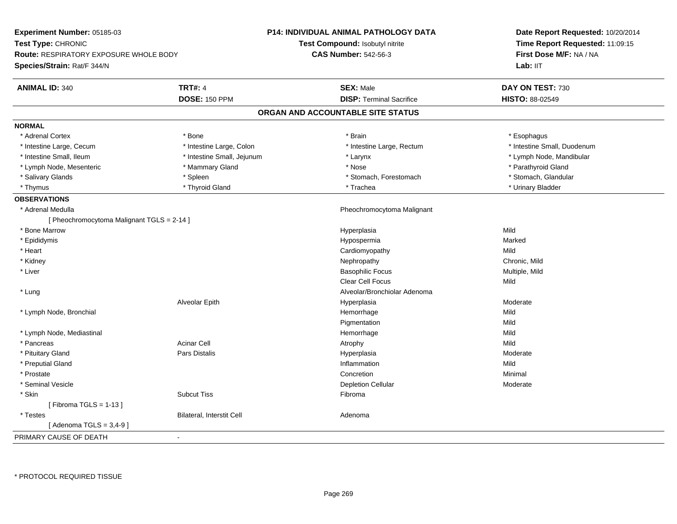| Experiment Number: 05185-03                   |                            | <b>P14: INDIVIDUAL ANIMAL PATHOLOGY DATA</b> | Date Report Requested: 10/20/2014<br>Time Report Requested: 11:09:15 |
|-----------------------------------------------|----------------------------|----------------------------------------------|----------------------------------------------------------------------|
| Test Type: CHRONIC                            |                            | <b>Test Compound: Isobutyl nitrite</b>       |                                                                      |
| <b>Route: RESPIRATORY EXPOSURE WHOLE BODY</b> |                            | <b>CAS Number: 542-56-3</b>                  | First Dose M/F: NA / NA                                              |
| Species/Strain: Rat/F 344/N                   |                            |                                              | Lab: IIT                                                             |
| <b>ANIMAL ID: 340</b>                         | <b>TRT#: 4</b>             | <b>SEX: Male</b>                             | DAY ON TEST: 730                                                     |
|                                               | <b>DOSE: 150 PPM</b>       | <b>DISP: Terminal Sacrifice</b>              | HISTO: 88-02549                                                      |
|                                               |                            | ORGAN AND ACCOUNTABLE SITE STATUS            |                                                                      |
| <b>NORMAL</b>                                 |                            |                                              |                                                                      |
| * Adrenal Cortex                              | * Bone                     | * Brain                                      | * Esophagus                                                          |
| * Intestine Large, Cecum                      | * Intestine Large, Colon   | * Intestine Large, Rectum                    | * Intestine Small, Duodenum                                          |
| * Intestine Small, Ileum                      | * Intestine Small, Jejunum | * Larynx                                     | * Lymph Node, Mandibular                                             |
| * Lymph Node, Mesenteric                      | * Mammary Gland            | * Nose                                       | * Parathyroid Gland                                                  |
| * Salivary Glands                             | * Spleen                   | * Stomach, Forestomach                       | * Stomach, Glandular                                                 |
| * Thymus                                      | * Thyroid Gland            | * Trachea                                    | * Urinary Bladder                                                    |
| <b>OBSERVATIONS</b>                           |                            |                                              |                                                                      |
| * Adrenal Medulla                             |                            | Pheochromocytoma Malignant                   |                                                                      |
| [ Pheochromocytoma Malignant TGLS = 2-14 ]    |                            |                                              |                                                                      |
| * Bone Marrow                                 |                            | Hyperplasia                                  | Mild                                                                 |
| * Epididymis                                  |                            | Hypospermia                                  | Marked                                                               |
| * Heart                                       |                            | Cardiomyopathy                               | Mild                                                                 |
| * Kidney                                      |                            | Nephropathy                                  | Chronic, Mild                                                        |
| * Liver                                       |                            | <b>Basophilic Focus</b>                      | Multiple, Mild                                                       |
|                                               |                            | Clear Cell Focus                             | Mild                                                                 |
| * Lung                                        |                            | Alveolar/Bronchiolar Adenoma                 |                                                                      |
|                                               | Alveolar Epith             | Hyperplasia                                  | Moderate                                                             |
| * Lymph Node, Bronchial                       |                            | Hemorrhage                                   | Mild                                                                 |
|                                               |                            | Pigmentation                                 | Mild                                                                 |
| * Lymph Node, Mediastinal                     |                            | Hemorrhage                                   | Mild                                                                 |
| * Pancreas                                    | <b>Acinar Cell</b>         | Atrophy                                      | Mild                                                                 |
| * Pituitary Gland                             | Pars Distalis              | Hyperplasia                                  | Moderate                                                             |
| * Preputial Gland                             |                            | Inflammation                                 | Mild                                                                 |
| * Prostate                                    |                            | Concretion                                   | Minimal                                                              |
| * Seminal Vesicle                             |                            | <b>Depletion Cellular</b>                    | Moderate                                                             |
| * Skin                                        | <b>Subcut Tiss</b>         | Fibroma                                      |                                                                      |
| [Fibroma TGLS = $1-13$ ]                      |                            |                                              |                                                                      |
| * Testes                                      | Bilateral, Interstit Cell  | Adenoma                                      |                                                                      |
| [Adenoma TGLS = $3,4-9$ ]                     |                            |                                              |                                                                      |
| PRIMARY CAUSE OF DEATH                        | $\blacksquare$             |                                              |                                                                      |
|                                               |                            |                                              |                                                                      |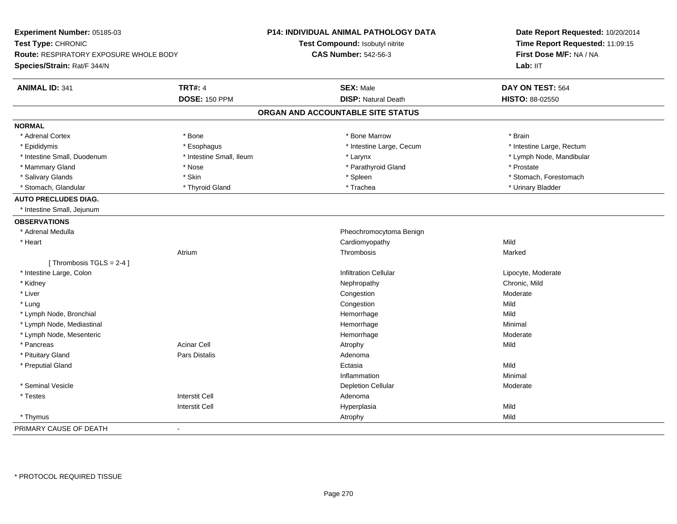| Experiment Number: 05185-03<br>Test Type: CHRONIC<br><b>Route: RESPIRATORY EXPOSURE WHOLE BODY</b><br>Species/Strain: Rat/F 344/N |                          | <b>P14: INDIVIDUAL ANIMAL PATHOLOGY DATA</b><br>Test Compound: Isobutyl nitrite<br><b>CAS Number: 542-56-3</b> | Date Report Requested: 10/20/2014<br>Time Report Requested: 11:09:15<br>First Dose M/F: NA / NA<br>Lab: $III$ |
|-----------------------------------------------------------------------------------------------------------------------------------|--------------------------|----------------------------------------------------------------------------------------------------------------|---------------------------------------------------------------------------------------------------------------|
| <b>ANIMAL ID: 341</b>                                                                                                             | <b>TRT#: 4</b>           | <b>SEX: Male</b>                                                                                               | DAY ON TEST: 564                                                                                              |
|                                                                                                                                   | <b>DOSE: 150 PPM</b>     | <b>DISP: Natural Death</b>                                                                                     | HISTO: 88-02550                                                                                               |
|                                                                                                                                   |                          | ORGAN AND ACCOUNTABLE SITE STATUS                                                                              |                                                                                                               |
| <b>NORMAL</b>                                                                                                                     |                          |                                                                                                                |                                                                                                               |
| * Adrenal Cortex                                                                                                                  | * Bone                   | * Bone Marrow                                                                                                  | * Brain                                                                                                       |
| * Epididymis                                                                                                                      | * Esophagus              | * Intestine Large, Cecum                                                                                       | * Intestine Large, Rectum                                                                                     |
| * Intestine Small, Duodenum                                                                                                       | * Intestine Small, Ileum | * Larynx                                                                                                       | * Lymph Node, Mandibular                                                                                      |
| * Mammary Gland                                                                                                                   | * Nose                   | * Parathyroid Gland                                                                                            | * Prostate                                                                                                    |
| * Salivary Glands                                                                                                                 | * Skin                   | * Spleen                                                                                                       | * Stomach, Forestomach                                                                                        |
| * Stomach, Glandular                                                                                                              | * Thyroid Gland          | * Trachea                                                                                                      | * Urinary Bladder                                                                                             |
| <b>AUTO PRECLUDES DIAG.</b>                                                                                                       |                          |                                                                                                                |                                                                                                               |
| * Intestine Small, Jejunum                                                                                                        |                          |                                                                                                                |                                                                                                               |
| <b>OBSERVATIONS</b>                                                                                                               |                          |                                                                                                                |                                                                                                               |
| * Adrenal Medulla                                                                                                                 |                          | Pheochromocytoma Benign                                                                                        |                                                                                                               |
| * Heart                                                                                                                           |                          | Cardiomyopathy                                                                                                 | Mild                                                                                                          |
|                                                                                                                                   | Atrium                   | Thrombosis                                                                                                     | Marked                                                                                                        |
| [Thrombosis TGLS = 2-4]                                                                                                           |                          |                                                                                                                |                                                                                                               |
| * Intestine Large, Colon                                                                                                          |                          | <b>Infiltration Cellular</b>                                                                                   | Lipocyte, Moderate                                                                                            |
| * Kidney                                                                                                                          |                          | Nephropathy                                                                                                    | Chronic, Mild                                                                                                 |
| * Liver                                                                                                                           |                          | Congestion                                                                                                     | Moderate                                                                                                      |
| * Lung                                                                                                                            |                          | Congestion                                                                                                     | Mild                                                                                                          |
| * Lymph Node, Bronchial                                                                                                           |                          | Hemorrhage                                                                                                     | Mild                                                                                                          |
| * Lymph Node, Mediastinal                                                                                                         |                          | Hemorrhage                                                                                                     | Minimal                                                                                                       |
| * Lymph Node, Mesenteric                                                                                                          |                          | Hemorrhage                                                                                                     | Moderate                                                                                                      |
| * Pancreas                                                                                                                        | <b>Acinar Cell</b>       | Atrophy                                                                                                        | Mild                                                                                                          |
| * Pituitary Gland                                                                                                                 | Pars Distalis            | Adenoma                                                                                                        |                                                                                                               |
| * Preputial Gland                                                                                                                 |                          | Ectasia                                                                                                        | Mild                                                                                                          |
|                                                                                                                                   |                          | Inflammation                                                                                                   | Minimal                                                                                                       |
| * Seminal Vesicle                                                                                                                 |                          | <b>Depletion Cellular</b>                                                                                      | Moderate                                                                                                      |
| * Testes                                                                                                                          | <b>Interstit Cell</b>    | Adenoma                                                                                                        |                                                                                                               |
|                                                                                                                                   | <b>Interstit Cell</b>    | Hyperplasia                                                                                                    | Mild                                                                                                          |
| * Thymus                                                                                                                          |                          | Atrophy                                                                                                        | Mild                                                                                                          |
| PRIMARY CAUSE OF DEATH                                                                                                            | $\blacksquare$           |                                                                                                                |                                                                                                               |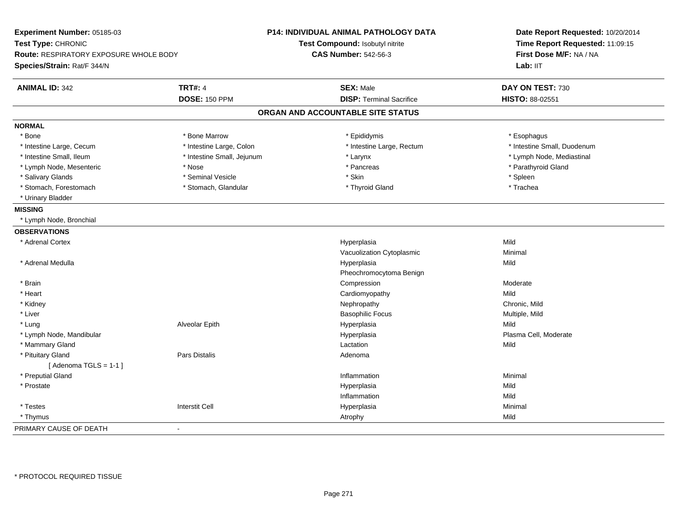| Experiment Number: 05185-03<br>Test Type: CHRONIC<br>Route: RESPIRATORY EXPOSURE WHOLE BODY<br>Species/Strain: Rat/F 344/N |                            | P14: INDIVIDUAL ANIMAL PATHOLOGY DATA<br>Test Compound: Isobutyl nitrite<br><b>CAS Number: 542-56-3</b> | Date Report Requested: 10/20/2014<br>Time Report Requested: 11:09:15<br>First Dose M/F: NA / NA<br>Lab: IIT |
|----------------------------------------------------------------------------------------------------------------------------|----------------------------|---------------------------------------------------------------------------------------------------------|-------------------------------------------------------------------------------------------------------------|
| <b>ANIMAL ID: 342</b>                                                                                                      | <b>TRT#: 4</b>             | <b>SEX: Male</b>                                                                                        | DAY ON TEST: 730                                                                                            |
|                                                                                                                            | <b>DOSE: 150 PPM</b>       | <b>DISP: Terminal Sacrifice</b>                                                                         | HISTO: 88-02551                                                                                             |
|                                                                                                                            |                            | ORGAN AND ACCOUNTABLE SITE STATUS                                                                       |                                                                                                             |
| <b>NORMAL</b>                                                                                                              |                            |                                                                                                         |                                                                                                             |
| * Bone                                                                                                                     | * Bone Marrow              | * Epididymis                                                                                            | * Esophagus                                                                                                 |
| * Intestine Large, Cecum                                                                                                   | * Intestine Large, Colon   | * Intestine Large, Rectum                                                                               | * Intestine Small, Duodenum                                                                                 |
| * Intestine Small, Ileum                                                                                                   | * Intestine Small, Jejunum | * Larynx                                                                                                | * Lymph Node, Mediastinal                                                                                   |
| * Lymph Node, Mesenteric                                                                                                   | * Nose                     | * Pancreas                                                                                              | * Parathyroid Gland                                                                                         |
| * Salivary Glands                                                                                                          | * Seminal Vesicle          | * Skin                                                                                                  | * Spleen                                                                                                    |
| * Stomach, Forestomach                                                                                                     | * Stomach, Glandular       | * Thyroid Gland                                                                                         | * Trachea                                                                                                   |
| * Urinary Bladder                                                                                                          |                            |                                                                                                         |                                                                                                             |
| <b>MISSING</b>                                                                                                             |                            |                                                                                                         |                                                                                                             |
| * Lymph Node, Bronchial                                                                                                    |                            |                                                                                                         |                                                                                                             |
| <b>OBSERVATIONS</b>                                                                                                        |                            |                                                                                                         |                                                                                                             |
| * Adrenal Cortex                                                                                                           |                            | Hyperplasia                                                                                             | Mild                                                                                                        |
|                                                                                                                            |                            | Vacuolization Cytoplasmic                                                                               | Minimal                                                                                                     |
| * Adrenal Medulla                                                                                                          |                            | Hyperplasia                                                                                             | Mild                                                                                                        |
|                                                                                                                            |                            | Pheochromocytoma Benign                                                                                 |                                                                                                             |
| * Brain                                                                                                                    |                            | Compression                                                                                             | Moderate                                                                                                    |
| * Heart                                                                                                                    |                            | Cardiomyopathy                                                                                          | Mild                                                                                                        |
| * Kidney                                                                                                                   |                            | Nephropathy                                                                                             | Chronic, Mild                                                                                               |
| * Liver                                                                                                                    |                            | <b>Basophilic Focus</b>                                                                                 | Multiple, Mild                                                                                              |
| * Lung                                                                                                                     | Alveolar Epith             | Hyperplasia                                                                                             | Mild                                                                                                        |
| * Lymph Node, Mandibular                                                                                                   |                            | Hyperplasia                                                                                             | Plasma Cell, Moderate                                                                                       |
| * Mammary Gland                                                                                                            |                            | Lactation                                                                                               | Mild                                                                                                        |
| * Pituitary Gland                                                                                                          | Pars Distalis              | Adenoma                                                                                                 |                                                                                                             |
| [Adenoma TGLS = $1-1$ ]                                                                                                    |                            |                                                                                                         |                                                                                                             |
| * Preputial Gland                                                                                                          |                            | Inflammation                                                                                            | Minimal                                                                                                     |
| * Prostate                                                                                                                 |                            | Hyperplasia                                                                                             | Mild                                                                                                        |
|                                                                                                                            |                            | Inflammation                                                                                            | Mild                                                                                                        |
| * Testes                                                                                                                   | <b>Interstit Cell</b>      | Hyperplasia                                                                                             | Minimal                                                                                                     |
| * Thymus                                                                                                                   |                            | Atrophy                                                                                                 | Mild                                                                                                        |
| PRIMARY CAUSE OF DEATH                                                                                                     | $\sim$                     |                                                                                                         |                                                                                                             |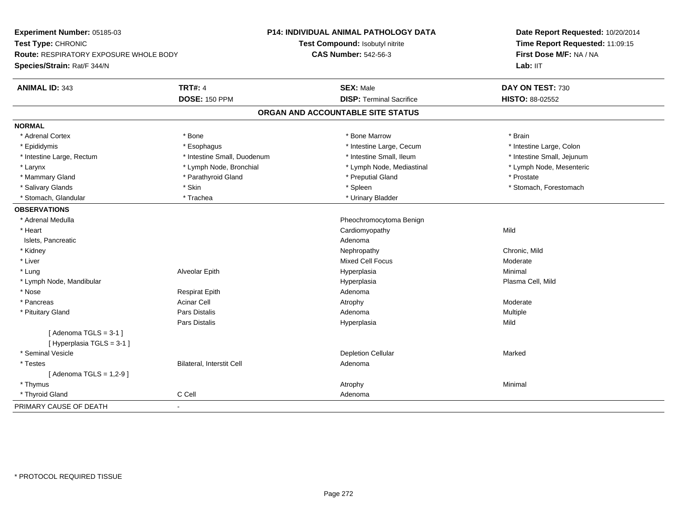| Experiment Number: 05185-03            |                             | <b>P14: INDIVIDUAL ANIMAL PATHOLOGY DATA</b> | Date Report Requested: 10/20/2014<br>Time Report Requested: 11:09:15<br>First Dose M/F: NA / NA |
|----------------------------------------|-----------------------------|----------------------------------------------|-------------------------------------------------------------------------------------------------|
| Test Type: CHRONIC                     |                             | Test Compound: Isobutyl nitrite              |                                                                                                 |
| Route: RESPIRATORY EXPOSURE WHOLE BODY |                             | <b>CAS Number: 542-56-3</b>                  |                                                                                                 |
| Species/Strain: Rat/F 344/N            |                             |                                              | Lab: IIT                                                                                        |
| <b>ANIMAL ID: 343</b>                  | <b>TRT#: 4</b>              | <b>SEX: Male</b>                             | DAY ON TEST: 730                                                                                |
|                                        | <b>DOSE: 150 PPM</b>        | <b>DISP: Terminal Sacrifice</b>              | <b>HISTO: 88-02552</b>                                                                          |
|                                        |                             | ORGAN AND ACCOUNTABLE SITE STATUS            |                                                                                                 |
| <b>NORMAL</b>                          |                             |                                              |                                                                                                 |
| * Adrenal Cortex                       | * Bone                      | * Bone Marrow                                | * Brain                                                                                         |
| * Epididymis                           | * Esophagus                 | * Intestine Large, Cecum                     | * Intestine Large, Colon                                                                        |
| * Intestine Large, Rectum              | * Intestine Small, Duodenum | * Intestine Small, Ileum                     | * Intestine Small, Jejunum                                                                      |
| * Larynx                               | * Lymph Node, Bronchial     | * Lymph Node, Mediastinal                    | * Lymph Node, Mesenteric                                                                        |
| * Mammary Gland                        | * Parathyroid Gland         | * Preputial Gland                            | * Prostate                                                                                      |
| * Salivary Glands                      | * Skin                      | * Spleen                                     | * Stomach, Forestomach                                                                          |
| * Stomach, Glandular                   | * Trachea                   | * Urinary Bladder                            |                                                                                                 |
| <b>OBSERVATIONS</b>                    |                             |                                              |                                                                                                 |
| * Adrenal Medulla                      |                             | Pheochromocytoma Benign                      |                                                                                                 |
| * Heart                                |                             | Cardiomyopathy                               | Mild                                                                                            |
| Islets, Pancreatic                     |                             | Adenoma                                      |                                                                                                 |
| * Kidney                               |                             | Nephropathy                                  | Chronic, Mild                                                                                   |
| * Liver                                |                             | <b>Mixed Cell Focus</b>                      | Moderate                                                                                        |
| * Lung                                 | Alveolar Epith              | Hyperplasia                                  | Minimal                                                                                         |
| * Lymph Node, Mandibular               |                             | Hyperplasia                                  | Plasma Cell, Mild                                                                               |
| * Nose                                 | <b>Respirat Epith</b>       | Adenoma                                      |                                                                                                 |
| * Pancreas                             | <b>Acinar Cell</b>          | Atrophy                                      | Moderate                                                                                        |
| * Pituitary Gland                      | Pars Distalis               | Adenoma                                      | Multiple                                                                                        |
|                                        | <b>Pars Distalis</b>        | Hyperplasia                                  | Mild                                                                                            |
| [Adenoma TGLS = $3-1$ ]                |                             |                                              |                                                                                                 |
| [Hyperplasia TGLS = 3-1]               |                             |                                              |                                                                                                 |
| * Seminal Vesicle                      |                             | <b>Depletion Cellular</b>                    | Marked                                                                                          |
| * Testes                               | Bilateral, Interstit Cell   | Adenoma                                      |                                                                                                 |
| [Adenoma TGLS = $1,2-9$ ]              |                             |                                              |                                                                                                 |
| * Thymus                               |                             | Atrophy                                      | Minimal                                                                                         |
| * Thyroid Gland                        | C Cell                      | Adenoma                                      |                                                                                                 |
| PRIMARY CAUSE OF DEATH                 | $\blacksquare$              |                                              |                                                                                                 |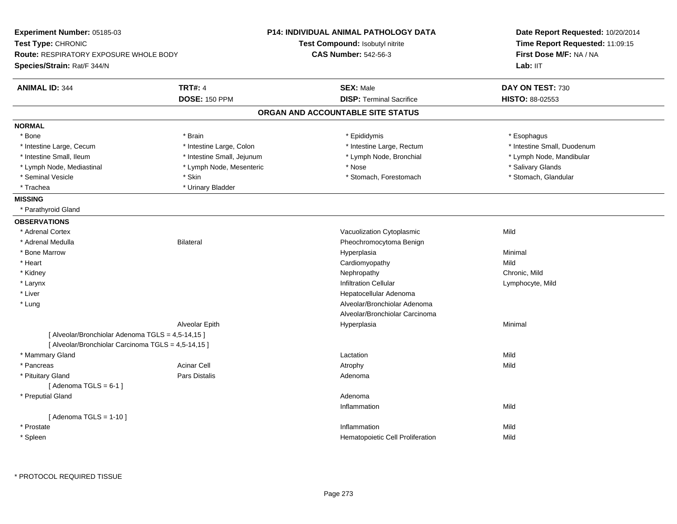| Experiment Number: 05185-03                         |                            | <b>P14: INDIVIDUAL ANIMAL PATHOLOGY DATA</b> | Date Report Requested: 10/20/2014<br>Time Report Requested: 11:09:15<br>First Dose M/F: NA / NA |  |
|-----------------------------------------------------|----------------------------|----------------------------------------------|-------------------------------------------------------------------------------------------------|--|
| Test Type: CHRONIC                                  |                            | Test Compound: Isobutyl nitrite              |                                                                                                 |  |
| <b>Route: RESPIRATORY EXPOSURE WHOLE BODY</b>       |                            | <b>CAS Number: 542-56-3</b>                  |                                                                                                 |  |
| Species/Strain: Rat/F 344/N                         |                            |                                              | Lab: IIT                                                                                        |  |
| <b>ANIMAL ID: 344</b>                               | <b>TRT#: 4</b>             | <b>SEX: Male</b>                             | DAY ON TEST: 730                                                                                |  |
|                                                     | <b>DOSE: 150 PPM</b>       | <b>DISP: Terminal Sacrifice</b>              | <b>HISTO: 88-02553</b>                                                                          |  |
|                                                     |                            | ORGAN AND ACCOUNTABLE SITE STATUS            |                                                                                                 |  |
| <b>NORMAL</b>                                       |                            |                                              |                                                                                                 |  |
| * Bone                                              | * Brain                    | * Epididymis                                 | * Esophagus                                                                                     |  |
| * Intestine Large, Cecum                            | * Intestine Large, Colon   | * Intestine Large, Rectum                    | * Intestine Small, Duodenum                                                                     |  |
| * Intestine Small, Ileum                            | * Intestine Small, Jejunum | * Lymph Node, Bronchial                      | * Lymph Node, Mandibular                                                                        |  |
| * Lymph Node, Mediastinal                           | * Lymph Node, Mesenteric   | * Nose                                       | * Salivary Glands                                                                               |  |
| * Seminal Vesicle                                   | * Skin                     | * Stomach, Forestomach                       | * Stomach, Glandular                                                                            |  |
| * Trachea                                           | * Urinary Bladder          |                                              |                                                                                                 |  |
| <b>MISSING</b>                                      |                            |                                              |                                                                                                 |  |
| * Parathyroid Gland                                 |                            |                                              |                                                                                                 |  |
| <b>OBSERVATIONS</b>                                 |                            |                                              |                                                                                                 |  |
| * Adrenal Cortex                                    |                            | Vacuolization Cytoplasmic                    | Mild                                                                                            |  |
| * Adrenal Medulla                                   | <b>Bilateral</b>           | Pheochromocytoma Benign                      |                                                                                                 |  |
| * Bone Marrow                                       |                            | Hyperplasia                                  | Minimal                                                                                         |  |
| * Heart                                             |                            | Cardiomyopathy                               | Mild                                                                                            |  |
| * Kidney                                            |                            | Nephropathy                                  | Chronic, Mild                                                                                   |  |
| * Larynx                                            |                            | <b>Infiltration Cellular</b>                 | Lymphocyte, Mild                                                                                |  |
| $^\star$ Liver                                      |                            | Hepatocellular Adenoma                       |                                                                                                 |  |
| * Lung                                              |                            | Alveolar/Bronchiolar Adenoma                 |                                                                                                 |  |
|                                                     |                            | Alveolar/Bronchiolar Carcinoma               |                                                                                                 |  |
|                                                     | Alveolar Epith             | Hyperplasia                                  | Minimal                                                                                         |  |
| [ Alveolar/Bronchiolar Adenoma TGLS = 4,5-14,15 ]   |                            |                                              |                                                                                                 |  |
| [ Alveolar/Bronchiolar Carcinoma TGLS = 4,5-14,15 ] |                            |                                              |                                                                                                 |  |
| * Mammary Gland                                     |                            | Lactation                                    | Mild                                                                                            |  |
| * Pancreas                                          | <b>Acinar Cell</b>         | Atrophy                                      | Mild                                                                                            |  |
| * Pituitary Gland                                   | <b>Pars Distalis</b>       | Adenoma                                      |                                                                                                 |  |
| [Adenoma TGLS = $6-1$ ]                             |                            |                                              |                                                                                                 |  |
| * Preputial Gland                                   |                            | Adenoma                                      |                                                                                                 |  |
|                                                     |                            | Inflammation                                 | Mild                                                                                            |  |
| [Adenoma TGLS = $1-10$ ]                            |                            |                                              |                                                                                                 |  |
| * Prostate                                          |                            | Inflammation                                 | Mild                                                                                            |  |
| * Spleen                                            |                            | Hematopoietic Cell Proliferation             | Mild                                                                                            |  |
|                                                     |                            |                                              |                                                                                                 |  |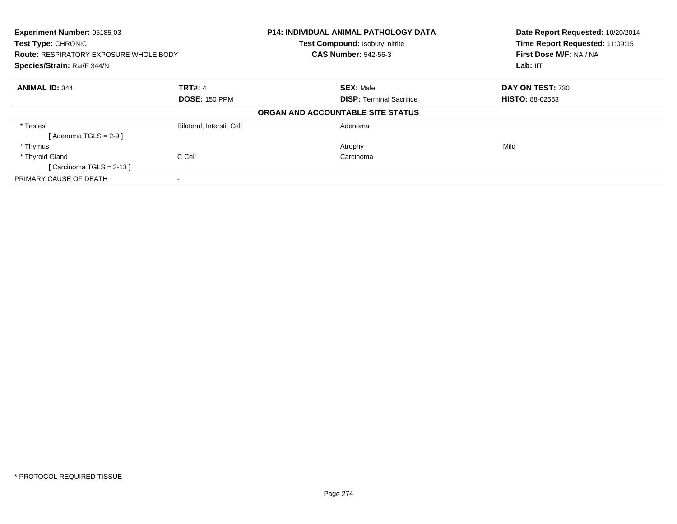| Experiment Number: 05185-03<br>Test Type: CHRONIC<br><b>Route: RESPIRATORY EXPOSURE WHOLE BODY</b><br>Species/Strain: Rat/F 344/N |                                  | <b>P14: INDIVIDUAL ANIMAL PATHOLOGY DATA</b><br>Test Compound: Isobutyl nitrite<br><b>CAS Number: 542-56-3</b> | Date Report Requested: 10/20/2014<br>Time Report Requested: 11:09:15<br>First Dose M/F: NA / NA |
|-----------------------------------------------------------------------------------------------------------------------------------|----------------------------------|----------------------------------------------------------------------------------------------------------------|-------------------------------------------------------------------------------------------------|
|                                                                                                                                   |                                  |                                                                                                                | Lab: $III$                                                                                      |
| <b>ANIMAL ID: 344</b>                                                                                                             | <b>TRT#: 4</b>                   | <b>SEX: Male</b>                                                                                               | DAY ON TEST: 730                                                                                |
|                                                                                                                                   | <b>DOSE: 150 PPM</b>             | <b>DISP: Terminal Sacrifice</b>                                                                                | <b>HISTO: 88-02553</b>                                                                          |
|                                                                                                                                   |                                  | ORGAN AND ACCOUNTABLE SITE STATUS                                                                              |                                                                                                 |
| * Testes                                                                                                                          | <b>Bilateral, Interstit Cell</b> | Adenoma                                                                                                        |                                                                                                 |
| $Adenoma TGLS = 2-91$                                                                                                             |                                  |                                                                                                                |                                                                                                 |
| * Thymus                                                                                                                          |                                  | Atrophy                                                                                                        | Mild                                                                                            |
| * Thyroid Gland                                                                                                                   | C Cell                           | Carcinoma                                                                                                      |                                                                                                 |
| [Carcinoma TGLS = $3-13$ ]                                                                                                        |                                  |                                                                                                                |                                                                                                 |
| PRIMARY CAUSE OF DEATH                                                                                                            |                                  |                                                                                                                |                                                                                                 |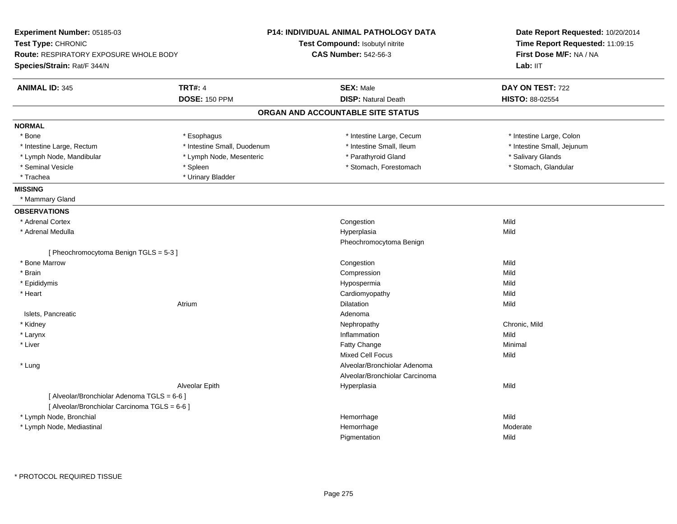| Experiment Number: 05185-03                   |                             | <b>P14: INDIVIDUAL ANIMAL PATHOLOGY DATA</b> | Date Report Requested: 10/20/2014<br>Time Report Requested: 11:09:15<br>First Dose M/F: NA / NA |  |
|-----------------------------------------------|-----------------------------|----------------------------------------------|-------------------------------------------------------------------------------------------------|--|
| Test Type: CHRONIC                            |                             | <b>Test Compound: Isobutyl nitrite</b>       |                                                                                                 |  |
| <b>Route: RESPIRATORY EXPOSURE WHOLE BODY</b> |                             | <b>CAS Number: 542-56-3</b>                  |                                                                                                 |  |
| Species/Strain: Rat/F 344/N                   |                             |                                              | Lab: IIT                                                                                        |  |
| <b>ANIMAL ID: 345</b>                         | <b>TRT#: 4</b>              | <b>SEX: Male</b>                             | DAY ON TEST: 722                                                                                |  |
|                                               | <b>DOSE: 150 PPM</b>        | <b>DISP: Natural Death</b>                   | HISTO: 88-02554                                                                                 |  |
|                                               |                             | ORGAN AND ACCOUNTABLE SITE STATUS            |                                                                                                 |  |
| <b>NORMAL</b>                                 |                             |                                              |                                                                                                 |  |
| * Bone                                        | * Esophagus                 | * Intestine Large, Cecum                     | * Intestine Large, Colon                                                                        |  |
| * Intestine Large, Rectum                     | * Intestine Small, Duodenum | * Intestine Small, Ileum                     | * Intestine Small, Jejunum                                                                      |  |
| * Lymph Node, Mandibular                      | * Lymph Node, Mesenteric    | * Parathyroid Gland                          | * Salivary Glands                                                                               |  |
| * Seminal Vesicle                             | * Spleen                    | * Stomach, Forestomach                       | * Stomach, Glandular                                                                            |  |
| * Trachea                                     | * Urinary Bladder           |                                              |                                                                                                 |  |
| <b>MISSING</b>                                |                             |                                              |                                                                                                 |  |
| * Mammary Gland                               |                             |                                              |                                                                                                 |  |
| <b>OBSERVATIONS</b>                           |                             |                                              |                                                                                                 |  |
| * Adrenal Cortex                              |                             | Congestion                                   | Mild                                                                                            |  |
| * Adrenal Medulla                             |                             | Hyperplasia                                  | Mild                                                                                            |  |
|                                               |                             | Pheochromocytoma Benign                      |                                                                                                 |  |
| [Pheochromocytoma Benign TGLS = 5-3]          |                             |                                              |                                                                                                 |  |
| * Bone Marrow                                 |                             | Congestion                                   | Mild                                                                                            |  |
| * Brain                                       |                             | Compression                                  | Mild                                                                                            |  |
| * Epididymis                                  |                             | Hypospermia                                  | Mild                                                                                            |  |
| * Heart                                       |                             | Cardiomyopathy                               | Mild                                                                                            |  |
|                                               | Atrium                      | Dilatation                                   | Mild                                                                                            |  |
| Islets, Pancreatic                            |                             | Adenoma                                      |                                                                                                 |  |
| * Kidney                                      |                             | Nephropathy                                  | Chronic, Mild                                                                                   |  |
| * Larynx                                      |                             | Inflammation                                 | Mild                                                                                            |  |
| * Liver                                       |                             | Fatty Change                                 | Minimal                                                                                         |  |
|                                               |                             | <b>Mixed Cell Focus</b>                      | Mild                                                                                            |  |
| * Lung                                        |                             | Alveolar/Bronchiolar Adenoma                 |                                                                                                 |  |
|                                               |                             | Alveolar/Bronchiolar Carcinoma               |                                                                                                 |  |
|                                               | Alveolar Epith              | Hyperplasia                                  | Mild                                                                                            |  |
| [ Alveolar/Bronchiolar Adenoma TGLS = 6-6 ]   |                             |                                              |                                                                                                 |  |
| [ Alveolar/Bronchiolar Carcinoma TGLS = 6-6 ] |                             |                                              |                                                                                                 |  |
| * Lymph Node, Bronchial                       |                             | Hemorrhage                                   | Mild                                                                                            |  |
| * Lymph Node, Mediastinal                     |                             | Hemorrhage                                   | Moderate                                                                                        |  |
|                                               |                             | Pigmentation                                 | Mild                                                                                            |  |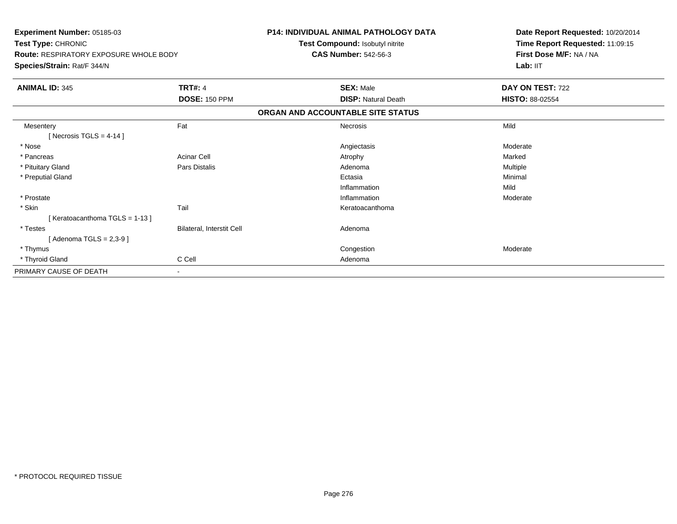| Experiment Number: 05185-03<br>Test Type: CHRONIC<br><b>Route: RESPIRATORY EXPOSURE WHOLE BODY</b><br>Species/Strain: Rat/F 344/N |                           | P14: INDIVIDUAL ANIMAL PATHOLOGY DATA<br>Test Compound: Isobutyl nitrite<br><b>CAS Number: 542-56-3</b> | Date Report Requested: 10/20/2014<br>Time Report Requested: 11:09:15<br>First Dose M/F: NA / NA<br>Lab: IIT |
|-----------------------------------------------------------------------------------------------------------------------------------|---------------------------|---------------------------------------------------------------------------------------------------------|-------------------------------------------------------------------------------------------------------------|
| <b>ANIMAL ID: 345</b>                                                                                                             | <b>TRT#: 4</b>            | <b>SEX: Male</b>                                                                                        | DAY ON TEST: 722                                                                                            |
|                                                                                                                                   | <b>DOSE: 150 PPM</b>      | <b>DISP: Natural Death</b>                                                                              | <b>HISTO: 88-02554</b>                                                                                      |
|                                                                                                                                   |                           | ORGAN AND ACCOUNTABLE SITE STATUS                                                                       |                                                                                                             |
| Mesentery<br>[Necrosis TGLS = $4-14$ ]                                                                                            | Fat                       | Necrosis                                                                                                | Mild                                                                                                        |
| * Nose                                                                                                                            |                           | Angiectasis                                                                                             | Moderate                                                                                                    |
| * Pancreas                                                                                                                        | <b>Acinar Cell</b>        | Atrophy                                                                                                 | Marked                                                                                                      |
| * Pituitary Gland                                                                                                                 | Pars Distalis             | Adenoma                                                                                                 | Multiple                                                                                                    |
| * Preputial Gland                                                                                                                 |                           | Ectasia                                                                                                 | Minimal                                                                                                     |
|                                                                                                                                   |                           | Inflammation                                                                                            | Mild                                                                                                        |
| * Prostate                                                                                                                        |                           | Inflammation                                                                                            | Moderate                                                                                                    |
| * Skin                                                                                                                            | Tail                      | Keratoacanthoma                                                                                         |                                                                                                             |
| [Keratoacanthoma TGLS = 1-13]                                                                                                     |                           |                                                                                                         |                                                                                                             |
| * Testes                                                                                                                          | Bilateral, Interstit Cell | Adenoma                                                                                                 |                                                                                                             |
| [Adenoma TGLS = $2,3-9$ ]                                                                                                         |                           |                                                                                                         |                                                                                                             |
| * Thymus                                                                                                                          |                           | Congestion                                                                                              | Moderate                                                                                                    |
| * Thyroid Gland                                                                                                                   | C Cell                    | Adenoma                                                                                                 |                                                                                                             |
| PRIMARY CAUSE OF DEATH                                                                                                            | $\sim$                    |                                                                                                         |                                                                                                             |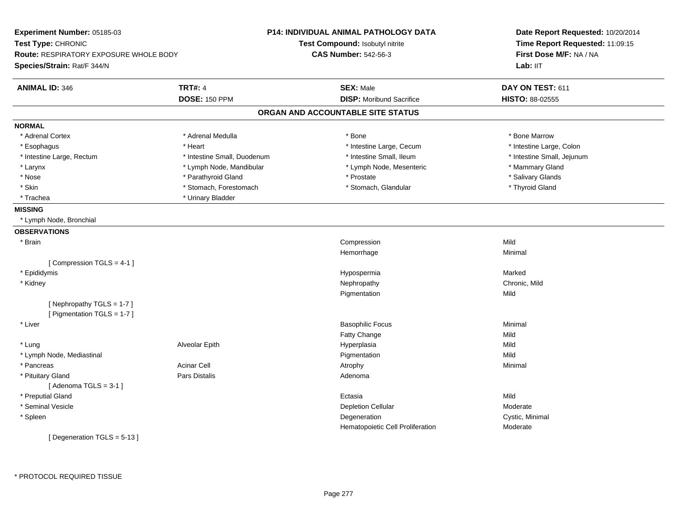| <b>TRT#: 4</b><br><b>SEX: Male</b><br>DAY ON TEST: 611<br><b>ANIMAL ID: 346</b><br><b>DISP:</b> Moribund Sacrifice<br><b>DOSE: 150 PPM</b><br>HISTO: 88-02555<br>ORGAN AND ACCOUNTABLE SITE STATUS<br><b>NORMAL</b><br>* Adrenal Cortex<br>* Adrenal Medulla<br>* Bone Marrow<br>* Bone<br>* Intestine Large, Colon<br>* Heart<br>* Intestine Large, Cecum<br>* Esophagus<br>* Intestine Small, Duodenum<br>* Intestine Small, Ileum<br>* Intestine Small, Jejunum<br>* Intestine Large, Rectum<br>* Lymph Node, Mesenteric<br>* Mammary Gland<br>* Larynx<br>* Lymph Node, Mandibular<br>* Prostate<br>* Nose<br>* Parathyroid Gland<br>* Salivary Glands<br>* Skin<br>* Stomach, Forestomach<br>* Stomach, Glandular<br>* Thyroid Gland<br>* Urinary Bladder<br>* Trachea<br><b>MISSING</b><br>* Lymph Node, Bronchial<br><b>OBSERVATIONS</b><br>* Brain<br>Mild<br>Compression<br>Hemorrhage<br>Minimal<br>[Compression TGLS = 4-1]<br>* Epididymis<br>Marked<br>Hypospermia<br>Nephropathy<br>Chronic, Mild<br>* Kidney<br>Pigmentation<br>Mild<br>[Nephropathy TGLS = 1-7]<br>[ Pigmentation TGLS = 1-7 ]<br>* Liver<br><b>Basophilic Focus</b><br>Minimal<br>Fatty Change<br>Mild<br>* Lung<br>Alveolar Epith<br>Hyperplasia<br>Mild<br>* Lymph Node, Mediastinal<br>Mild<br>Pigmentation<br>* Pancreas<br><b>Acinar Cell</b><br>Atrophy<br>Minimal<br>* Pituitary Gland<br><b>Pars Distalis</b><br>Adenoma<br>[Adenoma TGLS = $3-1$ ]<br>* Preputial Gland<br>Mild<br>Ectasia<br>* Seminal Vesicle<br>Moderate<br><b>Depletion Cellular</b><br>Cystic, Minimal<br>* Spleen<br>Degeneration<br>Hematopoietic Cell Proliferation<br>Moderate<br>[Degeneration TGLS = 5-13] | Experiment Number: 05185-03<br>Test Type: CHRONIC<br><b>Route: RESPIRATORY EXPOSURE WHOLE BODY</b><br>Species/Strain: Rat/F 344/N | P14: INDIVIDUAL ANIMAL PATHOLOGY DATA<br>Test Compound: Isobutyl nitrite<br><b>CAS Number: 542-56-3</b> | Date Report Requested: 10/20/2014<br>Time Report Requested: 11:09:15<br>First Dose M/F: NA / NA<br>Lab: IIT |
|---------------------------------------------------------------------------------------------------------------------------------------------------------------------------------------------------------------------------------------------------------------------------------------------------------------------------------------------------------------------------------------------------------------------------------------------------------------------------------------------------------------------------------------------------------------------------------------------------------------------------------------------------------------------------------------------------------------------------------------------------------------------------------------------------------------------------------------------------------------------------------------------------------------------------------------------------------------------------------------------------------------------------------------------------------------------------------------------------------------------------------------------------------------------------------------------------------------------------------------------------------------------------------------------------------------------------------------------------------------------------------------------------------------------------------------------------------------------------------------------------------------------------------------------------------------------------------------------------------------------------------------------------------------------------------|-----------------------------------------------------------------------------------------------------------------------------------|---------------------------------------------------------------------------------------------------------|-------------------------------------------------------------------------------------------------------------|
|                                                                                                                                                                                                                                                                                                                                                                                                                                                                                                                                                                                                                                                                                                                                                                                                                                                                                                                                                                                                                                                                                                                                                                                                                                                                                                                                                                                                                                                                                                                                                                                                                                                                                 |                                                                                                                                   |                                                                                                         |                                                                                                             |
|                                                                                                                                                                                                                                                                                                                                                                                                                                                                                                                                                                                                                                                                                                                                                                                                                                                                                                                                                                                                                                                                                                                                                                                                                                                                                                                                                                                                                                                                                                                                                                                                                                                                                 |                                                                                                                                   |                                                                                                         |                                                                                                             |
|                                                                                                                                                                                                                                                                                                                                                                                                                                                                                                                                                                                                                                                                                                                                                                                                                                                                                                                                                                                                                                                                                                                                                                                                                                                                                                                                                                                                                                                                                                                                                                                                                                                                                 |                                                                                                                                   |                                                                                                         |                                                                                                             |
|                                                                                                                                                                                                                                                                                                                                                                                                                                                                                                                                                                                                                                                                                                                                                                                                                                                                                                                                                                                                                                                                                                                                                                                                                                                                                                                                                                                                                                                                                                                                                                                                                                                                                 |                                                                                                                                   |                                                                                                         |                                                                                                             |
|                                                                                                                                                                                                                                                                                                                                                                                                                                                                                                                                                                                                                                                                                                                                                                                                                                                                                                                                                                                                                                                                                                                                                                                                                                                                                                                                                                                                                                                                                                                                                                                                                                                                                 |                                                                                                                                   |                                                                                                         |                                                                                                             |
|                                                                                                                                                                                                                                                                                                                                                                                                                                                                                                                                                                                                                                                                                                                                                                                                                                                                                                                                                                                                                                                                                                                                                                                                                                                                                                                                                                                                                                                                                                                                                                                                                                                                                 |                                                                                                                                   |                                                                                                         |                                                                                                             |
|                                                                                                                                                                                                                                                                                                                                                                                                                                                                                                                                                                                                                                                                                                                                                                                                                                                                                                                                                                                                                                                                                                                                                                                                                                                                                                                                                                                                                                                                                                                                                                                                                                                                                 |                                                                                                                                   |                                                                                                         |                                                                                                             |
|                                                                                                                                                                                                                                                                                                                                                                                                                                                                                                                                                                                                                                                                                                                                                                                                                                                                                                                                                                                                                                                                                                                                                                                                                                                                                                                                                                                                                                                                                                                                                                                                                                                                                 |                                                                                                                                   |                                                                                                         |                                                                                                             |
|                                                                                                                                                                                                                                                                                                                                                                                                                                                                                                                                                                                                                                                                                                                                                                                                                                                                                                                                                                                                                                                                                                                                                                                                                                                                                                                                                                                                                                                                                                                                                                                                                                                                                 |                                                                                                                                   |                                                                                                         |                                                                                                             |
|                                                                                                                                                                                                                                                                                                                                                                                                                                                                                                                                                                                                                                                                                                                                                                                                                                                                                                                                                                                                                                                                                                                                                                                                                                                                                                                                                                                                                                                                                                                                                                                                                                                                                 |                                                                                                                                   |                                                                                                         |                                                                                                             |
|                                                                                                                                                                                                                                                                                                                                                                                                                                                                                                                                                                                                                                                                                                                                                                                                                                                                                                                                                                                                                                                                                                                                                                                                                                                                                                                                                                                                                                                                                                                                                                                                                                                                                 |                                                                                                                                   |                                                                                                         |                                                                                                             |
|                                                                                                                                                                                                                                                                                                                                                                                                                                                                                                                                                                                                                                                                                                                                                                                                                                                                                                                                                                                                                                                                                                                                                                                                                                                                                                                                                                                                                                                                                                                                                                                                                                                                                 |                                                                                                                                   |                                                                                                         |                                                                                                             |
|                                                                                                                                                                                                                                                                                                                                                                                                                                                                                                                                                                                                                                                                                                                                                                                                                                                                                                                                                                                                                                                                                                                                                                                                                                                                                                                                                                                                                                                                                                                                                                                                                                                                                 |                                                                                                                                   |                                                                                                         |                                                                                                             |
|                                                                                                                                                                                                                                                                                                                                                                                                                                                                                                                                                                                                                                                                                                                                                                                                                                                                                                                                                                                                                                                                                                                                                                                                                                                                                                                                                                                                                                                                                                                                                                                                                                                                                 |                                                                                                                                   |                                                                                                         |                                                                                                             |
|                                                                                                                                                                                                                                                                                                                                                                                                                                                                                                                                                                                                                                                                                                                                                                                                                                                                                                                                                                                                                                                                                                                                                                                                                                                                                                                                                                                                                                                                                                                                                                                                                                                                                 |                                                                                                                                   |                                                                                                         |                                                                                                             |
|                                                                                                                                                                                                                                                                                                                                                                                                                                                                                                                                                                                                                                                                                                                                                                                                                                                                                                                                                                                                                                                                                                                                                                                                                                                                                                                                                                                                                                                                                                                                                                                                                                                                                 |                                                                                                                                   |                                                                                                         |                                                                                                             |
|                                                                                                                                                                                                                                                                                                                                                                                                                                                                                                                                                                                                                                                                                                                                                                                                                                                                                                                                                                                                                                                                                                                                                                                                                                                                                                                                                                                                                                                                                                                                                                                                                                                                                 |                                                                                                                                   |                                                                                                         |                                                                                                             |
|                                                                                                                                                                                                                                                                                                                                                                                                                                                                                                                                                                                                                                                                                                                                                                                                                                                                                                                                                                                                                                                                                                                                                                                                                                                                                                                                                                                                                                                                                                                                                                                                                                                                                 |                                                                                                                                   |                                                                                                         |                                                                                                             |
|                                                                                                                                                                                                                                                                                                                                                                                                                                                                                                                                                                                                                                                                                                                                                                                                                                                                                                                                                                                                                                                                                                                                                                                                                                                                                                                                                                                                                                                                                                                                                                                                                                                                                 |                                                                                                                                   |                                                                                                         |                                                                                                             |
|                                                                                                                                                                                                                                                                                                                                                                                                                                                                                                                                                                                                                                                                                                                                                                                                                                                                                                                                                                                                                                                                                                                                                                                                                                                                                                                                                                                                                                                                                                                                                                                                                                                                                 |                                                                                                                                   |                                                                                                         |                                                                                                             |
|                                                                                                                                                                                                                                                                                                                                                                                                                                                                                                                                                                                                                                                                                                                                                                                                                                                                                                                                                                                                                                                                                                                                                                                                                                                                                                                                                                                                                                                                                                                                                                                                                                                                                 |                                                                                                                                   |                                                                                                         |                                                                                                             |
|                                                                                                                                                                                                                                                                                                                                                                                                                                                                                                                                                                                                                                                                                                                                                                                                                                                                                                                                                                                                                                                                                                                                                                                                                                                                                                                                                                                                                                                                                                                                                                                                                                                                                 |                                                                                                                                   |                                                                                                         |                                                                                                             |
|                                                                                                                                                                                                                                                                                                                                                                                                                                                                                                                                                                                                                                                                                                                                                                                                                                                                                                                                                                                                                                                                                                                                                                                                                                                                                                                                                                                                                                                                                                                                                                                                                                                                                 |                                                                                                                                   |                                                                                                         |                                                                                                             |
|                                                                                                                                                                                                                                                                                                                                                                                                                                                                                                                                                                                                                                                                                                                                                                                                                                                                                                                                                                                                                                                                                                                                                                                                                                                                                                                                                                                                                                                                                                                                                                                                                                                                                 |                                                                                                                                   |                                                                                                         |                                                                                                             |
|                                                                                                                                                                                                                                                                                                                                                                                                                                                                                                                                                                                                                                                                                                                                                                                                                                                                                                                                                                                                                                                                                                                                                                                                                                                                                                                                                                                                                                                                                                                                                                                                                                                                                 |                                                                                                                                   |                                                                                                         |                                                                                                             |
|                                                                                                                                                                                                                                                                                                                                                                                                                                                                                                                                                                                                                                                                                                                                                                                                                                                                                                                                                                                                                                                                                                                                                                                                                                                                                                                                                                                                                                                                                                                                                                                                                                                                                 |                                                                                                                                   |                                                                                                         |                                                                                                             |
|                                                                                                                                                                                                                                                                                                                                                                                                                                                                                                                                                                                                                                                                                                                                                                                                                                                                                                                                                                                                                                                                                                                                                                                                                                                                                                                                                                                                                                                                                                                                                                                                                                                                                 |                                                                                                                                   |                                                                                                         |                                                                                                             |
|                                                                                                                                                                                                                                                                                                                                                                                                                                                                                                                                                                                                                                                                                                                                                                                                                                                                                                                                                                                                                                                                                                                                                                                                                                                                                                                                                                                                                                                                                                                                                                                                                                                                                 |                                                                                                                                   |                                                                                                         |                                                                                                             |
|                                                                                                                                                                                                                                                                                                                                                                                                                                                                                                                                                                                                                                                                                                                                                                                                                                                                                                                                                                                                                                                                                                                                                                                                                                                                                                                                                                                                                                                                                                                                                                                                                                                                                 |                                                                                                                                   |                                                                                                         |                                                                                                             |
|                                                                                                                                                                                                                                                                                                                                                                                                                                                                                                                                                                                                                                                                                                                                                                                                                                                                                                                                                                                                                                                                                                                                                                                                                                                                                                                                                                                                                                                                                                                                                                                                                                                                                 |                                                                                                                                   |                                                                                                         |                                                                                                             |
|                                                                                                                                                                                                                                                                                                                                                                                                                                                                                                                                                                                                                                                                                                                                                                                                                                                                                                                                                                                                                                                                                                                                                                                                                                                                                                                                                                                                                                                                                                                                                                                                                                                                                 |                                                                                                                                   |                                                                                                         |                                                                                                             |
|                                                                                                                                                                                                                                                                                                                                                                                                                                                                                                                                                                                                                                                                                                                                                                                                                                                                                                                                                                                                                                                                                                                                                                                                                                                                                                                                                                                                                                                                                                                                                                                                                                                                                 |                                                                                                                                   |                                                                                                         |                                                                                                             |
|                                                                                                                                                                                                                                                                                                                                                                                                                                                                                                                                                                                                                                                                                                                                                                                                                                                                                                                                                                                                                                                                                                                                                                                                                                                                                                                                                                                                                                                                                                                                                                                                                                                                                 |                                                                                                                                   |                                                                                                         |                                                                                                             |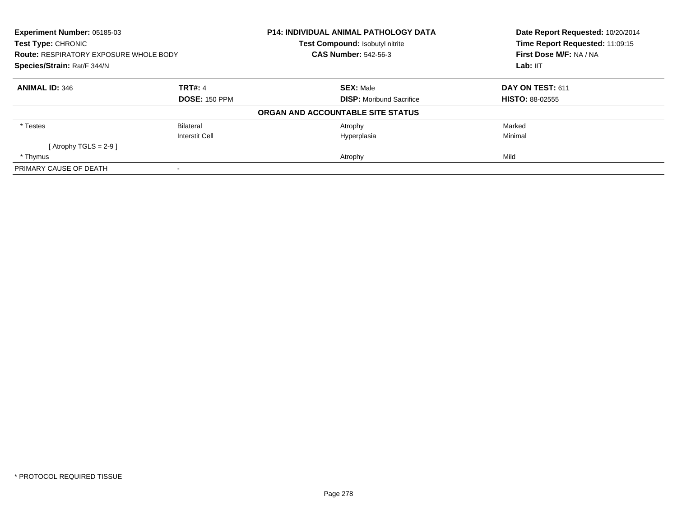| <b>Experiment Number: 05185-03</b><br>Test Type: CHRONIC<br><b>Route: RESPIRATORY EXPOSURE WHOLE BODY</b><br>Species/Strain: Rat/F 344/N |                      | <b>P14: INDIVIDUAL ANIMAL PATHOLOGY DATA</b><br>Test Compound: Isobutyl nitrite | Date Report Requested: 10/20/2014<br>Time Report Requested: 11:09:15<br>First Dose M/F: NA / NA<br>Lab: IIT |
|------------------------------------------------------------------------------------------------------------------------------------------|----------------------|---------------------------------------------------------------------------------|-------------------------------------------------------------------------------------------------------------|
|                                                                                                                                          |                      | <b>CAS Number: 542-56-3</b>                                                     |                                                                                                             |
|                                                                                                                                          |                      |                                                                                 |                                                                                                             |
| <b>ANIMAL ID: 346</b>                                                                                                                    | <b>TRT#: 4</b>       | <b>SEX: Male</b>                                                                | DAY ON TEST: 611                                                                                            |
|                                                                                                                                          | <b>DOSE: 150 PPM</b> | <b>DISP:</b> Moribund Sacrifice                                                 | <b>HISTO: 88-02555</b>                                                                                      |
|                                                                                                                                          |                      | ORGAN AND ACCOUNTABLE SITE STATUS                                               |                                                                                                             |
| * Testes                                                                                                                                 | Bilateral            | Atrophy                                                                         | Marked                                                                                                      |
|                                                                                                                                          | Interstit Cell       | Hyperplasia                                                                     | Minimal                                                                                                     |
| [Atrophy TGLS = $2-9$ ]                                                                                                                  |                      |                                                                                 |                                                                                                             |
| * Thymus                                                                                                                                 |                      | Atrophy                                                                         | Mild                                                                                                        |
| PRIMARY CAUSE OF DEATH                                                                                                                   |                      |                                                                                 |                                                                                                             |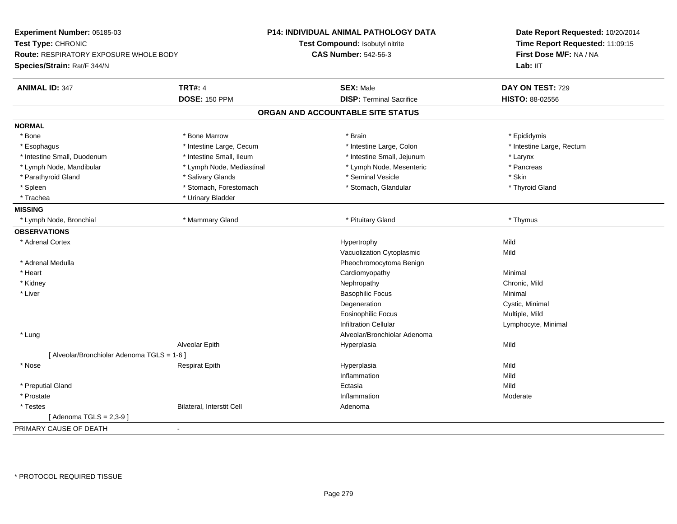| Experiment Number: 05185-03<br>Date Report Requested: 10/20/2014<br>Test Type: CHRONIC<br>Test Compound: Isobutyl nitrite<br>Time Report Requested: 11:09:15<br>Route: RESPIRATORY EXPOSURE WHOLE BODY<br><b>CAS Number: 542-56-3</b><br>First Dose M/F: NA / NA<br>Lab: IIT<br>Species/Strain: Rat/F 344/N |
|-------------------------------------------------------------------------------------------------------------------------------------------------------------------------------------------------------------------------------------------------------------------------------------------------------------|
|                                                                                                                                                                                                                                                                                                             |
|                                                                                                                                                                                                                                                                                                             |
|                                                                                                                                                                                                                                                                                                             |
| <b>TRT#: 4</b><br><b>SEX: Male</b><br><b>ANIMAL ID: 347</b><br>DAY ON TEST: 729                                                                                                                                                                                                                             |
| <b>DOSE: 150 PPM</b><br><b>DISP: Terminal Sacrifice</b><br><b>HISTO: 88-02556</b>                                                                                                                                                                                                                           |
| ORGAN AND ACCOUNTABLE SITE STATUS                                                                                                                                                                                                                                                                           |
| <b>NORMAL</b>                                                                                                                                                                                                                                                                                               |
| * Bone Marrow<br>* Bone<br>* Brain<br>* Epididymis                                                                                                                                                                                                                                                          |
| * Intestine Large, Cecum<br>* Intestine Large, Colon<br>* Intestine Large, Rectum<br>* Esophagus                                                                                                                                                                                                            |
| * Intestine Small, Jejunum<br>* Intestine Small, Duodenum<br>* Intestine Small, Ileum<br>* Larynx                                                                                                                                                                                                           |
| * Pancreas<br>* Lymph Node, Mandibular<br>* Lymph Node, Mediastinal<br>* Lymph Node, Mesenteric                                                                                                                                                                                                             |
| * Salivary Glands<br>* Seminal Vesicle<br>* Skin<br>* Parathyroid Gland                                                                                                                                                                                                                                     |
| * Stomach, Forestomach<br>* Thyroid Gland<br>* Spleen<br>* Stomach, Glandular                                                                                                                                                                                                                               |
| * Trachea<br>* Urinary Bladder                                                                                                                                                                                                                                                                              |
| <b>MISSING</b>                                                                                                                                                                                                                                                                                              |
| * Mammary Gland<br>* Lymph Node, Bronchial<br>* Pituitary Gland<br>* Thymus                                                                                                                                                                                                                                 |
| <b>OBSERVATIONS</b>                                                                                                                                                                                                                                                                                         |
| * Adrenal Cortex<br>Mild<br>Hypertrophy                                                                                                                                                                                                                                                                     |
| Vacuolization Cytoplasmic<br>Mild                                                                                                                                                                                                                                                                           |
| * Adrenal Medulla<br>Pheochromocytoma Benign                                                                                                                                                                                                                                                                |
| * Heart<br>Cardiomyopathy<br>Minimal                                                                                                                                                                                                                                                                        |
| * Kidney<br>Nephropathy<br>Chronic, Mild                                                                                                                                                                                                                                                                    |
| * Liver<br><b>Basophilic Focus</b><br>Minimal                                                                                                                                                                                                                                                               |
| Cystic, Minimal<br>Degeneration                                                                                                                                                                                                                                                                             |
| <b>Eosinophilic Focus</b><br>Multiple, Mild                                                                                                                                                                                                                                                                 |
| <b>Infiltration Cellular</b><br>Lymphocyte, Minimal                                                                                                                                                                                                                                                         |
| Alveolar/Bronchiolar Adenoma<br>* Lung                                                                                                                                                                                                                                                                      |
| Alveolar Epith<br>Mild<br>Hyperplasia                                                                                                                                                                                                                                                                       |
| [ Alveolar/Bronchiolar Adenoma TGLS = 1-6 ]                                                                                                                                                                                                                                                                 |
| * Nose<br>Hyperplasia<br>Mild<br><b>Respirat Epith</b>                                                                                                                                                                                                                                                      |
| Inflammation<br>Mild                                                                                                                                                                                                                                                                                        |
| * Preputial Gland<br>Mild<br>Ectasia                                                                                                                                                                                                                                                                        |
| * Prostate<br>Inflammation<br>Moderate                                                                                                                                                                                                                                                                      |
| * Testes<br>Bilateral, Interstit Cell<br>Adenoma                                                                                                                                                                                                                                                            |
| [ Adenoma TGLS = 2,3-9 ]                                                                                                                                                                                                                                                                                    |
| PRIMARY CAUSE OF DEATH<br>$\blacksquare$                                                                                                                                                                                                                                                                    |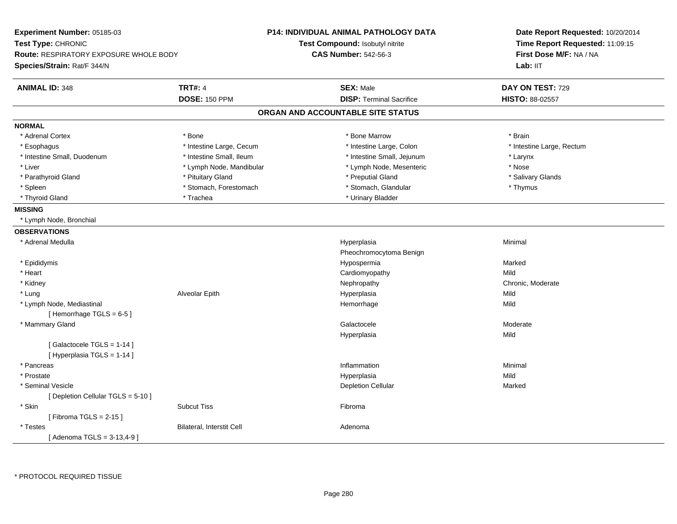| Experiment Number: 05185-03<br>Test Type: CHRONIC<br><b>Route: RESPIRATORY EXPOSURE WHOLE BODY</b><br>Species/Strain: Rat/F 344/N |                           | P14: INDIVIDUAL ANIMAL PATHOLOGY DATA<br>Test Compound: Isobutyl nitrite<br><b>CAS Number: 542-56-3</b> | Date Report Requested: 10/20/2014<br>Time Report Requested: 11:09:15<br>First Dose M/F: NA / NA<br>Lab: IIT |
|-----------------------------------------------------------------------------------------------------------------------------------|---------------------------|---------------------------------------------------------------------------------------------------------|-------------------------------------------------------------------------------------------------------------|
| <b>ANIMAL ID: 348</b>                                                                                                             | <b>TRT#: 4</b>            | <b>SEX: Male</b>                                                                                        | DAY ON TEST: 729                                                                                            |
|                                                                                                                                   | <b>DOSE: 150 PPM</b>      | <b>DISP: Terminal Sacrifice</b>                                                                         | HISTO: 88-02557                                                                                             |
|                                                                                                                                   |                           | ORGAN AND ACCOUNTABLE SITE STATUS                                                                       |                                                                                                             |
| <b>NORMAL</b>                                                                                                                     |                           |                                                                                                         |                                                                                                             |
| * Adrenal Cortex                                                                                                                  | * Bone                    | * Bone Marrow                                                                                           | * Brain                                                                                                     |
| * Esophagus                                                                                                                       | * Intestine Large, Cecum  | * Intestine Large, Colon                                                                                | * Intestine Large, Rectum                                                                                   |
| * Intestine Small, Duodenum                                                                                                       | * Intestine Small, Ileum  | * Intestine Small, Jejunum                                                                              | * Larynx                                                                                                    |
| * Liver                                                                                                                           | * Lymph Node, Mandibular  | * Lymph Node, Mesenteric                                                                                | * Nose                                                                                                      |
| * Parathyroid Gland                                                                                                               | * Pituitary Gland         | * Preputial Gland                                                                                       | * Salivary Glands                                                                                           |
| * Spleen                                                                                                                          | * Stomach, Forestomach    | * Stomach, Glandular                                                                                    | * Thymus                                                                                                    |
| * Thyroid Gland                                                                                                                   | * Trachea                 | * Urinary Bladder                                                                                       |                                                                                                             |
| <b>MISSING</b>                                                                                                                    |                           |                                                                                                         |                                                                                                             |
| * Lymph Node, Bronchial                                                                                                           |                           |                                                                                                         |                                                                                                             |
| <b>OBSERVATIONS</b>                                                                                                               |                           |                                                                                                         |                                                                                                             |
| * Adrenal Medulla                                                                                                                 |                           | Hyperplasia                                                                                             | Minimal                                                                                                     |
|                                                                                                                                   |                           | Pheochromocytoma Benign                                                                                 |                                                                                                             |
| * Epididymis                                                                                                                      |                           | Hypospermia                                                                                             | Marked                                                                                                      |
| * Heart                                                                                                                           |                           | Cardiomyopathy                                                                                          | Mild                                                                                                        |
| * Kidney                                                                                                                          |                           | Nephropathy                                                                                             | Chronic, Moderate                                                                                           |
| * Lung                                                                                                                            | Alveolar Epith            | Hyperplasia                                                                                             | Mild                                                                                                        |
| * Lymph Node, Mediastinal                                                                                                         |                           | Hemorrhage                                                                                              | Mild                                                                                                        |
| [Hemorrhage TGLS = 6-5]                                                                                                           |                           |                                                                                                         |                                                                                                             |
| * Mammary Gland                                                                                                                   |                           | Galactocele                                                                                             | Moderate                                                                                                    |
|                                                                                                                                   |                           | Hyperplasia                                                                                             | Mild                                                                                                        |
| [Galactocele TGLS = 1-14]                                                                                                         |                           |                                                                                                         |                                                                                                             |
| [ Hyperplasia TGLS = 1-14 ]                                                                                                       |                           |                                                                                                         |                                                                                                             |
| * Pancreas                                                                                                                        |                           | Inflammation                                                                                            | Minimal                                                                                                     |
| * Prostate                                                                                                                        |                           | Hyperplasia                                                                                             | Mild                                                                                                        |
| * Seminal Vesicle                                                                                                                 |                           | <b>Depletion Cellular</b>                                                                               | Marked                                                                                                      |
| [ Depletion Cellular TGLS = 5-10 ]                                                                                                |                           |                                                                                                         |                                                                                                             |
| * Skin                                                                                                                            | <b>Subcut Tiss</b>        | Fibroma                                                                                                 |                                                                                                             |
| [Fibroma TGLS = $2-15$ ]                                                                                                          |                           |                                                                                                         |                                                                                                             |
| * Testes                                                                                                                          | Bilateral, Interstit Cell | Adenoma                                                                                                 |                                                                                                             |
| [Adenoma TGLS = $3-13,4-9$ ]                                                                                                      |                           |                                                                                                         |                                                                                                             |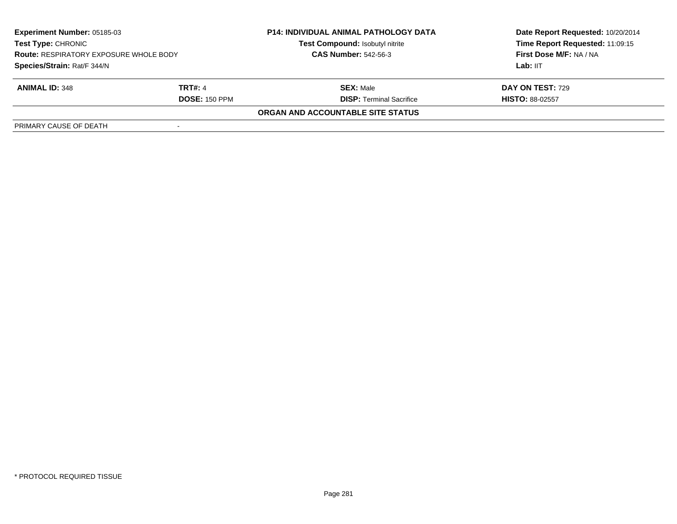| <b>Experiment Number: 05185-03</b><br><b>Test Type: CHRONIC</b><br><b>Route: RESPIRATORY EXPOSURE WHOLE BODY</b><br>Species/Strain: Rat/F 344/N |                      | <b>P14: INDIVIDUAL ANIMAL PATHOLOGY DATA</b><br>Test Compound: Isobutyl nitrite | Date Report Requested: 10/20/2014<br>Time Report Requested: 11:09:15<br>First Dose M/F: NA / NA |
|-------------------------------------------------------------------------------------------------------------------------------------------------|----------------------|---------------------------------------------------------------------------------|-------------------------------------------------------------------------------------------------|
|                                                                                                                                                 |                      | <b>CAS Number: 542-56-3</b>                                                     |                                                                                                 |
|                                                                                                                                                 |                      |                                                                                 | Lab: IIT                                                                                        |
| <b>ANIMAL ID: 348</b>                                                                                                                           | <b>TRT#: 4</b>       | <b>SEX: Male</b>                                                                | DAY ON TEST: 729                                                                                |
|                                                                                                                                                 | <b>DOSE: 150 PPM</b> | <b>DISP: Terminal Sacrifice</b>                                                 | <b>HISTO: 88-02557</b>                                                                          |
|                                                                                                                                                 |                      | <b>ORGAN AND ACCOUNTABLE SITE STATUS</b>                                        |                                                                                                 |
| PRIMARY CAUSE OF DEATH                                                                                                                          |                      |                                                                                 |                                                                                                 |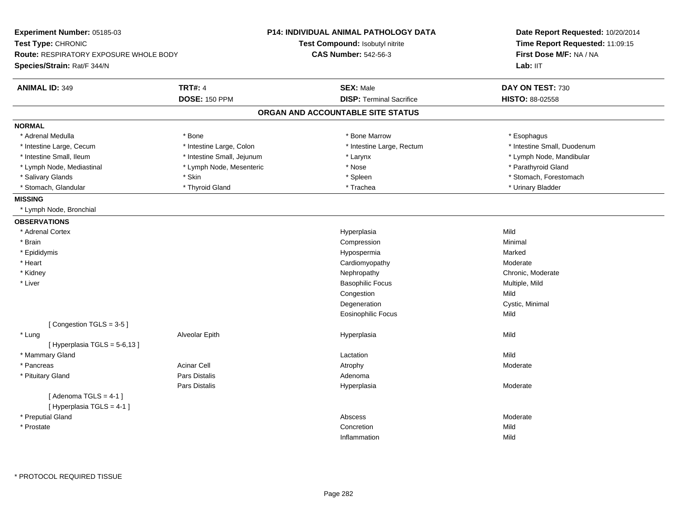| Experiment Number: 05185-03                                         |                            | P14: INDIVIDUAL ANIMAL PATHOLOGY DATA | Date Report Requested: 10/20/2014                          |  |
|---------------------------------------------------------------------|----------------------------|---------------------------------------|------------------------------------------------------------|--|
| Test Type: CHRONIC<br><b>Route: RESPIRATORY EXPOSURE WHOLE BODY</b> |                            | Test Compound: Isobutyl nitrite       | Time Report Requested: 11:09:15<br>First Dose M/F: NA / NA |  |
|                                                                     |                            | <b>CAS Number: 542-56-3</b>           |                                                            |  |
| Species/Strain: Rat/F 344/N                                         |                            |                                       | Lab: IIT                                                   |  |
| <b>ANIMAL ID: 349</b>                                               | <b>TRT#: 4</b>             | <b>SEX: Male</b>                      | DAY ON TEST: 730                                           |  |
|                                                                     | <b>DOSE: 150 PPM</b>       | <b>DISP: Terminal Sacrifice</b>       | HISTO: 88-02558                                            |  |
|                                                                     |                            | ORGAN AND ACCOUNTABLE SITE STATUS     |                                                            |  |
| <b>NORMAL</b>                                                       |                            |                                       |                                                            |  |
| * Adrenal Medulla                                                   | * Bone                     | * Bone Marrow                         | * Esophagus                                                |  |
| * Intestine Large, Cecum                                            | * Intestine Large, Colon   | * Intestine Large, Rectum             | * Intestine Small, Duodenum                                |  |
| * Intestine Small, Ileum                                            | * Intestine Small, Jejunum | * Larynx                              | * Lymph Node, Mandibular                                   |  |
| * Lymph Node, Mediastinal                                           | * Lymph Node, Mesenteric   | * Nose                                | * Parathyroid Gland                                        |  |
| * Salivary Glands                                                   | * Skin                     | * Spleen                              | * Stomach, Forestomach                                     |  |
| * Stomach, Glandular                                                | * Thyroid Gland            | * Trachea                             | * Urinary Bladder                                          |  |
| <b>MISSING</b>                                                      |                            |                                       |                                                            |  |
| * Lymph Node, Bronchial                                             |                            |                                       |                                                            |  |
| <b>OBSERVATIONS</b>                                                 |                            |                                       |                                                            |  |
| * Adrenal Cortex                                                    |                            | Hyperplasia                           | Mild                                                       |  |
| * Brain                                                             |                            | Compression                           | Minimal                                                    |  |
| * Epididymis                                                        |                            | Hypospermia                           | Marked                                                     |  |
| * Heart                                                             |                            | Cardiomyopathy                        | Moderate                                                   |  |
| * Kidney                                                            |                            | Nephropathy                           | Chronic, Moderate                                          |  |
| * Liver                                                             |                            | <b>Basophilic Focus</b>               | Multiple, Mild                                             |  |
|                                                                     |                            | Congestion                            | Mild                                                       |  |
|                                                                     |                            | Degeneration                          | Cystic, Minimal                                            |  |
|                                                                     |                            | <b>Eosinophilic Focus</b>             | Mild                                                       |  |
| [Congestion TGLS = 3-5]                                             |                            |                                       |                                                            |  |
| * Lung                                                              | Alveolar Epith             | Hyperplasia                           | Mild                                                       |  |
| [Hyperplasia TGLS = $5-6,13$ ]                                      |                            |                                       |                                                            |  |
| * Mammary Gland                                                     |                            | Lactation                             | Mild                                                       |  |
| * Pancreas                                                          | <b>Acinar Cell</b>         | Atrophy                               | Moderate                                                   |  |
| * Pituitary Gland                                                   | Pars Distalis              | Adenoma                               |                                                            |  |
|                                                                     | Pars Distalis              | Hyperplasia                           | Moderate                                                   |  |
| [Adenoma TGLS = $4-1$ ]                                             |                            |                                       |                                                            |  |
| [Hyperplasia TGLS = 4-1]                                            |                            |                                       |                                                            |  |
| * Preputial Gland                                                   |                            | Abscess                               | Moderate                                                   |  |
| * Prostate                                                          |                            | Concretion                            | Mild                                                       |  |
|                                                                     |                            | Inflammation                          | Mild                                                       |  |
|                                                                     |                            |                                       |                                                            |  |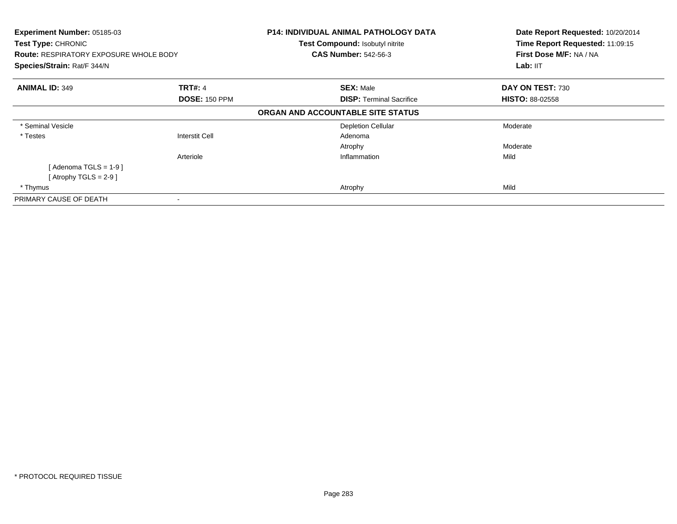| Experiment Number: 05185-03<br><b>Test Type: CHRONIC</b><br><b>Route: RESPIRATORY EXPOSURE WHOLE BODY</b><br>Species/Strain: Rat/F 344/N |                                        | <b>P14: INDIVIDUAL ANIMAL PATHOLOGY DATA</b><br>Test Compound: Isobutyl nitrite<br><b>CAS Number: 542-56-3</b> | Date Report Requested: 10/20/2014<br>Time Report Requested: 11:09:15<br>First Dose M/F: NA / NA<br>Lab: IIT |
|------------------------------------------------------------------------------------------------------------------------------------------|----------------------------------------|----------------------------------------------------------------------------------------------------------------|-------------------------------------------------------------------------------------------------------------|
| <b>ANIMAL ID: 349</b>                                                                                                                    | <b>TRT#: 4</b><br><b>DOSE: 150 PPM</b> | <b>SEX: Male</b><br><b>DISP: Terminal Sacrifice</b>                                                            | DAY ON TEST: 730<br><b>HISTO: 88-02558</b>                                                                  |
|                                                                                                                                          |                                        | ORGAN AND ACCOUNTABLE SITE STATUS                                                                              |                                                                                                             |
| * Seminal Vesicle                                                                                                                        |                                        | <b>Depletion Cellular</b>                                                                                      | Moderate                                                                                                    |
| * Testes                                                                                                                                 | <b>Interstit Cell</b>                  | Adenoma                                                                                                        |                                                                                                             |
|                                                                                                                                          |                                        | Atrophy                                                                                                        | Moderate                                                                                                    |
|                                                                                                                                          | Arteriole                              | Inflammation                                                                                                   | Mild                                                                                                        |
| [Adenoma TGLS = $1-9$ ]                                                                                                                  |                                        |                                                                                                                |                                                                                                             |
| [Atrophy TGLS = 2-9 ]                                                                                                                    |                                        |                                                                                                                |                                                                                                             |
| * Thymus                                                                                                                                 |                                        | Atrophy                                                                                                        | Mild                                                                                                        |
| PRIMARY CAUSE OF DEATH                                                                                                                   |                                        |                                                                                                                |                                                                                                             |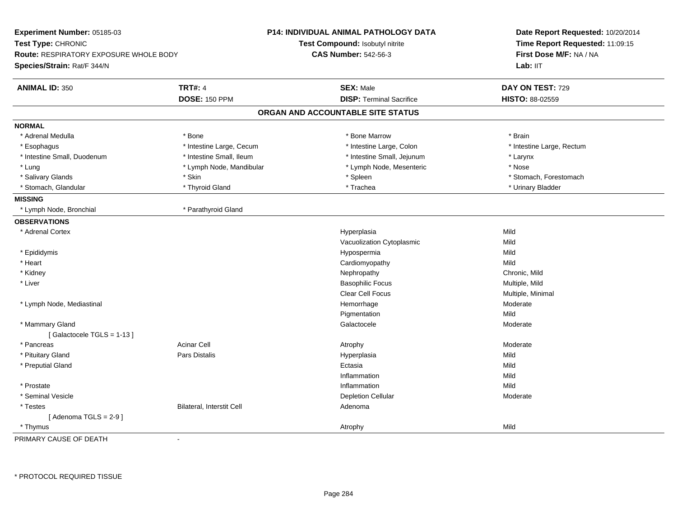| Experiment Number: 05185-03<br>Test Type: CHRONIC<br>Route: RESPIRATORY EXPOSURE WHOLE BODY<br>Species/Strain: Rat/F 344/N |                           | <b>P14: INDIVIDUAL ANIMAL PATHOLOGY DATA</b><br>Test Compound: Isobutyl nitrite<br><b>CAS Number: 542-56-3</b> | Date Report Requested: 10/20/2014<br>Time Report Requested: 11:09:15<br>First Dose M/F: NA / NA<br>Lab: IIT |
|----------------------------------------------------------------------------------------------------------------------------|---------------------------|----------------------------------------------------------------------------------------------------------------|-------------------------------------------------------------------------------------------------------------|
| <b>ANIMAL ID: 350</b>                                                                                                      | <b>TRT#: 4</b>            | <b>SEX: Male</b>                                                                                               | DAY ON TEST: 729                                                                                            |
|                                                                                                                            | <b>DOSE: 150 PPM</b>      | <b>DISP: Terminal Sacrifice</b>                                                                                | HISTO: 88-02559                                                                                             |
|                                                                                                                            |                           | ORGAN AND ACCOUNTABLE SITE STATUS                                                                              |                                                                                                             |
| <b>NORMAL</b>                                                                                                              |                           |                                                                                                                |                                                                                                             |
| * Adrenal Medulla                                                                                                          | * Bone                    | * Bone Marrow                                                                                                  | * Brain                                                                                                     |
| * Esophagus                                                                                                                | * Intestine Large, Cecum  | * Intestine Large, Colon                                                                                       | * Intestine Large, Rectum                                                                                   |
| * Intestine Small, Duodenum                                                                                                | * Intestine Small, Ileum  | * Intestine Small, Jejunum                                                                                     | * Larynx                                                                                                    |
| * Lung                                                                                                                     | * Lymph Node, Mandibular  | * Lymph Node, Mesenteric                                                                                       | * Nose                                                                                                      |
| * Salivary Glands                                                                                                          | * Skin                    | * Spleen                                                                                                       | * Stomach, Forestomach                                                                                      |
| * Stomach, Glandular                                                                                                       | * Thyroid Gland           | * Trachea                                                                                                      | * Urinary Bladder                                                                                           |
| <b>MISSING</b>                                                                                                             |                           |                                                                                                                |                                                                                                             |
| * Lymph Node, Bronchial                                                                                                    | * Parathyroid Gland       |                                                                                                                |                                                                                                             |
| <b>OBSERVATIONS</b>                                                                                                        |                           |                                                                                                                |                                                                                                             |
| * Adrenal Cortex                                                                                                           |                           | Hyperplasia                                                                                                    | Mild                                                                                                        |
|                                                                                                                            |                           | Vacuolization Cytoplasmic                                                                                      | Mild                                                                                                        |
| * Epididymis                                                                                                               |                           | Hypospermia                                                                                                    | Mild                                                                                                        |
| * Heart                                                                                                                    |                           | Cardiomyopathy                                                                                                 | Mild                                                                                                        |
| * Kidney                                                                                                                   |                           | Nephropathy                                                                                                    | Chronic, Mild                                                                                               |
| * Liver                                                                                                                    |                           | <b>Basophilic Focus</b>                                                                                        | Multiple, Mild                                                                                              |
|                                                                                                                            |                           | Clear Cell Focus                                                                                               | Multiple, Minimal                                                                                           |
| * Lymph Node, Mediastinal                                                                                                  |                           | Hemorrhage                                                                                                     | Moderate                                                                                                    |
|                                                                                                                            |                           | Pigmentation                                                                                                   | Mild                                                                                                        |
| * Mammary Gland                                                                                                            |                           | Galactocele                                                                                                    | Moderate                                                                                                    |
| [Galactocele TGLS = 1-13]                                                                                                  |                           |                                                                                                                |                                                                                                             |
| * Pancreas                                                                                                                 | <b>Acinar Cell</b>        | Atrophy                                                                                                        | Moderate                                                                                                    |
| * Pituitary Gland                                                                                                          | Pars Distalis             | Hyperplasia                                                                                                    | Mild                                                                                                        |
| * Preputial Gland                                                                                                          |                           | Ectasia                                                                                                        | Mild                                                                                                        |
|                                                                                                                            |                           | Inflammation                                                                                                   | Mild                                                                                                        |
| * Prostate                                                                                                                 |                           | Inflammation                                                                                                   | Mild                                                                                                        |
| * Seminal Vesicle                                                                                                          |                           | <b>Depletion Cellular</b>                                                                                      | Moderate                                                                                                    |
| * Testes                                                                                                                   | Bilateral, Interstit Cell | Adenoma                                                                                                        |                                                                                                             |
| [Adenoma TGLS = $2-9$ ]                                                                                                    |                           |                                                                                                                |                                                                                                             |
| * Thymus                                                                                                                   |                           | Atrophy                                                                                                        | Mild                                                                                                        |
| PRIMARY CAUSE OF DEATH                                                                                                     | $\mathbf{r}$              |                                                                                                                |                                                                                                             |

-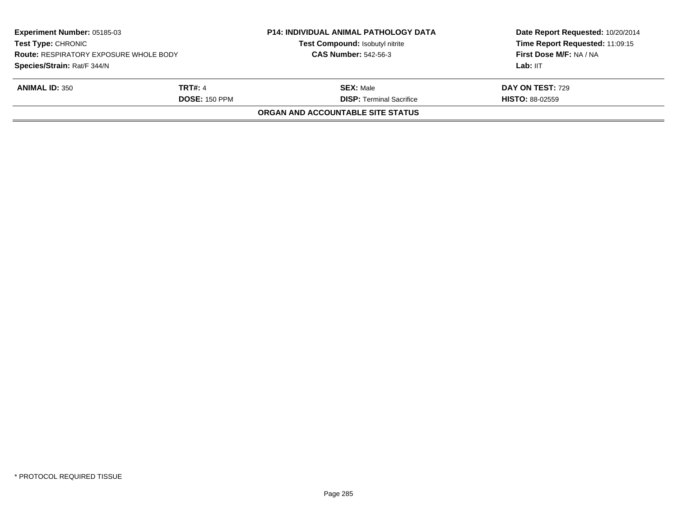| Experiment Number: 05185-03<br><b>Test Type: CHRONIC</b><br><b>Route: RESPIRATORY EXPOSURE WHOLE BODY</b><br>Species/Strain: Rat/F 344/N |                      | <b>P14: INDIVIDUAL ANIMAL PATHOLOGY DATA</b> | Date Report Requested: 10/20/2014<br>Time Report Requested: 11:09:15<br>First Dose M/F: NA / NA |
|------------------------------------------------------------------------------------------------------------------------------------------|----------------------|----------------------------------------------|-------------------------------------------------------------------------------------------------|
|                                                                                                                                          |                      | Test Compound: Isobutyl nitrite              |                                                                                                 |
|                                                                                                                                          |                      | <b>CAS Number: 542-56-3</b>                  |                                                                                                 |
|                                                                                                                                          |                      |                                              | Lab: IIT                                                                                        |
| <b>ANIMAL ID: 350</b>                                                                                                                    | <b>TRT#: 4</b>       | <b>SEX:</b> Male                             | <b>DAY ON TEST: 729</b>                                                                         |
|                                                                                                                                          | <b>DOSE: 150 PPM</b> | <b>DISP: Terminal Sacrifice</b>              | <b>HISTO: 88-02559</b>                                                                          |
|                                                                                                                                          |                      | ORGAN AND ACCOUNTABLE SITE STATUS            |                                                                                                 |
|                                                                                                                                          |                      |                                              |                                                                                                 |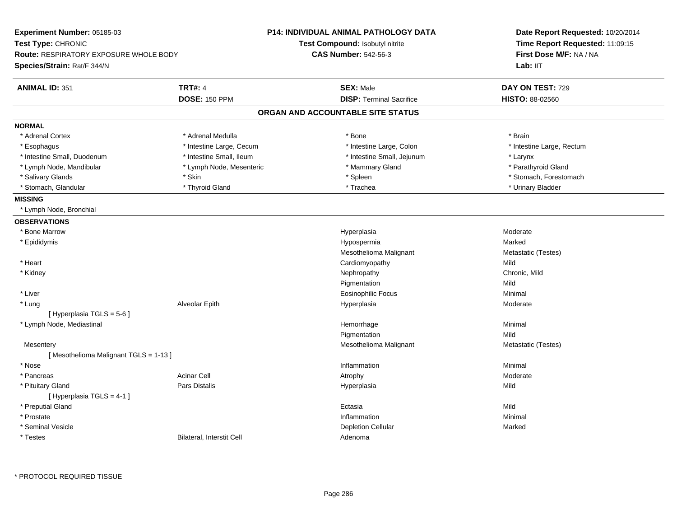| Experiment Number: 05185-03                   |                           | <b>P14: INDIVIDUAL ANIMAL PATHOLOGY DATA</b> | Date Report Requested: 10/20/2014 |  |
|-----------------------------------------------|---------------------------|----------------------------------------------|-----------------------------------|--|
| Test Type: CHRONIC                            |                           | Test Compound: Isobutyl nitrite              | Time Report Requested: 11:09:15   |  |
| <b>Route: RESPIRATORY EXPOSURE WHOLE BODY</b> |                           | <b>CAS Number: 542-56-3</b>                  | First Dose M/F: NA / NA           |  |
| Species/Strain: Rat/F 344/N                   |                           |                                              | Lab: IIT                          |  |
| <b>ANIMAL ID: 351</b>                         | <b>TRT#: 4</b>            | <b>SEX: Male</b>                             | DAY ON TEST: 729                  |  |
|                                               | <b>DOSE: 150 PPM</b>      | <b>DISP: Terminal Sacrifice</b>              | HISTO: 88-02560                   |  |
|                                               |                           | ORGAN AND ACCOUNTABLE SITE STATUS            |                                   |  |
| <b>NORMAL</b>                                 |                           |                                              |                                   |  |
| * Adrenal Cortex                              | * Adrenal Medulla         | * Bone                                       | * Brain                           |  |
| * Esophagus                                   | * Intestine Large, Cecum  | * Intestine Large, Colon                     | * Intestine Large, Rectum         |  |
| * Intestine Small, Duodenum                   | * Intestine Small, Ileum  | * Intestine Small, Jejunum                   | * Larynx                          |  |
| * Lymph Node, Mandibular                      | * Lymph Node, Mesenteric  | * Mammary Gland                              | * Parathyroid Gland               |  |
| * Salivary Glands                             | * Skin                    | * Spleen                                     | * Stomach, Forestomach            |  |
| * Stomach, Glandular                          | * Thyroid Gland           | * Trachea                                    | * Urinary Bladder                 |  |
| <b>MISSING</b>                                |                           |                                              |                                   |  |
| * Lymph Node, Bronchial                       |                           |                                              |                                   |  |
| <b>OBSERVATIONS</b>                           |                           |                                              |                                   |  |
| * Bone Marrow                                 |                           | Hyperplasia                                  | Moderate                          |  |
| * Epididymis                                  |                           | Hypospermia                                  | Marked                            |  |
|                                               |                           | Mesothelioma Malignant                       | Metastatic (Testes)               |  |
| * Heart                                       |                           | Cardiomyopathy                               | Mild                              |  |
| * Kidney                                      |                           | Nephropathy                                  | Chronic, Mild                     |  |
|                                               |                           | Pigmentation                                 | Mild                              |  |
| * Liver                                       |                           | Eosinophilic Focus                           | Minimal                           |  |
| * Lung                                        | Alveolar Epith            | Hyperplasia                                  | Moderate                          |  |
| [Hyperplasia TGLS = $5-6$ ]                   |                           |                                              |                                   |  |
| * Lymph Node, Mediastinal                     |                           | Hemorrhage                                   | Minimal                           |  |
|                                               |                           | Pigmentation                                 | Mild                              |  |
| Mesentery                                     |                           | Mesothelioma Malignant                       | Metastatic (Testes)               |  |
| [Mesothelioma Malignant TGLS = 1-13]          |                           |                                              |                                   |  |
| * Nose                                        |                           | Inflammation                                 | Minimal                           |  |
| * Pancreas                                    | Acinar Cell               | Atrophy                                      | Moderate                          |  |
| * Pituitary Gland                             | <b>Pars Distalis</b>      | Hyperplasia                                  | Mild                              |  |
| [Hyperplasia TGLS = 4-1]                      |                           |                                              |                                   |  |
| * Preputial Gland                             |                           | Ectasia                                      | Mild                              |  |
| * Prostate                                    |                           | Inflammation                                 | Minimal                           |  |
| * Seminal Vesicle                             |                           | <b>Depletion Cellular</b>                    | Marked                            |  |
| * Testes                                      | Bilateral, Interstit Cell | Adenoma                                      |                                   |  |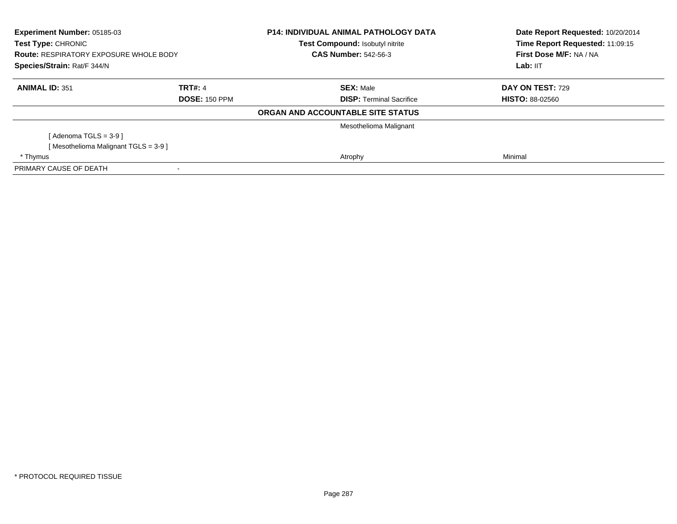| Experiment Number: 05185-03<br><b>Test Type: CHRONIC</b><br><b>Route: RESPIRATORY EXPOSURE WHOLE BODY</b><br>Species/Strain: Rat/F 344/N |                      | <b>P14: INDIVIDUAL ANIMAL PATHOLOGY DATA</b><br><b>Test Compound: Isobutyl nitrite</b> | Date Report Requested: 10/20/2014<br>Time Report Requested: 11:09:15 |
|------------------------------------------------------------------------------------------------------------------------------------------|----------------------|----------------------------------------------------------------------------------------|----------------------------------------------------------------------|
|                                                                                                                                          |                      | <b>CAS Number: 542-56-3</b>                                                            | First Dose M/F: NA / NA                                              |
|                                                                                                                                          |                      |                                                                                        | Lab: IIT                                                             |
| <b>ANIMAL ID: 351</b>                                                                                                                    | <b>TRT#: 4</b>       | <b>SEX: Male</b>                                                                       | DAY ON TEST: 729                                                     |
|                                                                                                                                          | <b>DOSE: 150 PPM</b> | <b>DISP:</b> Terminal Sacrifice                                                        | <b>HISTO: 88-02560</b>                                               |
|                                                                                                                                          |                      | ORGAN AND ACCOUNTABLE SITE STATUS                                                      |                                                                      |
|                                                                                                                                          |                      | Mesothelioma Malignant                                                                 |                                                                      |
| [Adenoma TGLS = $3-9$ ]                                                                                                                  |                      |                                                                                        |                                                                      |
| [Mesothelioma Malignant TGLS = 3-9 ]                                                                                                     |                      |                                                                                        |                                                                      |
| * Thymus                                                                                                                                 |                      | Atrophy                                                                                | Minimal                                                              |
| PRIMARY CAUSE OF DEATH                                                                                                                   |                      |                                                                                        |                                                                      |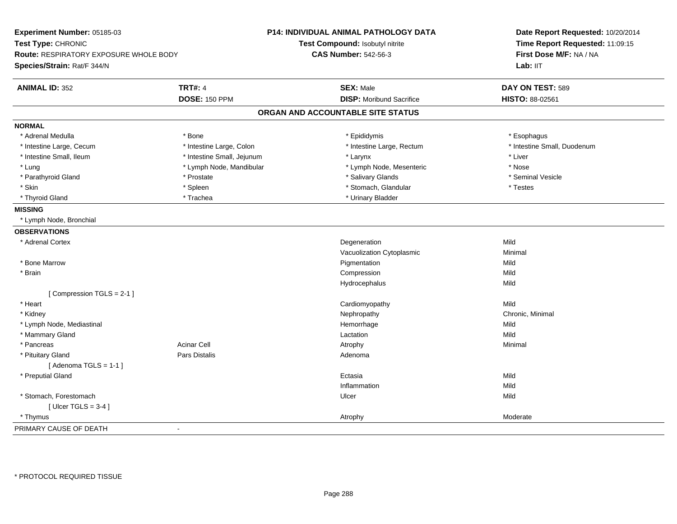| Experiment Number: 05185-03<br>Test Type: CHRONIC<br>Route: RESPIRATORY EXPOSURE WHOLE BODY<br>Species/Strain: Rat/F 344/N |                            | <b>P14: INDIVIDUAL ANIMAL PATHOLOGY DATA</b><br>Test Compound: Isobutyl nitrite<br><b>CAS Number: 542-56-3</b> | Date Report Requested: 10/20/2014<br>Time Report Requested: 11:09:15<br>First Dose M/F: NA / NA<br>Lab: IIT |
|----------------------------------------------------------------------------------------------------------------------------|----------------------------|----------------------------------------------------------------------------------------------------------------|-------------------------------------------------------------------------------------------------------------|
| <b>ANIMAL ID: 352</b>                                                                                                      | <b>TRT#: 4</b>             | <b>SEX: Male</b>                                                                                               | DAY ON TEST: 589                                                                                            |
|                                                                                                                            | <b>DOSE: 150 PPM</b>       | <b>DISP:</b> Moribund Sacrifice                                                                                | HISTO: 88-02561                                                                                             |
|                                                                                                                            |                            | ORGAN AND ACCOUNTABLE SITE STATUS                                                                              |                                                                                                             |
| <b>NORMAL</b>                                                                                                              |                            |                                                                                                                |                                                                                                             |
| * Adrenal Medulla                                                                                                          | * Bone                     | * Epididymis                                                                                                   | * Esophagus                                                                                                 |
| * Intestine Large, Cecum                                                                                                   | * Intestine Large, Colon   | * Intestine Large, Rectum                                                                                      | * Intestine Small, Duodenum                                                                                 |
| * Intestine Small, Ileum                                                                                                   | * Intestine Small, Jejunum | * Larynx                                                                                                       | * Liver                                                                                                     |
| * Lung                                                                                                                     | * Lymph Node, Mandibular   | * Lymph Node, Mesenteric                                                                                       | * Nose                                                                                                      |
| * Parathyroid Gland                                                                                                        | * Prostate                 | * Salivary Glands                                                                                              | * Seminal Vesicle                                                                                           |
| * Skin                                                                                                                     | * Spleen                   | * Stomach, Glandular                                                                                           | * Testes                                                                                                    |
| * Thyroid Gland                                                                                                            | * Trachea                  | * Urinary Bladder                                                                                              |                                                                                                             |
| <b>MISSING</b>                                                                                                             |                            |                                                                                                                |                                                                                                             |
| * Lymph Node, Bronchial                                                                                                    |                            |                                                                                                                |                                                                                                             |
| <b>OBSERVATIONS</b>                                                                                                        |                            |                                                                                                                |                                                                                                             |
| * Adrenal Cortex                                                                                                           |                            | Degeneration                                                                                                   | Mild                                                                                                        |
|                                                                                                                            |                            | Vacuolization Cytoplasmic                                                                                      | Minimal                                                                                                     |
| * Bone Marrow                                                                                                              |                            | Pigmentation                                                                                                   | Mild                                                                                                        |
| * Brain                                                                                                                    |                            | Compression                                                                                                    | Mild                                                                                                        |
|                                                                                                                            |                            | Hydrocephalus                                                                                                  | Mild                                                                                                        |
| [Compression TGLS = 2-1]                                                                                                   |                            |                                                                                                                |                                                                                                             |
| * Heart                                                                                                                    |                            | Cardiomyopathy                                                                                                 | Mild                                                                                                        |
| * Kidney                                                                                                                   |                            | Nephropathy                                                                                                    | Chronic, Minimal                                                                                            |
| * Lymph Node, Mediastinal                                                                                                  |                            | Hemorrhage                                                                                                     | Mild                                                                                                        |
| * Mammary Gland                                                                                                            |                            | Lactation                                                                                                      | Mild                                                                                                        |
| * Pancreas                                                                                                                 | <b>Acinar Cell</b>         | Atrophy                                                                                                        | Minimal                                                                                                     |
| * Pituitary Gland                                                                                                          | Pars Distalis              | Adenoma                                                                                                        |                                                                                                             |
| [Adenoma TGLS = $1-1$ ]                                                                                                    |                            |                                                                                                                |                                                                                                             |
| * Preputial Gland                                                                                                          |                            | Ectasia                                                                                                        | Mild                                                                                                        |
|                                                                                                                            |                            | Inflammation                                                                                                   | Mild                                                                                                        |
| * Stomach, Forestomach                                                                                                     |                            | Ulcer                                                                                                          | Mild                                                                                                        |
| [Ulcer TGLS = $3-4$ ]                                                                                                      |                            |                                                                                                                |                                                                                                             |
| * Thymus                                                                                                                   |                            | Atrophy                                                                                                        | Moderate                                                                                                    |
| PRIMARY CAUSE OF DEATH                                                                                                     | $\blacksquare$             |                                                                                                                |                                                                                                             |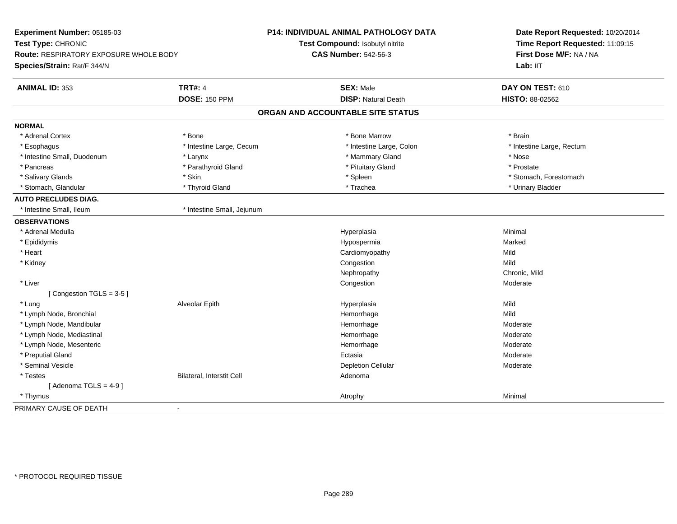| Experiment Number: 05185-03            |                            | <b>P14: INDIVIDUAL ANIMAL PATHOLOGY DATA</b> | Date Report Requested: 10/20/2014                          |  |
|----------------------------------------|----------------------------|----------------------------------------------|------------------------------------------------------------|--|
| Test Type: CHRONIC                     |                            | Test Compound: Isobutyl nitrite              | Time Report Requested: 11:09:15<br>First Dose M/F: NA / NA |  |
| Route: RESPIRATORY EXPOSURE WHOLE BODY |                            | <b>CAS Number: 542-56-3</b>                  |                                                            |  |
| Species/Strain: Rat/F 344/N            |                            |                                              | Lab: IIT                                                   |  |
| <b>ANIMAL ID: 353</b>                  | <b>TRT#: 4</b>             | <b>SEX: Male</b>                             | DAY ON TEST: 610                                           |  |
|                                        | <b>DOSE: 150 PPM</b>       | <b>DISP: Natural Death</b>                   | <b>HISTO: 88-02562</b>                                     |  |
|                                        |                            | ORGAN AND ACCOUNTABLE SITE STATUS            |                                                            |  |
| <b>NORMAL</b>                          |                            |                                              |                                                            |  |
| * Adrenal Cortex                       | * Bone                     | * Bone Marrow                                | * Brain                                                    |  |
| * Esophagus                            | * Intestine Large, Cecum   | * Intestine Large, Colon                     | * Intestine Large, Rectum                                  |  |
| * Intestine Small, Duodenum            | * Larynx                   | * Mammary Gland                              | * Nose                                                     |  |
| * Pancreas                             | * Parathyroid Gland        | * Pituitary Gland                            | * Prostate                                                 |  |
| * Salivary Glands                      | * Skin                     | * Spleen                                     | * Stomach, Forestomach                                     |  |
| * Stomach, Glandular                   | * Thyroid Gland            | * Trachea                                    | * Urinary Bladder                                          |  |
| <b>AUTO PRECLUDES DIAG.</b>            |                            |                                              |                                                            |  |
| * Intestine Small, Ileum               | * Intestine Small, Jejunum |                                              |                                                            |  |
| <b>OBSERVATIONS</b>                    |                            |                                              |                                                            |  |
| * Adrenal Medulla                      |                            | Hyperplasia                                  | Minimal                                                    |  |
| * Epididymis                           |                            | Hypospermia                                  | Marked                                                     |  |
| * Heart                                |                            | Cardiomyopathy                               | Mild                                                       |  |
| * Kidney                               |                            | Congestion                                   | Mild                                                       |  |
|                                        |                            | Nephropathy                                  | Chronic, Mild                                              |  |
| * Liver                                |                            | Congestion                                   | Moderate                                                   |  |
| [Congestion TGLS = 3-5]                |                            |                                              |                                                            |  |
| * Lung                                 | Alveolar Epith             | Hyperplasia                                  | Mild                                                       |  |
| * Lymph Node, Bronchial                |                            | Hemorrhage                                   | Mild                                                       |  |
| * Lymph Node, Mandibular               |                            | Hemorrhage                                   | Moderate                                                   |  |
| * Lymph Node, Mediastinal              |                            | Hemorrhage                                   | Moderate                                                   |  |
| * Lymph Node, Mesenteric               |                            | Hemorrhage                                   | Moderate                                                   |  |
| * Preputial Gland                      |                            | Ectasia                                      | Moderate                                                   |  |
| * Seminal Vesicle                      |                            | <b>Depletion Cellular</b>                    | Moderate                                                   |  |
| * Testes                               | Bilateral, Interstit Cell  | Adenoma                                      |                                                            |  |
| [Adenoma TGLS = $4-9$ ]                |                            |                                              |                                                            |  |
| * Thymus                               |                            | Atrophy                                      | Minimal                                                    |  |
| PRIMARY CAUSE OF DEATH                 | $\blacksquare$             |                                              |                                                            |  |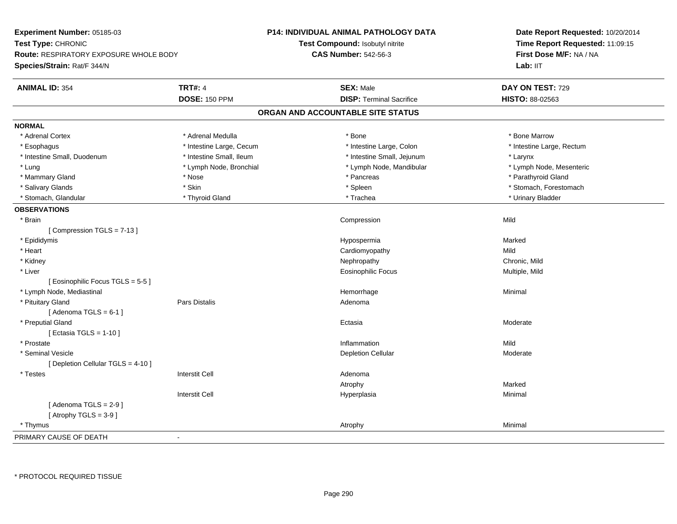| Experiment Number: 05185-03                                         |                          | <b>P14: INDIVIDUAL ANIMAL PATHOLOGY DATA</b> | Date Report Requested: 10/20/2014 |  |
|---------------------------------------------------------------------|--------------------------|----------------------------------------------|-----------------------------------|--|
| Test Type: CHRONIC<br><b>Route: RESPIRATORY EXPOSURE WHOLE BODY</b> |                          | Test Compound: Isobutyl nitrite              | Time Report Requested: 11:09:15   |  |
|                                                                     |                          | <b>CAS Number: 542-56-3</b>                  | First Dose M/F: NA / NA           |  |
| Species/Strain: Rat/F 344/N                                         |                          |                                              | Lab: IIT                          |  |
| <b>ANIMAL ID: 354</b>                                               | <b>TRT#: 4</b>           | <b>SEX: Male</b>                             | DAY ON TEST: 729                  |  |
|                                                                     | <b>DOSE: 150 PPM</b>     | <b>DISP: Terminal Sacrifice</b>              | HISTO: 88-02563                   |  |
|                                                                     |                          | ORGAN AND ACCOUNTABLE SITE STATUS            |                                   |  |
| <b>NORMAL</b>                                                       |                          |                                              |                                   |  |
| * Adrenal Cortex                                                    | * Adrenal Medulla        | * Bone                                       | * Bone Marrow                     |  |
| * Esophagus                                                         | * Intestine Large, Cecum | * Intestine Large, Colon                     | * Intestine Large, Rectum         |  |
| * Intestine Small, Duodenum                                         | * Intestine Small, Ileum | * Intestine Small, Jejunum                   | * Larynx                          |  |
| * Lung                                                              | * Lymph Node, Bronchial  | * Lymph Node, Mandibular                     | * Lymph Node, Mesenteric          |  |
| * Mammary Gland                                                     | * Nose                   | * Pancreas                                   | * Parathyroid Gland               |  |
| * Salivary Glands                                                   | * Skin                   | * Spleen                                     | * Stomach, Forestomach            |  |
| * Stomach, Glandular                                                | * Thyroid Gland          | * Trachea                                    | * Urinary Bladder                 |  |
| <b>OBSERVATIONS</b>                                                 |                          |                                              |                                   |  |
| * Brain                                                             |                          | Compression                                  | Mild                              |  |
| [Compression TGLS = 7-13]                                           |                          |                                              |                                   |  |
| * Epididymis                                                        |                          | Hypospermia                                  | Marked                            |  |
| * Heart                                                             |                          | Cardiomyopathy                               | Mild                              |  |
| * Kidney                                                            |                          | Nephropathy                                  | Chronic, Mild                     |  |
| * Liver                                                             |                          | <b>Eosinophilic Focus</b>                    | Multiple, Mild                    |  |
| [ Eosinophilic Focus TGLS = 5-5 ]                                   |                          |                                              |                                   |  |
| * Lymph Node, Mediastinal                                           |                          | Hemorrhage                                   | Minimal                           |  |
| * Pituitary Gland                                                   | Pars Distalis            | Adenoma                                      |                                   |  |
| [Adenoma TGLS = $6-1$ ]                                             |                          |                                              |                                   |  |
| * Preputial Gland                                                   |                          | Ectasia                                      | Moderate                          |  |
| [ Ectasia TGLS = 1-10 ]                                             |                          |                                              |                                   |  |
| * Prostate                                                          |                          | Inflammation                                 | Mild                              |  |
| * Seminal Vesicle                                                   |                          | <b>Depletion Cellular</b>                    | Moderate                          |  |
| [ Depletion Cellular TGLS = 4-10 ]                                  |                          |                                              |                                   |  |
| * Testes                                                            | <b>Interstit Cell</b>    | Adenoma                                      |                                   |  |
|                                                                     |                          | Atrophy                                      | Marked                            |  |
|                                                                     | <b>Interstit Cell</b>    | Hyperplasia                                  | Minimal                           |  |
| [Adenoma TGLS = $2-9$ ]                                             |                          |                                              |                                   |  |
| [Atrophy TGLS = $3-9$ ]                                             |                          |                                              |                                   |  |
| * Thymus                                                            |                          | Atrophy                                      | Minimal                           |  |
| PRIMARY CAUSE OF DEATH                                              | ÷,                       |                                              |                                   |  |
|                                                                     |                          |                                              |                                   |  |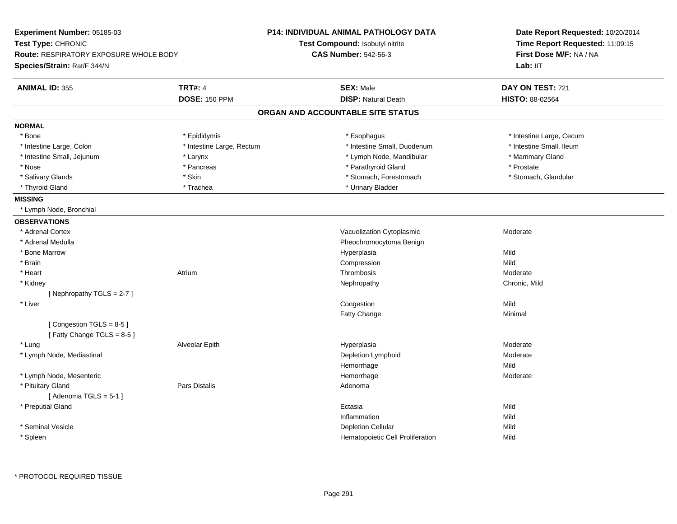| Experiment Number: 05185-03                          |                           | <b>P14: INDIVIDUAL ANIMAL PATHOLOGY DATA</b>                  | Date Report Requested: 10/20/2014<br>Time Report Requested: 11:09:15<br>First Dose M/F: NA / NA |  |
|------------------------------------------------------|---------------------------|---------------------------------------------------------------|-------------------------------------------------------------------------------------------------|--|
| Test Type: CHRONIC                                   |                           | Test Compound: Isobutyl nitrite                               |                                                                                                 |  |
| <b>Route: RESPIRATORY EXPOSURE WHOLE BODY</b>        |                           | <b>CAS Number: 542-56-3</b>                                   |                                                                                                 |  |
| Species/Strain: Rat/F 344/N                          |                           |                                                               | Lab: II <sub>T</sub>                                                                            |  |
| <b>ANIMAL ID: 355</b>                                | <b>TRT#: 4</b>            | <b>SEX: Male</b>                                              | DAY ON TEST: 721                                                                                |  |
|                                                      | <b>DOSE: 150 PPM</b>      | <b>DISP: Natural Death</b>                                    | HISTO: 88-02564                                                                                 |  |
|                                                      |                           | ORGAN AND ACCOUNTABLE SITE STATUS                             |                                                                                                 |  |
| <b>NORMAL</b>                                        |                           |                                                               |                                                                                                 |  |
| * Bone                                               | * Epididymis              | * Esophagus                                                   | * Intestine Large, Cecum                                                                        |  |
| * Intestine Large, Colon                             | * Intestine Large, Rectum | * Intestine Small, Duodenum                                   | * Intestine Small, Ileum                                                                        |  |
| * Intestine Small, Jejunum                           | * Larynx                  | * Lymph Node, Mandibular                                      | * Mammary Gland                                                                                 |  |
| * Nose                                               | * Pancreas                | * Parathyroid Gland                                           | * Prostate                                                                                      |  |
| * Salivary Glands                                    | * Skin                    | * Stomach, Forestomach                                        | * Stomach, Glandular                                                                            |  |
| * Thyroid Gland                                      | * Trachea                 | * Urinary Bladder                                             |                                                                                                 |  |
| <b>MISSING</b>                                       |                           |                                                               |                                                                                                 |  |
| * Lymph Node, Bronchial                              |                           |                                                               |                                                                                                 |  |
| <b>OBSERVATIONS</b>                                  |                           |                                                               |                                                                                                 |  |
| * Adrenal Cortex                                     |                           | Vacuolization Cytoplasmic                                     | Moderate                                                                                        |  |
| * Adrenal Medulla                                    |                           | Pheochromocytoma Benign                                       |                                                                                                 |  |
| * Bone Marrow                                        |                           | Hyperplasia                                                   | Mild                                                                                            |  |
| * Brain                                              |                           | Compression                                                   | Mild                                                                                            |  |
| * Heart                                              | Atrium                    | Thrombosis                                                    | Moderate                                                                                        |  |
| * Kidney                                             |                           | Nephropathy                                                   | Chronic, Mild                                                                                   |  |
| [Nephropathy TGLS = $2-7$ ]                          |                           |                                                               |                                                                                                 |  |
| * Liver                                              |                           | Congestion                                                    | Mild                                                                                            |  |
|                                                      |                           | Fatty Change                                                  | Minimal                                                                                         |  |
| [Congestion TGLS = 8-5]<br>[Fatty Change TGLS = 8-5] |                           |                                                               |                                                                                                 |  |
| * Lung                                               | Alveolar Epith            | Hyperplasia                                                   | Moderate                                                                                        |  |
| * Lymph Node, Mediastinal                            |                           | Depletion Lymphoid                                            | Moderate                                                                                        |  |
|                                                      |                           | Hemorrhage                                                    | Mild                                                                                            |  |
| * Lymph Node, Mesenteric                             |                           | Hemorrhage                                                    | Moderate                                                                                        |  |
| * Pituitary Gland<br>[Adenoma TGLS = $5-1$ ]         | <b>Pars Distalis</b>      | Adenoma                                                       |                                                                                                 |  |
| * Preputial Gland                                    |                           | Ectasia                                                       | Mild                                                                                            |  |
|                                                      |                           | Inflammation                                                  | Mild                                                                                            |  |
| * Seminal Vesicle                                    |                           |                                                               | Mild                                                                                            |  |
|                                                      |                           |                                                               | Mild                                                                                            |  |
| * Spleen                                             |                           | <b>Depletion Cellular</b><br>Hematopoietic Cell Proliferation |                                                                                                 |  |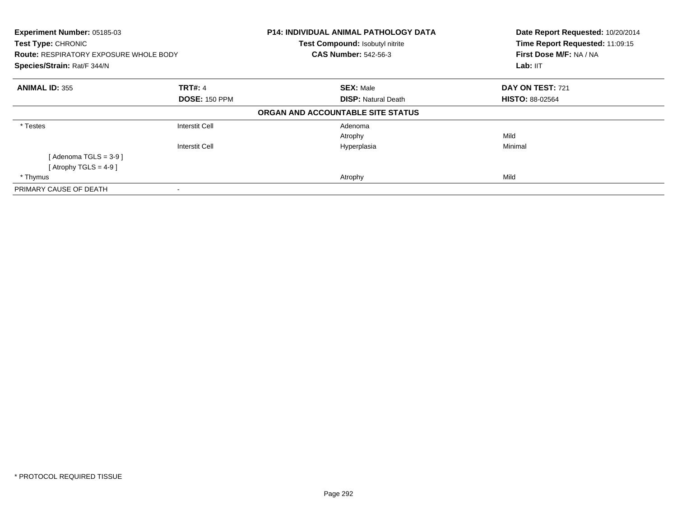| Experiment Number: 05185-03<br>Test Type: CHRONIC<br><b>Route: RESPIRATORY EXPOSURE WHOLE BODY</b><br>Species/Strain: Rat/F 344/N |                                                | <b>P14: INDIVIDUAL ANIMAL PATHOLOGY DATA</b><br>Test Compound: Isobutyl nitrite<br><b>CAS Number: 542-56-3</b> | Date Report Requested: 10/20/2014<br>Time Report Requested: 11:09:15<br>First Dose M/F: NA / NA<br>Lab: IIT |
|-----------------------------------------------------------------------------------------------------------------------------------|------------------------------------------------|----------------------------------------------------------------------------------------------------------------|-------------------------------------------------------------------------------------------------------------|
| <b>ANIMAL ID: 355</b>                                                                                                             | <b>TRT#: 4</b><br><b>DOSE: 150 PPM</b>         | <b>SEX: Male</b><br><b>DISP:</b> Natural Death                                                                 | DAY ON TEST: 721<br><b>HISTO: 88-02564</b>                                                                  |
|                                                                                                                                   |                                                | ORGAN AND ACCOUNTABLE SITE STATUS                                                                              |                                                                                                             |
| * Testes                                                                                                                          | <b>Interstit Cell</b><br><b>Interstit Cell</b> | Adenoma<br>Atrophy<br>Hyperplasia                                                                              | Mild<br>Minimal                                                                                             |
| [Adenoma TGLS = $3-9$ ]<br>[Atrophy TGLS = 4-9]<br>* Thymus                                                                       |                                                | Atrophy                                                                                                        | Mild                                                                                                        |
| PRIMARY CAUSE OF DEATH                                                                                                            | $\overline{\phantom{a}}$                       |                                                                                                                |                                                                                                             |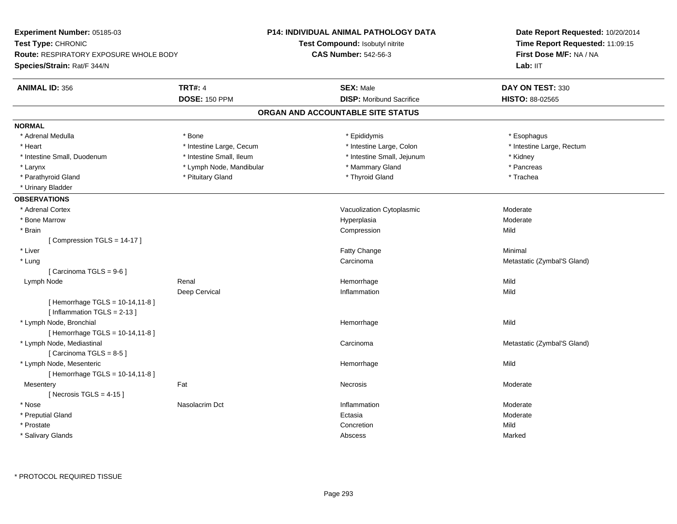| Experiment Number: 05185-03                                     |                          | <b>P14: INDIVIDUAL ANIMAL PATHOLOGY DATA</b> | Date Report Requested: 10/20/2014<br>Time Report Requested: 11:09:15<br>First Dose M/F: NA / NA |  |
|-----------------------------------------------------------------|--------------------------|----------------------------------------------|-------------------------------------------------------------------------------------------------|--|
| Test Type: CHRONIC                                              |                          | Test Compound: Isobutyl nitrite              |                                                                                                 |  |
| <b>Route: RESPIRATORY EXPOSURE WHOLE BODY</b>                   |                          | <b>CAS Number: 542-56-3</b>                  |                                                                                                 |  |
| Species/Strain: Rat/F 344/N                                     |                          |                                              | Lab: IIT                                                                                        |  |
| <b>ANIMAL ID: 356</b>                                           | <b>TRT#: 4</b>           | <b>SEX: Male</b>                             | DAY ON TEST: 330                                                                                |  |
|                                                                 | <b>DOSE: 150 PPM</b>     | <b>DISP: Moribund Sacrifice</b>              | HISTO: 88-02565                                                                                 |  |
|                                                                 |                          | ORGAN AND ACCOUNTABLE SITE STATUS            |                                                                                                 |  |
| <b>NORMAL</b>                                                   |                          |                                              |                                                                                                 |  |
| * Adrenal Medulla                                               | * Bone                   | * Epididymis                                 | * Esophagus                                                                                     |  |
| * Heart                                                         | * Intestine Large, Cecum | * Intestine Large, Colon                     | * Intestine Large, Rectum                                                                       |  |
| * Intestine Small, Duodenum                                     | * Intestine Small, Ileum | * Intestine Small, Jejunum                   | * Kidney                                                                                        |  |
| * Larynx                                                        | * Lymph Node, Mandibular | * Mammary Gland                              | * Pancreas                                                                                      |  |
| * Parathyroid Gland                                             | * Pituitary Gland        | * Thyroid Gland                              | * Trachea                                                                                       |  |
| * Urinary Bladder                                               |                          |                                              |                                                                                                 |  |
| <b>OBSERVATIONS</b>                                             |                          |                                              |                                                                                                 |  |
| * Adrenal Cortex                                                |                          | Vacuolization Cytoplasmic                    | Moderate                                                                                        |  |
| * Bone Marrow                                                   |                          | Hyperplasia                                  | Moderate                                                                                        |  |
| * Brain                                                         |                          | Compression                                  | Mild                                                                                            |  |
| [Compression TGLS = 14-17]                                      |                          |                                              |                                                                                                 |  |
| * Liver                                                         |                          | Fatty Change                                 | Minimal                                                                                         |  |
| * Lung                                                          |                          | Carcinoma                                    | Metastatic (Zymbal'S Gland)                                                                     |  |
| [Carcinoma TGLS = 9-6]                                          |                          |                                              |                                                                                                 |  |
| Lymph Node                                                      | Renal                    | Hemorrhage                                   | Mild                                                                                            |  |
|                                                                 | Deep Cervical            | Inflammation                                 | Mild                                                                                            |  |
| [Hemorrhage TGLS = 10-14,11-8]<br>[Inflammation $TGLS = 2-13$ ] |                          |                                              |                                                                                                 |  |
| * Lymph Node, Bronchial<br>[Hemorrhage TGLS = 10-14,11-8]       |                          | Hemorrhage                                   | Mild                                                                                            |  |
| * Lymph Node, Mediastinal<br>[Carcinoma TGLS = 8-5]             |                          | Carcinoma                                    | Metastatic (Zymbal'S Gland)                                                                     |  |
| * Lymph Node, Mesenteric<br>[Hemorrhage TGLS = 10-14,11-8]      |                          | Hemorrhage                                   | Mild                                                                                            |  |
| Mesentery                                                       | Fat                      | Necrosis                                     | Moderate                                                                                        |  |
| [Necrosis TGLS = $4-15$ ]                                       |                          |                                              |                                                                                                 |  |
| * Nose                                                          | Nasolacrim Dct           | Inflammation                                 | Moderate                                                                                        |  |
| * Preputial Gland                                               |                          | Ectasia                                      | Moderate                                                                                        |  |
| * Prostate                                                      |                          | Concretion                                   | Mild                                                                                            |  |
|                                                                 |                          |                                              |                                                                                                 |  |
| * Salivary Glands                                               |                          | Abscess                                      | Marked                                                                                          |  |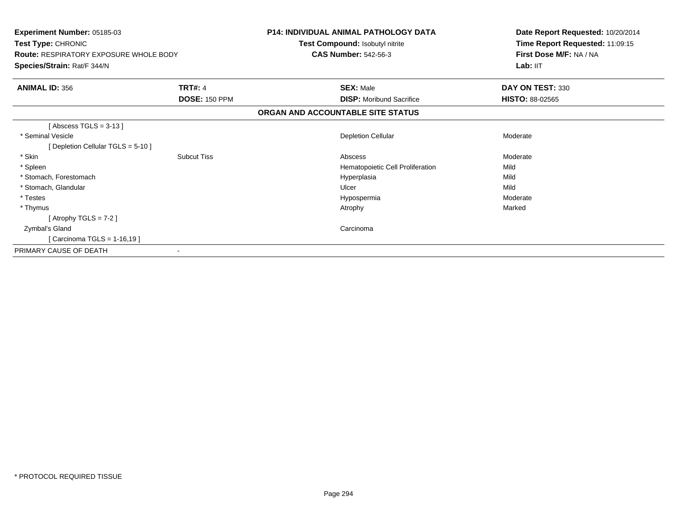| Experiment Number: 05185-03<br>Test Type: CHRONIC<br><b>Route: RESPIRATORY EXPOSURE WHOLE BODY</b><br>Species/Strain: Rat/F 344/N |                      | <b>P14: INDIVIDUAL ANIMAL PATHOLOGY DATA</b><br>Test Compound: Isobutyl nitrite<br><b>CAS Number: 542-56-3</b> | Date Report Requested: 10/20/2014<br>Time Report Requested: 11:09:15<br>First Dose M/F: NA / NA<br>Lab: IIT |
|-----------------------------------------------------------------------------------------------------------------------------------|----------------------|----------------------------------------------------------------------------------------------------------------|-------------------------------------------------------------------------------------------------------------|
| <b>ANIMAL ID: 356</b>                                                                                                             | <b>TRT#: 4</b>       | <b>SEX: Male</b>                                                                                               | DAY ON TEST: 330                                                                                            |
|                                                                                                                                   | <b>DOSE: 150 PPM</b> | <b>DISP:</b> Moribund Sacrifice                                                                                | <b>HISTO: 88-02565</b>                                                                                      |
|                                                                                                                                   |                      | ORGAN AND ACCOUNTABLE SITE STATUS                                                                              |                                                                                                             |
| [Abscess TGLS = $3-13$ ]                                                                                                          |                      |                                                                                                                |                                                                                                             |
| * Seminal Vesicle                                                                                                                 |                      | <b>Depletion Cellular</b>                                                                                      | Moderate                                                                                                    |
| [Depletion Cellular TGLS = 5-10]                                                                                                  |                      |                                                                                                                |                                                                                                             |
| * Skin                                                                                                                            | <b>Subcut Tiss</b>   | Abscess                                                                                                        | Moderate                                                                                                    |
| * Spleen                                                                                                                          |                      | Hematopoietic Cell Proliferation                                                                               | Mild                                                                                                        |
| * Stomach, Forestomach                                                                                                            |                      | Hyperplasia                                                                                                    | Mild                                                                                                        |
| * Stomach, Glandular                                                                                                              |                      | Ulcer                                                                                                          | Mild                                                                                                        |
| * Testes                                                                                                                          |                      | Hypospermia                                                                                                    | Moderate                                                                                                    |
| * Thymus                                                                                                                          |                      | Atrophy                                                                                                        | Marked                                                                                                      |
| [Atrophy TGLS = $7-2$ ]                                                                                                           |                      |                                                                                                                |                                                                                                             |
| Zymbal's Gland                                                                                                                    |                      | Carcinoma                                                                                                      |                                                                                                             |
| [Carcinoma TGLS = $1-16,19$ ]                                                                                                     |                      |                                                                                                                |                                                                                                             |
| PRIMARY CAUSE OF DEATH                                                                                                            |                      |                                                                                                                |                                                                                                             |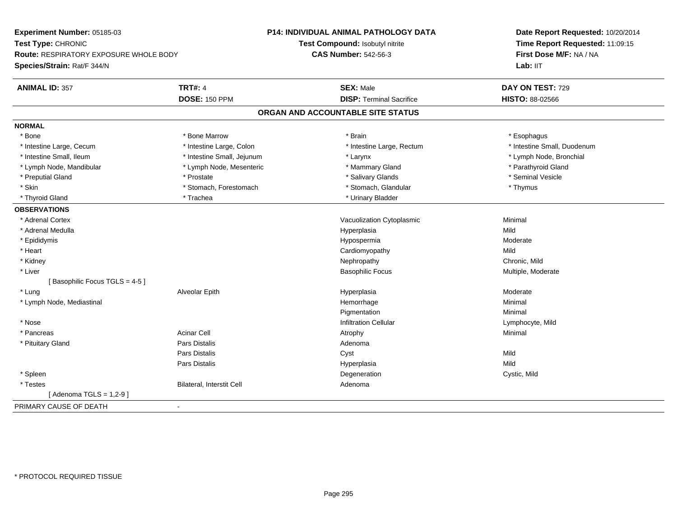| Time Report Requested: 11:09:15<br>Test Compound: Isobutyl nitrite<br><b>CAS Number: 542-56-3</b><br>First Dose M/F: NA / NA<br>Route: RESPIRATORY EXPOSURE WHOLE BODY<br>Lab: IIT<br><b>TRT#: 4</b><br><b>SEX: Male</b><br>DAY ON TEST: 729<br><b>DOSE: 150 PPM</b><br><b>DISP: Terminal Sacrifice</b><br><b>HISTO: 88-02566</b><br>ORGAN AND ACCOUNTABLE SITE STATUS<br>* Brain<br>* Bone<br>* Bone Marrow<br>* Esophagus<br>* Intestine Large, Cecum<br>* Intestine Large, Colon<br>* Intestine Large, Rectum<br>* Intestine Small, Duodenum<br>* Intestine Small, Ileum<br>* Intestine Small, Jejunum<br>* Lymph Node, Bronchial<br>* Larynx<br>* Parathyroid Gland<br>* Lymph Node, Mandibular<br>* Lymph Node, Mesenteric<br>* Mammary Gland<br>* Salivary Glands<br>* Seminal Vesicle<br>* Preputial Gland<br>* Prostate<br>* Skin<br>* Stomach, Forestomach<br>* Stomach, Glandular<br>* Thymus<br>* Urinary Bladder<br>* Thyroid Gland<br>* Trachea<br>* Adrenal Cortex<br>Vacuolization Cytoplasmic<br>Minimal<br>* Adrenal Medulla<br>Hyperplasia<br>Mild<br>* Epididymis<br>Hypospermia<br>Moderate<br>* Heart<br>Mild<br>Cardiomyopathy<br>* Kidney<br>Nephropathy<br>Chronic, Mild<br>* Liver<br><b>Basophilic Focus</b><br>Multiple, Moderate<br>[Basophilic Focus TGLS = 4-5]<br>* Lung<br>Alveolar Epith<br>Hyperplasia<br>Moderate<br>Minimal<br>* Lymph Node, Mediastinal<br>Hemorrhage<br>Minimal<br>Pigmentation<br><b>Infiltration Cellular</b><br>* Nose<br>Lymphocyte, Mild<br><b>Acinar Cell</b><br>* Pancreas<br>Minimal<br>Atrophy<br><b>Pars Distalis</b><br>* Pituitary Gland<br>Adenoma<br><b>Pars Distalis</b><br>Mild<br>Cyst<br>Mild<br><b>Pars Distalis</b><br>Hyperplasia<br>* Spleen<br>Degeneration<br>Cystic, Mild<br>* Testes<br>Bilateral, Interstit Cell<br>Adenoma<br>[Adenoma TGLS = $1,2-9$ ] | Experiment Number: 05185-03 | <b>P14: INDIVIDUAL ANIMAL PATHOLOGY DATA</b> | Date Report Requested: 10/20/2014 |
|-------------------------------------------------------------------------------------------------------------------------------------------------------------------------------------------------------------------------------------------------------------------------------------------------------------------------------------------------------------------------------------------------------------------------------------------------------------------------------------------------------------------------------------------------------------------------------------------------------------------------------------------------------------------------------------------------------------------------------------------------------------------------------------------------------------------------------------------------------------------------------------------------------------------------------------------------------------------------------------------------------------------------------------------------------------------------------------------------------------------------------------------------------------------------------------------------------------------------------------------------------------------------------------------------------------------------------------------------------------------------------------------------------------------------------------------------------------------------------------------------------------------------------------------------------------------------------------------------------------------------------------------------------------------------------------------------------------------------------------------------------------------------------------------------------------------------------------------|-----------------------------|----------------------------------------------|-----------------------------------|
|                                                                                                                                                                                                                                                                                                                                                                                                                                                                                                                                                                                                                                                                                                                                                                                                                                                                                                                                                                                                                                                                                                                                                                                                                                                                                                                                                                                                                                                                                                                                                                                                                                                                                                                                                                                                                                           | Test Type: CHRONIC          |                                              |                                   |
|                                                                                                                                                                                                                                                                                                                                                                                                                                                                                                                                                                                                                                                                                                                                                                                                                                                                                                                                                                                                                                                                                                                                                                                                                                                                                                                                                                                                                                                                                                                                                                                                                                                                                                                                                                                                                                           |                             |                                              |                                   |
|                                                                                                                                                                                                                                                                                                                                                                                                                                                                                                                                                                                                                                                                                                                                                                                                                                                                                                                                                                                                                                                                                                                                                                                                                                                                                                                                                                                                                                                                                                                                                                                                                                                                                                                                                                                                                                           | Species/Strain: Rat/F 344/N |                                              |                                   |
|                                                                                                                                                                                                                                                                                                                                                                                                                                                                                                                                                                                                                                                                                                                                                                                                                                                                                                                                                                                                                                                                                                                                                                                                                                                                                                                                                                                                                                                                                                                                                                                                                                                                                                                                                                                                                                           | <b>ANIMAL ID: 357</b>       |                                              |                                   |
|                                                                                                                                                                                                                                                                                                                                                                                                                                                                                                                                                                                                                                                                                                                                                                                                                                                                                                                                                                                                                                                                                                                                                                                                                                                                                                                                                                                                                                                                                                                                                                                                                                                                                                                                                                                                                                           |                             |                                              |                                   |
|                                                                                                                                                                                                                                                                                                                                                                                                                                                                                                                                                                                                                                                                                                                                                                                                                                                                                                                                                                                                                                                                                                                                                                                                                                                                                                                                                                                                                                                                                                                                                                                                                                                                                                                                                                                                                                           |                             |                                              |                                   |
|                                                                                                                                                                                                                                                                                                                                                                                                                                                                                                                                                                                                                                                                                                                                                                                                                                                                                                                                                                                                                                                                                                                                                                                                                                                                                                                                                                                                                                                                                                                                                                                                                                                                                                                                                                                                                                           | <b>NORMAL</b>               |                                              |                                   |
|                                                                                                                                                                                                                                                                                                                                                                                                                                                                                                                                                                                                                                                                                                                                                                                                                                                                                                                                                                                                                                                                                                                                                                                                                                                                                                                                                                                                                                                                                                                                                                                                                                                                                                                                                                                                                                           |                             |                                              |                                   |
|                                                                                                                                                                                                                                                                                                                                                                                                                                                                                                                                                                                                                                                                                                                                                                                                                                                                                                                                                                                                                                                                                                                                                                                                                                                                                                                                                                                                                                                                                                                                                                                                                                                                                                                                                                                                                                           |                             |                                              |                                   |
|                                                                                                                                                                                                                                                                                                                                                                                                                                                                                                                                                                                                                                                                                                                                                                                                                                                                                                                                                                                                                                                                                                                                                                                                                                                                                                                                                                                                                                                                                                                                                                                                                                                                                                                                                                                                                                           |                             |                                              |                                   |
|                                                                                                                                                                                                                                                                                                                                                                                                                                                                                                                                                                                                                                                                                                                                                                                                                                                                                                                                                                                                                                                                                                                                                                                                                                                                                                                                                                                                                                                                                                                                                                                                                                                                                                                                                                                                                                           |                             |                                              |                                   |
|                                                                                                                                                                                                                                                                                                                                                                                                                                                                                                                                                                                                                                                                                                                                                                                                                                                                                                                                                                                                                                                                                                                                                                                                                                                                                                                                                                                                                                                                                                                                                                                                                                                                                                                                                                                                                                           |                             |                                              |                                   |
|                                                                                                                                                                                                                                                                                                                                                                                                                                                                                                                                                                                                                                                                                                                                                                                                                                                                                                                                                                                                                                                                                                                                                                                                                                                                                                                                                                                                                                                                                                                                                                                                                                                                                                                                                                                                                                           |                             |                                              |                                   |
|                                                                                                                                                                                                                                                                                                                                                                                                                                                                                                                                                                                                                                                                                                                                                                                                                                                                                                                                                                                                                                                                                                                                                                                                                                                                                                                                                                                                                                                                                                                                                                                                                                                                                                                                                                                                                                           |                             |                                              |                                   |
|                                                                                                                                                                                                                                                                                                                                                                                                                                                                                                                                                                                                                                                                                                                                                                                                                                                                                                                                                                                                                                                                                                                                                                                                                                                                                                                                                                                                                                                                                                                                                                                                                                                                                                                                                                                                                                           | <b>OBSERVATIONS</b>         |                                              |                                   |
|                                                                                                                                                                                                                                                                                                                                                                                                                                                                                                                                                                                                                                                                                                                                                                                                                                                                                                                                                                                                                                                                                                                                                                                                                                                                                                                                                                                                                                                                                                                                                                                                                                                                                                                                                                                                                                           |                             |                                              |                                   |
|                                                                                                                                                                                                                                                                                                                                                                                                                                                                                                                                                                                                                                                                                                                                                                                                                                                                                                                                                                                                                                                                                                                                                                                                                                                                                                                                                                                                                                                                                                                                                                                                                                                                                                                                                                                                                                           |                             |                                              |                                   |
|                                                                                                                                                                                                                                                                                                                                                                                                                                                                                                                                                                                                                                                                                                                                                                                                                                                                                                                                                                                                                                                                                                                                                                                                                                                                                                                                                                                                                                                                                                                                                                                                                                                                                                                                                                                                                                           |                             |                                              |                                   |
|                                                                                                                                                                                                                                                                                                                                                                                                                                                                                                                                                                                                                                                                                                                                                                                                                                                                                                                                                                                                                                                                                                                                                                                                                                                                                                                                                                                                                                                                                                                                                                                                                                                                                                                                                                                                                                           |                             |                                              |                                   |
|                                                                                                                                                                                                                                                                                                                                                                                                                                                                                                                                                                                                                                                                                                                                                                                                                                                                                                                                                                                                                                                                                                                                                                                                                                                                                                                                                                                                                                                                                                                                                                                                                                                                                                                                                                                                                                           |                             |                                              |                                   |
|                                                                                                                                                                                                                                                                                                                                                                                                                                                                                                                                                                                                                                                                                                                                                                                                                                                                                                                                                                                                                                                                                                                                                                                                                                                                                                                                                                                                                                                                                                                                                                                                                                                                                                                                                                                                                                           |                             |                                              |                                   |
|                                                                                                                                                                                                                                                                                                                                                                                                                                                                                                                                                                                                                                                                                                                                                                                                                                                                                                                                                                                                                                                                                                                                                                                                                                                                                                                                                                                                                                                                                                                                                                                                                                                                                                                                                                                                                                           |                             |                                              |                                   |
|                                                                                                                                                                                                                                                                                                                                                                                                                                                                                                                                                                                                                                                                                                                                                                                                                                                                                                                                                                                                                                                                                                                                                                                                                                                                                                                                                                                                                                                                                                                                                                                                                                                                                                                                                                                                                                           |                             |                                              |                                   |
|                                                                                                                                                                                                                                                                                                                                                                                                                                                                                                                                                                                                                                                                                                                                                                                                                                                                                                                                                                                                                                                                                                                                                                                                                                                                                                                                                                                                                                                                                                                                                                                                                                                                                                                                                                                                                                           |                             |                                              |                                   |
|                                                                                                                                                                                                                                                                                                                                                                                                                                                                                                                                                                                                                                                                                                                                                                                                                                                                                                                                                                                                                                                                                                                                                                                                                                                                                                                                                                                                                                                                                                                                                                                                                                                                                                                                                                                                                                           |                             |                                              |                                   |
|                                                                                                                                                                                                                                                                                                                                                                                                                                                                                                                                                                                                                                                                                                                                                                                                                                                                                                                                                                                                                                                                                                                                                                                                                                                                                                                                                                                                                                                                                                                                                                                                                                                                                                                                                                                                                                           |                             |                                              |                                   |
|                                                                                                                                                                                                                                                                                                                                                                                                                                                                                                                                                                                                                                                                                                                                                                                                                                                                                                                                                                                                                                                                                                                                                                                                                                                                                                                                                                                                                                                                                                                                                                                                                                                                                                                                                                                                                                           |                             |                                              |                                   |
|                                                                                                                                                                                                                                                                                                                                                                                                                                                                                                                                                                                                                                                                                                                                                                                                                                                                                                                                                                                                                                                                                                                                                                                                                                                                                                                                                                                                                                                                                                                                                                                                                                                                                                                                                                                                                                           |                             |                                              |                                   |
|                                                                                                                                                                                                                                                                                                                                                                                                                                                                                                                                                                                                                                                                                                                                                                                                                                                                                                                                                                                                                                                                                                                                                                                                                                                                                                                                                                                                                                                                                                                                                                                                                                                                                                                                                                                                                                           |                             |                                              |                                   |
|                                                                                                                                                                                                                                                                                                                                                                                                                                                                                                                                                                                                                                                                                                                                                                                                                                                                                                                                                                                                                                                                                                                                                                                                                                                                                                                                                                                                                                                                                                                                                                                                                                                                                                                                                                                                                                           |                             |                                              |                                   |
|                                                                                                                                                                                                                                                                                                                                                                                                                                                                                                                                                                                                                                                                                                                                                                                                                                                                                                                                                                                                                                                                                                                                                                                                                                                                                                                                                                                                                                                                                                                                                                                                                                                                                                                                                                                                                                           |                             |                                              |                                   |
|                                                                                                                                                                                                                                                                                                                                                                                                                                                                                                                                                                                                                                                                                                                                                                                                                                                                                                                                                                                                                                                                                                                                                                                                                                                                                                                                                                                                                                                                                                                                                                                                                                                                                                                                                                                                                                           |                             |                                              |                                   |
|                                                                                                                                                                                                                                                                                                                                                                                                                                                                                                                                                                                                                                                                                                                                                                                                                                                                                                                                                                                                                                                                                                                                                                                                                                                                                                                                                                                                                                                                                                                                                                                                                                                                                                                                                                                                                                           |                             |                                              |                                   |
|                                                                                                                                                                                                                                                                                                                                                                                                                                                                                                                                                                                                                                                                                                                                                                                                                                                                                                                                                                                                                                                                                                                                                                                                                                                                                                                                                                                                                                                                                                                                                                                                                                                                                                                                                                                                                                           | PRIMARY CAUSE OF DEATH      |                                              |                                   |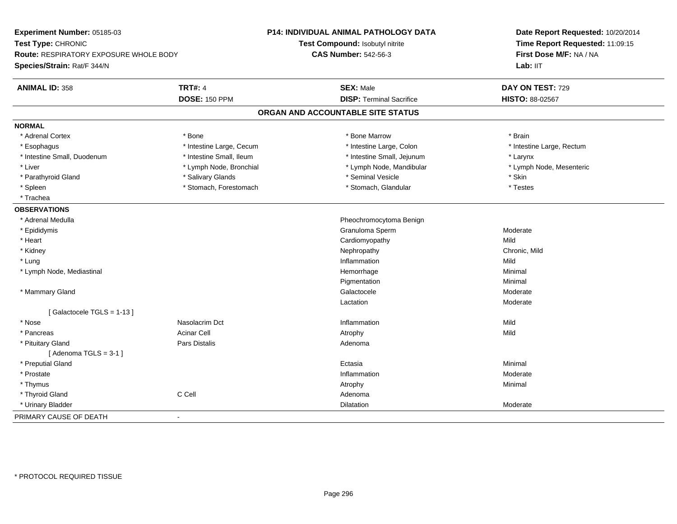| Experiment Number: 05185-03<br>Test Type: CHRONIC |                          | P14: INDIVIDUAL ANIMAL PATHOLOGY DATA<br>Test Compound: Isobutyl nitrite | Date Report Requested: 10/20/2014<br>Time Report Requested: 11:09:15 |
|---------------------------------------------------|--------------------------|--------------------------------------------------------------------------|----------------------------------------------------------------------|
| Route: RESPIRATORY EXPOSURE WHOLE BODY            |                          | <b>CAS Number: 542-56-3</b>                                              | First Dose M/F: NA / NA                                              |
| Species/Strain: Rat/F 344/N                       |                          |                                                                          | Lab: IIT                                                             |
| <b>ANIMAL ID: 358</b>                             | <b>TRT#: 4</b>           | <b>SEX: Male</b>                                                         | DAY ON TEST: 729                                                     |
|                                                   | <b>DOSE: 150 PPM</b>     | <b>DISP: Terminal Sacrifice</b>                                          | HISTO: 88-02567                                                      |
|                                                   |                          | ORGAN AND ACCOUNTABLE SITE STATUS                                        |                                                                      |
| <b>NORMAL</b>                                     |                          |                                                                          |                                                                      |
| * Adrenal Cortex                                  | * Bone                   | * Bone Marrow                                                            | * Brain                                                              |
| * Esophagus                                       | * Intestine Large, Cecum | * Intestine Large, Colon                                                 | * Intestine Large, Rectum                                            |
| * Intestine Small, Duodenum                       | * Intestine Small, Ileum | * Intestine Small, Jejunum                                               | * Larynx                                                             |
| * Liver                                           | * Lymph Node, Bronchial  | * Lymph Node, Mandibular                                                 | * Lymph Node, Mesenteric                                             |
| * Parathyroid Gland                               | * Salivary Glands        | * Seminal Vesicle                                                        | * Skin                                                               |
| * Spleen                                          | * Stomach, Forestomach   | * Stomach, Glandular                                                     | * Testes                                                             |
| * Trachea                                         |                          |                                                                          |                                                                      |
| <b>OBSERVATIONS</b>                               |                          |                                                                          |                                                                      |
| * Adrenal Medulla                                 |                          | Pheochromocytoma Benign                                                  |                                                                      |
| * Epididymis                                      |                          | Granuloma Sperm                                                          | Moderate                                                             |
| * Heart                                           |                          | Cardiomyopathy                                                           | Mild                                                                 |
| * Kidney                                          |                          | Nephropathy                                                              | Chronic, Mild                                                        |
| * Lung                                            |                          | Inflammation                                                             | Mild                                                                 |
| * Lymph Node, Mediastinal                         |                          | Hemorrhage                                                               | Minimal                                                              |
|                                                   |                          | Pigmentation                                                             | Minimal                                                              |
| * Mammary Gland                                   |                          | Galactocele                                                              | Moderate                                                             |
|                                                   |                          | Lactation                                                                | Moderate                                                             |
| [Galactocele TGLS = 1-13]                         |                          |                                                                          |                                                                      |
| * Nose                                            | Nasolacrim Dct           | Inflammation                                                             | Mild                                                                 |
| * Pancreas                                        | <b>Acinar Cell</b>       | Atrophy                                                                  | Mild                                                                 |
| * Pituitary Gland                                 | Pars Distalis            | Adenoma                                                                  |                                                                      |
| [Adenoma TGLS = $3-1$ ]                           |                          |                                                                          |                                                                      |
| * Preputial Gland                                 |                          | Ectasia                                                                  | Minimal                                                              |
| * Prostate                                        |                          | Inflammation                                                             | Moderate                                                             |
| * Thymus                                          |                          | Atrophy                                                                  | Minimal                                                              |
| * Thyroid Gland                                   | C Cell                   | Adenoma                                                                  |                                                                      |
| * Urinary Bladder                                 |                          | Dilatation                                                               | Moderate                                                             |
| PRIMARY CAUSE OF DEATH                            | $\blacksquare$           |                                                                          |                                                                      |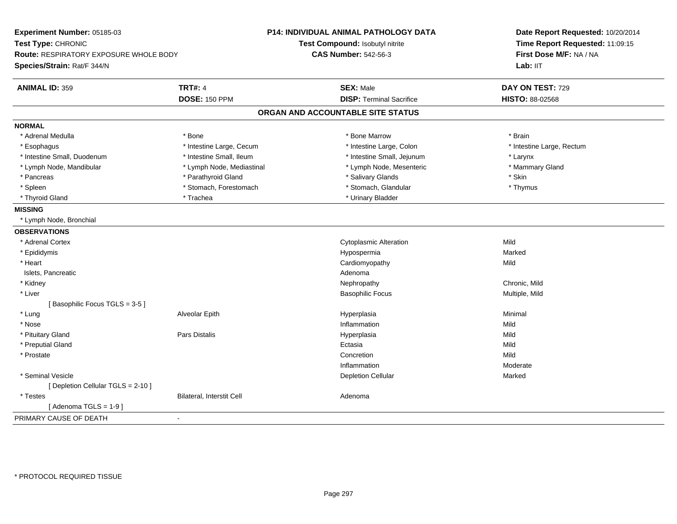| Experiment Number: 05185-03                             | <b>P14: INDIVIDUAL ANIMAL PATHOLOGY DATA</b> | Date Report Requested: 10/20/2014<br>Time Report Requested: 11:09:15 |
|---------------------------------------------------------|----------------------------------------------|----------------------------------------------------------------------|
| Test Type: CHRONIC                                      | Test Compound: Isobutyl nitrite              |                                                                      |
| <b>Route: RESPIRATORY EXPOSURE WHOLE BODY</b>           | <b>CAS Number: 542-56-3</b>                  | First Dose M/F: NA / NA                                              |
| Species/Strain: Rat/F 344/N                             |                                              | Lab: IIT                                                             |
| <b>TRT#: 4</b><br><b>ANIMAL ID: 359</b>                 | <b>SEX: Male</b>                             | DAY ON TEST: 729                                                     |
| <b>DOSE: 150 PPM</b>                                    | <b>DISP: Terminal Sacrifice</b>              | HISTO: 88-02568                                                      |
|                                                         | ORGAN AND ACCOUNTABLE SITE STATUS            |                                                                      |
| <b>NORMAL</b>                                           |                                              |                                                                      |
| * Adrenal Medulla<br>* Bone                             | * Bone Marrow                                | * Brain                                                              |
| * Intestine Large, Cecum<br>* Esophagus                 | * Intestine Large, Colon                     | * Intestine Large, Rectum                                            |
| * Intestine Small, Duodenum<br>* Intestine Small, Ileum | * Intestine Small, Jejunum                   | * Larynx                                                             |
| * Lymph Node, Mandibular<br>* Lymph Node, Mediastinal   | * Lymph Node, Mesenteric                     | * Mammary Gland                                                      |
| * Pancreas<br>* Parathyroid Gland                       | * Salivary Glands                            | * Skin                                                               |
| * Spleen<br>* Stomach, Forestomach                      | * Stomach, Glandular                         | * Thymus                                                             |
| * Trachea<br>* Thyroid Gland                            | * Urinary Bladder                            |                                                                      |
| <b>MISSING</b>                                          |                                              |                                                                      |
| * Lymph Node, Bronchial                                 |                                              |                                                                      |
| <b>OBSERVATIONS</b>                                     |                                              |                                                                      |
| * Adrenal Cortex                                        | <b>Cytoplasmic Alteration</b>                | Mild                                                                 |
| * Epididymis                                            | Hypospermia                                  | Marked                                                               |
| * Heart                                                 | Cardiomyopathy                               | Mild                                                                 |
| Islets, Pancreatic                                      | Adenoma                                      |                                                                      |
| * Kidney                                                | Nephropathy                                  | Chronic, Mild                                                        |
| * Liver                                                 | <b>Basophilic Focus</b>                      | Multiple, Mild                                                       |
| [Basophilic Focus TGLS = 3-5]                           |                                              |                                                                      |
| * Lung<br>Alveolar Epith                                | Hyperplasia                                  | Minimal                                                              |
| * Nose                                                  | Inflammation                                 | Mild                                                                 |
| * Pituitary Gland<br>Pars Distalis                      | Hyperplasia                                  | Mild                                                                 |
| * Preputial Gland                                       | Ectasia                                      | Mild                                                                 |
| * Prostate                                              | Concretion                                   | Mild                                                                 |
|                                                         | Inflammation                                 | Moderate                                                             |
| * Seminal Vesicle                                       | <b>Depletion Cellular</b>                    | Marked                                                               |
| [ Depletion Cellular TGLS = 2-10 ]                      |                                              |                                                                      |
| Bilateral, Interstit Cell<br>* Testes                   | Adenoma                                      |                                                                      |
| [Adenoma TGLS = $1-9$ ]                                 |                                              |                                                                      |
| PRIMARY CAUSE OF DEATH<br>$\blacksquare$                |                                              |                                                                      |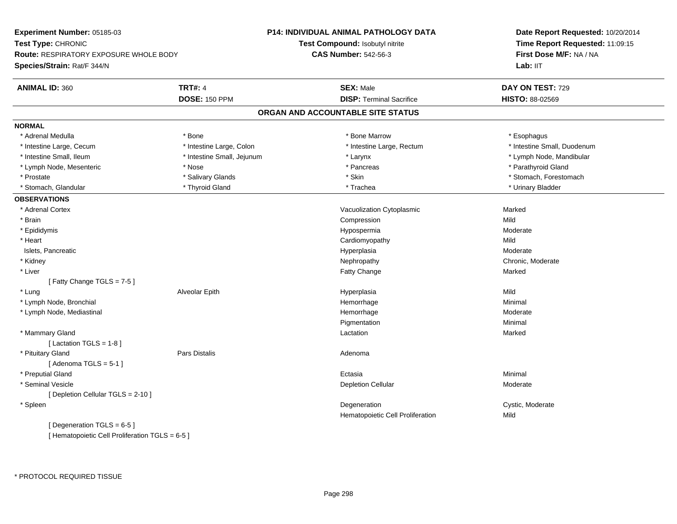**Experiment Number:** 05185-03**Test Type:** CHRONIC **Route:** RESPIRATORY EXPOSURE WHOLE BODY**Species/Strain:** Rat/F 344/N**P14: INDIVIDUAL ANIMAL PATHOLOGY DATATest Compound:** Isobutyl nitrite**CAS Number:** 542-56-3**Date Report Requested:** 10/20/2014**Time Report Requested:** 11:09:15**First Dose M/F:** NA / NALab: IIT **ANIMAL ID:** 360**TRT#:** 4 **SEX:** Male **DAY ON TEST:** 729 **DOSE:** 150 PPM **DISP:** Terminal Sacrifice **HISTO:** 88-02569 **ORGAN AND ACCOUNTABLE SITE STATUSNORMAL**\* Adrenal Medulla \* Adrenal Medulla \* \* The matter of the state of the state of the state of the state of the state of the state of the state of the state of the state of the state of the state of the state of the state of the state of the \* Intestine Large, Cecum \* \* Intestine Large, Colon \* Mestine Large, Rectum \* Intestine Large, Rectum \* Intestine Small, Duodenum \* Intestine Small, Ileum \* \* Thestine Small, Jejunum \* Larynx \* Larynx \* Thestine Small, Nejwum \* Lymph Node, Mandibular \* Lymph Node, Mesenteric \* The state of the state of the state of the state of the state of the state of the state of the state of the state of the state of the state of the state of the state of the state of the state of \* Prostate \* The structure \* Salivary Glands \* Skin \* Skin \* Stomach, Forestomach \* Stomach, Forestomach \* Stomach, Forestomach \* Stomach, Glandular \* \* Thyroid Gland \* \* Thyroid Gland \* \* Trachea \* \* Trachea \* \* Urinary Bladder \* \* Urinary Bladder \* \* Urinary Bladder \* \* Urinary Bladder \* \* Urinary Bladder \* \* Urinary Bladder \* \* Urinary Bladder \* **OBSERVATIONS** \* Adrenal CortexVacuolization Cytoplasmic **Marked** Marked \* Brainn and the compression of the compression of the compression of the compression of the compression of the compression \* Epididymis HypospermiaHypospermia and a mate of the Moderate Moderate Cardiomyopathy and a mate of the Moderate Mild \* Heart Cardiomyopathyy Mild a Moderate Islets, Pancreaticc description of the control of the control of the control of the control of the control of the control of the control of the control of the control of the control of the control of the control of the control of the contro \* Kidneyy the chronic, Moderate and September 2012 of the Chronic Moderate and September 2013 of the Chronic, Moderate \* Liver Fatty Changee Marked [ Fatty Change TGLS = 7-5 ] \* Lung Alveolar Epith Hyperplasia Mild \* Lymph Node, Bronchial Hemorrhagee Minimal \* Lymph Node, Mediastinal Hemorrhagee Moderate Pigmentationn Minimal \* Mammary Glandd and the control of the control of the control of the control of the control of the control of the control of the control of the control of the control of the control of the control of the control of the control of the co  $[$  Lactation TGLS = 1-8  $]$  \* Pituitary Glandd and the contract of Pars Distalis and the contract of Adenoma and Adenoma and the Adenoma and the Adenoma and  $\lambda$  $[$  Adenoma TGLS = 5-1  $]$  \* Preputial Glandd and the control of the control of the control of the control of the control of the control of the control of the control of the control of the control of the control of the control of the control of the control of the co \* Seminal Vesiclee and the contract of the contract of the contract of the Depletion Cellular contract of the Moderate of the Moderate of the contract of the contract of the contract of the contract of  $\mathbb{R}^n$  and  $\mathbb{R}^n$  and  $\mathbb{R}$ [ Depletion Cellular TGLS = 2-10 ] \* Spleenn and the contract of the contract of the contract of the contract of the contract of the contract of the contract of the contract of the contract of the contract of the contract of the contract of the contract of the cont Hematopoietic Cell Proliferationn Mild [ Degeneration TGLS = 6-5 ][ Hematopoietic Cell Proliferation TGLS = 6-5 ]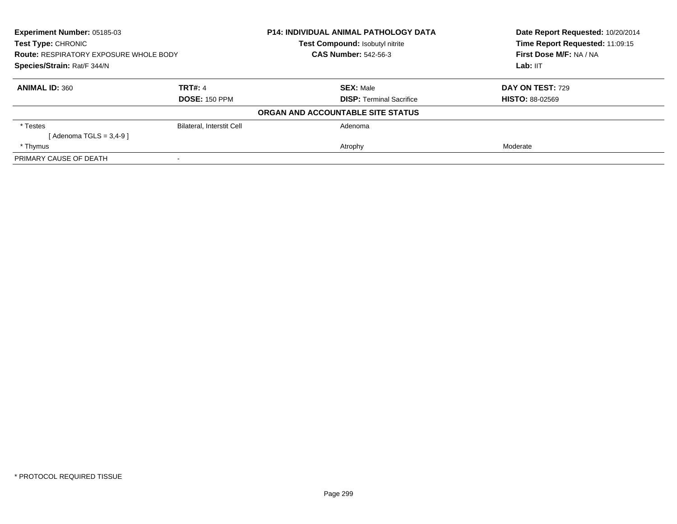| Experiment Number: 05185-03<br><b>Test Type: CHRONIC</b><br><b>Route: RESPIRATORY EXPOSURE WHOLE BODY</b><br>Species/Strain: Rat/F 344/N |                           | <b>P14: INDIVIDUAL ANIMAL PATHOLOGY DATA</b> | Date Report Requested: 10/20/2014<br>Time Report Requested: 11:09:15 |
|------------------------------------------------------------------------------------------------------------------------------------------|---------------------------|----------------------------------------------|----------------------------------------------------------------------|
|                                                                                                                                          |                           | Test Compound: Isobutyl nitrite              |                                                                      |
|                                                                                                                                          |                           | <b>CAS Number: 542-56-3</b>                  | First Dose M/F: NA / NA                                              |
|                                                                                                                                          |                           |                                              | Lab: IIT                                                             |
| <b>ANIMAL ID: 360</b>                                                                                                                    | <b>TRT#: 4</b>            | <b>SEX: Male</b>                             | <b>DAY ON TEST: 729</b>                                              |
|                                                                                                                                          | <b>DOSE: 150 PPM</b>      | <b>DISP:</b> Terminal Sacrifice              | <b>HISTO: 88-02569</b>                                               |
|                                                                                                                                          |                           | ORGAN AND ACCOUNTABLE SITE STATUS            |                                                                      |
| * Testes                                                                                                                                 | Bilateral, Interstit Cell | Adenoma                                      |                                                                      |
| [Adenoma TGLS = $3,4-9$ ]                                                                                                                |                           |                                              |                                                                      |
| * Thymus                                                                                                                                 |                           | Atrophy                                      | Moderate                                                             |
| PRIMARY CAUSE OF DEATH                                                                                                                   |                           |                                              |                                                                      |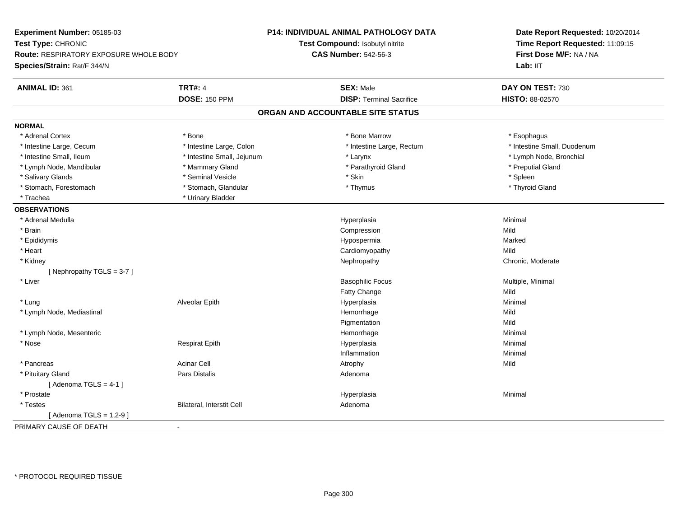| Experiment Number: 05185-03            |                            | P14: INDIVIDUAL ANIMAL PATHOLOGY DATA | Date Report Requested: 10/20/2014 |  |
|----------------------------------------|----------------------------|---------------------------------------|-----------------------------------|--|
| Test Type: CHRONIC                     |                            | Test Compound: Isobutyl nitrite       | Time Report Requested: 11:09:15   |  |
| Route: RESPIRATORY EXPOSURE WHOLE BODY |                            | <b>CAS Number: 542-56-3</b>           | First Dose M/F: NA / NA           |  |
| Species/Strain: Rat/F 344/N            |                            |                                       | Lab: IIT                          |  |
| <b>ANIMAL ID: 361</b>                  | <b>TRT#: 4</b>             | <b>SEX: Male</b>                      | DAY ON TEST: 730                  |  |
|                                        | <b>DOSE: 150 PPM</b>       | <b>DISP: Terminal Sacrifice</b>       | HISTO: 88-02570                   |  |
|                                        |                            | ORGAN AND ACCOUNTABLE SITE STATUS     |                                   |  |
| <b>NORMAL</b>                          |                            |                                       |                                   |  |
| * Adrenal Cortex                       | * Bone                     | * Bone Marrow                         | * Esophagus                       |  |
| * Intestine Large, Cecum               | * Intestine Large, Colon   | * Intestine Large, Rectum             | * Intestine Small, Duodenum       |  |
| * Intestine Small, Ileum               | * Intestine Small, Jejunum | * Larynx                              | * Lymph Node, Bronchial           |  |
| * Lymph Node, Mandibular               | * Mammary Gland            | * Parathyroid Gland                   | * Preputial Gland                 |  |
| * Salivary Glands                      | * Seminal Vesicle          | * Skin                                | * Spleen                          |  |
| * Stomach, Forestomach                 | * Stomach, Glandular       | * Thymus                              | * Thyroid Gland                   |  |
| * Trachea                              | * Urinary Bladder          |                                       |                                   |  |
| <b>OBSERVATIONS</b>                    |                            |                                       |                                   |  |
| * Adrenal Medulla                      |                            | Hyperplasia                           | Minimal                           |  |
| * Brain                                |                            | Compression                           | Mild                              |  |
| * Epididymis                           |                            | Hypospermia                           | Marked                            |  |
| * Heart                                |                            | Cardiomyopathy                        | Mild                              |  |
| * Kidney                               |                            | Nephropathy                           | Chronic, Moderate                 |  |
| [Nephropathy TGLS = $3-7$ ]            |                            |                                       |                                   |  |
| * Liver                                |                            | <b>Basophilic Focus</b>               | Multiple, Minimal                 |  |
|                                        |                            | Fatty Change                          | Mild                              |  |
| * Lung                                 | Alveolar Epith             | Hyperplasia                           | Minimal                           |  |
| * Lymph Node, Mediastinal              |                            | Hemorrhage                            | Mild                              |  |
|                                        |                            | Pigmentation                          | Mild                              |  |
| * Lymph Node, Mesenteric               |                            | Hemorrhage                            | Minimal                           |  |
| * Nose                                 | Respirat Epith             | Hyperplasia                           | Minimal                           |  |
|                                        |                            | Inflammation                          | Minimal                           |  |
| * Pancreas                             | <b>Acinar Cell</b>         | Atrophy                               | Mild                              |  |
| * Pituitary Gland                      | Pars Distalis              | Adenoma                               |                                   |  |
| [Adenoma TGLS = $4-1$ ]                |                            |                                       |                                   |  |
| * Prostate                             |                            | Hyperplasia                           | Minimal                           |  |
| * Testes                               | Bilateral, Interstit Cell  | Adenoma                               |                                   |  |
| [Adenoma TGLS = $1,2-9$ ]              |                            |                                       |                                   |  |
| PRIMARY CAUSE OF DEATH                 | $\sim$                     |                                       |                                   |  |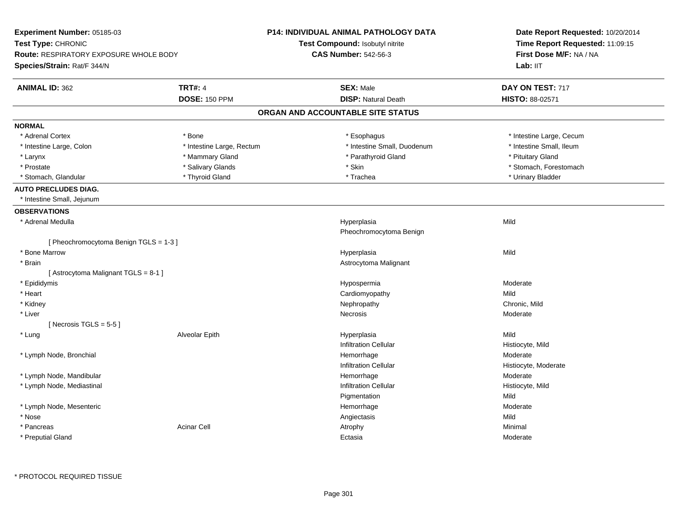| Experiment Number: 05185-03                   |                           | P14: INDIVIDUAL ANIMAL PATHOLOGY DATA  | Date Report Requested: 10/20/2014<br>Time Report Requested: 11:09:15<br>First Dose M/F: NA / NA<br>Lab: II <sub>T</sub> |
|-----------------------------------------------|---------------------------|----------------------------------------|-------------------------------------------------------------------------------------------------------------------------|
| Test Type: CHRONIC                            |                           | Test Compound: Isobutyl nitrite        |                                                                                                                         |
| <b>Route: RESPIRATORY EXPOSURE WHOLE BODY</b> |                           | <b>CAS Number: 542-56-3</b>            |                                                                                                                         |
| Species/Strain: Rat/F 344/N                   |                           |                                        |                                                                                                                         |
| <b>ANIMAL ID: 362</b>                         | <b>TRT#: 4</b>            | <b>SEX: Male</b>                       | DAY ON TEST: 717                                                                                                        |
|                                               | <b>DOSE: 150 PPM</b>      | <b>DISP: Natural Death</b>             | HISTO: 88-02571                                                                                                         |
|                                               |                           | ORGAN AND ACCOUNTABLE SITE STATUS      |                                                                                                                         |
| <b>NORMAL</b>                                 |                           |                                        |                                                                                                                         |
| * Adrenal Cortex                              | * Bone                    | * Esophagus                            | * Intestine Large, Cecum                                                                                                |
| * Intestine Large, Colon                      | * Intestine Large, Rectum | * Intestine Small, Duodenum            | * Intestine Small, Ileum                                                                                                |
| * Larynx                                      | * Mammary Gland           | * Parathyroid Gland                    | * Pituitary Gland                                                                                                       |
| * Prostate                                    | * Salivary Glands         | * Skin                                 | * Stomach, Forestomach                                                                                                  |
| * Stomach, Glandular                          | * Thyroid Gland           | * Trachea                              | * Urinary Bladder                                                                                                       |
| <b>AUTO PRECLUDES DIAG.</b>                   |                           |                                        |                                                                                                                         |
| * Intestine Small, Jejunum                    |                           |                                        |                                                                                                                         |
| <b>OBSERVATIONS</b>                           |                           |                                        |                                                                                                                         |
| * Adrenal Medulla                             |                           | Hyperplasia<br>Pheochromocytoma Benign | Mild                                                                                                                    |
| [ Pheochromocytoma Benign TGLS = 1-3 ]        |                           |                                        |                                                                                                                         |
| * Bone Marrow                                 |                           | Hyperplasia                            | Mild                                                                                                                    |
| * Brain                                       |                           | Astrocytoma Malignant                  |                                                                                                                         |
| [Astrocytoma Malignant TGLS = 8-1]            |                           |                                        |                                                                                                                         |
| * Epididymis                                  |                           | Hypospermia                            | Moderate                                                                                                                |
| * Heart                                       |                           | Cardiomyopathy                         | Mild                                                                                                                    |
| * Kidney                                      |                           | Nephropathy                            | Chronic, Mild                                                                                                           |
| * Liver                                       |                           | <b>Necrosis</b>                        | Moderate                                                                                                                |
| [Necrosis TGLS = $5-5$ ]                      |                           |                                        |                                                                                                                         |
| * Lung                                        | Alveolar Epith            | Hyperplasia                            | Mild                                                                                                                    |
|                                               |                           | <b>Infiltration Cellular</b>           | Histiocyte, Mild                                                                                                        |
| * Lymph Node, Bronchial                       |                           | Hemorrhage                             | Moderate                                                                                                                |
|                                               |                           | Infiltration Cellular                  | Histiocyte, Moderate                                                                                                    |
| * Lymph Node, Mandibular                      |                           | Hemorrhage                             | Moderate                                                                                                                |
| * Lymph Node, Mediastinal                     |                           | <b>Infiltration Cellular</b>           | Histiocyte, Mild                                                                                                        |
|                                               |                           | Pigmentation                           | Mild                                                                                                                    |
| * Lymph Node, Mesenteric                      |                           | Hemorrhage                             | Moderate                                                                                                                |
| * Nose                                        |                           | Angiectasis                            | Mild                                                                                                                    |
| * Pancreas                                    | <b>Acinar Cell</b>        | Atrophy                                | Minimal                                                                                                                 |
| * Preputial Gland                             |                           | Ectasia                                | Moderate                                                                                                                |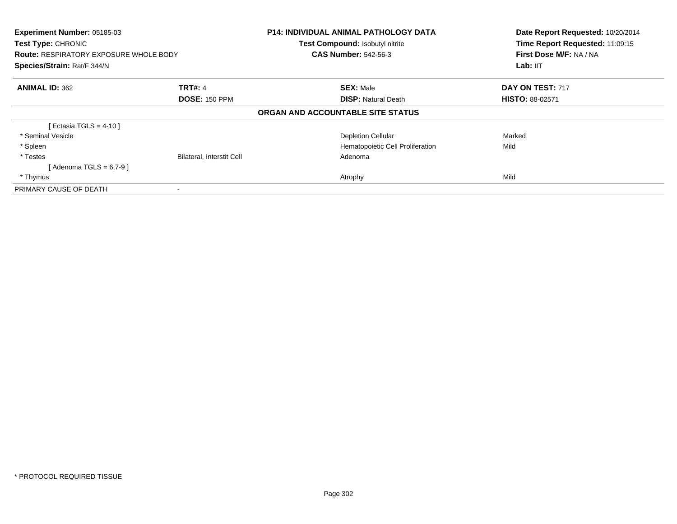| Experiment Number: 05185-03<br>Test Type: CHRONIC<br><b>Route: RESPIRATORY EXPOSURE WHOLE BODY</b><br>Species/Strain: Rat/F 344/N |                                  | <b>P14: INDIVIDUAL ANIMAL PATHOLOGY DATA</b><br>Test Compound: Isobutyl nitrite<br><b>CAS Number: 542-56-3</b> | Date Report Requested: 10/20/2014<br>Time Report Requested: 11:09:15<br>First Dose M/F: NA / NA<br>Lab: IIT |
|-----------------------------------------------------------------------------------------------------------------------------------|----------------------------------|----------------------------------------------------------------------------------------------------------------|-------------------------------------------------------------------------------------------------------------|
| <b>ANIMAL ID: 362</b>                                                                                                             | <b>TRT#: 4</b>                   | <b>SEX: Male</b>                                                                                               | DAY ON TEST: 717                                                                                            |
|                                                                                                                                   | <b>DOSE: 150 PPM</b>             | <b>DISP:</b> Natural Death                                                                                     | <b>HISTO: 88-02571</b>                                                                                      |
|                                                                                                                                   |                                  | ORGAN AND ACCOUNTABLE SITE STATUS                                                                              |                                                                                                             |
| [ Ectasia TGLS = $4-10$ ]                                                                                                         |                                  |                                                                                                                |                                                                                                             |
| * Seminal Vesicle                                                                                                                 |                                  | <b>Depletion Cellular</b>                                                                                      | Marked                                                                                                      |
| * Spleen                                                                                                                          |                                  | Hematopoietic Cell Proliferation                                                                               | Mild                                                                                                        |
| * Testes                                                                                                                          | <b>Bilateral, Interstit Cell</b> | Adenoma                                                                                                        |                                                                                                             |
| [ Adenoma TGLS = 6,7-9 ]                                                                                                          |                                  |                                                                                                                |                                                                                                             |
| * Thymus                                                                                                                          |                                  | Atrophy                                                                                                        | Mild                                                                                                        |
| PRIMARY CAUSE OF DEATH                                                                                                            |                                  |                                                                                                                |                                                                                                             |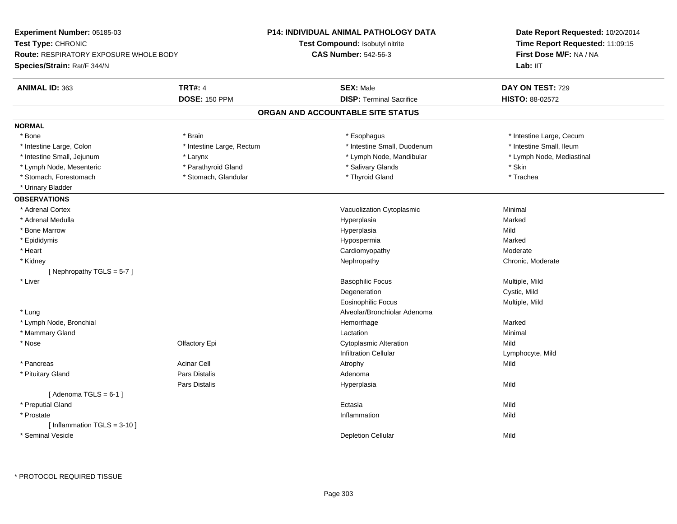| Experiment Number: 05185-03                   |                           | P14: INDIVIDUAL ANIMAL PATHOLOGY DATA | Date Report Requested: 10/20/2014                          |  |
|-----------------------------------------------|---------------------------|---------------------------------------|------------------------------------------------------------|--|
| Test Type: CHRONIC                            |                           | Test Compound: Isobutyl nitrite       | Time Report Requested: 11:09:15<br>First Dose M/F: NA / NA |  |
| <b>Route: RESPIRATORY EXPOSURE WHOLE BODY</b> |                           | <b>CAS Number: 542-56-3</b>           |                                                            |  |
| Species/Strain: Rat/F 344/N                   |                           |                                       | Lab: IIT                                                   |  |
| <b>ANIMAL ID: 363</b>                         | <b>TRT#: 4</b>            | <b>SEX: Male</b>                      | DAY ON TEST: 729                                           |  |
|                                               | <b>DOSE: 150 PPM</b>      | <b>DISP: Terminal Sacrifice</b>       | HISTO: 88-02572                                            |  |
|                                               |                           | ORGAN AND ACCOUNTABLE SITE STATUS     |                                                            |  |
| <b>NORMAL</b>                                 |                           |                                       |                                                            |  |
| * Bone                                        | * Brain                   | * Esophagus                           | * Intestine Large, Cecum                                   |  |
| * Intestine Large, Colon                      | * Intestine Large, Rectum | * Intestine Small, Duodenum           | * Intestine Small, Ileum                                   |  |
| * Intestine Small, Jejunum                    | * Larynx                  | * Lymph Node, Mandibular              | * Lymph Node, Mediastinal                                  |  |
| * Lymph Node, Mesenteric                      | * Parathyroid Gland       | * Salivary Glands                     | * Skin                                                     |  |
| * Stomach, Forestomach                        | * Stomach, Glandular      | * Thyroid Gland                       | * Trachea                                                  |  |
| * Urinary Bladder                             |                           |                                       |                                                            |  |
| <b>OBSERVATIONS</b>                           |                           |                                       |                                                            |  |
| * Adrenal Cortex                              |                           | Vacuolization Cytoplasmic             | Minimal                                                    |  |
| * Adrenal Medulla                             |                           | Hyperplasia                           | Marked                                                     |  |
| * Bone Marrow                                 |                           | Hyperplasia                           | Mild                                                       |  |
| * Epididymis                                  |                           | Hypospermia                           | Marked                                                     |  |
| * Heart                                       |                           | Cardiomyopathy                        | Moderate                                                   |  |
| * Kidney                                      |                           | Nephropathy                           | Chronic, Moderate                                          |  |
| [Nephropathy TGLS = 5-7]                      |                           |                                       |                                                            |  |
| * Liver                                       |                           | <b>Basophilic Focus</b>               | Multiple, Mild                                             |  |
|                                               |                           | Degeneration                          | Cystic, Mild                                               |  |
|                                               |                           | <b>Eosinophilic Focus</b>             | Multiple, Mild                                             |  |
| * Lung                                        |                           | Alveolar/Bronchiolar Adenoma          |                                                            |  |
| * Lymph Node, Bronchial                       |                           | Hemorrhage                            | Marked                                                     |  |
| * Mammary Gland                               |                           | Lactation                             | Minimal                                                    |  |
| * Nose                                        | Olfactory Epi             | <b>Cytoplasmic Alteration</b>         | Mild                                                       |  |
|                                               |                           | <b>Infiltration Cellular</b>          | Lymphocyte, Mild                                           |  |
| * Pancreas                                    | Acinar Cell               | Atrophy                               | Mild                                                       |  |
| * Pituitary Gland                             | Pars Distalis             | Adenoma                               |                                                            |  |
|                                               | Pars Distalis             | Hyperplasia                           | Mild                                                       |  |
| [Adenoma TGLS = $6-1$ ]                       |                           |                                       |                                                            |  |
| * Preputial Gland                             |                           | Ectasia                               | Mild                                                       |  |
| * Prostate                                    |                           | Inflammation                          | Mild                                                       |  |
| [Inflammation TGLS = $3-10$ ]                 |                           |                                       |                                                            |  |
| * Seminal Vesicle                             |                           | <b>Depletion Cellular</b>             | Mild                                                       |  |
|                                               |                           |                                       |                                                            |  |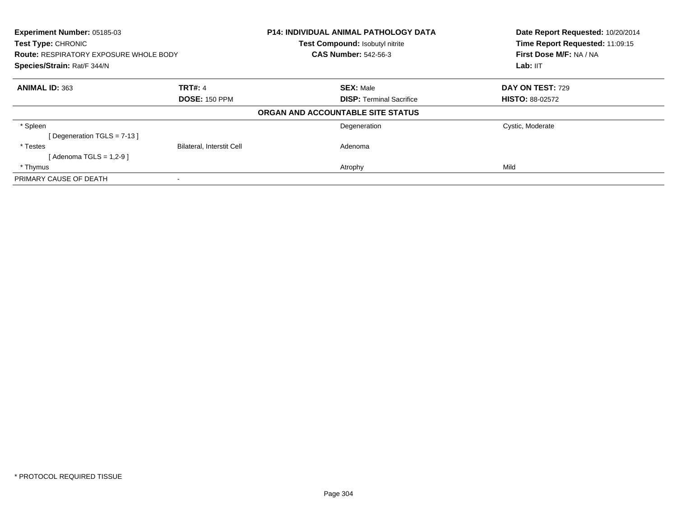| <b>Experiment Number: 05185-03</b><br><b>Test Type: CHRONIC</b><br><b>Route: RESPIRATORY EXPOSURE WHOLE BODY</b><br>Species/Strain: Rat/F 344/N |                                  | <b>P14: INDIVIDUAL ANIMAL PATHOLOGY DATA</b><br>Test Compound: Isobutyl nitrite | Date Report Requested: 10/20/2014<br>Time Report Requested: 11:09:15<br>First Dose M/F: NA / NA |
|-------------------------------------------------------------------------------------------------------------------------------------------------|----------------------------------|---------------------------------------------------------------------------------|-------------------------------------------------------------------------------------------------|
|                                                                                                                                                 |                                  | <b>CAS Number: 542-56-3</b>                                                     |                                                                                                 |
|                                                                                                                                                 |                                  |                                                                                 | Lab: IIT                                                                                        |
| <b>ANIMAL ID: 363</b>                                                                                                                           | TRT#: 4                          | <b>SEX: Male</b>                                                                | DAY ON TEST: 729                                                                                |
|                                                                                                                                                 | <b>DOSE: 150 PPM</b>             | <b>DISP: Terminal Sacrifice</b>                                                 | <b>HISTO: 88-02572</b>                                                                          |
|                                                                                                                                                 |                                  | ORGAN AND ACCOUNTABLE SITE STATUS                                               |                                                                                                 |
| * Spleen                                                                                                                                        |                                  | Degeneration                                                                    | Cystic, Moderate                                                                                |
| [Degeneration TGLS = $7-13$ ]                                                                                                                   |                                  |                                                                                 |                                                                                                 |
| * Testes                                                                                                                                        | <b>Bilateral, Interstit Cell</b> | Adenoma                                                                         |                                                                                                 |
| [Adenoma TGLS = $1,2-9$ ]                                                                                                                       |                                  |                                                                                 |                                                                                                 |
| * Thymus                                                                                                                                        |                                  | Atrophy                                                                         | Mild                                                                                            |
| PRIMARY CAUSE OF DEATH                                                                                                                          |                                  |                                                                                 |                                                                                                 |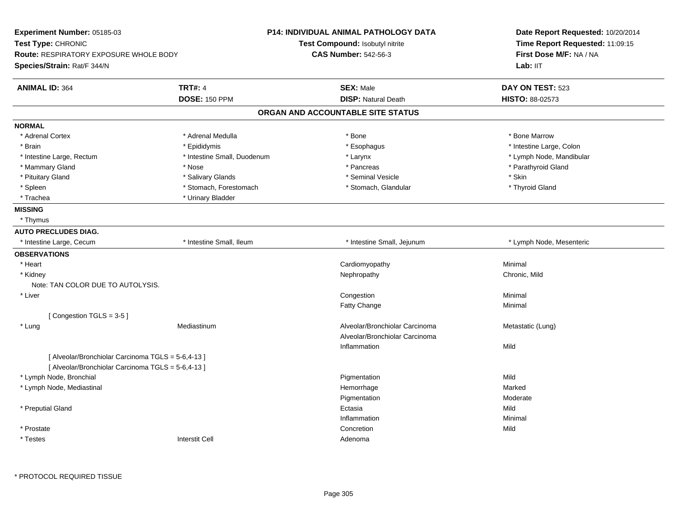| Experiment Number: 05185-03                                                                              |                             | <b>P14: INDIVIDUAL ANIMAL PATHOLOGY DATA</b>                     | Date Report Requested: 10/20/2014<br>Time Report Requested: 11:09:15<br>First Dose M/F: NA / NA |
|----------------------------------------------------------------------------------------------------------|-----------------------------|------------------------------------------------------------------|-------------------------------------------------------------------------------------------------|
| Test Type: CHRONIC                                                                                       |                             | Test Compound: Isobutyl nitrite                                  |                                                                                                 |
| Route: RESPIRATORY EXPOSURE WHOLE BODY                                                                   |                             | <b>CAS Number: 542-56-3</b>                                      |                                                                                                 |
| Species/Strain: Rat/F 344/N                                                                              |                             |                                                                  | Lab: IIT                                                                                        |
| <b>ANIMAL ID: 364</b>                                                                                    | <b>TRT#: 4</b>              | <b>SEX: Male</b>                                                 | DAY ON TEST: 523                                                                                |
|                                                                                                          | <b>DOSE: 150 PPM</b>        | <b>DISP: Natural Death</b>                                       | HISTO: 88-02573                                                                                 |
|                                                                                                          |                             | ORGAN AND ACCOUNTABLE SITE STATUS                                |                                                                                                 |
| <b>NORMAL</b>                                                                                            |                             |                                                                  |                                                                                                 |
| * Adrenal Cortex                                                                                         | * Adrenal Medulla           | * Bone                                                           | * Bone Marrow                                                                                   |
| * Brain                                                                                                  | * Epididymis                | * Esophagus                                                      | * Intestine Large, Colon                                                                        |
| * Intestine Large, Rectum                                                                                | * Intestine Small, Duodenum | * Larynx                                                         | * Lymph Node, Mandibular                                                                        |
| * Mammary Gland                                                                                          | * Nose                      | * Pancreas                                                       | * Parathyroid Gland                                                                             |
| * Pituitary Gland                                                                                        | * Salivary Glands           | * Seminal Vesicle                                                | * Skin                                                                                          |
| * Spleen                                                                                                 | * Stomach, Forestomach      | * Stomach, Glandular                                             | * Thyroid Gland                                                                                 |
| * Trachea                                                                                                | * Urinary Bladder           |                                                                  |                                                                                                 |
| <b>MISSING</b>                                                                                           |                             |                                                                  |                                                                                                 |
| * Thymus                                                                                                 |                             |                                                                  |                                                                                                 |
| <b>AUTO PRECLUDES DIAG.</b>                                                                              |                             |                                                                  |                                                                                                 |
| * Intestine Large, Cecum                                                                                 | * Intestine Small, Ileum    | * Intestine Small, Jejunum                                       | * Lymph Node, Mesenteric                                                                        |
| <b>OBSERVATIONS</b>                                                                                      |                             |                                                                  |                                                                                                 |
| * Heart                                                                                                  |                             | Cardiomyopathy                                                   | Minimal                                                                                         |
| * Kidney                                                                                                 |                             | Nephropathy                                                      | Chronic, Mild                                                                                   |
| Note: TAN COLOR DUE TO AUTOLYSIS.                                                                        |                             |                                                                  |                                                                                                 |
| * Liver                                                                                                  |                             | Congestion                                                       | Minimal                                                                                         |
|                                                                                                          |                             | Fatty Change                                                     | Minimal                                                                                         |
| [Congestion TGLS = 3-5]                                                                                  |                             |                                                                  |                                                                                                 |
| * Lung                                                                                                   | Mediastinum                 | Alveolar/Bronchiolar Carcinoma<br>Alveolar/Bronchiolar Carcinoma | Metastatic (Lung)                                                                               |
|                                                                                                          |                             | Inflammation                                                     | Mild                                                                                            |
| [ Alveolar/Bronchiolar Carcinoma TGLS = 5-6,4-13 ]<br>[ Alveolar/Bronchiolar Carcinoma TGLS = 5-6,4-13 ] |                             |                                                                  |                                                                                                 |
| * Lymph Node, Bronchial                                                                                  |                             | Pigmentation                                                     | Mild                                                                                            |
| * Lymph Node, Mediastinal                                                                                |                             | Hemorrhage                                                       | Marked                                                                                          |
|                                                                                                          |                             | Pigmentation                                                     | Moderate                                                                                        |
| * Preputial Gland                                                                                        |                             | Ectasia                                                          | Mild                                                                                            |
|                                                                                                          |                             | Inflammation                                                     | Minimal                                                                                         |
| * Prostate                                                                                               |                             | Concretion                                                       | Mild                                                                                            |
| * Testes                                                                                                 | <b>Interstit Cell</b>       | Adenoma                                                          |                                                                                                 |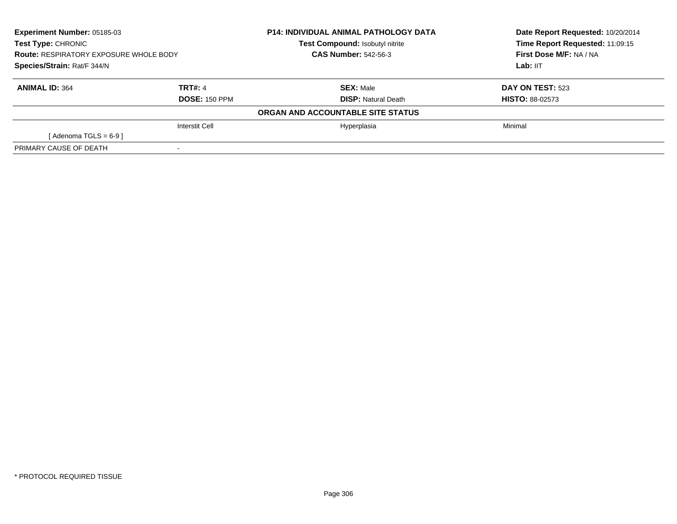| <b>Experiment Number: 05185-03</b><br>Test Type: CHRONIC<br><b>Route: RESPIRATORY EXPOSURE WHOLE BODY</b> |                       | <b>P14: INDIVIDUAL ANIMAL PATHOLOGY DATA</b> | Date Report Requested: 10/20/2014 |
|-----------------------------------------------------------------------------------------------------------|-----------------------|----------------------------------------------|-----------------------------------|
|                                                                                                           |                       | Test Compound: Isobutyl nitrite              | Time Report Requested: 11:09:15   |
|                                                                                                           |                       | <b>CAS Number: 542-56-3</b>                  | First Dose M/F: NA / NA           |
| Species/Strain: Rat/F 344/N                                                                               |                       |                                              | Lab: IIT                          |
| <b>ANIMAL ID: 364</b>                                                                                     | TRT#: 4               | <b>SEX: Male</b>                             | <b>DAY ON TEST: 523</b>           |
|                                                                                                           | <b>DOSE: 150 PPM</b>  | <b>DISP: Natural Death</b>                   | <b>HISTO: 88-02573</b>            |
|                                                                                                           |                       | ORGAN AND ACCOUNTABLE SITE STATUS            |                                   |
|                                                                                                           | <b>Interstit Cell</b> | Hyperplasia                                  | Minimal                           |
| [Adenoma TGLS = $6-9$ ]                                                                                   |                       |                                              |                                   |
| PRIMARY CAUSE OF DEATH                                                                                    |                       |                                              |                                   |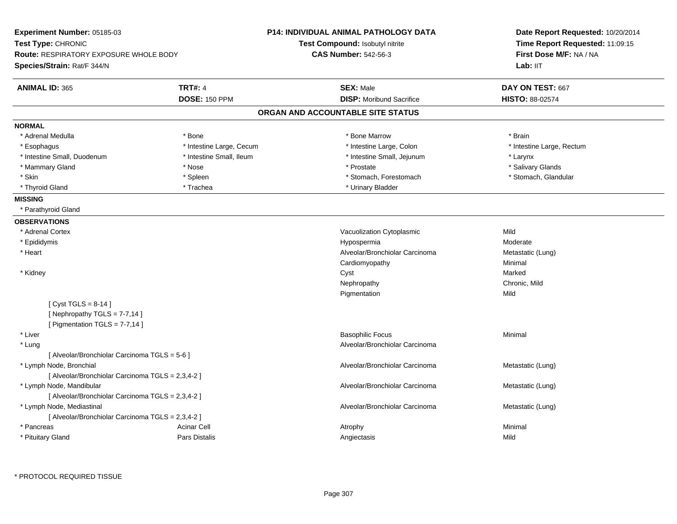| Experiment Number: 05185-03<br>Test Type: CHRONIC |                          | <b>P14: INDIVIDUAL ANIMAL PATHOLOGY DATA</b><br>Test Compound: Isobutyl nitrite | Date Report Requested: 10/20/2014<br>Time Report Requested: 11:09:15 |
|---------------------------------------------------|--------------------------|---------------------------------------------------------------------------------|----------------------------------------------------------------------|
| <b>Route: RESPIRATORY EXPOSURE WHOLE BODY</b>     |                          | <b>CAS Number: 542-56-3</b>                                                     | First Dose M/F: NA / NA                                              |
| Species/Strain: Rat/F 344/N                       |                          |                                                                                 | Lab: IIT                                                             |
| <b>ANIMAL ID: 365</b>                             | <b>TRT#: 4</b>           | <b>SEX: Male</b>                                                                | DAY ON TEST: 667                                                     |
|                                                   | <b>DOSE: 150 PPM</b>     | <b>DISP:</b> Moribund Sacrifice                                                 | HISTO: 88-02574                                                      |
|                                                   |                          | ORGAN AND ACCOUNTABLE SITE STATUS                                               |                                                                      |
| <b>NORMAL</b>                                     |                          |                                                                                 |                                                                      |
| * Adrenal Medulla                                 | * Bone                   | * Bone Marrow                                                                   | * Brain                                                              |
| * Esophagus                                       | * Intestine Large, Cecum | * Intestine Large, Colon                                                        | * Intestine Large, Rectum                                            |
| * Intestine Small, Duodenum                       | * Intestine Small, Ileum | * Intestine Small, Jejunum                                                      | * Larynx                                                             |
| * Mammary Gland                                   | * Nose                   | * Prostate                                                                      | * Salivary Glands                                                    |
| * Skin                                            | * Spleen                 | * Stomach, Forestomach                                                          | * Stomach, Glandular                                                 |
| * Thyroid Gland                                   | * Trachea                | * Urinary Bladder                                                               |                                                                      |
| <b>MISSING</b>                                    |                          |                                                                                 |                                                                      |
| * Parathyroid Gland                               |                          |                                                                                 |                                                                      |
| <b>OBSERVATIONS</b>                               |                          |                                                                                 |                                                                      |
| * Adrenal Cortex                                  |                          | Vacuolization Cytoplasmic                                                       | Mild                                                                 |
| * Epididymis                                      |                          | Hypospermia                                                                     | Moderate                                                             |
| * Heart                                           |                          | Alveolar/Bronchiolar Carcinoma                                                  | Metastatic (Lung)                                                    |
|                                                   |                          | Cardiomyopathy                                                                  | Minimal                                                              |
| * Kidney                                          |                          | Cyst                                                                            | Marked                                                               |
|                                                   |                          | Nephropathy                                                                     | Chronic, Mild                                                        |
|                                                   |                          | Pigmentation                                                                    | Mild                                                                 |
| [Cyst TGLS = $8-14$ ]                             |                          |                                                                                 |                                                                      |
| [Nephropathy TGLS = $7-7,14$ ]                    |                          |                                                                                 |                                                                      |
| [ Pigmentation TGLS = 7-7,14 ]                    |                          |                                                                                 |                                                                      |
| * Liver                                           |                          | <b>Basophilic Focus</b>                                                         | Minimal                                                              |
| * Lung                                            |                          | Alveolar/Bronchiolar Carcinoma                                                  |                                                                      |
| [ Alveolar/Bronchiolar Carcinoma TGLS = 5-6 ]     |                          |                                                                                 |                                                                      |
| * Lymph Node, Bronchial                           |                          | Alveolar/Bronchiolar Carcinoma                                                  | Metastatic (Lung)                                                    |
| [ Alveolar/Bronchiolar Carcinoma TGLS = 2,3,4-2 ] |                          |                                                                                 |                                                                      |
| * Lymph Node, Mandibular                          |                          | Alveolar/Bronchiolar Carcinoma                                                  | Metastatic (Lung)                                                    |
| [ Alveolar/Bronchiolar Carcinoma TGLS = 2,3,4-2 ] |                          |                                                                                 |                                                                      |
| * Lymph Node, Mediastinal                         |                          | Alveolar/Bronchiolar Carcinoma                                                  | Metastatic (Lung)                                                    |
| [ Alveolar/Bronchiolar Carcinoma TGLS = 2,3,4-2 ] |                          |                                                                                 |                                                                      |
| * Pancreas                                        | <b>Acinar Cell</b>       | Atrophy                                                                         | Minimal                                                              |
| * Pituitary Gland                                 | Pars Distalis            | Angiectasis                                                                     | Mild                                                                 |
|                                                   |                          |                                                                                 |                                                                      |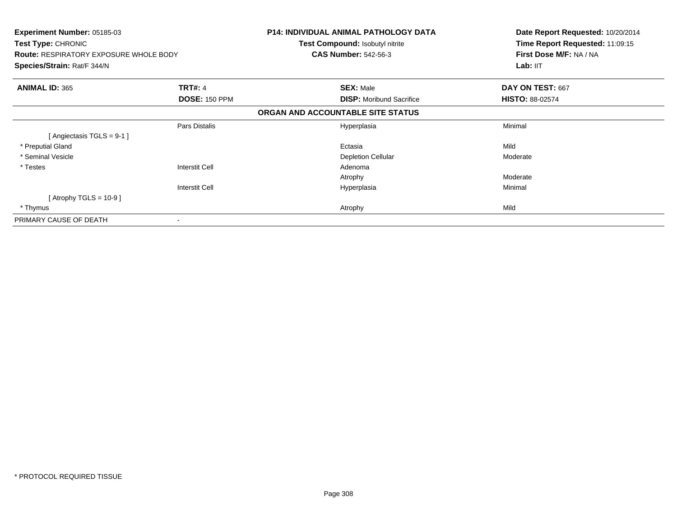| Experiment Number: 05185-03<br>Test Type: CHRONIC<br><b>Route: RESPIRATORY EXPOSURE WHOLE BODY</b><br>Species/Strain: Rat/F 344/N |                       | P14: INDIVIDUAL ANIMAL PATHOLOGY DATA<br><b>Test Compound: Isobutyl nitrite</b><br><b>CAS Number: 542-56-3</b> | Date Report Requested: 10/20/2014<br>Time Report Requested: 11:09:15<br>First Dose M/F: NA / NA<br>Lab: IIT |
|-----------------------------------------------------------------------------------------------------------------------------------|-----------------------|----------------------------------------------------------------------------------------------------------------|-------------------------------------------------------------------------------------------------------------|
| <b>ANIMAL ID: 365</b>                                                                                                             | <b>TRT#: 4</b>        | <b>SEX: Male</b>                                                                                               | DAY ON TEST: 667                                                                                            |
|                                                                                                                                   | <b>DOSE: 150 PPM</b>  | <b>DISP:</b> Moribund Sacrifice                                                                                | <b>HISTO: 88-02574</b>                                                                                      |
|                                                                                                                                   |                       | ORGAN AND ACCOUNTABLE SITE STATUS                                                                              |                                                                                                             |
|                                                                                                                                   | Pars Distalis         | Hyperplasia                                                                                                    | Minimal                                                                                                     |
| [Angiectasis TGLS = 9-1 ]                                                                                                         |                       |                                                                                                                |                                                                                                             |
| * Preputial Gland                                                                                                                 |                       | Ectasia                                                                                                        | Mild                                                                                                        |
| * Seminal Vesicle                                                                                                                 |                       | <b>Depletion Cellular</b>                                                                                      | Moderate                                                                                                    |
| * Testes                                                                                                                          | <b>Interstit Cell</b> | Adenoma                                                                                                        |                                                                                                             |
|                                                                                                                                   |                       | Atrophy                                                                                                        | Moderate                                                                                                    |
|                                                                                                                                   | <b>Interstit Cell</b> | Hyperplasia                                                                                                    | Minimal                                                                                                     |
| [Atrophy TGLS = 10-9 ]                                                                                                            |                       |                                                                                                                |                                                                                                             |
| * Thymus                                                                                                                          |                       | Atrophy                                                                                                        | Mild                                                                                                        |
| PRIMARY CAUSE OF DEATH                                                                                                            |                       |                                                                                                                |                                                                                                             |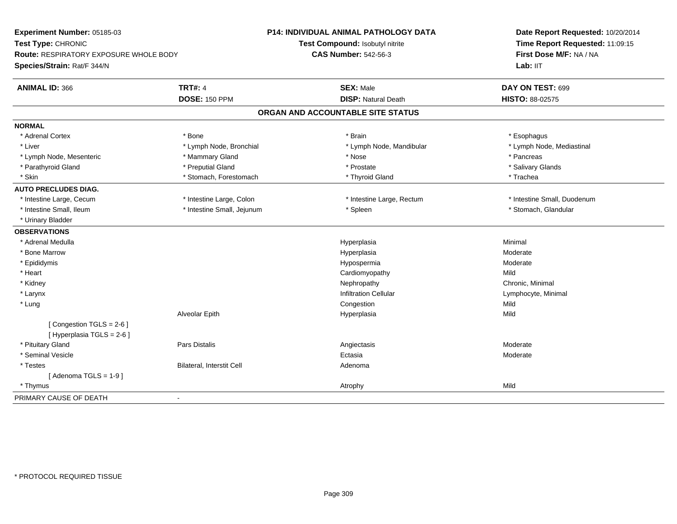| Experiment Number: 05185-03                                  |                            | P14: INDIVIDUAL ANIMAL PATHOLOGY DATA | Date Report Requested: 10/20/2014 |  |
|--------------------------------------------------------------|----------------------------|---------------------------------------|-----------------------------------|--|
| Test Type: CHRONIC<br>Route: RESPIRATORY EXPOSURE WHOLE BODY |                            | Test Compound: Isobutyl nitrite       | Time Report Requested: 11:09:15   |  |
|                                                              |                            | <b>CAS Number: 542-56-3</b>           | First Dose M/F: NA / NA           |  |
| Species/Strain: Rat/F 344/N                                  |                            |                                       | Lab: IIT                          |  |
| <b>ANIMAL ID: 366</b>                                        | <b>TRT#: 4</b>             | <b>SEX: Male</b>                      | DAY ON TEST: 699                  |  |
|                                                              | <b>DOSE: 150 PPM</b>       | <b>DISP: Natural Death</b>            | HISTO: 88-02575                   |  |
|                                                              |                            | ORGAN AND ACCOUNTABLE SITE STATUS     |                                   |  |
| <b>NORMAL</b>                                                |                            |                                       |                                   |  |
| * Adrenal Cortex                                             | * Bone                     | * Brain                               | * Esophagus                       |  |
| * Liver                                                      | * Lymph Node, Bronchial    | * Lymph Node, Mandibular              | * Lymph Node, Mediastinal         |  |
| * Lymph Node, Mesenteric                                     | * Mammary Gland            | * Nose                                | * Pancreas                        |  |
| * Parathyroid Gland                                          | * Preputial Gland          | * Prostate                            | * Salivary Glands                 |  |
| * Skin                                                       | * Stomach, Forestomach     | * Thyroid Gland                       | * Trachea                         |  |
| <b>AUTO PRECLUDES DIAG.</b>                                  |                            |                                       |                                   |  |
| * Intestine Large, Cecum                                     | * Intestine Large, Colon   | * Intestine Large, Rectum             | * Intestine Small, Duodenum       |  |
| * Intestine Small, Ileum                                     | * Intestine Small, Jejunum | * Spleen                              | * Stomach, Glandular              |  |
| * Urinary Bladder                                            |                            |                                       |                                   |  |
| <b>OBSERVATIONS</b>                                          |                            |                                       |                                   |  |
| * Adrenal Medulla                                            |                            | Hyperplasia                           | Minimal                           |  |
| * Bone Marrow                                                |                            | Hyperplasia                           | Moderate                          |  |
| * Epididymis                                                 |                            | Hypospermia                           | Moderate                          |  |
| * Heart                                                      |                            | Cardiomyopathy                        | Mild                              |  |
| * Kidney                                                     |                            | Nephropathy                           | Chronic, Minimal                  |  |
| * Larynx                                                     |                            | Infiltration Cellular                 | Lymphocyte, Minimal               |  |
| * Lung                                                       |                            | Congestion                            | Mild                              |  |
|                                                              | Alveolar Epith             | Hyperplasia                           | Mild                              |  |
| [Congestion TGLS = $2-6$ ]                                   |                            |                                       |                                   |  |
| [ Hyperplasia TGLS = 2-6 ]                                   |                            |                                       |                                   |  |
| * Pituitary Gland                                            | Pars Distalis              | Angiectasis                           | Moderate                          |  |
| * Seminal Vesicle                                            |                            | Ectasia                               | Moderate                          |  |
| * Testes                                                     | Bilateral, Interstit Cell  | Adenoma                               |                                   |  |
| [Adenoma TGLS = $1-9$ ]                                      |                            |                                       |                                   |  |
| * Thymus                                                     |                            | Atrophy                               | Mild                              |  |
| PRIMARY CAUSE OF DEATH                                       | $\blacksquare$             |                                       |                                   |  |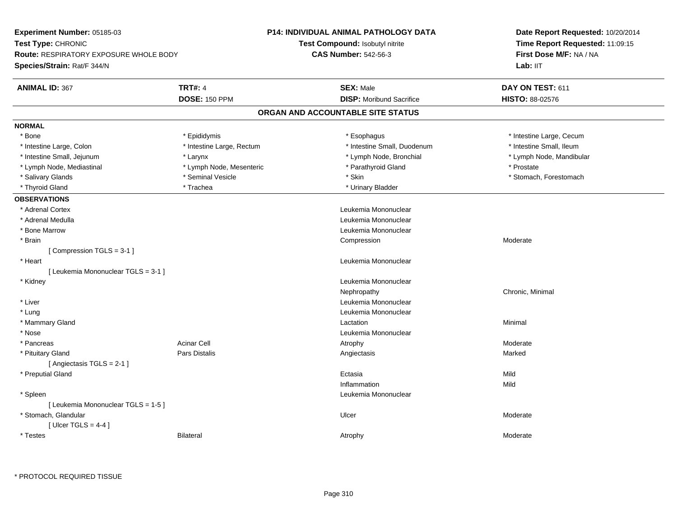| Experiment Number: 05185-03                   |                           | <b>P14: INDIVIDUAL ANIMAL PATHOLOGY DATA</b> | Date Report Requested: 10/20/2014<br>Time Report Requested: 11:09:15 |  |
|-----------------------------------------------|---------------------------|----------------------------------------------|----------------------------------------------------------------------|--|
| Test Type: CHRONIC                            |                           | <b>Test Compound: Isobutyl nitrite</b>       |                                                                      |  |
| <b>Route: RESPIRATORY EXPOSURE WHOLE BODY</b> |                           | <b>CAS Number: 542-56-3</b>                  | First Dose M/F: NA / NA                                              |  |
| <b>Species/Strain: Rat/F 344/N</b>            |                           |                                              | Lab: IIT                                                             |  |
| <b>ANIMAL ID: 367</b>                         | <b>TRT#: 4</b>            | <b>SEX: Male</b>                             | DAY ON TEST: 611                                                     |  |
|                                               | <b>DOSE: 150 PPM</b>      | <b>DISP:</b> Moribund Sacrifice              | HISTO: 88-02576                                                      |  |
|                                               |                           | ORGAN AND ACCOUNTABLE SITE STATUS            |                                                                      |  |
| <b>NORMAL</b>                                 |                           |                                              |                                                                      |  |
| * Bone                                        | * Epididymis              | * Esophagus                                  | * Intestine Large, Cecum                                             |  |
| * Intestine Large, Colon                      | * Intestine Large, Rectum | * Intestine Small, Duodenum                  | * Intestine Small, Ileum                                             |  |
| * Intestine Small, Jejunum                    | * Larynx                  | * Lymph Node, Bronchial                      | * Lymph Node, Mandibular                                             |  |
| * Lymph Node, Mediastinal                     | * Lymph Node, Mesenteric  | * Parathyroid Gland                          | * Prostate                                                           |  |
| * Salivary Glands                             | * Seminal Vesicle         | * Skin                                       | * Stomach, Forestomach                                               |  |
| * Thyroid Gland                               | * Trachea                 | * Urinary Bladder                            |                                                                      |  |
| <b>OBSERVATIONS</b>                           |                           |                                              |                                                                      |  |
| * Adrenal Cortex                              |                           | Leukemia Mononuclear                         |                                                                      |  |
| * Adrenal Medulla                             |                           | Leukemia Mononuclear                         |                                                                      |  |
| * Bone Marrow                                 |                           | Leukemia Mononuclear                         |                                                                      |  |
| * Brain                                       |                           | Compression                                  | Moderate                                                             |  |
| [Compression TGLS = 3-1]                      |                           |                                              |                                                                      |  |
| * Heart                                       |                           | Leukemia Mononuclear                         |                                                                      |  |
| [ Leukemia Mononuclear TGLS = 3-1 ]           |                           |                                              |                                                                      |  |
| * Kidney                                      |                           | Leukemia Mononuclear                         |                                                                      |  |
|                                               |                           | Nephropathy                                  | Chronic, Minimal                                                     |  |
| * Liver                                       |                           | Leukemia Mononuclear                         |                                                                      |  |
| * Lung                                        |                           | Leukemia Mononuclear                         |                                                                      |  |
| * Mammary Gland                               |                           | Lactation                                    | Minimal                                                              |  |
| * Nose                                        |                           | Leukemia Mononuclear                         |                                                                      |  |
| * Pancreas                                    | <b>Acinar Cell</b>        | Atrophy                                      | Moderate                                                             |  |
| * Pituitary Gland                             | <b>Pars Distalis</b>      | Angiectasis                                  | Marked                                                               |  |
| [Angiectasis TGLS = 2-1]                      |                           |                                              |                                                                      |  |
| * Preputial Gland                             |                           | Ectasia                                      | Mild                                                                 |  |
|                                               |                           | Inflammation                                 | Mild                                                                 |  |
| * Spleen                                      |                           | Leukemia Mononuclear                         |                                                                      |  |
| [ Leukemia Mononuclear TGLS = 1-5 ]           |                           |                                              |                                                                      |  |
| * Stomach, Glandular                          |                           | Ulcer                                        | Moderate                                                             |  |
| [ Ulcer TGLS = $4-4$ ]                        |                           |                                              |                                                                      |  |
| * Testes                                      | <b>Bilateral</b>          | Atrophy                                      | Moderate                                                             |  |
|                                               |                           |                                              |                                                                      |  |

\* PROTOCOL REQUIRED TISSUE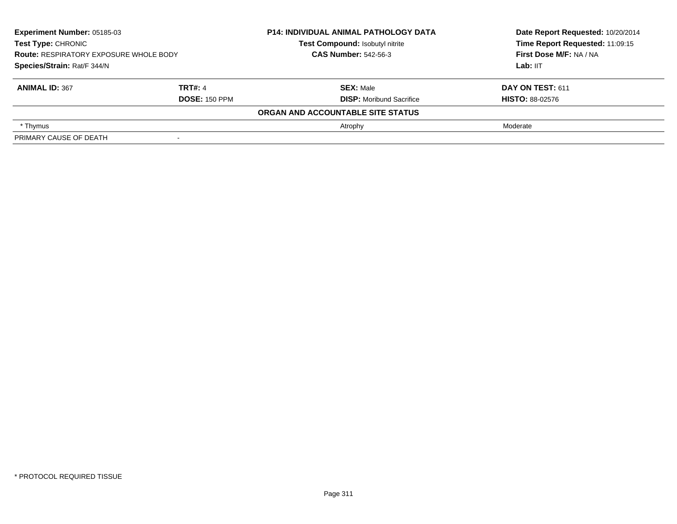| Experiment Number: 05185-03<br><b>Test Type: CHRONIC</b><br>Test Compound: Isobutyl nitrite<br><b>CAS Number: 542-56-3</b><br><b>Route: RESPIRATORY EXPOSURE WHOLE BODY</b><br>Species/Strain: Rat/F 344/N |                      | <b>P14: INDIVIDUAL ANIMAL PATHOLOGY DATA</b> | Date Report Requested: 10/20/2014 |
|------------------------------------------------------------------------------------------------------------------------------------------------------------------------------------------------------------|----------------------|----------------------------------------------|-----------------------------------|
|                                                                                                                                                                                                            |                      |                                              | Time Report Requested: 11:09:15   |
|                                                                                                                                                                                                            |                      |                                              | First Dose M/F: NA / NA           |
|                                                                                                                                                                                                            |                      |                                              | Lab: IIT                          |
| <b>ANIMAL ID: 367</b>                                                                                                                                                                                      | <b>TRT#: 4</b>       | <b>SEX: Male</b>                             | DAY ON TEST: 611                  |
|                                                                                                                                                                                                            | <b>DOSE: 150 PPM</b> | <b>DISP:</b> Moribund Sacrifice              | <b>HISTO: 88-02576</b>            |
|                                                                                                                                                                                                            |                      | ORGAN AND ACCOUNTABLE SITE STATUS            |                                   |
| * Thymus                                                                                                                                                                                                   |                      | Atrophy                                      | Moderate                          |
| PRIMARY CAUSE OF DEATH                                                                                                                                                                                     |                      |                                              |                                   |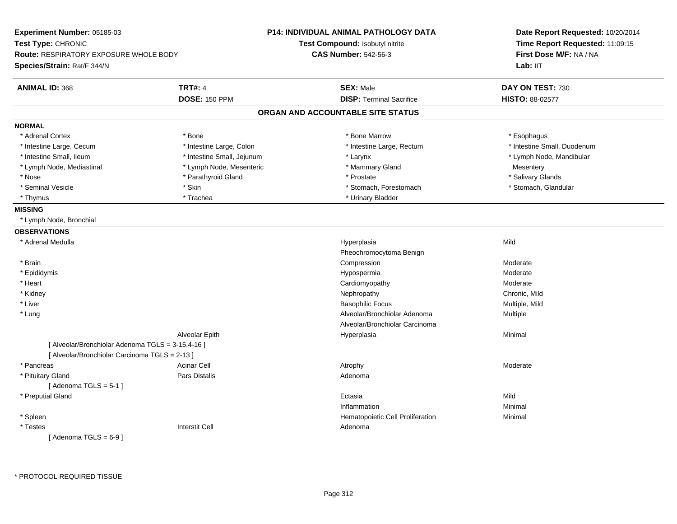| Experiment Number: 05185-03                       |                            | <b>P14: INDIVIDUAL ANIMAL PATHOLOGY DATA</b> | Date Report Requested: 10/20/2014<br>Time Report Requested: 11:09:15<br>First Dose M/F: NA / NA |  |
|---------------------------------------------------|----------------------------|----------------------------------------------|-------------------------------------------------------------------------------------------------|--|
| Test Type: CHRONIC                                |                            | Test Compound: Isobutyl nitrite              |                                                                                                 |  |
| <b>Route: RESPIRATORY EXPOSURE WHOLE BODY</b>     |                            | <b>CAS Number: 542-56-3</b>                  |                                                                                                 |  |
| Species/Strain: Rat/F 344/N                       |                            |                                              | Lab: IIT                                                                                        |  |
| <b>ANIMAL ID: 368</b>                             | <b>TRT#: 4</b>             | <b>SEX: Male</b>                             | DAY ON TEST: 730                                                                                |  |
|                                                   | <b>DOSE: 150 PPM</b>       | <b>DISP: Terminal Sacrifice</b>              | HISTO: 88-02577                                                                                 |  |
|                                                   |                            | ORGAN AND ACCOUNTABLE SITE STATUS            |                                                                                                 |  |
| <b>NORMAL</b>                                     |                            |                                              |                                                                                                 |  |
| * Adrenal Cortex                                  | * Bone                     | * Bone Marrow                                | * Esophagus                                                                                     |  |
| * Intestine Large, Cecum                          | * Intestine Large, Colon   | * Intestine Large, Rectum                    | * Intestine Small, Duodenum                                                                     |  |
| * Intestine Small, Ileum                          | * Intestine Small, Jejunum | * Larynx                                     | * Lymph Node, Mandibular                                                                        |  |
| * Lymph Node, Mediastinal                         | * Lymph Node, Mesenteric   | * Mammary Gland                              | Mesentery                                                                                       |  |
| * Nose                                            | * Parathyroid Gland        | * Prostate                                   | * Salivary Glands                                                                               |  |
| * Seminal Vesicle                                 | * Skin                     | * Stomach, Forestomach                       | * Stomach, Glandular                                                                            |  |
| * Thymus                                          | * Trachea                  | * Urinary Bladder                            |                                                                                                 |  |
| <b>MISSING</b>                                    |                            |                                              |                                                                                                 |  |
| * Lymph Node, Bronchial                           |                            |                                              |                                                                                                 |  |
| <b>OBSERVATIONS</b>                               |                            |                                              |                                                                                                 |  |
| * Adrenal Medulla                                 |                            | Hyperplasia                                  | Mild                                                                                            |  |
|                                                   |                            | Pheochromocytoma Benign                      |                                                                                                 |  |
| * Brain                                           |                            | Compression                                  | Moderate                                                                                        |  |
| * Epididymis                                      |                            | Hypospermia                                  | Moderate                                                                                        |  |
| * Heart                                           |                            | Cardiomyopathy                               | Moderate                                                                                        |  |
| * Kidney                                          |                            | Nephropathy                                  | Chronic, Mild                                                                                   |  |
| * Liver                                           |                            | <b>Basophilic Focus</b>                      | Multiple, Mild                                                                                  |  |
| * Lung                                            |                            | Alveolar/Bronchiolar Adenoma                 | Multiple                                                                                        |  |
|                                                   |                            | Alveolar/Bronchiolar Carcinoma               |                                                                                                 |  |
|                                                   | Alveolar Epith             | Hyperplasia                                  | Minimal                                                                                         |  |
| [ Alveolar/Bronchiolar Adenoma TGLS = 3-15,4-16 ] |                            |                                              |                                                                                                 |  |
| [ Alveolar/Bronchiolar Carcinoma TGLS = 2-13 ]    |                            |                                              |                                                                                                 |  |
| * Pancreas                                        | <b>Acinar Cell</b>         | Atrophy                                      | Moderate                                                                                        |  |
| * Pituitary Gland                                 | Pars Distalis              | Adenoma                                      |                                                                                                 |  |
| [Adenoma TGLS = $5-1$ ]                           |                            |                                              |                                                                                                 |  |
| * Preputial Gland                                 |                            | Ectasia                                      | Mild                                                                                            |  |
|                                                   |                            | Inflammation                                 | Minimal                                                                                         |  |
| * Spleen                                          |                            | Hematopoietic Cell Proliferation             | Minimal                                                                                         |  |
| * Testes                                          | <b>Interstit Cell</b>      | Adenoma                                      |                                                                                                 |  |
| [Adenoma TGLS = $6-9$ ]                           |                            |                                              |                                                                                                 |  |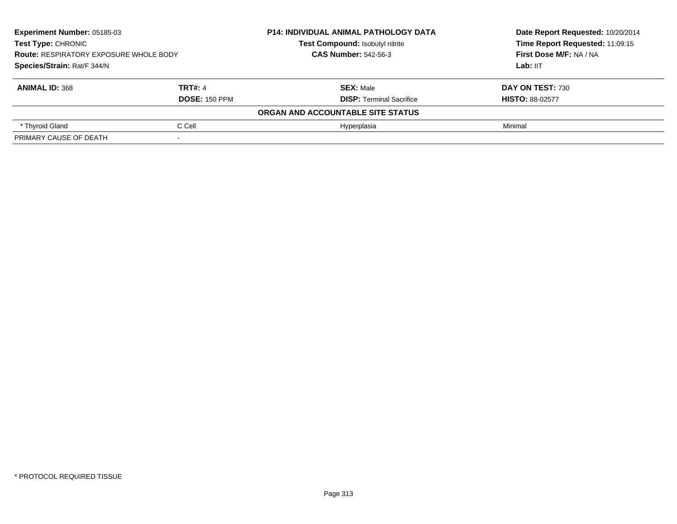| Experiment Number: 05185-03<br><b>P14: INDIVIDUAL ANIMAL PATHOLOGY DATA</b><br><b>Test Type: CHRONIC</b><br>Test Compound: Isobutyl nitrite<br><b>CAS Number: 542-56-3</b><br><b>Route: RESPIRATORY EXPOSURE WHOLE BODY</b><br>Species/Strain: Rat/F 344/N |                      |                                   | Date Report Requested: 10/20/2014<br>Time Report Requested: 11:09:15<br>First Dose M/F: NA / NA |
|------------------------------------------------------------------------------------------------------------------------------------------------------------------------------------------------------------------------------------------------------------|----------------------|-----------------------------------|-------------------------------------------------------------------------------------------------|
|                                                                                                                                                                                                                                                            |                      |                                   |                                                                                                 |
|                                                                                                                                                                                                                                                            |                      |                                   |                                                                                                 |
|                                                                                                                                                                                                                                                            |                      |                                   | Lab: IIT                                                                                        |
| <b>ANIMAL ID: 368</b>                                                                                                                                                                                                                                      | <b>TRT#: 4</b>       | <b>SEX: Male</b>                  | DAY ON TEST: 730                                                                                |
|                                                                                                                                                                                                                                                            | <b>DOSE: 150 PPM</b> | <b>DISP:</b> Terminal Sacrifice   | <b>HISTO: 88-02577</b>                                                                          |
|                                                                                                                                                                                                                                                            |                      | ORGAN AND ACCOUNTABLE SITE STATUS |                                                                                                 |
| * Thyroid Gland                                                                                                                                                                                                                                            | C Cell               | Hyperplasia                       | Minimal                                                                                         |
| PRIMARY CAUSE OF DEATH                                                                                                                                                                                                                                     |                      |                                   |                                                                                                 |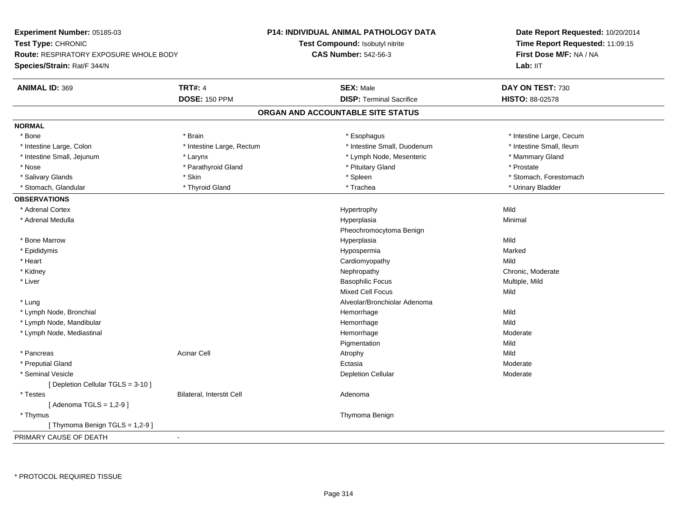**Experiment Number:** 05185-03**Test Type:** CHRONIC **Route:** RESPIRATORY EXPOSURE WHOLE BODY**Species/Strain:** Rat/F 344/N**P14: INDIVIDUAL ANIMAL PATHOLOGY DATATest Compound:** Isobutyl nitrite**CAS Number:** 542-56-3**Date Report Requested:** 10/20/2014**Time Report Requested:** 11:09:15**First Dose M/F:** NA / NALab: IIT **ANIMAL ID:** 369**TRT#:** 4 **SEX:** Male **SEX:** Male **DAY ON TEST:** 730 **DOSE:** 150 PPM**DISP:** Terminal Sacrifice **HISTO:** 88-02578 **ORGAN AND ACCOUNTABLE SITE STATUSNORMAL**\* Bone \* Brain \* Esophagus \* Esophagus \* Esophagus \* 11testine Large, Cecum \* Intestine Small, Ileum \* Intestine Large, Colon \* Intestine Large, Rectum \* Intestine Small, Duodenum \* 1 \* Intestine Small, Jejunum \* The mannery Gland \* Larynx \* The mannery Cland \* Lymph Node, Mesenteric \* \* Mammary Gland \* Nose \* Parathyroid Gland \* Parathyroid Gland \* Prostate \* Prostate \* Prostate \* Prostate \* Prostate \* Prostate \* Salivary Glands \* The stomach \* Skin \* Spleen \* Spleen \* Stomach, Forestomach \* Stomach, Forestomach \* Stomach, Forestomach \* Stomach, Glandular \* Thyroid Gland \* Thyroid Gland \* Trachea \* Trachea \* Trachea \* Urinary Bladder **OBSERVATIONS** \* Adrenal Cortexx and the state of the state of the state of the Hypertrophy Middle State of the Middle State of the Middle St Minimal \* Adrenal Medullaa and the control of the control of the control of the Hyperplasia and the control of the Minimal of the control of the control of the control of the control of the control of the control of the control of the control of t Pheochromocytoma Benign \* Bone Marroww which is a controller to the Hyperplasia controller that  $\mathsf{Mild}$  \* Epididymis Hypospermiaa and a more contained to the Marked \* Heart Cardiomyopathyy Mild Chronic, Moderate \* Kidneyy the chronic, Moderate and September 2012 of the Chronic Moderate and September 2013 of the Chronic, Moderate \* Liver Basophilic Focus Multiple, MildMixed Cell Focuss Mild \* Lung Alveolar/Bronchiolar Adenoma \* Lymph Node, Bronchial Hemorrhagee Mild \* Lymph Node, Mandibular Hemorrhagee Mild \* Lymph Node, Mediastinal Hemorrhagee Moderate Pigmentationn Mild \* Pancreass the contract of the contract of the contract of the contract of the contract of the contract of the contract of  $\mathsf{A}$  and  $\mathsf{A}$  and  $\mathsf{A}$  and  $\mathsf{A}$  and  $\mathsf{A}$  and  $\mathsf{A}$  and  $\mathsf{A}$  and  $\mathsf{A}$  and  $\mathsf$ Moderate \* Preputial Glandd and the control of the control of the control of the control of the control of the control of the control of the control of the control of the control of the control of the control of the control of the control of the co \* Seminal Vesiclee and the contract of the contract of the contract of the Depletion Cellular contract of the Moderate of the Moderate of the contract of the contract of the contract of the contract of  $\mathbb{R}^n$  and  $\mathbb{R}^n$  and  $\mathbb{R}$ [ Depletion Cellular TGLS = 3-10 ] \* TestesBilateral, Interstit Cell **Adenoma** Adenoma [ Adenoma TGLS = 1,2-9 ] \* Thymus Thymoma Benign[ Thymoma Benign TGLS = 1,2-9 ]PRIMARY CAUSE OF DEATH-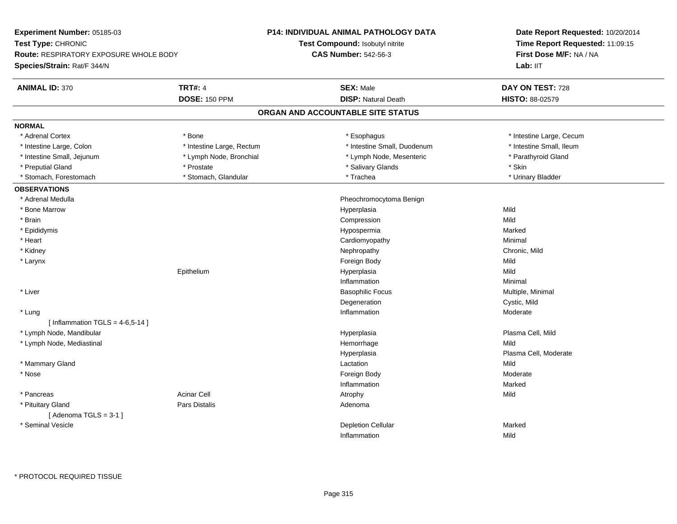**Experiment Number:** 05185-03**Test Type:** CHRONIC **Route:** RESPIRATORY EXPOSURE WHOLE BODY**Species/Strain:** Rat/F 344/N**P14: INDIVIDUAL ANIMAL PATHOLOGY DATATest Compound:** Isobutyl nitrite**CAS Number:** 542-56-3**Date Report Requested:** 10/20/2014**Time Report Requested:** 11:09:15**First Dose M/F:** NA / NALab: IIT **ANIMAL ID:** 370**TRT#:** 4 **SEX:** Male **SEX:** Male **DAY ON TEST:** 728 **DOSE:** 150 PPM **DISP:** Natural Death **HISTO:** 88-02579 **ORGAN AND ACCOUNTABLE SITE STATUSNORMAL**\* Adrenal Cortex \* Bone \* Esophagus \* Esophagus \* Esophagus \* 100 minutestine Large, Cecum \* Intestine Small, Ileum \* Intestine Large, Colon \* Intestine Large, Rectum \* Intestine Small, Duodenum \* Intestine Small, Duodenum \* Intestine Small, Jejunum \* The same that the strength of the Small, Jejunum \* Lymph Node, Bronchial \* Parathyroid Gland \* Preputial Gland \* \* \* Prostate \* \* Prostate \* \* Salivary Glands \* \* Stringer \* Stringer \* Skin \* Skin \* Skin \* Urinary Bladder \* Stomach, Forestomach \* North and \* Stomach, Glandular \* Trachea \* Trachea \* Trachea **OBSERVATIONS** \* Adrenal Medulla Pheochromocytoma Benign \* Bone Marroww which is a controller to the Hyperplasia controller that  $\mathsf{Mild}$  \* Brainn and the compression of the compression of the compression of the compression of the compression of the compression \* Epididymis Hypospermiaa and a more contained to the Marked \* Heart Cardiomyopathy Minimal \* Kidneyy the controller of the controller of the controller of the controller of the controller of the chronic, Mild \* Larynxx and the state of the state of the state of the state of the state of the state of the state of the state of the state of the state of the state of the state of the state of the state of the state of the state of the stat Mild Epithelium Hyperplasia Mild Inflammationn and a basic control of the Minimal \* Liver Basophilic Focus Multiple, Minimal Degeneration Cystic, Mild \* Lungg is a state of the state of the state of the state of the state of the Moderate of the Moderate of the Shankov<br>Inflammation  $[$  Inflammation TGLS = 4-6,5-14  $]$  \* Lymph Node, Mandibular Hyperplasia Plasma Cell, Mild \* Lymph Node, Mediastinal Hemorrhagee Mild Hyperplasia Plasma Cell, Moderate \* Mammary Glandd and the control of the control of the control of the control of the control of the control of the control of the control of the control of the control of the control of the control of the control of the control of the co \* Nosee and the state of the state of the state of the state of the state of the Society of Theorem and Theorem and Theorem and Theorem and Theorem and Theorem and Theorem and Theorem and Theorem and Theorem and Theorem and Theo Inflammationn Marked \* Pancreass the contract of the contract of the contract of the contract of the contract of the contract of the contract of  $\mathsf{A}$  and  $\mathsf{A}$  and  $\mathsf{A}$  and  $\mathsf{A}$  and  $\mathsf{A}$  and  $\mathsf{A}$  and  $\mathsf{A}$  and  $\mathsf{A}$  and  $\mathsf$  \* Pituitary Glandd and the contract of Pars Distalis and the contract of Adenoma and Adenoma and the Adenoma and the Adenoma and  $\lambda$  $[$  Adenoma TGLS = 3-1  $]$  \* Seminal Vesiclee and the contract of the contract of the contract of the Depletion Cellular contract of the Marked Marked of the Marked of the contract of the contract of the contract of the contract of the contract of the contract of th Inflammationn Mild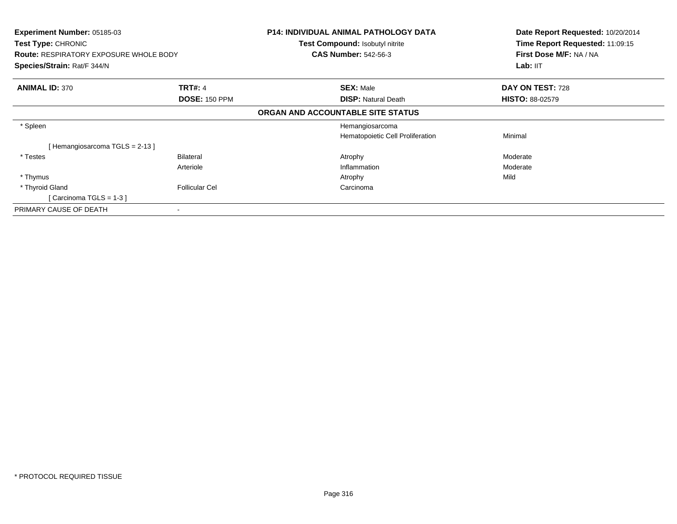| <b>Experiment Number: 05185-03</b><br><b>Test Type: CHRONIC</b><br><b>Route: RESPIRATORY EXPOSURE WHOLE BODY</b><br>Species/Strain: Rat/F 344/N |                       | <b>P14: INDIVIDUAL ANIMAL PATHOLOGY DATA</b><br><b>Test Compound: Isobutyl nitrite</b><br><b>CAS Number: 542-56-3</b> | Date Report Requested: 10/20/2014<br>Time Report Requested: 11:09:15<br>First Dose M/F: NA / NA<br>Lab: II <sub>T</sub> |
|-------------------------------------------------------------------------------------------------------------------------------------------------|-----------------------|-----------------------------------------------------------------------------------------------------------------------|-------------------------------------------------------------------------------------------------------------------------|
| <b>ANIMAL ID: 370</b>                                                                                                                           | <b>TRT#: 4</b>        | <b>SEX: Male</b>                                                                                                      | DAY ON TEST: 728                                                                                                        |
|                                                                                                                                                 | <b>DOSE: 150 PPM</b>  | <b>DISP: Natural Death</b>                                                                                            | <b>HISTO: 88-02579</b>                                                                                                  |
|                                                                                                                                                 |                       | ORGAN AND ACCOUNTABLE SITE STATUS                                                                                     |                                                                                                                         |
| * Spleen                                                                                                                                        |                       | Hemangiosarcoma                                                                                                       |                                                                                                                         |
|                                                                                                                                                 |                       | Hematopoietic Cell Proliferation                                                                                      | Minimal                                                                                                                 |
| Hemangiosarcoma TGLS = 2-13 ]                                                                                                                   |                       |                                                                                                                       |                                                                                                                         |
| * Testes                                                                                                                                        | <b>Bilateral</b>      | Atrophy                                                                                                               | Moderate                                                                                                                |
|                                                                                                                                                 | Arteriole             | Inflammation                                                                                                          | Moderate                                                                                                                |
| * Thymus                                                                                                                                        |                       | Atrophy                                                                                                               | Mild                                                                                                                    |
| * Thyroid Gland                                                                                                                                 | <b>Follicular Cel</b> | Carcinoma                                                                                                             |                                                                                                                         |
| [Carcinoma TGLS = $1-3$ ]                                                                                                                       |                       |                                                                                                                       |                                                                                                                         |
| PRIMARY CAUSE OF DEATH                                                                                                                          |                       |                                                                                                                       |                                                                                                                         |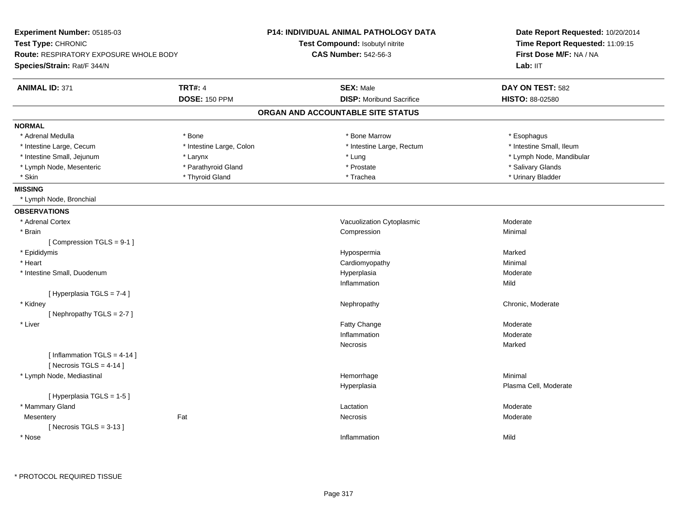| Experiment Number: 05185-03                                                                        |                          | <b>P14: INDIVIDUAL ANIMAL PATHOLOGY DATA</b> | Date Report Requested: 10/20/2014 |
|----------------------------------------------------------------------------------------------------|--------------------------|----------------------------------------------|-----------------------------------|
| Test Type: CHRONIC<br><b>Route: RESPIRATORY EXPOSURE WHOLE BODY</b><br>Species/Strain: Rat/F 344/N |                          | Test Compound: Isobutyl nitrite              | Time Report Requested: 11:09:15   |
|                                                                                                    |                          | <b>CAS Number: 542-56-3</b>                  | First Dose M/F: NA / NA           |
|                                                                                                    |                          |                                              | Lab: IIT                          |
| <b>ANIMAL ID: 371</b>                                                                              | <b>TRT#: 4</b>           | <b>SEX: Male</b>                             | DAY ON TEST: 582                  |
|                                                                                                    | <b>DOSE: 150 PPM</b>     | <b>DISP:</b> Moribund Sacrifice              | HISTO: 88-02580                   |
|                                                                                                    |                          | ORGAN AND ACCOUNTABLE SITE STATUS            |                                   |
| <b>NORMAL</b>                                                                                      |                          |                                              |                                   |
| * Adrenal Medulla                                                                                  | * Bone                   | * Bone Marrow                                | * Esophagus                       |
| * Intestine Large, Cecum                                                                           | * Intestine Large, Colon | * Intestine Large, Rectum                    | * Intestine Small, Ileum          |
| * Intestine Small, Jejunum                                                                         | * Larynx                 | * Lung                                       | * Lymph Node, Mandibular          |
| * Lymph Node, Mesenteric                                                                           | * Parathyroid Gland      | * Prostate                                   | * Salivary Glands                 |
| * Skin                                                                                             | * Thyroid Gland          | * Trachea                                    | * Urinary Bladder                 |
| <b>MISSING</b>                                                                                     |                          |                                              |                                   |
| * Lymph Node, Bronchial                                                                            |                          |                                              |                                   |
| <b>OBSERVATIONS</b>                                                                                |                          |                                              |                                   |
| * Adrenal Cortex                                                                                   |                          | Vacuolization Cytoplasmic                    | Moderate                          |
| * Brain                                                                                            |                          | Compression                                  | Minimal                           |
| [Compression TGLS = 9-1]                                                                           |                          |                                              |                                   |
| * Epididymis                                                                                       |                          | Hypospermia                                  | Marked                            |
| * Heart                                                                                            |                          | Cardiomyopathy                               | Minimal                           |
| * Intestine Small, Duodenum                                                                        |                          | Hyperplasia                                  | Moderate                          |
|                                                                                                    |                          | Inflammation                                 | Mild                              |
| [ Hyperplasia TGLS = 7-4 ]                                                                         |                          |                                              |                                   |
| * Kidney                                                                                           |                          | Nephropathy                                  | Chronic, Moderate                 |
| [Nephropathy TGLS = $2-7$ ]                                                                        |                          |                                              |                                   |
| * Liver                                                                                            |                          | Fatty Change                                 | Moderate                          |
|                                                                                                    |                          | Inflammation                                 | Moderate                          |
|                                                                                                    |                          | Necrosis                                     | Marked                            |
| [ Inflammation TGLS = 4-14 ]                                                                       |                          |                                              |                                   |
| [Necrosis TGLS = $4-14$ ]                                                                          |                          |                                              |                                   |
| * Lymph Node, Mediastinal                                                                          |                          | Hemorrhage                                   | Minimal                           |
|                                                                                                    |                          | Hyperplasia                                  | Plasma Cell, Moderate             |
| [Hyperplasia TGLS = 1-5]                                                                           |                          |                                              |                                   |
| * Mammary Gland                                                                                    |                          | Lactation                                    | Moderate                          |
| Mesentery                                                                                          | Fat                      | Necrosis                                     | Moderate                          |
| [Necrosis $TGLS = 3-13$ ]                                                                          |                          |                                              |                                   |
| * Nose                                                                                             |                          | Inflammation                                 | Mild                              |
|                                                                                                    |                          |                                              |                                   |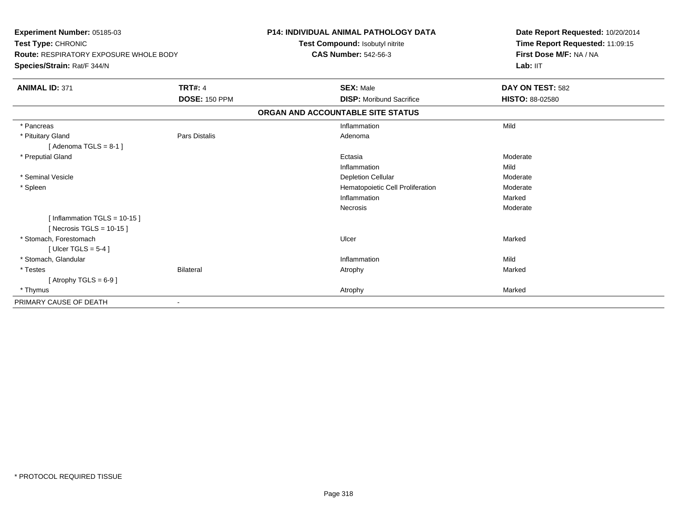| <b>Experiment Number: 05185-03</b><br>Test Type: CHRONIC<br><b>Route: RESPIRATORY EXPOSURE WHOLE BODY</b><br>Species/Strain: Rat/F 344/N |                      | <b>P14: INDIVIDUAL ANIMAL PATHOLOGY DATA</b><br>Test Compound: Isobutyl nitrite<br><b>CAS Number: 542-56-3</b> | Date Report Requested: 10/20/2014<br>Time Report Requested: 11:09:15<br>First Dose M/F: NA / NA<br>Lab: IIT |
|------------------------------------------------------------------------------------------------------------------------------------------|----------------------|----------------------------------------------------------------------------------------------------------------|-------------------------------------------------------------------------------------------------------------|
| <b>ANIMAL ID: 371</b>                                                                                                                    | <b>TRT#: 4</b>       | <b>SEX: Male</b>                                                                                               | DAY ON TEST: 582                                                                                            |
|                                                                                                                                          | <b>DOSE: 150 PPM</b> | <b>DISP:</b> Moribund Sacrifice                                                                                | HISTO: 88-02580                                                                                             |
|                                                                                                                                          |                      | ORGAN AND ACCOUNTABLE SITE STATUS                                                                              |                                                                                                             |
| * Pancreas                                                                                                                               |                      | Inflammation                                                                                                   | Mild                                                                                                        |
| * Pituitary Gland<br>[Adenoma TGLS = $8-1$ ]                                                                                             | Pars Distalis        | Adenoma                                                                                                        |                                                                                                             |
| * Preputial Gland                                                                                                                        |                      | Ectasia                                                                                                        | Moderate                                                                                                    |
|                                                                                                                                          |                      | Inflammation                                                                                                   | Mild                                                                                                        |
| * Seminal Vesicle                                                                                                                        |                      | <b>Depletion Cellular</b>                                                                                      | Moderate                                                                                                    |
| * Spleen                                                                                                                                 |                      | Hematopoietic Cell Proliferation                                                                               | Moderate                                                                                                    |
|                                                                                                                                          |                      | Inflammation                                                                                                   | Marked                                                                                                      |
|                                                                                                                                          |                      | Necrosis                                                                                                       | Moderate                                                                                                    |
| [Inflammation TGLS = $10-15$ ]                                                                                                           |                      |                                                                                                                |                                                                                                             |
| [Necrosis TGLS = $10-15$ ]                                                                                                               |                      |                                                                                                                |                                                                                                             |
| * Stomach. Forestomach                                                                                                                   |                      | Ulcer                                                                                                          | Marked                                                                                                      |
| [ Ulcer TGLS = $5-4$ ]                                                                                                                   |                      |                                                                                                                |                                                                                                             |
| * Stomach, Glandular                                                                                                                     |                      | Inflammation                                                                                                   | Mild                                                                                                        |
| * Testes                                                                                                                                 | <b>Bilateral</b>     | Atrophy                                                                                                        | Marked                                                                                                      |
| [Atrophy TGLS = $6-9$ ]                                                                                                                  |                      |                                                                                                                |                                                                                                             |
| * Thymus                                                                                                                                 |                      | Atrophy                                                                                                        | Marked                                                                                                      |
| PRIMARY CAUSE OF DEATH                                                                                                                   |                      |                                                                                                                |                                                                                                             |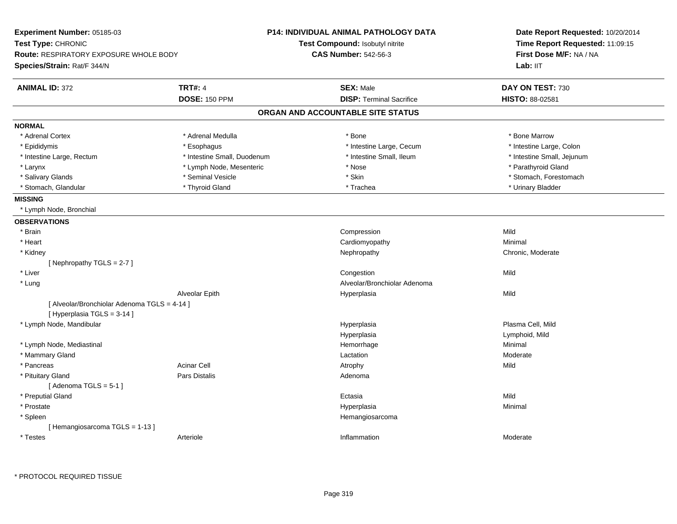| Experiment Number: 05185-03                                                 |                             | <b>P14: INDIVIDUAL ANIMAL PATHOLOGY DATA</b> | Date Report Requested: 10/20/2014<br>Time Report Requested: 11:09:15<br>First Dose M/F: NA / NA |
|-----------------------------------------------------------------------------|-----------------------------|----------------------------------------------|-------------------------------------------------------------------------------------------------|
| Test Type: CHRONIC                                                          |                             | Test Compound: Isobutyl nitrite              |                                                                                                 |
| Route: RESPIRATORY EXPOSURE WHOLE BODY                                      |                             | <b>CAS Number: 542-56-3</b>                  |                                                                                                 |
| Species/Strain: Rat/F 344/N                                                 |                             |                                              | Lab: II <sub>T</sub>                                                                            |
| <b>ANIMAL ID: 372</b>                                                       | <b>TRT#: 4</b>              | <b>SEX: Male</b>                             | DAY ON TEST: 730                                                                                |
|                                                                             | <b>DOSE: 150 PPM</b>        | <b>DISP: Terminal Sacrifice</b>              | HISTO: 88-02581                                                                                 |
|                                                                             |                             | ORGAN AND ACCOUNTABLE SITE STATUS            |                                                                                                 |
| <b>NORMAL</b>                                                               |                             |                                              |                                                                                                 |
| * Adrenal Cortex                                                            | * Adrenal Medulla           | * Bone                                       | * Bone Marrow                                                                                   |
| * Epididymis                                                                | * Esophagus                 | * Intestine Large, Cecum                     | * Intestine Large, Colon                                                                        |
| * Intestine Large, Rectum                                                   | * Intestine Small, Duodenum | * Intestine Small, Ileum                     | * Intestine Small, Jejunum                                                                      |
| * Larynx                                                                    | * Lymph Node, Mesenteric    | * Nose                                       | * Parathyroid Gland                                                                             |
| * Salivary Glands                                                           | * Seminal Vesicle           | * Skin                                       | * Stomach, Forestomach                                                                          |
| * Stomach, Glandular                                                        | * Thyroid Gland             | * Trachea                                    | * Urinary Bladder                                                                               |
| <b>MISSING</b>                                                              |                             |                                              |                                                                                                 |
| * Lymph Node, Bronchial                                                     |                             |                                              |                                                                                                 |
| <b>OBSERVATIONS</b>                                                         |                             |                                              |                                                                                                 |
| * Brain                                                                     |                             | Compression                                  | Mild                                                                                            |
| * Heart                                                                     |                             | Cardiomyopathy                               | Minimal                                                                                         |
| * Kidney                                                                    |                             | Nephropathy                                  | Chronic, Moderate                                                                               |
| [Nephropathy TGLS = 2-7]                                                    |                             |                                              |                                                                                                 |
| * Liver                                                                     |                             | Congestion                                   | Mild                                                                                            |
| * Lung                                                                      |                             | Alveolar/Bronchiolar Adenoma                 |                                                                                                 |
|                                                                             | Alveolar Epith              | Hyperplasia                                  | Mild                                                                                            |
| [ Alveolar/Bronchiolar Adenoma TGLS = 4-14 ]<br>[ Hyperplasia TGLS = 3-14 ] |                             |                                              |                                                                                                 |
| * Lymph Node, Mandibular                                                    |                             | Hyperplasia                                  | Plasma Cell, Mild                                                                               |
|                                                                             |                             | Hyperplasia                                  | Lymphoid, Mild                                                                                  |
| * Lymph Node, Mediastinal                                                   |                             | Hemorrhage                                   | Minimal                                                                                         |
| * Mammary Gland                                                             |                             | Lactation                                    | Moderate                                                                                        |
| * Pancreas                                                                  | <b>Acinar Cell</b>          | Atrophy                                      | Mild                                                                                            |
| * Pituitary Gland                                                           | <b>Pars Distalis</b>        | Adenoma                                      |                                                                                                 |
| [Adenoma TGLS = $5-1$ ]                                                     |                             |                                              |                                                                                                 |
| * Preputial Gland                                                           |                             | Ectasia                                      | Mild                                                                                            |
| * Prostate                                                                  |                             | Hyperplasia                                  | Minimal                                                                                         |
| * Spleen                                                                    |                             | Hemangiosarcoma                              |                                                                                                 |
| [Hemangiosarcoma TGLS = 1-13]                                               |                             |                                              |                                                                                                 |
| * Testes                                                                    | Arteriole                   | Inflammation                                 | Moderate                                                                                        |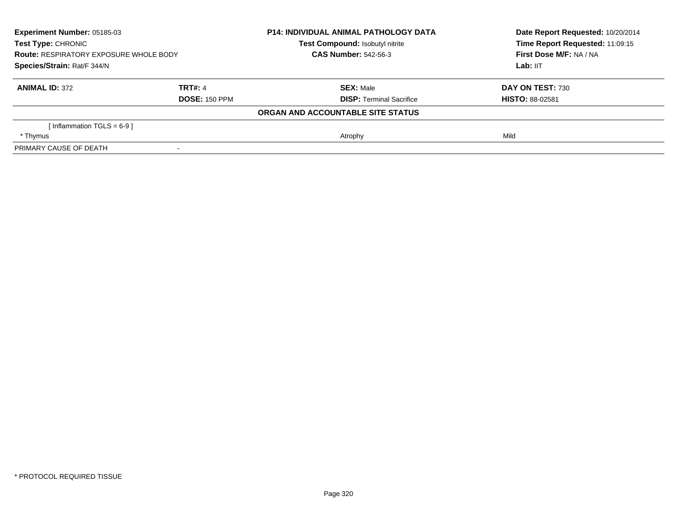| Experiment Number: 05185-03<br><b>Test Type: CHRONIC</b><br><b>Route: RESPIRATORY EXPOSURE WHOLE BODY</b><br>Species/Strain: Rat/F 344/N |                      | <b>P14: INDIVIDUAL ANIMAL PATHOLOGY DATA</b> | Date Report Requested: 10/20/2014<br>Time Report Requested: 11:09:15<br>First Dose M/F: NA / NA<br>Lab: IIT |
|------------------------------------------------------------------------------------------------------------------------------------------|----------------------|----------------------------------------------|-------------------------------------------------------------------------------------------------------------|
|                                                                                                                                          |                      | <b>Test Compound: Isobutyl nitrite</b>       |                                                                                                             |
|                                                                                                                                          |                      | <b>CAS Number: 542-56-3</b>                  |                                                                                                             |
|                                                                                                                                          |                      |                                              |                                                                                                             |
| <b>ANIMAL ID: 372</b>                                                                                                                    | <b>TRT#: 4</b>       | <b>SEX: Male</b>                             | DAY ON TEST: 730                                                                                            |
|                                                                                                                                          | <b>DOSE: 150 PPM</b> | <b>DISP:</b> Terminal Sacrifice              | <b>HISTO: 88-02581</b>                                                                                      |
|                                                                                                                                          |                      | ORGAN AND ACCOUNTABLE SITE STATUS            |                                                                                                             |
| [Inflammation TGLS = $6-9$ ]                                                                                                             |                      |                                              |                                                                                                             |
| * Thymus                                                                                                                                 |                      | Atrophy                                      | Mild                                                                                                        |
| PRIMARY CAUSE OF DEATH                                                                                                                   |                      |                                              |                                                                                                             |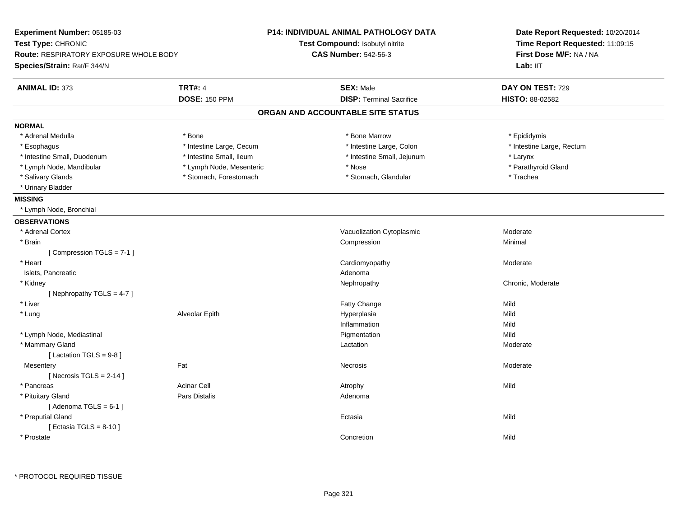| Experiment Number: 05185-03                   |                          | <b>P14: INDIVIDUAL ANIMAL PATHOLOGY DATA</b> | Date Report Requested: 10/20/2014<br>Time Report Requested: 11:09:15<br>First Dose M/F: NA / NA |  |
|-----------------------------------------------|--------------------------|----------------------------------------------|-------------------------------------------------------------------------------------------------|--|
| Test Type: CHRONIC                            |                          | Test Compound: Isobutyl nitrite              |                                                                                                 |  |
| <b>Route: RESPIRATORY EXPOSURE WHOLE BODY</b> |                          | <b>CAS Number: 542-56-3</b>                  |                                                                                                 |  |
| Species/Strain: Rat/F 344/N                   |                          |                                              | Lab: IIT                                                                                        |  |
| <b>ANIMAL ID: 373</b>                         | <b>TRT#: 4</b>           | <b>SEX: Male</b>                             | DAY ON TEST: 729                                                                                |  |
|                                               | <b>DOSE: 150 PPM</b>     | <b>DISP: Terminal Sacrifice</b>              | <b>HISTO: 88-02582</b>                                                                          |  |
|                                               |                          | ORGAN AND ACCOUNTABLE SITE STATUS            |                                                                                                 |  |
| <b>NORMAL</b>                                 |                          |                                              |                                                                                                 |  |
| * Adrenal Medulla                             | * Bone                   | * Bone Marrow                                | * Epididymis                                                                                    |  |
| * Esophagus                                   | * Intestine Large, Cecum | * Intestine Large, Colon                     | * Intestine Large, Rectum                                                                       |  |
| * Intestine Small, Duodenum                   | * Intestine Small, Ileum | * Intestine Small, Jejunum                   | * Larynx                                                                                        |  |
| * Lymph Node, Mandibular                      | * Lymph Node, Mesenteric | * Nose                                       | * Parathyroid Gland                                                                             |  |
| * Salivary Glands                             | * Stomach, Forestomach   | * Stomach, Glandular                         | * Trachea                                                                                       |  |
| * Urinary Bladder                             |                          |                                              |                                                                                                 |  |
| <b>MISSING</b>                                |                          |                                              |                                                                                                 |  |
| * Lymph Node, Bronchial                       |                          |                                              |                                                                                                 |  |
| <b>OBSERVATIONS</b>                           |                          |                                              |                                                                                                 |  |
| * Adrenal Cortex                              |                          | Vacuolization Cytoplasmic                    | Moderate                                                                                        |  |
| * Brain                                       |                          | Compression                                  | Minimal                                                                                         |  |
| [Compression TGLS = 7-1]                      |                          |                                              |                                                                                                 |  |
| * Heart                                       |                          | Cardiomyopathy                               | Moderate                                                                                        |  |
| Islets, Pancreatic                            |                          | Adenoma                                      |                                                                                                 |  |
| * Kidney                                      |                          | Nephropathy                                  | Chronic, Moderate                                                                               |  |
| [ Nephropathy $TGLS = 4-7$ ]                  |                          |                                              |                                                                                                 |  |
| * Liver                                       |                          | <b>Fatty Change</b>                          | Mild                                                                                            |  |
| * Lung                                        | Alveolar Epith           | Hyperplasia                                  | Mild                                                                                            |  |
|                                               |                          | Inflammation                                 | Mild                                                                                            |  |
| * Lymph Node, Mediastinal                     |                          | Pigmentation                                 | Mild                                                                                            |  |
| * Mammary Gland                               |                          | Lactation                                    | Moderate                                                                                        |  |
| [Lactation TGLS = $9-8$ ]                     |                          |                                              |                                                                                                 |  |
| Mesentery                                     | Fat                      | Necrosis                                     | Moderate                                                                                        |  |
| [Necrosis TGLS = $2-14$ ]                     |                          |                                              |                                                                                                 |  |
| * Pancreas                                    | <b>Acinar Cell</b>       | Atrophy                                      | Mild                                                                                            |  |
| * Pituitary Gland                             | <b>Pars Distalis</b>     | Adenoma                                      |                                                                                                 |  |
| [Adenoma TGLS = $6-1$ ]                       |                          |                                              |                                                                                                 |  |
| * Preputial Gland                             |                          | Ectasia                                      | Mild                                                                                            |  |
| [ Ectasia TGLS = $8-10$ ]                     |                          |                                              |                                                                                                 |  |
| * Prostate                                    |                          | Concretion                                   | Mild                                                                                            |  |
|                                               |                          |                                              |                                                                                                 |  |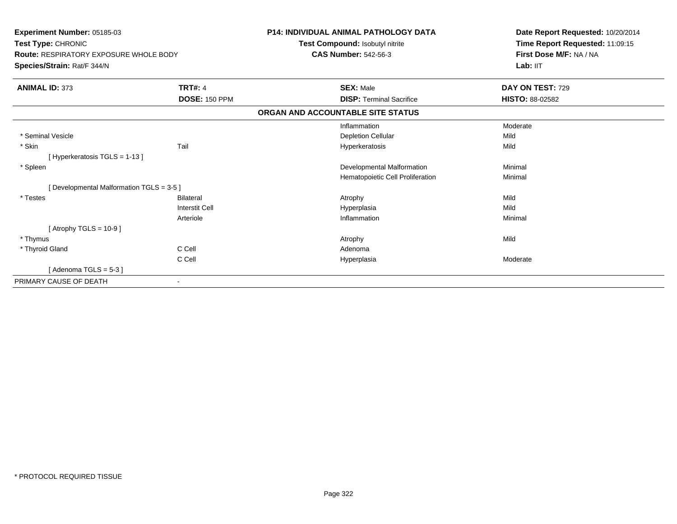| Experiment Number: 05185-03<br>Test Type: CHRONIC<br><b>Route: RESPIRATORY EXPOSURE WHOLE BODY</b><br>Species/Strain: Rat/F 344/N |                       | <b>P14: INDIVIDUAL ANIMAL PATHOLOGY DATA</b> | Date Report Requested: 10/20/2014<br>Time Report Requested: 11:09:15 |
|-----------------------------------------------------------------------------------------------------------------------------------|-----------------------|----------------------------------------------|----------------------------------------------------------------------|
|                                                                                                                                   |                       | Test Compound: Isobutyl nitrite              |                                                                      |
|                                                                                                                                   |                       | <b>CAS Number: 542-56-3</b>                  | First Dose M/F: NA / NA                                              |
|                                                                                                                                   |                       |                                              | Lab: IIT                                                             |
| <b>ANIMAL ID: 373</b>                                                                                                             | <b>TRT#: 4</b>        | <b>SEX: Male</b>                             | DAY ON TEST: 729                                                     |
|                                                                                                                                   | <b>DOSE: 150 PPM</b>  | <b>DISP: Terminal Sacrifice</b>              | HISTO: 88-02582                                                      |
|                                                                                                                                   |                       | ORGAN AND ACCOUNTABLE SITE STATUS            |                                                                      |
|                                                                                                                                   |                       | Inflammation                                 | Moderate                                                             |
| * Seminal Vesicle                                                                                                                 |                       | <b>Depletion Cellular</b>                    | Mild                                                                 |
| * Skin                                                                                                                            | Tail                  | Hyperkeratosis                               | Mild                                                                 |
| [Hyperkeratosis $TGLS = 1-13$ ]                                                                                                   |                       |                                              |                                                                      |
| * Spleen                                                                                                                          |                       | Developmental Malformation                   | Minimal                                                              |
|                                                                                                                                   |                       | Hematopoietic Cell Proliferation             | Minimal                                                              |
| [ Developmental Malformation TGLS = 3-5 ]                                                                                         |                       |                                              |                                                                      |
| * Testes                                                                                                                          | <b>Bilateral</b>      | Atrophy                                      | Mild                                                                 |
|                                                                                                                                   | <b>Interstit Cell</b> | Hyperplasia                                  | Mild                                                                 |
|                                                                                                                                   | Arteriole             | Inflammation                                 | Minimal                                                              |
| [Atrophy TGLS = $10-9$ ]                                                                                                          |                       |                                              |                                                                      |
| * Thymus                                                                                                                          |                       | Atrophy                                      | Mild                                                                 |
| * Thyroid Gland                                                                                                                   | C Cell                | Adenoma                                      |                                                                      |
|                                                                                                                                   | C Cell                | Hyperplasia                                  | Moderate                                                             |
| [Adenoma TGLS = $5-3$ ]                                                                                                           |                       |                                              |                                                                      |
| PRIMARY CAUSE OF DEATH                                                                                                            |                       |                                              |                                                                      |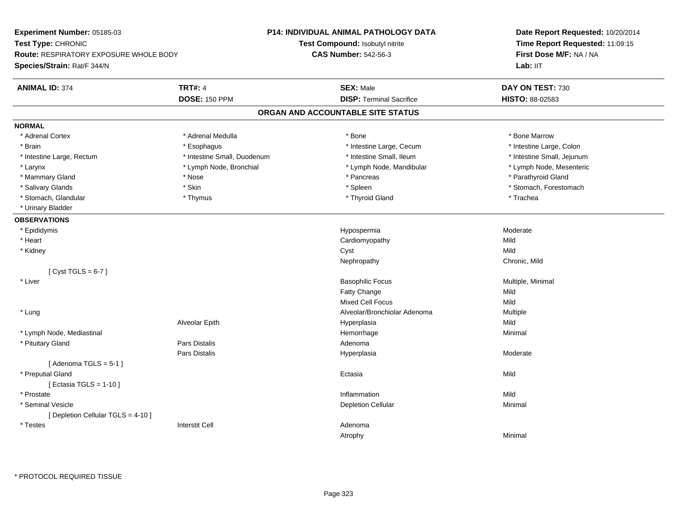**Experiment Number:** 05185-03**Test Type:** CHRONIC **Route:** RESPIRATORY EXPOSURE WHOLE BODY**Species/Strain:** Rat/F 344/N**P14: INDIVIDUAL ANIMAL PATHOLOGY DATATest Compound:** Isobutyl nitrite**CAS Number:** 542-56-3**Date Report Requested:** 10/20/2014**Time Report Requested:** 11:09:15**First Dose M/F:** NA / NALab: IIT **ANIMAL ID:** 374**TRT#:** 4 **SEX:** Male **DAY ON TEST:** 730 **DOSE:** 150 PPM **DISP:** Terminal Sacrifice **HISTO:** 88-02583 **ORGAN AND ACCOUNTABLE SITE STATUSNORMAL**\* Adrenal Cortex \* Adrenal Medulla \* Adrenal Medulla \* Bone \* Bone \* Bone \* Bone \* Bone Marrow \* Intestine Large, Colon \* Brain \* Esophagus \* Esophagus \* Esophagus \* 11testine Large, Cecum \* \* Intestine Large, Rectum \* Thestine Small, Duodenum \* Number of the small, Ileum \* Intestine Small, Jejunum \* Intestine Small, Jejunum \* Lymph Node, Mesenteric \* Larynx **\* Lymph Node, Bronchial \*** Lymph Node, Bronchial \* Lymph Node, Mandibular \* Mammary Gland \* \* Nose \* \* Nose \* \* Pancreas \* Pancreas \* \* Pancreas \* \* Pancreas \* \* Pancreas \* \* Parathyroid Gland \* Salivary Glands \* The stomach \* Skin \* Spleen \* Spleen \* Stomach, Forestomach \* Stomach, Forestomach \* Stomach, Forestomach \* Stomach, Glandular \* Thymus \* Thyroid Gland \* Trachea \* Urinary Bladder**OBSERVATIONS** \* Epididymis HypospermiaHypospermia and a mate of the Moderate Moderate Cardiomyopathy and a mate of the Moderate Mild \* Heart Cardiomyopathyy Mild Mild \* Kidneyy and the control of the control of the control of the control of the control of the control of the control of the control of the control of the control of the control of the control of the control of the control of the co y Chronic, Mild Nephropathy $[$  Cyst TGLS = 6-7  $]$  \* Liver Basophilic Focus Multiple, Minimal Fatty Changee Mild Mixed Cell Focuss Mild Multiple \* Lung Alveolar/Bronchiolar Adenoma Multiple Alveolar Epithh anns an t-Imperplasia anns an t-Imperplasia anns an t-Imperplasia anns an t-Imperplasia anns an t-Imperplasi \* Lymph Node, Mediastinal Hemorrhagee Minimal \* Pituitary Glandd and the contract of Pars Distalis and the contract of Adenoma and Adenoma and the Adenoma and the Adenoma and  $\lambda$ Pars Distalis Hyperplasia Moderate  $[$  Adenoma TGLS = 5-1  $]$  \* Preputial Glandd and the control of the control of the control of the control of the control of the control of the control of the control of the control of the control of the control of the control of the control of the control of the co [ Ectasia TGLS = 1-10 ] \* Prostatee discussion of the control of the control of the control of the control of the control of the control of the control of the control of the control of the control of the control of the control of the control of the control \* Seminal Vesiclee and the contract of the contract of the contract of the Depletion Cellular contract of the Minimal Minimal o [ Depletion Cellular TGLS = 4-10 ] \* Testes Interstit Cell AdenomaAtrophyy the contract of the contract of the Minimal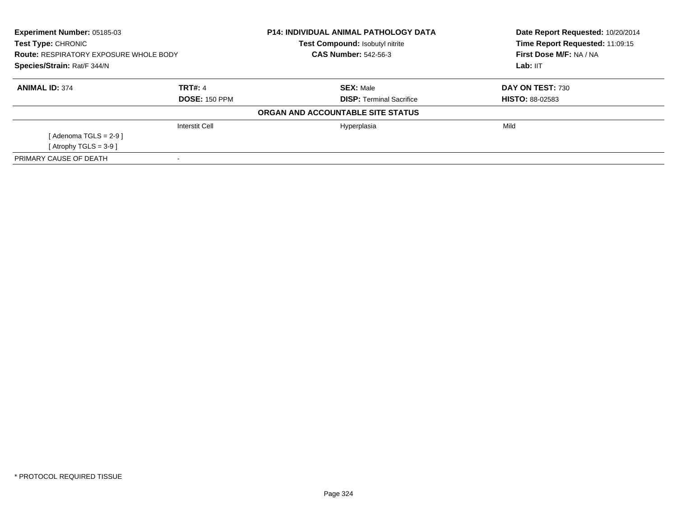| <b>Experiment Number: 05185-03</b><br><b>Test Type: CHRONIC</b><br><b>Route: RESPIRATORY EXPOSURE WHOLE BODY</b><br>Species/Strain: Rat/F 344/N |                       | <b>P14: INDIVIDUAL ANIMAL PATHOLOGY DATA</b><br>Test Compound: Isobutyl nitrite | Date Report Requested: 10/20/2014<br>Time Report Requested: 11:09:15<br>First Dose M/F: NA / NA<br>Lab: IIT |
|-------------------------------------------------------------------------------------------------------------------------------------------------|-----------------------|---------------------------------------------------------------------------------|-------------------------------------------------------------------------------------------------------------|
|                                                                                                                                                 |                       | <b>CAS Number: 542-56-3</b>                                                     |                                                                                                             |
|                                                                                                                                                 |                       |                                                                                 |                                                                                                             |
| <b>ANIMAL ID: 374</b>                                                                                                                           | <b>TRT#: 4</b>        | <b>SEX: Male</b>                                                                | DAY ON TEST: 730                                                                                            |
|                                                                                                                                                 | <b>DOSE: 150 PPM</b>  | <b>DISP:</b> Terminal Sacrifice                                                 | <b>HISTO: 88-02583</b>                                                                                      |
|                                                                                                                                                 |                       | ORGAN AND ACCOUNTABLE SITE STATUS                                               |                                                                                                             |
|                                                                                                                                                 | <b>Interstit Cell</b> | Hyperplasia                                                                     | Mild                                                                                                        |
| [Adenoma TGLS = $2-9$ ]                                                                                                                         |                       |                                                                                 |                                                                                                             |
| [Atrophy TGLS = $3-9$ ]                                                                                                                         |                       |                                                                                 |                                                                                                             |
| PRIMARY CAUSE OF DEATH                                                                                                                          |                       |                                                                                 |                                                                                                             |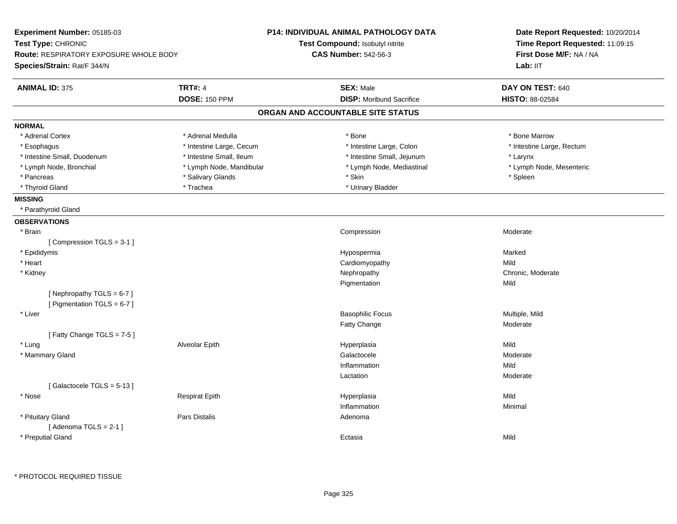| Experiment Number: 05185-03<br>Test Type: CHRONIC<br>Route: RESPIRATORY EXPOSURE WHOLE BODY |                          | P14: INDIVIDUAL ANIMAL PATHOLOGY DATA | Date Report Requested: 10/20/2014<br>Time Report Requested: 11:09:15<br>First Dose M/F: NA / NA |  |
|---------------------------------------------------------------------------------------------|--------------------------|---------------------------------------|-------------------------------------------------------------------------------------------------|--|
|                                                                                             |                          | Test Compound: Isobutyl nitrite       |                                                                                                 |  |
|                                                                                             |                          | <b>CAS Number: 542-56-3</b>           |                                                                                                 |  |
| Species/Strain: Rat/F 344/N                                                                 |                          |                                       | Lab: IIT                                                                                        |  |
| <b>ANIMAL ID: 375</b>                                                                       | <b>TRT#: 4</b>           | <b>SEX: Male</b>                      | DAY ON TEST: 640                                                                                |  |
|                                                                                             | <b>DOSE: 150 PPM</b>     | <b>DISP:</b> Moribund Sacrifice       | HISTO: 88-02584                                                                                 |  |
|                                                                                             |                          | ORGAN AND ACCOUNTABLE SITE STATUS     |                                                                                                 |  |
| <b>NORMAL</b>                                                                               |                          |                                       |                                                                                                 |  |
| * Adrenal Cortex                                                                            | * Adrenal Medulla        | * Bone                                | * Bone Marrow                                                                                   |  |
| * Esophagus                                                                                 | * Intestine Large, Cecum | * Intestine Large, Colon              | * Intestine Large, Rectum                                                                       |  |
| * Intestine Small, Duodenum                                                                 | * Intestine Small, Ileum | * Intestine Small, Jejunum            | * Larynx                                                                                        |  |
| * Lymph Node, Bronchial                                                                     | * Lymph Node, Mandibular | * Lymph Node, Mediastinal             | * Lymph Node, Mesenteric                                                                        |  |
| * Pancreas                                                                                  | * Salivary Glands        | * Skin                                | * Spleen                                                                                        |  |
| * Thyroid Gland                                                                             | * Trachea                | * Urinary Bladder                     |                                                                                                 |  |
| <b>MISSING</b>                                                                              |                          |                                       |                                                                                                 |  |
| * Parathyroid Gland                                                                         |                          |                                       |                                                                                                 |  |
| <b>OBSERVATIONS</b>                                                                         |                          |                                       |                                                                                                 |  |
| * Brain                                                                                     |                          | Compression                           | Moderate                                                                                        |  |
| [Compression TGLS = 3-1]                                                                    |                          |                                       |                                                                                                 |  |
| * Epididymis                                                                                |                          | Hypospermia                           | Marked                                                                                          |  |
| * Heart                                                                                     |                          | Cardiomyopathy                        | Mild                                                                                            |  |
| * Kidney                                                                                    |                          | Nephropathy                           | Chronic, Moderate                                                                               |  |
|                                                                                             |                          | Pigmentation                          | Mild                                                                                            |  |
| [Nephropathy TGLS = 6-7]                                                                    |                          |                                       |                                                                                                 |  |
| [ Pigmentation TGLS = 6-7 ]                                                                 |                          |                                       |                                                                                                 |  |
| * Liver                                                                                     |                          | <b>Basophilic Focus</b>               | Multiple, Mild                                                                                  |  |
|                                                                                             |                          | Fatty Change                          | Moderate                                                                                        |  |
| [Fatty Change TGLS = 7-5]                                                                   |                          |                                       |                                                                                                 |  |
| * Lung                                                                                      | Alveolar Epith           | Hyperplasia                           | Mild                                                                                            |  |
| * Mammary Gland                                                                             |                          | Galactocele                           | Moderate                                                                                        |  |
|                                                                                             |                          | Inflammation                          | Mild                                                                                            |  |
|                                                                                             |                          | Lactation                             | Moderate                                                                                        |  |
| [Galactocele TGLS = 5-13]                                                                   |                          |                                       |                                                                                                 |  |
| * Nose                                                                                      | <b>Respirat Epith</b>    | Hyperplasia                           | Mild                                                                                            |  |
|                                                                                             |                          | Inflammation                          | Minimal                                                                                         |  |
| * Pituitary Gland                                                                           | <b>Pars Distalis</b>     | Adenoma                               |                                                                                                 |  |
| [Adenoma TGLS = $2-1$ ]                                                                     |                          |                                       |                                                                                                 |  |
| * Preputial Gland                                                                           |                          | Ectasia                               | Mild                                                                                            |  |
|                                                                                             |                          |                                       |                                                                                                 |  |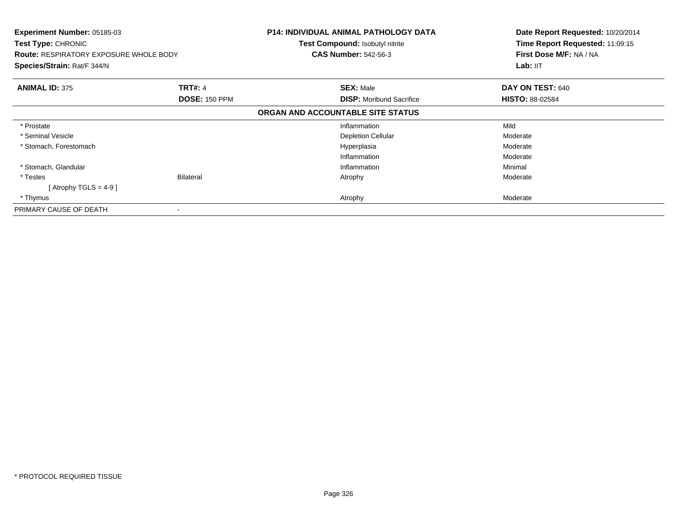| <b>Experiment Number: 05185-03</b><br><b>Test Type: CHRONIC</b><br><b>Route: RESPIRATORY EXPOSURE WHOLE BODY</b><br>Species/Strain: Rat/F 344/N |                                        | <b>P14: INDIVIDUAL ANIMAL PATHOLOGY DATA</b><br><b>Test Compound: Isobutyl nitrite</b><br><b>CAS Number: 542-56-3</b> | Date Report Requested: 10/20/2014<br>Time Report Requested: 11:09:15<br>First Dose M/F: NA / NA<br>Lab: IIT |
|-------------------------------------------------------------------------------------------------------------------------------------------------|----------------------------------------|-----------------------------------------------------------------------------------------------------------------------|-------------------------------------------------------------------------------------------------------------|
| <b>ANIMAL ID: 375</b>                                                                                                                           | <b>TRT#: 4</b><br><b>DOSE: 150 PPM</b> | <b>SEX: Male</b><br><b>DISP:</b> Moribund Sacrifice                                                                   | DAY ON TEST: 640<br><b>HISTO: 88-02584</b>                                                                  |
|                                                                                                                                                 |                                        | ORGAN AND ACCOUNTABLE SITE STATUS                                                                                     |                                                                                                             |
| * Prostate                                                                                                                                      |                                        | Inflammation                                                                                                          | Mild                                                                                                        |
| * Seminal Vesicle                                                                                                                               |                                        | <b>Depletion Cellular</b>                                                                                             | Moderate                                                                                                    |
| * Stomach, Forestomach                                                                                                                          |                                        | Hyperplasia                                                                                                           | Moderate                                                                                                    |
|                                                                                                                                                 |                                        | Inflammation                                                                                                          | Moderate                                                                                                    |
| * Stomach, Glandular                                                                                                                            |                                        | Inflammation                                                                                                          | Minimal                                                                                                     |
| * Testes                                                                                                                                        | <b>Bilateral</b>                       | Atrophy                                                                                                               | Moderate                                                                                                    |
| [Atrophy TGLS = 4-9 ]                                                                                                                           |                                        |                                                                                                                       |                                                                                                             |
| * Thymus                                                                                                                                        |                                        | Atrophy                                                                                                               | Moderate                                                                                                    |
| PRIMARY CAUSE OF DEATH                                                                                                                          |                                        |                                                                                                                       |                                                                                                             |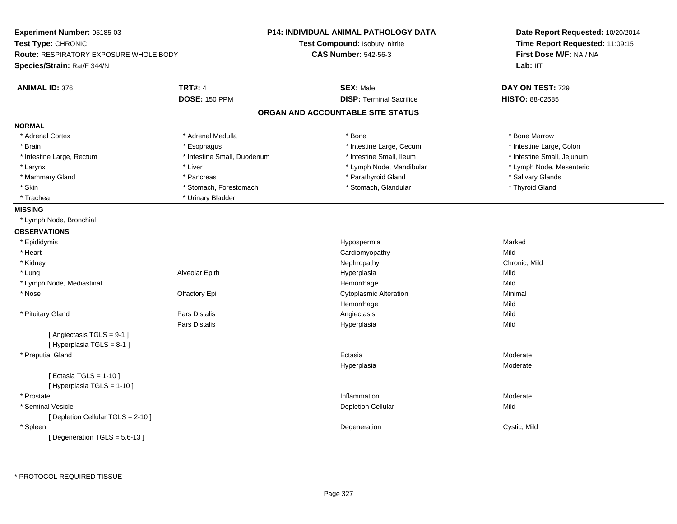| Experiment Number: 05185-03            |                             | <b>P14: INDIVIDUAL ANIMAL PATHOLOGY DATA</b> | Date Report Requested: 10/20/2014<br>Time Report Requested: 11:09:15<br>First Dose M/F: NA / NA |
|----------------------------------------|-----------------------------|----------------------------------------------|-------------------------------------------------------------------------------------------------|
| Test Type: CHRONIC                     |                             | <b>Test Compound: Isobutyl nitrite</b>       |                                                                                                 |
| Route: RESPIRATORY EXPOSURE WHOLE BODY |                             | <b>CAS Number: 542-56-3</b>                  |                                                                                                 |
| Species/Strain: Rat/F 344/N            |                             |                                              | Lab: IIT                                                                                        |
| <b>ANIMAL ID: 376</b>                  | <b>TRT#: 4</b>              | <b>SEX: Male</b>                             | DAY ON TEST: 729                                                                                |
|                                        | <b>DOSE: 150 PPM</b>        | <b>DISP: Terminal Sacrifice</b>              | HISTO: 88-02585                                                                                 |
|                                        |                             | ORGAN AND ACCOUNTABLE SITE STATUS            |                                                                                                 |
| <b>NORMAL</b>                          |                             |                                              |                                                                                                 |
| * Adrenal Cortex                       | * Adrenal Medulla           | * Bone                                       | * Bone Marrow                                                                                   |
| * Brain                                | * Esophagus                 | * Intestine Large, Cecum                     | * Intestine Large, Colon                                                                        |
| * Intestine Large, Rectum              | * Intestine Small, Duodenum | * Intestine Small, Ileum                     | * Intestine Small, Jejunum                                                                      |
| * Larynx                               | * Liver                     | * Lymph Node, Mandibular                     | * Lymph Node, Mesenteric                                                                        |
| * Mammary Gland                        | * Pancreas                  | * Parathyroid Gland                          | * Salivary Glands                                                                               |
| * Skin                                 | * Stomach, Forestomach      | * Stomach, Glandular                         | * Thyroid Gland                                                                                 |
| * Trachea                              | * Urinary Bladder           |                                              |                                                                                                 |
| <b>MISSING</b>                         |                             |                                              |                                                                                                 |
| * Lymph Node, Bronchial                |                             |                                              |                                                                                                 |
| <b>OBSERVATIONS</b>                    |                             |                                              |                                                                                                 |
| * Epididymis                           |                             | Hypospermia                                  | Marked                                                                                          |
| * Heart                                |                             | Cardiomyopathy                               | Mild                                                                                            |
| * Kidney                               |                             | Nephropathy                                  | Chronic, Mild                                                                                   |
| * Lung                                 | Alveolar Epith              | Hyperplasia                                  | Mild                                                                                            |
| * Lymph Node, Mediastinal              |                             | Hemorrhage                                   | Mild                                                                                            |
| * Nose                                 | Olfactory Epi               | <b>Cytoplasmic Alteration</b>                | Minimal                                                                                         |
|                                        |                             | Hemorrhage                                   | Mild                                                                                            |
| * Pituitary Gland                      | Pars Distalis               | Angiectasis                                  | Mild                                                                                            |
|                                        | Pars Distalis               | Hyperplasia                                  | Mild                                                                                            |
| [Angiectasis TGLS = 9-1]               |                             |                                              |                                                                                                 |
| [Hyperplasia TGLS = 8-1]               |                             |                                              |                                                                                                 |
| * Preputial Gland                      |                             | Ectasia                                      | Moderate                                                                                        |
|                                        |                             | Hyperplasia                                  | Moderate                                                                                        |
| [ Ectasia TGLS = $1-10$ ]              |                             |                                              |                                                                                                 |
| [ Hyperplasia TGLS = 1-10 ]            |                             |                                              |                                                                                                 |
| * Prostate                             |                             | Inflammation                                 | Moderate                                                                                        |
| * Seminal Vesicle                      |                             | <b>Depletion Cellular</b>                    | Mild                                                                                            |
| [ Depletion Cellular TGLS = 2-10 ]     |                             |                                              |                                                                                                 |
| * Spleen                               |                             | Degeneration                                 | Cystic, Mild                                                                                    |
| [Degeneration TGLS = 5,6-13]           |                             |                                              |                                                                                                 |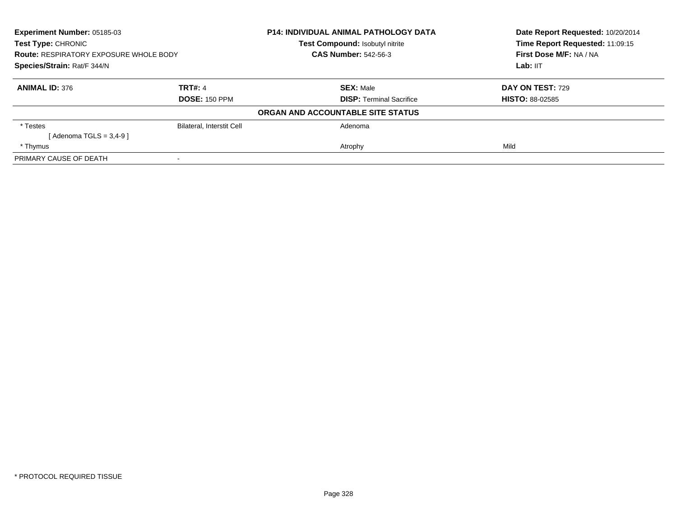| <b>Experiment Number: 05185-03</b><br>Test Type: CHRONIC<br><b>Route: RESPIRATORY EXPOSURE WHOLE BODY</b><br>Species/Strain: Rat/F 344/N |                           | P14: INDIVIDUAL ANIMAL PATHOLOGY DATA | Date Report Requested: 10/20/2014<br>Time Report Requested: 11:09:15 |
|------------------------------------------------------------------------------------------------------------------------------------------|---------------------------|---------------------------------------|----------------------------------------------------------------------|
|                                                                                                                                          |                           | Test Compound: Isobutyl nitrite       |                                                                      |
|                                                                                                                                          |                           | <b>CAS Number: 542-56-3</b>           | First Dose M/F: NA / NA                                              |
|                                                                                                                                          |                           |                                       | Lab: IIT                                                             |
| <b>ANIMAL ID: 376</b>                                                                                                                    | <b>TRT#: 4</b>            | <b>SEX: Male</b>                      | <b>DAY ON TEST: 729</b>                                              |
|                                                                                                                                          | <b>DOSE: 150 PPM</b>      | <b>DISP:</b> Terminal Sacrifice       | <b>HISTO: 88-02585</b>                                               |
|                                                                                                                                          |                           | ORGAN AND ACCOUNTABLE SITE STATUS     |                                                                      |
| * Testes                                                                                                                                 | Bilateral, Interstit Cell | Adenoma                               |                                                                      |
| [Adenoma TGLS = $3,4-9$ ]                                                                                                                |                           |                                       |                                                                      |
| * Thymus                                                                                                                                 |                           | Atrophy                               | Mild                                                                 |
| PRIMARY CAUSE OF DEATH                                                                                                                   |                           |                                       |                                                                      |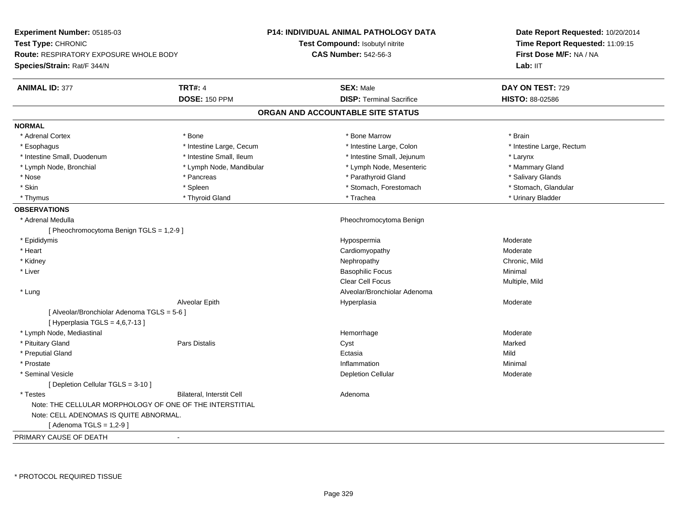| Experiment Number: 05185-03                              |                           | <b>P14: INDIVIDUAL ANIMAL PATHOLOGY DATA</b> | Date Report Requested: 10/20/2014<br>Time Report Requested: 11:09:15<br>First Dose M/F: NA / NA |  |
|----------------------------------------------------------|---------------------------|----------------------------------------------|-------------------------------------------------------------------------------------------------|--|
| Test Type: CHRONIC                                       |                           | <b>Test Compound: Isobutyl nitrite</b>       |                                                                                                 |  |
| <b>Route: RESPIRATORY EXPOSURE WHOLE BODY</b>            |                           | <b>CAS Number: 542-56-3</b>                  |                                                                                                 |  |
| Species/Strain: Rat/F 344/N                              |                           |                                              | Lab: IIT                                                                                        |  |
| <b>TRT#: 4</b><br><b>ANIMAL ID: 377</b>                  |                           | <b>SEX: Male</b>                             | DAY ON TEST: 729                                                                                |  |
|                                                          | <b>DOSE: 150 PPM</b>      | <b>DISP: Terminal Sacrifice</b>              | HISTO: 88-02586                                                                                 |  |
|                                                          |                           | ORGAN AND ACCOUNTABLE SITE STATUS            |                                                                                                 |  |
| <b>NORMAL</b>                                            |                           |                                              |                                                                                                 |  |
| * Adrenal Cortex<br>* Bone                               |                           | * Bone Marrow                                | * Brain                                                                                         |  |
| * Esophagus                                              | * Intestine Large, Cecum  | * Intestine Large, Colon                     | * Intestine Large, Rectum                                                                       |  |
| * Intestine Small, Duodenum                              | * Intestine Small, Ileum  | * Intestine Small, Jejunum                   | * Larynx                                                                                        |  |
| * Lymph Node, Bronchial                                  | * Lymph Node, Mandibular  | * Lymph Node, Mesenteric                     | * Mammary Gland                                                                                 |  |
| * Nose                                                   | * Pancreas                | * Parathyroid Gland                          | * Salivary Glands                                                                               |  |
| * Skin<br>* Spleen                                       |                           | * Stomach, Forestomach                       | * Stomach, Glandular                                                                            |  |
| * Thymus                                                 | * Thyroid Gland           | * Trachea                                    | * Urinary Bladder                                                                               |  |
| <b>OBSERVATIONS</b>                                      |                           |                                              |                                                                                                 |  |
| * Adrenal Medulla                                        |                           | Pheochromocytoma Benign                      |                                                                                                 |  |
| [ Pheochromocytoma Benign TGLS = 1,2-9 ]                 |                           |                                              |                                                                                                 |  |
| * Epididymis                                             |                           | Hypospermia                                  | Moderate                                                                                        |  |
| * Heart                                                  |                           | Cardiomyopathy                               | Moderate                                                                                        |  |
| * Kidney                                                 |                           | Nephropathy                                  | Chronic, Mild                                                                                   |  |
| * Liver                                                  |                           | <b>Basophilic Focus</b>                      | Minimal                                                                                         |  |
|                                                          |                           | <b>Clear Cell Focus</b>                      | Multiple, Mild                                                                                  |  |
| * Lung                                                   |                           | Alveolar/Bronchiolar Adenoma                 |                                                                                                 |  |
| Alveolar Epith                                           |                           | Hyperplasia                                  | Moderate                                                                                        |  |
| [ Alveolar/Bronchiolar Adenoma TGLS = 5-6 ]              |                           |                                              |                                                                                                 |  |
| [ Hyperplasia TGLS = $4,6,7-13$ ]                        |                           |                                              |                                                                                                 |  |
| * Lymph Node, Mediastinal                                |                           | Hemorrhage                                   | Moderate                                                                                        |  |
| * Pituitary Gland<br>Pars Distalis                       |                           | Cyst                                         | Marked                                                                                          |  |
| * Preputial Gland                                        |                           | Ectasia                                      | Mild                                                                                            |  |
| * Prostate                                               |                           | Inflammation                                 | Minimal                                                                                         |  |
| * Seminal Vesicle                                        |                           | <b>Depletion Cellular</b>                    | Moderate                                                                                        |  |
| [ Depletion Cellular TGLS = 3-10 ]                       |                           |                                              |                                                                                                 |  |
| * Testes                                                 | Bilateral, Interstit Cell | Adenoma                                      |                                                                                                 |  |
| Note: THE CELLULAR MORPHOLOGY OF ONE OF THE INTERSTITIAL |                           |                                              |                                                                                                 |  |
| Note: CELL ADENOMAS IS QUITE ABNORMAL.                   |                           |                                              |                                                                                                 |  |
| [Adenoma TGLS = $1,2-9$ ]                                |                           |                                              |                                                                                                 |  |
| PRIMARY CAUSE OF DEATH<br>$\blacksquare$                 |                           |                                              |                                                                                                 |  |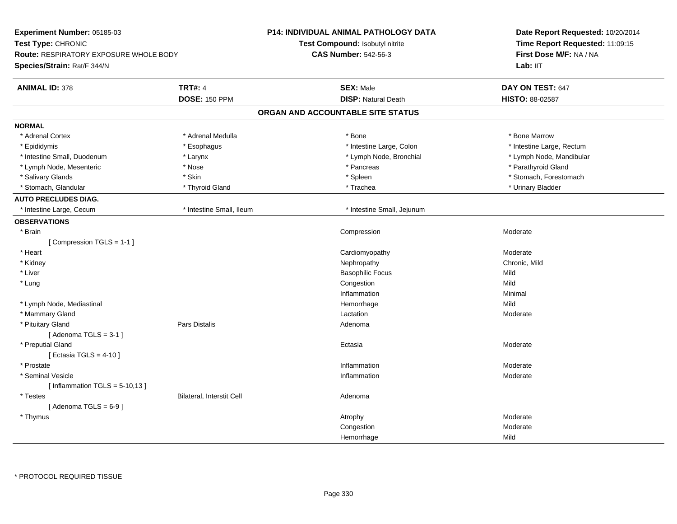| Experiment Number: 05185-03<br>Test Type: CHRONIC<br><b>Route: RESPIRATORY EXPOSURE WHOLE BODY</b> |                                  | <b>P14: INDIVIDUAL ANIMAL PATHOLOGY DATA</b> | Date Report Requested: 10/20/2014<br>Time Report Requested: 11:09:15<br>First Dose M/F: NA / NA |  |
|----------------------------------------------------------------------------------------------------|----------------------------------|----------------------------------------------|-------------------------------------------------------------------------------------------------|--|
|                                                                                                    |                                  | Test Compound: Isobutyl nitrite              |                                                                                                 |  |
|                                                                                                    |                                  | <b>CAS Number: 542-56-3</b>                  |                                                                                                 |  |
| Species/Strain: Rat/F 344/N                                                                        |                                  |                                              | Lab: IIT                                                                                        |  |
| <b>ANIMAL ID: 378</b>                                                                              | <b>TRT#: 4</b>                   | <b>SEX: Male</b>                             | DAY ON TEST: 647                                                                                |  |
|                                                                                                    | <b>DOSE: 150 PPM</b>             | <b>DISP: Natural Death</b>                   | HISTO: 88-02587                                                                                 |  |
|                                                                                                    |                                  | ORGAN AND ACCOUNTABLE SITE STATUS            |                                                                                                 |  |
| <b>NORMAL</b>                                                                                      |                                  |                                              |                                                                                                 |  |
| * Adrenal Cortex                                                                                   | * Adrenal Medulla                | * Bone                                       | * Bone Marrow                                                                                   |  |
| * Epididymis                                                                                       | * Esophagus                      | * Intestine Large, Colon                     | * Intestine Large, Rectum                                                                       |  |
| * Intestine Small, Duodenum                                                                        | * Larynx                         | * Lymph Node, Bronchial                      | * Lymph Node, Mandibular                                                                        |  |
| * Lymph Node, Mesenteric                                                                           | * Nose                           | * Pancreas                                   | * Parathyroid Gland                                                                             |  |
| * Salivary Glands                                                                                  | * Skin                           | * Spleen                                     | * Stomach, Forestomach                                                                          |  |
| * Stomach, Glandular                                                                               | * Thyroid Gland                  | * Trachea                                    | * Urinary Bladder                                                                               |  |
| <b>AUTO PRECLUDES DIAG.</b>                                                                        |                                  |                                              |                                                                                                 |  |
| * Intestine Large, Cecum                                                                           | * Intestine Small, Ileum         | * Intestine Small, Jejunum                   |                                                                                                 |  |
| <b>OBSERVATIONS</b>                                                                                |                                  |                                              |                                                                                                 |  |
| * Brain                                                                                            |                                  | Compression                                  | Moderate                                                                                        |  |
| [Compression TGLS = 1-1]                                                                           |                                  |                                              |                                                                                                 |  |
| * Heart                                                                                            |                                  | Cardiomyopathy                               | Moderate                                                                                        |  |
| * Kidney                                                                                           |                                  | Nephropathy                                  | Chronic, Mild                                                                                   |  |
| * Liver                                                                                            |                                  | <b>Basophilic Focus</b>                      | Mild                                                                                            |  |
| * Lung                                                                                             |                                  | Congestion                                   | Mild                                                                                            |  |
|                                                                                                    |                                  | Inflammation                                 | Minimal                                                                                         |  |
| * Lymph Node, Mediastinal                                                                          |                                  | Hemorrhage                                   | Mild                                                                                            |  |
| * Mammary Gland                                                                                    |                                  | Lactation                                    | Moderate                                                                                        |  |
| * Pituitary Gland                                                                                  | <b>Pars Distalis</b>             | Adenoma                                      |                                                                                                 |  |
| [Adenoma TGLS = $3-1$ ]                                                                            |                                  |                                              |                                                                                                 |  |
| * Preputial Gland                                                                                  |                                  | Ectasia                                      | Moderate                                                                                        |  |
| [ Ectasia TGLS = $4-10$ ]                                                                          |                                  |                                              |                                                                                                 |  |
| * Prostate                                                                                         |                                  | Inflammation                                 | Moderate                                                                                        |  |
| * Seminal Vesicle                                                                                  |                                  | Inflammation                                 | Moderate                                                                                        |  |
| [Inflammation TGLS = $5-10,13$ ]                                                                   |                                  |                                              |                                                                                                 |  |
| * Testes                                                                                           | <b>Bilateral, Interstit Cell</b> | Adenoma                                      |                                                                                                 |  |
| [Adenoma TGLS = $6-9$ ]                                                                            |                                  |                                              |                                                                                                 |  |
| * Thymus                                                                                           |                                  | Atrophy                                      | Moderate                                                                                        |  |
|                                                                                                    |                                  | Congestion                                   | Moderate                                                                                        |  |
|                                                                                                    |                                  | Hemorrhage                                   | Mild                                                                                            |  |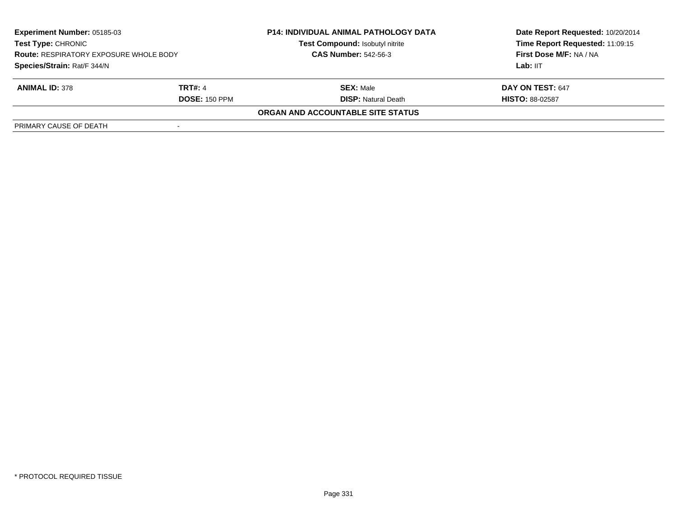| <b>Experiment Number: 05185-03</b><br><b>Test Type: CHRONIC</b><br><b>Route: RESPIRATORY EXPOSURE WHOLE BODY</b><br>Species/Strain: Rat/F 344/N |                      | <b>P14: INDIVIDUAL ANIMAL PATHOLOGY DATA</b> | Date Report Requested: 10/20/2014 |  |
|-------------------------------------------------------------------------------------------------------------------------------------------------|----------------------|----------------------------------------------|-----------------------------------|--|
|                                                                                                                                                 |                      | Test Compound: Isobutyl nitrite              | Time Report Requested: 11:09:15   |  |
|                                                                                                                                                 |                      | <b>CAS Number: 542-56-3</b>                  | <b>First Dose M/F: NA / NA</b>    |  |
|                                                                                                                                                 |                      |                                              | Lab: IIT                          |  |
| <b>ANIMAL ID: 378</b>                                                                                                                           | <b>TRT#: 4</b>       | <b>SEX:</b> Male                             | DAY ON TEST: 647                  |  |
|                                                                                                                                                 | <b>DOSE: 150 PPM</b> | <b>DISP:</b> Natural Death                   | <b>HISTO: 88-02587</b>            |  |
|                                                                                                                                                 |                      | ORGAN AND ACCOUNTABLE SITE STATUS            |                                   |  |
| PRIMARY CAUSE OF DEATH                                                                                                                          |                      |                                              |                                   |  |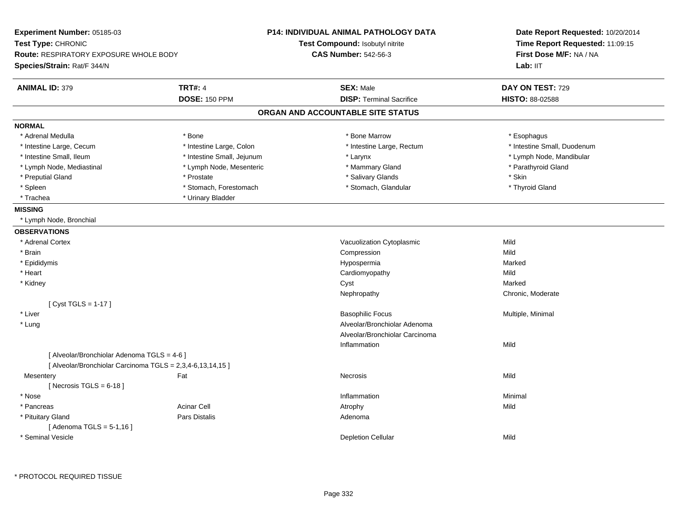| Experiment Number: 05185-03<br>Test Type: CHRONIC<br><b>Route: RESPIRATORY EXPOSURE WHOLE BODY</b><br>Species/Strain: Rat/F 344/N |                            | <b>P14: INDIVIDUAL ANIMAL PATHOLOGY DATA</b><br>Test Compound: Isobutyl nitrite<br><b>CAS Number: 542-56-3</b> | Date Report Requested: 10/20/2014<br>Time Report Requested: 11:09:15<br>First Dose M/F: NA / NA<br>Lab: IIT |
|-----------------------------------------------------------------------------------------------------------------------------------|----------------------------|----------------------------------------------------------------------------------------------------------------|-------------------------------------------------------------------------------------------------------------|
| <b>ANIMAL ID: 379</b>                                                                                                             | <b>TRT#: 4</b>             | <b>SEX: Male</b>                                                                                               | DAY ON TEST: 729                                                                                            |
|                                                                                                                                   | <b>DOSE: 150 PPM</b>       | <b>DISP: Terminal Sacrifice</b>                                                                                | <b>HISTO: 88-02588</b>                                                                                      |
|                                                                                                                                   |                            | ORGAN AND ACCOUNTABLE SITE STATUS                                                                              |                                                                                                             |
| <b>NORMAL</b>                                                                                                                     |                            |                                                                                                                |                                                                                                             |
| * Adrenal Medulla                                                                                                                 | * Bone                     | * Bone Marrow                                                                                                  | * Esophagus                                                                                                 |
| * Intestine Large, Cecum                                                                                                          | * Intestine Large, Colon   | * Intestine Large, Rectum                                                                                      | * Intestine Small, Duodenum                                                                                 |
| * Intestine Small, Ileum                                                                                                          | * Intestine Small, Jejunum | * Larynx                                                                                                       | * Lymph Node, Mandibular                                                                                    |
| * Lymph Node, Mediastinal                                                                                                         | * Lymph Node, Mesenteric   | * Mammary Gland                                                                                                | * Parathyroid Gland                                                                                         |
| * Preputial Gland                                                                                                                 | * Prostate                 | * Salivary Glands                                                                                              | * Skin                                                                                                      |
| * Spleen                                                                                                                          | * Stomach, Forestomach     | * Stomach, Glandular                                                                                           | * Thyroid Gland                                                                                             |
| * Trachea                                                                                                                         | * Urinary Bladder          |                                                                                                                |                                                                                                             |
| <b>MISSING</b>                                                                                                                    |                            |                                                                                                                |                                                                                                             |
| * Lymph Node, Bronchial                                                                                                           |                            |                                                                                                                |                                                                                                             |
| <b>OBSERVATIONS</b>                                                                                                               |                            |                                                                                                                |                                                                                                             |
| * Adrenal Cortex                                                                                                                  |                            | Vacuolization Cytoplasmic                                                                                      | Mild                                                                                                        |
| * Brain                                                                                                                           |                            | Compression                                                                                                    | Mild                                                                                                        |
| * Epididymis                                                                                                                      |                            | Hypospermia                                                                                                    | Marked                                                                                                      |
| * Heart                                                                                                                           |                            | Cardiomyopathy                                                                                                 | Mild                                                                                                        |
| * Kidney                                                                                                                          |                            | Cyst                                                                                                           | Marked                                                                                                      |
|                                                                                                                                   |                            | Nephropathy                                                                                                    | Chronic, Moderate                                                                                           |
| [ Cyst TGLS = 1-17 ]                                                                                                              |                            |                                                                                                                |                                                                                                             |
| * Liver                                                                                                                           |                            | <b>Basophilic Focus</b>                                                                                        | Multiple, Minimal                                                                                           |
| $*$ Lung                                                                                                                          |                            | Alveolar/Bronchiolar Adenoma                                                                                   |                                                                                                             |
|                                                                                                                                   |                            | Alveolar/Bronchiolar Carcinoma                                                                                 |                                                                                                             |
|                                                                                                                                   |                            | Inflammation                                                                                                   | Mild                                                                                                        |
| [ Alveolar/Bronchiolar Adenoma TGLS = 4-6 ]<br>[ Alveolar/Bronchiolar Carcinoma TGLS = 2,3,4-6,13,14,15 ]                         |                            |                                                                                                                |                                                                                                             |
| Mesentery                                                                                                                         | Fat                        | Necrosis                                                                                                       | Mild                                                                                                        |
| [Necrosis TGLS = $6-18$ ]                                                                                                         |                            |                                                                                                                |                                                                                                             |
| * Nose                                                                                                                            |                            | Inflammation                                                                                                   | Minimal                                                                                                     |
| * Pancreas                                                                                                                        | <b>Acinar Cell</b>         | Atrophy                                                                                                        | Mild                                                                                                        |
| * Pituitary Gland                                                                                                                 | <b>Pars Distalis</b>       | Adenoma                                                                                                        |                                                                                                             |
| [Adenoma TGLS = $5-1,16$ ]                                                                                                        |                            |                                                                                                                |                                                                                                             |
| * Seminal Vesicle                                                                                                                 |                            | <b>Depletion Cellular</b>                                                                                      | Mild                                                                                                        |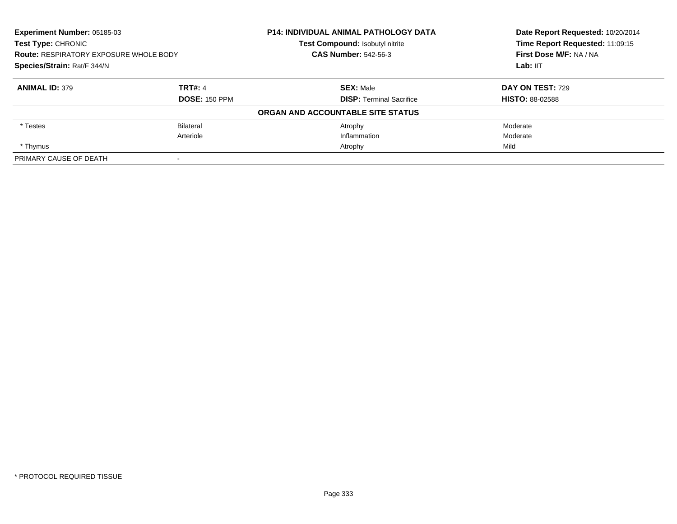| <b>Experiment Number: 05185-03</b><br><b>Test Type: CHRONIC</b><br><b>Route: RESPIRATORY EXPOSURE WHOLE BODY</b><br>Species/Strain: Rat/F 344/N |                      | P14: INDIVIDUAL ANIMAL PATHOLOGY DATA | Date Report Requested: 10/20/2014<br>Time Report Requested: 11:09:15 |
|-------------------------------------------------------------------------------------------------------------------------------------------------|----------------------|---------------------------------------|----------------------------------------------------------------------|
|                                                                                                                                                 |                      | Test Compound: Isobutyl nitrite       |                                                                      |
|                                                                                                                                                 |                      | <b>CAS Number: 542-56-3</b>           | First Dose M/F: NA / NA                                              |
|                                                                                                                                                 |                      |                                       | Lab: IIT                                                             |
| <b>ANIMAL ID: 379</b>                                                                                                                           | <b>TRT#: 4</b>       | <b>SEX: Male</b>                      | DAY ON TEST: 729                                                     |
|                                                                                                                                                 | <b>DOSE: 150 PPM</b> | <b>DISP: Terminal Sacrifice</b>       | <b>HISTO: 88-02588</b>                                               |
|                                                                                                                                                 |                      | ORGAN AND ACCOUNTABLE SITE STATUS     |                                                                      |
| * Testes                                                                                                                                        | <b>Bilateral</b>     | Atrophy                               | Moderate                                                             |
|                                                                                                                                                 | Arteriole            | Inflammation                          | Moderate                                                             |
| * Thymus                                                                                                                                        |                      | Atrophy                               | Mild                                                                 |
| PRIMARY CAUSE OF DEATH                                                                                                                          |                      |                                       |                                                                      |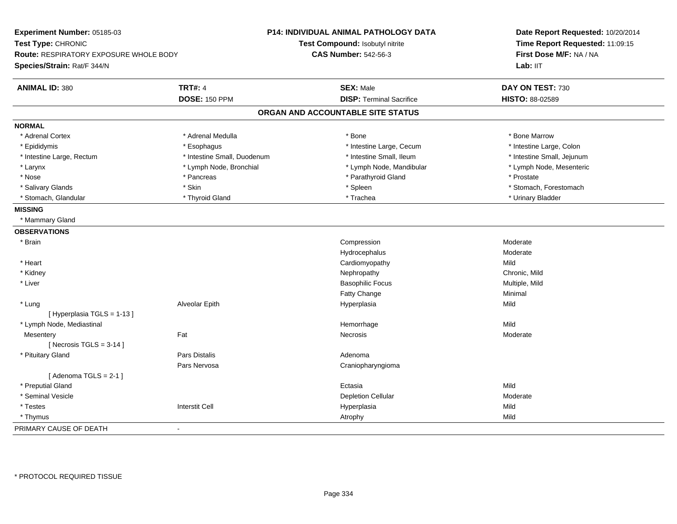| Experiment Number: 05185-03<br>Test Type: CHRONIC<br><b>Route: RESPIRATORY EXPOSURE WHOLE BODY</b><br>Species/Strain: Rat/F 344/N |                             | <b>P14: INDIVIDUAL ANIMAL PATHOLOGY DATA</b><br>Test Compound: Isobutyl nitrite<br><b>CAS Number: 542-56-3</b> | Date Report Requested: 10/20/2014<br>Time Report Requested: 11:09:15<br>First Dose M/F: NA / NA<br>Lab: IIT |
|-----------------------------------------------------------------------------------------------------------------------------------|-----------------------------|----------------------------------------------------------------------------------------------------------------|-------------------------------------------------------------------------------------------------------------|
| <b>ANIMAL ID: 380</b>                                                                                                             | <b>TRT#: 4</b>              | <b>SEX: Male</b>                                                                                               | DAY ON TEST: 730                                                                                            |
|                                                                                                                                   | <b>DOSE: 150 PPM</b>        | <b>DISP: Terminal Sacrifice</b>                                                                                | HISTO: 88-02589                                                                                             |
|                                                                                                                                   |                             | ORGAN AND ACCOUNTABLE SITE STATUS                                                                              |                                                                                                             |
| <b>NORMAL</b>                                                                                                                     |                             |                                                                                                                |                                                                                                             |
| * Adrenal Cortex                                                                                                                  | * Adrenal Medulla           | * Bone                                                                                                         | * Bone Marrow                                                                                               |
| * Epididymis                                                                                                                      | * Esophagus                 | * Intestine Large, Cecum                                                                                       | * Intestine Large, Colon                                                                                    |
| * Intestine Large, Rectum                                                                                                         | * Intestine Small, Duodenum | * Intestine Small, Ileum                                                                                       | * Intestine Small, Jejunum                                                                                  |
| * Larynx                                                                                                                          | * Lymph Node, Bronchial     | * Lymph Node, Mandibular                                                                                       | * Lymph Node, Mesenteric                                                                                    |
| * Nose                                                                                                                            | * Pancreas                  | * Parathyroid Gland                                                                                            | * Prostate                                                                                                  |
| * Salivary Glands                                                                                                                 | * Skin                      | * Spleen                                                                                                       | * Stomach, Forestomach                                                                                      |
| * Stomach, Glandular                                                                                                              | * Thyroid Gland             | * Trachea                                                                                                      | * Urinary Bladder                                                                                           |
| <b>MISSING</b>                                                                                                                    |                             |                                                                                                                |                                                                                                             |
| * Mammary Gland                                                                                                                   |                             |                                                                                                                |                                                                                                             |
| <b>OBSERVATIONS</b>                                                                                                               |                             |                                                                                                                |                                                                                                             |
| * Brain                                                                                                                           |                             | Compression                                                                                                    | Moderate                                                                                                    |
|                                                                                                                                   |                             | Hydrocephalus                                                                                                  | Moderate                                                                                                    |
| * Heart                                                                                                                           |                             | Cardiomyopathy                                                                                                 | Mild                                                                                                        |
| * Kidney                                                                                                                          |                             | Nephropathy                                                                                                    | Chronic, Mild                                                                                               |
| * Liver                                                                                                                           |                             | <b>Basophilic Focus</b>                                                                                        | Multiple, Mild                                                                                              |
|                                                                                                                                   |                             | Fatty Change                                                                                                   | Minimal                                                                                                     |
| * Lung                                                                                                                            | Alveolar Epith              | Hyperplasia                                                                                                    | Mild                                                                                                        |
| [Hyperplasia TGLS = 1-13]                                                                                                         |                             |                                                                                                                |                                                                                                             |
| * Lymph Node, Mediastinal                                                                                                         |                             | Hemorrhage                                                                                                     | Mild                                                                                                        |
| Mesentery                                                                                                                         | Fat                         | Necrosis                                                                                                       | Moderate                                                                                                    |
| [Necrosis TGLS = $3-14$ ]                                                                                                         |                             |                                                                                                                |                                                                                                             |
| * Pituitary Gland                                                                                                                 | <b>Pars Distalis</b>        | Adenoma                                                                                                        |                                                                                                             |
|                                                                                                                                   | Pars Nervosa                | Craniopharyngioma                                                                                              |                                                                                                             |
| [Adenoma TGLS = $2-1$ ]                                                                                                           |                             |                                                                                                                |                                                                                                             |
| * Preputial Gland                                                                                                                 |                             | Ectasia                                                                                                        | Mild                                                                                                        |
| * Seminal Vesicle                                                                                                                 |                             | <b>Depletion Cellular</b>                                                                                      | Moderate                                                                                                    |
| * Testes                                                                                                                          | <b>Interstit Cell</b>       | Hyperplasia                                                                                                    | Mild                                                                                                        |
| * Thymus                                                                                                                          |                             | Atrophy                                                                                                        | Mild                                                                                                        |
| PRIMARY CAUSE OF DEATH                                                                                                            | $\mathbf{r}$                |                                                                                                                |                                                                                                             |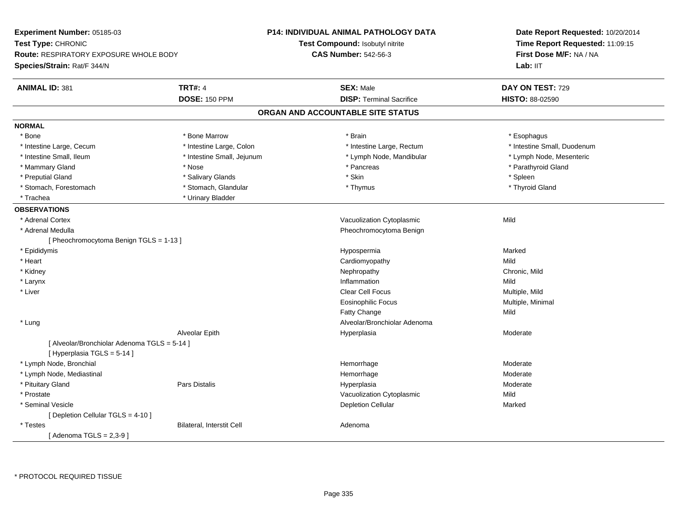| <b>Experiment Number: 05185-03</b><br>Test Type: CHRONIC<br><b>Route: RESPIRATORY EXPOSURE WHOLE BODY</b><br>Species/Strain: Rat/F 344/N |                            | P14: INDIVIDUAL ANIMAL PATHOLOGY DATA<br>Test Compound: Isobutyl nitrite<br><b>CAS Number: 542-56-3</b> |                                   | Date Report Requested: 10/20/2014<br>Time Report Requested: 11:09:15<br>First Dose M/F: NA / NA<br>Lab: IIT |
|------------------------------------------------------------------------------------------------------------------------------------------|----------------------------|---------------------------------------------------------------------------------------------------------|-----------------------------------|-------------------------------------------------------------------------------------------------------------|
| <b>ANIMAL ID: 381</b>                                                                                                                    | <b>TRT#: 4</b>             |                                                                                                         | <b>SEX: Male</b>                  | DAY ON TEST: 729                                                                                            |
|                                                                                                                                          | <b>DOSE: 150 PPM</b>       |                                                                                                         | <b>DISP: Terminal Sacrifice</b>   | <b>HISTO: 88-02590</b>                                                                                      |
|                                                                                                                                          |                            |                                                                                                         | ORGAN AND ACCOUNTABLE SITE STATUS |                                                                                                             |
| <b>NORMAL</b>                                                                                                                            |                            |                                                                                                         |                                   |                                                                                                             |
| * Bone                                                                                                                                   | * Bone Marrow              |                                                                                                         | * Brain                           | * Esophagus                                                                                                 |
| * Intestine Large, Cecum                                                                                                                 | * Intestine Large, Colon   |                                                                                                         | * Intestine Large, Rectum         | * Intestine Small, Duodenum                                                                                 |
| * Intestine Small, Ileum                                                                                                                 | * Intestine Small, Jejunum |                                                                                                         | * Lymph Node, Mandibular          | * Lymph Node, Mesenteric                                                                                    |
| * Mammary Gland                                                                                                                          | * Nose                     |                                                                                                         | * Pancreas                        | * Parathyroid Gland                                                                                         |
| * Preputial Gland                                                                                                                        | * Salivary Glands          |                                                                                                         | * Skin                            | * Spleen                                                                                                    |
| * Stomach, Forestomach                                                                                                                   | * Stomach, Glandular       |                                                                                                         | * Thymus                          | * Thyroid Gland                                                                                             |
| * Trachea                                                                                                                                | * Urinary Bladder          |                                                                                                         |                                   |                                                                                                             |
| <b>OBSERVATIONS</b>                                                                                                                      |                            |                                                                                                         |                                   |                                                                                                             |
| * Adrenal Cortex                                                                                                                         |                            |                                                                                                         | Vacuolization Cytoplasmic         | Mild                                                                                                        |
| * Adrenal Medulla                                                                                                                        |                            |                                                                                                         | Pheochromocytoma Benign           |                                                                                                             |
| [ Pheochromocytoma Benign TGLS = 1-13 ]                                                                                                  |                            |                                                                                                         |                                   |                                                                                                             |
| * Epididymis                                                                                                                             |                            |                                                                                                         | Hypospermia                       | Marked                                                                                                      |
| * Heart                                                                                                                                  |                            |                                                                                                         | Cardiomyopathy                    | Mild                                                                                                        |
| * Kidney                                                                                                                                 |                            |                                                                                                         | Nephropathy                       | Chronic, Mild                                                                                               |
| * Larynx                                                                                                                                 |                            |                                                                                                         | Inflammation                      | Mild                                                                                                        |
| * Liver                                                                                                                                  |                            |                                                                                                         | <b>Clear Cell Focus</b>           | Multiple, Mild                                                                                              |
|                                                                                                                                          |                            |                                                                                                         | <b>Eosinophilic Focus</b>         | Multiple, Minimal                                                                                           |
|                                                                                                                                          |                            |                                                                                                         | Fatty Change                      | Mild                                                                                                        |
| * Lung                                                                                                                                   |                            |                                                                                                         | Alveolar/Bronchiolar Adenoma      |                                                                                                             |
|                                                                                                                                          | Alveolar Epith             |                                                                                                         | Hyperplasia                       | Moderate                                                                                                    |
| [ Alveolar/Bronchiolar Adenoma TGLS = 5-14 ]                                                                                             |                            |                                                                                                         |                                   |                                                                                                             |
| [ Hyperplasia TGLS = 5-14 ]                                                                                                              |                            |                                                                                                         |                                   |                                                                                                             |
| * Lymph Node, Bronchial                                                                                                                  |                            |                                                                                                         | Hemorrhage                        | Moderate                                                                                                    |
| * Lymph Node, Mediastinal                                                                                                                |                            |                                                                                                         | Hemorrhage                        | Moderate                                                                                                    |
| * Pituitary Gland                                                                                                                        | Pars Distalis              |                                                                                                         | Hyperplasia                       | Moderate                                                                                                    |
| * Prostate                                                                                                                               |                            |                                                                                                         | Vacuolization Cytoplasmic         | Mild                                                                                                        |
| * Seminal Vesicle                                                                                                                        |                            |                                                                                                         | <b>Depletion Cellular</b>         | Marked                                                                                                      |
| [ Depletion Cellular TGLS = 4-10 ]                                                                                                       |                            |                                                                                                         |                                   |                                                                                                             |
| * Testes                                                                                                                                 | Bilateral, Interstit Cell  |                                                                                                         | Adenoma                           |                                                                                                             |
| [Adenoma TGLS = $2,3-9$ ]                                                                                                                |                            |                                                                                                         |                                   |                                                                                                             |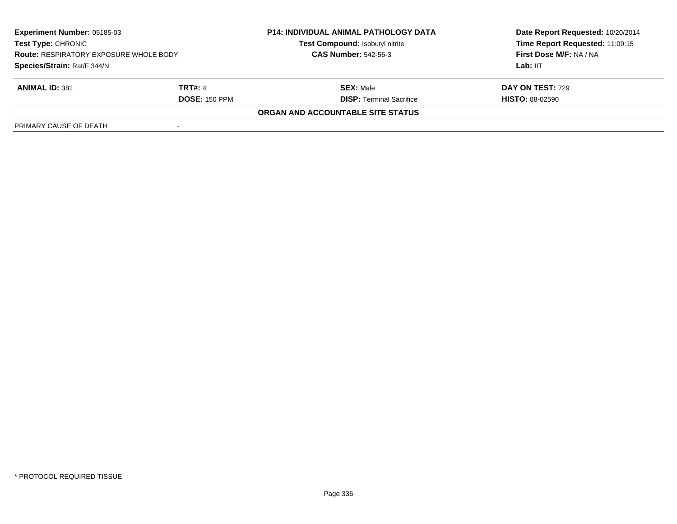| <b>Experiment Number: 05185-03</b><br><b>Test Type: CHRONIC</b><br><b>Route: RESPIRATORY EXPOSURE WHOLE BODY</b><br>Species/Strain: Rat/F 344/N |                      | <b>P14: INDIVIDUAL ANIMAL PATHOLOGY DATA</b><br>Test Compound: Isobutyl nitrite | Date Report Requested: 10/20/2014<br>Time Report Requested: 11:09:15 |
|-------------------------------------------------------------------------------------------------------------------------------------------------|----------------------|---------------------------------------------------------------------------------|----------------------------------------------------------------------|
|                                                                                                                                                 |                      | <b>CAS Number: 542-56-3</b>                                                     | First Dose M/F: NA / NA                                              |
|                                                                                                                                                 |                      |                                                                                 | Lab: IIT                                                             |
| <b>ANIMAL ID: 381</b>                                                                                                                           | TRT#: 4              | <b>SEX: Male</b>                                                                | DAY ON TEST: 729                                                     |
|                                                                                                                                                 | <b>DOSE: 150 PPM</b> | <b>DISP: Terminal Sacrifice</b>                                                 | <b>HISTO: 88-02590</b>                                               |
|                                                                                                                                                 |                      | ORGAN AND ACCOUNTABLE SITE STATUS                                               |                                                                      |
| PRIMARY CAUSE OF DEATH                                                                                                                          |                      |                                                                                 |                                                                      |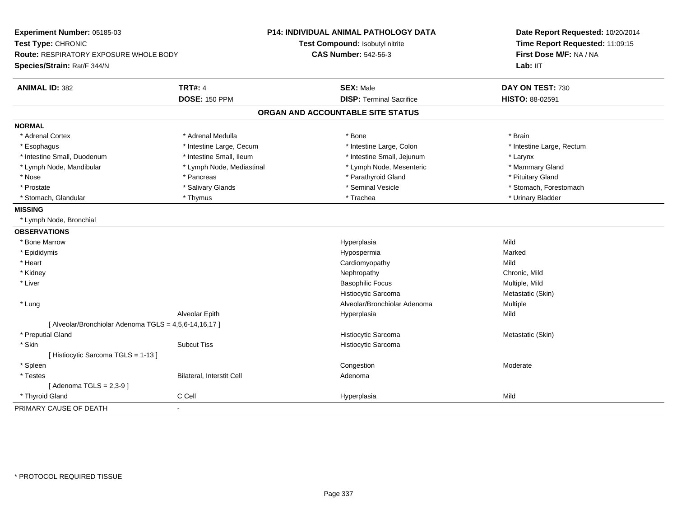| Experiment Number: 05185-03<br>Test Type: CHRONIC<br>Route: RESPIRATORY EXPOSURE WHOLE BODY<br>Species/Strain: Rat/F 344/N |                           | <b>P14: INDIVIDUAL ANIMAL PATHOLOGY DATA</b><br>Test Compound: Isobutyl nitrite<br><b>CAS Number: 542-56-3</b> | Date Report Requested: 10/20/2014<br>Time Report Requested: 11:09:15<br>First Dose M/F: NA / NA<br>Lab: IIT |
|----------------------------------------------------------------------------------------------------------------------------|---------------------------|----------------------------------------------------------------------------------------------------------------|-------------------------------------------------------------------------------------------------------------|
| <b>ANIMAL ID: 382</b>                                                                                                      | <b>TRT#: 4</b>            | <b>SEX: Male</b>                                                                                               | DAY ON TEST: 730                                                                                            |
|                                                                                                                            | <b>DOSE: 150 PPM</b>      | <b>DISP: Terminal Sacrifice</b>                                                                                | HISTO: 88-02591                                                                                             |
|                                                                                                                            |                           | ORGAN AND ACCOUNTABLE SITE STATUS                                                                              |                                                                                                             |
| <b>NORMAL</b>                                                                                                              |                           |                                                                                                                |                                                                                                             |
| * Adrenal Cortex                                                                                                           | * Adrenal Medulla         | * Bone                                                                                                         | * Brain                                                                                                     |
| * Esophagus                                                                                                                | * Intestine Large, Cecum  | * Intestine Large, Colon                                                                                       | * Intestine Large, Rectum                                                                                   |
| * Intestine Small, Duodenum                                                                                                | * Intestine Small, Ileum  | * Intestine Small, Jejunum                                                                                     | * Larynx                                                                                                    |
| * Lymph Node, Mandibular                                                                                                   | * Lymph Node, Mediastinal | * Lymph Node, Mesenteric                                                                                       | * Mammary Gland                                                                                             |
| * Nose                                                                                                                     | * Pancreas                | * Parathyroid Gland                                                                                            | * Pituitary Gland                                                                                           |
| * Prostate                                                                                                                 | * Salivary Glands         | * Seminal Vesicle                                                                                              | * Stomach, Forestomach                                                                                      |
| * Stomach, Glandular                                                                                                       | * Thymus                  | * Trachea                                                                                                      | * Urinary Bladder                                                                                           |
| <b>MISSING</b>                                                                                                             |                           |                                                                                                                |                                                                                                             |
| * Lymph Node, Bronchial                                                                                                    |                           |                                                                                                                |                                                                                                             |
| <b>OBSERVATIONS</b>                                                                                                        |                           |                                                                                                                |                                                                                                             |
| * Bone Marrow                                                                                                              |                           | Hyperplasia                                                                                                    | Mild                                                                                                        |
| * Epididymis                                                                                                               |                           | Hypospermia                                                                                                    | Marked                                                                                                      |
| * Heart                                                                                                                    |                           | Cardiomyopathy                                                                                                 | Mild                                                                                                        |
| * Kidney                                                                                                                   |                           | Nephropathy                                                                                                    | Chronic, Mild                                                                                               |
| * Liver                                                                                                                    |                           | <b>Basophilic Focus</b>                                                                                        | Multiple, Mild                                                                                              |
|                                                                                                                            |                           | Histiocytic Sarcoma                                                                                            | Metastatic (Skin)                                                                                           |
| * Lung                                                                                                                     |                           | Alveolar/Bronchiolar Adenoma                                                                                   | Multiple                                                                                                    |
|                                                                                                                            | Alveolar Epith            | Hyperplasia                                                                                                    | Mild                                                                                                        |
| [ Alveolar/Bronchiolar Adenoma TGLS = 4,5,6-14,16,17 ]                                                                     |                           |                                                                                                                |                                                                                                             |
| * Preputial Gland                                                                                                          |                           | Histiocytic Sarcoma                                                                                            | Metastatic (Skin)                                                                                           |
| * Skin                                                                                                                     | <b>Subcut Tiss</b>        | Histiocytic Sarcoma                                                                                            |                                                                                                             |
| [Histiocytic Sarcoma TGLS = 1-13]                                                                                          |                           |                                                                                                                |                                                                                                             |
| * Spleen                                                                                                                   |                           | Congestion                                                                                                     | Moderate                                                                                                    |
| * Testes                                                                                                                   | Bilateral, Interstit Cell | Adenoma                                                                                                        |                                                                                                             |
| [Adenoma TGLS = $2,3-9$ ]                                                                                                  |                           |                                                                                                                |                                                                                                             |
| * Thyroid Gland                                                                                                            | C Cell                    | Hyperplasia                                                                                                    | Mild                                                                                                        |
| PRIMARY CAUSE OF DEATH                                                                                                     | $\mathbf{r}$              |                                                                                                                |                                                                                                             |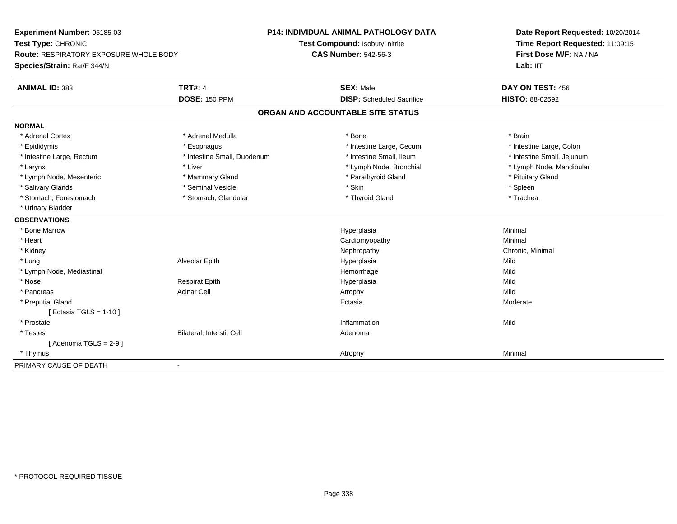| Experiment Number: 05185-03                                         |                             | <b>P14: INDIVIDUAL ANIMAL PATHOLOGY DATA</b> | Date Report Requested: 10/20/2014                          |
|---------------------------------------------------------------------|-----------------------------|----------------------------------------------|------------------------------------------------------------|
| Test Type: CHRONIC<br><b>Route: RESPIRATORY EXPOSURE WHOLE BODY</b> |                             | <b>Test Compound: Isobutyl nitrite</b>       | Time Report Requested: 11:09:15<br>First Dose M/F: NA / NA |
|                                                                     |                             | <b>CAS Number: 542-56-3</b>                  |                                                            |
| Species/Strain: Rat/F 344/N                                         |                             |                                              | Lab: IIT                                                   |
| <b>ANIMAL ID: 383</b>                                               | <b>TRT#: 4</b>              | <b>SEX: Male</b>                             | DAY ON TEST: 456                                           |
|                                                                     | <b>DOSE: 150 PPM</b>        | <b>DISP:</b> Scheduled Sacrifice             | <b>HISTO: 88-02592</b>                                     |
|                                                                     |                             | ORGAN AND ACCOUNTABLE SITE STATUS            |                                                            |
| <b>NORMAL</b>                                                       |                             |                                              |                                                            |
| * Adrenal Cortex                                                    | * Adrenal Medulla           | * Bone                                       | * Brain                                                    |
| * Epididymis                                                        | * Esophagus                 | * Intestine Large, Cecum                     | * Intestine Large, Colon                                   |
| * Intestine Large, Rectum                                           | * Intestine Small, Duodenum | * Intestine Small, Ileum                     | * Intestine Small, Jejunum                                 |
| * Larynx                                                            | * Liver                     | * Lymph Node, Bronchial                      | * Lymph Node, Mandibular                                   |
| * Lymph Node, Mesenteric                                            | * Mammary Gland             | * Parathyroid Gland                          | * Pituitary Gland                                          |
| * Salivary Glands                                                   | * Seminal Vesicle           | * Skin                                       | * Spleen                                                   |
| * Stomach, Forestomach                                              | * Stomach, Glandular        | * Thyroid Gland                              | * Trachea                                                  |
| * Urinary Bladder                                                   |                             |                                              |                                                            |
| <b>OBSERVATIONS</b>                                                 |                             |                                              |                                                            |
| * Bone Marrow                                                       |                             | Hyperplasia                                  | Minimal                                                    |
| * Heart                                                             |                             | Cardiomyopathy                               | Minimal                                                    |
| * Kidney                                                            |                             | Nephropathy                                  | Chronic, Minimal                                           |
| * Lung                                                              | Alveolar Epith              | Hyperplasia                                  | Mild                                                       |
| * Lymph Node, Mediastinal                                           |                             | Hemorrhage                                   | Mild                                                       |
| * Nose                                                              | <b>Respirat Epith</b>       | Hyperplasia                                  | Mild                                                       |
| * Pancreas                                                          | <b>Acinar Cell</b>          | Atrophy                                      | Mild                                                       |
| * Preputial Gland                                                   |                             | Ectasia                                      | Moderate                                                   |
| [ Ectasia TGLS = $1-10$ ]                                           |                             |                                              |                                                            |
| * Prostate                                                          |                             | Inflammation                                 | Mild                                                       |
| * Testes                                                            | Bilateral, Interstit Cell   | Adenoma                                      |                                                            |
| [Adenoma TGLS = $2-9$ ]                                             |                             |                                              |                                                            |
| * Thymus                                                            |                             | Atrophy                                      | Minimal                                                    |
| PRIMARY CAUSE OF DEATH                                              |                             |                                              |                                                            |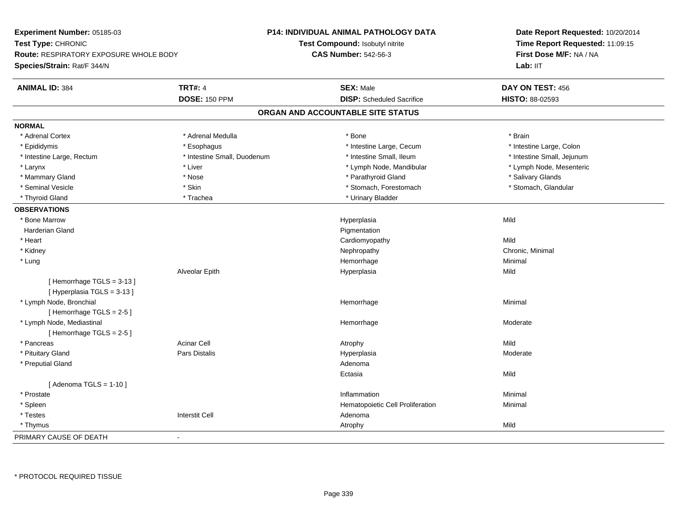**Experiment Number:** 05185-03**Test Type:** CHRONIC **Route:** RESPIRATORY EXPOSURE WHOLE BODY**Species/Strain:** Rat/F 344/N**P14: INDIVIDUAL ANIMAL PATHOLOGY DATATest Compound:** Isobutyl nitrite**CAS Number:** 542-56-3**Date Report Requested:** 10/20/2014**Time Report Requested:** 11:09:15**First Dose M/F:** NA / NALab: IIT **ANIMAL ID:** 384**TRT#:** 4 **SEX:** Male **DAY ON TEST:** 456 **DOSE:** 150 PPM **DISP:** Scheduled Sacrifice **HISTO:** 88-02593 **ORGAN AND ACCOUNTABLE SITE STATUSNORMAL**\* Adrenal Cortex \* Adrenal Medulla \* Adrenal Medulla \* Bone \* Brain \* Brain \* Brain \* Brain \* Brain \* Brain \* Brain \* Brain \* Brain \* Brain \* Brain \* Brain \* Brain \* Brain \* Brain \* Brain \* Brain \* Brain \* Brain \* Brain \* Brain \* Brain \* B \* Intestine Large, Colon \* Epididymis \* Esophagus \* Esophagus \* Esophagus \* 11testine Large, Cecum \* Intestine Large, Rectum \* Thestine Small, Duodenum \* Number of the small, Ileum \* Intestine Small, Jejunum \* Intestine Small, Jejunum \* Lymph Node, Mesenteric \* Larynx \* Lower \* Liver \* Liver \* Liver \* Larynx \* Lymph Node, Mandibular \* Lymph Node, Mandibular \* Mammary Gland \* \* And \* \* Nose \* \* Parathyroid Gland \* \* Parathyroid Gland \* \* Salivary Glands \* Salivary Glands \* Salivary Glands \* Salivary Glands \* Salivary Glands \* Salivary Glands \* Salivary Glands \* Salivary Glands \* Stomach, Glandular \* Seminal Vesicle \* Stomach, Forestomach \* Skin \* Skin \* Stomach, Forestomach \* Stomach, Forestomach \* Thyroid Gland \* Trachea \* Trachea \* Trachea \* Thyroid Gland \* Urinary Bladder **OBSERVATIONS** \* Bone Marroww which is a controller to the Hyperplasia controller that  $\mathsf{Mild}$  Harderian Glandd **discussion of the control of the control of the control of the control of the control of the control of the control of the control of the control of the control of the control of the control of the control of the contro**  \* Heart Cardiomyopathyy Mild Chronic, Minimal \* Kidneyy the controller of the controller of the controller of the controller of the controller of the controller of the controller of the controller of the controller of the controller of the controller of the controller of the \* Lungg and the state of the state of the state of the state of the Minimal Section 1, the state of the state of the Minimal Section 1, the state of the state of the state of the state of the state of the state of the state of t Alveolar Epithh anns an t-Imperial Hyperplasia anns an t-Imperial anns an t-Imperial anns an t-Imperial anns an t-Imperial a<br>Iar-An-Imperial anns an t-Imperial anns an t-Imperial anns an t-Imperial anns an t-Imperial anns an t-Imperial [ Hemorrhage TGLS = 3-13 ][ Hyperplasia TGLS = 3-13 ] \* Lymph Node, Bronchial Hemorrhagee Minimal [ Hemorrhage TGLS = 2-5 ] \* Lymph Node, Mediastinal Hemorrhage Moderate [ Hemorrhage TGLS = 2-5 ] \* Pancreass the contract of the contract of the contract of the contract of the contract of the contract of the contract of  $\mathsf{A}$  and  $\mathsf{A}$  and  $\mathsf{A}$  and  $\mathsf{A}$  and  $\mathsf{A}$  and  $\mathsf{A}$  and  $\mathsf{A}$  and  $\mathsf{A}$  and  $\mathsf$ Moderate \* Pituitary Gland Pars Distalis Hyperplasia Moderate \* Preputial Glandd and a state of the control of the control of the control of the control of the control of the control of the control of the control of the control of the control of the control of the control of the control of the contro Ectasiaa Mild  $[$  Adenoma TGLS = 1-10  $]$  \* Prostatee and the control of the control of the control of the control of the control of the control of the control of the control of the control of the control of the control of the control of the control of the control of the co \* SpleenHematopoietic Cell Proliferation Minimal<br>Interstit Cell Ninimal Adenoma \* Testes Interstit Cell Adenoma \* Thymuss and the control of the control of the control of the control of the control of the control of the control of the control of the control of the control of the control of the control of the control of the control of the co PRIMARY CAUSE OF DEATH-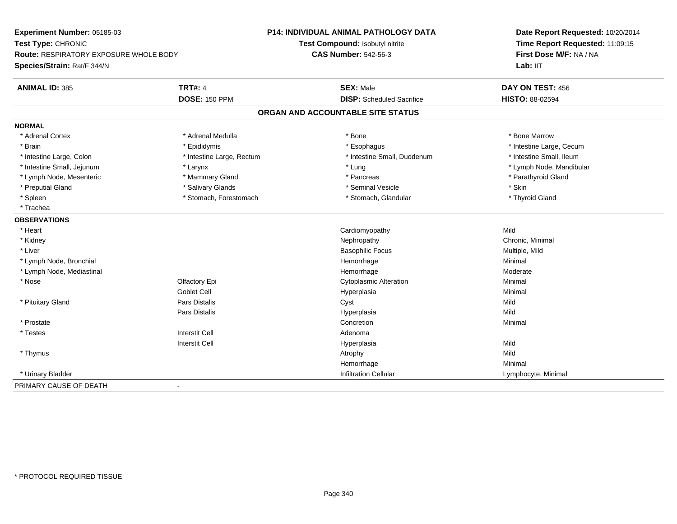**Experiment Number:** 05185-03**Test Type:** CHRONIC **Route:** RESPIRATORY EXPOSURE WHOLE BODY**Species/Strain:** Rat/F 344/N**P14: INDIVIDUAL ANIMAL PATHOLOGY DATATest Compound:** Isobutyl nitrite**CAS Number:** 542-56-3**Date Report Requested:** 10/20/2014**Time Report Requested:** 11:09:15**First Dose M/F:** NA / NA**Lab:** IIT**ANIMAL ID:** 385**TRT#:** 4 **SEX:** Male **SEX:** Male **DAY ON TEST:** 456 **DOSE:** 150 PPM **DISP:** Scheduled Sacrifice **HISTO:** 88-02594 **ORGAN AND ACCOUNTABLE SITE STATUSNORMAL**\* Adrenal Cortex \* Adrenal Medulla \* Adrenal Medulla \* Bone \* Bone \* Bone \* Bone \* Bone Marrow \* Brain \* Explorer \* Epididymis \* \* Epididymis \* \* Esophagus \* Esophagus \* \* Esophagus \* Intestine Large, Cecum \* \* Intestine Large, Cecum \* Intestine Small, Ileum \* Intestine Large, Colon \* Intestine Large, Rectum \* Intestine Small, Duodenum \* Intestine Small, Duodenum \* Intestine Small, Jejunum \* Larynx \* Lung \* Lymph Node, Mandibular\* Lymph Node, Mesenteric \* \* Mammary Gland \* Mammary Gland \* Pancreas \* Pancreas \* \* Pancreas \* \* Parathyroid Gland \* Preputial Gland \* Salivary Glands \* Seminal Vesicle \* Skin\* Thyroid Gland \* Spleen \* Stomach, Forestomach \* Stomach \* Stomach, Glandular \* Stomach, Glandular \* Trachea**OBSERVATIONS** \* Heart Cardiomyopathyy Mild Chronic, Minimal \* Kidneyy the controller of the controller of the controller of the controller of the controller of the controller of the controller of the controller of the controller of the controller of the controller of the controller of the \* Liver Basophilic Focus Multiple, Mild \* Lymph Node, Bronchial Hemorrhage Minimal \* Lymph Node, Mediastinal HemorrhageHemorrhage Moderate<br>
Cytoplasmic Alteration<br>
Minimal \* Nose Olfactory Epi Cytoplasmic Alteration Minimal Goblet Cell Hyperplasiaa and a studies of the studies of the Minimal \* Pituitary Gland Pars Distalis Cyst Mild Pars Distalis Hyperplasiaa Mild \* Prostatee de la concertion de la concertion de la concertion de la concertion de la concertion de la concertion de la concertion de la concertion de la concertion de la concertion de la concertion de la concertion de la concertion \* Testes Interstit Cell AdenomaI **Hyperplasia** Interstit Cella Mild \* Thymuss and the control of the control of the control of the control of the control of the control of the control of the control of the control of the control of the control of the control of the control of the control of the co Minimal Hemorrhagee Minimal \* Urinary BladderInfiltration Cellular **Lymphocyte**, Minimal PRIMARY CAUSE OF DEATH-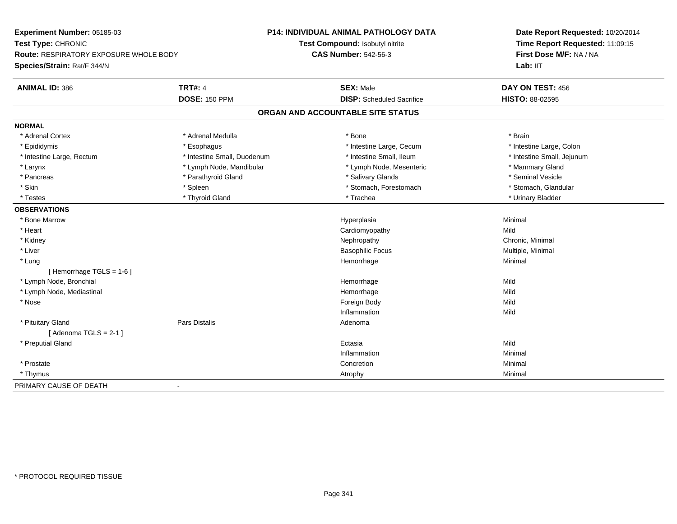**Experiment Number:** 05185-03**Test Type:** CHRONIC **Route:** RESPIRATORY EXPOSURE WHOLE BODY**Species/Strain:** Rat/F 344/N**P14: INDIVIDUAL ANIMAL PATHOLOGY DATATest Compound:** Isobutyl nitrite**CAS Number:** 542-56-3**Date Report Requested:** 10/20/2014**Time Report Requested:** 11:09:15**First Dose M/F:** NA / NA**Lab:** IIT**ANIMAL ID:** 386**TRT#:** 4 **SEX:** Male **DAY ON TEST:** 456 **DOSE:** 150 PPM **DISP:** Scheduled Sacrifice **HISTO:** 88-02595 **ORGAN AND ACCOUNTABLE SITE STATUSNORMAL**\* Adrenal Cortex \* Adrenal Medulla \* Adrenal Medulla \* Bone \* Brain \* Brain \* Brain \* Brain \* Brain \* Brain \* Brain \* Brain \* Brain \* Brain \* Brain \* Brain \* Brain \* Brain \* Brain \* Brain \* Brain \* Brain \* Brain \* Brain \* Brain \* Brain \* B \* Intestine Large, Colon \* Epididymis \* Esophagus \* Esophagus \* Esophagus \* 11testine Large, Cecum \* Intestine Large, Rectum \* Thestine Small, Duodenum \* Number of the small, Ileum \* Intestine Small, Jejunum \* Intestine Small, Jejunum \* Larynx **\* Lymph Node, Mandibular \*** Lymph Node, Mesenteric \* Lymph Node, Mesenteric \* Mammary Gland \* Seminal Vesicle \* Pancreas \* And the section of the state of the state of the state of the state of the state of the state of the state of the state of the state of the state of the state of the state of the state of the state of the stat \* Stomach. Glandular \* Skin \* Stomach, Forestomach \* Spleen \* Spleen \* Stomach, Forestomach \* Stomach, Forestomach \* Testes \* \* Thyroid Gland \* \* Thyroid Gland \* \* Trachea \* \* Trachea \* \* \* Trachea \* Urinary Bladder \* \* Urinary Bladder \* \* Urinary Bladder \* \* Urinary Bladder \* \* Urinary Bladder \* \* Urinary Bladder \* \* Urinary Bladder \* **OBSERVATIONS** \* Bone Marroww the contract of the Hyperplasia through the Hyperplasia contract of the Minimal Minimal Section 1, 1986, 198<br>In the contract of the Minimal Section 1, 1986, 1997, 1998, 1998, 1998, 1999, 1999, 1999, 1999, 1999, 1999, 19 \* Heart Cardiomyopathyy Mild Chronic, Minimal \* Kidneyy the controller of the controller of the controller of the controller of the controller of the controller of the controller of the controller of the controller of the controller of the controller of the controller of the \* Liver Basophilic Focus Multiple, Minimal \* Lungg and the state of the state of the state of the state of the Minimal Section 1, the state of the state of the Minimal Section 1, the state of the state of the state of the state of the state of the state of the state of t [ Hemorrhage TGLS = 1-6 ] \* Lymph Node, Bronchial Hemorrhagee Mild \* Lymph Node, Mediastinal Hemorrhagee Mild \* Nosee and the state of the state of the state of the state of the state of the state of the state of the state of the state of the state of the state of the state of the state of the state of the state of the state of the stat Inflammationn Mild \* Pituitary Glandd and the contract of Pars Distalis and the contract of Adenoma and Adenoma and the Adenoma and the Adenoma and  $\lambda$  $[$  Adenoma TGLS = 2-1  $]$  \* Preputial Glandd and the control of the control of the control of the control of the control of the control of the control of the control of the control of the control of the control of the control of the control of the control of the co Inflammationn and a basic control of the Minimal \* Prostatee de la concertion de la concertion de la concertion de la concertion de la concertion de la concertion de la concertion de la concertion de la concertion de la concertion de la concertion de la concertion de la concertion \* Thymuss and the control of the control of the control of the control of the control of the control of the control of the control of the control of the control of the control of the control of the control of the control of the co PRIMARY CAUSE OF DEATH-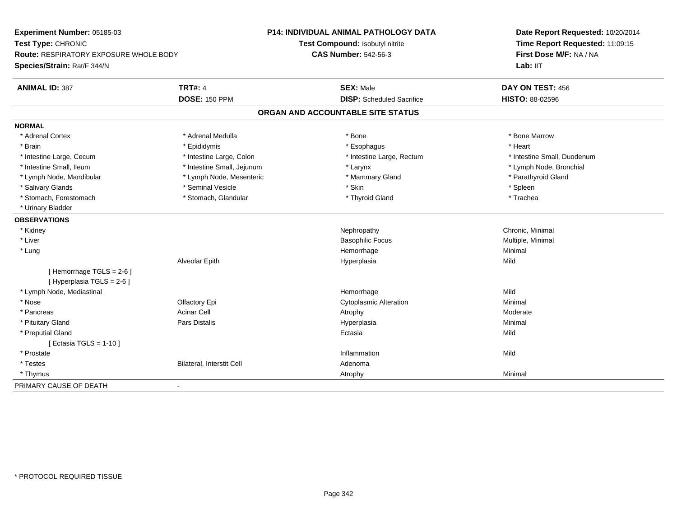| Experiment Number: 05185-03                   |                                  | P14: INDIVIDUAL ANIMAL PATHOLOGY DATA | Date Report Requested: 10/20/2014<br>Time Report Requested: 11:09:15 |
|-----------------------------------------------|----------------------------------|---------------------------------------|----------------------------------------------------------------------|
| Test Type: CHRONIC                            |                                  | Test Compound: Isobutyl nitrite       |                                                                      |
| <b>Route: RESPIRATORY EXPOSURE WHOLE BODY</b> |                                  | <b>CAS Number: 542-56-3</b>           | First Dose M/F: NA / NA                                              |
| Species/Strain: Rat/F 344/N                   |                                  |                                       | Lab: IIT                                                             |
| <b>ANIMAL ID: 387</b>                         | <b>TRT#: 4</b>                   | <b>SEX: Male</b>                      | DAY ON TEST: 456                                                     |
|                                               | <b>DOSE: 150 PPM</b>             | <b>DISP:</b> Scheduled Sacrifice      | <b>HISTO: 88-02596</b>                                               |
|                                               |                                  | ORGAN AND ACCOUNTABLE SITE STATUS     |                                                                      |
| <b>NORMAL</b>                                 |                                  |                                       |                                                                      |
| * Adrenal Cortex                              | * Adrenal Medulla                | * Bone                                | * Bone Marrow                                                        |
| * Brain                                       | * Epididymis                     | * Esophagus                           | * Heart                                                              |
| * Intestine Large, Cecum                      | * Intestine Large, Colon         | * Intestine Large, Rectum             | * Intestine Small, Duodenum                                          |
| * Intestine Small, Ileum                      | * Intestine Small, Jejunum       | * Larynx                              | * Lymph Node, Bronchial                                              |
| * Lymph Node, Mandibular                      | * Lymph Node, Mesenteric         | * Mammary Gland                       | * Parathyroid Gland                                                  |
| * Salivary Glands                             | * Seminal Vesicle                | * Skin                                | * Spleen                                                             |
| * Stomach, Forestomach                        | * Stomach, Glandular             | * Thyroid Gland                       | * Trachea                                                            |
| * Urinary Bladder                             |                                  |                                       |                                                                      |
| <b>OBSERVATIONS</b>                           |                                  |                                       |                                                                      |
| * Kidney                                      |                                  | Nephropathy                           | Chronic, Minimal                                                     |
| * Liver                                       |                                  | <b>Basophilic Focus</b>               | Multiple, Minimal                                                    |
| * Lung                                        |                                  | Hemorrhage                            | Minimal                                                              |
|                                               | Alveolar Epith                   | Hyperplasia                           | Mild                                                                 |
| [Hemorrhage TGLS = 2-6]                       |                                  |                                       |                                                                      |
| [Hyperplasia TGLS = 2-6]                      |                                  |                                       |                                                                      |
| * Lymph Node, Mediastinal                     |                                  | Hemorrhage                            | Mild                                                                 |
| * Nose                                        | Olfactory Epi                    | <b>Cytoplasmic Alteration</b>         | Minimal                                                              |
| * Pancreas                                    | <b>Acinar Cell</b>               | Atrophy                               | Moderate                                                             |
| * Pituitary Gland                             | Pars Distalis                    | Hyperplasia                           | Minimal                                                              |
| * Preputial Gland                             |                                  | Ectasia                               | Mild                                                                 |
| [ Ectasia TGLS = $1-10$ ]                     |                                  |                                       |                                                                      |
| * Prostate                                    |                                  | Inflammation                          | Mild                                                                 |
| * Testes                                      | <b>Bilateral, Interstit Cell</b> | Adenoma                               |                                                                      |
| * Thymus                                      |                                  | Atrophy                               | Minimal                                                              |
| PRIMARY CAUSE OF DEATH                        |                                  |                                       |                                                                      |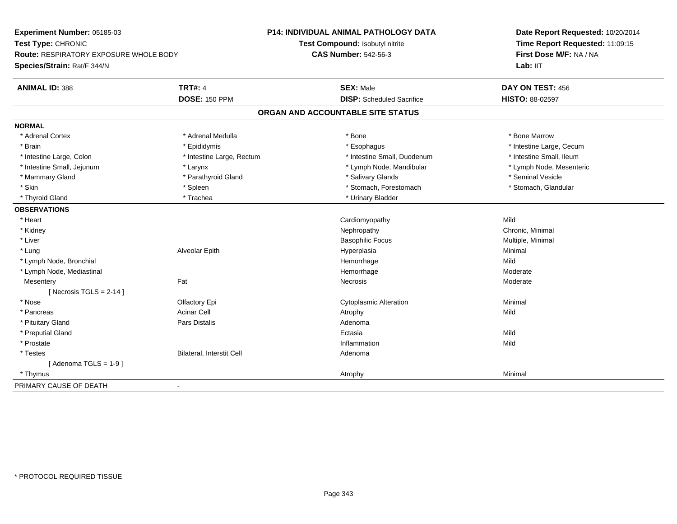**Experiment Number:** 05185-03**Test Type:** CHRONIC **Route:** RESPIRATORY EXPOSURE WHOLE BODY**Species/Strain:** Rat/F 344/N**P14: INDIVIDUAL ANIMAL PATHOLOGY DATATest Compound:** Isobutyl nitrite**CAS Number:** 542-56-3**Date Report Requested:** 10/20/2014**Time Report Requested:** 11:09:15**First Dose M/F:** NA / NA**Lab:** IIT**ANIMAL ID:** 388**TRT#:** 4 **SEX:** Male **DAY ON TEST:** 456 **DOSE:** 150 PPM **DISP:** Scheduled Sacrifice **HISTO:** 88-02597 **ORGAN AND ACCOUNTABLE SITE STATUSNORMAL**\* Adrenal Cortex \* Adrenal Medulla \* Adrenal Medulla \* Bone \* Bone \* Bone \* Bone \* Bone Marrow \* Brain \* Explorer \* Epididymis \* \* Epididymis \* \* Esophagus \* Esophagus \* \* Esophagus \* Intestine Large, Cecum \* \* Intestine Large, Cecum \* Intestine Small, Ileum \* Intestine Large, Colon \* Intestine Large, Rectum \* Intestine Small, Duodenum \* Intestine Small, Duodenum \* Lymph Node, Mesenteric \* Intestine Small, Jejunum \* The matter of the state of the state of the state of the state of the state of the state of the state of the state of the state of the state of the state of the state of the state of the state \* Mammary Gland \* \* Annume \* Parathyroid Gland \* \* Salivary Glands \* \* Salivary Glands \* \* Seminal Vesicle \* \* Seminal Vesicle \* Stomach, Glandular \* Skin \* Spleen \* Spleen \* Spleen \* Stomach, Forestomach \* Stomach, Forestomach \* Thyroid Gland \* Trachea \* Trachea \* Trachea \* Thyroid Gland \* Urinary Bladder **OBSERVATIONS** \* Heart Cardiomyopathyy Mild Chronic, Minimal \* Kidneyy the controller of the controller of the controller of the controller of the controller of the controller of the controller of the controller of the controller of the controller of the controller of the controller of the \* Liver Basophilic Focus Multiple, Minimal \* Lung Alveolar Epith Hyperplasia Minimal \* Lymph Node, Bronchial Hemorrhagee Mild \* Lymph Node, Mediastinal HemorrhageModerate<br>Moderate **Mesentery** y the control of the set of the control of the Moderate of the Moderate of the Moderate of the Moderate of the Moderate of the Moderate of the Moderate of the Moderate of the Moderate of the Moderate of the Moderate of the  $[$  Necrosis TGLS = 2-14  $]$  \* Nose Olfactory Epi Cytoplasmic Alteration Minimal \* Pancreass the contract of the contract of the contract of the contract of the contract of the contract of the contract of  $\mathsf{A}$  and  $\mathsf{A}$  and  $\mathsf{A}$  and  $\mathsf{A}$  and  $\mathsf{A}$  and  $\mathsf{A}$  and  $\mathsf{A}$  and  $\mathsf{A}$  and  $\mathsf$  \* Pituitary Glandd and the contract of Pars Distalis and the contract of Adenoma and Adenoma and the Adenoma and the Adenoma and  $\lambda$  \* Preputial Glandd and the control of the control of the control of the control of the control of the control of the control of the control of the control of the control of the control of the control of the control of the control of the co \* Prostatee discussion of the control of the control of the control of the control of the control of the control of the control of the control of the control of the control of the control of the control of the control of the control \* TestesBilateral, Interstit Cell **Adenoma** Adenoma  $[$  Adenoma TGLS = 1-9  $]$  \* Thymuss and the control of the control of the control of the control of the control of the control of the control of the control of the control of the control of the control of the control of the control of the control of the co PRIMARY CAUSE OF DEATH-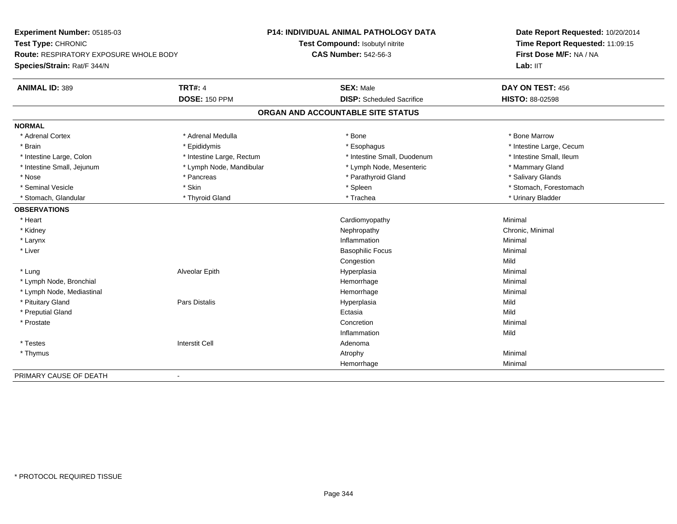**Experiment Number:** 05185-03**Test Type:** CHRONIC **Route:** RESPIRATORY EXPOSURE WHOLE BODY**Species/Strain:** Rat/F 344/N**P14: INDIVIDUAL ANIMAL PATHOLOGY DATATest Compound:** Isobutyl nitrite**CAS Number:** 542-56-3**Date Report Requested:** 10/20/2014**Time Report Requested:** 11:09:15**First Dose M/F:** NA / NA**Lab:** IIT**ANIMAL ID:** 389**TRT#:** 4 **SEX:** Male **SEX:** Male **DAY ON TEST:** 456 **DOSE:** 150 PPM **DISP:** Scheduled Sacrifice **HISTO:** 88-02598 **ORGAN AND ACCOUNTABLE SITE STATUSNORMAL**\* Adrenal Cortex \* Adrenal Medulla \* Adrenal Medulla \* Bone \* Bone \* Bone \* Bone \* Bone Marrow \* Brain \* Explorer \* Epididymis \* \* Epididymis \* \* Esophagus \* Esophagus \* \* Esophagus \* Intestine Large, Cecum \* \* Intestine Large, Cecum \* Intestine Small, Ileum \* Intestine Large, Colon \* Intestine Large, Rectum \* Intestine Small, Duodenum \* Intestine Small, Duodenum \* Intestine Small, Jejunum \* The mannery Gland \* Lymph Node, Mandibular \* The mannery Stand \* Mammary Gland \* Mammary Gland \* Salivary Glands \* Nose \* Pancreas \* Parathyroid Gland \* Salivary Glands \* Seminal Vesicle \* The state of the set of the set of the set of the set of the set of the set of the set of the set of the set of the set of the set of the set of the set of the set of the set of the set of the set of th \* Stomach, Glandular \* \* Thyroid Gland \* \* Thyroid Gland \* \* Trachea \* \* Trachea \* \* Urinary Bladder \* \* Urinary Bladder \* \* Urinary Bladder \* \* Urinary Bladder \* \* Urinary Bladder \* \* Urinary Bladder \* \* Urinary Bladder \* **OBSERVATIONS** \* Heart Cardiomyopathy Minimal \* Kidneyy the controller of the controller of the controller of the controller of the controller of the controller of the controller of the controller of the controller of the controller of the controller of the controller of the \* Larynx**x** and the contract of the contract of the contract of the contract of the contract of the contract of the contract of the contract of the contract of the contract of the contract of the contract of the contract of the co n and a basic control of the Minimal \* Liver Basophilic Focus Minimal Congestionn Mild \* Lung Alveolar Epith Hyperplasia Minimal \* Lymph Node, Bronchial Hemorrhagee Minimal \* Lymph Node, Mediastinal Hemorrhagee Minimal \* Pituitary Gland Pars Distalis Hyperplasia Mild \* Preputial Glandd and the control of the control of the control of the control of the control of the control of the control of the control of the control of the control of the control of the control of the control of the control of the co \* Prostatee de la concertion de la concertion de la concertion de la concertion de la concertion de la concertion de la concertion de la concertion de la concertion de la concertion de la concertion de la concertion de la concertion Inflammationn Mild \* Testes Interstit Cell Adenoma \* Thymuss the control of the control of the control of the control of the control of the control of the control of the control of the control of the control of the control of the control of the control of the control of the contro Hemorrhagee Minimal PRIMARY CAUSE OF DEATH-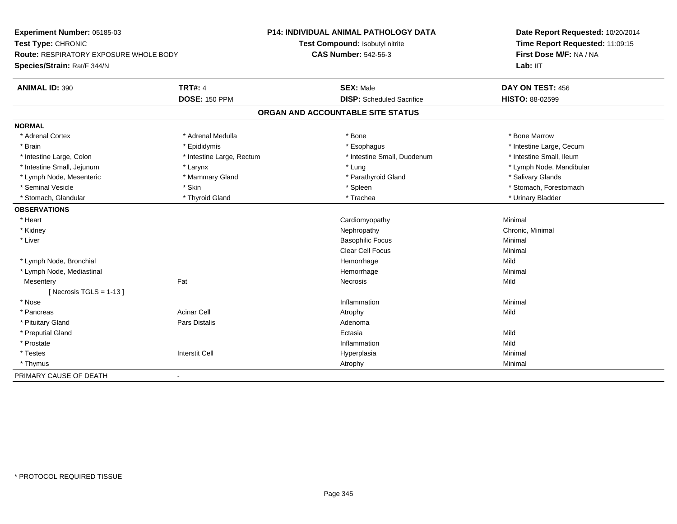**Experiment Number:** 05185-03**Test Type:** CHRONIC **Route:** RESPIRATORY EXPOSURE WHOLE BODY**Species/Strain:** Rat/F 344/N**P14: INDIVIDUAL ANIMAL PATHOLOGY DATATest Compound:** Isobutyl nitrite**CAS Number:** 542-56-3**Date Report Requested:** 10/20/2014**Time Report Requested:** 11:09:15**First Dose M/F:** NA / NA**Lab:** IIT**ANIMAL ID:** 390**TRT#:** 4 **SEX:** Male **SEX:** Male **DAY ON TEST:** 456 **DOSE:** 150 PPM **DISP:** Scheduled Sacrifice **HISTO:** 88-02599 **ORGAN AND ACCOUNTABLE SITE STATUSNORMAL**\* Adrenal Cortex \* Adrenal Medulla \* Adrenal Medulla \* Bone \* Bone \* Bone \* Bone \* Bone Marrow \* Brain \* Explorer \* Epididymis \* \* Epididymis \* \* Esophagus \* Esophagus \* \* Esophagus \* Intestine Large, Cecum \* \* Intestine Large, Cecum \* Intestine Small, Ileum \* Intestine Large, Colon \* Intestine Large, Rectum \* Intestine Small, Duodenum \* Intestine Small, Duodenum \* Intestine Small, Jejunum \* Larynx \* Lung \* Lymph Node, Mandibular\* Lymph Node, Mesenteric \* \* Mammary Gland \* Mammary Gland \* Parathyroid Gland \* Parathyroid Gland \* \* Salivary Glands \* Seminal Vesicle \* The state of the set of the set of the set of the set of the set of the set of the set of the set of the set of the set of the set of the set of the set of the set of the set of the set of the set of th \* Stomach, Glandular \* \* Thyroid Gland \* \* Thyroid Gland \* \* Trachea \* \* Trachea \* \* Urinary Bladder \* \* Urinary Bladder \* \* Urinary Bladder \* \* Urinary Bladder \* \* Urinary Bladder \* \* Urinary Bladder \* \* Urinary Bladder \* **OBSERVATIONS** \* Heart Cardiomyopathy Minimal \* Kidneyy the controller of the controller of the controller of the controller of the controller of the controller of the controller of the controller of the controller of the controller of the controller of the controller of the \* Liver Basophilic Focus Minimal Clear Cell Focus Minimal \* Lymph Node, Bronchial Hemorrhagee Mild \* Lymph Node, Mediastinal Hemorrhagee Minimal **Mesentery** y the contract of the contract of the contract of the contract of the contract of the contract of the contract of the contract of the contract of the contract of the contract of the contract of the contract of the contract  $[$  Necrosis TGLS = 1-13  $]$  \* Nosee and the contract of the contract of the contract of the contract of the contract of the contract of the contract of the contract of the contract of the contract of the contract of the contract of the contract of the cont \* Pancreass the contract of the contract of the contract of the contract of the contract of the contract of the contract of  $\mathsf{A}$  and  $\mathsf{A}$  and  $\mathsf{A}$  and  $\mathsf{A}$  and  $\mathsf{A}$  and  $\mathsf{A}$  and  $\mathsf{A}$  and  $\mathsf{A}$  and  $\mathsf$  \* Pituitary Glandd and the contract of Pars Distalis and the contract of Adenoma and Adenoma and the Adenoma and the Adenoma and  $\lambda$  \* Preputial Glandd and the control of the control of the control of the control of the control of the control of the control of the control of the control of the control of the control of the control of the control of the control of the co \* Prostatee discussion of the control of the control of the control of the control of the control of the control of the control of the control of the control of the control of the control of the control of the control of the control \* Testes Interstit Cell Hyperplasiaa and a studies of the studies of the Minimal \* Thymuss and the control of the control of the control of the control of the control of the control of the control of the control of the control of the control of the control of the control of the control of the control of the co PRIMARY CAUSE OF DEATH-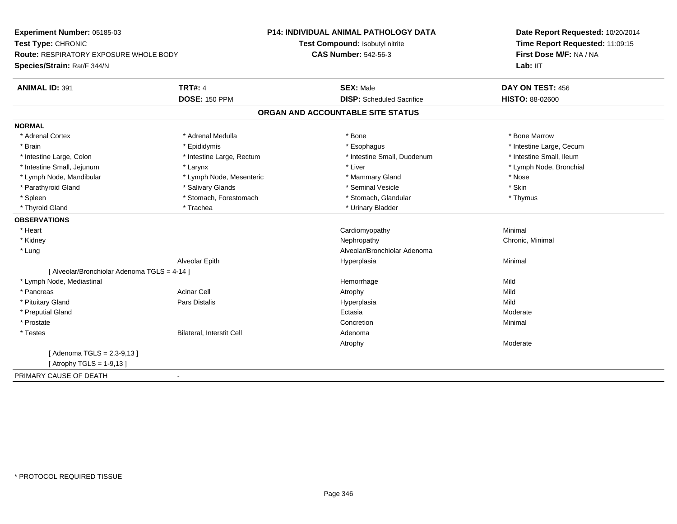**Experiment Number:** 05185-03**Test Type:** CHRONIC **Route:** RESPIRATORY EXPOSURE WHOLE BODY**Species/Strain:** Rat/F 344/N**P14: INDIVIDUAL ANIMAL PATHOLOGY DATATest Compound:** Isobutyl nitrite**CAS Number:** 542-56-3**Date Report Requested:** 10/20/2014**Time Report Requested:** 11:09:15**First Dose M/F:** NA / NA**Lab:** IIT**ANIMAL ID:** 391**TRT#:** 4 **SEX:** Male **DAY ON TEST:** 456 **DOSE:** 150 PPM **DISP:** Scheduled Sacrifice **HISTO:** 88-02600 **ORGAN AND ACCOUNTABLE SITE STATUSNORMAL**\* Adrenal Cortex \* Adrenal Medulla \* Adrenal Medulla \* Bone \* Bone \* Bone \* Bone \* Bone Marrow \* Brain \* Explorer \* Epididymis \* \* Epididymis \* \* Esophagus \* Esophagus \* \* Esophagus \* Intestine Large, Cecum \* \* Intestine Large, Cecum \* Intestine Small, Ileum \* Intestine Large, Colon \* Intestine Large, Rectum \* Intestine Small, Duodenum \* Intestine Small, Duodenum \* Lymph Node, Bronchial \* Intestine Small, Jejunum \* Larynx \* Larynx \* Larynx \* Liver \* Liver \* Lymph Node, Mandibular \* Lymph Node, Mesenteric \* Mammary Gland \* Nose\* Skin \* Parathyroid Gland \* The state of the seminal Vesicle \* Salivary Glands \* Seminal Vesicle \* Seminal Vesicle \* Thymus \* Spleen \* Stomach, Forestomach \* Stomach \* Stomach, Glandular \* Stomach, Glandular \* Thyroid Gland \* Trachea \* Trachea \* Trachea \* Urinary Bladder **OBSERVATIONS** \* Heart Cardiomyopathy Minimal \* Kidneyy the controller of the controller of the controller of the controller of the controller of the controller of the controller of the controller of the controller of the controller of the controller of the controller of the \* Lung Alveolar/Bronchiolar Adenoma Alveolar Epithh anns an t-Imperplasia anns an t-Imperplasia anns an t-Imperplasia anns an t-Imperplasia anns an t-Imperplasi<br>Iomraidhean [ Alveolar/Bronchiolar Adenoma TGLS = 4-14 ] \* Lymph Node, Mediastinal Hemorrhagee Mild \* Pancreass the contract of the contract of the contract of the contract of the contract of the contract of the contract of  $\mathsf{A}$  and  $\mathsf{A}$  and  $\mathsf{A}$  and  $\mathsf{A}$  and  $\mathsf{A}$  and  $\mathsf{A}$  and  $\mathsf{A}$  and  $\mathsf{A}$  and  $\mathsf$ Mild \* Pituitary Gland Pars Distalis Hyperplasia Mild \* Preputial Glandd and the control of the control of the control of the control of the control of the control of the control of the control of the control of the control of the control of the control of the control of the control of the co \* Prostatee de la concertion de la concertion de la concertion de la concertion de la concertion de la concertion de la concertion de la concertion de la concertion de la concertion de la concertion de la concertion de la concertion \* TestesBilateral, Interstit Cell **Adenoma** Adenoma Atrophy Moderate $[$  Adenoma TGLS = 2,3-9,13  $]$ [ Atrophy TGLS = 1-9,13 ]PRIMARY CAUSE OF DEATH-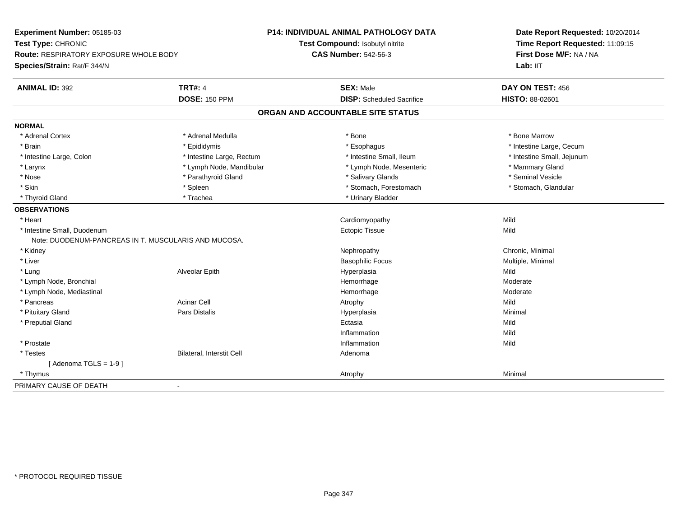| Experiment Number: 05185-03                          |                           | <b>P14: INDIVIDUAL ANIMAL PATHOLOGY DATA</b> | Date Report Requested: 10/20/2014<br>Time Report Requested: 11:09:15 |
|------------------------------------------------------|---------------------------|----------------------------------------------|----------------------------------------------------------------------|
| Test Type: CHRONIC                                   |                           | Test Compound: Isobutyl nitrite              |                                                                      |
| <b>Route: RESPIRATORY EXPOSURE WHOLE BODY</b>        |                           | <b>CAS Number: 542-56-3</b>                  | First Dose M/F: NA / NA                                              |
| Species/Strain: Rat/F 344/N                          |                           |                                              | Lab: IIT                                                             |
| <b>ANIMAL ID: 392</b>                                | <b>TRT#: 4</b>            | <b>SEX: Male</b>                             | DAY ON TEST: 456                                                     |
|                                                      | <b>DOSE: 150 PPM</b>      | <b>DISP:</b> Scheduled Sacrifice             | <b>HISTO: 88-02601</b>                                               |
|                                                      |                           | ORGAN AND ACCOUNTABLE SITE STATUS            |                                                                      |
| <b>NORMAL</b>                                        |                           |                                              |                                                                      |
| * Adrenal Cortex                                     | * Adrenal Medulla         | * Bone                                       | * Bone Marrow                                                        |
| * Brain                                              | * Epididymis              | * Esophagus                                  | * Intestine Large, Cecum                                             |
| * Intestine Large, Colon                             | * Intestine Large, Rectum | * Intestine Small, Ileum                     | * Intestine Small, Jejunum                                           |
| * Larynx                                             | * Lymph Node, Mandibular  | * Lymph Node, Mesenteric                     | * Mammary Gland                                                      |
| * Nose                                               | * Parathyroid Gland       | * Salivary Glands                            | * Seminal Vesicle                                                    |
| * Skin                                               | * Spleen                  | * Stomach, Forestomach                       | * Stomach, Glandular                                                 |
| * Thyroid Gland                                      | * Trachea                 | * Urinary Bladder                            |                                                                      |
| <b>OBSERVATIONS</b>                                  |                           |                                              |                                                                      |
| * Heart                                              |                           | Cardiomyopathy                               | Mild                                                                 |
| * Intestine Small, Duodenum                          |                           | <b>Ectopic Tissue</b>                        | Mild                                                                 |
| Note: DUODENUM-PANCREAS IN T. MUSCULARIS AND MUCOSA. |                           |                                              |                                                                      |
| * Kidney                                             |                           | Nephropathy                                  | Chronic, Minimal                                                     |
| * Liver                                              |                           | <b>Basophilic Focus</b>                      | Multiple, Minimal                                                    |
| * Lung                                               | Alveolar Epith            | Hyperplasia                                  | Mild                                                                 |
| * Lymph Node, Bronchial                              |                           | Hemorrhage                                   | Moderate                                                             |
| * Lymph Node, Mediastinal                            |                           | Hemorrhage                                   | Moderate                                                             |
| * Pancreas                                           | <b>Acinar Cell</b>        | Atrophy                                      | Mild                                                                 |
| * Pituitary Gland                                    | <b>Pars Distalis</b>      | Hyperplasia                                  | Minimal                                                              |
| * Preputial Gland                                    |                           | Ectasia                                      | Mild                                                                 |
|                                                      |                           | Inflammation                                 | Mild                                                                 |
| * Prostate                                           |                           | Inflammation                                 | Mild                                                                 |
| * Testes                                             | Bilateral, Interstit Cell | Adenoma                                      |                                                                      |
| [Adenoma TGLS = $1-9$ ]                              |                           |                                              |                                                                      |
| * Thymus                                             |                           | Atrophy                                      | Minimal                                                              |
| PRIMARY CAUSE OF DEATH                               | $\sim$                    |                                              |                                                                      |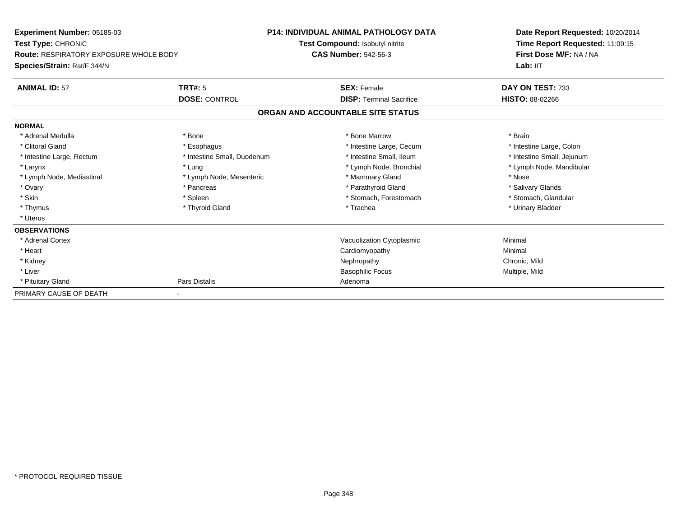| Experiment Number: 05185-03                   |                             | <b>P14: INDIVIDUAL ANIMAL PATHOLOGY DATA</b> | Date Report Requested: 10/20/2014<br>Time Report Requested: 11:09:15 |
|-----------------------------------------------|-----------------------------|----------------------------------------------|----------------------------------------------------------------------|
| <b>Test Type: CHRONIC</b>                     |                             | Test Compound: Isobutyl nitrite              |                                                                      |
| <b>Route: RESPIRATORY EXPOSURE WHOLE BODY</b> |                             | <b>CAS Number: 542-56-3</b>                  | First Dose M/F: NA / NA                                              |
| Species/Strain: Rat/F 344/N                   |                             |                                              | Lab: II <sub>T</sub>                                                 |
| <b>ANIMAL ID: 57</b>                          | <b>TRT#: 5</b>              | <b>SEX: Female</b>                           | DAY ON TEST: 733                                                     |
|                                               | <b>DOSE: CONTROL</b>        | <b>DISP: Terminal Sacrifice</b>              | <b>HISTO: 88-02266</b>                                               |
|                                               |                             | ORGAN AND ACCOUNTABLE SITE STATUS            |                                                                      |
| <b>NORMAL</b>                                 |                             |                                              |                                                                      |
| * Adrenal Medulla                             | * Bone                      | * Bone Marrow                                | * Brain                                                              |
| * Clitoral Gland                              | * Esophagus                 | * Intestine Large, Cecum                     | * Intestine Large, Colon                                             |
| * Intestine Large, Rectum                     | * Intestine Small, Duodenum | * Intestine Small, Ileum                     | * Intestine Small, Jejunum                                           |
| * Larynx                                      | * Lung                      | * Lymph Node, Bronchial                      | * Lymph Node, Mandibular                                             |
| * Lymph Node, Mediastinal                     | * Lymph Node, Mesenteric    | * Mammary Gland                              | * Nose                                                               |
| * Ovary                                       | * Pancreas                  | * Parathyroid Gland                          | * Salivary Glands                                                    |
| * Skin                                        | * Spleen                    | * Stomach, Forestomach                       | * Stomach, Glandular                                                 |
| * Thymus                                      | * Thyroid Gland             | * Trachea                                    | * Urinary Bladder                                                    |
| * Uterus                                      |                             |                                              |                                                                      |
| <b>OBSERVATIONS</b>                           |                             |                                              |                                                                      |
| * Adrenal Cortex                              |                             | Vacuolization Cytoplasmic                    | Minimal                                                              |
| * Heart                                       |                             | Cardiomyopathy                               | Minimal                                                              |
| * Kidney                                      |                             | Nephropathy                                  | Chronic, Mild                                                        |
| * Liver                                       |                             | <b>Basophilic Focus</b>                      | Multiple, Mild                                                       |
| * Pituitary Gland                             | Pars Distalis               | Adenoma                                      |                                                                      |
| PRIMARY CAUSE OF DEATH                        |                             |                                              |                                                                      |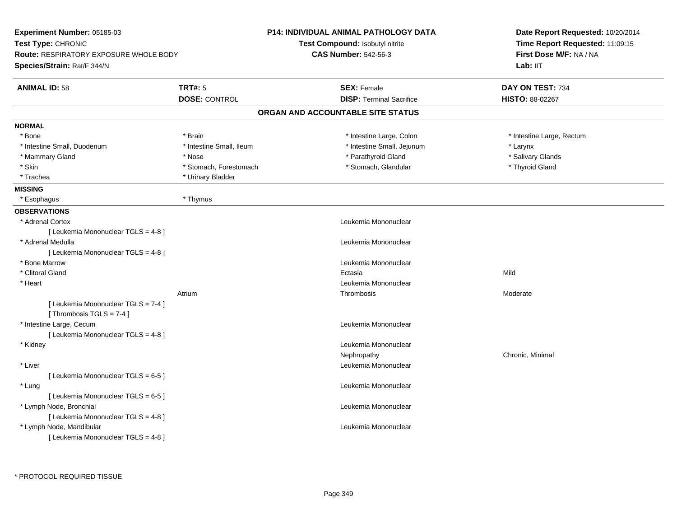| Experiment Number: 05185-03                                       |                          | <b>P14: INDIVIDUAL ANIMAL PATHOLOGY DATA</b> | Date Report Requested: 10/20/2014<br>Time Report Requested: 11:09:15 |  |
|-------------------------------------------------------------------|--------------------------|----------------------------------------------|----------------------------------------------------------------------|--|
| Test Type: CHRONIC                                                |                          | Test Compound: Isobutyl nitrite              |                                                                      |  |
| <b>Route: RESPIRATORY EXPOSURE WHOLE BODY</b>                     |                          | <b>CAS Number: 542-56-3</b>                  | First Dose M/F: NA / NA                                              |  |
| Species/Strain: Rat/F 344/N                                       |                          |                                              | Lab: IIT                                                             |  |
| <b>ANIMAL ID: 58</b>                                              | <b>TRT#: 5</b>           | <b>SEX: Female</b>                           | DAY ON TEST: 734                                                     |  |
|                                                                   | <b>DOSE: CONTROL</b>     | <b>DISP: Terminal Sacrifice</b>              | HISTO: 88-02267                                                      |  |
|                                                                   |                          | ORGAN AND ACCOUNTABLE SITE STATUS            |                                                                      |  |
| <b>NORMAL</b>                                                     |                          |                                              |                                                                      |  |
| * Bone                                                            | * Brain                  | * Intestine Large, Colon                     | * Intestine Large, Rectum                                            |  |
| * Intestine Small, Duodenum                                       | * Intestine Small, Ileum | * Intestine Small, Jejunum                   | * Larynx                                                             |  |
| * Mammary Gland                                                   | * Nose                   | * Parathyroid Gland                          | * Salivary Glands                                                    |  |
| * Skin                                                            | * Stomach, Forestomach   | * Stomach, Glandular                         | * Thyroid Gland                                                      |  |
| * Trachea                                                         | * Urinary Bladder        |                                              |                                                                      |  |
| <b>MISSING</b>                                                    |                          |                                              |                                                                      |  |
| * Esophagus                                                       | * Thymus                 |                                              |                                                                      |  |
| <b>OBSERVATIONS</b>                                               |                          |                                              |                                                                      |  |
| * Adrenal Cortex                                                  |                          | Leukemia Mononuclear                         |                                                                      |  |
| [ Leukemia Mononuclear TGLS = 4-8 ]                               |                          |                                              |                                                                      |  |
| * Adrenal Medulla                                                 |                          | Leukemia Mononuclear                         |                                                                      |  |
| [ Leukemia Mononuclear TGLS = 4-8]                                |                          |                                              |                                                                      |  |
| * Bone Marrow                                                     |                          | Leukemia Mononuclear                         |                                                                      |  |
| * Clitoral Gland                                                  |                          | Ectasia                                      | Mild                                                                 |  |
| * Heart                                                           |                          | Leukemia Mononuclear                         |                                                                      |  |
|                                                                   | Atrium                   | Thrombosis                                   | Moderate                                                             |  |
| [ Leukemia Mononuclear TGLS = 7-4 ]<br>[Thrombosis $TGLS = 7-4$ ] |                          |                                              |                                                                      |  |
| * Intestine Large, Cecum                                          |                          | Leukemia Mononuclear                         |                                                                      |  |
| [ Leukemia Mononuclear TGLS = 4-8 ]                               |                          |                                              |                                                                      |  |
| * Kidney                                                          |                          | Leukemia Mononuclear                         |                                                                      |  |
|                                                                   |                          | Nephropathy                                  | Chronic, Minimal                                                     |  |
| * Liver                                                           |                          | Leukemia Mononuclear                         |                                                                      |  |
| [ Leukemia Mononuclear TGLS = 6-5 ]                               |                          |                                              |                                                                      |  |
| * Lung                                                            |                          | Leukemia Mononuclear                         |                                                                      |  |
| [ Leukemia Mononuclear TGLS = 6-5 ]                               |                          |                                              |                                                                      |  |
| * Lymph Node, Bronchial                                           |                          | Leukemia Mononuclear                         |                                                                      |  |
| [ Leukemia Mononuclear TGLS = 4-8 ]                               |                          |                                              |                                                                      |  |
|                                                                   |                          |                                              |                                                                      |  |
|                                                                   |                          |                                              |                                                                      |  |
| * Lymph Node, Mandibular<br>[ Leukemia Mononuclear TGLS = 4-8 ]   |                          | Leukemia Mononuclear                         |                                                                      |  |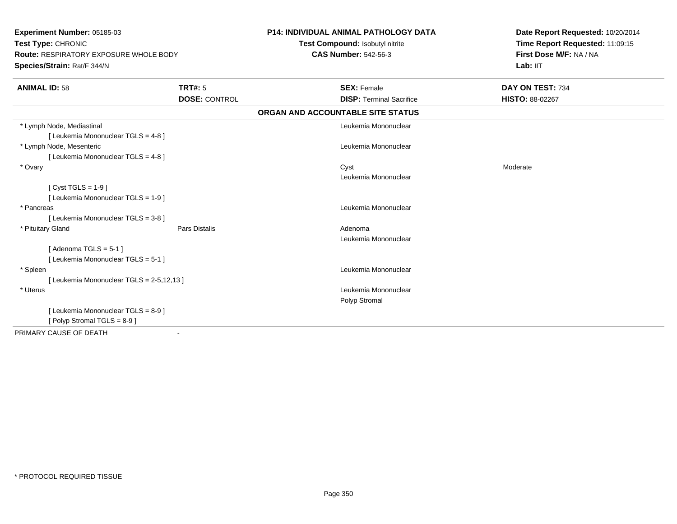| Experiment Number: 05185-03<br>Test Type: CHRONIC<br><b>Route: RESPIRATORY EXPOSURE WHOLE BODY</b><br>Species/Strain: Rat/F 344/N |                      | <b>P14: INDIVIDUAL ANIMAL PATHOLOGY DATA</b><br>Test Compound: Isobutyl nitrite<br><b>CAS Number: 542-56-3</b> | Date Report Requested: 10/20/2014<br>Time Report Requested: 11:09:15<br>First Dose M/F: NA / NA<br>Lab: IIT |
|-----------------------------------------------------------------------------------------------------------------------------------|----------------------|----------------------------------------------------------------------------------------------------------------|-------------------------------------------------------------------------------------------------------------|
|                                                                                                                                   |                      |                                                                                                                |                                                                                                             |
| <b>ANIMAL ID: 58</b>                                                                                                              | <b>TRT#: 5</b>       | <b>SEX: Female</b>                                                                                             | DAY ON TEST: 734                                                                                            |
|                                                                                                                                   | <b>DOSE: CONTROL</b> | <b>DISP: Terminal Sacrifice</b>                                                                                | HISTO: 88-02267                                                                                             |
|                                                                                                                                   |                      | ORGAN AND ACCOUNTABLE SITE STATUS                                                                              |                                                                                                             |
| * Lymph Node, Mediastinal                                                                                                         |                      | Leukemia Mononuclear                                                                                           |                                                                                                             |
| [ Leukemia Mononuclear TGLS = 4-8 ]                                                                                               |                      |                                                                                                                |                                                                                                             |
| * Lymph Node, Mesenteric                                                                                                          |                      | Leukemia Mononuclear                                                                                           |                                                                                                             |
| [ Leukemia Mononuclear TGLS = 4-8 ]                                                                                               |                      |                                                                                                                |                                                                                                             |
| * Ovary                                                                                                                           |                      | Cyst                                                                                                           | Moderate                                                                                                    |
|                                                                                                                                   |                      | Leukemia Mononuclear                                                                                           |                                                                                                             |
| $Cyst TGLS = 1-9$                                                                                                                 |                      |                                                                                                                |                                                                                                             |
| [ Leukemia Mononuclear TGLS = 1-9 ]                                                                                               |                      |                                                                                                                |                                                                                                             |
| * Pancreas                                                                                                                        |                      | Leukemia Mononuclear                                                                                           |                                                                                                             |
| [ Leukemia Mononuclear TGLS = 3-8 ]                                                                                               |                      |                                                                                                                |                                                                                                             |
| * Pituitary Gland                                                                                                                 | <b>Pars Distalis</b> | Adenoma                                                                                                        |                                                                                                             |
|                                                                                                                                   |                      | Leukemia Mononuclear                                                                                           |                                                                                                             |
| [Adenoma TGLS = $5-1$ ]                                                                                                           |                      |                                                                                                                |                                                                                                             |
| [ Leukemia Mononuclear TGLS = 5-1 ]                                                                                               |                      |                                                                                                                |                                                                                                             |
| * Spleen                                                                                                                          |                      | Leukemia Mononuclear                                                                                           |                                                                                                             |
| [ Leukemia Mononuclear TGLS = 2-5,12,13 ]                                                                                         |                      |                                                                                                                |                                                                                                             |
| * Uterus                                                                                                                          |                      | Leukemia Mononuclear                                                                                           |                                                                                                             |
|                                                                                                                                   |                      | Polyp Stromal                                                                                                  |                                                                                                             |
| [ Leukemia Mononuclear TGLS = 8-9 ]                                                                                               |                      |                                                                                                                |                                                                                                             |
| [Polyp Stromal TGLS = 8-9]                                                                                                        |                      |                                                                                                                |                                                                                                             |
| PRIMARY CAUSE OF DEATH                                                                                                            |                      |                                                                                                                |                                                                                                             |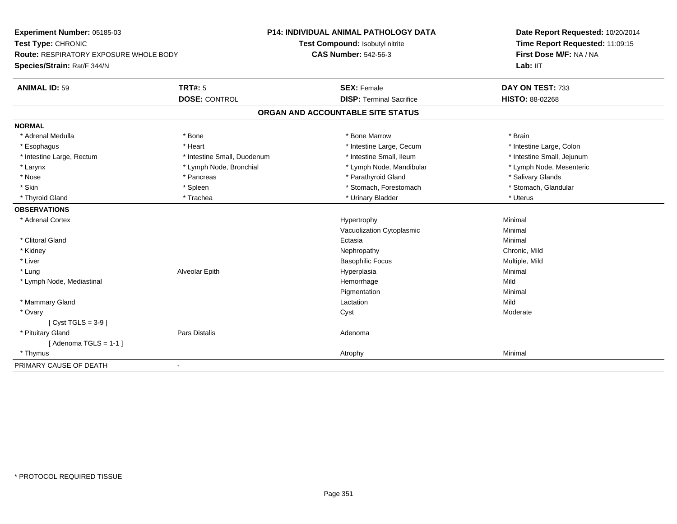| Experiment Number: 05185-03                   |                             | <b>P14: INDIVIDUAL ANIMAL PATHOLOGY DATA</b> | Date Report Requested: 10/20/2014<br>Time Report Requested: 11:09:15<br>First Dose M/F: NA / NA |
|-----------------------------------------------|-----------------------------|----------------------------------------------|-------------------------------------------------------------------------------------------------|
| Test Type: CHRONIC                            |                             | Test Compound: Isobutyl nitrite              |                                                                                                 |
| <b>Route: RESPIRATORY EXPOSURE WHOLE BODY</b> |                             | <b>CAS Number: 542-56-3</b>                  |                                                                                                 |
| Species/Strain: Rat/F 344/N                   |                             |                                              | Lab: IIT                                                                                        |
| <b>ANIMAL ID: 59</b>                          | <b>TRT#: 5</b>              | <b>SEX: Female</b>                           | DAY ON TEST: 733                                                                                |
|                                               | <b>DOSE: CONTROL</b>        | <b>DISP: Terminal Sacrifice</b>              | HISTO: 88-02268                                                                                 |
|                                               |                             | ORGAN AND ACCOUNTABLE SITE STATUS            |                                                                                                 |
| <b>NORMAL</b>                                 |                             |                                              |                                                                                                 |
| * Adrenal Medulla                             | * Bone                      | * Bone Marrow                                | * Brain                                                                                         |
| * Esophagus                                   | * Heart                     | * Intestine Large, Cecum                     | * Intestine Large, Colon                                                                        |
| * Intestine Large, Rectum                     | * Intestine Small, Duodenum | * Intestine Small. Ileum                     | * Intestine Small, Jejunum                                                                      |
| * Larynx                                      | * Lymph Node, Bronchial     | * Lymph Node, Mandibular                     | * Lymph Node, Mesenteric                                                                        |
| * Nose                                        | * Pancreas                  | * Parathyroid Gland                          | * Salivary Glands                                                                               |
| * Skin                                        | * Spleen                    | * Stomach, Forestomach                       | * Stomach, Glandular                                                                            |
| * Thyroid Gland                               | * Trachea                   | * Urinary Bladder                            | * Uterus                                                                                        |
| <b>OBSERVATIONS</b>                           |                             |                                              |                                                                                                 |
| * Adrenal Cortex                              |                             | Hypertrophy                                  | Minimal                                                                                         |
|                                               |                             | Vacuolization Cytoplasmic                    | Minimal                                                                                         |
| * Clitoral Gland                              |                             | Ectasia                                      | Minimal                                                                                         |
| * Kidney                                      |                             | Nephropathy                                  | Chronic, Mild                                                                                   |
| * Liver                                       |                             | <b>Basophilic Focus</b>                      | Multiple, Mild                                                                                  |
| * Lung                                        | Alveolar Epith              | Hyperplasia                                  | Minimal                                                                                         |
| * Lymph Node, Mediastinal                     |                             | Hemorrhage                                   | Mild                                                                                            |
|                                               |                             | Pigmentation                                 | Minimal                                                                                         |
| * Mammary Gland                               |                             | Lactation                                    | Mild                                                                                            |
| * Ovary                                       |                             | Cyst                                         | Moderate                                                                                        |
| [Cyst TGLS = $3-9$ ]                          |                             |                                              |                                                                                                 |
| * Pituitary Gland                             | Pars Distalis               | Adenoma                                      |                                                                                                 |
| [Adenoma TGLS = $1-1$ ]                       |                             |                                              |                                                                                                 |
| * Thymus                                      |                             | Atrophy                                      | Minimal                                                                                         |
| PRIMARY CAUSE OF DEATH                        |                             |                                              |                                                                                                 |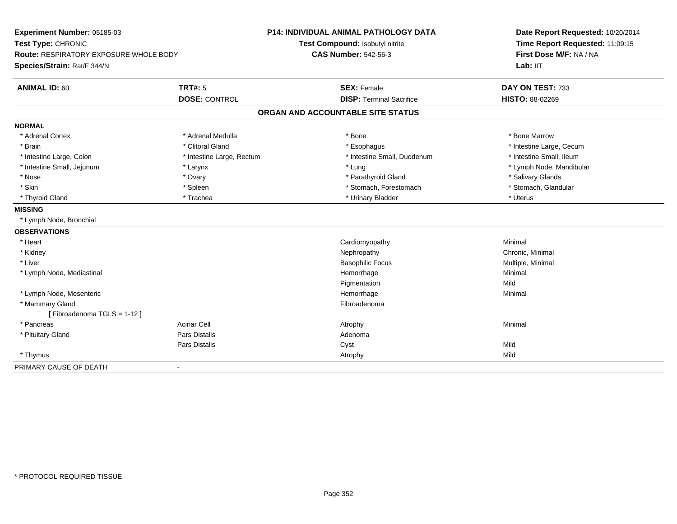| Experiment Number: 05185-03<br>Test Type: CHRONIC<br>Route: RESPIRATORY EXPOSURE WHOLE BODY |                           | <b>P14: INDIVIDUAL ANIMAL PATHOLOGY DATA</b> | Date Report Requested: 10/20/2014<br>Time Report Requested: 11:09:15<br>First Dose M/F: NA / NA |
|---------------------------------------------------------------------------------------------|---------------------------|----------------------------------------------|-------------------------------------------------------------------------------------------------|
|                                                                                             |                           | Test Compound: Isobutyl nitrite              |                                                                                                 |
|                                                                                             |                           | <b>CAS Number: 542-56-3</b>                  |                                                                                                 |
| Species/Strain: Rat/F 344/N                                                                 |                           |                                              | Lab: IIT                                                                                        |
| <b>ANIMAL ID: 60</b>                                                                        | <b>TRT#: 5</b>            | <b>SEX: Female</b>                           | DAY ON TEST: 733                                                                                |
|                                                                                             | <b>DOSE: CONTROL</b>      | <b>DISP: Terminal Sacrifice</b>              | HISTO: 88-02269                                                                                 |
|                                                                                             |                           | ORGAN AND ACCOUNTABLE SITE STATUS            |                                                                                                 |
| <b>NORMAL</b>                                                                               |                           |                                              |                                                                                                 |
| * Adrenal Cortex                                                                            | * Adrenal Medulla         | * Bone                                       | * Bone Marrow                                                                                   |
| * Brain                                                                                     | * Clitoral Gland          | * Esophagus                                  | * Intestine Large, Cecum                                                                        |
| * Intestine Large, Colon                                                                    | * Intestine Large, Rectum | * Intestine Small, Duodenum                  | * Intestine Small, Ileum                                                                        |
| * Intestine Small, Jejunum                                                                  | * Larynx                  | * Lung                                       | * Lymph Node, Mandibular                                                                        |
| * Nose                                                                                      | * Ovary                   | * Parathyroid Gland                          | * Salivary Glands                                                                               |
| * Skin                                                                                      | * Spleen                  | * Stomach, Forestomach                       | * Stomach, Glandular                                                                            |
| * Thyroid Gland                                                                             | * Trachea                 | * Urinary Bladder                            | * Uterus                                                                                        |
| <b>MISSING</b>                                                                              |                           |                                              |                                                                                                 |
| * Lymph Node, Bronchial                                                                     |                           |                                              |                                                                                                 |
| <b>OBSERVATIONS</b>                                                                         |                           |                                              |                                                                                                 |
| * Heart                                                                                     |                           | Cardiomyopathy                               | Minimal                                                                                         |
| * Kidney                                                                                    |                           | Nephropathy                                  | Chronic, Minimal                                                                                |
| * Liver                                                                                     |                           | <b>Basophilic Focus</b>                      | Multiple, Minimal                                                                               |
| * Lymph Node, Mediastinal                                                                   |                           | Hemorrhage                                   | Minimal                                                                                         |
|                                                                                             |                           | Pigmentation                                 | Mild                                                                                            |
| * Lymph Node, Mesenteric                                                                    |                           | Hemorrhage                                   | Minimal                                                                                         |
| * Mammary Gland                                                                             |                           | Fibroadenoma                                 |                                                                                                 |
| [Fibroadenoma TGLS = 1-12]                                                                  |                           |                                              |                                                                                                 |
| * Pancreas                                                                                  | <b>Acinar Cell</b>        | Atrophy                                      | Minimal                                                                                         |
| * Pituitary Gland                                                                           | Pars Distalis             | Adenoma                                      |                                                                                                 |
|                                                                                             | <b>Pars Distalis</b>      | Cyst                                         | Mild                                                                                            |
| * Thymus                                                                                    |                           | Atrophy                                      | Mild                                                                                            |
| PRIMARY CAUSE OF DEATH                                                                      | ä,                        |                                              |                                                                                                 |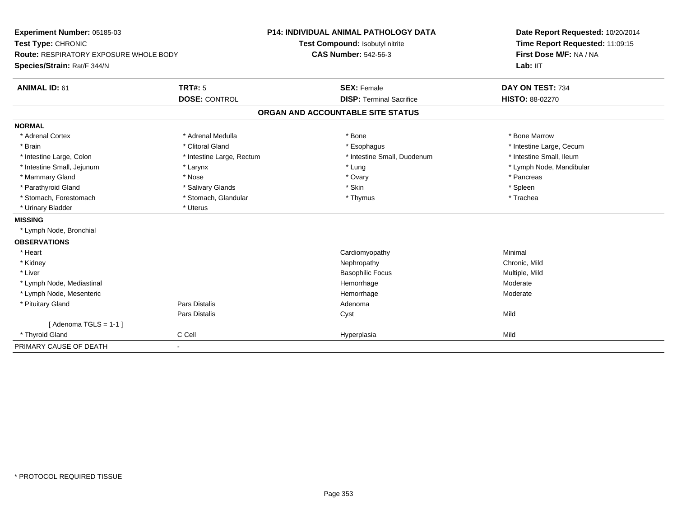| Experiment Number: 05185-03<br>Test Type: CHRONIC<br>Route: RESPIRATORY EXPOSURE WHOLE BODY |                           | P14: INDIVIDUAL ANIMAL PATHOLOGY DATA | Date Report Requested: 10/20/2014<br>Time Report Requested: 11:09:15<br>First Dose M/F: NA / NA |  |
|---------------------------------------------------------------------------------------------|---------------------------|---------------------------------------|-------------------------------------------------------------------------------------------------|--|
|                                                                                             |                           | Test Compound: Isobutyl nitrite       |                                                                                                 |  |
|                                                                                             |                           | <b>CAS Number: 542-56-3</b>           |                                                                                                 |  |
| Species/Strain: Rat/F 344/N                                                                 |                           |                                       | Lab: IIT                                                                                        |  |
| <b>ANIMAL ID: 61</b>                                                                        | <b>TRT#: 5</b>            | <b>SEX: Female</b>                    | DAY ON TEST: 734                                                                                |  |
|                                                                                             | <b>DOSE: CONTROL</b>      | <b>DISP: Terminal Sacrifice</b>       | HISTO: 88-02270                                                                                 |  |
|                                                                                             |                           | ORGAN AND ACCOUNTABLE SITE STATUS     |                                                                                                 |  |
| <b>NORMAL</b>                                                                               |                           |                                       |                                                                                                 |  |
| * Adrenal Cortex                                                                            | * Adrenal Medulla         | * Bone                                | * Bone Marrow                                                                                   |  |
| * Brain                                                                                     | * Clitoral Gland          | * Esophagus                           | * Intestine Large, Cecum                                                                        |  |
| * Intestine Large, Colon                                                                    | * Intestine Large, Rectum | * Intestine Small, Duodenum           | * Intestine Small, Ileum                                                                        |  |
| * Intestine Small, Jejunum                                                                  | * Larynx                  | * Lung                                | * Lymph Node, Mandibular                                                                        |  |
| * Mammary Gland                                                                             | * Nose                    | * Ovary                               | * Pancreas                                                                                      |  |
| * Parathyroid Gland                                                                         | * Salivary Glands         | * Skin                                | * Spleen                                                                                        |  |
| * Stomach, Forestomach                                                                      | * Stomach, Glandular      | * Thymus                              | * Trachea                                                                                       |  |
| * Urinary Bladder                                                                           | * Uterus                  |                                       |                                                                                                 |  |
| <b>MISSING</b>                                                                              |                           |                                       |                                                                                                 |  |
| * Lymph Node, Bronchial                                                                     |                           |                                       |                                                                                                 |  |
| <b>OBSERVATIONS</b>                                                                         |                           |                                       |                                                                                                 |  |
| * Heart                                                                                     |                           | Cardiomyopathy                        | Minimal                                                                                         |  |
| * Kidney                                                                                    |                           | Nephropathy                           | Chronic, Mild                                                                                   |  |
| * Liver                                                                                     |                           | <b>Basophilic Focus</b>               | Multiple, Mild                                                                                  |  |
| * Lymph Node, Mediastinal                                                                   |                           | Hemorrhage                            | Moderate                                                                                        |  |
| * Lymph Node, Mesenteric                                                                    |                           | Hemorrhage                            | Moderate                                                                                        |  |
| * Pituitary Gland                                                                           | Pars Distalis             | Adenoma                               |                                                                                                 |  |
|                                                                                             | Pars Distalis             | Cyst                                  | Mild                                                                                            |  |
| [Adenoma TGLS = $1-1$ ]                                                                     |                           |                                       |                                                                                                 |  |
| * Thyroid Gland                                                                             | C Cell                    | Hyperplasia                           | Mild                                                                                            |  |
| PRIMARY CAUSE OF DEATH                                                                      |                           |                                       |                                                                                                 |  |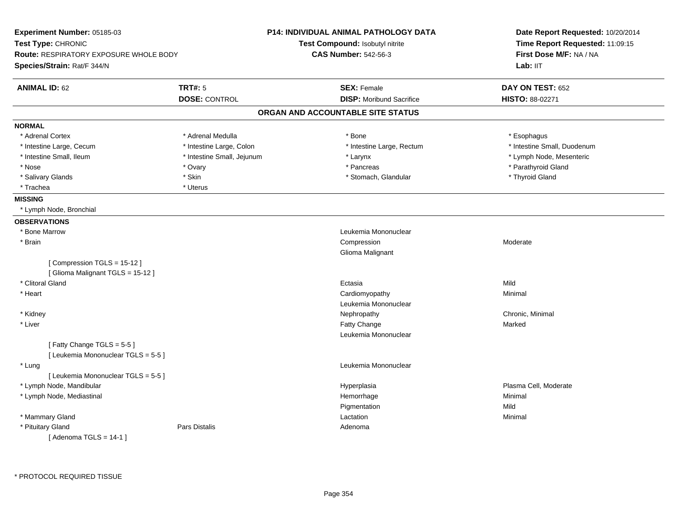| Experiment Number: 05185-03            |                            | P14: INDIVIDUAL ANIMAL PATHOLOGY DATA | Date Report Requested: 10/20/2014<br>Time Report Requested: 11:09:15 |
|----------------------------------------|----------------------------|---------------------------------------|----------------------------------------------------------------------|
| Test Type: CHRONIC                     |                            | Test Compound: Isobutyl nitrite       |                                                                      |
| Route: RESPIRATORY EXPOSURE WHOLE BODY |                            | <b>CAS Number: 542-56-3</b>           | First Dose M/F: NA / NA                                              |
| Species/Strain: Rat/F 344/N            |                            |                                       | Lab: IIT                                                             |
| <b>ANIMAL ID: 62</b>                   | <b>TRT#: 5</b>             | <b>SEX: Female</b>                    | DAY ON TEST: 652                                                     |
|                                        | <b>DOSE: CONTROL</b>       | <b>DISP:</b> Moribund Sacrifice       | HISTO: 88-02271                                                      |
|                                        |                            | ORGAN AND ACCOUNTABLE SITE STATUS     |                                                                      |
| <b>NORMAL</b>                          |                            |                                       |                                                                      |
| * Adrenal Cortex                       | * Adrenal Medulla          | * Bone                                | * Esophagus                                                          |
| * Intestine Large, Cecum               | * Intestine Large, Colon   | * Intestine Large, Rectum             | * Intestine Small, Duodenum                                          |
| * Intestine Small, Ileum               | * Intestine Small, Jejunum | * Larynx                              | * Lymph Node, Mesenteric                                             |
| * Nose                                 | * Ovary                    | * Pancreas                            | * Parathyroid Gland                                                  |
| * Salivary Glands                      | * Skin                     | * Stomach, Glandular                  | * Thyroid Gland                                                      |
| * Trachea                              | * Uterus                   |                                       |                                                                      |
| <b>MISSING</b>                         |                            |                                       |                                                                      |
| * Lymph Node, Bronchial                |                            |                                       |                                                                      |
| <b>OBSERVATIONS</b>                    |                            |                                       |                                                                      |
| * Bone Marrow                          |                            | Leukemia Mononuclear                  |                                                                      |
| * Brain                                |                            | Compression                           | Moderate                                                             |
|                                        |                            | Glioma Malignant                      |                                                                      |
| [Compression TGLS = 15-12]             |                            |                                       |                                                                      |
| [Glioma Malignant TGLS = 15-12]        |                            |                                       |                                                                      |
| * Clitoral Gland                       |                            | Ectasia                               | Mild                                                                 |
| * Heart                                |                            | Cardiomyopathy                        | Minimal                                                              |
|                                        |                            | Leukemia Mononuclear                  |                                                                      |
| * Kidney                               |                            | Nephropathy                           | Chronic, Minimal                                                     |
| * Liver                                |                            | Fatty Change                          | Marked                                                               |
|                                        |                            | Leukemia Mononuclear                  |                                                                      |
| [Fatty Change TGLS = 5-5]              |                            |                                       |                                                                      |
| [ Leukemia Mononuclear TGLS = 5-5 ]    |                            |                                       |                                                                      |
| * Lung                                 |                            | Leukemia Mononuclear                  |                                                                      |
| [ Leukemia Mononuclear TGLS = 5-5 ]    |                            |                                       |                                                                      |
| * Lymph Node, Mandibular               |                            | Hyperplasia                           | Plasma Cell, Moderate                                                |
| * Lymph Node, Mediastinal              |                            | Hemorrhage                            | Minimal                                                              |
|                                        |                            | Pigmentation                          | Mild                                                                 |
| * Mammary Gland                        |                            | Lactation                             | Minimal                                                              |
| * Pituitary Gland                      | <b>Pars Distalis</b>       | Adenoma                               |                                                                      |
| [Adenoma TGLS = $14-1$ ]               |                            |                                       |                                                                      |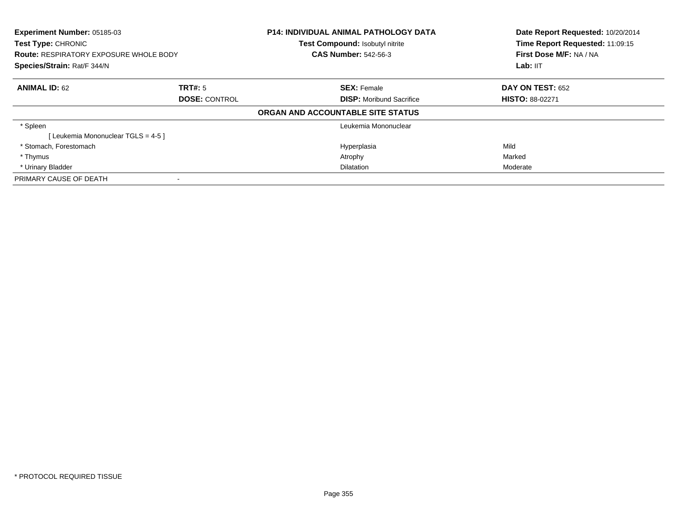| Experiment Number: 05185-03<br><b>Test Type: CHRONIC</b><br><b>Route: RESPIRATORY EXPOSURE WHOLE BODY</b><br>Species/Strain: Rat/F 344/N |                      | <b>P14: INDIVIDUAL ANIMAL PATHOLOGY DATA</b><br>Test Compound: Isobutyl nitrite<br><b>CAS Number: 542-56-3</b> | Date Report Requested: 10/20/2014<br>Time Report Requested: 11:09:15<br>First Dose M/F: NA / NA<br>Lab: IIT |
|------------------------------------------------------------------------------------------------------------------------------------------|----------------------|----------------------------------------------------------------------------------------------------------------|-------------------------------------------------------------------------------------------------------------|
| <b>ANIMAL ID: 62</b>                                                                                                                     | TRT#: 5              | <b>SEX: Female</b>                                                                                             | <b>DAY ON TEST: 652</b>                                                                                     |
|                                                                                                                                          | <b>DOSE: CONTROL</b> | <b>DISP:</b> Moribund Sacrifice                                                                                | <b>HISTO: 88-02271</b>                                                                                      |
|                                                                                                                                          |                      | ORGAN AND ACCOUNTABLE SITE STATUS                                                                              |                                                                                                             |
| * Spleen                                                                                                                                 |                      | Leukemia Mononuclear                                                                                           |                                                                                                             |
| [Leukemia Mononuclear TGLS = 4-5 ]                                                                                                       |                      |                                                                                                                |                                                                                                             |
| * Stomach, Forestomach                                                                                                                   |                      | Hyperplasia                                                                                                    | Mild                                                                                                        |
| * Thymus                                                                                                                                 |                      | Atrophy                                                                                                        | Marked                                                                                                      |
| * Urinary Bladder                                                                                                                        |                      | <b>Dilatation</b>                                                                                              | Moderate                                                                                                    |
| PRIMARY CAUSE OF DEATH                                                                                                                   |                      |                                                                                                                |                                                                                                             |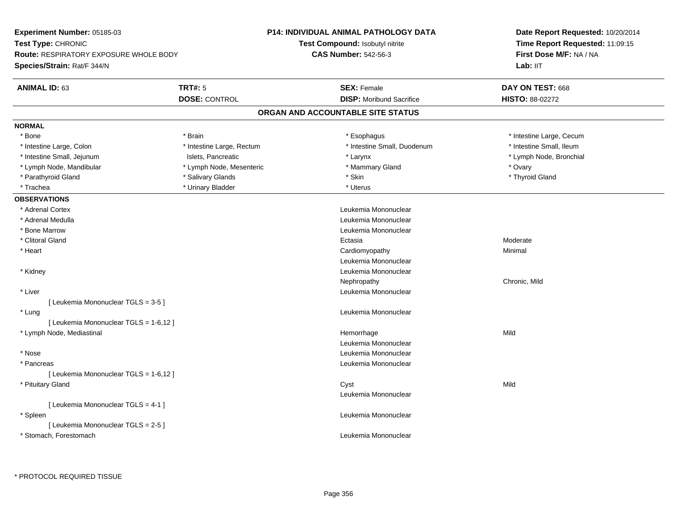| <b>Experiment Number: 05185-03</b>                                  |                           | <b>P14: INDIVIDUAL ANIMAL PATHOLOGY DATA</b> | Date Report Requested: 10/20/2014                          |  |
|---------------------------------------------------------------------|---------------------------|----------------------------------------------|------------------------------------------------------------|--|
| Test Type: CHRONIC<br><b>Route: RESPIRATORY EXPOSURE WHOLE BODY</b> |                           | Test Compound: Isobutyl nitrite              | Time Report Requested: 11:09:15<br>First Dose M/F: NA / NA |  |
|                                                                     |                           | <b>CAS Number: 542-56-3</b>                  |                                                            |  |
| Species/Strain: Rat/F 344/N                                         |                           |                                              | Lab: IIT                                                   |  |
| <b>ANIMAL ID: 63</b>                                                | <b>TRT#: 5</b>            | <b>SEX: Female</b>                           | DAY ON TEST: 668                                           |  |
|                                                                     | <b>DOSE: CONTROL</b>      | <b>DISP:</b> Moribund Sacrifice              | HISTO: 88-02272                                            |  |
|                                                                     |                           | ORGAN AND ACCOUNTABLE SITE STATUS            |                                                            |  |
| <b>NORMAL</b>                                                       |                           |                                              |                                                            |  |
| * Bone                                                              | * Brain                   | * Esophagus                                  | * Intestine Large, Cecum                                   |  |
| * Intestine Large, Colon                                            | * Intestine Large, Rectum | * Intestine Small, Duodenum                  | * Intestine Small, Ileum                                   |  |
| * Intestine Small, Jejunum                                          | Islets, Pancreatic        | * Larynx                                     | * Lymph Node, Bronchial                                    |  |
| * Lymph Node, Mandibular                                            | * Lymph Node, Mesenteric  | * Mammary Gland                              | * Ovary                                                    |  |
| * Parathyroid Gland                                                 | * Salivary Glands         | * Skin                                       | * Thyroid Gland                                            |  |
| * Trachea                                                           | * Urinary Bladder         | * Uterus                                     |                                                            |  |
| <b>OBSERVATIONS</b>                                                 |                           |                                              |                                                            |  |
| * Adrenal Cortex                                                    |                           | Leukemia Mononuclear                         |                                                            |  |
| * Adrenal Medulla                                                   |                           | Leukemia Mononuclear                         |                                                            |  |
| * Bone Marrow                                                       |                           | Leukemia Mononuclear                         |                                                            |  |
| * Clitoral Gland                                                    |                           | Ectasia                                      | Moderate                                                   |  |
| * Heart                                                             |                           | Cardiomyopathy                               | Minimal                                                    |  |
|                                                                     |                           | Leukemia Mononuclear                         |                                                            |  |
| * Kidney                                                            |                           | Leukemia Mononuclear                         |                                                            |  |
|                                                                     |                           | Nephropathy                                  | Chronic, Mild                                              |  |
| * Liver                                                             |                           | Leukemia Mononuclear                         |                                                            |  |
| [ Leukemia Mononuclear TGLS = 3-5 ]                                 |                           |                                              |                                                            |  |
| * Lung                                                              |                           | Leukemia Mononuclear                         |                                                            |  |
| [ Leukemia Mononuclear TGLS = 1-6,12 ]                              |                           |                                              |                                                            |  |
| * Lymph Node, Mediastinal                                           |                           | Hemorrhage                                   | Mild                                                       |  |
|                                                                     |                           | Leukemia Mononuclear                         |                                                            |  |
| * Nose                                                              |                           | Leukemia Mononuclear                         |                                                            |  |
| * Pancreas                                                          |                           | Leukemia Mononuclear                         |                                                            |  |
| [ Leukemia Mononuclear TGLS = 1-6,12 ]                              |                           |                                              |                                                            |  |
| * Pituitary Gland                                                   |                           | Cyst                                         | Mild                                                       |  |
|                                                                     |                           | Leukemia Mononuclear                         |                                                            |  |
| [ Leukemia Mononuclear TGLS = 4-1 ]                                 |                           |                                              |                                                            |  |
| * Spleen                                                            |                           | Leukemia Mononuclear                         |                                                            |  |
| [ Leukemia Mononuclear TGLS = 2-5 ]                                 |                           |                                              |                                                            |  |
| * Stomach, Forestomach                                              |                           | Leukemia Mononuclear                         |                                                            |  |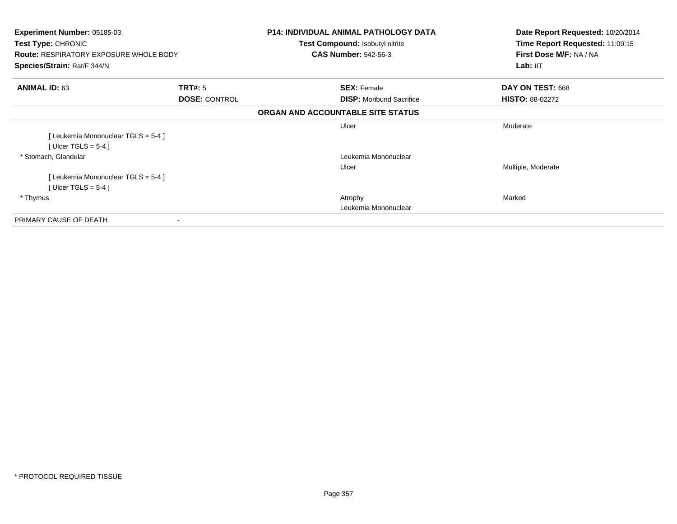| Experiment Number: 05185-03<br><b>Test Type: CHRONIC</b><br><b>Route: RESPIRATORY EXPOSURE WHOLE BODY</b><br>Species/Strain: Rat/F 344/N |                      | <b>P14: INDIVIDUAL ANIMAL PATHOLOGY DATA</b><br><b>Test Compound: Isobutyl nitrite</b><br><b>CAS Number: 542-56-3</b> | Date Report Requested: 10/20/2014<br>Time Report Requested: 11:09:15<br>First Dose M/F: NA / NA<br>Lab: IIT |
|------------------------------------------------------------------------------------------------------------------------------------------|----------------------|-----------------------------------------------------------------------------------------------------------------------|-------------------------------------------------------------------------------------------------------------|
| <b>ANIMAL ID: 63</b>                                                                                                                     | <b>TRT#:</b> 5       | <b>SEX: Female</b>                                                                                                    | DAY ON TEST: 668                                                                                            |
|                                                                                                                                          | <b>DOSE: CONTROL</b> | <b>DISP:</b> Moribund Sacrifice                                                                                       | <b>HISTO: 88-02272</b>                                                                                      |
|                                                                                                                                          |                      | ORGAN AND ACCOUNTABLE SITE STATUS                                                                                     |                                                                                                             |
|                                                                                                                                          |                      | Ulcer                                                                                                                 | Moderate                                                                                                    |
| [Leukemia Mononuclear TGLS = 5-4]                                                                                                        |                      |                                                                                                                       |                                                                                                             |
| [ Ulcer TGLS = $5-4$ ]                                                                                                                   |                      |                                                                                                                       |                                                                                                             |
| * Stomach, Glandular                                                                                                                     |                      | Leukemia Mononuclear                                                                                                  |                                                                                                             |
|                                                                                                                                          |                      | Ulcer                                                                                                                 | Multiple, Moderate                                                                                          |
| [Leukemia Mononuclear TGLS = 5-4]                                                                                                        |                      |                                                                                                                       |                                                                                                             |
| [ Ulcer TGLS = $5-4$ ]                                                                                                                   |                      |                                                                                                                       |                                                                                                             |
| * Thymus                                                                                                                                 |                      | Atrophy                                                                                                               | Marked                                                                                                      |
|                                                                                                                                          |                      | Leukemia Mononuclear                                                                                                  |                                                                                                             |
| PRIMARY CAUSE OF DEATH                                                                                                                   |                      |                                                                                                                       |                                                                                                             |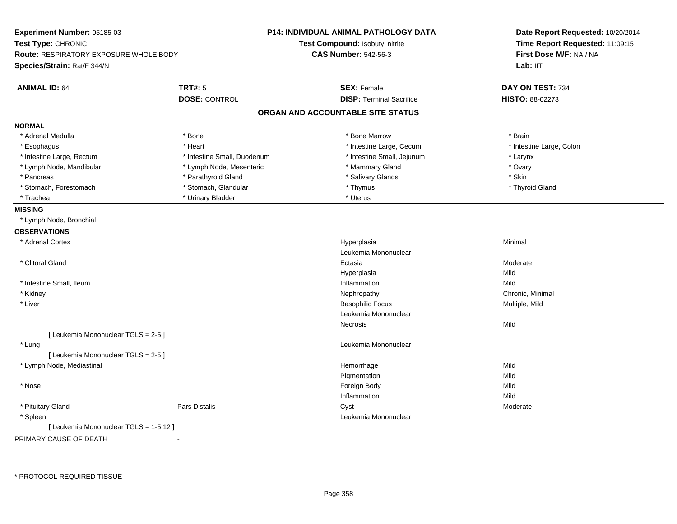| <b>TRT#: 5</b><br><b>SEX: Female</b><br>DAY ON TEST: 734<br><b>DOSE: CONTROL</b><br><b>DISP: Terminal Sacrifice</b><br>HISTO: 88-02273<br>ORGAN AND ACCOUNTABLE SITE STATUS<br>* Adrenal Medulla<br>* Bone<br>* Bone Marrow<br>* Brain<br>* Intestine Large, Cecum<br>* Intestine Large, Colon<br>* Esophagus<br>* Heart<br>* Intestine Large, Rectum<br>* Intestine Small, Duodenum<br>* Intestine Small, Jejunum<br>* Larynx<br>* Ovary<br>* Lymph Node, Mandibular<br>* Lymph Node, Mesenteric<br>* Mammary Gland<br>* Parathyroid Gland<br>* Salivary Glands<br>* Skin<br>* Pancreas<br>* Stomach, Glandular<br>* Stomach, Forestomach<br>* Thymus<br>* Thyroid Gland<br>* Urinary Bladder<br>* Uterus<br>* Trachea<br>* Lymph Node, Bronchial<br>* Adrenal Cortex<br>Minimal<br>Hyperplasia<br>Leukemia Mononuclear<br>* Clitoral Gland<br>Ectasia<br>Moderate<br>Mild<br>Hyperplasia<br>Mild<br>* Intestine Small, Ileum<br>Inflammation<br>* Kidney<br>Nephropathy<br>Chronic, Minimal<br>* Liver<br><b>Basophilic Focus</b><br>Multiple, Mild<br>Leukemia Mononuclear<br>Mild<br>Necrosis<br>[ Leukemia Mononuclear TGLS = 2-5 ]<br>Leukemia Mononuclear<br>* Lung<br>[ Leukemia Mononuclear TGLS = 2-5 ]<br>Mild<br>* Lymph Node, Mediastinal<br>Hemorrhage<br>Pigmentation<br>Mild<br>* Nose<br>Foreign Body<br>Mild<br>Inflammation<br>Mild<br>* Pituitary Gland<br><b>Pars Distalis</b><br>Cyst<br>Moderate<br>Leukemia Mononuclear<br>* Spleen<br>[Leukemia Mononuclear TGLS = 1-5,12] | Experiment Number: 05185-03<br>Test Type: CHRONIC<br>Route: RESPIRATORY EXPOSURE WHOLE BODY<br>Species/Strain: Rat/F 344/N |  | <b>P14: INDIVIDUAL ANIMAL PATHOLOGY DATA</b><br>Test Compound: Isobutyl nitrite<br><b>CAS Number: 542-56-3</b> | Date Report Requested: 10/20/2014<br>Time Report Requested: 11:09:15<br>First Dose M/F: NA / NA<br>Lab: II <sub>T</sub> |
|-----------------------------------------------------------------------------------------------------------------------------------------------------------------------------------------------------------------------------------------------------------------------------------------------------------------------------------------------------------------------------------------------------------------------------------------------------------------------------------------------------------------------------------------------------------------------------------------------------------------------------------------------------------------------------------------------------------------------------------------------------------------------------------------------------------------------------------------------------------------------------------------------------------------------------------------------------------------------------------------------------------------------------------------------------------------------------------------------------------------------------------------------------------------------------------------------------------------------------------------------------------------------------------------------------------------------------------------------------------------------------------------------------------------------------------------------------------------------------------------------------|----------------------------------------------------------------------------------------------------------------------------|--|----------------------------------------------------------------------------------------------------------------|-------------------------------------------------------------------------------------------------------------------------|
|                                                                                                                                                                                                                                                                                                                                                                                                                                                                                                                                                                                                                                                                                                                                                                                                                                                                                                                                                                                                                                                                                                                                                                                                                                                                                                                                                                                                                                                                                                     | <b>ANIMAL ID: 64</b>                                                                                                       |  |                                                                                                                |                                                                                                                         |
|                                                                                                                                                                                                                                                                                                                                                                                                                                                                                                                                                                                                                                                                                                                                                                                                                                                                                                                                                                                                                                                                                                                                                                                                                                                                                                                                                                                                                                                                                                     |                                                                                                                            |  |                                                                                                                |                                                                                                                         |
|                                                                                                                                                                                                                                                                                                                                                                                                                                                                                                                                                                                                                                                                                                                                                                                                                                                                                                                                                                                                                                                                                                                                                                                                                                                                                                                                                                                                                                                                                                     |                                                                                                                            |  |                                                                                                                |                                                                                                                         |
|                                                                                                                                                                                                                                                                                                                                                                                                                                                                                                                                                                                                                                                                                                                                                                                                                                                                                                                                                                                                                                                                                                                                                                                                                                                                                                                                                                                                                                                                                                     | <b>NORMAL</b>                                                                                                              |  |                                                                                                                |                                                                                                                         |
|                                                                                                                                                                                                                                                                                                                                                                                                                                                                                                                                                                                                                                                                                                                                                                                                                                                                                                                                                                                                                                                                                                                                                                                                                                                                                                                                                                                                                                                                                                     |                                                                                                                            |  |                                                                                                                |                                                                                                                         |
|                                                                                                                                                                                                                                                                                                                                                                                                                                                                                                                                                                                                                                                                                                                                                                                                                                                                                                                                                                                                                                                                                                                                                                                                                                                                                                                                                                                                                                                                                                     |                                                                                                                            |  |                                                                                                                |                                                                                                                         |
|                                                                                                                                                                                                                                                                                                                                                                                                                                                                                                                                                                                                                                                                                                                                                                                                                                                                                                                                                                                                                                                                                                                                                                                                                                                                                                                                                                                                                                                                                                     |                                                                                                                            |  |                                                                                                                |                                                                                                                         |
|                                                                                                                                                                                                                                                                                                                                                                                                                                                                                                                                                                                                                                                                                                                                                                                                                                                                                                                                                                                                                                                                                                                                                                                                                                                                                                                                                                                                                                                                                                     |                                                                                                                            |  |                                                                                                                |                                                                                                                         |
|                                                                                                                                                                                                                                                                                                                                                                                                                                                                                                                                                                                                                                                                                                                                                                                                                                                                                                                                                                                                                                                                                                                                                                                                                                                                                                                                                                                                                                                                                                     |                                                                                                                            |  |                                                                                                                |                                                                                                                         |
|                                                                                                                                                                                                                                                                                                                                                                                                                                                                                                                                                                                                                                                                                                                                                                                                                                                                                                                                                                                                                                                                                                                                                                                                                                                                                                                                                                                                                                                                                                     |                                                                                                                            |  |                                                                                                                |                                                                                                                         |
|                                                                                                                                                                                                                                                                                                                                                                                                                                                                                                                                                                                                                                                                                                                                                                                                                                                                                                                                                                                                                                                                                                                                                                                                                                                                                                                                                                                                                                                                                                     |                                                                                                                            |  |                                                                                                                |                                                                                                                         |
|                                                                                                                                                                                                                                                                                                                                                                                                                                                                                                                                                                                                                                                                                                                                                                                                                                                                                                                                                                                                                                                                                                                                                                                                                                                                                                                                                                                                                                                                                                     | <b>MISSING</b>                                                                                                             |  |                                                                                                                |                                                                                                                         |
|                                                                                                                                                                                                                                                                                                                                                                                                                                                                                                                                                                                                                                                                                                                                                                                                                                                                                                                                                                                                                                                                                                                                                                                                                                                                                                                                                                                                                                                                                                     |                                                                                                                            |  |                                                                                                                |                                                                                                                         |
|                                                                                                                                                                                                                                                                                                                                                                                                                                                                                                                                                                                                                                                                                                                                                                                                                                                                                                                                                                                                                                                                                                                                                                                                                                                                                                                                                                                                                                                                                                     | <b>OBSERVATIONS</b>                                                                                                        |  |                                                                                                                |                                                                                                                         |
|                                                                                                                                                                                                                                                                                                                                                                                                                                                                                                                                                                                                                                                                                                                                                                                                                                                                                                                                                                                                                                                                                                                                                                                                                                                                                                                                                                                                                                                                                                     |                                                                                                                            |  |                                                                                                                |                                                                                                                         |
|                                                                                                                                                                                                                                                                                                                                                                                                                                                                                                                                                                                                                                                                                                                                                                                                                                                                                                                                                                                                                                                                                                                                                                                                                                                                                                                                                                                                                                                                                                     |                                                                                                                            |  |                                                                                                                |                                                                                                                         |
|                                                                                                                                                                                                                                                                                                                                                                                                                                                                                                                                                                                                                                                                                                                                                                                                                                                                                                                                                                                                                                                                                                                                                                                                                                                                                                                                                                                                                                                                                                     |                                                                                                                            |  |                                                                                                                |                                                                                                                         |
|                                                                                                                                                                                                                                                                                                                                                                                                                                                                                                                                                                                                                                                                                                                                                                                                                                                                                                                                                                                                                                                                                                                                                                                                                                                                                                                                                                                                                                                                                                     |                                                                                                                            |  |                                                                                                                |                                                                                                                         |
|                                                                                                                                                                                                                                                                                                                                                                                                                                                                                                                                                                                                                                                                                                                                                                                                                                                                                                                                                                                                                                                                                                                                                                                                                                                                                                                                                                                                                                                                                                     |                                                                                                                            |  |                                                                                                                |                                                                                                                         |
|                                                                                                                                                                                                                                                                                                                                                                                                                                                                                                                                                                                                                                                                                                                                                                                                                                                                                                                                                                                                                                                                                                                                                                                                                                                                                                                                                                                                                                                                                                     |                                                                                                                            |  |                                                                                                                |                                                                                                                         |
|                                                                                                                                                                                                                                                                                                                                                                                                                                                                                                                                                                                                                                                                                                                                                                                                                                                                                                                                                                                                                                                                                                                                                                                                                                                                                                                                                                                                                                                                                                     |                                                                                                                            |  |                                                                                                                |                                                                                                                         |
|                                                                                                                                                                                                                                                                                                                                                                                                                                                                                                                                                                                                                                                                                                                                                                                                                                                                                                                                                                                                                                                                                                                                                                                                                                                                                                                                                                                                                                                                                                     |                                                                                                                            |  |                                                                                                                |                                                                                                                         |
|                                                                                                                                                                                                                                                                                                                                                                                                                                                                                                                                                                                                                                                                                                                                                                                                                                                                                                                                                                                                                                                                                                                                                                                                                                                                                                                                                                                                                                                                                                     |                                                                                                                            |  |                                                                                                                |                                                                                                                         |
|                                                                                                                                                                                                                                                                                                                                                                                                                                                                                                                                                                                                                                                                                                                                                                                                                                                                                                                                                                                                                                                                                                                                                                                                                                                                                                                                                                                                                                                                                                     |                                                                                                                            |  |                                                                                                                |                                                                                                                         |
|                                                                                                                                                                                                                                                                                                                                                                                                                                                                                                                                                                                                                                                                                                                                                                                                                                                                                                                                                                                                                                                                                                                                                                                                                                                                                                                                                                                                                                                                                                     |                                                                                                                            |  |                                                                                                                |                                                                                                                         |
|                                                                                                                                                                                                                                                                                                                                                                                                                                                                                                                                                                                                                                                                                                                                                                                                                                                                                                                                                                                                                                                                                                                                                                                                                                                                                                                                                                                                                                                                                                     |                                                                                                                            |  |                                                                                                                |                                                                                                                         |
|                                                                                                                                                                                                                                                                                                                                                                                                                                                                                                                                                                                                                                                                                                                                                                                                                                                                                                                                                                                                                                                                                                                                                                                                                                                                                                                                                                                                                                                                                                     |                                                                                                                            |  |                                                                                                                |                                                                                                                         |
|                                                                                                                                                                                                                                                                                                                                                                                                                                                                                                                                                                                                                                                                                                                                                                                                                                                                                                                                                                                                                                                                                                                                                                                                                                                                                                                                                                                                                                                                                                     |                                                                                                                            |  |                                                                                                                |                                                                                                                         |
|                                                                                                                                                                                                                                                                                                                                                                                                                                                                                                                                                                                                                                                                                                                                                                                                                                                                                                                                                                                                                                                                                                                                                                                                                                                                                                                                                                                                                                                                                                     |                                                                                                                            |  |                                                                                                                |                                                                                                                         |
|                                                                                                                                                                                                                                                                                                                                                                                                                                                                                                                                                                                                                                                                                                                                                                                                                                                                                                                                                                                                                                                                                                                                                                                                                                                                                                                                                                                                                                                                                                     |                                                                                                                            |  |                                                                                                                |                                                                                                                         |
|                                                                                                                                                                                                                                                                                                                                                                                                                                                                                                                                                                                                                                                                                                                                                                                                                                                                                                                                                                                                                                                                                                                                                                                                                                                                                                                                                                                                                                                                                                     |                                                                                                                            |  |                                                                                                                |                                                                                                                         |
|                                                                                                                                                                                                                                                                                                                                                                                                                                                                                                                                                                                                                                                                                                                                                                                                                                                                                                                                                                                                                                                                                                                                                                                                                                                                                                                                                                                                                                                                                                     |                                                                                                                            |  |                                                                                                                |                                                                                                                         |
|                                                                                                                                                                                                                                                                                                                                                                                                                                                                                                                                                                                                                                                                                                                                                                                                                                                                                                                                                                                                                                                                                                                                                                                                                                                                                                                                                                                                                                                                                                     |                                                                                                                            |  |                                                                                                                |                                                                                                                         |

PRIMARY CAUSE OF DEATH-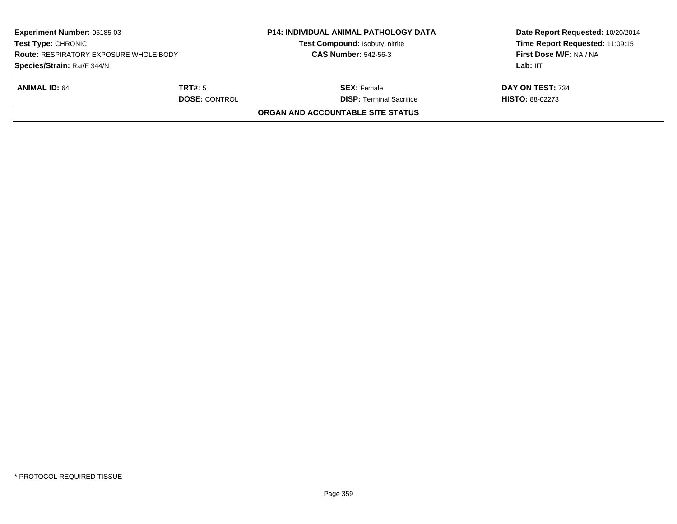| <b>Experiment Number: 05185-03</b><br><b>Test Type: CHRONIC</b><br><b>Route: RESPIRATORY EXPOSURE WHOLE BODY</b><br>Species/Strain: Rat/F 344/N |                                        | <b>P14: INDIVIDUAL ANIMAL PATHOLOGY DATA</b><br>Test Compound: Isobutyl nitrite<br><b>CAS Number: 542-56-3</b> | Date Report Requested: 10/20/2014<br>Time Report Requested: 11:09:15<br>First Dose M/F: NA / NA<br>Lab: IIT |
|-------------------------------------------------------------------------------------------------------------------------------------------------|----------------------------------------|----------------------------------------------------------------------------------------------------------------|-------------------------------------------------------------------------------------------------------------|
| <b>ANIMAL ID: 64</b>                                                                                                                            | <b>TRT#:</b> 5<br><b>DOSE: CONTROL</b> | <b>SEX:</b> Female<br><b>DISP: Terminal Sacrifice</b>                                                          | DAY ON TEST: 734<br><b>HISTO: 88-02273</b>                                                                  |
|                                                                                                                                                 |                                        | ORGAN AND ACCOUNTABLE SITE STATUS                                                                              |                                                                                                             |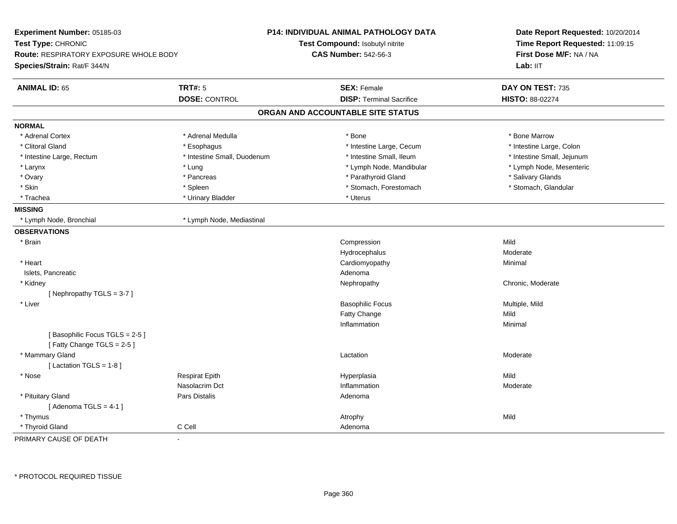| Experiment Number: 05185-03<br>Test Type: CHRONIC<br><b>Route: RESPIRATORY EXPOSURE WHOLE BODY</b><br>Species/Strain: Rat/F 344/N |                             | <b>P14: INDIVIDUAL ANIMAL PATHOLOGY DATA</b><br>Test Compound: Isobutyl nitrite<br><b>CAS Number: 542-56-3</b> | Date Report Requested: 10/20/2014<br>Time Report Requested: 11:09:15<br>First Dose M/F: NA / NA<br>Lab: IIT |
|-----------------------------------------------------------------------------------------------------------------------------------|-----------------------------|----------------------------------------------------------------------------------------------------------------|-------------------------------------------------------------------------------------------------------------|
| <b>ANIMAL ID: 65</b>                                                                                                              | <b>TRT#: 5</b>              | <b>SEX: Female</b>                                                                                             | DAY ON TEST: 735                                                                                            |
|                                                                                                                                   | <b>DOSE: CONTROL</b>        | <b>DISP: Terminal Sacrifice</b>                                                                                | <b>HISTO: 88-02274</b>                                                                                      |
|                                                                                                                                   |                             | ORGAN AND ACCOUNTABLE SITE STATUS                                                                              |                                                                                                             |
| <b>NORMAL</b>                                                                                                                     |                             |                                                                                                                |                                                                                                             |
| * Adrenal Cortex                                                                                                                  | * Adrenal Medulla           | $*$ Bone                                                                                                       | * Bone Marrow                                                                                               |
| * Clitoral Gland                                                                                                                  | * Esophagus                 | * Intestine Large, Cecum                                                                                       | * Intestine Large, Colon                                                                                    |
| * Intestine Large, Rectum                                                                                                         | * Intestine Small, Duodenum | * Intestine Small, Ileum                                                                                       | * Intestine Small, Jejunum                                                                                  |
| * Larynx                                                                                                                          | * Lung                      | * Lymph Node, Mandibular                                                                                       | * Lymph Node, Mesenteric                                                                                    |
| * Ovary                                                                                                                           | * Pancreas                  | * Parathyroid Gland                                                                                            | * Salivary Glands                                                                                           |
| * Skin                                                                                                                            | * Spleen                    | * Stomach, Forestomach                                                                                         | * Stomach, Glandular                                                                                        |
| * Trachea                                                                                                                         | * Urinary Bladder           | * Uterus                                                                                                       |                                                                                                             |
| <b>MISSING</b>                                                                                                                    |                             |                                                                                                                |                                                                                                             |
| * Lymph Node, Bronchial                                                                                                           | * Lymph Node, Mediastinal   |                                                                                                                |                                                                                                             |
| <b>OBSERVATIONS</b>                                                                                                               |                             |                                                                                                                |                                                                                                             |
| * Brain                                                                                                                           |                             | Compression                                                                                                    | Mild                                                                                                        |
|                                                                                                                                   |                             | Hydrocephalus                                                                                                  | Moderate                                                                                                    |
| * Heart                                                                                                                           |                             | Cardiomyopathy                                                                                                 | Minimal                                                                                                     |
| Islets, Pancreatic                                                                                                                |                             | Adenoma                                                                                                        |                                                                                                             |
| * Kidney                                                                                                                          |                             | Nephropathy                                                                                                    | Chronic, Moderate                                                                                           |
| [Nephropathy TGLS = 3-7]                                                                                                          |                             |                                                                                                                |                                                                                                             |
| * Liver                                                                                                                           |                             | <b>Basophilic Focus</b>                                                                                        | Multiple, Mild                                                                                              |
|                                                                                                                                   |                             | Fatty Change                                                                                                   | Mild                                                                                                        |
|                                                                                                                                   |                             | Inflammation                                                                                                   | Minimal                                                                                                     |
| [Basophilic Focus TGLS = 2-5]                                                                                                     |                             |                                                                                                                |                                                                                                             |
| [Fatty Change TGLS = 2-5]                                                                                                         |                             |                                                                                                                |                                                                                                             |
| * Mammary Gland                                                                                                                   |                             | Lactation                                                                                                      | Moderate                                                                                                    |
| [ Lactation TGLS = $1-8$ ]                                                                                                        |                             |                                                                                                                |                                                                                                             |
| $^{\star}$ Nose                                                                                                                   | <b>Respirat Epith</b>       | Hyperplasia                                                                                                    | Mild                                                                                                        |
|                                                                                                                                   | Nasolacrim Dct              | Inflammation                                                                                                   | Moderate                                                                                                    |
| * Pituitary Gland                                                                                                                 | Pars Distalis               | Adenoma                                                                                                        |                                                                                                             |
| [Adenoma TGLS = $4-1$ ]                                                                                                           |                             |                                                                                                                |                                                                                                             |
| * Thymus                                                                                                                          |                             | Atrophy                                                                                                        | Mild                                                                                                        |
| * Thyroid Gland                                                                                                                   | C Cell                      | Adenoma                                                                                                        |                                                                                                             |
| PRIMARY CAUSE OF DEATH                                                                                                            | ä,                          |                                                                                                                |                                                                                                             |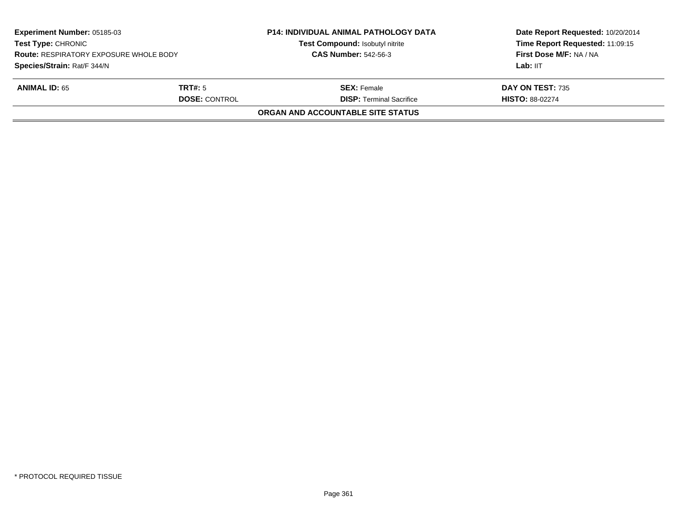|                                                                | <b>CAS Number: 542-56-3</b>                           | First Dose M/F: NA / NA<br>Lab: IIT        |
|----------------------------------------------------------------|-------------------------------------------------------|--------------------------------------------|
| <b>ANIMAL ID: 65</b><br><b>TRT#:</b> 5<br><b>DOSE: CONTROL</b> | <b>SEX: Female</b><br><b>DISP: Terminal Sacrifice</b> | DAY ON TEST: 735<br><b>HISTO: 88-02274</b> |
|                                                                | <b>ORGAN AND ACCOUNTABLE SITE STATUS</b>              |                                            |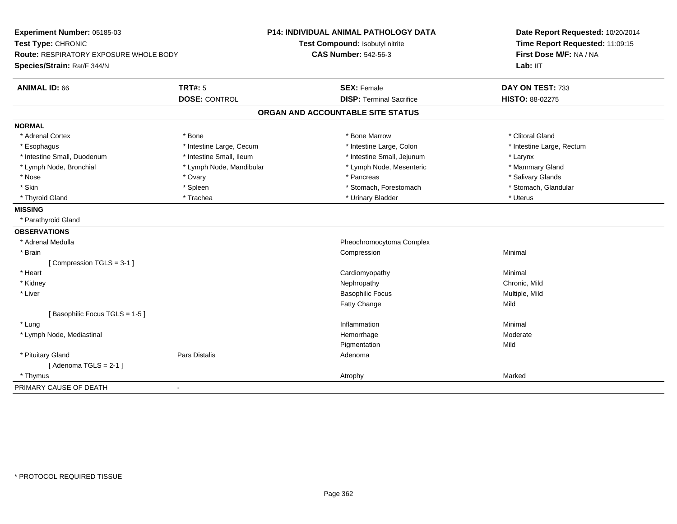| Experiment Number: 05185-03                             | <b>P14: INDIVIDUAL ANIMAL PATHOLOGY DATA</b> | Date Report Requested: 10/20/2014<br>Time Report Requested: 11:09:15 |  |
|---------------------------------------------------------|----------------------------------------------|----------------------------------------------------------------------|--|
| Test Type: CHRONIC                                      | Test Compound: Isobutyl nitrite              |                                                                      |  |
| Route: RESPIRATORY EXPOSURE WHOLE BODY                  | <b>CAS Number: 542-56-3</b>                  | First Dose M/F: NA / NA                                              |  |
| Species/Strain: Rat/F 344/N                             |                                              | Lab: IIT                                                             |  |
| <b>ANIMAL ID: 66</b><br><b>TRT#: 5</b>                  | <b>SEX: Female</b>                           | DAY ON TEST: 733                                                     |  |
| <b>DOSE: CONTROL</b>                                    | <b>DISP: Terminal Sacrifice</b>              | HISTO: 88-02275                                                      |  |
|                                                         | ORGAN AND ACCOUNTABLE SITE STATUS            |                                                                      |  |
| <b>NORMAL</b>                                           |                                              |                                                                      |  |
| * Adrenal Cortex<br>* Bone                              | * Bone Marrow                                | * Clitoral Gland                                                     |  |
| * Intestine Large, Cecum<br>* Esophagus                 | * Intestine Large, Colon                     | * Intestine Large, Rectum                                            |  |
| * Intestine Small, Ileum<br>* Intestine Small, Duodenum | * Intestine Small, Jejunum                   | * Larynx                                                             |  |
| * Lymph Node, Bronchial<br>* Lymph Node, Mandibular     | * Lymph Node, Mesenteric                     | * Mammary Gland                                                      |  |
| * Nose<br>* Ovary                                       | * Pancreas                                   | * Salivary Glands                                                    |  |
| * Skin<br>* Spleen                                      | * Stomach, Forestomach                       | * Stomach, Glandular                                                 |  |
| * Thyroid Gland<br>* Trachea                            | * Urinary Bladder                            | * Uterus                                                             |  |
| <b>MISSING</b>                                          |                                              |                                                                      |  |
| * Parathyroid Gland                                     |                                              |                                                                      |  |
| <b>OBSERVATIONS</b>                                     |                                              |                                                                      |  |
| * Adrenal Medulla                                       | Pheochromocytoma Complex                     |                                                                      |  |
| * Brain                                                 | Compression                                  | Minimal                                                              |  |
| [Compression TGLS = 3-1]                                |                                              |                                                                      |  |
| * Heart                                                 | Cardiomyopathy                               | Minimal                                                              |  |
| * Kidney                                                | Nephropathy                                  | Chronic, Mild                                                        |  |
| * Liver                                                 | <b>Basophilic Focus</b>                      | Multiple, Mild                                                       |  |
|                                                         | Fatty Change                                 | Mild                                                                 |  |
| [Basophilic Focus TGLS = 1-5]                           |                                              |                                                                      |  |
| * Lung                                                  | Inflammation                                 | Minimal                                                              |  |
| * Lymph Node, Mediastinal                               | Hemorrhage                                   | Moderate                                                             |  |
|                                                         | Pigmentation                                 | Mild                                                                 |  |
| * Pituitary Gland<br><b>Pars Distalis</b>               | Adenoma                                      |                                                                      |  |
| [Adenoma TGLS = $2-1$ ]                                 |                                              |                                                                      |  |
| * Thymus                                                | Atrophy                                      | Marked                                                               |  |
| PRIMARY CAUSE OF DEATH<br>$\blacksquare$                |                                              |                                                                      |  |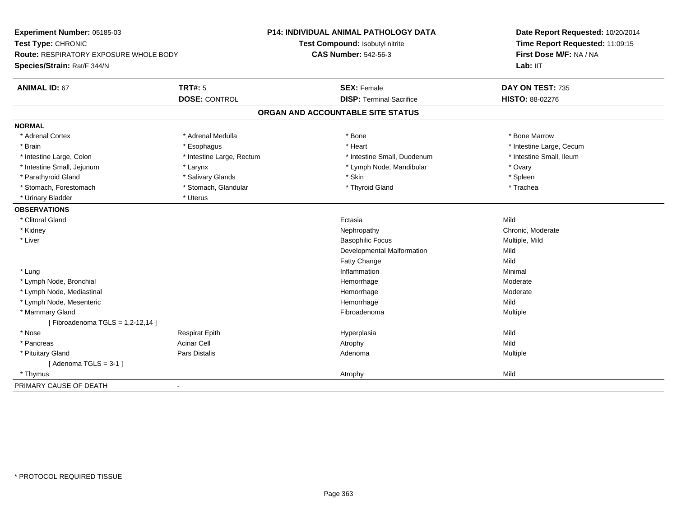| Experiment Number: 05185-03                                                  |                           | P14: INDIVIDUAL ANIMAL PATHOLOGY DATA | Date Report Requested: 10/20/2014<br>Time Report Requested: 11:09:15 |
|------------------------------------------------------------------------------|---------------------------|---------------------------------------|----------------------------------------------------------------------|
| Test Type: CHRONIC                                                           |                           | Test Compound: Isobutyl nitrite       |                                                                      |
| <b>Route: RESPIRATORY EXPOSURE WHOLE BODY</b><br>Species/Strain: Rat/F 344/N |                           | <b>CAS Number: 542-56-3</b>           | First Dose M/F: NA / NA                                              |
|                                                                              |                           |                                       | Lab: IIT                                                             |
| <b>ANIMAL ID: 67</b>                                                         | <b>TRT#: 5</b>            | <b>SEX: Female</b>                    | DAY ON TEST: 735                                                     |
|                                                                              | <b>DOSE: CONTROL</b>      | <b>DISP: Terminal Sacrifice</b>       | <b>HISTO: 88-02276</b>                                               |
|                                                                              |                           | ORGAN AND ACCOUNTABLE SITE STATUS     |                                                                      |
| <b>NORMAL</b>                                                                |                           |                                       |                                                                      |
| * Adrenal Cortex                                                             | * Adrenal Medulla         | * Bone                                | * Bone Marrow                                                        |
| * Brain                                                                      | * Esophagus               | * Heart                               | * Intestine Large, Cecum                                             |
| * Intestine Large, Colon                                                     | * Intestine Large, Rectum | * Intestine Small, Duodenum           | * Intestine Small, Ileum                                             |
| * Intestine Small, Jejunum                                                   | * Larynx                  | * Lymph Node, Mandibular              | * Ovary                                                              |
| * Parathyroid Gland                                                          | * Salivary Glands         | * Skin                                | * Spleen                                                             |
| * Stomach, Forestomach                                                       | * Stomach, Glandular      | * Thyroid Gland                       | * Trachea                                                            |
| * Urinary Bladder                                                            | * Uterus                  |                                       |                                                                      |
| <b>OBSERVATIONS</b>                                                          |                           |                                       |                                                                      |
| * Clitoral Gland                                                             |                           | Ectasia                               | Mild                                                                 |
| * Kidney                                                                     |                           | Nephropathy                           | Chronic, Moderate                                                    |
| * Liver                                                                      |                           | <b>Basophilic Focus</b>               | Multiple, Mild                                                       |
|                                                                              |                           | Developmental Malformation            | Mild                                                                 |
|                                                                              |                           | Fatty Change                          | Mild                                                                 |
| * Lung                                                                       |                           | Inflammation                          | Minimal                                                              |
| * Lymph Node, Bronchial                                                      |                           | Hemorrhage                            | Moderate                                                             |
| * Lymph Node, Mediastinal                                                    |                           | Hemorrhage                            | Moderate                                                             |
| * Lymph Node, Mesenteric                                                     |                           | Hemorrhage                            | Mild                                                                 |
| * Mammary Gland                                                              |                           | Fibroadenoma                          | Multiple                                                             |
| [ Fibroadenoma TGLS = 1,2-12,14 ]                                            |                           |                                       |                                                                      |
| * Nose                                                                       | <b>Respirat Epith</b>     | Hyperplasia                           | Mild                                                                 |
| * Pancreas                                                                   | <b>Acinar Cell</b>        | Atrophy                               | Mild                                                                 |
| * Pituitary Gland                                                            | Pars Distalis             | Adenoma                               | Multiple                                                             |
| [Adenoma TGLS = $3-1$ ]                                                      |                           |                                       |                                                                      |
| * Thymus                                                                     |                           | Atrophy                               | Mild                                                                 |
| PRIMARY CAUSE OF DEATH                                                       | $\blacksquare$            |                                       |                                                                      |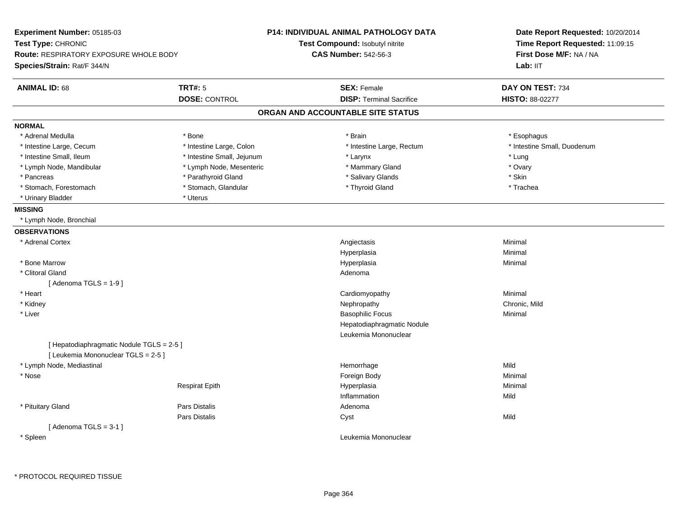| Experiment Number: 05185-03                   |                            | P14: INDIVIDUAL ANIMAL PATHOLOGY DATA | Date Report Requested: 10/20/2014 |  |
|-----------------------------------------------|----------------------------|---------------------------------------|-----------------------------------|--|
| Test Type: CHRONIC                            |                            | Test Compound: Isobutyl nitrite       | Time Report Requested: 11:09:15   |  |
| <b>Route: RESPIRATORY EXPOSURE WHOLE BODY</b> |                            | <b>CAS Number: 542-56-3</b>           | First Dose M/F: NA / NA           |  |
| Species/Strain: Rat/F 344/N                   |                            |                                       | Lab: II <sub>T</sub>              |  |
| <b>ANIMAL ID: 68</b>                          | <b>TRT#: 5</b>             | <b>SEX: Female</b>                    | DAY ON TEST: 734                  |  |
|                                               | <b>DOSE: CONTROL</b>       | <b>DISP: Terminal Sacrifice</b>       | HISTO: 88-02277                   |  |
|                                               |                            | ORGAN AND ACCOUNTABLE SITE STATUS     |                                   |  |
| <b>NORMAL</b>                                 |                            |                                       |                                   |  |
| * Adrenal Medulla                             | * Bone                     | * Brain                               | * Esophagus                       |  |
| * Intestine Large, Cecum                      | * Intestine Large, Colon   | * Intestine Large, Rectum             | * Intestine Small, Duodenum       |  |
| * Intestine Small, Ileum                      | * Intestine Small, Jejunum | * Larynx                              | * Lung                            |  |
| * Lymph Node, Mandibular                      | * Lymph Node, Mesenteric   | * Mammary Gland                       | * Ovary                           |  |
| * Pancreas                                    | * Parathyroid Gland        | * Salivary Glands                     | * Skin                            |  |
| * Stomach, Forestomach                        | * Stomach, Glandular       | * Thyroid Gland                       | * Trachea                         |  |
| * Urinary Bladder                             | * Uterus                   |                                       |                                   |  |
| <b>MISSING</b>                                |                            |                                       |                                   |  |
| * Lymph Node, Bronchial                       |                            |                                       |                                   |  |
| <b>OBSERVATIONS</b>                           |                            |                                       |                                   |  |
| * Adrenal Cortex                              |                            | Angiectasis                           | Minimal                           |  |
|                                               |                            | Hyperplasia                           | Minimal                           |  |
| * Bone Marrow                                 |                            | Hyperplasia                           | Minimal                           |  |
| * Clitoral Gland                              |                            | Adenoma                               |                                   |  |
| [Adenoma TGLS = $1-9$ ]                       |                            |                                       |                                   |  |
| * Heart                                       |                            | Cardiomyopathy                        | Minimal                           |  |
| * Kidney                                      |                            | Nephropathy                           | Chronic, Mild                     |  |
| * Liver                                       |                            | <b>Basophilic Focus</b>               | Minimal                           |  |
|                                               |                            | Hepatodiaphragmatic Nodule            |                                   |  |
|                                               |                            | Leukemia Mononuclear                  |                                   |  |
| [ Hepatodiaphragmatic Nodule TGLS = 2-5 ]     |                            |                                       |                                   |  |
| [ Leukemia Mononuclear TGLS = 2-5 ]           |                            |                                       |                                   |  |
| * Lymph Node, Mediastinal                     |                            | Hemorrhage                            | Mild                              |  |
| * Nose                                        |                            | Foreign Body                          | Minimal                           |  |
|                                               | <b>Respirat Epith</b>      | Hyperplasia                           | Minimal                           |  |
|                                               |                            | Inflammation                          | Mild                              |  |
| * Pituitary Gland                             | Pars Distalis              | Adenoma                               |                                   |  |
|                                               | Pars Distalis              | Cyst                                  | Mild                              |  |
| [Adenoma TGLS = $3-1$ ]                       |                            |                                       |                                   |  |
| * Spleen                                      |                            | Leukemia Mononuclear                  |                                   |  |
|                                               |                            |                                       |                                   |  |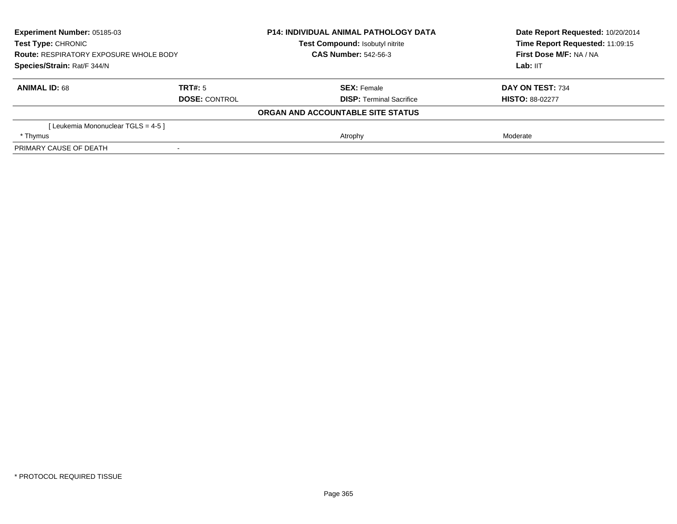| Experiment Number: 05185-03<br><b>Test Type: CHRONIC</b><br>Route: RESPIRATORY EXPOSURE WHOLE BODY<br>Species/Strain: Rat/F 344/N |                      | <b>P14: INDIVIDUAL ANIMAL PATHOLOGY DATA</b> | Date Report Requested: 10/20/2014<br>Time Report Requested: 11:09:15 |
|-----------------------------------------------------------------------------------------------------------------------------------|----------------------|----------------------------------------------|----------------------------------------------------------------------|
|                                                                                                                                   |                      | <b>Test Compound: Isobutyl nitrite</b>       |                                                                      |
|                                                                                                                                   |                      | <b>CAS Number: 542-56-3</b>                  | First Dose M/F: NA / NA                                              |
|                                                                                                                                   |                      |                                              | Lab: IIT                                                             |
| <b>ANIMAL ID: 68</b>                                                                                                              | TRT#: 5              | <b>SEX: Female</b>                           | DAY ON TEST: 734                                                     |
|                                                                                                                                   | <b>DOSE: CONTROL</b> | <b>DISP:</b> Terminal Sacrifice              | <b>HISTO: 88-02277</b>                                               |
|                                                                                                                                   |                      | ORGAN AND ACCOUNTABLE SITE STATUS            |                                                                      |
| [Leukemia Mononuclear TGLS = 4-5 ]                                                                                                |                      |                                              |                                                                      |
| * Thymus                                                                                                                          |                      | Atrophy                                      | Moderate                                                             |
| PRIMARY CAUSE OF DEATH                                                                                                            |                      |                                              |                                                                      |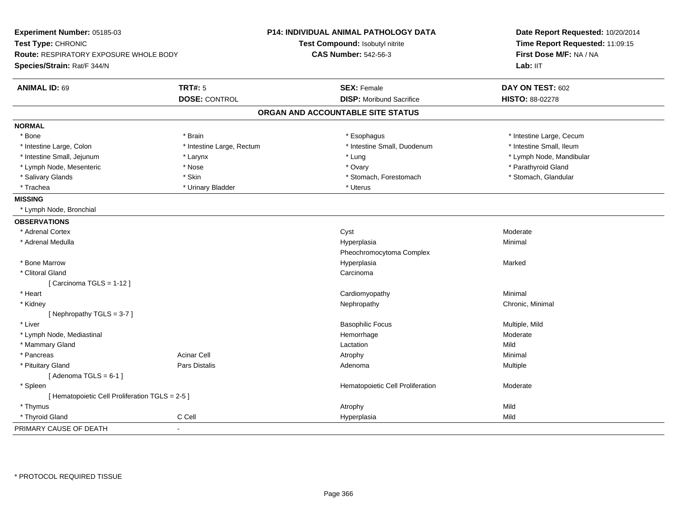| Experiment Number: 05185-03<br>Test Type: CHRONIC<br>Route: RESPIRATORY EXPOSURE WHOLE BODY<br>Species/Strain: Rat/F 344/N |                           | <b>P14: INDIVIDUAL ANIMAL PATHOLOGY DATA</b><br>Test Compound: Isobutyl nitrite<br><b>CAS Number: 542-56-3</b> | Date Report Requested: 10/20/2014<br>Time Report Requested: 11:09:15<br>First Dose M/F: NA / NA<br>Lab: IIT |
|----------------------------------------------------------------------------------------------------------------------------|---------------------------|----------------------------------------------------------------------------------------------------------------|-------------------------------------------------------------------------------------------------------------|
| <b>ANIMAL ID: 69</b>                                                                                                       | <b>TRT#: 5</b>            | <b>SEX: Female</b>                                                                                             | DAY ON TEST: 602                                                                                            |
|                                                                                                                            | <b>DOSE: CONTROL</b>      | <b>DISP:</b> Moribund Sacrifice                                                                                | <b>HISTO: 88-02278</b>                                                                                      |
|                                                                                                                            |                           | ORGAN AND ACCOUNTABLE SITE STATUS                                                                              |                                                                                                             |
| <b>NORMAL</b>                                                                                                              |                           |                                                                                                                |                                                                                                             |
| * Bone                                                                                                                     | * Brain                   | * Esophagus                                                                                                    | * Intestine Large, Cecum                                                                                    |
| * Intestine Large, Colon                                                                                                   | * Intestine Large, Rectum | * Intestine Small, Duodenum                                                                                    | * Intestine Small, Ileum                                                                                    |
| * Intestine Small, Jejunum                                                                                                 | * Larynx                  | * Lung                                                                                                         | * Lymph Node, Mandibular                                                                                    |
| * Lymph Node, Mesenteric                                                                                                   | * Nose                    | * Ovary                                                                                                        | * Parathyroid Gland                                                                                         |
| * Salivary Glands                                                                                                          | * Skin                    | * Stomach, Forestomach                                                                                         | * Stomach, Glandular                                                                                        |
| * Trachea                                                                                                                  | * Urinary Bladder         | * Uterus                                                                                                       |                                                                                                             |
| <b>MISSING</b>                                                                                                             |                           |                                                                                                                |                                                                                                             |
| * Lymph Node, Bronchial                                                                                                    |                           |                                                                                                                |                                                                                                             |
| <b>OBSERVATIONS</b>                                                                                                        |                           |                                                                                                                |                                                                                                             |
| * Adrenal Cortex                                                                                                           |                           | Cyst                                                                                                           | Moderate                                                                                                    |
| * Adrenal Medulla                                                                                                          |                           | Hyperplasia                                                                                                    | Minimal                                                                                                     |
|                                                                                                                            |                           | Pheochromocytoma Complex                                                                                       |                                                                                                             |
| * Bone Marrow                                                                                                              |                           | Hyperplasia                                                                                                    | Marked                                                                                                      |
| * Clitoral Gland                                                                                                           |                           | Carcinoma                                                                                                      |                                                                                                             |
| [Carcinoma TGLS = 1-12]                                                                                                    |                           |                                                                                                                |                                                                                                             |
| * Heart                                                                                                                    |                           | Cardiomyopathy                                                                                                 | Minimal                                                                                                     |
| * Kidney                                                                                                                   |                           | Nephropathy                                                                                                    | Chronic, Minimal                                                                                            |
| [Nephropathy TGLS = 3-7]                                                                                                   |                           |                                                                                                                |                                                                                                             |
| * Liver                                                                                                                    |                           | <b>Basophilic Focus</b>                                                                                        | Multiple, Mild                                                                                              |
| * Lymph Node, Mediastinal                                                                                                  |                           | Hemorrhage                                                                                                     | Moderate                                                                                                    |
| * Mammary Gland                                                                                                            |                           | Lactation                                                                                                      | Mild                                                                                                        |
| * Pancreas                                                                                                                 | <b>Acinar Cell</b>        | Atrophy                                                                                                        | Minimal                                                                                                     |
| * Pituitary Gland                                                                                                          | Pars Distalis             | Adenoma                                                                                                        | Multiple                                                                                                    |
| [Adenoma TGLS = $6-1$ ]                                                                                                    |                           |                                                                                                                |                                                                                                             |
| * Spleen                                                                                                                   |                           | Hematopoietic Cell Proliferation                                                                               | Moderate                                                                                                    |
| [ Hematopoietic Cell Proliferation TGLS = 2-5 ]                                                                            |                           |                                                                                                                |                                                                                                             |
| * Thymus                                                                                                                   |                           | Atrophy                                                                                                        | Mild                                                                                                        |
| * Thyroid Gland                                                                                                            | C Cell                    | Hyperplasia                                                                                                    | Mild                                                                                                        |
| PRIMARY CAUSE OF DEATH                                                                                                     | $\overline{a}$            |                                                                                                                |                                                                                                             |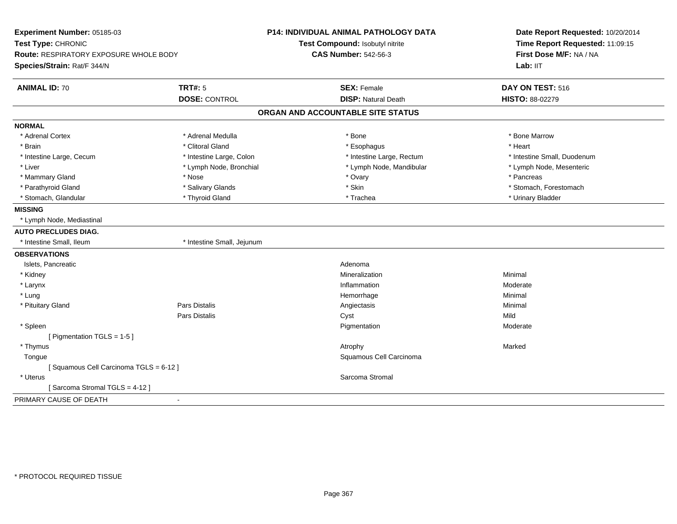| Time Report Requested: 11:09:15<br>Test Type: CHRONIC<br>Test Compound: Isobutyl nitrite<br>First Dose M/F: NA / NA<br>Route: RESPIRATORY EXPOSURE WHOLE BODY<br><b>CAS Number: 542-56-3</b><br>Species/Strain: Rat/F 344/N<br>Lab: IIT<br><b>TRT#: 5</b><br><b>ANIMAL ID: 70</b><br><b>SEX: Female</b><br>DAY ON TEST: 516<br><b>DOSE: CONTROL</b><br><b>DISP: Natural Death</b><br>HISTO: 88-02279<br>ORGAN AND ACCOUNTABLE SITE STATUS<br><b>NORMAL</b><br>* Adrenal Cortex<br>* Adrenal Medulla<br>* Bone<br>* Bone Marrow<br>* Heart<br>* Brain<br>* Clitoral Gland<br>* Esophagus<br>* Intestine Large, Cecum<br>* Intestine Large, Rectum<br>* Intestine Small, Duodenum<br>* Intestine Large, Colon<br>* Liver<br>* Lymph Node, Bronchial<br>* Lymph Node, Mandibular<br>* Lymph Node, Mesenteric<br>* Mammary Gland<br>* Ovary<br>* Pancreas<br>* Nose<br>* Parathyroid Gland<br>* Salivary Glands<br>* Skin<br>* Stomach, Forestomach<br>* Stomach, Glandular<br>* Thyroid Gland<br>* Trachea<br>* Urinary Bladder<br><b>MISSING</b><br>* Lymph Node, Mediastinal<br><b>AUTO PRECLUDES DIAG.</b><br>* Intestine Small, Ileum<br>* Intestine Small, Jejunum<br><b>OBSERVATIONS</b><br>Islets, Pancreatic<br>Adenoma<br>Minimal<br>* Kidney<br>Mineralization<br>* Larynx<br>Inflammation<br>Moderate<br>* Lung<br>Hemorrhage<br>Minimal<br>Pars Distalis<br>Minimal<br>* Pituitary Gland<br>Angiectasis<br>Mild<br>Pars Distalis<br>Cyst<br>Pigmentation<br>Moderate<br>* Spleen<br>[ Pigmentation TGLS = 1-5 ]<br>* Thymus<br>Atrophy<br>Marked<br>Squamous Cell Carcinoma<br>Tongue<br>[Squamous Cell Carcinoma TGLS = 6-12]<br>* Uterus<br>Sarcoma Stromal<br>[Sarcoma Stromal TGLS = 4-12] | Experiment Number: 05185-03 | P14: INDIVIDUAL ANIMAL PATHOLOGY DATA | Date Report Requested: 10/20/2014 |  |
|---------------------------------------------------------------------------------------------------------------------------------------------------------------------------------------------------------------------------------------------------------------------------------------------------------------------------------------------------------------------------------------------------------------------------------------------------------------------------------------------------------------------------------------------------------------------------------------------------------------------------------------------------------------------------------------------------------------------------------------------------------------------------------------------------------------------------------------------------------------------------------------------------------------------------------------------------------------------------------------------------------------------------------------------------------------------------------------------------------------------------------------------------------------------------------------------------------------------------------------------------------------------------------------------------------------------------------------------------------------------------------------------------------------------------------------------------------------------------------------------------------------------------------------------------------------------------------------------------------------------------------------------------------------------------------------------------------|-----------------------------|---------------------------------------|-----------------------------------|--|
|                                                                                                                                                                                                                                                                                                                                                                                                                                                                                                                                                                                                                                                                                                                                                                                                                                                                                                                                                                                                                                                                                                                                                                                                                                                                                                                                                                                                                                                                                                                                                                                                                                                                                                         |                             |                                       |                                   |  |
|                                                                                                                                                                                                                                                                                                                                                                                                                                                                                                                                                                                                                                                                                                                                                                                                                                                                                                                                                                                                                                                                                                                                                                                                                                                                                                                                                                                                                                                                                                                                                                                                                                                                                                         |                             |                                       |                                   |  |
|                                                                                                                                                                                                                                                                                                                                                                                                                                                                                                                                                                                                                                                                                                                                                                                                                                                                                                                                                                                                                                                                                                                                                                                                                                                                                                                                                                                                                                                                                                                                                                                                                                                                                                         |                             |                                       |                                   |  |
|                                                                                                                                                                                                                                                                                                                                                                                                                                                                                                                                                                                                                                                                                                                                                                                                                                                                                                                                                                                                                                                                                                                                                                                                                                                                                                                                                                                                                                                                                                                                                                                                                                                                                                         |                             |                                       |                                   |  |
|                                                                                                                                                                                                                                                                                                                                                                                                                                                                                                                                                                                                                                                                                                                                                                                                                                                                                                                                                                                                                                                                                                                                                                                                                                                                                                                                                                                                                                                                                                                                                                                                                                                                                                         |                             |                                       |                                   |  |
|                                                                                                                                                                                                                                                                                                                                                                                                                                                                                                                                                                                                                                                                                                                                                                                                                                                                                                                                                                                                                                                                                                                                                                                                                                                                                                                                                                                                                                                                                                                                                                                                                                                                                                         |                             |                                       |                                   |  |
|                                                                                                                                                                                                                                                                                                                                                                                                                                                                                                                                                                                                                                                                                                                                                                                                                                                                                                                                                                                                                                                                                                                                                                                                                                                                                                                                                                                                                                                                                                                                                                                                                                                                                                         |                             |                                       |                                   |  |
|                                                                                                                                                                                                                                                                                                                                                                                                                                                                                                                                                                                                                                                                                                                                                                                                                                                                                                                                                                                                                                                                                                                                                                                                                                                                                                                                                                                                                                                                                                                                                                                                                                                                                                         |                             |                                       |                                   |  |
|                                                                                                                                                                                                                                                                                                                                                                                                                                                                                                                                                                                                                                                                                                                                                                                                                                                                                                                                                                                                                                                                                                                                                                                                                                                                                                                                                                                                                                                                                                                                                                                                                                                                                                         |                             |                                       |                                   |  |
|                                                                                                                                                                                                                                                                                                                                                                                                                                                                                                                                                                                                                                                                                                                                                                                                                                                                                                                                                                                                                                                                                                                                                                                                                                                                                                                                                                                                                                                                                                                                                                                                                                                                                                         |                             |                                       |                                   |  |
|                                                                                                                                                                                                                                                                                                                                                                                                                                                                                                                                                                                                                                                                                                                                                                                                                                                                                                                                                                                                                                                                                                                                                                                                                                                                                                                                                                                                                                                                                                                                                                                                                                                                                                         |                             |                                       |                                   |  |
|                                                                                                                                                                                                                                                                                                                                                                                                                                                                                                                                                                                                                                                                                                                                                                                                                                                                                                                                                                                                                                                                                                                                                                                                                                                                                                                                                                                                                                                                                                                                                                                                                                                                                                         |                             |                                       |                                   |  |
|                                                                                                                                                                                                                                                                                                                                                                                                                                                                                                                                                                                                                                                                                                                                                                                                                                                                                                                                                                                                                                                                                                                                                                                                                                                                                                                                                                                                                                                                                                                                                                                                                                                                                                         |                             |                                       |                                   |  |
|                                                                                                                                                                                                                                                                                                                                                                                                                                                                                                                                                                                                                                                                                                                                                                                                                                                                                                                                                                                                                                                                                                                                                                                                                                                                                                                                                                                                                                                                                                                                                                                                                                                                                                         |                             |                                       |                                   |  |
|                                                                                                                                                                                                                                                                                                                                                                                                                                                                                                                                                                                                                                                                                                                                                                                                                                                                                                                                                                                                                                                                                                                                                                                                                                                                                                                                                                                                                                                                                                                                                                                                                                                                                                         |                             |                                       |                                   |  |
|                                                                                                                                                                                                                                                                                                                                                                                                                                                                                                                                                                                                                                                                                                                                                                                                                                                                                                                                                                                                                                                                                                                                                                                                                                                                                                                                                                                                                                                                                                                                                                                                                                                                                                         |                             |                                       |                                   |  |
|                                                                                                                                                                                                                                                                                                                                                                                                                                                                                                                                                                                                                                                                                                                                                                                                                                                                                                                                                                                                                                                                                                                                                                                                                                                                                                                                                                                                                                                                                                                                                                                                                                                                                                         |                             |                                       |                                   |  |
|                                                                                                                                                                                                                                                                                                                                                                                                                                                                                                                                                                                                                                                                                                                                                                                                                                                                                                                                                                                                                                                                                                                                                                                                                                                                                                                                                                                                                                                                                                                                                                                                                                                                                                         |                             |                                       |                                   |  |
|                                                                                                                                                                                                                                                                                                                                                                                                                                                                                                                                                                                                                                                                                                                                                                                                                                                                                                                                                                                                                                                                                                                                                                                                                                                                                                                                                                                                                                                                                                                                                                                                                                                                                                         |                             |                                       |                                   |  |
|                                                                                                                                                                                                                                                                                                                                                                                                                                                                                                                                                                                                                                                                                                                                                                                                                                                                                                                                                                                                                                                                                                                                                                                                                                                                                                                                                                                                                                                                                                                                                                                                                                                                                                         |                             |                                       |                                   |  |
|                                                                                                                                                                                                                                                                                                                                                                                                                                                                                                                                                                                                                                                                                                                                                                                                                                                                                                                                                                                                                                                                                                                                                                                                                                                                                                                                                                                                                                                                                                                                                                                                                                                                                                         |                             |                                       |                                   |  |
|                                                                                                                                                                                                                                                                                                                                                                                                                                                                                                                                                                                                                                                                                                                                                                                                                                                                                                                                                                                                                                                                                                                                                                                                                                                                                                                                                                                                                                                                                                                                                                                                                                                                                                         |                             |                                       |                                   |  |
|                                                                                                                                                                                                                                                                                                                                                                                                                                                                                                                                                                                                                                                                                                                                                                                                                                                                                                                                                                                                                                                                                                                                                                                                                                                                                                                                                                                                                                                                                                                                                                                                                                                                                                         |                             |                                       |                                   |  |
|                                                                                                                                                                                                                                                                                                                                                                                                                                                                                                                                                                                                                                                                                                                                                                                                                                                                                                                                                                                                                                                                                                                                                                                                                                                                                                                                                                                                                                                                                                                                                                                                                                                                                                         |                             |                                       |                                   |  |
|                                                                                                                                                                                                                                                                                                                                                                                                                                                                                                                                                                                                                                                                                                                                                                                                                                                                                                                                                                                                                                                                                                                                                                                                                                                                                                                                                                                                                                                                                                                                                                                                                                                                                                         |                             |                                       |                                   |  |
|                                                                                                                                                                                                                                                                                                                                                                                                                                                                                                                                                                                                                                                                                                                                                                                                                                                                                                                                                                                                                                                                                                                                                                                                                                                                                                                                                                                                                                                                                                                                                                                                                                                                                                         |                             |                                       |                                   |  |
|                                                                                                                                                                                                                                                                                                                                                                                                                                                                                                                                                                                                                                                                                                                                                                                                                                                                                                                                                                                                                                                                                                                                                                                                                                                                                                                                                                                                                                                                                                                                                                                                                                                                                                         |                             |                                       |                                   |  |
|                                                                                                                                                                                                                                                                                                                                                                                                                                                                                                                                                                                                                                                                                                                                                                                                                                                                                                                                                                                                                                                                                                                                                                                                                                                                                                                                                                                                                                                                                                                                                                                                                                                                                                         |                             |                                       |                                   |  |
|                                                                                                                                                                                                                                                                                                                                                                                                                                                                                                                                                                                                                                                                                                                                                                                                                                                                                                                                                                                                                                                                                                                                                                                                                                                                                                                                                                                                                                                                                                                                                                                                                                                                                                         |                             |                                       |                                   |  |
|                                                                                                                                                                                                                                                                                                                                                                                                                                                                                                                                                                                                                                                                                                                                                                                                                                                                                                                                                                                                                                                                                                                                                                                                                                                                                                                                                                                                                                                                                                                                                                                                                                                                                                         |                             |                                       |                                   |  |
|                                                                                                                                                                                                                                                                                                                                                                                                                                                                                                                                                                                                                                                                                                                                                                                                                                                                                                                                                                                                                                                                                                                                                                                                                                                                                                                                                                                                                                                                                                                                                                                                                                                                                                         |                             |                                       |                                   |  |
|                                                                                                                                                                                                                                                                                                                                                                                                                                                                                                                                                                                                                                                                                                                                                                                                                                                                                                                                                                                                                                                                                                                                                                                                                                                                                                                                                                                                                                                                                                                                                                                                                                                                                                         |                             |                                       |                                   |  |
| PRIMARY CAUSE OF DEATH<br>$\blacksquare$                                                                                                                                                                                                                                                                                                                                                                                                                                                                                                                                                                                                                                                                                                                                                                                                                                                                                                                                                                                                                                                                                                                                                                                                                                                                                                                                                                                                                                                                                                                                                                                                                                                                |                             |                                       |                                   |  |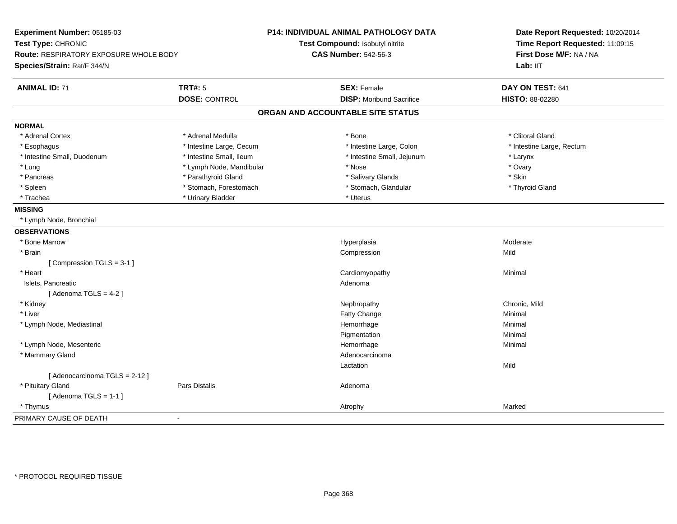| Experiment Number: 05185-03<br>Test Type: CHRONIC<br>Route: RESPIRATORY EXPOSURE WHOLE BODY |                          | P14: INDIVIDUAL ANIMAL PATHOLOGY DATA<br>Test Compound: Isobutyl nitrite | Date Report Requested: 10/20/2014<br>Time Report Requested: 11:09:15<br>First Dose M/F: NA / NA |
|---------------------------------------------------------------------------------------------|--------------------------|--------------------------------------------------------------------------|-------------------------------------------------------------------------------------------------|
|                                                                                             |                          | <b>CAS Number: 542-56-3</b>                                              |                                                                                                 |
| Species/Strain: Rat/F 344/N                                                                 |                          |                                                                          | Lab: IIT                                                                                        |
| <b>ANIMAL ID: 71</b>                                                                        | <b>TRT#: 5</b>           | <b>SEX: Female</b>                                                       | DAY ON TEST: 641                                                                                |
|                                                                                             | <b>DOSE: CONTROL</b>     | <b>DISP:</b> Moribund Sacrifice                                          | HISTO: 88-02280                                                                                 |
|                                                                                             |                          | ORGAN AND ACCOUNTABLE SITE STATUS                                        |                                                                                                 |
| <b>NORMAL</b>                                                                               |                          |                                                                          |                                                                                                 |
| * Adrenal Cortex                                                                            | * Adrenal Medulla        | * Bone                                                                   | * Clitoral Gland                                                                                |
| * Esophagus                                                                                 | * Intestine Large, Cecum | * Intestine Large, Colon                                                 | * Intestine Large, Rectum                                                                       |
| * Intestine Small, Duodenum                                                                 | * Intestine Small, Ileum | * Intestine Small, Jejunum                                               | * Larynx                                                                                        |
| * Lung                                                                                      | * Lymph Node, Mandibular | * Nose                                                                   | * Ovary                                                                                         |
| * Pancreas                                                                                  | * Parathyroid Gland      | * Salivary Glands                                                        | * Skin                                                                                          |
| * Spleen                                                                                    | * Stomach, Forestomach   | * Stomach, Glandular                                                     | * Thyroid Gland                                                                                 |
| * Trachea                                                                                   | * Urinary Bladder        | * Uterus                                                                 |                                                                                                 |
| <b>MISSING</b>                                                                              |                          |                                                                          |                                                                                                 |
| * Lymph Node, Bronchial                                                                     |                          |                                                                          |                                                                                                 |
| <b>OBSERVATIONS</b>                                                                         |                          |                                                                          |                                                                                                 |
| * Bone Marrow                                                                               |                          | Hyperplasia                                                              | Moderate                                                                                        |
| * Brain                                                                                     |                          | Compression                                                              | Mild                                                                                            |
| [Compression TGLS = 3-1]                                                                    |                          |                                                                          |                                                                                                 |
| * Heart                                                                                     |                          | Cardiomyopathy                                                           | Minimal                                                                                         |
| Islets, Pancreatic                                                                          |                          | Adenoma                                                                  |                                                                                                 |
| [Adenoma TGLS = $4-2$ ]                                                                     |                          |                                                                          |                                                                                                 |
| * Kidney                                                                                    |                          | Nephropathy                                                              | Chronic, Mild                                                                                   |
| * Liver                                                                                     |                          | Fatty Change                                                             | Minimal                                                                                         |
| * Lymph Node, Mediastinal                                                                   |                          | Hemorrhage                                                               | Minimal                                                                                         |
|                                                                                             |                          | Pigmentation                                                             | Minimal                                                                                         |
| * Lymph Node, Mesenteric                                                                    |                          | Hemorrhage                                                               | Minimal                                                                                         |
| * Mammary Gland                                                                             |                          | Adenocarcinoma                                                           |                                                                                                 |
|                                                                                             |                          | Lactation                                                                | Mild                                                                                            |
| [ Adenocarcinoma TGLS = 2-12 ]                                                              |                          |                                                                          |                                                                                                 |
| * Pituitary Gland                                                                           | <b>Pars Distalis</b>     | Adenoma                                                                  |                                                                                                 |
| [Adenoma TGLS = $1-1$ ]                                                                     |                          |                                                                          |                                                                                                 |
| * Thymus                                                                                    |                          | Atrophy                                                                  | Marked                                                                                          |
| PRIMARY CAUSE OF DEATH                                                                      | $\blacksquare$           |                                                                          |                                                                                                 |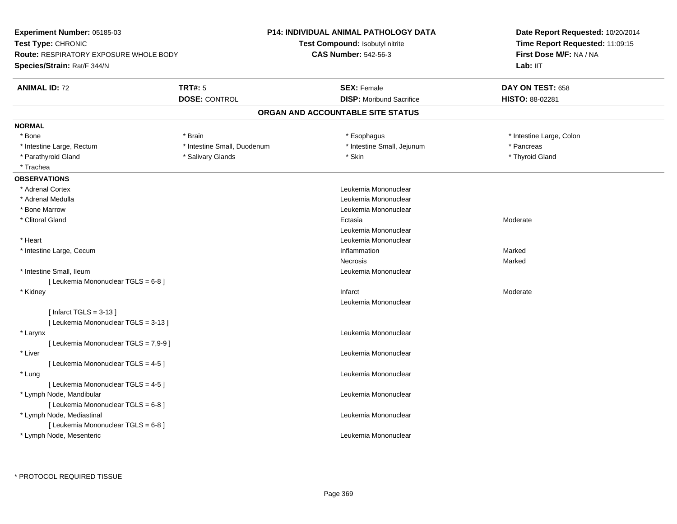| Experiment Number: 05185-03                   |                             | <b>P14: INDIVIDUAL ANIMAL PATHOLOGY DATA</b> | Date Report Requested: 10/20/2014                                      |
|-----------------------------------------------|-----------------------------|----------------------------------------------|------------------------------------------------------------------------|
| Test Type: CHRONIC                            |                             | Test Compound: Isobutyl nitrite              | Time Report Requested: 11:09:15<br>First Dose M/F: NA / NA<br>Lab: IIT |
| <b>Route: RESPIRATORY EXPOSURE WHOLE BODY</b> |                             | <b>CAS Number: 542-56-3</b>                  |                                                                        |
| Species/Strain: Rat/F 344/N                   |                             |                                              |                                                                        |
| <b>ANIMAL ID: 72</b>                          | <b>TRT#: 5</b>              | <b>SEX: Female</b>                           | DAY ON TEST: 658                                                       |
|                                               | <b>DOSE: CONTROL</b>        | <b>DISP:</b> Moribund Sacrifice              | HISTO: 88-02281                                                        |
|                                               |                             | ORGAN AND ACCOUNTABLE SITE STATUS            |                                                                        |
| <b>NORMAL</b>                                 |                             |                                              |                                                                        |
| * Bone                                        | * Brain                     | * Esophagus                                  | * Intestine Large, Colon                                               |
| * Intestine Large, Rectum                     | * Intestine Small, Duodenum | * Intestine Small, Jejunum                   | * Pancreas                                                             |
| * Parathyroid Gland                           | * Salivary Glands           | * Skin                                       | * Thyroid Gland                                                        |
| * Trachea                                     |                             |                                              |                                                                        |
| <b>OBSERVATIONS</b>                           |                             |                                              |                                                                        |
| * Adrenal Cortex                              |                             | Leukemia Mononuclear                         |                                                                        |
| * Adrenal Medulla                             |                             | Leukemia Mononuclear                         |                                                                        |
| * Bone Marrow                                 |                             | Leukemia Mononuclear                         |                                                                        |
| * Clitoral Gland                              |                             | Ectasia                                      | Moderate                                                               |
|                                               |                             | Leukemia Mononuclear                         |                                                                        |
| * Heart                                       |                             | Leukemia Mononuclear                         |                                                                        |
| * Intestine Large, Cecum                      |                             | Inflammation                                 | Marked                                                                 |
|                                               |                             | <b>Necrosis</b>                              | Marked                                                                 |
| * Intestine Small, Ileum                      |                             | Leukemia Mononuclear                         |                                                                        |
| [ Leukemia Mononuclear TGLS = 6-8 ]           |                             |                                              |                                                                        |
| * Kidney                                      |                             | Infarct                                      | Moderate                                                               |
|                                               |                             | Leukemia Mononuclear                         |                                                                        |
| [Infarct TGLS = $3-13$ ]                      |                             |                                              |                                                                        |
| [ Leukemia Mononuclear TGLS = 3-13 ]          |                             |                                              |                                                                        |
| * Larynx                                      |                             | Leukemia Mononuclear                         |                                                                        |
| [ Leukemia Mononuclear TGLS = 7,9-9 ]         |                             |                                              |                                                                        |
| * Liver                                       |                             | Leukemia Mononuclear                         |                                                                        |
| [ Leukemia Mononuclear TGLS = 4-5 ]           |                             |                                              |                                                                        |
| * Lung                                        |                             | Leukemia Mononuclear                         |                                                                        |
| [ Leukemia Mononuclear TGLS = 4-5 ]           |                             |                                              |                                                                        |
| * Lymph Node, Mandibular                      |                             | Leukemia Mononuclear                         |                                                                        |
| [ Leukemia Mononuclear TGLS = 6-8 ]           |                             |                                              |                                                                        |
| * Lymph Node, Mediastinal                     |                             | Leukemia Mononuclear                         |                                                                        |
| [ Leukemia Mononuclear TGLS = 6-8 ]           |                             |                                              |                                                                        |
| * Lymph Node, Mesenteric                      |                             | Leukemia Mononuclear                         |                                                                        |
|                                               |                             |                                              |                                                                        |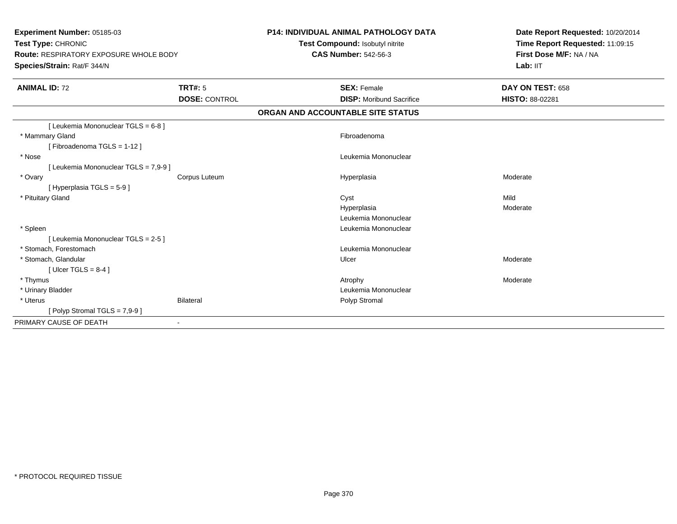| Experiment Number: 05185-03<br>Test Type: CHRONIC<br>Route: RESPIRATORY EXPOSURE WHOLE BODY<br>Species/Strain: Rat/F 344/N |                      | <b>P14: INDIVIDUAL ANIMAL PATHOLOGY DATA</b><br>Test Compound: Isobutyl nitrite<br><b>CAS Number: 542-56-3</b> | Date Report Requested: 10/20/2014<br>Time Report Requested: 11:09:15<br>First Dose M/F: NA / NA<br>Lab: IIT |
|----------------------------------------------------------------------------------------------------------------------------|----------------------|----------------------------------------------------------------------------------------------------------------|-------------------------------------------------------------------------------------------------------------|
| <b>ANIMAL ID: 72</b>                                                                                                       | TRT#: 5              | <b>SEX: Female</b>                                                                                             | DAY ON TEST: 658                                                                                            |
|                                                                                                                            | <b>DOSE: CONTROL</b> | <b>DISP:</b> Moribund Sacrifice                                                                                | <b>HISTO: 88-02281</b>                                                                                      |
|                                                                                                                            |                      | ORGAN AND ACCOUNTABLE SITE STATUS                                                                              |                                                                                                             |
| [ Leukemia Mononuclear TGLS = 6-8 ]                                                                                        |                      |                                                                                                                |                                                                                                             |
| * Mammary Gland                                                                                                            |                      | Fibroadenoma                                                                                                   |                                                                                                             |
| [Fibroadenoma TGLS = 1-12]                                                                                                 |                      |                                                                                                                |                                                                                                             |
| * Nose                                                                                                                     |                      | Leukemia Mononuclear                                                                                           |                                                                                                             |
| [ Leukemia Mononuclear TGLS = 7,9-9 ]                                                                                      |                      |                                                                                                                |                                                                                                             |
| * Ovary                                                                                                                    | Corpus Luteum        | Hyperplasia                                                                                                    | Moderate                                                                                                    |
| [Hyperplasia TGLS = $5-9$ ]                                                                                                |                      |                                                                                                                |                                                                                                             |
| * Pituitary Gland                                                                                                          |                      | Cyst                                                                                                           | Mild                                                                                                        |
|                                                                                                                            |                      | Hyperplasia                                                                                                    | Moderate                                                                                                    |
|                                                                                                                            |                      | Leukemia Mononuclear                                                                                           |                                                                                                             |
| * Spleen                                                                                                                   |                      | Leukemia Mononuclear                                                                                           |                                                                                                             |
| [ Leukemia Mononuclear TGLS = 2-5 ]                                                                                        |                      |                                                                                                                |                                                                                                             |
| * Stomach, Forestomach                                                                                                     |                      | Leukemia Mononuclear                                                                                           |                                                                                                             |
| * Stomach, Glandular                                                                                                       |                      | Ulcer                                                                                                          | Moderate                                                                                                    |
| [ Ulcer TGLS = $8-4$ ]                                                                                                     |                      |                                                                                                                |                                                                                                             |
| * Thymus                                                                                                                   |                      | Atrophy                                                                                                        | Moderate                                                                                                    |
| * Urinary Bladder                                                                                                          |                      | Leukemia Mononuclear                                                                                           |                                                                                                             |
| * Uterus                                                                                                                   | <b>Bilateral</b>     | Polyp Stromal                                                                                                  |                                                                                                             |
| [Polyp Stromal TGLS = $7,9-9$ ]                                                                                            |                      |                                                                                                                |                                                                                                             |
| PRIMARY CAUSE OF DEATH                                                                                                     | $\blacksquare$       |                                                                                                                |                                                                                                             |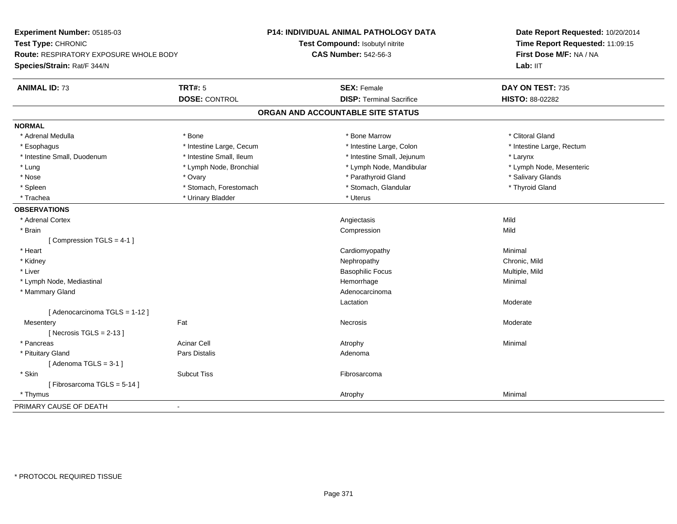| Experiment Number: 05185-03                             | P14: INDIVIDUAL ANIMAL PATHOLOGY DATA | Date Report Requested: 10/20/2014<br>Time Report Requested: 11:09:15 |  |
|---------------------------------------------------------|---------------------------------------|----------------------------------------------------------------------|--|
| Test Type: CHRONIC                                      | Test Compound: Isobutyl nitrite       |                                                                      |  |
| Route: RESPIRATORY EXPOSURE WHOLE BODY                  | <b>CAS Number: 542-56-3</b>           | First Dose M/F: NA / NA                                              |  |
| Species/Strain: Rat/F 344/N                             |                                       | Lab: IIT                                                             |  |
| <b>TRT#: 5</b><br><b>ANIMAL ID: 73</b>                  | <b>SEX: Female</b>                    | DAY ON TEST: 735                                                     |  |
| <b>DOSE: CONTROL</b>                                    | <b>DISP: Terminal Sacrifice</b>       | <b>HISTO: 88-02282</b>                                               |  |
|                                                         | ORGAN AND ACCOUNTABLE SITE STATUS     |                                                                      |  |
| <b>NORMAL</b>                                           |                                       |                                                                      |  |
| * Adrenal Medulla<br>* Bone                             | * Bone Marrow                         | * Clitoral Gland                                                     |  |
| * Esophagus<br>* Intestine Large, Cecum                 | * Intestine Large, Colon              | * Intestine Large, Rectum                                            |  |
| * Intestine Small, Duodenum<br>* Intestine Small, Ileum | * Intestine Small, Jejunum            | * Larynx                                                             |  |
| * Lymph Node, Bronchial<br>* Lung                       | * Lymph Node, Mandibular              | * Lymph Node, Mesenteric                                             |  |
| $*$ Nose<br>* Ovary                                     | * Parathyroid Gland                   | * Salivary Glands                                                    |  |
| * Spleen<br>* Stomach, Forestomach                      | * Stomach, Glandular                  | * Thyroid Gland                                                      |  |
| * Urinary Bladder<br>* Trachea                          | * Uterus                              |                                                                      |  |
| <b>OBSERVATIONS</b>                                     |                                       |                                                                      |  |
| * Adrenal Cortex                                        | Angiectasis                           | Mild                                                                 |  |
| * Brain                                                 | Compression                           | Mild                                                                 |  |
| [Compression TGLS = 4-1]                                |                                       |                                                                      |  |
| * Heart                                                 | Cardiomyopathy                        | Minimal                                                              |  |
| * Kidney                                                | Nephropathy                           | Chronic, Mild                                                        |  |
| * Liver                                                 | <b>Basophilic Focus</b>               | Multiple, Mild                                                       |  |
| * Lymph Node, Mediastinal                               | Hemorrhage                            | Minimal                                                              |  |
| * Mammary Gland                                         | Adenocarcinoma                        |                                                                      |  |
|                                                         | Lactation                             | Moderate                                                             |  |
| [ Adenocarcinoma TGLS = 1-12 ]                          |                                       |                                                                      |  |
| Fat<br>Mesentery                                        | <b>Necrosis</b>                       | Moderate                                                             |  |
| [Necrosis TGLS = $2-13$ ]                               |                                       |                                                                      |  |
| <b>Acinar Cell</b><br>* Pancreas                        | Atrophy                               | Minimal                                                              |  |
| * Pituitary Gland<br>Pars Distalis                      | Adenoma                               |                                                                      |  |
| [Adenoma TGLS = $3-1$ ]                                 |                                       |                                                                      |  |
| * Skin<br><b>Subcut Tiss</b>                            | Fibrosarcoma                          |                                                                      |  |
| [Fibrosarcoma TGLS = 5-14]                              |                                       |                                                                      |  |
| * Thymus                                                | Atrophy                               | Minimal                                                              |  |
| PRIMARY CAUSE OF DEATH<br>$\blacksquare$                |                                       |                                                                      |  |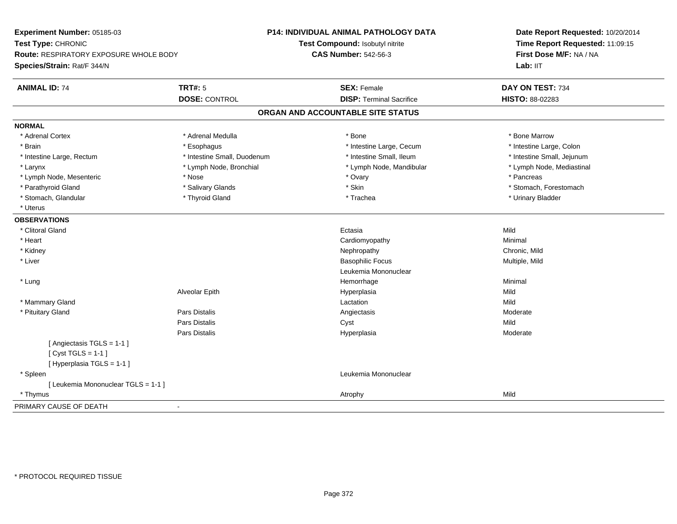| Experiment Number: 05185-03            | <b>P14: INDIVIDUAL ANIMAL PATHOLOGY DATA</b> |                                   | Date Report Requested: 10/20/2014 |
|----------------------------------------|----------------------------------------------|-----------------------------------|-----------------------------------|
| Test Type: CHRONIC                     |                                              | Test Compound: Isobutyl nitrite   | Time Report Requested: 11:09:15   |
| Route: RESPIRATORY EXPOSURE WHOLE BODY |                                              | <b>CAS Number: 542-56-3</b>       | First Dose M/F: NA / NA           |
| Species/Strain: Rat/F 344/N            |                                              |                                   | Lab: IIT                          |
| <b>ANIMAL ID: 74</b>                   | <b>TRT#: 5</b>                               | <b>SEX: Female</b>                | DAY ON TEST: 734                  |
|                                        | <b>DOSE: CONTROL</b>                         | <b>DISP: Terminal Sacrifice</b>   | HISTO: 88-02283                   |
|                                        |                                              | ORGAN AND ACCOUNTABLE SITE STATUS |                                   |
| <b>NORMAL</b>                          |                                              |                                   |                                   |
| * Adrenal Cortex                       | * Adrenal Medulla                            | * Bone                            | * Bone Marrow                     |
| * Brain                                | * Esophagus                                  | * Intestine Large, Cecum          | * Intestine Large, Colon          |
| * Intestine Large, Rectum              | * Intestine Small, Duodenum                  | * Intestine Small, Ileum          | * Intestine Small, Jejunum        |
| * Larynx                               | * Lymph Node, Bronchial                      | * Lymph Node, Mandibular          | * Lymph Node, Mediastinal         |
| * Lymph Node, Mesenteric               | * Nose                                       | * Ovary                           | * Pancreas                        |
| * Parathyroid Gland                    | * Salivary Glands                            | * Skin                            | * Stomach, Forestomach            |
| * Stomach, Glandular                   | * Thyroid Gland                              | * Trachea                         | * Urinary Bladder                 |
| * Uterus                               |                                              |                                   |                                   |
| <b>OBSERVATIONS</b>                    |                                              |                                   |                                   |
| * Clitoral Gland                       |                                              | Ectasia                           | Mild                              |
| * Heart                                |                                              | Cardiomyopathy                    | Minimal                           |
| * Kidney                               |                                              | Nephropathy                       | Chronic, Mild                     |
| * Liver                                |                                              | <b>Basophilic Focus</b>           | Multiple, Mild                    |
|                                        |                                              | Leukemia Mononuclear              |                                   |
| * Lung                                 |                                              | Hemorrhage                        | Minimal                           |
|                                        | Alveolar Epith                               | Hyperplasia                       | Mild                              |
| * Mammary Gland                        |                                              | Lactation                         | Mild                              |
| * Pituitary Gland                      | Pars Distalis                                | Angiectasis                       | Moderate                          |
|                                        | Pars Distalis                                | Cyst                              | Mild                              |
|                                        | Pars Distalis                                | Hyperplasia                       | Moderate                          |
| [Angiectasis TGLS = 1-1]               |                                              |                                   |                                   |
| [Cyst TGLS = $1-1$ ]                   |                                              |                                   |                                   |
| [Hyperplasia TGLS = 1-1]               |                                              |                                   |                                   |
| * Spleen                               |                                              | Leukemia Mononuclear              |                                   |
| [ Leukemia Mononuclear TGLS = 1-1 ]    |                                              |                                   |                                   |
| * Thymus                               |                                              | Atrophy                           | Mild                              |
| PRIMARY CAUSE OF DEATH                 | $\blacksquare$                               |                                   |                                   |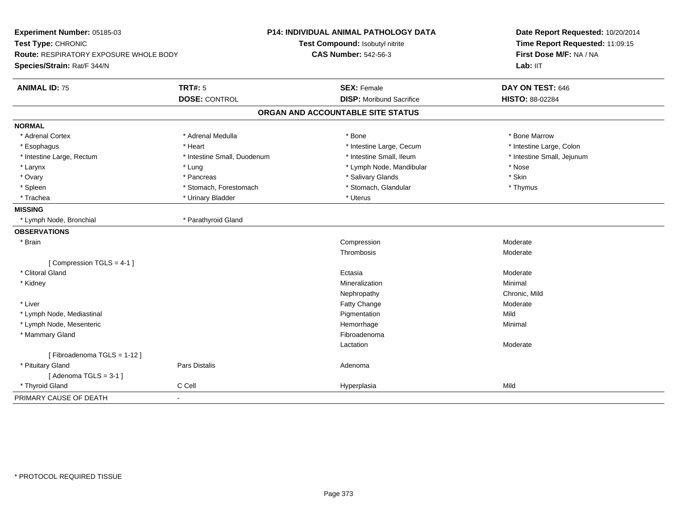| Experiment Number: 05185-03<br>Test Type: CHRONIC<br><b>Route: RESPIRATORY EXPOSURE WHOLE BODY</b><br>Species/Strain: Rat/F 344/N |                             | P14: INDIVIDUAL ANIMAL PATHOLOGY DATA<br>Test Compound: Isobutyl nitrite<br><b>CAS Number: 542-56-3</b> | Date Report Requested: 10/20/2014<br>Time Report Requested: 11:09:15<br>First Dose M/F: NA / NA<br>Lab: IIT |
|-----------------------------------------------------------------------------------------------------------------------------------|-----------------------------|---------------------------------------------------------------------------------------------------------|-------------------------------------------------------------------------------------------------------------|
| <b>ANIMAL ID: 75</b>                                                                                                              | <b>TRT#: 5</b>              | <b>SEX: Female</b>                                                                                      | DAY ON TEST: 646                                                                                            |
|                                                                                                                                   | <b>DOSE: CONTROL</b>        | <b>DISP:</b> Moribund Sacrifice                                                                         | HISTO: 88-02284                                                                                             |
|                                                                                                                                   |                             | ORGAN AND ACCOUNTABLE SITE STATUS                                                                       |                                                                                                             |
| <b>NORMAL</b>                                                                                                                     |                             |                                                                                                         |                                                                                                             |
| * Adrenal Cortex                                                                                                                  | * Adrenal Medulla           | * Bone                                                                                                  | * Bone Marrow                                                                                               |
| * Esophagus                                                                                                                       | * Heart                     | * Intestine Large, Cecum                                                                                | * Intestine Large, Colon                                                                                    |
| * Intestine Large, Rectum                                                                                                         | * Intestine Small, Duodenum | * Intestine Small, Ileum                                                                                | * Intestine Small, Jejunum                                                                                  |
| * Larynx                                                                                                                          | * Lung                      | * Lymph Node, Mandibular                                                                                | * Nose                                                                                                      |
| * Ovary                                                                                                                           | * Pancreas                  | * Salivary Glands                                                                                       | * Skin                                                                                                      |
| * Spleen                                                                                                                          | * Stomach, Forestomach      | * Stomach, Glandular                                                                                    | * Thymus                                                                                                    |
| * Trachea                                                                                                                         | * Urinary Bladder           | * Uterus                                                                                                |                                                                                                             |
| <b>MISSING</b>                                                                                                                    |                             |                                                                                                         |                                                                                                             |
| * Lymph Node, Bronchial                                                                                                           | * Parathyroid Gland         |                                                                                                         |                                                                                                             |
| <b>OBSERVATIONS</b>                                                                                                               |                             |                                                                                                         |                                                                                                             |
| * Brain                                                                                                                           |                             | Compression                                                                                             | Moderate                                                                                                    |
|                                                                                                                                   |                             | Thrombosis                                                                                              | Moderate                                                                                                    |
| [Compression TGLS = 4-1]                                                                                                          |                             |                                                                                                         |                                                                                                             |
| * Clitoral Gland                                                                                                                  |                             | Ectasia                                                                                                 | Moderate                                                                                                    |
| * Kidney                                                                                                                          |                             | Mineralization                                                                                          | Minimal                                                                                                     |
|                                                                                                                                   |                             | Nephropathy                                                                                             | Chronic, Mild                                                                                               |
| * Liver                                                                                                                           |                             | <b>Fatty Change</b>                                                                                     | Moderate                                                                                                    |
| * Lymph Node, Mediastinal                                                                                                         |                             | Pigmentation                                                                                            | Mild                                                                                                        |
| * Lymph Node, Mesenteric                                                                                                          |                             | Hemorrhage                                                                                              | Minimal                                                                                                     |
| * Mammary Gland                                                                                                                   |                             | Fibroadenoma                                                                                            |                                                                                                             |
|                                                                                                                                   |                             | Lactation                                                                                               | Moderate                                                                                                    |
| [Fibroadenoma TGLS = 1-12]                                                                                                        |                             |                                                                                                         |                                                                                                             |
| * Pituitary Gland                                                                                                                 | Pars Distalis               | Adenoma                                                                                                 |                                                                                                             |
| [Adenoma TGLS = $3-1$ ]                                                                                                           |                             |                                                                                                         |                                                                                                             |
| * Thyroid Gland                                                                                                                   | C Cell                      | Hyperplasia                                                                                             | Mild                                                                                                        |
| PRIMARY CAUSE OF DEATH                                                                                                            | $\blacksquare$              |                                                                                                         |                                                                                                             |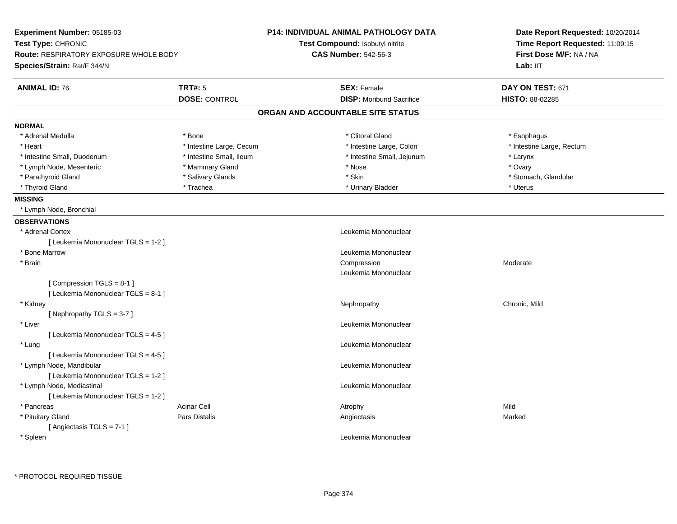| Test Type: CHRONIC<br>Test Compound: Isobutyl nitrite<br>Time Report Requested: 11:09:15<br><b>CAS Number: 542-56-3</b><br>First Dose M/F: NA / NA<br><b>Route: RESPIRATORY EXPOSURE WHOLE BODY</b><br>Species/Strain: Rat/F 344/N<br>Lab: IIT<br><b>TRT#: 5</b><br>DAY ON TEST: 671<br><b>ANIMAL ID: 76</b><br><b>SEX: Female</b><br><b>DISP:</b> Moribund Sacrifice<br><b>DOSE: CONTROL</b><br>HISTO: 88-02285<br>ORGAN AND ACCOUNTABLE SITE STATUS<br><b>NORMAL</b><br>* Adrenal Medulla<br>* Clitoral Gland<br>* Esophagus<br>* Bone<br>* Intestine Large, Rectum<br>* Heart<br>* Intestine Large, Cecum<br>* Intestine Large, Colon<br>* Intestine Small, Duodenum<br>* Intestine Small, Ileum<br>* Intestine Small, Jejunum<br>* Larynx<br>* Mammary Gland<br>* Lymph Node, Mesenteric<br>* Nose<br>* Ovary<br>* Salivary Glands<br>* Skin<br>* Stomach, Glandular<br>* Parathyroid Gland<br>* Uterus<br>* Thyroid Gland<br>* Trachea<br>* Urinary Bladder<br><b>MISSING</b><br>* Lymph Node, Bronchial<br><b>OBSERVATIONS</b><br>Leukemia Mononuclear<br>* Adrenal Cortex<br>[ Leukemia Mononuclear TGLS = 1-2 ]<br>* Bone Marrow<br>Leukemia Mononuclear<br>* Brain<br>Compression<br>Moderate<br>Leukemia Mononuclear<br>[Compression TGLS = 8-1]<br>[ Leukemia Mononuclear TGLS = 8-1 ]<br>Chronic, Mild<br>* Kidney<br>Nephropathy<br>[Nephropathy TGLS = $3-7$ ]<br>* Liver<br>Leukemia Mononuclear<br>[ Leukemia Mononuclear TGLS = 4-5 ]<br>* Lung<br>Leukemia Mononuclear<br>[ Leukemia Mononuclear TGLS = 4-5 ]<br>* Lymph Node, Mandibular<br>Leukemia Mononuclear<br>[ Leukemia Mononuclear TGLS = 1-2 ]<br>* Lymph Node, Mediastinal<br>Leukemia Mononuclear<br>[Leukemia Mononuclear TGLS = 1-2]<br>Mild<br>* Pancreas<br><b>Acinar Cell</b><br>Atrophy<br>* Pituitary Gland<br>Pars Distalis<br>Angiectasis<br>Marked<br>[Angiectasis TGLS = $7-1$ ]<br>Leukemia Mononuclear<br>* Spleen | Experiment Number: 05185-03 |  | <b>P14: INDIVIDUAL ANIMAL PATHOLOGY DATA</b> | Date Report Requested: 10/20/2014 |  |
|---------------------------------------------------------------------------------------------------------------------------------------------------------------------------------------------------------------------------------------------------------------------------------------------------------------------------------------------------------------------------------------------------------------------------------------------------------------------------------------------------------------------------------------------------------------------------------------------------------------------------------------------------------------------------------------------------------------------------------------------------------------------------------------------------------------------------------------------------------------------------------------------------------------------------------------------------------------------------------------------------------------------------------------------------------------------------------------------------------------------------------------------------------------------------------------------------------------------------------------------------------------------------------------------------------------------------------------------------------------------------------------------------------------------------------------------------------------------------------------------------------------------------------------------------------------------------------------------------------------------------------------------------------------------------------------------------------------------------------------------------------------------------------------------------------------------------------------------------------------------------------------------------------------|-----------------------------|--|----------------------------------------------|-----------------------------------|--|
|                                                                                                                                                                                                                                                                                                                                                                                                                                                                                                                                                                                                                                                                                                                                                                                                                                                                                                                                                                                                                                                                                                                                                                                                                                                                                                                                                                                                                                                                                                                                                                                                                                                                                                                                                                                                                                                                                                               |                             |  |                                              |                                   |  |
|                                                                                                                                                                                                                                                                                                                                                                                                                                                                                                                                                                                                                                                                                                                                                                                                                                                                                                                                                                                                                                                                                                                                                                                                                                                                                                                                                                                                                                                                                                                                                                                                                                                                                                                                                                                                                                                                                                               |                             |  |                                              |                                   |  |
|                                                                                                                                                                                                                                                                                                                                                                                                                                                                                                                                                                                                                                                                                                                                                                                                                                                                                                                                                                                                                                                                                                                                                                                                                                                                                                                                                                                                                                                                                                                                                                                                                                                                                                                                                                                                                                                                                                               |                             |  |                                              |                                   |  |
|                                                                                                                                                                                                                                                                                                                                                                                                                                                                                                                                                                                                                                                                                                                                                                                                                                                                                                                                                                                                                                                                                                                                                                                                                                                                                                                                                                                                                                                                                                                                                                                                                                                                                                                                                                                                                                                                                                               |                             |  |                                              |                                   |  |
|                                                                                                                                                                                                                                                                                                                                                                                                                                                                                                                                                                                                                                                                                                                                                                                                                                                                                                                                                                                                                                                                                                                                                                                                                                                                                                                                                                                                                                                                                                                                                                                                                                                                                                                                                                                                                                                                                                               |                             |  |                                              |                                   |  |
|                                                                                                                                                                                                                                                                                                                                                                                                                                                                                                                                                                                                                                                                                                                                                                                                                                                                                                                                                                                                                                                                                                                                                                                                                                                                                                                                                                                                                                                                                                                                                                                                                                                                                                                                                                                                                                                                                                               |                             |  |                                              |                                   |  |
|                                                                                                                                                                                                                                                                                                                                                                                                                                                                                                                                                                                                                                                                                                                                                                                                                                                                                                                                                                                                                                                                                                                                                                                                                                                                                                                                                                                                                                                                                                                                                                                                                                                                                                                                                                                                                                                                                                               |                             |  |                                              |                                   |  |
|                                                                                                                                                                                                                                                                                                                                                                                                                                                                                                                                                                                                                                                                                                                                                                                                                                                                                                                                                                                                                                                                                                                                                                                                                                                                                                                                                                                                                                                                                                                                                                                                                                                                                                                                                                                                                                                                                                               |                             |  |                                              |                                   |  |
|                                                                                                                                                                                                                                                                                                                                                                                                                                                                                                                                                                                                                                                                                                                                                                                                                                                                                                                                                                                                                                                                                                                                                                                                                                                                                                                                                                                                                                                                                                                                                                                                                                                                                                                                                                                                                                                                                                               |                             |  |                                              |                                   |  |
|                                                                                                                                                                                                                                                                                                                                                                                                                                                                                                                                                                                                                                                                                                                                                                                                                                                                                                                                                                                                                                                                                                                                                                                                                                                                                                                                                                                                                                                                                                                                                                                                                                                                                                                                                                                                                                                                                                               |                             |  |                                              |                                   |  |
|                                                                                                                                                                                                                                                                                                                                                                                                                                                                                                                                                                                                                                                                                                                                                                                                                                                                                                                                                                                                                                                                                                                                                                                                                                                                                                                                                                                                                                                                                                                                                                                                                                                                                                                                                                                                                                                                                                               |                             |  |                                              |                                   |  |
|                                                                                                                                                                                                                                                                                                                                                                                                                                                                                                                                                                                                                                                                                                                                                                                                                                                                                                                                                                                                                                                                                                                                                                                                                                                                                                                                                                                                                                                                                                                                                                                                                                                                                                                                                                                                                                                                                                               |                             |  |                                              |                                   |  |
|                                                                                                                                                                                                                                                                                                                                                                                                                                                                                                                                                                                                                                                                                                                                                                                                                                                                                                                                                                                                                                                                                                                                                                                                                                                                                                                                                                                                                                                                                                                                                                                                                                                                                                                                                                                                                                                                                                               |                             |  |                                              |                                   |  |
|                                                                                                                                                                                                                                                                                                                                                                                                                                                                                                                                                                                                                                                                                                                                                                                                                                                                                                                                                                                                                                                                                                                                                                                                                                                                                                                                                                                                                                                                                                                                                                                                                                                                                                                                                                                                                                                                                                               |                             |  |                                              |                                   |  |
|                                                                                                                                                                                                                                                                                                                                                                                                                                                                                                                                                                                                                                                                                                                                                                                                                                                                                                                                                                                                                                                                                                                                                                                                                                                                                                                                                                                                                                                                                                                                                                                                                                                                                                                                                                                                                                                                                                               |                             |  |                                              |                                   |  |
|                                                                                                                                                                                                                                                                                                                                                                                                                                                                                                                                                                                                                                                                                                                                                                                                                                                                                                                                                                                                                                                                                                                                                                                                                                                                                                                                                                                                                                                                                                                                                                                                                                                                                                                                                                                                                                                                                                               |                             |  |                                              |                                   |  |
|                                                                                                                                                                                                                                                                                                                                                                                                                                                                                                                                                                                                                                                                                                                                                                                                                                                                                                                                                                                                                                                                                                                                                                                                                                                                                                                                                                                                                                                                                                                                                                                                                                                                                                                                                                                                                                                                                                               |                             |  |                                              |                                   |  |
|                                                                                                                                                                                                                                                                                                                                                                                                                                                                                                                                                                                                                                                                                                                                                                                                                                                                                                                                                                                                                                                                                                                                                                                                                                                                                                                                                                                                                                                                                                                                                                                                                                                                                                                                                                                                                                                                                                               |                             |  |                                              |                                   |  |
|                                                                                                                                                                                                                                                                                                                                                                                                                                                                                                                                                                                                                                                                                                                                                                                                                                                                                                                                                                                                                                                                                                                                                                                                                                                                                                                                                                                                                                                                                                                                                                                                                                                                                                                                                                                                                                                                                                               |                             |  |                                              |                                   |  |
|                                                                                                                                                                                                                                                                                                                                                                                                                                                                                                                                                                                                                                                                                                                                                                                                                                                                                                                                                                                                                                                                                                                                                                                                                                                                                                                                                                                                                                                                                                                                                                                                                                                                                                                                                                                                                                                                                                               |                             |  |                                              |                                   |  |
|                                                                                                                                                                                                                                                                                                                                                                                                                                                                                                                                                                                                                                                                                                                                                                                                                                                                                                                                                                                                                                                                                                                                                                                                                                                                                                                                                                                                                                                                                                                                                                                                                                                                                                                                                                                                                                                                                                               |                             |  |                                              |                                   |  |
|                                                                                                                                                                                                                                                                                                                                                                                                                                                                                                                                                                                                                                                                                                                                                                                                                                                                                                                                                                                                                                                                                                                                                                                                                                                                                                                                                                                                                                                                                                                                                                                                                                                                                                                                                                                                                                                                                                               |                             |  |                                              |                                   |  |
|                                                                                                                                                                                                                                                                                                                                                                                                                                                                                                                                                                                                                                                                                                                                                                                                                                                                                                                                                                                                                                                                                                                                                                                                                                                                                                                                                                                                                                                                                                                                                                                                                                                                                                                                                                                                                                                                                                               |                             |  |                                              |                                   |  |
|                                                                                                                                                                                                                                                                                                                                                                                                                                                                                                                                                                                                                                                                                                                                                                                                                                                                                                                                                                                                                                                                                                                                                                                                                                                                                                                                                                                                                                                                                                                                                                                                                                                                                                                                                                                                                                                                                                               |                             |  |                                              |                                   |  |
|                                                                                                                                                                                                                                                                                                                                                                                                                                                                                                                                                                                                                                                                                                                                                                                                                                                                                                                                                                                                                                                                                                                                                                                                                                                                                                                                                                                                                                                                                                                                                                                                                                                                                                                                                                                                                                                                                                               |                             |  |                                              |                                   |  |
|                                                                                                                                                                                                                                                                                                                                                                                                                                                                                                                                                                                                                                                                                                                                                                                                                                                                                                                                                                                                                                                                                                                                                                                                                                                                                                                                                                                                                                                                                                                                                                                                                                                                                                                                                                                                                                                                                                               |                             |  |                                              |                                   |  |
|                                                                                                                                                                                                                                                                                                                                                                                                                                                                                                                                                                                                                                                                                                                                                                                                                                                                                                                                                                                                                                                                                                                                                                                                                                                                                                                                                                                                                                                                                                                                                                                                                                                                                                                                                                                                                                                                                                               |                             |  |                                              |                                   |  |
|                                                                                                                                                                                                                                                                                                                                                                                                                                                                                                                                                                                                                                                                                                                                                                                                                                                                                                                                                                                                                                                                                                                                                                                                                                                                                                                                                                                                                                                                                                                                                                                                                                                                                                                                                                                                                                                                                                               |                             |  |                                              |                                   |  |
|                                                                                                                                                                                                                                                                                                                                                                                                                                                                                                                                                                                                                                                                                                                                                                                                                                                                                                                                                                                                                                                                                                                                                                                                                                                                                                                                                                                                                                                                                                                                                                                                                                                                                                                                                                                                                                                                                                               |                             |  |                                              |                                   |  |
|                                                                                                                                                                                                                                                                                                                                                                                                                                                                                                                                                                                                                                                                                                                                                                                                                                                                                                                                                                                                                                                                                                                                                                                                                                                                                                                                                                                                                                                                                                                                                                                                                                                                                                                                                                                                                                                                                                               |                             |  |                                              |                                   |  |
|                                                                                                                                                                                                                                                                                                                                                                                                                                                                                                                                                                                                                                                                                                                                                                                                                                                                                                                                                                                                                                                                                                                                                                                                                                                                                                                                                                                                                                                                                                                                                                                                                                                                                                                                                                                                                                                                                                               |                             |  |                                              |                                   |  |
|                                                                                                                                                                                                                                                                                                                                                                                                                                                                                                                                                                                                                                                                                                                                                                                                                                                                                                                                                                                                                                                                                                                                                                                                                                                                                                                                                                                                                                                                                                                                                                                                                                                                                                                                                                                                                                                                                                               |                             |  |                                              |                                   |  |
|                                                                                                                                                                                                                                                                                                                                                                                                                                                                                                                                                                                                                                                                                                                                                                                                                                                                                                                                                                                                                                                                                                                                                                                                                                                                                                                                                                                                                                                                                                                                                                                                                                                                                                                                                                                                                                                                                                               |                             |  |                                              |                                   |  |
|                                                                                                                                                                                                                                                                                                                                                                                                                                                                                                                                                                                                                                                                                                                                                                                                                                                                                                                                                                                                                                                                                                                                                                                                                                                                                                                                                                                                                                                                                                                                                                                                                                                                                                                                                                                                                                                                                                               |                             |  |                                              |                                   |  |
|                                                                                                                                                                                                                                                                                                                                                                                                                                                                                                                                                                                                                                                                                                                                                                                                                                                                                                                                                                                                                                                                                                                                                                                                                                                                                                                                                                                                                                                                                                                                                                                                                                                                                                                                                                                                                                                                                                               |                             |  |                                              |                                   |  |
|                                                                                                                                                                                                                                                                                                                                                                                                                                                                                                                                                                                                                                                                                                                                                                                                                                                                                                                                                                                                                                                                                                                                                                                                                                                                                                                                                                                                                                                                                                                                                                                                                                                                                                                                                                                                                                                                                                               |                             |  |                                              |                                   |  |
|                                                                                                                                                                                                                                                                                                                                                                                                                                                                                                                                                                                                                                                                                                                                                                                                                                                                                                                                                                                                                                                                                                                                                                                                                                                                                                                                                                                                                                                                                                                                                                                                                                                                                                                                                                                                                                                                                                               |                             |  |                                              |                                   |  |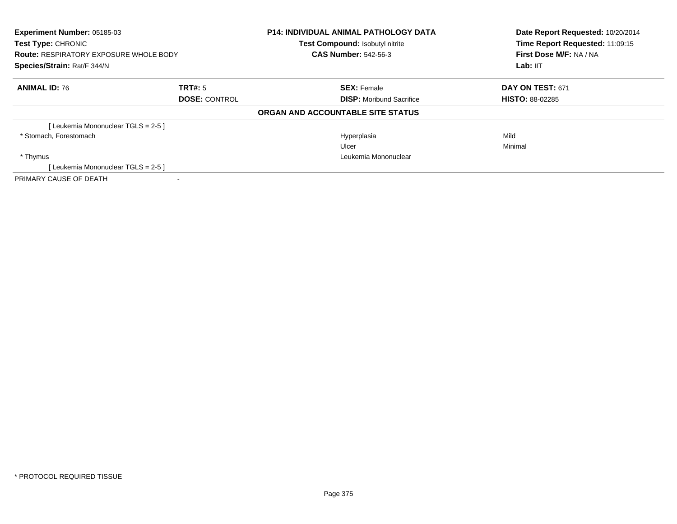| <b>Experiment Number: 05185-03</b><br><b>Test Type: CHRONIC</b><br><b>Route: RESPIRATORY EXPOSURE WHOLE BODY</b><br>Species/Strain: Rat/F 344/N |                      | <b>P14: INDIVIDUAL ANIMAL PATHOLOGY DATA</b><br>Test Compound: Isobutyl nitrite<br><b>CAS Number: 542-56-3</b> | Date Report Requested: 10/20/2014<br>Time Report Requested: 11:09:15<br>First Dose M/F: NA / NA<br>Lab: IIT |  |
|-------------------------------------------------------------------------------------------------------------------------------------------------|----------------------|----------------------------------------------------------------------------------------------------------------|-------------------------------------------------------------------------------------------------------------|--|
| <b>ANIMAL ID: 76</b>                                                                                                                            | <b>TRT#:</b> 5       | <b>SEX: Female</b>                                                                                             | <b>DAY ON TEST: 671</b>                                                                                     |  |
|                                                                                                                                                 | <b>DOSE: CONTROL</b> | <b>DISP:</b> Moribund Sacrifice                                                                                | <b>HISTO: 88-02285</b>                                                                                      |  |
|                                                                                                                                                 |                      | ORGAN AND ACCOUNTABLE SITE STATUS                                                                              |                                                                                                             |  |
| [Leukemia Mononuclear TGLS = 2-5]                                                                                                               |                      |                                                                                                                |                                                                                                             |  |
| * Stomach, Forestomach                                                                                                                          |                      | Hyperplasia                                                                                                    | Mild                                                                                                        |  |
|                                                                                                                                                 |                      | Ulcer                                                                                                          | Minimal                                                                                                     |  |
| * Thymus                                                                                                                                        |                      | Leukemia Mononuclear                                                                                           |                                                                                                             |  |
| [Leukemia Mononuclear TGLS = 2-5]                                                                                                               |                      |                                                                                                                |                                                                                                             |  |
| PRIMARY CAUSE OF DEATH                                                                                                                          |                      |                                                                                                                |                                                                                                             |  |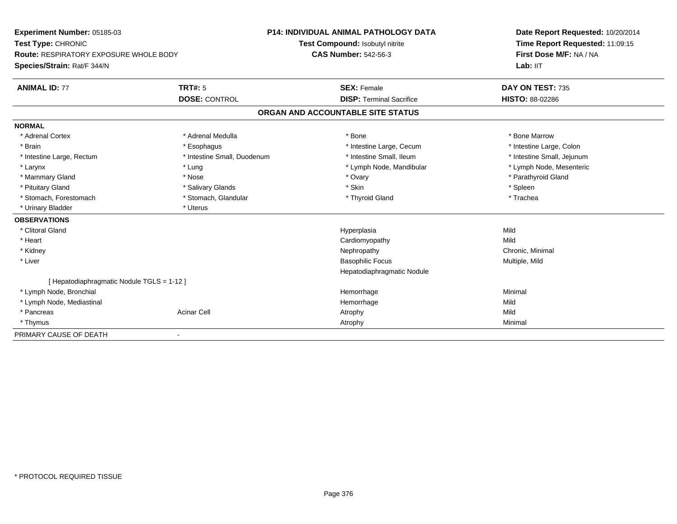| Experiment Number: 05185-03<br>Test Type: CHRONIC<br>Route: RESPIRATORY EXPOSURE WHOLE BODY |                             | <b>P14: INDIVIDUAL ANIMAL PATHOLOGY DATA</b> | Date Report Requested: 10/20/2014<br>Time Report Requested: 11:09:15 |
|---------------------------------------------------------------------------------------------|-----------------------------|----------------------------------------------|----------------------------------------------------------------------|
|                                                                                             |                             | Test Compound: Isobutyl nitrite              |                                                                      |
|                                                                                             |                             | <b>CAS Number: 542-56-3</b>                  | First Dose M/F: NA / NA                                              |
| Species/Strain: Rat/F 344/N                                                                 |                             |                                              | Lab: IIT                                                             |
| <b>ANIMAL ID: 77</b>                                                                        | TRT#: 5                     | <b>SEX: Female</b>                           | DAY ON TEST: 735                                                     |
|                                                                                             | <b>DOSE: CONTROL</b>        | <b>DISP: Terminal Sacrifice</b>              | HISTO: 88-02286                                                      |
|                                                                                             |                             | ORGAN AND ACCOUNTABLE SITE STATUS            |                                                                      |
| <b>NORMAL</b>                                                                               |                             |                                              |                                                                      |
| * Adrenal Cortex                                                                            | * Adrenal Medulla           | * Bone                                       | * Bone Marrow                                                        |
| * Brain                                                                                     | * Esophagus                 | * Intestine Large, Cecum                     | * Intestine Large, Colon                                             |
| * Intestine Large, Rectum                                                                   | * Intestine Small, Duodenum | * Intestine Small, Ileum                     | * Intestine Small, Jejunum                                           |
| * Larynx                                                                                    | * Lung                      | * Lymph Node, Mandibular                     | * Lymph Node, Mesenteric                                             |
| * Mammary Gland                                                                             | * Nose                      | * Ovary                                      | * Parathyroid Gland                                                  |
| * Pituitary Gland                                                                           | * Salivary Glands           | * Skin                                       | * Spleen                                                             |
| * Stomach. Forestomach                                                                      | * Stomach, Glandular        | * Thyroid Gland                              | * Trachea                                                            |
| * Urinary Bladder                                                                           | * Uterus                    |                                              |                                                                      |
| <b>OBSERVATIONS</b>                                                                         |                             |                                              |                                                                      |
| * Clitoral Gland                                                                            |                             | Hyperplasia                                  | Mild                                                                 |
| * Heart                                                                                     |                             | Cardiomyopathy                               | Mild                                                                 |
| * Kidney                                                                                    |                             | Nephropathy                                  | Chronic, Minimal                                                     |
| * Liver                                                                                     |                             | <b>Basophilic Focus</b>                      | Multiple, Mild                                                       |
|                                                                                             |                             | Hepatodiaphragmatic Nodule                   |                                                                      |
| [Hepatodiaphragmatic Nodule TGLS = 1-12]                                                    |                             |                                              |                                                                      |
| * Lymph Node, Bronchial                                                                     |                             | Hemorrhage                                   | Minimal                                                              |
| * Lymph Node, Mediastinal                                                                   |                             | Hemorrhage                                   | Mild                                                                 |
| * Pancreas                                                                                  | <b>Acinar Cell</b>          | Atrophy                                      | Mild                                                                 |
| * Thymus                                                                                    |                             | Atrophy                                      | Minimal                                                              |
| PRIMARY CAUSE OF DEATH                                                                      |                             |                                              |                                                                      |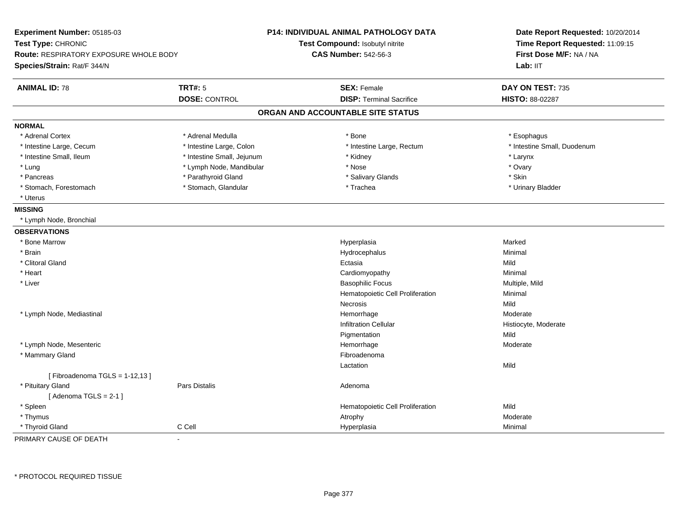| Experiment Number: 05185-03<br>Test Type: CHRONIC<br><b>Route: RESPIRATORY EXPOSURE WHOLE BODY</b><br>Species/Strain: Rat/F 344/N |                            | P14: INDIVIDUAL ANIMAL PATHOLOGY DATA<br>Test Compound: Isobutyl nitrite<br><b>CAS Number: 542-56-3</b> | Date Report Requested: 10/20/2014<br>Time Report Requested: 11:09:15<br>First Dose M/F: NA / NA<br>Lab: IIT |
|-----------------------------------------------------------------------------------------------------------------------------------|----------------------------|---------------------------------------------------------------------------------------------------------|-------------------------------------------------------------------------------------------------------------|
| <b>ANIMAL ID: 78</b>                                                                                                              | <b>TRT#: 5</b>             | <b>SEX: Female</b>                                                                                      | DAY ON TEST: 735                                                                                            |
|                                                                                                                                   | <b>DOSE: CONTROL</b>       | <b>DISP: Terminal Sacrifice</b>                                                                         | HISTO: 88-02287                                                                                             |
|                                                                                                                                   |                            | ORGAN AND ACCOUNTABLE SITE STATUS                                                                       |                                                                                                             |
| <b>NORMAL</b>                                                                                                                     |                            |                                                                                                         |                                                                                                             |
| * Adrenal Cortex                                                                                                                  | * Adrenal Medulla          | $*$ Bone                                                                                                | * Esophagus                                                                                                 |
| * Intestine Large, Cecum                                                                                                          | * Intestine Large, Colon   | * Intestine Large, Rectum                                                                               | * Intestine Small, Duodenum                                                                                 |
| * Intestine Small, Ileum                                                                                                          | * Intestine Small, Jejunum | * Kidney                                                                                                | * Larynx                                                                                                    |
| * Lung                                                                                                                            | * Lymph Node, Mandibular   | * Nose                                                                                                  | * Ovary                                                                                                     |
| * Pancreas                                                                                                                        | * Parathyroid Gland        | * Salivary Glands                                                                                       | * Skin                                                                                                      |
| * Stomach, Forestomach                                                                                                            | * Stomach, Glandular       | * Trachea                                                                                               | * Urinary Bladder                                                                                           |
| * Uterus                                                                                                                          |                            |                                                                                                         |                                                                                                             |
| <b>MISSING</b>                                                                                                                    |                            |                                                                                                         |                                                                                                             |
| * Lymph Node, Bronchial                                                                                                           |                            |                                                                                                         |                                                                                                             |
| <b>OBSERVATIONS</b>                                                                                                               |                            |                                                                                                         |                                                                                                             |
| * Bone Marrow                                                                                                                     |                            | Hyperplasia                                                                                             | Marked                                                                                                      |
| * Brain                                                                                                                           |                            | Hydrocephalus                                                                                           | Minimal                                                                                                     |
| * Clitoral Gland                                                                                                                  |                            | Ectasia                                                                                                 | Mild                                                                                                        |
| * Heart                                                                                                                           |                            | Cardiomyopathy                                                                                          | Minimal                                                                                                     |
| * Liver                                                                                                                           |                            | <b>Basophilic Focus</b>                                                                                 | Multiple, Mild                                                                                              |
|                                                                                                                                   |                            | Hematopoietic Cell Proliferation                                                                        | Minimal                                                                                                     |
|                                                                                                                                   |                            | Necrosis                                                                                                | Mild                                                                                                        |
| * Lymph Node, Mediastinal                                                                                                         |                            | Hemorrhage                                                                                              | Moderate                                                                                                    |
|                                                                                                                                   |                            | <b>Infiltration Cellular</b>                                                                            | Histiocyte, Moderate                                                                                        |
|                                                                                                                                   |                            | Pigmentation                                                                                            | Mild                                                                                                        |
| * Lymph Node, Mesenteric                                                                                                          |                            | Hemorrhage                                                                                              | Moderate                                                                                                    |
| * Mammary Gland                                                                                                                   |                            | Fibroadenoma                                                                                            |                                                                                                             |
|                                                                                                                                   |                            | Lactation                                                                                               | Mild                                                                                                        |
| [Fibroadenoma TGLS = $1-12,13$ ]                                                                                                  |                            |                                                                                                         |                                                                                                             |
| * Pituitary Gland                                                                                                                 | <b>Pars Distalis</b>       | Adenoma                                                                                                 |                                                                                                             |
| [Adenoma TGLS = $2-1$ ]                                                                                                           |                            |                                                                                                         |                                                                                                             |
| * Spleen                                                                                                                          |                            | Hematopoietic Cell Proliferation                                                                        | Mild                                                                                                        |
| * Thymus                                                                                                                          |                            | Atrophy                                                                                                 | Moderate                                                                                                    |
| * Thyroid Gland                                                                                                                   | C Cell                     | Hyperplasia                                                                                             | Minimal                                                                                                     |

PRIMARY CAUSE OF DEATH-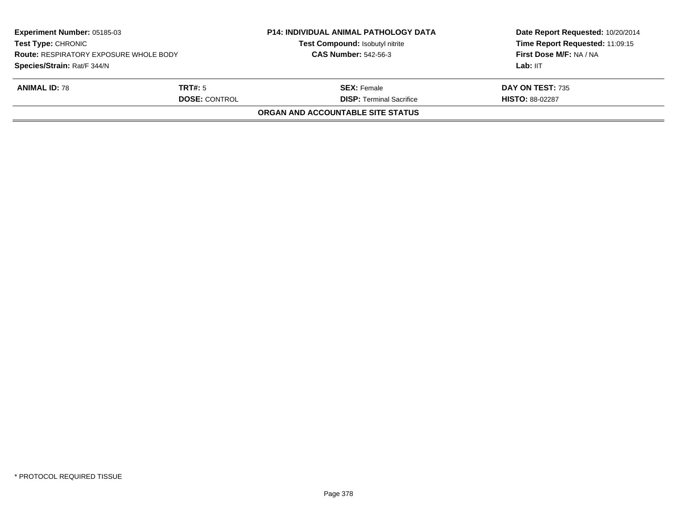| <b>Experiment Number: 05185-03</b><br><b>Test Type: CHRONIC</b><br><b>Route: RESPIRATORY EXPOSURE WHOLE BODY</b><br>Species/Strain: Rat/F 344/N |  | <b>P14: INDIVIDUAL ANIMAL PATHOLOGY DATA</b><br>Test Compound: Isobutyl nitrite<br><b>CAS Number: 542-56-3</b> | Date Report Requested: 10/20/2014<br>Time Report Requested: 11:09:15<br>First Dose M/F: NA / NA<br>Lab: IIT |
|-------------------------------------------------------------------------------------------------------------------------------------------------|--|----------------------------------------------------------------------------------------------------------------|-------------------------------------------------------------------------------------------------------------|
| <b>ANIMAL ID: 78</b><br><b>TRT#:</b> 5<br><b>DOSE: CONTROL</b>                                                                                  |  | <b>SEX:</b> Female<br><b>DISP: Terminal Sacrifice</b>                                                          | DAY ON TEST: 735<br><b>HISTO: 88-02287</b>                                                                  |
|                                                                                                                                                 |  | ORGAN AND ACCOUNTABLE SITE STATUS                                                                              |                                                                                                             |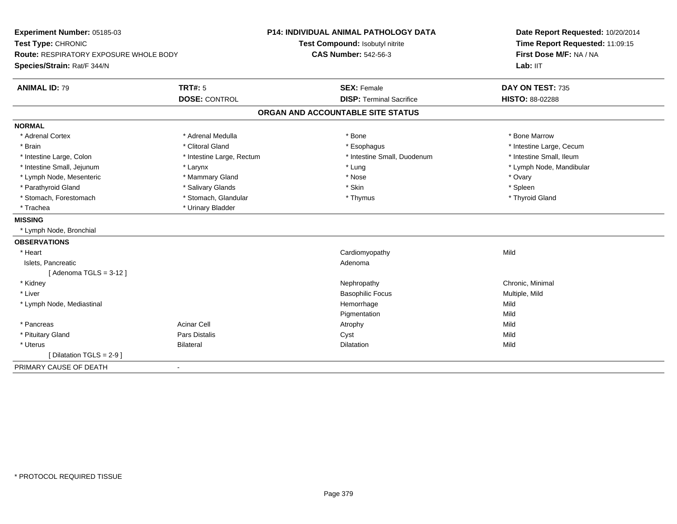| Experiment Number: 05185-03<br>Test Type: CHRONIC<br>Route: RESPIRATORY EXPOSURE WHOLE BODY |                           | P14: INDIVIDUAL ANIMAL PATHOLOGY DATA | Date Report Requested: 10/20/2014<br>Time Report Requested: 11:09:15<br>First Dose M/F: NA / NA |
|---------------------------------------------------------------------------------------------|---------------------------|---------------------------------------|-------------------------------------------------------------------------------------------------|
|                                                                                             |                           | Test Compound: Isobutyl nitrite       |                                                                                                 |
|                                                                                             |                           | <b>CAS Number: 542-56-3</b>           |                                                                                                 |
| Species/Strain: Rat/F 344/N                                                                 |                           |                                       | Lab: IIT                                                                                        |
| <b>ANIMAL ID: 79</b>                                                                        | <b>TRT#: 5</b>            | <b>SEX: Female</b>                    | DAY ON TEST: 735                                                                                |
|                                                                                             | <b>DOSE: CONTROL</b>      | <b>DISP: Terminal Sacrifice</b>       | HISTO: 88-02288                                                                                 |
|                                                                                             |                           | ORGAN AND ACCOUNTABLE SITE STATUS     |                                                                                                 |
| <b>NORMAL</b>                                                                               |                           |                                       |                                                                                                 |
| * Adrenal Cortex                                                                            | * Adrenal Medulla         | * Bone                                | * Bone Marrow                                                                                   |
| * Brain                                                                                     | * Clitoral Gland          | * Esophagus                           | * Intestine Large, Cecum                                                                        |
| * Intestine Large, Colon                                                                    | * Intestine Large, Rectum | * Intestine Small, Duodenum           | * Intestine Small, Ileum                                                                        |
| * Intestine Small, Jejunum                                                                  | * Larynx                  | * Lung                                | * Lymph Node, Mandibular                                                                        |
| * Lymph Node, Mesenteric                                                                    | * Mammary Gland           | * Nose                                | * Ovary                                                                                         |
| * Parathyroid Gland                                                                         | * Salivary Glands         | * Skin                                | * Spleen                                                                                        |
| * Stomach, Forestomach                                                                      | * Stomach, Glandular      | * Thymus                              | * Thyroid Gland                                                                                 |
| * Trachea                                                                                   | * Urinary Bladder         |                                       |                                                                                                 |
| <b>MISSING</b>                                                                              |                           |                                       |                                                                                                 |
| * Lymph Node, Bronchial                                                                     |                           |                                       |                                                                                                 |
| <b>OBSERVATIONS</b>                                                                         |                           |                                       |                                                                                                 |
| * Heart                                                                                     |                           | Cardiomyopathy                        | Mild                                                                                            |
| Islets, Pancreatic                                                                          |                           | Adenoma                               |                                                                                                 |
| [Adenoma TGLS = $3-12$ ]                                                                    |                           |                                       |                                                                                                 |
| * Kidney                                                                                    |                           | Nephropathy                           | Chronic, Minimal                                                                                |
| * Liver                                                                                     |                           | <b>Basophilic Focus</b>               | Multiple, Mild                                                                                  |
| * Lymph Node, Mediastinal                                                                   |                           | Hemorrhage                            | Mild                                                                                            |
|                                                                                             |                           | Pigmentation                          | Mild                                                                                            |
| * Pancreas                                                                                  | <b>Acinar Cell</b>        | Atrophy                               | Mild                                                                                            |
| * Pituitary Gland                                                                           | <b>Pars Distalis</b>      | Cyst                                  | Mild                                                                                            |
| * Uterus                                                                                    | <b>Bilateral</b>          | Dilatation                            | Mild                                                                                            |
| [Dilatation TGLS = 2-9]                                                                     |                           |                                       |                                                                                                 |
| PRIMARY CAUSE OF DEATH                                                                      | $\blacksquare$            |                                       |                                                                                                 |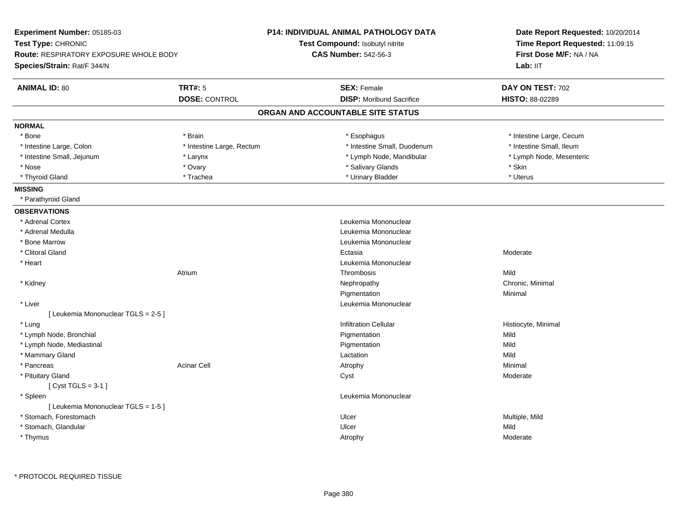| Experiment Number: 05185-03                   |                           | <b>P14: INDIVIDUAL ANIMAL PATHOLOGY DATA</b> | Date Report Requested: 10/20/2014<br>Time Report Requested: 11:09:15 |  |
|-----------------------------------------------|---------------------------|----------------------------------------------|----------------------------------------------------------------------|--|
| Test Type: CHRONIC                            |                           | Test Compound: Isobutyl nitrite              |                                                                      |  |
| <b>Route: RESPIRATORY EXPOSURE WHOLE BODY</b> |                           | <b>CAS Number: 542-56-3</b>                  | First Dose M/F: NA / NA                                              |  |
| Species/Strain: Rat/F 344/N                   |                           |                                              | Lab: IIT                                                             |  |
| <b>ANIMAL ID: 80</b>                          | <b>TRT#: 5</b>            | <b>SEX: Female</b>                           | DAY ON TEST: 702                                                     |  |
|                                               | <b>DOSE: CONTROL</b>      | <b>DISP:</b> Moribund Sacrifice              | HISTO: 88-02289                                                      |  |
|                                               |                           | ORGAN AND ACCOUNTABLE SITE STATUS            |                                                                      |  |
| <b>NORMAL</b>                                 |                           |                                              |                                                                      |  |
| * Bone                                        | * Brain                   | * Esophagus                                  | * Intestine Large, Cecum                                             |  |
| * Intestine Large, Colon                      | * Intestine Large, Rectum | * Intestine Small, Duodenum                  | * Intestine Small, Ileum                                             |  |
| * Intestine Small, Jejunum                    | * Larynx                  | * Lymph Node, Mandibular                     | * Lymph Node, Mesenteric                                             |  |
| * Nose                                        | * Ovary                   | * Salivary Glands                            | * Skin                                                               |  |
| * Thyroid Gland                               | * Trachea                 | * Urinary Bladder                            | * Uterus                                                             |  |
| <b>MISSING</b>                                |                           |                                              |                                                                      |  |
| * Parathyroid Gland                           |                           |                                              |                                                                      |  |
| <b>OBSERVATIONS</b>                           |                           |                                              |                                                                      |  |
| * Adrenal Cortex                              |                           | Leukemia Mononuclear                         |                                                                      |  |
| * Adrenal Medulla                             |                           | Leukemia Mononuclear                         |                                                                      |  |
| * Bone Marrow                                 |                           | Leukemia Mononuclear                         |                                                                      |  |
| * Clitoral Gland                              |                           | Ectasia                                      | Moderate                                                             |  |
| * Heart                                       |                           | Leukemia Mononuclear                         |                                                                      |  |
|                                               | Atrium                    | Thrombosis                                   | Mild                                                                 |  |
| * Kidney                                      |                           | Nephropathy                                  | Chronic, Minimal                                                     |  |
|                                               |                           | Pigmentation                                 | Minimal                                                              |  |
| * Liver                                       |                           | Leukemia Mononuclear                         |                                                                      |  |
| [ Leukemia Mononuclear TGLS = 2-5 ]           |                           |                                              |                                                                      |  |
| * Lung                                        |                           | <b>Infiltration Cellular</b>                 | Histiocyte, Minimal                                                  |  |
| * Lymph Node, Bronchial                       |                           | Pigmentation                                 | Mild                                                                 |  |
| * Lymph Node, Mediastinal                     |                           | Pigmentation                                 | Mild                                                                 |  |
| * Mammary Gland                               |                           | Lactation                                    | Mild                                                                 |  |
| * Pancreas                                    | Acinar Cell               | Atrophy                                      | Minimal                                                              |  |
| * Pituitary Gland                             |                           | Cyst                                         | Moderate                                                             |  |
| [Cyst TGLS = $3-1$ ]                          |                           |                                              |                                                                      |  |
| * Spleen                                      |                           | Leukemia Mononuclear                         |                                                                      |  |
| [ Leukemia Mononuclear TGLS = 1-5 ]           |                           |                                              |                                                                      |  |
| * Stomach, Forestomach                        |                           | Ulcer                                        | Multiple, Mild                                                       |  |
| * Stomach, Glandular                          |                           | Ulcer                                        | Mild                                                                 |  |
| * Thymus                                      |                           | Atrophy                                      | Moderate                                                             |  |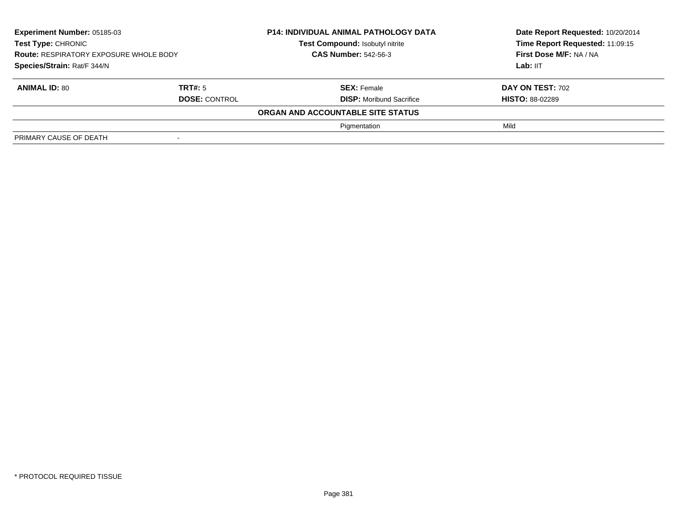| Experiment Number: 05185-03<br>Test Type: CHRONIC<br><b>Route: RESPIRATORY EXPOSURE WHOLE BODY</b><br>Species/Strain: Rat/F 344/N |                      | <b>P14: INDIVIDUAL ANIMAL PATHOLOGY DATA</b> | Date Report Requested: 10/20/2014 |
|-----------------------------------------------------------------------------------------------------------------------------------|----------------------|----------------------------------------------|-----------------------------------|
|                                                                                                                                   |                      | Test Compound: Isobutyl nitrite              | Time Report Requested: 11:09:15   |
|                                                                                                                                   |                      | <b>CAS Number: 542-56-3</b>                  | First Dose M/F: NA / NA           |
|                                                                                                                                   |                      |                                              | Lab: IIT                          |
| <b>ANIMAL ID: 80</b>                                                                                                              | TRT#: 5              | <b>SEX: Female</b>                           | <b>DAY ON TEST: 702</b>           |
|                                                                                                                                   | <b>DOSE: CONTROL</b> | <b>DISP:</b> Moribund Sacrifice              | <b>HISTO: 88-02289</b>            |
|                                                                                                                                   |                      | ORGAN AND ACCOUNTABLE SITE STATUS            |                                   |
|                                                                                                                                   |                      | Pigmentation                                 | Mild                              |
| PRIMARY CAUSE OF DEATH                                                                                                            |                      |                                              |                                   |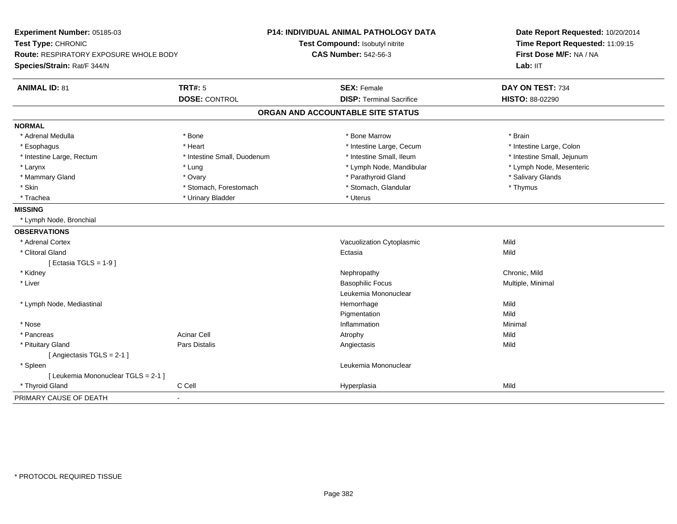| Experiment Number: 05185-03<br>Test Type: CHRONIC<br><b>Route: RESPIRATORY EXPOSURE WHOLE BODY</b><br>Species/Strain: Rat/F 344/N |                             | <b>P14: INDIVIDUAL ANIMAL PATHOLOGY DATA</b><br>Test Compound: Isobutyl nitrite<br><b>CAS Number: 542-56-3</b> | Date Report Requested: 10/20/2014<br>Time Report Requested: 11:09:15<br>First Dose M/F: NA / NA<br>Lab: IIT |
|-----------------------------------------------------------------------------------------------------------------------------------|-----------------------------|----------------------------------------------------------------------------------------------------------------|-------------------------------------------------------------------------------------------------------------|
| <b>ANIMAL ID: 81</b>                                                                                                              | <b>TRT#: 5</b>              | <b>SEX: Female</b>                                                                                             | DAY ON TEST: 734                                                                                            |
|                                                                                                                                   | <b>DOSE: CONTROL</b>        | <b>DISP: Terminal Sacrifice</b>                                                                                | HISTO: 88-02290                                                                                             |
|                                                                                                                                   |                             | ORGAN AND ACCOUNTABLE SITE STATUS                                                                              |                                                                                                             |
| <b>NORMAL</b>                                                                                                                     |                             |                                                                                                                |                                                                                                             |
| * Adrenal Medulla                                                                                                                 | * Bone                      | * Bone Marrow                                                                                                  | * Brain                                                                                                     |
| * Esophagus                                                                                                                       | * Heart                     | * Intestine Large, Cecum                                                                                       | * Intestine Large, Colon                                                                                    |
| * Intestine Large, Rectum                                                                                                         | * Intestine Small, Duodenum | * Intestine Small, Ileum                                                                                       | * Intestine Small, Jejunum                                                                                  |
| * Larynx                                                                                                                          | * Lung                      | * Lymph Node, Mandibular                                                                                       | * Lymph Node, Mesenteric                                                                                    |
| * Mammary Gland                                                                                                                   | * Ovary                     | * Parathyroid Gland                                                                                            | * Salivary Glands                                                                                           |
| * Skin                                                                                                                            | * Stomach, Forestomach      | * Stomach, Glandular                                                                                           | * Thymus                                                                                                    |
| * Trachea                                                                                                                         | * Urinary Bladder           | * Uterus                                                                                                       |                                                                                                             |
| <b>MISSING</b>                                                                                                                    |                             |                                                                                                                |                                                                                                             |
| * Lymph Node, Bronchial                                                                                                           |                             |                                                                                                                |                                                                                                             |
| <b>OBSERVATIONS</b>                                                                                                               |                             |                                                                                                                |                                                                                                             |
| * Adrenal Cortex                                                                                                                  |                             | Vacuolization Cytoplasmic                                                                                      | Mild                                                                                                        |
| * Clitoral Gland                                                                                                                  |                             | Ectasia                                                                                                        | Mild                                                                                                        |
| [Ectasia TGLS = $1-9$ ]                                                                                                           |                             |                                                                                                                |                                                                                                             |
| * Kidney                                                                                                                          |                             | Nephropathy                                                                                                    | Chronic, Mild                                                                                               |
| * Liver                                                                                                                           |                             | <b>Basophilic Focus</b>                                                                                        | Multiple, Minimal                                                                                           |
|                                                                                                                                   |                             | Leukemia Mononuclear                                                                                           |                                                                                                             |
| * Lymph Node, Mediastinal                                                                                                         |                             | Hemorrhage                                                                                                     | Mild                                                                                                        |
|                                                                                                                                   |                             | Pigmentation                                                                                                   | Mild                                                                                                        |
| * Nose                                                                                                                            |                             | Inflammation                                                                                                   | Minimal                                                                                                     |
| * Pancreas                                                                                                                        | <b>Acinar Cell</b>          | Atrophy                                                                                                        | Mild                                                                                                        |
| * Pituitary Gland                                                                                                                 | <b>Pars Distalis</b>        | Angiectasis                                                                                                    | Mild                                                                                                        |
| [Angiectasis TGLS = 2-1]                                                                                                          |                             |                                                                                                                |                                                                                                             |
| * Spleen                                                                                                                          |                             | Leukemia Mononuclear                                                                                           |                                                                                                             |
| [ Leukemia Mononuclear TGLS = 2-1 ]                                                                                               |                             |                                                                                                                |                                                                                                             |
| * Thyroid Gland                                                                                                                   | C Cell                      | Hyperplasia                                                                                                    | Mild                                                                                                        |
| PRIMARY CAUSE OF DEATH                                                                                                            |                             |                                                                                                                |                                                                                                             |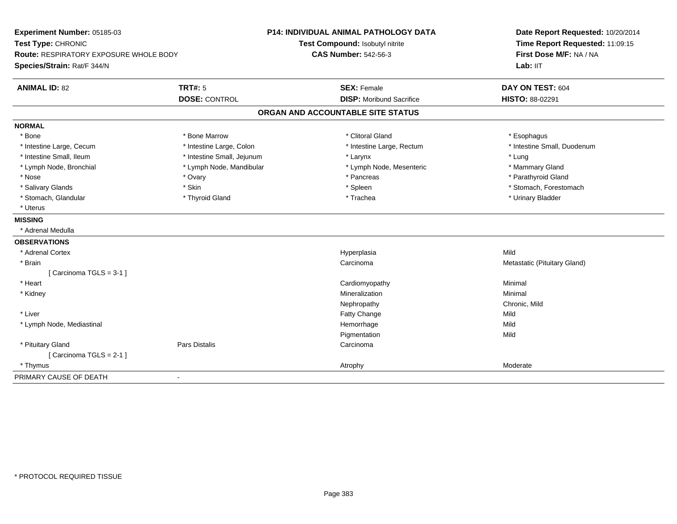| Experiment Number: 05185-03            |                            | <b>P14: INDIVIDUAL ANIMAL PATHOLOGY DATA</b> | Date Report Requested: 10/20/2014 |  |
|----------------------------------------|----------------------------|----------------------------------------------|-----------------------------------|--|
| Test Type: CHRONIC                     |                            | Test Compound: Isobutyl nitrite              | Time Report Requested: 11:09:15   |  |
| Route: RESPIRATORY EXPOSURE WHOLE BODY |                            | <b>CAS Number: 542-56-3</b>                  | First Dose M/F: NA / NA           |  |
| Species/Strain: Rat/F 344/N            |                            |                                              | Lab: IIT                          |  |
| <b>ANIMAL ID: 82</b>                   | <b>TRT#: 5</b>             | <b>SEX: Female</b>                           | DAY ON TEST: 604                  |  |
|                                        | <b>DOSE: CONTROL</b>       | <b>DISP:</b> Moribund Sacrifice              | HISTO: 88-02291                   |  |
|                                        |                            | ORGAN AND ACCOUNTABLE SITE STATUS            |                                   |  |
| <b>NORMAL</b>                          |                            |                                              |                                   |  |
| * Bone                                 | * Bone Marrow              | * Clitoral Gland                             | * Esophagus                       |  |
| * Intestine Large, Cecum               | * Intestine Large, Colon   | * Intestine Large, Rectum                    | * Intestine Small, Duodenum       |  |
| * Intestine Small, Ileum               | * Intestine Small, Jejunum | * Larynx                                     | * Lung                            |  |
| * Lymph Node, Bronchial                | * Lymph Node, Mandibular   | * Lymph Node, Mesenteric                     | * Mammary Gland                   |  |
| * Nose                                 | * Ovary                    | * Pancreas                                   | * Parathyroid Gland               |  |
| * Salivary Glands                      | * Skin                     | * Spleen                                     | * Stomach, Forestomach            |  |
| * Stomach, Glandular                   | * Thyroid Gland            | * Trachea                                    | * Urinary Bladder                 |  |
| * Uterus                               |                            |                                              |                                   |  |
| <b>MISSING</b>                         |                            |                                              |                                   |  |
| * Adrenal Medulla                      |                            |                                              |                                   |  |
| <b>OBSERVATIONS</b>                    |                            |                                              |                                   |  |
| * Adrenal Cortex                       |                            | Hyperplasia                                  | Mild                              |  |
| * Brain                                |                            | Carcinoma                                    | Metastatic (Pituitary Gland)      |  |
| [Carcinoma TGLS = $3-1$ ]              |                            |                                              |                                   |  |
| * Heart                                |                            | Cardiomyopathy                               | Minimal                           |  |
| * Kidney                               |                            | Mineralization                               | Minimal                           |  |
|                                        |                            | Nephropathy                                  | Chronic, Mild                     |  |
| * Liver                                |                            | Fatty Change                                 | Mild                              |  |
| * Lymph Node, Mediastinal              |                            | Hemorrhage                                   | Mild                              |  |
|                                        |                            | Pigmentation                                 | Mild                              |  |
| * Pituitary Gland                      | <b>Pars Distalis</b>       | Carcinoma                                    |                                   |  |
| [ Carcinoma TGLS = 2-1 ]               |                            |                                              |                                   |  |
| * Thymus                               |                            | Atrophy                                      | Moderate                          |  |
| PRIMARY CAUSE OF DEATH                 | $\blacksquare$             |                                              |                                   |  |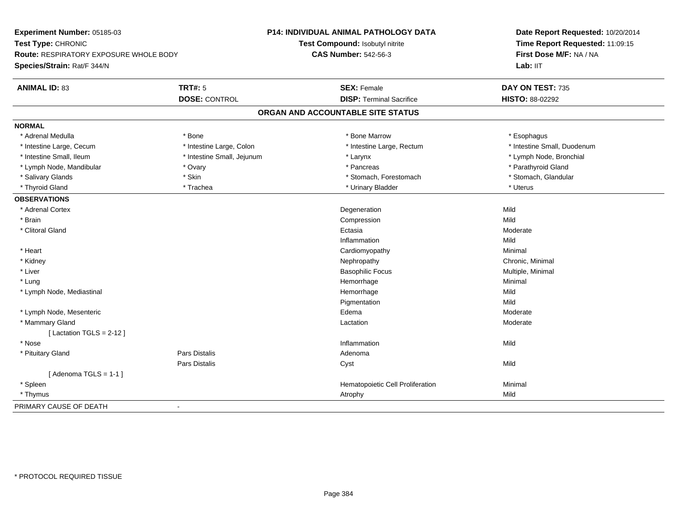| Experiment Number: 05185-03                   |                            | <b>P14: INDIVIDUAL ANIMAL PATHOLOGY DATA</b> | Date Report Requested: 10/20/2014<br>Time Report Requested: 11:09:15<br>First Dose M/F: NA / NA |
|-----------------------------------------------|----------------------------|----------------------------------------------|-------------------------------------------------------------------------------------------------|
| Test Type: CHRONIC                            |                            | Test Compound: Isobutyl nitrite              |                                                                                                 |
| <b>Route: RESPIRATORY EXPOSURE WHOLE BODY</b> |                            | <b>CAS Number: 542-56-3</b>                  |                                                                                                 |
| Species/Strain: Rat/F 344/N                   |                            |                                              | Lab: IIT                                                                                        |
| <b>ANIMAL ID: 83</b>                          | <b>TRT#: 5</b>             | <b>SEX: Female</b>                           | DAY ON TEST: 735                                                                                |
|                                               | <b>DOSE: CONTROL</b>       | <b>DISP: Terminal Sacrifice</b>              | HISTO: 88-02292                                                                                 |
|                                               |                            | ORGAN AND ACCOUNTABLE SITE STATUS            |                                                                                                 |
| <b>NORMAL</b>                                 |                            |                                              |                                                                                                 |
| * Adrenal Medulla                             | * Bone                     | * Bone Marrow                                | * Esophagus                                                                                     |
| * Intestine Large, Cecum                      | * Intestine Large, Colon   | * Intestine Large, Rectum                    | * Intestine Small, Duodenum                                                                     |
| * Intestine Small, Ileum                      | * Intestine Small, Jejunum | * Larynx                                     | * Lymph Node, Bronchial                                                                         |
| * Lymph Node, Mandibular                      | * Ovary                    | * Pancreas                                   | * Parathyroid Gland                                                                             |
| * Salivary Glands                             | * Skin                     | * Stomach, Forestomach                       | * Stomach, Glandular                                                                            |
| * Thyroid Gland                               | * Trachea                  | * Urinary Bladder                            | * Uterus                                                                                        |
| <b>OBSERVATIONS</b>                           |                            |                                              |                                                                                                 |
| * Adrenal Cortex                              |                            | Degeneration                                 | Mild                                                                                            |
| * Brain                                       |                            | Compression                                  | Mild                                                                                            |
| * Clitoral Gland                              |                            | Ectasia                                      | Moderate                                                                                        |
|                                               |                            | Inflammation                                 | Mild                                                                                            |
| * Heart                                       |                            | Cardiomyopathy                               | Minimal                                                                                         |
| * Kidney                                      |                            | Nephropathy                                  | Chronic, Minimal                                                                                |
| * Liver                                       |                            | <b>Basophilic Focus</b>                      | Multiple, Minimal                                                                               |
| * Lung                                        |                            | Hemorrhage                                   | Minimal                                                                                         |
| * Lymph Node, Mediastinal                     |                            | Hemorrhage                                   | Mild                                                                                            |
|                                               |                            | Pigmentation                                 | Mild                                                                                            |
| * Lymph Node, Mesenteric                      |                            | Edema                                        | Moderate                                                                                        |
| * Mammary Gland                               |                            | Lactation                                    | Moderate                                                                                        |
| [Lactation TGLS = $2-12$ ]                    |                            |                                              |                                                                                                 |
| * Nose                                        |                            | Inflammation                                 | Mild                                                                                            |
| * Pituitary Gland                             | Pars Distalis              | Adenoma                                      |                                                                                                 |
|                                               | Pars Distalis              | Cyst                                         | Mild                                                                                            |
| [Adenoma TGLS = $1-1$ ]                       |                            |                                              |                                                                                                 |
| * Spleen                                      |                            | Hematopoietic Cell Proliferation             | Minimal                                                                                         |
| * Thymus                                      |                            | Atrophy                                      | Mild                                                                                            |
| PRIMARY CAUSE OF DEATH                        | $\mathbf{r}$               |                                              |                                                                                                 |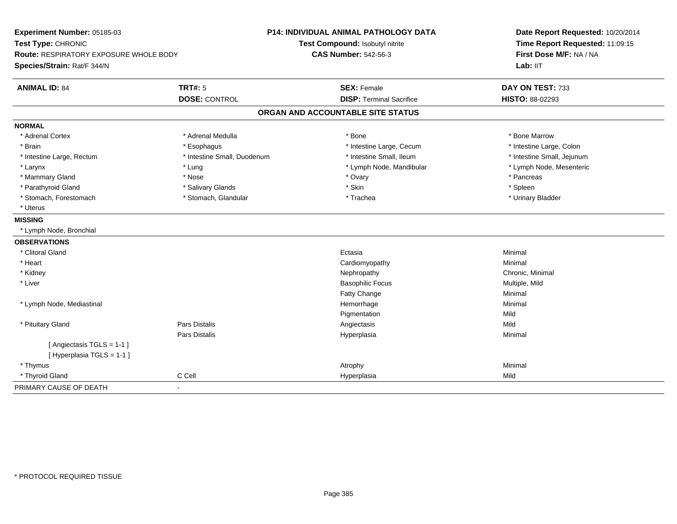| Experiment Number: 05185-03            |                             | <b>P14: INDIVIDUAL ANIMAL PATHOLOGY DATA</b> | Date Report Requested: 10/20/2014<br>Time Report Requested: 11:09:15<br>First Dose M/F: NA / NA |  |
|----------------------------------------|-----------------------------|----------------------------------------------|-------------------------------------------------------------------------------------------------|--|
| Test Type: CHRONIC                     |                             | Test Compound: Isobutyl nitrite              |                                                                                                 |  |
| Route: RESPIRATORY EXPOSURE WHOLE BODY |                             | <b>CAS Number: 542-56-3</b>                  |                                                                                                 |  |
| Species/Strain: Rat/F 344/N            |                             |                                              | Lab: IIT                                                                                        |  |
| <b>ANIMAL ID: 84</b>                   | <b>TRT#: 5</b>              | <b>SEX: Female</b>                           | DAY ON TEST: 733                                                                                |  |
|                                        | <b>DOSE: CONTROL</b>        | <b>DISP: Terminal Sacrifice</b>              | <b>HISTO: 88-02293</b>                                                                          |  |
|                                        |                             | ORGAN AND ACCOUNTABLE SITE STATUS            |                                                                                                 |  |
| <b>NORMAL</b>                          |                             |                                              |                                                                                                 |  |
| * Adrenal Cortex                       | * Adrenal Medulla           | $*$ Bone                                     | * Bone Marrow                                                                                   |  |
| * Brain                                | * Esophagus                 | * Intestine Large, Cecum                     | * Intestine Large, Colon                                                                        |  |
| * Intestine Large, Rectum              | * Intestine Small, Duodenum | * Intestine Small, Ileum                     | * Intestine Small, Jejunum                                                                      |  |
| * Larynx                               | * Lung                      | * Lymph Node, Mandibular                     | * Lymph Node, Mesenteric                                                                        |  |
| * Mammary Gland                        | * Nose                      | * Ovary                                      | * Pancreas                                                                                      |  |
| * Parathyroid Gland                    | * Salivary Glands           | * Skin                                       | * Spleen                                                                                        |  |
| * Stomach, Forestomach                 | * Stomach, Glandular        | * Trachea                                    | * Urinary Bladder                                                                               |  |
| * Uterus                               |                             |                                              |                                                                                                 |  |
| <b>MISSING</b>                         |                             |                                              |                                                                                                 |  |
| * Lymph Node, Bronchial                |                             |                                              |                                                                                                 |  |
| <b>OBSERVATIONS</b>                    |                             |                                              |                                                                                                 |  |
| * Clitoral Gland                       |                             | Ectasia                                      | Minimal                                                                                         |  |
| * Heart                                |                             | Cardiomyopathy                               | Minimal                                                                                         |  |
| * Kidney                               |                             | Nephropathy                                  | Chronic, Minimal                                                                                |  |
| * Liver                                |                             | <b>Basophilic Focus</b>                      | Multiple, Mild                                                                                  |  |
|                                        |                             | Fatty Change                                 | Minimal                                                                                         |  |
| * Lymph Node, Mediastinal              |                             | Hemorrhage                                   | Minimal                                                                                         |  |
|                                        |                             | Pigmentation                                 | Mild                                                                                            |  |
| * Pituitary Gland                      | Pars Distalis               | Angiectasis                                  | Mild                                                                                            |  |
|                                        | Pars Distalis               | Hyperplasia                                  | Minimal                                                                                         |  |
| [Angiectasis TGLS = 1-1 ]              |                             |                                              |                                                                                                 |  |
| [Hyperplasia TGLS = 1-1]               |                             |                                              |                                                                                                 |  |
| * Thymus                               |                             | Atrophy                                      | Minimal                                                                                         |  |
| * Thyroid Gland                        | C Cell                      | Hyperplasia                                  | Mild                                                                                            |  |
| PRIMARY CAUSE OF DEATH                 | $\sim$                      |                                              |                                                                                                 |  |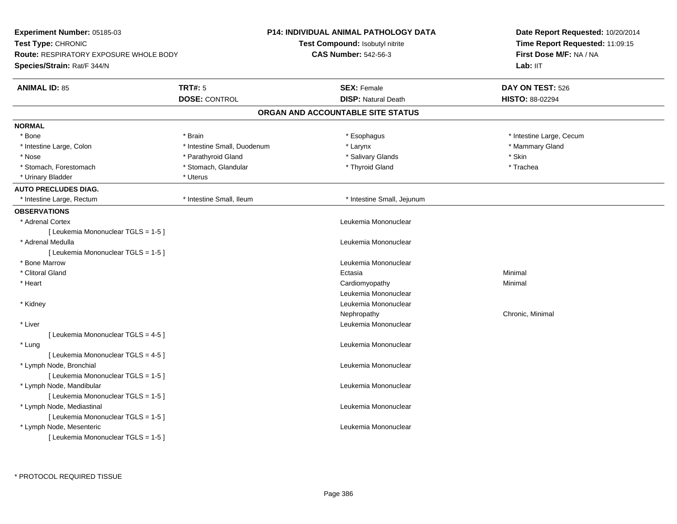| Experiment Number: 05185-03                   |                             | <b>P14: INDIVIDUAL ANIMAL PATHOLOGY DATA</b> | Date Report Requested: 10/20/2014 |  |
|-----------------------------------------------|-----------------------------|----------------------------------------------|-----------------------------------|--|
| Test Type: CHRONIC                            |                             | Test Compound: Isobutyl nitrite              | Time Report Requested: 11:09:15   |  |
| <b>Route: RESPIRATORY EXPOSURE WHOLE BODY</b> |                             | <b>CAS Number: 542-56-3</b>                  | First Dose M/F: NA / NA           |  |
| Species/Strain: Rat/F 344/N                   |                             |                                              | Lab: IIT                          |  |
| <b>ANIMAL ID: 85</b>                          | <b>TRT#: 5</b>              | <b>SEX: Female</b>                           | DAY ON TEST: 526                  |  |
|                                               | <b>DOSE: CONTROL</b>        | <b>DISP: Natural Death</b>                   | <b>HISTO: 88-02294</b>            |  |
|                                               |                             | ORGAN AND ACCOUNTABLE SITE STATUS            |                                   |  |
| <b>NORMAL</b>                                 |                             |                                              |                                   |  |
| * Bone                                        | * Brain                     | * Esophagus                                  | * Intestine Large, Cecum          |  |
| * Intestine Large, Colon                      | * Intestine Small, Duodenum | * Larynx                                     | * Mammary Gland                   |  |
| * Nose                                        | * Parathyroid Gland         | * Salivary Glands                            | * Skin                            |  |
| * Stomach, Forestomach                        | * Stomach, Glandular        | * Thyroid Gland                              | * Trachea                         |  |
| * Urinary Bladder                             | * Uterus                    |                                              |                                   |  |
| <b>AUTO PRECLUDES DIAG.</b>                   |                             |                                              |                                   |  |
| * Intestine Large, Rectum                     | * Intestine Small, Ileum    | * Intestine Small, Jejunum                   |                                   |  |
| <b>OBSERVATIONS</b>                           |                             |                                              |                                   |  |
| * Adrenal Cortex                              |                             | Leukemia Mononuclear                         |                                   |  |
| [ Leukemia Mononuclear TGLS = 1-5 ]           |                             |                                              |                                   |  |
| * Adrenal Medulla                             |                             | Leukemia Mononuclear                         |                                   |  |
| [ Leukemia Mononuclear TGLS = 1-5 ]           |                             |                                              |                                   |  |
| * Bone Marrow                                 |                             | Leukemia Mononuclear                         |                                   |  |
| * Clitoral Gland                              |                             | Ectasia                                      | Minimal                           |  |
| * Heart                                       |                             | Cardiomyopathy                               | Minimal                           |  |
|                                               |                             | Leukemia Mononuclear                         |                                   |  |
| * Kidney                                      |                             | Leukemia Mononuclear                         |                                   |  |
|                                               |                             | Nephropathy                                  | Chronic, Minimal                  |  |
| * Liver                                       |                             | Leukemia Mononuclear                         |                                   |  |
| [ Leukemia Mononuclear TGLS = 4-5 ]           |                             |                                              |                                   |  |
| * Lung                                        |                             | Leukemia Mononuclear                         |                                   |  |
| [ Leukemia Mononuclear TGLS = 4-5 ]           |                             |                                              |                                   |  |
| * Lymph Node, Bronchial                       |                             | Leukemia Mononuclear                         |                                   |  |
| [ Leukemia Mononuclear TGLS = 1-5 ]           |                             |                                              |                                   |  |
| * Lymph Node, Mandibular                      |                             | Leukemia Mononuclear                         |                                   |  |
| [Leukemia Mononuclear TGLS = 1-5]             |                             |                                              |                                   |  |
| * Lymph Node, Mediastinal                     |                             | Leukemia Mononuclear                         |                                   |  |
| [ Leukemia Mononuclear TGLS = 1-5 ]           |                             |                                              |                                   |  |
| * Lymph Node, Mesenteric                      |                             | Leukemia Mononuclear                         |                                   |  |
| [Leukemia Mononuclear TGLS = 1-5]             |                             |                                              |                                   |  |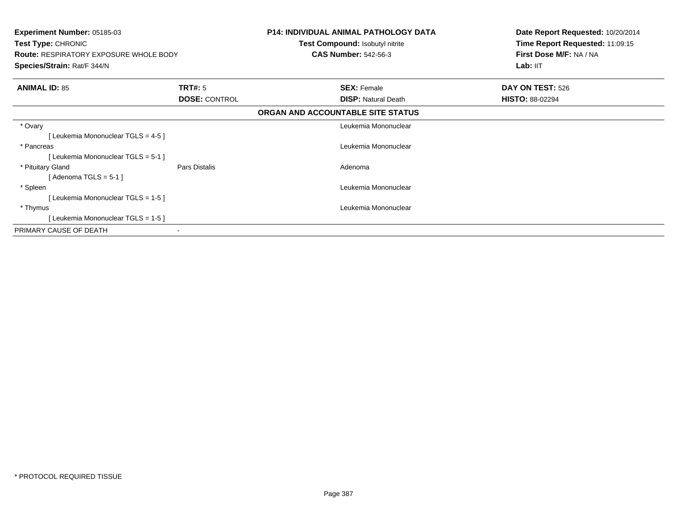| <b>Experiment Number: 05185-03</b><br>Test Type: CHRONIC<br><b>Route: RESPIRATORY EXPOSURE WHOLE BODY</b><br>Species/Strain: Rat/F 344/N |                      | <b>P14: INDIVIDUAL ANIMAL PATHOLOGY DATA</b><br>Test Compound: Isobutyl nitrite<br><b>CAS Number: 542-56-3</b> | Date Report Requested: 10/20/2014<br>Time Report Requested: 11:09:15<br>First Dose M/F: NA / NA<br>Lab: IIT |
|------------------------------------------------------------------------------------------------------------------------------------------|----------------------|----------------------------------------------------------------------------------------------------------------|-------------------------------------------------------------------------------------------------------------|
| <b>ANIMAL ID: 85</b>                                                                                                                     | TRT#: 5              | <b>SEX: Female</b>                                                                                             | DAY ON TEST: 526                                                                                            |
|                                                                                                                                          | <b>DOSE: CONTROL</b> | <b>DISP: Natural Death</b>                                                                                     | <b>HISTO: 88-02294</b>                                                                                      |
|                                                                                                                                          |                      | ORGAN AND ACCOUNTABLE SITE STATUS                                                                              |                                                                                                             |
| * Ovary                                                                                                                                  |                      | Leukemia Mononuclear                                                                                           |                                                                                                             |
| [Leukemia Mononuclear TGLS = 4-5]                                                                                                        |                      |                                                                                                                |                                                                                                             |
| * Pancreas                                                                                                                               |                      | Leukemia Mononuclear                                                                                           |                                                                                                             |
| [Leukemia Mononuclear TGLS = 5-1 ]                                                                                                       |                      |                                                                                                                |                                                                                                             |
| * Pituitary Gland                                                                                                                        | Pars Distalis        | Adenoma                                                                                                        |                                                                                                             |
| [ Adenoma TGLS = 5-1 ]                                                                                                                   |                      |                                                                                                                |                                                                                                             |
| * Spleen                                                                                                                                 |                      | Leukemia Mononuclear                                                                                           |                                                                                                             |
| [Leukemia Mononuclear TGLS = 1-5]                                                                                                        |                      |                                                                                                                |                                                                                                             |
| * Thymus                                                                                                                                 |                      | Leukemia Mononuclear                                                                                           |                                                                                                             |
| [Leukemia Mononuclear TGLS = 1-5]                                                                                                        |                      |                                                                                                                |                                                                                                             |
| PRIMARY CAUSE OF DEATH                                                                                                                   |                      |                                                                                                                |                                                                                                             |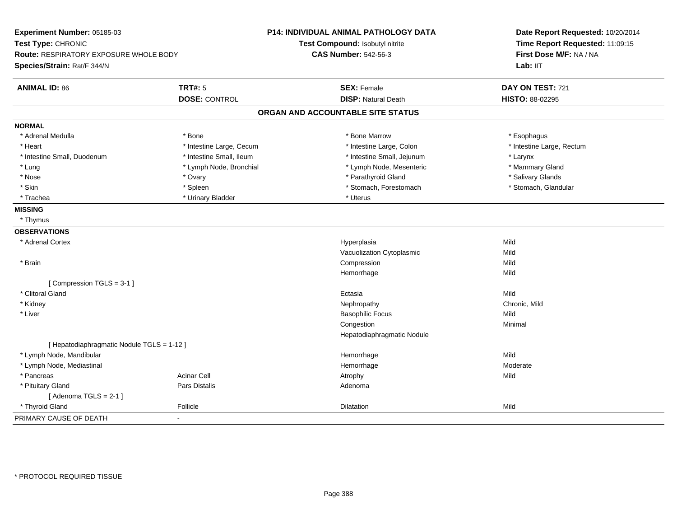| Experiment Number: 05185-03<br>Test Type: CHRONIC<br>Route: RESPIRATORY EXPOSURE WHOLE BODY<br>Species/Strain: Rat/F 344/N |                          | <b>P14: INDIVIDUAL ANIMAL PATHOLOGY DATA</b><br>Test Compound: Isobutyl nitrite<br><b>CAS Number: 542-56-3</b> | Date Report Requested: 10/20/2014<br>Time Report Requested: 11:09:15<br>First Dose M/F: NA / NA<br>Lab: IIT |
|----------------------------------------------------------------------------------------------------------------------------|--------------------------|----------------------------------------------------------------------------------------------------------------|-------------------------------------------------------------------------------------------------------------|
| <b>ANIMAL ID: 86</b>                                                                                                       | <b>TRT#: 5</b>           | <b>SEX: Female</b>                                                                                             | DAY ON TEST: 721                                                                                            |
|                                                                                                                            | <b>DOSE: CONTROL</b>     | <b>DISP: Natural Death</b>                                                                                     | HISTO: 88-02295                                                                                             |
|                                                                                                                            |                          | ORGAN AND ACCOUNTABLE SITE STATUS                                                                              |                                                                                                             |
| <b>NORMAL</b>                                                                                                              |                          |                                                                                                                |                                                                                                             |
| * Adrenal Medulla                                                                                                          | * Bone                   | * Bone Marrow                                                                                                  | * Esophagus                                                                                                 |
| * Heart                                                                                                                    | * Intestine Large, Cecum | * Intestine Large, Colon                                                                                       | * Intestine Large, Rectum                                                                                   |
| * Intestine Small, Duodenum                                                                                                | * Intestine Small, Ileum | * Intestine Small, Jejunum                                                                                     | * Larynx                                                                                                    |
| * Lung                                                                                                                     | * Lymph Node, Bronchial  | * Lymph Node, Mesenteric                                                                                       | * Mammary Gland                                                                                             |
| * Nose                                                                                                                     | * Ovary                  | * Parathyroid Gland                                                                                            | * Salivary Glands                                                                                           |
| * Skin                                                                                                                     | * Spleen                 | * Stomach, Forestomach                                                                                         | * Stomach, Glandular                                                                                        |
| * Trachea                                                                                                                  | * Urinary Bladder        | * Uterus                                                                                                       |                                                                                                             |
| <b>MISSING</b>                                                                                                             |                          |                                                                                                                |                                                                                                             |
| * Thymus                                                                                                                   |                          |                                                                                                                |                                                                                                             |
| <b>OBSERVATIONS</b>                                                                                                        |                          |                                                                                                                |                                                                                                             |
| * Adrenal Cortex                                                                                                           |                          | Hyperplasia                                                                                                    | Mild                                                                                                        |
|                                                                                                                            |                          | Vacuolization Cytoplasmic                                                                                      | Mild                                                                                                        |
| * Brain                                                                                                                    |                          | Compression                                                                                                    | Mild                                                                                                        |
|                                                                                                                            |                          | Hemorrhage                                                                                                     | Mild                                                                                                        |
| [Compression TGLS = 3-1]                                                                                                   |                          |                                                                                                                |                                                                                                             |
| * Clitoral Gland                                                                                                           |                          | Ectasia                                                                                                        | Mild                                                                                                        |
| * Kidney                                                                                                                   |                          | Nephropathy                                                                                                    | Chronic, Mild                                                                                               |
| * Liver                                                                                                                    |                          | <b>Basophilic Focus</b>                                                                                        | Mild                                                                                                        |
|                                                                                                                            |                          | Congestion                                                                                                     | Minimal                                                                                                     |
|                                                                                                                            |                          | Hepatodiaphragmatic Nodule                                                                                     |                                                                                                             |
| [ Hepatodiaphragmatic Nodule TGLS = 1-12 ]                                                                                 |                          |                                                                                                                |                                                                                                             |
| * Lymph Node, Mandibular                                                                                                   |                          | Hemorrhage                                                                                                     | Mild                                                                                                        |
| * Lymph Node, Mediastinal                                                                                                  |                          | Hemorrhage                                                                                                     | Moderate                                                                                                    |
| * Pancreas                                                                                                                 | <b>Acinar Cell</b>       | Atrophy                                                                                                        | Mild                                                                                                        |
| * Pituitary Gland                                                                                                          | Pars Distalis            | Adenoma                                                                                                        |                                                                                                             |
| [Adenoma TGLS = $2-1$ ]                                                                                                    |                          |                                                                                                                |                                                                                                             |
| * Thyroid Gland                                                                                                            | Follicle                 | Dilatation                                                                                                     | Mild                                                                                                        |
| PRIMARY CAUSE OF DEATH                                                                                                     |                          |                                                                                                                |                                                                                                             |
|                                                                                                                            |                          |                                                                                                                |                                                                                                             |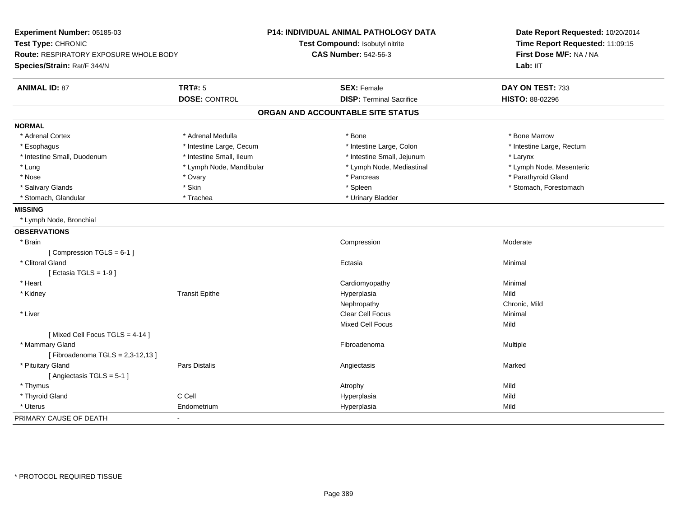| Experiment Number: 05185-03<br>Test Type: CHRONIC<br>Route: RESPIRATORY EXPOSURE WHOLE BODY |                          | <b>P14: INDIVIDUAL ANIMAL PATHOLOGY DATA</b><br>Test Compound: Isobutyl nitrite | Date Report Requested: 10/20/2014<br>Time Report Requested: 11:09:15<br>First Dose M/F: NA / NA |
|---------------------------------------------------------------------------------------------|--------------------------|---------------------------------------------------------------------------------|-------------------------------------------------------------------------------------------------|
|                                                                                             |                          | <b>CAS Number: 542-56-3</b>                                                     |                                                                                                 |
| Species/Strain: Rat/F 344/N                                                                 |                          |                                                                                 | Lab: IIT                                                                                        |
| <b>ANIMAL ID: 87</b>                                                                        | <b>TRT#: 5</b>           | <b>SEX: Female</b>                                                              | DAY ON TEST: 733                                                                                |
|                                                                                             | <b>DOSE: CONTROL</b>     | <b>DISP: Terminal Sacrifice</b>                                                 | HISTO: 88-02296                                                                                 |
|                                                                                             |                          | ORGAN AND ACCOUNTABLE SITE STATUS                                               |                                                                                                 |
| <b>NORMAL</b>                                                                               |                          |                                                                                 |                                                                                                 |
| * Adrenal Cortex                                                                            | * Adrenal Medulla        | * Bone                                                                          | * Bone Marrow                                                                                   |
| * Esophagus                                                                                 | * Intestine Large, Cecum | * Intestine Large, Colon                                                        | * Intestine Large, Rectum                                                                       |
| * Intestine Small, Duodenum                                                                 | * Intestine Small, Ileum | * Intestine Small, Jejunum                                                      | * Larynx                                                                                        |
| * Lung                                                                                      | * Lymph Node, Mandibular | * Lymph Node, Mediastinal                                                       | * Lymph Node, Mesenteric                                                                        |
| * Nose                                                                                      | * Ovary                  | * Pancreas                                                                      | * Parathyroid Gland                                                                             |
| * Salivary Glands                                                                           | * Skin                   | * Spleen                                                                        | * Stomach, Forestomach                                                                          |
| * Stomach, Glandular                                                                        | * Trachea                | * Urinary Bladder                                                               |                                                                                                 |
| <b>MISSING</b>                                                                              |                          |                                                                                 |                                                                                                 |
| * Lymph Node, Bronchial                                                                     |                          |                                                                                 |                                                                                                 |
| <b>OBSERVATIONS</b>                                                                         |                          |                                                                                 |                                                                                                 |
| * Brain                                                                                     |                          | Compression                                                                     | Moderate                                                                                        |
| [Compression TGLS = 6-1]                                                                    |                          |                                                                                 |                                                                                                 |
| * Clitoral Gland                                                                            |                          | Ectasia                                                                         | Minimal                                                                                         |
| [Ectasia TGLS = $1-9$ ]                                                                     |                          |                                                                                 |                                                                                                 |
| * Heart                                                                                     |                          | Cardiomyopathy                                                                  | Minimal                                                                                         |
| * Kidney                                                                                    | <b>Transit Epithe</b>    | Hyperplasia                                                                     | Mild                                                                                            |
|                                                                                             |                          | Nephropathy                                                                     | Chronic, Mild                                                                                   |
| * Liver                                                                                     |                          | Clear Cell Focus                                                                | Minimal                                                                                         |
|                                                                                             |                          | <b>Mixed Cell Focus</b>                                                         | Mild                                                                                            |
| [Mixed Cell Focus TGLS = 4-14]                                                              |                          |                                                                                 |                                                                                                 |
| * Mammary Gland                                                                             |                          | Fibroadenoma                                                                    | Multiple                                                                                        |
| [Fibroadenoma TGLS = 2,3-12,13]                                                             |                          |                                                                                 |                                                                                                 |
| * Pituitary Gland                                                                           | <b>Pars Distalis</b>     | Angiectasis                                                                     | Marked                                                                                          |
| [ Angiectasis TGLS = 5-1 ]                                                                  |                          |                                                                                 |                                                                                                 |
| * Thymus                                                                                    |                          | Atrophy                                                                         | Mild                                                                                            |
| * Thyroid Gland                                                                             | C Cell                   | Hyperplasia                                                                     | Mild                                                                                            |
| * Uterus                                                                                    | Endometrium              | Hyperplasia                                                                     | Mild                                                                                            |
| PRIMARY CAUSE OF DEATH                                                                      | $\sim$                   |                                                                                 |                                                                                                 |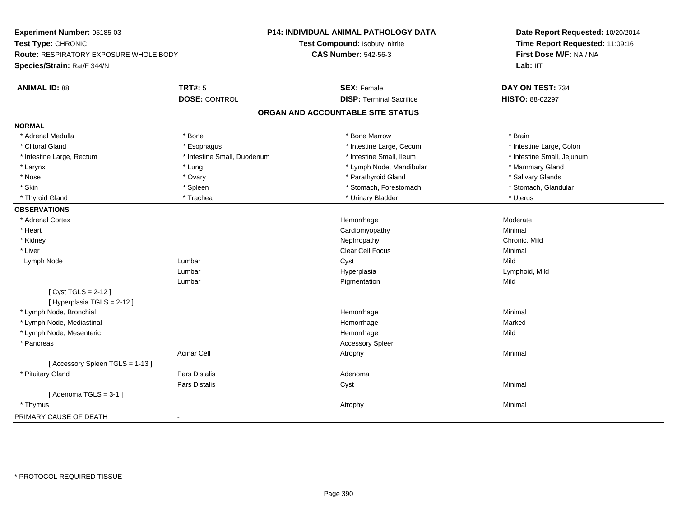**Experiment Number:** 05185-03**Test Type:** CHRONIC **Route:** RESPIRATORY EXPOSURE WHOLE BODY**Species/Strain:** Rat/F 344/N**P14: INDIVIDUAL ANIMAL PATHOLOGY DATATest Compound:** Isobutyl nitrite**CAS Number:** 542-56-3**Date Report Requested:** 10/20/2014**Time Report Requested:** 11:09:16**First Dose M/F:** NA / NALab: IIT **ANIMAL ID:** 88**TRT#:** 5 **SEX:** Female **DAY ON TEST:** 734 **DOSE:** CONTROL**DISP:** Terminal Sacrifice **HISTO:** 88-02297 **ORGAN AND ACCOUNTABLE SITE STATUSNORMAL**\* Adrenal Medulla \* \* Annual Medulla \* Brain \* Bone \* \* Bone Marrow \* Bone Marrow \* \* Brain \* Brain \* Brain \* Brain \* Brain \* Brain \* Brain \* Brain \* Brain \* Brain \* Brain \* Brain \* Brain \* Brain \* Brain \* Brain \* Brain \* \* Intestine Large, Colon \* Clitoral Gland \* **Exophagus \* Exophagus \*** The strain that the Large, Cecum \* intestine Large, Cecum \* Intestine Large, Rectum \* Thestine Small, Duodenum \* Number of the small, Ileum \* Intestine Small, Jejunum \* Intestine Small, Jejunum \* Larynx \* Lung \* Lung \* Lung \* Lung \* Lymph Node, Mandibular \* \* Mammary Gland \* Mammary Gland \* \* Mammary Gland \* Salivary Glands \* Nose \* Ovary \* Parathyroid Gland \* Salivary Glands \* Stomach, Glandular \* Skin \* Stomach, Forestomach \* Spleen \* Spleen \* Stomach, Forestomach \* Stomach, Forestomach \* Thyroid Gland \* \* Trachea \* \* Trachea \* Trachea \* \* Urinary Bladder \* \* Urinary Bladder \* \* Uterus \* Uterus **OBSERVATIONS** \* Adrenal Cortex**x** and the contract of the contract of the contract of the contract of the contract of the contract of the contract of the contract of the contract of the contract of the contract of the contract of the contract of the co e Moderate \* Heart Cardiomyopathy Minimal \* Kidneyy the controller of the controller of the controller of the controller of the controller of the chronic, Mild \* Liver Clear Cell Focus Minimal Lymph Node Lumbar Cyst Mild Lumbar Hyperplasia Lymphoid, Mild Lumbar Pigmentationn Mild [ Cyst TGLS = 2-12 ][ Hyperplasia TGLS = 2-12 ] \* Lymph Node, Bronchial Hemorrhagee Minimal \* Lymph Node, Mediastinal Hemorrhagee Marked \* Lymph Node, Mesentericc and the contract of the contract of the contract of the contract of the contract of the contract of the contract of the contract of the contract of the contract of the contract of the contract of the contract of the cont e Mild \* Pancreas Accessory SpleenAcinar Cell Atrophyy the contract of the contract of the Minimal [ Accessory Spleen TGLS = 1-13 ] \* Pituitary Glandd and the contract of Pars Distalis and the contract of Adenoma and Adenoma and the Adenoma and the Adenoma and  $\lambda$ Pars Distalis Cyst Minimal  $[$  Adenoma TGLS = 3-1  $]$  \* Thymuss and the control of the control of the control of the control of the control of the control of the control of the control of the control of the control of the control of the control of the control of the control of the co PRIMARY CAUSE OF DEATH-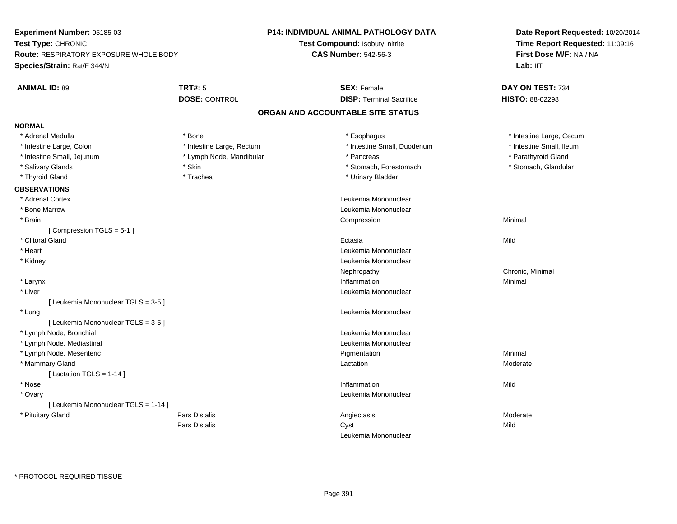| Experiment Number: 05185-03                            | <b>P14: INDIVIDUAL ANIMAL PATHOLOGY DATA</b> | Date Report Requested: 10/20/2014<br>Time Report Requested: 11:09:16<br>First Dose M/F: NA / NA |  |
|--------------------------------------------------------|----------------------------------------------|-------------------------------------------------------------------------------------------------|--|
| Test Type: CHRONIC                                     | Test Compound: Isobutyl nitrite              |                                                                                                 |  |
| <b>Route: RESPIRATORY EXPOSURE WHOLE BODY</b>          | <b>CAS Number: 542-56-3</b>                  |                                                                                                 |  |
| Species/Strain: Rat/F 344/N                            |                                              | Lab: IIT                                                                                        |  |
| <b>ANIMAL ID: 89</b><br><b>TRT#: 5</b>                 | <b>SEX: Female</b>                           | DAY ON TEST: 734                                                                                |  |
| <b>DOSE: CONTROL</b>                                   | <b>DISP: Terminal Sacrifice</b>              | <b>HISTO: 88-02298</b>                                                                          |  |
|                                                        | ORGAN AND ACCOUNTABLE SITE STATUS            |                                                                                                 |  |
| <b>NORMAL</b>                                          |                                              |                                                                                                 |  |
| * Adrenal Medulla<br>* Bone                            | * Esophagus                                  | * Intestine Large, Cecum                                                                        |  |
| * Intestine Large, Rectum<br>* Intestine Large, Colon  | * Intestine Small, Duodenum                  | * Intestine Small, Ileum                                                                        |  |
| * Intestine Small, Jejunum<br>* Lymph Node, Mandibular | * Pancreas                                   | * Parathyroid Gland                                                                             |  |
| * Salivary Glands<br>* Skin                            | * Stomach, Forestomach                       | * Stomach, Glandular                                                                            |  |
| * Trachea<br>* Thyroid Gland                           | * Urinary Bladder                            |                                                                                                 |  |
| <b>OBSERVATIONS</b>                                    |                                              |                                                                                                 |  |
| * Adrenal Cortex                                       | Leukemia Mononuclear                         |                                                                                                 |  |
| * Bone Marrow                                          | Leukemia Mononuclear                         |                                                                                                 |  |
| * Brain                                                | Compression                                  | Minimal                                                                                         |  |
| [Compression TGLS = 5-1]                               |                                              |                                                                                                 |  |
| * Clitoral Gland                                       | Ectasia                                      | Mild                                                                                            |  |
| * Heart                                                | Leukemia Mononuclear                         |                                                                                                 |  |
| * Kidney                                               | Leukemia Mononuclear                         |                                                                                                 |  |
|                                                        | Nephropathy                                  | Chronic, Minimal                                                                                |  |
| * Larynx                                               | Inflammation                                 | Minimal                                                                                         |  |
| * Liver                                                | Leukemia Mononuclear                         |                                                                                                 |  |
| [ Leukemia Mononuclear TGLS = 3-5 ]                    |                                              |                                                                                                 |  |
| * Lung                                                 | Leukemia Mononuclear                         |                                                                                                 |  |
| [ Leukemia Mononuclear TGLS = 3-5 ]                    |                                              |                                                                                                 |  |
| * Lymph Node, Bronchial                                | Leukemia Mononuclear                         |                                                                                                 |  |
| * Lymph Node, Mediastinal                              | Leukemia Mononuclear                         |                                                                                                 |  |
| * Lymph Node, Mesenteric                               | Pigmentation                                 | Minimal                                                                                         |  |
| * Mammary Gland                                        | Lactation                                    | Moderate                                                                                        |  |
| [ Lactation TGLS = 1-14 ]                              |                                              |                                                                                                 |  |
| * Nose                                                 | Inflammation                                 | Mild                                                                                            |  |
| * Ovary                                                | Leukemia Mononuclear                         |                                                                                                 |  |
| [ Leukemia Mononuclear TGLS = 1-14 ]                   |                                              |                                                                                                 |  |
| * Pituitary Gland<br><b>Pars Distalis</b>              | Angiectasis                                  | Moderate                                                                                        |  |
| Pars Distalis                                          | Cyst                                         | Mild                                                                                            |  |
|                                                        | Leukemia Mononuclear                         |                                                                                                 |  |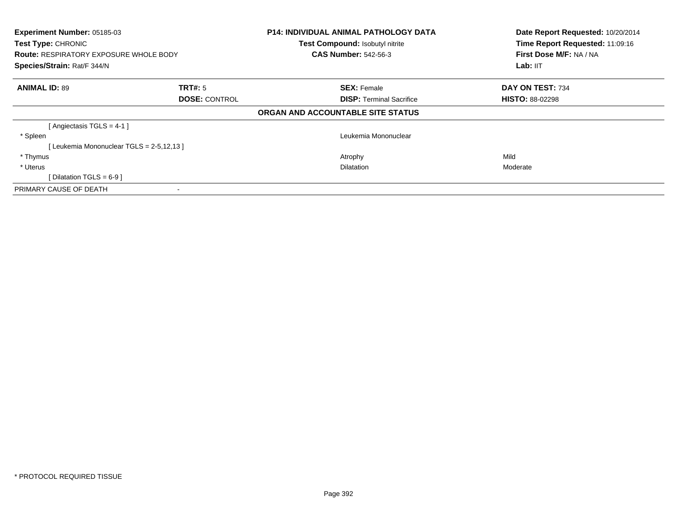| Experiment Number: 05185-03<br>Test Type: CHRONIC<br><b>Route: RESPIRATORY EXPOSURE WHOLE BODY</b><br>Species/Strain: Rat/F 344/N |                      | <b>P14: INDIVIDUAL ANIMAL PATHOLOGY DATA</b><br>Test Compound: Isobutyl nitrite<br><b>CAS Number: 542-56-3</b> | Date Report Requested: 10/20/2014<br>Time Report Requested: 11:09:16<br>First Dose M/F: NA / NA<br>Lab: IIT |
|-----------------------------------------------------------------------------------------------------------------------------------|----------------------|----------------------------------------------------------------------------------------------------------------|-------------------------------------------------------------------------------------------------------------|
| <b>ANIMAL ID: 89</b>                                                                                                              | <b>TRT#:</b> 5       | <b>SEX: Female</b>                                                                                             | DAY ON TEST: 734                                                                                            |
|                                                                                                                                   | <b>DOSE: CONTROL</b> | <b>DISP:</b> Terminal Sacrifice                                                                                | <b>HISTO: 88-02298</b>                                                                                      |
|                                                                                                                                   |                      | ORGAN AND ACCOUNTABLE SITE STATUS                                                                              |                                                                                                             |
| [Angiectasis TGLS = $4-1$ ]                                                                                                       |                      |                                                                                                                |                                                                                                             |
| * Spleen                                                                                                                          |                      | Leukemia Mononuclear                                                                                           |                                                                                                             |
| [Leukemia Mononuclear TGLS = 2-5,12,13]                                                                                           |                      |                                                                                                                |                                                                                                             |
| * Thymus                                                                                                                          |                      | Atrophy                                                                                                        | Mild                                                                                                        |
| * Uterus                                                                                                                          |                      | Dilatation                                                                                                     | Moderate                                                                                                    |
| Dilatation TGLS = 6-9 ]                                                                                                           |                      |                                                                                                                |                                                                                                             |
| PRIMARY CAUSE OF DEATH                                                                                                            |                      |                                                                                                                |                                                                                                             |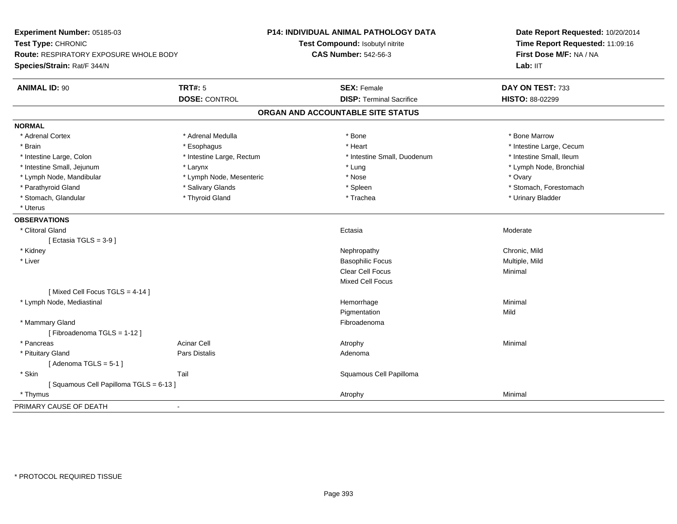| Experiment Number: 05185-03                   |                           | P14: INDIVIDUAL ANIMAL PATHOLOGY DATA | Date Report Requested: 10/20/2014<br>Time Report Requested: 11:09:16 |
|-----------------------------------------------|---------------------------|---------------------------------------|----------------------------------------------------------------------|
| Test Type: CHRONIC                            |                           | Test Compound: Isobutyl nitrite       |                                                                      |
| <b>Route: RESPIRATORY EXPOSURE WHOLE BODY</b> |                           | <b>CAS Number: 542-56-3</b>           | First Dose M/F: NA / NA                                              |
| Species/Strain: Rat/F 344/N                   |                           |                                       | Lab: IIT                                                             |
| <b>ANIMAL ID: 90</b>                          | <b>TRT#: 5</b>            | <b>SEX: Female</b>                    | DAY ON TEST: 733                                                     |
|                                               | <b>DOSE: CONTROL</b>      | <b>DISP: Terminal Sacrifice</b>       | HISTO: 88-02299                                                      |
|                                               |                           | ORGAN AND ACCOUNTABLE SITE STATUS     |                                                                      |
| <b>NORMAL</b>                                 |                           |                                       |                                                                      |
| * Adrenal Cortex                              | * Adrenal Medulla         | * Bone                                | * Bone Marrow                                                        |
| * Brain                                       | * Esophagus               | * Heart                               | * Intestine Large, Cecum                                             |
| * Intestine Large, Colon                      | * Intestine Large, Rectum | * Intestine Small, Duodenum           | * Intestine Small, Ileum                                             |
| * Intestine Small, Jejunum                    | * Larynx                  | * Lung                                | * Lymph Node, Bronchial                                              |
| * Lymph Node, Mandibular                      | * Lymph Node, Mesenteric  | * Nose                                | * Ovary                                                              |
| * Parathyroid Gland                           | * Salivary Glands         | * Spleen                              | * Stomach, Forestomach                                               |
| * Stomach, Glandular                          | * Thyroid Gland           | * Trachea                             | * Urinary Bladder                                                    |
| * Uterus                                      |                           |                                       |                                                                      |
| <b>OBSERVATIONS</b>                           |                           |                                       |                                                                      |
| * Clitoral Gland                              |                           | Ectasia                               | Moderate                                                             |
| [Ectasia TGLS = $3-9$ ]                       |                           |                                       |                                                                      |
| * Kidney                                      |                           | Nephropathy                           | Chronic, Mild                                                        |
| * Liver                                       |                           | <b>Basophilic Focus</b>               | Multiple, Mild                                                       |
|                                               |                           | <b>Clear Cell Focus</b>               | Minimal                                                              |
|                                               |                           | <b>Mixed Cell Focus</b>               |                                                                      |
| [Mixed Cell Focus TGLS = 4-14]                |                           |                                       |                                                                      |
| * Lymph Node, Mediastinal                     |                           | Hemorrhage                            | Minimal                                                              |
|                                               |                           | Pigmentation                          | Mild                                                                 |
| * Mammary Gland                               |                           | Fibroadenoma                          |                                                                      |
| [Fibroadenoma TGLS = 1-12]                    |                           |                                       |                                                                      |
| * Pancreas                                    | <b>Acinar Cell</b>        | Atrophy                               | Minimal                                                              |
| * Pituitary Gland                             | Pars Distalis             | Adenoma                               |                                                                      |
| [Adenoma TGLS = $5-1$ ]                       |                           |                                       |                                                                      |
| * Skin                                        | Tail                      | Squamous Cell Papilloma               |                                                                      |
| [Squamous Cell Papilloma TGLS = 6-13]         |                           |                                       |                                                                      |
| * Thymus                                      |                           | Atrophy                               | Minimal                                                              |
| PRIMARY CAUSE OF DEATH                        | $\blacksquare$            |                                       |                                                                      |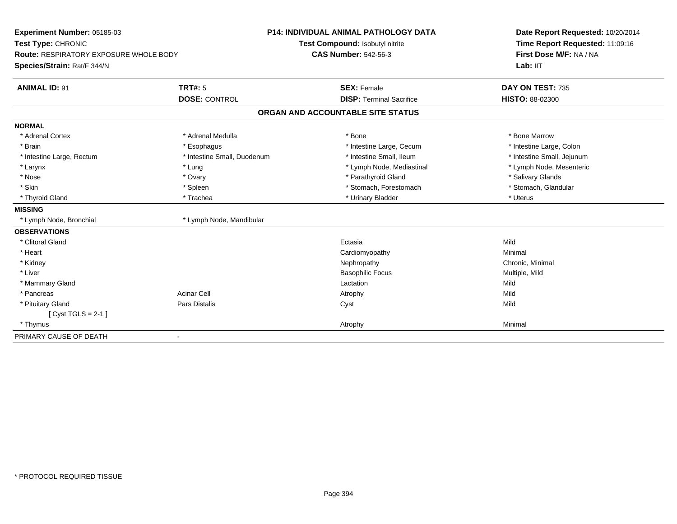| Experiment Number: 05185-03<br>Test Type: CHRONIC<br><b>Route: RESPIRATORY EXPOSURE WHOLE BODY</b> |                             | <b>P14: INDIVIDUAL ANIMAL PATHOLOGY DATA</b> | Date Report Requested: 10/20/2014<br>Time Report Requested: 11:09:16 |
|----------------------------------------------------------------------------------------------------|-----------------------------|----------------------------------------------|----------------------------------------------------------------------|
|                                                                                                    |                             | Test Compound: Isobutyl nitrite              |                                                                      |
|                                                                                                    |                             | <b>CAS Number: 542-56-3</b>                  | First Dose M/F: NA / NA                                              |
| Species/Strain: Rat/F 344/N                                                                        |                             |                                              | Lab: IIT                                                             |
| <b>ANIMAL ID: 91</b>                                                                               | <b>TRT#: 5</b>              | <b>SEX: Female</b>                           | DAY ON TEST: 735                                                     |
|                                                                                                    | <b>DOSE: CONTROL</b>        | <b>DISP: Terminal Sacrifice</b>              | <b>HISTO: 88-02300</b>                                               |
|                                                                                                    |                             | ORGAN AND ACCOUNTABLE SITE STATUS            |                                                                      |
| <b>NORMAL</b>                                                                                      |                             |                                              |                                                                      |
| * Adrenal Cortex                                                                                   | * Adrenal Medulla           | * Bone                                       | * Bone Marrow                                                        |
| * Brain                                                                                            | * Esophagus                 | * Intestine Large, Cecum                     | * Intestine Large, Colon                                             |
| * Intestine Large, Rectum                                                                          | * Intestine Small, Duodenum | * Intestine Small, Ileum                     | * Intestine Small, Jejunum                                           |
| * Larynx                                                                                           | * Lung                      | * Lymph Node, Mediastinal                    | * Lymph Node, Mesenteric                                             |
| * Nose                                                                                             | * Ovary                     | * Parathyroid Gland                          | * Salivary Glands                                                    |
| * Skin                                                                                             | * Spleen                    | * Stomach, Forestomach                       | * Stomach, Glandular                                                 |
| * Thyroid Gland                                                                                    | * Trachea                   | * Urinary Bladder                            | * Uterus                                                             |
| <b>MISSING</b>                                                                                     |                             |                                              |                                                                      |
| * Lymph Node, Bronchial                                                                            | * Lymph Node, Mandibular    |                                              |                                                                      |
| <b>OBSERVATIONS</b>                                                                                |                             |                                              |                                                                      |
| * Clitoral Gland                                                                                   |                             | Ectasia                                      | Mild                                                                 |
| * Heart                                                                                            |                             | Cardiomyopathy                               | Minimal                                                              |
| * Kidney                                                                                           |                             | Nephropathy                                  | Chronic, Minimal                                                     |
| * Liver                                                                                            |                             | <b>Basophilic Focus</b>                      | Multiple, Mild                                                       |
| * Mammary Gland                                                                                    |                             | Lactation                                    | Mild                                                                 |
| * Pancreas                                                                                         | <b>Acinar Cell</b>          | Atrophy                                      | Mild                                                                 |
| * Pituitary Gland                                                                                  | <b>Pars Distalis</b>        | Cyst                                         | Mild                                                                 |
| $[Cyst TGLS = 2-1]$                                                                                |                             |                                              |                                                                      |
| * Thymus                                                                                           |                             | Atrophy                                      | Minimal                                                              |
| PRIMARY CAUSE OF DEATH                                                                             |                             |                                              |                                                                      |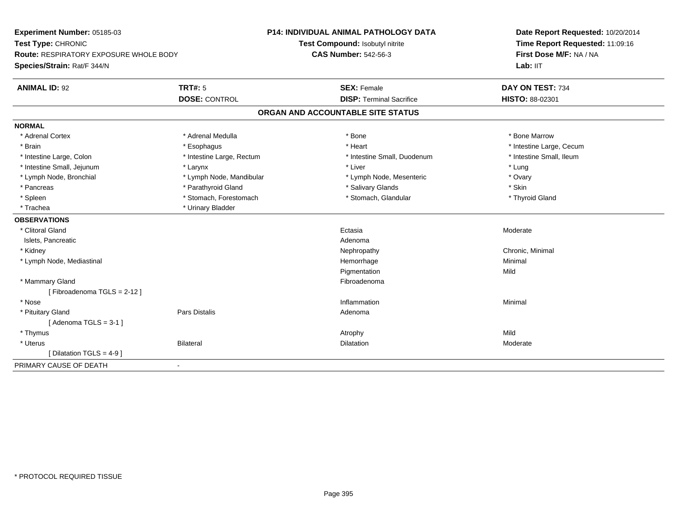| Experiment Number: 05185-03<br>Test Type: CHRONIC<br>Route: RESPIRATORY EXPOSURE WHOLE BODY |                           | P14: INDIVIDUAL ANIMAL PATHOLOGY DATA | Date Report Requested: 10/20/2014<br>Time Report Requested: 11:09:16<br>First Dose M/F: NA / NA |
|---------------------------------------------------------------------------------------------|---------------------------|---------------------------------------|-------------------------------------------------------------------------------------------------|
|                                                                                             |                           | Test Compound: Isobutyl nitrite       |                                                                                                 |
|                                                                                             |                           | <b>CAS Number: 542-56-3</b>           |                                                                                                 |
| Species/Strain: Rat/F 344/N                                                                 |                           |                                       | Lab: IIT                                                                                        |
| <b>ANIMAL ID: 92</b>                                                                        | <b>TRT#: 5</b>            | <b>SEX: Female</b>                    | DAY ON TEST: 734                                                                                |
|                                                                                             | <b>DOSE: CONTROL</b>      | <b>DISP: Terminal Sacrifice</b>       | HISTO: 88-02301                                                                                 |
|                                                                                             |                           | ORGAN AND ACCOUNTABLE SITE STATUS     |                                                                                                 |
| <b>NORMAL</b>                                                                               |                           |                                       |                                                                                                 |
| * Adrenal Cortex                                                                            | * Adrenal Medulla         | * Bone                                | * Bone Marrow                                                                                   |
| * Brain                                                                                     | * Esophagus               | * Heart                               | * Intestine Large, Cecum                                                                        |
| * Intestine Large, Colon                                                                    | * Intestine Large, Rectum | * Intestine Small, Duodenum           | * Intestine Small, Ileum                                                                        |
| * Intestine Small, Jejunum                                                                  | * Larynx                  | * Liver                               | * Lung                                                                                          |
| * Lymph Node, Bronchial                                                                     | * Lymph Node, Mandibular  | * Lymph Node, Mesenteric              | * Ovary                                                                                         |
| * Pancreas                                                                                  | * Parathyroid Gland       | * Salivary Glands                     | * Skin                                                                                          |
| * Spleen                                                                                    | * Stomach, Forestomach    | * Stomach, Glandular                  | * Thyroid Gland                                                                                 |
| * Trachea                                                                                   | * Urinary Bladder         |                                       |                                                                                                 |
| <b>OBSERVATIONS</b>                                                                         |                           |                                       |                                                                                                 |
| * Clitoral Gland                                                                            |                           | Ectasia                               | Moderate                                                                                        |
| Islets, Pancreatic                                                                          |                           | Adenoma                               |                                                                                                 |
| * Kidney                                                                                    |                           | Nephropathy                           | Chronic, Minimal                                                                                |
| * Lymph Node, Mediastinal                                                                   |                           | Hemorrhage                            | Minimal                                                                                         |
|                                                                                             |                           | Pigmentation                          | Mild                                                                                            |
| * Mammary Gland                                                                             |                           | Fibroadenoma                          |                                                                                                 |
| [Fibroadenoma TGLS = 2-12]                                                                  |                           |                                       |                                                                                                 |
| * Nose                                                                                      |                           | Inflammation                          | Minimal                                                                                         |
| * Pituitary Gland                                                                           | <b>Pars Distalis</b>      | Adenoma                               |                                                                                                 |
| [Adenoma TGLS = $3-1$ ]                                                                     |                           |                                       |                                                                                                 |
| * Thymus                                                                                    |                           | Atrophy                               | Mild                                                                                            |
| * Uterus                                                                                    | <b>Bilateral</b>          | Dilatation                            | Moderate                                                                                        |
| [ Dilatation TGLS = $4-9$ ]                                                                 |                           |                                       |                                                                                                 |
| PRIMARY CAUSE OF DEATH                                                                      | $\blacksquare$            |                                       |                                                                                                 |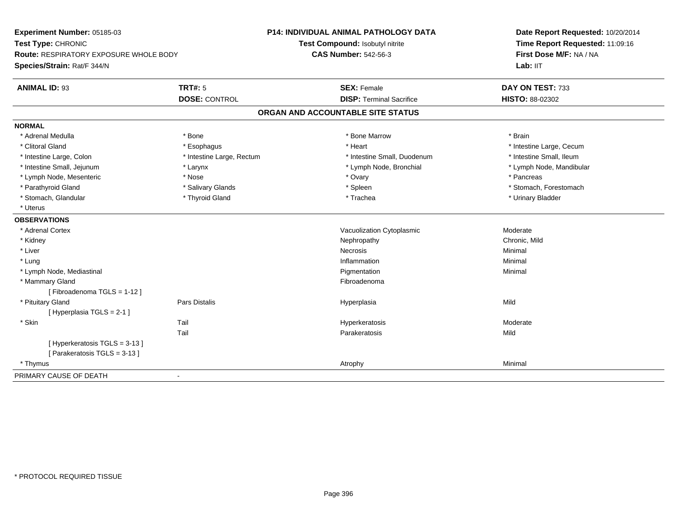| Experiment Number: 05185-03<br>Test Type: CHRONIC<br><b>Route: RESPIRATORY EXPOSURE WHOLE BODY</b><br>Species/Strain: Rat/F 344/N |                           | <b>P14: INDIVIDUAL ANIMAL PATHOLOGY DATA</b> | Date Report Requested: 10/20/2014<br>Time Report Requested: 11:09:16<br>First Dose M/F: NA / NA<br>Lab: IIT |
|-----------------------------------------------------------------------------------------------------------------------------------|---------------------------|----------------------------------------------|-------------------------------------------------------------------------------------------------------------|
|                                                                                                                                   |                           | Test Compound: Isobutyl nitrite              |                                                                                                             |
|                                                                                                                                   |                           | <b>CAS Number: 542-56-3</b>                  |                                                                                                             |
|                                                                                                                                   |                           |                                              |                                                                                                             |
| <b>ANIMAL ID: 93</b>                                                                                                              | <b>TRT#: 5</b>            | <b>SEX: Female</b>                           | DAY ON TEST: 733                                                                                            |
|                                                                                                                                   | <b>DOSE: CONTROL</b>      | <b>DISP: Terminal Sacrifice</b>              | HISTO: 88-02302                                                                                             |
|                                                                                                                                   |                           | ORGAN AND ACCOUNTABLE SITE STATUS            |                                                                                                             |
| <b>NORMAL</b>                                                                                                                     |                           |                                              |                                                                                                             |
| * Adrenal Medulla                                                                                                                 | * Bone                    | * Bone Marrow                                | * Brain                                                                                                     |
| * Clitoral Gland                                                                                                                  | * Esophagus               | * Heart                                      | * Intestine Large, Cecum                                                                                    |
| * Intestine Large, Colon                                                                                                          | * Intestine Large, Rectum | * Intestine Small, Duodenum                  | * Intestine Small, Ileum                                                                                    |
| * Intestine Small, Jejunum                                                                                                        | * Larynx                  | * Lymph Node, Bronchial                      | * Lymph Node, Mandibular                                                                                    |
| * Lymph Node, Mesenteric                                                                                                          | * Nose                    | * Ovary                                      | * Pancreas                                                                                                  |
| * Parathyroid Gland                                                                                                               | * Salivary Glands         | * Spleen                                     | * Stomach, Forestomach                                                                                      |
| * Stomach, Glandular                                                                                                              | * Thyroid Gland           | * Trachea                                    | * Urinary Bladder                                                                                           |
| * Uterus                                                                                                                          |                           |                                              |                                                                                                             |
| <b>OBSERVATIONS</b>                                                                                                               |                           |                                              |                                                                                                             |
| * Adrenal Cortex                                                                                                                  |                           | Vacuolization Cytoplasmic                    | Moderate                                                                                                    |
| * Kidney                                                                                                                          |                           | Nephropathy                                  | Chronic, Mild                                                                                               |
| * Liver                                                                                                                           |                           | Necrosis                                     | Minimal                                                                                                     |
| * Lung                                                                                                                            |                           | Inflammation                                 | Minimal                                                                                                     |
| * Lymph Node, Mediastinal                                                                                                         |                           | Pigmentation                                 | Minimal                                                                                                     |
| * Mammary Gland                                                                                                                   |                           | Fibroadenoma                                 |                                                                                                             |
| [Fibroadenoma TGLS = 1-12]                                                                                                        |                           |                                              |                                                                                                             |
| * Pituitary Gland                                                                                                                 | Pars Distalis             | Hyperplasia                                  | Mild                                                                                                        |
| [Hyperplasia TGLS = 2-1]                                                                                                          |                           |                                              |                                                                                                             |
| * Skin                                                                                                                            | Tail                      | Hyperkeratosis                               | Moderate                                                                                                    |
|                                                                                                                                   | Tail                      | Parakeratosis                                | Mild                                                                                                        |
| [Hyperkeratosis TGLS = 3-13]                                                                                                      |                           |                                              |                                                                                                             |
| [Parakeratosis TGLS = 3-13]                                                                                                       |                           |                                              |                                                                                                             |
| * Thymus                                                                                                                          |                           | Atrophy                                      | Minimal                                                                                                     |
| PRIMARY CAUSE OF DEATH                                                                                                            | $\blacksquare$            |                                              |                                                                                                             |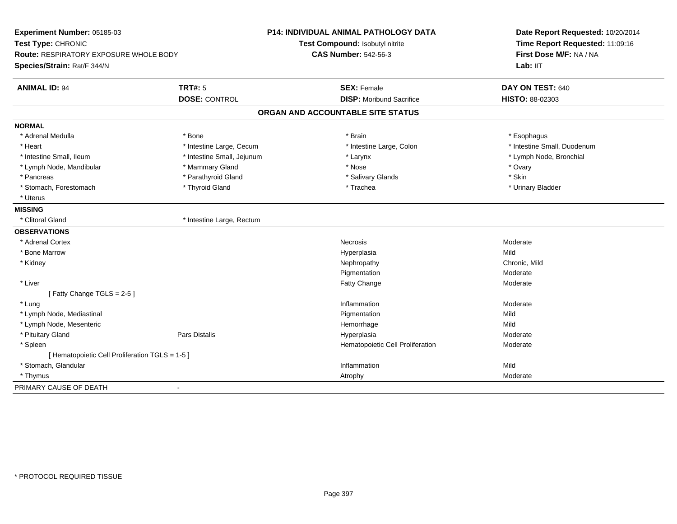| Experiment Number: 05185-03<br>Test Type: CHRONIC<br>Route: RESPIRATORY EXPOSURE WHOLE BODY<br>Species/Strain: Rat/F 344/N |                            | <b>P14: INDIVIDUAL ANIMAL PATHOLOGY DATA</b><br>Test Compound: Isobutyl nitrite<br><b>CAS Number: 542-56-3</b> | Date Report Requested: 10/20/2014<br>Time Report Requested: 11:09:16<br>First Dose M/F: NA / NA<br>Lab: IIT |
|----------------------------------------------------------------------------------------------------------------------------|----------------------------|----------------------------------------------------------------------------------------------------------------|-------------------------------------------------------------------------------------------------------------|
| <b>ANIMAL ID: 94</b>                                                                                                       | <b>TRT#: 5</b>             | <b>SEX: Female</b>                                                                                             | DAY ON TEST: 640                                                                                            |
|                                                                                                                            | <b>DOSE: CONTROL</b>       | <b>DISP:</b> Moribund Sacrifice                                                                                | <b>HISTO: 88-02303</b>                                                                                      |
|                                                                                                                            |                            | ORGAN AND ACCOUNTABLE SITE STATUS                                                                              |                                                                                                             |
| <b>NORMAL</b>                                                                                                              |                            |                                                                                                                |                                                                                                             |
| * Adrenal Medulla                                                                                                          | * Bone                     | * Brain                                                                                                        | * Esophagus                                                                                                 |
| * Heart                                                                                                                    | * Intestine Large, Cecum   | * Intestine Large, Colon                                                                                       | * Intestine Small, Duodenum                                                                                 |
| * Intestine Small, Ileum                                                                                                   | * Intestine Small, Jejunum | * Larynx                                                                                                       | * Lymph Node, Bronchial                                                                                     |
| * Lymph Node, Mandibular                                                                                                   | * Mammary Gland            | * Nose                                                                                                         | * Ovary                                                                                                     |
| * Pancreas                                                                                                                 | * Parathyroid Gland        | * Salivary Glands                                                                                              | * Skin                                                                                                      |
| * Stomach, Forestomach                                                                                                     | * Thyroid Gland            | * Trachea                                                                                                      | * Urinary Bladder                                                                                           |
| * Uterus                                                                                                                   |                            |                                                                                                                |                                                                                                             |
| <b>MISSING</b>                                                                                                             |                            |                                                                                                                |                                                                                                             |
| * Clitoral Gland                                                                                                           | * Intestine Large, Rectum  |                                                                                                                |                                                                                                             |
| <b>OBSERVATIONS</b>                                                                                                        |                            |                                                                                                                |                                                                                                             |
| * Adrenal Cortex                                                                                                           |                            | <b>Necrosis</b>                                                                                                | Moderate                                                                                                    |
| * Bone Marrow                                                                                                              |                            | Hyperplasia                                                                                                    | Mild                                                                                                        |
| * Kidney                                                                                                                   |                            | Nephropathy                                                                                                    | Chronic, Mild                                                                                               |
|                                                                                                                            |                            | Pigmentation                                                                                                   | Moderate                                                                                                    |
| * Liver                                                                                                                    |                            | Fatty Change                                                                                                   | Moderate                                                                                                    |
| [Fatty Change TGLS = 2-5]                                                                                                  |                            |                                                                                                                |                                                                                                             |
| * Lung                                                                                                                     |                            | Inflammation                                                                                                   | Moderate                                                                                                    |
| * Lymph Node, Mediastinal                                                                                                  |                            | Pigmentation                                                                                                   | Mild                                                                                                        |
| * Lymph Node, Mesenteric                                                                                                   |                            | Hemorrhage                                                                                                     | Mild                                                                                                        |
| * Pituitary Gland                                                                                                          | <b>Pars Distalis</b>       | Hyperplasia                                                                                                    | Moderate                                                                                                    |
| * Spleen                                                                                                                   |                            | Hematopoietic Cell Proliferation                                                                               | Moderate                                                                                                    |
| [ Hematopoietic Cell Proliferation TGLS = 1-5 ]                                                                            |                            |                                                                                                                |                                                                                                             |
| * Stomach, Glandular                                                                                                       |                            | Inflammation                                                                                                   | Mild                                                                                                        |
| * Thymus                                                                                                                   |                            | Atrophy                                                                                                        | Moderate                                                                                                    |
| PRIMARY CAUSE OF DEATH                                                                                                     | $\blacksquare$             |                                                                                                                |                                                                                                             |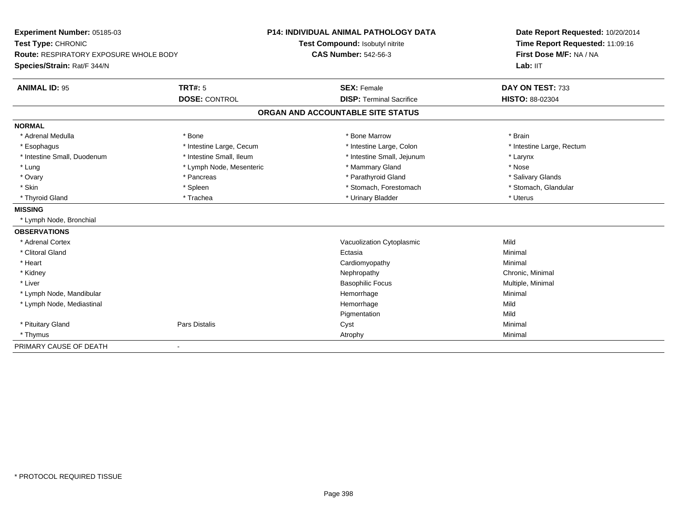| Experiment Number: 05185-03<br>Test Type: CHRONIC<br><b>Route: RESPIRATORY EXPOSURE WHOLE BODY</b> |                              | P14: INDIVIDUAL ANIMAL PATHOLOGY DATA | Date Report Requested: 10/20/2014<br>Time Report Requested: 11:09:16<br>First Dose M/F: NA / NA |
|----------------------------------------------------------------------------------------------------|------------------------------|---------------------------------------|-------------------------------------------------------------------------------------------------|
|                                                                                                    |                              | Test Compound: Isobutyl nitrite       |                                                                                                 |
|                                                                                                    |                              | <b>CAS Number: 542-56-3</b>           |                                                                                                 |
| Species/Strain: Rat/F 344/N                                                                        |                              |                                       | Lab: IIT                                                                                        |
| <b>ANIMAL ID: 95</b>                                                                               | <b>TRT#: 5</b>               | <b>SEX: Female</b>                    | DAY ON TEST: 733                                                                                |
|                                                                                                    | <b>DOSE: CONTROL</b>         | <b>DISP: Terminal Sacrifice</b>       | HISTO: 88-02304                                                                                 |
|                                                                                                    |                              | ORGAN AND ACCOUNTABLE SITE STATUS     |                                                                                                 |
| <b>NORMAL</b>                                                                                      |                              |                                       |                                                                                                 |
| * Adrenal Medulla                                                                                  | * Bone                       | * Bone Marrow                         | * Brain                                                                                         |
| * Esophagus                                                                                        | * Intestine Large, Cecum     | * Intestine Large, Colon              | * Intestine Large, Rectum                                                                       |
| * Intestine Small, Duodenum                                                                        | * Intestine Small, Ileum     | * Intestine Small, Jejunum            | * Larynx                                                                                        |
| * Lung                                                                                             | * Lymph Node, Mesenteric     | * Mammary Gland                       | * Nose                                                                                          |
| * Ovary                                                                                            | * Pancreas                   | * Parathyroid Gland                   | * Salivary Glands                                                                               |
| * Skin                                                                                             | * Spleen                     | * Stomach, Forestomach                | * Stomach, Glandular                                                                            |
| * Thyroid Gland                                                                                    | * Trachea                    | * Urinary Bladder                     | * Uterus                                                                                        |
| <b>MISSING</b>                                                                                     |                              |                                       |                                                                                                 |
| * Lymph Node, Bronchial                                                                            |                              |                                       |                                                                                                 |
| <b>OBSERVATIONS</b>                                                                                |                              |                                       |                                                                                                 |
| * Adrenal Cortex                                                                                   |                              | Vacuolization Cytoplasmic             | Mild                                                                                            |
| * Clitoral Gland                                                                                   |                              | Ectasia                               | Minimal                                                                                         |
| * Heart                                                                                            |                              | Cardiomyopathy                        | Minimal                                                                                         |
| * Kidney                                                                                           |                              | Nephropathy                           | Chronic, Minimal                                                                                |
| * Liver                                                                                            |                              | <b>Basophilic Focus</b>               | Multiple, Minimal                                                                               |
| * Lymph Node, Mandibular                                                                           |                              | Hemorrhage                            | Minimal                                                                                         |
| * Lymph Node, Mediastinal                                                                          |                              | Hemorrhage                            | Mild                                                                                            |
|                                                                                                    |                              | Pigmentation                          | Mild                                                                                            |
| * Pituitary Gland                                                                                  | Pars Distalis                | Cyst                                  | Minimal                                                                                         |
| * Thymus                                                                                           |                              | Atrophy                               | Minimal                                                                                         |
| PRIMARY CAUSE OF DEATH                                                                             | $\qquad \qquad \blacksquare$ |                                       |                                                                                                 |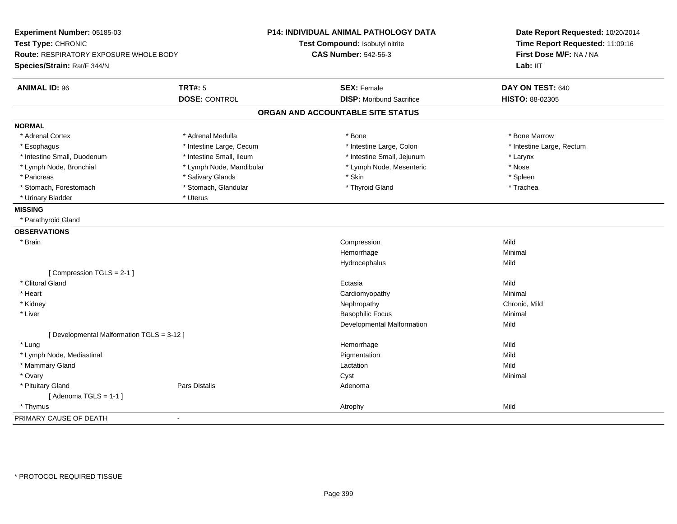| Experiment Number: 05185-03<br>Test Type: CHRONIC<br><b>Route: RESPIRATORY EXPOSURE WHOLE BODY</b><br>Species/Strain: Rat/F 344/N |                          | P14: INDIVIDUAL ANIMAL PATHOLOGY DATA<br>Test Compound: Isobutyl nitrite<br><b>CAS Number: 542-56-3</b> | Date Report Requested: 10/20/2014<br>Time Report Requested: 11:09:16<br>First Dose M/F: NA / NA<br>Lab: IIT |
|-----------------------------------------------------------------------------------------------------------------------------------|--------------------------|---------------------------------------------------------------------------------------------------------|-------------------------------------------------------------------------------------------------------------|
| <b>ANIMAL ID: 96</b>                                                                                                              | <b>TRT#: 5</b>           | <b>SEX: Female</b>                                                                                      | DAY ON TEST: 640                                                                                            |
|                                                                                                                                   | <b>DOSE: CONTROL</b>     | <b>DISP:</b> Moribund Sacrifice                                                                         | HISTO: 88-02305                                                                                             |
|                                                                                                                                   |                          | ORGAN AND ACCOUNTABLE SITE STATUS                                                                       |                                                                                                             |
| <b>NORMAL</b>                                                                                                                     |                          |                                                                                                         |                                                                                                             |
| * Adrenal Cortex                                                                                                                  | * Adrenal Medulla        | * Bone                                                                                                  | * Bone Marrow                                                                                               |
| * Esophagus                                                                                                                       | * Intestine Large, Cecum | * Intestine Large, Colon                                                                                | * Intestine Large, Rectum                                                                                   |
| * Intestine Small, Duodenum                                                                                                       | * Intestine Small, Ileum | * Intestine Small, Jejunum                                                                              | * Larynx                                                                                                    |
| * Lymph Node, Bronchial                                                                                                           | * Lymph Node, Mandibular | * Lymph Node, Mesenteric                                                                                | * Nose                                                                                                      |
| * Pancreas                                                                                                                        | * Salivary Glands        | * Skin                                                                                                  | * Spleen                                                                                                    |
| * Stomach, Forestomach                                                                                                            | * Stomach, Glandular     | * Thyroid Gland                                                                                         | * Trachea                                                                                                   |
| * Urinary Bladder                                                                                                                 | * Uterus                 |                                                                                                         |                                                                                                             |
| <b>MISSING</b>                                                                                                                    |                          |                                                                                                         |                                                                                                             |
| * Parathyroid Gland                                                                                                               |                          |                                                                                                         |                                                                                                             |
| <b>OBSERVATIONS</b>                                                                                                               |                          |                                                                                                         |                                                                                                             |
| * Brain                                                                                                                           |                          | Compression                                                                                             | Mild                                                                                                        |
|                                                                                                                                   |                          | Hemorrhage                                                                                              | Minimal                                                                                                     |
|                                                                                                                                   |                          | Hydrocephalus                                                                                           | Mild                                                                                                        |
| [Compression TGLS = 2-1]                                                                                                          |                          |                                                                                                         |                                                                                                             |
| * Clitoral Gland                                                                                                                  |                          | Ectasia                                                                                                 | Mild                                                                                                        |
| * Heart                                                                                                                           |                          | Cardiomyopathy                                                                                          | Minimal                                                                                                     |
| * Kidney                                                                                                                          |                          | Nephropathy                                                                                             | Chronic, Mild                                                                                               |
| * Liver                                                                                                                           |                          | <b>Basophilic Focus</b>                                                                                 | Minimal                                                                                                     |
|                                                                                                                                   |                          | Developmental Malformation                                                                              | Mild                                                                                                        |
| [ Developmental Malformation TGLS = 3-12 ]                                                                                        |                          |                                                                                                         |                                                                                                             |
| * Lung                                                                                                                            |                          | Hemorrhage                                                                                              | Mild                                                                                                        |
| * Lymph Node, Mediastinal                                                                                                         |                          | Pigmentation                                                                                            | Mild                                                                                                        |
| * Mammary Gland                                                                                                                   |                          | Lactation                                                                                               | Mild                                                                                                        |
| * Ovary                                                                                                                           |                          | Cyst                                                                                                    | Minimal                                                                                                     |
| * Pituitary Gland                                                                                                                 | <b>Pars Distalis</b>     | Adenoma                                                                                                 |                                                                                                             |
| [Adenoma TGLS = $1-1$ ]                                                                                                           |                          |                                                                                                         |                                                                                                             |
| * Thymus                                                                                                                          |                          | Atrophy                                                                                                 | Mild                                                                                                        |
| PRIMARY CAUSE OF DEATH                                                                                                            | $\blacksquare$           |                                                                                                         |                                                                                                             |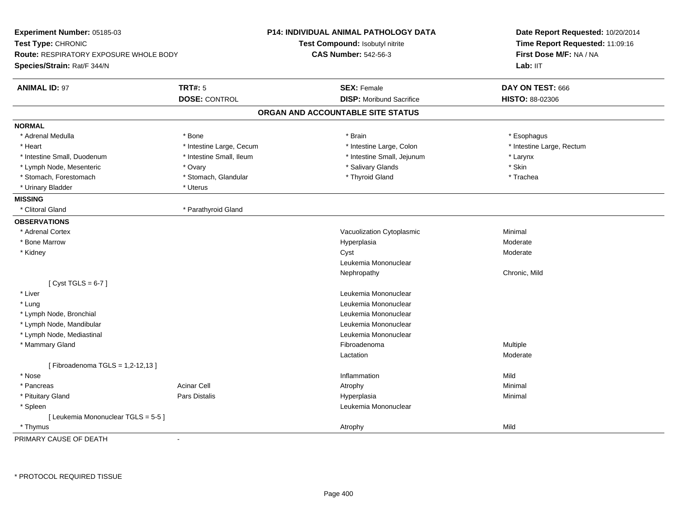| Experiment Number: 05185-03<br>Test Type: CHRONIC<br><b>Route: RESPIRATORY EXPOSURE WHOLE BODY</b><br>Species/Strain: Rat/F 344/N |                          | <b>P14: INDIVIDUAL ANIMAL PATHOLOGY DATA</b><br>Test Compound: Isobutyl nitrite<br><b>CAS Number: 542-56-3</b> | Date Report Requested: 10/20/2014<br>Time Report Requested: 11:09:16<br>First Dose M/F: NA / NA<br>Lab: IIT |
|-----------------------------------------------------------------------------------------------------------------------------------|--------------------------|----------------------------------------------------------------------------------------------------------------|-------------------------------------------------------------------------------------------------------------|
| <b>ANIMAL ID: 97</b>                                                                                                              | <b>TRT#: 5</b>           | <b>SEX: Female</b>                                                                                             | DAY ON TEST: 666                                                                                            |
|                                                                                                                                   | <b>DOSE: CONTROL</b>     | <b>DISP:</b> Moribund Sacrifice                                                                                | <b>HISTO: 88-02306</b>                                                                                      |
|                                                                                                                                   |                          | ORGAN AND ACCOUNTABLE SITE STATUS                                                                              |                                                                                                             |
| <b>NORMAL</b>                                                                                                                     |                          |                                                                                                                |                                                                                                             |
| * Adrenal Medulla                                                                                                                 | * Bone                   | * Brain                                                                                                        | * Esophagus                                                                                                 |
| * Heart                                                                                                                           | * Intestine Large, Cecum | * Intestine Large, Colon                                                                                       | * Intestine Large, Rectum                                                                                   |
| * Intestine Small, Duodenum                                                                                                       | * Intestine Small, Ileum | * Intestine Small, Jejunum                                                                                     | * Larynx                                                                                                    |
| * Lymph Node, Mesenteric                                                                                                          | * Ovary                  | * Salivary Glands                                                                                              | * Skin                                                                                                      |
| * Stomach, Forestomach                                                                                                            | * Stomach, Glandular     | * Thyroid Gland                                                                                                | * Trachea                                                                                                   |
| * Urinary Bladder                                                                                                                 | * Uterus                 |                                                                                                                |                                                                                                             |
| <b>MISSING</b>                                                                                                                    |                          |                                                                                                                |                                                                                                             |
| * Clitoral Gland                                                                                                                  | * Parathyroid Gland      |                                                                                                                |                                                                                                             |
| <b>OBSERVATIONS</b>                                                                                                               |                          |                                                                                                                |                                                                                                             |
| * Adrenal Cortex                                                                                                                  |                          | Vacuolization Cytoplasmic                                                                                      | Minimal                                                                                                     |
| * Bone Marrow                                                                                                                     |                          | Hyperplasia                                                                                                    | Moderate                                                                                                    |
| * Kidney                                                                                                                          |                          | Cyst                                                                                                           | Moderate                                                                                                    |
|                                                                                                                                   |                          | Leukemia Mononuclear                                                                                           |                                                                                                             |
|                                                                                                                                   |                          | Nephropathy                                                                                                    | Chronic, Mild                                                                                               |
| [Cyst TGLS = $6-7$ ]                                                                                                              |                          |                                                                                                                |                                                                                                             |
| * Liver                                                                                                                           |                          | Leukemia Mononuclear                                                                                           |                                                                                                             |
| * Lung                                                                                                                            |                          | Leukemia Mononuclear                                                                                           |                                                                                                             |
| * Lymph Node, Bronchial                                                                                                           |                          | Leukemia Mononuclear                                                                                           |                                                                                                             |
| * Lymph Node, Mandibular                                                                                                          |                          | Leukemia Mononuclear                                                                                           |                                                                                                             |
| * Lymph Node, Mediastinal                                                                                                         |                          | Leukemia Mononuclear                                                                                           |                                                                                                             |
| * Mammary Gland                                                                                                                   |                          | Fibroadenoma                                                                                                   | Multiple                                                                                                    |
|                                                                                                                                   |                          | Lactation                                                                                                      | Moderate                                                                                                    |
| [Fibroadenoma TGLS = 1,2-12,13]                                                                                                   |                          |                                                                                                                |                                                                                                             |
| * Nose                                                                                                                            |                          | Inflammation                                                                                                   | Mild                                                                                                        |
| * Pancreas                                                                                                                        | <b>Acinar Cell</b>       | Atrophy                                                                                                        | Minimal                                                                                                     |
| * Pituitary Gland                                                                                                                 | Pars Distalis            | Hyperplasia                                                                                                    | Minimal                                                                                                     |
| * Spleen                                                                                                                          |                          | Leukemia Mononuclear                                                                                           |                                                                                                             |
| [Leukemia Mononuclear TGLS = 5-5]                                                                                                 |                          |                                                                                                                |                                                                                                             |
| * Thymus                                                                                                                          |                          | Atrophy                                                                                                        | Mild                                                                                                        |

PRIMARY CAUSE OF DEATH-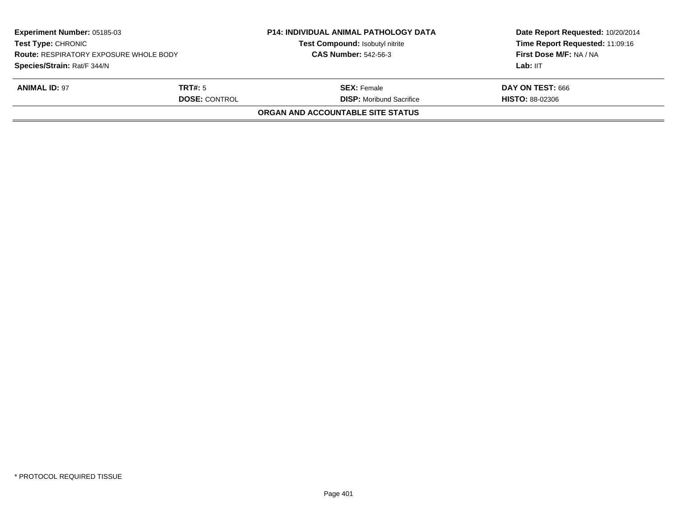| Experiment Number: 05185-03<br><b>Test Type: CHRONIC</b><br><b>Route: RESPIRATORY EXPOSURE WHOLE BODY</b><br>Species/Strain: Rat/F 344/N |  | <b>P14: INDIVIDUAL ANIMAL PATHOLOGY DATA</b><br>Test Compound: Isobutyl nitrite<br><b>CAS Number: 542-56-3</b> | Date Report Requested: 10/20/2014<br>Time Report Requested: 11:09:16<br>First Dose M/F: NA / NA<br>Lab: IIT |
|------------------------------------------------------------------------------------------------------------------------------------------|--|----------------------------------------------------------------------------------------------------------------|-------------------------------------------------------------------------------------------------------------|
| <b>ANIMAL ID: 97</b><br>TRT#: 5<br><b>DOSE: CONTROL</b>                                                                                  |  | <b>SEX:</b> Female<br><b>DISP:</b> Moribund Sacrifice                                                          | DAY ON TEST: 666<br><b>HISTO: 88-02306</b>                                                                  |
|                                                                                                                                          |  | ORGAN AND ACCOUNTABLE SITE STATUS                                                                              |                                                                                                             |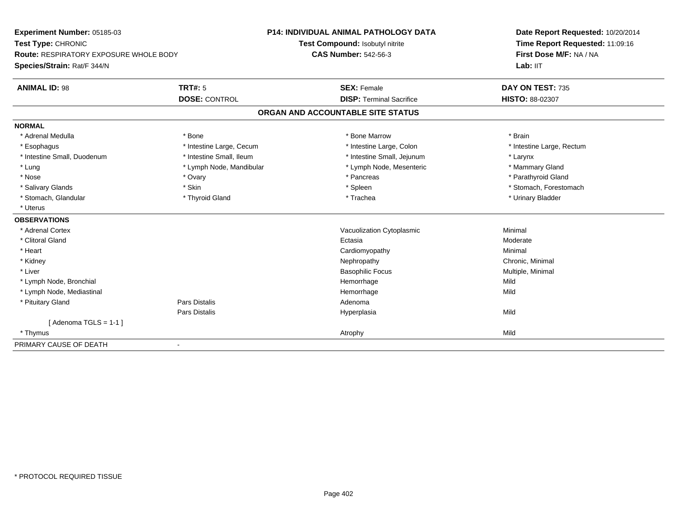| Experiment Number: 05185-03                   |                          | <b>P14: INDIVIDUAL ANIMAL PATHOLOGY DATA</b> | Date Report Requested: 10/20/2014 |  |
|-----------------------------------------------|--------------------------|----------------------------------------------|-----------------------------------|--|
| Test Type: CHRONIC                            |                          | Test Compound: Isobutyl nitrite              | Time Report Requested: 11:09:16   |  |
| <b>Route: RESPIRATORY EXPOSURE WHOLE BODY</b> |                          | <b>CAS Number: 542-56-3</b>                  | First Dose M/F: NA / NA           |  |
| Species/Strain: Rat/F 344/N                   |                          |                                              | Lab: IIT                          |  |
| <b>ANIMAL ID: 98</b>                          | TRT#: 5                  | <b>SEX: Female</b>                           | DAY ON TEST: 735                  |  |
|                                               | <b>DOSE: CONTROL</b>     | <b>DISP: Terminal Sacrifice</b>              | HISTO: 88-02307                   |  |
|                                               |                          | ORGAN AND ACCOUNTABLE SITE STATUS            |                                   |  |
| <b>NORMAL</b>                                 |                          |                                              |                                   |  |
| * Adrenal Medulla                             | * Bone                   | * Bone Marrow                                | * Brain                           |  |
| * Esophagus                                   | * Intestine Large, Cecum | * Intestine Large, Colon                     | * Intestine Large, Rectum         |  |
| * Intestine Small, Duodenum                   | * Intestine Small, Ileum | * Intestine Small, Jejunum                   | * Larynx                          |  |
| * Lung                                        | * Lymph Node, Mandibular | * Lymph Node, Mesenteric                     | * Mammary Gland                   |  |
| * Nose                                        | * Ovary                  | * Pancreas                                   | * Parathyroid Gland               |  |
| * Salivary Glands                             | * Skin                   | * Spleen                                     | * Stomach, Forestomach            |  |
| * Stomach, Glandular                          | * Thyroid Gland          | * Trachea                                    | * Urinary Bladder                 |  |
| * Uterus                                      |                          |                                              |                                   |  |
| <b>OBSERVATIONS</b>                           |                          |                                              |                                   |  |
| * Adrenal Cortex                              |                          | Vacuolization Cytoplasmic                    | Minimal                           |  |
| * Clitoral Gland                              |                          | Ectasia                                      | Moderate                          |  |
| * Heart                                       |                          | Cardiomyopathy                               | Minimal                           |  |
| * Kidney                                      |                          | Nephropathy                                  | Chronic, Minimal                  |  |
| * Liver                                       |                          | <b>Basophilic Focus</b>                      | Multiple, Minimal                 |  |
| * Lymph Node, Bronchial                       |                          | Hemorrhage                                   | Mild                              |  |
| * Lymph Node, Mediastinal                     |                          | Hemorrhage                                   | Mild                              |  |
| * Pituitary Gland                             | <b>Pars Distalis</b>     | Adenoma                                      |                                   |  |
|                                               | Pars Distalis            | Hyperplasia                                  | Mild                              |  |
| [Adenoma TGLS = $1-1$ ]                       |                          |                                              |                                   |  |
| * Thymus                                      |                          | Atrophy                                      | Mild                              |  |
| PRIMARY CAUSE OF DEATH                        | $\blacksquare$           |                                              |                                   |  |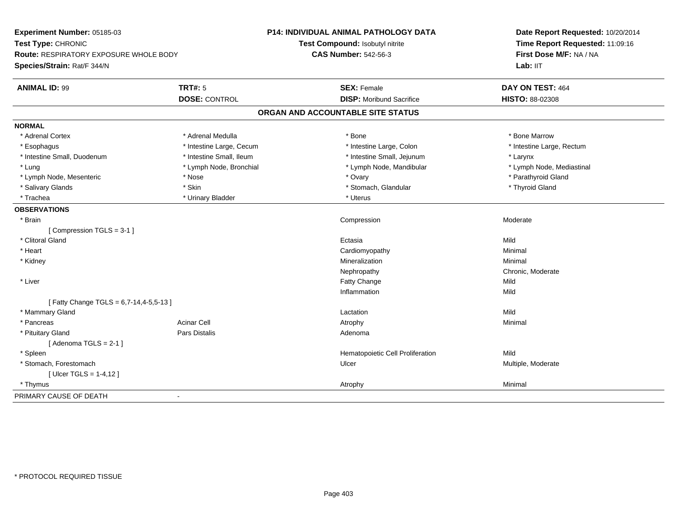| Experiment Number: 05185-03            |                          | P14: INDIVIDUAL ANIMAL PATHOLOGY DATA | Date Report Requested: 10/20/2014<br>Time Report Requested: 11:09:16 |
|----------------------------------------|--------------------------|---------------------------------------|----------------------------------------------------------------------|
| Test Type: CHRONIC                     |                          | Test Compound: Isobutyl nitrite       |                                                                      |
| Route: RESPIRATORY EXPOSURE WHOLE BODY |                          | <b>CAS Number: 542-56-3</b>           | First Dose M/F: NA / NA                                              |
| Species/Strain: Rat/F 344/N            |                          |                                       | Lab: IIT                                                             |
| <b>ANIMAL ID: 99</b>                   | <b>TRT#: 5</b>           | <b>SEX: Female</b>                    | DAY ON TEST: 464                                                     |
|                                        | <b>DOSE: CONTROL</b>     | <b>DISP:</b> Moribund Sacrifice       | HISTO: 88-02308                                                      |
|                                        |                          | ORGAN AND ACCOUNTABLE SITE STATUS     |                                                                      |
| <b>NORMAL</b>                          |                          |                                       |                                                                      |
| * Adrenal Cortex                       | * Adrenal Medulla        | * Bone                                | * Bone Marrow                                                        |
| * Esophagus                            | * Intestine Large, Cecum | * Intestine Large, Colon              | * Intestine Large, Rectum                                            |
| * Intestine Small, Duodenum            | * Intestine Small, Ileum | * Intestine Small, Jejunum            | * Larynx                                                             |
| * Lung                                 | * Lymph Node, Bronchial  | * Lymph Node, Mandibular              | * Lymph Node, Mediastinal                                            |
| * Lymph Node, Mesenteric               | * Nose                   | * Ovary                               | * Parathyroid Gland                                                  |
| * Salivary Glands                      | * Skin                   | * Stomach, Glandular                  | * Thyroid Gland                                                      |
| * Trachea                              | * Urinary Bladder        | * Uterus                              |                                                                      |
| <b>OBSERVATIONS</b>                    |                          |                                       |                                                                      |
| * Brain                                |                          | Compression                           | Moderate                                                             |
| [Compression TGLS = 3-1]               |                          |                                       |                                                                      |
| * Clitoral Gland                       |                          | Ectasia                               | Mild                                                                 |
| * Heart                                |                          | Cardiomyopathy                        | Minimal                                                              |
| * Kidney                               |                          | Mineralization                        | Minimal                                                              |
|                                        |                          | Nephropathy                           | Chronic, Moderate                                                    |
| * Liver                                |                          | Fatty Change                          | Mild                                                                 |
|                                        |                          | Inflammation                          | Mild                                                                 |
| [Fatty Change TGLS = 6,7-14,4-5,5-13]  |                          |                                       |                                                                      |
| * Mammary Gland                        |                          | Lactation                             | Mild                                                                 |
| * Pancreas                             | <b>Acinar Cell</b>       | Atrophy                               | Minimal                                                              |
| * Pituitary Gland                      | Pars Distalis            | Adenoma                               |                                                                      |
| [Adenoma TGLS = $2-1$ ]                |                          |                                       |                                                                      |
| * Spleen                               |                          | Hematopoietic Cell Proliferation      | Mild                                                                 |
| * Stomach, Forestomach                 |                          | Ulcer                                 | Multiple, Moderate                                                   |
| [ $Uicer TGLS = 1-4,12$ ]              |                          |                                       |                                                                      |
| * Thymus                               |                          | Atrophy                               | Minimal                                                              |
| PRIMARY CAUSE OF DEATH                 | $\blacksquare$           |                                       |                                                                      |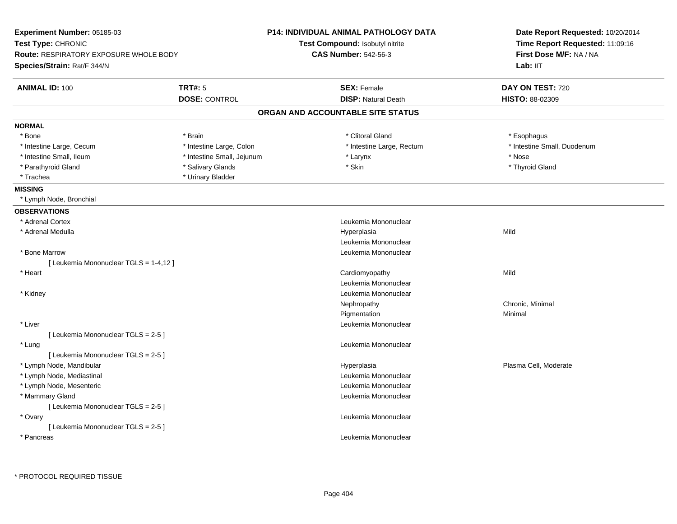| <b>Experiment Number: 05185-03</b>            |                            | <b>P14: INDIVIDUAL ANIMAL PATHOLOGY DATA</b> | Date Report Requested: 10/20/2014                          |  |
|-----------------------------------------------|----------------------------|----------------------------------------------|------------------------------------------------------------|--|
| Test Type: CHRONIC                            |                            | <b>Test Compound: Isobutyl nitrite</b>       | Time Report Requested: 11:09:16<br>First Dose M/F: NA / NA |  |
| <b>Route: RESPIRATORY EXPOSURE WHOLE BODY</b> |                            | <b>CAS Number: 542-56-3</b>                  |                                                            |  |
| Species/Strain: Rat/F 344/N                   |                            |                                              | Lab: IIT                                                   |  |
| <b>ANIMAL ID: 100</b>                         | <b>TRT#: 5</b>             | <b>SEX: Female</b>                           | DAY ON TEST: 720                                           |  |
|                                               | <b>DOSE: CONTROL</b>       | <b>DISP: Natural Death</b>                   | HISTO: 88-02309                                            |  |
|                                               |                            | ORGAN AND ACCOUNTABLE SITE STATUS            |                                                            |  |
| <b>NORMAL</b>                                 |                            |                                              |                                                            |  |
| * Bone                                        | * Brain                    | * Clitoral Gland                             | * Esophagus                                                |  |
| * Intestine Large, Cecum                      | * Intestine Large, Colon   | * Intestine Large, Rectum                    | * Intestine Small, Duodenum                                |  |
| * Intestine Small, Ileum                      | * Intestine Small, Jejunum | * Larynx                                     | * Nose                                                     |  |
| * Parathyroid Gland                           | * Salivary Glands          | * Skin                                       | * Thyroid Gland                                            |  |
| * Trachea                                     | * Urinary Bladder          |                                              |                                                            |  |
| <b>MISSING</b>                                |                            |                                              |                                                            |  |
| * Lymph Node, Bronchial                       |                            |                                              |                                                            |  |
| <b>OBSERVATIONS</b>                           |                            |                                              |                                                            |  |
| * Adrenal Cortex                              |                            | Leukemia Mononuclear                         |                                                            |  |
| * Adrenal Medulla                             |                            | Hyperplasia                                  | Mild                                                       |  |
|                                               |                            | Leukemia Mononuclear                         |                                                            |  |
| * Bone Marrow                                 |                            | Leukemia Mononuclear                         |                                                            |  |
| [ Leukemia Mononuclear TGLS = 1-4,12 ]        |                            |                                              |                                                            |  |
| * Heart                                       |                            | Cardiomyopathy                               | Mild                                                       |  |
|                                               |                            | Leukemia Mononuclear                         |                                                            |  |
| * Kidney                                      |                            | Leukemia Mononuclear                         |                                                            |  |
|                                               |                            | Nephropathy                                  | Chronic, Minimal                                           |  |
|                                               |                            | Pigmentation                                 | Minimal                                                    |  |
| * Liver                                       |                            | Leukemia Mononuclear                         |                                                            |  |
| [ Leukemia Mononuclear TGLS = 2-5 ]           |                            |                                              |                                                            |  |
| * Lung                                        |                            | Leukemia Mononuclear                         |                                                            |  |
| [ Leukemia Mononuclear TGLS = 2-5 ]           |                            |                                              |                                                            |  |
| * Lymph Node, Mandibular                      |                            | Hyperplasia                                  | Plasma Cell, Moderate                                      |  |
| * Lymph Node, Mediastinal                     |                            | Leukemia Mononuclear                         |                                                            |  |
| * Lymph Node, Mesenteric                      |                            | Leukemia Mononuclear                         |                                                            |  |
| * Mammary Gland                               |                            | Leukemia Mononuclear                         |                                                            |  |
| [ Leukemia Mononuclear TGLS = 2-5 ]           |                            |                                              |                                                            |  |
| * Ovary                                       |                            | Leukemia Mononuclear                         |                                                            |  |
| [ Leukemia Mononuclear TGLS = 2-5 ]           |                            |                                              |                                                            |  |
| * Pancreas                                    |                            | Leukemia Mononuclear                         |                                                            |  |
|                                               |                            |                                              |                                                            |  |
|                                               |                            |                                              |                                                            |  |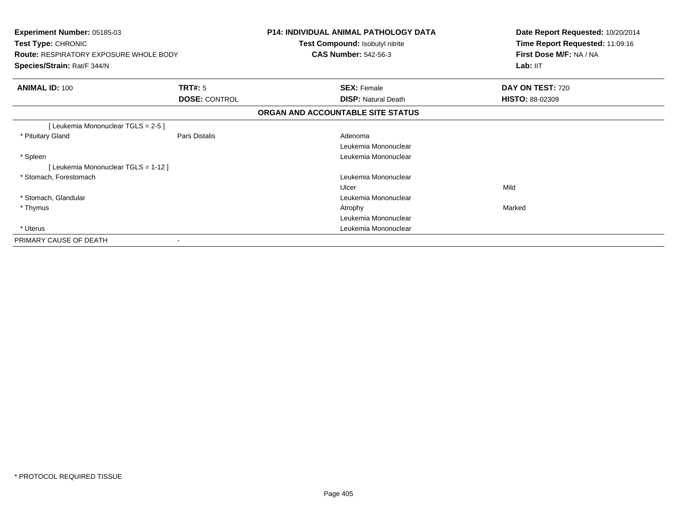| Experiment Number: 05185-03<br>Test Type: CHRONIC<br><b>Route: RESPIRATORY EXPOSURE WHOLE BODY</b><br>Species/Strain: Rat/F 344/N |                      | <b>P14: INDIVIDUAL ANIMAL PATHOLOGY DATA</b><br>Test Compound: Isobutyl nitrite<br><b>CAS Number: 542-56-3</b> | Date Report Requested: 10/20/2014<br>Time Report Requested: 11:09:16<br>First Dose M/F: NA / NA<br>Lab: IIT |
|-----------------------------------------------------------------------------------------------------------------------------------|----------------------|----------------------------------------------------------------------------------------------------------------|-------------------------------------------------------------------------------------------------------------|
| <b>ANIMAL ID: 100</b>                                                                                                             | <b>TRT#: 5</b>       | <b>SEX: Female</b>                                                                                             | <b>DAY ON TEST: 720</b>                                                                                     |
|                                                                                                                                   | <b>DOSE: CONTROL</b> | <b>DISP: Natural Death</b>                                                                                     | <b>HISTO: 88-02309</b>                                                                                      |
|                                                                                                                                   |                      | ORGAN AND ACCOUNTABLE SITE STATUS                                                                              |                                                                                                             |
| [Leukemia Mononuclear TGLS = 2-5]                                                                                                 |                      |                                                                                                                |                                                                                                             |
| * Pituitary Gland                                                                                                                 | Pars Distalis        | Adenoma                                                                                                        |                                                                                                             |
|                                                                                                                                   |                      | Leukemia Mononuclear                                                                                           |                                                                                                             |
| * Spleen                                                                                                                          |                      | Leukemia Mononuclear                                                                                           |                                                                                                             |
| [Leukemia Mononuclear TGLS = 1-12]                                                                                                |                      |                                                                                                                |                                                                                                             |
| * Stomach, Forestomach                                                                                                            |                      | Leukemia Mononuclear                                                                                           |                                                                                                             |
|                                                                                                                                   |                      | Ulcer                                                                                                          | Mild                                                                                                        |
| * Stomach, Glandular                                                                                                              |                      | Leukemia Mononuclear                                                                                           |                                                                                                             |
| * Thymus                                                                                                                          |                      | Atrophy                                                                                                        | Marked                                                                                                      |
|                                                                                                                                   |                      | Leukemia Mononuclear                                                                                           |                                                                                                             |
| * Uterus                                                                                                                          |                      | Leukemia Mononuclear                                                                                           |                                                                                                             |
| PRIMARY CAUSE OF DEATH                                                                                                            |                      |                                                                                                                |                                                                                                             |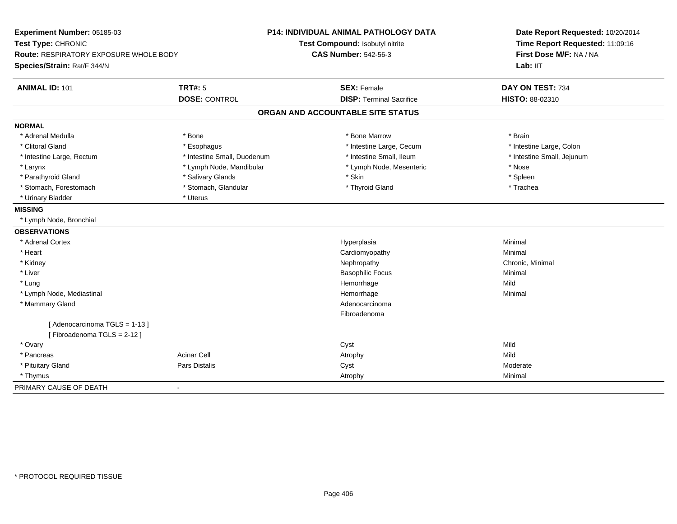| Experiment Number: 05185-03<br>Test Type: CHRONIC<br>Route: RESPIRATORY EXPOSURE WHOLE BODY<br>Species/Strain: Rat/F 344/N |                             | P14: INDIVIDUAL ANIMAL PATHOLOGY DATA<br>Test Compound: Isobutyl nitrite<br><b>CAS Number: 542-56-3</b> | Date Report Requested: 10/20/2014<br>Time Report Requested: 11:09:16<br>First Dose M/F: NA / NA<br>Lab: IIT |
|----------------------------------------------------------------------------------------------------------------------------|-----------------------------|---------------------------------------------------------------------------------------------------------|-------------------------------------------------------------------------------------------------------------|
| <b>ANIMAL ID: 101</b>                                                                                                      | <b>TRT#: 5</b>              | <b>SEX: Female</b>                                                                                      | DAY ON TEST: 734                                                                                            |
|                                                                                                                            | <b>DOSE: CONTROL</b>        | <b>DISP: Terminal Sacrifice</b>                                                                         | HISTO: 88-02310                                                                                             |
|                                                                                                                            |                             | ORGAN AND ACCOUNTABLE SITE STATUS                                                                       |                                                                                                             |
| <b>NORMAL</b>                                                                                                              |                             |                                                                                                         |                                                                                                             |
| * Adrenal Medulla                                                                                                          | * Bone                      | * Bone Marrow                                                                                           | * Brain                                                                                                     |
| * Clitoral Gland                                                                                                           | * Esophagus                 | * Intestine Large, Cecum                                                                                | * Intestine Large, Colon                                                                                    |
| * Intestine Large, Rectum                                                                                                  | * Intestine Small, Duodenum | * Intestine Small, Ileum                                                                                | * Intestine Small, Jejunum                                                                                  |
| * Larynx                                                                                                                   | * Lymph Node, Mandibular    | * Lymph Node, Mesenteric                                                                                | * Nose                                                                                                      |
| * Parathyroid Gland                                                                                                        | * Salivary Glands           | * Skin                                                                                                  | * Spleen                                                                                                    |
| * Stomach, Forestomach                                                                                                     | * Stomach, Glandular        | * Thyroid Gland                                                                                         | * Trachea                                                                                                   |
| * Urinary Bladder                                                                                                          | * Uterus                    |                                                                                                         |                                                                                                             |
| <b>MISSING</b>                                                                                                             |                             |                                                                                                         |                                                                                                             |
| * Lymph Node, Bronchial                                                                                                    |                             |                                                                                                         |                                                                                                             |
| <b>OBSERVATIONS</b>                                                                                                        |                             |                                                                                                         |                                                                                                             |
| * Adrenal Cortex                                                                                                           |                             | Hyperplasia                                                                                             | Minimal                                                                                                     |
| * Heart                                                                                                                    |                             | Cardiomyopathy                                                                                          | Minimal                                                                                                     |
| * Kidney                                                                                                                   |                             | Nephropathy                                                                                             | Chronic, Minimal                                                                                            |
| * Liver                                                                                                                    |                             | <b>Basophilic Focus</b>                                                                                 | Minimal                                                                                                     |
| * Lung                                                                                                                     |                             | Hemorrhage                                                                                              | Mild                                                                                                        |
| * Lymph Node, Mediastinal                                                                                                  |                             | Hemorrhage                                                                                              | Minimal                                                                                                     |
| * Mammary Gland                                                                                                            |                             | Adenocarcinoma                                                                                          |                                                                                                             |
|                                                                                                                            |                             | Fibroadenoma                                                                                            |                                                                                                             |
| [Adenocarcinoma TGLS = 1-13]<br>[Fibroadenoma TGLS = 2-12]                                                                 |                             |                                                                                                         |                                                                                                             |
| * Ovary                                                                                                                    |                             | Cyst                                                                                                    | Mild                                                                                                        |
| * Pancreas                                                                                                                 | <b>Acinar Cell</b>          | Atrophy                                                                                                 | Mild                                                                                                        |
| * Pituitary Gland                                                                                                          | Pars Distalis               | Cyst                                                                                                    | Moderate                                                                                                    |
| * Thymus                                                                                                                   |                             | Atrophy                                                                                                 | Minimal                                                                                                     |
| PRIMARY CAUSE OF DEATH                                                                                                     | $\blacksquare$              |                                                                                                         |                                                                                                             |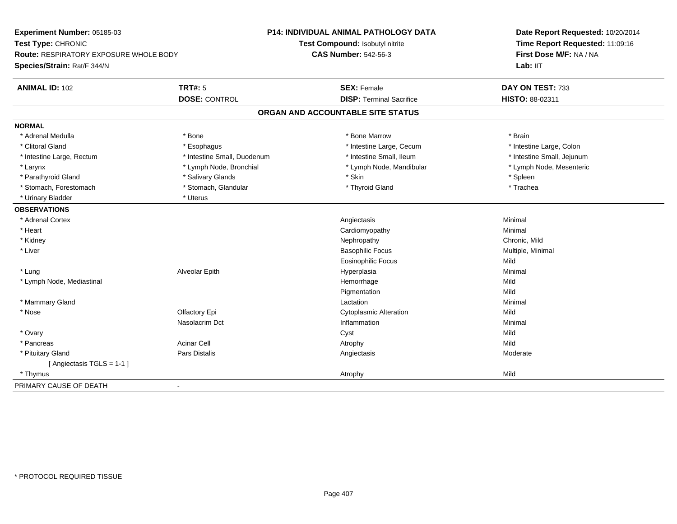| Experiment Number: 05185-03                   |                             | <b>P14: INDIVIDUAL ANIMAL PATHOLOGY DATA</b> | Date Report Requested: 10/20/2014<br>Time Report Requested: 11:09:16 |  |
|-----------------------------------------------|-----------------------------|----------------------------------------------|----------------------------------------------------------------------|--|
| Test Type: CHRONIC                            |                             | Test Compound: Isobutyl nitrite              |                                                                      |  |
| <b>Route: RESPIRATORY EXPOSURE WHOLE BODY</b> |                             | <b>CAS Number: 542-56-3</b>                  | First Dose M/F: NA / NA                                              |  |
| Species/Strain: Rat/F 344/N                   |                             |                                              | Lab: IIT                                                             |  |
| <b>ANIMAL ID: 102</b>                         | <b>TRT#: 5</b>              | <b>SEX: Female</b>                           | DAY ON TEST: 733                                                     |  |
|                                               | <b>DOSE: CONTROL</b>        | <b>DISP: Terminal Sacrifice</b>              | HISTO: 88-02311                                                      |  |
|                                               |                             | ORGAN AND ACCOUNTABLE SITE STATUS            |                                                                      |  |
| <b>NORMAL</b>                                 |                             |                                              |                                                                      |  |
| * Adrenal Medulla                             | * Bone                      | * Bone Marrow                                | * Brain                                                              |  |
| * Clitoral Gland                              | * Esophagus                 | * Intestine Large, Cecum                     | * Intestine Large, Colon                                             |  |
| * Intestine Large, Rectum                     | * Intestine Small, Duodenum | * Intestine Small, Ileum                     | * Intestine Small, Jejunum                                           |  |
| * Larynx                                      | * Lymph Node, Bronchial     | * Lymph Node, Mandibular                     | * Lymph Node, Mesenteric                                             |  |
| * Parathyroid Gland                           | * Salivary Glands           | * Skin                                       | * Spleen                                                             |  |
| * Stomach, Forestomach                        | * Stomach, Glandular        | * Thyroid Gland                              | * Trachea                                                            |  |
| * Urinary Bladder                             | * Uterus                    |                                              |                                                                      |  |
| <b>OBSERVATIONS</b>                           |                             |                                              |                                                                      |  |
| * Adrenal Cortex                              |                             | Angiectasis                                  | Minimal                                                              |  |
| * Heart                                       |                             | Cardiomyopathy                               | Minimal                                                              |  |
| * Kidney                                      |                             | Nephropathy                                  | Chronic, Mild                                                        |  |
| * Liver                                       |                             | <b>Basophilic Focus</b>                      | Multiple, Minimal                                                    |  |
|                                               |                             | <b>Eosinophilic Focus</b>                    | Mild                                                                 |  |
| * Lung                                        | Alveolar Epith              | Hyperplasia                                  | Minimal                                                              |  |
| * Lymph Node, Mediastinal                     |                             | Hemorrhage                                   | Mild                                                                 |  |
|                                               |                             | Pigmentation                                 | Mild                                                                 |  |
| * Mammary Gland                               |                             | Lactation                                    | Minimal                                                              |  |
| $*$ Nose                                      | Olfactory Epi               | <b>Cytoplasmic Alteration</b>                | Mild                                                                 |  |
|                                               | Nasolacrim Dct              | Inflammation                                 | Minimal                                                              |  |
| * Ovary                                       |                             | Cyst                                         | Mild                                                                 |  |
| * Pancreas                                    | <b>Acinar Cell</b>          | Atrophy                                      | Mild                                                                 |  |
| * Pituitary Gland                             | Pars Distalis               | Angiectasis                                  | Moderate                                                             |  |
| [Angiectasis TGLS = 1-1]                      |                             |                                              |                                                                      |  |
| * Thymus                                      |                             | Atrophy                                      | Mild                                                                 |  |
| PRIMARY CAUSE OF DEATH                        | $\blacksquare$              |                                              |                                                                      |  |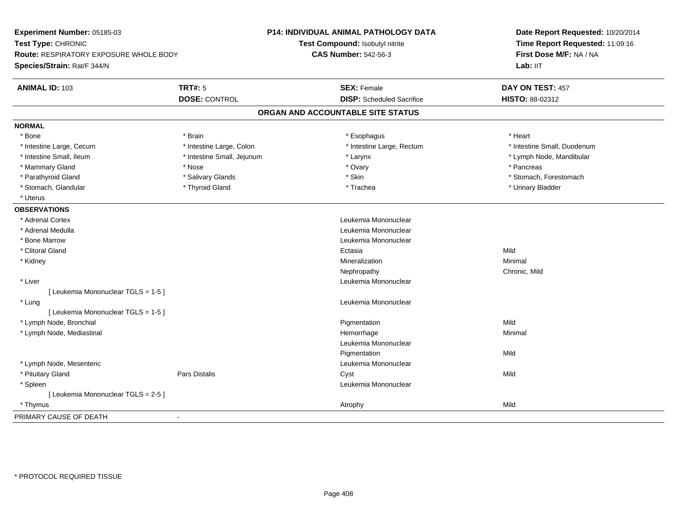| Experiment Number: 05185-03<br>Test Type: CHRONIC<br>Route: RESPIRATORY EXPOSURE WHOLE BODY |                            | P14: INDIVIDUAL ANIMAL PATHOLOGY DATA<br>Test Compound: Isobutyl nitrite<br><b>CAS Number: 542-56-3</b> | Date Report Requested: 10/20/2014<br>Time Report Requested: 11:09:16<br>First Dose M/F: NA / NA |
|---------------------------------------------------------------------------------------------|----------------------------|---------------------------------------------------------------------------------------------------------|-------------------------------------------------------------------------------------------------|
| Species/Strain: Rat/F 344/N                                                                 |                            |                                                                                                         | Lab: IIT                                                                                        |
| <b>ANIMAL ID: 103</b>                                                                       | <b>TRT#: 5</b>             | <b>SEX: Female</b>                                                                                      | DAY ON TEST: 457                                                                                |
|                                                                                             | <b>DOSE: CONTROL</b>       | <b>DISP:</b> Scheduled Sacrifice                                                                        | HISTO: 88-02312                                                                                 |
|                                                                                             |                            | ORGAN AND ACCOUNTABLE SITE STATUS                                                                       |                                                                                                 |
| <b>NORMAL</b>                                                                               |                            |                                                                                                         |                                                                                                 |
| * Bone                                                                                      | * Brain                    | * Esophagus                                                                                             | * Heart                                                                                         |
| * Intestine Large, Cecum                                                                    | * Intestine Large, Colon   | * Intestine Large, Rectum                                                                               | * Intestine Small, Duodenum                                                                     |
| * Intestine Small, Ileum                                                                    | * Intestine Small, Jejunum | * Larynx                                                                                                | * Lymph Node, Mandibular                                                                        |
| * Mammary Gland                                                                             | * Nose                     | * Ovary                                                                                                 | * Pancreas                                                                                      |
| * Parathyroid Gland                                                                         | * Salivary Glands          | * Skin                                                                                                  | * Stomach, Forestomach                                                                          |
| * Stomach, Glandular                                                                        | * Thyroid Gland            | * Trachea                                                                                               | * Urinary Bladder                                                                               |
| * Uterus                                                                                    |                            |                                                                                                         |                                                                                                 |
| <b>OBSERVATIONS</b>                                                                         |                            |                                                                                                         |                                                                                                 |
| * Adrenal Cortex                                                                            |                            | Leukemia Mononuclear                                                                                    |                                                                                                 |
| * Adrenal Medulla                                                                           |                            | Leukemia Mononuclear                                                                                    |                                                                                                 |
| * Bone Marrow                                                                               |                            | Leukemia Mononuclear                                                                                    |                                                                                                 |
| * Clitoral Gland                                                                            |                            | Ectasia                                                                                                 | Mild                                                                                            |
| * Kidney                                                                                    |                            | Mineralization                                                                                          | Minimal                                                                                         |
|                                                                                             |                            | Nephropathy                                                                                             | Chronic, Mild                                                                                   |
| * Liver                                                                                     |                            | Leukemia Mononuclear                                                                                    |                                                                                                 |
| [ Leukemia Mononuclear TGLS = 1-5 ]                                                         |                            |                                                                                                         |                                                                                                 |
| * Lung                                                                                      |                            | Leukemia Mononuclear                                                                                    |                                                                                                 |
| [ Leukemia Mononuclear TGLS = 1-5 ]                                                         |                            |                                                                                                         |                                                                                                 |
| * Lymph Node, Bronchial                                                                     |                            | Pigmentation                                                                                            | Mild                                                                                            |
| * Lymph Node, Mediastinal                                                                   |                            | Hemorrhage                                                                                              | Minimal                                                                                         |
|                                                                                             |                            | Leukemia Mononuclear                                                                                    |                                                                                                 |
|                                                                                             |                            | Pigmentation                                                                                            | Mild                                                                                            |
| * Lymph Node, Mesenteric                                                                    |                            | Leukemia Mononuclear                                                                                    |                                                                                                 |
| * Pituitary Gland                                                                           | Pars Distalis              | Cyst                                                                                                    | Mild                                                                                            |
| * Spleen                                                                                    |                            | Leukemia Mononuclear                                                                                    |                                                                                                 |
| [ Leukemia Mononuclear TGLS = 2-5 ]                                                         |                            |                                                                                                         |                                                                                                 |
| * Thymus                                                                                    |                            | Atrophy                                                                                                 | Mild                                                                                            |
| PRIMARY CAUSE OF DEATH                                                                      | $\blacksquare$             |                                                                                                         |                                                                                                 |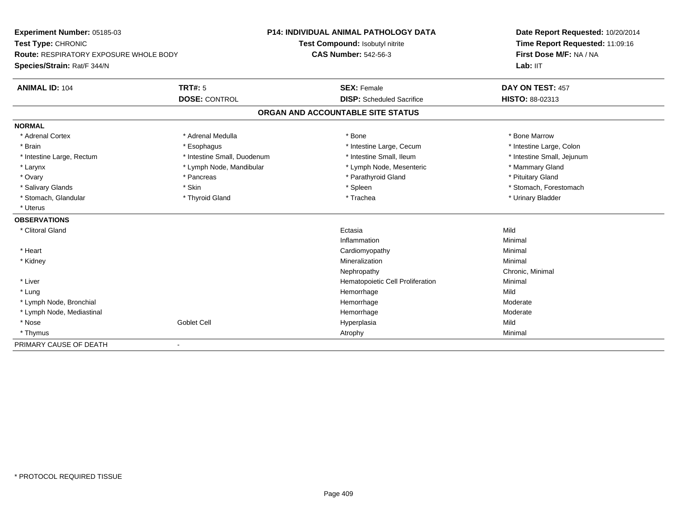| <b>Experiment Number: 05185-03</b>            |                             | <b>P14: INDIVIDUAL ANIMAL PATHOLOGY DATA</b> | Date Report Requested: 10/20/2014<br>Time Report Requested: 11:09:16 |
|-----------------------------------------------|-----------------------------|----------------------------------------------|----------------------------------------------------------------------|
| Test Type: CHRONIC                            |                             | Test Compound: Isobutyl nitrite              |                                                                      |
| <b>Route: RESPIRATORY EXPOSURE WHOLE BODY</b> |                             | <b>CAS Number: 542-56-3</b>                  | First Dose M/F: NA / NA                                              |
| Species/Strain: Rat/F 344/N                   |                             |                                              | Lab: IIT                                                             |
| <b>ANIMAL ID: 104</b>                         | TRT#: 5                     | <b>SEX: Female</b>                           | DAY ON TEST: 457                                                     |
|                                               | <b>DOSE: CONTROL</b>        | <b>DISP:</b> Scheduled Sacrifice             | HISTO: 88-02313                                                      |
|                                               |                             | ORGAN AND ACCOUNTABLE SITE STATUS            |                                                                      |
| <b>NORMAL</b>                                 |                             |                                              |                                                                      |
| * Adrenal Cortex                              | * Adrenal Medulla           | * Bone                                       | * Bone Marrow                                                        |
| * Brain                                       | * Esophagus                 | * Intestine Large, Cecum                     | * Intestine Large, Colon                                             |
| * Intestine Large, Rectum                     | * Intestine Small, Duodenum | * Intestine Small, Ileum                     | * Intestine Small, Jejunum                                           |
| * Larynx                                      | * Lymph Node, Mandibular    | * Lymph Node, Mesenteric                     | * Mammary Gland                                                      |
| * Ovary                                       | * Pancreas                  | * Parathyroid Gland                          | * Pituitary Gland                                                    |
| * Salivary Glands                             | * Skin                      | * Spleen                                     | * Stomach, Forestomach                                               |
| * Stomach, Glandular                          | * Thyroid Gland             | * Trachea                                    | * Urinary Bladder                                                    |
| * Uterus                                      |                             |                                              |                                                                      |
| <b>OBSERVATIONS</b>                           |                             |                                              |                                                                      |
| * Clitoral Gland                              |                             | Ectasia                                      | Mild                                                                 |
|                                               |                             | Inflammation                                 | Minimal                                                              |
| * Heart                                       |                             | Cardiomyopathy                               | Minimal                                                              |
| * Kidney                                      |                             | Mineralization                               | Minimal                                                              |
|                                               |                             | Nephropathy                                  | Chronic, Minimal                                                     |
| * Liver                                       |                             | Hematopoietic Cell Proliferation             | Minimal                                                              |
| * Lung                                        |                             | Hemorrhage                                   | Mild                                                                 |
| * Lymph Node, Bronchial                       |                             | Hemorrhage                                   | Moderate                                                             |
| * Lymph Node, Mediastinal                     |                             | Hemorrhage                                   | Moderate                                                             |
| * Nose                                        | <b>Goblet Cell</b>          | Hyperplasia                                  | Mild                                                                 |
| * Thymus                                      |                             | Atrophy                                      | Minimal                                                              |
| PRIMARY CAUSE OF DEATH                        | $\blacksquare$              |                                              |                                                                      |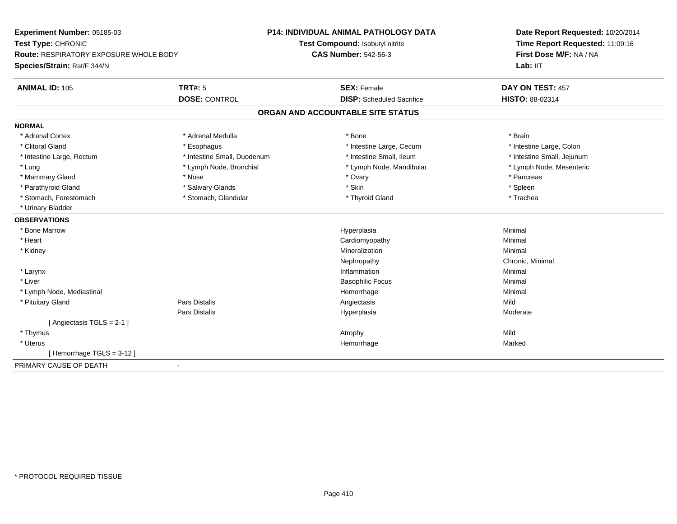| Experiment Number: 05185-03                   | <b>P14: INDIVIDUAL ANIMAL PATHOLOGY DATA</b> |                                   | Date Report Requested: 10/20/2014 |
|-----------------------------------------------|----------------------------------------------|-----------------------------------|-----------------------------------|
| Test Type: CHRONIC                            |                                              | Test Compound: Isobutyl nitrite   | Time Report Requested: 11:09:16   |
| <b>Route: RESPIRATORY EXPOSURE WHOLE BODY</b> | <b>CAS Number: 542-56-3</b>                  |                                   | First Dose M/F: NA / NA           |
| Species/Strain: Rat/F 344/N                   |                                              |                                   | Lab: IIT                          |
| <b>TRT#: 5</b><br><b>ANIMAL ID: 105</b>       |                                              | <b>SEX: Female</b>                | DAY ON TEST: 457                  |
|                                               | <b>DOSE: CONTROL</b>                         | <b>DISP:</b> Scheduled Sacrifice  | <b>HISTO: 88-02314</b>            |
|                                               |                                              | ORGAN AND ACCOUNTABLE SITE STATUS |                                   |
| <b>NORMAL</b>                                 |                                              |                                   |                                   |
| * Adrenal Cortex                              | * Adrenal Medulla                            | * Bone                            | * Brain                           |
| * Clitoral Gland                              | * Esophagus                                  | * Intestine Large, Cecum          | * Intestine Large, Colon          |
| * Intestine Large, Rectum                     | * Intestine Small, Duodenum                  | * Intestine Small, Ileum          | * Intestine Small, Jejunum        |
| * Lung                                        | * Lymph Node, Bronchial                      | * Lymph Node, Mandibular          | * Lymph Node, Mesenteric          |
| * Mammary Gland<br>* Nose                     |                                              | * Ovary                           | * Pancreas                        |
| * Parathyroid Gland                           | * Salivary Glands                            | * Skin                            | * Spleen                          |
| * Stomach, Forestomach                        | * Stomach, Glandular                         | * Thyroid Gland                   | * Trachea                         |
| * Urinary Bladder                             |                                              |                                   |                                   |
| <b>OBSERVATIONS</b>                           |                                              |                                   |                                   |
| * Bone Marrow                                 |                                              | Hyperplasia                       | Minimal                           |
| * Heart                                       |                                              | Cardiomyopathy                    | Minimal                           |
| * Kidney                                      |                                              | Mineralization                    | Minimal                           |
|                                               |                                              | Nephropathy                       | Chronic, Minimal                  |
| * Larynx                                      |                                              | Inflammation                      | Minimal                           |
| * Liver                                       |                                              | <b>Basophilic Focus</b>           | Minimal                           |
| * Lymph Node, Mediastinal                     |                                              | Hemorrhage                        | Minimal                           |
| * Pituitary Gland<br>Pars Distalis            |                                              | Angiectasis                       | Mild                              |
| Pars Distalis                                 |                                              | Hyperplasia                       | Moderate                          |
| [Angiectasis TGLS = $2-1$ ]                   |                                              |                                   |                                   |
| * Thymus                                      |                                              | Atrophy                           | Mild                              |
| * Uterus                                      |                                              | Hemorrhage                        | Marked                            |
| [Hemorrhage TGLS = 3-12]                      |                                              |                                   |                                   |
| PRIMARY CAUSE OF DEATH<br>$\blacksquare$      |                                              |                                   |                                   |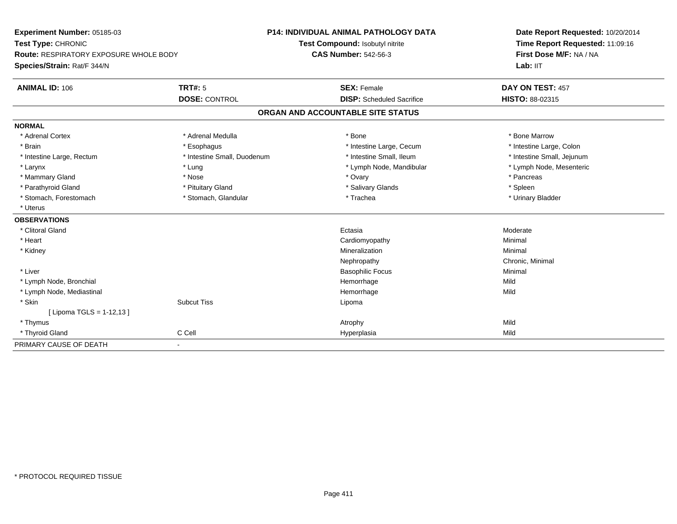| <b>Experiment Number: 05185-03</b>            |                             | <b>P14: INDIVIDUAL ANIMAL PATHOLOGY DATA</b> | Date Report Requested: 10/20/2014<br>Time Report Requested: 11:09:16<br>First Dose M/F: NA / NA |  |
|-----------------------------------------------|-----------------------------|----------------------------------------------|-------------------------------------------------------------------------------------------------|--|
| Test Type: CHRONIC                            |                             | Test Compound: Isobutyl nitrite              |                                                                                                 |  |
| <b>Route: RESPIRATORY EXPOSURE WHOLE BODY</b> |                             | <b>CAS Number: 542-56-3</b>                  |                                                                                                 |  |
| Species/Strain: Rat/F 344/N                   |                             |                                              | Lab: IIT                                                                                        |  |
| <b>ANIMAL ID: 106</b>                         | <b>TRT#: 5</b>              | <b>SEX: Female</b>                           | DAY ON TEST: 457                                                                                |  |
|                                               | <b>DOSE: CONTROL</b>        | <b>DISP:</b> Scheduled Sacrifice             | HISTO: 88-02315                                                                                 |  |
|                                               |                             | ORGAN AND ACCOUNTABLE SITE STATUS            |                                                                                                 |  |
| <b>NORMAL</b>                                 |                             |                                              |                                                                                                 |  |
| * Adrenal Cortex                              | * Adrenal Medulla           | * Bone                                       | * Bone Marrow                                                                                   |  |
| * Brain                                       | * Esophagus                 | * Intestine Large, Cecum                     | * Intestine Large, Colon                                                                        |  |
| * Intestine Large, Rectum                     | * Intestine Small, Duodenum | * Intestine Small, Ileum                     | * Intestine Small, Jejunum                                                                      |  |
| * Larynx                                      | * Lung                      | * Lymph Node, Mandibular                     | * Lymph Node, Mesenteric                                                                        |  |
| * Mammary Gland                               | * Nose                      | * Ovary                                      | * Pancreas                                                                                      |  |
| * Parathyroid Gland                           | * Pituitary Gland           | * Salivary Glands                            | * Spleen                                                                                        |  |
| * Stomach, Forestomach                        | * Stomach, Glandular        | * Trachea                                    | * Urinary Bladder                                                                               |  |
| * Uterus                                      |                             |                                              |                                                                                                 |  |
| <b>OBSERVATIONS</b>                           |                             |                                              |                                                                                                 |  |
| * Clitoral Gland                              |                             | Ectasia                                      | Moderate                                                                                        |  |
| * Heart                                       |                             | Cardiomyopathy                               | Minimal                                                                                         |  |
| * Kidney                                      |                             | Mineralization                               | Minimal                                                                                         |  |
|                                               |                             | Nephropathy                                  | Chronic, Minimal                                                                                |  |
| * Liver                                       |                             | <b>Basophilic Focus</b>                      | Minimal                                                                                         |  |
| * Lymph Node, Bronchial                       |                             | Hemorrhage                                   | Mild                                                                                            |  |
| * Lymph Node, Mediastinal                     |                             | Hemorrhage                                   | Mild                                                                                            |  |
| * Skin                                        | <b>Subcut Tiss</b>          | Lipoma                                       |                                                                                                 |  |
| [ Lipoma TGLS = 1-12,13 ]                     |                             |                                              |                                                                                                 |  |
| * Thymus                                      |                             | Atrophy                                      | Mild                                                                                            |  |
| * Thyroid Gland                               | C Cell                      | Hyperplasia                                  | Mild                                                                                            |  |
| PRIMARY CAUSE OF DEATH                        |                             |                                              |                                                                                                 |  |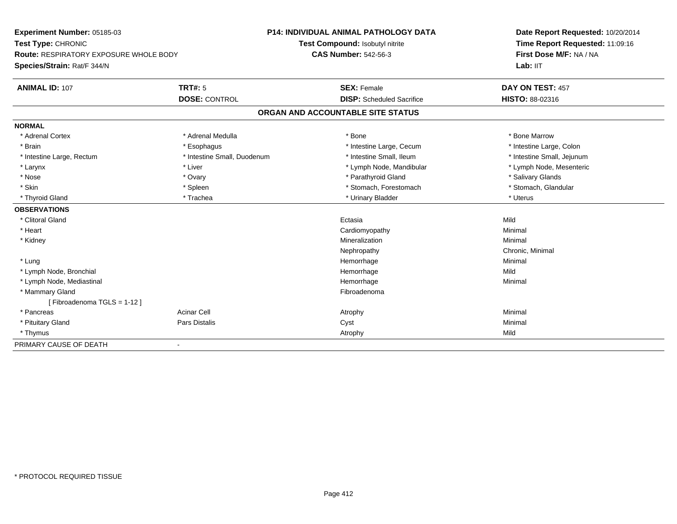| Experiment Number: 05185-03            |                             | <b>P14: INDIVIDUAL ANIMAL PATHOLOGY DATA</b> | Date Report Requested: 10/20/2014 |
|----------------------------------------|-----------------------------|----------------------------------------------|-----------------------------------|
| Test Type: CHRONIC                     |                             | Test Compound: Isobutyl nitrite              | Time Report Requested: 11:09:16   |
| Route: RESPIRATORY EXPOSURE WHOLE BODY |                             | <b>CAS Number: 542-56-3</b>                  | First Dose M/F: NA / NA           |
| Species/Strain: Rat/F 344/N            |                             |                                              | Lab: IIT                          |
| <b>ANIMAL ID: 107</b>                  | <b>TRT#: 5</b>              | <b>SEX: Female</b>                           | DAY ON TEST: 457                  |
|                                        | <b>DOSE: CONTROL</b>        | <b>DISP:</b> Scheduled Sacrifice             | HISTO: 88-02316                   |
|                                        |                             | ORGAN AND ACCOUNTABLE SITE STATUS            |                                   |
| <b>NORMAL</b>                          |                             |                                              |                                   |
| * Adrenal Cortex                       | * Adrenal Medulla           | * Bone                                       | * Bone Marrow                     |
| * Brain                                | * Esophagus                 | * Intestine Large, Cecum                     | * Intestine Large, Colon          |
| * Intestine Large, Rectum              | * Intestine Small, Duodenum | * Intestine Small, Ileum                     | * Intestine Small, Jejunum        |
| * Larynx                               | * Liver                     | * Lymph Node, Mandibular                     | * Lymph Node, Mesenteric          |
| * Nose                                 | * Ovary                     | * Parathyroid Gland                          | * Salivary Glands                 |
| * Skin                                 | * Spleen                    | * Stomach, Forestomach                       | * Stomach, Glandular              |
| * Thyroid Gland                        | * Trachea                   | * Urinary Bladder                            | * Uterus                          |
| <b>OBSERVATIONS</b>                    |                             |                                              |                                   |
| * Clitoral Gland                       |                             | Ectasia                                      | Mild                              |
| * Heart                                |                             | Cardiomyopathy                               | Minimal                           |
| * Kidney                               |                             | Mineralization                               | Minimal                           |
|                                        |                             | Nephropathy                                  | Chronic, Minimal                  |
| * Lung                                 |                             | Hemorrhage                                   | Minimal                           |
| * Lymph Node, Bronchial                |                             | Hemorrhage                                   | Mild                              |
| * Lymph Node, Mediastinal              |                             | Hemorrhage                                   | Minimal                           |
| * Mammary Gland                        |                             | Fibroadenoma                                 |                                   |
| [Fibroadenoma TGLS = 1-12]             |                             |                                              |                                   |
| * Pancreas                             | <b>Acinar Cell</b>          | Atrophy                                      | Minimal                           |
| * Pituitary Gland                      | Pars Distalis               | Cyst                                         | Minimal                           |
| * Thymus                               |                             | Atrophy                                      | Mild                              |
| PRIMARY CAUSE OF DEATH                 |                             |                                              |                                   |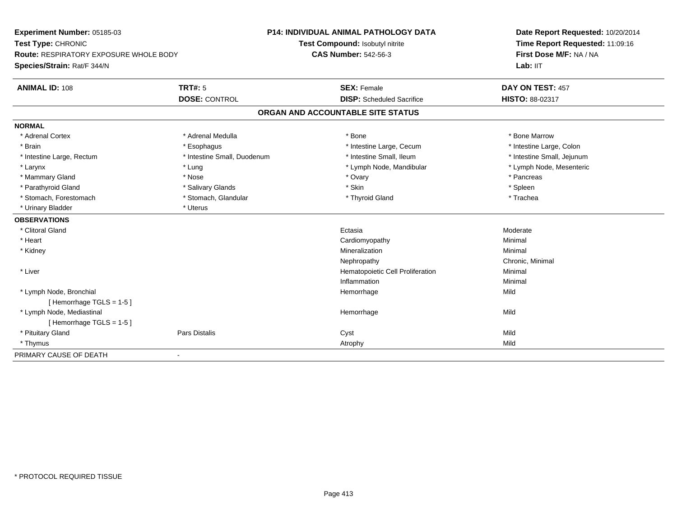| Experiment Number: 05185-03                   |                             | <b>P14: INDIVIDUAL ANIMAL PATHOLOGY DATA</b> | Date Report Requested: 10/20/2014<br>Time Report Requested: 11:09:16 |
|-----------------------------------------------|-----------------------------|----------------------------------------------|----------------------------------------------------------------------|
| Test Type: CHRONIC                            |                             | Test Compound: Isobutyl nitrite              |                                                                      |
| <b>Route: RESPIRATORY EXPOSURE WHOLE BODY</b> |                             | <b>CAS Number: 542-56-3</b>                  | First Dose M/F: NA / NA                                              |
| Species/Strain: Rat/F 344/N                   |                             |                                              | Lab: IIT                                                             |
| <b>ANIMAL ID: 108</b>                         | <b>TRT#: 5</b>              | <b>SEX: Female</b>                           | DAY ON TEST: 457                                                     |
|                                               | <b>DOSE: CONTROL</b>        | <b>DISP:</b> Scheduled Sacrifice             | HISTO: 88-02317                                                      |
|                                               |                             | ORGAN AND ACCOUNTABLE SITE STATUS            |                                                                      |
| <b>NORMAL</b>                                 |                             |                                              |                                                                      |
| * Adrenal Cortex                              | * Adrenal Medulla           | * Bone                                       | * Bone Marrow                                                        |
| * Brain                                       | * Esophagus                 | * Intestine Large, Cecum                     | * Intestine Large, Colon                                             |
| * Intestine Large, Rectum                     | * Intestine Small, Duodenum | * Intestine Small, Ileum                     | * Intestine Small, Jejunum                                           |
| * Larynx                                      | * Lung                      | * Lymph Node, Mandibular                     | * Lymph Node, Mesenteric                                             |
| * Mammary Gland                               | * Nose                      | * Ovary                                      | * Pancreas                                                           |
| * Parathyroid Gland                           | * Salivary Glands           | * Skin                                       | * Spleen                                                             |
| * Stomach, Forestomach                        | * Stomach, Glandular        | * Thyroid Gland                              | * Trachea                                                            |
| * Urinary Bladder                             | * Uterus                    |                                              |                                                                      |
| <b>OBSERVATIONS</b>                           |                             |                                              |                                                                      |
| * Clitoral Gland                              |                             | Ectasia                                      | Moderate                                                             |
| * Heart                                       |                             | Cardiomyopathy                               | Minimal                                                              |
| * Kidney                                      |                             | Mineralization                               | Minimal                                                              |
|                                               |                             | Nephropathy                                  | Chronic, Minimal                                                     |
| * Liver                                       |                             | Hematopoietic Cell Proliferation             | Minimal                                                              |
|                                               |                             | Inflammation                                 | Minimal                                                              |
| * Lymph Node, Bronchial                       |                             | Hemorrhage                                   | Mild                                                                 |
| [Hemorrhage TGLS = $1-5$ ]                    |                             |                                              |                                                                      |
| * Lymph Node, Mediastinal                     |                             | Hemorrhage                                   | Mild                                                                 |
| [Hemorrhage TGLS = $1-5$ ]                    |                             |                                              |                                                                      |
| * Pituitary Gland                             | <b>Pars Distalis</b>        | Cyst                                         | Mild                                                                 |
| * Thymus                                      |                             | Atrophy                                      | Mild                                                                 |
| PRIMARY CAUSE OF DEATH                        |                             |                                              |                                                                      |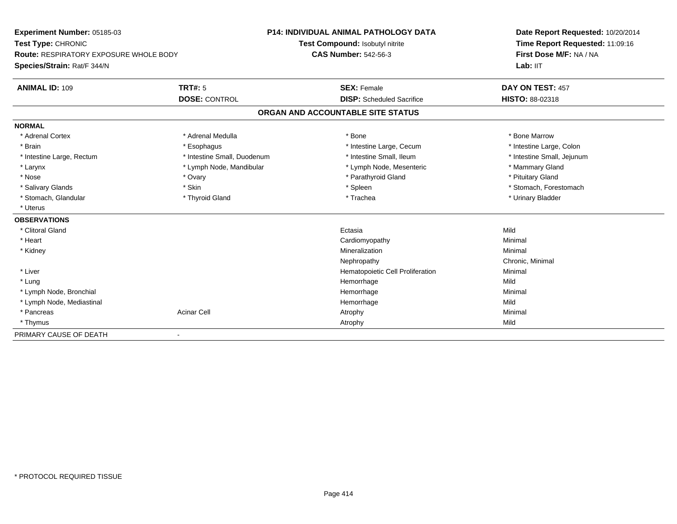| Experiment Number: 05185-03                   |                             | <b>P14: INDIVIDUAL ANIMAL PATHOLOGY DATA</b> | Date Report Requested: 10/20/2014 |
|-----------------------------------------------|-----------------------------|----------------------------------------------|-----------------------------------|
| Test Type: CHRONIC                            |                             | Test Compound: Isobutyl nitrite              | Time Report Requested: 11:09:16   |
| <b>Route: RESPIRATORY EXPOSURE WHOLE BODY</b> |                             | <b>CAS Number: 542-56-3</b>                  | First Dose M/F: NA / NA           |
| Species/Strain: Rat/F 344/N                   |                             |                                              | Lab: IIT                          |
| <b>ANIMAL ID: 109</b>                         | <b>TRT#: 5</b>              | <b>SEX: Female</b>                           | DAY ON TEST: 457                  |
|                                               | <b>DOSE: CONTROL</b>        | <b>DISP:</b> Scheduled Sacrifice             | <b>HISTO: 88-02318</b>            |
|                                               |                             | ORGAN AND ACCOUNTABLE SITE STATUS            |                                   |
| <b>NORMAL</b>                                 |                             |                                              |                                   |
| * Adrenal Cortex                              | * Adrenal Medulla           | * Bone                                       | * Bone Marrow                     |
| * Brain                                       | * Esophagus                 | * Intestine Large, Cecum                     | * Intestine Large, Colon          |
| * Intestine Large, Rectum                     | * Intestine Small, Duodenum | * Intestine Small, Ileum                     | * Intestine Small, Jejunum        |
| * Larynx                                      | * Lymph Node, Mandibular    | * Lymph Node, Mesenteric                     | * Mammary Gland                   |
| * Nose                                        | * Ovary                     | * Parathyroid Gland                          | * Pituitary Gland                 |
| * Salivary Glands                             | * Skin                      | * Spleen                                     | * Stomach, Forestomach            |
| * Stomach, Glandular                          | * Thyroid Gland             | * Trachea                                    | * Urinary Bladder                 |
| * Uterus                                      |                             |                                              |                                   |
| <b>OBSERVATIONS</b>                           |                             |                                              |                                   |
| * Clitoral Gland                              |                             | Ectasia                                      | Mild                              |
| * Heart                                       |                             | Cardiomyopathy                               | Minimal                           |
| * Kidney                                      |                             | Mineralization                               | Minimal                           |
|                                               |                             | Nephropathy                                  | Chronic, Minimal                  |
| * Liver                                       |                             | Hematopoietic Cell Proliferation             | Minimal                           |
| * Lung                                        |                             | Hemorrhage                                   | Mild                              |
| * Lymph Node, Bronchial                       |                             | Hemorrhage                                   | Minimal                           |
| * Lymph Node, Mediastinal                     |                             | Hemorrhage                                   | Mild                              |
| * Pancreas                                    | <b>Acinar Cell</b>          | Atrophy                                      | Minimal                           |
| * Thymus                                      |                             | Atrophy                                      | Mild                              |
| PRIMARY CAUSE OF DEATH                        | $\blacksquare$              |                                              |                                   |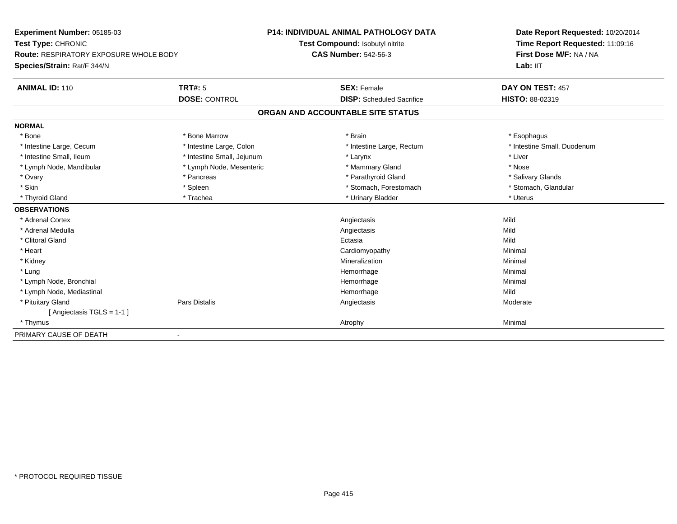| Experiment Number: 05185-03<br>Test Type: CHRONIC<br><b>Route: RESPIRATORY EXPOSURE WHOLE BODY</b> |                            | <b>P14: INDIVIDUAL ANIMAL PATHOLOGY DATA</b> | Date Report Requested: 10/20/2014<br>Time Report Requested: 11:09:16<br>First Dose M/F: NA / NA |
|----------------------------------------------------------------------------------------------------|----------------------------|----------------------------------------------|-------------------------------------------------------------------------------------------------|
|                                                                                                    |                            | Test Compound: Isobutyl nitrite              |                                                                                                 |
|                                                                                                    |                            | <b>CAS Number: 542-56-3</b>                  |                                                                                                 |
| Species/Strain: Rat/F 344/N                                                                        |                            |                                              | Lab: IIT                                                                                        |
| <b>ANIMAL ID: 110</b>                                                                              | TRT#: 5                    | <b>SEX: Female</b>                           | DAY ON TEST: 457                                                                                |
|                                                                                                    | <b>DOSE: CONTROL</b>       | <b>DISP:</b> Scheduled Sacrifice             | HISTO: 88-02319                                                                                 |
|                                                                                                    |                            | ORGAN AND ACCOUNTABLE SITE STATUS            |                                                                                                 |
| <b>NORMAL</b>                                                                                      |                            |                                              |                                                                                                 |
| * Bone                                                                                             | * Bone Marrow              | * Brain                                      | * Esophagus                                                                                     |
| * Intestine Large, Cecum                                                                           | * Intestine Large, Colon   | * Intestine Large, Rectum                    | * Intestine Small, Duodenum                                                                     |
| * Intestine Small, Ileum                                                                           | * Intestine Small, Jejunum | * Larynx                                     | * Liver                                                                                         |
| * Lymph Node, Mandibular                                                                           | * Lymph Node, Mesenteric   | * Mammary Gland                              | * Nose                                                                                          |
| * Ovary                                                                                            | * Pancreas                 | * Parathyroid Gland                          | * Salivary Glands                                                                               |
| * Skin                                                                                             | * Spleen                   | * Stomach, Forestomach                       | * Stomach, Glandular                                                                            |
| * Thyroid Gland                                                                                    | * Trachea                  | * Urinary Bladder                            | * Uterus                                                                                        |
| <b>OBSERVATIONS</b>                                                                                |                            |                                              |                                                                                                 |
| * Adrenal Cortex                                                                                   |                            | Angiectasis                                  | Mild                                                                                            |
| * Adrenal Medulla                                                                                  |                            | Angiectasis                                  | Mild                                                                                            |
| * Clitoral Gland                                                                                   |                            | Ectasia                                      | Mild                                                                                            |
| * Heart                                                                                            |                            | Cardiomyopathy                               | Minimal                                                                                         |
| * Kidney                                                                                           |                            | Mineralization                               | Minimal                                                                                         |
| * Lung                                                                                             |                            | Hemorrhage                                   | Minimal                                                                                         |
| * Lymph Node, Bronchial                                                                            |                            | Hemorrhage                                   | Minimal                                                                                         |
| * Lymph Node, Mediastinal                                                                          |                            | Hemorrhage                                   | Mild                                                                                            |
| * Pituitary Gland                                                                                  | Pars Distalis              | Angiectasis                                  | Moderate                                                                                        |
| [ Angiectasis TGLS = 1-1 ]                                                                         |                            |                                              |                                                                                                 |
| * Thymus                                                                                           |                            | Atrophy                                      | Minimal                                                                                         |
| PRIMARY CAUSE OF DEATH                                                                             |                            |                                              |                                                                                                 |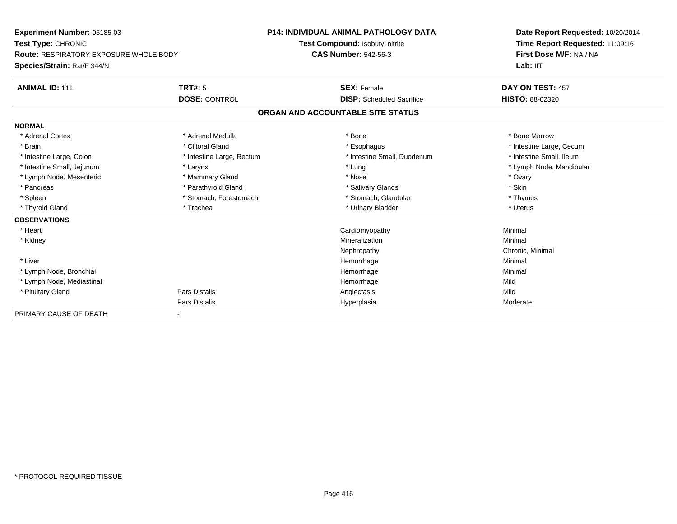| <b>Experiment Number: 05185-03</b>            |                           | <b>P14: INDIVIDUAL ANIMAL PATHOLOGY DATA</b> | Date Report Requested: 10/20/2014 |
|-----------------------------------------------|---------------------------|----------------------------------------------|-----------------------------------|
| Test Type: CHRONIC                            |                           | Test Compound: Isobutyl nitrite              | Time Report Requested: 11:09:16   |
| <b>Route: RESPIRATORY EXPOSURE WHOLE BODY</b> |                           | <b>CAS Number: 542-56-3</b>                  | First Dose M/F: NA / NA           |
| Species/Strain: Rat/F 344/N                   |                           |                                              | Lab: IIT                          |
| <b>ANIMAL ID: 111</b>                         | <b>TRT#: 5</b>            | <b>SEX: Female</b>                           | DAY ON TEST: 457                  |
|                                               | <b>DOSE: CONTROL</b>      | <b>DISP:</b> Scheduled Sacrifice             | <b>HISTO: 88-02320</b>            |
|                                               |                           | ORGAN AND ACCOUNTABLE SITE STATUS            |                                   |
| <b>NORMAL</b>                                 |                           |                                              |                                   |
| * Adrenal Cortex                              | * Adrenal Medulla         | * Bone                                       | * Bone Marrow                     |
| * Brain                                       | * Clitoral Gland          | * Esophagus                                  | * Intestine Large, Cecum          |
| * Intestine Large, Colon                      | * Intestine Large, Rectum | * Intestine Small, Duodenum                  | * Intestine Small, Ileum          |
| * Intestine Small, Jejunum                    | * Larynx                  | * Lung                                       | * Lymph Node, Mandibular          |
| * Lymph Node, Mesenteric                      | * Mammary Gland           | * Nose                                       | * Ovary                           |
| * Pancreas                                    | * Parathyroid Gland       | * Salivary Glands                            | * Skin                            |
| * Spleen                                      | * Stomach, Forestomach    | * Stomach, Glandular                         | * Thymus                          |
| * Thyroid Gland                               | * Trachea                 | * Urinary Bladder                            | * Uterus                          |
| <b>OBSERVATIONS</b>                           |                           |                                              |                                   |
| * Heart                                       |                           | Cardiomyopathy                               | Minimal                           |
| * Kidney                                      |                           | Mineralization                               | Minimal                           |
|                                               |                           | Nephropathy                                  | Chronic, Minimal                  |
| * Liver                                       |                           | Hemorrhage                                   | Minimal                           |
| * Lymph Node, Bronchial                       |                           | Hemorrhage                                   | Minimal                           |
| * Lymph Node, Mediastinal                     |                           | Hemorrhage                                   | Mild                              |
| * Pituitary Gland                             | Pars Distalis             | Angiectasis                                  | Mild                              |
|                                               | Pars Distalis             | Hyperplasia                                  | Moderate                          |
| PRIMARY CAUSE OF DEATH                        |                           |                                              |                                   |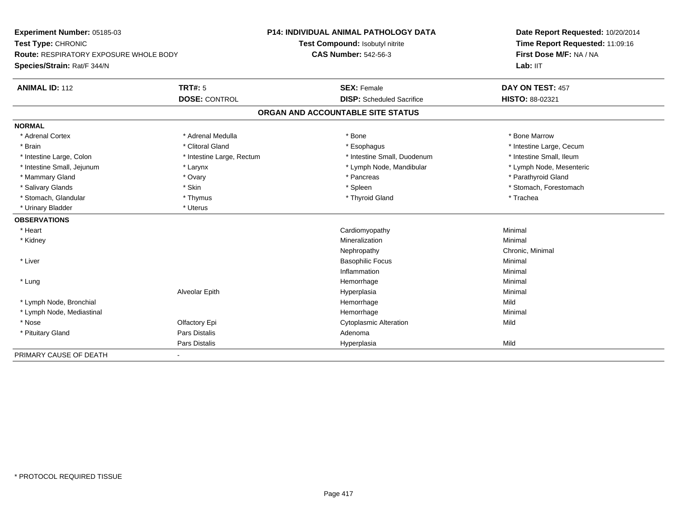| Experiment Number: 05185-03            |                           | <b>P14: INDIVIDUAL ANIMAL PATHOLOGY DATA</b> | Date Report Requested: 10/20/2014<br>Time Report Requested: 11:09:16 |
|----------------------------------------|---------------------------|----------------------------------------------|----------------------------------------------------------------------|
| Test Type: CHRONIC                     |                           | Test Compound: Isobutyl nitrite              |                                                                      |
| Route: RESPIRATORY EXPOSURE WHOLE BODY |                           | <b>CAS Number: 542-56-3</b>                  | First Dose M/F: NA / NA                                              |
| Species/Strain: Rat/F 344/N            |                           |                                              | Lab: IIT                                                             |
| <b>ANIMAL ID: 112</b>                  | <b>TRT#: 5</b>            | <b>SEX: Female</b>                           | DAY ON TEST: 457                                                     |
|                                        | <b>DOSE: CONTROL</b>      | <b>DISP:</b> Scheduled Sacrifice             | HISTO: 88-02321                                                      |
|                                        |                           | ORGAN AND ACCOUNTABLE SITE STATUS            |                                                                      |
| <b>NORMAL</b>                          |                           |                                              |                                                                      |
| * Adrenal Cortex                       | * Adrenal Medulla         | * Bone                                       | * Bone Marrow                                                        |
| * Brain                                | * Clitoral Gland          | * Esophagus                                  | * Intestine Large, Cecum                                             |
| * Intestine Large, Colon               | * Intestine Large, Rectum | * Intestine Small, Duodenum                  | * Intestine Small, Ileum                                             |
| * Intestine Small, Jejunum             | * Larynx                  | * Lymph Node, Mandibular                     | * Lymph Node, Mesenteric                                             |
| * Mammary Gland                        | * Ovary                   | * Pancreas                                   | * Parathyroid Gland                                                  |
| * Salivary Glands                      | * Skin                    | * Spleen                                     | * Stomach, Forestomach                                               |
| * Stomach, Glandular                   | * Thymus                  | * Thyroid Gland                              | * Trachea                                                            |
| * Urinary Bladder                      | * Uterus                  |                                              |                                                                      |
| <b>OBSERVATIONS</b>                    |                           |                                              |                                                                      |
| * Heart                                |                           | Cardiomyopathy                               | Minimal                                                              |
| * Kidney                               |                           | Mineralization                               | Minimal                                                              |
|                                        |                           | Nephropathy                                  | Chronic, Minimal                                                     |
| * Liver                                |                           | <b>Basophilic Focus</b>                      | Minimal                                                              |
|                                        |                           | Inflammation                                 | Minimal                                                              |
| * Lung                                 |                           | Hemorrhage                                   | Minimal                                                              |
|                                        | Alveolar Epith            | Hyperplasia                                  | Minimal                                                              |
| * Lymph Node, Bronchial                |                           | Hemorrhage                                   | Mild                                                                 |
| * Lymph Node, Mediastinal              |                           | Hemorrhage                                   | Minimal                                                              |
| * Nose                                 | Olfactory Epi             | <b>Cytoplasmic Alteration</b>                | Mild                                                                 |
| * Pituitary Gland                      | <b>Pars Distalis</b>      | Adenoma                                      |                                                                      |
|                                        | <b>Pars Distalis</b>      | Hyperplasia                                  | Mild                                                                 |
| PRIMARY CAUSE OF DEATH                 |                           |                                              |                                                                      |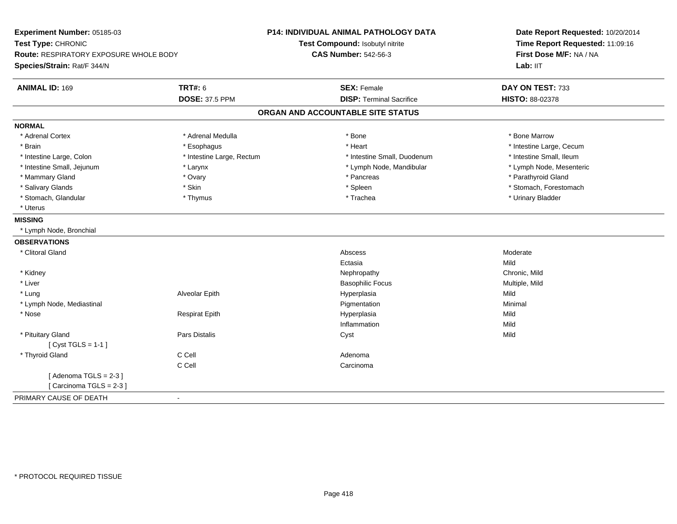| Experiment Number: 05185-03            |                           | P14: INDIVIDUAL ANIMAL PATHOLOGY DATA | Date Report Requested: 10/20/2014<br>Time Report Requested: 11:09:16 |
|----------------------------------------|---------------------------|---------------------------------------|----------------------------------------------------------------------|
| Test Type: CHRONIC                     |                           | Test Compound: Isobutyl nitrite       |                                                                      |
| Route: RESPIRATORY EXPOSURE WHOLE BODY |                           | <b>CAS Number: 542-56-3</b>           | First Dose M/F: NA / NA                                              |
| Species/Strain: Rat/F 344/N            |                           |                                       | Lab: IIT                                                             |
| <b>ANIMAL ID: 169</b>                  | <b>TRT#: 6</b>            | <b>SEX: Female</b>                    | DAY ON TEST: 733                                                     |
|                                        | <b>DOSE: 37.5 PPM</b>     | <b>DISP: Terminal Sacrifice</b>       | HISTO: 88-02378                                                      |
|                                        |                           | ORGAN AND ACCOUNTABLE SITE STATUS     |                                                                      |
| <b>NORMAL</b>                          |                           |                                       |                                                                      |
| * Adrenal Cortex                       | * Adrenal Medulla         | * Bone                                | * Bone Marrow                                                        |
| * Brain                                | * Esophagus               | * Heart                               | * Intestine Large, Cecum                                             |
| * Intestine Large, Colon               | * Intestine Large, Rectum | * Intestine Small, Duodenum           | * Intestine Small, Ileum                                             |
| * Intestine Small, Jejunum             | * Larynx                  | * Lymph Node, Mandibular              | * Lymph Node, Mesenteric                                             |
| * Mammary Gland                        | * Ovary                   | * Pancreas                            | * Parathyroid Gland                                                  |
| * Salivary Glands                      | * Skin                    | * Spleen                              | * Stomach, Forestomach                                               |
| * Stomach, Glandular                   | * Thymus                  | * Trachea                             | * Urinary Bladder                                                    |
| * Uterus                               |                           |                                       |                                                                      |
| <b>MISSING</b>                         |                           |                                       |                                                                      |
| * Lymph Node, Bronchial                |                           |                                       |                                                                      |
| <b>OBSERVATIONS</b>                    |                           |                                       |                                                                      |
| * Clitoral Gland                       |                           | Abscess                               | Moderate                                                             |
|                                        |                           | Ectasia                               | Mild                                                                 |
| * Kidney                               |                           | Nephropathy                           | Chronic, Mild                                                        |
| * Liver                                |                           | <b>Basophilic Focus</b>               | Multiple, Mild                                                       |
| * Lung                                 | Alveolar Epith            | Hyperplasia                           | Mild                                                                 |
| * Lymph Node, Mediastinal              |                           | Pigmentation                          | Minimal                                                              |
| * Nose                                 | <b>Respirat Epith</b>     | Hyperplasia                           | Mild                                                                 |
|                                        |                           | Inflammation                          | Mild                                                                 |
| * Pituitary Gland                      | Pars Distalis             | Cyst                                  | Mild                                                                 |
| [Cyst TGLS = $1-1$ ]                   |                           |                                       |                                                                      |
| * Thyroid Gland                        | C Cell                    | Adenoma                               |                                                                      |
|                                        | C Cell                    | Carcinoma                             |                                                                      |
| [Adenoma TGLS = $2-3$ ]                |                           |                                       |                                                                      |
| [Carcinoma TGLS = 2-3]                 |                           |                                       |                                                                      |
| PRIMARY CAUSE OF DEATH                 | $\blacksquare$            |                                       |                                                                      |
|                                        |                           |                                       |                                                                      |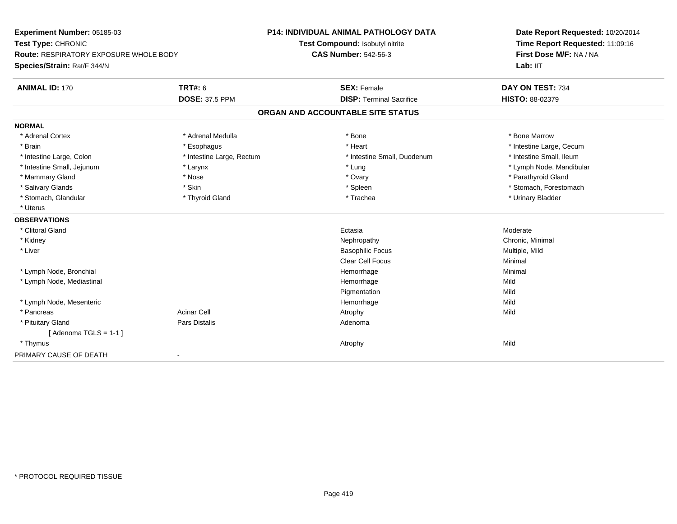| Experiment Number: 05185-03            |                           | <b>P14: INDIVIDUAL ANIMAL PATHOLOGY DATA</b> | Date Report Requested: 10/20/2014                          |  |
|----------------------------------------|---------------------------|----------------------------------------------|------------------------------------------------------------|--|
| Test Type: CHRONIC                     |                           | Test Compound: Isobutyl nitrite              | Time Report Requested: 11:09:16<br>First Dose M/F: NA / NA |  |
| Route: RESPIRATORY EXPOSURE WHOLE BODY |                           | <b>CAS Number: 542-56-3</b>                  |                                                            |  |
| Species/Strain: Rat/F 344/N            |                           |                                              | Lab: IIT                                                   |  |
| <b>ANIMAL ID: 170</b>                  | <b>TRT#: 6</b>            | <b>SEX: Female</b>                           | DAY ON TEST: 734                                           |  |
|                                        | <b>DOSE: 37.5 PPM</b>     | <b>DISP: Terminal Sacrifice</b>              | HISTO: 88-02379                                            |  |
|                                        |                           | ORGAN AND ACCOUNTABLE SITE STATUS            |                                                            |  |
| <b>NORMAL</b>                          |                           |                                              |                                                            |  |
| * Adrenal Cortex                       | * Adrenal Medulla         | * Bone                                       | * Bone Marrow                                              |  |
| * Brain                                | * Esophagus               | * Heart                                      | * Intestine Large, Cecum                                   |  |
| * Intestine Large, Colon               | * Intestine Large, Rectum | * Intestine Small, Duodenum                  | * Intestine Small, Ileum                                   |  |
| * Intestine Small, Jejunum             | * Larynx                  | * Lung                                       | * Lymph Node, Mandibular                                   |  |
| * Mammary Gland                        | * Nose                    | * Ovary                                      | * Parathyroid Gland                                        |  |
| * Salivary Glands                      | * Skin                    | * Spleen                                     | * Stomach, Forestomach                                     |  |
| * Stomach, Glandular                   | * Thyroid Gland           | * Trachea                                    | * Urinary Bladder                                          |  |
| * Uterus                               |                           |                                              |                                                            |  |
| <b>OBSERVATIONS</b>                    |                           |                                              |                                                            |  |
| * Clitoral Gland                       |                           | Ectasia                                      | Moderate                                                   |  |
| * Kidney                               |                           | Nephropathy                                  | Chronic, Minimal                                           |  |
| * Liver                                |                           | <b>Basophilic Focus</b>                      | Multiple, Mild                                             |  |
|                                        |                           | Clear Cell Focus                             | Minimal                                                    |  |
| * Lymph Node, Bronchial                |                           | Hemorrhage                                   | Minimal                                                    |  |
| * Lymph Node, Mediastinal              |                           | Hemorrhage                                   | Mild                                                       |  |
|                                        |                           | Pigmentation                                 | Mild                                                       |  |
| * Lymph Node, Mesenteric               |                           | Hemorrhage                                   | Mild                                                       |  |
| * Pancreas                             | <b>Acinar Cell</b>        | Atrophy                                      | Mild                                                       |  |
| * Pituitary Gland                      | Pars Distalis             | Adenoma                                      |                                                            |  |
| [Adenoma TGLS = $1-1$ ]                |                           |                                              |                                                            |  |
| * Thymus                               |                           | Atrophy                                      | Mild                                                       |  |
| PRIMARY CAUSE OF DEATH                 | $\blacksquare$            |                                              |                                                            |  |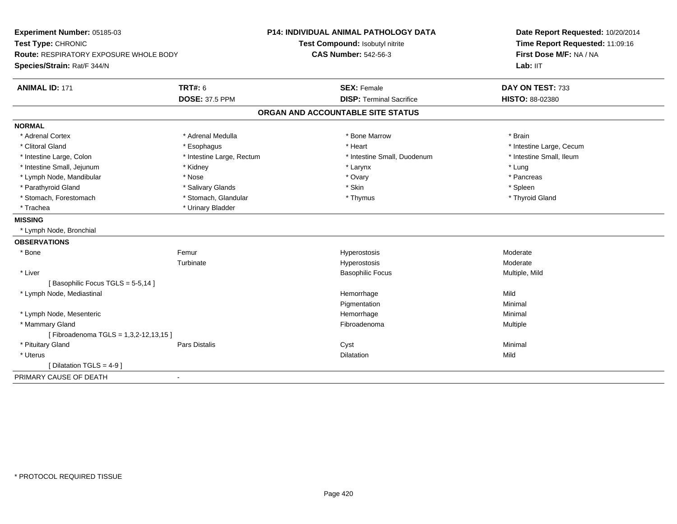| Experiment Number: 05185-03            |                           | <b>P14: INDIVIDUAL ANIMAL PATHOLOGY DATA</b> | Date Report Requested: 10/20/2014 |
|----------------------------------------|---------------------------|----------------------------------------------|-----------------------------------|
| Test Type: CHRONIC                     |                           | Test Compound: Isobutyl nitrite              | Time Report Requested: 11:09:16   |
| Route: RESPIRATORY EXPOSURE WHOLE BODY |                           | <b>CAS Number: 542-56-3</b>                  | First Dose M/F: NA / NA           |
| Species/Strain: Rat/F 344/N            |                           |                                              | Lab: IIT                          |
| <b>ANIMAL ID: 171</b>                  | <b>TRT#: 6</b>            | <b>SEX: Female</b>                           | DAY ON TEST: 733                  |
|                                        | <b>DOSE: 37.5 PPM</b>     | <b>DISP: Terminal Sacrifice</b>              | HISTO: 88-02380                   |
|                                        |                           | ORGAN AND ACCOUNTABLE SITE STATUS            |                                   |
| <b>NORMAL</b>                          |                           |                                              |                                   |
| * Adrenal Cortex                       | * Adrenal Medulla         | * Bone Marrow                                | * Brain                           |
| * Clitoral Gland                       | * Esophagus               | * Heart                                      | * Intestine Large, Cecum          |
| * Intestine Large, Colon               | * Intestine Large, Rectum | * Intestine Small, Duodenum                  | * Intestine Small, Ileum          |
| * Intestine Small, Jejunum             | * Kidney                  | * Larynx                                     | * Lung                            |
| * Lymph Node, Mandibular               | * Nose                    | * Ovary                                      | * Pancreas                        |
| * Parathyroid Gland                    | * Salivary Glands         | * Skin                                       | * Spleen                          |
| * Stomach, Forestomach                 | * Stomach, Glandular      | * Thymus                                     | * Thyroid Gland                   |
| * Trachea                              | * Urinary Bladder         |                                              |                                   |
| <b>MISSING</b>                         |                           |                                              |                                   |
| * Lymph Node, Bronchial                |                           |                                              |                                   |
| <b>OBSERVATIONS</b>                    |                           |                                              |                                   |
| * Bone                                 | Femur                     | Hyperostosis                                 | Moderate                          |
|                                        | Turbinate                 | Hyperostosis                                 | Moderate                          |
| * Liver                                |                           | <b>Basophilic Focus</b>                      | Multiple, Mild                    |
| [Basophilic Focus TGLS = 5-5,14]       |                           |                                              |                                   |
| * Lymph Node, Mediastinal              |                           | Hemorrhage                                   | Mild                              |
|                                        |                           | Pigmentation                                 | Minimal                           |
| * Lymph Node, Mesenteric               |                           | Hemorrhage                                   | Minimal                           |
| * Mammary Gland                        |                           | Fibroadenoma                                 | Multiple                          |
| [Fibroadenoma TGLS = 1,3,2-12,13,15]   |                           |                                              |                                   |
| * Pituitary Gland                      | Pars Distalis             | Cyst                                         | Minimal                           |
| * Uterus                               |                           | <b>Dilatation</b>                            | Mild                              |
| [ Dilatation TGLS = $4-9$ ]            |                           |                                              |                                   |
| PRIMARY CAUSE OF DEATH                 | $\blacksquare$            |                                              |                                   |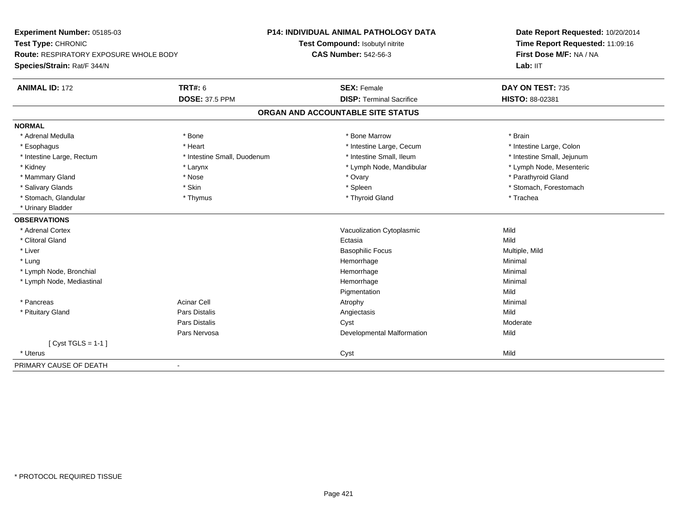| Experiment Number: 05185-03            |                             | <b>P14: INDIVIDUAL ANIMAL PATHOLOGY DATA</b> | Date Report Requested: 10/20/2014<br>Time Report Requested: 11:09:16<br>First Dose M/F: NA / NA |
|----------------------------------------|-----------------------------|----------------------------------------------|-------------------------------------------------------------------------------------------------|
| Test Type: CHRONIC                     |                             | Test Compound: Isobutyl nitrite              |                                                                                                 |
| Route: RESPIRATORY EXPOSURE WHOLE BODY |                             | <b>CAS Number: 542-56-3</b>                  |                                                                                                 |
| Species/Strain: Rat/F 344/N            |                             |                                              | Lab: IIT                                                                                        |
| <b>ANIMAL ID: 172</b>                  | <b>TRT#: 6</b>              | <b>SEX: Female</b>                           | DAY ON TEST: 735                                                                                |
|                                        | <b>DOSE: 37.5 PPM</b>       | <b>DISP: Terminal Sacrifice</b>              | HISTO: 88-02381                                                                                 |
|                                        |                             | ORGAN AND ACCOUNTABLE SITE STATUS            |                                                                                                 |
| <b>NORMAL</b>                          |                             |                                              |                                                                                                 |
| * Adrenal Medulla                      | * Bone                      | * Bone Marrow                                | * Brain                                                                                         |
| * Esophagus                            | * Heart                     | * Intestine Large, Cecum                     | * Intestine Large, Colon                                                                        |
| * Intestine Large, Rectum              | * Intestine Small, Duodenum | * Intestine Small, Ileum                     | * Intestine Small, Jejunum                                                                      |
| * Kidney                               | * Larynx                    | * Lymph Node, Mandibular                     | * Lymph Node, Mesenteric                                                                        |
| * Mammary Gland                        | * Nose                      | * Ovary                                      | * Parathyroid Gland                                                                             |
| * Salivary Glands                      | * Skin                      | * Spleen                                     | * Stomach, Forestomach                                                                          |
| * Stomach, Glandular                   | * Thymus                    | * Thyroid Gland                              | * Trachea                                                                                       |
| * Urinary Bladder                      |                             |                                              |                                                                                                 |
| <b>OBSERVATIONS</b>                    |                             |                                              |                                                                                                 |
| * Adrenal Cortex                       |                             | Vacuolization Cytoplasmic                    | Mild                                                                                            |
| * Clitoral Gland                       |                             | Ectasia                                      | Mild                                                                                            |
| * Liver                                |                             | <b>Basophilic Focus</b>                      | Multiple, Mild                                                                                  |
| * Lung                                 |                             | Hemorrhage                                   | Minimal                                                                                         |
| * Lymph Node, Bronchial                |                             | Hemorrhage                                   | Minimal                                                                                         |
| * Lymph Node, Mediastinal              |                             | Hemorrhage                                   | Minimal                                                                                         |
|                                        |                             | Pigmentation                                 | Mild                                                                                            |
| * Pancreas                             | <b>Acinar Cell</b>          | Atrophy                                      | Minimal                                                                                         |
| * Pituitary Gland                      | Pars Distalis               | Angiectasis                                  | Mild                                                                                            |
|                                        | <b>Pars Distalis</b>        | Cyst                                         | Moderate                                                                                        |
|                                        | Pars Nervosa                | Developmental Malformation                   | Mild                                                                                            |
| [ $Cyst TGLS = 1-1$ ]                  |                             |                                              |                                                                                                 |
| * Uterus                               |                             | Cyst                                         | Mild                                                                                            |
| PRIMARY CAUSE OF DEATH                 | $\blacksquare$              |                                              |                                                                                                 |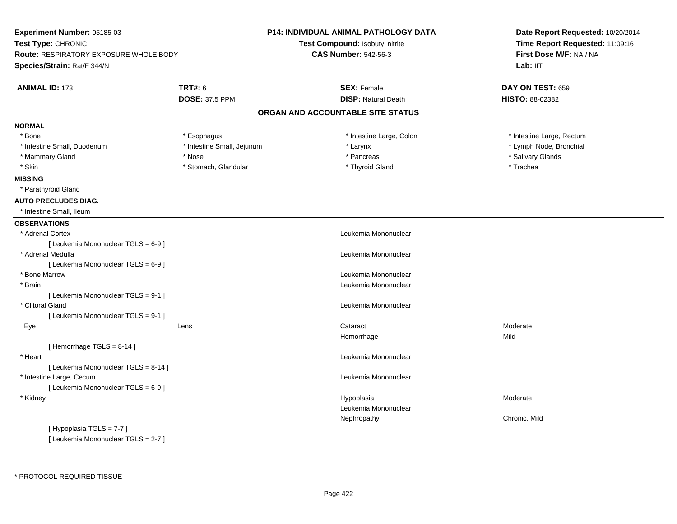| Experiment Number: 05185-03<br>Test Type: CHRONIC<br>Route: RESPIRATORY EXPOSURE WHOLE BODY |                            | P14: INDIVIDUAL ANIMAL PATHOLOGY DATA | Date Report Requested: 10/20/2014<br>Time Report Requested: 11:09:16 |  |
|---------------------------------------------------------------------------------------------|----------------------------|---------------------------------------|----------------------------------------------------------------------|--|
|                                                                                             |                            | Test Compound: Isobutyl nitrite       |                                                                      |  |
|                                                                                             |                            | <b>CAS Number: 542-56-3</b>           | First Dose M/F: NA / NA                                              |  |
| Species/Strain: Rat/F 344/N                                                                 |                            |                                       | Lab: IIT                                                             |  |
| <b>ANIMAL ID: 173</b>                                                                       | <b>TRT#: 6</b>             | <b>SEX: Female</b>                    | DAY ON TEST: 659                                                     |  |
|                                                                                             | <b>DOSE: 37.5 PPM</b>      | <b>DISP: Natural Death</b>            | HISTO: 88-02382                                                      |  |
|                                                                                             |                            | ORGAN AND ACCOUNTABLE SITE STATUS     |                                                                      |  |
| <b>NORMAL</b>                                                                               |                            |                                       |                                                                      |  |
| * Bone                                                                                      | * Esophagus                | * Intestine Large, Colon              | * Intestine Large, Rectum                                            |  |
| * Intestine Small, Duodenum                                                                 | * Intestine Small, Jejunum | * Larynx                              | * Lymph Node, Bronchial                                              |  |
| * Mammary Gland                                                                             | * Nose                     | * Pancreas                            | * Salivary Glands                                                    |  |
| * Skin                                                                                      | * Stomach, Glandular       | * Thyroid Gland                       | * Trachea                                                            |  |
| <b>MISSING</b>                                                                              |                            |                                       |                                                                      |  |
| * Parathyroid Gland                                                                         |                            |                                       |                                                                      |  |
| <b>AUTO PRECLUDES DIAG.</b>                                                                 |                            |                                       |                                                                      |  |
| * Intestine Small, Ileum                                                                    |                            |                                       |                                                                      |  |
| <b>OBSERVATIONS</b>                                                                         |                            |                                       |                                                                      |  |
| * Adrenal Cortex                                                                            |                            | Leukemia Mononuclear                  |                                                                      |  |
| [ Leukemia Mononuclear TGLS = 6-9 ]                                                         |                            |                                       |                                                                      |  |
| * Adrenal Medulla                                                                           |                            | Leukemia Mononuclear                  |                                                                      |  |
| [ Leukemia Mononuclear TGLS = 6-9 ]                                                         |                            |                                       |                                                                      |  |
| * Bone Marrow                                                                               |                            | Leukemia Mononuclear                  |                                                                      |  |
| * Brain                                                                                     |                            | Leukemia Mononuclear                  |                                                                      |  |
| [ Leukemia Mononuclear TGLS = 9-1 ]                                                         |                            |                                       |                                                                      |  |
| * Clitoral Gland                                                                            |                            | Leukemia Mononuclear                  |                                                                      |  |
| [ Leukemia Mononuclear TGLS = 9-1 ]                                                         |                            |                                       |                                                                      |  |
| Eye                                                                                         | Lens                       | Cataract                              | Moderate                                                             |  |
|                                                                                             |                            | Hemorrhage                            | Mild                                                                 |  |
| [Hemorrhage TGLS = 8-14]                                                                    |                            |                                       |                                                                      |  |
| * Heart                                                                                     |                            | Leukemia Mononuclear                  |                                                                      |  |
| [ Leukemia Mononuclear TGLS = 8-14 ]                                                        |                            |                                       |                                                                      |  |
| * Intestine Large, Cecum                                                                    |                            | Leukemia Mononuclear                  |                                                                      |  |
| [ Leukemia Mononuclear TGLS = 6-9 ]                                                         |                            |                                       |                                                                      |  |
| * Kidney                                                                                    |                            | Hypoplasia                            | Moderate                                                             |  |
|                                                                                             |                            | Leukemia Mononuclear                  |                                                                      |  |
|                                                                                             |                            | Nephropathy                           | Chronic, Mild                                                        |  |
| [Hypoplasia TGLS = 7-7]                                                                     |                            |                                       |                                                                      |  |

\* PROTOCOL REQUIRED TISSUE

[ Leukemia Mononuclear TGLS = 2-7 ]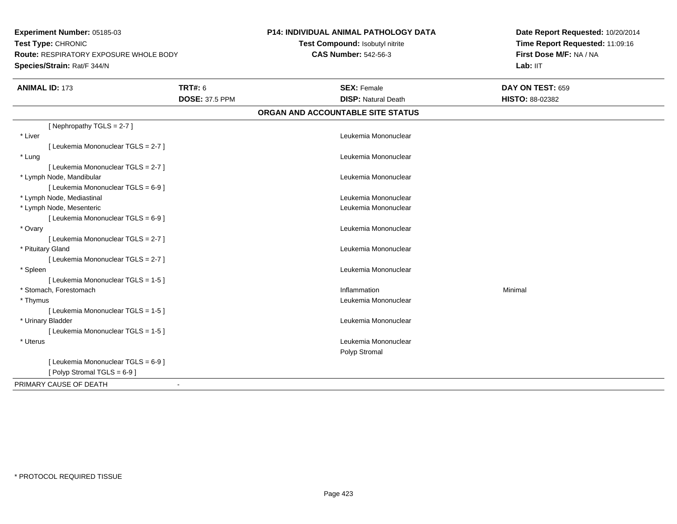**Experiment Number:** 05185-03**Test Type:** CHRONIC **Route:** RESPIRATORY EXPOSURE WHOLE BODY**Species/Strain:** Rat/F 344/N

## **P14: INDIVIDUAL ANIMAL PATHOLOGY DATA**

**Test Compound:** Isobutyl nitrite**CAS Number:** 542-56-3

**Date Report Requested:** 10/20/2014 **Time Report Requested:** 11:09:16**First Dose M/F:** NA / NA**Lab:** IIT

| <b>ANIMAL ID: 173</b>               | <b>TRT#: 6</b><br><b>DOSE: 37.5 PPM</b> | <b>SEX: Female</b><br><b>DISP: Natural Death</b> | DAY ON TEST: 659<br><b>HISTO: 88-02382</b> |
|-------------------------------------|-----------------------------------------|--------------------------------------------------|--------------------------------------------|
|                                     |                                         | ORGAN AND ACCOUNTABLE SITE STATUS                |                                            |
| [Nephropathy TGLS = 2-7]            |                                         |                                                  |                                            |
| * Liver                             |                                         | Leukemia Mononuclear                             |                                            |
| [Leukemia Mononuclear TGLS = 2-7]   |                                         |                                                  |                                            |
| * Lung                              |                                         | Leukemia Mononuclear                             |                                            |
| [Leukemia Mononuclear TGLS = 2-7]   |                                         |                                                  |                                            |
| * Lymph Node, Mandibular            |                                         | Leukemia Mononuclear                             |                                            |
| [ Leukemia Mononuclear TGLS = 6-9 ] |                                         |                                                  |                                            |
| * Lymph Node, Mediastinal           |                                         | Leukemia Mononuclear                             |                                            |
| * Lymph Node, Mesenteric            |                                         | Leukemia Mononuclear                             |                                            |
| [ Leukemia Mononuclear TGLS = 6-9 ] |                                         |                                                  |                                            |
| * Ovary                             |                                         | Leukemia Mononuclear                             |                                            |
| [Leukemia Mononuclear TGLS = 2-7]   |                                         |                                                  |                                            |
| * Pituitary Gland                   |                                         | Leukemia Mononuclear                             |                                            |
| [ Leukemia Mononuclear TGLS = 2-7 ] |                                         |                                                  |                                            |
| * Spleen                            |                                         | Leukemia Mononuclear                             |                                            |
| [Leukemia Mononuclear TGLS = 1-5]   |                                         |                                                  |                                            |
| * Stomach, Forestomach              |                                         | Inflammation                                     | Minimal                                    |
| * Thymus                            |                                         | Leukemia Mononuclear                             |                                            |
| [Leukemia Mononuclear TGLS = 1-5]   |                                         |                                                  |                                            |
| * Urinary Bladder                   |                                         | Leukemia Mononuclear                             |                                            |
| [ Leukemia Mononuclear TGLS = 1-5 ] |                                         |                                                  |                                            |
| * Uterus                            |                                         | Leukemia Mononuclear                             |                                            |
|                                     |                                         | Polyp Stromal                                    |                                            |
| [ Leukemia Mononuclear TGLS = 6-9 ] |                                         |                                                  |                                            |
| [Polyp Stromal TGLS = 6-9]          |                                         |                                                  |                                            |
| PRIMARY CAUSE OF DEATH              |                                         |                                                  |                                            |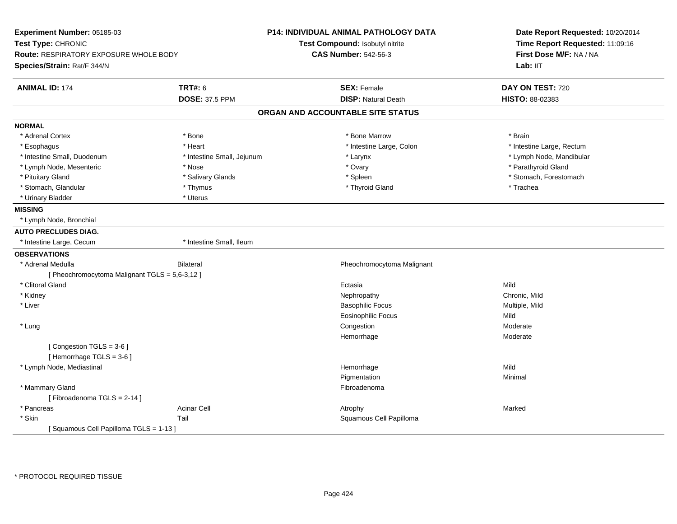| Experiment Number: 05185-03<br>Test Type: CHRONIC<br><b>Route: RESPIRATORY EXPOSURE WHOLE BODY</b><br>Species/Strain: Rat/F 344/N |                            | P14: INDIVIDUAL ANIMAL PATHOLOGY DATA<br>Test Compound: Isobutyl nitrite<br><b>CAS Number: 542-56-3</b> | Date Report Requested: 10/20/2014<br>Time Report Requested: 11:09:16<br>First Dose M/F: NA / NA<br>Lab: IIT |
|-----------------------------------------------------------------------------------------------------------------------------------|----------------------------|---------------------------------------------------------------------------------------------------------|-------------------------------------------------------------------------------------------------------------|
| <b>ANIMAL ID: 174</b>                                                                                                             | <b>TRT#: 6</b>             | <b>SEX: Female</b>                                                                                      | DAY ON TEST: 720                                                                                            |
|                                                                                                                                   | <b>DOSE: 37.5 PPM</b>      | <b>DISP: Natural Death</b>                                                                              | HISTO: 88-02383                                                                                             |
|                                                                                                                                   |                            | ORGAN AND ACCOUNTABLE SITE STATUS                                                                       |                                                                                                             |
| <b>NORMAL</b>                                                                                                                     |                            |                                                                                                         |                                                                                                             |
| * Adrenal Cortex                                                                                                                  | * Bone                     | * Bone Marrow                                                                                           | * Brain                                                                                                     |
| * Esophagus                                                                                                                       | * Heart                    | * Intestine Large, Colon                                                                                | * Intestine Large, Rectum                                                                                   |
| * Intestine Small, Duodenum                                                                                                       | * Intestine Small, Jejunum | * Larynx                                                                                                | * Lymph Node, Mandibular                                                                                    |
| * Lymph Node, Mesenteric                                                                                                          | * Nose                     | * Ovary                                                                                                 | * Parathyroid Gland                                                                                         |
| * Pituitary Gland                                                                                                                 | * Salivary Glands          | * Spleen                                                                                                | * Stomach, Forestomach                                                                                      |
| * Stomach, Glandular                                                                                                              | * Thymus                   | * Thyroid Gland                                                                                         | * Trachea                                                                                                   |
| * Urinary Bladder                                                                                                                 | * Uterus                   |                                                                                                         |                                                                                                             |
| <b>MISSING</b>                                                                                                                    |                            |                                                                                                         |                                                                                                             |
| * Lymph Node, Bronchial                                                                                                           |                            |                                                                                                         |                                                                                                             |
| <b>AUTO PRECLUDES DIAG.</b>                                                                                                       |                            |                                                                                                         |                                                                                                             |
| * Intestine Large, Cecum                                                                                                          | * Intestine Small, Ileum   |                                                                                                         |                                                                                                             |
| <b>OBSERVATIONS</b>                                                                                                               |                            |                                                                                                         |                                                                                                             |
| * Adrenal Medulla                                                                                                                 | <b>Bilateral</b>           | Pheochromocytoma Malignant                                                                              |                                                                                                             |
| [ Pheochromocytoma Malignant TGLS = 5,6-3,12 ]                                                                                    |                            |                                                                                                         |                                                                                                             |
| * Clitoral Gland                                                                                                                  |                            | Ectasia                                                                                                 | Mild                                                                                                        |
| * Kidney                                                                                                                          |                            | Nephropathy                                                                                             | Chronic, Mild                                                                                               |
| * Liver                                                                                                                           |                            | <b>Basophilic Focus</b>                                                                                 | Multiple, Mild                                                                                              |
|                                                                                                                                   |                            | <b>Eosinophilic Focus</b>                                                                               | Mild                                                                                                        |
| * Lung                                                                                                                            |                            | Congestion                                                                                              | Moderate                                                                                                    |
|                                                                                                                                   |                            | Hemorrhage                                                                                              | Moderate                                                                                                    |
| [Congestion TGLS = 3-6]                                                                                                           |                            |                                                                                                         |                                                                                                             |
| [Hemorrhage TGLS = 3-6]                                                                                                           |                            |                                                                                                         |                                                                                                             |
| * Lymph Node, Mediastinal                                                                                                         |                            | Hemorrhage                                                                                              | Mild                                                                                                        |
|                                                                                                                                   |                            | Pigmentation                                                                                            | Minimal                                                                                                     |
| * Mammary Gland                                                                                                                   |                            | Fibroadenoma                                                                                            |                                                                                                             |
| [Fibroadenoma TGLS = 2-14]                                                                                                        |                            |                                                                                                         |                                                                                                             |
| * Pancreas                                                                                                                        | <b>Acinar Cell</b>         | Atrophy                                                                                                 | Marked                                                                                                      |
| * Skin                                                                                                                            | Tail                       | Squamous Cell Papilloma                                                                                 |                                                                                                             |
| [Squamous Cell Papilloma TGLS = 1-13]                                                                                             |                            |                                                                                                         |                                                                                                             |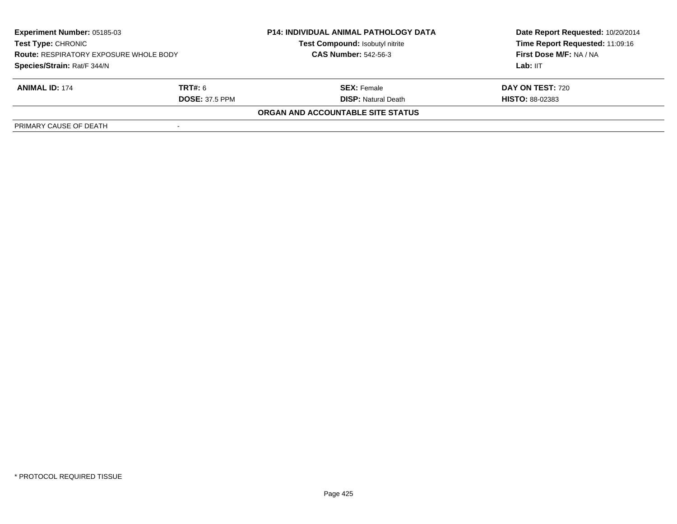| <b>Experiment Number: 05185-03</b><br><b>Test Type: CHRONIC</b><br><b>Route: RESPIRATORY EXPOSURE WHOLE BODY</b><br>Species/Strain: Rat/F 344/N |                       | <b>P14: INDIVIDUAL ANIMAL PATHOLOGY DATA</b><br>Test Compound: Isobutyl nitrite | Date Report Requested: 10/20/2014<br>Time Report Requested: 11:09:16 |
|-------------------------------------------------------------------------------------------------------------------------------------------------|-----------------------|---------------------------------------------------------------------------------|----------------------------------------------------------------------|
|                                                                                                                                                 |                       | <b>CAS Number: 542-56-3</b>                                                     | <b>First Dose M/F: NA / NA</b>                                       |
|                                                                                                                                                 |                       |                                                                                 | Lab: IIT                                                             |
| <b>ANIMAL ID: 174</b>                                                                                                                           | <b>TRT#:</b> 6        | <b>SEX:</b> Female                                                              | <b>DAY ON TEST: 720</b>                                              |
|                                                                                                                                                 | <b>DOSE: 37.5 PPM</b> | <b>DISP:</b> Natural Death                                                      | <b>HISTO: 88-02383</b>                                               |
|                                                                                                                                                 |                       | <b>ORGAN AND ACCOUNTABLE SITE STATUS</b>                                        |                                                                      |
| PRIMARY CAUSE OF DEATH                                                                                                                          |                       |                                                                                 |                                                                      |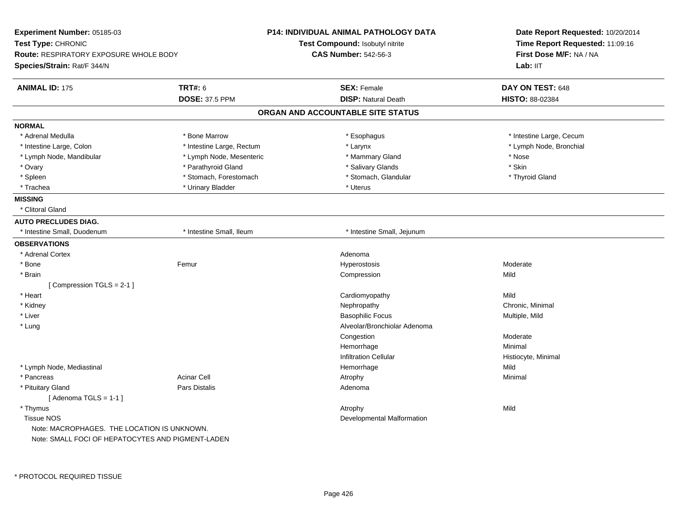| Experiment Number: 05185-03                                         |                           | <b>P14: INDIVIDUAL ANIMAL PATHOLOGY DATA</b> | Date Report Requested: 10/20/2014                          |  |
|---------------------------------------------------------------------|---------------------------|----------------------------------------------|------------------------------------------------------------|--|
| Test Type: CHRONIC<br><b>Route: RESPIRATORY EXPOSURE WHOLE BODY</b> |                           | <b>Test Compound: Isobutyl nitrite</b>       | Time Report Requested: 11:09:16<br>First Dose M/F: NA / NA |  |
|                                                                     |                           | <b>CAS Number: 542-56-3</b>                  |                                                            |  |
| Species/Strain: Rat/F 344/N                                         |                           |                                              | Lab: IIT                                                   |  |
| <b>ANIMAL ID: 175</b>                                               | <b>TRT#: 6</b>            | <b>SEX: Female</b>                           | DAY ON TEST: 648                                           |  |
|                                                                     | <b>DOSE: 37.5 PPM</b>     | <b>DISP: Natural Death</b>                   | HISTO: 88-02384                                            |  |
|                                                                     |                           | ORGAN AND ACCOUNTABLE SITE STATUS            |                                                            |  |
| <b>NORMAL</b>                                                       |                           |                                              |                                                            |  |
| * Adrenal Medulla                                                   | * Bone Marrow             | * Esophagus                                  | * Intestine Large, Cecum                                   |  |
| * Intestine Large, Colon                                            | * Intestine Large, Rectum | * Larynx                                     | * Lymph Node, Bronchial                                    |  |
| * Lymph Node, Mandibular                                            | * Lymph Node, Mesenteric  | * Mammary Gland                              | * Nose                                                     |  |
| * Ovary                                                             | * Parathyroid Gland       | * Salivary Glands                            | * Skin                                                     |  |
| * Spleen                                                            | * Stomach, Forestomach    | * Stomach, Glandular                         | * Thyroid Gland                                            |  |
| * Trachea                                                           | * Urinary Bladder         | * Uterus                                     |                                                            |  |
| <b>MISSING</b>                                                      |                           |                                              |                                                            |  |
| * Clitoral Gland                                                    |                           |                                              |                                                            |  |
| <b>AUTO PRECLUDES DIAG.</b>                                         |                           |                                              |                                                            |  |
| * Intestine Small, Duodenum                                         | * Intestine Small, Ileum  | * Intestine Small, Jejunum                   |                                                            |  |
| <b>OBSERVATIONS</b>                                                 |                           |                                              |                                                            |  |
| * Adrenal Cortex                                                    |                           | Adenoma                                      |                                                            |  |
| * Bone                                                              | Femur                     | Hyperostosis                                 | Moderate                                                   |  |
| * Brain                                                             |                           | Compression                                  | Mild                                                       |  |
| [Compression TGLS = 2-1]                                            |                           |                                              |                                                            |  |
| * Heart                                                             |                           | Cardiomyopathy                               | Mild                                                       |  |
| * Kidney                                                            |                           | Nephropathy                                  | Chronic, Minimal                                           |  |
| * Liver                                                             |                           | <b>Basophilic Focus</b>                      | Multiple, Mild                                             |  |
| * Lung                                                              |                           | Alveolar/Bronchiolar Adenoma                 |                                                            |  |
|                                                                     |                           | Congestion                                   | Moderate                                                   |  |
|                                                                     |                           | Hemorrhage                                   | Minimal                                                    |  |
|                                                                     |                           | <b>Infiltration Cellular</b>                 | Histiocyte, Minimal                                        |  |
| * Lymph Node, Mediastinal                                           |                           | Hemorrhage                                   | Mild                                                       |  |
| * Pancreas                                                          | <b>Acinar Cell</b>        | Atrophy                                      | Minimal                                                    |  |
| * Pituitary Gland                                                   | <b>Pars Distalis</b>      | Adenoma                                      |                                                            |  |
| [Adenoma TGLS = $1-1$ ]                                             |                           |                                              |                                                            |  |
| * Thymus                                                            |                           | Atrophy                                      | Mild                                                       |  |
| <b>Tissue NOS</b>                                                   |                           | Developmental Malformation                   |                                                            |  |
| Note: MACROPHAGES. THE LOCATION IS UNKNOWN.                         |                           |                                              |                                                            |  |
| Note: SMALL FOCI OF HEPATOCYTES AND PIGMENT-LADEN                   |                           |                                              |                                                            |  |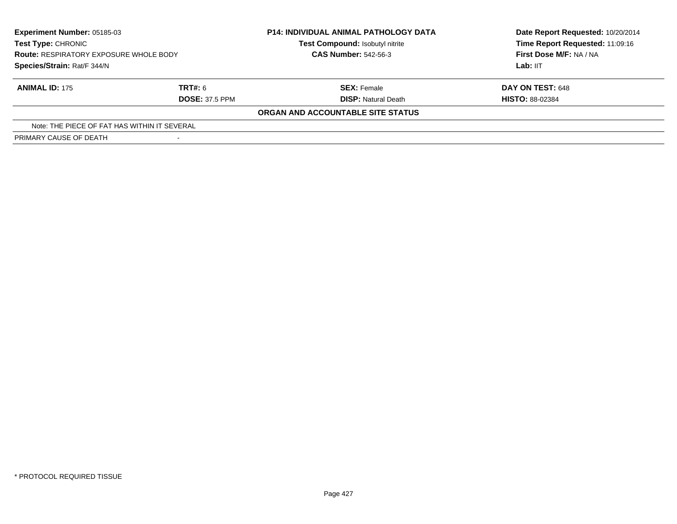| <b>Experiment Number: 05185-03</b><br>Test Type: CHRONIC<br><b>Route: RESPIRATORY EXPOSURE WHOLE BODY</b><br>Species/Strain: Rat/F 344/N |                       | <b>P14: INDIVIDUAL ANIMAL PATHOLOGY DATA</b><br>Test Compound: Isobutyl nitrite<br><b>CAS Number: 542-56-3</b> | Date Report Requested: 10/20/2014<br>Time Report Requested: 11:09:16<br>First Dose M/F: NA / NA<br>Lab: IIT |
|------------------------------------------------------------------------------------------------------------------------------------------|-----------------------|----------------------------------------------------------------------------------------------------------------|-------------------------------------------------------------------------------------------------------------|
|                                                                                                                                          |                       |                                                                                                                |                                                                                                             |
|                                                                                                                                          |                       |                                                                                                                |                                                                                                             |
| <b>ANIMAL ID: 175</b>                                                                                                                    | TRT#: 6               | <b>SEX: Female</b>                                                                                             | DAY ON TEST: 648                                                                                            |
|                                                                                                                                          | <b>DOSE: 37.5 PPM</b> | <b>DISP: Natural Death</b>                                                                                     | <b>HISTO: 88-02384</b>                                                                                      |
|                                                                                                                                          |                       | ORGAN AND ACCOUNTABLE SITE STATUS                                                                              |                                                                                                             |
| Note: THE PIECE OF FAT HAS WITHIN IT SEVERAL                                                                                             |                       |                                                                                                                |                                                                                                             |
| PRIMARY CAUSE OF DEATH                                                                                                                   |                       |                                                                                                                |                                                                                                             |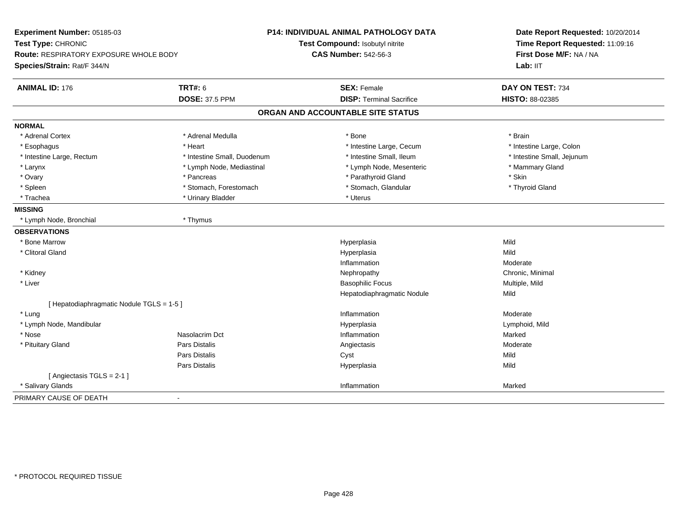| Experiment Number: 05185-03<br>Test Type: CHRONIC<br>Route: RESPIRATORY EXPOSURE WHOLE BODY |                             | P14: INDIVIDUAL ANIMAL PATHOLOGY DATA<br>Test Compound: Isobutyl nitrite<br><b>CAS Number: 542-56-3</b> | Date Report Requested: 10/20/2014<br>Time Report Requested: 11:09:16<br>First Dose M/F: NA / NA |
|---------------------------------------------------------------------------------------------|-----------------------------|---------------------------------------------------------------------------------------------------------|-------------------------------------------------------------------------------------------------|
| Species/Strain: Rat/F 344/N                                                                 |                             |                                                                                                         | Lab: IIT                                                                                        |
| <b>ANIMAL ID: 176</b>                                                                       | <b>TRT#: 6</b>              | <b>SEX: Female</b>                                                                                      | DAY ON TEST: 734                                                                                |
|                                                                                             | <b>DOSE: 37.5 PPM</b>       | <b>DISP: Terminal Sacrifice</b>                                                                         | HISTO: 88-02385                                                                                 |
|                                                                                             |                             | ORGAN AND ACCOUNTABLE SITE STATUS                                                                       |                                                                                                 |
| <b>NORMAL</b>                                                                               |                             |                                                                                                         |                                                                                                 |
| * Adrenal Cortex                                                                            | * Adrenal Medulla           | * Bone                                                                                                  | * Brain                                                                                         |
| * Esophagus                                                                                 | * Heart                     | * Intestine Large, Cecum                                                                                | * Intestine Large, Colon                                                                        |
| * Intestine Large, Rectum                                                                   | * Intestine Small, Duodenum | * Intestine Small, Ileum                                                                                | * Intestine Small, Jejunum                                                                      |
| * Larynx                                                                                    | * Lymph Node, Mediastinal   | * Lymph Node, Mesenteric                                                                                | * Mammary Gland                                                                                 |
| * Ovary                                                                                     | * Pancreas                  | * Parathyroid Gland                                                                                     | * Skin                                                                                          |
| * Spleen                                                                                    | * Stomach, Forestomach      | * Stomach, Glandular                                                                                    | * Thyroid Gland                                                                                 |
| * Trachea                                                                                   | * Urinary Bladder           | * Uterus                                                                                                |                                                                                                 |
| <b>MISSING</b>                                                                              |                             |                                                                                                         |                                                                                                 |
| * Lymph Node, Bronchial                                                                     | * Thymus                    |                                                                                                         |                                                                                                 |
| <b>OBSERVATIONS</b>                                                                         |                             |                                                                                                         |                                                                                                 |
| * Bone Marrow                                                                               |                             | Hyperplasia                                                                                             | Mild                                                                                            |
| * Clitoral Gland                                                                            |                             | Hyperplasia                                                                                             | Mild                                                                                            |
|                                                                                             |                             | Inflammation                                                                                            | Moderate                                                                                        |
| * Kidney                                                                                    |                             | Nephropathy                                                                                             | Chronic, Minimal                                                                                |
| * Liver                                                                                     |                             | <b>Basophilic Focus</b>                                                                                 | Multiple, Mild                                                                                  |
|                                                                                             |                             | Hepatodiaphragmatic Nodule                                                                              | Mild                                                                                            |
| [ Hepatodiaphragmatic Nodule TGLS = 1-5 ]                                                   |                             |                                                                                                         |                                                                                                 |
| * Lung                                                                                      |                             | Inflammation                                                                                            | Moderate                                                                                        |
| * Lymph Node, Mandibular                                                                    |                             | Hyperplasia                                                                                             | Lymphoid, Mild                                                                                  |
| * Nose                                                                                      | Nasolacrim Dct              | Inflammation                                                                                            | Marked                                                                                          |
| * Pituitary Gland                                                                           | Pars Distalis               | Angiectasis                                                                                             | Moderate                                                                                        |
|                                                                                             | Pars Distalis               | Cyst                                                                                                    | Mild                                                                                            |
|                                                                                             | <b>Pars Distalis</b>        | Hyperplasia                                                                                             | Mild                                                                                            |
| [Angiectasis TGLS = 2-1]                                                                    |                             |                                                                                                         |                                                                                                 |
| * Salivary Glands                                                                           |                             | Inflammation                                                                                            | Marked                                                                                          |
| PRIMARY CAUSE OF DEATH                                                                      | $\blacksquare$              |                                                                                                         |                                                                                                 |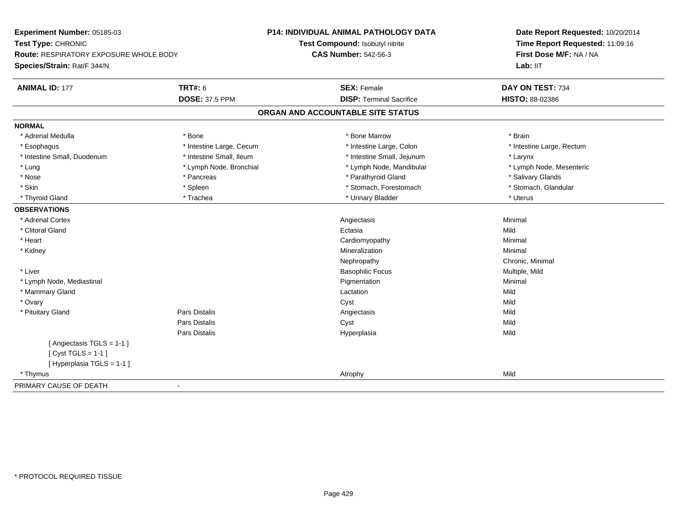| Experiment Number: 05185-03                                         |                          | P14: INDIVIDUAL ANIMAL PATHOLOGY DATA | Date Report Requested: 10/20/2014                          |
|---------------------------------------------------------------------|--------------------------|---------------------------------------|------------------------------------------------------------|
| Test Type: CHRONIC<br><b>Route: RESPIRATORY EXPOSURE WHOLE BODY</b> |                          | Test Compound: Isobutyl nitrite       | Time Report Requested: 11:09:16<br>First Dose M/F: NA / NA |
|                                                                     |                          | <b>CAS Number: 542-56-3</b>           |                                                            |
| Species/Strain: Rat/F 344/N                                         |                          |                                       | Lab: IIT                                                   |
| <b>ANIMAL ID: 177</b>                                               | <b>TRT#: 6</b>           | <b>SEX: Female</b>                    | DAY ON TEST: 734                                           |
|                                                                     | <b>DOSE: 37.5 PPM</b>    | <b>DISP: Terminal Sacrifice</b>       | HISTO: 88-02386                                            |
|                                                                     |                          | ORGAN AND ACCOUNTABLE SITE STATUS     |                                                            |
| <b>NORMAL</b>                                                       |                          |                                       |                                                            |
| * Adrenal Medulla                                                   | * Bone                   | * Bone Marrow                         | * Brain                                                    |
| * Esophagus                                                         | * Intestine Large, Cecum | * Intestine Large, Colon              | * Intestine Large, Rectum                                  |
| * Intestine Small, Duodenum                                         | * Intestine Small, Ileum | * Intestine Small, Jejunum            | * Larynx                                                   |
| * Lung                                                              | * Lymph Node, Bronchial  | * Lymph Node, Mandibular              | * Lymph Node, Mesenteric                                   |
| * Nose                                                              | * Pancreas               | * Parathyroid Gland                   | * Salivary Glands                                          |
| * Skin                                                              | * Spleen                 | * Stomach, Forestomach                | * Stomach, Glandular                                       |
| * Thyroid Gland                                                     | * Trachea                | * Urinary Bladder                     | * Uterus                                                   |
| <b>OBSERVATIONS</b>                                                 |                          |                                       |                                                            |
| * Adrenal Cortex                                                    |                          | Angiectasis                           | Minimal                                                    |
| * Clitoral Gland                                                    |                          | Ectasia                               | Mild                                                       |
| * Heart                                                             |                          | Cardiomyopathy                        | Minimal                                                    |
| * Kidney                                                            |                          | Mineralization                        | Minimal                                                    |
|                                                                     |                          | Nephropathy                           | Chronic, Minimal                                           |
| * Liver                                                             |                          | <b>Basophilic Focus</b>               | Multiple, Mild                                             |
| * Lymph Node, Mediastinal                                           |                          | Pigmentation                          | Minimal                                                    |
| * Mammary Gland                                                     |                          | Lactation                             | Mild                                                       |
| * Ovary                                                             |                          | Cyst                                  | Mild                                                       |
| * Pituitary Gland                                                   | <b>Pars Distalis</b>     | Angiectasis                           | Mild                                                       |
|                                                                     | Pars Distalis            | Cyst                                  | Mild                                                       |
|                                                                     | Pars Distalis            | Hyperplasia                           | Mild                                                       |
| [Angiectasis TGLS = 1-1]                                            |                          |                                       |                                                            |
| [Cyst TGLS = $1-1$ ]                                                |                          |                                       |                                                            |
| [ Hyperplasia TGLS = 1-1 ]                                          |                          |                                       |                                                            |
| * Thymus                                                            |                          | Atrophy                               | Mild                                                       |
| PRIMARY CAUSE OF DEATH                                              | $\blacksquare$           |                                       |                                                            |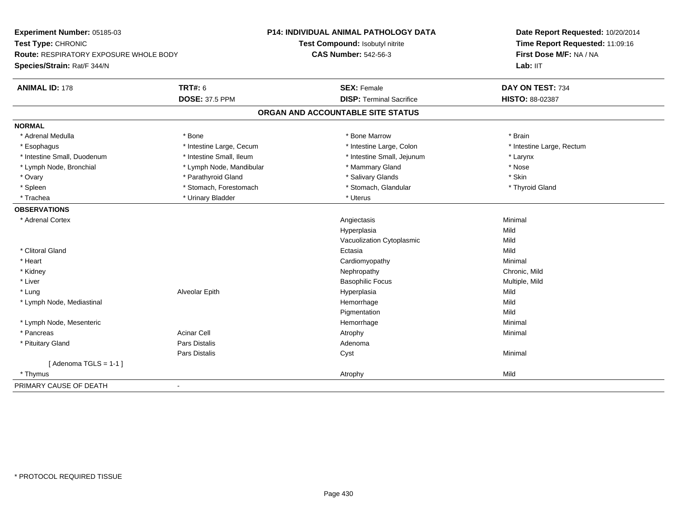| Experiment Number: 05185-03                                         |                          | P14: INDIVIDUAL ANIMAL PATHOLOGY DATA | Date Report Requested: 10/20/2014                          |
|---------------------------------------------------------------------|--------------------------|---------------------------------------|------------------------------------------------------------|
| Test Type: CHRONIC<br><b>Route: RESPIRATORY EXPOSURE WHOLE BODY</b> |                          | Test Compound: Isobutyl nitrite       | Time Report Requested: 11:09:16<br>First Dose M/F: NA / NA |
|                                                                     |                          | <b>CAS Number: 542-56-3</b>           |                                                            |
| Species/Strain: Rat/F 344/N                                         |                          |                                       | Lab: IIT                                                   |
| <b>ANIMAL ID: 178</b>                                               | <b>TRT#: 6</b>           | <b>SEX: Female</b>                    | DAY ON TEST: 734                                           |
|                                                                     | <b>DOSE: 37.5 PPM</b>    | <b>DISP: Terminal Sacrifice</b>       | HISTO: 88-02387                                            |
|                                                                     |                          | ORGAN AND ACCOUNTABLE SITE STATUS     |                                                            |
| <b>NORMAL</b>                                                       |                          |                                       |                                                            |
| * Adrenal Medulla                                                   | * Bone                   | * Bone Marrow                         | * Brain                                                    |
| * Esophagus                                                         | * Intestine Large, Cecum | * Intestine Large, Colon              | * Intestine Large, Rectum                                  |
| * Intestine Small, Duodenum                                         | * Intestine Small, Ileum | * Intestine Small, Jejunum            | * Larynx                                                   |
| * Lymph Node, Bronchial                                             | * Lymph Node, Mandibular | * Mammary Gland                       | * Nose                                                     |
| * Ovary                                                             | * Parathyroid Gland      | * Salivary Glands                     | * Skin                                                     |
| * Spleen                                                            | * Stomach, Forestomach   | * Stomach, Glandular                  | * Thyroid Gland                                            |
| * Trachea                                                           | * Urinary Bladder        | * Uterus                              |                                                            |
| <b>OBSERVATIONS</b>                                                 |                          |                                       |                                                            |
| * Adrenal Cortex                                                    |                          | Angiectasis                           | Minimal                                                    |
|                                                                     |                          | Hyperplasia                           | Mild                                                       |
|                                                                     |                          | Vacuolization Cytoplasmic             | Mild                                                       |
| * Clitoral Gland                                                    |                          | Ectasia                               | Mild                                                       |
| * Heart                                                             |                          | Cardiomyopathy                        | Minimal                                                    |
| * Kidney                                                            |                          | Nephropathy                           | Chronic, Mild                                              |
| * Liver                                                             |                          | <b>Basophilic Focus</b>               | Multiple, Mild                                             |
| * Lung                                                              | Alveolar Epith           | Hyperplasia                           | Mild                                                       |
| * Lymph Node, Mediastinal                                           |                          | Hemorrhage                            | Mild                                                       |
|                                                                     |                          | Pigmentation                          | Mild                                                       |
| * Lymph Node, Mesenteric                                            |                          | Hemorrhage                            | Minimal                                                    |
| * Pancreas                                                          | <b>Acinar Cell</b>       | Atrophy                               | Minimal                                                    |
| * Pituitary Gland                                                   | Pars Distalis            | Adenoma                               |                                                            |
|                                                                     | Pars Distalis            | Cyst                                  | Minimal                                                    |
| [Adenoma TGLS = $1-1$ ]                                             |                          |                                       |                                                            |
| * Thymus                                                            |                          | Atrophy                               | Mild                                                       |
| PRIMARY CAUSE OF DEATH                                              | $\blacksquare$           |                                       |                                                            |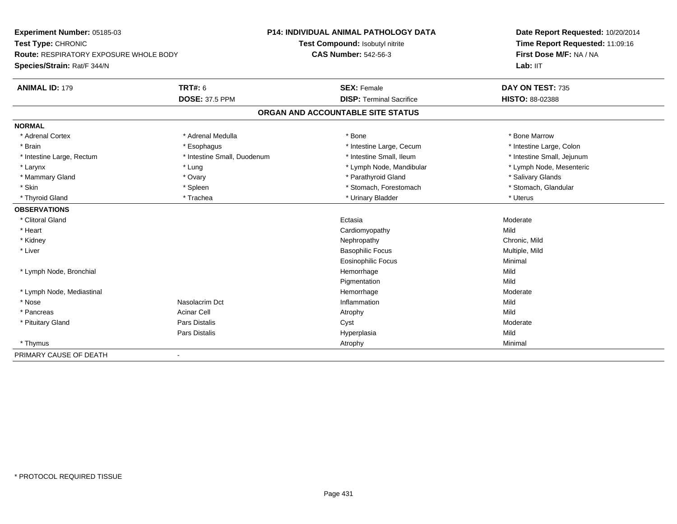| Experiment Number: 05185-03<br>Test Type: CHRONIC<br>Route: RESPIRATORY EXPOSURE WHOLE BODY |                             | <b>P14: INDIVIDUAL ANIMAL PATHOLOGY DATA</b> | Date Report Requested: 10/20/2014<br>Time Report Requested: 11:09:16<br>First Dose M/F: NA / NA |
|---------------------------------------------------------------------------------------------|-----------------------------|----------------------------------------------|-------------------------------------------------------------------------------------------------|
|                                                                                             |                             | Test Compound: Isobutyl nitrite              |                                                                                                 |
|                                                                                             |                             | <b>CAS Number: 542-56-3</b>                  |                                                                                                 |
| Species/Strain: Rat/F 344/N                                                                 |                             |                                              | Lab: IIT                                                                                        |
| <b>ANIMAL ID: 179</b>                                                                       | TRT#: 6                     | <b>SEX: Female</b>                           | DAY ON TEST: 735                                                                                |
|                                                                                             | <b>DOSE: 37.5 PPM</b>       | <b>DISP: Terminal Sacrifice</b>              | HISTO: 88-02388                                                                                 |
|                                                                                             |                             | ORGAN AND ACCOUNTABLE SITE STATUS            |                                                                                                 |
| <b>NORMAL</b>                                                                               |                             |                                              |                                                                                                 |
| * Adrenal Cortex                                                                            | * Adrenal Medulla           | * Bone                                       | * Bone Marrow                                                                                   |
| * Brain                                                                                     | * Esophagus                 | * Intestine Large, Cecum                     | * Intestine Large, Colon                                                                        |
| * Intestine Large, Rectum                                                                   | * Intestine Small, Duodenum | * Intestine Small. Ileum                     | * Intestine Small, Jejunum                                                                      |
| * Larynx                                                                                    | * Lung                      | * Lymph Node, Mandibular                     | * Lymph Node, Mesenteric                                                                        |
| * Mammary Gland                                                                             | * Ovary                     | * Parathyroid Gland                          | * Salivary Glands                                                                               |
| * Skin                                                                                      | * Spleen                    | * Stomach, Forestomach                       | * Stomach, Glandular                                                                            |
| * Thyroid Gland                                                                             | * Trachea                   | * Urinary Bladder                            | * Uterus                                                                                        |
| <b>OBSERVATIONS</b>                                                                         |                             |                                              |                                                                                                 |
| * Clitoral Gland                                                                            |                             | Ectasia                                      | Moderate                                                                                        |
| * Heart                                                                                     |                             | Cardiomyopathy                               | Mild                                                                                            |
| * Kidney                                                                                    |                             | Nephropathy                                  | Chronic, Mild                                                                                   |
| * Liver                                                                                     |                             | <b>Basophilic Focus</b>                      | Multiple, Mild                                                                                  |
|                                                                                             |                             | Eosinophilic Focus                           | Minimal                                                                                         |
| * Lymph Node, Bronchial                                                                     |                             | Hemorrhage                                   | Mild                                                                                            |
|                                                                                             |                             | Pigmentation                                 | Mild                                                                                            |
| * Lymph Node, Mediastinal                                                                   |                             | Hemorrhage                                   | Moderate                                                                                        |
| * Nose                                                                                      | Nasolacrim Dct              | Inflammation                                 | Mild                                                                                            |
| * Pancreas                                                                                  | <b>Acinar Cell</b>          | Atrophy                                      | Mild                                                                                            |
| * Pituitary Gland                                                                           | Pars Distalis               | Cyst                                         | Moderate                                                                                        |
|                                                                                             | Pars Distalis               | Hyperplasia                                  | Mild                                                                                            |
| * Thymus                                                                                    |                             | Atrophy                                      | Minimal                                                                                         |
| PRIMARY CAUSE OF DEATH                                                                      | $\blacksquare$              |                                              |                                                                                                 |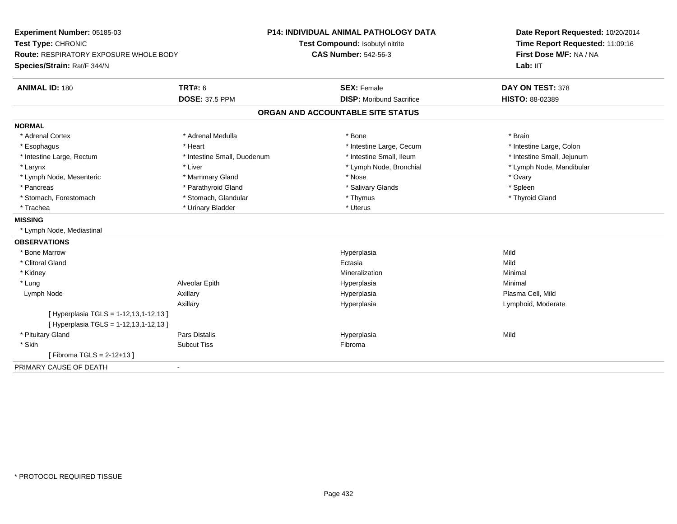| Experiment Number: 05185-03<br>Test Type: CHRONIC<br><b>Route: RESPIRATORY EXPOSURE WHOLE BODY</b> |                             | <b>P14: INDIVIDUAL ANIMAL PATHOLOGY DATA</b> | Date Report Requested: 10/20/2014<br>Time Report Requested: 11:09:16<br>First Dose M/F: NA / NA |
|----------------------------------------------------------------------------------------------------|-----------------------------|----------------------------------------------|-------------------------------------------------------------------------------------------------|
|                                                                                                    |                             | Test Compound: Isobutyl nitrite              |                                                                                                 |
|                                                                                                    |                             | <b>CAS Number: 542-56-3</b>                  |                                                                                                 |
| Species/Strain: Rat/F 344/N                                                                        |                             |                                              | Lab: IIT                                                                                        |
| <b>ANIMAL ID: 180</b>                                                                              | <b>TRT#: 6</b>              | <b>SEX: Female</b>                           | DAY ON TEST: 378                                                                                |
|                                                                                                    | <b>DOSE: 37.5 PPM</b>       | <b>DISP: Moribund Sacrifice</b>              | HISTO: 88-02389                                                                                 |
|                                                                                                    |                             | ORGAN AND ACCOUNTABLE SITE STATUS            |                                                                                                 |
| <b>NORMAL</b>                                                                                      |                             |                                              |                                                                                                 |
| * Adrenal Cortex                                                                                   | * Adrenal Medulla           | * Bone                                       | * Brain                                                                                         |
| * Esophagus                                                                                        | * Heart                     | * Intestine Large, Cecum                     | * Intestine Large, Colon                                                                        |
| * Intestine Large, Rectum                                                                          | * Intestine Small, Duodenum | * Intestine Small, Ileum                     | * Intestine Small, Jejunum                                                                      |
| * Larynx                                                                                           | * Liver                     | * Lymph Node, Bronchial                      | * Lymph Node, Mandibular                                                                        |
| * Lymph Node, Mesenteric                                                                           | * Mammary Gland             | * Nose                                       | * Ovary                                                                                         |
| * Pancreas                                                                                         | * Parathyroid Gland         | * Salivary Glands                            | * Spleen                                                                                        |
| * Stomach, Forestomach                                                                             | * Stomach, Glandular        | * Thymus                                     | * Thyroid Gland                                                                                 |
| * Trachea                                                                                          | * Urinary Bladder           | * Uterus                                     |                                                                                                 |
| <b>MISSING</b>                                                                                     |                             |                                              |                                                                                                 |
| * Lymph Node, Mediastinal                                                                          |                             |                                              |                                                                                                 |
| <b>OBSERVATIONS</b>                                                                                |                             |                                              |                                                                                                 |
| * Bone Marrow                                                                                      |                             | Hyperplasia                                  | Mild                                                                                            |
| * Clitoral Gland                                                                                   |                             | Ectasia                                      | Mild                                                                                            |
| * Kidney                                                                                           |                             | Mineralization                               | Minimal                                                                                         |
| * Lung                                                                                             | Alveolar Epith              | Hyperplasia                                  | Minimal                                                                                         |
| Lymph Node                                                                                         | Axillary                    | Hyperplasia                                  | Plasma Cell, Mild                                                                               |
|                                                                                                    | Axillary                    | Hyperplasia                                  | Lymphoid, Moderate                                                                              |
| [ Hyperplasia TGLS = 1-12,13,1-12,13 ]                                                             |                             |                                              |                                                                                                 |
| [ Hyperplasia TGLS = 1-12,13,1-12,13 ]                                                             |                             |                                              |                                                                                                 |
| * Pituitary Gland                                                                                  | <b>Pars Distalis</b>        | Hyperplasia                                  | Mild                                                                                            |
| * Skin                                                                                             | <b>Subcut Tiss</b>          | Fibroma                                      |                                                                                                 |
| [ Fibroma TGLS = $2 - 12 + 13$ ]                                                                   |                             |                                              |                                                                                                 |
| PRIMARY CAUSE OF DEATH                                                                             | $\blacksquare$              |                                              |                                                                                                 |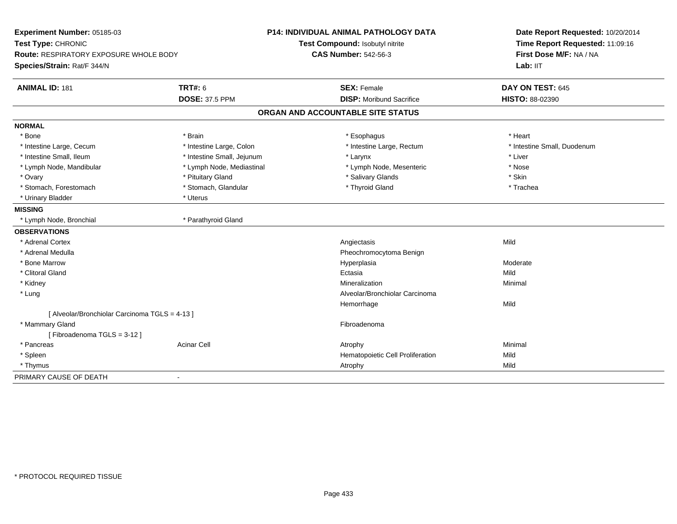| Experiment Number: 05185-03                                  |                            | <b>P14: INDIVIDUAL ANIMAL PATHOLOGY DATA</b> | Date Report Requested: 10/20/2014                          |
|--------------------------------------------------------------|----------------------------|----------------------------------------------|------------------------------------------------------------|
| Test Type: CHRONIC<br>Route: RESPIRATORY EXPOSURE WHOLE BODY |                            | Test Compound: Isobutyl nitrite              | Time Report Requested: 11:09:16<br>First Dose M/F: NA / NA |
|                                                              |                            | <b>CAS Number: 542-56-3</b>                  |                                                            |
| Species/Strain: Rat/F 344/N                                  |                            |                                              | Lab: IIT                                                   |
| <b>ANIMAL ID: 181</b>                                        | <b>TRT#: 6</b>             | <b>SEX: Female</b>                           | DAY ON TEST: 645                                           |
|                                                              | <b>DOSE: 37.5 PPM</b>      | <b>DISP: Moribund Sacrifice</b>              | HISTO: 88-02390                                            |
|                                                              |                            | ORGAN AND ACCOUNTABLE SITE STATUS            |                                                            |
| <b>NORMAL</b>                                                |                            |                                              |                                                            |
| * Bone                                                       | * Brain                    | * Esophagus                                  | * Heart                                                    |
| * Intestine Large, Cecum                                     | * Intestine Large, Colon   | * Intestine Large, Rectum                    | * Intestine Small, Duodenum                                |
| * Intestine Small, Ileum                                     | * Intestine Small, Jejunum | * Larynx                                     | * Liver                                                    |
| * Lymph Node, Mandibular                                     | * Lymph Node, Mediastinal  | * Lymph Node, Mesenteric                     | * Nose                                                     |
| * Ovary                                                      | * Pituitary Gland          | * Salivary Glands                            | * Skin                                                     |
| * Stomach, Forestomach                                       | * Stomach, Glandular       | * Thyroid Gland                              | * Trachea                                                  |
| * Urinary Bladder                                            | * Uterus                   |                                              |                                                            |
| <b>MISSING</b>                                               |                            |                                              |                                                            |
| * Lymph Node, Bronchial                                      | * Parathyroid Gland        |                                              |                                                            |
| <b>OBSERVATIONS</b>                                          |                            |                                              |                                                            |
| * Adrenal Cortex                                             |                            | Angiectasis                                  | Mild                                                       |
| * Adrenal Medulla                                            |                            | Pheochromocytoma Benign                      |                                                            |
| * Bone Marrow                                                |                            | Hyperplasia                                  | Moderate                                                   |
| * Clitoral Gland                                             |                            | Ectasia                                      | Mild                                                       |
| * Kidney                                                     |                            | Mineralization                               | Minimal                                                    |
| * Lung                                                       |                            | Alveolar/Bronchiolar Carcinoma               |                                                            |
|                                                              |                            | Hemorrhage                                   | Mild                                                       |
| [ Alveolar/Bronchiolar Carcinoma TGLS = 4-13 ]               |                            |                                              |                                                            |
| * Mammary Gland                                              |                            | Fibroadenoma                                 |                                                            |
| [Fibroadenoma TGLS = 3-12]                                   |                            |                                              |                                                            |
| * Pancreas                                                   | <b>Acinar Cell</b>         | Atrophy                                      | Minimal                                                    |
| * Spleen                                                     |                            | Hematopoietic Cell Proliferation             | Mild                                                       |
| * Thymus                                                     |                            | Atrophy                                      | Mild                                                       |
| PRIMARY CAUSE OF DEATH                                       | $\blacksquare$             |                                              |                                                            |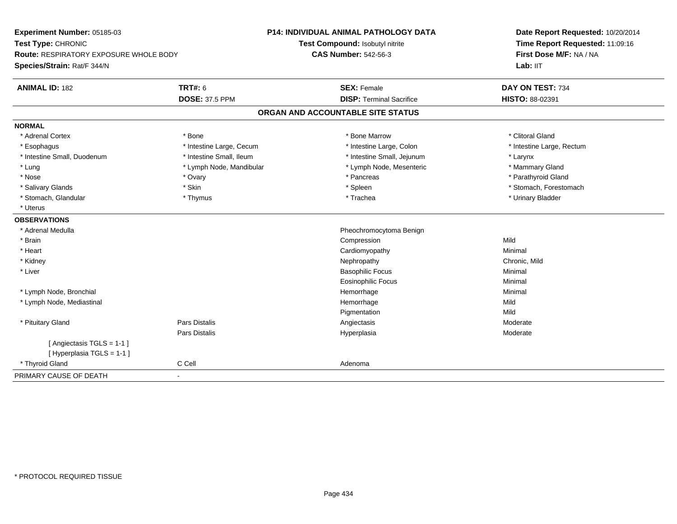| Experiment Number: 05185-03                                         |                          | P14: INDIVIDUAL ANIMAL PATHOLOGY DATA | Date Report Requested: 10/20/2014 |
|---------------------------------------------------------------------|--------------------------|---------------------------------------|-----------------------------------|
| Test Type: CHRONIC<br><b>Route: RESPIRATORY EXPOSURE WHOLE BODY</b> |                          | Test Compound: Isobutyl nitrite       | Time Report Requested: 11:09:16   |
|                                                                     |                          | <b>CAS Number: 542-56-3</b>           | First Dose M/F: NA / NA           |
| Species/Strain: Rat/F 344/N                                         |                          |                                       | Lab: IIT                          |
| <b>ANIMAL ID: 182</b>                                               | TRT#: 6                  | <b>SEX: Female</b>                    | DAY ON TEST: 734                  |
|                                                                     | <b>DOSE: 37.5 PPM</b>    | <b>DISP: Terminal Sacrifice</b>       | HISTO: 88-02391                   |
|                                                                     |                          | ORGAN AND ACCOUNTABLE SITE STATUS     |                                   |
| <b>NORMAL</b>                                                       |                          |                                       |                                   |
| * Adrenal Cortex                                                    | * Bone                   | * Bone Marrow                         | * Clitoral Gland                  |
| * Esophagus                                                         | * Intestine Large, Cecum | * Intestine Large, Colon              | * Intestine Large, Rectum         |
| * Intestine Small, Duodenum                                         | * Intestine Small, Ileum | * Intestine Small, Jejunum            | * Larynx                          |
| * Lung                                                              | * Lymph Node, Mandibular | * Lymph Node, Mesenteric              | * Mammary Gland                   |
| * Nose                                                              | * Ovary                  | * Pancreas                            | * Parathyroid Gland               |
| * Salivary Glands                                                   | * Skin                   | * Spleen                              | * Stomach, Forestomach            |
| * Stomach, Glandular                                                | * Thymus                 | * Trachea                             | * Urinary Bladder                 |
| * Uterus                                                            |                          |                                       |                                   |
| <b>OBSERVATIONS</b>                                                 |                          |                                       |                                   |
| * Adrenal Medulla                                                   |                          | Pheochromocytoma Benign               |                                   |
| * Brain                                                             |                          | Compression                           | Mild                              |
| * Heart                                                             |                          | Cardiomyopathy                        | Minimal                           |
| * Kidney                                                            |                          | Nephropathy                           | Chronic, Mild                     |
| * Liver                                                             |                          | <b>Basophilic Focus</b>               | Minimal                           |
|                                                                     |                          | <b>Eosinophilic Focus</b>             | Minimal                           |
| * Lymph Node, Bronchial                                             |                          | Hemorrhage                            | Minimal                           |
| * Lymph Node, Mediastinal                                           |                          | Hemorrhage                            | Mild                              |
|                                                                     |                          | Pigmentation                          | Mild                              |
| * Pituitary Gland                                                   | Pars Distalis            | Angiectasis                           | Moderate                          |
|                                                                     | Pars Distalis            | Hyperplasia                           | Moderate                          |
| [ Angiectasis TGLS = 1-1 ]                                          |                          |                                       |                                   |
| [Hyperplasia TGLS = 1-1]                                            |                          |                                       |                                   |
| * Thyroid Gland                                                     | C Cell                   | Adenoma                               |                                   |
| PRIMARY CAUSE OF DEATH                                              | $\blacksquare$           |                                       |                                   |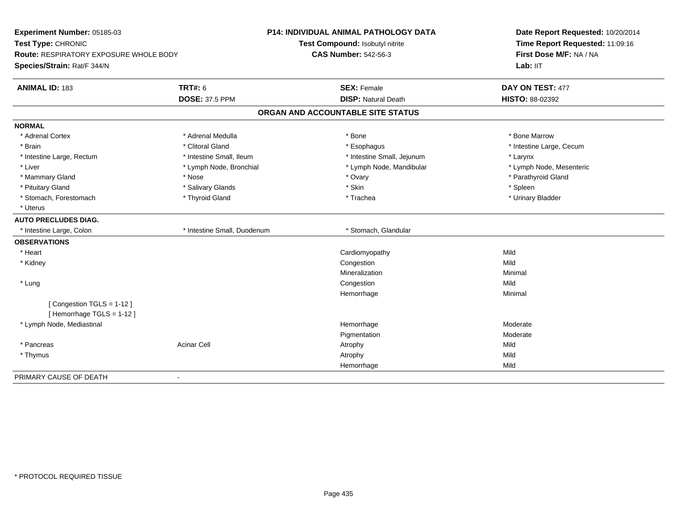| Experiment Number: 05185-03                          |                             | <b>P14: INDIVIDUAL ANIMAL PATHOLOGY DATA</b> | Date Report Requested: 10/20/2014<br>Time Report Requested: 11:09:16<br>First Dose M/F: NA / NA |
|------------------------------------------------------|-----------------------------|----------------------------------------------|-------------------------------------------------------------------------------------------------|
| Test Type: CHRONIC                                   |                             | Test Compound: Isobutyl nitrite              |                                                                                                 |
| <b>Route: RESPIRATORY EXPOSURE WHOLE BODY</b>        |                             | <b>CAS Number: 542-56-3</b>                  |                                                                                                 |
| Species/Strain: Rat/F 344/N                          |                             |                                              | Lab: IIT                                                                                        |
| <b>ANIMAL ID: 183</b>                                | <b>TRT#: 6</b>              | <b>SEX: Female</b>                           | DAY ON TEST: 477                                                                                |
|                                                      | <b>DOSE: 37.5 PPM</b>       | <b>DISP: Natural Death</b>                   | HISTO: 88-02392                                                                                 |
|                                                      |                             | ORGAN AND ACCOUNTABLE SITE STATUS            |                                                                                                 |
| <b>NORMAL</b>                                        |                             |                                              |                                                                                                 |
| * Adrenal Cortex                                     | * Adrenal Medulla           | * Bone                                       | * Bone Marrow                                                                                   |
| * Brain                                              | * Clitoral Gland            | * Esophagus                                  | * Intestine Large, Cecum                                                                        |
| * Intestine Large, Rectum                            | * Intestine Small, Ileum    | * Intestine Small, Jejunum                   | * Larynx                                                                                        |
| * Liver                                              | * Lymph Node, Bronchial     | * Lymph Node, Mandibular                     | * Lymph Node, Mesenteric                                                                        |
| * Mammary Gland                                      | * Nose                      | * Ovary                                      | * Parathyroid Gland                                                                             |
| * Pituitary Gland                                    | * Salivary Glands           | * Skin                                       | * Spleen                                                                                        |
| * Stomach, Forestomach                               | * Thyroid Gland             | * Trachea                                    | * Urinary Bladder                                                                               |
| * Uterus                                             |                             |                                              |                                                                                                 |
| <b>AUTO PRECLUDES DIAG.</b>                          |                             |                                              |                                                                                                 |
| * Intestine Large, Colon                             | * Intestine Small, Duodenum | * Stomach, Glandular                         |                                                                                                 |
| <b>OBSERVATIONS</b>                                  |                             |                                              |                                                                                                 |
| * Heart                                              |                             | Cardiomyopathy                               | Mild                                                                                            |
| * Kidney                                             |                             | Congestion                                   | Mild                                                                                            |
|                                                      |                             | Mineralization                               | Minimal                                                                                         |
| * Lung                                               |                             | Congestion                                   | Mild                                                                                            |
|                                                      |                             | Hemorrhage                                   | Minimal                                                                                         |
| [Congestion TGLS = 1-12]<br>[Hemorrhage TGLS = 1-12] |                             |                                              |                                                                                                 |
| * Lymph Node, Mediastinal                            |                             | Hemorrhage                                   | Moderate                                                                                        |
|                                                      |                             | Pigmentation                                 | Moderate                                                                                        |
| * Pancreas                                           | <b>Acinar Cell</b>          | Atrophy                                      | Mild                                                                                            |
| * Thymus                                             |                             | Atrophy                                      | Mild                                                                                            |
|                                                      |                             | Hemorrhage                                   | Mild                                                                                            |
| PRIMARY CAUSE OF DEATH                               | $\blacksquare$              |                                              |                                                                                                 |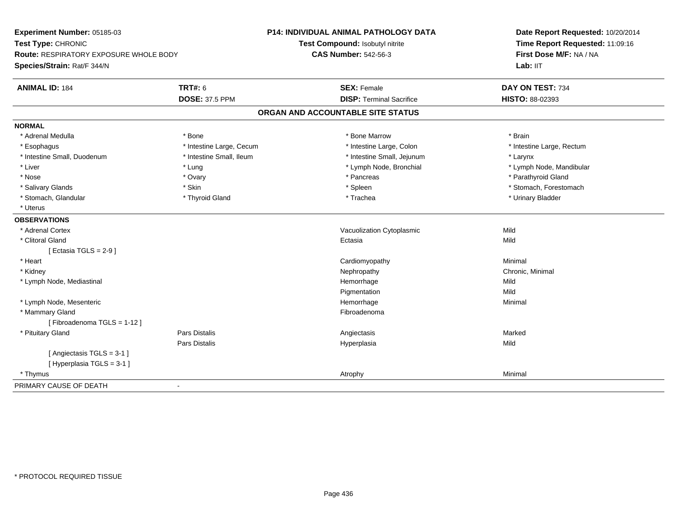| Experiment Number: 05185-03                                         |                          | <b>P14: INDIVIDUAL ANIMAL PATHOLOGY DATA</b> | Date Report Requested: 10/20/2014                          |
|---------------------------------------------------------------------|--------------------------|----------------------------------------------|------------------------------------------------------------|
| Test Type: CHRONIC<br><b>Route: RESPIRATORY EXPOSURE WHOLE BODY</b> |                          | Test Compound: Isobutyl nitrite              | Time Report Requested: 11:09:16<br>First Dose M/F: NA / NA |
|                                                                     |                          | <b>CAS Number: 542-56-3</b>                  | Lab: IIT                                                   |
| Species/Strain: Rat/F 344/N                                         |                          |                                              |                                                            |
| <b>ANIMAL ID: 184</b>                                               | <b>TRT#: 6</b>           | <b>SEX: Female</b>                           | DAY ON TEST: 734                                           |
|                                                                     | <b>DOSE: 37.5 PPM</b>    | <b>DISP: Terminal Sacrifice</b>              | HISTO: 88-02393                                            |
|                                                                     |                          | ORGAN AND ACCOUNTABLE SITE STATUS            |                                                            |
| <b>NORMAL</b>                                                       |                          |                                              |                                                            |
| * Adrenal Medulla                                                   | * Bone                   | * Bone Marrow                                | * Brain                                                    |
| * Esophagus                                                         | * Intestine Large, Cecum | * Intestine Large, Colon                     | * Intestine Large, Rectum                                  |
| * Intestine Small, Duodenum                                         | * Intestine Small, Ileum | * Intestine Small, Jejunum                   | * Larynx                                                   |
| * Liver                                                             | * Lung                   | * Lymph Node, Bronchial                      | * Lymph Node, Mandibular                                   |
| * Nose                                                              | * Ovary                  | * Pancreas                                   | * Parathyroid Gland                                        |
| * Salivary Glands                                                   | * Skin                   | * Spleen                                     | * Stomach, Forestomach                                     |
| * Stomach, Glandular                                                | * Thyroid Gland          | * Trachea                                    | * Urinary Bladder                                          |
| * Uterus                                                            |                          |                                              |                                                            |
| <b>OBSERVATIONS</b>                                                 |                          |                                              |                                                            |
| * Adrenal Cortex                                                    |                          | Vacuolization Cytoplasmic                    | Mild                                                       |
| * Clitoral Gland                                                    |                          | Ectasia                                      | Mild                                                       |
| [ Ectasia TGLS = $2-9$ ]                                            |                          |                                              |                                                            |
| * Heart                                                             |                          | Cardiomyopathy                               | Minimal                                                    |
| * Kidney                                                            |                          | Nephropathy                                  | Chronic, Minimal                                           |
| * Lymph Node, Mediastinal                                           |                          | Hemorrhage                                   | Mild                                                       |
|                                                                     |                          | Pigmentation                                 | Mild                                                       |
| * Lymph Node, Mesenteric                                            |                          | Hemorrhage                                   | Minimal                                                    |
| * Mammary Gland                                                     |                          | Fibroadenoma                                 |                                                            |
| [Fibroadenoma TGLS = 1-12]                                          |                          |                                              |                                                            |
| * Pituitary Gland                                                   | Pars Distalis            | Angiectasis                                  | Marked                                                     |
|                                                                     | <b>Pars Distalis</b>     | Hyperplasia                                  | Mild                                                       |
| [Angiectasis TGLS = 3-1]                                            |                          |                                              |                                                            |
| [ Hyperplasia TGLS = 3-1 ]                                          |                          |                                              |                                                            |
| * Thymus                                                            |                          | Atrophy                                      | Minimal                                                    |
| PRIMARY CAUSE OF DEATH                                              | $\sim$                   |                                              |                                                            |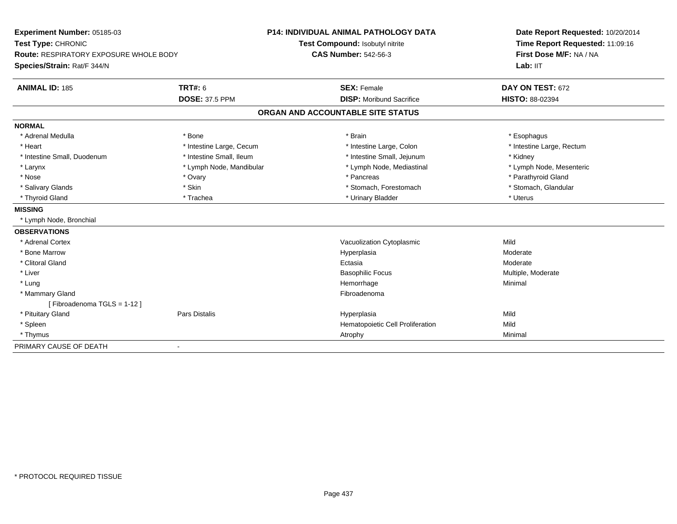| Experiment Number: 05185-03            |                          | <b>P14: INDIVIDUAL ANIMAL PATHOLOGY DATA</b> | Date Report Requested: 10/20/2014                          |
|----------------------------------------|--------------------------|----------------------------------------------|------------------------------------------------------------|
| Test Type: CHRONIC                     |                          | Test Compound: Isobutyl nitrite              | Time Report Requested: 11:09:16<br>First Dose M/F: NA / NA |
| Route: RESPIRATORY EXPOSURE WHOLE BODY |                          | <b>CAS Number: 542-56-3</b>                  |                                                            |
| Species/Strain: Rat/F 344/N            |                          |                                              | Lab: IIT                                                   |
| <b>ANIMAL ID: 185</b>                  | <b>TRT#: 6</b>           | <b>SEX: Female</b>                           | DAY ON TEST: 672                                           |
|                                        | <b>DOSE: 37.5 PPM</b>    | <b>DISP: Moribund Sacrifice</b>              | HISTO: 88-02394                                            |
|                                        |                          | ORGAN AND ACCOUNTABLE SITE STATUS            |                                                            |
| <b>NORMAL</b>                          |                          |                                              |                                                            |
| * Adrenal Medulla                      | * Bone                   | * Brain                                      | * Esophagus                                                |
| * Heart                                | * Intestine Large, Cecum | * Intestine Large, Colon                     | * Intestine Large, Rectum                                  |
| * Intestine Small, Duodenum            | * Intestine Small, Ileum | * Intestine Small, Jejunum                   | * Kidney                                                   |
| * Larynx                               | * Lymph Node, Mandibular | * Lymph Node, Mediastinal                    | * Lymph Node, Mesenteric                                   |
| * Nose                                 | * Ovary                  | * Pancreas                                   | * Parathyroid Gland                                        |
| * Salivary Glands                      | * Skin                   | * Stomach, Forestomach                       | * Stomach, Glandular                                       |
| * Thyroid Gland                        | * Trachea                | * Urinary Bladder                            | * Uterus                                                   |
| <b>MISSING</b>                         |                          |                                              |                                                            |
| * Lymph Node, Bronchial                |                          |                                              |                                                            |
| <b>OBSERVATIONS</b>                    |                          |                                              |                                                            |
| * Adrenal Cortex                       |                          | Vacuolization Cytoplasmic                    | Mild                                                       |
| * Bone Marrow                          |                          | Hyperplasia                                  | Moderate                                                   |
| * Clitoral Gland                       |                          | Ectasia                                      | Moderate                                                   |
| * Liver                                |                          | <b>Basophilic Focus</b>                      | Multiple, Moderate                                         |
| * Lung                                 |                          | Hemorrhage                                   | Minimal                                                    |
| * Mammary Gland                        |                          | Fibroadenoma                                 |                                                            |
| [Fibroadenoma TGLS = 1-12]             |                          |                                              |                                                            |
| * Pituitary Gland                      | <b>Pars Distalis</b>     | Hyperplasia                                  | Mild                                                       |
| * Spleen                               |                          | Hematopoietic Cell Proliferation             | Mild                                                       |
| * Thymus                               |                          | Atrophy                                      | Minimal                                                    |
| PRIMARY CAUSE OF DEATH                 |                          |                                              |                                                            |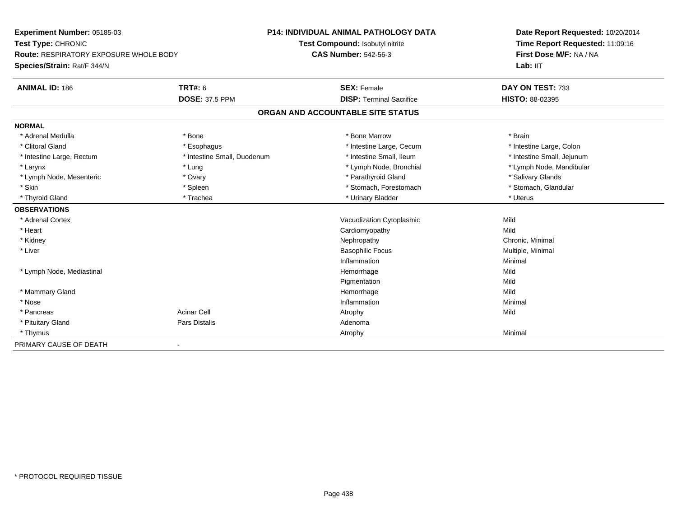| Experiment Number: 05185-03            |                             | <b>P14: INDIVIDUAL ANIMAL PATHOLOGY DATA</b> | Date Report Requested: 10/20/2014 |
|----------------------------------------|-----------------------------|----------------------------------------------|-----------------------------------|
| Test Type: CHRONIC                     |                             | Test Compound: Isobutyl nitrite              | Time Report Requested: 11:09:16   |
| Route: RESPIRATORY EXPOSURE WHOLE BODY |                             | <b>CAS Number: 542-56-3</b>                  | First Dose M/F: NA / NA           |
| Species/Strain: Rat/F 344/N            |                             |                                              | Lab: IIT                          |
| <b>ANIMAL ID: 186</b>                  | <b>TRT#: 6</b>              | <b>SEX: Female</b>                           | DAY ON TEST: 733                  |
|                                        | <b>DOSE: 37.5 PPM</b>       | <b>DISP: Terminal Sacrifice</b>              | HISTO: 88-02395                   |
|                                        |                             | ORGAN AND ACCOUNTABLE SITE STATUS            |                                   |
| <b>NORMAL</b>                          |                             |                                              |                                   |
| * Adrenal Medulla                      | * Bone                      | * Bone Marrow                                | * Brain                           |
| * Clitoral Gland                       | * Esophagus                 | * Intestine Large, Cecum                     | * Intestine Large, Colon          |
| * Intestine Large, Rectum              | * Intestine Small, Duodenum | * Intestine Small, Ileum                     | * Intestine Small, Jejunum        |
| * Larynx                               | * Lung                      | * Lymph Node, Bronchial                      | * Lymph Node, Mandibular          |
| * Lymph Node, Mesenteric               | * Ovary                     | * Parathyroid Gland                          | * Salivary Glands                 |
| * Skin                                 | * Spleen                    | * Stomach, Forestomach                       | * Stomach, Glandular              |
| * Thyroid Gland                        | * Trachea                   | * Urinary Bladder                            | * Uterus                          |
| <b>OBSERVATIONS</b>                    |                             |                                              |                                   |
| * Adrenal Cortex                       |                             | Vacuolization Cytoplasmic                    | Mild                              |
| * Heart                                |                             | Cardiomyopathy                               | Mild                              |
| * Kidney                               |                             | Nephropathy                                  | Chronic, Minimal                  |
| * Liver                                |                             | <b>Basophilic Focus</b>                      | Multiple, Minimal                 |
|                                        |                             | Inflammation                                 | Minimal                           |
| * Lymph Node, Mediastinal              |                             | Hemorrhage                                   | Mild                              |
|                                        |                             | Pigmentation                                 | Mild                              |
| * Mammary Gland                        |                             | Hemorrhage                                   | Mild                              |
| * Nose                                 |                             | Inflammation                                 | Minimal                           |
| * Pancreas                             | <b>Acinar Cell</b>          | Atrophy                                      | Mild                              |
| * Pituitary Gland                      | Pars Distalis               | Adenoma                                      |                                   |
| * Thymus                               |                             | Atrophy                                      | Minimal                           |
| PRIMARY CAUSE OF DEATH                 |                             |                                              |                                   |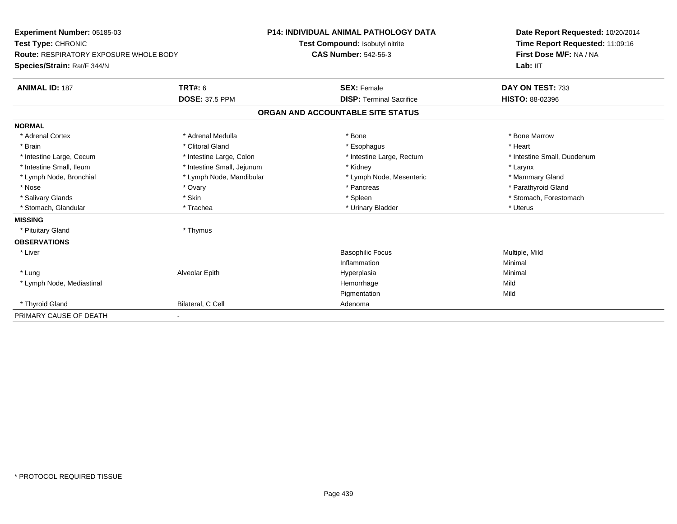| Experiment Number: 05185-03<br>Test Type: CHRONIC<br><b>Route: RESPIRATORY EXPOSURE WHOLE BODY</b><br>Species/Strain: Rat/F 344/N                                                                                             |                                                                                                                                                                           | <b>P14: INDIVIDUAL ANIMAL PATHOLOGY DATA</b><br>Test Compound: Isobutyl nitrite<br><b>CAS Number: 542-56-3</b>                            | Date Report Requested: 10/20/2014<br>Time Report Requested: 11:09:16<br>First Dose M/F: NA / NA<br>Lab: IIT                                         |
|-------------------------------------------------------------------------------------------------------------------------------------------------------------------------------------------------------------------------------|---------------------------------------------------------------------------------------------------------------------------------------------------------------------------|-------------------------------------------------------------------------------------------------------------------------------------------|-----------------------------------------------------------------------------------------------------------------------------------------------------|
| <b>ANIMAL ID: 187</b>                                                                                                                                                                                                         | <b>TRT#: 6</b><br><b>DOSE: 37.5 PPM</b>                                                                                                                                   | <b>SEX: Female</b><br><b>DISP: Terminal Sacrifice</b>                                                                                     | DAY ON TEST: 733<br><b>HISTO: 88-02396</b>                                                                                                          |
|                                                                                                                                                                                                                               |                                                                                                                                                                           | ORGAN AND ACCOUNTABLE SITE STATUS                                                                                                         |                                                                                                                                                     |
|                                                                                                                                                                                                                               |                                                                                                                                                                           |                                                                                                                                           |                                                                                                                                                     |
| <b>NORMAL</b><br>* Adrenal Cortex<br>* Brain<br>* Intestine Large, Cecum<br>* Intestine Small, Ileum<br>* Lymph Node, Bronchial<br>* Nose<br>* Salivary Glands<br>* Stomach, Glandular<br><b>MISSING</b><br>* Pituitary Gland | * Adrenal Medulla<br>* Clitoral Gland<br>* Intestine Large, Colon<br>* Intestine Small, Jejunum<br>* Lymph Node, Mandibular<br>* Ovary<br>* Skin<br>* Trachea<br>* Thymus | * Bone<br>* Esophagus<br>* Intestine Large, Rectum<br>* Kidney<br>* Lymph Node, Mesenteric<br>* Pancreas<br>* Spleen<br>* Urinary Bladder | * Bone Marrow<br>* Heart<br>* Intestine Small, Duodenum<br>* Larynx<br>* Mammary Gland<br>* Parathyroid Gland<br>* Stomach, Forestomach<br>* Uterus |
| <b>OBSERVATIONS</b><br>* Liver<br>* Lung<br>* Lymph Node, Mediastinal<br>* Thyroid Gland<br>PRIMARY CAUSE OF DEATH                                                                                                            | Alveolar Epith<br>Bilateral, C Cell<br>٠                                                                                                                                  | <b>Basophilic Focus</b><br>Inflammation<br>Hyperplasia<br>Hemorrhage<br>Pigmentation<br>Adenoma                                           | Multiple, Mild<br>Minimal<br>Minimal<br>Mild<br>Mild                                                                                                |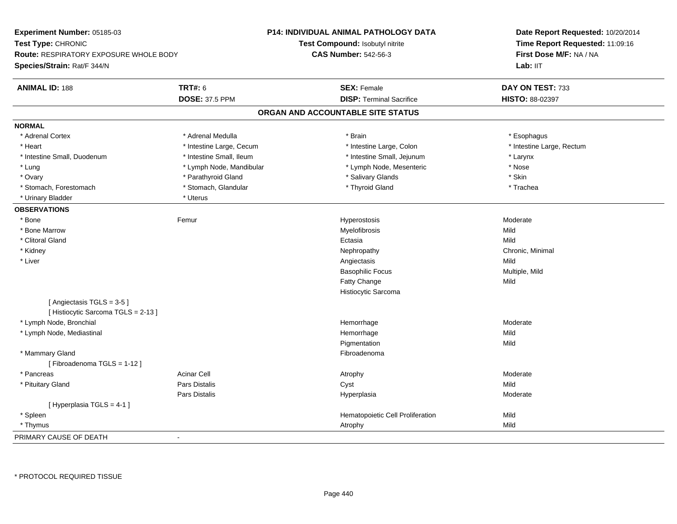| Experiment Number: 05185-03                                   |                          | <b>P14: INDIVIDUAL ANIMAL PATHOLOGY DATA</b> | Date Report Requested: 10/20/2014 |  |
|---------------------------------------------------------------|--------------------------|----------------------------------------------|-----------------------------------|--|
| Test Type: CHRONIC                                            |                          | Test Compound: Isobutyl nitrite              | Time Report Requested: 11:09:16   |  |
| <b>Route: RESPIRATORY EXPOSURE WHOLE BODY</b>                 |                          | <b>CAS Number: 542-56-3</b>                  | First Dose M/F: NA / NA           |  |
| Species/Strain: Rat/F 344/N                                   |                          |                                              | Lab: IIT                          |  |
| <b>ANIMAL ID: 188</b>                                         | <b>TRT#: 6</b>           | <b>SEX: Female</b>                           | DAY ON TEST: 733                  |  |
|                                                               | <b>DOSE: 37.5 PPM</b>    | <b>DISP: Terminal Sacrifice</b>              | HISTO: 88-02397                   |  |
|                                                               |                          | ORGAN AND ACCOUNTABLE SITE STATUS            |                                   |  |
| <b>NORMAL</b>                                                 |                          |                                              |                                   |  |
| * Adrenal Cortex                                              | * Adrenal Medulla        | * Brain                                      | * Esophagus                       |  |
| * Heart                                                       | * Intestine Large, Cecum | * Intestine Large, Colon                     | * Intestine Large, Rectum         |  |
| * Intestine Small, Duodenum                                   | * Intestine Small, Ileum | * Intestine Small, Jejunum                   | * Larynx                          |  |
| * Lung                                                        | * Lymph Node, Mandibular | * Lymph Node, Mesenteric                     | * Nose                            |  |
| * Ovary                                                       | * Parathyroid Gland      | * Salivary Glands                            | * Skin                            |  |
| * Stomach, Forestomach                                        | * Stomach, Glandular     | * Thyroid Gland                              | * Trachea                         |  |
| * Urinary Bladder                                             | * Uterus                 |                                              |                                   |  |
| <b>OBSERVATIONS</b>                                           |                          |                                              |                                   |  |
| * Bone                                                        | Femur                    | Hyperostosis                                 | Moderate                          |  |
| * Bone Marrow                                                 |                          | Myelofibrosis                                | Mild                              |  |
| * Clitoral Gland                                              |                          | Ectasia                                      | Mild                              |  |
| * Kidney                                                      |                          | Nephropathy                                  | Chronic, Minimal                  |  |
| * Liver                                                       |                          | Angiectasis                                  | Mild                              |  |
|                                                               |                          | <b>Basophilic Focus</b>                      | Multiple, Mild                    |  |
|                                                               |                          | Fatty Change                                 | Mild                              |  |
|                                                               |                          | Histiocytic Sarcoma                          |                                   |  |
| [Angiectasis TGLS = 3-5]<br>[Histiocytic Sarcoma TGLS = 2-13] |                          |                                              |                                   |  |
| * Lymph Node, Bronchial                                       |                          | Hemorrhage                                   | Moderate                          |  |
| * Lymph Node, Mediastinal                                     |                          | Hemorrhage                                   | Mild                              |  |
|                                                               |                          | Pigmentation                                 | Mild                              |  |
| * Mammary Gland<br>[Fibroadenoma TGLS = 1-12]                 |                          | Fibroadenoma                                 |                                   |  |
| * Pancreas                                                    | <b>Acinar Cell</b>       | Atrophy                                      | Moderate                          |  |
| * Pituitary Gland                                             | Pars Distalis            | Cyst                                         | Mild                              |  |
|                                                               | Pars Distalis            | Hyperplasia                                  | Moderate                          |  |
| [Hyperplasia TGLS = 4-1]                                      |                          |                                              |                                   |  |
| * Spleen                                                      |                          | Hematopoietic Cell Proliferation             | Mild                              |  |
| * Thymus                                                      |                          | Atrophy                                      | Mild                              |  |
| PRIMARY CAUSE OF DEATH                                        | ÷,                       |                                              |                                   |  |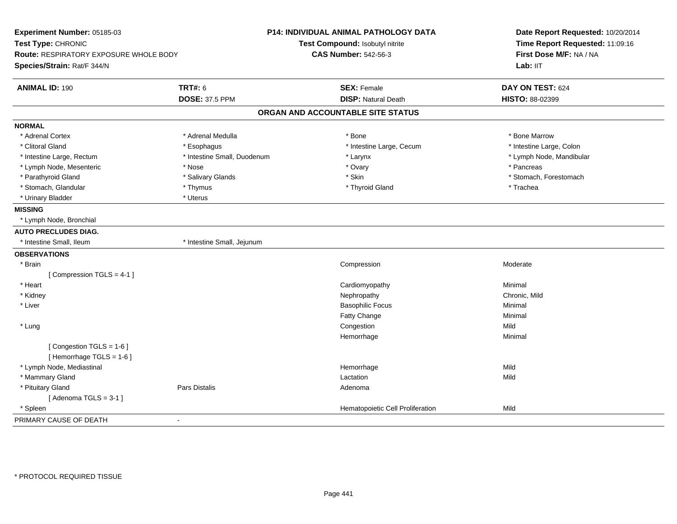| Experiment Number: 05185-03<br>Test Type: CHRONIC<br>Route: RESPIRATORY EXPOSURE WHOLE BODY<br>Species/Strain: Rat/F 344/N |                             | P14: INDIVIDUAL ANIMAL PATHOLOGY DATA<br>Test Compound: Isobutyl nitrite<br><b>CAS Number: 542-56-3</b> | Date Report Requested: 10/20/2014<br>Time Report Requested: 11:09:16<br>First Dose M/F: NA / NA<br>Lab: IIT |
|----------------------------------------------------------------------------------------------------------------------------|-----------------------------|---------------------------------------------------------------------------------------------------------|-------------------------------------------------------------------------------------------------------------|
| <b>ANIMAL ID: 190</b>                                                                                                      | <b>TRT#: 6</b>              | <b>SEX: Female</b>                                                                                      | DAY ON TEST: 624                                                                                            |
|                                                                                                                            | <b>DOSE: 37.5 PPM</b>       | <b>DISP: Natural Death</b>                                                                              | HISTO: 88-02399                                                                                             |
|                                                                                                                            |                             | ORGAN AND ACCOUNTABLE SITE STATUS                                                                       |                                                                                                             |
| <b>NORMAL</b>                                                                                                              |                             |                                                                                                         |                                                                                                             |
| * Adrenal Cortex                                                                                                           | * Adrenal Medulla           | * Bone                                                                                                  | * Bone Marrow                                                                                               |
| * Clitoral Gland                                                                                                           | * Esophagus                 | * Intestine Large, Cecum                                                                                | * Intestine Large, Colon                                                                                    |
| * Intestine Large, Rectum                                                                                                  | * Intestine Small, Duodenum | * Larynx                                                                                                | * Lymph Node, Mandibular                                                                                    |
| * Lymph Node, Mesenteric                                                                                                   | * Nose                      | * Ovary                                                                                                 | * Pancreas                                                                                                  |
| * Parathyroid Gland                                                                                                        | * Salivary Glands           | * Skin                                                                                                  | * Stomach, Forestomach                                                                                      |
| * Stomach, Glandular                                                                                                       | * Thymus                    | * Thyroid Gland                                                                                         | * Trachea                                                                                                   |
| * Urinary Bladder                                                                                                          | * Uterus                    |                                                                                                         |                                                                                                             |
| <b>MISSING</b>                                                                                                             |                             |                                                                                                         |                                                                                                             |
| * Lymph Node, Bronchial                                                                                                    |                             |                                                                                                         |                                                                                                             |
| <b>AUTO PRECLUDES DIAG.</b>                                                                                                |                             |                                                                                                         |                                                                                                             |
| * Intestine Small, Ileum                                                                                                   | * Intestine Small, Jejunum  |                                                                                                         |                                                                                                             |
| <b>OBSERVATIONS</b>                                                                                                        |                             |                                                                                                         |                                                                                                             |
| * Brain                                                                                                                    |                             | Compression                                                                                             | Moderate                                                                                                    |
| [Compression TGLS = 4-1]                                                                                                   |                             |                                                                                                         |                                                                                                             |
| * Heart                                                                                                                    |                             | Cardiomyopathy                                                                                          | Minimal                                                                                                     |
| * Kidney                                                                                                                   |                             | Nephropathy                                                                                             | Chronic, Mild                                                                                               |
| * Liver                                                                                                                    |                             | <b>Basophilic Focus</b>                                                                                 | Minimal                                                                                                     |
|                                                                                                                            |                             | Fatty Change                                                                                            | Minimal                                                                                                     |
| * Lung                                                                                                                     |                             | Congestion                                                                                              | Mild                                                                                                        |
|                                                                                                                            |                             | Hemorrhage                                                                                              | Minimal                                                                                                     |
| [Congestion TGLS = 1-6]                                                                                                    |                             |                                                                                                         |                                                                                                             |
| [Hemorrhage TGLS = 1-6]                                                                                                    |                             |                                                                                                         |                                                                                                             |
| * Lymph Node, Mediastinal                                                                                                  |                             | Hemorrhage                                                                                              | Mild                                                                                                        |
| * Mammary Gland                                                                                                            |                             | Lactation                                                                                               | Mild                                                                                                        |
| * Pituitary Gland                                                                                                          | <b>Pars Distalis</b>        | Adenoma                                                                                                 |                                                                                                             |
| [Adenoma TGLS = $3-1$ ]                                                                                                    |                             |                                                                                                         |                                                                                                             |
| * Spleen                                                                                                                   |                             | Hematopoietic Cell Proliferation                                                                        | Mild                                                                                                        |
| PRIMARY CAUSE OF DEATH<br>$\blacksquare$                                                                                   |                             |                                                                                                         |                                                                                                             |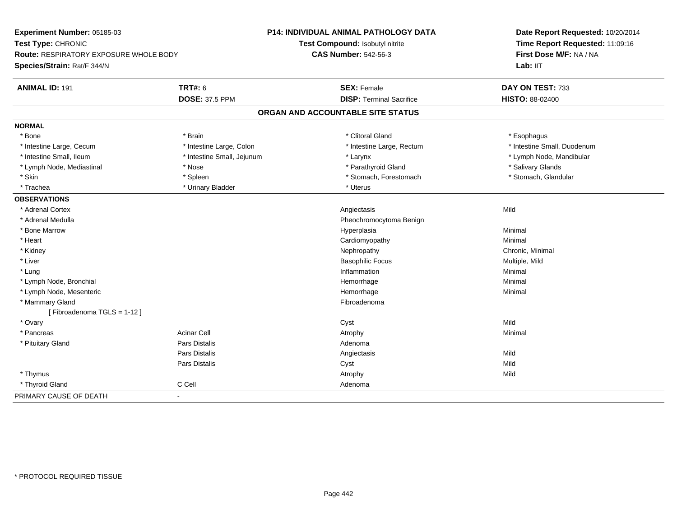| Experiment Number: 05185-03            |                            | P14: INDIVIDUAL ANIMAL PATHOLOGY DATA | Date Report Requested: 10/20/2014<br>Time Report Requested: 11:09:16 |  |
|----------------------------------------|----------------------------|---------------------------------------|----------------------------------------------------------------------|--|
| Test Type: CHRONIC                     |                            | Test Compound: Isobutyl nitrite       |                                                                      |  |
| Route: RESPIRATORY EXPOSURE WHOLE BODY |                            | <b>CAS Number: 542-56-3</b>           | First Dose M/F: NA / NA                                              |  |
| Species/Strain: Rat/F 344/N            |                            |                                       | Lab: IIT                                                             |  |
| <b>ANIMAL ID: 191</b>                  | <b>TRT#: 6</b>             | <b>SEX: Female</b>                    | DAY ON TEST: 733                                                     |  |
|                                        | <b>DOSE: 37.5 PPM</b>      | <b>DISP: Terminal Sacrifice</b>       | HISTO: 88-02400                                                      |  |
|                                        |                            | ORGAN AND ACCOUNTABLE SITE STATUS     |                                                                      |  |
| <b>NORMAL</b>                          |                            |                                       |                                                                      |  |
| * Bone                                 | * Brain                    | * Clitoral Gland                      | * Esophagus                                                          |  |
| * Intestine Large, Cecum               | * Intestine Large, Colon   | * Intestine Large, Rectum             | * Intestine Small, Duodenum                                          |  |
| * Intestine Small, Ileum               | * Intestine Small, Jejunum | * Larynx                              | * Lymph Node, Mandibular                                             |  |
| * Lymph Node, Mediastinal              | * Nose                     | * Parathyroid Gland                   | * Salivary Glands                                                    |  |
| * Skin                                 | * Spleen                   | * Stomach, Forestomach                | * Stomach, Glandular                                                 |  |
| * Trachea                              | * Urinary Bladder          | * Uterus                              |                                                                      |  |
| <b>OBSERVATIONS</b>                    |                            |                                       |                                                                      |  |
| * Adrenal Cortex                       |                            | Angiectasis                           | Mild                                                                 |  |
| * Adrenal Medulla                      |                            | Pheochromocytoma Benign               |                                                                      |  |
| * Bone Marrow                          |                            | Hyperplasia                           | Minimal                                                              |  |
| * Heart                                |                            | Cardiomyopathy                        | Minimal                                                              |  |
| * Kidney                               |                            | Nephropathy                           | Chronic, Minimal                                                     |  |
| * Liver                                |                            | <b>Basophilic Focus</b>               | Multiple, Mild                                                       |  |
| * Lung                                 |                            | Inflammation                          | Minimal                                                              |  |
| * Lymph Node, Bronchial                |                            | Hemorrhage                            | Minimal                                                              |  |
| * Lymph Node, Mesenteric               |                            | Hemorrhage                            | Minimal                                                              |  |
| * Mammary Gland                        |                            | Fibroadenoma                          |                                                                      |  |
| [Fibroadenoma TGLS = 1-12]             |                            |                                       |                                                                      |  |
| * Ovary                                |                            | Cyst                                  | Mild                                                                 |  |
| * Pancreas                             | <b>Acinar Cell</b>         | Atrophy                               | Minimal                                                              |  |
| * Pituitary Gland                      | Pars Distalis              | Adenoma                               |                                                                      |  |
|                                        | Pars Distalis              | Angiectasis                           | Mild                                                                 |  |
|                                        | Pars Distalis              | Cyst                                  | Mild                                                                 |  |
| * Thymus                               |                            | Atrophy                               | Mild                                                                 |  |
| * Thyroid Gland                        | C Cell                     | Adenoma                               |                                                                      |  |
| PRIMARY CAUSE OF DEATH                 | $\blacksquare$             |                                       |                                                                      |  |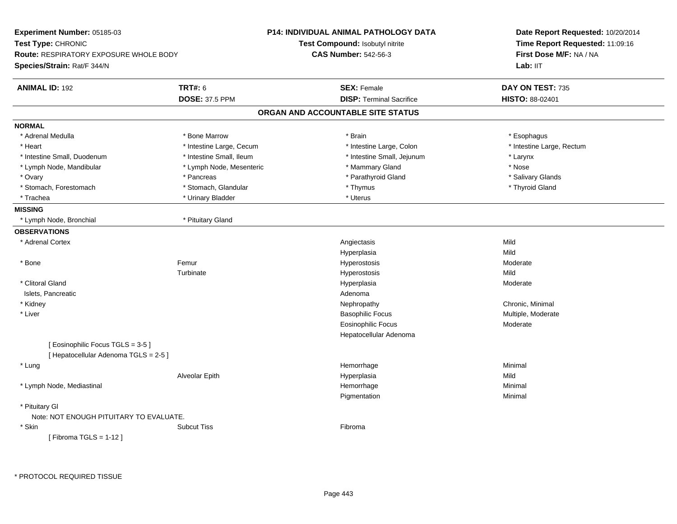| Experiment Number: 05185-03                   |                          | <b>P14: INDIVIDUAL ANIMAL PATHOLOGY DATA</b> | Date Report Requested: 10/20/2014                          |  |
|-----------------------------------------------|--------------------------|----------------------------------------------|------------------------------------------------------------|--|
| Test Type: CHRONIC                            |                          | Test Compound: Isobutyl nitrite              | Time Report Requested: 11:09:16<br>First Dose M/F: NA / NA |  |
| <b>Route: RESPIRATORY EXPOSURE WHOLE BODY</b> |                          | <b>CAS Number: 542-56-3</b>                  |                                                            |  |
| Species/Strain: Rat/F 344/N                   |                          |                                              | Lab: IIT                                                   |  |
| <b>ANIMAL ID: 192</b>                         | <b>TRT#: 6</b>           | <b>SEX: Female</b>                           | DAY ON TEST: 735                                           |  |
|                                               | <b>DOSE: 37.5 PPM</b>    | <b>DISP: Terminal Sacrifice</b>              | <b>HISTO: 88-02401</b>                                     |  |
|                                               |                          | ORGAN AND ACCOUNTABLE SITE STATUS            |                                                            |  |
| <b>NORMAL</b>                                 |                          |                                              |                                                            |  |
| * Adrenal Medulla                             | * Bone Marrow            | * Brain                                      | * Esophagus                                                |  |
| * Heart                                       | * Intestine Large, Cecum | * Intestine Large, Colon                     | * Intestine Large, Rectum                                  |  |
| * Intestine Small, Duodenum                   | * Intestine Small, Ileum | * Intestine Small, Jejunum                   | * Larynx                                                   |  |
| * Lymph Node, Mandibular                      | * Lymph Node, Mesenteric | * Mammary Gland                              | * Nose                                                     |  |
| * Ovary                                       | * Pancreas               | * Parathyroid Gland                          | * Salivary Glands                                          |  |
| * Stomach, Forestomach                        | * Stomach, Glandular     | * Thymus                                     | * Thyroid Gland                                            |  |
| * Trachea                                     | * Urinary Bladder        | * Uterus                                     |                                                            |  |
| <b>MISSING</b>                                |                          |                                              |                                                            |  |
| * Lymph Node, Bronchial                       | * Pituitary Gland        |                                              |                                                            |  |
| <b>OBSERVATIONS</b>                           |                          |                                              |                                                            |  |
| * Adrenal Cortex                              |                          | Angiectasis                                  | Mild                                                       |  |
|                                               |                          | Hyperplasia                                  | Mild                                                       |  |
| * Bone                                        | Femur                    | Hyperostosis                                 | Moderate                                                   |  |
|                                               | Turbinate                | Hyperostosis                                 | Mild                                                       |  |
| * Clitoral Gland                              |                          | Hyperplasia                                  | Moderate                                                   |  |
| Islets, Pancreatic                            |                          | Adenoma                                      |                                                            |  |
| * Kidney                                      |                          | Nephropathy                                  | Chronic, Minimal                                           |  |
| * Liver                                       |                          | <b>Basophilic Focus</b>                      | Multiple, Moderate                                         |  |
|                                               |                          | <b>Eosinophilic Focus</b>                    | Moderate                                                   |  |
|                                               |                          | Hepatocellular Adenoma                       |                                                            |  |
| [ Eosinophilic Focus TGLS = 3-5 ]             |                          |                                              |                                                            |  |
| [ Hepatocellular Adenoma TGLS = 2-5 ]         |                          |                                              |                                                            |  |
| * Lung                                        |                          | Hemorrhage                                   | Minimal                                                    |  |
|                                               | Alveolar Epith           | Hyperplasia                                  | Mild                                                       |  |
| * Lymph Node, Mediastinal                     |                          | Hemorrhage                                   | Minimal                                                    |  |
|                                               |                          | Pigmentation                                 | Minimal                                                    |  |
| * Pituitary Gl                                |                          |                                              |                                                            |  |
| Note: NOT ENOUGH PITUITARY TO EVALUATE.       |                          |                                              |                                                            |  |
| * Skin                                        | <b>Subcut Tiss</b>       | Fibroma                                      |                                                            |  |
| [Fibroma TGLS = $1-12$ ]                      |                          |                                              |                                                            |  |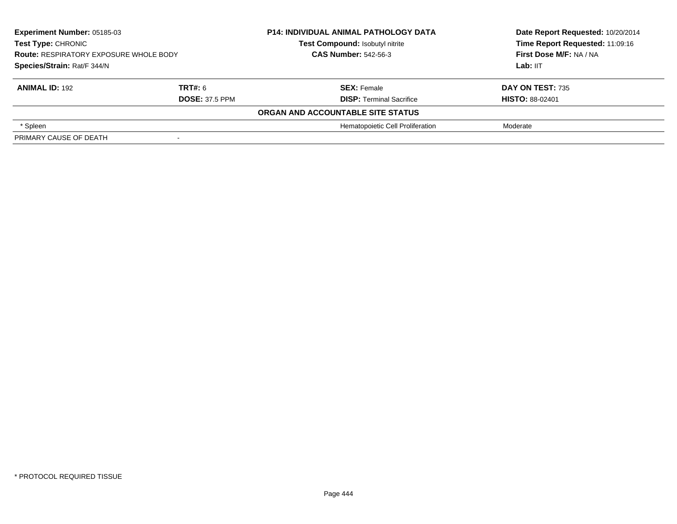| Experiment Number: 05185-03<br><b>Test Type: CHRONIC</b><br><b>Route: RESPIRATORY EXPOSURE WHOLE BODY</b> |                       | <b>P14: INDIVIDUAL ANIMAL PATHOLOGY DATA</b> | Date Report Requested: 10/20/2014 |
|-----------------------------------------------------------------------------------------------------------|-----------------------|----------------------------------------------|-----------------------------------|
|                                                                                                           |                       | Test Compound: Isobutyl nitrite              | Time Report Requested: 11:09:16   |
|                                                                                                           |                       | <b>CAS Number: 542-56-3</b>                  | First Dose M/F: NA / NA           |
| Species/Strain: Rat/F 344/N                                                                               |                       |                                              | Lab: IIT                          |
| <b>ANIMAL ID: 192</b>                                                                                     | TRT#: 6               | <b>SEX: Female</b>                           | <b>DAY ON TEST: 735</b>           |
|                                                                                                           | <b>DOSE: 37.5 PPM</b> | <b>DISP: Terminal Sacrifice</b>              | <b>HISTO: 88-02401</b>            |
|                                                                                                           |                       | ORGAN AND ACCOUNTABLE SITE STATUS            |                                   |
| * Spleen                                                                                                  |                       | Hematopoietic Cell Proliferation             | Moderate                          |
| PRIMARY CAUSE OF DEATH                                                                                    |                       |                                              |                                   |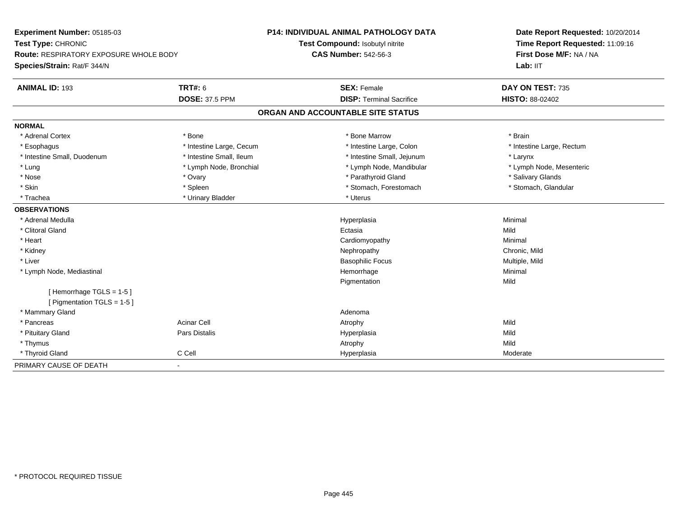| Experiment Number: 05185-03<br>Test Type: CHRONIC<br><b>Route: RESPIRATORY EXPOSURE WHOLE BODY</b> |                          | <b>P14: INDIVIDUAL ANIMAL PATHOLOGY DATA</b> | Date Report Requested: 10/20/2014<br>Time Report Requested: 11:09:16<br>First Dose M/F: NA / NA |
|----------------------------------------------------------------------------------------------------|--------------------------|----------------------------------------------|-------------------------------------------------------------------------------------------------|
|                                                                                                    |                          | Test Compound: Isobutyl nitrite              |                                                                                                 |
|                                                                                                    |                          | <b>CAS Number: 542-56-3</b>                  |                                                                                                 |
| Species/Strain: Rat/F 344/N                                                                        |                          |                                              | Lab: IIT                                                                                        |
| <b>ANIMAL ID: 193</b>                                                                              | TRT#: 6                  | <b>SEX: Female</b>                           | DAY ON TEST: 735                                                                                |
|                                                                                                    | <b>DOSE: 37.5 PPM</b>    | <b>DISP: Terminal Sacrifice</b>              | <b>HISTO: 88-02402</b>                                                                          |
|                                                                                                    |                          | ORGAN AND ACCOUNTABLE SITE STATUS            |                                                                                                 |
| <b>NORMAL</b>                                                                                      |                          |                                              |                                                                                                 |
| * Adrenal Cortex                                                                                   | * Bone                   | * Bone Marrow                                | * Brain                                                                                         |
| * Esophagus                                                                                        | * Intestine Large, Cecum | * Intestine Large, Colon                     | * Intestine Large, Rectum                                                                       |
| * Intestine Small, Duodenum                                                                        | * Intestine Small, Ileum | * Intestine Small, Jejunum                   | * Larynx                                                                                        |
| * Lung                                                                                             | * Lymph Node, Bronchial  | * Lymph Node, Mandibular                     | * Lymph Node, Mesenteric                                                                        |
| * Nose                                                                                             | * Ovary                  | * Parathyroid Gland                          | * Salivary Glands                                                                               |
| * Skin                                                                                             | * Spleen                 | * Stomach, Forestomach                       | * Stomach, Glandular                                                                            |
| * Trachea                                                                                          | * Urinary Bladder        | * Uterus                                     |                                                                                                 |
| <b>OBSERVATIONS</b>                                                                                |                          |                                              |                                                                                                 |
| * Adrenal Medulla                                                                                  |                          | Hyperplasia                                  | Minimal                                                                                         |
| * Clitoral Gland                                                                                   |                          | Ectasia                                      | Mild                                                                                            |
| * Heart                                                                                            |                          | Cardiomyopathy                               | Minimal                                                                                         |
| * Kidney                                                                                           |                          | Nephropathy                                  | Chronic, Mild                                                                                   |
| * Liver                                                                                            |                          | <b>Basophilic Focus</b>                      | Multiple, Mild                                                                                  |
| * Lymph Node, Mediastinal                                                                          |                          | Hemorrhage                                   | Minimal                                                                                         |
|                                                                                                    |                          | Pigmentation                                 | Mild                                                                                            |
| [Hemorrhage TGLS = 1-5]                                                                            |                          |                                              |                                                                                                 |
| [ Pigmentation TGLS = 1-5 ]                                                                        |                          |                                              |                                                                                                 |
| * Mammary Gland                                                                                    |                          | Adenoma                                      |                                                                                                 |
| * Pancreas                                                                                         | <b>Acinar Cell</b>       | Atrophy                                      | Mild                                                                                            |
| * Pituitary Gland                                                                                  | Pars Distalis            | Hyperplasia                                  | Mild                                                                                            |
| * Thymus                                                                                           |                          | Atrophy                                      | Mild                                                                                            |
| * Thyroid Gland                                                                                    | C Cell                   | Hyperplasia                                  | Moderate                                                                                        |
| PRIMARY CAUSE OF DEATH                                                                             | $\blacksquare$           |                                              |                                                                                                 |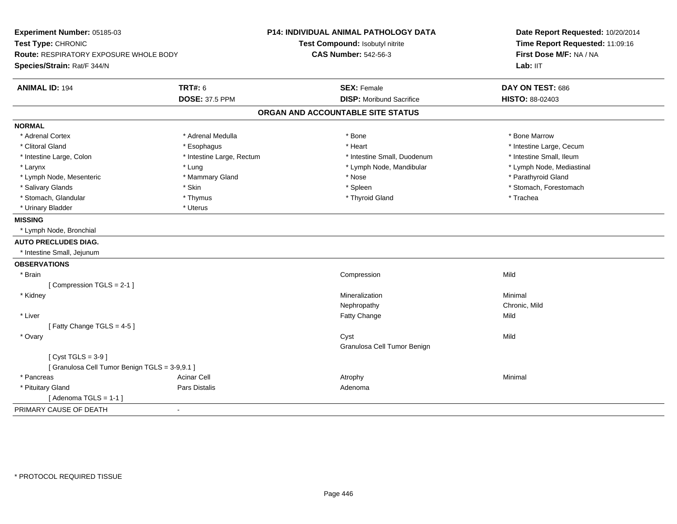| Experiment Number: 05185-03<br>Test Type: CHRONIC<br>Route: RESPIRATORY EXPOSURE WHOLE BODY<br>Species/Strain: Rat/F 344/N |                                         | P14: INDIVIDUAL ANIMAL PATHOLOGY DATA<br>Test Compound: Isobutyl nitrite<br><b>CAS Number: 542-56-3</b> | Date Report Requested: 10/20/2014<br>Time Report Requested: 11:09:16<br>First Dose M/F: NA / NA<br>Lab: IIT |
|----------------------------------------------------------------------------------------------------------------------------|-----------------------------------------|---------------------------------------------------------------------------------------------------------|-------------------------------------------------------------------------------------------------------------|
| <b>ANIMAL ID: 194</b>                                                                                                      | <b>TRT#: 6</b><br><b>DOSE: 37.5 PPM</b> | <b>SEX: Female</b><br><b>DISP:</b> Moribund Sacrifice                                                   | DAY ON TEST: 686<br>HISTO: 88-02403                                                                         |
|                                                                                                                            |                                         | ORGAN AND ACCOUNTABLE SITE STATUS                                                                       |                                                                                                             |
| <b>NORMAL</b>                                                                                                              |                                         |                                                                                                         |                                                                                                             |
| * Adrenal Cortex                                                                                                           | * Adrenal Medulla                       | * Bone                                                                                                  | * Bone Marrow                                                                                               |
| * Clitoral Gland                                                                                                           | * Esophagus                             | * Heart                                                                                                 | * Intestine Large, Cecum                                                                                    |
| * Intestine Large, Colon                                                                                                   | * Intestine Large, Rectum               | * Intestine Small, Duodenum                                                                             | * Intestine Small, Ileum                                                                                    |
| * Larynx                                                                                                                   | * Lung                                  | * Lymph Node, Mandibular                                                                                | * Lymph Node, Mediastinal                                                                                   |
| * Lymph Node, Mesenteric                                                                                                   | * Mammary Gland                         | * Nose                                                                                                  | * Parathyroid Gland                                                                                         |
| * Salivary Glands                                                                                                          | * Skin                                  | * Spleen                                                                                                | * Stomach, Forestomach                                                                                      |
| * Stomach, Glandular                                                                                                       | * Thymus                                | * Thyroid Gland                                                                                         | * Trachea                                                                                                   |
| * Urinary Bladder                                                                                                          | * Uterus                                |                                                                                                         |                                                                                                             |
| <b>MISSING</b>                                                                                                             |                                         |                                                                                                         |                                                                                                             |
| * Lymph Node, Bronchial                                                                                                    |                                         |                                                                                                         |                                                                                                             |
| <b>AUTO PRECLUDES DIAG.</b>                                                                                                |                                         |                                                                                                         |                                                                                                             |
| * Intestine Small, Jejunum                                                                                                 |                                         |                                                                                                         |                                                                                                             |
| <b>OBSERVATIONS</b>                                                                                                        |                                         |                                                                                                         |                                                                                                             |
| * Brain                                                                                                                    |                                         | Compression                                                                                             | Mild                                                                                                        |
| [Compression TGLS = 2-1]                                                                                                   |                                         |                                                                                                         |                                                                                                             |
| * Kidney                                                                                                                   |                                         | Mineralization                                                                                          | Minimal                                                                                                     |
|                                                                                                                            |                                         | Nephropathy                                                                                             | Chronic, Mild                                                                                               |
| * Liver                                                                                                                    |                                         | Fatty Change                                                                                            | Mild                                                                                                        |
| [Fatty Change TGLS = $4-5$ ]                                                                                               |                                         |                                                                                                         |                                                                                                             |
| * Ovary                                                                                                                    |                                         | Cyst<br>Granulosa Cell Tumor Benign                                                                     | Mild                                                                                                        |
| [Cyst TGLS = $3-9$ ]                                                                                                       |                                         |                                                                                                         |                                                                                                             |
| [ Granulosa Cell Tumor Benign TGLS = 3-9,9.1 ]                                                                             |                                         |                                                                                                         |                                                                                                             |
| * Pancreas                                                                                                                 | <b>Acinar Cell</b>                      | Atrophy                                                                                                 | Minimal                                                                                                     |
| * Pituitary Gland                                                                                                          | Pars Distalis                           | Adenoma                                                                                                 |                                                                                                             |
| [Adenoma TGLS = $1-1$ ]                                                                                                    |                                         |                                                                                                         |                                                                                                             |
| PRIMARY CAUSE OF DEATH                                                                                                     | $\blacksquare$                          |                                                                                                         |                                                                                                             |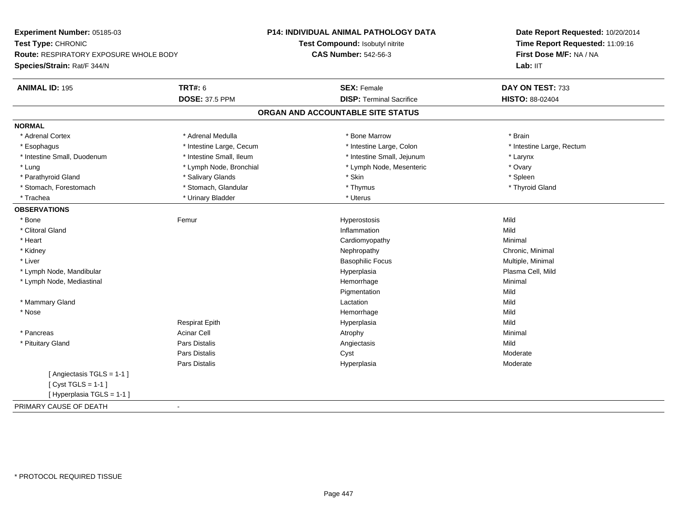| Experiment Number: 05185-03            |                          | P14: INDIVIDUAL ANIMAL PATHOLOGY DATA | Date Report Requested: 10/20/2014<br>Time Report Requested: 11:09:16<br>First Dose M/F: NA / NA<br>Lab: IIT |
|----------------------------------------|--------------------------|---------------------------------------|-------------------------------------------------------------------------------------------------------------|
| Test Type: CHRONIC                     |                          | Test Compound: Isobutyl nitrite       |                                                                                                             |
| Route: RESPIRATORY EXPOSURE WHOLE BODY |                          | <b>CAS Number: 542-56-3</b>           |                                                                                                             |
| Species/Strain: Rat/F 344/N            |                          |                                       |                                                                                                             |
| <b>ANIMAL ID: 195</b>                  | <b>TRT#: 6</b>           | <b>SEX: Female</b>                    | DAY ON TEST: 733                                                                                            |
|                                        | <b>DOSE: 37.5 PPM</b>    | <b>DISP: Terminal Sacrifice</b>       | HISTO: 88-02404                                                                                             |
|                                        |                          | ORGAN AND ACCOUNTABLE SITE STATUS     |                                                                                                             |
| <b>NORMAL</b>                          |                          |                                       |                                                                                                             |
| * Adrenal Cortex                       | * Adrenal Medulla        | * Bone Marrow                         | * Brain                                                                                                     |
| * Esophagus                            | * Intestine Large, Cecum | * Intestine Large, Colon              | * Intestine Large, Rectum                                                                                   |
| * Intestine Small, Duodenum            | * Intestine Small, Ileum | * Intestine Small, Jejunum            | * Larynx                                                                                                    |
| * Lung                                 | * Lymph Node, Bronchial  | * Lymph Node, Mesenteric              | * Ovary                                                                                                     |
| * Parathyroid Gland                    | * Salivary Glands        | * Skin                                | * Spleen                                                                                                    |
| * Stomach, Forestomach                 | * Stomach, Glandular     | * Thymus                              | * Thyroid Gland                                                                                             |
| * Trachea                              | * Urinary Bladder        | * Uterus                              |                                                                                                             |
| <b>OBSERVATIONS</b>                    |                          |                                       |                                                                                                             |
| * Bone                                 | Femur                    | Hyperostosis                          | Mild                                                                                                        |
| * Clitoral Gland                       |                          | Inflammation                          | Mild                                                                                                        |
| * Heart                                |                          | Cardiomyopathy                        | Minimal                                                                                                     |
| * Kidney                               |                          | Nephropathy                           | Chronic, Minimal                                                                                            |
| * Liver                                |                          | <b>Basophilic Focus</b>               | Multiple, Minimal                                                                                           |
| * Lymph Node, Mandibular               |                          | Hyperplasia                           | Plasma Cell, Mild                                                                                           |
| * Lymph Node, Mediastinal              |                          | Hemorrhage                            | Minimal                                                                                                     |
|                                        |                          | Pigmentation                          | Mild                                                                                                        |
| * Mammary Gland                        |                          | Lactation                             | Mild                                                                                                        |
| * Nose                                 |                          | Hemorrhage                            | Mild                                                                                                        |
|                                        | <b>Respirat Epith</b>    | Hyperplasia                           | Mild                                                                                                        |
| * Pancreas                             | <b>Acinar Cell</b>       | Atrophy                               | Minimal                                                                                                     |
| * Pituitary Gland                      | Pars Distalis            | Angiectasis                           | Mild                                                                                                        |
|                                        | Pars Distalis            | Cyst                                  | Moderate                                                                                                    |
|                                        | Pars Distalis            | Hyperplasia                           | Moderate                                                                                                    |
| [Angiectasis TGLS = 1-1]               |                          |                                       |                                                                                                             |
| [Cyst TGLS = $1-1$ ]                   |                          |                                       |                                                                                                             |
| [Hyperplasia TGLS = 1-1]               |                          |                                       |                                                                                                             |
| PRIMARY CAUSE OF DEATH                 |                          |                                       |                                                                                                             |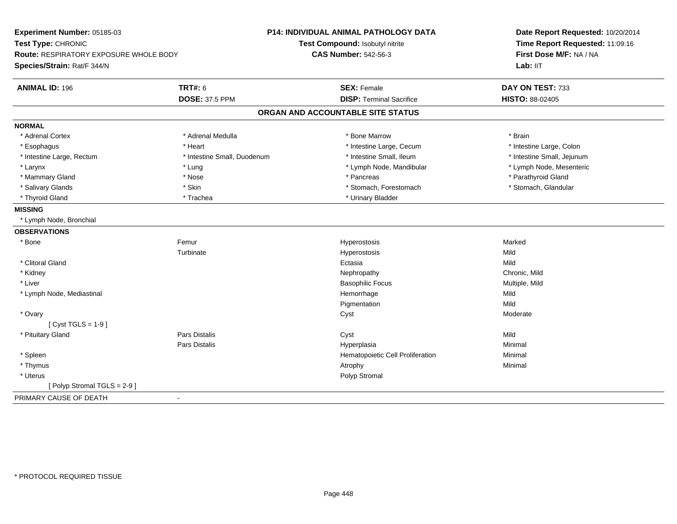| Experiment Number: 05185-03            |                             | P14: INDIVIDUAL ANIMAL PATHOLOGY DATA | Date Report Requested: 10/20/2014<br>Time Report Requested: 11:09:16<br>First Dose M/F: NA / NA |
|----------------------------------------|-----------------------------|---------------------------------------|-------------------------------------------------------------------------------------------------|
| Test Type: CHRONIC                     |                             | Test Compound: Isobutyl nitrite       |                                                                                                 |
| Route: RESPIRATORY EXPOSURE WHOLE BODY |                             | <b>CAS Number: 542-56-3</b>           |                                                                                                 |
| Species/Strain: Rat/F 344/N            |                             |                                       | Lab: IIT                                                                                        |
| <b>ANIMAL ID: 196</b>                  | <b>TRT#: 6</b>              | <b>SEX: Female</b>                    | DAY ON TEST: 733                                                                                |
|                                        | <b>DOSE: 37.5 PPM</b>       | <b>DISP: Terminal Sacrifice</b>       | HISTO: 88-02405                                                                                 |
|                                        |                             | ORGAN AND ACCOUNTABLE SITE STATUS     |                                                                                                 |
| <b>NORMAL</b>                          |                             |                                       |                                                                                                 |
| * Adrenal Cortex                       | * Adrenal Medulla           | * Bone Marrow                         | * Brain                                                                                         |
| * Esophagus                            | * Heart                     | * Intestine Large, Cecum              | * Intestine Large, Colon                                                                        |
| * Intestine Large, Rectum              | * Intestine Small, Duodenum | * Intestine Small, Ileum              | * Intestine Small, Jejunum                                                                      |
| * Larynx                               | * Lung                      | * Lymph Node, Mandibular              | * Lymph Node, Mesenteric                                                                        |
| * Mammary Gland                        | * Nose                      | * Pancreas                            | * Parathyroid Gland                                                                             |
| * Salivary Glands                      | * Skin                      | * Stomach, Forestomach                | * Stomach, Glandular                                                                            |
| * Thyroid Gland                        | * Trachea                   | * Urinary Bladder                     |                                                                                                 |
| <b>MISSING</b>                         |                             |                                       |                                                                                                 |
| * Lymph Node, Bronchial                |                             |                                       |                                                                                                 |
| <b>OBSERVATIONS</b>                    |                             |                                       |                                                                                                 |
| * Bone                                 | Femur                       | Hyperostosis                          | Marked                                                                                          |
|                                        | Turbinate                   | Hyperostosis                          | Mild                                                                                            |
| * Clitoral Gland                       |                             | Ectasia                               | Mild                                                                                            |
| * Kidney                               |                             | Nephropathy                           | Chronic, Mild                                                                                   |
| * Liver                                |                             | <b>Basophilic Focus</b>               | Multiple, Mild                                                                                  |
| * Lymph Node, Mediastinal              |                             | Hemorrhage                            | Mild                                                                                            |
|                                        |                             | Pigmentation                          | Mild                                                                                            |
| * Ovary                                |                             | Cyst                                  | Moderate                                                                                        |
| [Cyst TGLS = $1-9$ ]                   |                             |                                       |                                                                                                 |
| * Pituitary Gland                      | <b>Pars Distalis</b>        | Cyst                                  | Mild                                                                                            |
|                                        | <b>Pars Distalis</b>        | Hyperplasia                           | Minimal                                                                                         |
| * Spleen                               |                             | Hematopoietic Cell Proliferation      | Minimal                                                                                         |
| * Thymus                               |                             | Atrophy                               | Minimal                                                                                         |
| * Uterus                               |                             | Polyp Stromal                         |                                                                                                 |
| [Polyp Stromal TGLS = 2-9]             |                             |                                       |                                                                                                 |
| PRIMARY CAUSE OF DEATH                 | $\blacksquare$              |                                       |                                                                                                 |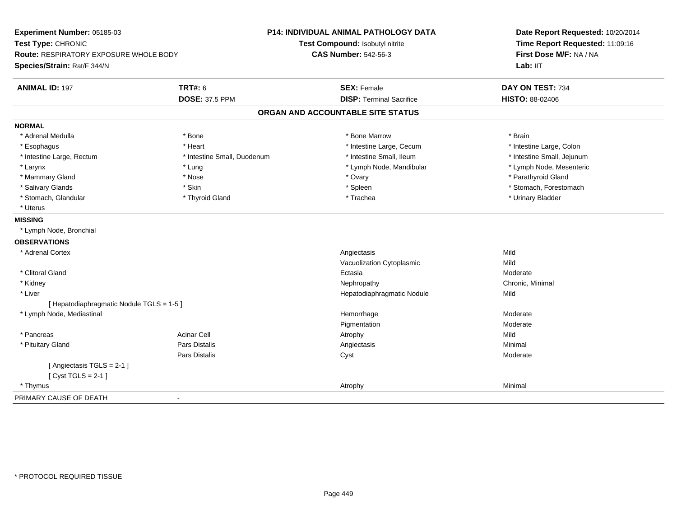| Experiment Number: 05185-03<br>Test Type: CHRONIC |                             | <b>P14: INDIVIDUAL ANIMAL PATHOLOGY DATA</b><br>Test Compound: Isobutyl nitrite | Date Report Requested: 10/20/2014<br>Time Report Requested: 11:09:16<br>First Dose M/F: NA / NA<br>Lab: IIT |
|---------------------------------------------------|-----------------------------|---------------------------------------------------------------------------------|-------------------------------------------------------------------------------------------------------------|
| Route: RESPIRATORY EXPOSURE WHOLE BODY            |                             | <b>CAS Number: 542-56-3</b>                                                     |                                                                                                             |
| Species/Strain: Rat/F 344/N                       |                             |                                                                                 |                                                                                                             |
| <b>ANIMAL ID: 197</b>                             | <b>TRT#: 6</b>              | <b>SEX: Female</b>                                                              | DAY ON TEST: 734                                                                                            |
|                                                   | <b>DOSE: 37.5 PPM</b>       | <b>DISP: Terminal Sacrifice</b>                                                 | <b>HISTO: 88-02406</b>                                                                                      |
|                                                   |                             | ORGAN AND ACCOUNTABLE SITE STATUS                                               |                                                                                                             |
| <b>NORMAL</b>                                     |                             |                                                                                 |                                                                                                             |
| * Adrenal Medulla                                 | * Bone                      | * Bone Marrow                                                                   | * Brain                                                                                                     |
| * Esophagus                                       | * Heart                     | * Intestine Large, Cecum                                                        | * Intestine Large, Colon                                                                                    |
| * Intestine Large, Rectum                         | * Intestine Small, Duodenum | * Intestine Small, Ileum                                                        | * Intestine Small, Jejunum                                                                                  |
| * Larynx                                          | * Lung                      | * Lymph Node, Mandibular                                                        | * Lymph Node, Mesenteric                                                                                    |
| * Mammary Gland                                   | * Nose                      | * Ovary                                                                         | * Parathyroid Gland                                                                                         |
| * Salivary Glands                                 | * Skin                      | * Spleen                                                                        | * Stomach, Forestomach                                                                                      |
| * Stomach, Glandular                              | * Thyroid Gland             | * Trachea                                                                       | * Urinary Bladder                                                                                           |
| * Uterus                                          |                             |                                                                                 |                                                                                                             |
| <b>MISSING</b>                                    |                             |                                                                                 |                                                                                                             |
| * Lymph Node, Bronchial                           |                             |                                                                                 |                                                                                                             |
| <b>OBSERVATIONS</b>                               |                             |                                                                                 |                                                                                                             |
| * Adrenal Cortex                                  |                             | Angiectasis                                                                     | Mild                                                                                                        |
|                                                   |                             | Vacuolization Cytoplasmic                                                       | Mild                                                                                                        |
| * Clitoral Gland                                  |                             | Ectasia                                                                         | Moderate                                                                                                    |
| * Kidney                                          |                             | Nephropathy                                                                     | Chronic, Minimal                                                                                            |
| * Liver                                           |                             | Hepatodiaphragmatic Nodule                                                      | Mild                                                                                                        |
| [ Hepatodiaphragmatic Nodule TGLS = 1-5 ]         |                             |                                                                                 |                                                                                                             |
| * Lymph Node, Mediastinal                         |                             | Hemorrhage                                                                      | Moderate                                                                                                    |
|                                                   |                             | Pigmentation                                                                    | Moderate                                                                                                    |
| * Pancreas                                        | <b>Acinar Cell</b>          | Atrophy                                                                         | Mild                                                                                                        |
| * Pituitary Gland                                 | Pars Distalis               | Angiectasis                                                                     | Minimal                                                                                                     |
|                                                   | Pars Distalis               | Cyst                                                                            | Moderate                                                                                                    |
| [Angiectasis TGLS = 2-1]                          |                             |                                                                                 |                                                                                                             |
| [Cyst TGLS = $2-1$ ]                              |                             |                                                                                 |                                                                                                             |
| * Thymus                                          |                             | Atrophy                                                                         | Minimal                                                                                                     |
| PRIMARY CAUSE OF DEATH                            | $\blacksquare$              |                                                                                 |                                                                                                             |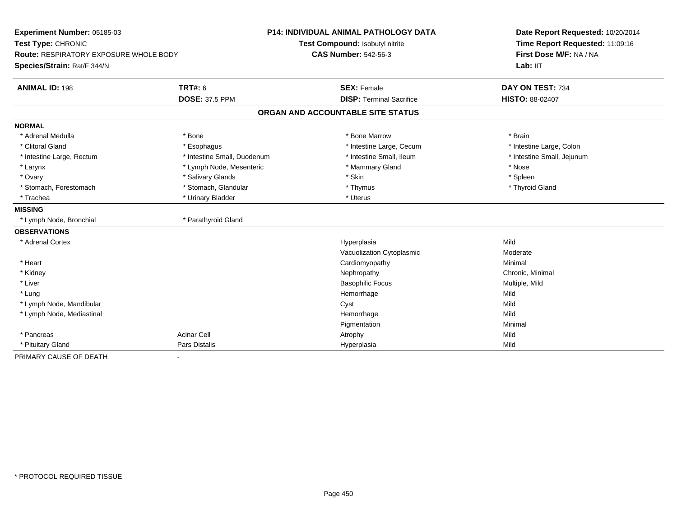| Experiment Number: 05185-03                   |                             | <b>P14: INDIVIDUAL ANIMAL PATHOLOGY DATA</b> | Date Report Requested: 10/20/2014 |
|-----------------------------------------------|-----------------------------|----------------------------------------------|-----------------------------------|
| Test Type: CHRONIC                            |                             | Test Compound: Isobutyl nitrite              | Time Report Requested: 11:09:16   |
| <b>Route: RESPIRATORY EXPOSURE WHOLE BODY</b> |                             | <b>CAS Number: 542-56-3</b>                  | First Dose M/F: NA / NA           |
| Species/Strain: Rat/F 344/N                   |                             |                                              | Lab: IIT                          |
| <b>ANIMAL ID: 198</b>                         | <b>TRT#: 6</b>              | <b>SEX: Female</b>                           | DAY ON TEST: 734                  |
|                                               | <b>DOSE: 37.5 PPM</b>       | <b>DISP: Terminal Sacrifice</b>              | <b>HISTO: 88-02407</b>            |
|                                               |                             | ORGAN AND ACCOUNTABLE SITE STATUS            |                                   |
| <b>NORMAL</b>                                 |                             |                                              |                                   |
| * Adrenal Medulla                             | * Bone                      | * Bone Marrow                                | * Brain                           |
| * Clitoral Gland                              | * Esophagus                 | * Intestine Large, Cecum                     | * Intestine Large, Colon          |
| * Intestine Large, Rectum                     | * Intestine Small, Duodenum | * Intestine Small, Ileum                     | * Intestine Small, Jejunum        |
| * Larynx                                      | * Lymph Node, Mesenteric    | * Mammary Gland                              | * Nose                            |
| * Ovary                                       | * Salivary Glands           | * Skin                                       | * Spleen                          |
| * Stomach, Forestomach                        | * Stomach, Glandular        | * Thymus                                     | * Thyroid Gland                   |
| * Trachea                                     | * Urinary Bladder           | * Uterus                                     |                                   |
| <b>MISSING</b>                                |                             |                                              |                                   |
| * Lymph Node, Bronchial                       | * Parathyroid Gland         |                                              |                                   |
| <b>OBSERVATIONS</b>                           |                             |                                              |                                   |
| * Adrenal Cortex                              |                             | Hyperplasia                                  | Mild                              |
|                                               |                             | Vacuolization Cytoplasmic                    | Moderate                          |
| * Heart                                       |                             | Cardiomyopathy                               | Minimal                           |
| * Kidney                                      |                             | Nephropathy                                  | Chronic, Minimal                  |
| * Liver                                       |                             | <b>Basophilic Focus</b>                      | Multiple, Mild                    |
| * Lung                                        |                             | Hemorrhage                                   | Mild                              |
| * Lymph Node, Mandibular                      |                             | Cyst                                         | Mild                              |
| * Lymph Node, Mediastinal                     |                             | Hemorrhage                                   | Mild                              |
|                                               |                             | Pigmentation                                 | Minimal                           |
| * Pancreas                                    | <b>Acinar Cell</b>          | Atrophy                                      | Mild                              |
| * Pituitary Gland                             | <b>Pars Distalis</b>        | Hyperplasia                                  | Mild                              |
| PRIMARY CAUSE OF DEATH                        | $\blacksquare$              |                                              |                                   |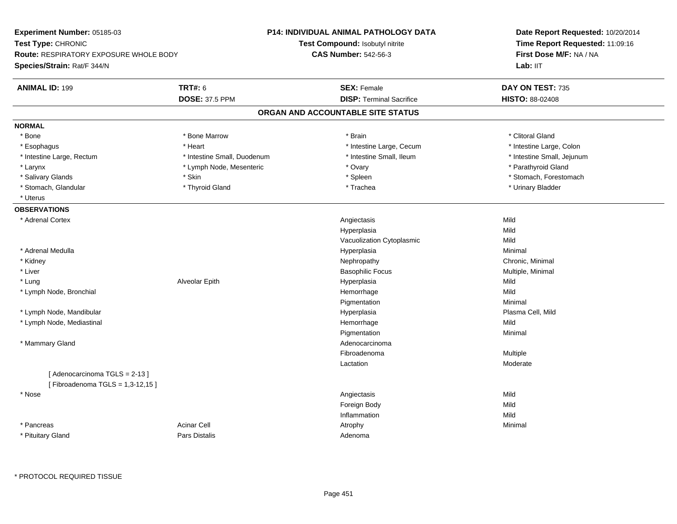| Experiment Number: 05185-03                                     |                             | <b>P14: INDIVIDUAL ANIMAL PATHOLOGY DATA</b> | Date Report Requested: 10/20/2014<br>Time Report Requested: 11:09:16<br>First Dose M/F: NA / NA |  |
|-----------------------------------------------------------------|-----------------------------|----------------------------------------------|-------------------------------------------------------------------------------------------------|--|
| Test Type: CHRONIC                                              |                             | Test Compound: Isobutyl nitrite              |                                                                                                 |  |
| <b>Route: RESPIRATORY EXPOSURE WHOLE BODY</b>                   |                             | <b>CAS Number: 542-56-3</b>                  |                                                                                                 |  |
| Species/Strain: Rat/F 344/N                                     |                             |                                              | Lab: IIT                                                                                        |  |
| <b>ANIMAL ID: 199</b>                                           | <b>TRT#: 6</b>              | <b>SEX: Female</b>                           | DAY ON TEST: 735                                                                                |  |
|                                                                 | <b>DOSE: 37.5 PPM</b>       | <b>DISP: Terminal Sacrifice</b>              | HISTO: 88-02408                                                                                 |  |
|                                                                 |                             | ORGAN AND ACCOUNTABLE SITE STATUS            |                                                                                                 |  |
| <b>NORMAL</b>                                                   |                             |                                              |                                                                                                 |  |
| * Bone                                                          | * Bone Marrow               | * Brain                                      | * Clitoral Gland                                                                                |  |
| * Esophagus                                                     | * Heart                     | * Intestine Large, Cecum                     | * Intestine Large, Colon                                                                        |  |
| * Intestine Large, Rectum                                       | * Intestine Small, Duodenum | * Intestine Small, Ileum                     | * Intestine Small, Jejunum                                                                      |  |
| * Larynx                                                        | * Lymph Node, Mesenteric    | * Ovary                                      | * Parathyroid Gland                                                                             |  |
| * Salivary Glands                                               | * Skin                      | * Spleen                                     | * Stomach, Forestomach                                                                          |  |
| * Stomach, Glandular                                            | * Thyroid Gland             | * Trachea                                    | * Urinary Bladder                                                                               |  |
| * Uterus                                                        |                             |                                              |                                                                                                 |  |
| <b>OBSERVATIONS</b>                                             |                             |                                              |                                                                                                 |  |
| * Adrenal Cortex                                                |                             | Angiectasis                                  | Mild                                                                                            |  |
|                                                                 |                             | Hyperplasia                                  | Mild                                                                                            |  |
|                                                                 |                             | Vacuolization Cytoplasmic                    | Mild                                                                                            |  |
| * Adrenal Medulla                                               |                             | Hyperplasia                                  | Minimal                                                                                         |  |
| * Kidney                                                        |                             | Nephropathy                                  | Chronic, Minimal                                                                                |  |
| * Liver                                                         |                             | <b>Basophilic Focus</b>                      | Multiple, Minimal                                                                               |  |
| * Lung                                                          | Alveolar Epith              | Hyperplasia                                  | Mild                                                                                            |  |
| * Lymph Node, Bronchial                                         |                             | Hemorrhage                                   | Mild                                                                                            |  |
|                                                                 |                             | Pigmentation                                 | Minimal                                                                                         |  |
| * Lymph Node, Mandibular                                        |                             | Hyperplasia                                  | Plasma Cell, Mild                                                                               |  |
| * Lymph Node, Mediastinal                                       |                             | Hemorrhage                                   | Mild                                                                                            |  |
|                                                                 |                             | Pigmentation                                 | Minimal                                                                                         |  |
| * Mammary Gland                                                 |                             | Adenocarcinoma                               |                                                                                                 |  |
|                                                                 |                             | Fibroadenoma                                 | Multiple                                                                                        |  |
|                                                                 |                             | Lactation                                    | Moderate                                                                                        |  |
| [Adenocarcinoma TGLS = 2-13]<br>[Fibroadenoma TGLS = 1,3-12,15] |                             |                                              |                                                                                                 |  |
| * Nose                                                          |                             | Angiectasis                                  | Mild                                                                                            |  |
|                                                                 |                             | Foreign Body                                 | Mild                                                                                            |  |
|                                                                 |                             | Inflammation                                 | Mild                                                                                            |  |
| * Pancreas                                                      | <b>Acinar Cell</b>          | Atrophy                                      | Minimal                                                                                         |  |
| * Pituitary Gland                                               | Pars Distalis               | Adenoma                                      |                                                                                                 |  |
|                                                                 |                             |                                              |                                                                                                 |  |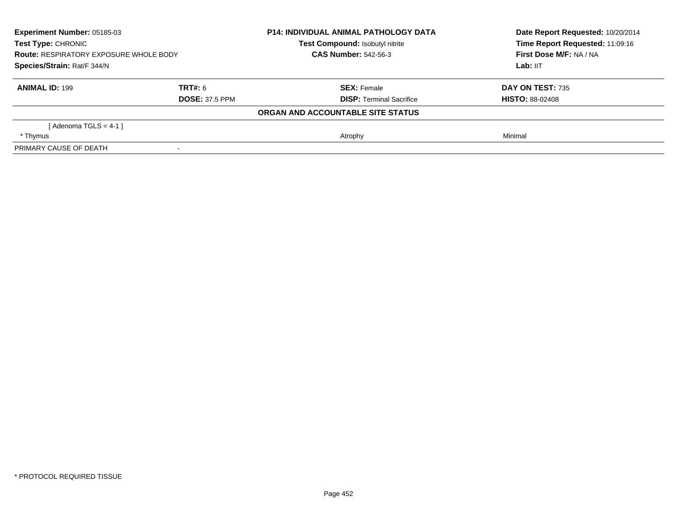| Experiment Number: 05185-03<br><b>Test Type: CHRONIC</b><br><b>Route: RESPIRATORY EXPOSURE WHOLE BODY</b><br>Species/Strain: Rat/F 344/N |                | <b>P14: INDIVIDUAL ANIMAL PATHOLOGY DATA</b> | Date Report Requested: 10/20/2014<br>Time Report Requested: 11:09:16 |
|------------------------------------------------------------------------------------------------------------------------------------------|----------------|----------------------------------------------|----------------------------------------------------------------------|
|                                                                                                                                          |                | Test Compound: Isobutyl nitrite              |                                                                      |
|                                                                                                                                          |                | <b>CAS Number: 542-56-3</b>                  | First Dose M/F: NA / NA                                              |
|                                                                                                                                          |                |                                              | Lab: IIT                                                             |
| <b>ANIMAL ID: 199</b>                                                                                                                    | <b>TRT#: 6</b> | <b>SEX:</b> Female                           | <b>DAY ON TEST: 735</b>                                              |
| <b>DOSE: 37.5 PPM</b>                                                                                                                    |                | <b>DISP:</b> Terminal Sacrifice              | <b>HISTO: 88-02408</b>                                               |
|                                                                                                                                          |                | ORGAN AND ACCOUNTABLE SITE STATUS            |                                                                      |
| [Adenoma TGLS = $4-1$ ]                                                                                                                  |                |                                              |                                                                      |
| * Thymus                                                                                                                                 |                | Atrophy                                      | Minimal                                                              |
| PRIMARY CAUSE OF DEATH                                                                                                                   |                |                                              |                                                                      |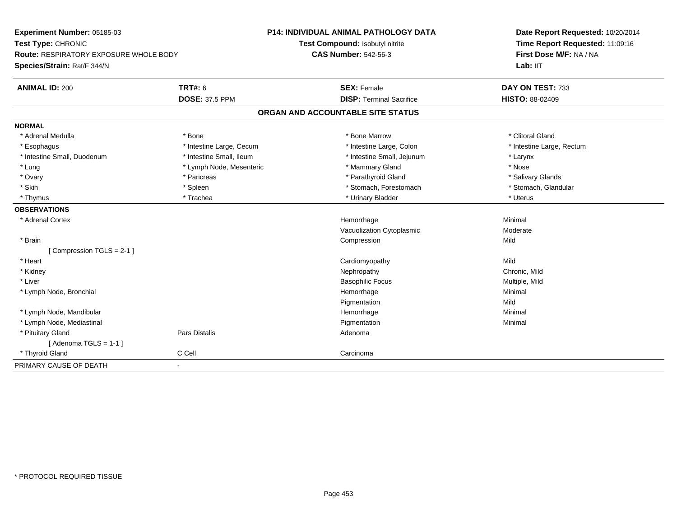| Experiment Number: 05185-03<br>Test Type: CHRONIC<br><b>Route: RESPIRATORY EXPOSURE WHOLE BODY</b> |                          | <b>P14: INDIVIDUAL ANIMAL PATHOLOGY DATA</b> | Date Report Requested: 10/20/2014<br>Time Report Requested: 11:09:16<br>First Dose M/F: NA / NA |
|----------------------------------------------------------------------------------------------------|--------------------------|----------------------------------------------|-------------------------------------------------------------------------------------------------|
|                                                                                                    |                          | Test Compound: Isobutyl nitrite              |                                                                                                 |
|                                                                                                    |                          | <b>CAS Number: 542-56-3</b>                  |                                                                                                 |
| Species/Strain: Rat/F 344/N                                                                        |                          |                                              | Lab: IIT                                                                                        |
| <b>ANIMAL ID: 200</b>                                                                              | <b>TRT#: 6</b>           | <b>SEX: Female</b>                           | DAY ON TEST: 733                                                                                |
|                                                                                                    | <b>DOSE: 37.5 PPM</b>    | <b>DISP: Terminal Sacrifice</b>              | HISTO: 88-02409                                                                                 |
|                                                                                                    |                          | ORGAN AND ACCOUNTABLE SITE STATUS            |                                                                                                 |
| <b>NORMAL</b>                                                                                      |                          |                                              |                                                                                                 |
| * Adrenal Medulla                                                                                  | * Bone                   | * Bone Marrow                                | * Clitoral Gland                                                                                |
| * Esophagus                                                                                        | * Intestine Large, Cecum | * Intestine Large, Colon                     | * Intestine Large, Rectum                                                                       |
| * Intestine Small, Duodenum                                                                        | * Intestine Small, Ileum | * Intestine Small, Jejunum                   | * Larynx                                                                                        |
| * Lung                                                                                             | * Lymph Node, Mesenteric | * Mammary Gland                              | * Nose                                                                                          |
| * Ovary                                                                                            | * Pancreas               | * Parathyroid Gland                          | * Salivary Glands                                                                               |
| * Skin                                                                                             | * Spleen                 | * Stomach, Forestomach                       | * Stomach, Glandular                                                                            |
| * Thymus                                                                                           | * Trachea                | * Urinary Bladder                            | * Uterus                                                                                        |
| <b>OBSERVATIONS</b>                                                                                |                          |                                              |                                                                                                 |
| * Adrenal Cortex                                                                                   |                          | Hemorrhage                                   | Minimal                                                                                         |
|                                                                                                    |                          | Vacuolization Cytoplasmic                    | Moderate                                                                                        |
| * Brain                                                                                            |                          | Compression                                  | Mild                                                                                            |
| [Compression TGLS = 2-1]                                                                           |                          |                                              |                                                                                                 |
| * Heart                                                                                            |                          | Cardiomyopathy                               | Mild                                                                                            |
| * Kidney                                                                                           |                          | Nephropathy                                  | Chronic, Mild                                                                                   |
| * Liver                                                                                            |                          | <b>Basophilic Focus</b>                      | Multiple, Mild                                                                                  |
| * Lymph Node, Bronchial                                                                            |                          | Hemorrhage                                   | Minimal                                                                                         |
|                                                                                                    |                          | Pigmentation                                 | Mild                                                                                            |
| * Lymph Node, Mandibular                                                                           |                          | Hemorrhage                                   | Minimal                                                                                         |
| * Lymph Node, Mediastinal                                                                          |                          | Pigmentation                                 | Minimal                                                                                         |
| * Pituitary Gland                                                                                  | Pars Distalis            | Adenoma                                      |                                                                                                 |
| [Adenoma TGLS = $1-1$ ]                                                                            |                          |                                              |                                                                                                 |
| * Thyroid Gland                                                                                    | C Cell                   | Carcinoma                                    |                                                                                                 |
| PRIMARY CAUSE OF DEATH                                                                             | $\blacksquare$           |                                              |                                                                                                 |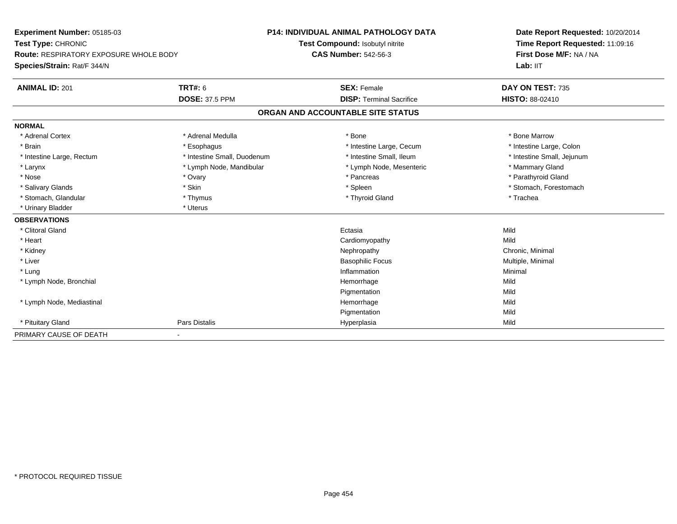| Experiment Number: 05185-03<br>Test Type: CHRONIC<br>Route: RESPIRATORY EXPOSURE WHOLE BODY |                             | <b>P14: INDIVIDUAL ANIMAL PATHOLOGY DATA</b> | Date Report Requested: 10/20/2014<br>Time Report Requested: 11:09:16<br>First Dose M/F: NA / NA |
|---------------------------------------------------------------------------------------------|-----------------------------|----------------------------------------------|-------------------------------------------------------------------------------------------------|
|                                                                                             |                             | Test Compound: Isobutyl nitrite              |                                                                                                 |
|                                                                                             |                             | <b>CAS Number: 542-56-3</b>                  |                                                                                                 |
| Species/Strain: Rat/F 344/N                                                                 |                             |                                              | Lab: IIT                                                                                        |
| <b>ANIMAL ID: 201</b>                                                                       | <b>TRT#: 6</b>              | <b>SEX: Female</b>                           | DAY ON TEST: 735                                                                                |
|                                                                                             | <b>DOSE: 37.5 PPM</b>       | <b>DISP: Terminal Sacrifice</b>              | <b>HISTO: 88-02410</b>                                                                          |
|                                                                                             |                             | ORGAN AND ACCOUNTABLE SITE STATUS            |                                                                                                 |
| <b>NORMAL</b>                                                                               |                             |                                              |                                                                                                 |
| * Adrenal Cortex                                                                            | * Adrenal Medulla           | * Bone                                       | * Bone Marrow                                                                                   |
| * Brain                                                                                     | * Esophagus                 | * Intestine Large, Cecum                     | * Intestine Large, Colon                                                                        |
| * Intestine Large, Rectum                                                                   | * Intestine Small, Duodenum | * Intestine Small, Ileum                     | * Intestine Small, Jejunum                                                                      |
| * Larynx                                                                                    | * Lymph Node, Mandibular    | * Lymph Node, Mesenteric                     | * Mammary Gland                                                                                 |
| * Nose                                                                                      | * Ovary                     | * Pancreas                                   | * Parathyroid Gland                                                                             |
| * Salivary Glands                                                                           | * Skin                      | * Spleen                                     | * Stomach, Forestomach                                                                          |
| * Stomach, Glandular                                                                        | * Thymus                    | * Thyroid Gland                              | * Trachea                                                                                       |
| * Urinary Bladder                                                                           | * Uterus                    |                                              |                                                                                                 |
| <b>OBSERVATIONS</b>                                                                         |                             |                                              |                                                                                                 |
| * Clitoral Gland                                                                            |                             | Ectasia                                      | Mild                                                                                            |
| * Heart                                                                                     |                             | Cardiomyopathy                               | Mild                                                                                            |
| * Kidney                                                                                    |                             | Nephropathy                                  | Chronic, Minimal                                                                                |
| * Liver                                                                                     |                             | <b>Basophilic Focus</b>                      | Multiple, Minimal                                                                               |
| * Lung                                                                                      |                             | Inflammation                                 | Minimal                                                                                         |
| * Lymph Node, Bronchial                                                                     |                             | Hemorrhage                                   | Mild                                                                                            |
|                                                                                             |                             | Pigmentation                                 | Mild                                                                                            |
| * Lymph Node, Mediastinal                                                                   |                             | Hemorrhage                                   | Mild                                                                                            |
|                                                                                             |                             | Pigmentation                                 | Mild                                                                                            |
| * Pituitary Gland                                                                           | Pars Distalis               | Hyperplasia                                  | Mild                                                                                            |
| PRIMARY CAUSE OF DEATH                                                                      |                             |                                              |                                                                                                 |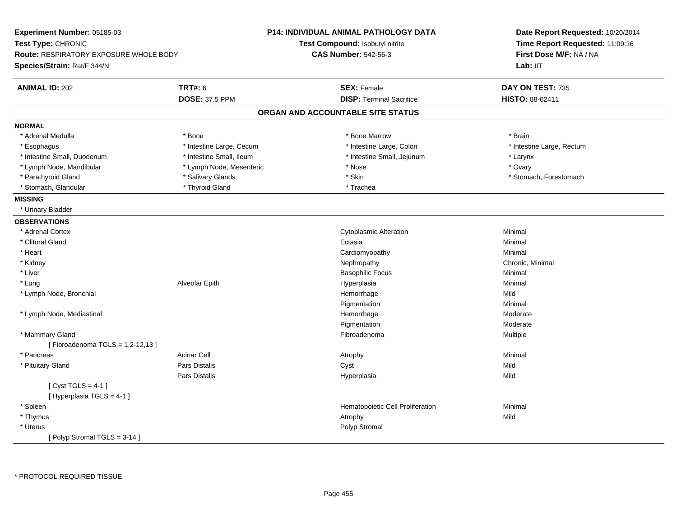| Experiment Number: 05185-03<br>Test Type: CHRONIC<br><b>Route: RESPIRATORY EXPOSURE WHOLE BODY</b><br>Species/Strain: Rat/F 344/N |                          | P14: INDIVIDUAL ANIMAL PATHOLOGY DATA<br>Test Compound: Isobutyl nitrite<br><b>CAS Number: 542-56-3</b> | Date Report Requested: 10/20/2014<br>Time Report Requested: 11:09:16<br>First Dose M/F: NA / NA<br>Lab: II <sub>T</sub> |
|-----------------------------------------------------------------------------------------------------------------------------------|--------------------------|---------------------------------------------------------------------------------------------------------|-------------------------------------------------------------------------------------------------------------------------|
| <b>ANIMAL ID: 202</b>                                                                                                             | <b>TRT#: 6</b>           | <b>SEX: Female</b>                                                                                      | DAY ON TEST: 735                                                                                                        |
|                                                                                                                                   | <b>DOSE: 37.5 PPM</b>    | <b>DISP: Terminal Sacrifice</b>                                                                         | HISTO: 88-02411                                                                                                         |
|                                                                                                                                   |                          | ORGAN AND ACCOUNTABLE SITE STATUS                                                                       |                                                                                                                         |
| <b>NORMAL</b>                                                                                                                     |                          |                                                                                                         |                                                                                                                         |
| * Adrenal Medulla                                                                                                                 | $*$ Bone                 | * Bone Marrow                                                                                           | * Brain                                                                                                                 |
| * Esophagus                                                                                                                       | * Intestine Large, Cecum | * Intestine Large, Colon                                                                                | * Intestine Large, Rectum                                                                                               |
| * Intestine Small, Duodenum                                                                                                       | * Intestine Small, Ileum | * Intestine Small, Jejunum                                                                              | * Larynx                                                                                                                |
| * Lymph Node, Mandibular                                                                                                          | * Lymph Node, Mesenteric | * Nose                                                                                                  | * Ovary                                                                                                                 |
| * Parathyroid Gland                                                                                                               | * Salivary Glands        | * Skin                                                                                                  | * Stomach, Forestomach                                                                                                  |
| * Stomach, Glandular                                                                                                              | * Thyroid Gland          | * Trachea                                                                                               |                                                                                                                         |
| <b>MISSING</b>                                                                                                                    |                          |                                                                                                         |                                                                                                                         |
| * Urinary Bladder                                                                                                                 |                          |                                                                                                         |                                                                                                                         |
| <b>OBSERVATIONS</b>                                                                                                               |                          |                                                                                                         |                                                                                                                         |
| * Adrenal Cortex                                                                                                                  |                          | <b>Cytoplasmic Alteration</b>                                                                           | Minimal                                                                                                                 |
| * Clitoral Gland                                                                                                                  |                          | Ectasia                                                                                                 | Minimal                                                                                                                 |
| * Heart                                                                                                                           |                          | Cardiomyopathy                                                                                          | Minimal                                                                                                                 |
| * Kidney                                                                                                                          |                          | Nephropathy                                                                                             | Chronic, Minimal                                                                                                        |
| * Liver                                                                                                                           |                          | <b>Basophilic Focus</b>                                                                                 | Minimal                                                                                                                 |
| * Lung                                                                                                                            | Alveolar Epith           | Hyperplasia                                                                                             | Minimal                                                                                                                 |
| * Lymph Node, Bronchial                                                                                                           |                          | Hemorrhage                                                                                              | Mild                                                                                                                    |
|                                                                                                                                   |                          | Pigmentation                                                                                            | Minimal                                                                                                                 |
| * Lymph Node, Mediastinal                                                                                                         |                          | Hemorrhage                                                                                              | Moderate                                                                                                                |
|                                                                                                                                   |                          | Pigmentation                                                                                            | Moderate                                                                                                                |
| * Mammary Gland                                                                                                                   |                          | Fibroadenoma                                                                                            | Multiple                                                                                                                |
| [Fibroadenoma TGLS = 1,2-12,13]                                                                                                   |                          |                                                                                                         |                                                                                                                         |
| * Pancreas                                                                                                                        | <b>Acinar Cell</b>       | Atrophy                                                                                                 | Minimal                                                                                                                 |
| * Pituitary Gland                                                                                                                 | Pars Distalis            | Cyst                                                                                                    | Mild                                                                                                                    |
|                                                                                                                                   | Pars Distalis            | Hyperplasia                                                                                             | Mild                                                                                                                    |
| [Cyst TGLS = $4-1$ ]                                                                                                              |                          |                                                                                                         |                                                                                                                         |
| [Hyperplasia TGLS = 4-1]                                                                                                          |                          |                                                                                                         |                                                                                                                         |
| * Spleen                                                                                                                          |                          | Hematopoietic Cell Proliferation                                                                        | Minimal                                                                                                                 |
| * Thymus                                                                                                                          |                          | Atrophy                                                                                                 | Mild                                                                                                                    |
| * Uterus                                                                                                                          |                          | Polyp Stromal                                                                                           |                                                                                                                         |
| [Polyp Stromal TGLS = 3-14]                                                                                                       |                          |                                                                                                         |                                                                                                                         |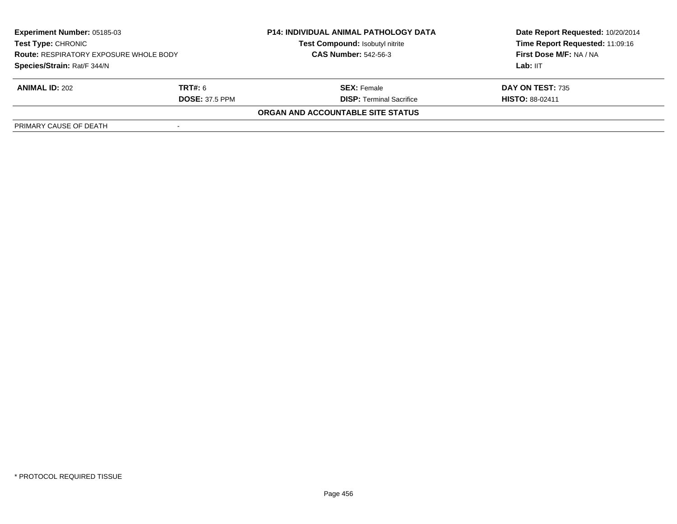| <b>Experiment Number: 05185-03</b><br><b>Test Type: CHRONIC</b><br><b>Route: RESPIRATORY EXPOSURE WHOLE BODY</b><br>Species/Strain: Rat/F 344/N |                | <b>P14: INDIVIDUAL ANIMAL PATHOLOGY DATA</b><br>Test Compound: Isobutyl nitrite | Date Report Requested: 10/20/2014<br>Time Report Requested: 11:09:16 |
|-------------------------------------------------------------------------------------------------------------------------------------------------|----------------|---------------------------------------------------------------------------------|----------------------------------------------------------------------|
|                                                                                                                                                 |                | <b>CAS Number: 542-56-3</b>                                                     | First Dose M/F: NA / NA                                              |
|                                                                                                                                                 |                |                                                                                 | Lab: IIT                                                             |
| <b>ANIMAL ID: 202</b>                                                                                                                           | <b>TRT#:</b> 6 | <b>SEX:</b> Female                                                              | DAY ON TEST: 735                                                     |
| <b>DOSE: 37.5 PPM</b>                                                                                                                           |                | <b>DISP:</b> Terminal Sacrifice                                                 | <b>HISTO: 88-02411</b>                                               |
|                                                                                                                                                 |                | ORGAN AND ACCOUNTABLE SITE STATUS                                               |                                                                      |
| PRIMARY CAUSE OF DEATH                                                                                                                          |                |                                                                                 |                                                                      |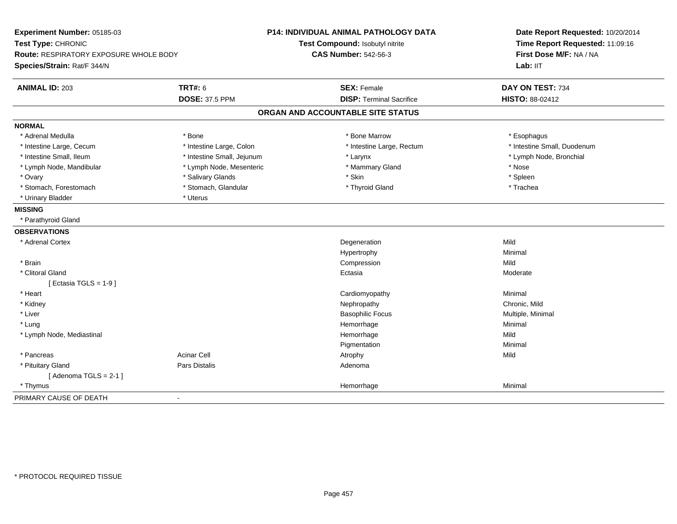| Experiment Number: 05185-03<br>Test Type: CHRONIC |                            | P14: INDIVIDUAL ANIMAL PATHOLOGY DATA<br>Test Compound: Isobutyl nitrite | Date Report Requested: 10/20/2014<br>Time Report Requested: 11:09:16 |  |
|---------------------------------------------------|----------------------------|--------------------------------------------------------------------------|----------------------------------------------------------------------|--|
| <b>Route: RESPIRATORY EXPOSURE WHOLE BODY</b>     |                            | <b>CAS Number: 542-56-3</b>                                              | First Dose M/F: NA / NA                                              |  |
| Species/Strain: Rat/F 344/N                       |                            |                                                                          | Lab: IIT                                                             |  |
| <b>ANIMAL ID: 203</b>                             | <b>TRT#: 6</b>             | <b>SEX: Female</b>                                                       | DAY ON TEST: 734                                                     |  |
|                                                   | <b>DOSE: 37.5 PPM</b>      | <b>DISP: Terminal Sacrifice</b>                                          | HISTO: 88-02412                                                      |  |
|                                                   |                            | ORGAN AND ACCOUNTABLE SITE STATUS                                        |                                                                      |  |
| <b>NORMAL</b>                                     |                            |                                                                          |                                                                      |  |
| * Adrenal Medulla                                 | * Bone                     | * Bone Marrow                                                            | * Esophagus                                                          |  |
| * Intestine Large, Cecum                          | * Intestine Large, Colon   | * Intestine Large, Rectum                                                | * Intestine Small, Duodenum                                          |  |
| * Intestine Small, Ileum                          | * Intestine Small, Jejunum | * Larynx                                                                 | * Lymph Node, Bronchial                                              |  |
| * Lymph Node, Mandibular                          | * Lymph Node, Mesenteric   | * Mammary Gland                                                          | * Nose                                                               |  |
| * Ovary                                           | * Salivary Glands          | * Skin                                                                   | * Spleen                                                             |  |
| * Stomach, Forestomach                            | * Stomach, Glandular       | * Thyroid Gland                                                          | * Trachea                                                            |  |
| * Urinary Bladder                                 | * Uterus                   |                                                                          |                                                                      |  |
| <b>MISSING</b>                                    |                            |                                                                          |                                                                      |  |
| * Parathyroid Gland                               |                            |                                                                          |                                                                      |  |
| <b>OBSERVATIONS</b>                               |                            |                                                                          |                                                                      |  |
| * Adrenal Cortex                                  |                            | Degeneration                                                             | Mild                                                                 |  |
|                                                   |                            | Hypertrophy                                                              | Minimal                                                              |  |
| * Brain                                           |                            | Compression                                                              | Mild                                                                 |  |
| * Clitoral Gland                                  |                            | Ectasia                                                                  | Moderate                                                             |  |
| [Ectasia TGLS = $1-9$ ]                           |                            |                                                                          |                                                                      |  |
| * Heart                                           |                            | Cardiomyopathy                                                           | Minimal                                                              |  |
| * Kidney                                          |                            | Nephropathy                                                              | Chronic, Mild                                                        |  |
| * Liver                                           |                            | <b>Basophilic Focus</b>                                                  | Multiple, Minimal                                                    |  |
| * Lung                                            |                            | Hemorrhage                                                               | Minimal                                                              |  |
| * Lymph Node, Mediastinal                         |                            | Hemorrhage                                                               | Mild                                                                 |  |
|                                                   |                            | Pigmentation                                                             | Minimal                                                              |  |
| * Pancreas                                        | <b>Acinar Cell</b>         | Atrophy                                                                  | Mild                                                                 |  |
| * Pituitary Gland                                 | Pars Distalis              | Adenoma                                                                  |                                                                      |  |
| [Adenoma TGLS = $2-1$ ]                           |                            |                                                                          |                                                                      |  |
| * Thymus                                          |                            | Hemorrhage                                                               | Minimal                                                              |  |
| PRIMARY CAUSE OF DEATH                            | $\overline{\phantom{0}}$   |                                                                          |                                                                      |  |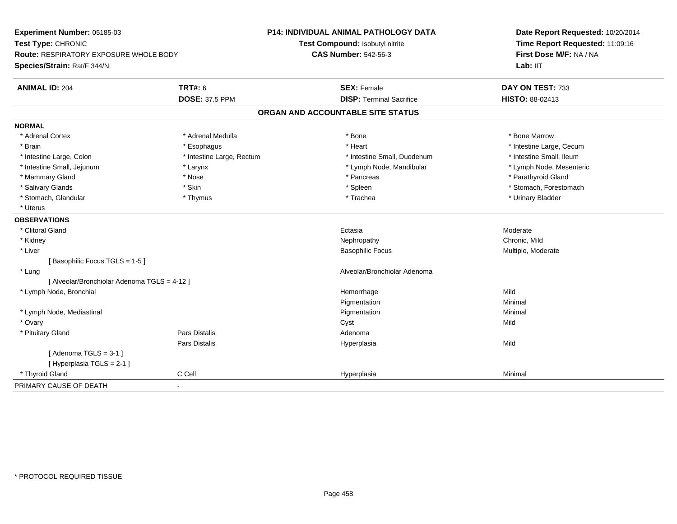| Experiment Number: 05185-03<br>Test Type: CHRONIC |                           | P14: INDIVIDUAL ANIMAL PATHOLOGY DATA | Date Report Requested: 10/20/2014   |  |
|---------------------------------------------------|---------------------------|---------------------------------------|-------------------------------------|--|
|                                                   |                           | Test Compound: Isobutyl nitrite       | Time Report Requested: 11:09:16     |  |
| <b>Route: RESPIRATORY EXPOSURE WHOLE BODY</b>     |                           | <b>CAS Number: 542-56-3</b>           | First Dose M/F: NA / NA<br>Lab: IIT |  |
| Species/Strain: Rat/F 344/N                       |                           |                                       |                                     |  |
| <b>ANIMAL ID: 204</b>                             | <b>TRT#: 6</b>            | <b>SEX: Female</b>                    | DAY ON TEST: 733                    |  |
|                                                   | <b>DOSE: 37.5 PPM</b>     | <b>DISP: Terminal Sacrifice</b>       | HISTO: 88-02413                     |  |
|                                                   |                           | ORGAN AND ACCOUNTABLE SITE STATUS     |                                     |  |
| <b>NORMAL</b>                                     |                           |                                       |                                     |  |
| * Adrenal Cortex                                  | * Adrenal Medulla         | * Bone                                | * Bone Marrow                       |  |
| * Brain                                           | * Esophagus               | * Heart                               | * Intestine Large, Cecum            |  |
| * Intestine Large, Colon                          | * Intestine Large, Rectum | * Intestine Small, Duodenum           | * Intestine Small, Ileum            |  |
| * Intestine Small, Jejunum                        | * Larynx                  | * Lymph Node, Mandibular              | * Lymph Node, Mesenteric            |  |
| * Mammary Gland                                   | * Nose                    | * Pancreas                            | * Parathyroid Gland                 |  |
| * Salivary Glands                                 | * Skin                    | * Spleen                              | * Stomach, Forestomach              |  |
| * Stomach, Glandular                              | * Thymus                  | * Trachea                             | * Urinary Bladder                   |  |
| * Uterus                                          |                           |                                       |                                     |  |
| <b>OBSERVATIONS</b>                               |                           |                                       |                                     |  |
| * Clitoral Gland                                  |                           | Ectasia                               | Moderate                            |  |
| * Kidney                                          |                           | Nephropathy                           | Chronic. Mild                       |  |
| * Liver                                           |                           | <b>Basophilic Focus</b>               | Multiple, Moderate                  |  |
| [Basophilic Focus TGLS = 1-5]                     |                           |                                       |                                     |  |
| * Lung                                            |                           | Alveolar/Bronchiolar Adenoma          |                                     |  |
| [ Alveolar/Bronchiolar Adenoma TGLS = 4-12 ]      |                           |                                       |                                     |  |
| * Lymph Node, Bronchial                           |                           | Hemorrhage                            | Mild                                |  |
|                                                   |                           | Pigmentation                          | Minimal                             |  |
| * Lymph Node, Mediastinal                         |                           | Pigmentation                          | Minimal                             |  |
| * Ovary                                           |                           | Cyst                                  | Mild                                |  |
| * Pituitary Gland                                 | Pars Distalis             | Adenoma                               |                                     |  |
|                                                   | Pars Distalis             | Hyperplasia                           | Mild                                |  |
| [Adenoma TGLS = $3-1$ ]                           |                           |                                       |                                     |  |
| [Hyperplasia TGLS = 2-1]                          |                           |                                       |                                     |  |
| * Thyroid Gland                                   | C Cell                    | Hyperplasia                           | Minimal                             |  |
| PRIMARY CAUSE OF DEATH<br>÷.                      |                           |                                       |                                     |  |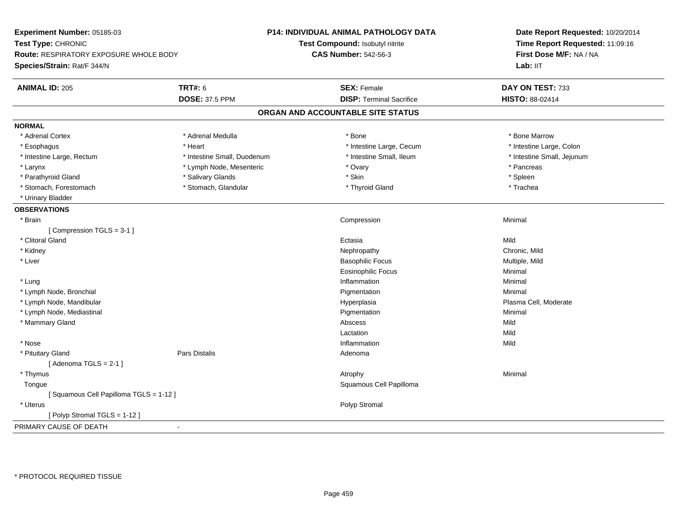| Experiment Number: 05185-03            |                             | P14: INDIVIDUAL ANIMAL PATHOLOGY DATA | Date Report Requested: 10/20/2014                          |  |
|----------------------------------------|-----------------------------|---------------------------------------|------------------------------------------------------------|--|
| Test Type: CHRONIC                     |                             | Test Compound: Isobutyl nitrite       | Time Report Requested: 11:09:16<br>First Dose M/F: NA / NA |  |
| Route: RESPIRATORY EXPOSURE WHOLE BODY |                             | <b>CAS Number: 542-56-3</b>           |                                                            |  |
| Species/Strain: Rat/F 344/N            |                             |                                       | Lab: II <sub>T</sub>                                       |  |
|                                        |                             |                                       |                                                            |  |
| <b>ANIMAL ID: 205</b>                  | <b>TRT#: 6</b>              | <b>SEX: Female</b>                    | DAY ON TEST: 733                                           |  |
|                                        | <b>DOSE: 37.5 PPM</b>       | <b>DISP: Terminal Sacrifice</b>       | HISTO: 88-02414                                            |  |
|                                        |                             | ORGAN AND ACCOUNTABLE SITE STATUS     |                                                            |  |
| <b>NORMAL</b>                          |                             |                                       |                                                            |  |
| * Adrenal Cortex                       | * Adrenal Medulla           | * Bone                                | * Bone Marrow                                              |  |
| * Esophagus                            | * Heart                     | * Intestine Large, Cecum              | * Intestine Large, Colon                                   |  |
| * Intestine Large, Rectum              | * Intestine Small, Duodenum | * Intestine Small, Ileum              | * Intestine Small, Jejunum                                 |  |
| $*$ Larynx                             | * Lymph Node, Mesenteric    | * Ovary                               | * Pancreas                                                 |  |
| * Parathyroid Gland                    | * Salivary Glands           | * Skin                                | * Spleen                                                   |  |
| * Stomach, Forestomach                 | * Stomach, Glandular        | * Thyroid Gland                       | * Trachea                                                  |  |
| * Urinary Bladder                      |                             |                                       |                                                            |  |
| <b>OBSERVATIONS</b>                    |                             |                                       |                                                            |  |
| * Brain                                |                             | Compression                           | Minimal                                                    |  |
| [Compression TGLS = 3-1]               |                             |                                       |                                                            |  |
| * Clitoral Gland                       |                             | Ectasia                               | Mild                                                       |  |
| * Kidney                               |                             | Nephropathy                           | Chronic, Mild                                              |  |
| * Liver                                |                             | <b>Basophilic Focus</b>               | Multiple, Mild                                             |  |
|                                        |                             | Eosinophilic Focus                    | Minimal                                                    |  |
| * Lung                                 |                             | Inflammation                          | Minimal                                                    |  |
| * Lymph Node, Bronchial                |                             | Pigmentation                          | Minimal                                                    |  |
| * Lymph Node, Mandibular               |                             | Hyperplasia                           | Plasma Cell, Moderate                                      |  |
| * Lymph Node, Mediastinal              |                             | Pigmentation                          | Minimal                                                    |  |
| * Mammary Gland                        |                             | Abscess                               | Mild                                                       |  |
|                                        |                             | Lactation                             | Mild                                                       |  |
| * Nose                                 |                             | Inflammation                          | Mild                                                       |  |
| * Pituitary Gland                      | Pars Distalis               | Adenoma                               |                                                            |  |
| [Adenoma TGLS = $2-1$ ]                |                             |                                       |                                                            |  |
| * Thymus                               |                             | Atrophy                               | Minimal                                                    |  |
| Tongue                                 |                             | Squamous Cell Papilloma               |                                                            |  |
| [Squamous Cell Papilloma TGLS = 1-12]  |                             |                                       |                                                            |  |
| * Uterus                               |                             | Polyp Stromal                         |                                                            |  |
| [Polyp Stromal TGLS = 1-12]            |                             |                                       |                                                            |  |
| PRIMARY CAUSE OF DEATH                 | $\blacksquare$              |                                       |                                                            |  |
|                                        |                             |                                       |                                                            |  |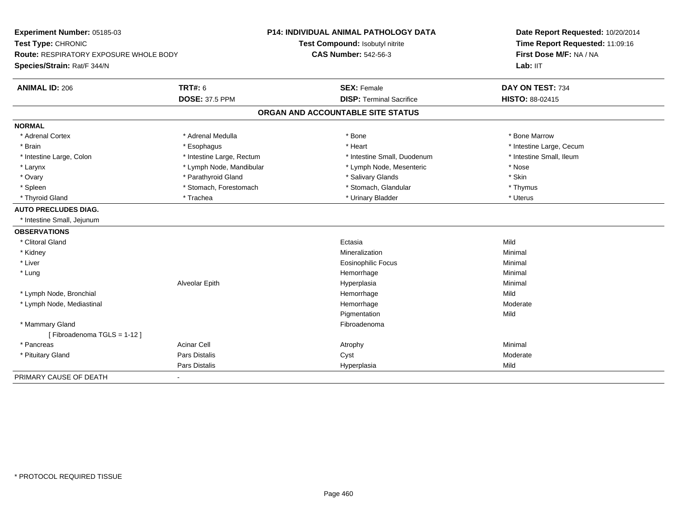| Experiment Number: 05185-03<br>Test Type: CHRONIC |                           | <b>P14: INDIVIDUAL ANIMAL PATHOLOGY DATA</b> | Date Report Requested: 10/20/2014   |  |
|---------------------------------------------------|---------------------------|----------------------------------------------|-------------------------------------|--|
|                                                   |                           | Test Compound: Isobutyl nitrite              | Time Report Requested: 11:09:16     |  |
| <b>Route: RESPIRATORY EXPOSURE WHOLE BODY</b>     |                           | <b>CAS Number: 542-56-3</b>                  | First Dose M/F: NA / NA<br>Lab: IIT |  |
| Species/Strain: Rat/F 344/N                       |                           |                                              |                                     |  |
| <b>ANIMAL ID: 206</b>                             | <b>TRT#: 6</b>            | <b>SEX: Female</b>                           | DAY ON TEST: 734                    |  |
|                                                   | <b>DOSE: 37.5 PPM</b>     | <b>DISP: Terminal Sacrifice</b>              | HISTO: 88-02415                     |  |
|                                                   |                           | ORGAN AND ACCOUNTABLE SITE STATUS            |                                     |  |
| <b>NORMAL</b>                                     |                           |                                              |                                     |  |
| * Adrenal Cortex                                  | * Adrenal Medulla         | * Bone                                       | * Bone Marrow                       |  |
| * Brain                                           | * Esophagus               | * Heart                                      | * Intestine Large, Cecum            |  |
| * Intestine Large, Colon                          | * Intestine Large, Rectum | * Intestine Small, Duodenum                  | * Intestine Small, Ileum            |  |
| * Larynx                                          | * Lymph Node, Mandibular  | * Lymph Node, Mesenteric                     | * Nose                              |  |
| * Ovary                                           | * Parathyroid Gland       | * Salivary Glands                            | * Skin                              |  |
| * Spleen                                          | * Stomach, Forestomach    | * Stomach, Glandular                         | * Thymus                            |  |
| * Thyroid Gland                                   | * Trachea                 | * Urinary Bladder                            | * Uterus                            |  |
| <b>AUTO PRECLUDES DIAG.</b>                       |                           |                                              |                                     |  |
| * Intestine Small, Jejunum                        |                           |                                              |                                     |  |
| <b>OBSERVATIONS</b>                               |                           |                                              |                                     |  |
| * Clitoral Gland                                  |                           | Ectasia                                      | Mild                                |  |
| * Kidney                                          |                           | Mineralization                               | Minimal                             |  |
| * Liver                                           |                           | <b>Eosinophilic Focus</b>                    | Minimal                             |  |
| * Lung                                            |                           | Hemorrhage                                   | Minimal                             |  |
|                                                   | Alveolar Epith            | Hyperplasia                                  | Minimal                             |  |
| * Lymph Node, Bronchial                           |                           | Hemorrhage                                   | Mild                                |  |
| * Lymph Node, Mediastinal                         |                           | Hemorrhage                                   | Moderate                            |  |
|                                                   |                           | Pigmentation                                 | Mild                                |  |
| * Mammary Gland                                   |                           | Fibroadenoma                                 |                                     |  |
| [Fibroadenoma TGLS = 1-12]                        |                           |                                              |                                     |  |
| * Pancreas                                        | <b>Acinar Cell</b>        | Atrophy                                      | Minimal                             |  |
| * Pituitary Gland                                 | Pars Distalis             | Cyst                                         | Moderate                            |  |
|                                                   | Pars Distalis             | Hyperplasia                                  | Mild                                |  |
| PRIMARY CAUSE OF DEATH                            | $\blacksquare$            |                                              |                                     |  |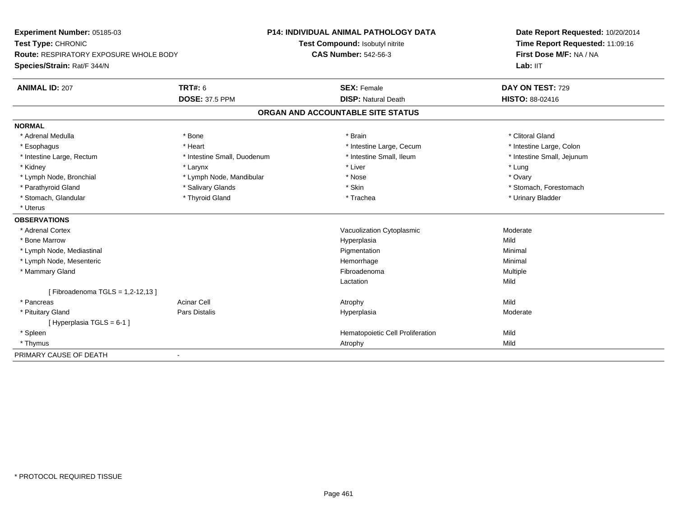| Experiment Number: 05185-03<br>Test Type: CHRONIC |                             | <b>P14: INDIVIDUAL ANIMAL PATHOLOGY DATA</b> | Date Report Requested: 10/20/2014 |  |
|---------------------------------------------------|-----------------------------|----------------------------------------------|-----------------------------------|--|
|                                                   |                             | Test Compound: Isobutyl nitrite              | Time Report Requested: 11:09:16   |  |
| Route: RESPIRATORY EXPOSURE WHOLE BODY            |                             | <b>CAS Number: 542-56-3</b>                  | First Dose M/F: NA / NA           |  |
| Species/Strain: Rat/F 344/N                       |                             |                                              | Lab: IIT                          |  |
| <b>ANIMAL ID: 207</b>                             | <b>TRT#: 6</b>              | <b>SEX: Female</b>                           | DAY ON TEST: 729                  |  |
|                                                   | <b>DOSE: 37.5 PPM</b>       | <b>DISP: Natural Death</b>                   | HISTO: 88-02416                   |  |
|                                                   |                             | ORGAN AND ACCOUNTABLE SITE STATUS            |                                   |  |
| <b>NORMAL</b>                                     |                             |                                              |                                   |  |
| * Adrenal Medulla                                 | * Bone                      | * Brain                                      | * Clitoral Gland                  |  |
| * Esophagus                                       | * Heart                     | * Intestine Large, Cecum                     | * Intestine Large, Colon          |  |
| * Intestine Large, Rectum                         | * Intestine Small, Duodenum | * Intestine Small, Ileum                     | * Intestine Small, Jejunum        |  |
| * Kidney                                          | * Larynx                    | * Liver                                      | * Lung                            |  |
| * Lymph Node, Bronchial                           | * Lymph Node, Mandibular    | * Nose                                       | * Ovary                           |  |
| * Parathyroid Gland                               | * Salivary Glands           | * Skin                                       | * Stomach, Forestomach            |  |
| * Stomach, Glandular                              | * Thyroid Gland             | * Trachea                                    | * Urinary Bladder                 |  |
| * Uterus                                          |                             |                                              |                                   |  |
| <b>OBSERVATIONS</b>                               |                             |                                              |                                   |  |
| * Adrenal Cortex                                  |                             | Vacuolization Cytoplasmic                    | Moderate                          |  |
| * Bone Marrow                                     |                             | Hyperplasia                                  | Mild                              |  |
| * Lymph Node, Mediastinal                         |                             | Pigmentation                                 | Minimal                           |  |
| * Lymph Node, Mesenteric                          |                             | Hemorrhage                                   | Minimal                           |  |
| * Mammary Gland                                   |                             | Fibroadenoma                                 | Multiple                          |  |
|                                                   |                             | Lactation                                    | Mild                              |  |
| [Fibroadenoma TGLS = 1,2-12,13]                   |                             |                                              |                                   |  |
| * Pancreas                                        | <b>Acinar Cell</b>          | Atrophy                                      | Mild                              |  |
| * Pituitary Gland                                 | Pars Distalis               | Hyperplasia                                  | Moderate                          |  |
| [Hyperplasia TGLS = 6-1]                          |                             |                                              |                                   |  |
| * Spleen                                          |                             | Hematopoietic Cell Proliferation             | Mild                              |  |
| * Thymus                                          |                             | Atrophy                                      | Mild                              |  |
| PRIMARY CAUSE OF DEATH                            | $\blacksquare$              |                                              |                                   |  |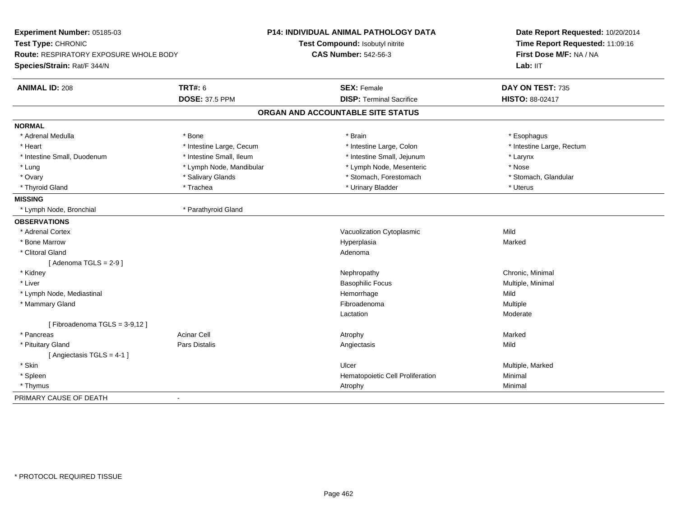| Experiment Number: 05185-03<br>Test Type: CHRONIC<br><b>Route: RESPIRATORY EXPOSURE WHOLE BODY</b><br>Species/Strain: Rat/F 344/N |                          | <b>P14: INDIVIDUAL ANIMAL PATHOLOGY DATA</b><br>Test Compound: Isobutyl nitrite<br><b>CAS Number: 542-56-3</b> | Date Report Requested: 10/20/2014<br>Time Report Requested: 11:09:16<br>First Dose M/F: NA / NA<br>Lab: IIT |
|-----------------------------------------------------------------------------------------------------------------------------------|--------------------------|----------------------------------------------------------------------------------------------------------------|-------------------------------------------------------------------------------------------------------------|
| <b>ANIMAL ID: 208</b>                                                                                                             | <b>TRT#: 6</b>           | <b>SEX: Female</b>                                                                                             | DAY ON TEST: 735                                                                                            |
|                                                                                                                                   | <b>DOSE: 37.5 PPM</b>    | <b>DISP: Terminal Sacrifice</b>                                                                                | HISTO: 88-02417                                                                                             |
|                                                                                                                                   |                          | ORGAN AND ACCOUNTABLE SITE STATUS                                                                              |                                                                                                             |
| <b>NORMAL</b>                                                                                                                     |                          |                                                                                                                |                                                                                                             |
| * Adrenal Medulla                                                                                                                 | * Bone                   | * Brain                                                                                                        | * Esophagus                                                                                                 |
| * Heart                                                                                                                           | * Intestine Large, Cecum | * Intestine Large, Colon                                                                                       | * Intestine Large, Rectum                                                                                   |
| * Intestine Small, Duodenum                                                                                                       | * Intestine Small, Ileum | * Intestine Small, Jejunum                                                                                     | * Larynx                                                                                                    |
| * Lung                                                                                                                            | * Lymph Node, Mandibular | * Lymph Node, Mesenteric                                                                                       | * Nose                                                                                                      |
| * Ovary                                                                                                                           | * Salivary Glands        | * Stomach, Forestomach                                                                                         | * Stomach, Glandular                                                                                        |
| * Thyroid Gland                                                                                                                   | * Trachea                | * Urinary Bladder                                                                                              | * Uterus                                                                                                    |
| <b>MISSING</b>                                                                                                                    |                          |                                                                                                                |                                                                                                             |
| * Lymph Node, Bronchial                                                                                                           | * Parathyroid Gland      |                                                                                                                |                                                                                                             |
| <b>OBSERVATIONS</b>                                                                                                               |                          |                                                                                                                |                                                                                                             |
| * Adrenal Cortex                                                                                                                  |                          | Vacuolization Cytoplasmic                                                                                      | Mild                                                                                                        |
| * Bone Marrow                                                                                                                     |                          | Hyperplasia                                                                                                    | Marked                                                                                                      |
| * Clitoral Gland                                                                                                                  |                          | Adenoma                                                                                                        |                                                                                                             |
| [Adenoma TGLS = $2-9$ ]                                                                                                           |                          |                                                                                                                |                                                                                                             |
| * Kidney                                                                                                                          |                          | Nephropathy                                                                                                    | Chronic, Minimal                                                                                            |
| * Liver                                                                                                                           |                          | <b>Basophilic Focus</b>                                                                                        | Multiple, Minimal                                                                                           |
| * Lymph Node, Mediastinal                                                                                                         |                          | Hemorrhage                                                                                                     | Mild                                                                                                        |
| * Mammary Gland                                                                                                                   |                          | Fibroadenoma                                                                                                   | Multiple                                                                                                    |
|                                                                                                                                   |                          | Lactation                                                                                                      | Moderate                                                                                                    |
| [Fibroadenoma TGLS = 3-9,12]                                                                                                      |                          |                                                                                                                |                                                                                                             |
| * Pancreas                                                                                                                        | <b>Acinar Cell</b>       | Atrophy                                                                                                        | Marked                                                                                                      |
| * Pituitary Gland                                                                                                                 | <b>Pars Distalis</b>     | Angiectasis                                                                                                    | Mild                                                                                                        |
| [Angiectasis TGLS = 4-1]                                                                                                          |                          |                                                                                                                |                                                                                                             |
| * Skin                                                                                                                            |                          | Ulcer                                                                                                          | Multiple, Marked                                                                                            |
| * Spleen                                                                                                                          |                          | Hematopoietic Cell Proliferation                                                                               | Minimal                                                                                                     |
| * Thymus                                                                                                                          |                          | Atrophy                                                                                                        | Minimal                                                                                                     |
| PRIMARY CAUSE OF DEATH                                                                                                            | $\blacksquare$           |                                                                                                                |                                                                                                             |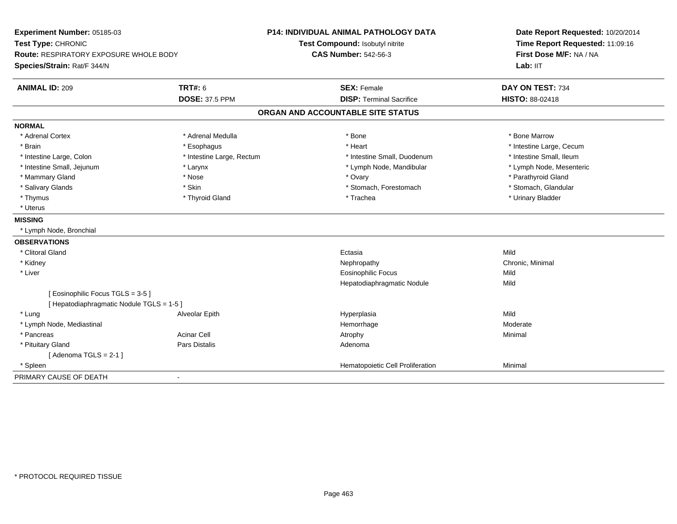| Experiment Number: 05185-03<br>Test Type: CHRONIC<br><b>Route: RESPIRATORY EXPOSURE WHOLE BODY</b><br>Species/Strain: Rat/F 344/N |                           | P14: INDIVIDUAL ANIMAL PATHOLOGY DATA<br>Test Compound: Isobutyl nitrite<br><b>CAS Number: 542-56-3</b> | Date Report Requested: 10/20/2014<br>Time Report Requested: 11:09:16<br>First Dose M/F: NA / NA<br>Lab: IIT |  |
|-----------------------------------------------------------------------------------------------------------------------------------|---------------------------|---------------------------------------------------------------------------------------------------------|-------------------------------------------------------------------------------------------------------------|--|
| <b>ANIMAL ID: 209</b>                                                                                                             | <b>TRT#: 6</b>            | <b>SEX: Female</b>                                                                                      | DAY ON TEST: 734                                                                                            |  |
|                                                                                                                                   | <b>DOSE: 37.5 PPM</b>     | <b>DISP: Terminal Sacrifice</b>                                                                         | HISTO: 88-02418                                                                                             |  |
|                                                                                                                                   |                           | ORGAN AND ACCOUNTABLE SITE STATUS                                                                       |                                                                                                             |  |
| <b>NORMAL</b>                                                                                                                     |                           |                                                                                                         |                                                                                                             |  |
| * Adrenal Cortex                                                                                                                  | * Adrenal Medulla         | * Bone                                                                                                  | * Bone Marrow                                                                                               |  |
| * Brain                                                                                                                           | * Esophagus               | * Heart                                                                                                 | * Intestine Large, Cecum                                                                                    |  |
| * Intestine Large, Colon                                                                                                          | * Intestine Large, Rectum | * Intestine Small, Duodenum                                                                             | * Intestine Small, Ileum                                                                                    |  |
| * Intestine Small, Jejunum                                                                                                        | * Larynx                  | * Lymph Node, Mandibular                                                                                | * Lymph Node, Mesenteric                                                                                    |  |
| * Mammary Gland                                                                                                                   | * Nose                    | * Ovary                                                                                                 | * Parathyroid Gland                                                                                         |  |
| * Salivary Glands                                                                                                                 | * Skin                    | * Stomach, Forestomach                                                                                  | * Stomach, Glandular                                                                                        |  |
| * Thymus                                                                                                                          | * Thyroid Gland           | * Trachea                                                                                               | * Urinary Bladder                                                                                           |  |
| * Uterus                                                                                                                          |                           |                                                                                                         |                                                                                                             |  |
| <b>MISSING</b>                                                                                                                    |                           |                                                                                                         |                                                                                                             |  |
| * Lymph Node, Bronchial                                                                                                           |                           |                                                                                                         |                                                                                                             |  |
| <b>OBSERVATIONS</b>                                                                                                               |                           |                                                                                                         |                                                                                                             |  |
| * Clitoral Gland                                                                                                                  |                           | Ectasia                                                                                                 | Mild                                                                                                        |  |
| * Kidney                                                                                                                          |                           | Nephropathy                                                                                             | Chronic, Minimal                                                                                            |  |
| * Liver                                                                                                                           |                           | <b>Eosinophilic Focus</b>                                                                               | Mild                                                                                                        |  |
|                                                                                                                                   |                           | Hepatodiaphragmatic Nodule                                                                              | Mild                                                                                                        |  |
| [Eosinophilic Focus TGLS = 3-5]                                                                                                   |                           |                                                                                                         |                                                                                                             |  |
| [ Hepatodiaphragmatic Nodule TGLS = 1-5 ]                                                                                         |                           |                                                                                                         |                                                                                                             |  |
| * Lung                                                                                                                            | Alveolar Epith            | Hyperplasia                                                                                             | Mild                                                                                                        |  |
| * Lymph Node, Mediastinal                                                                                                         |                           | Hemorrhage                                                                                              | Moderate                                                                                                    |  |
| * Pancreas                                                                                                                        | <b>Acinar Cell</b>        | Atrophy                                                                                                 | Minimal                                                                                                     |  |
| * Pituitary Gland                                                                                                                 | <b>Pars Distalis</b>      | Adenoma                                                                                                 |                                                                                                             |  |
| [Adenoma TGLS = $2-1$ ]                                                                                                           |                           |                                                                                                         |                                                                                                             |  |
| * Spleen                                                                                                                          |                           | Hematopoietic Cell Proliferation                                                                        | Minimal                                                                                                     |  |
| PRIMARY CAUSE OF DEATH                                                                                                            | $\blacksquare$            |                                                                                                         |                                                                                                             |  |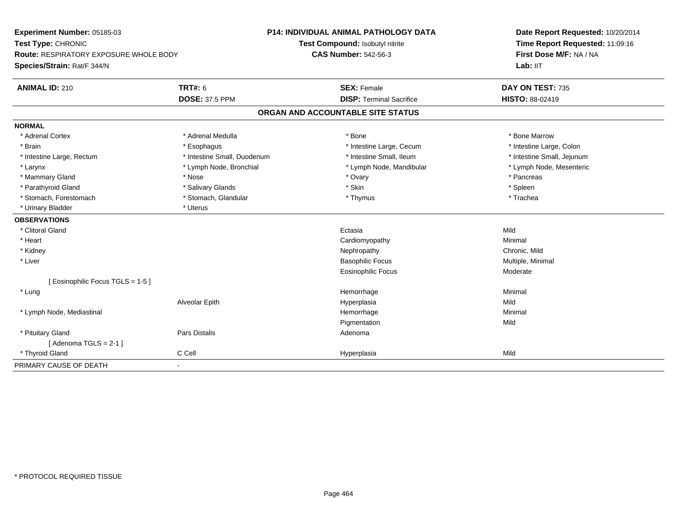| Experiment Number: 05185-03                   |                             | <b>P14: INDIVIDUAL ANIMAL PATHOLOGY DATA</b> | Date Report Requested: 10/20/2014 |  |
|-----------------------------------------------|-----------------------------|----------------------------------------------|-----------------------------------|--|
| Test Type: CHRONIC                            |                             | Test Compound: Isobutyl nitrite              | Time Report Requested: 11:09:16   |  |
| <b>Route: RESPIRATORY EXPOSURE WHOLE BODY</b> |                             | <b>CAS Number: 542-56-3</b>                  | First Dose M/F: NA / NA           |  |
| Species/Strain: Rat/F 344/N                   |                             |                                              | Lab: IIT                          |  |
| <b>ANIMAL ID: 210</b>                         | <b>TRT#: 6</b>              | <b>SEX: Female</b>                           | DAY ON TEST: 735                  |  |
|                                               | <b>DOSE: 37.5 PPM</b>       | <b>DISP: Terminal Sacrifice</b>              | <b>HISTO: 88-02419</b>            |  |
|                                               |                             | ORGAN AND ACCOUNTABLE SITE STATUS            |                                   |  |
| <b>NORMAL</b>                                 |                             |                                              |                                   |  |
| * Adrenal Cortex                              | * Adrenal Medulla           | * Bone                                       | * Bone Marrow                     |  |
| * Brain                                       | * Esophagus                 | * Intestine Large, Cecum                     | * Intestine Large, Colon          |  |
| * Intestine Large, Rectum                     | * Intestine Small, Duodenum | * Intestine Small, Ileum                     | * Intestine Small, Jejunum        |  |
| * Larynx                                      | * Lymph Node, Bronchial     | * Lymph Node, Mandibular                     | * Lymph Node, Mesenteric          |  |
| * Mammary Gland                               | * Nose                      | * Ovary                                      | * Pancreas                        |  |
| * Parathyroid Gland                           | * Salivary Glands           | * Skin                                       | * Spleen                          |  |
| * Stomach, Forestomach                        | * Stomach, Glandular        | * Thymus                                     | * Trachea                         |  |
| * Urinary Bladder                             | * Uterus                    |                                              |                                   |  |
| <b>OBSERVATIONS</b>                           |                             |                                              |                                   |  |
| * Clitoral Gland                              |                             | Ectasia                                      | Mild                              |  |
| * Heart                                       |                             | Cardiomyopathy                               | Minimal                           |  |
| * Kidney                                      |                             | Nephropathy                                  | Chronic, Mild                     |  |
| * Liver                                       |                             | <b>Basophilic Focus</b>                      | Multiple, Minimal                 |  |
|                                               |                             | <b>Eosinophilic Focus</b>                    | Moderate                          |  |
| [Eosinophilic Focus TGLS = 1-5]               |                             |                                              |                                   |  |
| * Lung                                        |                             | Hemorrhage                                   | Minimal                           |  |
|                                               | Alveolar Epith              | Hyperplasia                                  | Mild                              |  |
| * Lymph Node, Mediastinal                     |                             | Hemorrhage                                   | Minimal                           |  |
|                                               |                             | Pigmentation                                 | Mild                              |  |
| * Pituitary Gland                             | <b>Pars Distalis</b>        | Adenoma                                      |                                   |  |
| [Adenoma TGLS = $2-1$ ]                       |                             |                                              |                                   |  |
| * Thyroid Gland                               | C Cell                      | Hyperplasia                                  | Mild                              |  |
| PRIMARY CAUSE OF DEATH                        | $\blacksquare$              |                                              |                                   |  |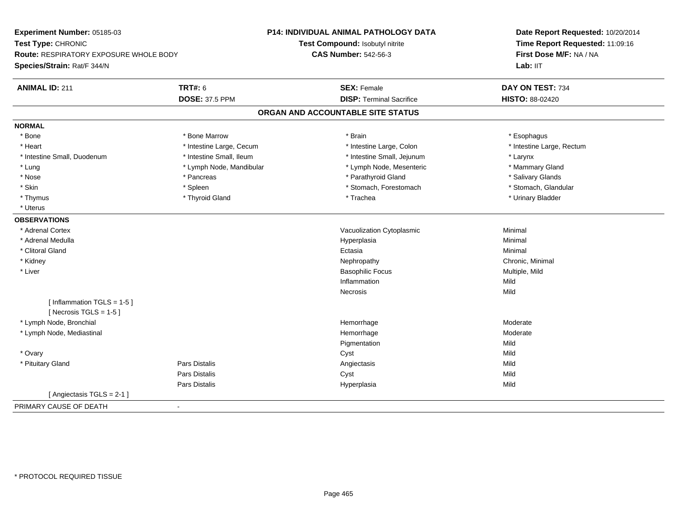| Experiment Number: 05185-03<br>Test Type: CHRONIC<br><b>Route: RESPIRATORY EXPOSURE WHOLE BODY</b><br>Species/Strain: Rat/F 344/N |                          | P14: INDIVIDUAL ANIMAL PATHOLOGY DATA<br>Test Compound: Isobutyl nitrite<br><b>CAS Number: 542-56-3</b> | Date Report Requested: 10/20/2014<br>Time Report Requested: 11:09:16<br>First Dose M/F: NA / NA<br>Lab: IIT |
|-----------------------------------------------------------------------------------------------------------------------------------|--------------------------|---------------------------------------------------------------------------------------------------------|-------------------------------------------------------------------------------------------------------------|
| <b>ANIMAL ID: 211</b>                                                                                                             | <b>TRT#: 6</b>           | <b>SEX: Female</b>                                                                                      | DAY ON TEST: 734                                                                                            |
|                                                                                                                                   | <b>DOSE: 37.5 PPM</b>    | <b>DISP: Terminal Sacrifice</b>                                                                         | HISTO: 88-02420                                                                                             |
|                                                                                                                                   |                          | ORGAN AND ACCOUNTABLE SITE STATUS                                                                       |                                                                                                             |
| <b>NORMAL</b>                                                                                                                     |                          |                                                                                                         |                                                                                                             |
| * Bone                                                                                                                            | * Bone Marrow            | * Brain                                                                                                 | * Esophagus                                                                                                 |
| * Heart                                                                                                                           | * Intestine Large, Cecum | * Intestine Large, Colon                                                                                | * Intestine Large, Rectum                                                                                   |
| * Intestine Small, Duodenum                                                                                                       | * Intestine Small, Ileum | * Intestine Small, Jejunum                                                                              | * Larynx                                                                                                    |
| * Lung                                                                                                                            | * Lymph Node, Mandibular | * Lymph Node, Mesenteric                                                                                | * Mammary Gland                                                                                             |
| * Nose                                                                                                                            | * Pancreas               | * Parathyroid Gland                                                                                     | * Salivary Glands                                                                                           |
| * Skin                                                                                                                            | * Spleen                 | * Stomach, Forestomach                                                                                  | * Stomach, Glandular                                                                                        |
| * Thymus                                                                                                                          | * Thyroid Gland          | * Trachea                                                                                               | * Urinary Bladder                                                                                           |
| * Uterus                                                                                                                          |                          |                                                                                                         |                                                                                                             |
| <b>OBSERVATIONS</b>                                                                                                               |                          |                                                                                                         |                                                                                                             |
| * Adrenal Cortex                                                                                                                  |                          | Vacuolization Cytoplasmic                                                                               | Minimal                                                                                                     |
| * Adrenal Medulla                                                                                                                 |                          | Hyperplasia                                                                                             | Minimal                                                                                                     |
| * Clitoral Gland                                                                                                                  |                          | Ectasia                                                                                                 | Minimal                                                                                                     |
| * Kidney                                                                                                                          |                          | Nephropathy                                                                                             | Chronic, Minimal                                                                                            |
| * Liver                                                                                                                           |                          | <b>Basophilic Focus</b>                                                                                 | Multiple, Mild                                                                                              |
|                                                                                                                                   |                          | Inflammation                                                                                            | Mild                                                                                                        |
|                                                                                                                                   |                          | Necrosis                                                                                                | Mild                                                                                                        |
| [Inflammation TGLS = $1-5$ ]<br>[Necrosis TGLS = $1-5$ ]                                                                          |                          |                                                                                                         |                                                                                                             |
| * Lymph Node, Bronchial                                                                                                           |                          | Hemorrhage                                                                                              | Moderate                                                                                                    |
| * Lymph Node, Mediastinal                                                                                                         |                          | Hemorrhage                                                                                              | Moderate                                                                                                    |
|                                                                                                                                   |                          | Pigmentation                                                                                            | Mild                                                                                                        |
| * Ovary                                                                                                                           |                          | Cyst                                                                                                    | Mild                                                                                                        |
| * Pituitary Gland                                                                                                                 | Pars Distalis            | Angiectasis                                                                                             | Mild                                                                                                        |
|                                                                                                                                   | Pars Distalis            | Cyst                                                                                                    | Mild                                                                                                        |
|                                                                                                                                   | Pars Distalis            | Hyperplasia                                                                                             | Mild                                                                                                        |
| [Angiectasis TGLS = 2-1]                                                                                                          |                          |                                                                                                         |                                                                                                             |
| PRIMARY CAUSE OF DEATH                                                                                                            | $\blacksquare$           |                                                                                                         |                                                                                                             |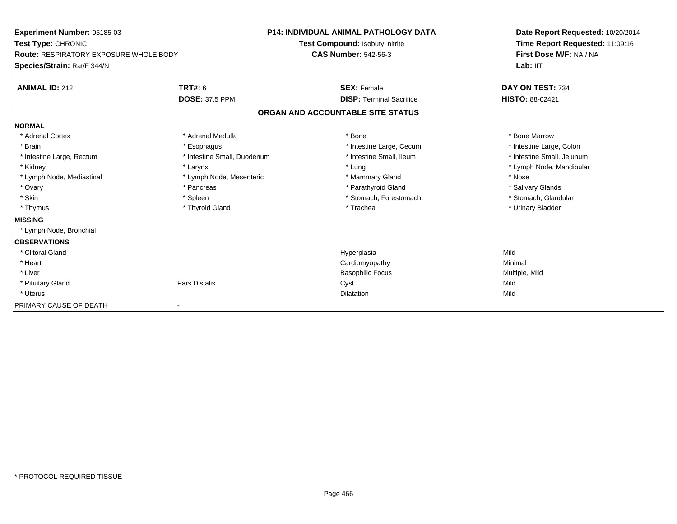| Experiment Number: 05185-03<br>Test Type: CHRONIC |                             | <b>P14: INDIVIDUAL ANIMAL PATHOLOGY DATA</b> |                                   |  | Date Report Requested: 10/20/2014                          |  |
|---------------------------------------------------|-----------------------------|----------------------------------------------|-----------------------------------|--|------------------------------------------------------------|--|
|                                                   |                             |                                              | Test Compound: Isobutyl nitrite   |  | Time Report Requested: 11:09:16<br>First Dose M/F: NA / NA |  |
| <b>Route: RESPIRATORY EXPOSURE WHOLE BODY</b>     |                             | <b>CAS Number: 542-56-3</b>                  |                                   |  |                                                            |  |
| Species/Strain: Rat/F 344/N                       |                             |                                              |                                   |  | Lab: IIT                                                   |  |
| <b>ANIMAL ID: 212</b>                             | <b>TRT#: 6</b>              |                                              | <b>SEX: Female</b>                |  | DAY ON TEST: 734                                           |  |
|                                                   | <b>DOSE: 37.5 PPM</b>       |                                              | <b>DISP:</b> Terminal Sacrifice   |  | <b>HISTO: 88-02421</b>                                     |  |
|                                                   |                             |                                              | ORGAN AND ACCOUNTABLE SITE STATUS |  |                                                            |  |
| <b>NORMAL</b>                                     |                             |                                              |                                   |  |                                                            |  |
| * Adrenal Cortex                                  | * Adrenal Medulla           |                                              | * Bone                            |  | * Bone Marrow                                              |  |
| * Brain                                           | * Esophagus                 |                                              | * Intestine Large, Cecum          |  | * Intestine Large, Colon                                   |  |
| * Intestine Large, Rectum                         | * Intestine Small, Duodenum |                                              | * Intestine Small, Ileum          |  | * Intestine Small, Jejunum                                 |  |
| * Kidney                                          | * Larynx                    |                                              | * Lung                            |  | * Lymph Node, Mandibular                                   |  |
| * Lymph Node, Mediastinal                         | * Lymph Node, Mesenteric    |                                              | * Mammary Gland                   |  | * Nose                                                     |  |
| * Ovary                                           | * Pancreas                  |                                              | * Parathyroid Gland               |  | * Salivary Glands                                          |  |
| * Skin                                            | * Spleen                    |                                              | * Stomach, Forestomach            |  | * Stomach, Glandular                                       |  |
| * Thymus                                          | * Thyroid Gland             |                                              | * Trachea                         |  | * Urinary Bladder                                          |  |
| <b>MISSING</b>                                    |                             |                                              |                                   |  |                                                            |  |
| * Lymph Node, Bronchial                           |                             |                                              |                                   |  |                                                            |  |
| <b>OBSERVATIONS</b>                               |                             |                                              |                                   |  |                                                            |  |
| * Clitoral Gland                                  |                             |                                              | Hyperplasia                       |  | Mild                                                       |  |
| * Heart                                           |                             |                                              | Cardiomyopathy                    |  | Minimal                                                    |  |
| * Liver                                           |                             |                                              | <b>Basophilic Focus</b>           |  | Multiple, Mild                                             |  |
| * Pituitary Gland                                 | <b>Pars Distalis</b>        |                                              | Cyst                              |  | Mild                                                       |  |
| * Uterus                                          |                             |                                              | <b>Dilatation</b>                 |  | Mild                                                       |  |
| PRIMARY CAUSE OF DEATH                            |                             |                                              |                                   |  |                                                            |  |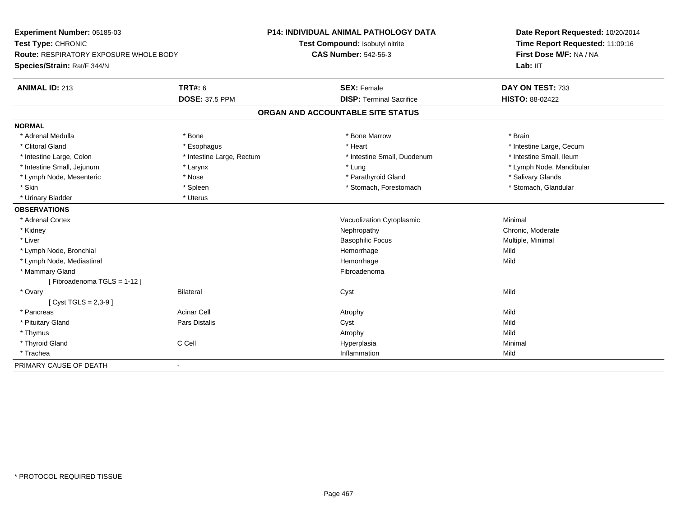| Experiment Number: 05185-03<br>Test Type: CHRONIC |                           | <b>P14: INDIVIDUAL ANIMAL PATHOLOGY DATA</b> | Date Report Requested: 10/20/2014<br>Time Report Requested: 11:09:16 |
|---------------------------------------------------|---------------------------|----------------------------------------------|----------------------------------------------------------------------|
|                                                   |                           | Test Compound: Isobutyl nitrite              |                                                                      |
| <b>Route: RESPIRATORY EXPOSURE WHOLE BODY</b>     |                           | <b>CAS Number: 542-56-3</b>                  | First Dose M/F: NA / NA                                              |
| Species/Strain: Rat/F 344/N                       |                           |                                              | Lab: IIT                                                             |
| <b>ANIMAL ID: 213</b>                             | <b>TRT#: 6</b>            | <b>SEX: Female</b>                           | DAY ON TEST: 733                                                     |
|                                                   | <b>DOSE: 37.5 PPM</b>     | <b>DISP: Terminal Sacrifice</b>              | HISTO: 88-02422                                                      |
|                                                   |                           | ORGAN AND ACCOUNTABLE SITE STATUS            |                                                                      |
| <b>NORMAL</b>                                     |                           |                                              |                                                                      |
| * Adrenal Medulla                                 | * Bone                    | * Bone Marrow                                | * Brain                                                              |
| * Clitoral Gland                                  | * Esophagus               | * Heart                                      | * Intestine Large, Cecum                                             |
| * Intestine Large, Colon                          | * Intestine Large, Rectum | * Intestine Small, Duodenum                  | * Intestine Small, Ileum                                             |
| * Intestine Small, Jejunum                        | * Larynx                  | * Lung                                       | * Lymph Node, Mandibular                                             |
| * Lymph Node, Mesenteric                          | * Nose                    | * Parathyroid Gland                          | * Salivary Glands                                                    |
| * Skin                                            | * Spleen                  | * Stomach, Forestomach                       | * Stomach, Glandular                                                 |
| * Urinary Bladder                                 | * Uterus                  |                                              |                                                                      |
| <b>OBSERVATIONS</b>                               |                           |                                              |                                                                      |
| * Adrenal Cortex                                  |                           | Vacuolization Cytoplasmic                    | Minimal                                                              |
| * Kidney                                          |                           | Nephropathy                                  | Chronic, Moderate                                                    |
| * Liver                                           |                           | <b>Basophilic Focus</b>                      | Multiple, Minimal                                                    |
| * Lymph Node, Bronchial                           |                           | Hemorrhage                                   | Mild                                                                 |
| * Lymph Node, Mediastinal                         |                           | Hemorrhage                                   | Mild                                                                 |
| * Mammary Gland                                   |                           | Fibroadenoma                                 |                                                                      |
| [Fibroadenoma TGLS = 1-12]                        |                           |                                              |                                                                      |
| * Ovary                                           | <b>Bilateral</b>          | Cyst                                         | Mild                                                                 |
| [ $Cyst TGLS = 2,3-9$ ]                           |                           |                                              |                                                                      |
| * Pancreas                                        | <b>Acinar Cell</b>        | Atrophy                                      | Mild                                                                 |
| * Pituitary Gland                                 | Pars Distalis             | Cyst                                         | Mild                                                                 |
| * Thymus                                          |                           | Atrophy                                      | Mild                                                                 |
| * Thyroid Gland                                   | C Cell                    | Hyperplasia                                  | Minimal                                                              |
| * Trachea                                         |                           | Inflammation                                 | Mild                                                                 |
| PRIMARY CAUSE OF DEATH                            | $\blacksquare$            |                                              |                                                                      |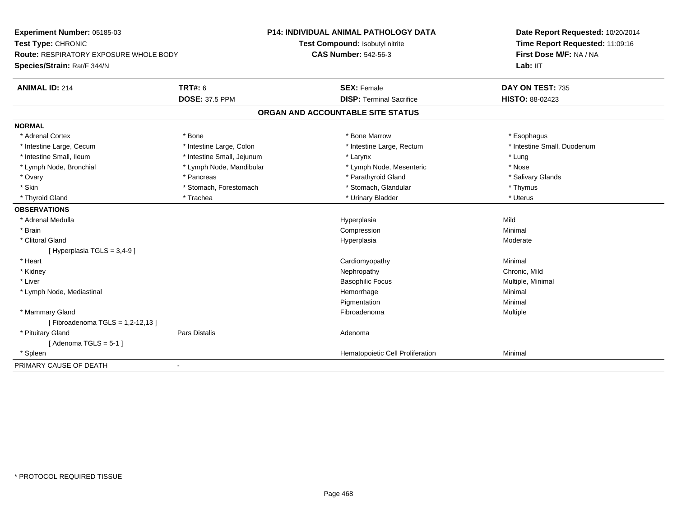| Experiment Number: 05185-03<br>Test Type: CHRONIC |                            | <b>P14: INDIVIDUAL ANIMAL PATHOLOGY DATA</b> | Date Report Requested: 10/20/2014 |  |
|---------------------------------------------------|----------------------------|----------------------------------------------|-----------------------------------|--|
|                                                   |                            | Test Compound: Isobutyl nitrite              | Time Report Requested: 11:09:16   |  |
| <b>Route: RESPIRATORY EXPOSURE WHOLE BODY</b>     |                            | <b>CAS Number: 542-56-3</b>                  | First Dose M/F: NA / NA           |  |
| Species/Strain: Rat/F 344/N                       |                            |                                              | Lab: IIT                          |  |
| <b>ANIMAL ID: 214</b>                             | <b>TRT#: 6</b>             | <b>SEX: Female</b>                           | DAY ON TEST: 735                  |  |
|                                                   | <b>DOSE: 37.5 PPM</b>      | <b>DISP: Terminal Sacrifice</b>              | HISTO: 88-02423                   |  |
|                                                   |                            | ORGAN AND ACCOUNTABLE SITE STATUS            |                                   |  |
| <b>NORMAL</b>                                     |                            |                                              |                                   |  |
| * Adrenal Cortex                                  | * Bone                     | * Bone Marrow                                | * Esophagus                       |  |
| * Intestine Large, Cecum                          | * Intestine Large, Colon   | * Intestine Large, Rectum                    | * Intestine Small, Duodenum       |  |
| * Intestine Small, Ileum                          | * Intestine Small, Jejunum | * Larynx                                     | * Lung                            |  |
| * Lymph Node, Bronchial                           | * Lymph Node, Mandibular   | * Lymph Node, Mesenteric                     | * Nose                            |  |
| * Ovary                                           | * Pancreas                 | * Parathyroid Gland                          | * Salivary Glands                 |  |
| * Skin                                            | * Stomach, Forestomach     | * Stomach, Glandular                         | * Thymus                          |  |
| * Thyroid Gland                                   | * Trachea                  | * Urinary Bladder                            | * Uterus                          |  |
| <b>OBSERVATIONS</b>                               |                            |                                              |                                   |  |
| * Adrenal Medulla                                 |                            | Hyperplasia                                  | Mild                              |  |
| * Brain                                           |                            | Compression                                  | Minimal                           |  |
| * Clitoral Gland                                  |                            | Hyperplasia                                  | Moderate                          |  |
| [ Hyperplasia TGLS = 3,4-9 ]                      |                            |                                              |                                   |  |
| * Heart                                           |                            | Cardiomyopathy                               | Minimal                           |  |
| * Kidney                                          |                            | Nephropathy                                  | Chronic, Mild                     |  |
| * Liver                                           |                            | <b>Basophilic Focus</b>                      | Multiple, Minimal                 |  |
| * Lymph Node, Mediastinal                         |                            | Hemorrhage                                   | Minimal                           |  |
|                                                   |                            | Pigmentation                                 | Minimal                           |  |
| * Mammary Gland                                   |                            | Fibroadenoma                                 | Multiple                          |  |
| [Fibroadenoma TGLS = 1,2-12,13]                   |                            |                                              |                                   |  |
| * Pituitary Gland                                 | <b>Pars Distalis</b>       | Adenoma                                      |                                   |  |
| [Adenoma TGLS = $5-1$ ]                           |                            |                                              |                                   |  |
| * Spleen                                          |                            | Hematopoietic Cell Proliferation             | Minimal                           |  |
| PRIMARY CAUSE OF DEATH                            | $\blacksquare$             |                                              |                                   |  |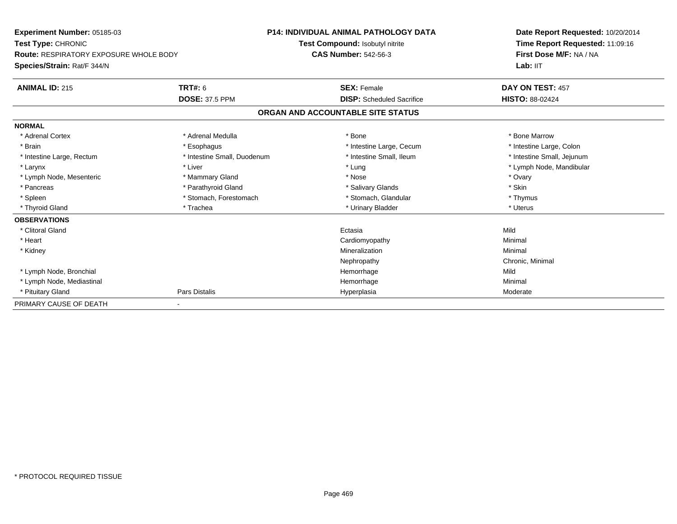| Experiment Number: 05185-03            |                             | <b>P14: INDIVIDUAL ANIMAL PATHOLOGY DATA</b> | Date Report Requested: 10/20/2014 |
|----------------------------------------|-----------------------------|----------------------------------------------|-----------------------------------|
| Test Type: CHRONIC                     |                             | Test Compound: Isobutyl nitrite              | Time Report Requested: 11:09:16   |
| Route: RESPIRATORY EXPOSURE WHOLE BODY |                             | <b>CAS Number: 542-56-3</b>                  | First Dose M/F: NA / NA           |
| Species/Strain: Rat/F 344/N            |                             |                                              | Lab: IIT                          |
| <b>ANIMAL ID: 215</b>                  | <b>TRT#: 6</b>              | <b>SEX: Female</b>                           | DAY ON TEST: 457                  |
|                                        | <b>DOSE: 37.5 PPM</b>       | <b>DISP:</b> Scheduled Sacrifice             | <b>HISTO: 88-02424</b>            |
|                                        |                             | ORGAN AND ACCOUNTABLE SITE STATUS            |                                   |
| <b>NORMAL</b>                          |                             |                                              |                                   |
| * Adrenal Cortex                       | * Adrenal Medulla           | * Bone                                       | * Bone Marrow                     |
| * Brain                                | * Esophagus                 | * Intestine Large, Cecum                     | * Intestine Large, Colon          |
| * Intestine Large, Rectum              | * Intestine Small, Duodenum | * Intestine Small, Ileum                     | * Intestine Small, Jejunum        |
| * Larynx                               | * Liver                     | * Lung                                       | * Lymph Node, Mandibular          |
| * Lymph Node, Mesenteric               | * Mammary Gland             | * Nose                                       | * Ovary                           |
| * Pancreas                             | * Parathyroid Gland         | * Salivary Glands                            | * Skin                            |
| * Spleen                               | * Stomach, Forestomach      | * Stomach, Glandular                         | * Thymus                          |
| * Thyroid Gland                        | * Trachea                   | * Urinary Bladder                            | * Uterus                          |
| <b>OBSERVATIONS</b>                    |                             |                                              |                                   |
| * Clitoral Gland                       |                             | Ectasia                                      | Mild                              |
| * Heart                                |                             | Cardiomyopathy                               | Minimal                           |
| * Kidney                               |                             | Mineralization                               | Minimal                           |
|                                        |                             | Nephropathy                                  | Chronic, Minimal                  |
| * Lymph Node, Bronchial                |                             | Hemorrhage                                   | Mild                              |
| * Lymph Node, Mediastinal              |                             | Hemorrhage                                   | Minimal                           |
| * Pituitary Gland                      | Pars Distalis               | Hyperplasia                                  | Moderate                          |
| PRIMARY CAUSE OF DEATH                 |                             |                                              |                                   |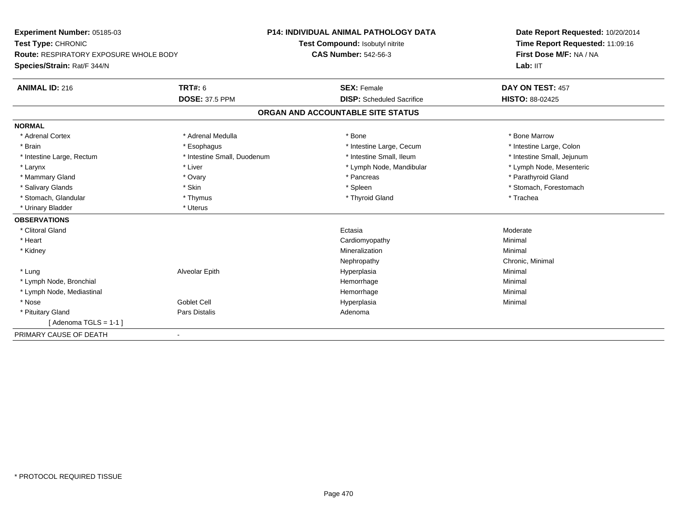| Experiment Number: 05185-03                   |                             | <b>P14: INDIVIDUAL ANIMAL PATHOLOGY DATA</b> | Date Report Requested: 10/20/2014 |
|-----------------------------------------------|-----------------------------|----------------------------------------------|-----------------------------------|
| Test Type: CHRONIC                            |                             | Test Compound: Isobutyl nitrite              | Time Report Requested: 11:09:16   |
| <b>Route: RESPIRATORY EXPOSURE WHOLE BODY</b> |                             | <b>CAS Number: 542-56-3</b>                  | First Dose M/F: NA / NA           |
| Species/Strain: Rat/F 344/N                   |                             |                                              | Lab: IIT                          |
| <b>ANIMAL ID: 216</b>                         | <b>TRT#: 6</b>              | <b>SEX: Female</b>                           | DAY ON TEST: 457                  |
|                                               | <b>DOSE: 37.5 PPM</b>       | <b>DISP:</b> Scheduled Sacrifice             | <b>HISTO: 88-02425</b>            |
|                                               |                             | ORGAN AND ACCOUNTABLE SITE STATUS            |                                   |
| <b>NORMAL</b>                                 |                             |                                              |                                   |
| * Adrenal Cortex                              | * Adrenal Medulla           | * Bone                                       | * Bone Marrow                     |
| * Brain                                       | * Esophagus                 | * Intestine Large, Cecum                     | * Intestine Large, Colon          |
| * Intestine Large, Rectum                     | * Intestine Small, Duodenum | * Intestine Small. Ileum                     | * Intestine Small, Jejunum        |
| * Larynx                                      | * Liver                     | * Lymph Node, Mandibular                     | * Lymph Node, Mesenteric          |
| * Mammary Gland                               | * Ovary                     | * Pancreas                                   | * Parathyroid Gland               |
| * Salivary Glands                             | * Skin                      | * Spleen                                     | * Stomach, Forestomach            |
| * Stomach, Glandular                          | * Thymus                    | * Thyroid Gland                              | * Trachea                         |
| * Urinary Bladder                             | * Uterus                    |                                              |                                   |
| <b>OBSERVATIONS</b>                           |                             |                                              |                                   |
| * Clitoral Gland                              |                             | Ectasia                                      | Moderate                          |
| * Heart                                       |                             | Cardiomyopathy                               | Minimal                           |
| * Kidney                                      |                             | Mineralization                               | Minimal                           |
|                                               |                             | Nephropathy                                  | Chronic, Minimal                  |
| * Lung                                        | Alveolar Epith              | Hyperplasia                                  | Minimal                           |
| * Lymph Node, Bronchial                       |                             | Hemorrhage                                   | Minimal                           |
| * Lymph Node, Mediastinal                     |                             | Hemorrhage                                   | Minimal                           |
| * Nose                                        | Goblet Cell                 | Hyperplasia                                  | Minimal                           |
| * Pituitary Gland                             | Pars Distalis               | Adenoma                                      |                                   |
| [Adenoma TGLS = $1-1$ ]                       |                             |                                              |                                   |
| PRIMARY CAUSE OF DEATH                        | $\blacksquare$              |                                              |                                   |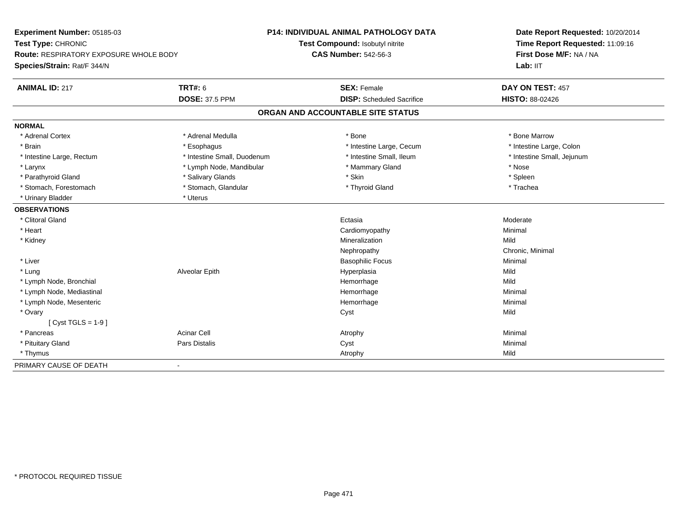| Experiment Number: 05185-03                   |                             | <b>P14: INDIVIDUAL ANIMAL PATHOLOGY DATA</b> | Date Report Requested: 10/20/2014 |
|-----------------------------------------------|-----------------------------|----------------------------------------------|-----------------------------------|
| Test Type: CHRONIC                            |                             | Test Compound: Isobutyl nitrite              | Time Report Requested: 11:09:16   |
| <b>Route: RESPIRATORY EXPOSURE WHOLE BODY</b> |                             | <b>CAS Number: 542-56-3</b>                  | First Dose M/F: NA / NA           |
| Species/Strain: Rat/F 344/N                   |                             |                                              | Lab: IIT                          |
| <b>ANIMAL ID: 217</b>                         | <b>TRT#: 6</b>              | <b>SEX: Female</b>                           | DAY ON TEST: 457                  |
|                                               | <b>DOSE: 37.5 PPM</b>       | <b>DISP:</b> Scheduled Sacrifice             | <b>HISTO: 88-02426</b>            |
|                                               |                             | ORGAN AND ACCOUNTABLE SITE STATUS            |                                   |
| <b>NORMAL</b>                                 |                             |                                              |                                   |
| * Adrenal Cortex                              | * Adrenal Medulla           | * Bone                                       | * Bone Marrow                     |
| * Brain                                       | * Esophagus                 | * Intestine Large, Cecum                     | * Intestine Large, Colon          |
| * Intestine Large, Rectum                     | * Intestine Small, Duodenum | * Intestine Small, Ileum                     | * Intestine Small, Jejunum        |
| * Larynx                                      | * Lymph Node, Mandibular    | * Mammary Gland                              | * Nose                            |
| * Parathyroid Gland                           | * Salivary Glands           | * Skin                                       | * Spleen                          |
| * Stomach, Forestomach                        | * Stomach, Glandular        | * Thyroid Gland                              | * Trachea                         |
| * Urinary Bladder                             | * Uterus                    |                                              |                                   |
| <b>OBSERVATIONS</b>                           |                             |                                              |                                   |
| * Clitoral Gland                              |                             | Ectasia                                      | Moderate                          |
| * Heart                                       |                             | Cardiomyopathy                               | Minimal                           |
| * Kidney                                      |                             | Mineralization                               | Mild                              |
|                                               |                             | Nephropathy                                  | Chronic, Minimal                  |
| * Liver                                       |                             | <b>Basophilic Focus</b>                      | Minimal                           |
| * Lung                                        | Alveolar Epith              | Hyperplasia                                  | Mild                              |
| * Lymph Node, Bronchial                       |                             | Hemorrhage                                   | Mild                              |
| * Lymph Node, Mediastinal                     |                             | Hemorrhage                                   | Minimal                           |
| * Lymph Node, Mesenteric                      |                             | Hemorrhage                                   | Minimal                           |
| * Ovary                                       |                             | Cyst                                         | Mild                              |
| [ $Cyst TGLS = 1-9$ ]                         |                             |                                              |                                   |
| * Pancreas                                    | <b>Acinar Cell</b>          | Atrophy                                      | Minimal                           |
| * Pituitary Gland                             | <b>Pars Distalis</b>        | Cyst                                         | Minimal                           |
| * Thymus                                      |                             | Atrophy                                      | Mild                              |
| PRIMARY CAUSE OF DEATH                        | $\blacksquare$              |                                              |                                   |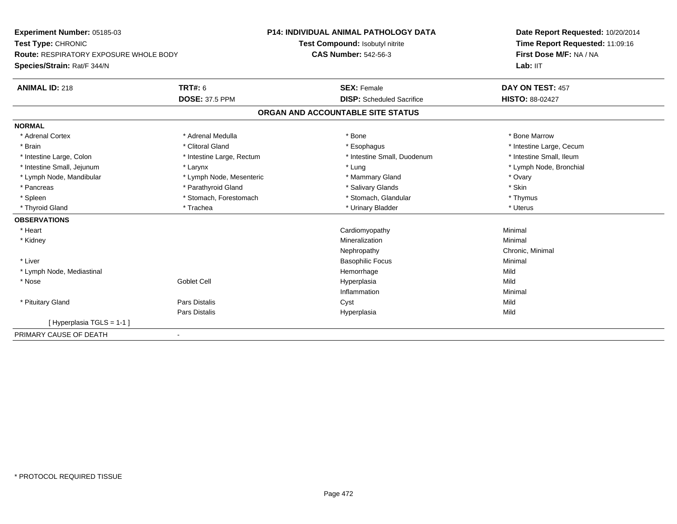| <b>Experiment Number: 05185-03</b>     |                           | <b>P14: INDIVIDUAL ANIMAL PATHOLOGY DATA</b> | Date Report Requested: 10/20/2014 |
|----------------------------------------|---------------------------|----------------------------------------------|-----------------------------------|
| Test Type: CHRONIC                     |                           | Test Compound: Isobutyl nitrite              | Time Report Requested: 11:09:16   |
| Route: RESPIRATORY EXPOSURE WHOLE BODY |                           | <b>CAS Number: 542-56-3</b>                  | First Dose M/F: NA / NA           |
| Species/Strain: Rat/F 344/N            |                           |                                              | Lab: IIT                          |
| <b>ANIMAL ID: 218</b>                  | TRT#: 6                   | <b>SEX: Female</b>                           | DAY ON TEST: 457                  |
|                                        | <b>DOSE: 37.5 PPM</b>     | <b>DISP:</b> Scheduled Sacrifice             | <b>HISTO: 88-02427</b>            |
|                                        |                           | ORGAN AND ACCOUNTABLE SITE STATUS            |                                   |
| <b>NORMAL</b>                          |                           |                                              |                                   |
| * Adrenal Cortex                       | * Adrenal Medulla         | * Bone                                       | * Bone Marrow                     |
| * Brain                                | * Clitoral Gland          | * Esophagus                                  | * Intestine Large, Cecum          |
| * Intestine Large, Colon               | * Intestine Large, Rectum | * Intestine Small, Duodenum                  | * Intestine Small, Ileum          |
| * Intestine Small, Jejunum             | * Larynx                  | * Lung                                       | * Lymph Node, Bronchial           |
| * Lymph Node, Mandibular               | * Lymph Node, Mesenteric  | * Mammary Gland                              | * Ovary                           |
| * Pancreas                             | * Parathyroid Gland       | * Salivary Glands                            | * Skin                            |
| * Spleen                               | * Stomach, Forestomach    | * Stomach, Glandular                         | * Thymus                          |
| * Thyroid Gland                        | * Trachea                 | * Urinary Bladder                            | * Uterus                          |
| <b>OBSERVATIONS</b>                    |                           |                                              |                                   |
| * Heart                                |                           | Cardiomyopathy                               | Minimal                           |
| * Kidney                               |                           | Mineralization                               | Minimal                           |
|                                        |                           | Nephropathy                                  | Chronic, Minimal                  |
| * Liver                                |                           | <b>Basophilic Focus</b>                      | Minimal                           |
| * Lymph Node, Mediastinal              |                           | Hemorrhage                                   | Mild                              |
| $*$ Nose                               | <b>Goblet Cell</b>        | Hyperplasia                                  | Mild                              |
|                                        |                           | Inflammation                                 | Minimal                           |
| * Pituitary Gland                      | Pars Distalis             | Cyst                                         | Mild                              |
|                                        | Pars Distalis             | Hyperplasia                                  | Mild                              |
| [Hyperplasia TGLS = 1-1]               |                           |                                              |                                   |
| PRIMARY CAUSE OF DEATH                 | $\overline{\phantom{0}}$  |                                              |                                   |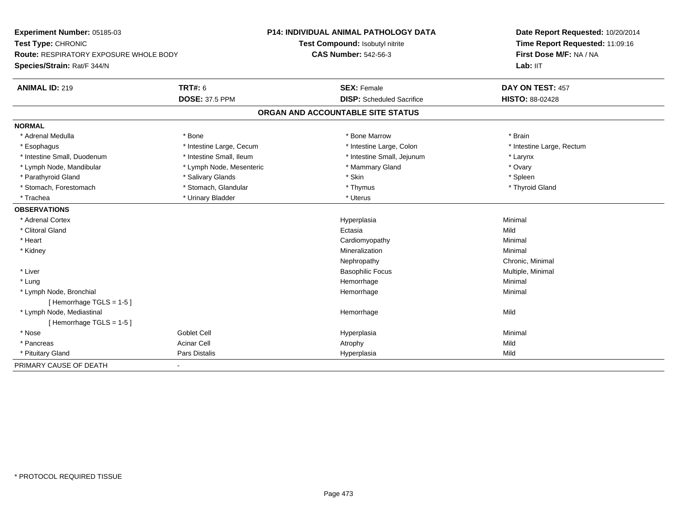| Experiment Number: 05185-03            |                          | <b>P14: INDIVIDUAL ANIMAL PATHOLOGY DATA</b> | Date Report Requested: 10/20/2014 |
|----------------------------------------|--------------------------|----------------------------------------------|-----------------------------------|
| Test Type: CHRONIC                     |                          | Test Compound: Isobutyl nitrite              | Time Report Requested: 11:09:16   |
| Route: RESPIRATORY EXPOSURE WHOLE BODY |                          | <b>CAS Number: 542-56-3</b>                  | First Dose M/F: NA / NA           |
| Species/Strain: Rat/F 344/N            |                          |                                              | Lab: IIT                          |
| <b>ANIMAL ID: 219</b>                  | <b>TRT#: 6</b>           | <b>SEX: Female</b>                           | DAY ON TEST: 457                  |
|                                        | <b>DOSE: 37.5 PPM</b>    | <b>DISP:</b> Scheduled Sacrifice             | <b>HISTO: 88-02428</b>            |
|                                        |                          | ORGAN AND ACCOUNTABLE SITE STATUS            |                                   |
| <b>NORMAL</b>                          |                          |                                              |                                   |
| * Adrenal Medulla                      | * Bone                   | * Bone Marrow                                | * Brain                           |
| * Esophagus                            | * Intestine Large, Cecum | * Intestine Large, Colon                     | * Intestine Large, Rectum         |
| * Intestine Small, Duodenum            | * Intestine Small, Ileum | * Intestine Small, Jejunum                   | * Larynx                          |
| * Lymph Node, Mandibular               | * Lymph Node, Mesenteric | * Mammary Gland                              | * Ovary                           |
| * Parathyroid Gland                    | * Salivary Glands        | * Skin                                       | * Spleen                          |
| * Stomach, Forestomach                 | * Stomach, Glandular     | * Thymus                                     | * Thyroid Gland                   |
| * Trachea                              | * Urinary Bladder        | * Uterus                                     |                                   |
| <b>OBSERVATIONS</b>                    |                          |                                              |                                   |
| * Adrenal Cortex                       |                          | Hyperplasia                                  | Minimal                           |
| * Clitoral Gland                       |                          | Ectasia                                      | Mild                              |
| * Heart                                |                          | Cardiomyopathy                               | Minimal                           |
| * Kidney                               |                          | Mineralization                               | Minimal                           |
|                                        |                          | Nephropathy                                  | Chronic, Minimal                  |
| * Liver                                |                          | <b>Basophilic Focus</b>                      | Multiple, Minimal                 |
| * Lung                                 |                          | Hemorrhage                                   | Minimal                           |
| * Lymph Node, Bronchial                |                          | Hemorrhage                                   | Minimal                           |
| [Hemorrhage TGLS = 1-5]                |                          |                                              |                                   |
| * Lymph Node, Mediastinal              |                          | Hemorrhage                                   | Mild                              |
| [Hemorrhage TGLS = 1-5]                |                          |                                              |                                   |
| * Nose                                 | <b>Goblet Cell</b>       | Hyperplasia                                  | Minimal                           |
| * Pancreas                             | <b>Acinar Cell</b>       | Atrophy                                      | Mild                              |
| * Pituitary Gland                      | Pars Distalis            | Hyperplasia                                  | Mild                              |
| PRIMARY CAUSE OF DEATH                 | $\sim$                   |                                              |                                   |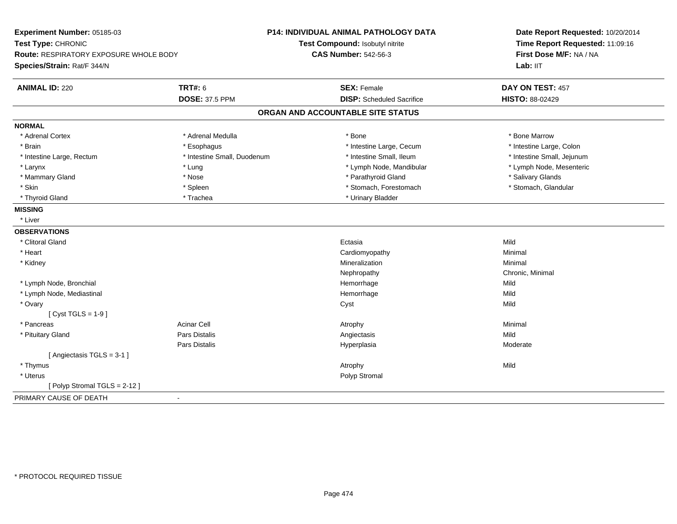| Experiment Number: 05185-03            |                             | P14: INDIVIDUAL ANIMAL PATHOLOGY DATA | Date Report Requested: 10/20/2014 |  |
|----------------------------------------|-----------------------------|---------------------------------------|-----------------------------------|--|
| Test Type: CHRONIC                     |                             | Test Compound: Isobutyl nitrite       | Time Report Requested: 11:09:16   |  |
| Route: RESPIRATORY EXPOSURE WHOLE BODY |                             | <b>CAS Number: 542-56-3</b>           | First Dose M/F: NA / NA           |  |
| Species/Strain: Rat/F 344/N            |                             |                                       | Lab: IIT                          |  |
| <b>ANIMAL ID: 220</b>                  | <b>TRT#: 6</b>              | <b>SEX: Female</b>                    | DAY ON TEST: 457                  |  |
|                                        | <b>DOSE: 37.5 PPM</b>       | <b>DISP:</b> Scheduled Sacrifice      | HISTO: 88-02429                   |  |
|                                        |                             | ORGAN AND ACCOUNTABLE SITE STATUS     |                                   |  |
| <b>NORMAL</b>                          |                             |                                       |                                   |  |
| * Adrenal Cortex                       | * Adrenal Medulla           | * Bone                                | * Bone Marrow                     |  |
| * Brain                                | * Esophagus                 | * Intestine Large, Cecum              | * Intestine Large, Colon          |  |
| * Intestine Large, Rectum              | * Intestine Small, Duodenum | * Intestine Small, Ileum              | * Intestine Small, Jejunum        |  |
| * Larynx                               | * Lung                      | * Lymph Node, Mandibular              | * Lymph Node, Mesenteric          |  |
| * Mammary Gland                        | * Nose                      | * Parathyroid Gland                   | * Salivary Glands                 |  |
| * Skin                                 | * Spleen                    | * Stomach, Forestomach                | * Stomach, Glandular              |  |
| * Thyroid Gland                        | * Trachea                   | * Urinary Bladder                     |                                   |  |
| <b>MISSING</b>                         |                             |                                       |                                   |  |
| * Liver                                |                             |                                       |                                   |  |
| <b>OBSERVATIONS</b>                    |                             |                                       |                                   |  |
| * Clitoral Gland                       |                             | Ectasia                               | Mild                              |  |
| * Heart                                |                             | Cardiomyopathy                        | Minimal                           |  |
| * Kidney                               |                             | Mineralization                        | Minimal                           |  |
|                                        |                             | Nephropathy                           | Chronic, Minimal                  |  |
| * Lymph Node, Bronchial                |                             | Hemorrhage                            | Mild                              |  |
| * Lymph Node, Mediastinal              |                             | Hemorrhage                            | Mild                              |  |
| * Ovary                                |                             | Cyst                                  | Mild                              |  |
| [ $Cyst TGLS = 1-9$ ]                  |                             |                                       |                                   |  |
| * Pancreas                             | <b>Acinar Cell</b>          | Atrophy                               | Minimal                           |  |
| * Pituitary Gland                      | Pars Distalis               | Angiectasis                           | Mild                              |  |
|                                        | <b>Pars Distalis</b>        | Hyperplasia                           | Moderate                          |  |
| [Angiectasis TGLS = 3-1]               |                             |                                       |                                   |  |
| * Thymus                               |                             | Atrophy                               | Mild                              |  |
| * Uterus                               |                             | Polyp Stromal                         |                                   |  |
| [Polyp Stromal TGLS = 2-12]            |                             |                                       |                                   |  |
| PRIMARY CAUSE OF DEATH                 | $\blacksquare$              |                                       |                                   |  |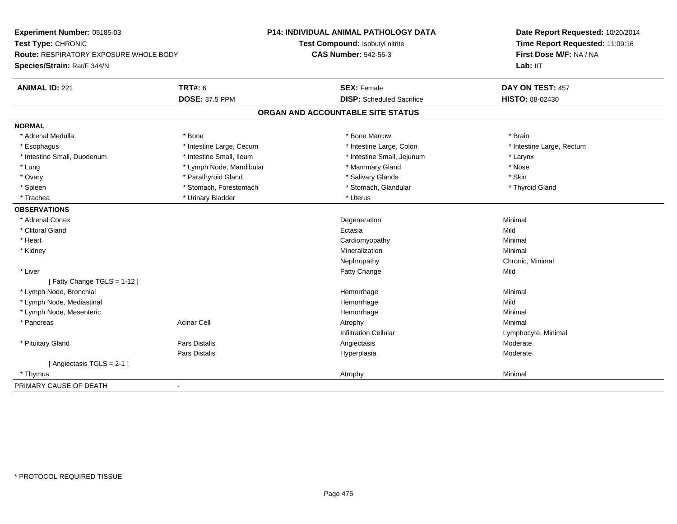| Experiment Number: 05185-03              |                          | <b>P14: INDIVIDUAL ANIMAL PATHOLOGY DATA</b> | Date Report Requested: 10/20/2014 |
|------------------------------------------|--------------------------|----------------------------------------------|-----------------------------------|
| Test Type: CHRONIC                       |                          | Test Compound: Isobutyl nitrite              | Time Report Requested: 11:09:16   |
| Route: RESPIRATORY EXPOSURE WHOLE BODY   |                          | <b>CAS Number: 542-56-3</b>                  | First Dose M/F: NA / NA           |
| Species/Strain: Rat/F 344/N              |                          |                                              | Lab: IIT                          |
| <b>ANIMAL ID: 221</b>                    | <b>TRT#: 6</b>           | <b>SEX: Female</b>                           | DAY ON TEST: 457                  |
|                                          | <b>DOSE: 37.5 PPM</b>    | <b>DISP:</b> Scheduled Sacrifice             | HISTO: 88-02430                   |
|                                          |                          | ORGAN AND ACCOUNTABLE SITE STATUS            |                                   |
| <b>NORMAL</b>                            |                          |                                              |                                   |
| * Adrenal Medulla                        | * Bone                   | * Bone Marrow                                | * Brain                           |
| * Esophagus                              | * Intestine Large, Cecum | * Intestine Large, Colon                     | * Intestine Large, Rectum         |
| * Intestine Small, Duodenum              | * Intestine Small, Ileum | * Intestine Small, Jejunum                   | * Larynx                          |
| * Lung                                   | * Lymph Node, Mandibular | * Mammary Gland                              | * Nose                            |
| * Ovary                                  | * Parathyroid Gland      | * Salivary Glands                            | * Skin                            |
| * Spleen                                 | * Stomach, Forestomach   | * Stomach, Glandular                         | * Thyroid Gland                   |
| * Trachea                                | * Urinary Bladder        | * Uterus                                     |                                   |
| <b>OBSERVATIONS</b>                      |                          |                                              |                                   |
| * Adrenal Cortex                         |                          | Degeneration                                 | Minimal                           |
| * Clitoral Gland                         |                          | Ectasia                                      | Mild                              |
| * Heart                                  |                          | Cardiomyopathy                               | Minimal                           |
| * Kidney                                 |                          | Mineralization                               | Minimal                           |
|                                          |                          | Nephropathy                                  | Chronic, Minimal                  |
| * Liver                                  |                          | <b>Fatty Change</b>                          | Mild                              |
| [Fatty Change TGLS = 1-12]               |                          |                                              |                                   |
| * Lymph Node, Bronchial                  |                          | Hemorrhage                                   | Minimal                           |
| * Lymph Node, Mediastinal                |                          | Hemorrhage                                   | Mild                              |
| * Lymph Node, Mesenteric                 |                          | Hemorrhage                                   | Minimal                           |
| * Pancreas                               | <b>Acinar Cell</b>       | Atrophy                                      | Minimal                           |
|                                          |                          | <b>Infiltration Cellular</b>                 | Lymphocyte, Minimal               |
| * Pituitary Gland                        | <b>Pars Distalis</b>     | Angiectasis                                  | Moderate                          |
|                                          | Pars Distalis            | Hyperplasia                                  | Moderate                          |
| [Angiectasis TGLS = 2-1 ]                |                          |                                              |                                   |
| * Thymus                                 |                          | Atrophy                                      | Minimal                           |
| PRIMARY CAUSE OF DEATH<br>$\blacksquare$ |                          |                                              |                                   |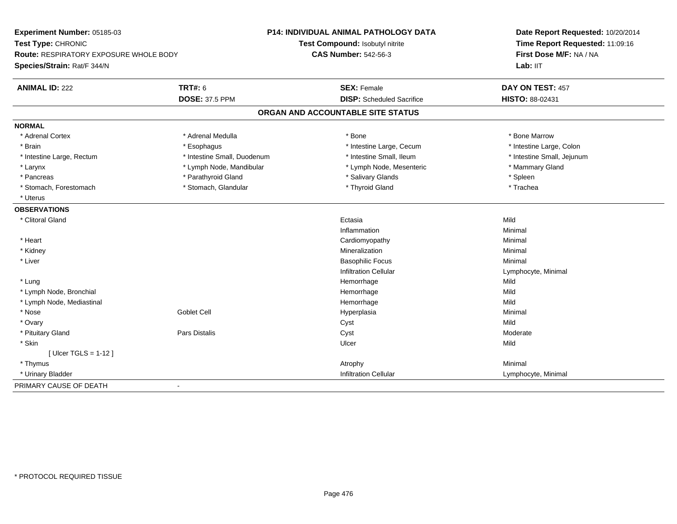| Experiment Number: 05185-03                   |                             | <b>P14: INDIVIDUAL ANIMAL PATHOLOGY DATA</b> | Date Report Requested: 10/20/2014 |
|-----------------------------------------------|-----------------------------|----------------------------------------------|-----------------------------------|
| Test Type: CHRONIC                            |                             | Test Compound: Isobutyl nitrite              | Time Report Requested: 11:09:16   |
| <b>Route: RESPIRATORY EXPOSURE WHOLE BODY</b> |                             | <b>CAS Number: 542-56-3</b>                  | First Dose M/F: NA / NA           |
| Species/Strain: Rat/F 344/N                   |                             |                                              | Lab: IIT                          |
| <b>ANIMAL ID: 222</b>                         | <b>TRT#: 6</b>              | <b>SEX: Female</b>                           | DAY ON TEST: 457                  |
|                                               | <b>DOSE: 37.5 PPM</b>       | <b>DISP:</b> Scheduled Sacrifice             | <b>HISTO: 88-02431</b>            |
|                                               |                             | ORGAN AND ACCOUNTABLE SITE STATUS            |                                   |
| <b>NORMAL</b>                                 |                             |                                              |                                   |
| * Adrenal Cortex                              | * Adrenal Medulla           | * Bone                                       | * Bone Marrow                     |
| * Brain                                       | * Esophagus                 | * Intestine Large, Cecum                     | * Intestine Large, Colon          |
| * Intestine Large, Rectum                     | * Intestine Small, Duodenum | * Intestine Small, Ileum                     | * Intestine Small, Jejunum        |
| * Larynx                                      | * Lymph Node, Mandibular    | * Lymph Node, Mesenteric                     | * Mammary Gland                   |
| * Pancreas                                    | * Parathyroid Gland         | * Salivary Glands                            | * Spleen                          |
| * Stomach, Forestomach                        | * Stomach, Glandular        | * Thyroid Gland                              | * Trachea                         |
| * Uterus                                      |                             |                                              |                                   |
| <b>OBSERVATIONS</b>                           |                             |                                              |                                   |
| * Clitoral Gland                              |                             | Ectasia                                      | Mild                              |
|                                               |                             | Inflammation                                 | Minimal                           |
| * Heart                                       |                             | Cardiomyopathy                               | Minimal                           |
| * Kidney                                      |                             | Mineralization                               | Minimal                           |
| * Liver                                       |                             | <b>Basophilic Focus</b>                      | Minimal                           |
|                                               |                             | <b>Infiltration Cellular</b>                 | Lymphocyte, Minimal               |
| * Lung                                        |                             | Hemorrhage                                   | Mild                              |
| * Lymph Node, Bronchial                       |                             | Hemorrhage                                   | Mild                              |
| * Lymph Node, Mediastinal                     |                             | Hemorrhage                                   | Mild                              |
| * Nose                                        | Goblet Cell                 | Hyperplasia                                  | Minimal                           |
| * Ovary                                       |                             | Cyst                                         | Mild                              |
| * Pituitary Gland                             | Pars Distalis               | Cyst                                         | Moderate                          |
| * Skin                                        |                             | Ulcer                                        | Mild                              |
| [ $Uicer$ TGLS = 1-12 ]                       |                             |                                              |                                   |
| * Thymus                                      |                             | Atrophy                                      | Minimal                           |
| * Urinary Bladder                             |                             | <b>Infiltration Cellular</b>                 | Lymphocyte, Minimal               |
| PRIMARY CAUSE OF DEATH                        | $\overline{\phantom{a}}$    |                                              |                                   |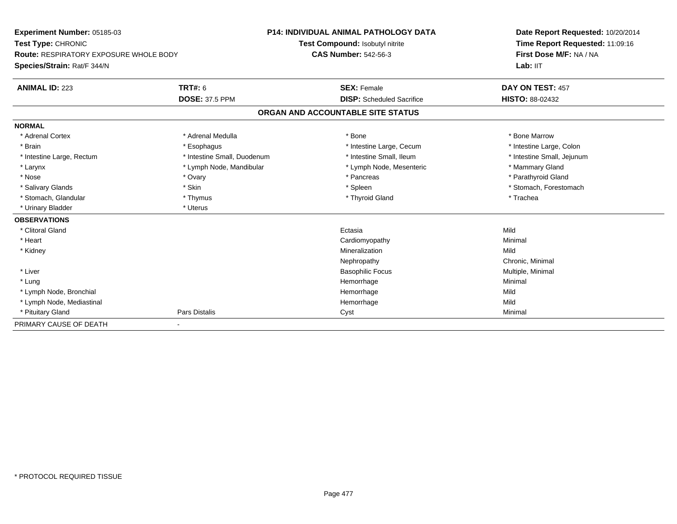| Experiment Number: 05185-03                   |                             | P14: INDIVIDUAL ANIMAL PATHOLOGY DATA | Date Report Requested: 10/20/2014 |
|-----------------------------------------------|-----------------------------|---------------------------------------|-----------------------------------|
| Test Type: CHRONIC                            |                             | Test Compound: Isobutyl nitrite       | Time Report Requested: 11:09:16   |
| <b>Route: RESPIRATORY EXPOSURE WHOLE BODY</b> |                             | <b>CAS Number: 542-56-3</b>           | First Dose M/F: NA / NA           |
| Species/Strain: Rat/F 344/N                   |                             |                                       | Lab: IIT                          |
| <b>ANIMAL ID: 223</b>                         | <b>TRT#: 6</b>              | <b>SEX: Female</b>                    | DAY ON TEST: 457                  |
|                                               | <b>DOSE: 37.5 PPM</b>       | <b>DISP:</b> Scheduled Sacrifice      | <b>HISTO: 88-02432</b>            |
|                                               |                             | ORGAN AND ACCOUNTABLE SITE STATUS     |                                   |
| <b>NORMAL</b>                                 |                             |                                       |                                   |
| * Adrenal Cortex                              | * Adrenal Medulla           | * Bone                                | * Bone Marrow                     |
| * Brain                                       | * Esophagus                 | * Intestine Large, Cecum              | * Intestine Large, Colon          |
| * Intestine Large, Rectum                     | * Intestine Small, Duodenum | * Intestine Small. Ileum              | * Intestine Small, Jejunum        |
| * Larynx                                      | * Lymph Node, Mandibular    | * Lymph Node, Mesenteric              | * Mammary Gland                   |
| * Nose                                        | * Ovary                     | * Pancreas                            | * Parathyroid Gland               |
| * Salivary Glands                             | * Skin                      | * Spleen                              | * Stomach, Forestomach            |
| * Stomach, Glandular                          | * Thymus                    | * Thyroid Gland                       | * Trachea                         |
| * Urinary Bladder                             | * Uterus                    |                                       |                                   |
| <b>OBSERVATIONS</b>                           |                             |                                       |                                   |
| * Clitoral Gland                              |                             | Ectasia                               | Mild                              |
| * Heart                                       |                             | Cardiomyopathy                        | Minimal                           |
| * Kidney                                      |                             | Mineralization                        | Mild                              |
|                                               |                             | Nephropathy                           | Chronic, Minimal                  |
| * Liver                                       |                             | <b>Basophilic Focus</b>               | Multiple, Minimal                 |
| * Lung                                        |                             | Hemorrhage                            | Minimal                           |
| * Lymph Node, Bronchial                       |                             | Hemorrhage                            | Mild                              |
| * Lymph Node, Mediastinal                     |                             | Hemorrhage                            | Mild                              |
| * Pituitary Gland                             | <b>Pars Distalis</b>        | Cyst                                  | Minimal                           |
| PRIMARY CAUSE OF DEATH                        |                             |                                       |                                   |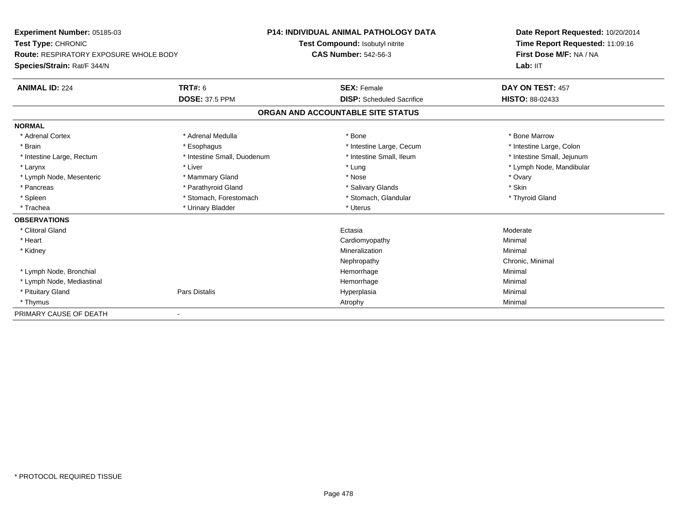| Experiment Number: 05185-03                   |                             | <b>P14: INDIVIDUAL ANIMAL PATHOLOGY DATA</b> | Date Report Requested: 10/20/2014 |
|-----------------------------------------------|-----------------------------|----------------------------------------------|-----------------------------------|
| Test Type: CHRONIC                            |                             | Test Compound: Isobutyl nitrite              | Time Report Requested: 11:09:16   |
| <b>Route: RESPIRATORY EXPOSURE WHOLE BODY</b> |                             | <b>CAS Number: 542-56-3</b>                  | First Dose M/F: NA / NA           |
| Species/Strain: Rat/F 344/N                   |                             |                                              | Lab: IIT                          |
| <b>ANIMAL ID: 224</b>                         | <b>TRT#: 6</b>              | <b>SEX: Female</b>                           | DAY ON TEST: 457                  |
|                                               | <b>DOSE: 37.5 PPM</b>       | <b>DISP:</b> Scheduled Sacrifice             | HISTO: 88-02433                   |
|                                               |                             | ORGAN AND ACCOUNTABLE SITE STATUS            |                                   |
| <b>NORMAL</b>                                 |                             |                                              |                                   |
| * Adrenal Cortex                              | * Adrenal Medulla           | * Bone                                       | * Bone Marrow                     |
| * Brain                                       | * Esophagus                 | * Intestine Large, Cecum                     | * Intestine Large, Colon          |
| * Intestine Large, Rectum                     | * Intestine Small, Duodenum | * Intestine Small, Ileum                     | * Intestine Small, Jejunum        |
| * Larynx                                      | * Liver                     | * Lung                                       | * Lymph Node, Mandibular          |
| * Lymph Node, Mesenteric                      | * Mammary Gland             | * Nose                                       | * Ovary                           |
| * Pancreas                                    | * Parathyroid Gland         | * Salivary Glands                            | * Skin                            |
| * Spleen                                      | * Stomach, Forestomach      | * Stomach, Glandular                         | * Thyroid Gland                   |
| * Trachea                                     | * Urinary Bladder           | * Uterus                                     |                                   |
| <b>OBSERVATIONS</b>                           |                             |                                              |                                   |
| * Clitoral Gland                              |                             | Ectasia                                      | Moderate                          |
| * Heart                                       |                             | Cardiomyopathy                               | Minimal                           |
| * Kidney                                      |                             | Mineralization                               | Minimal                           |
|                                               |                             | Nephropathy                                  | Chronic, Minimal                  |
| * Lymph Node, Bronchial                       |                             | Hemorrhage                                   | Minimal                           |
| * Lymph Node, Mediastinal                     |                             | Hemorrhage                                   | Minimal                           |
| * Pituitary Gland                             | Pars Distalis               | Hyperplasia                                  | Minimal                           |
| * Thymus                                      |                             | Atrophy                                      | Minimal                           |
| PRIMARY CAUSE OF DEATH                        |                             |                                              |                                   |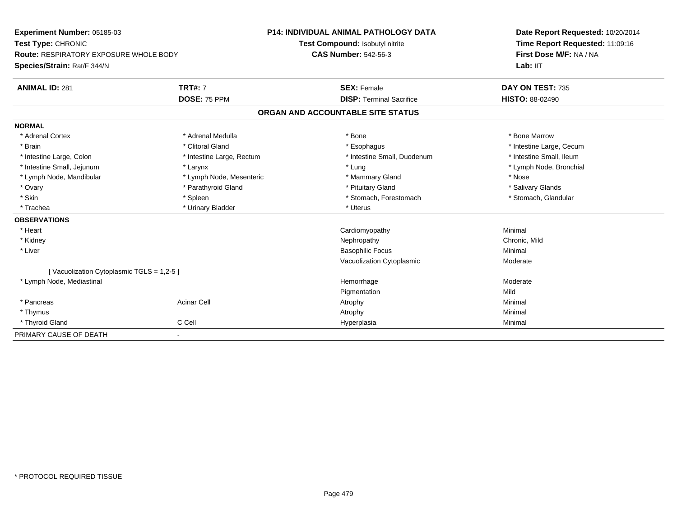| Experiment Number: 05185-03                   |                           | <b>P14: INDIVIDUAL ANIMAL PATHOLOGY DATA</b> |  | Date Report Requested: 10/20/2014                          |
|-----------------------------------------------|---------------------------|----------------------------------------------|--|------------------------------------------------------------|
| Test Type: CHRONIC                            |                           | Test Compound: Isobutyl nitrite              |  | Time Report Requested: 11:09:16<br>First Dose M/F: NA / NA |
| <b>Route: RESPIRATORY EXPOSURE WHOLE BODY</b> |                           | <b>CAS Number: 542-56-3</b>                  |  |                                                            |
| Species/Strain: Rat/F 344/N                   |                           |                                              |  | Lab: IIT                                                   |
| <b>ANIMAL ID: 281</b>                         | <b>TRT#: 7</b>            | <b>SEX: Female</b>                           |  | DAY ON TEST: 735                                           |
|                                               | DOSE: 75 PPM              | <b>DISP: Terminal Sacrifice</b>              |  | <b>HISTO: 88-02490</b>                                     |
|                                               |                           | ORGAN AND ACCOUNTABLE SITE STATUS            |  |                                                            |
| <b>NORMAL</b>                                 |                           |                                              |  |                                                            |
| * Adrenal Cortex                              | * Adrenal Medulla         | * Bone                                       |  | * Bone Marrow                                              |
| * Brain                                       | * Clitoral Gland          | * Esophagus                                  |  | * Intestine Large, Cecum                                   |
| * Intestine Large, Colon                      | * Intestine Large, Rectum | * Intestine Small, Duodenum                  |  | * Intestine Small, Ileum                                   |
| * Intestine Small, Jejunum                    | * Larynx                  | * Lung                                       |  | * Lymph Node, Bronchial                                    |
| * Lymph Node, Mandibular                      | * Lymph Node, Mesenteric  | * Mammary Gland                              |  | * Nose                                                     |
| * Ovary                                       | * Parathyroid Gland       | * Pituitary Gland                            |  | * Salivary Glands                                          |
| * Skin                                        | * Spleen                  | * Stomach, Forestomach                       |  | * Stomach, Glandular                                       |
| * Trachea                                     | * Urinary Bladder         | * Uterus                                     |  |                                                            |
| <b>OBSERVATIONS</b>                           |                           |                                              |  |                                                            |
| * Heart                                       |                           | Cardiomyopathy                               |  | Minimal                                                    |
| * Kidney                                      |                           | Nephropathy                                  |  | Chronic, Mild                                              |
| * Liver                                       |                           | <b>Basophilic Focus</b>                      |  | Minimal                                                    |
|                                               |                           | Vacuolization Cytoplasmic                    |  | Moderate                                                   |
| [Vacuolization Cytoplasmic TGLS = 1,2-5]      |                           |                                              |  |                                                            |
| * Lymph Node, Mediastinal                     |                           | Hemorrhage                                   |  | Moderate                                                   |
|                                               |                           | Pigmentation                                 |  | Mild                                                       |
| * Pancreas                                    | <b>Acinar Cell</b>        | Atrophy                                      |  | Minimal                                                    |
| * Thymus                                      |                           | Atrophy                                      |  | Minimal                                                    |
| * Thyroid Gland                               | C Cell                    | Hyperplasia                                  |  | Minimal                                                    |
| PRIMARY CAUSE OF DEATH                        | $\blacksquare$            |                                              |  |                                                            |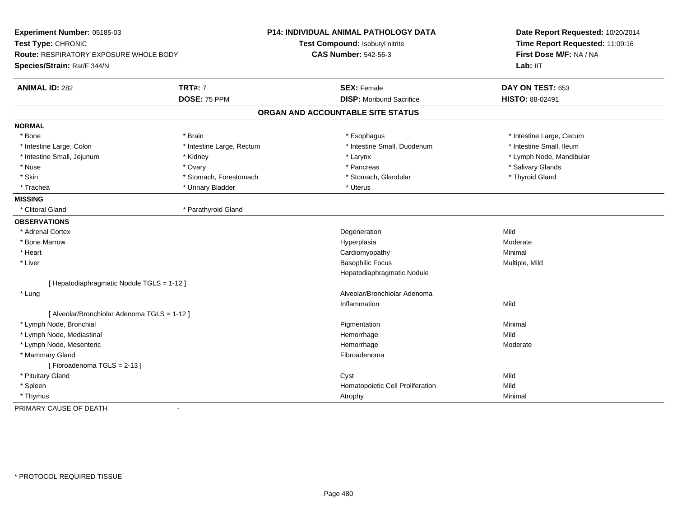| Experiment Number: 05185-03<br>Test Type: CHRONIC<br>Route: RESPIRATORY EXPOSURE WHOLE BODY<br>Species/Strain: Rat/F 344/N |                           | <b>P14: INDIVIDUAL ANIMAL PATHOLOGY DATA</b><br>Test Compound: Isobutyl nitrite<br><b>CAS Number: 542-56-3</b> | Date Report Requested: 10/20/2014<br>Time Report Requested: 11:09:16<br>First Dose M/F: NA / NA<br>Lab: IIT |
|----------------------------------------------------------------------------------------------------------------------------|---------------------------|----------------------------------------------------------------------------------------------------------------|-------------------------------------------------------------------------------------------------------------|
| <b>ANIMAL ID: 282</b>                                                                                                      | <b>TRT#: 7</b>            | <b>SEX: Female</b>                                                                                             | DAY ON TEST: 653                                                                                            |
|                                                                                                                            | DOSE: 75 PPM              | <b>DISP:</b> Moribund Sacrifice                                                                                | HISTO: 88-02491                                                                                             |
|                                                                                                                            |                           | ORGAN AND ACCOUNTABLE SITE STATUS                                                                              |                                                                                                             |
| <b>NORMAL</b>                                                                                                              |                           |                                                                                                                |                                                                                                             |
| * Bone                                                                                                                     | * Brain                   | * Esophagus                                                                                                    | * Intestine Large, Cecum                                                                                    |
| * Intestine Large, Colon                                                                                                   | * Intestine Large, Rectum | * Intestine Small, Duodenum                                                                                    | * Intestine Small, Ileum                                                                                    |
| * Intestine Small, Jejunum                                                                                                 | * Kidney                  | * Larynx                                                                                                       | * Lymph Node, Mandibular                                                                                    |
| * Nose                                                                                                                     | * Ovary                   | * Pancreas                                                                                                     | * Salivary Glands                                                                                           |
| * Skin                                                                                                                     | * Stomach, Forestomach    | * Stomach, Glandular                                                                                           | * Thyroid Gland                                                                                             |
| * Trachea                                                                                                                  | * Urinary Bladder         | * Uterus                                                                                                       |                                                                                                             |
| <b>MISSING</b>                                                                                                             |                           |                                                                                                                |                                                                                                             |
| * Clitoral Gland                                                                                                           | * Parathyroid Gland       |                                                                                                                |                                                                                                             |
| <b>OBSERVATIONS</b>                                                                                                        |                           |                                                                                                                |                                                                                                             |
| * Adrenal Cortex                                                                                                           |                           | Degeneration                                                                                                   | Mild                                                                                                        |
| * Bone Marrow                                                                                                              |                           | Hyperplasia                                                                                                    | Moderate                                                                                                    |
| * Heart                                                                                                                    |                           | Cardiomyopathy                                                                                                 | Minimal                                                                                                     |
| * Liver                                                                                                                    |                           | <b>Basophilic Focus</b>                                                                                        | Multiple, Mild                                                                                              |
|                                                                                                                            |                           | Hepatodiaphragmatic Nodule                                                                                     |                                                                                                             |
| [ Hepatodiaphragmatic Nodule TGLS = 1-12 ]                                                                                 |                           |                                                                                                                |                                                                                                             |
| * Lung                                                                                                                     |                           | Alveolar/Bronchiolar Adenoma                                                                                   |                                                                                                             |
|                                                                                                                            |                           | Inflammation                                                                                                   | Mild                                                                                                        |
| [ Alveolar/Bronchiolar Adenoma TGLS = 1-12 ]                                                                               |                           |                                                                                                                |                                                                                                             |
| * Lymph Node, Bronchial                                                                                                    |                           | Pigmentation                                                                                                   | Minimal                                                                                                     |
| * Lymph Node, Mediastinal                                                                                                  |                           | Hemorrhage                                                                                                     | Mild                                                                                                        |
| * Lymph Node, Mesenteric                                                                                                   |                           | Hemorrhage                                                                                                     | Moderate                                                                                                    |
| * Mammary Gland                                                                                                            |                           | Fibroadenoma                                                                                                   |                                                                                                             |
| [Fibroadenoma TGLS = 2-13]                                                                                                 |                           |                                                                                                                |                                                                                                             |
| * Pituitary Gland                                                                                                          |                           | Cyst                                                                                                           | Mild                                                                                                        |
| * Spleen                                                                                                                   |                           | Hematopoietic Cell Proliferation                                                                               | Mild                                                                                                        |
| * Thymus                                                                                                                   |                           | Atrophy                                                                                                        | Minimal                                                                                                     |
| PRIMARY CAUSE OF DEATH                                                                                                     | $\blacksquare$            |                                                                                                                |                                                                                                             |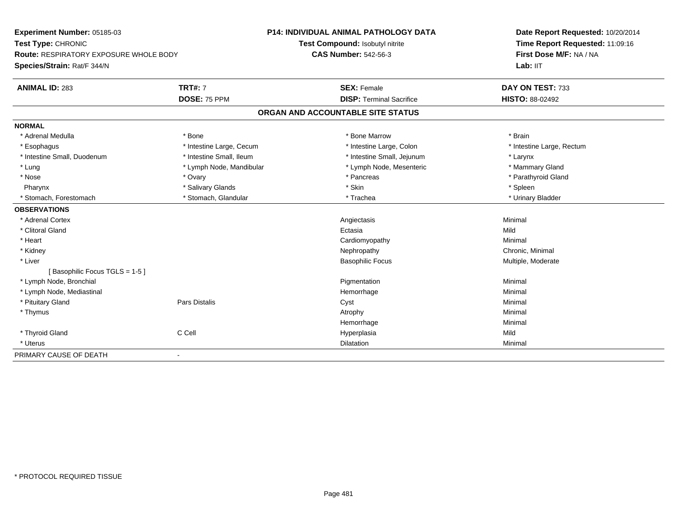| Experiment Number: 05185-03<br>Test Type: CHRONIC<br><b>Route: RESPIRATORY EXPOSURE WHOLE BODY</b> |                          | <b>P14: INDIVIDUAL ANIMAL PATHOLOGY DATA</b> | Date Report Requested: 10/20/2014<br>Time Report Requested: 11:09:16<br>First Dose M/F: NA / NA |
|----------------------------------------------------------------------------------------------------|--------------------------|----------------------------------------------|-------------------------------------------------------------------------------------------------|
|                                                                                                    |                          | Test Compound: Isobutyl nitrite              |                                                                                                 |
|                                                                                                    |                          | <b>CAS Number: 542-56-3</b>                  |                                                                                                 |
| Species/Strain: Rat/F 344/N                                                                        |                          |                                              | Lab: IIT                                                                                        |
| <b>ANIMAL ID: 283</b>                                                                              | <b>TRT#: 7</b>           | <b>SEX: Female</b>                           | DAY ON TEST: 733                                                                                |
|                                                                                                    | DOSE: 75 PPM             | <b>DISP: Terminal Sacrifice</b>              | HISTO: 88-02492                                                                                 |
|                                                                                                    |                          | ORGAN AND ACCOUNTABLE SITE STATUS            |                                                                                                 |
| <b>NORMAL</b>                                                                                      |                          |                                              |                                                                                                 |
| * Adrenal Medulla                                                                                  | * Bone                   | * Bone Marrow                                | * Brain                                                                                         |
| * Esophagus                                                                                        | * Intestine Large, Cecum | * Intestine Large, Colon                     | * Intestine Large, Rectum                                                                       |
| * Intestine Small, Duodenum                                                                        | * Intestine Small, Ileum | * Intestine Small, Jejunum                   | * Larynx                                                                                        |
| * Lung                                                                                             | * Lymph Node, Mandibular | * Lymph Node, Mesenteric                     | * Mammary Gland                                                                                 |
| * Nose                                                                                             | * Ovary                  | * Pancreas                                   | * Parathyroid Gland                                                                             |
| Pharynx                                                                                            | * Salivary Glands        | * Skin                                       | * Spleen                                                                                        |
| * Stomach, Forestomach                                                                             | * Stomach, Glandular     | * Trachea                                    | * Urinary Bladder                                                                               |
| <b>OBSERVATIONS</b>                                                                                |                          |                                              |                                                                                                 |
| * Adrenal Cortex                                                                                   |                          | Angiectasis                                  | Minimal                                                                                         |
| * Clitoral Gland                                                                                   |                          | Ectasia                                      | Mild                                                                                            |
| * Heart                                                                                            |                          | Cardiomyopathy                               | Minimal                                                                                         |
| * Kidney                                                                                           |                          | Nephropathy                                  | Chronic, Minimal                                                                                |
| * Liver                                                                                            |                          | <b>Basophilic Focus</b>                      | Multiple, Moderate                                                                              |
| [Basophilic Focus TGLS = 1-5]                                                                      |                          |                                              |                                                                                                 |
| * Lymph Node, Bronchial                                                                            |                          | Pigmentation                                 | Minimal                                                                                         |
| * Lymph Node, Mediastinal                                                                          |                          | Hemorrhage                                   | Minimal                                                                                         |
| * Pituitary Gland                                                                                  | Pars Distalis            | Cyst                                         | Minimal                                                                                         |
| * Thymus                                                                                           |                          | Atrophy                                      | Minimal                                                                                         |
|                                                                                                    |                          | Hemorrhage                                   | Minimal                                                                                         |
| * Thyroid Gland                                                                                    | C Cell                   | Hyperplasia                                  | Mild                                                                                            |
| * Uterus                                                                                           |                          | Dilatation                                   | Minimal                                                                                         |
| PRIMARY CAUSE OF DEATH                                                                             | $\blacksquare$           |                                              |                                                                                                 |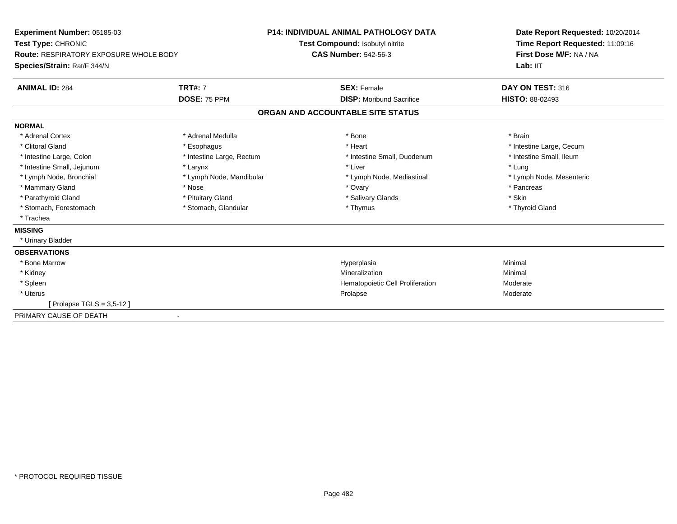| Experiment Number: 05185-03                   |                           | <b>P14: INDIVIDUAL ANIMAL PATHOLOGY DATA</b> | Date Report Requested: 10/20/2014 |
|-----------------------------------------------|---------------------------|----------------------------------------------|-----------------------------------|
| Test Type: CHRONIC                            |                           | Test Compound: Isobutyl nitrite              | Time Report Requested: 11:09:16   |
| <b>Route: RESPIRATORY EXPOSURE WHOLE BODY</b> |                           | <b>CAS Number: 542-56-3</b>                  | First Dose M/F: NA / NA           |
| Species/Strain: Rat/F 344/N                   |                           |                                              | Lab: IIT                          |
| <b>ANIMAL ID: 284</b>                         | <b>TRT#: 7</b>            | <b>SEX: Female</b>                           | DAY ON TEST: 316                  |
|                                               | <b>DOSE: 75 PPM</b>       | <b>DISP:</b> Moribund Sacrifice              | <b>HISTO: 88-02493</b>            |
|                                               |                           | ORGAN AND ACCOUNTABLE SITE STATUS            |                                   |
| <b>NORMAL</b>                                 |                           |                                              |                                   |
| * Adrenal Cortex                              | * Adrenal Medulla         | * Bone                                       | * Brain                           |
| * Clitoral Gland                              | * Esophagus               | * Heart                                      | * Intestine Large, Cecum          |
| * Intestine Large, Colon                      | * Intestine Large, Rectum | * Intestine Small, Duodenum                  | * Intestine Small, Ileum          |
| * Intestine Small, Jejunum                    | * Larynx                  | * Liver                                      | * Lung                            |
| * Lymph Node, Bronchial                       | * Lymph Node, Mandibular  | * Lymph Node, Mediastinal                    | * Lymph Node, Mesenteric          |
| * Mammary Gland                               | * Nose                    | * Ovary                                      | * Pancreas                        |
| * Parathyroid Gland                           | * Pituitary Gland         | * Salivary Glands                            | * Skin                            |
| * Stomach, Forestomach                        | * Stomach, Glandular      | * Thymus                                     | * Thyroid Gland                   |
| * Trachea                                     |                           |                                              |                                   |
| <b>MISSING</b>                                |                           |                                              |                                   |
| * Urinary Bladder                             |                           |                                              |                                   |
| <b>OBSERVATIONS</b>                           |                           |                                              |                                   |
| * Bone Marrow                                 |                           | Hyperplasia                                  | Minimal                           |
| * Kidney                                      |                           | Mineralization                               | Minimal                           |
| * Spleen                                      |                           | Hematopoietic Cell Proliferation             | Moderate                          |
| * Uterus                                      |                           | Prolapse                                     | Moderate                          |
| Prolapse TGLS = 3,5-12 ]                      |                           |                                              |                                   |
| PRIMARY CAUSE OF DEATH                        |                           |                                              |                                   |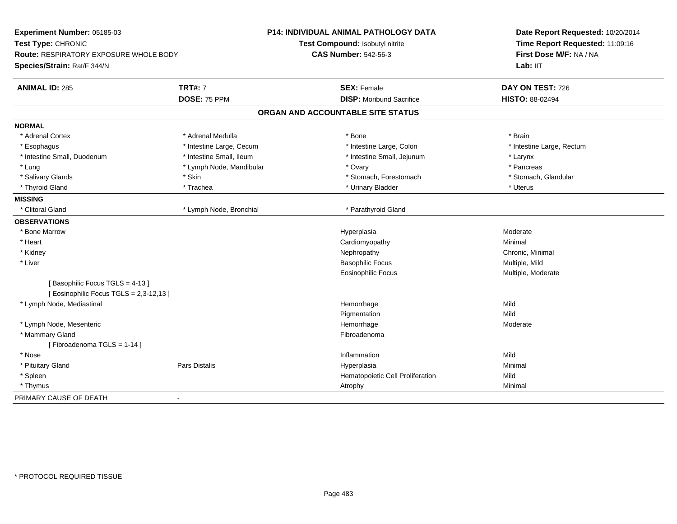| Experiment Number: 05185-03                                             |                          | P14: INDIVIDUAL ANIMAL PATHOLOGY DATA | Date Report Requested: 10/20/2014 |
|-------------------------------------------------------------------------|--------------------------|---------------------------------------|-----------------------------------|
| Test Type: CHRONIC                                                      |                          | Test Compound: Isobutyl nitrite       | Time Report Requested: 11:09:16   |
| Route: RESPIRATORY EXPOSURE WHOLE BODY                                  |                          | <b>CAS Number: 542-56-3</b>           | First Dose M/F: NA / NA           |
| Species/Strain: Rat/F 344/N                                             |                          |                                       | Lab: IIT                          |
| <b>ANIMAL ID: 285</b>                                                   | <b>TRT#: 7</b>           | <b>SEX: Female</b>                    | DAY ON TEST: 726                  |
|                                                                         | DOSE: 75 PPM             | <b>DISP:</b> Moribund Sacrifice       | HISTO: 88-02494                   |
|                                                                         |                          | ORGAN AND ACCOUNTABLE SITE STATUS     |                                   |
| <b>NORMAL</b>                                                           |                          |                                       |                                   |
| * Adrenal Cortex                                                        | * Adrenal Medulla        | * Bone                                | * Brain                           |
| * Esophagus                                                             | * Intestine Large, Cecum | * Intestine Large, Colon              | * Intestine Large, Rectum         |
| * Intestine Small, Duodenum                                             | * Intestine Small, Ileum | * Intestine Small, Jejunum            | * Larynx                          |
| * Lung                                                                  | * Lymph Node, Mandibular | * Ovary                               | * Pancreas                        |
| * Salivary Glands                                                       | * Skin                   | * Stomach, Forestomach                | * Stomach, Glandular              |
| * Thyroid Gland                                                         | * Trachea                | * Urinary Bladder                     | * Uterus                          |
| <b>MISSING</b>                                                          |                          |                                       |                                   |
| * Clitoral Gland                                                        | * Lymph Node, Bronchial  | * Parathyroid Gland                   |                                   |
| <b>OBSERVATIONS</b>                                                     |                          |                                       |                                   |
| * Bone Marrow                                                           |                          | Hyperplasia                           | Moderate                          |
| * Heart                                                                 |                          | Cardiomyopathy                        | Minimal                           |
| * Kidney                                                                |                          | Nephropathy                           | Chronic, Minimal                  |
| * Liver                                                                 |                          | <b>Basophilic Focus</b>               | Multiple, Mild                    |
|                                                                         |                          | <b>Eosinophilic Focus</b>             | Multiple, Moderate                |
| [Basophilic Focus TGLS = 4-13]<br>[Eosinophilic Focus TGLS = 2,3-12,13] |                          |                                       |                                   |
| * Lymph Node, Mediastinal                                               |                          | Hemorrhage                            | Mild                              |
|                                                                         |                          | Pigmentation                          | Mild                              |
| * Lymph Node, Mesenteric                                                |                          | Hemorrhage                            | Moderate                          |
| * Mammary Gland                                                         |                          | Fibroadenoma                          |                                   |
| [Fibroadenoma TGLS = 1-14]                                              |                          |                                       |                                   |
| * Nose                                                                  |                          | Inflammation                          | Mild                              |
| * Pituitary Gland                                                       | Pars Distalis            | Hyperplasia                           | Minimal                           |
| * Spleen                                                                |                          | Hematopoietic Cell Proliferation      | Mild                              |
| * Thymus                                                                |                          | Atrophy                               | Minimal                           |
| PRIMARY CAUSE OF DEATH                                                  | $\overline{a}$           |                                       |                                   |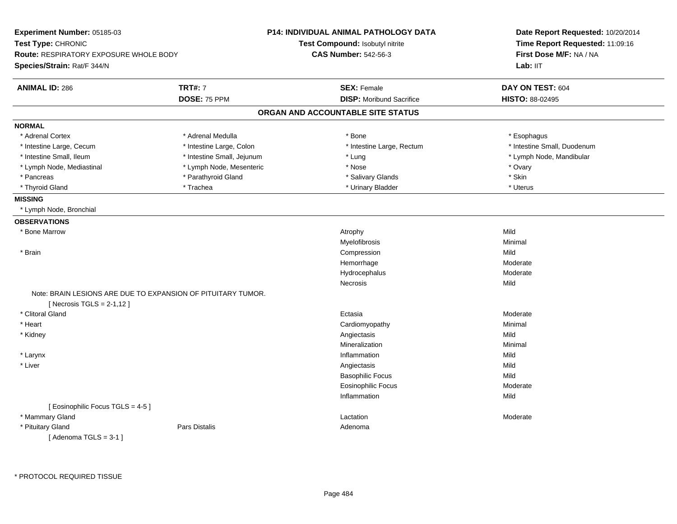| Experiment Number: 05185-03                   |                                                              | P14: INDIVIDUAL ANIMAL PATHOLOGY DATA | Date Report Requested: 10/20/2014<br>Time Report Requested: 11:09:16 |  |
|-----------------------------------------------|--------------------------------------------------------------|---------------------------------------|----------------------------------------------------------------------|--|
| Test Type: CHRONIC                            |                                                              | Test Compound: Isobutyl nitrite       |                                                                      |  |
| <b>Route: RESPIRATORY EXPOSURE WHOLE BODY</b> |                                                              | <b>CAS Number: 542-56-3</b>           | First Dose M/F: NA / NA                                              |  |
| Species/Strain: Rat/F 344/N                   |                                                              |                                       | Lab: IIT                                                             |  |
| <b>ANIMAL ID: 286</b>                         | <b>TRT#: 7</b>                                               | <b>SEX: Female</b>                    | DAY ON TEST: 604                                                     |  |
|                                               | DOSE: 75 PPM                                                 | <b>DISP:</b> Moribund Sacrifice       | HISTO: 88-02495                                                      |  |
|                                               |                                                              | ORGAN AND ACCOUNTABLE SITE STATUS     |                                                                      |  |
| <b>NORMAL</b>                                 |                                                              |                                       |                                                                      |  |
| * Adrenal Cortex                              | * Adrenal Medulla                                            | * Bone                                | * Esophagus                                                          |  |
| * Intestine Large, Cecum                      | * Intestine Large, Colon                                     | * Intestine Large, Rectum             | * Intestine Small, Duodenum                                          |  |
| * Intestine Small, Ileum                      | * Intestine Small, Jejunum                                   | * Lung                                | * Lymph Node, Mandibular                                             |  |
| * Lymph Node, Mediastinal                     | * Lymph Node, Mesenteric                                     | * Nose                                | * Ovary                                                              |  |
| * Pancreas                                    | * Parathyroid Gland                                          | * Salivary Glands                     | * Skin                                                               |  |
| * Thyroid Gland                               | * Trachea                                                    | * Urinary Bladder                     | * Uterus                                                             |  |
| <b>MISSING</b>                                |                                                              |                                       |                                                                      |  |
| * Lymph Node, Bronchial                       |                                                              |                                       |                                                                      |  |
| <b>OBSERVATIONS</b>                           |                                                              |                                       |                                                                      |  |
| * Bone Marrow                                 |                                                              | Atrophy                               | Mild                                                                 |  |
|                                               |                                                              | Myelofibrosis                         | Minimal                                                              |  |
| * Brain                                       |                                                              | Compression                           | Mild                                                                 |  |
|                                               |                                                              | Hemorrhage                            | Moderate                                                             |  |
|                                               |                                                              | Hydrocephalus                         | Moderate                                                             |  |
|                                               |                                                              | Necrosis                              | Mild                                                                 |  |
|                                               | Note: BRAIN LESIONS ARE DUE TO EXPANSION OF PITUITARY TUMOR. |                                       |                                                                      |  |
| [Necrosis $TGLS = 2-1,12$ ]                   |                                                              |                                       |                                                                      |  |
| * Clitoral Gland                              |                                                              | Ectasia                               | Moderate                                                             |  |
| * Heart                                       |                                                              | Cardiomyopathy                        | Minimal                                                              |  |
| * Kidney                                      |                                                              | Angiectasis                           | Mild                                                                 |  |
|                                               |                                                              | Mineralization                        | Minimal                                                              |  |
| * Larynx                                      |                                                              | Inflammation                          | Mild                                                                 |  |
| * Liver                                       |                                                              | Angiectasis                           | Mild                                                                 |  |
|                                               |                                                              | <b>Basophilic Focus</b>               | Mild                                                                 |  |
|                                               |                                                              | <b>Eosinophilic Focus</b>             | Moderate                                                             |  |
|                                               |                                                              | Inflammation                          | Mild                                                                 |  |
| [ Eosinophilic Focus TGLS = 4-5 ]             |                                                              |                                       |                                                                      |  |
| * Mammary Gland                               |                                                              | Lactation                             | Moderate                                                             |  |
| * Pituitary Gland                             | Pars Distalis                                                | Adenoma                               |                                                                      |  |
| [Adenoma TGLS = $3-1$ ]                       |                                                              |                                       |                                                                      |  |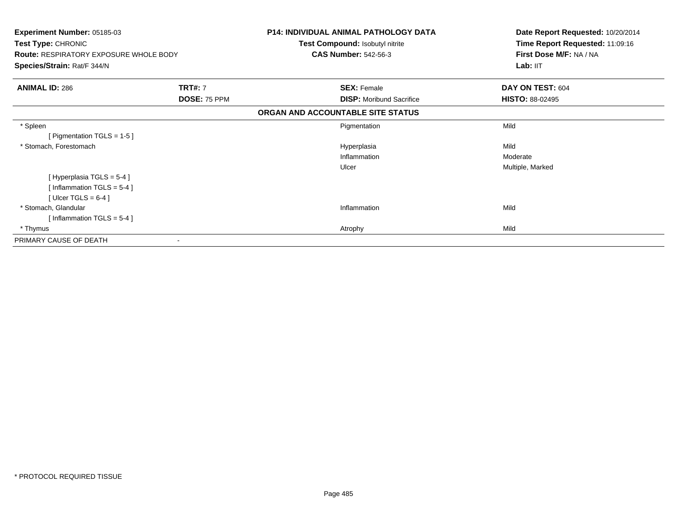| <b>Experiment Number: 05185-03</b><br>Test Type: CHRONIC<br><b>Route: RESPIRATORY EXPOSURE WHOLE BODY</b><br>Species/Strain: Rat/F 344/N |                                | <b>P14: INDIVIDUAL ANIMAL PATHOLOGY DATA</b><br>Test Compound: Isobutyl nitrite<br><b>CAS Number: 542-56-3</b> | Date Report Requested: 10/20/2014<br>Time Report Requested: 11:09:16<br>First Dose M/F: NA / NA<br>Lab: IIT |
|------------------------------------------------------------------------------------------------------------------------------------------|--------------------------------|----------------------------------------------------------------------------------------------------------------|-------------------------------------------------------------------------------------------------------------|
| <b>ANIMAL ID: 286</b>                                                                                                                    | <b>TRT#: 7</b><br>DOSE: 75 PPM | <b>SEX: Female</b><br><b>DISP:</b> Moribund Sacrifice                                                          | DAY ON TEST: 604<br><b>HISTO: 88-02495</b>                                                                  |
|                                                                                                                                          |                                | ORGAN AND ACCOUNTABLE SITE STATUS                                                                              |                                                                                                             |
| * Spleen<br>[ Pigmentation TGLS = $1-5$ ]                                                                                                |                                | Pigmentation                                                                                                   | Mild                                                                                                        |
| * Stomach, Forestomach                                                                                                                   |                                | Hyperplasia<br>Inflammation<br>Ulcer                                                                           | Mild<br>Moderate<br>Multiple, Marked                                                                        |
| [Hyperplasia TGLS = 5-4]<br>[Inflammation $TGLS = 5-4$ ]<br>[Ulcer TGLS = $6-4$ ]                                                        |                                |                                                                                                                |                                                                                                             |
| * Stomach, Glandular<br>[Inflammation TGLS = $5-4$ ]                                                                                     |                                | Inflammation                                                                                                   | Mild                                                                                                        |
| * Thymus<br>PRIMARY CAUSE OF DEATH                                                                                                       |                                | Atrophy                                                                                                        | Mild                                                                                                        |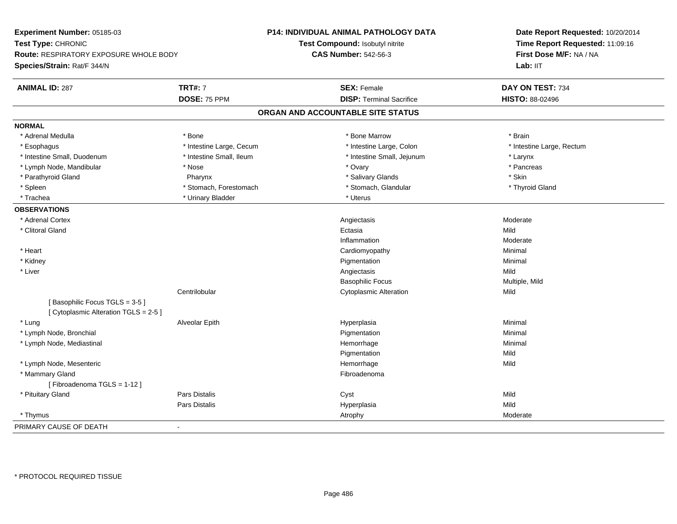| Experiment Number: 05185-03<br>Test Type: CHRONIC<br><b>Route: RESPIRATORY EXPOSURE WHOLE BODY</b> |                          | <b>P14: INDIVIDUAL ANIMAL PATHOLOGY DATA</b> | Date Report Requested: 10/20/2014<br>Time Report Requested: 11:09:16<br>First Dose M/F: NA / NA |
|----------------------------------------------------------------------------------------------------|--------------------------|----------------------------------------------|-------------------------------------------------------------------------------------------------|
|                                                                                                    |                          | Test Compound: Isobutyl nitrite              |                                                                                                 |
|                                                                                                    |                          | <b>CAS Number: 542-56-3</b>                  |                                                                                                 |
| Species/Strain: Rat/F 344/N                                                                        |                          |                                              | Lab: IIT                                                                                        |
| <b>ANIMAL ID: 287</b>                                                                              | <b>TRT#: 7</b>           | <b>SEX: Female</b>                           | DAY ON TEST: 734                                                                                |
|                                                                                                    | DOSE: 75 PPM             | <b>DISP: Terminal Sacrifice</b>              | HISTO: 88-02496                                                                                 |
|                                                                                                    |                          | ORGAN AND ACCOUNTABLE SITE STATUS            |                                                                                                 |
| <b>NORMAL</b>                                                                                      |                          |                                              |                                                                                                 |
| * Adrenal Medulla                                                                                  | * Bone                   | * Bone Marrow                                | * Brain                                                                                         |
| * Esophagus                                                                                        | * Intestine Large, Cecum | * Intestine Large, Colon                     | * Intestine Large, Rectum                                                                       |
| * Intestine Small, Duodenum                                                                        | * Intestine Small, Ileum | * Intestine Small, Jejunum                   | * Larynx                                                                                        |
| * Lymph Node, Mandibular                                                                           | * Nose                   | * Ovary                                      | * Pancreas                                                                                      |
| * Parathyroid Gland                                                                                | Pharynx                  | * Salivary Glands                            | * Skin                                                                                          |
| * Spleen                                                                                           | * Stomach, Forestomach   | * Stomach, Glandular                         | * Thyroid Gland                                                                                 |
| * Trachea                                                                                          | * Urinary Bladder        | * Uterus                                     |                                                                                                 |
| <b>OBSERVATIONS</b>                                                                                |                          |                                              |                                                                                                 |
| * Adrenal Cortex                                                                                   |                          | Angiectasis                                  | Moderate                                                                                        |
| * Clitoral Gland                                                                                   |                          | Ectasia                                      | Mild                                                                                            |
|                                                                                                    |                          | Inflammation                                 | Moderate                                                                                        |
| * Heart                                                                                            |                          | Cardiomyopathy                               | Minimal                                                                                         |
| * Kidney                                                                                           |                          | Pigmentation                                 | Minimal                                                                                         |
| * Liver                                                                                            |                          | Angiectasis                                  | Mild                                                                                            |
|                                                                                                    |                          | <b>Basophilic Focus</b>                      | Multiple, Mild                                                                                  |
|                                                                                                    | Centrilobular            | <b>Cytoplasmic Alteration</b>                | Mild                                                                                            |
| [Basophilic Focus TGLS = 3-5]<br>[ Cytoplasmic Alteration TGLS = 2-5 ]                             |                          |                                              |                                                                                                 |
| * Lung                                                                                             | Alveolar Epith           | Hyperplasia                                  | Minimal                                                                                         |
| * Lymph Node, Bronchial                                                                            |                          | Pigmentation                                 | Minimal                                                                                         |
| * Lymph Node, Mediastinal                                                                          |                          | Hemorrhage                                   | Minimal                                                                                         |
|                                                                                                    |                          | Pigmentation                                 | Mild                                                                                            |
| * Lymph Node, Mesenteric                                                                           |                          | Hemorrhage                                   | Mild                                                                                            |
| * Mammary Gland                                                                                    |                          | Fibroadenoma                                 |                                                                                                 |
| [Fibroadenoma TGLS = 1-12]                                                                         |                          |                                              |                                                                                                 |
| * Pituitary Gland                                                                                  | Pars Distalis            | Cyst                                         | Mild                                                                                            |
|                                                                                                    | Pars Distalis            | Hyperplasia                                  | Mild                                                                                            |
| * Thymus                                                                                           |                          | Atrophy                                      | Moderate                                                                                        |
| PRIMARY CAUSE OF DEATH<br>$\mathbf{r}$                                                             |                          |                                              |                                                                                                 |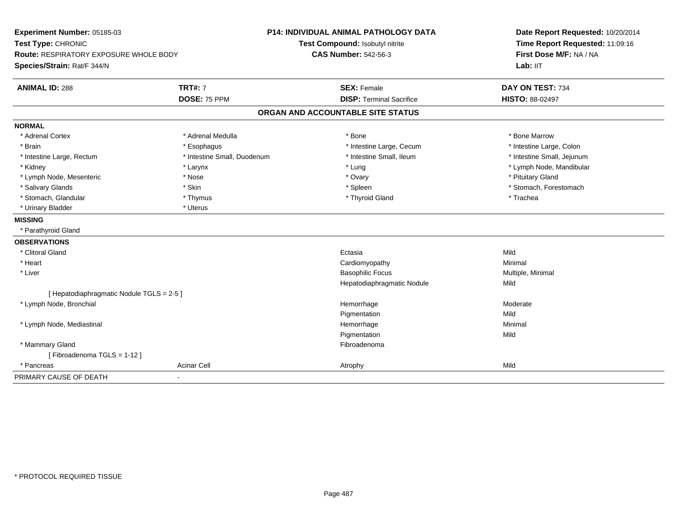| Experiment Number: 05185-03<br>Test Type: CHRONIC                            |                             | P14: INDIVIDUAL ANIMAL PATHOLOGY DATA<br>Test Compound: Isobutyl nitrite | Date Report Requested: 10/20/2014<br>Time Report Requested: 11:09:16 |  |
|------------------------------------------------------------------------------|-----------------------------|--------------------------------------------------------------------------|----------------------------------------------------------------------|--|
| <b>Route: RESPIRATORY EXPOSURE WHOLE BODY</b><br>Species/Strain: Rat/F 344/N |                             | <b>CAS Number: 542-56-3</b>                                              | First Dose M/F: NA / NA<br>Lab: IIT                                  |  |
| <b>ANIMAL ID: 288</b>                                                        | <b>TRT#: 7</b>              | <b>SEX: Female</b>                                                       | DAY ON TEST: 734                                                     |  |
|                                                                              | DOSE: 75 PPM                | <b>DISP: Terminal Sacrifice</b>                                          | HISTO: 88-02497                                                      |  |
|                                                                              |                             | ORGAN AND ACCOUNTABLE SITE STATUS                                        |                                                                      |  |
| <b>NORMAL</b>                                                                |                             |                                                                          |                                                                      |  |
| * Adrenal Cortex                                                             | * Adrenal Medulla           | * Bone                                                                   | * Bone Marrow                                                        |  |
| * Brain                                                                      | * Esophagus                 | * Intestine Large, Cecum                                                 | * Intestine Large, Colon                                             |  |
| * Intestine Large, Rectum                                                    | * Intestine Small, Duodenum | * Intestine Small, Ileum                                                 | * Intestine Small, Jejunum                                           |  |
| * Kidney                                                                     | * Larynx                    | * Lung                                                                   | * Lymph Node, Mandibular                                             |  |
| * Lymph Node, Mesenteric                                                     | * Nose                      | * Ovary                                                                  | * Pituitary Gland                                                    |  |
| * Salivary Glands                                                            | * Skin                      | * Spleen                                                                 | * Stomach, Forestomach                                               |  |
| * Stomach, Glandular                                                         | * Thymus                    | * Thyroid Gland                                                          | * Trachea                                                            |  |
| * Urinary Bladder                                                            | * Uterus                    |                                                                          |                                                                      |  |
| <b>MISSING</b>                                                               |                             |                                                                          |                                                                      |  |
| * Parathyroid Gland                                                          |                             |                                                                          |                                                                      |  |
| <b>OBSERVATIONS</b>                                                          |                             |                                                                          |                                                                      |  |
| * Clitoral Gland                                                             |                             | Ectasia                                                                  | Mild                                                                 |  |
| * Heart                                                                      |                             | Cardiomyopathy                                                           | Minimal                                                              |  |
| * Liver                                                                      |                             | <b>Basophilic Focus</b>                                                  | Multiple, Minimal                                                    |  |
|                                                                              |                             | Hepatodiaphragmatic Nodule                                               | Mild                                                                 |  |
| [ Hepatodiaphragmatic Nodule TGLS = 2-5 ]                                    |                             |                                                                          |                                                                      |  |
| * Lymph Node, Bronchial                                                      |                             | Hemorrhage                                                               | Moderate                                                             |  |
|                                                                              |                             | Pigmentation                                                             | Mild                                                                 |  |
| * Lymph Node, Mediastinal                                                    |                             | Hemorrhage                                                               | Minimal                                                              |  |
|                                                                              |                             | Pigmentation                                                             | Mild                                                                 |  |
| * Mammary Gland                                                              |                             | Fibroadenoma                                                             |                                                                      |  |
| [Fibroadenoma TGLS = 1-12]                                                   |                             |                                                                          |                                                                      |  |
| * Pancreas                                                                   | <b>Acinar Cell</b>          | Atrophy                                                                  | Mild                                                                 |  |
| PRIMARY CAUSE OF DEATH                                                       | $\blacksquare$              |                                                                          |                                                                      |  |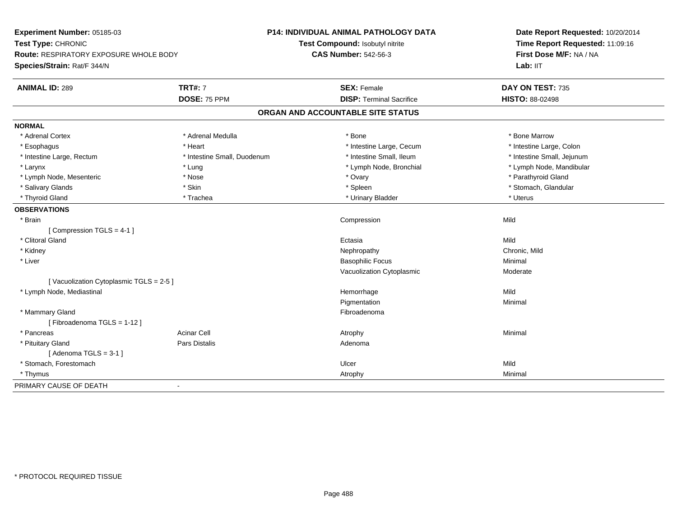| Experiment Number: 05185-03                   |                             | P14: INDIVIDUAL ANIMAL PATHOLOGY DATA | Date Report Requested: 10/20/2014<br>Time Report Requested: 11:09:16 |
|-----------------------------------------------|-----------------------------|---------------------------------------|----------------------------------------------------------------------|
| Test Type: CHRONIC                            |                             | Test Compound: Isobutyl nitrite       |                                                                      |
| <b>Route: RESPIRATORY EXPOSURE WHOLE BODY</b> |                             | <b>CAS Number: 542-56-3</b>           | First Dose M/F: NA / NA                                              |
| Species/Strain: Rat/F 344/N                   |                             |                                       | Lab: IIT                                                             |
| <b>ANIMAL ID: 289</b>                         | <b>TRT#: 7</b>              | <b>SEX: Female</b>                    | DAY ON TEST: 735                                                     |
|                                               | DOSE: 75 PPM                | <b>DISP: Terminal Sacrifice</b>       | <b>HISTO: 88-02498</b>                                               |
|                                               |                             | ORGAN AND ACCOUNTABLE SITE STATUS     |                                                                      |
| <b>NORMAL</b>                                 |                             |                                       |                                                                      |
| * Adrenal Cortex                              | * Adrenal Medulla           | * Bone                                | * Bone Marrow                                                        |
| * Esophagus                                   | * Heart                     | * Intestine Large, Cecum              | * Intestine Large, Colon                                             |
| * Intestine Large, Rectum                     | * Intestine Small, Duodenum | * Intestine Small, Ileum              | * Intestine Small, Jejunum                                           |
| * Larynx                                      | * Lung                      | * Lymph Node, Bronchial               | * Lymph Node, Mandibular                                             |
| * Lymph Node, Mesenteric                      | * Nose                      | * Ovary                               | * Parathyroid Gland                                                  |
| * Salivary Glands                             | * Skin                      | * Spleen                              | * Stomach, Glandular                                                 |
| * Thyroid Gland                               | * Trachea                   | * Urinary Bladder                     | * Uterus                                                             |
| <b>OBSERVATIONS</b>                           |                             |                                       |                                                                      |
| * Brain                                       |                             | Compression                           | Mild                                                                 |
| [Compression TGLS = 4-1]                      |                             |                                       |                                                                      |
| * Clitoral Gland                              |                             | Ectasia                               | Mild                                                                 |
| * Kidney                                      |                             | Nephropathy                           | Chronic, Mild                                                        |
| * Liver                                       |                             | <b>Basophilic Focus</b>               | Minimal                                                              |
|                                               |                             | Vacuolization Cytoplasmic             | Moderate                                                             |
| [Vacuolization Cytoplasmic TGLS = 2-5]        |                             |                                       |                                                                      |
| * Lymph Node, Mediastinal                     |                             | Hemorrhage                            | Mild                                                                 |
|                                               |                             | Pigmentation                          | Minimal                                                              |
| * Mammary Gland                               |                             | Fibroadenoma                          |                                                                      |
| [Fibroadenoma TGLS = 1-12]                    |                             |                                       |                                                                      |
| * Pancreas                                    | <b>Acinar Cell</b>          | Atrophy                               | Minimal                                                              |
| * Pituitary Gland                             | Pars Distalis               | Adenoma                               |                                                                      |
| [Adenoma TGLS = $3-1$ ]                       |                             |                                       |                                                                      |
| * Stomach, Forestomach                        |                             | Ulcer                                 | Mild                                                                 |
| * Thymus                                      |                             | Atrophy                               | Minimal                                                              |
| PRIMARY CAUSE OF DEATH<br>$\blacksquare$      |                             |                                       |                                                                      |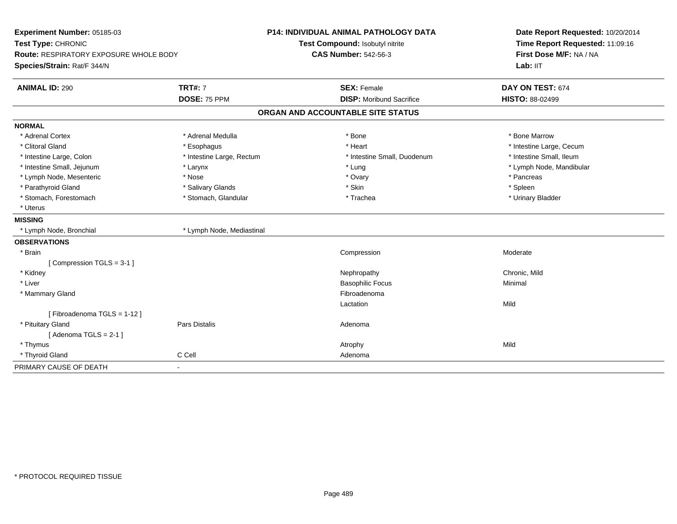| Experiment Number: 05185-03<br>Test Type: CHRONIC |                           | P14: INDIVIDUAL ANIMAL PATHOLOGY DATA | Date Report Requested: 10/20/2014<br>Time Report Requested: 11:09:16 |
|---------------------------------------------------|---------------------------|---------------------------------------|----------------------------------------------------------------------|
|                                                   |                           | Test Compound: Isobutyl nitrite       |                                                                      |
| <b>Route: RESPIRATORY EXPOSURE WHOLE BODY</b>     |                           | <b>CAS Number: 542-56-3</b>           | First Dose M/F: NA / NA                                              |
| Species/Strain: Rat/F 344/N                       |                           |                                       | Lab: IIT                                                             |
| <b>ANIMAL ID: 290</b>                             | <b>TRT#: 7</b>            | <b>SEX: Female</b>                    | DAY ON TEST: 674                                                     |
|                                                   | DOSE: 75 PPM              | <b>DISP:</b> Moribund Sacrifice       | HISTO: 88-02499                                                      |
|                                                   |                           | ORGAN AND ACCOUNTABLE SITE STATUS     |                                                                      |
| <b>NORMAL</b>                                     |                           |                                       |                                                                      |
| * Adrenal Cortex                                  | * Adrenal Medulla         | * Bone                                | * Bone Marrow                                                        |
| * Clitoral Gland                                  | * Esophagus               | * Heart                               | * Intestine Large, Cecum                                             |
| * Intestine Large, Colon                          | * Intestine Large, Rectum | * Intestine Small, Duodenum           | * Intestine Small, Ileum                                             |
| * Intestine Small, Jejunum                        | * Larynx                  | * Lung                                | * Lymph Node, Mandibular                                             |
| * Lymph Node, Mesenteric                          | * Nose                    | * Ovary                               | * Pancreas                                                           |
| * Parathyroid Gland                               | * Salivary Glands         | * Skin                                | * Spleen                                                             |
| * Stomach, Forestomach                            | * Stomach, Glandular      | * Trachea                             | * Urinary Bladder                                                    |
| * Uterus                                          |                           |                                       |                                                                      |
| <b>MISSING</b>                                    |                           |                                       |                                                                      |
| * Lymph Node, Bronchial                           | * Lymph Node, Mediastinal |                                       |                                                                      |
| <b>OBSERVATIONS</b>                               |                           |                                       |                                                                      |
| * Brain                                           |                           | Compression                           | Moderate                                                             |
| [Compression TGLS = 3-1]                          |                           |                                       |                                                                      |
| * Kidney                                          |                           | Nephropathy                           | Chronic, Mild                                                        |
| * Liver                                           |                           | <b>Basophilic Focus</b>               | Minimal                                                              |
| * Mammary Gland                                   |                           | Fibroadenoma                          |                                                                      |
|                                                   |                           | Lactation                             | Mild                                                                 |
| [Fibroadenoma TGLS = 1-12]                        |                           |                                       |                                                                      |
| * Pituitary Gland                                 | Pars Distalis             | Adenoma                               |                                                                      |
| [Adenoma TGLS = $2-1$ ]                           |                           |                                       |                                                                      |
| * Thymus                                          |                           | Atrophy                               | Mild                                                                 |
| * Thyroid Gland                                   | C Cell                    | Adenoma                               |                                                                      |
| PRIMARY CAUSE OF DEATH                            | $\mathbf{r}$              |                                       |                                                                      |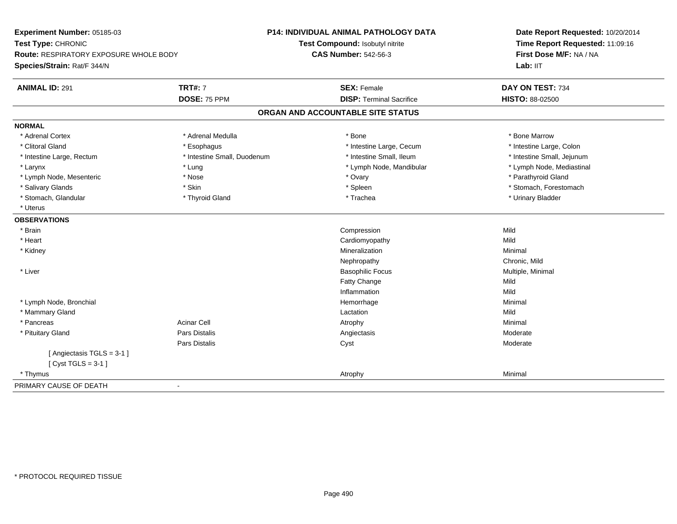| Experiment Number: 05185-03                   |                             | <b>P14: INDIVIDUAL ANIMAL PATHOLOGY DATA</b> | Date Report Requested: 10/20/2014<br>Time Report Requested: 11:09:16 |
|-----------------------------------------------|-----------------------------|----------------------------------------------|----------------------------------------------------------------------|
| Test Type: CHRONIC                            |                             | Test Compound: Isobutyl nitrite              |                                                                      |
| <b>Route: RESPIRATORY EXPOSURE WHOLE BODY</b> |                             | <b>CAS Number: 542-56-3</b>                  | First Dose M/F: NA / NA                                              |
| Species/Strain: Rat/F 344/N                   |                             |                                              | Lab: IIT                                                             |
| <b>ANIMAL ID: 291</b>                         | <b>TRT#: 7</b>              | <b>SEX: Female</b>                           | DAY ON TEST: 734                                                     |
|                                               | DOSE: 75 PPM                | <b>DISP: Terminal Sacrifice</b>              | <b>HISTO: 88-02500</b>                                               |
|                                               |                             | ORGAN AND ACCOUNTABLE SITE STATUS            |                                                                      |
| <b>NORMAL</b>                                 |                             |                                              |                                                                      |
| * Adrenal Cortex                              | * Adrenal Medulla           | * Bone                                       | * Bone Marrow                                                        |
| * Clitoral Gland                              | * Esophagus                 | * Intestine Large, Cecum                     | * Intestine Large, Colon                                             |
| * Intestine Large, Rectum                     | * Intestine Small, Duodenum | * Intestine Small, Ileum                     | * Intestine Small, Jejunum                                           |
| * Larynx                                      | * Lung                      | * Lymph Node, Mandibular                     | * Lymph Node, Mediastinal                                            |
| * Lymph Node, Mesenteric                      | * Nose                      | * Ovary                                      | * Parathyroid Gland                                                  |
| * Salivary Glands                             | * Skin                      | * Spleen                                     | * Stomach, Forestomach                                               |
| * Stomach, Glandular                          | * Thyroid Gland             | * Trachea                                    | * Urinary Bladder                                                    |
| * Uterus                                      |                             |                                              |                                                                      |
| <b>OBSERVATIONS</b>                           |                             |                                              |                                                                      |
| * Brain                                       |                             | Compression                                  | Mild                                                                 |
| * Heart                                       |                             | Cardiomyopathy                               | Mild                                                                 |
| * Kidney                                      |                             | Mineralization                               | Minimal                                                              |
|                                               |                             | Nephropathy                                  | Chronic, Mild                                                        |
| * Liver                                       |                             | <b>Basophilic Focus</b>                      | Multiple, Minimal                                                    |
|                                               |                             | Fatty Change                                 | Mild                                                                 |
|                                               |                             | Inflammation                                 | Mild                                                                 |
| * Lymph Node, Bronchial                       |                             | Hemorrhage                                   | Minimal                                                              |
| * Mammary Gland                               |                             | Lactation                                    | Mild                                                                 |
| * Pancreas                                    | <b>Acinar Cell</b>          | Atrophy                                      | Minimal                                                              |
| * Pituitary Gland                             | Pars Distalis               | Angiectasis                                  | Moderate                                                             |
|                                               | Pars Distalis               | Cyst                                         | Moderate                                                             |
| [Angiectasis TGLS = 3-1]                      |                             |                                              |                                                                      |
| [Cyst TGLS = $3-1$ ]                          |                             |                                              |                                                                      |
| * Thymus                                      |                             | Atrophy                                      | Minimal                                                              |
| PRIMARY CAUSE OF DEATH                        | $\blacksquare$              |                                              |                                                                      |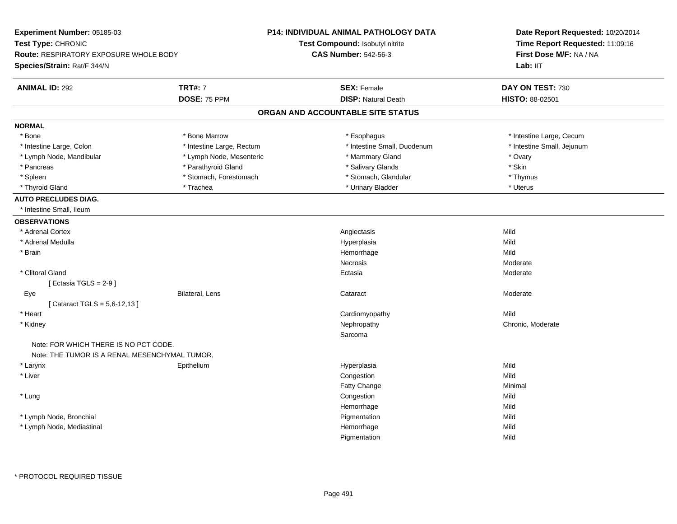| Test Type: CHRONIC<br>Time Report Requested: 11:09:16<br><b>Test Compound: Isobutyl nitrite</b><br><b>CAS Number: 542-56-3</b><br>First Dose M/F: NA / NA<br><b>Route: RESPIRATORY EXPOSURE WHOLE BODY</b><br>Species/Strain: Rat/F 344/N<br>Lab: IIT<br><b>TRT#: 7</b><br><b>ANIMAL ID: 292</b><br><b>SEX: Female</b><br>DAY ON TEST: 730<br>DOSE: 75 PPM<br><b>DISP: Natural Death</b><br>HISTO: 88-02501<br>ORGAN AND ACCOUNTABLE SITE STATUS<br><b>NORMAL</b><br>* Bone<br>* Bone Marrow<br>* Intestine Large, Cecum<br>* Esophagus<br>* Intestine Small, Duodenum<br>* Intestine Large, Colon<br>* Intestine Large, Rectum<br>* Intestine Small, Jejunum<br>* Mammary Gland<br>* Lymph Node, Mandibular<br>* Lymph Node, Mesenteric<br>* Ovary<br>* Skin<br>* Pancreas<br>* Parathyroid Gland<br>* Salivary Glands<br>* Stomach, Forestomach<br>* Stomach, Glandular<br>* Spleen<br>* Thymus<br>* Trachea<br>* Urinary Bladder<br>* Uterus<br>* Thyroid Gland<br><b>AUTO PRECLUDES DIAG.</b><br>* Intestine Small, Ileum<br><b>OBSERVATIONS</b><br>* Adrenal Cortex<br>Angiectasis<br>Mild<br>* Adrenal Medulla<br>Mild<br>Hyperplasia<br>Mild<br>* Brain<br>Hemorrhage<br>Necrosis<br>Moderate<br>* Clitoral Gland<br>Ectasia<br>Moderate<br>[Ectasia TGLS = $2-9$ ]<br>Bilateral, Lens<br>Cataract<br>Moderate<br>Eye<br>[ Cataract TGLS = 5,6-12,13 ]<br>Mild<br>* Heart<br>Cardiomyopathy<br>* Kidney<br>Nephropathy<br>Chronic, Moderate<br>Sarcoma<br>Note: FOR WHICH THERE IS NO PCT CODE.<br>Note: THE TUMOR IS A RENAL MESENCHYMAL TUMOR,<br>Mild<br>* Larynx<br>Epithelium<br>Hyperplasia<br>* Liver<br>Congestion<br>Mild<br>Fatty Change<br>Minimal<br>* Lung<br>Congestion<br>Mild<br>Hemorrhage<br>Mild<br>* Lymph Node, Bronchial<br>Pigmentation<br>Mild<br>Hemorrhage<br>Mild<br>* Lymph Node, Mediastinal<br>Pigmentation<br>Mild | Experiment Number: 05185-03 | <b>P14: INDIVIDUAL ANIMAL PATHOLOGY DATA</b> | Date Report Requested: 10/20/2014 |
|----------------------------------------------------------------------------------------------------------------------------------------------------------------------------------------------------------------------------------------------------------------------------------------------------------------------------------------------------------------------------------------------------------------------------------------------------------------------------------------------------------------------------------------------------------------------------------------------------------------------------------------------------------------------------------------------------------------------------------------------------------------------------------------------------------------------------------------------------------------------------------------------------------------------------------------------------------------------------------------------------------------------------------------------------------------------------------------------------------------------------------------------------------------------------------------------------------------------------------------------------------------------------------------------------------------------------------------------------------------------------------------------------------------------------------------------------------------------------------------------------------------------------------------------------------------------------------------------------------------------------------------------------------------------------------------------------------------------------------------------------------------------------------------------------------------------------------------------------------|-----------------------------|----------------------------------------------|-----------------------------------|
|                                                                                                                                                                                                                                                                                                                                                                                                                                                                                                                                                                                                                                                                                                                                                                                                                                                                                                                                                                                                                                                                                                                                                                                                                                                                                                                                                                                                                                                                                                                                                                                                                                                                                                                                                                                                                                                          |                             |                                              |                                   |
|                                                                                                                                                                                                                                                                                                                                                                                                                                                                                                                                                                                                                                                                                                                                                                                                                                                                                                                                                                                                                                                                                                                                                                                                                                                                                                                                                                                                                                                                                                                                                                                                                                                                                                                                                                                                                                                          |                             |                                              |                                   |
|                                                                                                                                                                                                                                                                                                                                                                                                                                                                                                                                                                                                                                                                                                                                                                                                                                                                                                                                                                                                                                                                                                                                                                                                                                                                                                                                                                                                                                                                                                                                                                                                                                                                                                                                                                                                                                                          |                             |                                              |                                   |
|                                                                                                                                                                                                                                                                                                                                                                                                                                                                                                                                                                                                                                                                                                                                                                                                                                                                                                                                                                                                                                                                                                                                                                                                                                                                                                                                                                                                                                                                                                                                                                                                                                                                                                                                                                                                                                                          |                             |                                              |                                   |
|                                                                                                                                                                                                                                                                                                                                                                                                                                                                                                                                                                                                                                                                                                                                                                                                                                                                                                                                                                                                                                                                                                                                                                                                                                                                                                                                                                                                                                                                                                                                                                                                                                                                                                                                                                                                                                                          |                             |                                              |                                   |
|                                                                                                                                                                                                                                                                                                                                                                                                                                                                                                                                                                                                                                                                                                                                                                                                                                                                                                                                                                                                                                                                                                                                                                                                                                                                                                                                                                                                                                                                                                                                                                                                                                                                                                                                                                                                                                                          |                             |                                              |                                   |
|                                                                                                                                                                                                                                                                                                                                                                                                                                                                                                                                                                                                                                                                                                                                                                                                                                                                                                                                                                                                                                                                                                                                                                                                                                                                                                                                                                                                                                                                                                                                                                                                                                                                                                                                                                                                                                                          |                             |                                              |                                   |
|                                                                                                                                                                                                                                                                                                                                                                                                                                                                                                                                                                                                                                                                                                                                                                                                                                                                                                                                                                                                                                                                                                                                                                                                                                                                                                                                                                                                                                                                                                                                                                                                                                                                                                                                                                                                                                                          |                             |                                              |                                   |
|                                                                                                                                                                                                                                                                                                                                                                                                                                                                                                                                                                                                                                                                                                                                                                                                                                                                                                                                                                                                                                                                                                                                                                                                                                                                                                                                                                                                                                                                                                                                                                                                                                                                                                                                                                                                                                                          |                             |                                              |                                   |
|                                                                                                                                                                                                                                                                                                                                                                                                                                                                                                                                                                                                                                                                                                                                                                                                                                                                                                                                                                                                                                                                                                                                                                                                                                                                                                                                                                                                                                                                                                                                                                                                                                                                                                                                                                                                                                                          |                             |                                              |                                   |
|                                                                                                                                                                                                                                                                                                                                                                                                                                                                                                                                                                                                                                                                                                                                                                                                                                                                                                                                                                                                                                                                                                                                                                                                                                                                                                                                                                                                                                                                                                                                                                                                                                                                                                                                                                                                                                                          |                             |                                              |                                   |
|                                                                                                                                                                                                                                                                                                                                                                                                                                                                                                                                                                                                                                                                                                                                                                                                                                                                                                                                                                                                                                                                                                                                                                                                                                                                                                                                                                                                                                                                                                                                                                                                                                                                                                                                                                                                                                                          |                             |                                              |                                   |
|                                                                                                                                                                                                                                                                                                                                                                                                                                                                                                                                                                                                                                                                                                                                                                                                                                                                                                                                                                                                                                                                                                                                                                                                                                                                                                                                                                                                                                                                                                                                                                                                                                                                                                                                                                                                                                                          |                             |                                              |                                   |
|                                                                                                                                                                                                                                                                                                                                                                                                                                                                                                                                                                                                                                                                                                                                                                                                                                                                                                                                                                                                                                                                                                                                                                                                                                                                                                                                                                                                                                                                                                                                                                                                                                                                                                                                                                                                                                                          |                             |                                              |                                   |
|                                                                                                                                                                                                                                                                                                                                                                                                                                                                                                                                                                                                                                                                                                                                                                                                                                                                                                                                                                                                                                                                                                                                                                                                                                                                                                                                                                                                                                                                                                                                                                                                                                                                                                                                                                                                                                                          |                             |                                              |                                   |
|                                                                                                                                                                                                                                                                                                                                                                                                                                                                                                                                                                                                                                                                                                                                                                                                                                                                                                                                                                                                                                                                                                                                                                                                                                                                                                                                                                                                                                                                                                                                                                                                                                                                                                                                                                                                                                                          |                             |                                              |                                   |
|                                                                                                                                                                                                                                                                                                                                                                                                                                                                                                                                                                                                                                                                                                                                                                                                                                                                                                                                                                                                                                                                                                                                                                                                                                                                                                                                                                                                                                                                                                                                                                                                                                                                                                                                                                                                                                                          |                             |                                              |                                   |
|                                                                                                                                                                                                                                                                                                                                                                                                                                                                                                                                                                                                                                                                                                                                                                                                                                                                                                                                                                                                                                                                                                                                                                                                                                                                                                                                                                                                                                                                                                                                                                                                                                                                                                                                                                                                                                                          |                             |                                              |                                   |
|                                                                                                                                                                                                                                                                                                                                                                                                                                                                                                                                                                                                                                                                                                                                                                                                                                                                                                                                                                                                                                                                                                                                                                                                                                                                                                                                                                                                                                                                                                                                                                                                                                                                                                                                                                                                                                                          |                             |                                              |                                   |
|                                                                                                                                                                                                                                                                                                                                                                                                                                                                                                                                                                                                                                                                                                                                                                                                                                                                                                                                                                                                                                                                                                                                                                                                                                                                                                                                                                                                                                                                                                                                                                                                                                                                                                                                                                                                                                                          |                             |                                              |                                   |
|                                                                                                                                                                                                                                                                                                                                                                                                                                                                                                                                                                                                                                                                                                                                                                                                                                                                                                                                                                                                                                                                                                                                                                                                                                                                                                                                                                                                                                                                                                                                                                                                                                                                                                                                                                                                                                                          |                             |                                              |                                   |
|                                                                                                                                                                                                                                                                                                                                                                                                                                                                                                                                                                                                                                                                                                                                                                                                                                                                                                                                                                                                                                                                                                                                                                                                                                                                                                                                                                                                                                                                                                                                                                                                                                                                                                                                                                                                                                                          |                             |                                              |                                   |
|                                                                                                                                                                                                                                                                                                                                                                                                                                                                                                                                                                                                                                                                                                                                                                                                                                                                                                                                                                                                                                                                                                                                                                                                                                                                                                                                                                                                                                                                                                                                                                                                                                                                                                                                                                                                                                                          |                             |                                              |                                   |
|                                                                                                                                                                                                                                                                                                                                                                                                                                                                                                                                                                                                                                                                                                                                                                                                                                                                                                                                                                                                                                                                                                                                                                                                                                                                                                                                                                                                                                                                                                                                                                                                                                                                                                                                                                                                                                                          |                             |                                              |                                   |
|                                                                                                                                                                                                                                                                                                                                                                                                                                                                                                                                                                                                                                                                                                                                                                                                                                                                                                                                                                                                                                                                                                                                                                                                                                                                                                                                                                                                                                                                                                                                                                                                                                                                                                                                                                                                                                                          |                             |                                              |                                   |
|                                                                                                                                                                                                                                                                                                                                                                                                                                                                                                                                                                                                                                                                                                                                                                                                                                                                                                                                                                                                                                                                                                                                                                                                                                                                                                                                                                                                                                                                                                                                                                                                                                                                                                                                                                                                                                                          |                             |                                              |                                   |
|                                                                                                                                                                                                                                                                                                                                                                                                                                                                                                                                                                                                                                                                                                                                                                                                                                                                                                                                                                                                                                                                                                                                                                                                                                                                                                                                                                                                                                                                                                                                                                                                                                                                                                                                                                                                                                                          |                             |                                              |                                   |
|                                                                                                                                                                                                                                                                                                                                                                                                                                                                                                                                                                                                                                                                                                                                                                                                                                                                                                                                                                                                                                                                                                                                                                                                                                                                                                                                                                                                                                                                                                                                                                                                                                                                                                                                                                                                                                                          |                             |                                              |                                   |
|                                                                                                                                                                                                                                                                                                                                                                                                                                                                                                                                                                                                                                                                                                                                                                                                                                                                                                                                                                                                                                                                                                                                                                                                                                                                                                                                                                                                                                                                                                                                                                                                                                                                                                                                                                                                                                                          |                             |                                              |                                   |
|                                                                                                                                                                                                                                                                                                                                                                                                                                                                                                                                                                                                                                                                                                                                                                                                                                                                                                                                                                                                                                                                                                                                                                                                                                                                                                                                                                                                                                                                                                                                                                                                                                                                                                                                                                                                                                                          |                             |                                              |                                   |
|                                                                                                                                                                                                                                                                                                                                                                                                                                                                                                                                                                                                                                                                                                                                                                                                                                                                                                                                                                                                                                                                                                                                                                                                                                                                                                                                                                                                                                                                                                                                                                                                                                                                                                                                                                                                                                                          |                             |                                              |                                   |
|                                                                                                                                                                                                                                                                                                                                                                                                                                                                                                                                                                                                                                                                                                                                                                                                                                                                                                                                                                                                                                                                                                                                                                                                                                                                                                                                                                                                                                                                                                                                                                                                                                                                                                                                                                                                                                                          |                             |                                              |                                   |
|                                                                                                                                                                                                                                                                                                                                                                                                                                                                                                                                                                                                                                                                                                                                                                                                                                                                                                                                                                                                                                                                                                                                                                                                                                                                                                                                                                                                                                                                                                                                                                                                                                                                                                                                                                                                                                                          |                             |                                              |                                   |
|                                                                                                                                                                                                                                                                                                                                                                                                                                                                                                                                                                                                                                                                                                                                                                                                                                                                                                                                                                                                                                                                                                                                                                                                                                                                                                                                                                                                                                                                                                                                                                                                                                                                                                                                                                                                                                                          |                             |                                              |                                   |
|                                                                                                                                                                                                                                                                                                                                                                                                                                                                                                                                                                                                                                                                                                                                                                                                                                                                                                                                                                                                                                                                                                                                                                                                                                                                                                                                                                                                                                                                                                                                                                                                                                                                                                                                                                                                                                                          |                             |                                              |                                   |
|                                                                                                                                                                                                                                                                                                                                                                                                                                                                                                                                                                                                                                                                                                                                                                                                                                                                                                                                                                                                                                                                                                                                                                                                                                                                                                                                                                                                                                                                                                                                                                                                                                                                                                                                                                                                                                                          |                             |                                              |                                   |
|                                                                                                                                                                                                                                                                                                                                                                                                                                                                                                                                                                                                                                                                                                                                                                                                                                                                                                                                                                                                                                                                                                                                                                                                                                                                                                                                                                                                                                                                                                                                                                                                                                                                                                                                                                                                                                                          |                             |                                              |                                   |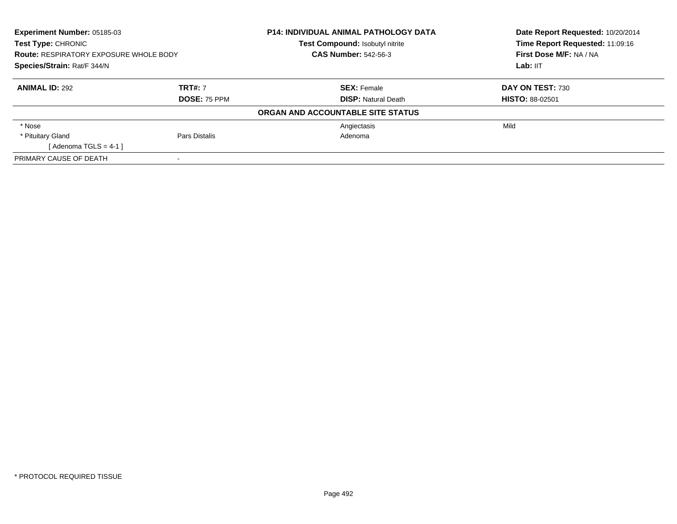| Experiment Number: 05185-03<br>Test Type: CHRONIC<br><b>Route: RESPIRATORY EXPOSURE WHOLE BODY</b> |                | <b>P14: INDIVIDUAL ANIMAL PATHOLOGY DATA</b> | Date Report Requested: 10/20/2014<br>Time Report Requested: 11:09:16 |
|----------------------------------------------------------------------------------------------------|----------------|----------------------------------------------|----------------------------------------------------------------------|
|                                                                                                    |                | Test Compound: Isobutyl nitrite              |                                                                      |
|                                                                                                    |                | <b>CAS Number: 542-56-3</b>                  | First Dose M/F: NA / NA                                              |
| Species/Strain: Rat/F 344/N                                                                        |                |                                              | Lab: IIT                                                             |
| <b>ANIMAL ID: 292</b>                                                                              | <b>TRT#: 7</b> | <b>SEX: Female</b>                           | DAY ON TEST: 730                                                     |
|                                                                                                    | DOSE: 75 PPM   | <b>DISP: Natural Death</b>                   | <b>HISTO: 88-02501</b>                                               |
|                                                                                                    |                | ORGAN AND ACCOUNTABLE SITE STATUS            |                                                                      |
| * Nose                                                                                             |                | Angiectasis                                  | Mild                                                                 |
| * Pituitary Gland                                                                                  | Pars Distalis  | Adenoma                                      |                                                                      |
| [Adenoma TGLS = $4-1$ ]                                                                            |                |                                              |                                                                      |
| PRIMARY CAUSE OF DEATH                                                                             |                |                                              |                                                                      |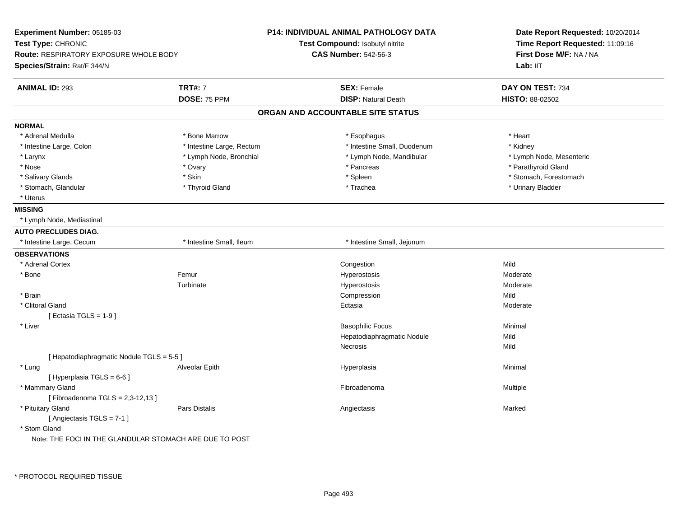| Experiment Number: 05185-03                                         |                           | <b>P14: INDIVIDUAL ANIMAL PATHOLOGY DATA</b> | Date Report Requested: 10/20/2014                          |  |
|---------------------------------------------------------------------|---------------------------|----------------------------------------------|------------------------------------------------------------|--|
| Test Type: CHRONIC<br><b>Route: RESPIRATORY EXPOSURE WHOLE BODY</b> |                           | Test Compound: Isobutyl nitrite              | Time Report Requested: 11:09:16<br>First Dose M/F: NA / NA |  |
|                                                                     |                           | <b>CAS Number: 542-56-3</b>                  |                                                            |  |
| Species/Strain: Rat/F 344/N                                         |                           |                                              | Lab: IIT                                                   |  |
| <b>ANIMAL ID: 293</b>                                               | <b>TRT#: 7</b>            | <b>SEX: Female</b>                           | DAY ON TEST: 734                                           |  |
|                                                                     | DOSE: 75 PPM              | <b>DISP: Natural Death</b>                   | HISTO: 88-02502                                            |  |
|                                                                     |                           | ORGAN AND ACCOUNTABLE SITE STATUS            |                                                            |  |
| <b>NORMAL</b>                                                       |                           |                                              |                                                            |  |
| * Adrenal Medulla                                                   | * Bone Marrow             | * Esophagus                                  | * Heart                                                    |  |
| * Intestine Large, Colon                                            | * Intestine Large, Rectum | * Intestine Small, Duodenum                  | * Kidney                                                   |  |
| * Larynx                                                            | * Lymph Node, Bronchial   | * Lymph Node, Mandibular                     | * Lymph Node, Mesenteric                                   |  |
| * Nose                                                              | * Ovary                   | * Pancreas                                   | * Parathyroid Gland                                        |  |
| * Salivary Glands                                                   | * Skin                    | * Spleen                                     | * Stomach, Forestomach                                     |  |
| * Stomach, Glandular                                                | * Thyroid Gland           | * Trachea                                    | * Urinary Bladder                                          |  |
| * Uterus                                                            |                           |                                              |                                                            |  |
| <b>MISSING</b>                                                      |                           |                                              |                                                            |  |
| * Lymph Node, Mediastinal                                           |                           |                                              |                                                            |  |
| <b>AUTO PRECLUDES DIAG.</b>                                         |                           |                                              |                                                            |  |
| * Intestine Large, Cecum                                            | * Intestine Small, Ileum  | * Intestine Small, Jejunum                   |                                                            |  |
| <b>OBSERVATIONS</b>                                                 |                           |                                              |                                                            |  |
| * Adrenal Cortex                                                    |                           | Congestion                                   | Mild                                                       |  |
| * Bone                                                              | Femur                     | Hyperostosis                                 | Moderate                                                   |  |
|                                                                     | Turbinate                 | Hyperostosis                                 | Moderate                                                   |  |
| * Brain                                                             |                           | Compression                                  | Mild                                                       |  |
| * Clitoral Gland                                                    |                           | Ectasia                                      | Moderate                                                   |  |
| [Ectasia TGLS = $1-9$ ]                                             |                           |                                              |                                                            |  |
| * Liver                                                             |                           | <b>Basophilic Focus</b>                      | Minimal                                                    |  |
|                                                                     |                           | Hepatodiaphragmatic Nodule                   | Mild                                                       |  |
|                                                                     |                           | Necrosis                                     | Mild                                                       |  |
| [ Hepatodiaphragmatic Nodule TGLS = 5-5 ]                           |                           |                                              |                                                            |  |
| * Lung                                                              | Alveolar Epith            | Hyperplasia                                  | Minimal                                                    |  |
| [ Hyperplasia TGLS = 6-6 ]                                          |                           |                                              |                                                            |  |
| * Mammary Gland                                                     |                           | Fibroadenoma                                 | Multiple                                                   |  |
| [Fibroadenoma TGLS = 2,3-12,13]                                     |                           |                                              |                                                            |  |
| * Pituitary Gland                                                   | <b>Pars Distalis</b>      | Angiectasis                                  | Marked                                                     |  |
| [Angiectasis TGLS = 7-1]                                            |                           |                                              |                                                            |  |
| * Stom Gland                                                        |                           |                                              |                                                            |  |
| Note: THE FOCI IN THE GLANDULAR STOMACH ARE DUE TO POST             |                           |                                              |                                                            |  |
|                                                                     |                           |                                              |                                                            |  |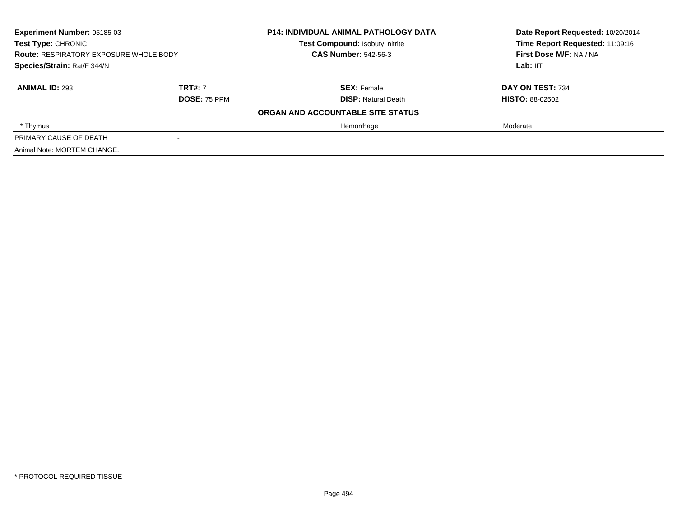| <b>Experiment Number: 05185-03</b><br><b>Test Type: CHRONIC</b><br><b>Route: RESPIRATORY EXPOSURE WHOLE BODY</b><br>Species/Strain: Rat/F 344/N |                     | <b>P14: INDIVIDUAL ANIMAL PATHOLOGY DATA</b><br>Test Compound: Isobutyl nitrite | Date Report Requested: 10/20/2014<br>Time Report Requested: 11:09:16 |
|-------------------------------------------------------------------------------------------------------------------------------------------------|---------------------|---------------------------------------------------------------------------------|----------------------------------------------------------------------|
|                                                                                                                                                 |                     | <b>CAS Number: 542-56-3</b>                                                     | First Dose M/F: NA / NA                                              |
|                                                                                                                                                 |                     |                                                                                 | Lab: IIT                                                             |
| <b>ANIMAL ID: 293</b>                                                                                                                           | <b>TRT#: 7</b>      | <b>SEX: Female</b>                                                              | DAY ON TEST: 734                                                     |
|                                                                                                                                                 | <b>DOSE: 75 PPM</b> | <b>DISP:</b> Natural Death                                                      | <b>HISTO: 88-02502</b>                                               |
|                                                                                                                                                 |                     | ORGAN AND ACCOUNTABLE SITE STATUS                                               |                                                                      |
| * Thymus                                                                                                                                        |                     | Hemorrhage                                                                      | Moderate                                                             |
| PRIMARY CAUSE OF DEATH                                                                                                                          |                     |                                                                                 |                                                                      |
| Animal Note: MORTEM CHANGE.                                                                                                                     |                     |                                                                                 |                                                                      |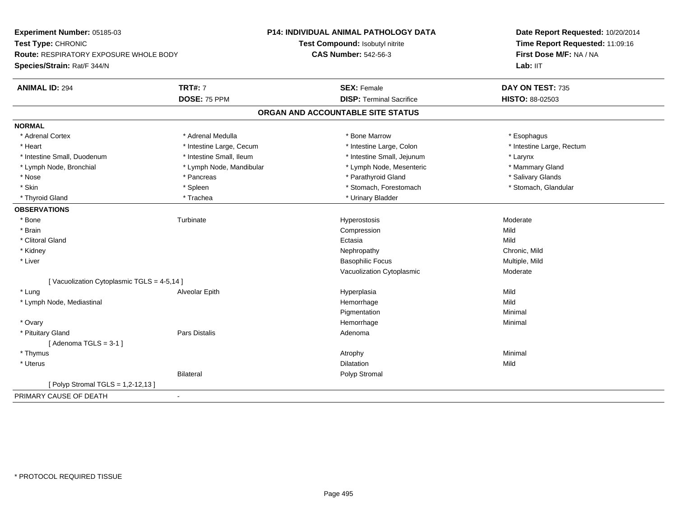| Experiment Number: 05185-03               |                          | P14: INDIVIDUAL ANIMAL PATHOLOGY DATA | Date Report Requested: 10/20/2014<br>Time Report Requested: 11:09:16 |  |
|-------------------------------------------|--------------------------|---------------------------------------|----------------------------------------------------------------------|--|
| Test Type: CHRONIC                        |                          | Test Compound: Isobutyl nitrite       |                                                                      |  |
| Route: RESPIRATORY EXPOSURE WHOLE BODY    |                          | <b>CAS Number: 542-56-3</b>           | First Dose M/F: NA / NA                                              |  |
| Species/Strain: Rat/F 344/N               |                          |                                       | Lab: IIT                                                             |  |
| <b>TRT#: 7</b><br><b>ANIMAL ID: 294</b>   |                          | <b>SEX: Female</b>                    | DAY ON TEST: 735                                                     |  |
|                                           | DOSE: 75 PPM             | <b>DISP: Terminal Sacrifice</b>       | HISTO: 88-02503                                                      |  |
|                                           |                          | ORGAN AND ACCOUNTABLE SITE STATUS     |                                                                      |  |
| <b>NORMAL</b>                             |                          |                                       |                                                                      |  |
| * Adrenal Cortex                          | * Adrenal Medulla        | * Bone Marrow                         | * Esophagus                                                          |  |
| * Heart                                   | * Intestine Large, Cecum | * Intestine Large, Colon              | * Intestine Large, Rectum                                            |  |
| * Intestine Small, Duodenum               | * Intestine Small, Ileum | * Intestine Small, Jejunum            | * Larynx                                                             |  |
| * Lymph Node, Bronchial                   | * Lymph Node, Mandibular | * Lymph Node, Mesenteric              | * Mammary Gland                                                      |  |
| * Nose                                    | * Pancreas               | * Parathyroid Gland                   | * Salivary Glands                                                    |  |
| * Skin<br>* Spleen                        |                          | * Stomach, Forestomach                | * Stomach, Glandular                                                 |  |
| * Thyroid Gland                           | * Trachea                | * Urinary Bladder                     |                                                                      |  |
| <b>OBSERVATIONS</b>                       |                          |                                       |                                                                      |  |
| * Bone<br>Turbinate                       |                          | Hyperostosis                          | Moderate                                                             |  |
| * Brain                                   |                          | Compression                           | Mild                                                                 |  |
| * Clitoral Gland                          |                          | Ectasia                               | Mild                                                                 |  |
| * Kidney                                  |                          | Nephropathy                           | Chronic, Mild                                                        |  |
| * Liver                                   |                          | <b>Basophilic Focus</b>               | Multiple, Mild                                                       |  |
|                                           |                          | Vacuolization Cytoplasmic             | Moderate                                                             |  |
| [Vacuolization Cytoplasmic TGLS = 4-5,14] |                          |                                       |                                                                      |  |
| * Lung                                    | Alveolar Epith           | Hyperplasia                           | Mild                                                                 |  |
| * Lymph Node, Mediastinal                 |                          | Hemorrhage                            | Mild                                                                 |  |
|                                           |                          | Pigmentation                          | Minimal                                                              |  |
| * Ovary                                   |                          | Hemorrhage                            | Minimal                                                              |  |
| * Pituitary Gland                         | Pars Distalis            | Adenoma                               |                                                                      |  |
| [Adenoma TGLS = $3-1$ ]                   |                          |                                       |                                                                      |  |
| * Thymus                                  |                          | Atrophy                               | Minimal                                                              |  |
| $*$ Uterus                                |                          | Dilatation                            | Mild                                                                 |  |
| <b>Bilateral</b>                          |                          | Polyp Stromal                         |                                                                      |  |
| [ Polyp Stromal TGLS = 1,2-12,13 ]        |                          |                                       |                                                                      |  |
| PRIMARY CAUSE OF DEATH<br>$\blacksquare$  |                          |                                       |                                                                      |  |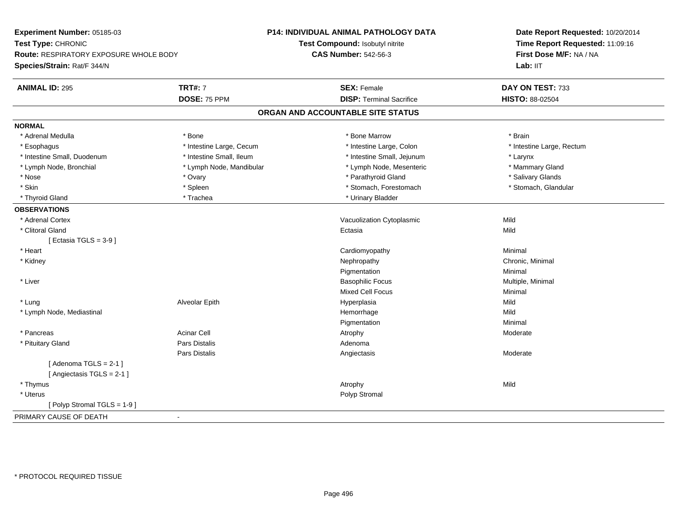| Experiment Number: 05185-03                         |                          | P14: INDIVIDUAL ANIMAL PATHOLOGY DATA | Date Report Requested: 10/20/2014                                      |
|-----------------------------------------------------|--------------------------|---------------------------------------|------------------------------------------------------------------------|
| Test Type: CHRONIC                                  |                          | Test Compound: Isobutyl nitrite       | Time Report Requested: 11:09:16<br>First Dose M/F: NA / NA<br>Lab: IIT |
| Route: RESPIRATORY EXPOSURE WHOLE BODY              |                          | <b>CAS Number: 542-56-3</b>           |                                                                        |
| Species/Strain: Rat/F 344/N                         |                          |                                       |                                                                        |
| <b>ANIMAL ID: 295</b>                               | <b>TRT#: 7</b>           | <b>SEX: Female</b>                    | DAY ON TEST: 733                                                       |
|                                                     | DOSE: 75 PPM             | <b>DISP: Terminal Sacrifice</b>       | HISTO: 88-02504                                                        |
|                                                     |                          | ORGAN AND ACCOUNTABLE SITE STATUS     |                                                                        |
| <b>NORMAL</b>                                       |                          |                                       |                                                                        |
| * Adrenal Medulla                                   | * Bone                   | * Bone Marrow                         | * Brain                                                                |
| * Esophagus                                         | * Intestine Large, Cecum | * Intestine Large, Colon              | * Intestine Large, Rectum                                              |
| * Intestine Small, Duodenum                         | * Intestine Small, Ileum | * Intestine Small, Jejunum            | * Larynx                                                               |
| * Lymph Node, Bronchial                             | * Lymph Node, Mandibular | * Lymph Node, Mesenteric              | * Mammary Gland                                                        |
| * Nose                                              | * Ovary                  | * Parathyroid Gland                   | * Salivary Glands                                                      |
| * Skin                                              | * Spleen                 | * Stomach, Forestomach                | * Stomach, Glandular                                                   |
| * Thyroid Gland                                     | * Trachea                | * Urinary Bladder                     |                                                                        |
| <b>OBSERVATIONS</b>                                 |                          |                                       |                                                                        |
| * Adrenal Cortex                                    |                          | Vacuolization Cytoplasmic             | Mild                                                                   |
| * Clitoral Gland                                    |                          | Ectasia                               | Mild                                                                   |
| [ Ectasia TGLS = $3-9$ ]                            |                          |                                       |                                                                        |
| * Heart                                             |                          | Cardiomyopathy                        | Minimal                                                                |
| * Kidney                                            |                          | Nephropathy                           | Chronic, Minimal                                                       |
|                                                     |                          | Pigmentation                          | Minimal                                                                |
| * Liver                                             |                          | <b>Basophilic Focus</b>               | Multiple, Minimal                                                      |
|                                                     |                          | <b>Mixed Cell Focus</b>               | Minimal                                                                |
| * Lung                                              | Alveolar Epith           | Hyperplasia                           | Mild                                                                   |
| * Lymph Node, Mediastinal                           |                          | Hemorrhage                            | Mild                                                                   |
|                                                     |                          | Pigmentation                          | Minimal                                                                |
| * Pancreas                                          | <b>Acinar Cell</b>       | Atrophy                               | Moderate                                                               |
| * Pituitary Gland                                   | Pars Distalis            | Adenoma                               |                                                                        |
|                                                     | <b>Pars Distalis</b>     | Angiectasis                           | Moderate                                                               |
| [Adenoma TGLS = $2-1$ ]<br>[Angiectasis TGLS = 2-1] |                          |                                       |                                                                        |
| * Thymus                                            |                          | Atrophy                               | Mild                                                                   |
| * Uterus                                            |                          | Polyp Stromal                         |                                                                        |
| [Polyp Stromal TGLS = 1-9]                          |                          |                                       |                                                                        |
| PRIMARY CAUSE OF DEATH                              |                          |                                       |                                                                        |
|                                                     |                          |                                       |                                                                        |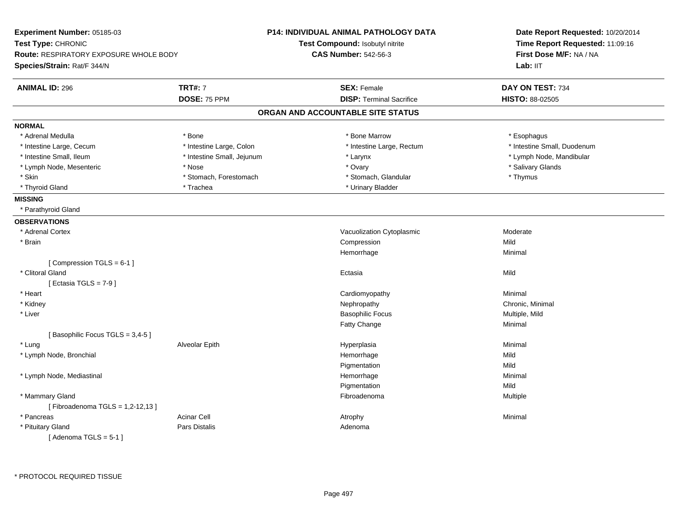| Experiment Number: 05185-03<br>Test Type: CHRONIC<br><b>Route: RESPIRATORY EXPOSURE WHOLE BODY</b> |                            | <b>P14: INDIVIDUAL ANIMAL PATHOLOGY DATA</b><br>Test Compound: Isobutyl nitrite<br><b>CAS Number: 542-56-3</b> | Date Report Requested: 10/20/2014<br>Time Report Requested: 11:09:16<br>First Dose M/F: NA / NA |  |
|----------------------------------------------------------------------------------------------------|----------------------------|----------------------------------------------------------------------------------------------------------------|-------------------------------------------------------------------------------------------------|--|
| Species/Strain: Rat/F 344/N                                                                        |                            |                                                                                                                | Lab: IIT                                                                                        |  |
| <b>ANIMAL ID: 296</b>                                                                              | <b>TRT#: 7</b>             | <b>SEX: Female</b>                                                                                             | DAY ON TEST: 734                                                                                |  |
|                                                                                                    | DOSE: 75 PPM               | <b>DISP: Terminal Sacrifice</b>                                                                                | HISTO: 88-02505                                                                                 |  |
|                                                                                                    |                            | ORGAN AND ACCOUNTABLE SITE STATUS                                                                              |                                                                                                 |  |
| <b>NORMAL</b>                                                                                      |                            |                                                                                                                |                                                                                                 |  |
| * Adrenal Medulla                                                                                  | * Bone                     | * Bone Marrow                                                                                                  | * Esophagus                                                                                     |  |
| * Intestine Large, Cecum                                                                           | * Intestine Large, Colon   | * Intestine Large, Rectum                                                                                      | * Intestine Small, Duodenum                                                                     |  |
| * Intestine Small, Ileum                                                                           | * Intestine Small, Jejunum | * Larynx                                                                                                       | * Lymph Node, Mandibular                                                                        |  |
| * Lymph Node, Mesenteric                                                                           | * Nose                     | * Ovary                                                                                                        | * Salivary Glands                                                                               |  |
| * Skin                                                                                             | * Stomach, Forestomach     | * Stomach, Glandular                                                                                           | * Thymus                                                                                        |  |
| * Thyroid Gland                                                                                    | * Trachea                  | * Urinary Bladder                                                                                              |                                                                                                 |  |
| <b>MISSING</b>                                                                                     |                            |                                                                                                                |                                                                                                 |  |
| * Parathyroid Gland                                                                                |                            |                                                                                                                |                                                                                                 |  |
| <b>OBSERVATIONS</b>                                                                                |                            |                                                                                                                |                                                                                                 |  |
| * Adrenal Cortex                                                                                   |                            | Vacuolization Cytoplasmic                                                                                      | Moderate                                                                                        |  |
| * Brain                                                                                            |                            | Compression                                                                                                    | Mild                                                                                            |  |
|                                                                                                    |                            | Hemorrhage                                                                                                     | Minimal                                                                                         |  |
| [Compression TGLS = $6-1$ ]                                                                        |                            |                                                                                                                |                                                                                                 |  |
| * Clitoral Gland                                                                                   |                            | Ectasia                                                                                                        | Mild                                                                                            |  |
| [ Ectasia TGLS = $7-9$ ]                                                                           |                            |                                                                                                                |                                                                                                 |  |
| * Heart                                                                                            |                            | Cardiomyopathy                                                                                                 | Minimal                                                                                         |  |
| * Kidney                                                                                           |                            | Nephropathy                                                                                                    | Chronic, Minimal                                                                                |  |
| * Liver                                                                                            |                            | <b>Basophilic Focus</b>                                                                                        | Multiple, Mild                                                                                  |  |
|                                                                                                    |                            | Fatty Change                                                                                                   | Minimal                                                                                         |  |
| [Basophilic Focus TGLS = 3,4-5]                                                                    |                            |                                                                                                                |                                                                                                 |  |
| * Lung                                                                                             | Alveolar Epith             | Hyperplasia                                                                                                    | Minimal                                                                                         |  |
| * Lymph Node, Bronchial                                                                            |                            | Hemorrhage                                                                                                     | Mild                                                                                            |  |
|                                                                                                    |                            | Pigmentation                                                                                                   | Mild                                                                                            |  |
| * Lymph Node, Mediastinal                                                                          |                            | Hemorrhage                                                                                                     | Minimal                                                                                         |  |
|                                                                                                    |                            | Pigmentation                                                                                                   | Mild                                                                                            |  |
| * Mammary Gland                                                                                    |                            | Fibroadenoma                                                                                                   | Multiple                                                                                        |  |
| [Fibroadenoma TGLS = 1,2-12,13]                                                                    |                            |                                                                                                                |                                                                                                 |  |
| * Pancreas                                                                                         | <b>Acinar Cell</b>         | Atrophy                                                                                                        | Minimal                                                                                         |  |
| * Pituitary Gland                                                                                  | <b>Pars Distalis</b>       | Adenoma                                                                                                        |                                                                                                 |  |
| [Adenoma TGLS = $5-1$ ]                                                                            |                            |                                                                                                                |                                                                                                 |  |
|                                                                                                    |                            |                                                                                                                |                                                                                                 |  |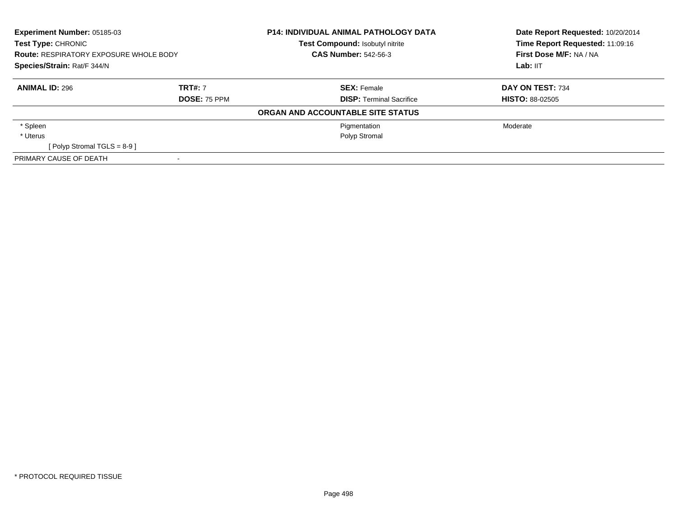| <b>Experiment Number: 05185-03</b><br><b>Test Type: CHRONIC</b><br><b>Route: RESPIRATORY EXPOSURE WHOLE BODY</b><br>Species/Strain: Rat/F 344/N |                     | <b>P14: INDIVIDUAL ANIMAL PATHOLOGY DATA</b><br>Test Compound: Isobutyl nitrite<br><b>CAS Number: 542-56-3</b> | Date Report Requested: 10/20/2014<br>Time Report Requested: 11:09:16<br>First Dose M/F: NA / NA |
|-------------------------------------------------------------------------------------------------------------------------------------------------|---------------------|----------------------------------------------------------------------------------------------------------------|-------------------------------------------------------------------------------------------------|
|                                                                                                                                                 |                     |                                                                                                                | Lab: IIT                                                                                        |
| <b>ANIMAL ID: 296</b>                                                                                                                           | <b>TRT#: 7</b>      | <b>SEX: Female</b>                                                                                             | <b>DAY ON TEST: 734</b>                                                                         |
|                                                                                                                                                 | <b>DOSE: 75 PPM</b> | <b>DISP:</b> Terminal Sacrifice                                                                                | <b>HISTO: 88-02505</b>                                                                          |
|                                                                                                                                                 |                     | ORGAN AND ACCOUNTABLE SITE STATUS                                                                              |                                                                                                 |
| * Spleen                                                                                                                                        |                     | Pigmentation                                                                                                   | Moderate                                                                                        |
| * Uterus                                                                                                                                        |                     | Polyp Stromal                                                                                                  |                                                                                                 |
| [ Polyp Stromal TGLS = $8-9$ ]                                                                                                                  |                     |                                                                                                                |                                                                                                 |
| PRIMARY CAUSE OF DEATH                                                                                                                          |                     |                                                                                                                |                                                                                                 |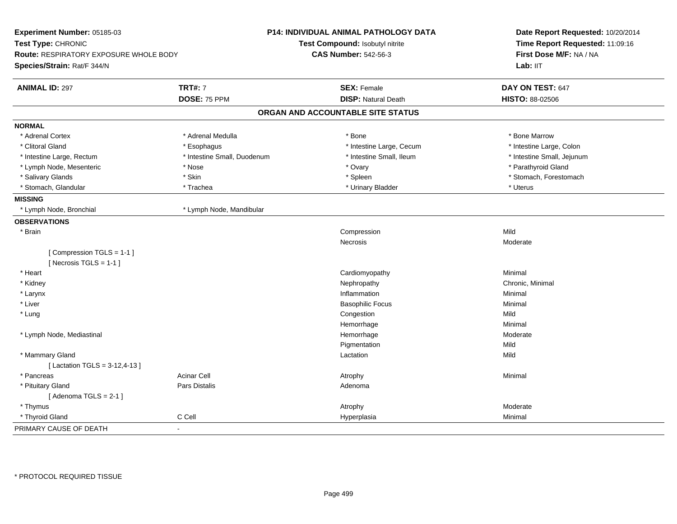| Experiment Number: 05185-03                           |                             | <b>P14: INDIVIDUAL ANIMAL PATHOLOGY DATA</b> | Date Report Requested: 10/20/2014<br>Time Report Requested: 11:09:16 |  |
|-------------------------------------------------------|-----------------------------|----------------------------------------------|----------------------------------------------------------------------|--|
| Test Type: CHRONIC                                    |                             | Test Compound: Isobutyl nitrite              |                                                                      |  |
| <b>Route: RESPIRATORY EXPOSURE WHOLE BODY</b>         |                             | <b>CAS Number: 542-56-3</b>                  | First Dose M/F: NA / NA                                              |  |
| Species/Strain: Rat/F 344/N                           |                             |                                              | Lab: IIT                                                             |  |
| <b>ANIMAL ID: 297</b>                                 | <b>TRT#: 7</b>              | <b>SEX: Female</b>                           | DAY ON TEST: 647                                                     |  |
|                                                       | DOSE: 75 PPM                | <b>DISP: Natural Death</b>                   | HISTO: 88-02506                                                      |  |
|                                                       |                             | ORGAN AND ACCOUNTABLE SITE STATUS            |                                                                      |  |
| <b>NORMAL</b>                                         |                             |                                              |                                                                      |  |
| * Adrenal Cortex                                      | * Adrenal Medulla           | * Bone                                       | * Bone Marrow                                                        |  |
| * Clitoral Gland                                      | * Esophagus                 | * Intestine Large, Cecum                     | * Intestine Large, Colon                                             |  |
| * Intestine Large, Rectum                             | * Intestine Small, Duodenum | * Intestine Small, Ileum                     | * Intestine Small, Jejunum                                           |  |
| * Lymph Node, Mesenteric                              | * Nose                      | * Ovary                                      | * Parathyroid Gland                                                  |  |
| * Salivary Glands                                     | * Skin                      | * Spleen                                     | * Stomach, Forestomach                                               |  |
| * Stomach, Glandular                                  | * Trachea                   | * Urinary Bladder                            | * Uterus                                                             |  |
| <b>MISSING</b>                                        |                             |                                              |                                                                      |  |
| * Lymph Node, Bronchial                               | * Lymph Node, Mandibular    |                                              |                                                                      |  |
| <b>OBSERVATIONS</b>                                   |                             |                                              |                                                                      |  |
| * Brain                                               |                             | Compression                                  | Mild                                                                 |  |
|                                                       |                             | Necrosis                                     | Moderate                                                             |  |
| [Compression TGLS = 1-1]<br>[ Necrosis $TGLS = 1-1$ ] |                             |                                              |                                                                      |  |
| * Heart                                               |                             | Cardiomyopathy                               | Minimal                                                              |  |
| * Kidney                                              |                             | Nephropathy                                  | Chronic, Minimal                                                     |  |
| * Larynx                                              |                             | Inflammation                                 | Minimal                                                              |  |
| * Liver                                               |                             | <b>Basophilic Focus</b>                      | Minimal                                                              |  |
| * Lung                                                |                             | Congestion                                   | Mild                                                                 |  |
|                                                       |                             | Hemorrhage                                   | Minimal                                                              |  |
| * Lymph Node, Mediastinal                             |                             | Hemorrhage                                   | Moderate                                                             |  |
|                                                       |                             | Pigmentation                                 | Mild                                                                 |  |
| * Mammary Gland                                       |                             | Lactation                                    | Mild                                                                 |  |
| [Lactation TGLS = 3-12,4-13]                          |                             |                                              |                                                                      |  |
| * Pancreas                                            | <b>Acinar Cell</b>          | Atrophy                                      | Minimal                                                              |  |
| * Pituitary Gland                                     | Pars Distalis               | Adenoma                                      |                                                                      |  |
| [Adenoma TGLS = $2-1$ ]                               |                             |                                              |                                                                      |  |
| * Thymus                                              |                             | Atrophy                                      | Moderate                                                             |  |
| * Thyroid Gland                                       | C Cell                      | Hyperplasia                                  | Minimal                                                              |  |
| PRIMARY CAUSE OF DEATH                                | $\sim$                      |                                              |                                                                      |  |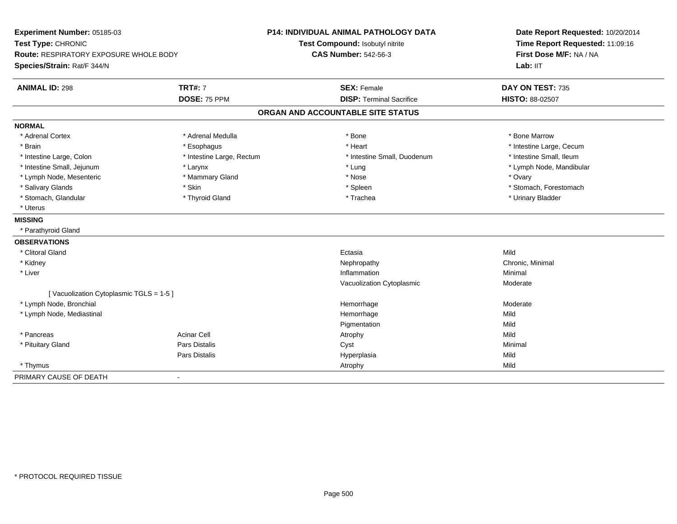| Experiment Number: 05185-03<br>Test Type: CHRONIC<br>Route: RESPIRATORY EXPOSURE WHOLE BODY |                           | <b>P14: INDIVIDUAL ANIMAL PATHOLOGY DATA</b> | Date Report Requested: 10/20/2014<br>Time Report Requested: 11:09:16 |
|---------------------------------------------------------------------------------------------|---------------------------|----------------------------------------------|----------------------------------------------------------------------|
|                                                                                             |                           | Test Compound: Isobutyl nitrite              |                                                                      |
|                                                                                             |                           | <b>CAS Number: 542-56-3</b>                  | First Dose M/F: NA / NA                                              |
| Species/Strain: Rat/F 344/N                                                                 |                           |                                              | Lab: IIT                                                             |
| <b>ANIMAL ID: 298</b>                                                                       | <b>TRT#: 7</b>            | <b>SEX: Female</b>                           | DAY ON TEST: 735                                                     |
|                                                                                             | DOSE: 75 PPM              | <b>DISP: Terminal Sacrifice</b>              | HISTO: 88-02507                                                      |
|                                                                                             |                           | ORGAN AND ACCOUNTABLE SITE STATUS            |                                                                      |
| <b>NORMAL</b>                                                                               |                           |                                              |                                                                      |
| * Adrenal Cortex                                                                            | * Adrenal Medulla         | $*$ Bone                                     | * Bone Marrow                                                        |
| * Brain                                                                                     | * Esophagus               | * Heart                                      | * Intestine Large, Cecum                                             |
| * Intestine Large, Colon                                                                    | * Intestine Large, Rectum | * Intestine Small, Duodenum                  | * Intestine Small, Ileum                                             |
| * Intestine Small, Jejunum                                                                  | * Larynx                  | * Lung                                       | * Lymph Node, Mandibular                                             |
| * Lymph Node, Mesenteric                                                                    | * Mammary Gland           | * Nose                                       | * Ovary                                                              |
| * Salivary Glands                                                                           | * Skin                    | * Spleen                                     | * Stomach, Forestomach                                               |
| * Stomach, Glandular                                                                        | * Thyroid Gland           | * Trachea                                    | * Urinary Bladder                                                    |
| * Uterus                                                                                    |                           |                                              |                                                                      |
| <b>MISSING</b>                                                                              |                           |                                              |                                                                      |
| * Parathyroid Gland                                                                         |                           |                                              |                                                                      |
| <b>OBSERVATIONS</b>                                                                         |                           |                                              |                                                                      |
| * Clitoral Gland                                                                            |                           | Ectasia                                      | Mild                                                                 |
| * Kidney                                                                                    |                           | Nephropathy                                  | Chronic, Minimal                                                     |
| * Liver                                                                                     |                           | Inflammation                                 | Minimal                                                              |
|                                                                                             |                           | Vacuolization Cytoplasmic                    | Moderate                                                             |
| [Vacuolization Cytoplasmic TGLS = 1-5]                                                      |                           |                                              |                                                                      |
| * Lymph Node, Bronchial                                                                     |                           | Hemorrhage                                   | Moderate                                                             |
| * Lymph Node, Mediastinal                                                                   |                           | Hemorrhage                                   | Mild                                                                 |
|                                                                                             |                           | Pigmentation                                 | Mild                                                                 |
| * Pancreas                                                                                  | <b>Acinar Cell</b>        | Atrophy                                      | Mild                                                                 |
| * Pituitary Gland                                                                           | Pars Distalis             | Cyst                                         | Minimal                                                              |
|                                                                                             | Pars Distalis             | Hyperplasia                                  | Mild                                                                 |
| * Thymus                                                                                    |                           | Atrophy                                      | Mild                                                                 |
| PRIMARY CAUSE OF DEATH                                                                      |                           |                                              |                                                                      |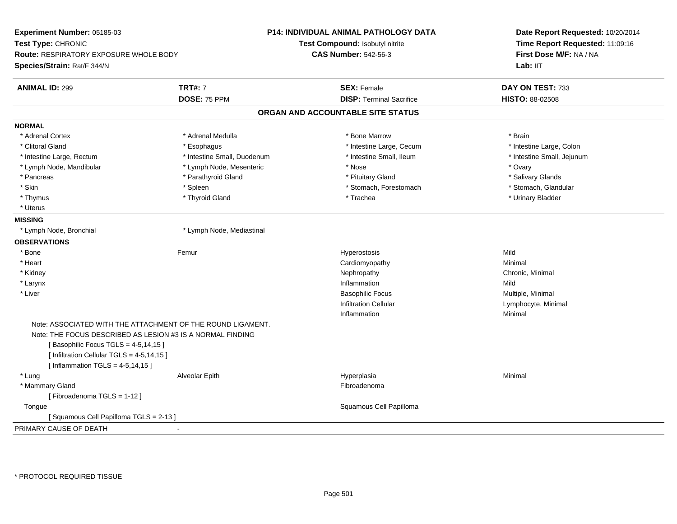| Experiment Number: 05185-03                                |                                                             | <b>P14: INDIVIDUAL ANIMAL PATHOLOGY DATA</b> | Date Report Requested: 10/20/2014<br>Time Report Requested: 11:09:16<br>First Dose M/F: NA / NA |
|------------------------------------------------------------|-------------------------------------------------------------|----------------------------------------------|-------------------------------------------------------------------------------------------------|
| Test Type: CHRONIC                                         |                                                             | Test Compound: Isobutyl nitrite              |                                                                                                 |
| Route: RESPIRATORY EXPOSURE WHOLE BODY                     |                                                             | <b>CAS Number: 542-56-3</b>                  |                                                                                                 |
| Species/Strain: Rat/F 344/N                                |                                                             |                                              | Lab: IIT                                                                                        |
| <b>ANIMAL ID: 299</b>                                      | <b>TRT#: 7</b>                                              | <b>SEX: Female</b>                           | DAY ON TEST: 733                                                                                |
|                                                            | DOSE: 75 PPM                                                | <b>DISP: Terminal Sacrifice</b>              | HISTO: 88-02508                                                                                 |
|                                                            |                                                             | ORGAN AND ACCOUNTABLE SITE STATUS            |                                                                                                 |
| <b>NORMAL</b>                                              |                                                             |                                              |                                                                                                 |
| * Adrenal Cortex                                           | * Adrenal Medulla                                           | * Bone Marrow                                | * Brain                                                                                         |
| * Clitoral Gland                                           | * Esophagus                                                 | * Intestine Large, Cecum                     | * Intestine Large, Colon                                                                        |
| * Intestine Large, Rectum                                  | * Intestine Small, Duodenum                                 | * Intestine Small, Ileum                     | * Intestine Small, Jejunum                                                                      |
| * Lymph Node, Mandibular                                   | * Lymph Node, Mesenteric                                    | * Nose                                       | * Ovary                                                                                         |
| * Pancreas                                                 | * Parathyroid Gland                                         | * Pituitary Gland                            | * Salivary Glands                                                                               |
| * Skin                                                     | * Spleen                                                    | * Stomach, Forestomach                       | * Stomach, Glandular                                                                            |
| * Thymus                                                   | * Thyroid Gland                                             | * Trachea                                    | * Urinary Bladder                                                                               |
| * Uterus                                                   |                                                             |                                              |                                                                                                 |
| <b>MISSING</b>                                             |                                                             |                                              |                                                                                                 |
| * Lymph Node, Bronchial                                    | * Lymph Node, Mediastinal                                   |                                              |                                                                                                 |
| <b>OBSERVATIONS</b>                                        |                                                             |                                              |                                                                                                 |
| * Bone                                                     | Femur                                                       | Hyperostosis                                 | Mild                                                                                            |
| * Heart                                                    |                                                             | Cardiomyopathy                               | Minimal                                                                                         |
| * Kidney                                                   |                                                             | Nephropathy                                  | Chronic, Minimal                                                                                |
| * Larynx                                                   |                                                             | Inflammation                                 | Mild                                                                                            |
| * Liver                                                    |                                                             | <b>Basophilic Focus</b>                      | Multiple, Minimal                                                                               |
|                                                            |                                                             | <b>Infiltration Cellular</b>                 | Lymphocyte, Minimal                                                                             |
|                                                            |                                                             | Inflammation                                 | Minimal                                                                                         |
|                                                            | Note: ASSOCIATED WITH THE ATTACHMENT OF THE ROUND LIGAMENT. |                                              |                                                                                                 |
| Note: THE FOCUS DESCRIBED AS LESION #3 IS A NORMAL FINDING |                                                             |                                              |                                                                                                 |
| [Basophilic Focus TGLS = 4-5,14,15]                        |                                                             |                                              |                                                                                                 |
| [ Infiltration Cellular TGLS = 4-5,14,15 ]                 |                                                             |                                              |                                                                                                 |
| [Inflammation TGLS = $4-5,14,15$ ]                         |                                                             |                                              |                                                                                                 |
| * Lung                                                     | Alveolar Epith                                              | Hyperplasia                                  | Minimal                                                                                         |
| * Mammary Gland                                            |                                                             | Fibroadenoma                                 |                                                                                                 |
| [Fibroadenoma TGLS = 1-12]                                 |                                                             |                                              |                                                                                                 |
| Tongue                                                     |                                                             | Squamous Cell Papilloma                      |                                                                                                 |
| [Squamous Cell Papilloma TGLS = 2-13]                      |                                                             |                                              |                                                                                                 |
| PRIMARY CAUSE OF DEATH                                     |                                                             |                                              |                                                                                                 |
|                                                            |                                                             |                                              |                                                                                                 |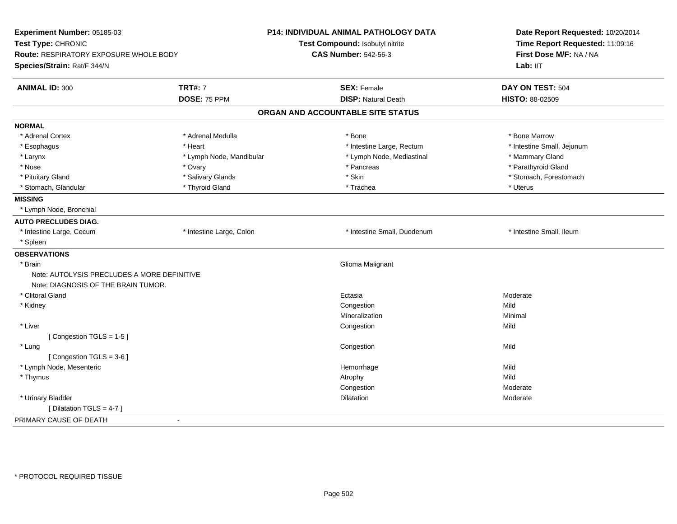| <b>CAS Number: 542-56-3</b><br>First Dose M/F: NA / NA<br>Route: RESPIRATORY EXPOSURE WHOLE BODY<br>Lab: IIT<br><b>TRT#: 7</b><br><b>SEX: Female</b><br>DAY ON TEST: 504<br>DOSE: 75 PPM<br><b>DISP: Natural Death</b><br>HISTO: 88-02509<br>ORGAN AND ACCOUNTABLE SITE STATUS<br>* Adrenal Cortex<br>* Adrenal Medulla<br>* Bone<br>* Bone Marrow<br>* Intestine Large, Rectum<br>* Intestine Small, Jejunum<br>* Esophagus<br>* Heart<br>* Lymph Node, Mediastinal<br>* Mammary Gland<br>* Larynx<br>* Lymph Node, Mandibular<br>* Parathyroid Gland<br>* Nose<br>* Ovary<br>* Pancreas<br>* Skin<br>* Pituitary Gland<br>* Salivary Glands<br>* Stomach, Forestomach<br>* Stomach, Glandular<br>* Thyroid Gland<br>* Trachea<br>* Uterus<br>* Lymph Node, Bronchial<br>* Intestine Large, Colon<br>* Intestine Small, Ileum<br>* Intestine Large, Cecum<br>* Intestine Small, Duodenum<br>* Spleen<br>Glioma Malignant<br>* Brain<br>Note: AUTOLYSIS PRECLUDES A MORE DEFINITIVE<br>Note: DIAGNOSIS OF THE BRAIN TUMOR.<br>* Clitoral Gland<br>Ectasia<br>Moderate<br>Mild<br>* Kidney<br>Congestion<br>Mineralization<br>Minimal<br>* Liver<br>Congestion<br>Mild<br>[Congestion TGLS = 1-5]<br>Mild<br>* Lung<br>Congestion<br>[Congestion TGLS = 3-6]<br>* Lymph Node, Mesenteric<br>Hemorrhage<br>Mild<br>Mild<br>* Thymus<br>Atrophy<br>Congestion<br>Moderate<br>* Urinary Bladder<br>Dilatation<br>Moderate<br>[Dilatation TGLS = 4-7]<br>$\blacksquare$ | Experiment Number: 05185-03 | P14: INDIVIDUAL ANIMAL PATHOLOGY DATA | Date Report Requested: 10/20/2014<br>Time Report Requested: 11:09:16 |
|--------------------------------------------------------------------------------------------------------------------------------------------------------------------------------------------------------------------------------------------------------------------------------------------------------------------------------------------------------------------------------------------------------------------------------------------------------------------------------------------------------------------------------------------------------------------------------------------------------------------------------------------------------------------------------------------------------------------------------------------------------------------------------------------------------------------------------------------------------------------------------------------------------------------------------------------------------------------------------------------------------------------------------------------------------------------------------------------------------------------------------------------------------------------------------------------------------------------------------------------------------------------------------------------------------------------------------------------------------------------------------------------------------------------------------------------------------------------|-----------------------------|---------------------------------------|----------------------------------------------------------------------|
|                                                                                                                                                                                                                                                                                                                                                                                                                                                                                                                                                                                                                                                                                                                                                                                                                                                                                                                                                                                                                                                                                                                                                                                                                                                                                                                                                                                                                                                                    | Test Type: CHRONIC          | Test Compound: Isobutyl nitrite       |                                                                      |
|                                                                                                                                                                                                                                                                                                                                                                                                                                                                                                                                                                                                                                                                                                                                                                                                                                                                                                                                                                                                                                                                                                                                                                                                                                                                                                                                                                                                                                                                    |                             |                                       |                                                                      |
|                                                                                                                                                                                                                                                                                                                                                                                                                                                                                                                                                                                                                                                                                                                                                                                                                                                                                                                                                                                                                                                                                                                                                                                                                                                                                                                                                                                                                                                                    | Species/Strain: Rat/F 344/N |                                       |                                                                      |
|                                                                                                                                                                                                                                                                                                                                                                                                                                                                                                                                                                                                                                                                                                                                                                                                                                                                                                                                                                                                                                                                                                                                                                                                                                                                                                                                                                                                                                                                    | <b>ANIMAL ID: 300</b>       |                                       |                                                                      |
|                                                                                                                                                                                                                                                                                                                                                                                                                                                                                                                                                                                                                                                                                                                                                                                                                                                                                                                                                                                                                                                                                                                                                                                                                                                                                                                                                                                                                                                                    |                             |                                       |                                                                      |
|                                                                                                                                                                                                                                                                                                                                                                                                                                                                                                                                                                                                                                                                                                                                                                                                                                                                                                                                                                                                                                                                                                                                                                                                                                                                                                                                                                                                                                                                    |                             |                                       |                                                                      |
|                                                                                                                                                                                                                                                                                                                                                                                                                                                                                                                                                                                                                                                                                                                                                                                                                                                                                                                                                                                                                                                                                                                                                                                                                                                                                                                                                                                                                                                                    | <b>NORMAL</b>               |                                       |                                                                      |
|                                                                                                                                                                                                                                                                                                                                                                                                                                                                                                                                                                                                                                                                                                                                                                                                                                                                                                                                                                                                                                                                                                                                                                                                                                                                                                                                                                                                                                                                    |                             |                                       |                                                                      |
|                                                                                                                                                                                                                                                                                                                                                                                                                                                                                                                                                                                                                                                                                                                                                                                                                                                                                                                                                                                                                                                                                                                                                                                                                                                                                                                                                                                                                                                                    |                             |                                       |                                                                      |
|                                                                                                                                                                                                                                                                                                                                                                                                                                                                                                                                                                                                                                                                                                                                                                                                                                                                                                                                                                                                                                                                                                                                                                                                                                                                                                                                                                                                                                                                    |                             |                                       |                                                                      |
|                                                                                                                                                                                                                                                                                                                                                                                                                                                                                                                                                                                                                                                                                                                                                                                                                                                                                                                                                                                                                                                                                                                                                                                                                                                                                                                                                                                                                                                                    |                             |                                       |                                                                      |
|                                                                                                                                                                                                                                                                                                                                                                                                                                                                                                                                                                                                                                                                                                                                                                                                                                                                                                                                                                                                                                                                                                                                                                                                                                                                                                                                                                                                                                                                    |                             |                                       |                                                                      |
|                                                                                                                                                                                                                                                                                                                                                                                                                                                                                                                                                                                                                                                                                                                                                                                                                                                                                                                                                                                                                                                                                                                                                                                                                                                                                                                                                                                                                                                                    |                             |                                       |                                                                      |
|                                                                                                                                                                                                                                                                                                                                                                                                                                                                                                                                                                                                                                                                                                                                                                                                                                                                                                                                                                                                                                                                                                                                                                                                                                                                                                                                                                                                                                                                    | <b>MISSING</b>              |                                       |                                                                      |
|                                                                                                                                                                                                                                                                                                                                                                                                                                                                                                                                                                                                                                                                                                                                                                                                                                                                                                                                                                                                                                                                                                                                                                                                                                                                                                                                                                                                                                                                    |                             |                                       |                                                                      |
|                                                                                                                                                                                                                                                                                                                                                                                                                                                                                                                                                                                                                                                                                                                                                                                                                                                                                                                                                                                                                                                                                                                                                                                                                                                                                                                                                                                                                                                                    | <b>AUTO PRECLUDES DIAG.</b> |                                       |                                                                      |
|                                                                                                                                                                                                                                                                                                                                                                                                                                                                                                                                                                                                                                                                                                                                                                                                                                                                                                                                                                                                                                                                                                                                                                                                                                                                                                                                                                                                                                                                    |                             |                                       |                                                                      |
|                                                                                                                                                                                                                                                                                                                                                                                                                                                                                                                                                                                                                                                                                                                                                                                                                                                                                                                                                                                                                                                                                                                                                                                                                                                                                                                                                                                                                                                                    |                             |                                       |                                                                      |
|                                                                                                                                                                                                                                                                                                                                                                                                                                                                                                                                                                                                                                                                                                                                                                                                                                                                                                                                                                                                                                                                                                                                                                                                                                                                                                                                                                                                                                                                    | <b>OBSERVATIONS</b>         |                                       |                                                                      |
|                                                                                                                                                                                                                                                                                                                                                                                                                                                                                                                                                                                                                                                                                                                                                                                                                                                                                                                                                                                                                                                                                                                                                                                                                                                                                                                                                                                                                                                                    |                             |                                       |                                                                      |
|                                                                                                                                                                                                                                                                                                                                                                                                                                                                                                                                                                                                                                                                                                                                                                                                                                                                                                                                                                                                                                                                                                                                                                                                                                                                                                                                                                                                                                                                    |                             |                                       |                                                                      |
|                                                                                                                                                                                                                                                                                                                                                                                                                                                                                                                                                                                                                                                                                                                                                                                                                                                                                                                                                                                                                                                                                                                                                                                                                                                                                                                                                                                                                                                                    |                             |                                       |                                                                      |
|                                                                                                                                                                                                                                                                                                                                                                                                                                                                                                                                                                                                                                                                                                                                                                                                                                                                                                                                                                                                                                                                                                                                                                                                                                                                                                                                                                                                                                                                    |                             |                                       |                                                                      |
|                                                                                                                                                                                                                                                                                                                                                                                                                                                                                                                                                                                                                                                                                                                                                                                                                                                                                                                                                                                                                                                                                                                                                                                                                                                                                                                                                                                                                                                                    |                             |                                       |                                                                      |
|                                                                                                                                                                                                                                                                                                                                                                                                                                                                                                                                                                                                                                                                                                                                                                                                                                                                                                                                                                                                                                                                                                                                                                                                                                                                                                                                                                                                                                                                    |                             |                                       |                                                                      |
|                                                                                                                                                                                                                                                                                                                                                                                                                                                                                                                                                                                                                                                                                                                                                                                                                                                                                                                                                                                                                                                                                                                                                                                                                                                                                                                                                                                                                                                                    |                             |                                       |                                                                      |
|                                                                                                                                                                                                                                                                                                                                                                                                                                                                                                                                                                                                                                                                                                                                                                                                                                                                                                                                                                                                                                                                                                                                                                                                                                                                                                                                                                                                                                                                    |                             |                                       |                                                                      |
|                                                                                                                                                                                                                                                                                                                                                                                                                                                                                                                                                                                                                                                                                                                                                                                                                                                                                                                                                                                                                                                                                                                                                                                                                                                                                                                                                                                                                                                                    |                             |                                       |                                                                      |
|                                                                                                                                                                                                                                                                                                                                                                                                                                                                                                                                                                                                                                                                                                                                                                                                                                                                                                                                                                                                                                                                                                                                                                                                                                                                                                                                                                                                                                                                    |                             |                                       |                                                                      |
|                                                                                                                                                                                                                                                                                                                                                                                                                                                                                                                                                                                                                                                                                                                                                                                                                                                                                                                                                                                                                                                                                                                                                                                                                                                                                                                                                                                                                                                                    |                             |                                       |                                                                      |
|                                                                                                                                                                                                                                                                                                                                                                                                                                                                                                                                                                                                                                                                                                                                                                                                                                                                                                                                                                                                                                                                                                                                                                                                                                                                                                                                                                                                                                                                    |                             |                                       |                                                                      |
|                                                                                                                                                                                                                                                                                                                                                                                                                                                                                                                                                                                                                                                                                                                                                                                                                                                                                                                                                                                                                                                                                                                                                                                                                                                                                                                                                                                                                                                                    |                             |                                       |                                                                      |
|                                                                                                                                                                                                                                                                                                                                                                                                                                                                                                                                                                                                                                                                                                                                                                                                                                                                                                                                                                                                                                                                                                                                                                                                                                                                                                                                                                                                                                                                    |                             |                                       |                                                                      |
|                                                                                                                                                                                                                                                                                                                                                                                                                                                                                                                                                                                                                                                                                                                                                                                                                                                                                                                                                                                                                                                                                                                                                                                                                                                                                                                                                                                                                                                                    | PRIMARY CAUSE OF DEATH      |                                       |                                                                      |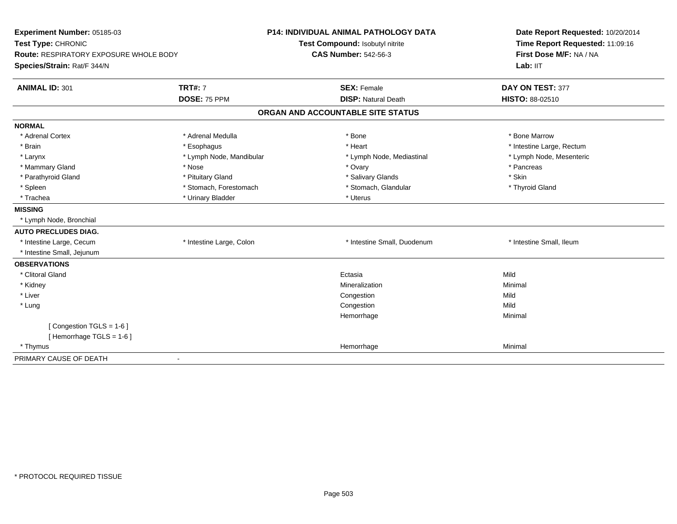| Experiment Number: 05185-03<br>Test Type: CHRONIC                            |                          | <b>P14: INDIVIDUAL ANIMAL PATHOLOGY DATA</b><br>Test Compound: Isobutyl nitrite<br><b>CAS Number: 542-56-3</b> | Date Report Requested: 10/20/2014<br>Time Report Requested: 11:09:16 |  |
|------------------------------------------------------------------------------|--------------------------|----------------------------------------------------------------------------------------------------------------|----------------------------------------------------------------------|--|
| <b>Route: RESPIRATORY EXPOSURE WHOLE BODY</b><br>Species/Strain: Rat/F 344/N |                          |                                                                                                                | First Dose M/F: NA / NA<br>Lab: IIT                                  |  |
| <b>ANIMAL ID: 301</b>                                                        | <b>TRT#: 7</b>           | <b>SEX: Female</b>                                                                                             | DAY ON TEST: 377                                                     |  |
|                                                                              | DOSE: 75 PPM             | <b>DISP: Natural Death</b>                                                                                     | HISTO: 88-02510                                                      |  |
|                                                                              |                          | ORGAN AND ACCOUNTABLE SITE STATUS                                                                              |                                                                      |  |
| <b>NORMAL</b>                                                                |                          |                                                                                                                |                                                                      |  |
| * Adrenal Cortex                                                             | * Adrenal Medulla        | * Bone                                                                                                         | * Bone Marrow                                                        |  |
| * Brain                                                                      | * Esophagus              | * Heart                                                                                                        | * Intestine Large, Rectum                                            |  |
| * Larynx                                                                     | * Lymph Node, Mandibular | * Lymph Node, Mediastinal                                                                                      | * Lymph Node, Mesenteric                                             |  |
| * Mammary Gland                                                              | * Nose                   | * Ovary                                                                                                        | * Pancreas                                                           |  |
| * Parathyroid Gland                                                          | * Pituitary Gland        | * Salivary Glands                                                                                              | * Skin                                                               |  |
| * Spleen                                                                     | * Stomach, Forestomach   | * Stomach, Glandular                                                                                           | * Thyroid Gland                                                      |  |
| * Trachea                                                                    | * Urinary Bladder        | * Uterus                                                                                                       |                                                                      |  |
| <b>MISSING</b>                                                               |                          |                                                                                                                |                                                                      |  |
| * Lymph Node, Bronchial                                                      |                          |                                                                                                                |                                                                      |  |
| <b>AUTO PRECLUDES DIAG.</b>                                                  |                          |                                                                                                                |                                                                      |  |
| * Intestine Large, Cecum                                                     | * Intestine Large, Colon | * Intestine Small, Duodenum                                                                                    | * Intestine Small, Ileum                                             |  |
| * Intestine Small, Jejunum                                                   |                          |                                                                                                                |                                                                      |  |
| <b>OBSERVATIONS</b>                                                          |                          |                                                                                                                |                                                                      |  |
| * Clitoral Gland                                                             |                          | Ectasia                                                                                                        | Mild                                                                 |  |
| * Kidney                                                                     |                          | Mineralization                                                                                                 | Minimal                                                              |  |
| * Liver                                                                      |                          | Congestion                                                                                                     | Mild                                                                 |  |
| * Lung                                                                       |                          | Congestion                                                                                                     | Mild                                                                 |  |
|                                                                              |                          | Hemorrhage                                                                                                     | Minimal                                                              |  |
| [Congestion TGLS = 1-6]                                                      |                          |                                                                                                                |                                                                      |  |
| [Hemorrhage TGLS = $1-6$ ]                                                   |                          |                                                                                                                |                                                                      |  |
| * Thymus                                                                     |                          | Hemorrhage                                                                                                     | Minimal                                                              |  |
| PRIMARY CAUSE OF DEATH                                                       | $\blacksquare$           |                                                                                                                |                                                                      |  |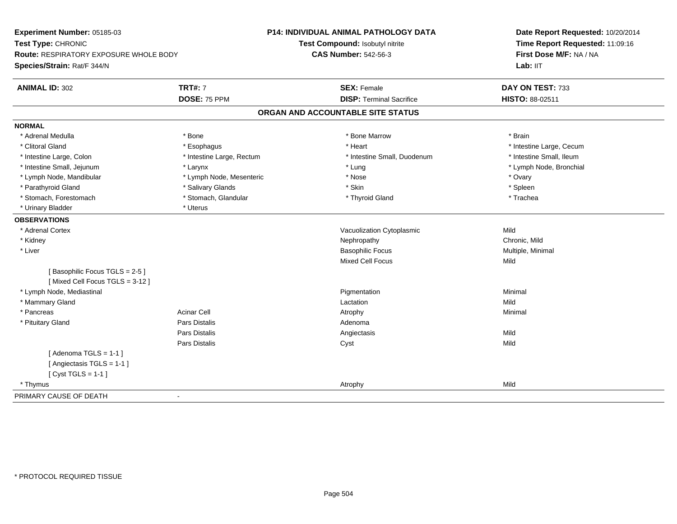| Experiment Number: 05185-03<br>Test Type: CHRONIC<br>Route: RESPIRATORY EXPOSURE WHOLE BODY |                           | P14: INDIVIDUAL ANIMAL PATHOLOGY DATA | Date Report Requested: 10/20/2014<br>Time Report Requested: 11:09:16 |
|---------------------------------------------------------------------------------------------|---------------------------|---------------------------------------|----------------------------------------------------------------------|
|                                                                                             |                           | Test Compound: Isobutyl nitrite       |                                                                      |
|                                                                                             |                           | <b>CAS Number: 542-56-3</b>           | First Dose M/F: NA / NA                                              |
| Species/Strain: Rat/F 344/N                                                                 |                           |                                       | Lab: IIT                                                             |
| <b>ANIMAL ID: 302</b>                                                                       | <b>TRT#: 7</b>            | <b>SEX: Female</b>                    | DAY ON TEST: 733                                                     |
|                                                                                             | DOSE: 75 PPM              | <b>DISP: Terminal Sacrifice</b>       | HISTO: 88-02511                                                      |
|                                                                                             |                           | ORGAN AND ACCOUNTABLE SITE STATUS     |                                                                      |
| <b>NORMAL</b>                                                                               |                           |                                       |                                                                      |
| * Adrenal Medulla                                                                           | * Bone                    | * Bone Marrow                         | * Brain                                                              |
| * Clitoral Gland                                                                            | * Esophagus               | * Heart                               | * Intestine Large, Cecum                                             |
| * Intestine Large, Colon                                                                    | * Intestine Large, Rectum | * Intestine Small, Duodenum           | * Intestine Small, Ileum                                             |
| * Intestine Small, Jejunum                                                                  | * Larynx                  | * Lung                                | * Lymph Node, Bronchial                                              |
| * Lymph Node, Mandibular                                                                    | * Lymph Node, Mesenteric  | * Nose                                | * Ovary                                                              |
| * Parathyroid Gland                                                                         | * Salivary Glands         | * Skin                                | * Spleen                                                             |
| * Stomach, Forestomach                                                                      | * Stomach, Glandular      | * Thyroid Gland                       | * Trachea                                                            |
| * Urinary Bladder                                                                           | * Uterus                  |                                       |                                                                      |
| <b>OBSERVATIONS</b>                                                                         |                           |                                       |                                                                      |
| * Adrenal Cortex                                                                            |                           | Vacuolization Cytoplasmic             | Mild                                                                 |
| * Kidney                                                                                    |                           | Nephropathy                           | Chronic, Mild                                                        |
| * Liver                                                                                     |                           | <b>Basophilic Focus</b>               | Multiple, Minimal                                                    |
|                                                                                             |                           | Mixed Cell Focus                      | Mild                                                                 |
| [Basophilic Focus TGLS = 2-5]<br>[Mixed Cell Focus TGLS = 3-12]                             |                           |                                       |                                                                      |
| * Lymph Node, Mediastinal                                                                   |                           | Pigmentation                          | Minimal                                                              |
| * Mammary Gland                                                                             |                           | Lactation                             | Mild                                                                 |
| * Pancreas                                                                                  | <b>Acinar Cell</b>        | Atrophy                               | Minimal                                                              |
| * Pituitary Gland                                                                           | Pars Distalis             | Adenoma                               |                                                                      |
|                                                                                             | Pars Distalis             | Angiectasis                           | Mild                                                                 |
|                                                                                             | Pars Distalis             | Cyst                                  | Mild                                                                 |
| [Adenoma TGLS = $1-1$ ]                                                                     |                           |                                       |                                                                      |
| [ Angiectasis TGLS = 1-1 ]                                                                  |                           |                                       |                                                                      |
| [Cyst TGLS = $1-1$ ]                                                                        |                           |                                       |                                                                      |
| * Thymus                                                                                    |                           | Atrophy                               | Mild                                                                 |
| PRIMARY CAUSE OF DEATH                                                                      | $\blacksquare$            |                                       |                                                                      |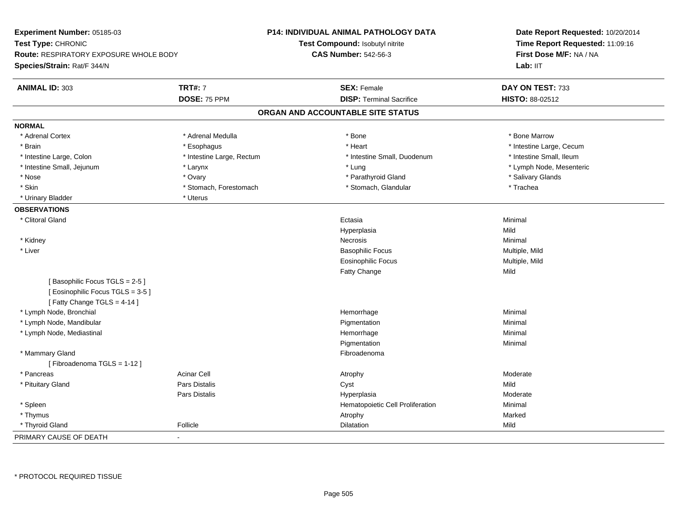| Experiment Number: 05185-03<br>Test Type: CHRONIC<br><b>Route: RESPIRATORY EXPOSURE WHOLE BODY</b><br>Species/Strain: Rat/F 344/N |                           | P14: INDIVIDUAL ANIMAL PATHOLOGY DATA<br>Test Compound: Isobutyl nitrite<br><b>CAS Number: 542-56-3</b> | Date Report Requested: 10/20/2014<br>Time Report Requested: 11:09:16<br>First Dose M/F: NA / NA<br>Lab: IIT |
|-----------------------------------------------------------------------------------------------------------------------------------|---------------------------|---------------------------------------------------------------------------------------------------------|-------------------------------------------------------------------------------------------------------------|
| <b>ANIMAL ID: 303</b>                                                                                                             | <b>TRT#: 7</b>            | <b>SEX: Female</b>                                                                                      | DAY ON TEST: 733                                                                                            |
|                                                                                                                                   | DOSE: 75 PPM              | <b>DISP: Terminal Sacrifice</b>                                                                         | <b>HISTO: 88-02512</b>                                                                                      |
|                                                                                                                                   |                           | ORGAN AND ACCOUNTABLE SITE STATUS                                                                       |                                                                                                             |
| <b>NORMAL</b>                                                                                                                     |                           |                                                                                                         |                                                                                                             |
| * Adrenal Cortex                                                                                                                  | * Adrenal Medulla         | * Bone                                                                                                  | * Bone Marrow                                                                                               |
| * Brain                                                                                                                           | * Esophagus               | * Heart                                                                                                 | * Intestine Large, Cecum                                                                                    |
| * Intestine Large, Colon                                                                                                          | * Intestine Large, Rectum | * Intestine Small, Duodenum                                                                             | * Intestine Small, Ileum                                                                                    |
| * Intestine Small, Jejunum                                                                                                        | * Larynx                  | * Lung                                                                                                  | * Lymph Node, Mesenteric                                                                                    |
| * Nose                                                                                                                            | * Ovary                   | * Parathyroid Gland                                                                                     | * Salivary Glands                                                                                           |
| * Skin                                                                                                                            | * Stomach, Forestomach    | * Stomach, Glandular                                                                                    | * Trachea                                                                                                   |
| * Urinary Bladder                                                                                                                 | * Uterus                  |                                                                                                         |                                                                                                             |
| <b>OBSERVATIONS</b>                                                                                                               |                           |                                                                                                         |                                                                                                             |
| * Clitoral Gland                                                                                                                  |                           | Ectasia                                                                                                 | Minimal                                                                                                     |
|                                                                                                                                   |                           | Hyperplasia                                                                                             | Mild                                                                                                        |
| * Kidney                                                                                                                          |                           | Necrosis                                                                                                | Minimal                                                                                                     |
| * Liver                                                                                                                           |                           | <b>Basophilic Focus</b>                                                                                 | Multiple, Mild                                                                                              |
|                                                                                                                                   |                           | <b>Eosinophilic Focus</b>                                                                               | Multiple, Mild                                                                                              |
|                                                                                                                                   |                           | Fatty Change                                                                                            | Mild                                                                                                        |
| [Basophilic Focus TGLS = 2-5]<br>[Eosinophilic Focus TGLS = 3-5]<br>[Fatty Change TGLS = $4-14$ ]                                 |                           |                                                                                                         |                                                                                                             |
| * Lymph Node, Bronchial                                                                                                           |                           | Hemorrhage                                                                                              | Minimal                                                                                                     |
| * Lymph Node, Mandibular                                                                                                          |                           | Pigmentation                                                                                            | Minimal                                                                                                     |
| * Lymph Node, Mediastinal                                                                                                         |                           | Hemorrhage                                                                                              | Minimal                                                                                                     |
|                                                                                                                                   |                           | Pigmentation                                                                                            | Minimal                                                                                                     |
| * Mammary Gland<br>[Fibroadenoma TGLS = 1-12]                                                                                     |                           | Fibroadenoma                                                                                            |                                                                                                             |
| * Pancreas                                                                                                                        | <b>Acinar Cell</b>        | Atrophy                                                                                                 | Moderate                                                                                                    |
| * Pituitary Gland                                                                                                                 | <b>Pars Distalis</b>      | Cyst                                                                                                    | Mild                                                                                                        |
|                                                                                                                                   | Pars Distalis             | Hyperplasia                                                                                             | Moderate                                                                                                    |
| * Spleen                                                                                                                          |                           | Hematopoietic Cell Proliferation                                                                        | Minimal                                                                                                     |
| * Thymus                                                                                                                          |                           | Atrophy                                                                                                 | Marked                                                                                                      |
| * Thyroid Gland                                                                                                                   | Follicle                  | Dilatation                                                                                              | Mild                                                                                                        |
| PRIMARY CAUSE OF DEATH                                                                                                            |                           |                                                                                                         |                                                                                                             |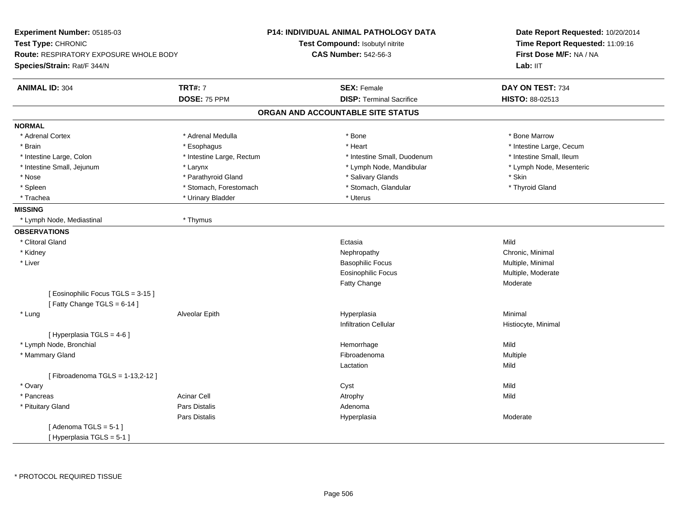| Experiment Number: 05185-03<br>Test Type: CHRONIC              |                           | P14: INDIVIDUAL ANIMAL PATHOLOGY DATA | Date Report Requested: 10/20/2014<br>Time Report Requested: 11:09:16 |
|----------------------------------------------------------------|---------------------------|---------------------------------------|----------------------------------------------------------------------|
|                                                                |                           | Test Compound: Isobutyl nitrite       |                                                                      |
| <b>Route: RESPIRATORY EXPOSURE WHOLE BODY</b>                  |                           | <b>CAS Number: 542-56-3</b>           | First Dose M/F: NA / NA                                              |
| Species/Strain: Rat/F 344/N                                    |                           |                                       | Lab: II <sub>T</sub>                                                 |
| <b>ANIMAL ID: 304</b>                                          | <b>TRT#: 7</b>            | <b>SEX: Female</b>                    | DAY ON TEST: 734                                                     |
|                                                                | DOSE: 75 PPM              | <b>DISP: Terminal Sacrifice</b>       | HISTO: 88-02513                                                      |
|                                                                |                           | ORGAN AND ACCOUNTABLE SITE STATUS     |                                                                      |
| <b>NORMAL</b>                                                  |                           |                                       |                                                                      |
| * Adrenal Cortex                                               | * Adrenal Medulla         | * Bone                                | * Bone Marrow                                                        |
| * Brain                                                        | * Esophagus               | * Heart                               | * Intestine Large, Cecum                                             |
| * Intestine Large, Colon                                       | * Intestine Large, Rectum | * Intestine Small, Duodenum           | * Intestine Small, Ileum                                             |
| * Intestine Small, Jejunum                                     | * Larynx                  | * Lymph Node, Mandibular              | * Lymph Node, Mesenteric                                             |
| $^{\star}$ Nose                                                | * Parathyroid Gland       | * Salivary Glands                     | * Skin                                                               |
| * Spleen                                                       | * Stomach, Forestomach    | * Stomach, Glandular                  | * Thyroid Gland                                                      |
| * Trachea                                                      | * Urinary Bladder         | * Uterus                              |                                                                      |
| <b>MISSING</b>                                                 |                           |                                       |                                                                      |
| * Lymph Node, Mediastinal                                      | * Thymus                  |                                       |                                                                      |
| <b>OBSERVATIONS</b>                                            |                           |                                       |                                                                      |
| * Clitoral Gland                                               |                           | Ectasia                               | Mild                                                                 |
| * Kidney                                                       |                           | Nephropathy                           | Chronic, Minimal                                                     |
| * Liver                                                        |                           | <b>Basophilic Focus</b>               | Multiple, Minimal                                                    |
|                                                                |                           | <b>Eosinophilic Focus</b>             | Multiple, Moderate                                                   |
|                                                                |                           | Fatty Change                          | Moderate                                                             |
| [Eosinophilic Focus TGLS = 3-15]<br>[Fatty Change TGLS = 6-14] |                           |                                       |                                                                      |
| * Lung                                                         | Alveolar Epith            | Hyperplasia                           | Minimal                                                              |
|                                                                |                           | <b>Infiltration Cellular</b>          | Histiocyte, Minimal                                                  |
| [ Hyperplasia TGLS = 4-6 ]                                     |                           |                                       |                                                                      |
| * Lymph Node, Bronchial                                        |                           | Hemorrhage                            | Mild                                                                 |
| * Mammary Gland                                                |                           | Fibroadenoma                          | Multiple                                                             |
|                                                                |                           | Lactation                             | Mild                                                                 |
| [Fibroadenoma TGLS = 1-13,2-12]                                |                           |                                       |                                                                      |
| * Ovary                                                        |                           | Cyst                                  | Mild                                                                 |
| * Pancreas                                                     | <b>Acinar Cell</b>        | Atrophy                               | Mild                                                                 |
| * Pituitary Gland                                              | <b>Pars Distalis</b>      | Adenoma                               |                                                                      |
|                                                                | Pars Distalis             | Hyperplasia                           | Moderate                                                             |
| [Adenoma TGLS = $5-1$ ]                                        |                           |                                       |                                                                      |
| [Hyperplasia TGLS = 5-1]                                       |                           |                                       |                                                                      |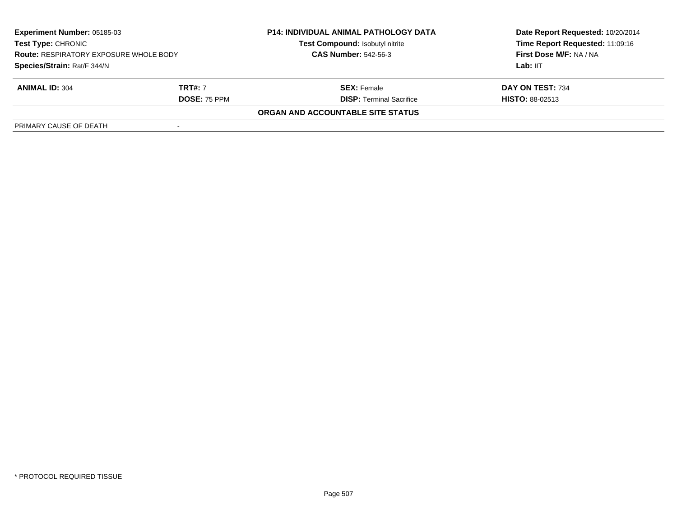| <b>Experiment Number: 05185-03</b><br><b>Test Type: CHRONIC</b><br><b>Route: RESPIRATORY EXPOSURE WHOLE BODY</b> |                     | <b>P14: INDIVIDUAL ANIMAL PATHOLOGY DATA</b><br>Test Compound: Isobutyl nitrite | Date Report Requested: 10/20/2014<br>Time Report Requested: 11:09:16 |
|------------------------------------------------------------------------------------------------------------------|---------------------|---------------------------------------------------------------------------------|----------------------------------------------------------------------|
|                                                                                                                  |                     | <b>CAS Number: 542-56-3</b>                                                     | First Dose M/F: NA / NA                                              |
| Species/Strain: Rat/F 344/N                                                                                      |                     |                                                                                 | Lab: IIT                                                             |
| <b>ANIMAL ID: 304</b>                                                                                            | <b>TRT#: 7</b>      | <b>SEX:</b> Female                                                              | DAY ON TEST: 734                                                     |
|                                                                                                                  | <b>DOSE: 75 PPM</b> | <b>DISP:</b> Terminal Sacrifice                                                 | <b>HISTO: 88-02513</b>                                               |
|                                                                                                                  |                     | ORGAN AND ACCOUNTABLE SITE STATUS                                               |                                                                      |
| PRIMARY CAUSE OF DEATH                                                                                           |                     |                                                                                 |                                                                      |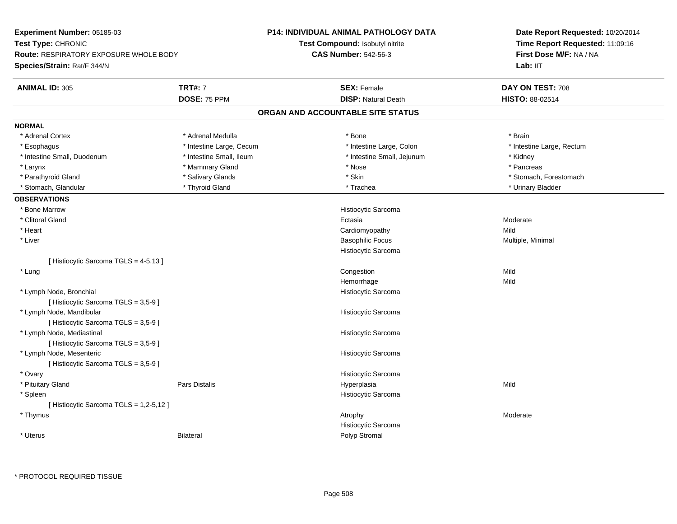| Experiment Number: 05185-03<br>Test Type: CHRONIC<br><b>Route: RESPIRATORY EXPOSURE WHOLE BODY</b><br>Species/Strain: Rat/F 344/N |                          | P14: INDIVIDUAL ANIMAL PATHOLOGY DATA  | Date Report Requested: 10/20/2014 |
|-----------------------------------------------------------------------------------------------------------------------------------|--------------------------|----------------------------------------|-----------------------------------|
|                                                                                                                                   |                          | <b>Test Compound: Isobutyl nitrite</b> | Time Report Requested: 11:09:16   |
|                                                                                                                                   |                          | <b>CAS Number: 542-56-3</b>            | First Dose M/F: NA / NA           |
|                                                                                                                                   |                          |                                        | Lab: IIT                          |
| <b>ANIMAL ID: 305</b>                                                                                                             | <b>TRT#: 7</b>           | <b>SEX: Female</b>                     | DAY ON TEST: 708                  |
|                                                                                                                                   | DOSE: 75 PPM             | <b>DISP: Natural Death</b>             | HISTO: 88-02514                   |
|                                                                                                                                   |                          | ORGAN AND ACCOUNTABLE SITE STATUS      |                                   |
| <b>NORMAL</b>                                                                                                                     |                          |                                        |                                   |
| * Adrenal Cortex                                                                                                                  | * Adrenal Medulla        | * Bone                                 | * Brain                           |
| * Esophagus                                                                                                                       | * Intestine Large, Cecum | * Intestine Large, Colon               | * Intestine Large, Rectum         |
| * Intestine Small, Duodenum                                                                                                       | * Intestine Small, Ileum | * Intestine Small, Jejunum             | * Kidney                          |
| * Larynx                                                                                                                          | * Mammary Gland          | * Nose                                 | * Pancreas                        |
| * Parathyroid Gland                                                                                                               | * Salivary Glands        | * Skin                                 | * Stomach, Forestomach            |
| * Stomach, Glandular                                                                                                              | * Thyroid Gland          | * Trachea                              | * Urinary Bladder                 |
| <b>OBSERVATIONS</b>                                                                                                               |                          |                                        |                                   |
| * Bone Marrow                                                                                                                     |                          | Histiocytic Sarcoma                    |                                   |
| * Clitoral Gland                                                                                                                  |                          | Ectasia                                | Moderate                          |
| * Heart                                                                                                                           |                          | Cardiomyopathy                         | Mild                              |
| * Liver                                                                                                                           |                          | <b>Basophilic Focus</b>                | Multiple, Minimal                 |
|                                                                                                                                   |                          | Histiocytic Sarcoma                    |                                   |
| [ Histiocytic Sarcoma TGLS = 4-5,13 ]                                                                                             |                          |                                        |                                   |
| * Lung                                                                                                                            |                          | Congestion                             | Mild                              |
|                                                                                                                                   |                          | Hemorrhage                             | Mild                              |
| * Lymph Node, Bronchial                                                                                                           |                          | Histiocytic Sarcoma                    |                                   |
| [ Histiocytic Sarcoma TGLS = 3,5-9 ]                                                                                              |                          |                                        |                                   |
| * Lymph Node, Mandibular                                                                                                          |                          | Histiocytic Sarcoma                    |                                   |
| [ Histiocytic Sarcoma TGLS = 3,5-9 ]                                                                                              |                          |                                        |                                   |
| * Lymph Node, Mediastinal                                                                                                         |                          | Histiocytic Sarcoma                    |                                   |
| [Histiocytic Sarcoma TGLS = 3,5-9]                                                                                                |                          |                                        |                                   |
| * Lymph Node, Mesenteric                                                                                                          |                          | Histiocytic Sarcoma                    |                                   |
| [Histiocytic Sarcoma TGLS = 3,5-9]                                                                                                |                          |                                        |                                   |
| * Ovary                                                                                                                           |                          | Histiocytic Sarcoma                    |                                   |
| * Pituitary Gland                                                                                                                 | Pars Distalis            | Hyperplasia                            | Mild                              |
| * Spleen                                                                                                                          |                          | Histiocytic Sarcoma                    |                                   |
| [ Histiocytic Sarcoma TGLS = 1,2-5,12 ]                                                                                           |                          |                                        |                                   |
| * Thymus                                                                                                                          |                          | Atrophy                                | Moderate                          |
|                                                                                                                                   |                          | Histiocytic Sarcoma                    |                                   |
| * Uterus                                                                                                                          | <b>Bilateral</b>         | Polyp Stromal                          |                                   |
|                                                                                                                                   |                          |                                        |                                   |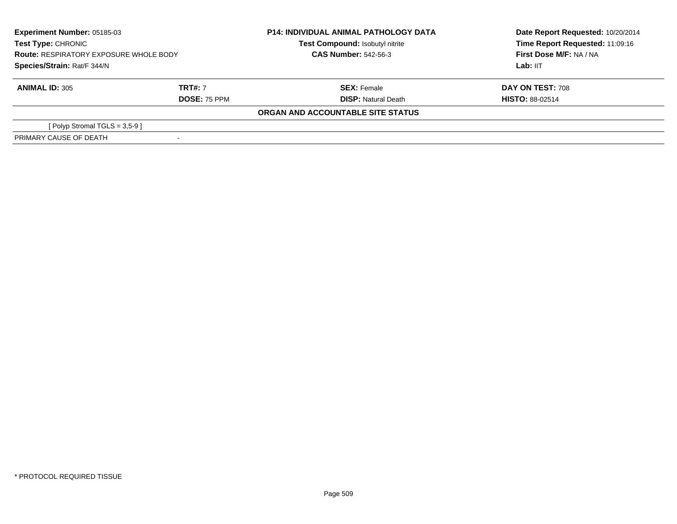| <b>Experiment Number: 05185-03</b><br><b>Test Type: CHRONIC</b><br><b>Route: RESPIRATORY EXPOSURE WHOLE BODY</b><br>Species/Strain: Rat/F 344/N |                | <b>P14: INDIVIDUAL ANIMAL PATHOLOGY DATA</b><br>Test Compound: Isobutyl nitrite<br><b>CAS Number: 542-56-3</b> | Date Report Requested: 10/20/2014<br>Time Report Requested: 11:09:16<br>First Dose M/F: NA / NA |
|-------------------------------------------------------------------------------------------------------------------------------------------------|----------------|----------------------------------------------------------------------------------------------------------------|-------------------------------------------------------------------------------------------------|
|                                                                                                                                                 |                |                                                                                                                | Lab: IIT                                                                                        |
| <b>ANIMAL ID: 305</b>                                                                                                                           | <b>TRT#: 7</b> | <b>SEX: Female</b>                                                                                             | <b>DAY ON TEST: 708</b>                                                                         |
|                                                                                                                                                 | DOSE: 75 PPM   | <b>DISP: Natural Death</b>                                                                                     | <b>HISTO: 88-02514</b>                                                                          |
|                                                                                                                                                 |                | ORGAN AND ACCOUNTABLE SITE STATUS                                                                              |                                                                                                 |
| [Polyp Stromal TGLS = $3,5-9$ ]                                                                                                                 |                |                                                                                                                |                                                                                                 |
| PRIMARY CAUSE OF DEATH                                                                                                                          |                |                                                                                                                |                                                                                                 |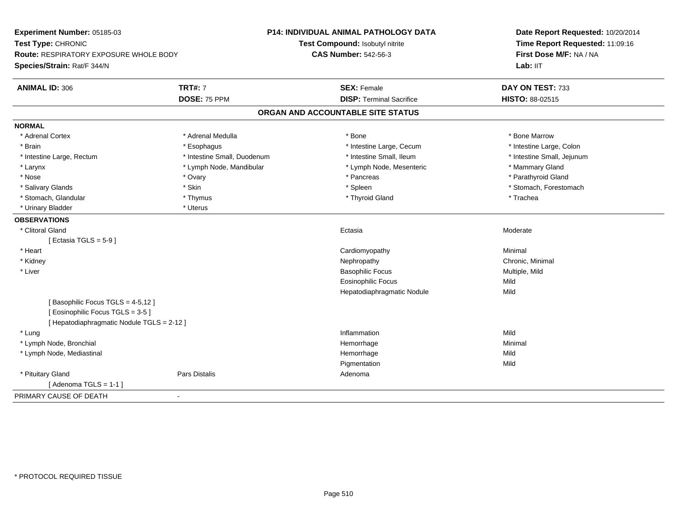| Experiment Number: 05185-03<br>Test Type: CHRONIC<br>Route: RESPIRATORY EXPOSURE WHOLE BODY<br>Species/Strain: Rat/F 344/N |                             | P14: INDIVIDUAL ANIMAL PATHOLOGY DATA<br>Test Compound: Isobutyl nitrite<br><b>CAS Number: 542-56-3</b> | Date Report Requested: 10/20/2014<br>Time Report Requested: 11:09:16<br>First Dose M/F: NA / NA<br>Lab: IIT |
|----------------------------------------------------------------------------------------------------------------------------|-----------------------------|---------------------------------------------------------------------------------------------------------|-------------------------------------------------------------------------------------------------------------|
| <b>ANIMAL ID: 306</b>                                                                                                      | <b>TRT#: 7</b>              | <b>SEX: Female</b>                                                                                      | DAY ON TEST: 733                                                                                            |
|                                                                                                                            | DOSE: 75 PPM                | <b>DISP: Terminal Sacrifice</b>                                                                         | HISTO: 88-02515                                                                                             |
|                                                                                                                            |                             | ORGAN AND ACCOUNTABLE SITE STATUS                                                                       |                                                                                                             |
| <b>NORMAL</b>                                                                                                              |                             |                                                                                                         |                                                                                                             |
| * Adrenal Cortex                                                                                                           | * Adrenal Medulla           | * Bone                                                                                                  | * Bone Marrow                                                                                               |
| * Brain                                                                                                                    | * Esophagus                 | * Intestine Large, Cecum                                                                                | * Intestine Large, Colon                                                                                    |
| * Intestine Large, Rectum                                                                                                  | * Intestine Small, Duodenum | * Intestine Small, Ileum                                                                                | * Intestine Small, Jejunum                                                                                  |
| * Larynx                                                                                                                   | * Lymph Node, Mandibular    | * Lymph Node, Mesenteric                                                                                | * Mammary Gland                                                                                             |
| * Nose                                                                                                                     | * Ovary                     | * Pancreas                                                                                              | * Parathyroid Gland                                                                                         |
| * Salivary Glands                                                                                                          | * Skin                      | * Spleen                                                                                                | * Stomach, Forestomach                                                                                      |
| * Stomach, Glandular                                                                                                       | * Thymus                    | * Thyroid Gland                                                                                         | * Trachea                                                                                                   |
| * Urinary Bladder                                                                                                          | * Uterus                    |                                                                                                         |                                                                                                             |
| <b>OBSERVATIONS</b>                                                                                                        |                             |                                                                                                         |                                                                                                             |
| * Clitoral Gland                                                                                                           |                             | Ectasia                                                                                                 | Moderate                                                                                                    |
| [Ectasia TGLS = $5-9$ ]                                                                                                    |                             |                                                                                                         |                                                                                                             |
| * Heart                                                                                                                    |                             | Cardiomyopathy                                                                                          | Minimal                                                                                                     |
| * Kidney                                                                                                                   |                             | Nephropathy                                                                                             | Chronic, Minimal                                                                                            |
| * Liver                                                                                                                    |                             | <b>Basophilic Focus</b>                                                                                 | Multiple, Mild                                                                                              |
|                                                                                                                            |                             | <b>Eosinophilic Focus</b>                                                                               | Mild                                                                                                        |
|                                                                                                                            |                             | Hepatodiaphragmatic Nodule                                                                              | Mild                                                                                                        |
| [Basophilic Focus TGLS = 4-5,12]<br>[Eosinophilic Focus TGLS = 3-5]                                                        |                             |                                                                                                         |                                                                                                             |
| [ Hepatodiaphragmatic Nodule TGLS = 2-12 ]                                                                                 |                             |                                                                                                         |                                                                                                             |
| * Lung                                                                                                                     |                             | Inflammation                                                                                            | Mild                                                                                                        |
| * Lymph Node, Bronchial                                                                                                    |                             | Hemorrhage                                                                                              | Minimal                                                                                                     |
| * Lymph Node, Mediastinal                                                                                                  |                             | Hemorrhage                                                                                              | Mild                                                                                                        |
|                                                                                                                            |                             | Pigmentation                                                                                            | Mild                                                                                                        |
| * Pituitary Gland                                                                                                          | <b>Pars Distalis</b>        | Adenoma                                                                                                 |                                                                                                             |
| [Adenoma TGLS = $1-1$ ]                                                                                                    |                             |                                                                                                         |                                                                                                             |
| PRIMARY CAUSE OF DEATH                                                                                                     | $\mathbf{r}$                |                                                                                                         |                                                                                                             |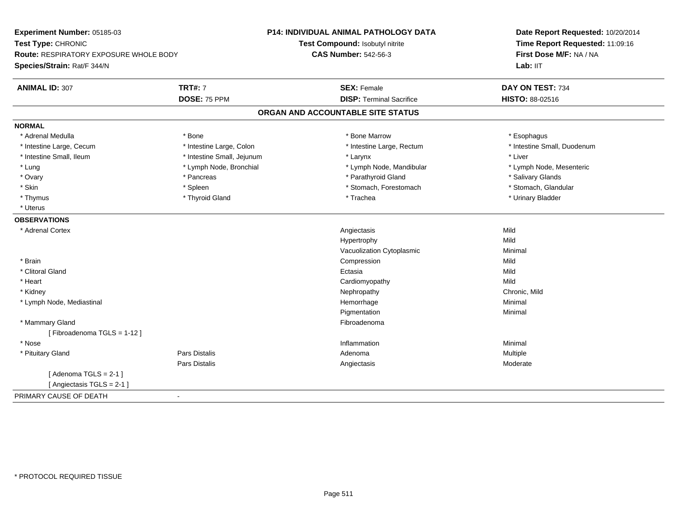| Experiment Number: 05185-03             |                            | P14: INDIVIDUAL ANIMAL PATHOLOGY DATA | Date Report Requested: 10/20/2014 |
|-----------------------------------------|----------------------------|---------------------------------------|-----------------------------------|
| Test Type: CHRONIC                      |                            | Test Compound: Isobutyl nitrite       | Time Report Requested: 11:09:16   |
| Route: RESPIRATORY EXPOSURE WHOLE BODY  |                            | <b>CAS Number: 542-56-3</b>           | First Dose M/F: NA / NA           |
| Species/Strain: Rat/F 344/N             |                            |                                       | Lab: IIT                          |
| <b>TRT#: 7</b><br><b>ANIMAL ID: 307</b> |                            | <b>SEX: Female</b>                    | DAY ON TEST: 734                  |
| DOSE: 75 PPM                            |                            | <b>DISP: Terminal Sacrifice</b>       | HISTO: 88-02516                   |
|                                         |                            | ORGAN AND ACCOUNTABLE SITE STATUS     |                                   |
| <b>NORMAL</b>                           |                            |                                       |                                   |
| * Adrenal Medulla<br>* Bone             |                            | * Bone Marrow                         | * Esophagus                       |
| * Intestine Large, Cecum                | * Intestine Large, Colon   | * Intestine Large, Rectum             | * Intestine Small, Duodenum       |
| * Intestine Small, Ileum                | * Intestine Small, Jejunum | * Larynx                              | * Liver                           |
| * Lung                                  | * Lymph Node, Bronchial    | * Lymph Node, Mandibular              | * Lymph Node, Mesenteric          |
| * Ovary<br>* Pancreas                   |                            | * Parathyroid Gland                   | * Salivary Glands                 |
| * Skin<br>* Spleen                      |                            | * Stomach, Forestomach                | * Stomach, Glandular              |
| * Thyroid Gland<br>* Thymus             |                            | * Trachea                             | * Urinary Bladder                 |
| * Uterus                                |                            |                                       |                                   |
| <b>OBSERVATIONS</b>                     |                            |                                       |                                   |
| * Adrenal Cortex                        |                            | Angiectasis                           | Mild                              |
|                                         |                            | Hypertrophy                           | Mild                              |
|                                         |                            | Vacuolization Cytoplasmic             | Minimal                           |
| * Brain                                 |                            | Compression                           | Mild                              |
| * Clitoral Gland                        |                            | Ectasia                               | Mild                              |
| * Heart                                 |                            | Cardiomyopathy                        | Mild                              |
| * Kidney                                |                            | Nephropathy                           | Chronic, Mild                     |
| * Lymph Node, Mediastinal               |                            | Hemorrhage                            | Minimal                           |
|                                         |                            | Pigmentation                          | Minimal                           |
| * Mammary Gland                         |                            | Fibroadenoma                          |                                   |
| [Fibroadenoma TGLS = 1-12]              |                            |                                       |                                   |
| * Nose                                  |                            | Inflammation                          | Minimal                           |
| Pars Distalis<br>* Pituitary Gland      |                            | Adenoma                               | Multiple                          |
| <b>Pars Distalis</b>                    |                            | Angiectasis                           | Moderate                          |
| [Adenoma TGLS = $2-1$ ]                 |                            |                                       |                                   |
| [ Angiectasis TGLS = 2-1 ]              |                            |                                       |                                   |
| PRIMARY CAUSE OF DEATH<br>$\sim$        |                            |                                       |                                   |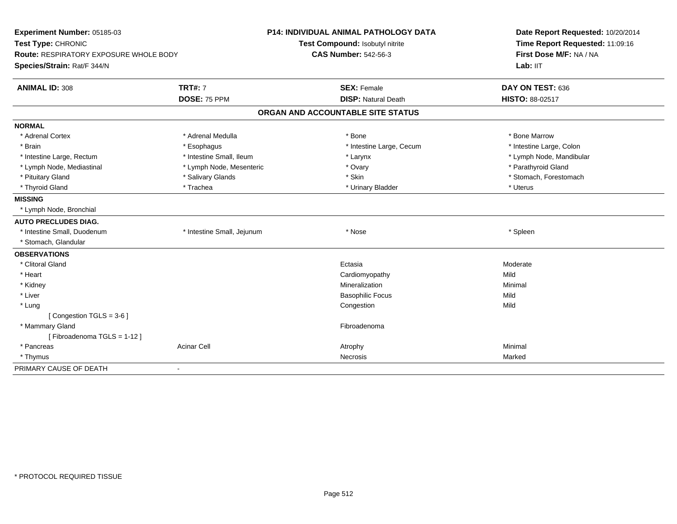| Experiment Number: 05185-03                   |                            | P14: INDIVIDUAL ANIMAL PATHOLOGY DATA | Date Report Requested: 10/20/2014 |  |
|-----------------------------------------------|----------------------------|---------------------------------------|-----------------------------------|--|
| Test Type: CHRONIC                            |                            | Test Compound: Isobutyl nitrite       | Time Report Requested: 11:09:16   |  |
| <b>Route: RESPIRATORY EXPOSURE WHOLE BODY</b> |                            | <b>CAS Number: 542-56-3</b>           | First Dose M/F: NA / NA           |  |
| Species/Strain: Rat/F 344/N                   |                            |                                       | Lab: IIT                          |  |
| <b>ANIMAL ID: 308</b>                         | <b>TRT#: 7</b>             | <b>SEX: Female</b>                    | DAY ON TEST: 636                  |  |
|                                               | DOSE: 75 PPM               | <b>DISP: Natural Death</b>            | HISTO: 88-02517                   |  |
|                                               |                            | ORGAN AND ACCOUNTABLE SITE STATUS     |                                   |  |
| <b>NORMAL</b>                                 |                            |                                       |                                   |  |
| * Adrenal Cortex                              | * Adrenal Medulla          | * Bone                                | * Bone Marrow                     |  |
| * Brain                                       | * Esophagus                | * Intestine Large, Cecum              | * Intestine Large, Colon          |  |
| * Intestine Large, Rectum                     | * Intestine Small, Ileum   | * Larynx                              | * Lymph Node, Mandibular          |  |
| * Lymph Node, Mediastinal                     | * Lymph Node, Mesenteric   | * Ovary                               | * Parathyroid Gland               |  |
| * Pituitary Gland                             | * Salivary Glands          | * Skin                                | * Stomach, Forestomach            |  |
| * Thyroid Gland                               | * Trachea                  | * Urinary Bladder                     | * Uterus                          |  |
| <b>MISSING</b>                                |                            |                                       |                                   |  |
| * Lymph Node, Bronchial                       |                            |                                       |                                   |  |
| <b>AUTO PRECLUDES DIAG.</b>                   |                            |                                       |                                   |  |
| * Intestine Small, Duodenum                   | * Intestine Small, Jejunum | * Nose                                | * Spleen                          |  |
| * Stomach, Glandular                          |                            |                                       |                                   |  |
| <b>OBSERVATIONS</b>                           |                            |                                       |                                   |  |
| * Clitoral Gland                              |                            | Ectasia                               | Moderate                          |  |
| * Heart                                       |                            | Cardiomyopathy                        | Mild                              |  |
| * Kidney                                      |                            | Mineralization                        | Minimal                           |  |
| * Liver                                       |                            | <b>Basophilic Focus</b>               | Mild                              |  |
| * Lung                                        |                            | Congestion                            | Mild                              |  |
| [Congestion TGLS = 3-6]                       |                            |                                       |                                   |  |
| * Mammary Gland                               |                            | Fibroadenoma                          |                                   |  |
| [Fibroadenoma TGLS = 1-12]                    |                            |                                       |                                   |  |
| * Pancreas                                    | <b>Acinar Cell</b>         | Atrophy                               | Minimal                           |  |
| * Thymus                                      |                            | Necrosis                              | Marked                            |  |
| PRIMARY CAUSE OF DEATH                        | $\blacksquare$             |                                       |                                   |  |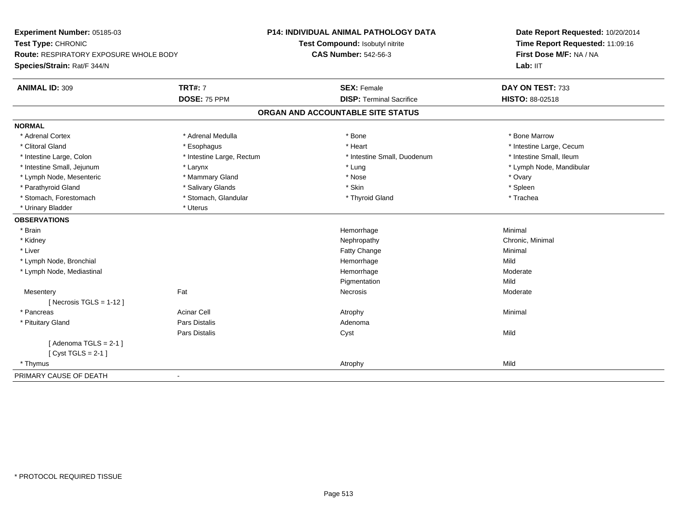| Experiment Number: 05185-03<br>Test Type: CHRONIC<br><b>Route: RESPIRATORY EXPOSURE WHOLE BODY</b> |                           | P14: INDIVIDUAL ANIMAL PATHOLOGY DATA | Date Report Requested: 10/20/2014<br>Time Report Requested: 11:09:16<br>First Dose M/F: NA / NA |
|----------------------------------------------------------------------------------------------------|---------------------------|---------------------------------------|-------------------------------------------------------------------------------------------------|
|                                                                                                    |                           | Test Compound: Isobutyl nitrite       |                                                                                                 |
|                                                                                                    |                           | <b>CAS Number: 542-56-3</b>           |                                                                                                 |
| Species/Strain: Rat/F 344/N                                                                        |                           |                                       | Lab: IIT                                                                                        |
| <b>ANIMAL ID: 309</b>                                                                              | <b>TRT#: 7</b>            | <b>SEX: Female</b>                    | DAY ON TEST: 733                                                                                |
|                                                                                                    | DOSE: 75 PPM              | <b>DISP: Terminal Sacrifice</b>       | <b>HISTO: 88-02518</b>                                                                          |
|                                                                                                    |                           | ORGAN AND ACCOUNTABLE SITE STATUS     |                                                                                                 |
| <b>NORMAL</b>                                                                                      |                           |                                       |                                                                                                 |
| * Adrenal Cortex                                                                                   | * Adrenal Medulla         | * Bone                                | * Bone Marrow                                                                                   |
| * Clitoral Gland                                                                                   | * Esophagus               | * Heart                               | * Intestine Large, Cecum                                                                        |
| * Intestine Large, Colon                                                                           | * Intestine Large, Rectum | * Intestine Small, Duodenum           | * Intestine Small, Ileum                                                                        |
| * Intestine Small, Jejunum                                                                         | * Larynx                  | * Lung                                | * Lymph Node, Mandibular                                                                        |
| * Lymph Node, Mesenteric                                                                           | * Mammary Gland           | * Nose                                | * Ovary                                                                                         |
| * Parathyroid Gland                                                                                | * Salivary Glands         | * Skin                                | * Spleen                                                                                        |
| * Stomach, Forestomach                                                                             | * Stomach, Glandular      | * Thyroid Gland                       | * Trachea                                                                                       |
| * Urinary Bladder                                                                                  | * Uterus                  |                                       |                                                                                                 |
| <b>OBSERVATIONS</b>                                                                                |                           |                                       |                                                                                                 |
| * Brain                                                                                            |                           | Hemorrhage                            | Minimal                                                                                         |
| * Kidney                                                                                           |                           | Nephropathy                           | Chronic, Minimal                                                                                |
| * Liver                                                                                            |                           | Fatty Change                          | Minimal                                                                                         |
| * Lymph Node, Bronchial                                                                            |                           | Hemorrhage                            | Mild                                                                                            |
| * Lymph Node, Mediastinal                                                                          |                           | Hemorrhage                            | Moderate                                                                                        |
|                                                                                                    |                           | Pigmentation                          | Mild                                                                                            |
| Mesentery                                                                                          | Fat                       | Necrosis                              | Moderate                                                                                        |
| [ Necrosis TGLS = $1-12$ ]                                                                         |                           |                                       |                                                                                                 |
| * Pancreas                                                                                         | <b>Acinar Cell</b>        | Atrophy                               | Minimal                                                                                         |
| * Pituitary Gland                                                                                  | <b>Pars Distalis</b>      | Adenoma                               |                                                                                                 |
|                                                                                                    | <b>Pars Distalis</b>      | Cyst                                  | Mild                                                                                            |
| [Adenoma TGLS = $2-1$ ]                                                                            |                           |                                       |                                                                                                 |
| [Cyst TGLS = $2-1$ ]                                                                               |                           |                                       |                                                                                                 |
| * Thymus                                                                                           |                           | Atrophy                               | Mild                                                                                            |
| PRIMARY CAUSE OF DEATH<br>$\blacksquare$                                                           |                           |                                       |                                                                                                 |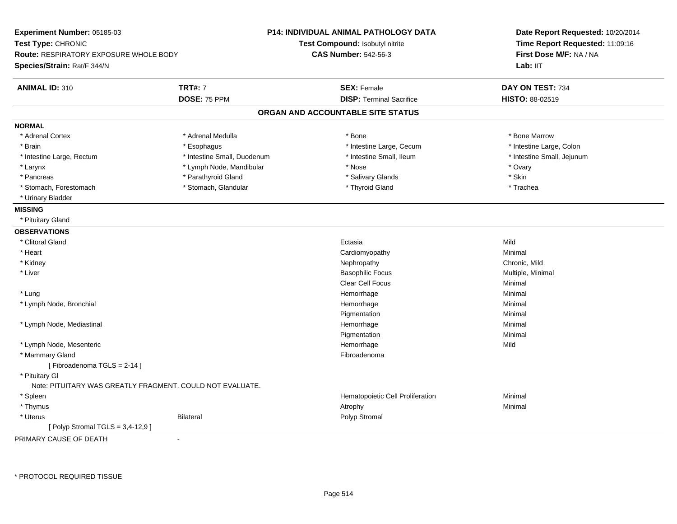| Experiment Number: 05185-03<br>Test Type: CHRONIC<br><b>Route: RESPIRATORY EXPOSURE WHOLE BODY</b><br>Species/Strain: Rat/F 344/N |                             | <b>P14: INDIVIDUAL ANIMAL PATHOLOGY DATA</b><br>Test Compound: Isobutyl nitrite<br><b>CAS Number: 542-56-3</b> | Date Report Requested: 10/20/2014<br>Time Report Requested: 11:09:16<br>First Dose M/F: NA / NA<br>Lab: IIT |
|-----------------------------------------------------------------------------------------------------------------------------------|-----------------------------|----------------------------------------------------------------------------------------------------------------|-------------------------------------------------------------------------------------------------------------|
| <b>ANIMAL ID: 310</b>                                                                                                             | <b>TRT#: 7</b>              | <b>SEX: Female</b>                                                                                             | DAY ON TEST: 734                                                                                            |
|                                                                                                                                   | DOSE: 75 PPM                | <b>DISP: Terminal Sacrifice</b>                                                                                | HISTO: 88-02519                                                                                             |
|                                                                                                                                   |                             | ORGAN AND ACCOUNTABLE SITE STATUS                                                                              |                                                                                                             |
| <b>NORMAL</b>                                                                                                                     |                             |                                                                                                                |                                                                                                             |
| * Adrenal Cortex                                                                                                                  | * Adrenal Medulla           | $*$ Bone                                                                                                       | * Bone Marrow                                                                                               |
| * Brain                                                                                                                           | * Esophagus                 | * Intestine Large, Cecum                                                                                       | * Intestine Large, Colon                                                                                    |
| * Intestine Large, Rectum                                                                                                         | * Intestine Small, Duodenum | * Intestine Small, Ileum                                                                                       | * Intestine Small, Jejunum                                                                                  |
| * Larynx                                                                                                                          | * Lymph Node, Mandibular    | * Nose                                                                                                         | * Ovary                                                                                                     |
| * Pancreas                                                                                                                        | * Parathyroid Gland         | * Salivary Glands                                                                                              | * Skin                                                                                                      |
| * Stomach, Forestomach                                                                                                            | * Stomach, Glandular        | * Thyroid Gland                                                                                                | * Trachea                                                                                                   |
| * Urinary Bladder                                                                                                                 |                             |                                                                                                                |                                                                                                             |
| <b>MISSING</b>                                                                                                                    |                             |                                                                                                                |                                                                                                             |
| * Pituitary Gland                                                                                                                 |                             |                                                                                                                |                                                                                                             |
| <b>OBSERVATIONS</b>                                                                                                               |                             |                                                                                                                |                                                                                                             |
| * Clitoral Gland                                                                                                                  |                             | Ectasia                                                                                                        | Mild                                                                                                        |
| * Heart                                                                                                                           |                             | Cardiomyopathy                                                                                                 | Minimal                                                                                                     |
| * Kidney                                                                                                                          |                             | Nephropathy                                                                                                    | Chronic, Mild                                                                                               |
| * Liver                                                                                                                           |                             | <b>Basophilic Focus</b>                                                                                        | Multiple, Minimal                                                                                           |
|                                                                                                                                   |                             | <b>Clear Cell Focus</b>                                                                                        | Minimal                                                                                                     |
| * Lung                                                                                                                            |                             | Hemorrhage                                                                                                     | Minimal                                                                                                     |
| * Lymph Node, Bronchial                                                                                                           |                             | Hemorrhage                                                                                                     | Minimal                                                                                                     |
|                                                                                                                                   |                             | Pigmentation                                                                                                   | Minimal                                                                                                     |
| * Lymph Node, Mediastinal                                                                                                         |                             | Hemorrhage                                                                                                     | Minimal                                                                                                     |
|                                                                                                                                   |                             | Pigmentation                                                                                                   | Minimal                                                                                                     |
| * Lymph Node, Mesenteric                                                                                                          |                             | Hemorrhage                                                                                                     | Mild                                                                                                        |
| * Mammary Gland                                                                                                                   |                             | Fibroadenoma                                                                                                   |                                                                                                             |
| [Fibroadenoma TGLS = 2-14]                                                                                                        |                             |                                                                                                                |                                                                                                             |
| * Pituitary Gl                                                                                                                    |                             |                                                                                                                |                                                                                                             |
| Note: PITUITARY WAS GREATLY FRAGMENT. COULD NOT EVALUATE.                                                                         |                             |                                                                                                                |                                                                                                             |
| * Spleen                                                                                                                          |                             | Hematopoietic Cell Proliferation                                                                               | Minimal                                                                                                     |
| * Thymus                                                                                                                          |                             | Atrophy                                                                                                        | Minimal                                                                                                     |
| * Uterus                                                                                                                          | Bilateral                   | Polyp Stromal                                                                                                  |                                                                                                             |
| [Polyp Stromal TGLS = 3,4-12,9]                                                                                                   |                             |                                                                                                                |                                                                                                             |
| DOIMADV CAUSE OF BEATH                                                                                                            |                             |                                                                                                                |                                                                                                             |

PRIMARY CAUSE OF DEATH-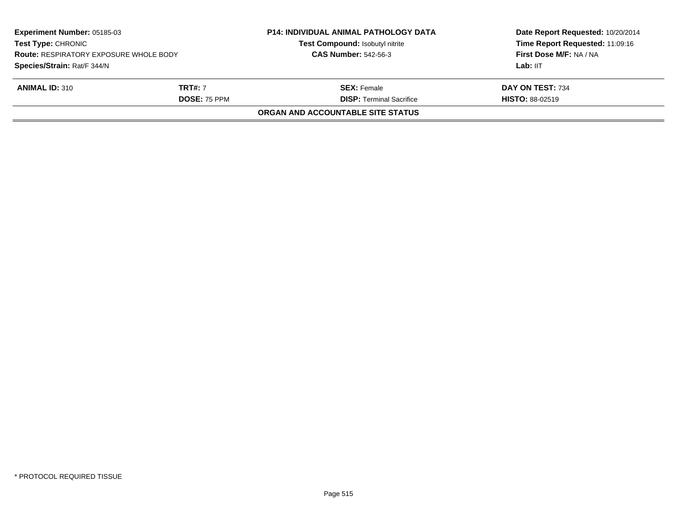| Experiment Number: 05185-03<br><b>Test Type: CHRONIC</b><br><b>Route: RESPIRATORY EXPOSURE WHOLE BODY</b> |                     | <b>P14: INDIVIDUAL ANIMAL PATHOLOGY DATA</b><br>Test Compound: Isobutyl nitrite | Date Report Requested: 10/20/2014<br>Time Report Requested: 11:09:16<br>First Dose M/F: NA / NA |
|-----------------------------------------------------------------------------------------------------------|---------------------|---------------------------------------------------------------------------------|-------------------------------------------------------------------------------------------------|
|                                                                                                           |                     | <b>CAS Number: 542-56-3</b>                                                     |                                                                                                 |
| Species/Strain: Rat/F 344/N                                                                               |                     |                                                                                 | Lab: IIT                                                                                        |
| <b>ANIMAL ID: 310</b>                                                                                     | <b>TRT#:</b> 7      | <b>SEX:</b> Female                                                              | DAY ON TEST: 734                                                                                |
|                                                                                                           | <b>DOSE: 75 PPM</b> | <b>DISP: Terminal Sacrifice</b>                                                 | <b>HISTO: 88-02519</b>                                                                          |
|                                                                                                           |                     | ORGAN AND ACCOUNTABLE SITE STATUS                                               |                                                                                                 |
|                                                                                                           |                     |                                                                                 |                                                                                                 |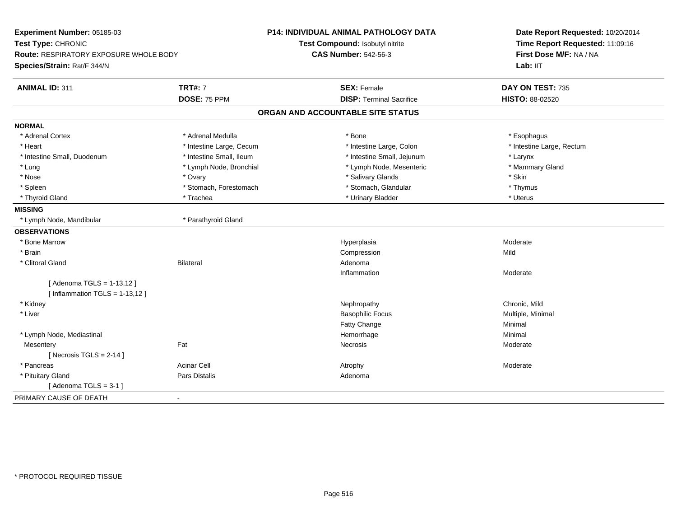| Experiment Number: 05185-03                                    |                          | <b>P14: INDIVIDUAL ANIMAL PATHOLOGY DATA</b> | Date Report Requested: 10/20/2014<br>Time Report Requested: 11:09:16<br>First Dose M/F: NA / NA<br>Lab: IIT |
|----------------------------------------------------------------|--------------------------|----------------------------------------------|-------------------------------------------------------------------------------------------------------------|
| Test Type: CHRONIC                                             |                          | Test Compound: Isobutyl nitrite              |                                                                                                             |
| Route: RESPIRATORY EXPOSURE WHOLE BODY                         |                          | <b>CAS Number: 542-56-3</b>                  |                                                                                                             |
| Species/Strain: Rat/F 344/N                                    |                          |                                              |                                                                                                             |
| <b>ANIMAL ID: 311</b>                                          | <b>TRT#: 7</b>           | <b>SEX: Female</b>                           | DAY ON TEST: 735                                                                                            |
|                                                                | DOSE: 75 PPM             | <b>DISP: Terminal Sacrifice</b>              | HISTO: 88-02520                                                                                             |
|                                                                |                          | ORGAN AND ACCOUNTABLE SITE STATUS            |                                                                                                             |
| <b>NORMAL</b>                                                  |                          |                                              |                                                                                                             |
| * Adrenal Cortex                                               | * Adrenal Medulla        | * Bone                                       | * Esophagus                                                                                                 |
| * Heart                                                        | * Intestine Large, Cecum | * Intestine Large, Colon                     | * Intestine Large, Rectum                                                                                   |
| * Intestine Small, Duodenum                                    | * Intestine Small, Ileum | * Intestine Small, Jejunum                   | * Larynx                                                                                                    |
| * Lung                                                         | * Lymph Node, Bronchial  | * Lymph Node, Mesenteric                     | * Mammary Gland                                                                                             |
| * Nose                                                         | * Ovary                  | * Salivary Glands                            | * Skin                                                                                                      |
| * Spleen                                                       | * Stomach, Forestomach   | * Stomach, Glandular                         | * Thymus                                                                                                    |
| * Thyroid Gland                                                | * Trachea                | * Urinary Bladder                            | * Uterus                                                                                                    |
| <b>MISSING</b>                                                 |                          |                                              |                                                                                                             |
| * Lymph Node, Mandibular                                       | * Parathyroid Gland      |                                              |                                                                                                             |
| <b>OBSERVATIONS</b>                                            |                          |                                              |                                                                                                             |
| * Bone Marrow                                                  |                          | Hyperplasia                                  | Moderate                                                                                                    |
| * Brain                                                        |                          | Compression                                  | Mild                                                                                                        |
| * Clitoral Gland                                               | <b>Bilateral</b>         | Adenoma                                      |                                                                                                             |
|                                                                |                          | Inflammation                                 | Moderate                                                                                                    |
| [ Adenoma TGLS = 1-13,12 ]<br>[Inflammation TGLS = $1-13,12$ ] |                          |                                              |                                                                                                             |
| * Kidney                                                       |                          | Nephropathy                                  | Chronic, Mild                                                                                               |
| * Liver                                                        |                          | <b>Basophilic Focus</b>                      | Multiple, Minimal                                                                                           |
|                                                                |                          | Fatty Change                                 | Minimal                                                                                                     |
| * Lymph Node, Mediastinal                                      |                          | Hemorrhage                                   | Minimal                                                                                                     |
| Mesentery                                                      | Fat                      | Necrosis                                     | Moderate                                                                                                    |
| [Necrosis TGLS = $2-14$ ]                                      |                          |                                              |                                                                                                             |
| * Pancreas                                                     | <b>Acinar Cell</b>       | Atrophy                                      | Moderate                                                                                                    |
| * Pituitary Gland                                              | Pars Distalis            | Adenoma                                      |                                                                                                             |
| [Adenoma TGLS = $3-1$ ]                                        |                          |                                              |                                                                                                             |
| PRIMARY CAUSE OF DEATH                                         | $\overline{\phantom{0}}$ |                                              |                                                                                                             |
|                                                                |                          |                                              |                                                                                                             |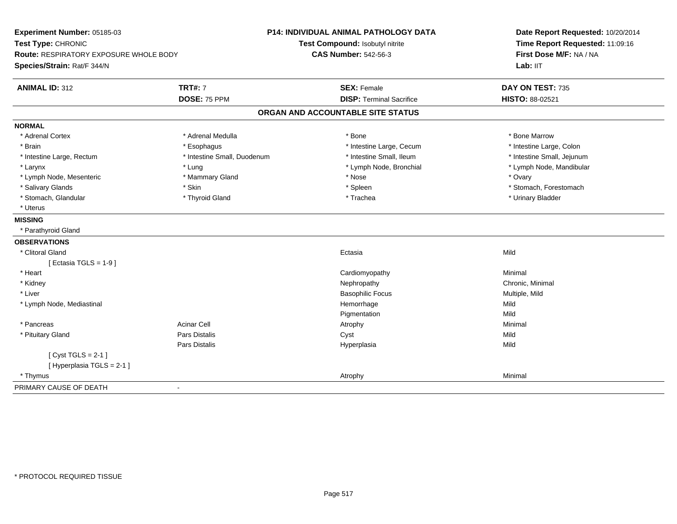| Experiment Number: 05185-03<br>Test Type: CHRONIC<br>Route: RESPIRATORY EXPOSURE WHOLE BODY<br>Species/Strain: Rat/F 344/N | <b>P14: INDIVIDUAL ANIMAL PATHOLOGY DATA</b><br>Test Compound: Isobutyl nitrite<br><b>CAS Number: 542-56-3</b> | Date Report Requested: 10/20/2014<br>Time Report Requested: 11:09:16<br>First Dose M/F: NA / NA<br>Lab: IIT |
|----------------------------------------------------------------------------------------------------------------------------|----------------------------------------------------------------------------------------------------------------|-------------------------------------------------------------------------------------------------------------|
|                                                                                                                            |                                                                                                                |                                                                                                             |
| <b>ANIMAL ID: 312</b><br><b>TRT#: 7</b>                                                                                    | <b>SEX: Female</b>                                                                                             | DAY ON TEST: 735                                                                                            |
| DOSE: 75 PPM                                                                                                               | <b>DISP: Terminal Sacrifice</b>                                                                                | HISTO: 88-02521                                                                                             |
|                                                                                                                            | ORGAN AND ACCOUNTABLE SITE STATUS                                                                              |                                                                                                             |
| <b>NORMAL</b>                                                                                                              |                                                                                                                |                                                                                                             |
| * Adrenal Cortex<br>* Adrenal Medulla                                                                                      | * Bone                                                                                                         | * Bone Marrow                                                                                               |
| * Brain<br>* Esophagus                                                                                                     | * Intestine Large, Cecum                                                                                       | * Intestine Large, Colon                                                                                    |
| * Intestine Small, Duodenum<br>* Intestine Large, Rectum                                                                   | * Intestine Small, Ileum                                                                                       | * Intestine Small, Jejunum                                                                                  |
| * Larynx<br>* Lung                                                                                                         | * Lymph Node, Bronchial                                                                                        | * Lymph Node, Mandibular                                                                                    |
| * Lymph Node, Mesenteric<br>* Mammary Gland                                                                                | * Nose                                                                                                         | * Ovary                                                                                                     |
| * Salivary Glands<br>* Skin                                                                                                | * Spleen                                                                                                       | * Stomach, Forestomach                                                                                      |
| * Stomach, Glandular<br>* Thyroid Gland                                                                                    | * Trachea                                                                                                      | * Urinary Bladder                                                                                           |
| * Uterus                                                                                                                   |                                                                                                                |                                                                                                             |
| <b>MISSING</b>                                                                                                             |                                                                                                                |                                                                                                             |
| * Parathyroid Gland                                                                                                        |                                                                                                                |                                                                                                             |
| <b>OBSERVATIONS</b>                                                                                                        |                                                                                                                |                                                                                                             |
| * Clitoral Gland                                                                                                           | Ectasia                                                                                                        | Mild                                                                                                        |
| [ Ectasia TGLS = $1-9$ ]                                                                                                   |                                                                                                                |                                                                                                             |
| * Heart                                                                                                                    | Cardiomyopathy                                                                                                 | Minimal                                                                                                     |
| * Kidney                                                                                                                   | Nephropathy                                                                                                    | Chronic, Minimal                                                                                            |
| * Liver                                                                                                                    | <b>Basophilic Focus</b>                                                                                        | Multiple, Mild                                                                                              |
| * Lymph Node, Mediastinal                                                                                                  | Hemorrhage                                                                                                     | Mild                                                                                                        |
|                                                                                                                            | Pigmentation                                                                                                   | Mild                                                                                                        |
| <b>Acinar Cell</b><br>* Pancreas                                                                                           | Atrophy                                                                                                        | Minimal                                                                                                     |
| <b>Pars Distalis</b><br>* Pituitary Gland                                                                                  | Cyst                                                                                                           | Mild                                                                                                        |
| Pars Distalis                                                                                                              | Hyperplasia                                                                                                    | Mild                                                                                                        |
| [Cyst TGLS = $2-1$ ]                                                                                                       |                                                                                                                |                                                                                                             |
| [Hyperplasia TGLS = 2-1]                                                                                                   |                                                                                                                |                                                                                                             |
| * Thymus                                                                                                                   | Atrophy                                                                                                        | Minimal                                                                                                     |
| PRIMARY CAUSE OF DEATH<br>$\blacksquare$                                                                                   |                                                                                                                |                                                                                                             |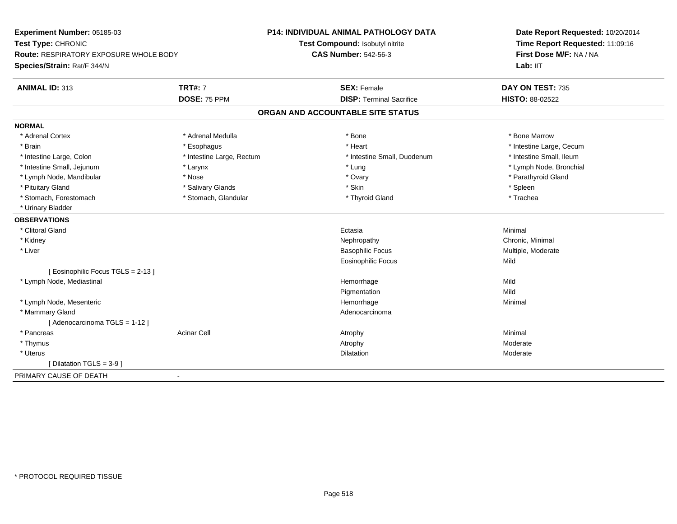| Experiment Number: 05185-03                   |                           | <b>P14: INDIVIDUAL ANIMAL PATHOLOGY DATA</b> | Date Report Requested: 10/20/2014 |
|-----------------------------------------------|---------------------------|----------------------------------------------|-----------------------------------|
| Test Type: CHRONIC                            |                           | Test Compound: Isobutyl nitrite              | Time Report Requested: 11:09:16   |
| <b>Route: RESPIRATORY EXPOSURE WHOLE BODY</b> |                           | <b>CAS Number: 542-56-3</b>                  | First Dose M/F: NA / NA           |
| Species/Strain: Rat/F 344/N                   |                           |                                              | Lab: IIT                          |
| <b>ANIMAL ID: 313</b>                         | <b>TRT#: 7</b>            | <b>SEX: Female</b>                           | DAY ON TEST: 735                  |
|                                               | DOSE: 75 PPM              | <b>DISP: Terminal Sacrifice</b>              | HISTO: 88-02522                   |
|                                               |                           | ORGAN AND ACCOUNTABLE SITE STATUS            |                                   |
| <b>NORMAL</b>                                 |                           |                                              |                                   |
| * Adrenal Cortex                              | * Adrenal Medulla         | * Bone                                       | * Bone Marrow                     |
| * Brain                                       | * Esophagus               | * Heart                                      | * Intestine Large, Cecum          |
| * Intestine Large, Colon                      | * Intestine Large, Rectum | * Intestine Small, Duodenum                  | * Intestine Small, Ileum          |
| * Intestine Small, Jejunum                    | * Larynx                  | * Lung                                       | * Lymph Node, Bronchial           |
| * Lymph Node, Mandibular                      | * Nose                    | * Ovary                                      | * Parathyroid Gland               |
| * Pituitary Gland                             | * Salivary Glands         | * Skin                                       | * Spleen                          |
| * Stomach, Forestomach                        | * Stomach, Glandular      | * Thyroid Gland                              | * Trachea                         |
| * Urinary Bladder                             |                           |                                              |                                   |
| <b>OBSERVATIONS</b>                           |                           |                                              |                                   |
| * Clitoral Gland                              |                           | Ectasia                                      | Minimal                           |
| * Kidney                                      |                           | Nephropathy                                  | Chronic, Minimal                  |
| * Liver                                       |                           | <b>Basophilic Focus</b>                      | Multiple, Moderate                |
|                                               |                           | Eosinophilic Focus                           | Mild                              |
| [Eosinophilic Focus TGLS = 2-13]              |                           |                                              |                                   |
| * Lymph Node, Mediastinal                     |                           | Hemorrhage                                   | Mild                              |
|                                               |                           | Pigmentation                                 | Mild                              |
| * Lymph Node, Mesenteric                      |                           | Hemorrhage                                   | Minimal                           |
| * Mammary Gland                               |                           | Adenocarcinoma                               |                                   |
| [ Adenocarcinoma TGLS = 1-12 ]                |                           |                                              |                                   |
| * Pancreas                                    | <b>Acinar Cell</b>        | Atrophy                                      | Minimal                           |
| * Thymus                                      |                           | Atrophy                                      | Moderate                          |
| * Uterus                                      |                           | Dilatation                                   | Moderate                          |
| [ Dilatation TGLS = 3-9 ]                     |                           |                                              |                                   |
| PRIMARY CAUSE OF DEATH                        | $\blacksquare$            |                                              |                                   |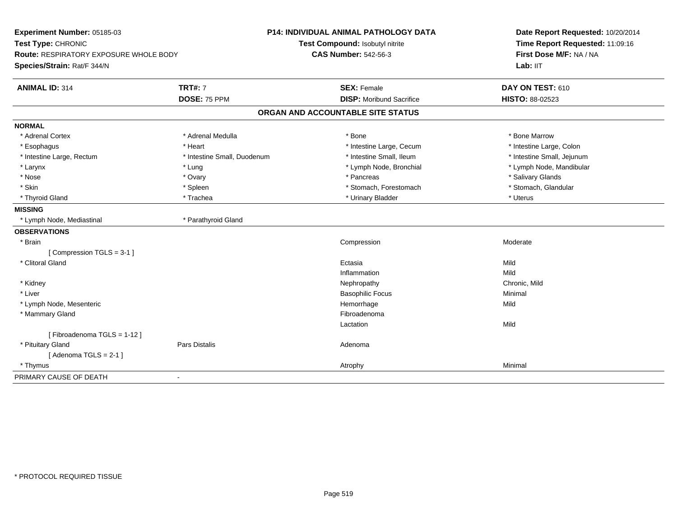| Experiment Number: 05185-03            |                             | <b>P14: INDIVIDUAL ANIMAL PATHOLOGY DATA</b> | Date Report Requested: 10/20/2014   |
|----------------------------------------|-----------------------------|----------------------------------------------|-------------------------------------|
| Test Type: CHRONIC                     |                             | Test Compound: Isobutyl nitrite              | Time Report Requested: 11:09:16     |
| Route: RESPIRATORY EXPOSURE WHOLE BODY |                             | <b>CAS Number: 542-56-3</b>                  | First Dose M/F: NA / NA<br>Lab: IIT |
| Species/Strain: Rat/F 344/N            |                             |                                              |                                     |
| <b>ANIMAL ID: 314</b>                  | <b>TRT#: 7</b>              | <b>SEX: Female</b>                           | DAY ON TEST: 610                    |
|                                        | DOSE: 75 PPM                | <b>DISP:</b> Moribund Sacrifice              | HISTO: 88-02523                     |
|                                        |                             | ORGAN AND ACCOUNTABLE SITE STATUS            |                                     |
| <b>NORMAL</b>                          |                             |                                              |                                     |
| * Adrenal Cortex                       | * Adrenal Medulla           | * Bone                                       | * Bone Marrow                       |
| * Esophagus                            | * Heart                     | * Intestine Large, Cecum                     | * Intestine Large, Colon            |
| * Intestine Large, Rectum              | * Intestine Small, Duodenum | * Intestine Small, Ileum                     | * Intestine Small, Jejunum          |
| * Larynx                               | * Lung                      | * Lymph Node, Bronchial                      | * Lymph Node, Mandibular            |
| * Nose                                 | * Ovary                     | * Pancreas                                   | * Salivary Glands                   |
| * Skin                                 | * Spleen                    | * Stomach, Forestomach                       | * Stomach, Glandular                |
| * Thyroid Gland                        | * Trachea                   | * Urinary Bladder                            | * Uterus                            |
| <b>MISSING</b>                         |                             |                                              |                                     |
| * Lymph Node, Mediastinal              | * Parathyroid Gland         |                                              |                                     |
| <b>OBSERVATIONS</b>                    |                             |                                              |                                     |
| * Brain                                |                             | Compression                                  | Moderate                            |
| [Compression TGLS = 3-1]               |                             |                                              |                                     |
| * Clitoral Gland                       |                             | Ectasia                                      | Mild                                |
|                                        |                             | Inflammation                                 | Mild                                |
| * Kidney                               |                             | Nephropathy                                  | Chronic, Mild                       |
| * Liver                                |                             | <b>Basophilic Focus</b>                      | Minimal                             |
| * Lymph Node, Mesenteric               |                             | Hemorrhage                                   | Mild                                |
| * Mammary Gland                        |                             | Fibroadenoma                                 |                                     |
|                                        |                             | Lactation                                    | Mild                                |
| [Fibroadenoma TGLS = 1-12]             |                             |                                              |                                     |
| * Pituitary Gland                      | <b>Pars Distalis</b>        | Adenoma                                      |                                     |
| [Adenoma TGLS = $2-1$ ]                |                             |                                              |                                     |
| * Thymus                               |                             | Atrophy                                      | Minimal                             |
| PRIMARY CAUSE OF DEATH                 | $\blacksquare$              |                                              |                                     |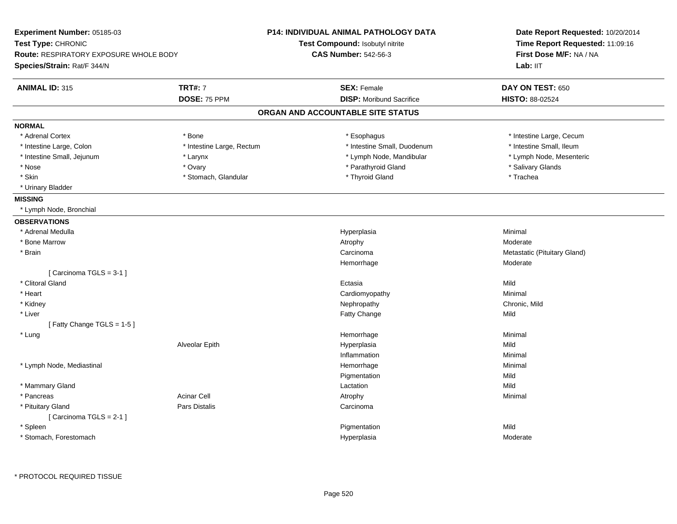| Experiment Number: 05185-03                 |                           | P14: INDIVIDUAL ANIMAL PATHOLOGY DATA | Date Report Requested: 10/20/2014                          |  |
|---------------------------------------------|---------------------------|---------------------------------------|------------------------------------------------------------|--|
| Test Type: CHRONIC                          |                           | Test Compound: Isobutyl nitrite       | Time Report Requested: 11:09:16<br>First Dose M/F: NA / NA |  |
| Route: RESPIRATORY EXPOSURE WHOLE BODY      |                           | <b>CAS Number: 542-56-3</b>           |                                                            |  |
| Species/Strain: Rat/F 344/N                 |                           |                                       | Lab: IIT                                                   |  |
| <b>ANIMAL ID: 315</b>                       | <b>TRT#: 7</b>            | <b>SEX: Female</b>                    | DAY ON TEST: 650                                           |  |
|                                             | DOSE: 75 PPM              | <b>DISP:</b> Moribund Sacrifice       | HISTO: 88-02524                                            |  |
|                                             |                           | ORGAN AND ACCOUNTABLE SITE STATUS     |                                                            |  |
| <b>NORMAL</b>                               |                           |                                       |                                                            |  |
| * Adrenal Cortex                            | * Bone                    | * Esophagus                           | * Intestine Large, Cecum                                   |  |
| * Intestine Large, Colon                    | * Intestine Large, Rectum | * Intestine Small, Duodenum           | * Intestine Small, Ileum                                   |  |
| * Intestine Small, Jejunum                  | * Larynx                  | * Lymph Node, Mandibular              | * Lymph Node, Mesenteric                                   |  |
| * Nose                                      | * Ovary                   | * Parathyroid Gland                   | * Salivary Glands                                          |  |
| * Skin                                      | * Stomach, Glandular      | * Thyroid Gland                       | * Trachea                                                  |  |
| * Urinary Bladder                           |                           |                                       |                                                            |  |
| <b>MISSING</b>                              |                           |                                       |                                                            |  |
| * Lymph Node, Bronchial                     |                           |                                       |                                                            |  |
| <b>OBSERVATIONS</b>                         |                           |                                       |                                                            |  |
| * Adrenal Medulla                           |                           | Hyperplasia                           | Minimal                                                    |  |
| * Bone Marrow                               |                           | Atrophy                               | Moderate                                                   |  |
| * Brain                                     |                           | Carcinoma                             | Metastatic (Pituitary Gland)                               |  |
|                                             |                           | Hemorrhage                            | Moderate                                                   |  |
| [Carcinoma TGLS = 3-1]                      |                           |                                       |                                                            |  |
| * Clitoral Gland                            |                           | Ectasia                               | Mild                                                       |  |
| * Heart                                     |                           | Cardiomyopathy                        | Minimal                                                    |  |
| * Kidney                                    |                           | Nephropathy                           | Chronic, Mild                                              |  |
| * Liver                                     |                           | Fatty Change                          | Mild                                                       |  |
| [Fatty Change TGLS = 1-5]                   |                           |                                       |                                                            |  |
| * Lung                                      |                           | Hemorrhage                            | Minimal                                                    |  |
|                                             | Alveolar Epith            | Hyperplasia                           | Mild                                                       |  |
|                                             |                           | Inflammation                          | Minimal                                                    |  |
| * Lymph Node, Mediastinal                   |                           | Hemorrhage                            | Minimal                                                    |  |
|                                             |                           | Pigmentation                          | Mild                                                       |  |
| * Mammary Gland                             |                           | Lactation                             | Mild                                                       |  |
| * Pancreas                                  | <b>Acinar Cell</b>        | Atrophy                               | Minimal                                                    |  |
| * Pituitary Gland<br>[Carcinoma TGLS = 2-1] | Pars Distalis             | Carcinoma                             |                                                            |  |
| * Spleen                                    |                           | Pigmentation                          | Mild                                                       |  |
| * Stomach, Forestomach                      |                           | Hyperplasia                           | Moderate                                                   |  |
|                                             |                           |                                       |                                                            |  |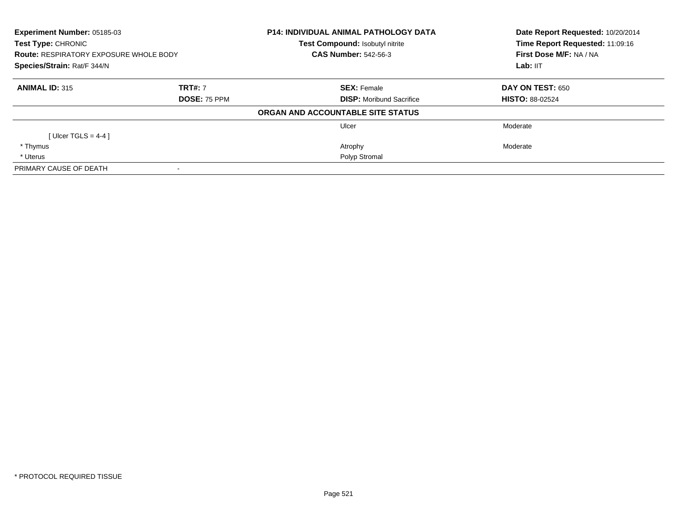| <b>P14: INDIVIDUAL ANIMAL PATHOLOGY DATA</b><br>Experiment Number: 05185-03<br>Test Type: CHRONIC<br>Test Compound: Isobutyl nitrite<br><b>CAS Number: 542-56-3</b><br><b>Route: RESPIRATORY EXPOSURE WHOLE BODY</b><br>Species/Strain: Rat/F 344/N |                     |                                   | Date Report Requested: 10/20/2014<br>Time Report Requested: 11:09:16 |
|-----------------------------------------------------------------------------------------------------------------------------------------------------------------------------------------------------------------------------------------------------|---------------------|-----------------------------------|----------------------------------------------------------------------|
|                                                                                                                                                                                                                                                     |                     |                                   | First Dose M/F: NA / NA                                              |
|                                                                                                                                                                                                                                                     |                     |                                   | Lab: IIT                                                             |
| <b>ANIMAL ID: 315</b>                                                                                                                                                                                                                               | <b>TRT#: 7</b>      | <b>SEX: Female</b>                | DAY ON TEST: 650                                                     |
|                                                                                                                                                                                                                                                     | <b>DOSE: 75 PPM</b> | <b>DISP:</b> Moribund Sacrifice   | <b>HISTO: 88-02524</b>                                               |
|                                                                                                                                                                                                                                                     |                     | ORGAN AND ACCOUNTABLE SITE STATUS |                                                                      |
|                                                                                                                                                                                                                                                     |                     | Ulcer                             | Moderate                                                             |
| [Ulcer TGLS = 4-4 ]                                                                                                                                                                                                                                 |                     |                                   |                                                                      |
| * Thymus                                                                                                                                                                                                                                            |                     | Atrophy                           | Moderate                                                             |
| * Uterus                                                                                                                                                                                                                                            |                     | Polyp Stromal                     |                                                                      |
| PRIMARY CAUSE OF DEATH                                                                                                                                                                                                                              |                     |                                   |                                                                      |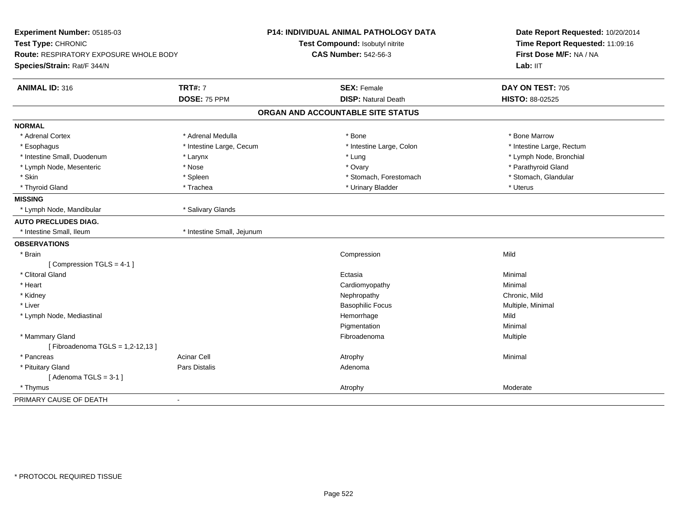| Experiment Number: 05185-03<br>Test Type: CHRONIC<br><b>Route: RESPIRATORY EXPOSURE WHOLE BODY</b><br>Species/Strain: Rat/F 344/N |                            | <b>P14: INDIVIDUAL ANIMAL PATHOLOGY DATA</b><br>Test Compound: Isobutyl nitrite<br><b>CAS Number: 542-56-3</b> | Date Report Requested: 10/20/2014<br>Time Report Requested: 11:09:16<br>First Dose M/F: NA / NA<br>Lab: IIT |
|-----------------------------------------------------------------------------------------------------------------------------------|----------------------------|----------------------------------------------------------------------------------------------------------------|-------------------------------------------------------------------------------------------------------------|
| <b>ANIMAL ID: 316</b>                                                                                                             | <b>TRT#: 7</b>             | <b>SEX: Female</b>                                                                                             | DAY ON TEST: 705                                                                                            |
|                                                                                                                                   | DOSE: 75 PPM               | <b>DISP: Natural Death</b>                                                                                     | HISTO: 88-02525                                                                                             |
|                                                                                                                                   |                            | ORGAN AND ACCOUNTABLE SITE STATUS                                                                              |                                                                                                             |
| <b>NORMAL</b>                                                                                                                     |                            |                                                                                                                |                                                                                                             |
| * Adrenal Cortex                                                                                                                  | * Adrenal Medulla          | * Bone                                                                                                         | * Bone Marrow                                                                                               |
| * Esophagus                                                                                                                       | * Intestine Large, Cecum   | * Intestine Large, Colon                                                                                       | * Intestine Large, Rectum                                                                                   |
| * Intestine Small, Duodenum                                                                                                       | * Larynx                   | * Lung                                                                                                         | * Lymph Node, Bronchial                                                                                     |
| * Lymph Node, Mesenteric                                                                                                          | * Nose                     | * Ovary                                                                                                        | * Parathyroid Gland                                                                                         |
| * Skin                                                                                                                            | * Spleen                   | * Stomach, Forestomach                                                                                         | * Stomach, Glandular                                                                                        |
| * Thyroid Gland                                                                                                                   | * Trachea                  | * Urinary Bladder                                                                                              | * Uterus                                                                                                    |
| <b>MISSING</b>                                                                                                                    |                            |                                                                                                                |                                                                                                             |
| * Lymph Node, Mandibular                                                                                                          | * Salivary Glands          |                                                                                                                |                                                                                                             |
| <b>AUTO PRECLUDES DIAG.</b>                                                                                                       |                            |                                                                                                                |                                                                                                             |
| * Intestine Small, Ileum                                                                                                          | * Intestine Small, Jejunum |                                                                                                                |                                                                                                             |
| <b>OBSERVATIONS</b>                                                                                                               |                            |                                                                                                                |                                                                                                             |
| * Brain                                                                                                                           |                            | Compression                                                                                                    | Mild                                                                                                        |
| [Compression TGLS = 4-1]                                                                                                          |                            |                                                                                                                |                                                                                                             |
| * Clitoral Gland                                                                                                                  |                            | Ectasia                                                                                                        | Minimal                                                                                                     |
| * Heart                                                                                                                           |                            | Cardiomyopathy                                                                                                 | Minimal                                                                                                     |
| * Kidney                                                                                                                          |                            | Nephropathy                                                                                                    | Chronic, Mild                                                                                               |
| * Liver                                                                                                                           |                            | <b>Basophilic Focus</b>                                                                                        | Multiple, Minimal                                                                                           |
| * Lymph Node, Mediastinal                                                                                                         |                            | Hemorrhage                                                                                                     | Mild                                                                                                        |
|                                                                                                                                   |                            | Pigmentation                                                                                                   | Minimal                                                                                                     |
| * Mammary Gland                                                                                                                   |                            | Fibroadenoma                                                                                                   | Multiple                                                                                                    |
| [Fibroadenoma TGLS = 1,2-12,13]                                                                                                   |                            |                                                                                                                |                                                                                                             |
| * Pancreas                                                                                                                        | <b>Acinar Cell</b>         | Atrophy                                                                                                        | Minimal                                                                                                     |
| * Pituitary Gland                                                                                                                 | Pars Distalis              | Adenoma                                                                                                        |                                                                                                             |
| [Adenoma TGLS = $3-1$ ]                                                                                                           |                            |                                                                                                                |                                                                                                             |
| * Thymus                                                                                                                          |                            | Atrophy                                                                                                        | Moderate                                                                                                    |
| PRIMARY CAUSE OF DEATH                                                                                                            | $\blacksquare$             |                                                                                                                |                                                                                                             |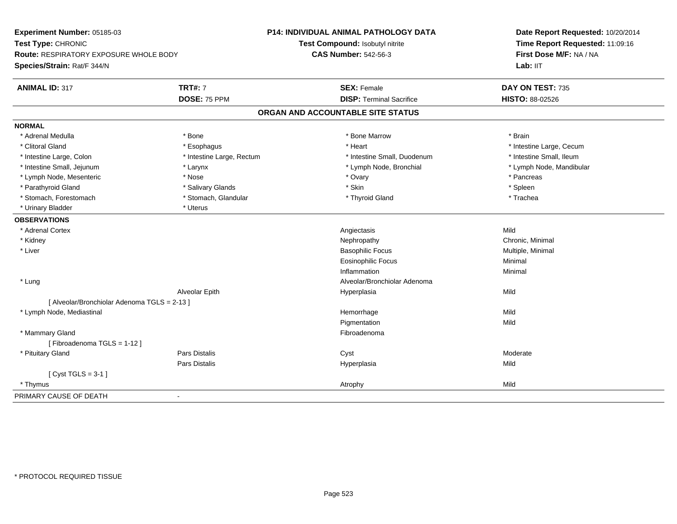| Experiment Number: 05185-03                   |                           | P14: INDIVIDUAL ANIMAL PATHOLOGY DATA | Date Report Requested: 10/20/2014<br>Time Report Requested: 11:09:16 |
|-----------------------------------------------|---------------------------|---------------------------------------|----------------------------------------------------------------------|
| Test Type: CHRONIC                            |                           | Test Compound: Isobutyl nitrite       |                                                                      |
| <b>Route: RESPIRATORY EXPOSURE WHOLE BODY</b> |                           | <b>CAS Number: 542-56-3</b>           | First Dose M/F: NA / NA                                              |
| Species/Strain: Rat/F 344/N                   |                           |                                       | Lab: IIT                                                             |
| <b>ANIMAL ID: 317</b>                         | <b>TRT#: 7</b>            | <b>SEX: Female</b>                    | DAY ON TEST: 735                                                     |
|                                               | DOSE: 75 PPM              | <b>DISP: Terminal Sacrifice</b>       | HISTO: 88-02526                                                      |
|                                               |                           | ORGAN AND ACCOUNTABLE SITE STATUS     |                                                                      |
| <b>NORMAL</b>                                 |                           |                                       |                                                                      |
| * Adrenal Medulla                             | * Bone                    | * Bone Marrow                         | * Brain                                                              |
| * Clitoral Gland                              | * Esophagus               | * Heart                               | * Intestine Large, Cecum                                             |
| * Intestine Large, Colon                      | * Intestine Large, Rectum | * Intestine Small, Duodenum           | * Intestine Small, Ileum                                             |
| * Intestine Small, Jejunum                    | * Larynx                  | * Lymph Node, Bronchial               | * Lymph Node, Mandibular                                             |
| * Lymph Node, Mesenteric                      | * Nose                    | * Ovary                               | * Pancreas                                                           |
| * Parathyroid Gland                           | * Salivary Glands         | * Skin                                | * Spleen                                                             |
| * Stomach, Forestomach                        | * Stomach, Glandular      | * Thyroid Gland                       | * Trachea                                                            |
| * Urinary Bladder                             | * Uterus                  |                                       |                                                                      |
| <b>OBSERVATIONS</b>                           |                           |                                       |                                                                      |
| * Adrenal Cortex                              |                           | Angiectasis                           | Mild                                                                 |
| * Kidney                                      |                           | Nephropathy                           | Chronic, Minimal                                                     |
| * Liver                                       |                           | <b>Basophilic Focus</b>               | Multiple, Minimal                                                    |
|                                               |                           | <b>Eosinophilic Focus</b>             | Minimal                                                              |
|                                               |                           | Inflammation                          | Minimal                                                              |
| * Lung                                        |                           | Alveolar/Bronchiolar Adenoma          |                                                                      |
|                                               | Alveolar Epith            | Hyperplasia                           | Mild                                                                 |
| [ Alveolar/Bronchiolar Adenoma TGLS = 2-13 ]  |                           |                                       |                                                                      |
| * Lymph Node, Mediastinal                     |                           | Hemorrhage                            | Mild                                                                 |
|                                               |                           | Pigmentation                          | Mild                                                                 |
| * Mammary Gland                               |                           | Fibroadenoma                          |                                                                      |
| [Fibroadenoma TGLS = 1-12]                    |                           |                                       |                                                                      |
| * Pituitary Gland                             | <b>Pars Distalis</b>      | Cyst                                  | Moderate                                                             |
|                                               | Pars Distalis             | Hyperplasia                           | Mild                                                                 |
| [Cyst TGLS = $3-1$ ]                          |                           |                                       |                                                                      |
| * Thymus                                      |                           | Atrophy                               | Mild                                                                 |
| PRIMARY CAUSE OF DEATH                        | $\blacksquare$            |                                       |                                                                      |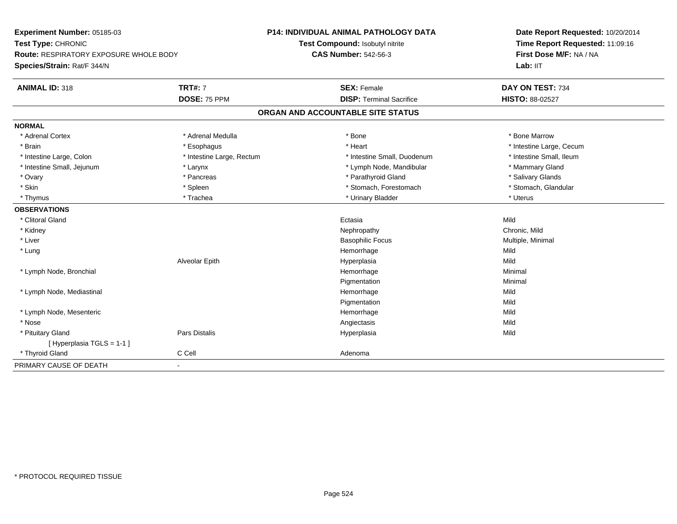| Experiment Number: 05185-03                                         |                           | <b>P14: INDIVIDUAL ANIMAL PATHOLOGY DATA</b> | Date Report Requested: 10/20/2014                          |
|---------------------------------------------------------------------|---------------------------|----------------------------------------------|------------------------------------------------------------|
| Test Type: CHRONIC<br><b>Route: RESPIRATORY EXPOSURE WHOLE BODY</b> |                           | Test Compound: Isobutyl nitrite              | Time Report Requested: 11:09:16<br>First Dose M/F: NA / NA |
|                                                                     |                           | <b>CAS Number: 542-56-3</b>                  |                                                            |
| Species/Strain: Rat/F 344/N                                         |                           |                                              | Lab: IIT                                                   |
| <b>ANIMAL ID: 318</b>                                               | <b>TRT#: 7</b>            | <b>SEX: Female</b>                           | DAY ON TEST: 734                                           |
|                                                                     | DOSE: 75 PPM              | <b>DISP: Terminal Sacrifice</b>              | HISTO: 88-02527                                            |
|                                                                     |                           | ORGAN AND ACCOUNTABLE SITE STATUS            |                                                            |
| <b>NORMAL</b>                                                       |                           |                                              |                                                            |
| * Adrenal Cortex                                                    | * Adrenal Medulla         | * Bone                                       | * Bone Marrow                                              |
| * Brain                                                             | * Esophagus               | * Heart                                      | * Intestine Large, Cecum                                   |
| * Intestine Large, Colon                                            | * Intestine Large, Rectum | * Intestine Small, Duodenum                  | * Intestine Small, Ileum                                   |
| * Intestine Small, Jejunum                                          | * Larynx                  | * Lymph Node, Mandibular                     | * Mammary Gland                                            |
| * Ovary                                                             | * Pancreas                | * Parathyroid Gland                          | * Salivary Glands                                          |
| * Skin                                                              | * Spleen                  | * Stomach, Forestomach                       | * Stomach, Glandular                                       |
| * Thymus                                                            | * Trachea                 | * Urinary Bladder                            | * Uterus                                                   |
| <b>OBSERVATIONS</b>                                                 |                           |                                              |                                                            |
| * Clitoral Gland                                                    |                           | Ectasia                                      | Mild                                                       |
| * Kidney                                                            |                           | Nephropathy                                  | Chronic, Mild                                              |
| * Liver                                                             |                           | <b>Basophilic Focus</b>                      | Multiple, Minimal                                          |
| * Lung                                                              |                           | Hemorrhage                                   | Mild                                                       |
|                                                                     | Alveolar Epith            | Hyperplasia                                  | Mild                                                       |
| * Lymph Node, Bronchial                                             |                           | Hemorrhage                                   | Minimal                                                    |
|                                                                     |                           | Pigmentation                                 | Minimal                                                    |
| * Lymph Node, Mediastinal                                           |                           | Hemorrhage                                   | Mild                                                       |
|                                                                     |                           | Pigmentation                                 | Mild                                                       |
| * Lymph Node, Mesenteric                                            |                           | Hemorrhage                                   | Mild                                                       |
| * Nose                                                              |                           | Angiectasis                                  | Mild                                                       |
| * Pituitary Gland                                                   | Pars Distalis             | Hyperplasia                                  | Mild                                                       |
| [Hyperplasia TGLS = 1-1]                                            |                           |                                              |                                                            |
| * Thyroid Gland                                                     | C Cell                    | Adenoma                                      |                                                            |
| PRIMARY CAUSE OF DEATH                                              | $\blacksquare$            |                                              |                                                            |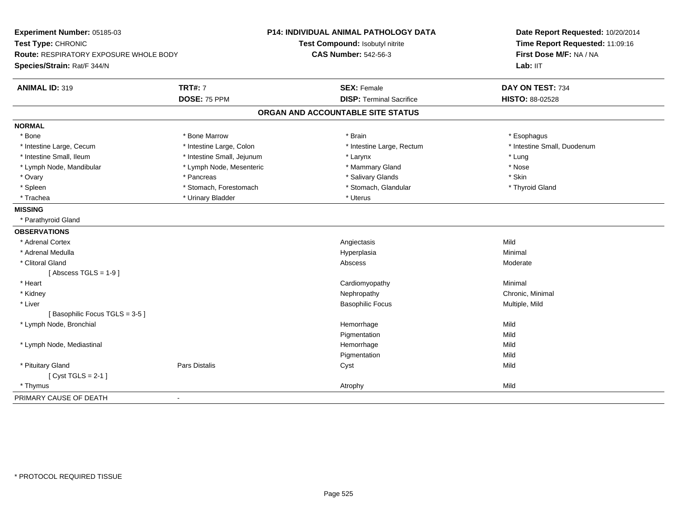| Experiment Number: 05185-03<br>Test Type: CHRONIC |                            | <b>P14: INDIVIDUAL ANIMAL PATHOLOGY DATA</b><br>Test Compound: Isobutyl nitrite | Date Report Requested: 10/20/2014<br>Time Report Requested: 11:09:16 |  |
|---------------------------------------------------|----------------------------|---------------------------------------------------------------------------------|----------------------------------------------------------------------|--|
| <b>Route: RESPIRATORY EXPOSURE WHOLE BODY</b>     |                            | <b>CAS Number: 542-56-3</b>                                                     | First Dose M/F: NA / NA                                              |  |
| Species/Strain: Rat/F 344/N                       |                            |                                                                                 | Lab: IIT                                                             |  |
| <b>ANIMAL ID: 319</b>                             | <b>TRT#: 7</b>             | <b>SEX: Female</b>                                                              | DAY ON TEST: 734                                                     |  |
|                                                   | DOSE: 75 PPM               | <b>DISP: Terminal Sacrifice</b>                                                 | HISTO: 88-02528                                                      |  |
|                                                   |                            | ORGAN AND ACCOUNTABLE SITE STATUS                                               |                                                                      |  |
| <b>NORMAL</b>                                     |                            |                                                                                 |                                                                      |  |
| * Bone                                            | * Bone Marrow              | * Brain                                                                         | * Esophagus                                                          |  |
| * Intestine Large, Cecum                          | * Intestine Large, Colon   | * Intestine Large, Rectum                                                       | * Intestine Small, Duodenum                                          |  |
| * Intestine Small, Ileum                          | * Intestine Small, Jejunum | * Larynx                                                                        | * Lung                                                               |  |
| * Lymph Node, Mandibular                          | * Lymph Node, Mesenteric   | * Mammary Gland                                                                 | * Nose                                                               |  |
| * Ovary                                           | * Pancreas                 | * Salivary Glands                                                               | * Skin                                                               |  |
| * Spleen                                          | * Stomach, Forestomach     | * Stomach, Glandular                                                            | * Thyroid Gland                                                      |  |
| * Trachea                                         | * Urinary Bladder          | * Uterus                                                                        |                                                                      |  |
| <b>MISSING</b>                                    |                            |                                                                                 |                                                                      |  |
| * Parathyroid Gland                               |                            |                                                                                 |                                                                      |  |
| <b>OBSERVATIONS</b>                               |                            |                                                                                 |                                                                      |  |
| * Adrenal Cortex                                  |                            | Angiectasis                                                                     | Mild                                                                 |  |
| * Adrenal Medulla                                 |                            | Hyperplasia                                                                     | Minimal                                                              |  |
| * Clitoral Gland                                  |                            | Abscess                                                                         | Moderate                                                             |  |
| [Abscess TGLS = $1-9$ ]                           |                            |                                                                                 |                                                                      |  |
| * Heart                                           |                            | Cardiomyopathy                                                                  | Minimal                                                              |  |
| * Kidney                                          |                            | Nephropathy                                                                     | Chronic, Minimal                                                     |  |
| * Liver                                           |                            | <b>Basophilic Focus</b>                                                         | Multiple, Mild                                                       |  |
| [Basophilic Focus TGLS = 3-5]                     |                            |                                                                                 |                                                                      |  |
| * Lymph Node, Bronchial                           |                            | Hemorrhage                                                                      | Mild                                                                 |  |
|                                                   |                            | Pigmentation                                                                    | Mild                                                                 |  |
| * Lymph Node, Mediastinal                         |                            | Hemorrhage                                                                      | Mild                                                                 |  |
|                                                   |                            | Pigmentation                                                                    | Mild                                                                 |  |
| * Pituitary Gland                                 | <b>Pars Distalis</b>       | Cyst                                                                            | Mild                                                                 |  |
| [Cyst TGLS = $2-1$ ]                              |                            |                                                                                 |                                                                      |  |
| * Thymus                                          |                            | Atrophy                                                                         | Mild                                                                 |  |
| PRIMARY CAUSE OF DEATH                            | $\blacksquare$             |                                                                                 |                                                                      |  |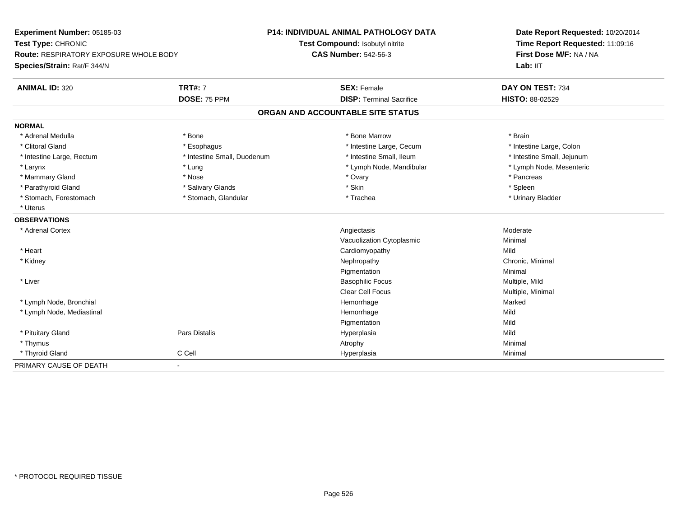| Experiment Number: 05185-03                   |                             | <b>P14: INDIVIDUAL ANIMAL PATHOLOGY DATA</b> | Date Report Requested: 10/20/2014 |
|-----------------------------------------------|-----------------------------|----------------------------------------------|-----------------------------------|
| Test Type: CHRONIC                            |                             | Test Compound: Isobutyl nitrite              | Time Report Requested: 11:09:16   |
| <b>Route: RESPIRATORY EXPOSURE WHOLE BODY</b> |                             | <b>CAS Number: 542-56-3</b>                  | First Dose M/F: NA / NA           |
| Species/Strain: Rat/F 344/N                   |                             |                                              | Lab: IIT                          |
| <b>ANIMAL ID: 320</b>                         | <b>TRT#: 7</b>              | <b>SEX: Female</b>                           | DAY ON TEST: 734                  |
|                                               | DOSE: 75 PPM                | <b>DISP: Terminal Sacrifice</b>              | <b>HISTO: 88-02529</b>            |
|                                               |                             | ORGAN AND ACCOUNTABLE SITE STATUS            |                                   |
| <b>NORMAL</b>                                 |                             |                                              |                                   |
| * Adrenal Medulla                             | * Bone                      | * Bone Marrow                                | * Brain                           |
| * Clitoral Gland                              | * Esophagus                 | * Intestine Large, Cecum                     | * Intestine Large, Colon          |
| * Intestine Large, Rectum                     | * Intestine Small, Duodenum | * Intestine Small, Ileum                     | * Intestine Small, Jejunum        |
| * Larynx                                      | * Lung                      | * Lymph Node, Mandibular                     | * Lymph Node, Mesenteric          |
| * Mammary Gland                               | * Nose                      | * Ovary                                      | * Pancreas                        |
| * Parathyroid Gland                           | * Salivary Glands           | * Skin                                       | * Spleen                          |
| * Stomach, Forestomach                        | * Stomach, Glandular        | * Trachea                                    | * Urinary Bladder                 |
| * Uterus                                      |                             |                                              |                                   |
| <b>OBSERVATIONS</b>                           |                             |                                              |                                   |
| * Adrenal Cortex                              |                             | Angiectasis                                  | Moderate                          |
|                                               |                             | Vacuolization Cytoplasmic                    | Minimal                           |
| * Heart                                       |                             | Cardiomyopathy                               | Mild                              |
| * Kidney                                      |                             | Nephropathy                                  | Chronic, Minimal                  |
|                                               |                             | Pigmentation                                 | Minimal                           |
| * Liver                                       |                             | <b>Basophilic Focus</b>                      | Multiple, Mild                    |
|                                               |                             | <b>Clear Cell Focus</b>                      | Multiple, Minimal                 |
| * Lymph Node, Bronchial                       |                             | Hemorrhage                                   | Marked                            |
| * Lymph Node, Mediastinal                     |                             | Hemorrhage                                   | Mild                              |
|                                               |                             | Pigmentation                                 | Mild                              |
| * Pituitary Gland                             | Pars Distalis               | Hyperplasia                                  | Mild                              |
| * Thymus                                      |                             | Atrophy                                      | Minimal                           |
| * Thyroid Gland                               | C Cell                      | Hyperplasia                                  | Minimal                           |
| PRIMARY CAUSE OF DEATH                        | $\blacksquare$              |                                              |                                   |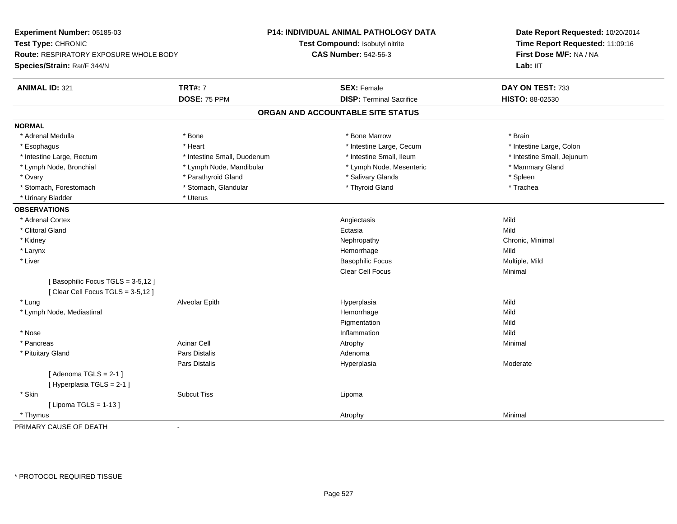| Experiment Number: 05185-03            |                             | <b>P14: INDIVIDUAL ANIMAL PATHOLOGY DATA</b> | Date Report Requested: 10/20/2014<br>Time Report Requested: 11:09:16<br>First Dose M/F: NA / NA<br>Lab: IIT |
|----------------------------------------|-----------------------------|----------------------------------------------|-------------------------------------------------------------------------------------------------------------|
| Test Type: CHRONIC                     |                             | Test Compound: Isobutyl nitrite              |                                                                                                             |
| Route: RESPIRATORY EXPOSURE WHOLE BODY |                             | <b>CAS Number: 542-56-3</b>                  |                                                                                                             |
| Species/Strain: Rat/F 344/N            |                             |                                              |                                                                                                             |
| <b>ANIMAL ID: 321</b>                  | <b>TRT#: 7</b>              | <b>SEX: Female</b>                           | DAY ON TEST: 733                                                                                            |
|                                        | DOSE: 75 PPM                | <b>DISP: Terminal Sacrifice</b>              | HISTO: 88-02530                                                                                             |
|                                        |                             | ORGAN AND ACCOUNTABLE SITE STATUS            |                                                                                                             |
| <b>NORMAL</b>                          |                             |                                              |                                                                                                             |
| * Adrenal Medulla                      | * Bone                      | * Bone Marrow                                | * Brain                                                                                                     |
| * Esophagus                            | * Heart                     | * Intestine Large, Cecum                     | * Intestine Large, Colon                                                                                    |
| * Intestine Large, Rectum              | * Intestine Small, Duodenum | * Intestine Small, Ileum                     | * Intestine Small, Jejunum                                                                                  |
| * Lymph Node, Bronchial                | * Lymph Node, Mandibular    | * Lymph Node, Mesenteric                     | * Mammary Gland                                                                                             |
| * Ovary                                | * Parathyroid Gland         | * Salivary Glands                            | * Spleen                                                                                                    |
| * Stomach, Forestomach                 | * Stomach, Glandular        | * Thyroid Gland                              | * Trachea                                                                                                   |
| * Urinary Bladder                      | * Uterus                    |                                              |                                                                                                             |
| <b>OBSERVATIONS</b>                    |                             |                                              |                                                                                                             |
| * Adrenal Cortex                       |                             | Angiectasis                                  | Mild                                                                                                        |
| * Clitoral Gland                       |                             | Ectasia                                      | Mild                                                                                                        |
| * Kidney                               |                             | Nephropathy                                  | Chronic, Minimal                                                                                            |
| * Larynx                               |                             | Hemorrhage                                   | Mild                                                                                                        |
| * Liver                                |                             | <b>Basophilic Focus</b>                      | Multiple, Mild                                                                                              |
|                                        |                             | Clear Cell Focus                             | Minimal                                                                                                     |
| [Basophilic Focus TGLS = 3-5,12]       |                             |                                              |                                                                                                             |
| [Clear Cell Focus TGLS = 3-5,12]       |                             |                                              |                                                                                                             |
| * Lung                                 | Alveolar Epith              | Hyperplasia                                  | Mild                                                                                                        |
| * Lymph Node, Mediastinal              |                             | Hemorrhage                                   | Mild                                                                                                        |
|                                        |                             | Pigmentation                                 | Mild                                                                                                        |
| * Nose                                 |                             | Inflammation                                 | Mild                                                                                                        |
| * Pancreas                             | <b>Acinar Cell</b>          | Atrophy                                      | Minimal                                                                                                     |
| * Pituitary Gland                      | Pars Distalis               | Adenoma                                      |                                                                                                             |
|                                        | Pars Distalis               | Hyperplasia                                  | Moderate                                                                                                    |
| [Adenoma TGLS = $2-1$ ]                |                             |                                              |                                                                                                             |
| [Hyperplasia TGLS = 2-1]               |                             |                                              |                                                                                                             |
| * Skin                                 | <b>Subcut Tiss</b>          | Lipoma                                       |                                                                                                             |
| [ Lipoma $TGLS = 1-13$ ]               |                             |                                              |                                                                                                             |
| * Thymus                               |                             | Atrophy                                      | Minimal                                                                                                     |
| PRIMARY CAUSE OF DEATH                 | $\blacksquare$              |                                              |                                                                                                             |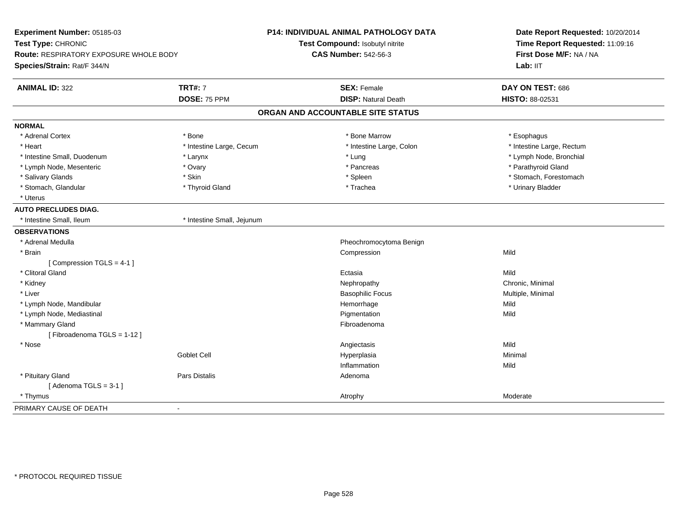| Experiment Number: 05185-03<br>Test Type: CHRONIC<br><b>Route: RESPIRATORY EXPOSURE WHOLE BODY</b><br>Species/Strain: Rat/F 344/N |                            | P14: INDIVIDUAL ANIMAL PATHOLOGY DATA<br>Test Compound: Isobutyl nitrite<br><b>CAS Number: 542-56-3</b> | Date Report Requested: 10/20/2014<br>Time Report Requested: 11:09:16<br>First Dose M/F: NA / NA<br>Lab: IIT |
|-----------------------------------------------------------------------------------------------------------------------------------|----------------------------|---------------------------------------------------------------------------------------------------------|-------------------------------------------------------------------------------------------------------------|
| <b>ANIMAL ID: 322</b>                                                                                                             | <b>TRT#: 7</b>             | <b>SEX: Female</b>                                                                                      | DAY ON TEST: 686                                                                                            |
|                                                                                                                                   | DOSE: 75 PPM               | <b>DISP: Natural Death</b>                                                                              | HISTO: 88-02531                                                                                             |
|                                                                                                                                   |                            | ORGAN AND ACCOUNTABLE SITE STATUS                                                                       |                                                                                                             |
| <b>NORMAL</b>                                                                                                                     |                            |                                                                                                         |                                                                                                             |
| * Adrenal Cortex                                                                                                                  | * Bone                     | * Bone Marrow                                                                                           | * Esophagus                                                                                                 |
| * Heart                                                                                                                           | * Intestine Large, Cecum   | * Intestine Large, Colon                                                                                | * Intestine Large, Rectum                                                                                   |
| * Intestine Small, Duodenum                                                                                                       | * Larynx                   | * Lung                                                                                                  | * Lymph Node, Bronchial                                                                                     |
| * Lymph Node, Mesenteric                                                                                                          | * Ovary                    | * Pancreas                                                                                              | * Parathyroid Gland                                                                                         |
| * Salivary Glands                                                                                                                 | * Skin                     | * Spleen                                                                                                | * Stomach, Forestomach                                                                                      |
| * Stomach, Glandular                                                                                                              | * Thyroid Gland            | * Trachea                                                                                               | * Urinary Bladder                                                                                           |
| * Uterus                                                                                                                          |                            |                                                                                                         |                                                                                                             |
| <b>AUTO PRECLUDES DIAG.</b>                                                                                                       |                            |                                                                                                         |                                                                                                             |
| * Intestine Small, Ileum                                                                                                          | * Intestine Small, Jejunum |                                                                                                         |                                                                                                             |
| <b>OBSERVATIONS</b>                                                                                                               |                            |                                                                                                         |                                                                                                             |
| * Adrenal Medulla                                                                                                                 |                            | Pheochromocytoma Benign                                                                                 |                                                                                                             |
| * Brain                                                                                                                           |                            | Compression                                                                                             | Mild                                                                                                        |
| [Compression TGLS = 4-1]                                                                                                          |                            |                                                                                                         |                                                                                                             |
| * Clitoral Gland                                                                                                                  |                            | Ectasia                                                                                                 | Mild                                                                                                        |
| * Kidney                                                                                                                          |                            | Nephropathy                                                                                             | Chronic, Minimal                                                                                            |
| * Liver                                                                                                                           |                            | <b>Basophilic Focus</b>                                                                                 | Multiple, Minimal                                                                                           |
| * Lymph Node, Mandibular                                                                                                          |                            | Hemorrhage                                                                                              | Mild                                                                                                        |
| * Lymph Node, Mediastinal                                                                                                         |                            | Pigmentation                                                                                            | Mild                                                                                                        |
| * Mammary Gland                                                                                                                   |                            | Fibroadenoma                                                                                            |                                                                                                             |
| [Fibroadenoma TGLS = 1-12]                                                                                                        |                            |                                                                                                         |                                                                                                             |
| * Nose                                                                                                                            |                            | Angiectasis                                                                                             | Mild                                                                                                        |
|                                                                                                                                   | Goblet Cell                | Hyperplasia                                                                                             | Minimal                                                                                                     |
|                                                                                                                                   |                            | Inflammation                                                                                            | Mild                                                                                                        |
| * Pituitary Gland                                                                                                                 | Pars Distalis              | Adenoma                                                                                                 |                                                                                                             |
| [Adenoma TGLS = $3-1$ ]                                                                                                           |                            |                                                                                                         |                                                                                                             |
| * Thymus                                                                                                                          |                            | Atrophy                                                                                                 | Moderate                                                                                                    |
| PRIMARY CAUSE OF DEATH                                                                                                            | ÷                          |                                                                                                         |                                                                                                             |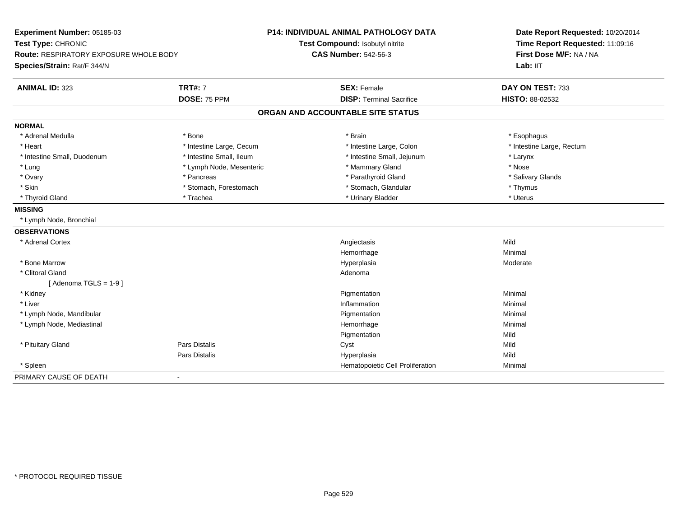| Experiment Number: 05185-03                   |                          | <b>P14: INDIVIDUAL ANIMAL PATHOLOGY DATA</b> | Date Report Requested: 10/20/2014                          |  |
|-----------------------------------------------|--------------------------|----------------------------------------------|------------------------------------------------------------|--|
| Test Type: CHRONIC                            |                          | Test Compound: Isobutyl nitrite              | Time Report Requested: 11:09:16<br>First Dose M/F: NA / NA |  |
| <b>Route: RESPIRATORY EXPOSURE WHOLE BODY</b> |                          | <b>CAS Number: 542-56-3</b>                  |                                                            |  |
| Species/Strain: Rat/F 344/N                   |                          |                                              | Lab: IIT                                                   |  |
| <b>ANIMAL ID: 323</b>                         | <b>TRT#: 7</b>           | <b>SEX: Female</b>                           | DAY ON TEST: 733                                           |  |
|                                               | DOSE: 75 PPM             | <b>DISP: Terminal Sacrifice</b>              | HISTO: 88-02532                                            |  |
|                                               |                          | ORGAN AND ACCOUNTABLE SITE STATUS            |                                                            |  |
| <b>NORMAL</b>                                 |                          |                                              |                                                            |  |
| * Adrenal Medulla                             | * Bone                   | * Brain                                      | * Esophagus                                                |  |
| * Heart                                       | * Intestine Large, Cecum | * Intestine Large, Colon                     | * Intestine Large, Rectum                                  |  |
| * Intestine Small, Duodenum                   | * Intestine Small, Ileum | * Intestine Small, Jejunum                   | * Larynx                                                   |  |
| * Lung                                        | * Lymph Node, Mesenteric | * Mammary Gland                              | * Nose                                                     |  |
| * Ovary                                       | * Pancreas               | * Parathyroid Gland                          | * Salivary Glands                                          |  |
| * Skin                                        | * Stomach, Forestomach   | * Stomach, Glandular                         | * Thymus                                                   |  |
| * Thyroid Gland                               | * Trachea                | * Urinary Bladder                            | * Uterus                                                   |  |
| <b>MISSING</b>                                |                          |                                              |                                                            |  |
| * Lymph Node, Bronchial                       |                          |                                              |                                                            |  |
| <b>OBSERVATIONS</b>                           |                          |                                              |                                                            |  |
| * Adrenal Cortex                              |                          | Angiectasis                                  | Mild                                                       |  |
|                                               |                          | Hemorrhage                                   | Minimal                                                    |  |
| * Bone Marrow                                 |                          | Hyperplasia                                  | Moderate                                                   |  |
| * Clitoral Gland                              |                          | Adenoma                                      |                                                            |  |
| [Adenoma TGLS = $1-9$ ]                       |                          |                                              |                                                            |  |
| * Kidney                                      |                          | Pigmentation                                 | Minimal                                                    |  |
| * Liver                                       |                          | Inflammation                                 | Minimal                                                    |  |
| * Lymph Node, Mandibular                      |                          | Pigmentation                                 | Minimal                                                    |  |
| * Lymph Node, Mediastinal                     |                          | Hemorrhage                                   | Minimal                                                    |  |
|                                               |                          | Pigmentation                                 | Mild                                                       |  |
| * Pituitary Gland                             | <b>Pars Distalis</b>     | Cyst                                         | Mild                                                       |  |
|                                               | Pars Distalis            | Hyperplasia                                  | Mild                                                       |  |
| * Spleen                                      |                          | Hematopoietic Cell Proliferation             | Minimal                                                    |  |
| PRIMARY CAUSE OF DEATH                        |                          |                                              |                                                            |  |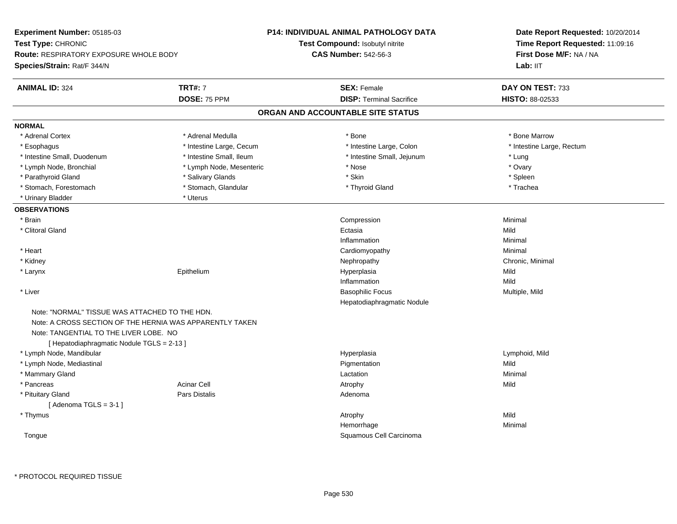| Experiment Number: 05185-03                                                                                                            |                                                          | P14: INDIVIDUAL ANIMAL PATHOLOGY DATA | Date Report Requested: 10/20/2014                          |  |
|----------------------------------------------------------------------------------------------------------------------------------------|----------------------------------------------------------|---------------------------------------|------------------------------------------------------------|--|
| Test Type: CHRONIC                                                                                                                     |                                                          | Test Compound: Isobutyl nitrite       | Time Report Requested: 11:09:16<br>First Dose M/F: NA / NA |  |
| <b>Route: RESPIRATORY EXPOSURE WHOLE BODY</b>                                                                                          |                                                          | <b>CAS Number: 542-56-3</b>           |                                                            |  |
| Species/Strain: Rat/F 344/N                                                                                                            |                                                          |                                       | Lab: IIT                                                   |  |
| <b>ANIMAL ID: 324</b>                                                                                                                  | <b>TRT#: 7</b>                                           | <b>SEX: Female</b>                    | DAY ON TEST: 733                                           |  |
|                                                                                                                                        | DOSE: 75 PPM                                             | <b>DISP: Terminal Sacrifice</b>       | HISTO: 88-02533                                            |  |
|                                                                                                                                        |                                                          | ORGAN AND ACCOUNTABLE SITE STATUS     |                                                            |  |
| <b>NORMAL</b>                                                                                                                          |                                                          |                                       |                                                            |  |
| * Adrenal Cortex                                                                                                                       | * Adrenal Medulla                                        | * Bone                                | * Bone Marrow                                              |  |
| * Esophagus                                                                                                                            | * Intestine Large, Cecum                                 | * Intestine Large, Colon              | * Intestine Large, Rectum                                  |  |
| * Intestine Small, Duodenum                                                                                                            | * Intestine Small, Ileum                                 | * Intestine Small, Jejunum            | * Lung                                                     |  |
| * Lymph Node, Bronchial                                                                                                                | * Lymph Node, Mesenteric                                 | * Nose                                | * Ovary                                                    |  |
| * Parathyroid Gland                                                                                                                    | * Salivary Glands                                        | * Skin                                | * Spleen                                                   |  |
| * Stomach, Forestomach                                                                                                                 | * Stomach, Glandular                                     | * Thyroid Gland                       | * Trachea                                                  |  |
| * Urinary Bladder                                                                                                                      | * Uterus                                                 |                                       |                                                            |  |
| <b>OBSERVATIONS</b>                                                                                                                    |                                                          |                                       |                                                            |  |
| * Brain                                                                                                                                |                                                          | Compression                           | Minimal                                                    |  |
| * Clitoral Gland                                                                                                                       |                                                          | Ectasia                               | Mild                                                       |  |
|                                                                                                                                        |                                                          | Inflammation                          | Minimal                                                    |  |
| * Heart                                                                                                                                |                                                          | Cardiomyopathy                        | Minimal                                                    |  |
| * Kidney                                                                                                                               |                                                          | Nephropathy                           | Chronic, Minimal                                           |  |
| * Larynx                                                                                                                               | Epithelium                                               | Hyperplasia                           | Mild                                                       |  |
|                                                                                                                                        |                                                          | Inflammation                          | Mild                                                       |  |
| * Liver                                                                                                                                |                                                          | <b>Basophilic Focus</b>               | Multiple, Mild                                             |  |
|                                                                                                                                        |                                                          | Hepatodiaphragmatic Nodule            |                                                            |  |
| Note: "NORMAL" TISSUE WAS ATTACHED TO THE HDN.<br>Note: TANGENTIAL TO THE LIVER LOBE. NO<br>[ Hepatodiaphragmatic Nodule TGLS = 2-13 ] | Note: A CROSS SECTION OF THE HERNIA WAS APPARENTLY TAKEN |                                       |                                                            |  |
| * Lymph Node, Mandibular                                                                                                               |                                                          | Hyperplasia                           | Lymphoid, Mild                                             |  |
| * Lymph Node, Mediastinal                                                                                                              |                                                          | Pigmentation                          | Mild                                                       |  |
| * Mammary Gland                                                                                                                        |                                                          | Lactation                             | Minimal                                                    |  |
| * Pancreas                                                                                                                             | <b>Acinar Cell</b>                                       | Atrophy                               | Mild                                                       |  |
| * Pituitary Gland                                                                                                                      | Pars Distalis                                            | Adenoma                               |                                                            |  |
| [Adenoma TGLS = $3-1$ ]                                                                                                                |                                                          |                                       |                                                            |  |
| * Thymus                                                                                                                               |                                                          | Atrophy                               | Mild                                                       |  |
|                                                                                                                                        |                                                          | Hemorrhage                            | Minimal                                                    |  |
| Tongue                                                                                                                                 |                                                          | Squamous Cell Carcinoma               |                                                            |  |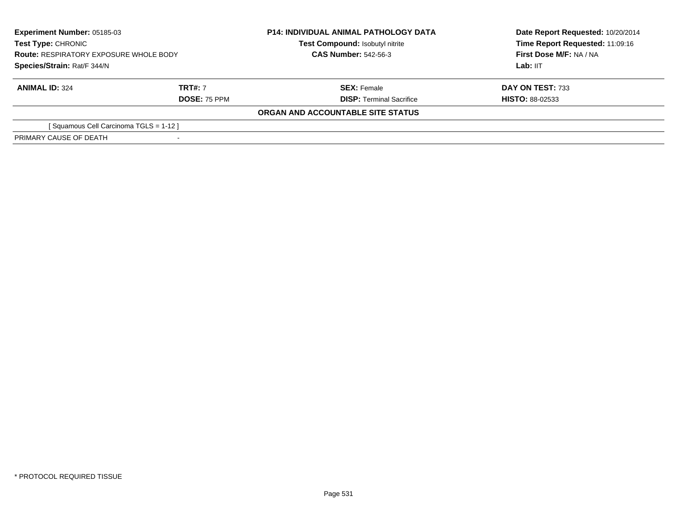| <b>Experiment Number: 05185-03</b><br><b>Test Type: CHRONIC</b><br><b>Route: RESPIRATORY EXPOSURE WHOLE BODY</b> |                     | <b>P14: INDIVIDUAL ANIMAL PATHOLOGY DATA</b><br>Test Compound: Isobutyl nitrite | Date Report Requested: 10/20/2014<br>Time Report Requested: 11:09:16<br>First Dose M/F: NA / NA |
|------------------------------------------------------------------------------------------------------------------|---------------------|---------------------------------------------------------------------------------|-------------------------------------------------------------------------------------------------|
|                                                                                                                  |                     | <b>CAS Number: 542-56-3</b>                                                     |                                                                                                 |
| Species/Strain: Rat/F 344/N                                                                                      |                     |                                                                                 | Lab: IIT                                                                                        |
| <b>ANIMAL ID: 324</b>                                                                                            | <b>TRT#: 7</b>      | <b>SEX: Female</b>                                                              | DAY ON TEST: 733                                                                                |
|                                                                                                                  | <b>DOSE: 75 PPM</b> | <b>DISP: Terminal Sacrifice</b>                                                 | <b>HISTO: 88-02533</b>                                                                          |
|                                                                                                                  |                     | ORGAN AND ACCOUNTABLE SITE STATUS                                               |                                                                                                 |
| [Squamous Cell Carcinoma TGLS = 1-12]                                                                            |                     |                                                                                 |                                                                                                 |
| PRIMARY CAUSE OF DEATH                                                                                           |                     |                                                                                 |                                                                                                 |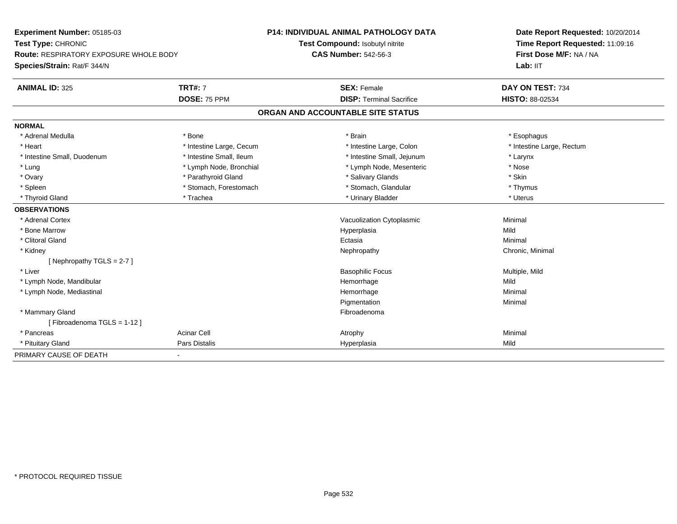| Experiment Number: 05185-03<br>Test Type: CHRONIC<br><b>Route: RESPIRATORY EXPOSURE WHOLE BODY</b><br>Species/Strain: Rat/F 344/N |                          | <b>P14: INDIVIDUAL ANIMAL PATHOLOGY DATA</b> |  | Date Report Requested: 10/20/2014 |
|-----------------------------------------------------------------------------------------------------------------------------------|--------------------------|----------------------------------------------|--|-----------------------------------|
|                                                                                                                                   |                          | Test Compound: Isobutyl nitrite              |  | Time Report Requested: 11:09:16   |
|                                                                                                                                   |                          | <b>CAS Number: 542-56-3</b>                  |  | First Dose M/F: NA / NA           |
|                                                                                                                                   |                          |                                              |  | Lab: IIT                          |
| <b>ANIMAL ID: 325</b>                                                                                                             | <b>TRT#: 7</b>           | <b>SEX: Female</b>                           |  | DAY ON TEST: 734                  |
|                                                                                                                                   | DOSE: 75 PPM             | <b>DISP: Terminal Sacrifice</b>              |  | HISTO: 88-02534                   |
|                                                                                                                                   |                          | ORGAN AND ACCOUNTABLE SITE STATUS            |  |                                   |
| <b>NORMAL</b>                                                                                                                     |                          |                                              |  |                                   |
| * Adrenal Medulla                                                                                                                 | * Bone                   | * Brain                                      |  | * Esophagus                       |
| * Heart                                                                                                                           | * Intestine Large, Cecum | * Intestine Large, Colon                     |  | * Intestine Large, Rectum         |
| * Intestine Small, Duodenum                                                                                                       | * Intestine Small, Ileum | * Intestine Small, Jejunum                   |  | * Larynx                          |
| * Lung                                                                                                                            | * Lymph Node, Bronchial  | * Lymph Node, Mesenteric                     |  | * Nose                            |
| * Ovary                                                                                                                           | * Parathyroid Gland      | * Salivary Glands                            |  | * Skin                            |
| * Spleen                                                                                                                          | * Stomach, Forestomach   | * Stomach, Glandular                         |  | * Thymus                          |
| * Thyroid Gland                                                                                                                   | * Trachea                | * Urinary Bladder                            |  | * Uterus                          |
| <b>OBSERVATIONS</b>                                                                                                               |                          |                                              |  |                                   |
| * Adrenal Cortex                                                                                                                  |                          | Vacuolization Cytoplasmic                    |  | Minimal                           |
| * Bone Marrow                                                                                                                     |                          | Hyperplasia                                  |  | Mild                              |
| * Clitoral Gland                                                                                                                  |                          | Ectasia                                      |  | Minimal                           |
| * Kidney                                                                                                                          |                          | Nephropathy                                  |  | Chronic, Minimal                  |
| [Nephropathy TGLS = $2-7$ ]                                                                                                       |                          |                                              |  |                                   |
| * Liver                                                                                                                           |                          | <b>Basophilic Focus</b>                      |  | Multiple, Mild                    |
| * Lymph Node, Mandibular                                                                                                          |                          | Hemorrhage                                   |  | Mild                              |
| * Lymph Node, Mediastinal                                                                                                         |                          | Hemorrhage                                   |  | Minimal                           |
|                                                                                                                                   |                          | Pigmentation                                 |  | Minimal                           |
| * Mammary Gland                                                                                                                   |                          | Fibroadenoma                                 |  |                                   |
| [Fibroadenoma TGLS = 1-12]                                                                                                        |                          |                                              |  |                                   |
| * Pancreas                                                                                                                        | <b>Acinar Cell</b>       | Atrophy                                      |  | Minimal                           |
| * Pituitary Gland                                                                                                                 | Pars Distalis            | Hyperplasia                                  |  | Mild                              |
| PRIMARY CAUSE OF DEATH                                                                                                            | $\blacksquare$           |                                              |  |                                   |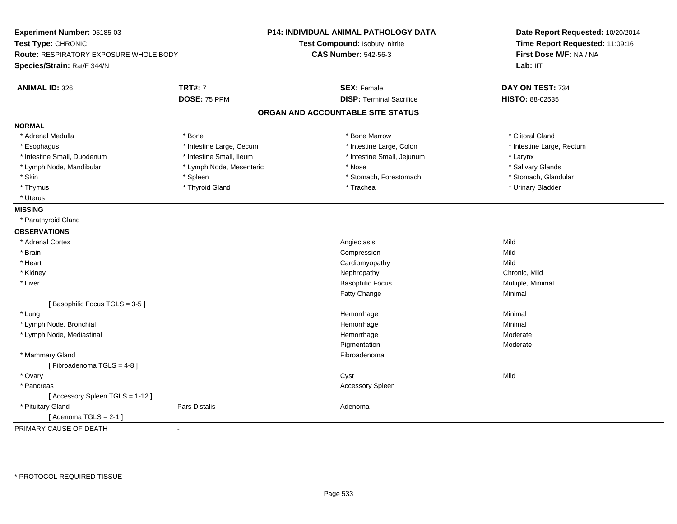| Experiment Number: 05185-03<br>Test Type: CHRONIC<br>Route: RESPIRATORY EXPOSURE WHOLE BODY<br>Species/Strain: Rat/F 344/N |                          | <b>P14: INDIVIDUAL ANIMAL PATHOLOGY DATA</b><br>Test Compound: Isobutyl nitrite<br><b>CAS Number: 542-56-3</b> | Date Report Requested: 10/20/2014<br>Time Report Requested: 11:09:16<br>First Dose M/F: NA / NA<br>Lab: IIT |
|----------------------------------------------------------------------------------------------------------------------------|--------------------------|----------------------------------------------------------------------------------------------------------------|-------------------------------------------------------------------------------------------------------------|
| <b>ANIMAL ID: 326</b>                                                                                                      | <b>TRT#: 7</b>           | <b>SEX: Female</b>                                                                                             | DAY ON TEST: 734                                                                                            |
|                                                                                                                            | DOSE: 75 PPM             | <b>DISP: Terminal Sacrifice</b>                                                                                | HISTO: 88-02535                                                                                             |
|                                                                                                                            |                          | ORGAN AND ACCOUNTABLE SITE STATUS                                                                              |                                                                                                             |
| <b>NORMAL</b>                                                                                                              |                          |                                                                                                                |                                                                                                             |
| * Adrenal Medulla                                                                                                          | * Bone                   | * Bone Marrow                                                                                                  | * Clitoral Gland                                                                                            |
| * Esophagus                                                                                                                | * Intestine Large, Cecum | * Intestine Large, Colon                                                                                       | * Intestine Large, Rectum                                                                                   |
| * Intestine Small, Duodenum                                                                                                | * Intestine Small, Ileum | * Intestine Small, Jejunum                                                                                     | * Larynx                                                                                                    |
| * Lymph Node, Mandibular                                                                                                   | * Lymph Node, Mesenteric | * Nose                                                                                                         | * Salivary Glands                                                                                           |
| * Skin                                                                                                                     | * Spleen                 | * Stomach, Forestomach                                                                                         | * Stomach, Glandular                                                                                        |
| * Thymus                                                                                                                   | * Thyroid Gland          | * Trachea                                                                                                      | * Urinary Bladder                                                                                           |
| * Uterus                                                                                                                   |                          |                                                                                                                |                                                                                                             |
| <b>MISSING</b>                                                                                                             |                          |                                                                                                                |                                                                                                             |
| * Parathyroid Gland                                                                                                        |                          |                                                                                                                |                                                                                                             |
| <b>OBSERVATIONS</b>                                                                                                        |                          |                                                                                                                |                                                                                                             |
| * Adrenal Cortex                                                                                                           |                          | Angiectasis                                                                                                    | Mild                                                                                                        |
| * Brain                                                                                                                    |                          | Compression                                                                                                    | Mild                                                                                                        |
| * Heart                                                                                                                    |                          | Cardiomyopathy                                                                                                 | Mild                                                                                                        |
| * Kidney                                                                                                                   |                          | Nephropathy                                                                                                    | Chronic, Mild                                                                                               |
| * Liver                                                                                                                    |                          | <b>Basophilic Focus</b>                                                                                        | Multiple, Minimal                                                                                           |
|                                                                                                                            |                          | Fatty Change                                                                                                   | Minimal                                                                                                     |
| [Basophilic Focus TGLS = 3-5]                                                                                              |                          |                                                                                                                |                                                                                                             |
| * Lung                                                                                                                     |                          | Hemorrhage                                                                                                     | Minimal                                                                                                     |
| * Lymph Node, Bronchial                                                                                                    |                          | Hemorrhage                                                                                                     | Minimal                                                                                                     |
| * Lymph Node, Mediastinal                                                                                                  |                          | Hemorrhage                                                                                                     | Moderate                                                                                                    |
|                                                                                                                            |                          | Pigmentation                                                                                                   | Moderate                                                                                                    |
| * Mammary Gland                                                                                                            |                          | Fibroadenoma                                                                                                   |                                                                                                             |
| [Fibroadenoma TGLS = 4-8]                                                                                                  |                          |                                                                                                                |                                                                                                             |
| * Ovary                                                                                                                    |                          | Cyst                                                                                                           | Mild                                                                                                        |
| * Pancreas                                                                                                                 |                          | Accessory Spleen                                                                                               |                                                                                                             |
| [Accessory Spleen TGLS = 1-12]                                                                                             |                          |                                                                                                                |                                                                                                             |
| * Pituitary Gland                                                                                                          | Pars Distalis            | Adenoma                                                                                                        |                                                                                                             |
| [Adenoma TGLS = $2-1$ ]                                                                                                    |                          |                                                                                                                |                                                                                                             |
| PRIMARY CAUSE OF DEATH                                                                                                     | $\sim$                   |                                                                                                                |                                                                                                             |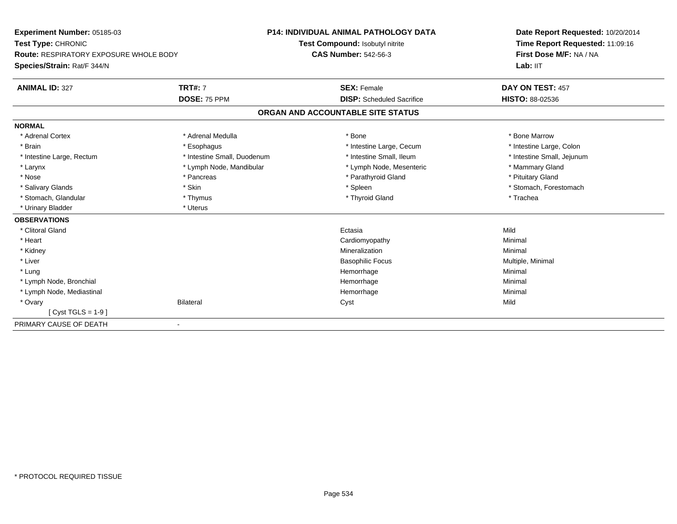| Experiment Number: 05185-03                   |                             | P14: INDIVIDUAL ANIMAL PATHOLOGY DATA | Date Report Requested: 10/20/2014<br>Time Report Requested: 11:09:16 |
|-----------------------------------------------|-----------------------------|---------------------------------------|----------------------------------------------------------------------|
| Test Type: CHRONIC                            |                             | Test Compound: Isobutyl nitrite       |                                                                      |
| <b>Route: RESPIRATORY EXPOSURE WHOLE BODY</b> |                             | <b>CAS Number: 542-56-3</b>           | First Dose M/F: NA / NA                                              |
| Species/Strain: Rat/F 344/N                   |                             |                                       | Lab: IIT                                                             |
| <b>ANIMAL ID: 327</b>                         | <b>TRT#: 7</b>              | <b>SEX: Female</b>                    | DAY ON TEST: 457                                                     |
|                                               | DOSE: 75 PPM                | <b>DISP:</b> Scheduled Sacrifice      | <b>HISTO: 88-02536</b>                                               |
|                                               |                             | ORGAN AND ACCOUNTABLE SITE STATUS     |                                                                      |
| <b>NORMAL</b>                                 |                             |                                       |                                                                      |
| * Adrenal Cortex                              | * Adrenal Medulla           | * Bone                                | * Bone Marrow                                                        |
| * Brain                                       | * Esophagus                 | * Intestine Large, Cecum              | * Intestine Large, Colon                                             |
| * Intestine Large, Rectum                     | * Intestine Small, Duodenum | * Intestine Small, Ileum              | * Intestine Small, Jejunum                                           |
| * Larynx                                      | * Lymph Node, Mandibular    | * Lymph Node, Mesenteric              | * Mammary Gland                                                      |
| * Nose                                        | * Pancreas                  | * Parathyroid Gland                   | * Pituitary Gland                                                    |
| * Salivary Glands                             | * Skin                      | * Spleen                              | * Stomach, Forestomach                                               |
| * Stomach, Glandular                          | * Thymus                    | * Thyroid Gland                       | * Trachea                                                            |
| * Urinary Bladder                             | * Uterus                    |                                       |                                                                      |
| <b>OBSERVATIONS</b>                           |                             |                                       |                                                                      |
| * Clitoral Gland                              |                             | Ectasia                               | Mild                                                                 |
| * Heart                                       |                             | Cardiomyopathy                        | Minimal                                                              |
| * Kidney                                      |                             | Mineralization                        | Minimal                                                              |
| * Liver                                       |                             | <b>Basophilic Focus</b>               | Multiple, Minimal                                                    |
| * Lung                                        |                             | Hemorrhage                            | Minimal                                                              |
| * Lymph Node, Bronchial                       |                             | Hemorrhage                            | Minimal                                                              |
| * Lymph Node, Mediastinal                     |                             | Hemorrhage                            | Minimal                                                              |
| * Ovary                                       | <b>Bilateral</b>            | Cyst                                  | Mild                                                                 |
| [Cyst TGLS = $1-9$ ]                          |                             |                                       |                                                                      |
| PRIMARY CAUSE OF DEATH                        |                             |                                       |                                                                      |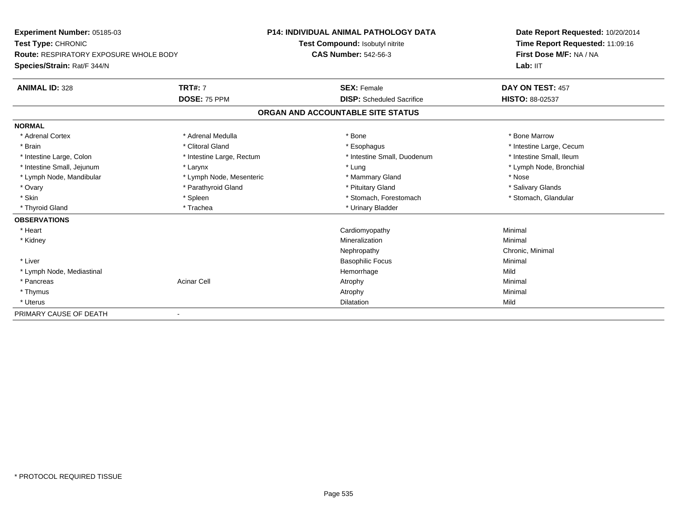| Experiment Number: 05185-03                   |                           | <b>P14: INDIVIDUAL ANIMAL PATHOLOGY DATA</b> | Date Report Requested: 10/20/2014<br>Time Report Requested: 11:09:16<br>First Dose M/F: NA / NA<br>Lab: IIT |
|-----------------------------------------------|---------------------------|----------------------------------------------|-------------------------------------------------------------------------------------------------------------|
| Test Type: CHRONIC                            |                           | Test Compound: Isobutyl nitrite              |                                                                                                             |
| <b>Route: RESPIRATORY EXPOSURE WHOLE BODY</b> |                           | <b>CAS Number: 542-56-3</b>                  |                                                                                                             |
| Species/Strain: Rat/F 344/N                   |                           |                                              |                                                                                                             |
| <b>ANIMAL ID: 328</b>                         | <b>TRT#: 7</b>            | <b>SEX: Female</b>                           | DAY ON TEST: 457                                                                                            |
|                                               | DOSE: 75 PPM              | <b>DISP:</b> Scheduled Sacrifice             | HISTO: 88-02537                                                                                             |
|                                               |                           | ORGAN AND ACCOUNTABLE SITE STATUS            |                                                                                                             |
| <b>NORMAL</b>                                 |                           |                                              |                                                                                                             |
| * Adrenal Cortex                              | * Adrenal Medulla         | * Bone                                       | * Bone Marrow                                                                                               |
| * Brain                                       | * Clitoral Gland          | * Esophagus                                  | * Intestine Large, Cecum                                                                                    |
| * Intestine Large, Colon                      | * Intestine Large, Rectum | * Intestine Small, Duodenum                  | * Intestine Small, Ileum                                                                                    |
| * Intestine Small, Jejunum                    | * Larynx                  | * Lung                                       | * Lymph Node, Bronchial                                                                                     |
| * Lymph Node, Mandibular                      | * Lymph Node, Mesenteric  | * Mammary Gland                              | * Nose                                                                                                      |
| * Ovary                                       | * Parathyroid Gland       | * Pituitary Gland                            | * Salivary Glands                                                                                           |
| * Skin                                        | * Spleen                  | * Stomach, Forestomach                       | * Stomach, Glandular                                                                                        |
| * Thyroid Gland                               | * Trachea                 | * Urinary Bladder                            |                                                                                                             |
| <b>OBSERVATIONS</b>                           |                           |                                              |                                                                                                             |
| * Heart                                       |                           | Cardiomyopathy                               | Minimal                                                                                                     |
| * Kidney                                      |                           | Mineralization                               | Minimal                                                                                                     |
|                                               |                           | Nephropathy                                  | Chronic, Minimal                                                                                            |
| * Liver                                       |                           | <b>Basophilic Focus</b>                      | Minimal                                                                                                     |
| * Lymph Node, Mediastinal                     |                           | Hemorrhage                                   | Mild                                                                                                        |
| * Pancreas                                    | <b>Acinar Cell</b>        | Atrophy                                      | Minimal                                                                                                     |
| * Thymus                                      |                           | Atrophy                                      | Minimal                                                                                                     |
| * Uterus                                      |                           | <b>Dilatation</b>                            | Mild                                                                                                        |
| PRIMARY CAUSE OF DEATH                        |                           |                                              |                                                                                                             |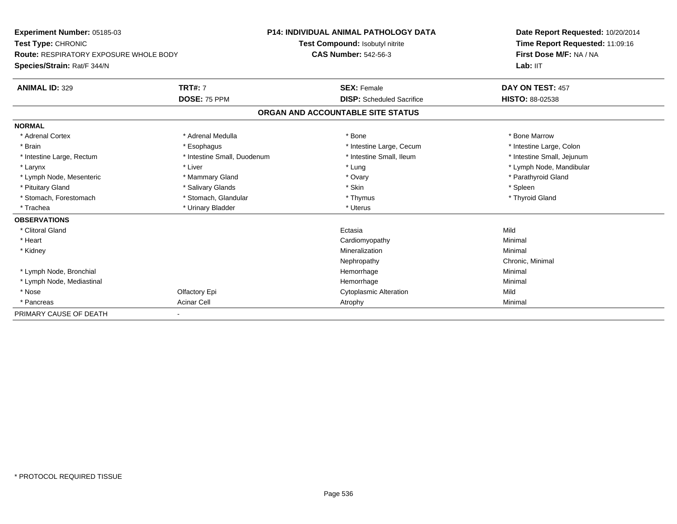| Experiment Number: 05185-03<br>Test Type: CHRONIC<br><b>Route: RESPIRATORY EXPOSURE WHOLE BODY</b> |                             | <b>P14: INDIVIDUAL ANIMAL PATHOLOGY DATA</b> | Date Report Requested: 10/20/2014<br>Time Report Requested: 11:09:16<br>First Dose M/F: NA / NA |
|----------------------------------------------------------------------------------------------------|-----------------------------|----------------------------------------------|-------------------------------------------------------------------------------------------------|
|                                                                                                    |                             | Test Compound: Isobutyl nitrite              |                                                                                                 |
|                                                                                                    |                             | <b>CAS Number: 542-56-3</b>                  |                                                                                                 |
| Species/Strain: Rat/F 344/N                                                                        |                             |                                              | Lab: IIT                                                                                        |
| <b>ANIMAL ID: 329</b>                                                                              | <b>TRT#: 7</b>              | <b>SEX: Female</b>                           | DAY ON TEST: 457                                                                                |
|                                                                                                    | DOSE: 75 PPM                | <b>DISP:</b> Scheduled Sacrifice             | HISTO: 88-02538                                                                                 |
|                                                                                                    |                             | ORGAN AND ACCOUNTABLE SITE STATUS            |                                                                                                 |
| <b>NORMAL</b>                                                                                      |                             |                                              |                                                                                                 |
| * Adrenal Cortex                                                                                   | * Adrenal Medulla           | * Bone                                       | * Bone Marrow                                                                                   |
| * Brain                                                                                            | * Esophagus                 | * Intestine Large, Cecum                     | * Intestine Large, Colon                                                                        |
| * Intestine Large, Rectum                                                                          | * Intestine Small, Duodenum | * Intestine Small, Ileum                     | * Intestine Small, Jejunum                                                                      |
| * Larynx                                                                                           | * Liver                     | * Lung                                       | * Lymph Node, Mandibular                                                                        |
| * Lymph Node, Mesenteric                                                                           | * Mammary Gland             | * Ovary                                      | * Parathyroid Gland                                                                             |
| * Pituitary Gland                                                                                  | * Salivary Glands           | * Skin                                       | * Spleen                                                                                        |
| * Stomach, Forestomach                                                                             | * Stomach, Glandular        | * Thymus                                     | * Thyroid Gland                                                                                 |
| * Trachea                                                                                          | * Urinary Bladder           | * Uterus                                     |                                                                                                 |
| <b>OBSERVATIONS</b>                                                                                |                             |                                              |                                                                                                 |
| * Clitoral Gland                                                                                   |                             | Ectasia                                      | Mild                                                                                            |
| * Heart                                                                                            |                             | Cardiomyopathy                               | Minimal                                                                                         |
| * Kidney                                                                                           |                             | Mineralization                               | Minimal                                                                                         |
|                                                                                                    |                             | Nephropathy                                  | Chronic, Minimal                                                                                |
| * Lymph Node, Bronchial                                                                            |                             | Hemorrhage                                   | Minimal                                                                                         |
| * Lymph Node, Mediastinal                                                                          |                             | Hemorrhage                                   | Minimal                                                                                         |
| * Nose                                                                                             | Olfactory Epi               | <b>Cytoplasmic Alteration</b>                | Mild                                                                                            |
| * Pancreas                                                                                         | <b>Acinar Cell</b>          | Atrophy                                      | Minimal                                                                                         |
| PRIMARY CAUSE OF DEATH                                                                             |                             |                                              |                                                                                                 |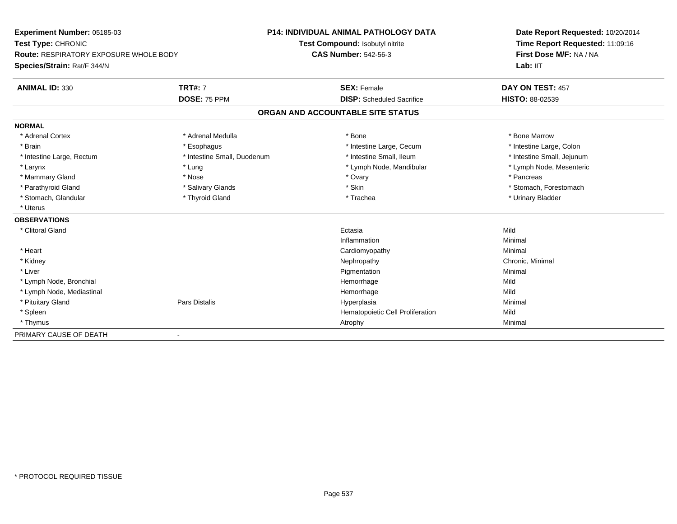| Experiment Number: 05185-03<br>Test Type: CHRONIC<br>Route: RESPIRATORY EXPOSURE WHOLE BODY |                             | <b>P14: INDIVIDUAL ANIMAL PATHOLOGY DATA</b> | Date Report Requested: 10/20/2014<br>Time Report Requested: 11:09:16 |
|---------------------------------------------------------------------------------------------|-----------------------------|----------------------------------------------|----------------------------------------------------------------------|
|                                                                                             |                             | Test Compound: Isobutyl nitrite              |                                                                      |
|                                                                                             |                             | <b>CAS Number: 542-56-3</b>                  | First Dose M/F: NA / NA                                              |
| Species/Strain: Rat/F 344/N                                                                 |                             |                                              | Lab: IIT                                                             |
| <b>ANIMAL ID: 330</b>                                                                       | <b>TRT#: 7</b>              | <b>SEX: Female</b>                           | DAY ON TEST: 457                                                     |
|                                                                                             | DOSE: 75 PPM                | <b>DISP:</b> Scheduled Sacrifice             | <b>HISTO: 88-02539</b>                                               |
|                                                                                             |                             | ORGAN AND ACCOUNTABLE SITE STATUS            |                                                                      |
| <b>NORMAL</b>                                                                               |                             |                                              |                                                                      |
| * Adrenal Cortex                                                                            | * Adrenal Medulla           | * Bone                                       | * Bone Marrow                                                        |
| * Brain                                                                                     | * Esophagus                 | * Intestine Large, Cecum                     | * Intestine Large, Colon                                             |
| * Intestine Large, Rectum                                                                   | * Intestine Small, Duodenum | * Intestine Small, Ileum                     | * Intestine Small, Jejunum                                           |
| * Larynx                                                                                    | * Lung                      | * Lymph Node, Mandibular                     | * Lymph Node, Mesenteric                                             |
| * Mammary Gland                                                                             | * Nose                      | * Ovary                                      | * Pancreas                                                           |
| * Parathyroid Gland                                                                         | * Salivary Glands           | * Skin                                       | * Stomach, Forestomach                                               |
| * Stomach, Glandular                                                                        | * Thyroid Gland             | * Trachea                                    | * Urinary Bladder                                                    |
| * Uterus                                                                                    |                             |                                              |                                                                      |
| <b>OBSERVATIONS</b>                                                                         |                             |                                              |                                                                      |
| * Clitoral Gland                                                                            |                             | Ectasia                                      | Mild                                                                 |
|                                                                                             |                             | Inflammation                                 | Minimal                                                              |
| * Heart                                                                                     |                             | Cardiomyopathy                               | Minimal                                                              |
| * Kidney                                                                                    |                             | Nephropathy                                  | Chronic, Minimal                                                     |
| * Liver                                                                                     |                             | Pigmentation                                 | Minimal                                                              |
| * Lymph Node, Bronchial                                                                     |                             | Hemorrhage                                   | Mild                                                                 |
| * Lymph Node, Mediastinal                                                                   |                             | Hemorrhage                                   | Mild                                                                 |
| * Pituitary Gland                                                                           | Pars Distalis               | Hyperplasia                                  | Minimal                                                              |
| * Spleen                                                                                    |                             | Hematopoietic Cell Proliferation             | Mild                                                                 |
| * Thymus                                                                                    |                             | Atrophy                                      | Minimal                                                              |
| PRIMARY CAUSE OF DEATH                                                                      |                             |                                              |                                                                      |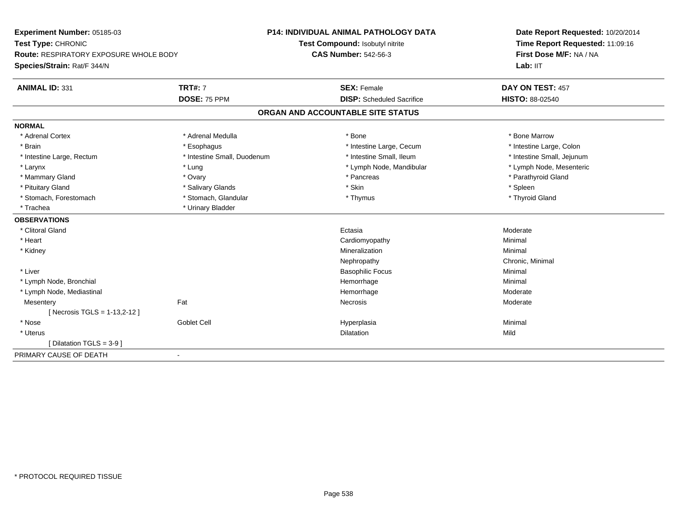| Experiment Number: 05185-03            |                             | <b>P14: INDIVIDUAL ANIMAL PATHOLOGY DATA</b> | Date Report Requested: 10/20/2014<br>Time Report Requested: 11:09:16<br>First Dose M/F: NA / NA |
|----------------------------------------|-----------------------------|----------------------------------------------|-------------------------------------------------------------------------------------------------|
| Test Type: CHRONIC                     |                             | Test Compound: Isobutyl nitrite              |                                                                                                 |
| Route: RESPIRATORY EXPOSURE WHOLE BODY |                             | <b>CAS Number: 542-56-3</b>                  |                                                                                                 |
| Species/Strain: Rat/F 344/N            |                             |                                              | Lab: IIT                                                                                        |
| <b>ANIMAL ID: 331</b>                  | <b>TRT#: 7</b>              | <b>SEX: Female</b>                           | DAY ON TEST: 457                                                                                |
|                                        | DOSE: 75 PPM                | <b>DISP:</b> Scheduled Sacrifice             | <b>HISTO: 88-02540</b>                                                                          |
|                                        |                             | ORGAN AND ACCOUNTABLE SITE STATUS            |                                                                                                 |
| <b>NORMAL</b>                          |                             |                                              |                                                                                                 |
| * Adrenal Cortex                       | * Adrenal Medulla           | * Bone                                       | * Bone Marrow                                                                                   |
| * Brain                                | * Esophagus                 | * Intestine Large, Cecum                     | * Intestine Large, Colon                                                                        |
| * Intestine Large, Rectum              | * Intestine Small, Duodenum | * Intestine Small, Ileum                     | * Intestine Small, Jejunum                                                                      |
| * Larynx                               | * Lung                      | * Lymph Node, Mandibular                     | * Lymph Node, Mesenteric                                                                        |
| * Mammary Gland                        | * Ovary                     | * Pancreas                                   | * Parathyroid Gland                                                                             |
| * Pituitary Gland                      | * Salivary Glands           | * Skin                                       | * Spleen                                                                                        |
| * Stomach, Forestomach                 | * Stomach, Glandular        | * Thymus                                     | * Thyroid Gland                                                                                 |
| * Trachea                              | * Urinary Bladder           |                                              |                                                                                                 |
| <b>OBSERVATIONS</b>                    |                             |                                              |                                                                                                 |
| * Clitoral Gland                       |                             | Ectasia                                      | Moderate                                                                                        |
| * Heart                                |                             | Cardiomyopathy                               | Minimal                                                                                         |
| * Kidney                               |                             | Mineralization                               | Minimal                                                                                         |
|                                        |                             | Nephropathy                                  | Chronic, Minimal                                                                                |
| * Liver                                |                             | <b>Basophilic Focus</b>                      | Minimal                                                                                         |
| * Lymph Node, Bronchial                |                             | Hemorrhage                                   | Minimal                                                                                         |
| * Lymph Node, Mediastinal              |                             | Hemorrhage                                   | Moderate                                                                                        |
| Mesentery                              | Fat                         | <b>Necrosis</b>                              | Moderate                                                                                        |
| [Necrosis TGLS = 1-13,2-12]            |                             |                                              |                                                                                                 |
| * Nose                                 | Goblet Cell                 | Hyperplasia                                  | Minimal                                                                                         |
| * Uterus                               |                             | Dilatation                                   | Mild                                                                                            |
| [Dilatation TGLS = 3-9]                |                             |                                              |                                                                                                 |
| PRIMARY CAUSE OF DEATH                 | $\blacksquare$              |                                              |                                                                                                 |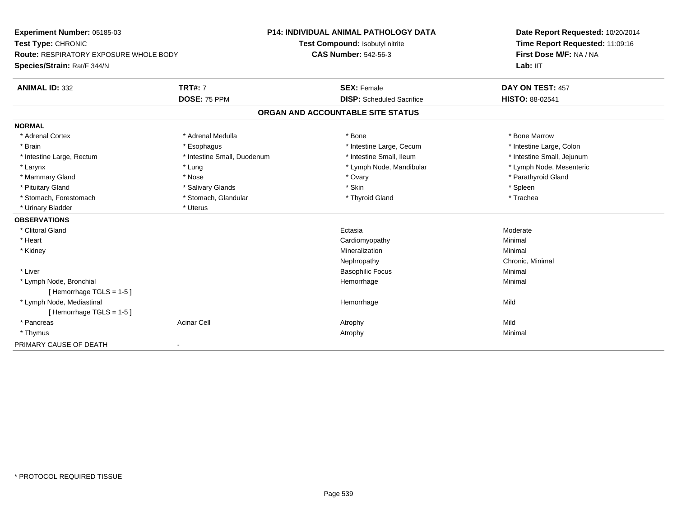**Experiment Number:** 05185-03**Test Type:** CHRONIC **Route:** RESPIRATORY EXPOSURE WHOLE BODY**Species/Strain:** Rat/F 344/N**P14: INDIVIDUAL ANIMAL PATHOLOGY DATATest Compound:** Isobutyl nitrite**CAS Number:** 542-56-3**Date Report Requested:** 10/20/2014**Time Report Requested:** 11:09:16**First Dose M/F:** NA / NA**Lab:** IIT**ANIMAL ID:** 332**TRT#:** 7 **SEX:** Female **DAY ON TEST:** 457 **DOSE:** 75 PPM **DISP:** Scheduled Sacrifice **HISTO:** 88-02541 **ORGAN AND ACCOUNTABLE SITE STATUSNORMAL**\* Adrenal Cortex \* Adrenal Medulla \* Adrenal Medulla \* Bone \* Bone \* Bone \* Bone \* Bone Marrow \* Intestine Large, Colon \* Brain \* Esophagus \* Esophagus \* Esophagus \* 11testine Large, Cecum \* \* Intestine Large, Rectum \* Thestine Small, Duodenum \* Number of the small, Ileum \* Intestine Small, Jejunum \* Intestine Small, Jejunum \* Lymph Node, Mesenteric \* Larynx \* Lung \* Lung \* Lung \* Lung \* Larynx \* Lymph Node, Mandibular \* Lymph Node, Mandibular \* Mammary Gland \* \* Nose \* \* Nose \* \* Ovary \* Ovary \* Ovary \* The material structure of the term of the term \* Parathyroid Gland \* Parathyroid Gland \* Parathyroid Gland \* Nose \* \* Parathyroid Gland \* \* Parathyroid Gland \* \* Pituitary Gland \* \* \* Sheen \* Salivary Glands \* \* State \* \* Skin \* \* Skin \* \* Spleen \* \* Spleen \* \* Spleen \* \* Trachea \* Stomach, Forestomach \* The stormach \* Stomach, Glandular \* Thyroid Gland \* Thyroid Gland \* Thyroid Gland \* \* Urinary Bladder \* Uterus **OBSERVATIONS** \* Clitoral Glandd and the control of the control of the control of the control of the control of the control of the control of the control of the control of the control of the control of the control of the control of the control of the co \* Heart Cardiomyopathy Minimal \* Kidneyy with the control of the control of the control of the control of the control of the control of the control of the control of the control of the control of the control of the control of the control of the control of the c n Minimal Nephropathy Chronic, Minimal \* Liver Basophilic Focus Minimal \* Lymph Node, Bronchial Hemorrhagee Minimal [ Hemorrhage TGLS = 1-5 ] \* Lymph Node, Mediastinal Hemorrhagee Mild [ Hemorrhage TGLS = 1-5 ] \* Pancreass the contract of the contract of the contract of the contract of the contract of the contract of the contract of  $\mathsf{A}$  and  $\mathsf{A}$  and  $\mathsf{A}$  and  $\mathsf{A}$  and  $\mathsf{A}$  and  $\mathsf{A}$  and  $\mathsf{A}$  and  $\mathsf{A}$  and  $\mathsf$ Minimal \* Thymuss and the control of the control of the control of the control of the control of the control of the control of the control of the control of the control of the control of the control of the control of the control of the co PRIMARY CAUSE OF DEATH-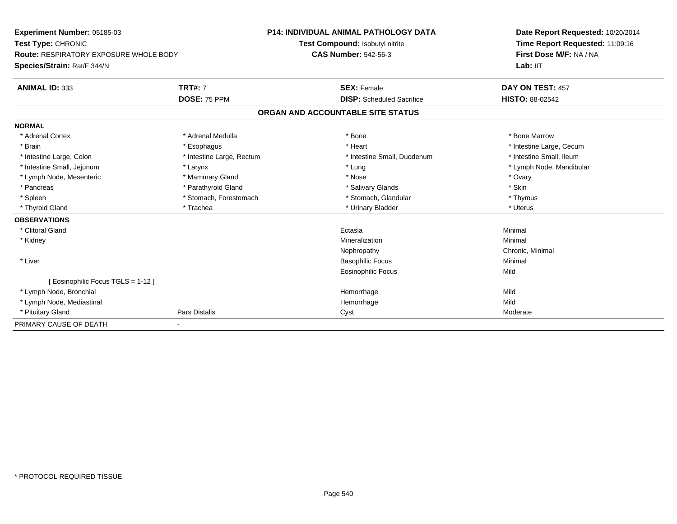| Experiment Number: 05185-03<br>Test Type: CHRONIC<br><b>Route: RESPIRATORY EXPOSURE WHOLE BODY</b> |                           | <b>P14: INDIVIDUAL ANIMAL PATHOLOGY DATA</b> | Date Report Requested: 10/20/2014 |
|----------------------------------------------------------------------------------------------------|---------------------------|----------------------------------------------|-----------------------------------|
|                                                                                                    |                           | Test Compound: Isobutyl nitrite              | Time Report Requested: 11:09:16   |
|                                                                                                    |                           | <b>CAS Number: 542-56-3</b>                  | First Dose M/F: NA / NA           |
| Species/Strain: Rat/F 344/N                                                                        |                           |                                              | Lab: IIT                          |
| <b>ANIMAL ID: 333</b>                                                                              | <b>TRT#: 7</b>            | <b>SEX: Female</b>                           | DAY ON TEST: 457                  |
|                                                                                                    | DOSE: 75 PPM              | <b>DISP:</b> Scheduled Sacrifice             | <b>HISTO: 88-02542</b>            |
|                                                                                                    |                           | ORGAN AND ACCOUNTABLE SITE STATUS            |                                   |
| <b>NORMAL</b>                                                                                      |                           |                                              |                                   |
| * Adrenal Cortex                                                                                   | * Adrenal Medulla         | * Bone                                       | * Bone Marrow                     |
| * Brain                                                                                            | * Esophagus               | * Heart                                      | * Intestine Large, Cecum          |
| * Intestine Large, Colon                                                                           | * Intestine Large, Rectum | * Intestine Small, Duodenum                  | * Intestine Small. Ileum          |
| * Intestine Small, Jejunum                                                                         | * Larynx                  | * Lung                                       | * Lymph Node, Mandibular          |
| * Lymph Node, Mesenteric                                                                           | * Mammary Gland           | * Nose                                       | * Ovary                           |
| * Pancreas                                                                                         | * Parathyroid Gland       | * Salivary Glands                            | * Skin                            |
| * Spleen                                                                                           | * Stomach, Forestomach    | * Stomach, Glandular                         | * Thymus                          |
| * Thyroid Gland                                                                                    | * Trachea                 | * Urinary Bladder                            | * Uterus                          |
| <b>OBSERVATIONS</b>                                                                                |                           |                                              |                                   |
| * Clitoral Gland                                                                                   |                           | Ectasia                                      | Minimal                           |
| * Kidney                                                                                           |                           | Mineralization                               | Minimal                           |
|                                                                                                    |                           | Nephropathy                                  | Chronic, Minimal                  |
| * Liver                                                                                            |                           | <b>Basophilic Focus</b>                      | Minimal                           |
|                                                                                                    |                           | Eosinophilic Focus                           | Mild                              |
| [ Eosinophilic Focus TGLS = 1-12 ]                                                                 |                           |                                              |                                   |
| * Lymph Node, Bronchial                                                                            |                           | Hemorrhage                                   | Mild                              |
| * Lymph Node, Mediastinal                                                                          |                           | Hemorrhage                                   | Mild                              |
| * Pituitary Gland                                                                                  | Pars Distalis             | Cyst                                         | Moderate                          |
| PRIMARY CAUSE OF DEATH                                                                             |                           |                                              |                                   |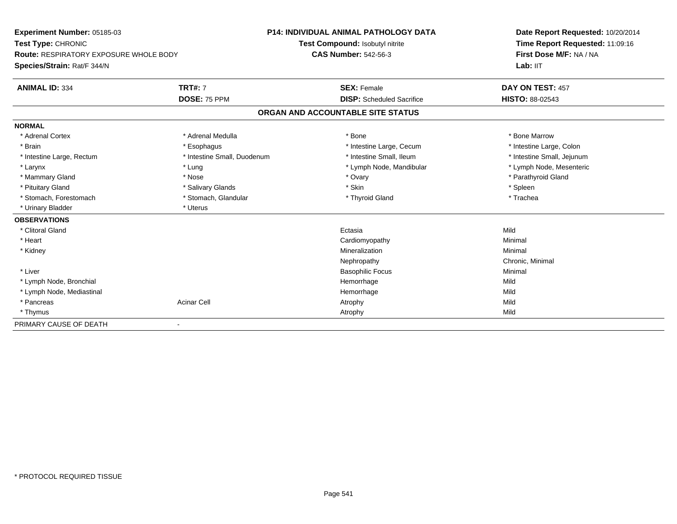| Experiment Number: 05185-03                   |                             | P14: INDIVIDUAL ANIMAL PATHOLOGY DATA | Date Report Requested: 10/20/2014<br>Time Report Requested: 11:09:16 |  |
|-----------------------------------------------|-----------------------------|---------------------------------------|----------------------------------------------------------------------|--|
| Test Type: CHRONIC                            |                             | Test Compound: Isobutyl nitrite       |                                                                      |  |
| <b>Route: RESPIRATORY EXPOSURE WHOLE BODY</b> |                             | <b>CAS Number: 542-56-3</b>           | First Dose M/F: NA / NA                                              |  |
| Species/Strain: Rat/F 344/N                   |                             |                                       | Lab: IIT                                                             |  |
| <b>ANIMAL ID: 334</b>                         | <b>TRT#: 7</b>              | <b>SEX: Female</b>                    | DAY ON TEST: 457                                                     |  |
|                                               | DOSE: 75 PPM                | <b>DISP:</b> Scheduled Sacrifice      | <b>HISTO: 88-02543</b>                                               |  |
|                                               |                             | ORGAN AND ACCOUNTABLE SITE STATUS     |                                                                      |  |
| <b>NORMAL</b>                                 |                             |                                       |                                                                      |  |
| * Adrenal Cortex                              | * Adrenal Medulla           | * Bone                                | * Bone Marrow                                                        |  |
| * Brain                                       | * Esophagus                 | * Intestine Large, Cecum              | * Intestine Large, Colon                                             |  |
| * Intestine Large, Rectum                     | * Intestine Small, Duodenum | * Intestine Small, Ileum              | * Intestine Small, Jejunum                                           |  |
| * Larynx                                      | * Lung                      | * Lymph Node, Mandibular              | * Lymph Node, Mesenteric                                             |  |
| * Mammary Gland                               | * Nose                      | * Ovary                               | * Parathyroid Gland                                                  |  |
| * Pituitary Gland                             | * Salivary Glands           | * Skin                                | * Spleen                                                             |  |
| * Stomach, Forestomach                        | * Stomach, Glandular        | * Thyroid Gland                       | * Trachea                                                            |  |
| * Urinary Bladder                             | * Uterus                    |                                       |                                                                      |  |
| <b>OBSERVATIONS</b>                           |                             |                                       |                                                                      |  |
| * Clitoral Gland                              |                             | Ectasia                               | Mild                                                                 |  |
| * Heart                                       |                             | Cardiomyopathy                        | Minimal                                                              |  |
| * Kidney                                      |                             | Mineralization                        | Minimal                                                              |  |
|                                               |                             | Nephropathy                           | Chronic, Minimal                                                     |  |
| * Liver                                       |                             | <b>Basophilic Focus</b>               | Minimal                                                              |  |
| * Lymph Node, Bronchial                       |                             | Hemorrhage                            | Mild                                                                 |  |
| * Lymph Node, Mediastinal                     |                             | Hemorrhage                            | Mild                                                                 |  |
| * Pancreas                                    | <b>Acinar Cell</b>          | Atrophy                               | Mild                                                                 |  |
| * Thymus                                      |                             | Atrophy                               | Mild                                                                 |  |
| PRIMARY CAUSE OF DEATH                        |                             |                                       |                                                                      |  |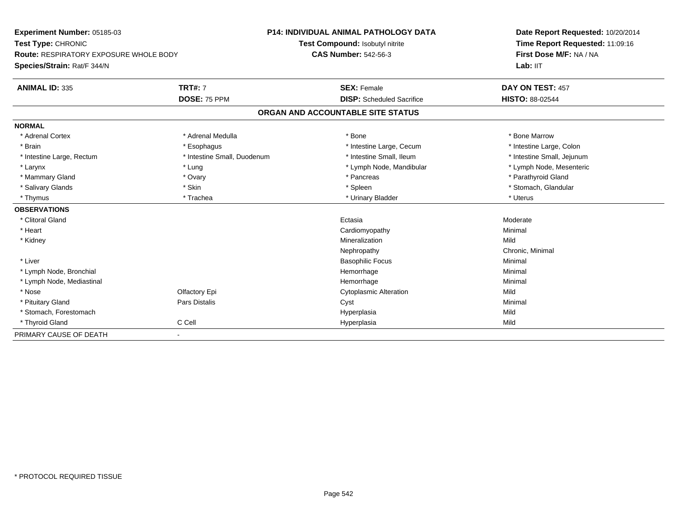| <b>Experiment Number: 05185-03</b>     |                             | <b>P14: INDIVIDUAL ANIMAL PATHOLOGY DATA</b> | Date Report Requested: 10/20/2014<br>Time Report Requested: 11:09:16 |
|----------------------------------------|-----------------------------|----------------------------------------------|----------------------------------------------------------------------|
| Test Type: CHRONIC                     |                             | Test Compound: Isobutyl nitrite              |                                                                      |
| Route: RESPIRATORY EXPOSURE WHOLE BODY |                             | <b>CAS Number: 542-56-3</b>                  | First Dose M/F: NA / NA                                              |
| Species/Strain: Rat/F 344/N            |                             |                                              | Lab: IIT                                                             |
| <b>ANIMAL ID: 335</b>                  | <b>TRT#: 7</b>              | <b>SEX: Female</b>                           | DAY ON TEST: 457                                                     |
|                                        | DOSE: 75 PPM                | <b>DISP:</b> Scheduled Sacrifice             | <b>HISTO: 88-02544</b>                                               |
|                                        |                             | ORGAN AND ACCOUNTABLE SITE STATUS            |                                                                      |
| <b>NORMAL</b>                          |                             |                                              |                                                                      |
| * Adrenal Cortex                       | * Adrenal Medulla           | * Bone                                       | * Bone Marrow                                                        |
| * Brain                                | * Esophagus                 | * Intestine Large, Cecum                     | * Intestine Large, Colon                                             |
| * Intestine Large, Rectum              | * Intestine Small, Duodenum | * Intestine Small, Ileum                     | * Intestine Small, Jejunum                                           |
| * Larynx                               | * Lung                      | * Lymph Node, Mandibular                     | * Lymph Node, Mesenteric                                             |
| * Mammary Gland                        | * Ovary                     | * Pancreas                                   | * Parathyroid Gland                                                  |
| * Salivary Glands                      | * Skin                      | * Spleen                                     | * Stomach, Glandular                                                 |
| * Thymus                               | * Trachea                   | * Urinary Bladder                            | * Uterus                                                             |
| <b>OBSERVATIONS</b>                    |                             |                                              |                                                                      |
| * Clitoral Gland                       |                             | Ectasia                                      | Moderate                                                             |
| * Heart                                |                             | Cardiomyopathy                               | Minimal                                                              |
| * Kidney                               |                             | Mineralization                               | Mild                                                                 |
|                                        |                             | Nephropathy                                  | Chronic, Minimal                                                     |
| * Liver                                |                             | <b>Basophilic Focus</b>                      | Minimal                                                              |
| * Lymph Node, Bronchial                |                             | Hemorrhage                                   | Minimal                                                              |
| * Lymph Node, Mediastinal              |                             | Hemorrhage                                   | Minimal                                                              |
| * Nose                                 | Olfactory Epi               | <b>Cytoplasmic Alteration</b>                | Mild                                                                 |
| * Pituitary Gland                      | <b>Pars Distalis</b>        | Cyst                                         | Minimal                                                              |
| * Stomach, Forestomach                 |                             | Hyperplasia                                  | Mild                                                                 |
| * Thyroid Gland                        | C Cell                      | Hyperplasia                                  | Mild                                                                 |
| PRIMARY CAUSE OF DEATH                 |                             |                                              |                                                                      |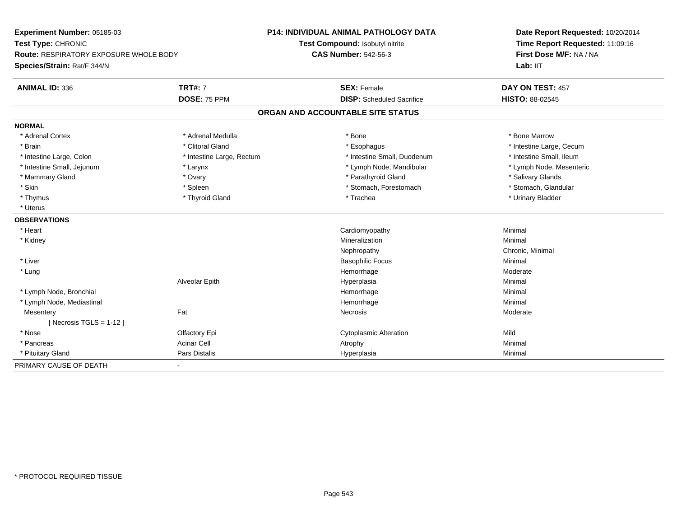| Experiment Number: 05185-03                   |                           | <b>P14: INDIVIDUAL ANIMAL PATHOLOGY DATA</b> | Date Report Requested: 10/20/2014 |
|-----------------------------------------------|---------------------------|----------------------------------------------|-----------------------------------|
| Test Type: CHRONIC                            |                           | Test Compound: Isobutyl nitrite              | Time Report Requested: 11:09:16   |
| <b>Route: RESPIRATORY EXPOSURE WHOLE BODY</b> |                           | <b>CAS Number: 542-56-3</b>                  | First Dose M/F: NA / NA           |
| Species/Strain: Rat/F 344/N                   |                           |                                              | Lab: IIT                          |
| <b>ANIMAL ID: 336</b>                         | <b>TRT#: 7</b>            | <b>SEX: Female</b>                           | DAY ON TEST: 457                  |
|                                               | DOSE: 75 PPM              | <b>DISP:</b> Scheduled Sacrifice             | <b>HISTO: 88-02545</b>            |
|                                               |                           | ORGAN AND ACCOUNTABLE SITE STATUS            |                                   |
| <b>NORMAL</b>                                 |                           |                                              |                                   |
| * Adrenal Cortex                              | * Adrenal Medulla         | * Bone                                       | * Bone Marrow                     |
| * Brain                                       | * Clitoral Gland          | * Esophagus                                  | * Intestine Large, Cecum          |
| * Intestine Large, Colon                      | * Intestine Large, Rectum | * Intestine Small, Duodenum                  | * Intestine Small, Ileum          |
| * Intestine Small, Jejunum                    | * Larynx                  | * Lymph Node, Mandibular                     | * Lymph Node, Mesenteric          |
| * Mammary Gland                               | * Ovary                   | * Parathyroid Gland                          | * Salivary Glands                 |
| * Skin                                        | * Spleen                  | * Stomach, Forestomach                       | * Stomach, Glandular              |
| * Thymus                                      | * Thyroid Gland           | * Trachea                                    | * Urinary Bladder                 |
| * Uterus                                      |                           |                                              |                                   |
| <b>OBSERVATIONS</b>                           |                           |                                              |                                   |
| * Heart                                       |                           | Cardiomyopathy                               | Minimal                           |
| * Kidney                                      |                           | Mineralization                               | Minimal                           |
|                                               |                           | Nephropathy                                  | Chronic, Minimal                  |
| * Liver                                       |                           | <b>Basophilic Focus</b>                      | Minimal                           |
| * Lung                                        |                           | Hemorrhage                                   | Moderate                          |
|                                               | Alveolar Epith            | Hyperplasia                                  | Minimal                           |
| * Lymph Node, Bronchial                       |                           | Hemorrhage                                   | Minimal                           |
| * Lymph Node, Mediastinal                     |                           | Hemorrhage                                   | Minimal                           |
| Mesentery                                     | Fat                       | <b>Necrosis</b>                              | Moderate                          |
| [Necrosis TGLS = $1-12$ ]                     |                           |                                              |                                   |
| * Nose                                        | Olfactory Epi             | <b>Cytoplasmic Alteration</b>                | Mild                              |
| * Pancreas                                    | <b>Acinar Cell</b>        | Atrophy                                      | Minimal                           |
| * Pituitary Gland                             | <b>Pars Distalis</b>      | Hyperplasia                                  | Minimal                           |
| PRIMARY CAUSE OF DEATH                        |                           |                                              |                                   |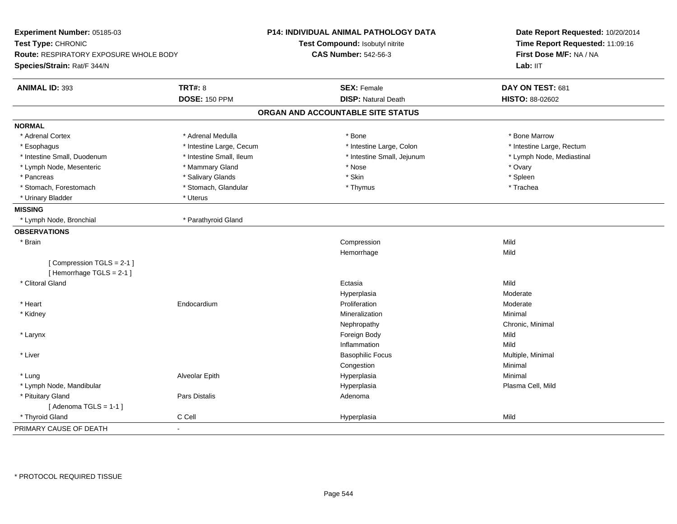| Experiment Number: 05185-03<br>Test Type: CHRONIC<br><b>Route: RESPIRATORY EXPOSURE WHOLE BODY</b><br>Species/Strain: Rat/F 344/N |                          | P14: INDIVIDUAL ANIMAL PATHOLOGY DATA<br>Test Compound: Isobutyl nitrite<br><b>CAS Number: 542-56-3</b> | Date Report Requested: 10/20/2014<br>Time Report Requested: 11:09:16<br>First Dose M/F: NA / NA<br>Lab: IIT |
|-----------------------------------------------------------------------------------------------------------------------------------|--------------------------|---------------------------------------------------------------------------------------------------------|-------------------------------------------------------------------------------------------------------------|
| <b>ANIMAL ID: 393</b>                                                                                                             | <b>TRT#: 8</b>           | <b>SEX: Female</b>                                                                                      | DAY ON TEST: 681                                                                                            |
|                                                                                                                                   | <b>DOSE: 150 PPM</b>     | <b>DISP: Natural Death</b>                                                                              | HISTO: 88-02602                                                                                             |
|                                                                                                                                   |                          | ORGAN AND ACCOUNTABLE SITE STATUS                                                                       |                                                                                                             |
| <b>NORMAL</b>                                                                                                                     |                          |                                                                                                         |                                                                                                             |
| * Adrenal Cortex                                                                                                                  | * Adrenal Medulla        | * Bone                                                                                                  | * Bone Marrow                                                                                               |
| * Esophagus                                                                                                                       | * Intestine Large, Cecum | * Intestine Large, Colon                                                                                | * Intestine Large, Rectum                                                                                   |
| * Intestine Small, Duodenum                                                                                                       | * Intestine Small, Ileum | * Intestine Small, Jejunum                                                                              | * Lymph Node, Mediastinal                                                                                   |
| * Lymph Node, Mesenteric                                                                                                          | * Mammary Gland          | * Nose                                                                                                  | * Ovary                                                                                                     |
| * Pancreas                                                                                                                        | * Salivary Glands        | * Skin                                                                                                  | * Spleen                                                                                                    |
| * Stomach, Forestomach                                                                                                            | * Stomach, Glandular     | * Thymus                                                                                                | * Trachea                                                                                                   |
| * Urinary Bladder                                                                                                                 | * Uterus                 |                                                                                                         |                                                                                                             |
| <b>MISSING</b>                                                                                                                    |                          |                                                                                                         |                                                                                                             |
| * Lymph Node, Bronchial                                                                                                           | * Parathyroid Gland      |                                                                                                         |                                                                                                             |
| <b>OBSERVATIONS</b>                                                                                                               |                          |                                                                                                         |                                                                                                             |
| * Brain                                                                                                                           |                          | Compression                                                                                             | Mild                                                                                                        |
|                                                                                                                                   |                          | Hemorrhage                                                                                              | Mild                                                                                                        |
| [Compression TGLS = 2-1]                                                                                                          |                          |                                                                                                         |                                                                                                             |
| [Hemorrhage TGLS = 2-1]                                                                                                           |                          |                                                                                                         |                                                                                                             |
| * Clitoral Gland                                                                                                                  |                          | Ectasia                                                                                                 | Mild                                                                                                        |
|                                                                                                                                   |                          | Hyperplasia                                                                                             | Moderate                                                                                                    |
| * Heart                                                                                                                           | Endocardium              | Proliferation                                                                                           | Moderate                                                                                                    |
| * Kidney                                                                                                                          |                          | Mineralization                                                                                          | Minimal                                                                                                     |
|                                                                                                                                   |                          | Nephropathy                                                                                             | Chronic, Minimal                                                                                            |
| * Larynx                                                                                                                          |                          | Foreign Body                                                                                            | Mild                                                                                                        |
|                                                                                                                                   |                          | Inflammation                                                                                            | Mild                                                                                                        |
| * Liver                                                                                                                           |                          | <b>Basophilic Focus</b>                                                                                 | Multiple, Minimal                                                                                           |
|                                                                                                                                   |                          | Congestion                                                                                              | Minimal                                                                                                     |
| * Lung                                                                                                                            | Alveolar Epith           | Hyperplasia                                                                                             | Minimal                                                                                                     |
| * Lymph Node, Mandibular                                                                                                          |                          | Hyperplasia                                                                                             | Plasma Cell, Mild                                                                                           |
| * Pituitary Gland                                                                                                                 | Pars Distalis            | Adenoma                                                                                                 |                                                                                                             |
| [Adenoma TGLS = $1-1$ ]                                                                                                           |                          |                                                                                                         |                                                                                                             |
| * Thyroid Gland                                                                                                                   | C Cell                   | Hyperplasia                                                                                             | Mild                                                                                                        |
| PRIMARY CAUSE OF DEATH                                                                                                            | ÷,                       |                                                                                                         |                                                                                                             |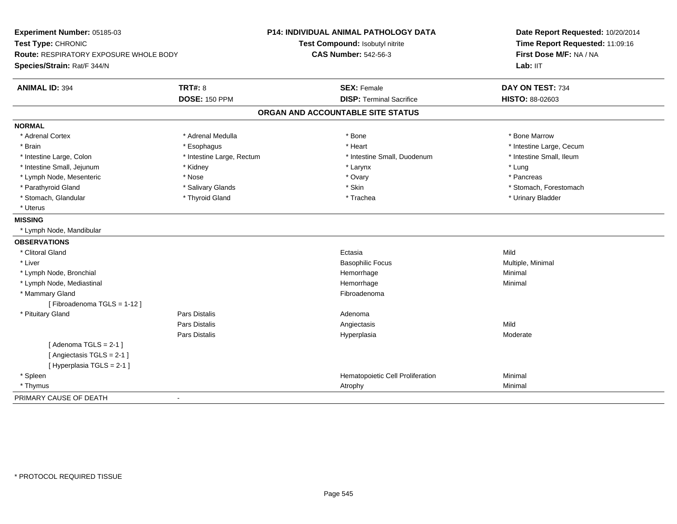| Experiment Number: 05185-03<br>Test Type: CHRONIC<br><b>Route: RESPIRATORY EXPOSURE WHOLE BODY</b><br>Species/Strain: Rat/F 344/N |                           | P14: INDIVIDUAL ANIMAL PATHOLOGY DATA<br>Test Compound: Isobutyl nitrite<br><b>CAS Number: 542-56-3</b> | Date Report Requested: 10/20/2014<br>Time Report Requested: 11:09:16<br>First Dose M/F: NA / NA<br>Lab: IIT |
|-----------------------------------------------------------------------------------------------------------------------------------|---------------------------|---------------------------------------------------------------------------------------------------------|-------------------------------------------------------------------------------------------------------------|
| <b>ANIMAL ID: 394</b>                                                                                                             | <b>TRT#: 8</b>            | <b>SEX: Female</b>                                                                                      | DAY ON TEST: 734                                                                                            |
|                                                                                                                                   | <b>DOSE: 150 PPM</b>      | <b>DISP: Terminal Sacrifice</b>                                                                         | HISTO: 88-02603                                                                                             |
|                                                                                                                                   |                           | ORGAN AND ACCOUNTABLE SITE STATUS                                                                       |                                                                                                             |
| <b>NORMAL</b>                                                                                                                     |                           |                                                                                                         |                                                                                                             |
| * Adrenal Cortex                                                                                                                  | * Adrenal Medulla         | * Bone                                                                                                  | * Bone Marrow                                                                                               |
| * Brain                                                                                                                           | * Esophagus               | * Heart                                                                                                 | * Intestine Large, Cecum                                                                                    |
| * Intestine Large, Colon                                                                                                          | * Intestine Large, Rectum | * Intestine Small, Duodenum                                                                             | * Intestine Small, Ileum                                                                                    |
| * Intestine Small, Jejunum                                                                                                        | * Kidney                  | * Larynx                                                                                                | * Lung                                                                                                      |
| * Lymph Node, Mesenteric                                                                                                          | * Nose                    | * Ovary                                                                                                 | * Pancreas                                                                                                  |
| * Parathyroid Gland                                                                                                               | * Salivary Glands         | * Skin                                                                                                  | * Stomach, Forestomach                                                                                      |
| * Stomach, Glandular                                                                                                              | * Thyroid Gland           | * Trachea                                                                                               | * Urinary Bladder                                                                                           |
| * Uterus                                                                                                                          |                           |                                                                                                         |                                                                                                             |
| <b>MISSING</b>                                                                                                                    |                           |                                                                                                         |                                                                                                             |
| * Lymph Node, Mandibular                                                                                                          |                           |                                                                                                         |                                                                                                             |
| <b>OBSERVATIONS</b>                                                                                                               |                           |                                                                                                         |                                                                                                             |
| * Clitoral Gland                                                                                                                  |                           | Ectasia                                                                                                 | Mild                                                                                                        |
| * Liver                                                                                                                           |                           | <b>Basophilic Focus</b>                                                                                 | Multiple, Minimal                                                                                           |
| * Lymph Node, Bronchial                                                                                                           |                           | Hemorrhage                                                                                              | Minimal                                                                                                     |
| * Lymph Node, Mediastinal                                                                                                         |                           | Hemorrhage                                                                                              | Minimal                                                                                                     |
| * Mammary Gland                                                                                                                   |                           | Fibroadenoma                                                                                            |                                                                                                             |
| [Fibroadenoma TGLS = 1-12]                                                                                                        |                           |                                                                                                         |                                                                                                             |
| * Pituitary Gland                                                                                                                 | Pars Distalis             | Adenoma                                                                                                 |                                                                                                             |
|                                                                                                                                   | Pars Distalis             | Angiectasis                                                                                             | Mild                                                                                                        |
|                                                                                                                                   | Pars Distalis             | Hyperplasia                                                                                             | Moderate                                                                                                    |
| [Adenoma TGLS = $2-1$ ]                                                                                                           |                           |                                                                                                         |                                                                                                             |
| [Angiectasis TGLS = 2-1]                                                                                                          |                           |                                                                                                         |                                                                                                             |
| [Hyperplasia TGLS = 2-1]                                                                                                          |                           |                                                                                                         |                                                                                                             |
| * Spleen                                                                                                                          |                           | Hematopoietic Cell Proliferation                                                                        | Minimal                                                                                                     |
| * Thymus                                                                                                                          |                           | Atrophy                                                                                                 | Minimal                                                                                                     |
| PRIMARY CAUSE OF DEATH                                                                                                            | $\overline{a}$            |                                                                                                         |                                                                                                             |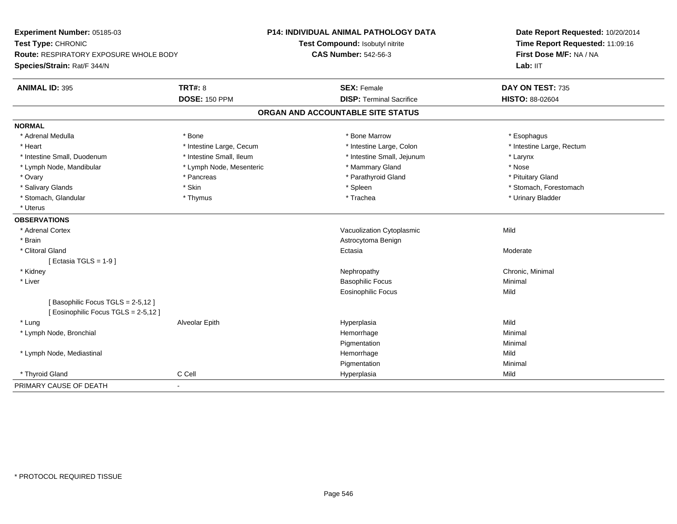| Experiment Number: 05185-03<br>Test Type: CHRONIC<br><b>Route: RESPIRATORY EXPOSURE WHOLE BODY</b><br>Species/Strain: Rat/F 344/N |                          | <b>P14: INDIVIDUAL ANIMAL PATHOLOGY DATA</b><br>Test Compound: Isobutyl nitrite<br><b>CAS Number: 542-56-3</b> | Date Report Requested: 10/20/2014<br>Time Report Requested: 11:09:16<br>First Dose M/F: NA / NA<br>Lab: IIT |
|-----------------------------------------------------------------------------------------------------------------------------------|--------------------------|----------------------------------------------------------------------------------------------------------------|-------------------------------------------------------------------------------------------------------------|
| <b>ANIMAL ID: 395</b>                                                                                                             | <b>TRT#: 8</b>           | <b>SEX: Female</b>                                                                                             | DAY ON TEST: 735                                                                                            |
|                                                                                                                                   | <b>DOSE: 150 PPM</b>     | <b>DISP: Terminal Sacrifice</b>                                                                                | <b>HISTO: 88-02604</b>                                                                                      |
|                                                                                                                                   |                          | ORGAN AND ACCOUNTABLE SITE STATUS                                                                              |                                                                                                             |
| <b>NORMAL</b>                                                                                                                     |                          |                                                                                                                |                                                                                                             |
| * Adrenal Medulla                                                                                                                 | * Bone                   | * Bone Marrow                                                                                                  | * Esophagus                                                                                                 |
| * Heart                                                                                                                           | * Intestine Large, Cecum | * Intestine Large, Colon                                                                                       | * Intestine Large, Rectum                                                                                   |
| * Intestine Small, Duodenum                                                                                                       | * Intestine Small, Ileum | * Intestine Small, Jejunum                                                                                     | * Larynx                                                                                                    |
| * Lymph Node, Mandibular                                                                                                          | * Lymph Node, Mesenteric | * Mammary Gland                                                                                                | * Nose                                                                                                      |
| * Ovary                                                                                                                           | * Pancreas               | * Parathyroid Gland                                                                                            | * Pituitary Gland                                                                                           |
| * Salivary Glands                                                                                                                 | * Skin                   | * Spleen                                                                                                       | * Stomach, Forestomach                                                                                      |
| * Stomach, Glandular                                                                                                              | * Thymus                 | * Trachea                                                                                                      | * Urinary Bladder                                                                                           |
| * Uterus                                                                                                                          |                          |                                                                                                                |                                                                                                             |
| <b>OBSERVATIONS</b>                                                                                                               |                          |                                                                                                                |                                                                                                             |
| * Adrenal Cortex                                                                                                                  |                          | Vacuolization Cytoplasmic                                                                                      | Mild                                                                                                        |
| * Brain                                                                                                                           |                          | Astrocytoma Benign                                                                                             |                                                                                                             |
| * Clitoral Gland                                                                                                                  |                          | Ectasia                                                                                                        | Moderate                                                                                                    |
| [Ectasia TGLS = 1-9]                                                                                                              |                          |                                                                                                                |                                                                                                             |
| * Kidney                                                                                                                          |                          | Nephropathy                                                                                                    | Chronic, Minimal                                                                                            |
| * Liver                                                                                                                           |                          | <b>Basophilic Focus</b>                                                                                        | Minimal                                                                                                     |
|                                                                                                                                   |                          | <b>Eosinophilic Focus</b>                                                                                      | Mild                                                                                                        |
| [Basophilic Focus TGLS = 2-5,12]<br>[ Eosinophilic Focus TGLS = 2-5,12 ]                                                          |                          |                                                                                                                |                                                                                                             |
| * Lung                                                                                                                            | Alveolar Epith           | Hyperplasia                                                                                                    | Mild                                                                                                        |
| * Lymph Node, Bronchial                                                                                                           |                          | Hemorrhage                                                                                                     | Minimal                                                                                                     |
|                                                                                                                                   |                          | Pigmentation                                                                                                   | Minimal                                                                                                     |
| * Lymph Node, Mediastinal                                                                                                         |                          | Hemorrhage                                                                                                     | Mild                                                                                                        |
|                                                                                                                                   |                          | Pigmentation                                                                                                   | Minimal                                                                                                     |
| * Thyroid Gland                                                                                                                   | C Cell                   | Hyperplasia                                                                                                    | Mild                                                                                                        |
| PRIMARY CAUSE OF DEATH                                                                                                            | $\blacksquare$           |                                                                                                                |                                                                                                             |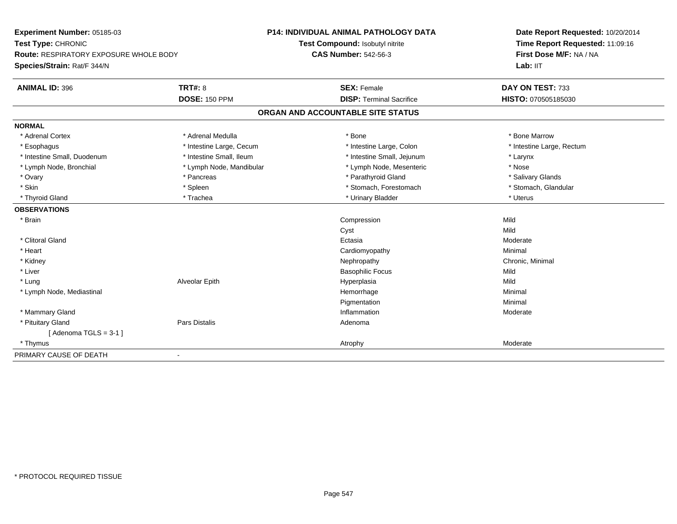| Experiment Number: 05185-03                                         |                          | <b>P14: INDIVIDUAL ANIMAL PATHOLOGY DATA</b> | Date Report Requested: 10/20/2014                          |
|---------------------------------------------------------------------|--------------------------|----------------------------------------------|------------------------------------------------------------|
| Test Type: CHRONIC<br><b>Route: RESPIRATORY EXPOSURE WHOLE BODY</b> |                          | Test Compound: Isobutyl nitrite              | Time Report Requested: 11:09:16<br>First Dose M/F: NA / NA |
|                                                                     |                          | <b>CAS Number: 542-56-3</b>                  |                                                            |
| Species/Strain: Rat/F 344/N                                         |                          |                                              | Lab: IIT                                                   |
| <b>ANIMAL ID: 396</b>                                               | <b>TRT#: 8</b>           | <b>SEX: Female</b>                           | DAY ON TEST: 733                                           |
|                                                                     | <b>DOSE: 150 PPM</b>     | <b>DISP: Terminal Sacrifice</b>              | HISTO: 070505185030                                        |
|                                                                     |                          | ORGAN AND ACCOUNTABLE SITE STATUS            |                                                            |
| <b>NORMAL</b>                                                       |                          |                                              |                                                            |
| * Adrenal Cortex                                                    | * Adrenal Medulla        | * Bone                                       | * Bone Marrow                                              |
| * Esophagus                                                         | * Intestine Large, Cecum | * Intestine Large, Colon                     | * Intestine Large, Rectum                                  |
| * Intestine Small, Duodenum                                         | * Intestine Small, Ileum | * Intestine Small, Jejunum                   | * Larynx                                                   |
| * Lymph Node, Bronchial                                             | * Lymph Node, Mandibular | * Lymph Node, Mesenteric                     | * Nose                                                     |
| * Ovary                                                             | * Pancreas               | * Parathyroid Gland                          | * Salivary Glands                                          |
| * Skin                                                              | * Spleen                 | * Stomach, Forestomach                       | * Stomach, Glandular                                       |
| * Thyroid Gland                                                     | * Trachea                | * Urinary Bladder                            | * Uterus                                                   |
| <b>OBSERVATIONS</b>                                                 |                          |                                              |                                                            |
| * Brain                                                             |                          | Compression                                  | Mild                                                       |
|                                                                     |                          | Cyst                                         | Mild                                                       |
| * Clitoral Gland                                                    |                          | Ectasia                                      | Moderate                                                   |
| * Heart                                                             |                          | Cardiomyopathy                               | Minimal                                                    |
| * Kidney                                                            |                          | Nephropathy                                  | Chronic, Minimal                                           |
| * Liver                                                             |                          | <b>Basophilic Focus</b>                      | Mild                                                       |
| * Lung                                                              | Alveolar Epith           | Hyperplasia                                  | Mild                                                       |
| * Lymph Node, Mediastinal                                           |                          | Hemorrhage                                   | Minimal                                                    |
|                                                                     |                          | Pigmentation                                 | Minimal                                                    |
| * Mammary Gland                                                     |                          | Inflammation                                 | Moderate                                                   |
| * Pituitary Gland                                                   | Pars Distalis            | Adenoma                                      |                                                            |
| [Adenoma TGLS = $3-1$ ]                                             |                          |                                              |                                                            |
| * Thymus                                                            |                          | Atrophy                                      | Moderate                                                   |
| PRIMARY CAUSE OF DEATH                                              |                          |                                              |                                                            |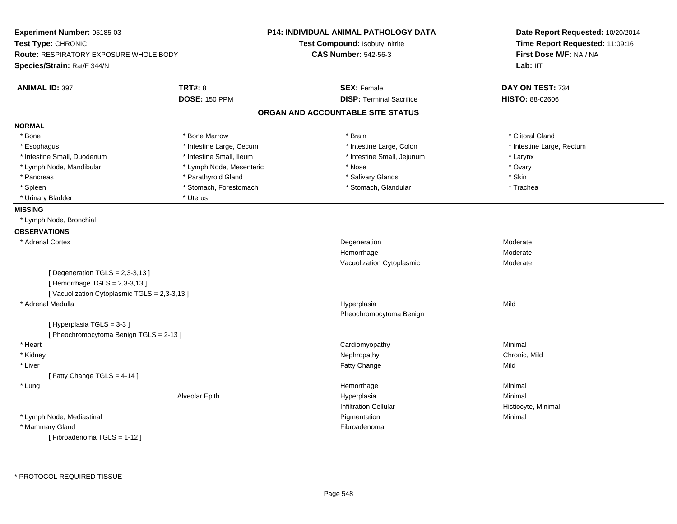| Experiment Number: 05185-03                 |                          | <b>P14: INDIVIDUAL ANIMAL PATHOLOGY DATA</b> | Date Report Requested: 10/20/2014<br>Time Report Requested: 11:09:16<br>First Dose M/F: NA / NA<br>Lab: II <sub>T</sub> |
|---------------------------------------------|--------------------------|----------------------------------------------|-------------------------------------------------------------------------------------------------------------------------|
| Test Type: CHRONIC                          |                          | Test Compound: Isobutyl nitrite              |                                                                                                                         |
| Route: RESPIRATORY EXPOSURE WHOLE BODY      |                          | <b>CAS Number: 542-56-3</b>                  |                                                                                                                         |
| Species/Strain: Rat/F 344/N                 |                          |                                              |                                                                                                                         |
| <b>ANIMAL ID: 397</b>                       | <b>TRT#: 8</b>           | <b>SEX: Female</b>                           | DAY ON TEST: 734                                                                                                        |
|                                             | <b>DOSE: 150 PPM</b>     | <b>DISP: Terminal Sacrifice</b>              | <b>HISTO: 88-02606</b>                                                                                                  |
|                                             |                          | ORGAN AND ACCOUNTABLE SITE STATUS            |                                                                                                                         |
| <b>NORMAL</b>                               |                          |                                              |                                                                                                                         |
| * Bone                                      | * Bone Marrow            | * Brain                                      | * Clitoral Gland                                                                                                        |
| * Esophagus                                 | * Intestine Large, Cecum | * Intestine Large, Colon                     | * Intestine Large, Rectum                                                                                               |
| * Intestine Small, Duodenum                 | * Intestine Small, Ileum | * Intestine Small, Jejunum                   | * Larynx                                                                                                                |
| * Lymph Node, Mandibular                    | * Lymph Node, Mesenteric | * Nose                                       | * Ovary                                                                                                                 |
| * Pancreas                                  | * Parathyroid Gland      | * Salivary Glands                            | * Skin                                                                                                                  |
| * Spleen                                    | * Stomach, Forestomach   | * Stomach, Glandular                         | * Trachea                                                                                                               |
| * Urinary Bladder                           | * Uterus                 |                                              |                                                                                                                         |
| <b>MISSING</b>                              |                          |                                              |                                                                                                                         |
| * Lymph Node, Bronchial                     |                          |                                              |                                                                                                                         |
| <b>OBSERVATIONS</b>                         |                          |                                              |                                                                                                                         |
| * Adrenal Cortex                            |                          | Degeneration                                 | Moderate                                                                                                                |
|                                             |                          | Hemorrhage                                   | Moderate                                                                                                                |
|                                             |                          | Vacuolization Cytoplasmic                    | Moderate                                                                                                                |
| [ Degeneration TGLS = $2,3-3,13$ ]          |                          |                                              |                                                                                                                         |
| [Hemorrhage TGLS = 2,3-3,13]                |                          |                                              |                                                                                                                         |
| [Vacuolization Cytoplasmic TGLS = 2,3-3,13] |                          |                                              |                                                                                                                         |
| * Adrenal Medulla                           |                          | Hyperplasia                                  | Mild                                                                                                                    |
|                                             |                          | Pheochromocytoma Benign                      |                                                                                                                         |
| [Hyperplasia TGLS = 3-3]                    |                          |                                              |                                                                                                                         |
| [ Pheochromocytoma Benign TGLS = 2-13 ]     |                          |                                              |                                                                                                                         |
| * Heart                                     |                          | Cardiomyopathy                               | Minimal                                                                                                                 |
| * Kidney                                    |                          | Nephropathy                                  | Chronic, Mild                                                                                                           |
| * Liver                                     |                          | Fatty Change                                 | Mild                                                                                                                    |
| [Fatty Change TGLS = 4-14]                  |                          |                                              |                                                                                                                         |
| * Lung                                      |                          | Hemorrhage                                   | Minimal                                                                                                                 |
|                                             | Alveolar Epith           | Hyperplasia                                  | Minimal                                                                                                                 |
|                                             |                          | <b>Infiltration Cellular</b>                 | Histiocyte, Minimal                                                                                                     |
| * Lymph Node, Mediastinal                   |                          | Pigmentation                                 | Minimal                                                                                                                 |
| * Mammary Gland                             |                          | Fibroadenoma                                 |                                                                                                                         |
| [Fibroadenoma TGLS = 1-12]                  |                          |                                              |                                                                                                                         |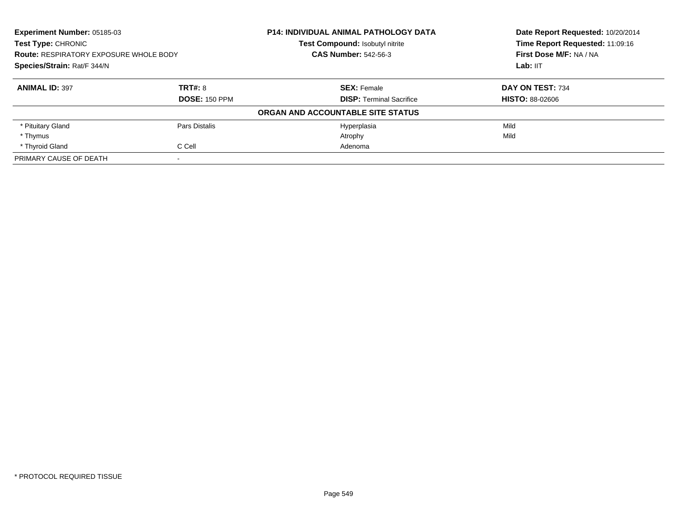| Experiment Number: 05185-03<br><b>Test Type: CHRONIC</b><br><b>Route: RESPIRATORY EXPOSURE WHOLE BODY</b><br>Species/Strain: Rat/F 344/N |                      | <b>P14: INDIVIDUAL ANIMAL PATHOLOGY DATA</b> | Date Report Requested: 10/20/2014<br>Time Report Requested: 11:09:16<br>First Dose M/F: NA / NA<br>Lab: IIT |
|------------------------------------------------------------------------------------------------------------------------------------------|----------------------|----------------------------------------------|-------------------------------------------------------------------------------------------------------------|
|                                                                                                                                          |                      | Test Compound: Isobutyl nitrite              |                                                                                                             |
|                                                                                                                                          |                      | <b>CAS Number: 542-56-3</b>                  |                                                                                                             |
|                                                                                                                                          |                      |                                              |                                                                                                             |
| <b>ANIMAL ID: 397</b>                                                                                                                    | TRT#: 8              | <b>SEX: Female</b>                           | DAY ON TEST: 734                                                                                            |
|                                                                                                                                          | <b>DOSE: 150 PPM</b> | <b>DISP: Terminal Sacrifice</b>              | <b>HISTO: 88-02606</b>                                                                                      |
|                                                                                                                                          |                      | ORGAN AND ACCOUNTABLE SITE STATUS            |                                                                                                             |
| * Pituitary Gland                                                                                                                        | Pars Distalis        | Hyperplasia                                  | Mild                                                                                                        |
| * Thymus                                                                                                                                 |                      | Atrophy                                      | Mild                                                                                                        |
| * Thyroid Gland                                                                                                                          | C Cell               | Adenoma                                      |                                                                                                             |
| PRIMARY CAUSE OF DEATH                                                                                                                   |                      |                                              |                                                                                                             |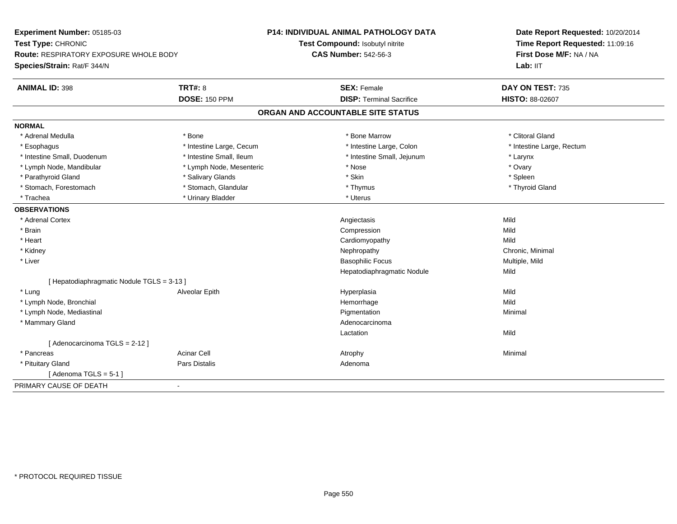| Experiment Number: 05185-03                |                          | <b>P14: INDIVIDUAL ANIMAL PATHOLOGY DATA</b> | Date Report Requested: 10/20/2014<br>Time Report Requested: 11:09:16<br>First Dose M/F: NA / NA |  |
|--------------------------------------------|--------------------------|----------------------------------------------|-------------------------------------------------------------------------------------------------|--|
| Test Type: CHRONIC                         |                          | Test Compound: Isobutyl nitrite              |                                                                                                 |  |
| Route: RESPIRATORY EXPOSURE WHOLE BODY     |                          | <b>CAS Number: 542-56-3</b>                  |                                                                                                 |  |
| Species/Strain: Rat/F 344/N                |                          |                                              | Lab: IIT                                                                                        |  |
| <b>ANIMAL ID: 398</b>                      | <b>TRT#: 8</b>           | <b>SEX: Female</b>                           | DAY ON TEST: 735                                                                                |  |
|                                            | <b>DOSE: 150 PPM</b>     | <b>DISP: Terminal Sacrifice</b>              | HISTO: 88-02607                                                                                 |  |
|                                            |                          | ORGAN AND ACCOUNTABLE SITE STATUS            |                                                                                                 |  |
| <b>NORMAL</b>                              |                          |                                              |                                                                                                 |  |
| * Adrenal Medulla                          | * Bone                   | * Bone Marrow                                | * Clitoral Gland                                                                                |  |
| * Esophagus                                | * Intestine Large, Cecum | * Intestine Large, Colon                     | * Intestine Large, Rectum                                                                       |  |
| * Intestine Small, Duodenum                | * Intestine Small, Ileum | * Intestine Small, Jejunum                   | * Larynx                                                                                        |  |
| * Lymph Node, Mandibular                   | * Lymph Node, Mesenteric | * Nose                                       | * Ovary                                                                                         |  |
| * Parathyroid Gland                        | * Salivary Glands        | * Skin                                       | * Spleen                                                                                        |  |
| * Stomach, Forestomach                     | * Stomach, Glandular     | * Thymus                                     | * Thyroid Gland                                                                                 |  |
| * Trachea                                  | * Urinary Bladder        | * Uterus                                     |                                                                                                 |  |
| <b>OBSERVATIONS</b>                        |                          |                                              |                                                                                                 |  |
| * Adrenal Cortex                           |                          | Angiectasis                                  | Mild                                                                                            |  |
| * Brain                                    |                          | Compression                                  | Mild                                                                                            |  |
| * Heart                                    |                          | Cardiomyopathy                               | Mild                                                                                            |  |
| * Kidney                                   |                          | Nephropathy                                  | Chronic, Minimal                                                                                |  |
| * Liver                                    |                          | <b>Basophilic Focus</b>                      | Multiple, Mild                                                                                  |  |
|                                            |                          | Hepatodiaphragmatic Nodule                   | Mild                                                                                            |  |
| [ Hepatodiaphragmatic Nodule TGLS = 3-13 ] |                          |                                              |                                                                                                 |  |
| * Lung                                     | Alveolar Epith           | Hyperplasia                                  | Mild                                                                                            |  |
| * Lymph Node, Bronchial                    |                          | Hemorrhage                                   | Mild                                                                                            |  |
| * Lymph Node, Mediastinal                  |                          | Pigmentation                                 | Minimal                                                                                         |  |
| * Mammary Gland                            |                          | Adenocarcinoma                               |                                                                                                 |  |
|                                            |                          | Lactation                                    | Mild                                                                                            |  |
| [Adenocarcinoma TGLS = 2-12]               |                          |                                              |                                                                                                 |  |
| * Pancreas                                 | <b>Acinar Cell</b>       | Atrophy                                      | Minimal                                                                                         |  |
| * Pituitary Gland                          | <b>Pars Distalis</b>     | Adenoma                                      |                                                                                                 |  |
| [Adenoma TGLS = $5-1$ ]                    |                          |                                              |                                                                                                 |  |
| PRIMARY CAUSE OF DEATH                     | $\blacksquare$           |                                              |                                                                                                 |  |
|                                            |                          |                                              |                                                                                                 |  |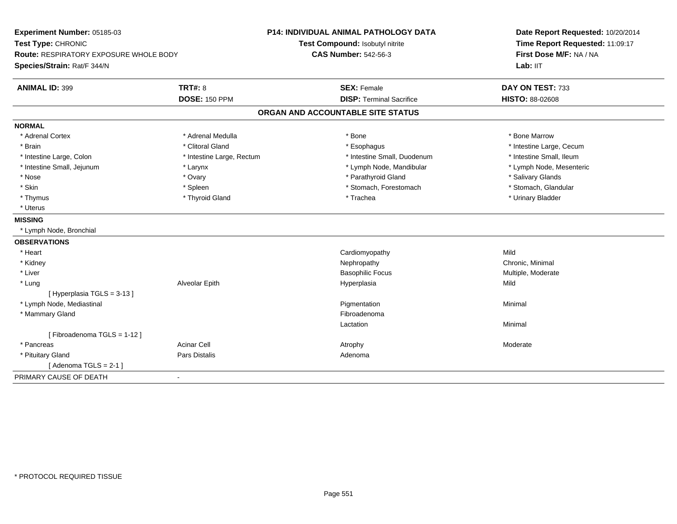| Experiment Number: 05185-03            |                           | <b>P14: INDIVIDUAL ANIMAL PATHOLOGY DATA</b> | Date Report Requested: 10/20/2014 |
|----------------------------------------|---------------------------|----------------------------------------------|-----------------------------------|
| Test Type: CHRONIC                     |                           | Test Compound: Isobutyl nitrite              | Time Report Requested: 11:09:17   |
| Route: RESPIRATORY EXPOSURE WHOLE BODY |                           | <b>CAS Number: 542-56-3</b>                  | First Dose M/F: NA / NA           |
| Species/Strain: Rat/F 344/N            |                           |                                              | Lab: IIT                          |
| <b>ANIMAL ID: 399</b>                  | <b>TRT#: 8</b>            | <b>SEX: Female</b>                           | DAY ON TEST: 733                  |
|                                        | <b>DOSE: 150 PPM</b>      | <b>DISP: Terminal Sacrifice</b>              | HISTO: 88-02608                   |
|                                        |                           | ORGAN AND ACCOUNTABLE SITE STATUS            |                                   |
| <b>NORMAL</b>                          |                           |                                              |                                   |
| * Adrenal Cortex                       | * Adrenal Medulla         | * Bone                                       | * Bone Marrow                     |
| * Brain                                | * Clitoral Gland          | * Esophagus                                  | * Intestine Large, Cecum          |
| * Intestine Large, Colon               | * Intestine Large, Rectum | * Intestine Small, Duodenum                  | * Intestine Small, Ileum          |
| * Intestine Small, Jejunum             | * Larynx                  | * Lymph Node, Mandibular                     | * Lymph Node, Mesenteric          |
| * Nose                                 | * Ovary                   | * Parathyroid Gland                          | * Salivary Glands                 |
| * Skin                                 | * Spleen                  | * Stomach, Forestomach                       | * Stomach, Glandular              |
| * Thymus                               | * Thyroid Gland           | * Trachea                                    | * Urinary Bladder                 |
| * Uterus                               |                           |                                              |                                   |
| <b>MISSING</b>                         |                           |                                              |                                   |
| * Lymph Node, Bronchial                |                           |                                              |                                   |
| <b>OBSERVATIONS</b>                    |                           |                                              |                                   |
| * Heart                                |                           | Cardiomyopathy                               | Mild                              |
| * Kidney                               |                           | Nephropathy                                  | Chronic, Minimal                  |
| * Liver                                |                           | <b>Basophilic Focus</b>                      | Multiple, Moderate                |
| * Lung                                 | Alveolar Epith            | Hyperplasia                                  | Mild                              |
| [Hyperplasia TGLS = 3-13]              |                           |                                              |                                   |
| * Lymph Node, Mediastinal              |                           | Pigmentation                                 | Minimal                           |
| * Mammary Gland                        |                           | Fibroadenoma                                 |                                   |
|                                        |                           | Lactation                                    | Minimal                           |
| [Fibroadenoma TGLS = 1-12]             |                           |                                              |                                   |
| * Pancreas                             | <b>Acinar Cell</b>        | Atrophy                                      | Moderate                          |
| * Pituitary Gland                      | <b>Pars Distalis</b>      | Adenoma                                      |                                   |
| [Adenoma TGLS = $2-1$ ]                |                           |                                              |                                   |
| PRIMARY CAUSE OF DEATH                 | $\blacksquare$            |                                              |                                   |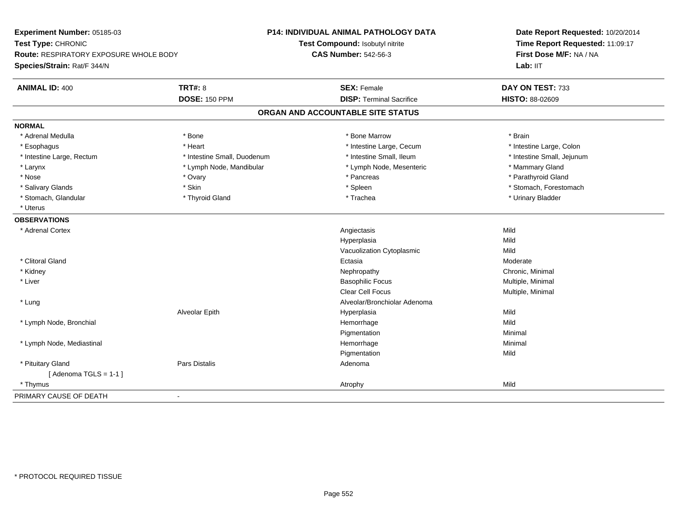| Experiment Number: 05185-03            |                             | P14: INDIVIDUAL ANIMAL PATHOLOGY DATA | Date Report Requested: 10/20/2014<br>Time Report Requested: 11:09:17 |
|----------------------------------------|-----------------------------|---------------------------------------|----------------------------------------------------------------------|
| Test Type: CHRONIC                     |                             | Test Compound: Isobutyl nitrite       |                                                                      |
| Route: RESPIRATORY EXPOSURE WHOLE BODY |                             | <b>CAS Number: 542-56-3</b>           | First Dose M/F: NA / NA                                              |
| Species/Strain: Rat/F 344/N            |                             |                                       | Lab: IIT                                                             |
| <b>ANIMAL ID: 400</b>                  | <b>TRT#: 8</b>              | <b>SEX: Female</b>                    | DAY ON TEST: 733                                                     |
|                                        | <b>DOSE: 150 PPM</b>        | <b>DISP: Terminal Sacrifice</b>       | HISTO: 88-02609                                                      |
|                                        |                             | ORGAN AND ACCOUNTABLE SITE STATUS     |                                                                      |
| <b>NORMAL</b>                          |                             |                                       |                                                                      |
| * Adrenal Medulla                      | * Bone                      | * Bone Marrow                         | * Brain                                                              |
| * Esophagus                            | * Heart                     | * Intestine Large, Cecum              | * Intestine Large, Colon                                             |
| * Intestine Large, Rectum              | * Intestine Small, Duodenum | * Intestine Small, Ileum              | * Intestine Small, Jejunum                                           |
| $*$ Larynx                             | * Lymph Node, Mandibular    | * Lymph Node, Mesenteric              | * Mammary Gland                                                      |
| * Nose                                 | * Ovary                     | * Pancreas                            | * Parathyroid Gland                                                  |
| * Salivary Glands                      | * Skin                      | * Spleen                              | * Stomach, Forestomach                                               |
| * Stomach, Glandular                   | * Thyroid Gland             | * Trachea                             | * Urinary Bladder                                                    |
| * Uterus                               |                             |                                       |                                                                      |
| <b>OBSERVATIONS</b>                    |                             |                                       |                                                                      |
| * Adrenal Cortex                       |                             | Angiectasis                           | Mild                                                                 |
|                                        |                             | Hyperplasia                           | Mild                                                                 |
|                                        |                             | Vacuolization Cytoplasmic             | Mild                                                                 |
| * Clitoral Gland                       |                             | Ectasia                               | Moderate                                                             |
| * Kidney                               |                             | Nephropathy                           | Chronic, Minimal                                                     |
| * Liver                                |                             | <b>Basophilic Focus</b>               | Multiple, Minimal                                                    |
|                                        |                             | <b>Clear Cell Focus</b>               | Multiple, Minimal                                                    |
| * Lung                                 |                             | Alveolar/Bronchiolar Adenoma          |                                                                      |
|                                        | Alveolar Epith              | Hyperplasia                           | Mild                                                                 |
| * Lymph Node, Bronchial                |                             | Hemorrhage                            | Mild                                                                 |
|                                        |                             | Pigmentation                          | Minimal                                                              |
| * Lymph Node, Mediastinal              |                             | Hemorrhage                            | Minimal                                                              |
|                                        |                             | Pigmentation                          | Mild                                                                 |
| * Pituitary Gland                      | <b>Pars Distalis</b>        | Adenoma                               |                                                                      |
| [Adenoma TGLS = $1-1$ ]                |                             |                                       |                                                                      |
| * Thymus                               |                             | Atrophy                               | Mild                                                                 |
| PRIMARY CAUSE OF DEATH                 | $\sim$                      |                                       |                                                                      |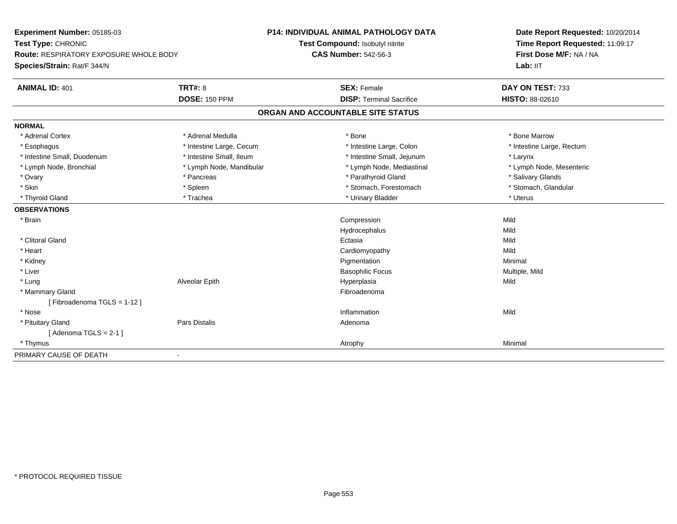| Experiment Number: 05185-03            |                          | P14: INDIVIDUAL ANIMAL PATHOLOGY DATA | Date Report Requested: 10/20/2014 |
|----------------------------------------|--------------------------|---------------------------------------|-----------------------------------|
| Test Type: CHRONIC                     |                          | Test Compound: Isobutyl nitrite       | Time Report Requested: 11:09:17   |
| Route: RESPIRATORY EXPOSURE WHOLE BODY |                          | <b>CAS Number: 542-56-3</b>           | First Dose M/F: NA / NA           |
| Species/Strain: Rat/F 344/N            |                          |                                       | Lab: IIT                          |
| <b>ANIMAL ID: 401</b>                  | <b>TRT#: 8</b>           | <b>SEX: Female</b>                    | DAY ON TEST: 733                  |
|                                        | <b>DOSE: 150 PPM</b>     | <b>DISP: Terminal Sacrifice</b>       | HISTO: 88-02610                   |
|                                        |                          | ORGAN AND ACCOUNTABLE SITE STATUS     |                                   |
| <b>NORMAL</b>                          |                          |                                       |                                   |
| * Adrenal Cortex                       | * Adrenal Medulla        | * Bone                                | * Bone Marrow                     |
| * Esophagus                            | * Intestine Large, Cecum | * Intestine Large, Colon              | * Intestine Large, Rectum         |
| * Intestine Small, Duodenum            | * Intestine Small, Ileum | * Intestine Small, Jejunum            | * Larynx                          |
| * Lymph Node, Bronchial                | * Lymph Node, Mandibular | * Lymph Node, Mediastinal             | * Lymph Node, Mesenteric          |
| * Ovary                                | * Pancreas               | * Parathyroid Gland                   | * Salivary Glands                 |
| * Skin                                 | * Spleen                 | * Stomach, Forestomach                | * Stomach, Glandular              |
| * Thyroid Gland                        | * Trachea                | * Urinary Bladder                     | * Uterus                          |
| <b>OBSERVATIONS</b>                    |                          |                                       |                                   |
| * Brain                                |                          | Compression                           | Mild                              |
|                                        |                          | Hydrocephalus                         | Mild                              |
| * Clitoral Gland                       |                          | Ectasia                               | Mild                              |
| * Heart                                |                          | Cardiomyopathy                        | Mild                              |
| * Kidney                               |                          | Pigmentation                          | Minimal                           |
| * Liver                                |                          | <b>Basophilic Focus</b>               | Multiple, Mild                    |
| * Lung                                 | Alveolar Epith           | Hyperplasia                           | Mild                              |
| * Mammary Gland                        |                          | Fibroadenoma                          |                                   |
| [Fibroadenoma TGLS = 1-12]             |                          |                                       |                                   |
| * Nose                                 |                          | Inflammation                          | Mild                              |
| * Pituitary Gland                      | Pars Distalis            | Adenoma                               |                                   |
| [Adenoma TGLS = $2-1$ ]                |                          |                                       |                                   |
| * Thymus                               |                          | Atrophy                               | Minimal                           |
| PRIMARY CAUSE OF DEATH                 | $\blacksquare$           |                                       |                                   |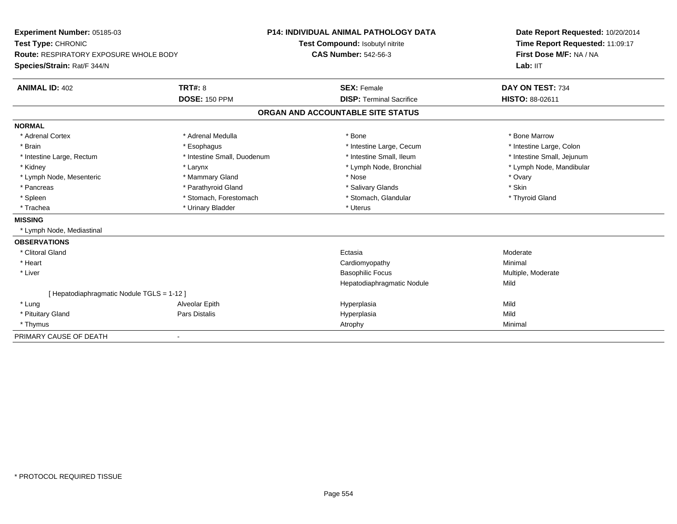| Experiment Number: 05185-03                   | <b>P14: INDIVIDUAL ANIMAL PATHOLOGY DATA</b> |                                   | Date Report Requested: 10/20/2014 |  |
|-----------------------------------------------|----------------------------------------------|-----------------------------------|-----------------------------------|--|
| Test Type: CHRONIC                            |                                              | Test Compound: Isobutyl nitrite   | Time Report Requested: 11:09:17   |  |
| <b>Route: RESPIRATORY EXPOSURE WHOLE BODY</b> |                                              | <b>CAS Number: 542-56-3</b>       | First Dose M/F: NA / NA           |  |
| Species/Strain: Rat/F 344/N                   |                                              |                                   | Lab: IIT                          |  |
| <b>ANIMAL ID: 402</b>                         | <b>TRT#: 8</b>                               | <b>SEX: Female</b>                | DAY ON TEST: 734                  |  |
|                                               | <b>DOSE: 150 PPM</b>                         | <b>DISP: Terminal Sacrifice</b>   | <b>HISTO: 88-02611</b>            |  |
|                                               |                                              | ORGAN AND ACCOUNTABLE SITE STATUS |                                   |  |
| <b>NORMAL</b>                                 |                                              |                                   |                                   |  |
| * Adrenal Cortex                              | * Adrenal Medulla                            | * Bone                            | * Bone Marrow                     |  |
| * Brain                                       | * Esophagus                                  | * Intestine Large, Cecum          | * Intestine Large, Colon          |  |
| * Intestine Large, Rectum                     | * Intestine Small, Duodenum                  | * Intestine Small, Ileum          | * Intestine Small, Jejunum        |  |
| * Kidney                                      | * Larynx                                     | * Lymph Node, Bronchial           | * Lymph Node, Mandibular          |  |
| * Lymph Node, Mesenteric                      | * Mammary Gland                              | * Nose                            | * Ovary                           |  |
| * Pancreas                                    | * Parathyroid Gland                          | * Salivary Glands                 | * Skin                            |  |
| * Spleen                                      | * Stomach, Forestomach                       | * Stomach, Glandular              | * Thyroid Gland                   |  |
| * Trachea                                     | * Urinary Bladder                            | * Uterus                          |                                   |  |
| <b>MISSING</b>                                |                                              |                                   |                                   |  |
| * Lymph Node, Mediastinal                     |                                              |                                   |                                   |  |
| <b>OBSERVATIONS</b>                           |                                              |                                   |                                   |  |
| * Clitoral Gland                              |                                              | Ectasia                           | Moderate                          |  |
| * Heart                                       |                                              | Cardiomyopathy                    | Minimal                           |  |
| * Liver                                       |                                              | <b>Basophilic Focus</b>           | Multiple, Moderate                |  |
|                                               |                                              | Hepatodiaphragmatic Nodule        | Mild                              |  |
| [ Hepatodiaphragmatic Nodule TGLS = 1-12 ]    |                                              |                                   |                                   |  |
| * Lung                                        | Alveolar Epith                               | Hyperplasia                       | Mild                              |  |
| * Pituitary Gland                             | Pars Distalis                                | Hyperplasia                       | Mild                              |  |
| * Thymus                                      |                                              | Atrophy                           | Minimal                           |  |
| PRIMARY CAUSE OF DEATH                        |                                              |                                   |                                   |  |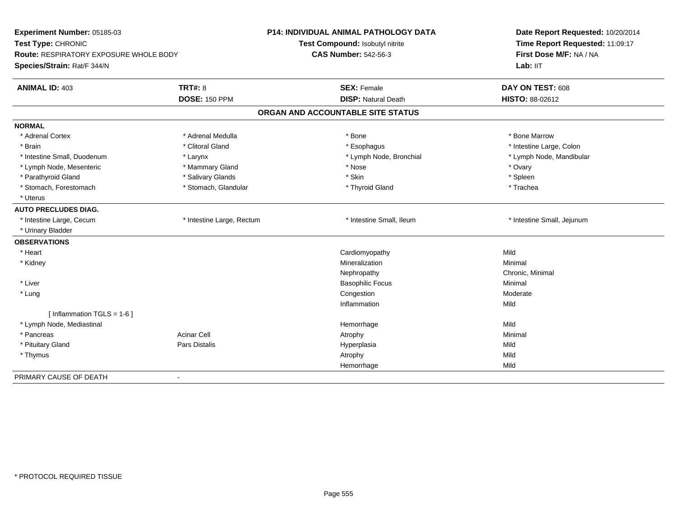| Experiment Number: 05185-03<br>Test Type: CHRONIC |                           | <b>P14: INDIVIDUAL ANIMAL PATHOLOGY DATA</b> | Date Report Requested: 10/20/2014 |  |
|---------------------------------------------------|---------------------------|----------------------------------------------|-----------------------------------|--|
|                                                   |                           | Test Compound: Isobutyl nitrite              | Time Report Requested: 11:09:17   |  |
| Route: RESPIRATORY EXPOSURE WHOLE BODY            |                           | <b>CAS Number: 542-56-3</b>                  | First Dose M/F: NA / NA           |  |
| Species/Strain: Rat/F 344/N                       |                           |                                              | Lab: IIT                          |  |
| <b>ANIMAL ID: 403</b>                             | <b>TRT#: 8</b>            | <b>SEX: Female</b>                           | DAY ON TEST: 608                  |  |
|                                                   | <b>DOSE: 150 PPM</b>      | <b>DISP: Natural Death</b>                   | HISTO: 88-02612                   |  |
|                                                   |                           | ORGAN AND ACCOUNTABLE SITE STATUS            |                                   |  |
| <b>NORMAL</b>                                     |                           |                                              |                                   |  |
| * Adrenal Cortex                                  | * Adrenal Medulla         | * Bone                                       | * Bone Marrow                     |  |
| * Brain                                           | * Clitoral Gland          | * Esophagus                                  | * Intestine Large, Colon          |  |
| * Intestine Small, Duodenum                       | * Larynx                  | * Lymph Node, Bronchial                      | * Lymph Node, Mandibular          |  |
| * Lymph Node, Mesenteric                          | * Mammary Gland           | * Nose                                       | * Ovary                           |  |
| * Parathyroid Gland                               | * Salivary Glands         | * Skin                                       | * Spleen                          |  |
| * Stomach, Forestomach                            | * Stomach, Glandular      | * Thyroid Gland                              | * Trachea                         |  |
| * Uterus                                          |                           |                                              |                                   |  |
| <b>AUTO PRECLUDES DIAG.</b>                       |                           |                                              |                                   |  |
| * Intestine Large, Cecum                          | * Intestine Large, Rectum | * Intestine Small, Ileum                     | * Intestine Small, Jejunum        |  |
| * Urinary Bladder                                 |                           |                                              |                                   |  |
| <b>OBSERVATIONS</b>                               |                           |                                              |                                   |  |
| * Heart                                           |                           | Cardiomyopathy                               | Mild                              |  |
| * Kidney                                          |                           | Mineralization                               | Minimal                           |  |
|                                                   |                           | Nephropathy                                  | Chronic, Minimal                  |  |
| * Liver                                           |                           | <b>Basophilic Focus</b>                      | Minimal                           |  |
| * Lung                                            |                           | Congestion                                   | Moderate                          |  |
|                                                   |                           | Inflammation                                 | Mild                              |  |
| [ Inflammation $TGLS = 1-6$ ]                     |                           |                                              |                                   |  |
| * Lymph Node, Mediastinal                         |                           | Hemorrhage                                   | Mild                              |  |
| * Pancreas                                        | <b>Acinar Cell</b>        | Atrophy                                      | Minimal                           |  |
| * Pituitary Gland                                 | Pars Distalis             | Hyperplasia                                  | Mild                              |  |
| * Thymus                                          |                           | Atrophy                                      | Mild                              |  |
|                                                   |                           | Hemorrhage                                   | Mild                              |  |
| PRIMARY CAUSE OF DEATH                            | $\blacksquare$            |                                              |                                   |  |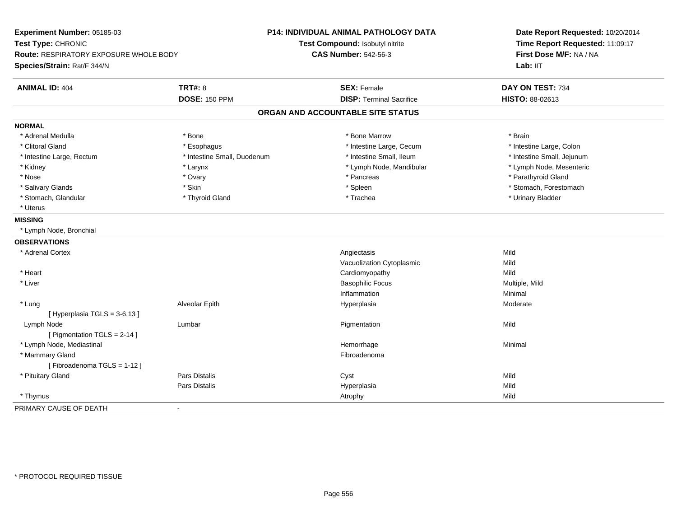| Experiment Number: 05185-03<br>Test Type: CHRONIC<br><b>Route: RESPIRATORY EXPOSURE WHOLE BODY</b><br>Species/Strain: Rat/F 344/N |                             | <b>P14: INDIVIDUAL ANIMAL PATHOLOGY DATA</b><br>Test Compound: Isobutyl nitrite<br><b>CAS Number: 542-56-3</b> | Date Report Requested: 10/20/2014<br>Time Report Requested: 11:09:17<br>First Dose M/F: NA / NA<br>Lab: IIT |  |
|-----------------------------------------------------------------------------------------------------------------------------------|-----------------------------|----------------------------------------------------------------------------------------------------------------|-------------------------------------------------------------------------------------------------------------|--|
| <b>ANIMAL ID: 404</b>                                                                                                             | <b>TRT#: 8</b>              | <b>SEX: Female</b>                                                                                             | DAY ON TEST: 734                                                                                            |  |
|                                                                                                                                   | <b>DOSE: 150 PPM</b>        | <b>DISP: Terminal Sacrifice</b>                                                                                | <b>HISTO: 88-02613</b>                                                                                      |  |
|                                                                                                                                   |                             | ORGAN AND ACCOUNTABLE SITE STATUS                                                                              |                                                                                                             |  |
| <b>NORMAL</b>                                                                                                                     |                             |                                                                                                                |                                                                                                             |  |
| * Adrenal Medulla                                                                                                                 | * Bone                      | * Bone Marrow                                                                                                  | * Brain                                                                                                     |  |
| * Clitoral Gland                                                                                                                  | * Esophagus                 | * Intestine Large, Cecum                                                                                       | * Intestine Large, Colon                                                                                    |  |
| * Intestine Large, Rectum                                                                                                         | * Intestine Small, Duodenum | * Intestine Small, Ileum                                                                                       | * Intestine Small, Jejunum                                                                                  |  |
| * Kidney                                                                                                                          | * Larynx                    | * Lymph Node, Mandibular                                                                                       | * Lymph Node, Mesenteric                                                                                    |  |
| * Nose                                                                                                                            | * Ovary                     | * Pancreas                                                                                                     | * Parathyroid Gland                                                                                         |  |
| * Salivary Glands                                                                                                                 | * Skin                      | * Spleen                                                                                                       | * Stomach, Forestomach                                                                                      |  |
| * Stomach, Glandular                                                                                                              | * Thyroid Gland             | * Trachea                                                                                                      | * Urinary Bladder                                                                                           |  |
| * Uterus                                                                                                                          |                             |                                                                                                                |                                                                                                             |  |
| <b>MISSING</b>                                                                                                                    |                             |                                                                                                                |                                                                                                             |  |
| * Lymph Node, Bronchial                                                                                                           |                             |                                                                                                                |                                                                                                             |  |
| <b>OBSERVATIONS</b>                                                                                                               |                             |                                                                                                                |                                                                                                             |  |
| * Adrenal Cortex                                                                                                                  |                             | Angiectasis                                                                                                    | Mild                                                                                                        |  |
|                                                                                                                                   |                             | Vacuolization Cytoplasmic                                                                                      | Mild                                                                                                        |  |
| * Heart                                                                                                                           |                             | Cardiomyopathy                                                                                                 | Mild                                                                                                        |  |
| * Liver                                                                                                                           |                             | <b>Basophilic Focus</b>                                                                                        | Multiple, Mild                                                                                              |  |
|                                                                                                                                   |                             | Inflammation                                                                                                   | Minimal                                                                                                     |  |
| * Lung                                                                                                                            | Alveolar Epith              | Hyperplasia                                                                                                    | Moderate                                                                                                    |  |
| [Hyperplasia TGLS = 3-6,13]                                                                                                       |                             |                                                                                                                |                                                                                                             |  |
| Lymph Node                                                                                                                        | Lumbar                      | Pigmentation                                                                                                   | Mild                                                                                                        |  |
| [ Pigmentation TGLS = 2-14 ]                                                                                                      |                             |                                                                                                                |                                                                                                             |  |
| * Lymph Node, Mediastinal                                                                                                         |                             | Hemorrhage                                                                                                     | Minimal                                                                                                     |  |
| * Mammary Gland                                                                                                                   |                             | Fibroadenoma                                                                                                   |                                                                                                             |  |
| [Fibroadenoma TGLS = 1-12]                                                                                                        |                             |                                                                                                                |                                                                                                             |  |
| * Pituitary Gland                                                                                                                 | <b>Pars Distalis</b>        | Cyst                                                                                                           | Mild                                                                                                        |  |
|                                                                                                                                   | Pars Distalis               | Hyperplasia                                                                                                    | Mild                                                                                                        |  |
| * Thymus                                                                                                                          |                             | Atrophy                                                                                                        | Mild                                                                                                        |  |
| PRIMARY CAUSE OF DEATH                                                                                                            | $\sim$                      |                                                                                                                |                                                                                                             |  |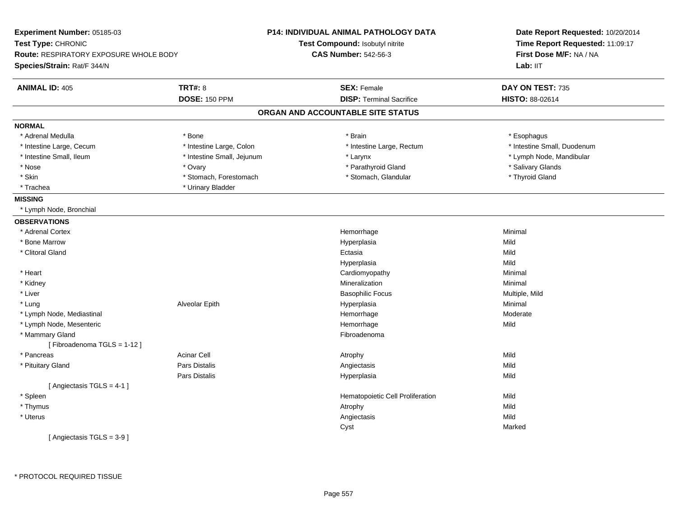| Experiment Number: 05185-03            |                            | P14: INDIVIDUAL ANIMAL PATHOLOGY DATA | Date Report Requested: 10/20/2014 |  |
|----------------------------------------|----------------------------|---------------------------------------|-----------------------------------|--|
| Test Type: CHRONIC                     |                            | Test Compound: Isobutyl nitrite       | Time Report Requested: 11:09:17   |  |
| Route: RESPIRATORY EXPOSURE WHOLE BODY |                            | <b>CAS Number: 542-56-3</b>           | First Dose M/F: NA / NA           |  |
| Species/Strain: Rat/F 344/N            |                            |                                       | Lab: IIT                          |  |
| <b>ANIMAL ID: 405</b>                  | <b>TRT#: 8</b>             | <b>SEX: Female</b>                    | DAY ON TEST: 735                  |  |
|                                        | <b>DOSE: 150 PPM</b>       | <b>DISP: Terminal Sacrifice</b>       | HISTO: 88-02614                   |  |
|                                        |                            | ORGAN AND ACCOUNTABLE SITE STATUS     |                                   |  |
| <b>NORMAL</b>                          |                            |                                       |                                   |  |
| * Adrenal Medulla                      | * Bone                     | * Brain                               | * Esophagus                       |  |
| * Intestine Large, Cecum               | * Intestine Large, Colon   | * Intestine Large, Rectum             | * Intestine Small, Duodenum       |  |
| * Intestine Small, Ileum               | * Intestine Small, Jejunum | * Larynx                              | * Lymph Node, Mandibular          |  |
| * Nose                                 | * Ovary                    | * Parathyroid Gland                   | * Salivary Glands                 |  |
| * Skin                                 | * Stomach, Forestomach     | * Stomach, Glandular                  | * Thyroid Gland                   |  |
| * Trachea                              | * Urinary Bladder          |                                       |                                   |  |
| <b>MISSING</b>                         |                            |                                       |                                   |  |
| * Lymph Node, Bronchial                |                            |                                       |                                   |  |
| <b>OBSERVATIONS</b>                    |                            |                                       |                                   |  |
| * Adrenal Cortex                       |                            | Hemorrhage                            | Minimal                           |  |
| <b>Bone Marrow</b>                     |                            | Hyperplasia                           | Mild                              |  |
| * Clitoral Gland                       |                            | Ectasia                               | Mild                              |  |
|                                        |                            | Hyperplasia                           | Mild                              |  |
| * Heart                                |                            | Cardiomyopathy                        | Minimal                           |  |
| * Kidney                               |                            | Mineralization                        | Minimal                           |  |
| * Liver                                |                            | <b>Basophilic Focus</b>               | Multiple, Mild                    |  |
| * Lung                                 | Alveolar Epith             | Hyperplasia                           | Minimal                           |  |
| * Lymph Node, Mediastinal              |                            | Hemorrhage                            | Moderate                          |  |
| * Lymph Node, Mesenteric               |                            | Hemorrhage                            | Mild                              |  |
| * Mammary Gland                        |                            | Fibroadenoma                          |                                   |  |
| [Fibroadenoma TGLS = 1-12]             |                            |                                       |                                   |  |
| * Pancreas                             | <b>Acinar Cell</b>         | Atrophy                               | Mild                              |  |
| * Pituitary Gland                      | <b>Pars Distalis</b>       | Angiectasis                           | Mild                              |  |
|                                        | Pars Distalis              | Hyperplasia                           | Mild                              |  |
| [Angiectasis TGLS = 4-1]               |                            |                                       |                                   |  |
| * Spleen                               |                            | Hematopoietic Cell Proliferation      | Mild                              |  |
| * Thymus                               |                            | Atrophy                               | Mild                              |  |
| * Uterus                               |                            | Angiectasis                           | Mild                              |  |
|                                        |                            | Cyst                                  | Marked                            |  |
| [Angiectasis TGLS = 3-9]               |                            |                                       |                                   |  |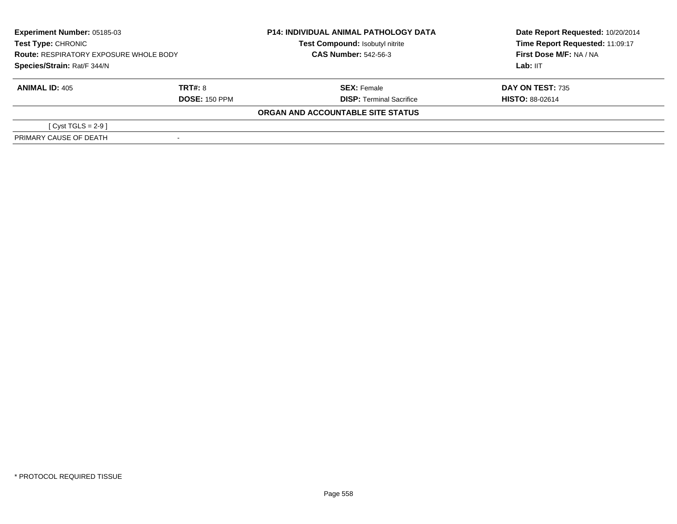| Experiment Number: 05185-03<br><b>Test Type: CHRONIC</b><br><b>Route: RESPIRATORY EXPOSURE WHOLE BODY</b><br>Species/Strain: Rat/F 344/N |                      | <b>P14: INDIVIDUAL ANIMAL PATHOLOGY DATA</b><br>Test Compound: Isobutyl nitrite<br><b>CAS Number: 542-56-3</b> | Date Report Requested: 10/20/2014<br>Time Report Requested: 11:09:17<br>First Dose M/F: NA / NA |  |
|------------------------------------------------------------------------------------------------------------------------------------------|----------------------|----------------------------------------------------------------------------------------------------------------|-------------------------------------------------------------------------------------------------|--|
|                                                                                                                                          |                      |                                                                                                                | Lab: IIT                                                                                        |  |
| <b>ANIMAL ID: 405</b>                                                                                                                    | TRT#: 8              | <b>SEX: Female</b>                                                                                             | <b>DAY ON TEST: 735</b>                                                                         |  |
|                                                                                                                                          | <b>DOSE: 150 PPM</b> | <b>DISP: Terminal Sacrifice</b>                                                                                | <b>HISTO: 88-02614</b>                                                                          |  |
|                                                                                                                                          |                      | ORGAN AND ACCOUNTABLE SITE STATUS                                                                              |                                                                                                 |  |
| [Cyst TGLS = $2-9$ ]                                                                                                                     |                      |                                                                                                                |                                                                                                 |  |
| PRIMARY CAUSE OF DEATH                                                                                                                   |                      |                                                                                                                |                                                                                                 |  |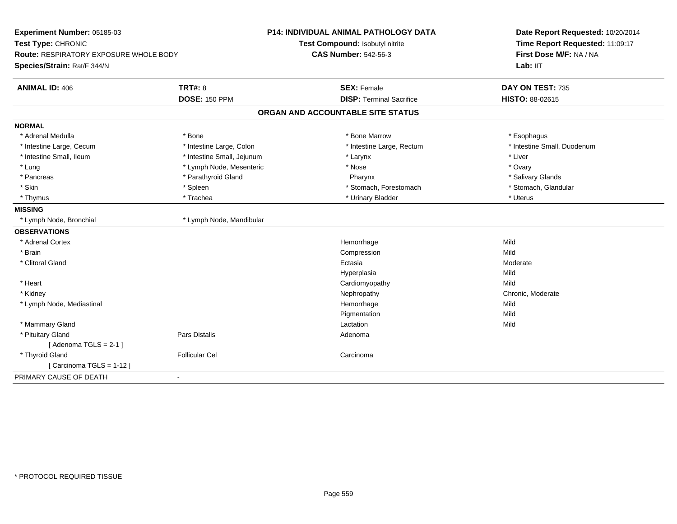| Experiment Number: 05185-03<br>Test Type: CHRONIC |                            | <b>P14: INDIVIDUAL ANIMAL PATHOLOGY DATA</b> | Date Report Requested: 10/20/2014 |  |
|---------------------------------------------------|----------------------------|----------------------------------------------|-----------------------------------|--|
|                                                   |                            | Test Compound: Isobutyl nitrite              | Time Report Requested: 11:09:17   |  |
| Route: RESPIRATORY EXPOSURE WHOLE BODY            |                            | <b>CAS Number: 542-56-3</b>                  | First Dose M/F: NA / NA           |  |
| Species/Strain: Rat/F 344/N                       |                            |                                              | Lab: IIT                          |  |
| <b>TRT#: 8</b><br><b>ANIMAL ID: 406</b>           |                            | <b>SEX: Female</b>                           | DAY ON TEST: 735                  |  |
|                                                   | <b>DOSE: 150 PPM</b>       | <b>DISP: Terminal Sacrifice</b>              | <b>HISTO: 88-02615</b>            |  |
|                                                   |                            | ORGAN AND ACCOUNTABLE SITE STATUS            |                                   |  |
| <b>NORMAL</b>                                     |                            |                                              |                                   |  |
| * Adrenal Medulla<br>* Bone                       |                            | * Bone Marrow                                | * Esophagus                       |  |
| * Intestine Large, Cecum                          | * Intestine Large, Colon   | * Intestine Large, Rectum                    | * Intestine Small, Duodenum       |  |
| * Intestine Small, Ileum                          | * Intestine Small, Jejunum | * Larynx                                     | * Liver                           |  |
| * Lung                                            | * Lymph Node, Mesenteric   | * Nose                                       | * Ovary                           |  |
| * Pancreas                                        | * Parathyroid Gland        | Pharynx                                      | * Salivary Glands                 |  |
| * Skin                                            | * Spleen                   | * Stomach, Forestomach                       | * Stomach, Glandular              |  |
| * Thymus                                          | * Trachea                  | * Urinary Bladder                            | * Uterus                          |  |
| <b>MISSING</b>                                    |                            |                                              |                                   |  |
| * Lymph Node, Bronchial                           | * Lymph Node, Mandibular   |                                              |                                   |  |
| <b>OBSERVATIONS</b>                               |                            |                                              |                                   |  |
| * Adrenal Cortex                                  |                            | Hemorrhage                                   | Mild                              |  |
| * Brain                                           |                            | Compression                                  | Mild                              |  |
| * Clitoral Gland                                  |                            | Ectasia                                      | Moderate                          |  |
|                                                   |                            | Hyperplasia                                  | Mild                              |  |
| * Heart                                           |                            | Cardiomyopathy                               | Mild                              |  |
| * Kidney                                          |                            | Nephropathy                                  | Chronic, Moderate                 |  |
| * Lymph Node, Mediastinal                         |                            | Hemorrhage                                   | Mild                              |  |
|                                                   |                            | Pigmentation                                 | Mild                              |  |
| * Mammary Gland                                   |                            | Lactation                                    | Mild                              |  |
| * Pituitary Gland                                 | Pars Distalis              | Adenoma                                      |                                   |  |
| [Adenoma TGLS = $2-1$ ]                           |                            |                                              |                                   |  |
| * Thyroid Gland                                   | <b>Follicular Cel</b>      | Carcinoma                                    |                                   |  |
| [Carcinoma TGLS = $1-12$ ]                        |                            |                                              |                                   |  |
| PRIMARY CAUSE OF DEATH<br>$\blacksquare$          |                            |                                              |                                   |  |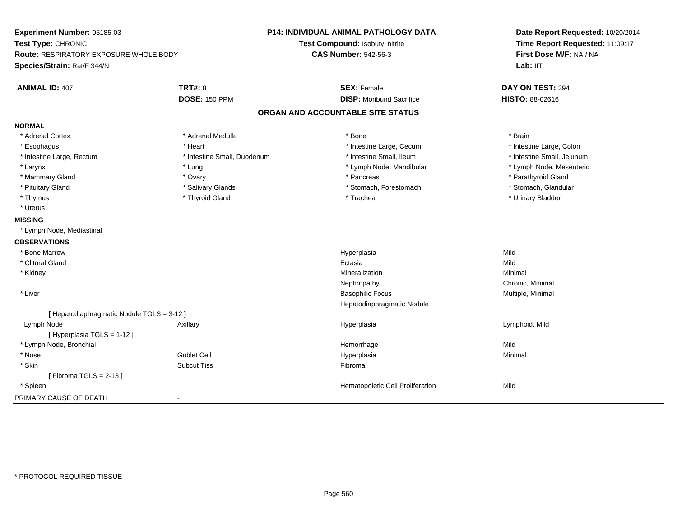| Experiment Number: 05185-03<br>Test Type: CHRONIC<br><b>Route: RESPIRATORY EXPOSURE WHOLE BODY</b><br>Species/Strain: Rat/F 344/N |                             | P14: INDIVIDUAL ANIMAL PATHOLOGY DATA<br>Test Compound: Isobutyl nitrite<br><b>CAS Number: 542-56-3</b> | Date Report Requested: 10/20/2014<br>Time Report Requested: 11:09:17<br>First Dose M/F: NA / NA<br>Lab: IIT |  |
|-----------------------------------------------------------------------------------------------------------------------------------|-----------------------------|---------------------------------------------------------------------------------------------------------|-------------------------------------------------------------------------------------------------------------|--|
| <b>ANIMAL ID: 407</b>                                                                                                             | <b>TRT#: 8</b>              | <b>SEX: Female</b>                                                                                      | DAY ON TEST: 394                                                                                            |  |
|                                                                                                                                   | <b>DOSE: 150 PPM</b>        | <b>DISP:</b> Moribund Sacrifice                                                                         | <b>HISTO: 88-02616</b>                                                                                      |  |
|                                                                                                                                   |                             | ORGAN AND ACCOUNTABLE SITE STATUS                                                                       |                                                                                                             |  |
| <b>NORMAL</b>                                                                                                                     |                             |                                                                                                         |                                                                                                             |  |
| * Adrenal Cortex                                                                                                                  | * Adrenal Medulla           | * Bone                                                                                                  | * Brain                                                                                                     |  |
| * Esophagus                                                                                                                       | * Heart                     | * Intestine Large, Cecum                                                                                | * Intestine Large, Colon                                                                                    |  |
| * Intestine Large, Rectum                                                                                                         | * Intestine Small, Duodenum | * Intestine Small, Ileum                                                                                | * Intestine Small, Jejunum                                                                                  |  |
| * Larynx                                                                                                                          | * Lung                      | * Lymph Node, Mandibular                                                                                | * Lymph Node, Mesenteric                                                                                    |  |
| * Mammary Gland                                                                                                                   | * Ovary                     | * Pancreas                                                                                              | * Parathyroid Gland                                                                                         |  |
| * Pituitary Gland                                                                                                                 | * Salivary Glands           | * Stomach, Forestomach                                                                                  | * Stomach, Glandular                                                                                        |  |
| * Thymus                                                                                                                          | * Thyroid Gland             | * Trachea                                                                                               | * Urinary Bladder                                                                                           |  |
| * Uterus                                                                                                                          |                             |                                                                                                         |                                                                                                             |  |
| <b>MISSING</b>                                                                                                                    |                             |                                                                                                         |                                                                                                             |  |
| * Lymph Node, Mediastinal                                                                                                         |                             |                                                                                                         |                                                                                                             |  |
| <b>OBSERVATIONS</b>                                                                                                               |                             |                                                                                                         |                                                                                                             |  |
| * Bone Marrow                                                                                                                     |                             | Hyperplasia                                                                                             | Mild                                                                                                        |  |
| * Clitoral Gland                                                                                                                  |                             | Ectasia                                                                                                 | Mild                                                                                                        |  |
| * Kidney                                                                                                                          |                             | Mineralization                                                                                          | Minimal                                                                                                     |  |
|                                                                                                                                   |                             | Nephropathy                                                                                             | Chronic, Minimal                                                                                            |  |
| * Liver                                                                                                                           |                             | <b>Basophilic Focus</b>                                                                                 | Multiple, Minimal                                                                                           |  |
|                                                                                                                                   |                             | Hepatodiaphragmatic Nodule                                                                              |                                                                                                             |  |
| [ Hepatodiaphragmatic Nodule TGLS = 3-12 ]                                                                                        |                             |                                                                                                         |                                                                                                             |  |
| Lymph Node                                                                                                                        | Axillary                    | Hyperplasia                                                                                             | Lymphoid, Mild                                                                                              |  |
| [ Hyperplasia TGLS = 1-12 ]                                                                                                       |                             |                                                                                                         |                                                                                                             |  |
| * Lymph Node, Bronchial                                                                                                           |                             | Hemorrhage                                                                                              | Mild                                                                                                        |  |
| * Nose                                                                                                                            | <b>Goblet Cell</b>          | Hyperplasia                                                                                             | Minimal                                                                                                     |  |
| * Skin                                                                                                                            | <b>Subcut Tiss</b>          | Fibroma                                                                                                 |                                                                                                             |  |
| [Fibroma TGLS = $2-13$ ]                                                                                                          |                             |                                                                                                         |                                                                                                             |  |
| * Spleen                                                                                                                          |                             | Hematopoietic Cell Proliferation                                                                        | Mild                                                                                                        |  |
| PRIMARY CAUSE OF DEATH                                                                                                            | $\blacksquare$              |                                                                                                         |                                                                                                             |  |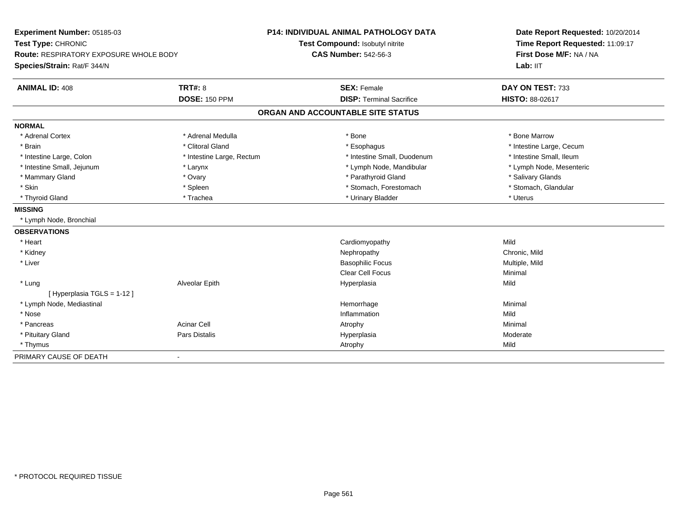| Experiment Number: 05185-03<br>Test Type: CHRONIC |                           | <b>P14: INDIVIDUAL ANIMAL PATHOLOGY DATA</b> | Date Report Requested: 10/20/2014 |  |
|---------------------------------------------------|---------------------------|----------------------------------------------|-----------------------------------|--|
|                                                   |                           | Test Compound: Isobutyl nitrite              | Time Report Requested: 11:09:17   |  |
| <b>Route: RESPIRATORY EXPOSURE WHOLE BODY</b>     |                           | <b>CAS Number: 542-56-3</b>                  | First Dose M/F: NA / NA           |  |
| Species/Strain: Rat/F 344/N                       |                           |                                              | Lab: IIT                          |  |
| <b>ANIMAL ID: 408</b>                             | <b>TRT#: 8</b>            | <b>SEX: Female</b>                           | DAY ON TEST: 733                  |  |
|                                                   | <b>DOSE: 150 PPM</b>      | <b>DISP: Terminal Sacrifice</b>              | <b>HISTO: 88-02617</b>            |  |
|                                                   |                           | ORGAN AND ACCOUNTABLE SITE STATUS            |                                   |  |
| <b>NORMAL</b>                                     |                           |                                              |                                   |  |
| * Adrenal Cortex                                  | * Adrenal Medulla         | * Bone                                       | * Bone Marrow                     |  |
| * Brain                                           | * Clitoral Gland          | * Esophagus                                  | * Intestine Large, Cecum          |  |
| * Intestine Large, Colon                          | * Intestine Large, Rectum | * Intestine Small, Duodenum                  | * Intestine Small, Ileum          |  |
| * Intestine Small, Jejunum                        | * Larynx                  | * Lymph Node, Mandibular                     | * Lymph Node, Mesenteric          |  |
| * Mammary Gland                                   | * Ovary                   | * Parathyroid Gland                          | * Salivary Glands                 |  |
| * Skin                                            | * Spleen                  | * Stomach, Forestomach                       | * Stomach, Glandular              |  |
| * Thyroid Gland                                   | * Trachea                 | * Urinary Bladder                            | * Uterus                          |  |
| <b>MISSING</b>                                    |                           |                                              |                                   |  |
| * Lymph Node, Bronchial                           |                           |                                              |                                   |  |
| <b>OBSERVATIONS</b>                               |                           |                                              |                                   |  |
| * Heart                                           |                           | Cardiomyopathy                               | Mild                              |  |
| * Kidney                                          |                           | Nephropathy                                  | Chronic, Mild                     |  |
| * Liver                                           |                           | <b>Basophilic Focus</b>                      | Multiple, Mild                    |  |
|                                                   |                           | <b>Clear Cell Focus</b>                      | Minimal                           |  |
| * Lung                                            | Alveolar Epith            | Hyperplasia                                  | Mild                              |  |
| [Hyperplasia TGLS = 1-12]                         |                           |                                              |                                   |  |
| * Lymph Node, Mediastinal                         |                           | Hemorrhage                                   | Minimal                           |  |
| * Nose                                            |                           | Inflammation                                 | Mild                              |  |
| * Pancreas                                        | <b>Acinar Cell</b>        | Atrophy                                      | Minimal                           |  |
| * Pituitary Gland                                 | Pars Distalis             | Hyperplasia                                  | Moderate                          |  |
| * Thymus                                          |                           | Atrophy                                      | Mild                              |  |
| PRIMARY CAUSE OF DEATH                            | $\blacksquare$            |                                              |                                   |  |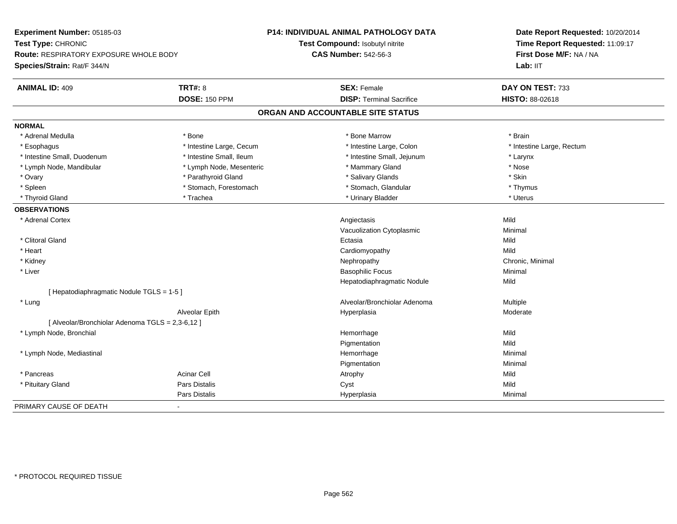| Experiment Number: 05185-03<br>Test Type: CHRONIC<br><b>Route: RESPIRATORY EXPOSURE WHOLE BODY</b> |                          | <b>P14: INDIVIDUAL ANIMAL PATHOLOGY DATA</b> | Date Report Requested: 10/20/2014<br>Time Report Requested: 11:09:17 |  |
|----------------------------------------------------------------------------------------------------|--------------------------|----------------------------------------------|----------------------------------------------------------------------|--|
|                                                                                                    |                          | Test Compound: Isobutyl nitrite              |                                                                      |  |
|                                                                                                    |                          | <b>CAS Number: 542-56-3</b>                  | First Dose M/F: NA / NA                                              |  |
| Species/Strain: Rat/F 344/N                                                                        |                          |                                              | Lab: IIT                                                             |  |
| <b>ANIMAL ID: 409</b>                                                                              | <b>TRT#: 8</b>           | <b>SEX: Female</b>                           | DAY ON TEST: 733                                                     |  |
|                                                                                                    | <b>DOSE: 150 PPM</b>     | <b>DISP: Terminal Sacrifice</b>              | <b>HISTO: 88-02618</b>                                               |  |
|                                                                                                    |                          | ORGAN AND ACCOUNTABLE SITE STATUS            |                                                                      |  |
| <b>NORMAL</b>                                                                                      |                          |                                              |                                                                      |  |
| * Adrenal Medulla                                                                                  | * Bone                   | * Bone Marrow                                | * Brain                                                              |  |
| * Esophagus                                                                                        | * Intestine Large, Cecum | * Intestine Large, Colon                     | * Intestine Large, Rectum                                            |  |
| * Intestine Small, Duodenum                                                                        | * Intestine Small, Ileum | * Intestine Small, Jejunum                   | * Larynx                                                             |  |
| * Lymph Node, Mandibular                                                                           | * Lymph Node, Mesenteric | * Mammary Gland                              | * Nose                                                               |  |
| * Ovary                                                                                            | * Parathyroid Gland      | * Salivary Glands                            | * Skin                                                               |  |
| * Spleen                                                                                           | * Stomach, Forestomach   | * Stomach, Glandular                         | * Thymus                                                             |  |
| * Thyroid Gland                                                                                    | * Trachea                | * Urinary Bladder                            | * Uterus                                                             |  |
| <b>OBSERVATIONS</b>                                                                                |                          |                                              |                                                                      |  |
| * Adrenal Cortex                                                                                   |                          | Angiectasis                                  | Mild                                                                 |  |
|                                                                                                    |                          | Vacuolization Cytoplasmic                    | Minimal                                                              |  |
| * Clitoral Gland                                                                                   |                          | Ectasia                                      | Mild                                                                 |  |
| * Heart                                                                                            |                          | Cardiomyopathy                               | Mild                                                                 |  |
| * Kidney                                                                                           |                          | Nephropathy                                  | Chronic, Minimal                                                     |  |
| * Liver                                                                                            |                          | <b>Basophilic Focus</b>                      | Minimal                                                              |  |
|                                                                                                    |                          | Hepatodiaphragmatic Nodule                   | Mild                                                                 |  |
| [ Hepatodiaphragmatic Nodule TGLS = 1-5 ]                                                          |                          |                                              |                                                                      |  |
| * Lung                                                                                             |                          | Alveolar/Bronchiolar Adenoma                 | Multiple                                                             |  |
|                                                                                                    | Alveolar Epith           | Hyperplasia                                  | Moderate                                                             |  |
| [ Alveolar/Bronchiolar Adenoma TGLS = 2,3-6,12 ]                                                   |                          |                                              |                                                                      |  |
| * Lymph Node, Bronchial                                                                            |                          | Hemorrhage                                   | Mild                                                                 |  |
|                                                                                                    |                          | Pigmentation                                 | Mild                                                                 |  |
| * Lymph Node, Mediastinal                                                                          |                          | Hemorrhage                                   | Minimal                                                              |  |
|                                                                                                    |                          | Pigmentation                                 | Minimal                                                              |  |
| * Pancreas                                                                                         | <b>Acinar Cell</b>       | Atrophy                                      | Mild                                                                 |  |
| * Pituitary Gland                                                                                  | <b>Pars Distalis</b>     | Cyst                                         | Mild                                                                 |  |
|                                                                                                    | Pars Distalis            | Hyperplasia                                  | Minimal                                                              |  |
| PRIMARY CAUSE OF DEATH                                                                             |                          |                                              |                                                                      |  |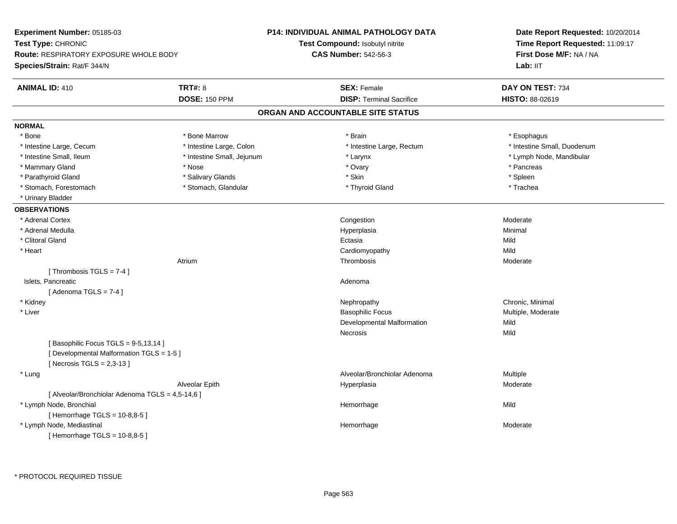| Experiment Number: 05185-03<br>Test Type: CHRONIC<br><b>Route: RESPIRATORY EXPOSURE WHOLE BODY</b><br>Species/Strain: Rat/F 344/N |                            | <b>P14: INDIVIDUAL ANIMAL PATHOLOGY DATA</b> | Date Report Requested: 10/20/2014<br>Time Report Requested: 11:09:17<br>First Dose M/F: NA / NA |
|-----------------------------------------------------------------------------------------------------------------------------------|----------------------------|----------------------------------------------|-------------------------------------------------------------------------------------------------|
|                                                                                                                                   |                            | <b>Test Compound: Isobutyl nitrite</b>       |                                                                                                 |
|                                                                                                                                   |                            | <b>CAS Number: 542-56-3</b>                  |                                                                                                 |
|                                                                                                                                   |                            |                                              | Lab: IIT                                                                                        |
| <b>ANIMAL ID: 410</b>                                                                                                             | <b>TRT#: 8</b>             | <b>SEX: Female</b>                           | DAY ON TEST: 734                                                                                |
|                                                                                                                                   | <b>DOSE: 150 PPM</b>       | <b>DISP: Terminal Sacrifice</b>              | HISTO: 88-02619                                                                                 |
|                                                                                                                                   |                            | ORGAN AND ACCOUNTABLE SITE STATUS            |                                                                                                 |
| <b>NORMAL</b>                                                                                                                     |                            |                                              |                                                                                                 |
| * Bone                                                                                                                            | * Bone Marrow              | * Brain                                      | * Esophagus                                                                                     |
| * Intestine Large, Cecum                                                                                                          | * Intestine Large, Colon   | * Intestine Large, Rectum                    | * Intestine Small, Duodenum                                                                     |
| * Intestine Small, Ileum                                                                                                          | * Intestine Small, Jejunum | * Larynx                                     | * Lymph Node, Mandibular                                                                        |
| * Mammary Gland                                                                                                                   | * Nose                     | * Ovary                                      | * Pancreas                                                                                      |
| * Parathyroid Gland                                                                                                               | * Salivary Glands          | * Skin                                       | * Spleen                                                                                        |
| * Stomach, Forestomach                                                                                                            | * Stomach, Glandular       | * Thyroid Gland                              | * Trachea                                                                                       |
| * Urinary Bladder                                                                                                                 |                            |                                              |                                                                                                 |
| <b>OBSERVATIONS</b>                                                                                                               |                            |                                              |                                                                                                 |
| * Adrenal Cortex                                                                                                                  |                            | Congestion                                   | Moderate                                                                                        |
| * Adrenal Medulla                                                                                                                 |                            | Hyperplasia                                  | Minimal                                                                                         |
| * Clitoral Gland                                                                                                                  |                            | Ectasia                                      | Mild                                                                                            |
| * Heart                                                                                                                           |                            | Cardiomyopathy                               | Mild                                                                                            |
|                                                                                                                                   | Atrium                     | Thrombosis                                   | Moderate                                                                                        |
| [Thrombosis TGLS = $7-4$ ]                                                                                                        |                            |                                              |                                                                                                 |
| Islets, Pancreatic                                                                                                                |                            | Adenoma                                      |                                                                                                 |
| [Adenoma TGLS = $7-4$ ]                                                                                                           |                            |                                              |                                                                                                 |
| * Kidney                                                                                                                          |                            | Nephropathy                                  | Chronic, Minimal                                                                                |
| * Liver                                                                                                                           |                            | <b>Basophilic Focus</b>                      | Multiple, Moderate                                                                              |
|                                                                                                                                   |                            | Developmental Malformation                   | Mild                                                                                            |
|                                                                                                                                   |                            | Necrosis                                     | Mild                                                                                            |
| [Basophilic Focus TGLS = 9-5,13,14]                                                                                               |                            |                                              |                                                                                                 |
| [ Developmental Malformation TGLS = 1-5 ]<br>[Necrosis $TGLS = 2,3-13$ ]                                                          |                            |                                              |                                                                                                 |
| * Lung                                                                                                                            |                            | Alveolar/Bronchiolar Adenoma                 | Multiple                                                                                        |
|                                                                                                                                   | Alveolar Epith             | Hyperplasia                                  | Moderate                                                                                        |
| [ Alveolar/Bronchiolar Adenoma TGLS = 4,5-14,6 ]                                                                                  |                            |                                              |                                                                                                 |
| * Lymph Node, Bronchial                                                                                                           |                            | Hemorrhage                                   | Mild                                                                                            |
| [Hemorrhage TGLS = 10-8,8-5]                                                                                                      |                            |                                              |                                                                                                 |
| * Lymph Node, Mediastinal                                                                                                         |                            | Hemorrhage                                   | Moderate                                                                                        |
| [Hemorrhage TGLS = 10-8,8-5]                                                                                                      |                            |                                              |                                                                                                 |
|                                                                                                                                   |                            |                                              |                                                                                                 |

\* PROTOCOL REQUIRED TISSUE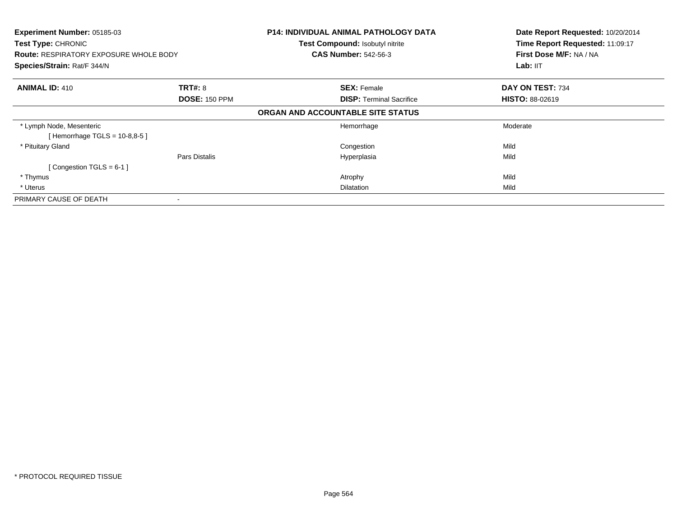| Experiment Number: 05185-03<br>Test Type: CHRONIC<br><b>Route: RESPIRATORY EXPOSURE WHOLE BODY</b><br>Species/Strain: Rat/F 344/N | <b>P14: INDIVIDUAL ANIMAL PATHOLOGY DATA</b><br>Test Compound: Isobutyl nitrite<br><b>CAS Number: 542-56-3</b> |                                 | Date Report Requested: 10/20/2014<br>Time Report Requested: 11:09:17<br>First Dose M/F: NA / NA<br>Lab: IIT |
|-----------------------------------------------------------------------------------------------------------------------------------|----------------------------------------------------------------------------------------------------------------|---------------------------------|-------------------------------------------------------------------------------------------------------------|
| <b>ANIMAL ID: 410</b><br><b>TRT#: 8</b>                                                                                           | <b>SEX: Female</b><br><b>DOSE: 150 PPM</b>                                                                     | <b>DISP:</b> Terminal Sacrifice | DAY ON TEST: 734<br><b>HISTO: 88-02619</b>                                                                  |
|                                                                                                                                   | ORGAN AND ACCOUNTABLE SITE STATUS                                                                              |                                 |                                                                                                             |
| * Lymph Node, Mesenteric<br>[Hemorrhage TGLS = $10-8,8-5$ ]                                                                       | Hemorrhage                                                                                                     |                                 | Moderate                                                                                                    |
| * Pituitary Gland                                                                                                                 | Congestion                                                                                                     |                                 | Mild                                                                                                        |
| Pars Distalis<br>[Congestion TGLS = $6-1$ ]                                                                                       | Hyperplasia                                                                                                    |                                 | Mild                                                                                                        |
| * Thymus                                                                                                                          | Atrophy                                                                                                        |                                 | Mild                                                                                                        |
| * Uterus                                                                                                                          | Dilatation                                                                                                     |                                 | Mild                                                                                                        |
| PRIMARY CAUSE OF DEATH                                                                                                            |                                                                                                                |                                 |                                                                                                             |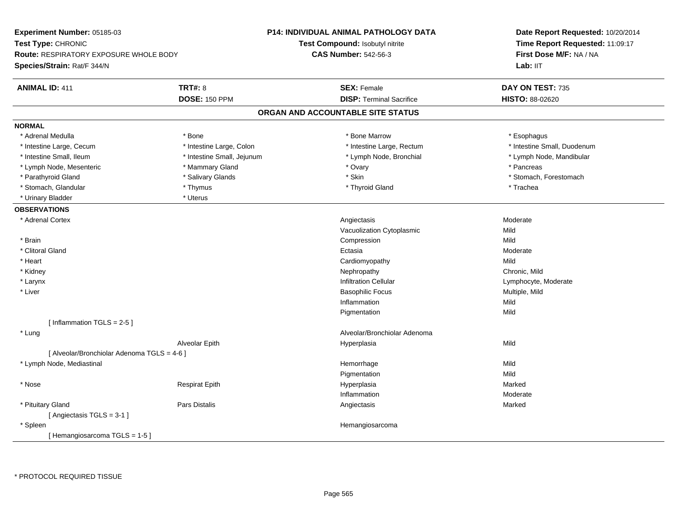| Experiment Number: 05185-03                 | <b>P14: INDIVIDUAL ANIMAL PATHOLOGY DATA</b> |                                   | Date Report Requested: 10/20/2014 |
|---------------------------------------------|----------------------------------------------|-----------------------------------|-----------------------------------|
| Test Type: CHRONIC                          |                                              | Test Compound: Isobutyl nitrite   | Time Report Requested: 11:09:17   |
| Route: RESPIRATORY EXPOSURE WHOLE BODY      |                                              | <b>CAS Number: 542-56-3</b>       | First Dose M/F: NA / NA           |
| Species/Strain: Rat/F 344/N                 |                                              |                                   | Lab: IIT                          |
| <b>TRT#: 8</b><br><b>ANIMAL ID: 411</b>     |                                              | <b>SEX: Female</b>                | DAY ON TEST: 735                  |
| <b>DOSE: 150 PPM</b>                        |                                              | <b>DISP: Terminal Sacrifice</b>   | HISTO: 88-02620                   |
|                                             |                                              | ORGAN AND ACCOUNTABLE SITE STATUS |                                   |
| <b>NORMAL</b>                               |                                              |                                   |                                   |
| * Adrenal Medulla<br>* Bone                 |                                              | * Bone Marrow                     | * Esophagus                       |
| * Intestine Large, Cecum                    | * Intestine Large, Colon                     | * Intestine Large, Rectum         | * Intestine Small, Duodenum       |
| * Intestine Small, Ileum                    | * Intestine Small, Jejunum                   | * Lymph Node, Bronchial           | * Lymph Node, Mandibular          |
| * Lymph Node, Mesenteric<br>* Mammary Gland |                                              | * Ovary                           | * Pancreas                        |
| * Salivary Glands<br>* Parathyroid Gland    |                                              | * Skin                            | * Stomach, Forestomach            |
| * Stomach, Glandular<br>* Thymus            |                                              | * Thyroid Gland                   | * Trachea                         |
| * Uterus<br>* Urinary Bladder               |                                              |                                   |                                   |
| <b>OBSERVATIONS</b>                         |                                              |                                   |                                   |
| * Adrenal Cortex                            |                                              | Angiectasis                       | Moderate                          |
|                                             |                                              | Vacuolization Cytoplasmic         | Mild                              |
| * Brain                                     |                                              | Compression                       | Mild                              |
| * Clitoral Gland                            |                                              | Ectasia                           | Moderate                          |
| * Heart                                     |                                              | Cardiomyopathy                    | Mild                              |
| * Kidney                                    |                                              | Nephropathy                       | Chronic, Mild                     |
| * Larynx                                    |                                              | <b>Infiltration Cellular</b>      | Lymphocyte, Moderate              |
| * Liver                                     |                                              | <b>Basophilic Focus</b>           | Multiple, Mild                    |
|                                             |                                              | Inflammation                      | Mild                              |
|                                             |                                              | Pigmentation                      | Mild                              |
| [Inflammation TGLS = $2-5$ ]                |                                              |                                   |                                   |
| * Lung                                      |                                              | Alveolar/Bronchiolar Adenoma      |                                   |
| Alveolar Epith                              |                                              | Hyperplasia                       | Mild                              |
| [ Alveolar/Bronchiolar Adenoma TGLS = 4-6 ] |                                              |                                   |                                   |
| * Lymph Node, Mediastinal                   |                                              | Hemorrhage                        | Mild                              |
|                                             |                                              | Pigmentation                      | Mild                              |
| $^\star$ Nose<br>Respirat Epith             |                                              | Hyperplasia                       | Marked                            |
|                                             |                                              | Inflammation                      | Moderate                          |
| Pars Distalis<br>* Pituitary Gland          |                                              | Angiectasis                       | Marked                            |
| [ Angiectasis TGLS = 3-1 ]                  |                                              |                                   |                                   |
| * Spleen                                    |                                              | Hemangiosarcoma                   |                                   |
| [Hemangiosarcoma TGLS = 1-5]                |                                              |                                   |                                   |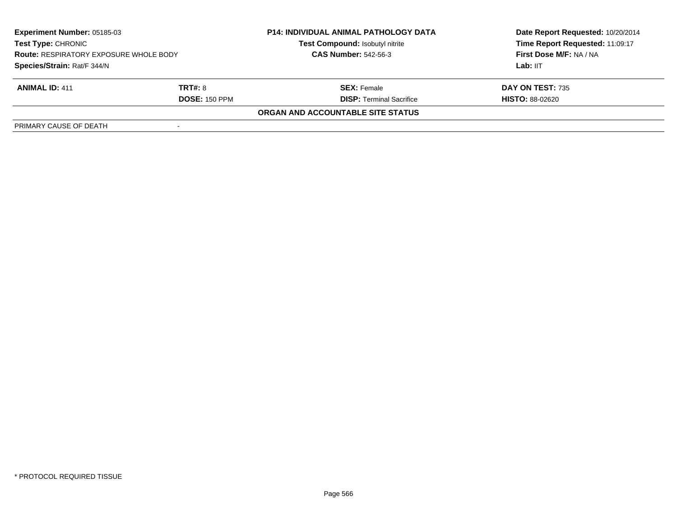| <b>Experiment Number: 05185-03</b><br><b>Test Type: CHRONIC</b><br><b>Route: RESPIRATORY EXPOSURE WHOLE BODY</b> |                      | <b>P14: INDIVIDUAL ANIMAL PATHOLOGY DATA</b><br>Test Compound: Isobutyl nitrite | Date Report Requested: 10/20/2014<br>Time Report Requested: 11:09:17<br>First Dose M/F: NA / NA |
|------------------------------------------------------------------------------------------------------------------|----------------------|---------------------------------------------------------------------------------|-------------------------------------------------------------------------------------------------|
|                                                                                                                  |                      | <b>CAS Number: 542-56-3</b>                                                     |                                                                                                 |
| Species/Strain: Rat/F 344/N                                                                                      |                      |                                                                                 | Lab: IIT                                                                                        |
| <b>ANIMAL ID: 411</b>                                                                                            | <b>TRT#: 8</b>       | <b>SEX:</b> Female                                                              | DAY ON TEST: 735                                                                                |
|                                                                                                                  | <b>DOSE: 150 PPM</b> | <b>DISP:</b> Terminal Sacrifice                                                 | <b>HISTO: 88-02620</b>                                                                          |
|                                                                                                                  |                      | ORGAN AND ACCOUNTABLE SITE STATUS                                               |                                                                                                 |
| PRIMARY CAUSE OF DEATH                                                                                           |                      |                                                                                 |                                                                                                 |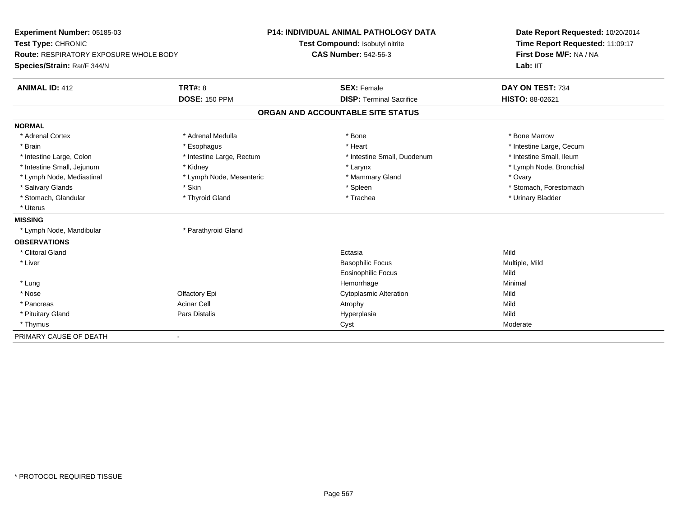| Experiment Number: 05185-03<br>Test Type: CHRONIC |                           | <b>P14: INDIVIDUAL ANIMAL PATHOLOGY DATA</b> | Date Report Requested: 10/20/2014<br>Time Report Requested: 11:09:17 |  |
|---------------------------------------------------|---------------------------|----------------------------------------------|----------------------------------------------------------------------|--|
|                                                   |                           | Test Compound: Isobutyl nitrite              |                                                                      |  |
| Route: RESPIRATORY EXPOSURE WHOLE BODY            |                           | <b>CAS Number: 542-56-3</b>                  | First Dose M/F: NA / NA                                              |  |
| Species/Strain: Rat/F 344/N                       |                           |                                              | Lab: IIT                                                             |  |
| <b>ANIMAL ID: 412</b>                             | <b>TRT#: 8</b>            | <b>SEX: Female</b>                           | DAY ON TEST: 734                                                     |  |
|                                                   | <b>DOSE: 150 PPM</b>      | <b>DISP: Terminal Sacrifice</b>              | <b>HISTO: 88-02621</b>                                               |  |
|                                                   |                           | ORGAN AND ACCOUNTABLE SITE STATUS            |                                                                      |  |
| <b>NORMAL</b>                                     |                           |                                              |                                                                      |  |
| * Adrenal Cortex                                  | * Adrenal Medulla         | * Bone                                       | * Bone Marrow                                                        |  |
| * Brain                                           | * Esophagus               | * Heart                                      | * Intestine Large, Cecum                                             |  |
| * Intestine Large, Colon                          | * Intestine Large, Rectum | * Intestine Small, Duodenum                  | * Intestine Small, Ileum                                             |  |
| * Intestine Small, Jejunum                        | * Kidney                  | * Larynx                                     | * Lymph Node, Bronchial                                              |  |
| * Lymph Node, Mediastinal                         | * Lymph Node, Mesenteric  | * Mammary Gland                              | * Ovary                                                              |  |
| * Salivary Glands                                 | * Skin                    | * Spleen                                     | * Stomach, Forestomach                                               |  |
| * Stomach, Glandular                              | * Thyroid Gland           | * Trachea                                    | * Urinary Bladder                                                    |  |
| * Uterus                                          |                           |                                              |                                                                      |  |
| <b>MISSING</b>                                    |                           |                                              |                                                                      |  |
| * Lymph Node, Mandibular                          | * Parathyroid Gland       |                                              |                                                                      |  |
| <b>OBSERVATIONS</b>                               |                           |                                              |                                                                      |  |
| * Clitoral Gland                                  |                           | Ectasia                                      | Mild                                                                 |  |
| * Liver                                           |                           | <b>Basophilic Focus</b>                      | Multiple, Mild                                                       |  |
|                                                   |                           | <b>Eosinophilic Focus</b>                    | Mild                                                                 |  |
| * Lung                                            |                           | Hemorrhage                                   | Minimal                                                              |  |
| * Nose                                            | Olfactory Epi             | <b>Cytoplasmic Alteration</b>                | Mild                                                                 |  |
| * Pancreas                                        | <b>Acinar Cell</b>        | Atrophy                                      | Mild                                                                 |  |
| * Pituitary Gland                                 | Pars Distalis             | Hyperplasia                                  | Mild                                                                 |  |
| * Thymus                                          |                           | Cyst                                         | Moderate                                                             |  |
| PRIMARY CAUSE OF DEATH                            | $\overline{\phantom{0}}$  |                                              |                                                                      |  |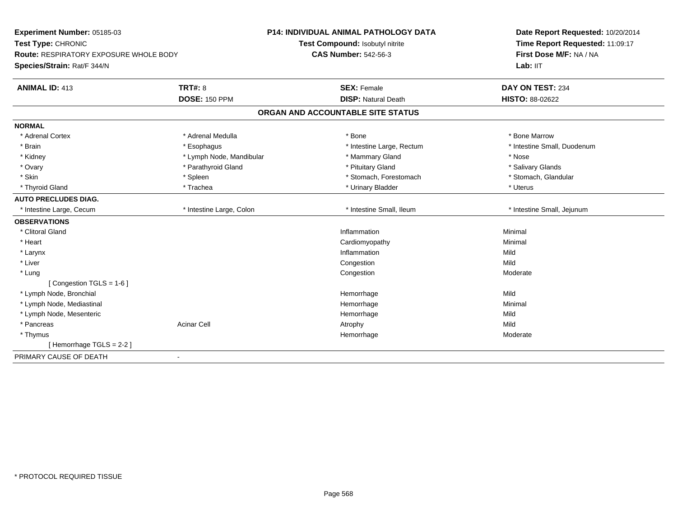| Experiment Number: 05185-03                          | P14: INDIVIDUAL ANIMAL PATHOLOGY DATA | Date Report Requested: 10/20/2014<br>Time Report Requested: 11:09:17<br>First Dose M/F: NA / NA |
|------------------------------------------------------|---------------------------------------|-------------------------------------------------------------------------------------------------|
| Test Type: CHRONIC                                   | Test Compound: Isobutyl nitrite       |                                                                                                 |
| <b>Route: RESPIRATORY EXPOSURE WHOLE BODY</b>        | <b>CAS Number: 542-56-3</b>           |                                                                                                 |
| Species/Strain: Rat/F 344/N                          |                                       | Lab: IIT                                                                                        |
| <b>TRT#: 8</b><br><b>ANIMAL ID: 413</b>              | <b>SEX: Female</b>                    | DAY ON TEST: 234                                                                                |
| <b>DOSE: 150 PPM</b>                                 | <b>DISP: Natural Death</b>            | HISTO: 88-02622                                                                                 |
|                                                      | ORGAN AND ACCOUNTABLE SITE STATUS     |                                                                                                 |
| <b>NORMAL</b>                                        |                                       |                                                                                                 |
| * Adrenal Cortex<br>* Adrenal Medulla                | * Bone                                | * Bone Marrow                                                                                   |
| * Brain<br>* Esophagus                               | * Intestine Large, Rectum             | * Intestine Small, Duodenum                                                                     |
| * Kidney<br>* Lymph Node, Mandibular                 | * Mammary Gland                       | * Nose                                                                                          |
| * Ovary<br>* Parathyroid Gland                       | * Pituitary Gland                     | * Salivary Glands                                                                               |
| * Skin<br>* Spleen                                   | * Stomach, Forestomach                | * Stomach, Glandular                                                                            |
| * Thyroid Gland<br>* Trachea                         | * Urinary Bladder                     | * Uterus                                                                                        |
| <b>AUTO PRECLUDES DIAG.</b>                          |                                       |                                                                                                 |
| * Intestine Large, Colon<br>* Intestine Large, Cecum | * Intestine Small, Ileum              | * Intestine Small, Jejunum                                                                      |
| <b>OBSERVATIONS</b>                                  |                                       |                                                                                                 |
| * Clitoral Gland                                     | Inflammation                          | Minimal                                                                                         |
| * Heart                                              | Cardiomyopathy                        | Minimal                                                                                         |
| * Larynx                                             | Inflammation                          | Mild                                                                                            |
| * Liver                                              | Congestion                            | Mild                                                                                            |
| * Lung                                               | Congestion                            | Moderate                                                                                        |
| [Congestion TGLS = 1-6]                              |                                       |                                                                                                 |
| * Lymph Node, Bronchial                              | Hemorrhage                            | Mild                                                                                            |
| * Lymph Node, Mediastinal                            | Hemorrhage                            | Minimal                                                                                         |
| * Lymph Node, Mesenteric                             | Hemorrhage                            | Mild                                                                                            |
| * Pancreas<br><b>Acinar Cell</b>                     | Atrophy                               | Mild                                                                                            |
| * Thymus                                             | Hemorrhage                            | Moderate                                                                                        |
| [Hemorrhage TGLS = $2-2$ ]                           |                                       |                                                                                                 |
| PRIMARY CAUSE OF DEATH<br>$\blacksquare$             |                                       |                                                                                                 |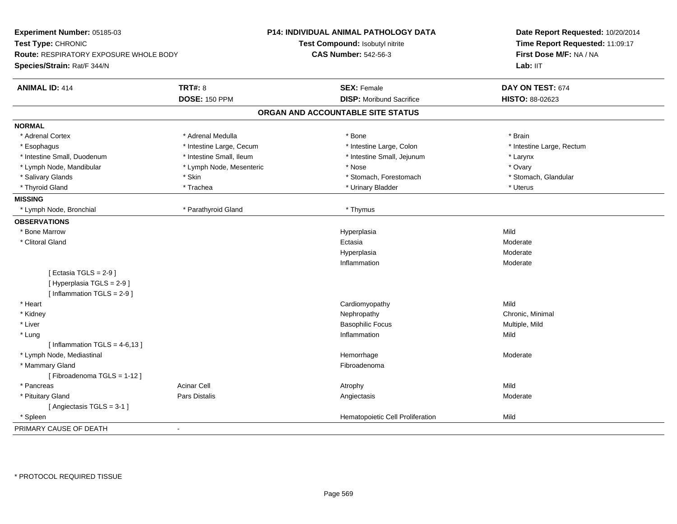| Experiment Number: 05185-03                                                                 |                          | <b>P14: INDIVIDUAL ANIMAL PATHOLOGY DATA</b> | Date Report Requested: 10/20/2014 |
|---------------------------------------------------------------------------------------------|--------------------------|----------------------------------------------|-----------------------------------|
| Test Type: CHRONIC<br>Route: RESPIRATORY EXPOSURE WHOLE BODY<br>Species/Strain: Rat/F 344/N |                          | Test Compound: Isobutyl nitrite              | Time Report Requested: 11:09:17   |
|                                                                                             |                          | <b>CAS Number: 542-56-3</b>                  | First Dose M/F: NA / NA           |
|                                                                                             |                          |                                              | Lab: IIT                          |
| <b>ANIMAL ID: 414</b>                                                                       | <b>TRT#: 8</b>           | <b>SEX: Female</b>                           | DAY ON TEST: 674                  |
|                                                                                             | <b>DOSE: 150 PPM</b>     | <b>DISP: Moribund Sacrifice</b>              | HISTO: 88-02623                   |
|                                                                                             |                          | ORGAN AND ACCOUNTABLE SITE STATUS            |                                   |
| <b>NORMAL</b>                                                                               |                          |                                              |                                   |
| * Adrenal Cortex                                                                            | * Adrenal Medulla        | * Bone                                       | * Brain                           |
| * Esophagus                                                                                 | * Intestine Large, Cecum | * Intestine Large, Colon                     | * Intestine Large, Rectum         |
| * Intestine Small, Duodenum                                                                 | * Intestine Small, Ileum | * Intestine Small, Jejunum                   | * Larynx                          |
| * Lymph Node, Mandibular                                                                    | * Lymph Node, Mesenteric | * Nose                                       | * Ovary                           |
| * Salivary Glands                                                                           | * Skin                   | * Stomach, Forestomach                       | * Stomach, Glandular              |
| * Thyroid Gland                                                                             | * Trachea                | * Urinary Bladder                            | * Uterus                          |
| <b>MISSING</b>                                                                              |                          |                                              |                                   |
| * Lymph Node, Bronchial                                                                     | * Parathyroid Gland      | * Thymus                                     |                                   |
| <b>OBSERVATIONS</b>                                                                         |                          |                                              |                                   |
| * Bone Marrow                                                                               |                          | Hyperplasia                                  | Mild                              |
| * Clitoral Gland                                                                            |                          | Ectasia                                      | Moderate                          |
|                                                                                             |                          | Hyperplasia                                  | Moderate                          |
|                                                                                             |                          | Inflammation                                 | Moderate                          |
| [Ectasia TGLS = $2-9$ ]                                                                     |                          |                                              |                                   |
| [ Hyperplasia TGLS = 2-9 ]                                                                  |                          |                                              |                                   |
| [Inflammation TGLS = $2-9$ ]                                                                |                          |                                              | Mild                              |
| * Heart                                                                                     |                          | Cardiomyopathy                               |                                   |
| * Kidney                                                                                    |                          | Nephropathy                                  | Chronic, Minimal                  |
| * Liver                                                                                     |                          | <b>Basophilic Focus</b><br>Inflammation      | Multiple, Mild<br>Mild            |
| * Lung<br>[Inflammation TGLS = $4-6,13$ ]                                                   |                          |                                              |                                   |
| * Lymph Node, Mediastinal                                                                   |                          | Hemorrhage                                   | Moderate                          |
| * Mammary Gland                                                                             |                          | Fibroadenoma                                 |                                   |
| [Fibroadenoma TGLS = 1-12]                                                                  |                          |                                              |                                   |
| * Pancreas                                                                                  | <b>Acinar Cell</b>       |                                              | Mild                              |
|                                                                                             | Pars Distalis            | Atrophy                                      | Moderate                          |
| * Pituitary Gland<br>[Angiectasis TGLS = 3-1]                                               |                          | Angiectasis                                  |                                   |
| * Spleen                                                                                    |                          | Hematopoietic Cell Proliferation             | Mild                              |
| PRIMARY CAUSE OF DEATH                                                                      | $\blacksquare$           |                                              |                                   |
|                                                                                             |                          |                                              |                                   |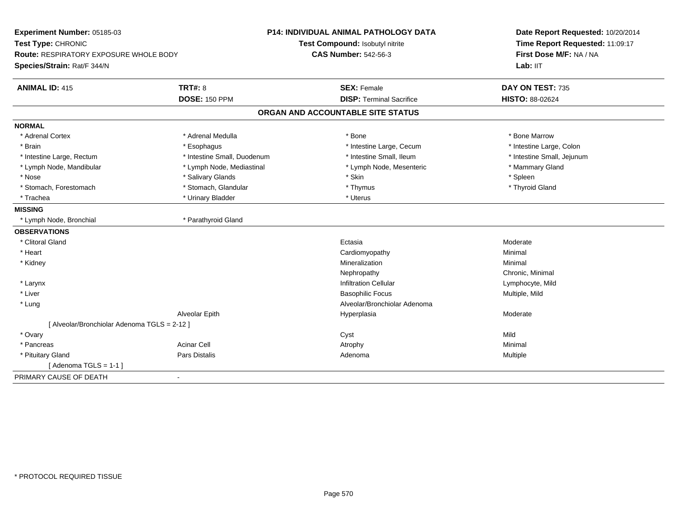| Experiment Number: 05185-03<br>Test Type: CHRONIC |                             | <b>P14: INDIVIDUAL ANIMAL PATHOLOGY DATA</b><br>Test Compound: Isobutyl nitrite | Date Report Requested: 10/20/2014<br>Time Report Requested: 11:09:17 |  |
|---------------------------------------------------|-----------------------------|---------------------------------------------------------------------------------|----------------------------------------------------------------------|--|
| Route: RESPIRATORY EXPOSURE WHOLE BODY            |                             | <b>CAS Number: 542-56-3</b>                                                     | First Dose M/F: NA / NA                                              |  |
| Species/Strain: Rat/F 344/N                       |                             |                                                                                 | Lab: IIT                                                             |  |
| <b>ANIMAL ID: 415</b>                             | <b>TRT#: 8</b>              | <b>SEX: Female</b>                                                              | DAY ON TEST: 735                                                     |  |
|                                                   | <b>DOSE: 150 PPM</b>        | <b>DISP: Terminal Sacrifice</b>                                                 | HISTO: 88-02624                                                      |  |
|                                                   |                             | ORGAN AND ACCOUNTABLE SITE STATUS                                               |                                                                      |  |
| <b>NORMAL</b>                                     |                             |                                                                                 |                                                                      |  |
| * Adrenal Cortex                                  | * Adrenal Medulla           | * Bone                                                                          | * Bone Marrow                                                        |  |
| * Brain                                           | * Esophagus                 | * Intestine Large, Cecum                                                        | * Intestine Large, Colon                                             |  |
| * Intestine Large, Rectum                         | * Intestine Small, Duodenum | * Intestine Small, Ileum                                                        | * Intestine Small, Jejunum                                           |  |
| * Lymph Node, Mandibular                          | * Lymph Node, Mediastinal   | * Lymph Node, Mesenteric                                                        | * Mammary Gland                                                      |  |
| * Nose                                            | * Salivary Glands           | * Skin                                                                          | * Spleen                                                             |  |
| * Stomach, Forestomach                            | * Stomach, Glandular        | * Thymus                                                                        | * Thyroid Gland                                                      |  |
| * Trachea                                         | * Urinary Bladder           | * Uterus                                                                        |                                                                      |  |
| <b>MISSING</b>                                    |                             |                                                                                 |                                                                      |  |
| * Lymph Node, Bronchial                           | * Parathyroid Gland         |                                                                                 |                                                                      |  |
| <b>OBSERVATIONS</b>                               |                             |                                                                                 |                                                                      |  |
| * Clitoral Gland                                  |                             | Ectasia                                                                         | Moderate                                                             |  |
| * Heart                                           |                             | Cardiomyopathy                                                                  | Minimal                                                              |  |
| * Kidney                                          |                             | Mineralization                                                                  | Minimal                                                              |  |
|                                                   |                             | Nephropathy                                                                     | Chronic, Minimal                                                     |  |
| * Larynx                                          |                             | Infiltration Cellular                                                           | Lymphocyte, Mild                                                     |  |
| * Liver                                           |                             | <b>Basophilic Focus</b>                                                         | Multiple, Mild                                                       |  |
| * Lung                                            |                             | Alveolar/Bronchiolar Adenoma                                                    |                                                                      |  |
|                                                   | Alveolar Epith              | Hyperplasia                                                                     | Moderate                                                             |  |
| [ Alveolar/Bronchiolar Adenoma TGLS = 2-12 ]      |                             |                                                                                 |                                                                      |  |
| * Ovary                                           |                             | Cyst                                                                            | Mild                                                                 |  |
| * Pancreas                                        | <b>Acinar Cell</b>          | Atrophy                                                                         | Minimal                                                              |  |
| * Pituitary Gland                                 | <b>Pars Distalis</b>        | Adenoma                                                                         | Multiple                                                             |  |
| [Adenoma TGLS = $1-1$ ]                           |                             |                                                                                 |                                                                      |  |
| PRIMARY CAUSE OF DEATH                            | $\blacksquare$              |                                                                                 |                                                                      |  |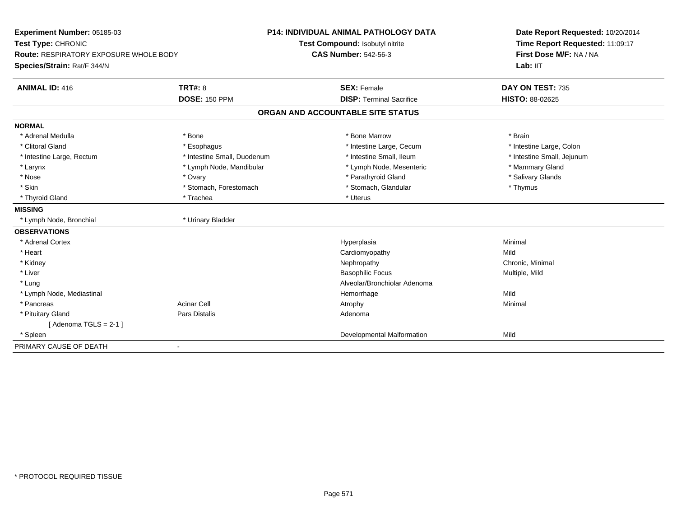| Experiment Number: 05185-03                   |                             | P14: INDIVIDUAL ANIMAL PATHOLOGY DATA | Date Report Requested: 10/20/2014<br>Time Report Requested: 11:09:17<br>First Dose M/F: NA / NA |  |
|-----------------------------------------------|-----------------------------|---------------------------------------|-------------------------------------------------------------------------------------------------|--|
| Test Type: CHRONIC                            |                             | Test Compound: Isobutyl nitrite       |                                                                                                 |  |
| <b>Route: RESPIRATORY EXPOSURE WHOLE BODY</b> |                             | <b>CAS Number: 542-56-3</b>           |                                                                                                 |  |
| Species/Strain: Rat/F 344/N                   |                             |                                       | Lab: IIT                                                                                        |  |
| <b>ANIMAL ID: 416</b>                         | <b>TRT#: 8</b>              | <b>SEX: Female</b>                    | DAY ON TEST: 735                                                                                |  |
|                                               | <b>DOSE: 150 PPM</b>        | <b>DISP: Terminal Sacrifice</b>       | <b>HISTO: 88-02625</b>                                                                          |  |
|                                               |                             | ORGAN AND ACCOUNTABLE SITE STATUS     |                                                                                                 |  |
| <b>NORMAL</b>                                 |                             |                                       |                                                                                                 |  |
| * Adrenal Medulla                             | * Bone                      | * Bone Marrow                         | * Brain                                                                                         |  |
| * Clitoral Gland                              | * Esophagus                 | * Intestine Large, Cecum              | * Intestine Large, Colon                                                                        |  |
| * Intestine Large, Rectum                     | * Intestine Small, Duodenum | * Intestine Small. Ileum              | * Intestine Small, Jejunum                                                                      |  |
| * Larynx                                      | * Lymph Node, Mandibular    | * Lymph Node, Mesenteric              | * Mammary Gland                                                                                 |  |
| * Nose                                        | * Ovary                     | * Parathyroid Gland                   | * Salivary Glands                                                                               |  |
| * Skin                                        | * Stomach, Forestomach      | * Stomach, Glandular                  | * Thymus                                                                                        |  |
| * Thyroid Gland                               | * Trachea                   | * Uterus                              |                                                                                                 |  |
| <b>MISSING</b>                                |                             |                                       |                                                                                                 |  |
| * Lymph Node, Bronchial                       | * Urinary Bladder           |                                       |                                                                                                 |  |
| <b>OBSERVATIONS</b>                           |                             |                                       |                                                                                                 |  |
| * Adrenal Cortex                              |                             | Hyperplasia                           | Minimal                                                                                         |  |
| * Heart                                       |                             | Cardiomyopathy                        | Mild                                                                                            |  |
| * Kidney                                      |                             | Nephropathy                           | Chronic, Minimal                                                                                |  |
| * Liver                                       |                             | <b>Basophilic Focus</b>               | Multiple, Mild                                                                                  |  |
| * Lung                                        |                             | Alveolar/Bronchiolar Adenoma          |                                                                                                 |  |
| * Lymph Node, Mediastinal                     |                             | Hemorrhage                            | Mild                                                                                            |  |
| * Pancreas                                    | <b>Acinar Cell</b>          | Atrophy                               | Minimal                                                                                         |  |
| * Pituitary Gland                             | Pars Distalis               | Adenoma                               |                                                                                                 |  |
| [Adenoma TGLS = $2-1$ ]                       |                             |                                       |                                                                                                 |  |
| * Spleen                                      |                             | Developmental Malformation            | Mild                                                                                            |  |
| PRIMARY CAUSE OF DEATH                        |                             |                                       |                                                                                                 |  |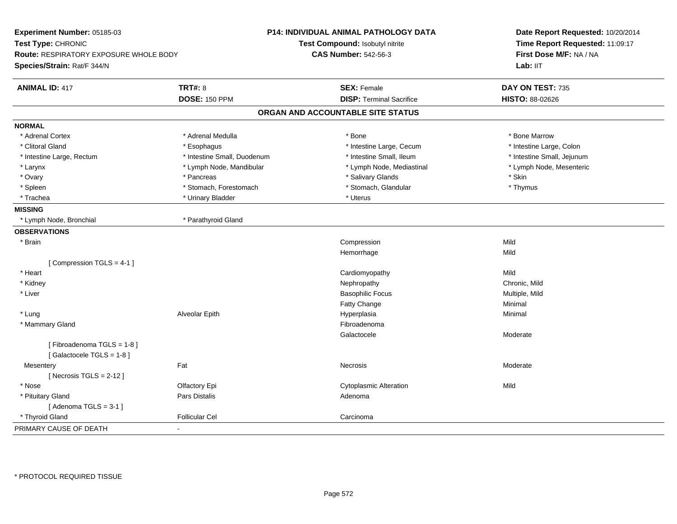| Experiment Number: 05185-03                   | P14: INDIVIDUAL ANIMAL PATHOLOGY DATA |                                   | Date Report Requested: 10/20/2014 |  |
|-----------------------------------------------|---------------------------------------|-----------------------------------|-----------------------------------|--|
| Test Type: CHRONIC                            |                                       | Test Compound: Isobutyl nitrite   | Time Report Requested: 11:09:17   |  |
| <b>Route: RESPIRATORY EXPOSURE WHOLE BODY</b> |                                       | <b>CAS Number: 542-56-3</b>       | First Dose M/F: NA / NA           |  |
| Species/Strain: Rat/F 344/N                   |                                       |                                   | Lab: IIT                          |  |
| <b>ANIMAL ID: 417</b>                         | <b>TRT#: 8</b>                        | <b>SEX: Female</b>                | DAY ON TEST: 735                  |  |
|                                               | <b>DOSE: 150 PPM</b>                  | <b>DISP: Terminal Sacrifice</b>   | HISTO: 88-02626                   |  |
|                                               |                                       | ORGAN AND ACCOUNTABLE SITE STATUS |                                   |  |
| <b>NORMAL</b>                                 |                                       |                                   |                                   |  |
| * Adrenal Cortex                              | * Adrenal Medulla                     | * Bone                            | * Bone Marrow                     |  |
| * Clitoral Gland                              | * Esophagus                           | * Intestine Large, Cecum          | * Intestine Large, Colon          |  |
| * Intestine Large, Rectum                     | * Intestine Small, Duodenum           | * Intestine Small, Ileum          | * Intestine Small, Jejunum        |  |
| * Larynx                                      | * Lymph Node, Mandibular              | * Lymph Node, Mediastinal         | * Lymph Node, Mesenteric          |  |
| * Ovary                                       | * Pancreas                            | * Salivary Glands                 | * Skin                            |  |
| * Spleen                                      | * Stomach, Forestomach                | * Stomach, Glandular              | * Thymus                          |  |
| * Trachea                                     | * Urinary Bladder                     | * Uterus                          |                                   |  |
| <b>MISSING</b>                                |                                       |                                   |                                   |  |
| * Lymph Node, Bronchial                       | * Parathyroid Gland                   |                                   |                                   |  |
| <b>OBSERVATIONS</b>                           |                                       |                                   |                                   |  |
| * Brain                                       |                                       | Compression                       | Mild                              |  |
|                                               |                                       | Hemorrhage                        | Mild                              |  |
| [Compression TGLS = 4-1]                      |                                       |                                   |                                   |  |
| * Heart                                       |                                       | Cardiomyopathy                    | Mild                              |  |
| * Kidney                                      |                                       | Nephropathy                       | Chronic, Mild                     |  |
| * Liver                                       |                                       | <b>Basophilic Focus</b>           | Multiple, Mild                    |  |
|                                               |                                       | Fatty Change                      | Minimal                           |  |
| * Lung                                        | Alveolar Epith                        | Hyperplasia                       | Minimal                           |  |
| * Mammary Gland                               |                                       | Fibroadenoma                      |                                   |  |
|                                               |                                       | Galactocele                       | Moderate                          |  |
| [Fibroadenoma TGLS = 1-8]                     |                                       |                                   |                                   |  |
| [Galactocele TGLS = 1-8]                      |                                       |                                   |                                   |  |
| Fat<br>Mesentery                              |                                       | Necrosis                          | Moderate                          |  |
| [Necrosis TGLS = $2-12$ ]                     |                                       |                                   |                                   |  |
| * Nose                                        | Olfactory Epi                         | <b>Cytoplasmic Alteration</b>     | Mild                              |  |
| * Pituitary Gland                             | Pars Distalis                         | Adenoma                           |                                   |  |
| [Adenoma TGLS = $3-1$ ]                       |                                       |                                   |                                   |  |
| * Thyroid Gland                               | <b>Follicular Cel</b>                 | Carcinoma                         |                                   |  |
| PRIMARY CAUSE OF DEATH<br>$\blacksquare$      |                                       |                                   |                                   |  |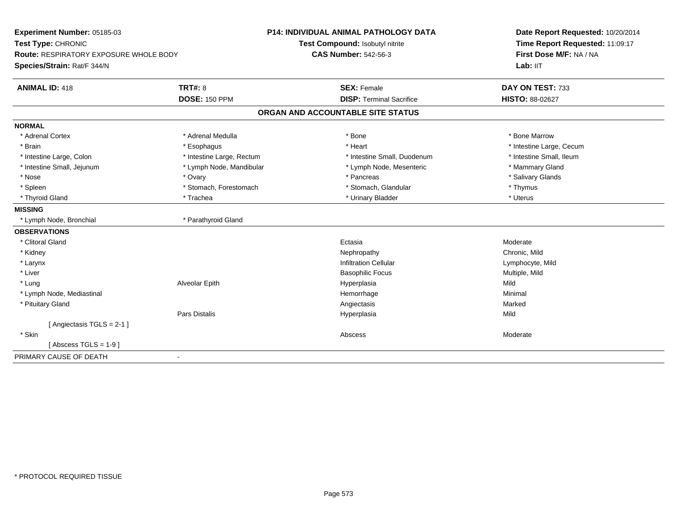| Experiment Number: 05185-03<br>Test Type: CHRONIC<br>Route: RESPIRATORY EXPOSURE WHOLE BODY |                           | <b>P14: INDIVIDUAL ANIMAL PATHOLOGY DATA</b> | Date Report Requested: 10/20/2014<br>Time Report Requested: 11:09:17<br>First Dose M/F: NA / NA |
|---------------------------------------------------------------------------------------------|---------------------------|----------------------------------------------|-------------------------------------------------------------------------------------------------|
|                                                                                             |                           | Test Compound: Isobutyl nitrite              |                                                                                                 |
|                                                                                             |                           | <b>CAS Number: 542-56-3</b>                  |                                                                                                 |
| Species/Strain: Rat/F 344/N                                                                 |                           |                                              | Lab: IIT                                                                                        |
| <b>ANIMAL ID: 418</b>                                                                       | <b>TRT#: 8</b>            | <b>SEX: Female</b>                           | DAY ON TEST: 733                                                                                |
|                                                                                             | <b>DOSE: 150 PPM</b>      | <b>DISP: Terminal Sacrifice</b>              | HISTO: 88-02627                                                                                 |
|                                                                                             |                           | ORGAN AND ACCOUNTABLE SITE STATUS            |                                                                                                 |
| <b>NORMAL</b>                                                                               |                           |                                              |                                                                                                 |
| * Adrenal Cortex                                                                            | * Adrenal Medulla         | * Bone                                       | * Bone Marrow                                                                                   |
| * Brain                                                                                     | * Esophagus               | * Heart                                      | * Intestine Large, Cecum                                                                        |
| * Intestine Large, Colon                                                                    | * Intestine Large, Rectum | * Intestine Small, Duodenum                  | * Intestine Small, Ileum                                                                        |
| * Intestine Small, Jejunum                                                                  | * Lymph Node, Mandibular  | * Lymph Node, Mesenteric                     | * Mammary Gland                                                                                 |
| * Nose                                                                                      | * Ovary                   | * Pancreas                                   | * Salivary Glands                                                                               |
| * Spleen                                                                                    | * Stomach, Forestomach    | * Stomach, Glandular                         | * Thymus                                                                                        |
| * Thyroid Gland                                                                             | * Trachea                 | * Urinary Bladder                            | * Uterus                                                                                        |
| <b>MISSING</b>                                                                              |                           |                                              |                                                                                                 |
| * Lymph Node, Bronchial                                                                     | * Parathyroid Gland       |                                              |                                                                                                 |
| <b>OBSERVATIONS</b>                                                                         |                           |                                              |                                                                                                 |
| * Clitoral Gland                                                                            |                           | Ectasia                                      | Moderate                                                                                        |
| * Kidney                                                                                    |                           | Nephropathy                                  | Chronic, Mild                                                                                   |
| * Larynx                                                                                    |                           | <b>Infiltration Cellular</b>                 | Lymphocyte, Mild                                                                                |
| * Liver                                                                                     |                           | <b>Basophilic Focus</b>                      | Multiple, Mild                                                                                  |
| * Lung                                                                                      | Alveolar Epith            | Hyperplasia                                  | Mild                                                                                            |
| * Lymph Node, Mediastinal                                                                   |                           | Hemorrhage                                   | Minimal                                                                                         |
| * Pituitary Gland                                                                           |                           | Angiectasis                                  | Marked                                                                                          |
|                                                                                             | <b>Pars Distalis</b>      | Hyperplasia                                  | Mild                                                                                            |
| [Angiectasis TGLS = 2-1]                                                                    |                           |                                              |                                                                                                 |
| * Skin                                                                                      |                           | Abscess                                      | Moderate                                                                                        |
| [Abscess TGLS = $1-9$ ]                                                                     |                           |                                              |                                                                                                 |
| PRIMARY CAUSE OF DEATH                                                                      | $\blacksquare$            |                                              |                                                                                                 |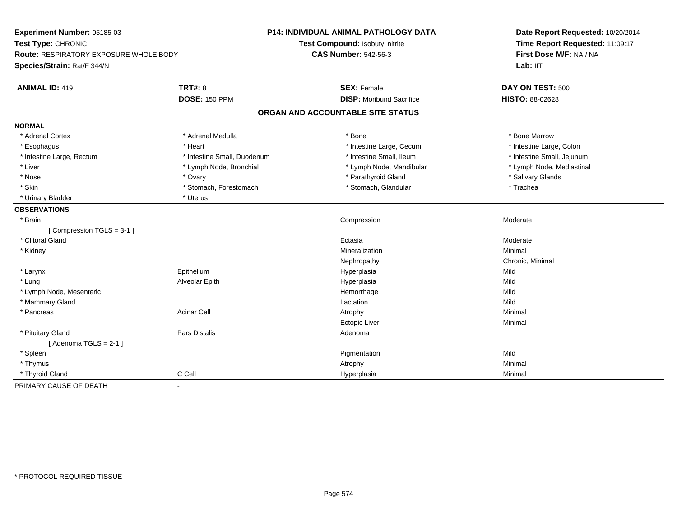| Experiment Number: 05185-03                   |                             | <b>P14: INDIVIDUAL ANIMAL PATHOLOGY DATA</b> | Date Report Requested: 10/20/2014<br>Time Report Requested: 11:09:17 |
|-----------------------------------------------|-----------------------------|----------------------------------------------|----------------------------------------------------------------------|
| Test Type: CHRONIC                            |                             | Test Compound: Isobutyl nitrite              |                                                                      |
| <b>Route: RESPIRATORY EXPOSURE WHOLE BODY</b> |                             | <b>CAS Number: 542-56-3</b>                  | First Dose M/F: NA / NA                                              |
| Species/Strain: Rat/F 344/N                   |                             |                                              | Lab: IIT                                                             |
| <b>ANIMAL ID: 419</b><br><b>TRT#: 8</b>       |                             | <b>SEX: Female</b>                           | DAY ON TEST: 500                                                     |
|                                               | <b>DOSE: 150 PPM</b>        | <b>DISP:</b> Moribund Sacrifice              | HISTO: 88-02628                                                      |
|                                               |                             | ORGAN AND ACCOUNTABLE SITE STATUS            |                                                                      |
| <b>NORMAL</b>                                 |                             |                                              |                                                                      |
| * Adrenal Cortex                              | * Adrenal Medulla           | * Bone                                       | * Bone Marrow                                                        |
| * Esophagus<br>* Heart                        |                             | * Intestine Large, Cecum                     | * Intestine Large, Colon                                             |
| * Intestine Large, Rectum                     | * Intestine Small, Duodenum | * Intestine Small, Ileum                     | * Intestine Small, Jejunum                                           |
| * Liver                                       | * Lymph Node, Bronchial     | * Lymph Node, Mandibular                     | * Lymph Node, Mediastinal                                            |
| * Nose<br>* Ovary                             |                             | * Parathyroid Gland                          | * Salivary Glands                                                    |
| * Skin                                        | * Stomach, Forestomach      | * Stomach, Glandular                         | * Trachea                                                            |
| * Uterus<br>* Urinary Bladder                 |                             |                                              |                                                                      |
| <b>OBSERVATIONS</b>                           |                             |                                              |                                                                      |
| * Brain                                       |                             | Compression                                  | Moderate                                                             |
| [Compression TGLS = 3-1]                      |                             |                                              |                                                                      |
| * Clitoral Gland                              |                             | Ectasia                                      | Moderate                                                             |
| * Kidney                                      |                             | Mineralization                               | Minimal                                                              |
|                                               |                             | Nephropathy                                  | Chronic, Minimal                                                     |
| * Larynx<br>Epithelium                        |                             | Hyperplasia                                  | Mild                                                                 |
| * Lung                                        | Alveolar Epith              | Hyperplasia                                  | Mild                                                                 |
| * Lymph Node, Mesenteric                      |                             | Hemorrhage                                   | Mild                                                                 |
| * Mammary Gland                               |                             | Lactation                                    | Mild                                                                 |
| <b>Acinar Cell</b><br>* Pancreas              |                             | Atrophy                                      | Minimal                                                              |
|                                               |                             | <b>Ectopic Liver</b>                         | Minimal                                                              |
| * Pituitary Gland                             | Pars Distalis               | Adenoma                                      |                                                                      |
| [Adenoma TGLS = $2-1$ ]                       |                             |                                              |                                                                      |
| * Spleen                                      |                             | Pigmentation                                 | Mild                                                                 |
| * Thymus                                      |                             | Atrophy                                      | Minimal                                                              |
| C Cell<br>* Thyroid Gland                     |                             | Hyperplasia                                  | Minimal                                                              |
| PRIMARY CAUSE OF DEATH<br>$\blacksquare$      |                             |                                              |                                                                      |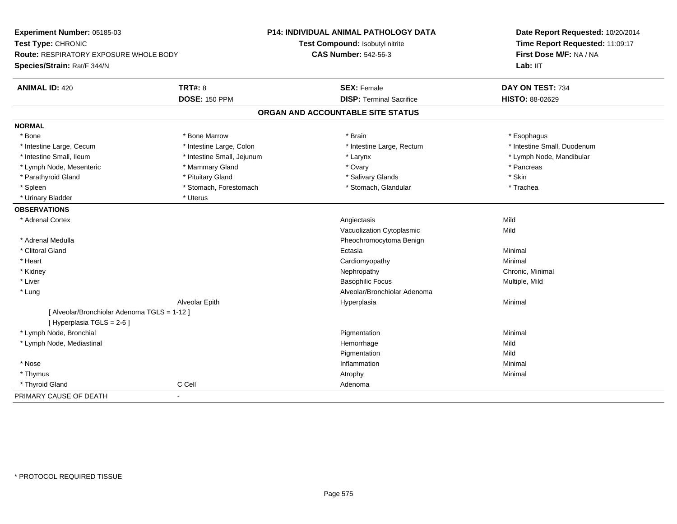| Experiment Number: 05185-03                  |                            | P14: INDIVIDUAL ANIMAL PATHOLOGY DATA | Date Report Requested: 10/20/2014 |
|----------------------------------------------|----------------------------|---------------------------------------|-----------------------------------|
| Test Type: CHRONIC                           |                            | Test Compound: Isobutyl nitrite       | Time Report Requested: 11:09:17   |
| Route: RESPIRATORY EXPOSURE WHOLE BODY       |                            | <b>CAS Number: 542-56-3</b>           | First Dose M/F: NA / NA           |
| Species/Strain: Rat/F 344/N                  |                            |                                       | Lab: IIT                          |
| <b>ANIMAL ID: 420</b>                        | <b>TRT#: 8</b>             | <b>SEX: Female</b>                    | DAY ON TEST: 734                  |
|                                              | <b>DOSE: 150 PPM</b>       | <b>DISP: Terminal Sacrifice</b>       | HISTO: 88-02629                   |
|                                              |                            | ORGAN AND ACCOUNTABLE SITE STATUS     |                                   |
| <b>NORMAL</b>                                |                            |                                       |                                   |
| * Bone                                       | * Bone Marrow              | * Brain                               | * Esophagus                       |
| * Intestine Large, Cecum                     | * Intestine Large, Colon   | * Intestine Large, Rectum             | * Intestine Small, Duodenum       |
| * Intestine Small, Ileum                     | * Intestine Small, Jejunum | * Larynx                              | * Lymph Node, Mandibular          |
| * Lymph Node, Mesenteric                     | * Mammary Gland            | * Ovary                               | * Pancreas                        |
| * Parathyroid Gland                          | * Pituitary Gland          | * Salivary Glands                     | * Skin                            |
| * Spleen                                     | * Stomach, Forestomach     | * Stomach, Glandular                  | * Trachea                         |
| * Urinary Bladder                            | * Uterus                   |                                       |                                   |
| <b>OBSERVATIONS</b>                          |                            |                                       |                                   |
| * Adrenal Cortex                             |                            | Angiectasis                           | Mild                              |
|                                              |                            | Vacuolization Cytoplasmic             | Mild                              |
| * Adrenal Medulla                            |                            | Pheochromocytoma Benign               |                                   |
| * Clitoral Gland                             |                            | Ectasia                               | Minimal                           |
| * Heart                                      |                            | Cardiomyopathy                        | Minimal                           |
| * Kidney                                     |                            | Nephropathy                           | Chronic, Minimal                  |
| * Liver                                      |                            | <b>Basophilic Focus</b>               | Multiple, Mild                    |
| * Lung                                       |                            | Alveolar/Bronchiolar Adenoma          |                                   |
|                                              | Alveolar Epith             | Hyperplasia                           | Minimal                           |
| [ Alveolar/Bronchiolar Adenoma TGLS = 1-12 ] |                            |                                       |                                   |
| [ Hyperplasia TGLS = 2-6 ]                   |                            |                                       |                                   |
| * Lymph Node, Bronchial                      |                            | Pigmentation                          | Minimal                           |
| * Lymph Node, Mediastinal                    |                            | Hemorrhage                            | Mild                              |
|                                              |                            | Pigmentation                          | Mild                              |
| * Nose                                       |                            | Inflammation                          | Minimal                           |
| * Thymus                                     |                            | Atrophy                               | Minimal                           |
| * Thyroid Gland                              | C Cell                     | Adenoma                               |                                   |
| PRIMARY CAUSE OF DEATH                       | $\blacksquare$             |                                       |                                   |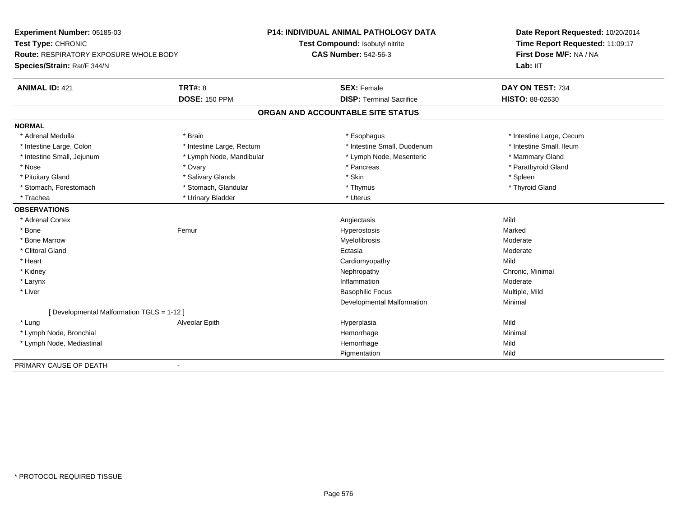| Experiment Number: 05185-03                |                           | <b>P14: INDIVIDUAL ANIMAL PATHOLOGY DATA</b> | Date Report Requested: 10/20/2014<br>Time Report Requested: 11:09:17<br>First Dose M/F: NA / NA |
|--------------------------------------------|---------------------------|----------------------------------------------|-------------------------------------------------------------------------------------------------|
| Test Type: CHRONIC                         |                           | Test Compound: Isobutyl nitrite              |                                                                                                 |
| Route: RESPIRATORY EXPOSURE WHOLE BODY     |                           | <b>CAS Number: 542-56-3</b>                  |                                                                                                 |
| Species/Strain: Rat/F 344/N                |                           |                                              | Lab: IIT                                                                                        |
| <b>ANIMAL ID: 421</b>                      | <b>TRT#: 8</b>            | <b>SEX: Female</b>                           | DAY ON TEST: 734                                                                                |
|                                            | <b>DOSE: 150 PPM</b>      | <b>DISP: Terminal Sacrifice</b>              | <b>HISTO: 88-02630</b>                                                                          |
|                                            |                           | ORGAN AND ACCOUNTABLE SITE STATUS            |                                                                                                 |
| <b>NORMAL</b>                              |                           |                                              |                                                                                                 |
| * Adrenal Medulla                          | * Brain                   | * Esophagus                                  | * Intestine Large, Cecum                                                                        |
| * Intestine Large, Colon                   | * Intestine Large, Rectum | * Intestine Small, Duodenum                  | * Intestine Small, Ileum                                                                        |
| * Intestine Small, Jejunum                 | * Lymph Node, Mandibular  | * Lymph Node, Mesenteric                     | * Mammary Gland                                                                                 |
| * Nose                                     | * Ovary                   | * Pancreas                                   | * Parathyroid Gland                                                                             |
| * Pituitary Gland                          | * Salivary Glands         | * Skin                                       | * Spleen                                                                                        |
| * Stomach, Forestomach                     | * Stomach, Glandular      | * Thymus                                     | * Thyroid Gland                                                                                 |
| * Trachea                                  | * Urinary Bladder         | * Uterus                                     |                                                                                                 |
| <b>OBSERVATIONS</b>                        |                           |                                              |                                                                                                 |
| * Adrenal Cortex                           |                           | Angiectasis                                  | Mild                                                                                            |
| * Bone                                     | Femur                     | Hyperostosis                                 | Marked                                                                                          |
| * Bone Marrow                              |                           | Myelofibrosis                                | Moderate                                                                                        |
| * Clitoral Gland                           |                           | Ectasia                                      | Moderate                                                                                        |
| * Heart                                    |                           | Cardiomyopathy                               | Mild                                                                                            |
| * Kidney                                   |                           | Nephropathy                                  | Chronic, Minimal                                                                                |
| * Larynx                                   |                           | Inflammation                                 | Moderate                                                                                        |
| * Liver                                    |                           | <b>Basophilic Focus</b>                      | Multiple, Mild                                                                                  |
|                                            |                           | Developmental Malformation                   | Minimal                                                                                         |
| [ Developmental Malformation TGLS = 1-12 ] |                           |                                              |                                                                                                 |
| * Lung                                     | Alveolar Epith            | Hyperplasia                                  | Mild                                                                                            |
| * Lymph Node, Bronchial                    |                           | Hemorrhage                                   | Minimal                                                                                         |
| * Lymph Node, Mediastinal                  |                           | Hemorrhage                                   | Mild                                                                                            |
|                                            |                           | Pigmentation                                 | Mild                                                                                            |
| PRIMARY CAUSE OF DEATH                     | $\blacksquare$            |                                              |                                                                                                 |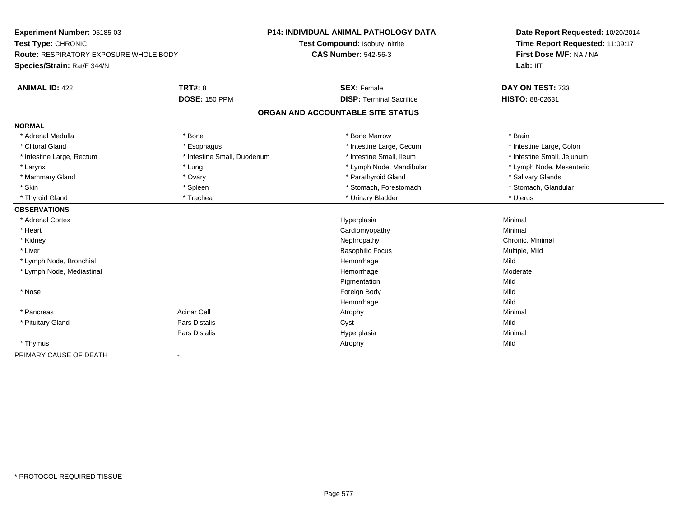**Experiment Number:** 05185-03**Test Type:** CHRONIC **Route:** RESPIRATORY EXPOSURE WHOLE BODY**Species/Strain:** Rat/F 344/N**P14: INDIVIDUAL ANIMAL PATHOLOGY DATATest Compound:** Isobutyl nitrite**CAS Number:** 542-56-3**Date Report Requested:** 10/20/2014**Time Report Requested:** 11:09:17**First Dose M/F:** NA / NA**Lab:** IIT**ANIMAL ID:** 422**TRT#:** 8 **SEX:** Female **DAY ON TEST:** 733 **DOSE:** 150 PPM**DISP:** Terminal Sacrifice **HISTO:** 88-02631 **ORGAN AND ACCOUNTABLE SITE STATUSNORMAL**\* Adrenal Medulla \* \* Annual Medulla \* Brain \* Bone \* \* Bone Marrow \* Bone Marrow \* \* Brain \* Brain \* Brain \* Brain \* Brain \* Brain \* Brain \* Brain \* Brain \* Brain \* Brain \* Brain \* Brain \* Brain \* Brain \* Brain \* Brain \* \* Intestine Large, Colon \* Clitoral Gland \* **Exophagus \* Exophagus \*** The strain that the Large, Cecum \* intestine Large, Cecum \* Intestine Large, Rectum \* Thestine Small, Duodenum \* Number of the small, Ileum \* Intestine Small, Jejunum \* Intestine Small, Jejunum \* Lymph Node, Mesenteric \* Larynx \* Larynx \* Lung \* Lung \* Lung \* Larynx \* Lymph Node, Mandibular \* Lymph Node, Mandibular \* Mammary Gland \* \* Android Marketin \* Ovary \* Android \* Parathyroid Gland \* \* Salivary Glands \* Salivary Glands \* Salivary Glands \* Salivary Glands \* Salivary Glands \* Salivary Glands \* Salivary Glands \* Salivary Glands \* \* Stomach, Glandular \* Skin \* Spleen \* Spleen \* Spleen \* Stomach, Forestomach \* Stomach, Forestomach \* Thyroid Gland \* \* Trachea \* \* Trachea \* Trachea \* \* Urinary Bladder \* \* Urinary Bladder \* \* Uterus \* Uterus **OBSERVATIONS** \* Adrenal Cortexx and the contract of the contract of the contract of the contract of the contract of the contract of the contract of the contract of the contract of the contract of the contract of the contract of the contract of the cont a and a studies of the studies of the Minimal \* Heart Cardiomyopathy Minimal \* Kidneyy the controller of the controller of the controller of the controller of the controller of the controller of the controller of the controller of the controller of the controller of the controller of the controller of the \* Liver Basophilic Focus Multiple, Mild \* Lymph Node, Bronchial Hemorrhagee Mild \* Lymph Node, Mediastinal HemorrhageModerate<br>Mild Pigmentationn Mild \* Nosee and the state of the state of the state of the state of the state of the state of the state of the state of the state of the state of the state of the state of the state of the state of the state of the state of the stat Hemorrhagee Mild \* Pancreass Acinar Cell Atrophy Minimal \* Pituitary Gland Pars Distalis Cyst Mild Pars Distalis Hyperplasiaa and a studies of the studies of the Minimal \* Thymuss and the control of the control of the control of the control of the control of the control of the control of the control of the control of the control of the control of the control of the control of the control of the co PRIMARY CAUSE OF DEATH-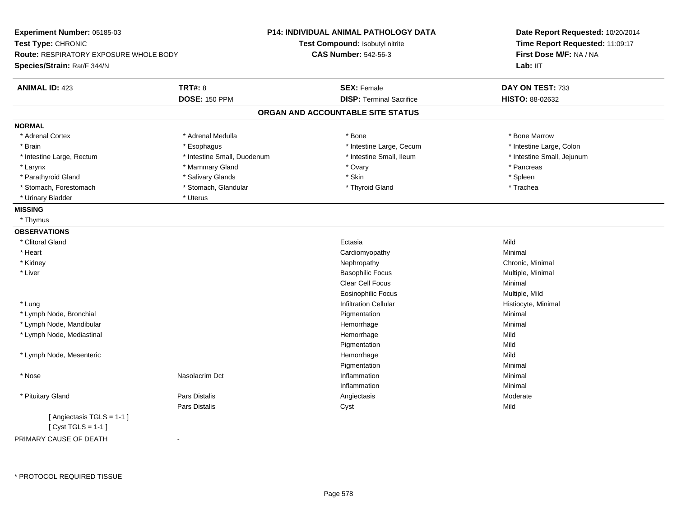| Experiment Number: 05185-03<br>Test Type: CHRONIC                     |                             | <b>P14: INDIVIDUAL ANIMAL PATHOLOGY DATA</b><br>Test Compound: Isobutyl nitrite | Date Report Requested: 10/20/2014<br>Time Report Requested: 11:09:17 |  |
|-----------------------------------------------------------------------|-----------------------------|---------------------------------------------------------------------------------|----------------------------------------------------------------------|--|
| Route: RESPIRATORY EXPOSURE WHOLE BODY<br>Species/Strain: Rat/F 344/N |                             | <b>CAS Number: 542-56-3</b>                                                     | First Dose M/F: NA / NA<br>Lab: II <sub>T</sub>                      |  |
|                                                                       |                             |                                                                                 |                                                                      |  |
| <b>ANIMAL ID: 423</b>                                                 | <b>TRT#: 8</b>              | <b>SEX: Female</b>                                                              | DAY ON TEST: 733                                                     |  |
|                                                                       | <b>DOSE: 150 PPM</b>        | <b>DISP: Terminal Sacrifice</b>                                                 | HISTO: 88-02632                                                      |  |
|                                                                       |                             | ORGAN AND ACCOUNTABLE SITE STATUS                                               |                                                                      |  |
| <b>NORMAL</b>                                                         |                             |                                                                                 |                                                                      |  |
| * Adrenal Cortex                                                      | * Adrenal Medulla           | * Bone                                                                          | * Bone Marrow                                                        |  |
| * Brain                                                               | * Esophagus                 | * Intestine Large, Cecum                                                        | * Intestine Large, Colon                                             |  |
| * Intestine Large, Rectum                                             | * Intestine Small, Duodenum | * Intestine Small, Ileum                                                        | * Intestine Small, Jejunum                                           |  |
| * Larynx                                                              | * Mammary Gland             | * Ovary                                                                         | * Pancreas                                                           |  |
| * Parathyroid Gland                                                   | * Salivary Glands           | * Skin                                                                          | * Spleen                                                             |  |
| * Stomach, Forestomach                                                | * Stomach, Glandular        | * Thyroid Gland                                                                 | * Trachea                                                            |  |
| * Urinary Bladder                                                     | * Uterus                    |                                                                                 |                                                                      |  |
| <b>MISSING</b>                                                        |                             |                                                                                 |                                                                      |  |
| * Thymus                                                              |                             |                                                                                 |                                                                      |  |
| <b>OBSERVATIONS</b>                                                   |                             |                                                                                 |                                                                      |  |
| * Clitoral Gland                                                      |                             | Ectasia                                                                         | Mild                                                                 |  |
| * Heart                                                               |                             | Cardiomyopathy                                                                  | Minimal                                                              |  |
| * Kidney                                                              |                             | Nephropathy                                                                     | Chronic, Minimal                                                     |  |
| * Liver                                                               |                             | <b>Basophilic Focus</b>                                                         | Multiple, Minimal                                                    |  |
|                                                                       |                             | Clear Cell Focus                                                                | Minimal                                                              |  |
|                                                                       |                             | <b>Eosinophilic Focus</b>                                                       | Multiple, Mild                                                       |  |
| * Lung                                                                |                             | <b>Infiltration Cellular</b>                                                    | Histiocyte, Minimal                                                  |  |
| * Lymph Node, Bronchial                                               |                             | Pigmentation                                                                    | Minimal                                                              |  |
| * Lymph Node, Mandibular                                              |                             | Hemorrhage                                                                      | Minimal                                                              |  |
| * Lymph Node, Mediastinal                                             |                             | Hemorrhage                                                                      | Mild                                                                 |  |
|                                                                       |                             | Pigmentation                                                                    | Mild                                                                 |  |
| * Lymph Node, Mesenteric                                              |                             | Hemorrhage                                                                      | Mild                                                                 |  |
|                                                                       |                             | Pigmentation                                                                    | Minimal                                                              |  |
| * Nose                                                                | Nasolacrim Dct              | Inflammation                                                                    | Minimal                                                              |  |
|                                                                       |                             | Inflammation                                                                    | Minimal                                                              |  |
| * Pituitary Gland                                                     | Pars Distalis               | Angiectasis                                                                     | Moderate                                                             |  |
|                                                                       | <b>Pars Distalis</b>        | Cyst                                                                            | Mild                                                                 |  |
| [ Angiectasis TGLS = 1-1 ]<br>[Cyst TGLS = $1-1$ ]                    |                             |                                                                                 |                                                                      |  |
| PRIMARY CAUSE OF DEATH                                                | $\blacksquare$              |                                                                                 |                                                                      |  |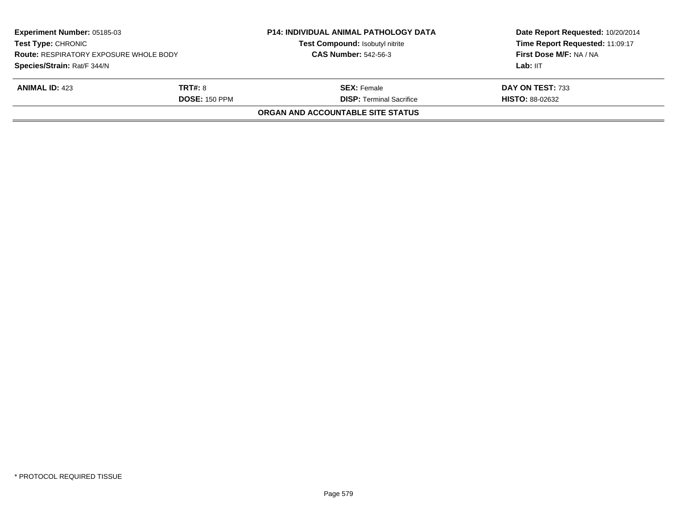| Experiment Number: 05185-03<br><b>Test Type: CHRONIC</b><br><b>Route: RESPIRATORY EXPOSURE WHOLE BODY</b> |                      | <b>P14: INDIVIDUAL ANIMAL PATHOLOGY DATA</b><br>Test Compound: Isobutyl nitrite | Date Report Requested: 10/20/2014<br>Time Report Requested: 11:09:17<br>First Dose M/F: NA / NA |
|-----------------------------------------------------------------------------------------------------------|----------------------|---------------------------------------------------------------------------------|-------------------------------------------------------------------------------------------------|
|                                                                                                           |                      | <b>CAS Number: 542-56-3</b>                                                     |                                                                                                 |
| Species/Strain: Rat/F 344/N                                                                               |                      |                                                                                 | Lab: IIT                                                                                        |
| <b>ANIMAL ID: 423</b>                                                                                     | <b>TRT#: 8</b>       | <b>SEX:</b> Female                                                              | DAY ON TEST: 733                                                                                |
|                                                                                                           | <b>DOSE: 150 PPM</b> | <b>DISP: Terminal Sacrifice</b>                                                 | <b>HISTO: 88-02632</b>                                                                          |
|                                                                                                           |                      | ORGAN AND ACCOUNTABLE SITE STATUS                                               |                                                                                                 |
|                                                                                                           |                      |                                                                                 |                                                                                                 |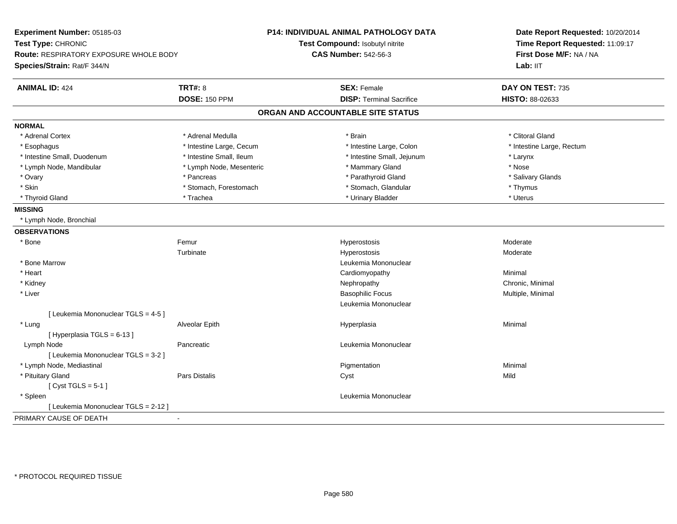| Experiment Number: 05185-03<br>Test Type: CHRONIC |                          | P14: INDIVIDUAL ANIMAL PATHOLOGY DATA | Date Report Requested: 10/20/2014<br>Time Report Requested: 11:09:17 |  |
|---------------------------------------------------|--------------------------|---------------------------------------|----------------------------------------------------------------------|--|
|                                                   |                          | Test Compound: Isobutyl nitrite       |                                                                      |  |
| Route: RESPIRATORY EXPOSURE WHOLE BODY            |                          | <b>CAS Number: 542-56-3</b>           | First Dose M/F: NA / NA                                              |  |
| Species/Strain: Rat/F 344/N                       |                          |                                       | Lab: IIT                                                             |  |
| <b>ANIMAL ID: 424</b>                             | <b>TRT#: 8</b>           | <b>SEX: Female</b>                    | DAY ON TEST: 735                                                     |  |
|                                                   | <b>DOSE: 150 PPM</b>     | <b>DISP: Terminal Sacrifice</b>       | HISTO: 88-02633                                                      |  |
|                                                   |                          | ORGAN AND ACCOUNTABLE SITE STATUS     |                                                                      |  |
| <b>NORMAL</b>                                     |                          |                                       |                                                                      |  |
| * Adrenal Cortex                                  | * Adrenal Medulla        | * Brain                               | * Clitoral Gland                                                     |  |
| * Esophagus                                       | * Intestine Large, Cecum | * Intestine Large, Colon              | * Intestine Large, Rectum                                            |  |
| * Intestine Small, Duodenum                       | * Intestine Small, Ileum | * Intestine Small, Jejunum            | * Larynx                                                             |  |
| * Lymph Node, Mandibular                          | * Lymph Node, Mesenteric | * Mammary Gland                       | * Nose                                                               |  |
| * Ovary                                           | * Pancreas               | * Parathyroid Gland                   | * Salivary Glands                                                    |  |
| * Skin                                            | * Stomach, Forestomach   | * Stomach, Glandular                  | * Thymus                                                             |  |
| * Thyroid Gland                                   | * Trachea                | * Urinary Bladder                     | * Uterus                                                             |  |
| <b>MISSING</b>                                    |                          |                                       |                                                                      |  |
| * Lymph Node, Bronchial                           |                          |                                       |                                                                      |  |
| <b>OBSERVATIONS</b>                               |                          |                                       |                                                                      |  |
| * Bone                                            | Femur                    | Hyperostosis                          | Moderate                                                             |  |
|                                                   | Turbinate                | Hyperostosis                          | Moderate                                                             |  |
| * Bone Marrow                                     |                          | Leukemia Mononuclear                  |                                                                      |  |
| * Heart                                           |                          | Cardiomyopathy                        | Minimal                                                              |  |
| * Kidney                                          |                          | Nephropathy                           | Chronic, Minimal                                                     |  |
| * Liver                                           |                          | <b>Basophilic Focus</b>               | Multiple, Minimal                                                    |  |
|                                                   |                          | Leukemia Mononuclear                  |                                                                      |  |
| [ Leukemia Mononuclear TGLS = 4-5 ]               |                          |                                       |                                                                      |  |
| * Lung                                            | Alveolar Epith           | Hyperplasia                           | Minimal                                                              |  |
| [Hyperplasia TGLS = 6-13]                         |                          |                                       |                                                                      |  |
| Lymph Node                                        | Pancreatic               | Leukemia Mononuclear                  |                                                                      |  |
| [ Leukemia Mononuclear TGLS = 3-2 ]               |                          |                                       |                                                                      |  |
| * Lymph Node, Mediastinal                         |                          | Pigmentation                          | Minimal                                                              |  |
| * Pituitary Gland                                 | Pars Distalis            | Cyst                                  | Mild                                                                 |  |
| [Cyst TGLS = $5-1$ ]                              |                          |                                       |                                                                      |  |
| * Spleen                                          |                          | Leukemia Mononuclear                  |                                                                      |  |
| [ Leukemia Mononuclear TGLS = 2-12 ]              |                          |                                       |                                                                      |  |
| PRIMARY CAUSE OF DEATH                            | $\ddot{\phantom{a}}$     |                                       |                                                                      |  |
|                                                   |                          |                                       |                                                                      |  |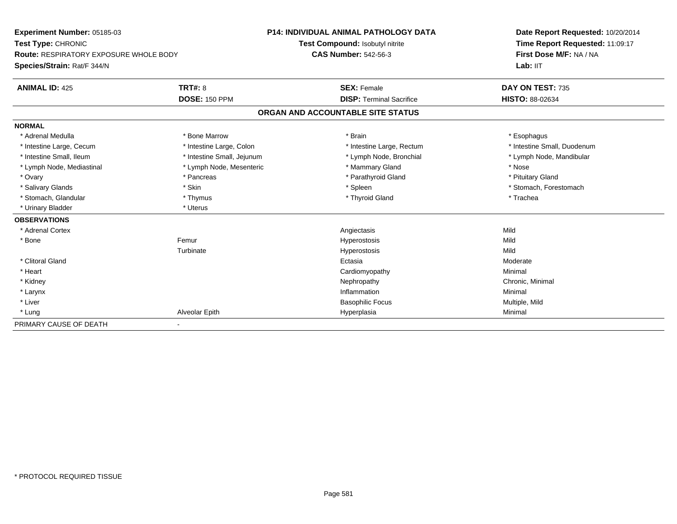| Experiment Number: 05185-03<br>Test Type: CHRONIC<br>Route: RESPIRATORY EXPOSURE WHOLE BODY |                            | <b>P14: INDIVIDUAL ANIMAL PATHOLOGY DATA</b> |                                   | Date Report Requested: 10/20/2014 |  |
|---------------------------------------------------------------------------------------------|----------------------------|----------------------------------------------|-----------------------------------|-----------------------------------|--|
|                                                                                             |                            |                                              | Test Compound: Isobutyl nitrite   | Time Report Requested: 11:09:17   |  |
|                                                                                             |                            | <b>CAS Number: 542-56-3</b>                  |                                   | First Dose M/F: NA / NA           |  |
| Species/Strain: Rat/F 344/N                                                                 |                            |                                              |                                   | Lab: IIT                          |  |
| <b>ANIMAL ID: 425</b>                                                                       | <b>TRT#: 8</b>             |                                              | <b>SEX: Female</b>                | DAY ON TEST: 735                  |  |
|                                                                                             | <b>DOSE: 150 PPM</b>       |                                              | <b>DISP: Terminal Sacrifice</b>   | <b>HISTO: 88-02634</b>            |  |
|                                                                                             |                            |                                              | ORGAN AND ACCOUNTABLE SITE STATUS |                                   |  |
| <b>NORMAL</b>                                                                               |                            |                                              |                                   |                                   |  |
| * Adrenal Medulla                                                                           | * Bone Marrow              |                                              | * Brain                           | * Esophagus                       |  |
| * Intestine Large, Cecum                                                                    | * Intestine Large, Colon   |                                              | * Intestine Large, Rectum         | * Intestine Small, Duodenum       |  |
| * Intestine Small, Ileum                                                                    | * Intestine Small, Jejunum |                                              | * Lymph Node, Bronchial           | * Lymph Node, Mandibular          |  |
| * Lymph Node, Mediastinal                                                                   | * Lymph Node, Mesenteric   |                                              | * Mammary Gland                   | * Nose                            |  |
| * Ovary                                                                                     | * Pancreas                 |                                              | * Parathyroid Gland               | * Pituitary Gland                 |  |
| * Salivary Glands                                                                           | * Skin                     |                                              | * Spleen                          | * Stomach, Forestomach            |  |
| * Stomach, Glandular                                                                        | * Thymus                   |                                              | * Thyroid Gland                   | * Trachea                         |  |
| * Urinary Bladder                                                                           | * Uterus                   |                                              |                                   |                                   |  |
| <b>OBSERVATIONS</b>                                                                         |                            |                                              |                                   |                                   |  |
| * Adrenal Cortex                                                                            |                            |                                              | Angiectasis                       | Mild                              |  |
| * Bone                                                                                      | Femur                      |                                              | Hyperostosis                      | Mild                              |  |
|                                                                                             | Turbinate                  |                                              | Hyperostosis                      | Mild                              |  |
| * Clitoral Gland                                                                            |                            |                                              | Ectasia                           | Moderate                          |  |
| * Heart                                                                                     |                            |                                              | Cardiomyopathy                    | Minimal                           |  |
| * Kidney                                                                                    |                            |                                              | Nephropathy                       | Chronic, Minimal                  |  |
| * Larynx                                                                                    |                            |                                              | Inflammation                      | Minimal                           |  |
| * Liver                                                                                     |                            |                                              | <b>Basophilic Focus</b>           | Multiple, Mild                    |  |
| * Lung                                                                                      | Alveolar Epith             |                                              | Hyperplasia                       | Minimal                           |  |
| PRIMARY CAUSE OF DEATH                                                                      |                            |                                              |                                   |                                   |  |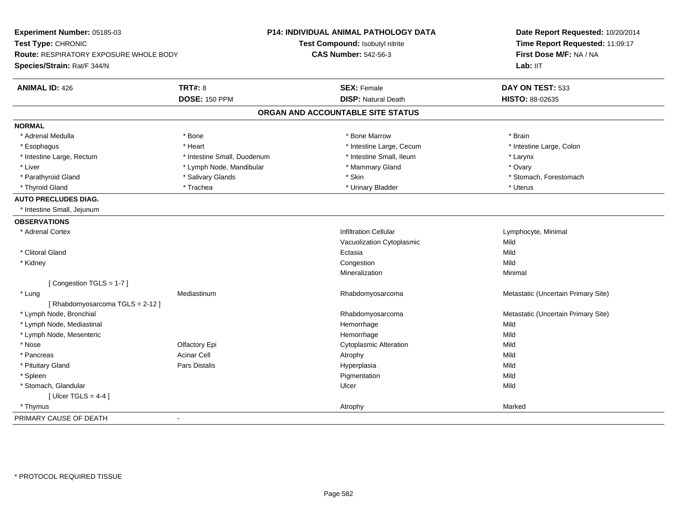| Experiment Number: 05185-03<br>Test Type: CHRONIC |                             | P14: INDIVIDUAL ANIMAL PATHOLOGY DATA<br>Test Compound: Isobutyl nitrite | Date Report Requested: 10/20/2014<br>Time Report Requested: 11:09:17<br>First Dose M/F: NA / NA |
|---------------------------------------------------|-----------------------------|--------------------------------------------------------------------------|-------------------------------------------------------------------------------------------------|
| Route: RESPIRATORY EXPOSURE WHOLE BODY            |                             | <b>CAS Number: 542-56-3</b>                                              |                                                                                                 |
| Species/Strain: Rat/F 344/N                       |                             |                                                                          | Lab: IIT                                                                                        |
| <b>ANIMAL ID: 426</b>                             | <b>TRT#: 8</b>              | <b>SEX: Female</b>                                                       | DAY ON TEST: 533                                                                                |
|                                                   | <b>DOSE: 150 PPM</b>        | <b>DISP: Natural Death</b>                                               | HISTO: 88-02635                                                                                 |
|                                                   |                             | ORGAN AND ACCOUNTABLE SITE STATUS                                        |                                                                                                 |
| <b>NORMAL</b>                                     |                             |                                                                          |                                                                                                 |
| * Adrenal Medulla                                 | * Bone                      | * Bone Marrow                                                            | * Brain                                                                                         |
| * Esophagus                                       | * Heart                     | * Intestine Large, Cecum                                                 | * Intestine Large, Colon                                                                        |
| * Intestine Large, Rectum                         | * Intestine Small, Duodenum | * Intestine Small, Ileum                                                 | * Larynx                                                                                        |
| * Liver                                           | * Lymph Node, Mandibular    | * Mammary Gland                                                          | * Ovary                                                                                         |
| * Parathyroid Gland                               | * Salivary Glands           | * Skin                                                                   | * Stomach, Forestomach                                                                          |
| * Thyroid Gland                                   | * Trachea                   | * Urinary Bladder                                                        | * Uterus                                                                                        |
| <b>AUTO PRECLUDES DIAG.</b>                       |                             |                                                                          |                                                                                                 |
| * Intestine Small, Jejunum                        |                             |                                                                          |                                                                                                 |
| <b>OBSERVATIONS</b>                               |                             |                                                                          |                                                                                                 |
| * Adrenal Cortex                                  |                             | <b>Infiltration Cellular</b>                                             | Lymphocyte, Minimal                                                                             |
|                                                   |                             | Vacuolization Cytoplasmic                                                | Mild                                                                                            |
| * Clitoral Gland                                  |                             | Ectasia                                                                  | Mild                                                                                            |
| * Kidney                                          |                             | Congestion                                                               | Mild                                                                                            |
|                                                   |                             | Mineralization                                                           | Minimal                                                                                         |
| [Congestion TGLS = 1-7]                           |                             |                                                                          |                                                                                                 |
| * Lung                                            | Mediastinum                 | Rhabdomyosarcoma                                                         | Metastatic (Uncertain Primary Site)                                                             |
| [Rhabdomyosarcoma TGLS = 2-12]                    |                             |                                                                          |                                                                                                 |
| * Lymph Node, Bronchial                           |                             | Rhabdomyosarcoma                                                         | Metastatic (Uncertain Primary Site)                                                             |
| * Lymph Node, Mediastinal                         |                             | Hemorrhage                                                               | Mild                                                                                            |
| * Lymph Node, Mesenteric                          |                             | Hemorrhage                                                               | Mild                                                                                            |
| * Nose                                            | Olfactory Epi               | <b>Cytoplasmic Alteration</b>                                            | Mild                                                                                            |
| * Pancreas                                        | <b>Acinar Cell</b>          | Atrophy                                                                  | Mild                                                                                            |
| * Pituitary Gland                                 | Pars Distalis               | Hyperplasia                                                              | Mild                                                                                            |
| * Spleen                                          |                             | Pigmentation                                                             | Mild                                                                                            |
| * Stomach, Glandular                              |                             | Ulcer                                                                    | Mild                                                                                            |
| [ Ulcer TGLS = $4-4$ ]                            |                             |                                                                          |                                                                                                 |
| * Thymus                                          |                             | Atrophy                                                                  | Marked                                                                                          |
| PRIMARY CAUSE OF DEATH                            | $\blacksquare$              |                                                                          |                                                                                                 |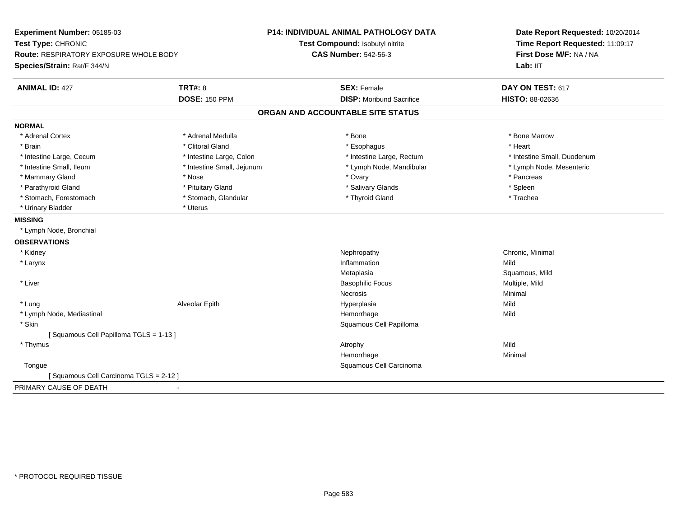| Experiment Number: 05185-03            |                            | P14: INDIVIDUAL ANIMAL PATHOLOGY DATA | Date Report Requested: 10/20/2014   |  |
|----------------------------------------|----------------------------|---------------------------------------|-------------------------------------|--|
| Test Type: CHRONIC                     |                            | Test Compound: Isobutyl nitrite       | Time Report Requested: 11:09:17     |  |
| Route: RESPIRATORY EXPOSURE WHOLE BODY |                            | <b>CAS Number: 542-56-3</b>           | First Dose M/F: NA / NA<br>Lab: IIT |  |
| Species/Strain: Rat/F 344/N            |                            |                                       |                                     |  |
| <b>ANIMAL ID: 427</b>                  | <b>TRT#: 8</b>             | <b>SEX: Female</b>                    | DAY ON TEST: 617                    |  |
|                                        | <b>DOSE: 150 PPM</b>       | <b>DISP:</b> Moribund Sacrifice       | HISTO: 88-02636                     |  |
|                                        |                            | ORGAN AND ACCOUNTABLE SITE STATUS     |                                     |  |
| <b>NORMAL</b>                          |                            |                                       |                                     |  |
| * Adrenal Cortex                       | * Adrenal Medulla          | * Bone                                | * Bone Marrow                       |  |
| * Brain                                | * Clitoral Gland           | * Esophagus                           | * Heart                             |  |
| * Intestine Large, Cecum               | * Intestine Large, Colon   | * Intestine Large, Rectum             | * Intestine Small, Duodenum         |  |
| * Intestine Small, Ileum               | * Intestine Small, Jejunum | * Lymph Node, Mandibular              | * Lymph Node, Mesenteric            |  |
| * Mammary Gland                        | * Nose                     | * Ovary                               | * Pancreas                          |  |
| * Parathyroid Gland                    | * Pituitary Gland          | * Salivary Glands                     | * Spleen                            |  |
| * Stomach, Forestomach                 | * Stomach, Glandular       | * Thyroid Gland                       | * Trachea                           |  |
| * Urinary Bladder                      | * Uterus                   |                                       |                                     |  |
| <b>MISSING</b>                         |                            |                                       |                                     |  |
| * Lymph Node, Bronchial                |                            |                                       |                                     |  |
| <b>OBSERVATIONS</b>                    |                            |                                       |                                     |  |
| * Kidney                               |                            | Nephropathy                           | Chronic, Minimal                    |  |
| * Larynx                               |                            | Inflammation                          | Mild                                |  |
|                                        |                            | Metaplasia                            | Squamous, Mild                      |  |
| * Liver                                |                            | <b>Basophilic Focus</b>               | Multiple, Mild                      |  |
|                                        |                            | <b>Necrosis</b>                       | Minimal                             |  |
| * Lung                                 | Alveolar Epith             | Hyperplasia                           | Mild                                |  |
| * Lymph Node, Mediastinal              |                            | Hemorrhage                            | Mild                                |  |
| * Skin                                 |                            | Squamous Cell Papilloma               |                                     |  |
| [Squamous Cell Papilloma TGLS = 1-13]  |                            |                                       |                                     |  |
| * Thymus                               |                            | Atrophy                               | Mild                                |  |
|                                        |                            | Hemorrhage                            | Minimal                             |  |
| Tongue                                 |                            | Squamous Cell Carcinoma               |                                     |  |
| [Squamous Cell Carcinoma TGLS = 2-12]  |                            |                                       |                                     |  |
| PRIMARY CAUSE OF DEATH                 |                            |                                       |                                     |  |
|                                        |                            |                                       |                                     |  |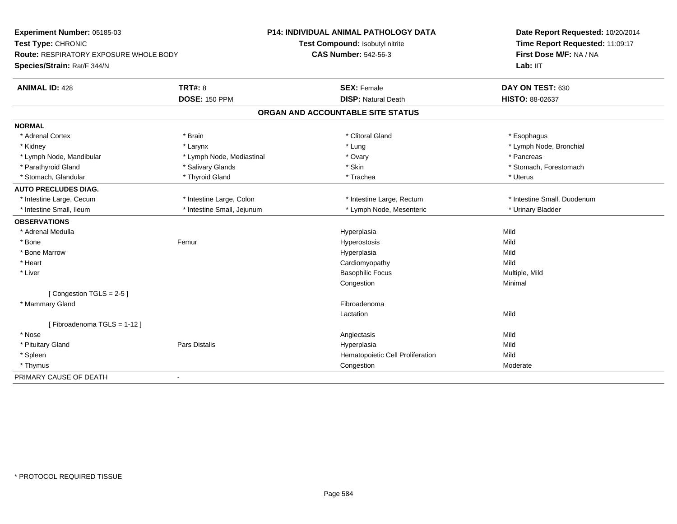| Experiment Number: 05185-03                   |                            | <b>P14: INDIVIDUAL ANIMAL PATHOLOGY DATA</b> | Date Report Requested: 10/20/2014 |  |
|-----------------------------------------------|----------------------------|----------------------------------------------|-----------------------------------|--|
| Test Type: CHRONIC                            |                            | Test Compound: Isobutyl nitrite              | Time Report Requested: 11:09:17   |  |
| <b>Route: RESPIRATORY EXPOSURE WHOLE BODY</b> |                            | <b>CAS Number: 542-56-3</b>                  | First Dose M/F: NA / NA           |  |
| Species/Strain: Rat/F 344/N                   |                            |                                              | Lab: IIT                          |  |
| <b>ANIMAL ID: 428</b>                         | <b>TRT#: 8</b>             | <b>SEX: Female</b>                           | DAY ON TEST: 630                  |  |
|                                               | <b>DOSE: 150 PPM</b>       | <b>DISP: Natural Death</b>                   | <b>HISTO: 88-02637</b>            |  |
|                                               |                            | ORGAN AND ACCOUNTABLE SITE STATUS            |                                   |  |
| <b>NORMAL</b>                                 |                            |                                              |                                   |  |
| * Adrenal Cortex                              | * Brain                    | * Clitoral Gland                             | * Esophagus                       |  |
| * Kidney                                      | * Larynx                   | * Lung                                       | * Lymph Node, Bronchial           |  |
| * Lymph Node, Mandibular                      | * Lymph Node, Mediastinal  | * Ovary                                      | * Pancreas                        |  |
| * Parathyroid Gland                           | * Salivary Glands          | * Skin                                       | * Stomach, Forestomach            |  |
| * Stomach, Glandular                          | * Thyroid Gland            | * Trachea                                    | * Uterus                          |  |
| <b>AUTO PRECLUDES DIAG.</b>                   |                            |                                              |                                   |  |
| * Intestine Large, Cecum                      | * Intestine Large, Colon   | * Intestine Large, Rectum                    | * Intestine Small, Duodenum       |  |
| * Intestine Small, Ileum                      | * Intestine Small, Jejunum | * Lymph Node, Mesenteric                     | * Urinary Bladder                 |  |
| <b>OBSERVATIONS</b>                           |                            |                                              |                                   |  |
| * Adrenal Medulla                             |                            | Hyperplasia                                  | Mild                              |  |
| * Bone                                        | Femur                      | Hyperostosis                                 | Mild                              |  |
| * Bone Marrow                                 |                            | Hyperplasia                                  | Mild                              |  |
| * Heart                                       |                            | Cardiomyopathy                               | Mild                              |  |
| * Liver                                       |                            | <b>Basophilic Focus</b>                      | Multiple, Mild                    |  |
|                                               |                            | Congestion                                   | Minimal                           |  |
| [Congestion TGLS = 2-5]                       |                            |                                              |                                   |  |
| * Mammary Gland                               |                            | Fibroadenoma                                 |                                   |  |
|                                               |                            | Lactation                                    | Mild                              |  |
| [Fibroadenoma TGLS = 1-12]                    |                            |                                              |                                   |  |
| * Nose                                        |                            | Angiectasis                                  | Mild                              |  |
| * Pituitary Gland                             | <b>Pars Distalis</b>       | Hyperplasia                                  | Mild                              |  |
| * Spleen                                      |                            | Hematopoietic Cell Proliferation             | Mild                              |  |
| * Thymus                                      |                            | Congestion                                   | Moderate                          |  |
| PRIMARY CAUSE OF DEATH                        |                            |                                              |                                   |  |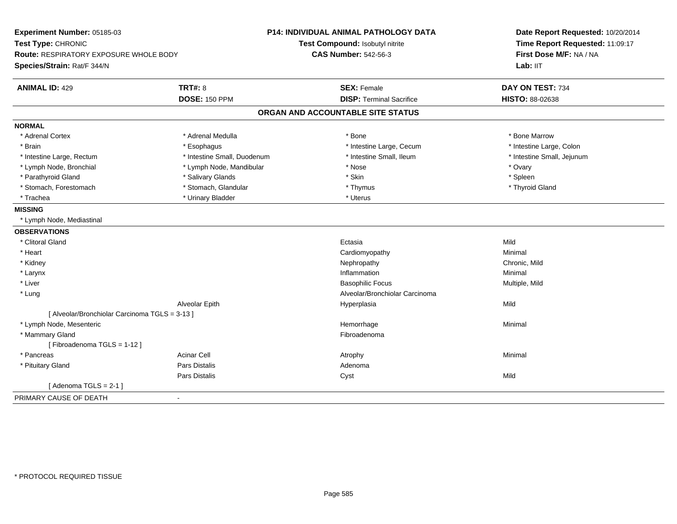| Experiment Number: 05185-03<br>Test Type: CHRONIC<br>Route: RESPIRATORY EXPOSURE WHOLE BODY |                             | <b>P14: INDIVIDUAL ANIMAL PATHOLOGY DATA</b><br>Test Compound: Isobutyl nitrite<br><b>CAS Number: 542-56-3</b> | Date Report Requested: 10/20/2014<br>Time Report Requested: 11:09:17<br>First Dose M/F: NA / NA |  |
|---------------------------------------------------------------------------------------------|-----------------------------|----------------------------------------------------------------------------------------------------------------|-------------------------------------------------------------------------------------------------|--|
| Species/Strain: Rat/F 344/N                                                                 |                             |                                                                                                                | Lab: IIT                                                                                        |  |
| <b>ANIMAL ID: 429</b>                                                                       | <b>TRT#: 8</b>              | <b>SEX: Female</b>                                                                                             | DAY ON TEST: 734                                                                                |  |
|                                                                                             | <b>DOSE: 150 PPM</b>        | <b>DISP: Terminal Sacrifice</b>                                                                                | HISTO: 88-02638                                                                                 |  |
|                                                                                             |                             | ORGAN AND ACCOUNTABLE SITE STATUS                                                                              |                                                                                                 |  |
| <b>NORMAL</b>                                                                               |                             |                                                                                                                |                                                                                                 |  |
| * Adrenal Cortex                                                                            | * Adrenal Medulla           | * Bone                                                                                                         | * Bone Marrow                                                                                   |  |
| * Brain                                                                                     | * Esophagus                 | * Intestine Large, Cecum                                                                                       | * Intestine Large, Colon                                                                        |  |
| * Intestine Large, Rectum                                                                   | * Intestine Small, Duodenum | * Intestine Small, Ileum                                                                                       | * Intestine Small, Jejunum                                                                      |  |
| * Lymph Node, Bronchial                                                                     | * Lymph Node, Mandibular    | * Nose                                                                                                         | * Ovary                                                                                         |  |
| * Parathyroid Gland                                                                         | * Salivary Glands           | * Skin                                                                                                         | * Spleen                                                                                        |  |
| * Stomach, Forestomach                                                                      | * Stomach, Glandular        | * Thymus                                                                                                       | * Thyroid Gland                                                                                 |  |
| * Trachea                                                                                   | * Urinary Bladder           | * Uterus                                                                                                       |                                                                                                 |  |
| <b>MISSING</b>                                                                              |                             |                                                                                                                |                                                                                                 |  |
| * Lymph Node, Mediastinal                                                                   |                             |                                                                                                                |                                                                                                 |  |
| <b>OBSERVATIONS</b>                                                                         |                             |                                                                                                                |                                                                                                 |  |
| * Clitoral Gland                                                                            |                             | Ectasia                                                                                                        | Mild                                                                                            |  |
| * Heart                                                                                     |                             | Cardiomyopathy                                                                                                 | Minimal                                                                                         |  |
| * Kidney                                                                                    |                             | Nephropathy                                                                                                    | Chronic, Mild                                                                                   |  |
| * Larynx                                                                                    |                             | Inflammation                                                                                                   | Minimal                                                                                         |  |
| * Liver                                                                                     |                             | <b>Basophilic Focus</b>                                                                                        | Multiple, Mild                                                                                  |  |
| * Lung                                                                                      |                             | Alveolar/Bronchiolar Carcinoma                                                                                 |                                                                                                 |  |
|                                                                                             | Alveolar Epith              | Hyperplasia                                                                                                    | Mild                                                                                            |  |
| [ Alveolar/Bronchiolar Carcinoma TGLS = 3-13 ]                                              |                             |                                                                                                                |                                                                                                 |  |
| * Lymph Node, Mesenteric                                                                    |                             | Hemorrhage                                                                                                     | Minimal                                                                                         |  |
| * Mammary Gland                                                                             |                             | Fibroadenoma                                                                                                   |                                                                                                 |  |
| [Fibroadenoma TGLS = 1-12]                                                                  |                             |                                                                                                                |                                                                                                 |  |
| * Pancreas                                                                                  | <b>Acinar Cell</b>          | Atrophy                                                                                                        | Minimal                                                                                         |  |
| * Pituitary Gland                                                                           | Pars Distalis               | Adenoma                                                                                                        |                                                                                                 |  |
|                                                                                             | Pars Distalis               | Cyst                                                                                                           | Mild                                                                                            |  |
| [Adenoma TGLS = $2-1$ ]                                                                     |                             |                                                                                                                |                                                                                                 |  |
| PRIMARY CAUSE OF DEATH<br>$\blacksquare$                                                    |                             |                                                                                                                |                                                                                                 |  |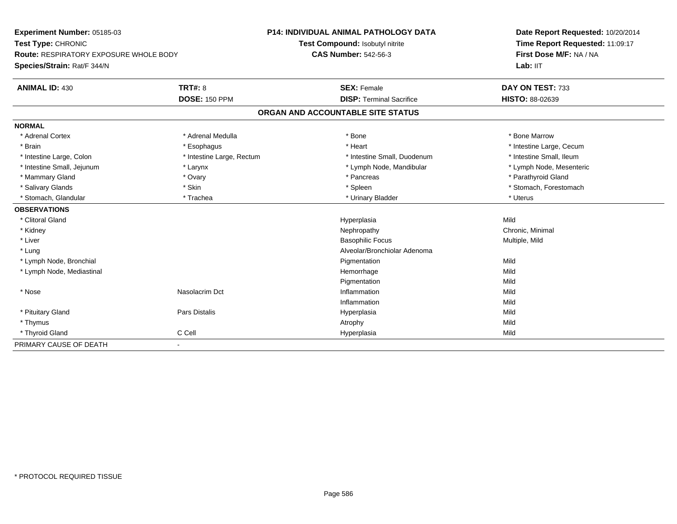| Experiment Number: 05185-03                   |                           | P14: INDIVIDUAL ANIMAL PATHOLOGY DATA | Date Report Requested: 10/20/2014 |  |
|-----------------------------------------------|---------------------------|---------------------------------------|-----------------------------------|--|
| Test Type: CHRONIC                            |                           | Test Compound: Isobutyl nitrite       | Time Report Requested: 11:09:17   |  |
| <b>Route: RESPIRATORY EXPOSURE WHOLE BODY</b> |                           | <b>CAS Number: 542-56-3</b>           | First Dose M/F: NA / NA           |  |
| Species/Strain: Rat/F 344/N                   |                           |                                       | Lab: IIT                          |  |
| <b>ANIMAL ID: 430</b>                         | <b>TRT#: 8</b>            | <b>SEX: Female</b>                    | DAY ON TEST: 733                  |  |
|                                               | <b>DOSE: 150 PPM</b>      | <b>DISP: Terminal Sacrifice</b>       | HISTO: 88-02639                   |  |
|                                               |                           | ORGAN AND ACCOUNTABLE SITE STATUS     |                                   |  |
| <b>NORMAL</b>                                 |                           |                                       |                                   |  |
| * Adrenal Cortex                              | * Adrenal Medulla         | * Bone                                | * Bone Marrow                     |  |
| * Brain                                       | * Esophagus               | * Heart                               | * Intestine Large, Cecum          |  |
| * Intestine Large, Colon                      | * Intestine Large, Rectum | * Intestine Small, Duodenum           | * Intestine Small, Ileum          |  |
| * Intestine Small, Jejunum                    | * Larynx                  | * Lymph Node, Mandibular              | * Lymph Node, Mesenteric          |  |
| * Mammary Gland                               | * Ovary                   | * Pancreas                            | * Parathyroid Gland               |  |
| * Salivary Glands                             | * Skin                    | * Spleen                              | * Stomach, Forestomach            |  |
| * Stomach, Glandular                          | * Trachea                 | * Urinary Bladder                     | * Uterus                          |  |
| <b>OBSERVATIONS</b>                           |                           |                                       |                                   |  |
| * Clitoral Gland                              |                           | Hyperplasia                           | Mild                              |  |
| * Kidney                                      |                           | Nephropathy                           | Chronic, Minimal                  |  |
| * Liver                                       |                           | <b>Basophilic Focus</b>               | Multiple, Mild                    |  |
| * Lung                                        |                           | Alveolar/Bronchiolar Adenoma          |                                   |  |
| * Lymph Node, Bronchial                       |                           | Pigmentation                          | Mild                              |  |
| * Lymph Node, Mediastinal                     |                           | Hemorrhage                            | Mild                              |  |
|                                               |                           | Pigmentation                          | Mild                              |  |
| * Nose                                        | Nasolacrim Dct            | Inflammation                          | Mild                              |  |
|                                               |                           | Inflammation                          | Mild                              |  |
| * Pituitary Gland                             | Pars Distalis             | Hyperplasia                           | Mild                              |  |
| * Thymus                                      |                           | Atrophy                               | Mild                              |  |
| * Thyroid Gland                               | C Cell                    | Hyperplasia                           | Mild                              |  |
| PRIMARY CAUSE OF DEATH                        | $\overline{\phantom{a}}$  |                                       |                                   |  |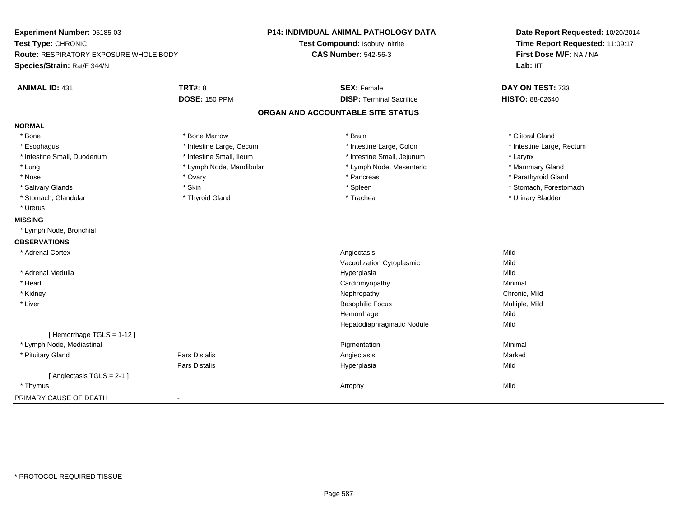| Experiment Number: 05185-03<br>Test Type: CHRONIC<br><b>Route: RESPIRATORY EXPOSURE WHOLE BODY</b><br>Species/Strain: Rat/F 344/N |                          | P14: INDIVIDUAL ANIMAL PATHOLOGY DATA<br>Test Compound: Isobutyl nitrite<br><b>CAS Number: 542-56-3</b> | Date Report Requested: 10/20/2014<br>Time Report Requested: 11:09:17<br>First Dose M/F: NA / NA<br>Lab: IIT |  |
|-----------------------------------------------------------------------------------------------------------------------------------|--------------------------|---------------------------------------------------------------------------------------------------------|-------------------------------------------------------------------------------------------------------------|--|
| <b>ANIMAL ID: 431</b>                                                                                                             | <b>TRT#: 8</b>           | <b>SEX: Female</b>                                                                                      | DAY ON TEST: 733                                                                                            |  |
|                                                                                                                                   | <b>DOSE: 150 PPM</b>     | <b>DISP: Terminal Sacrifice</b>                                                                         | HISTO: 88-02640                                                                                             |  |
|                                                                                                                                   |                          | ORGAN AND ACCOUNTABLE SITE STATUS                                                                       |                                                                                                             |  |
| <b>NORMAL</b>                                                                                                                     |                          |                                                                                                         |                                                                                                             |  |
| * Bone                                                                                                                            | * Bone Marrow            | * Brain                                                                                                 | * Clitoral Gland                                                                                            |  |
| * Esophagus                                                                                                                       | * Intestine Large, Cecum | * Intestine Large, Colon                                                                                | * Intestine Large, Rectum                                                                                   |  |
| * Intestine Small, Duodenum                                                                                                       | * Intestine Small, Ileum | * Intestine Small, Jejunum                                                                              | * Larynx                                                                                                    |  |
| * Lung                                                                                                                            | * Lymph Node, Mandibular | * Lymph Node, Mesenteric                                                                                | * Mammary Gland                                                                                             |  |
| * Nose                                                                                                                            | * Ovary                  | * Pancreas                                                                                              | * Parathyroid Gland                                                                                         |  |
| * Salivary Glands                                                                                                                 | * Skin                   | * Spleen                                                                                                | * Stomach, Forestomach                                                                                      |  |
| * Stomach, Glandular                                                                                                              | * Thyroid Gland          | * Trachea                                                                                               | * Urinary Bladder                                                                                           |  |
| * Uterus                                                                                                                          |                          |                                                                                                         |                                                                                                             |  |
| <b>MISSING</b>                                                                                                                    |                          |                                                                                                         |                                                                                                             |  |
| * Lymph Node, Bronchial                                                                                                           |                          |                                                                                                         |                                                                                                             |  |
| <b>OBSERVATIONS</b>                                                                                                               |                          |                                                                                                         |                                                                                                             |  |
| * Adrenal Cortex                                                                                                                  |                          | Angiectasis                                                                                             | Mild                                                                                                        |  |
|                                                                                                                                   |                          | Vacuolization Cytoplasmic                                                                               | Mild                                                                                                        |  |
| * Adrenal Medulla                                                                                                                 |                          | Hyperplasia                                                                                             | Mild                                                                                                        |  |
| * Heart                                                                                                                           |                          | Cardiomyopathy                                                                                          | Minimal                                                                                                     |  |
| * Kidney                                                                                                                          |                          | Nephropathy                                                                                             | Chronic, Mild                                                                                               |  |
| * Liver                                                                                                                           |                          | <b>Basophilic Focus</b>                                                                                 | Multiple, Mild                                                                                              |  |
|                                                                                                                                   |                          | Hemorrhage                                                                                              | Mild                                                                                                        |  |
|                                                                                                                                   |                          | Hepatodiaphragmatic Nodule                                                                              | Mild                                                                                                        |  |
| [Hemorrhage TGLS = 1-12]                                                                                                          |                          |                                                                                                         |                                                                                                             |  |
| * Lymph Node, Mediastinal                                                                                                         |                          | Pigmentation                                                                                            | Minimal                                                                                                     |  |
| * Pituitary Gland                                                                                                                 | <b>Pars Distalis</b>     | Angiectasis                                                                                             | Marked                                                                                                      |  |
|                                                                                                                                   | Pars Distalis            | Hyperplasia                                                                                             | Mild                                                                                                        |  |
| [Angiectasis TGLS = 2-1]                                                                                                          |                          |                                                                                                         |                                                                                                             |  |
| * Thymus                                                                                                                          |                          | Atrophy                                                                                                 | Mild                                                                                                        |  |
| PRIMARY CAUSE OF DEATH                                                                                                            | $\blacksquare$           |                                                                                                         |                                                                                                             |  |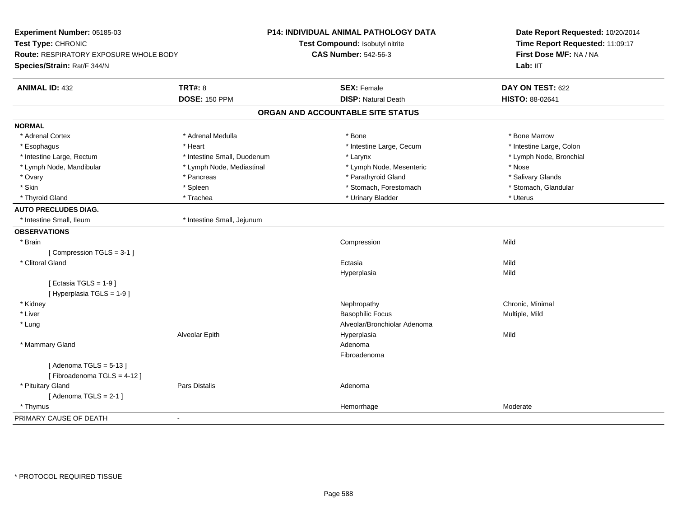| Experiment Number: 05185-03<br>Test Type: CHRONIC<br>Route: RESPIRATORY EXPOSURE WHOLE BODY<br>Species/Strain: Rat/F 344/N |                             | P14: INDIVIDUAL ANIMAL PATHOLOGY DATA<br>Test Compound: Isobutyl nitrite<br><b>CAS Number: 542-56-3</b> | Date Report Requested: 10/20/2014<br>Time Report Requested: 11:09:17<br>First Dose M/F: NA / NA<br>Lab: IIT |
|----------------------------------------------------------------------------------------------------------------------------|-----------------------------|---------------------------------------------------------------------------------------------------------|-------------------------------------------------------------------------------------------------------------|
| <b>ANIMAL ID: 432</b>                                                                                                      | <b>TRT#: 8</b>              | <b>SEX: Female</b>                                                                                      | DAY ON TEST: 622                                                                                            |
|                                                                                                                            | <b>DOSE: 150 PPM</b>        | <b>DISP: Natural Death</b>                                                                              | HISTO: 88-02641                                                                                             |
|                                                                                                                            |                             | ORGAN AND ACCOUNTABLE SITE STATUS                                                                       |                                                                                                             |
| <b>NORMAL</b>                                                                                                              |                             |                                                                                                         |                                                                                                             |
| * Adrenal Cortex                                                                                                           | * Adrenal Medulla           | * Bone                                                                                                  | * Bone Marrow                                                                                               |
| * Esophagus                                                                                                                | * Heart                     | * Intestine Large, Cecum                                                                                | * Intestine Large, Colon                                                                                    |
| * Intestine Large, Rectum                                                                                                  | * Intestine Small, Duodenum | * Larynx                                                                                                | * Lymph Node, Bronchial                                                                                     |
| * Lymph Node, Mandibular                                                                                                   | * Lymph Node, Mediastinal   | * Lymph Node, Mesenteric                                                                                | * Nose                                                                                                      |
| * Ovary                                                                                                                    | * Pancreas                  | * Parathyroid Gland                                                                                     | * Salivary Glands                                                                                           |
| * Skin                                                                                                                     | * Spleen                    | * Stomach, Forestomach                                                                                  | * Stomach, Glandular                                                                                        |
| * Thyroid Gland                                                                                                            | * Trachea                   | * Urinary Bladder                                                                                       | * Uterus                                                                                                    |
| <b>AUTO PRECLUDES DIAG.</b>                                                                                                |                             |                                                                                                         |                                                                                                             |
| * Intestine Small, Ileum                                                                                                   | * Intestine Small, Jejunum  |                                                                                                         |                                                                                                             |
| <b>OBSERVATIONS</b>                                                                                                        |                             |                                                                                                         |                                                                                                             |
| * Brain                                                                                                                    |                             | Compression                                                                                             | Mild                                                                                                        |
| [Compression TGLS = 3-1]                                                                                                   |                             |                                                                                                         |                                                                                                             |
| * Clitoral Gland                                                                                                           |                             | Ectasia                                                                                                 | Mild                                                                                                        |
|                                                                                                                            |                             | Hyperplasia                                                                                             | Mild                                                                                                        |
| [Ectasia TGLS = $1-9$ ]<br>[ Hyperplasia TGLS = 1-9]                                                                       |                             |                                                                                                         |                                                                                                             |
| * Kidney                                                                                                                   |                             | Nephropathy                                                                                             | Chronic, Minimal                                                                                            |
| * Liver                                                                                                                    |                             | <b>Basophilic Focus</b>                                                                                 | Multiple, Mild                                                                                              |
| * Lung                                                                                                                     |                             | Alveolar/Bronchiolar Adenoma                                                                            |                                                                                                             |
|                                                                                                                            | Alveolar Epith              | Hyperplasia                                                                                             | Mild                                                                                                        |
| * Mammary Gland                                                                                                            |                             | Adenoma                                                                                                 |                                                                                                             |
|                                                                                                                            |                             | Fibroadenoma                                                                                            |                                                                                                             |
| [Adenoma TGLS = $5-13$ ]<br>[Fibroadenoma TGLS = 4-12]                                                                     |                             |                                                                                                         |                                                                                                             |
| * Pituitary Gland                                                                                                          | Pars Distalis               | Adenoma                                                                                                 |                                                                                                             |
| [Adenoma TGLS = $2-1$ ]                                                                                                    |                             |                                                                                                         |                                                                                                             |
| * Thymus                                                                                                                   |                             | Hemorrhage                                                                                              | Moderate                                                                                                    |
| PRIMARY CAUSE OF DEATH                                                                                                     | $\blacksquare$              |                                                                                                         |                                                                                                             |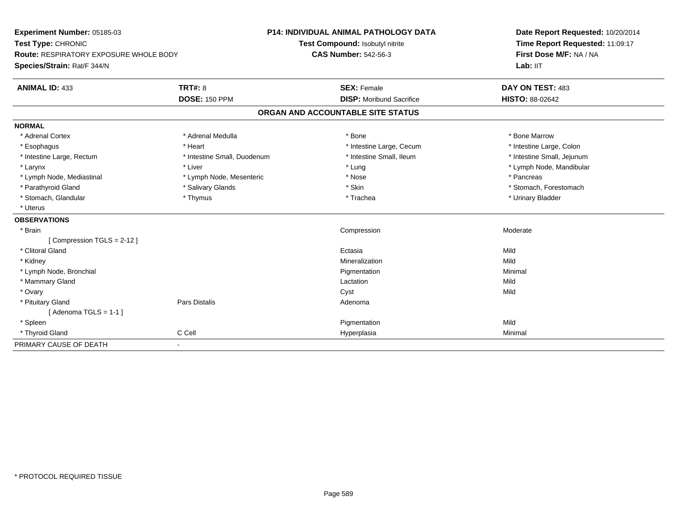| Experiment Number: 05185-03            |                             | <b>P14: INDIVIDUAL ANIMAL PATHOLOGY DATA</b> | Date Report Requested: 10/20/2014<br>Time Report Requested: 11:09:17<br>First Dose M/F: NA / NA |  |
|----------------------------------------|-----------------------------|----------------------------------------------|-------------------------------------------------------------------------------------------------|--|
| Test Type: CHRONIC                     |                             | Test Compound: Isobutyl nitrite              |                                                                                                 |  |
| Route: RESPIRATORY EXPOSURE WHOLE BODY |                             | <b>CAS Number: 542-56-3</b>                  |                                                                                                 |  |
| Species/Strain: Rat/F 344/N            |                             |                                              | Lab: IIT                                                                                        |  |
| <b>ANIMAL ID: 433</b>                  | TRT#: 8                     | <b>SEX: Female</b>                           | DAY ON TEST: 483                                                                                |  |
|                                        | <b>DOSE: 150 PPM</b>        | <b>DISP:</b> Moribund Sacrifice              | <b>HISTO: 88-02642</b>                                                                          |  |
|                                        |                             | ORGAN AND ACCOUNTABLE SITE STATUS            |                                                                                                 |  |
| <b>NORMAL</b>                          |                             |                                              |                                                                                                 |  |
| * Adrenal Cortex                       | * Adrenal Medulla           | * Bone                                       | * Bone Marrow                                                                                   |  |
| * Esophagus                            | * Heart                     | * Intestine Large, Cecum                     | * Intestine Large, Colon                                                                        |  |
| * Intestine Large, Rectum              | * Intestine Small, Duodenum | * Intestine Small, Ileum                     | * Intestine Small, Jejunum                                                                      |  |
| * Larynx                               | * Liver                     | * Lung                                       | * Lymph Node, Mandibular                                                                        |  |
| * Lymph Node, Mediastinal              | * Lymph Node, Mesenteric    | * Nose                                       | * Pancreas                                                                                      |  |
| * Parathyroid Gland                    | * Salivary Glands           | * Skin                                       | * Stomach, Forestomach                                                                          |  |
| * Stomach, Glandular                   | * Thymus                    | * Trachea                                    | * Urinary Bladder                                                                               |  |
| * Uterus                               |                             |                                              |                                                                                                 |  |
| <b>OBSERVATIONS</b>                    |                             |                                              |                                                                                                 |  |
| * Brain                                |                             | Compression                                  | Moderate                                                                                        |  |
| [Compression TGLS = $2-12$ ]           |                             |                                              |                                                                                                 |  |
| * Clitoral Gland                       |                             | Ectasia                                      | Mild                                                                                            |  |
| * Kidney                               |                             | Mineralization                               | Mild                                                                                            |  |
| * Lymph Node, Bronchial                |                             | Pigmentation                                 | Minimal                                                                                         |  |
| * Mammary Gland                        |                             | Lactation                                    | Mild                                                                                            |  |
| * Ovary                                |                             | Cyst                                         | Mild                                                                                            |  |
| * Pituitary Gland                      | Pars Distalis               | Adenoma                                      |                                                                                                 |  |
| [Adenoma TGLS = $1-1$ ]                |                             |                                              |                                                                                                 |  |
| * Spleen                               |                             | Pigmentation                                 | Mild                                                                                            |  |
| * Thyroid Gland                        | C Cell                      | Hyperplasia                                  | Minimal                                                                                         |  |
| PRIMARY CAUSE OF DEATH                 | $\blacksquare$              |                                              |                                                                                                 |  |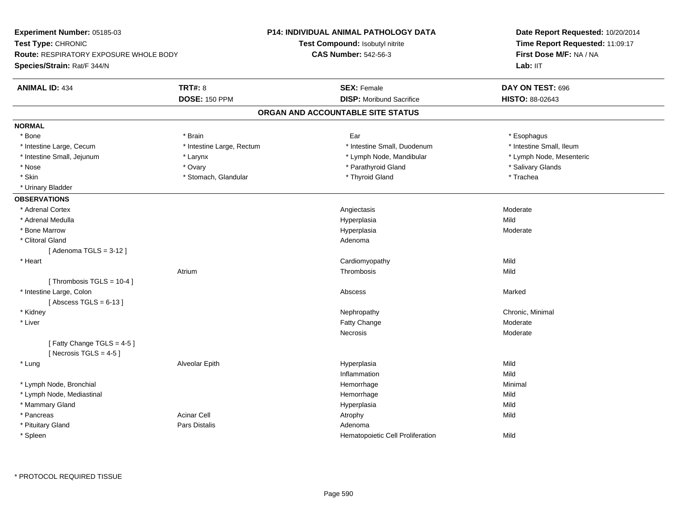| Experiment Number: 05185-03                   |                           | <b>P14: INDIVIDUAL ANIMAL PATHOLOGY DATA</b> | Date Report Requested: 10/20/2014<br>Time Report Requested: 11:09:17<br>First Dose M/F: NA / NA |  |
|-----------------------------------------------|---------------------------|----------------------------------------------|-------------------------------------------------------------------------------------------------|--|
| Test Type: CHRONIC                            |                           | Test Compound: Isobutyl nitrite              |                                                                                                 |  |
| <b>Route: RESPIRATORY EXPOSURE WHOLE BODY</b> |                           | <b>CAS Number: 542-56-3</b>                  |                                                                                                 |  |
| Species/Strain: Rat/F 344/N                   |                           |                                              | Lab: IIT                                                                                        |  |
| <b>ANIMAL ID: 434</b>                         | <b>TRT#: 8</b>            | <b>SEX: Female</b>                           | DAY ON TEST: 696                                                                                |  |
|                                               | <b>DOSE: 150 PPM</b>      | <b>DISP:</b> Moribund Sacrifice              | HISTO: 88-02643                                                                                 |  |
|                                               |                           | ORGAN AND ACCOUNTABLE SITE STATUS            |                                                                                                 |  |
| <b>NORMAL</b>                                 |                           |                                              |                                                                                                 |  |
| * Bone                                        | * Brain                   | Ear                                          | * Esophagus                                                                                     |  |
| * Intestine Large, Cecum                      | * Intestine Large, Rectum | * Intestine Small, Duodenum                  | * Intestine Small, Ileum                                                                        |  |
| * Intestine Small, Jejunum                    | * Larynx                  | * Lymph Node, Mandibular                     | * Lymph Node, Mesenteric                                                                        |  |
| * Nose                                        | * Ovary                   | * Parathyroid Gland                          | * Salivary Glands                                                                               |  |
| * Skin                                        | * Stomach, Glandular      | * Thyroid Gland                              | * Trachea                                                                                       |  |
| * Urinary Bladder                             |                           |                                              |                                                                                                 |  |
| <b>OBSERVATIONS</b>                           |                           |                                              |                                                                                                 |  |
| * Adrenal Cortex                              |                           | Angiectasis                                  | Moderate                                                                                        |  |
| * Adrenal Medulla                             |                           | Hyperplasia                                  | Mild                                                                                            |  |
| * Bone Marrow                                 |                           | Hyperplasia                                  | Moderate                                                                                        |  |
| * Clitoral Gland                              |                           | Adenoma                                      |                                                                                                 |  |
| [Adenoma TGLS = $3-12$ ]                      |                           |                                              |                                                                                                 |  |
| * Heart                                       |                           | Cardiomyopathy                               | Mild                                                                                            |  |
|                                               | Atrium                    | Thrombosis                                   | Mild                                                                                            |  |
| [Thrombosis TGLS = 10-4]                      |                           |                                              |                                                                                                 |  |
| * Intestine Large, Colon                      |                           | Abscess                                      | Marked                                                                                          |  |
| [Abscess TGLS = $6-13$ ]                      |                           |                                              |                                                                                                 |  |
| * Kidney                                      |                           | Nephropathy                                  | Chronic, Minimal                                                                                |  |
| * Liver                                       |                           | Fatty Change                                 | Moderate                                                                                        |  |
|                                               |                           | <b>Necrosis</b>                              | Moderate                                                                                        |  |
| [Fatty Change TGLS = 4-5]                     |                           |                                              |                                                                                                 |  |
| [Necrosis TGLS = $4-5$ ]                      |                           |                                              |                                                                                                 |  |
| * Lung                                        | Alveolar Epith            | Hyperplasia                                  | Mild                                                                                            |  |
|                                               |                           | Inflammation                                 | Mild                                                                                            |  |
| * Lymph Node, Bronchial                       |                           | Hemorrhage                                   | Minimal                                                                                         |  |
| * Lymph Node, Mediastinal                     |                           | Hemorrhage                                   | Mild                                                                                            |  |
| * Mammary Gland                               |                           | Hyperplasia                                  | Mild                                                                                            |  |
| * Pancreas                                    | <b>Acinar Cell</b>        | Atrophy                                      | Mild                                                                                            |  |
| * Pituitary Gland                             | <b>Pars Distalis</b>      | Adenoma                                      |                                                                                                 |  |
| * Spleen                                      |                           | Hematopoietic Cell Proliferation             | Mild                                                                                            |  |
|                                               |                           |                                              |                                                                                                 |  |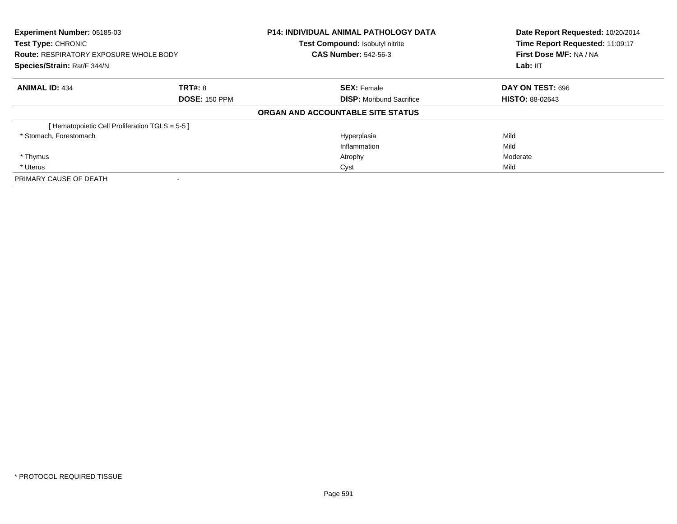| Experiment Number: 05185-03<br><b>Test Type: CHRONIC</b><br><b>Route: RESPIRATORY EXPOSURE WHOLE BODY</b><br>Species/Strain: Rat/F 344/N |                      | <b>P14: INDIVIDUAL ANIMAL PATHOLOGY DATA</b><br>Test Compound: Isobutyl nitrite | Date Report Requested: 10/20/2014<br>Time Report Requested: 11:09:17<br>First Dose M/F: NA / NA |
|------------------------------------------------------------------------------------------------------------------------------------------|----------------------|---------------------------------------------------------------------------------|-------------------------------------------------------------------------------------------------|
|                                                                                                                                          |                      | <b>CAS Number: 542-56-3</b>                                                     |                                                                                                 |
|                                                                                                                                          |                      |                                                                                 | Lab: IIT                                                                                        |
| <b>ANIMAL ID: 434</b>                                                                                                                    | TRT#: 8              | <b>SEX: Female</b>                                                              | DAY ON TEST: 696                                                                                |
|                                                                                                                                          | <b>DOSE: 150 PPM</b> | <b>DISP:</b> Moribund Sacrifice                                                 | <b>HISTO: 88-02643</b>                                                                          |
|                                                                                                                                          |                      | ORGAN AND ACCOUNTABLE SITE STATUS                                               |                                                                                                 |
| [Hematopoietic Cell Proliferation TGLS = 5-5 ]                                                                                           |                      |                                                                                 |                                                                                                 |
| * Stomach, Forestomach                                                                                                                   |                      | Hyperplasia                                                                     | Mild                                                                                            |
|                                                                                                                                          |                      | Inflammation                                                                    | Mild                                                                                            |
| * Thymus                                                                                                                                 |                      | Atrophy                                                                         | Moderate                                                                                        |
| * Uterus                                                                                                                                 |                      | Cyst                                                                            | Mild                                                                                            |
| PRIMARY CAUSE OF DEATH                                                                                                                   |                      |                                                                                 |                                                                                                 |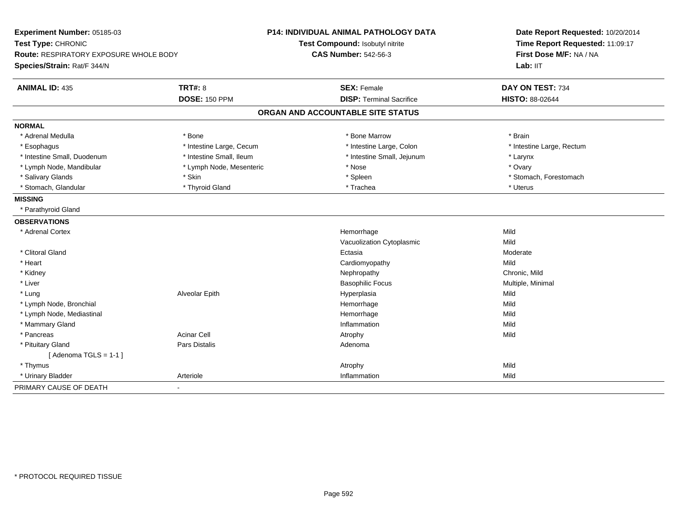| Experiment Number: 05185-03                   |                          | P14: INDIVIDUAL ANIMAL PATHOLOGY DATA | Date Report Requested: 10/20/2014<br>Time Report Requested: 11:09:17 |  |
|-----------------------------------------------|--------------------------|---------------------------------------|----------------------------------------------------------------------|--|
| Test Type: CHRONIC                            |                          | Test Compound: Isobutyl nitrite       |                                                                      |  |
| <b>Route: RESPIRATORY EXPOSURE WHOLE BODY</b> |                          | <b>CAS Number: 542-56-3</b>           | First Dose M/F: NA / NA                                              |  |
| Species/Strain: Rat/F 344/N                   |                          |                                       | Lab: IIT                                                             |  |
| <b>ANIMAL ID: 435</b>                         | <b>TRT#: 8</b>           | <b>SEX: Female</b>                    | DAY ON TEST: 734                                                     |  |
|                                               | <b>DOSE: 150 PPM</b>     | <b>DISP: Terminal Sacrifice</b>       | <b>HISTO: 88-02644</b>                                               |  |
|                                               |                          | ORGAN AND ACCOUNTABLE SITE STATUS     |                                                                      |  |
| <b>NORMAL</b>                                 |                          |                                       |                                                                      |  |
| * Adrenal Medulla                             | * Bone                   | * Bone Marrow                         | * Brain                                                              |  |
| * Esophagus                                   | * Intestine Large, Cecum | * Intestine Large, Colon              | * Intestine Large, Rectum                                            |  |
| * Intestine Small, Duodenum                   | * Intestine Small, Ileum | * Intestine Small, Jejunum            | * Larynx                                                             |  |
| * Lymph Node, Mandibular                      | * Lymph Node, Mesenteric | * Nose                                | * Ovary                                                              |  |
| * Salivary Glands                             | * Skin                   | * Spleen                              | * Stomach, Forestomach                                               |  |
| * Stomach, Glandular                          | * Thyroid Gland          | * Trachea                             | * Uterus                                                             |  |
| <b>MISSING</b>                                |                          |                                       |                                                                      |  |
| * Parathyroid Gland                           |                          |                                       |                                                                      |  |
| <b>OBSERVATIONS</b>                           |                          |                                       |                                                                      |  |
| * Adrenal Cortex                              |                          | Hemorrhage                            | Mild                                                                 |  |
|                                               |                          | Vacuolization Cytoplasmic             | Mild                                                                 |  |
| * Clitoral Gland                              |                          | Ectasia                               | Moderate                                                             |  |
| * Heart                                       |                          | Cardiomyopathy                        | Mild                                                                 |  |
| * Kidney                                      |                          | Nephropathy                           | Chronic, Mild                                                        |  |
| * Liver                                       |                          | <b>Basophilic Focus</b>               | Multiple, Minimal                                                    |  |
| * Lung                                        | Alveolar Epith           | Hyperplasia                           | Mild                                                                 |  |
| * Lymph Node, Bronchial                       |                          | Hemorrhage                            | Mild                                                                 |  |
| * Lymph Node, Mediastinal                     |                          | Hemorrhage                            | Mild                                                                 |  |
| * Mammary Gland                               |                          | Inflammation                          | Mild                                                                 |  |
| * Pancreas                                    | <b>Acinar Cell</b>       | Atrophy                               | Mild                                                                 |  |
| * Pituitary Gland                             | <b>Pars Distalis</b>     | Adenoma                               |                                                                      |  |
| [Adenoma TGLS = $1-1$ ]                       |                          |                                       |                                                                      |  |
| * Thymus                                      |                          | Atrophy                               | Mild                                                                 |  |
| * Urinary Bladder                             | Arteriole                | Inflammation                          | Mild                                                                 |  |
| PRIMARY CAUSE OF DEATH                        | $\overline{\phantom{0}}$ |                                       |                                                                      |  |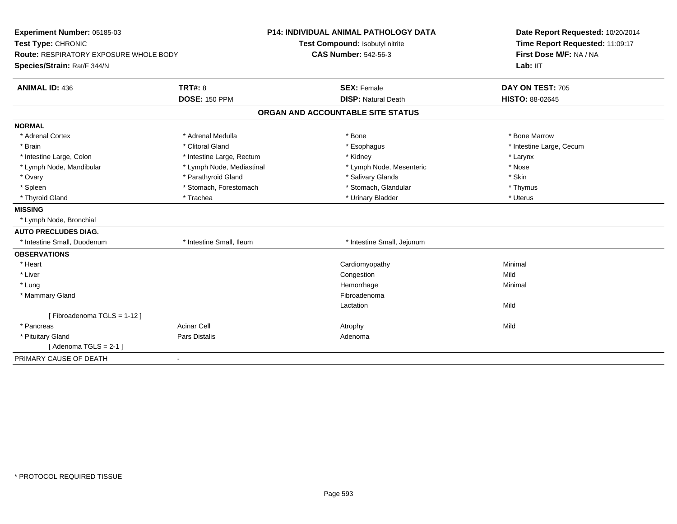| Experiment Number: 05185-03<br>Test Type: CHRONIC<br><b>Route: RESPIRATORY EXPOSURE WHOLE BODY</b> |                           | <b>P14: INDIVIDUAL ANIMAL PATHOLOGY DATA</b> | Date Report Requested: 10/20/2014<br>Time Report Requested: 11:09:17<br>First Dose M/F: NA / NA |  |
|----------------------------------------------------------------------------------------------------|---------------------------|----------------------------------------------|-------------------------------------------------------------------------------------------------|--|
|                                                                                                    |                           | Test Compound: Isobutyl nitrite              |                                                                                                 |  |
|                                                                                                    |                           | <b>CAS Number: 542-56-3</b>                  |                                                                                                 |  |
| Species/Strain: Rat/F 344/N                                                                        |                           |                                              | Lab: IIT                                                                                        |  |
| <b>ANIMAL ID: 436</b>                                                                              | <b>TRT#: 8</b>            | <b>SEX: Female</b>                           | DAY ON TEST: 705                                                                                |  |
|                                                                                                    | <b>DOSE: 150 PPM</b>      | <b>DISP: Natural Death</b>                   | HISTO: 88-02645                                                                                 |  |
|                                                                                                    |                           | ORGAN AND ACCOUNTABLE SITE STATUS            |                                                                                                 |  |
| <b>NORMAL</b>                                                                                      |                           |                                              |                                                                                                 |  |
| * Adrenal Cortex                                                                                   | * Adrenal Medulla         | * Bone                                       | * Bone Marrow                                                                                   |  |
| * Brain                                                                                            | * Clitoral Gland          | * Esophagus                                  | * Intestine Large, Cecum                                                                        |  |
| * Intestine Large, Colon                                                                           | * Intestine Large, Rectum | * Kidney                                     | * Larynx                                                                                        |  |
| * Lymph Node, Mandibular                                                                           | * Lymph Node, Mediastinal | * Lymph Node, Mesenteric                     | * Nose                                                                                          |  |
| * Ovary                                                                                            | * Parathyroid Gland       | * Salivary Glands                            | * Skin                                                                                          |  |
| * Spleen                                                                                           | * Stomach, Forestomach    | * Stomach, Glandular                         | * Thymus                                                                                        |  |
| * Thyroid Gland                                                                                    | * Trachea                 | * Urinary Bladder                            | * Uterus                                                                                        |  |
| <b>MISSING</b>                                                                                     |                           |                                              |                                                                                                 |  |
| * Lymph Node, Bronchial                                                                            |                           |                                              |                                                                                                 |  |
| <b>AUTO PRECLUDES DIAG.</b>                                                                        |                           |                                              |                                                                                                 |  |
| * Intestine Small, Duodenum                                                                        | * Intestine Small, Ileum  | * Intestine Small, Jejunum                   |                                                                                                 |  |
| <b>OBSERVATIONS</b>                                                                                |                           |                                              |                                                                                                 |  |
| * Heart                                                                                            |                           | Cardiomyopathy                               | Minimal                                                                                         |  |
| * Liver                                                                                            |                           | Congestion                                   | Mild                                                                                            |  |
| * Lung                                                                                             |                           | Hemorrhage                                   | Minimal                                                                                         |  |
| * Mammary Gland                                                                                    |                           | Fibroadenoma                                 |                                                                                                 |  |
|                                                                                                    |                           | Lactation                                    | Mild                                                                                            |  |
| [Fibroadenoma TGLS = 1-12]                                                                         |                           |                                              |                                                                                                 |  |
| * Pancreas                                                                                         | <b>Acinar Cell</b>        | Atrophy                                      | Mild                                                                                            |  |
| * Pituitary Gland                                                                                  | <b>Pars Distalis</b>      | Adenoma                                      |                                                                                                 |  |
| [Adenoma TGLS = $2-1$ ]                                                                            |                           |                                              |                                                                                                 |  |
| PRIMARY CAUSE OF DEATH<br>$\blacksquare$                                                           |                           |                                              |                                                                                                 |  |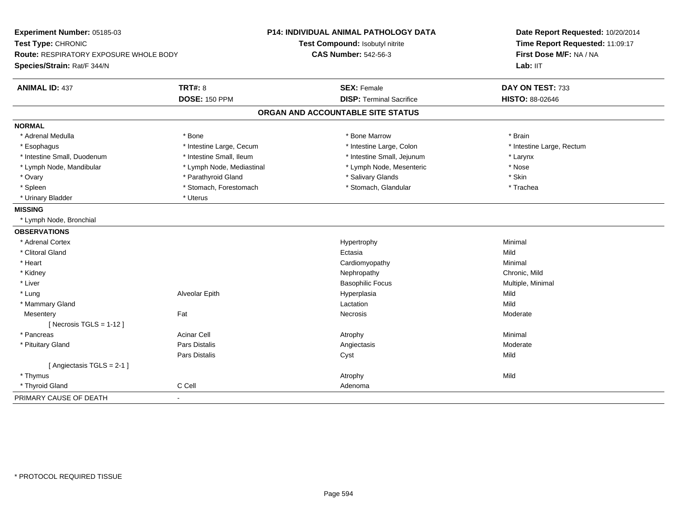| Experiment Number: 05185-03            |                           | P14: INDIVIDUAL ANIMAL PATHOLOGY DATA | Date Report Requested: 10/20/2014<br>Time Report Requested: 11:09:17 |  |
|----------------------------------------|---------------------------|---------------------------------------|----------------------------------------------------------------------|--|
| Test Type: CHRONIC                     |                           | Test Compound: Isobutyl nitrite       |                                                                      |  |
| Route: RESPIRATORY EXPOSURE WHOLE BODY |                           | <b>CAS Number: 542-56-3</b>           | First Dose M/F: NA / NA                                              |  |
| Species/Strain: Rat/F 344/N            |                           |                                       | Lab: IIT                                                             |  |
| <b>ANIMAL ID: 437</b>                  | <b>TRT#: 8</b>            | <b>SEX: Female</b>                    | DAY ON TEST: 733                                                     |  |
|                                        | <b>DOSE: 150 PPM</b>      | <b>DISP: Terminal Sacrifice</b>       | HISTO: 88-02646                                                      |  |
|                                        |                           | ORGAN AND ACCOUNTABLE SITE STATUS     |                                                                      |  |
| <b>NORMAL</b>                          |                           |                                       |                                                                      |  |
| * Adrenal Medulla                      | * Bone                    | * Bone Marrow                         | * Brain                                                              |  |
| * Esophagus                            | * Intestine Large, Cecum  | * Intestine Large, Colon              | * Intestine Large, Rectum                                            |  |
| * Intestine Small, Duodenum            | * Intestine Small, Ileum  | * Intestine Small, Jejunum            | * Larynx                                                             |  |
| * Lymph Node, Mandibular               | * Lymph Node, Mediastinal | * Lymph Node, Mesenteric              | * Nose                                                               |  |
| * Ovary                                | * Parathyroid Gland       | * Salivary Glands                     | * Skin                                                               |  |
| * Spleen                               | * Stomach, Forestomach    | * Stomach, Glandular                  | * Trachea                                                            |  |
| * Urinary Bladder                      | * Uterus                  |                                       |                                                                      |  |
| <b>MISSING</b>                         |                           |                                       |                                                                      |  |
| * Lymph Node, Bronchial                |                           |                                       |                                                                      |  |
| <b>OBSERVATIONS</b>                    |                           |                                       |                                                                      |  |
| * Adrenal Cortex                       |                           | Hypertrophy                           | Minimal                                                              |  |
| * Clitoral Gland                       |                           | Ectasia                               | Mild                                                                 |  |
| * Heart                                |                           | Cardiomyopathy                        | Minimal                                                              |  |
| * Kidney                               |                           | Nephropathy                           | Chronic, Mild                                                        |  |
| $*$ Liver                              |                           | <b>Basophilic Focus</b>               | Multiple, Minimal                                                    |  |
| * Lung                                 | Alveolar Epith            | Hyperplasia                           | Mild                                                                 |  |
| * Mammary Gland                        |                           | Lactation                             | Mild                                                                 |  |
| Mesentery                              | Fat                       | Necrosis                              | Moderate                                                             |  |
| [ Necrosis $TGLS = 1-12$ ]             |                           |                                       |                                                                      |  |
| * Pancreas                             | <b>Acinar Cell</b>        | Atrophy                               | Minimal                                                              |  |
| * Pituitary Gland                      | Pars Distalis             | Angiectasis                           | Moderate                                                             |  |
|                                        | Pars Distalis             | Cyst                                  | Mild                                                                 |  |
| [Angiectasis TGLS = 2-1]               |                           |                                       |                                                                      |  |
| * Thymus                               |                           | Atrophy                               | Mild                                                                 |  |
| * Thyroid Gland                        | C Cell                    | Adenoma                               |                                                                      |  |
| PRIMARY CAUSE OF DEATH                 | ä,                        |                                       |                                                                      |  |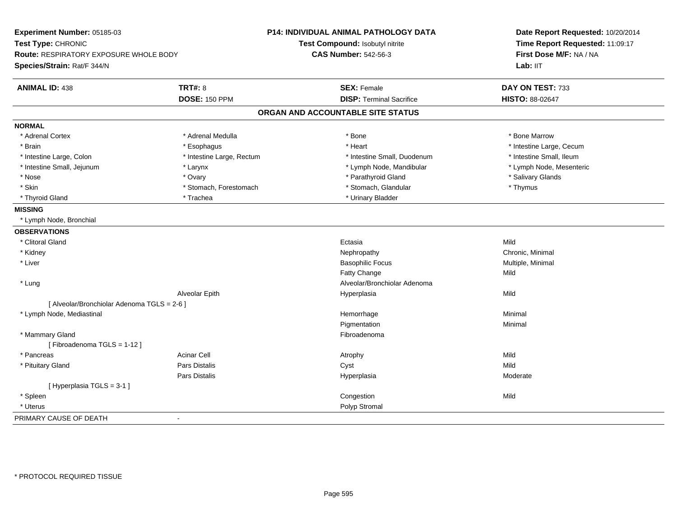| Experiment Number: 05185-03<br>Test Type: CHRONIC |                           | P14: INDIVIDUAL ANIMAL PATHOLOGY DATA<br>Test Compound: Isobutyl nitrite | Date Report Requested: 10/20/2014<br>Time Report Requested: 11:09:17 |
|---------------------------------------------------|---------------------------|--------------------------------------------------------------------------|----------------------------------------------------------------------|
| Route: RESPIRATORY EXPOSURE WHOLE BODY            |                           | <b>CAS Number: 542-56-3</b>                                              | First Dose M/F: NA / NA                                              |
| Species/Strain: Rat/F 344/N                       |                           |                                                                          | Lab: IIT                                                             |
| <b>ANIMAL ID: 438</b>                             | <b>TRT#: 8</b>            | <b>SEX: Female</b>                                                       | DAY ON TEST: 733                                                     |
|                                                   | <b>DOSE: 150 PPM</b>      | <b>DISP: Terminal Sacrifice</b>                                          | HISTO: 88-02647                                                      |
|                                                   |                           | ORGAN AND ACCOUNTABLE SITE STATUS                                        |                                                                      |
| <b>NORMAL</b>                                     |                           |                                                                          |                                                                      |
| * Adrenal Cortex                                  | * Adrenal Medulla         | * Bone                                                                   | * Bone Marrow                                                        |
| * Brain                                           | * Esophagus               | * Heart                                                                  | * Intestine Large, Cecum                                             |
| * Intestine Large, Colon                          | * Intestine Large, Rectum | * Intestine Small, Duodenum                                              | * Intestine Small, Ileum                                             |
| * Intestine Small, Jejunum                        | * Larynx                  | * Lymph Node, Mandibular                                                 | * Lymph Node, Mesenteric                                             |
| * Nose                                            | * Ovary                   | * Parathyroid Gland                                                      | * Salivary Glands                                                    |
| * Skin                                            | * Stomach, Forestomach    | * Stomach, Glandular                                                     | * Thymus                                                             |
| * Thyroid Gland                                   | * Trachea                 | * Urinary Bladder                                                        |                                                                      |
| <b>MISSING</b>                                    |                           |                                                                          |                                                                      |
| * Lymph Node, Bronchial                           |                           |                                                                          |                                                                      |
| <b>OBSERVATIONS</b>                               |                           |                                                                          |                                                                      |
| * Clitoral Gland                                  |                           | Ectasia                                                                  | Mild                                                                 |
| * Kidney                                          |                           | Nephropathy                                                              | Chronic, Minimal                                                     |
| * Liver                                           |                           | <b>Basophilic Focus</b>                                                  | Multiple, Minimal                                                    |
|                                                   |                           | <b>Fatty Change</b>                                                      | Mild                                                                 |
| * Lung                                            |                           | Alveolar/Bronchiolar Adenoma                                             |                                                                      |
|                                                   | Alveolar Epith            | Hyperplasia                                                              | Mild                                                                 |
| [ Alveolar/Bronchiolar Adenoma TGLS = 2-6 ]       |                           |                                                                          |                                                                      |
| * Lymph Node, Mediastinal                         |                           | Hemorrhage                                                               | Minimal                                                              |
|                                                   |                           | Pigmentation                                                             | Minimal                                                              |
| * Mammary Gland                                   |                           | Fibroadenoma                                                             |                                                                      |
| [Fibroadenoma TGLS = 1-12]                        |                           |                                                                          |                                                                      |
| * Pancreas                                        | <b>Acinar Cell</b>        | Atrophy                                                                  | Mild                                                                 |
| * Pituitary Gland                                 | Pars Distalis             | Cyst                                                                     | Mild                                                                 |
|                                                   | Pars Distalis             | Hyperplasia                                                              | Moderate                                                             |
| [ Hyperplasia TGLS = 3-1 ]                        |                           |                                                                          |                                                                      |
| * Spleen                                          |                           | Congestion                                                               | Mild                                                                 |
| * Uterus                                          |                           | Polyp Stromal                                                            |                                                                      |
| PRIMARY CAUSE OF DEATH                            | $\blacksquare$            |                                                                          |                                                                      |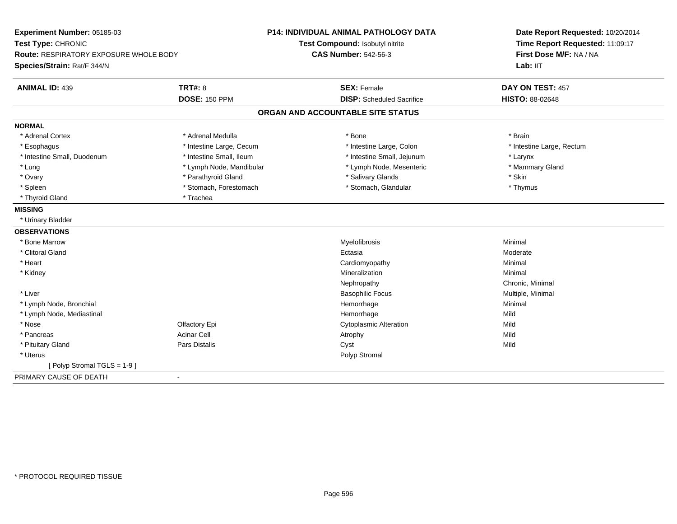| Experiment Number: 05185-03                   |                          | <b>P14: INDIVIDUAL ANIMAL PATHOLOGY DATA</b> | Date Report Requested: 10/20/2014<br>Time Report Requested: 11:09:17<br>First Dose M/F: NA / NA<br>Lab: IIT |
|-----------------------------------------------|--------------------------|----------------------------------------------|-------------------------------------------------------------------------------------------------------------|
| Test Type: CHRONIC                            |                          | Test Compound: Isobutyl nitrite              |                                                                                                             |
| <b>Route: RESPIRATORY EXPOSURE WHOLE BODY</b> |                          | <b>CAS Number: 542-56-3</b>                  |                                                                                                             |
| Species/Strain: Rat/F 344/N                   |                          |                                              |                                                                                                             |
| <b>ANIMAL ID: 439</b>                         | <b>TRT#: 8</b>           | <b>SEX: Female</b>                           | DAY ON TEST: 457                                                                                            |
|                                               | <b>DOSE: 150 PPM</b>     | <b>DISP:</b> Scheduled Sacrifice             | HISTO: 88-02648                                                                                             |
|                                               |                          | ORGAN AND ACCOUNTABLE SITE STATUS            |                                                                                                             |
| <b>NORMAL</b>                                 |                          |                                              |                                                                                                             |
| * Adrenal Cortex                              | * Adrenal Medulla        | * Bone                                       | * Brain                                                                                                     |
| * Esophagus                                   | * Intestine Large, Cecum | * Intestine Large, Colon                     | * Intestine Large, Rectum                                                                                   |
| * Intestine Small, Duodenum                   | * Intestine Small, Ileum | * Intestine Small, Jejunum                   | * Larynx                                                                                                    |
| * Lung                                        | * Lymph Node, Mandibular | * Lymph Node, Mesenteric                     | * Mammary Gland                                                                                             |
| * Ovary                                       | * Parathyroid Gland      | * Salivary Glands                            | * Skin                                                                                                      |
| * Spleen                                      | * Stomach, Forestomach   | * Stomach, Glandular                         | * Thymus                                                                                                    |
| * Thyroid Gland                               | * Trachea                |                                              |                                                                                                             |
| <b>MISSING</b>                                |                          |                                              |                                                                                                             |
| * Urinary Bladder                             |                          |                                              |                                                                                                             |
| <b>OBSERVATIONS</b>                           |                          |                                              |                                                                                                             |
| * Bone Marrow                                 |                          | Myelofibrosis                                | Minimal                                                                                                     |
| * Clitoral Gland                              |                          | Ectasia                                      | Moderate                                                                                                    |
| * Heart                                       |                          | Cardiomyopathy                               | Minimal                                                                                                     |
| * Kidney                                      |                          | Mineralization                               | Minimal                                                                                                     |
|                                               |                          | Nephropathy                                  | Chronic, Minimal                                                                                            |
| * Liver                                       |                          | <b>Basophilic Focus</b>                      | Multiple, Minimal                                                                                           |
| * Lymph Node, Bronchial                       |                          | Hemorrhage                                   | Minimal                                                                                                     |
| * Lymph Node, Mediastinal                     |                          | Hemorrhage                                   | Mild                                                                                                        |
| * Nose                                        | Olfactory Epi            | <b>Cytoplasmic Alteration</b>                | Mild                                                                                                        |
| * Pancreas                                    | <b>Acinar Cell</b>       | Atrophy                                      | Mild                                                                                                        |
| * Pituitary Gland                             | Pars Distalis            | Cyst                                         | Mild                                                                                                        |
| * Uterus                                      |                          | Polyp Stromal                                |                                                                                                             |
| [Polyp Stromal TGLS = 1-9]                    |                          |                                              |                                                                                                             |
| PRIMARY CAUSE OF DEATH                        | $\blacksquare$           |                                              |                                                                                                             |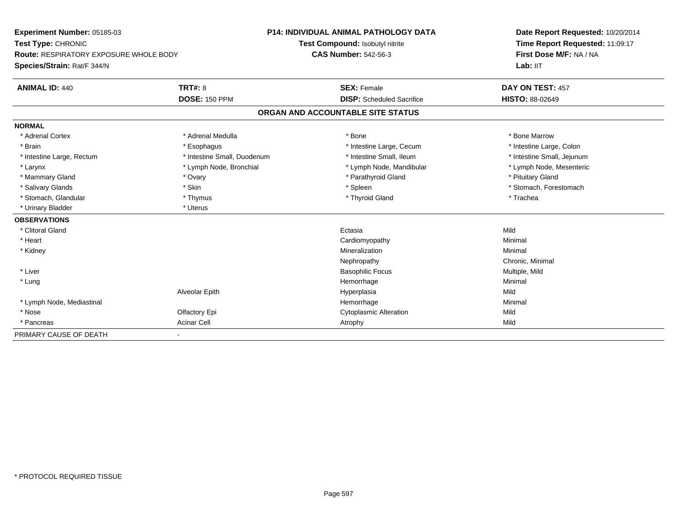| Experiment Number: 05185-03<br>Test Type: CHRONIC<br>Route: RESPIRATORY EXPOSURE WHOLE BODY |                             | <b>P14: INDIVIDUAL ANIMAL PATHOLOGY DATA</b> | Date Report Requested: 10/20/2014<br>Time Report Requested: 11:09:17<br>First Dose M/F: NA / NA |
|---------------------------------------------------------------------------------------------|-----------------------------|----------------------------------------------|-------------------------------------------------------------------------------------------------|
|                                                                                             |                             | Test Compound: Isobutyl nitrite              |                                                                                                 |
|                                                                                             |                             | <b>CAS Number: 542-56-3</b>                  |                                                                                                 |
| Species/Strain: Rat/F 344/N                                                                 |                             |                                              | Lab: IIT                                                                                        |
| <b>ANIMAL ID: 440</b>                                                                       | <b>TRT#: 8</b>              | <b>SEX: Female</b>                           | DAY ON TEST: 457                                                                                |
|                                                                                             | <b>DOSE: 150 PPM</b>        | <b>DISP:</b> Scheduled Sacrifice             | <b>HISTO: 88-02649</b>                                                                          |
|                                                                                             |                             | ORGAN AND ACCOUNTABLE SITE STATUS            |                                                                                                 |
| <b>NORMAL</b>                                                                               |                             |                                              |                                                                                                 |
| * Adrenal Cortex                                                                            | * Adrenal Medulla           | * Bone                                       | * Bone Marrow                                                                                   |
| * Brain                                                                                     | * Esophagus                 | * Intestine Large, Cecum                     | * Intestine Large, Colon                                                                        |
| * Intestine Large, Rectum                                                                   | * Intestine Small, Duodenum | * Intestine Small, Ileum                     | * Intestine Small, Jejunum                                                                      |
| * Larynx                                                                                    | * Lymph Node, Bronchial     | * Lymph Node, Mandibular                     | * Lymph Node, Mesenteric                                                                        |
| * Mammary Gland                                                                             | * Ovary                     | * Parathyroid Gland                          | * Pituitary Gland                                                                               |
| * Salivary Glands                                                                           | * Skin                      | * Spleen                                     | * Stomach, Forestomach                                                                          |
| * Stomach, Glandular                                                                        | * Thymus                    | * Thyroid Gland                              | * Trachea                                                                                       |
| * Urinary Bladder                                                                           | * Uterus                    |                                              |                                                                                                 |
| <b>OBSERVATIONS</b>                                                                         |                             |                                              |                                                                                                 |
| * Clitoral Gland                                                                            |                             | Ectasia                                      | Mild                                                                                            |
| * Heart                                                                                     |                             | Cardiomyopathy                               | Minimal                                                                                         |
| * Kidney                                                                                    |                             | Mineralization                               | Minimal                                                                                         |
|                                                                                             |                             | Nephropathy                                  | Chronic, Minimal                                                                                |
| * Liver                                                                                     |                             | <b>Basophilic Focus</b>                      | Multiple, Mild                                                                                  |
| * Lung                                                                                      |                             | Hemorrhage                                   | Minimal                                                                                         |
|                                                                                             | Alveolar Epith              | Hyperplasia                                  | Mild                                                                                            |
| * Lymph Node, Mediastinal                                                                   |                             | Hemorrhage                                   | Minimal                                                                                         |
| * Nose                                                                                      | Olfactory Epi               | Cytoplasmic Alteration                       | Mild                                                                                            |
| * Pancreas                                                                                  | <b>Acinar Cell</b>          | Atrophy                                      | Mild                                                                                            |
| PRIMARY CAUSE OF DEATH                                                                      |                             |                                              |                                                                                                 |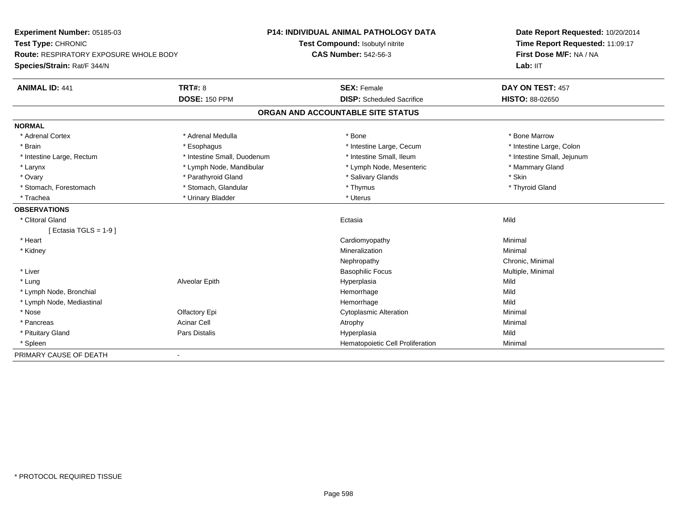| Experiment Number: 05185-03                   |                             | <b>P14: INDIVIDUAL ANIMAL PATHOLOGY DATA</b> | Date Report Requested: 10/20/2014 |  |
|-----------------------------------------------|-----------------------------|----------------------------------------------|-----------------------------------|--|
| Test Type: CHRONIC                            |                             | Test Compound: Isobutyl nitrite              | Time Report Requested: 11:09:17   |  |
| <b>Route: RESPIRATORY EXPOSURE WHOLE BODY</b> |                             | <b>CAS Number: 542-56-3</b>                  | First Dose M/F: NA / NA           |  |
| Species/Strain: Rat/F 344/N                   |                             |                                              | Lab: IIT                          |  |
| <b>ANIMAL ID: 441</b>                         | TRT#: 8                     | <b>SEX: Female</b>                           | DAY ON TEST: 457                  |  |
|                                               | <b>DOSE: 150 PPM</b>        | <b>DISP:</b> Scheduled Sacrifice             | HISTO: 88-02650                   |  |
|                                               |                             | ORGAN AND ACCOUNTABLE SITE STATUS            |                                   |  |
| <b>NORMAL</b>                                 |                             |                                              |                                   |  |
| * Adrenal Cortex                              | * Adrenal Medulla           | * Bone                                       | * Bone Marrow                     |  |
| * Brain                                       | * Esophagus                 | * Intestine Large, Cecum                     | * Intestine Large, Colon          |  |
| * Intestine Large, Rectum                     | * Intestine Small, Duodenum | * Intestine Small. Ileum                     | * Intestine Small, Jejunum        |  |
| * Larynx                                      | * Lymph Node, Mandibular    | * Lymph Node, Mesenteric                     | * Mammary Gland                   |  |
| * Ovary                                       | * Parathyroid Gland         | * Salivary Glands                            | * Skin                            |  |
| * Stomach, Forestomach                        | * Stomach, Glandular        | * Thymus                                     | * Thyroid Gland                   |  |
| * Trachea                                     | * Urinary Bladder           | * Uterus                                     |                                   |  |
| <b>OBSERVATIONS</b>                           |                             |                                              |                                   |  |
| * Clitoral Gland                              |                             | Ectasia                                      | Mild                              |  |
| [ Ectasia TGLS = $1-9$ ]                      |                             |                                              |                                   |  |
| * Heart                                       |                             | Cardiomyopathy                               | Minimal                           |  |
| * Kidney                                      |                             | Mineralization                               | Minimal                           |  |
|                                               |                             | Nephropathy                                  | Chronic, Minimal                  |  |
| * Liver                                       |                             | <b>Basophilic Focus</b>                      | Multiple, Minimal                 |  |
| * Lung                                        | Alveolar Epith              | Hyperplasia                                  | Mild                              |  |
| * Lymph Node, Bronchial                       |                             | Hemorrhage                                   | Mild                              |  |
| * Lymph Node, Mediastinal                     |                             | Hemorrhage                                   | Mild                              |  |
| * Nose                                        | Olfactory Epi               | <b>Cytoplasmic Alteration</b>                | Minimal                           |  |
| * Pancreas                                    | <b>Acinar Cell</b>          | Atrophy                                      | Minimal                           |  |
| * Pituitary Gland                             | <b>Pars Distalis</b>        | Hyperplasia                                  | Mild                              |  |
| * Spleen                                      |                             | Hematopoietic Cell Proliferation             | Minimal                           |  |
| PRIMARY CAUSE OF DEATH                        | $\blacksquare$              |                                              |                                   |  |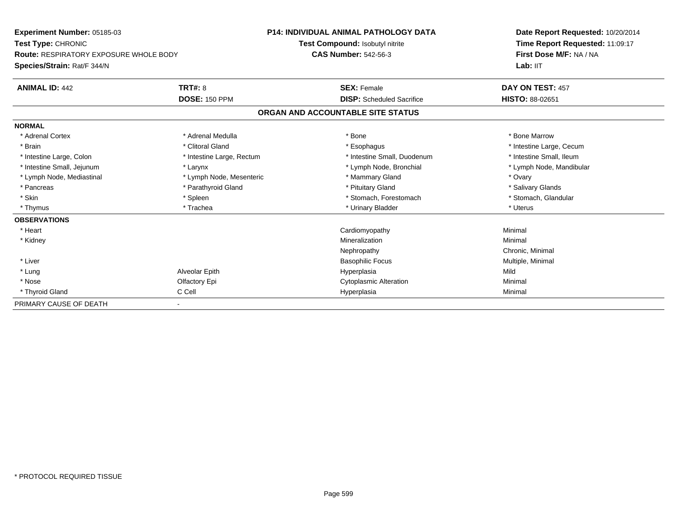| Experiment Number: 05185-03            |                           | <b>P14: INDIVIDUAL ANIMAL PATHOLOGY DATA</b> | Date Report Requested: 10/20/2014<br>Time Report Requested: 11:09:17<br>First Dose M/F: NA / NA |
|----------------------------------------|---------------------------|----------------------------------------------|-------------------------------------------------------------------------------------------------|
| Test Type: CHRONIC                     |                           | Test Compound: Isobutyl nitrite              |                                                                                                 |
| Route: RESPIRATORY EXPOSURE WHOLE BODY |                           | <b>CAS Number: 542-56-3</b>                  |                                                                                                 |
| Species/Strain: Rat/F 344/N            |                           |                                              | Lab: IIT                                                                                        |
| <b>ANIMAL ID: 442</b>                  | TRT#: 8                   | <b>SEX: Female</b>                           | DAY ON TEST: 457                                                                                |
|                                        | <b>DOSE: 150 PPM</b>      | <b>DISP:</b> Scheduled Sacrifice             | <b>HISTO: 88-02651</b>                                                                          |
|                                        |                           | ORGAN AND ACCOUNTABLE SITE STATUS            |                                                                                                 |
| <b>NORMAL</b>                          |                           |                                              |                                                                                                 |
| * Adrenal Cortex                       | * Adrenal Medulla         | * Bone                                       | * Bone Marrow                                                                                   |
| * Brain                                | * Clitoral Gland          | * Esophagus                                  | * Intestine Large, Cecum                                                                        |
| * Intestine Large, Colon               | * Intestine Large, Rectum | * Intestine Small, Duodenum                  | * Intestine Small, Ileum                                                                        |
| * Intestine Small, Jejunum             | * Larynx                  | * Lymph Node, Bronchial                      | * Lymph Node, Mandibular                                                                        |
| * Lymph Node, Mediastinal              | * Lymph Node, Mesenteric  | * Mammary Gland                              | * Ovary                                                                                         |
| * Pancreas                             | * Parathyroid Gland       | * Pituitary Gland                            | * Salivary Glands                                                                               |
| * Skin                                 | * Spleen                  | * Stomach, Forestomach                       | * Stomach, Glandular                                                                            |
| * Thymus                               | * Trachea                 | * Urinary Bladder                            | * Uterus                                                                                        |
| <b>OBSERVATIONS</b>                    |                           |                                              |                                                                                                 |
| * Heart                                |                           | Cardiomyopathy                               | Minimal                                                                                         |
| * Kidney                               |                           | Mineralization                               | Minimal                                                                                         |
|                                        |                           | Nephropathy                                  | Chronic, Minimal                                                                                |
| * Liver                                |                           | <b>Basophilic Focus</b>                      | Multiple, Minimal                                                                               |
| * Lung                                 | Alveolar Epith            | Hyperplasia                                  | Mild                                                                                            |
| * Nose                                 | Olfactory Epi             | <b>Cytoplasmic Alteration</b>                | Minimal                                                                                         |
| * Thyroid Gland                        | C Cell                    | Hyperplasia                                  | Minimal                                                                                         |
| PRIMARY CAUSE OF DEATH                 |                           |                                              |                                                                                                 |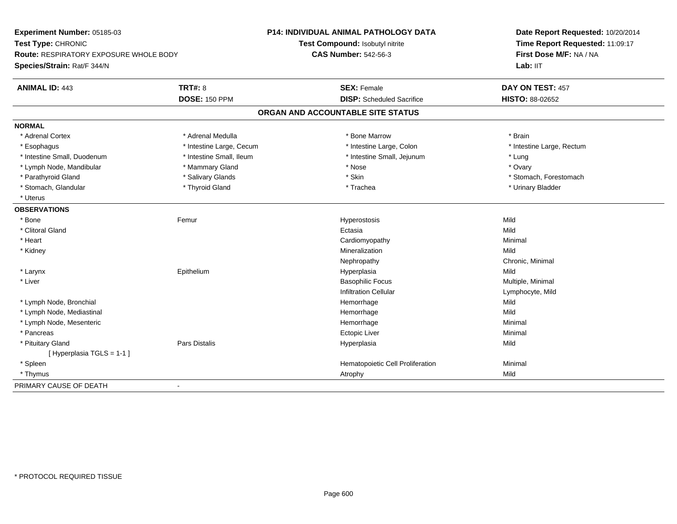| Experiment Number: 05185-03                                         |                          | <b>P14: INDIVIDUAL ANIMAL PATHOLOGY DATA</b> | Date Report Requested: 10/20/2014                          |
|---------------------------------------------------------------------|--------------------------|----------------------------------------------|------------------------------------------------------------|
| Test Type: CHRONIC<br><b>Route: RESPIRATORY EXPOSURE WHOLE BODY</b> |                          | Test Compound: Isobutyl nitrite              | Time Report Requested: 11:09:17<br>First Dose M/F: NA / NA |
|                                                                     |                          | <b>CAS Number: 542-56-3</b>                  |                                                            |
| Species/Strain: Rat/F 344/N                                         |                          |                                              | Lab: IIT                                                   |
| <b>ANIMAL ID: 443</b>                                               | <b>TRT#: 8</b>           | <b>SEX: Female</b>                           | DAY ON TEST: 457                                           |
|                                                                     | <b>DOSE: 150 PPM</b>     | <b>DISP:</b> Scheduled Sacrifice             | HISTO: 88-02652                                            |
|                                                                     |                          | ORGAN AND ACCOUNTABLE SITE STATUS            |                                                            |
| <b>NORMAL</b>                                                       |                          |                                              |                                                            |
| * Adrenal Cortex                                                    | * Adrenal Medulla        | * Bone Marrow                                | * Brain                                                    |
| * Esophagus                                                         | * Intestine Large, Cecum | * Intestine Large, Colon                     | * Intestine Large, Rectum                                  |
| * Intestine Small, Duodenum                                         | * Intestine Small, Ileum | * Intestine Small, Jejunum                   | * Lung                                                     |
| * Lymph Node, Mandibular                                            | * Mammary Gland          | * Nose                                       | * Ovary                                                    |
| * Parathyroid Gland                                                 | * Salivary Glands        | * Skin                                       | * Stomach, Forestomach                                     |
| * Stomach, Glandular                                                | * Thyroid Gland          | * Trachea                                    | * Urinary Bladder                                          |
| * Uterus                                                            |                          |                                              |                                                            |
| <b>OBSERVATIONS</b>                                                 |                          |                                              |                                                            |
| * Bone                                                              | Femur                    | Hyperostosis                                 | Mild                                                       |
| * Clitoral Gland                                                    |                          | Ectasia                                      | Mild                                                       |
| * Heart                                                             |                          | Cardiomyopathy                               | Minimal                                                    |
| * Kidney                                                            |                          | Mineralization                               | Mild                                                       |
|                                                                     |                          | Nephropathy                                  | Chronic, Minimal                                           |
| * Larynx                                                            | Epithelium               | Hyperplasia                                  | Mild                                                       |
| * Liver                                                             |                          | <b>Basophilic Focus</b>                      | Multiple, Minimal                                          |
|                                                                     |                          | <b>Infiltration Cellular</b>                 | Lymphocyte, Mild                                           |
| * Lymph Node, Bronchial                                             |                          | Hemorrhage                                   | Mild                                                       |
| * Lymph Node, Mediastinal                                           |                          | Hemorrhage                                   | Mild                                                       |
| * Lymph Node, Mesenteric                                            |                          | Hemorrhage                                   | Minimal                                                    |
| * Pancreas                                                          |                          | <b>Ectopic Liver</b>                         | Minimal                                                    |
| * Pituitary Gland                                                   | <b>Pars Distalis</b>     | Hyperplasia                                  | Mild                                                       |
| [Hyperplasia TGLS = 1-1]                                            |                          |                                              |                                                            |
| * Spleen                                                            |                          | Hematopoietic Cell Proliferation             | Minimal                                                    |
| * Thymus                                                            |                          | Atrophy                                      | Mild                                                       |
| PRIMARY CAUSE OF DEATH                                              | $\blacksquare$           |                                              |                                                            |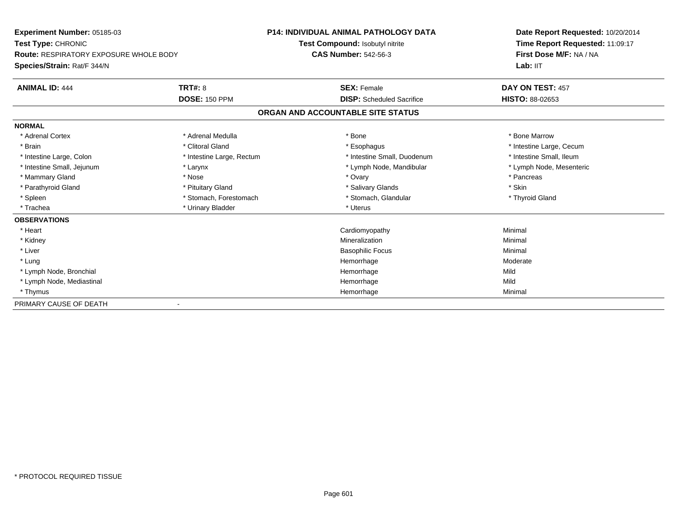| Experiment Number: 05185-03                   |                           | <b>P14: INDIVIDUAL ANIMAL PATHOLOGY DATA</b> | Date Report Requested: 10/20/2014 |
|-----------------------------------------------|---------------------------|----------------------------------------------|-----------------------------------|
| Test Type: CHRONIC                            |                           | Test Compound: Isobutyl nitrite              | Time Report Requested: 11:09:17   |
| <b>Route: RESPIRATORY EXPOSURE WHOLE BODY</b> |                           | <b>CAS Number: 542-56-3</b>                  | First Dose M/F: NA / NA           |
| Species/Strain: Rat/F 344/N                   |                           |                                              | Lab: IIT                          |
| <b>ANIMAL ID: 444</b>                         | <b>TRT#: 8</b>            | <b>SEX: Female</b>                           | DAY ON TEST: 457                  |
|                                               | <b>DOSE: 150 PPM</b>      | <b>DISP:</b> Scheduled Sacrifice             | <b>HISTO: 88-02653</b>            |
|                                               |                           | ORGAN AND ACCOUNTABLE SITE STATUS            |                                   |
| <b>NORMAL</b>                                 |                           |                                              |                                   |
| * Adrenal Cortex                              | * Adrenal Medulla         | * Bone                                       | * Bone Marrow                     |
| * Brain                                       | * Clitoral Gland          | * Esophagus                                  | * Intestine Large, Cecum          |
| * Intestine Large, Colon                      | * Intestine Large, Rectum | * Intestine Small, Duodenum                  | * Intestine Small, Ileum          |
| * Intestine Small, Jejunum                    | * Larynx                  | * Lymph Node, Mandibular                     | * Lymph Node, Mesenteric          |
| * Mammary Gland                               | * Nose                    | * Ovary                                      | * Pancreas                        |
| * Parathyroid Gland                           | * Pituitary Gland         | * Salivary Glands                            | * Skin                            |
| * Spleen                                      | * Stomach, Forestomach    | * Stomach, Glandular                         | * Thyroid Gland                   |
| * Trachea                                     | * Urinary Bladder         | * Uterus                                     |                                   |
| <b>OBSERVATIONS</b>                           |                           |                                              |                                   |
| * Heart                                       |                           | Cardiomyopathy                               | Minimal                           |
| * Kidney                                      |                           | Mineralization                               | Minimal                           |
| * Liver                                       |                           | <b>Basophilic Focus</b>                      | Minimal                           |
| * Lung                                        |                           | Hemorrhage                                   | Moderate                          |
| * Lymph Node, Bronchial                       |                           | Hemorrhage                                   | Mild                              |
| * Lymph Node, Mediastinal                     |                           | Hemorrhage                                   | Mild                              |
| * Thymus                                      |                           | Hemorrhage                                   | Minimal                           |
| PRIMARY CAUSE OF DEATH                        |                           |                                              |                                   |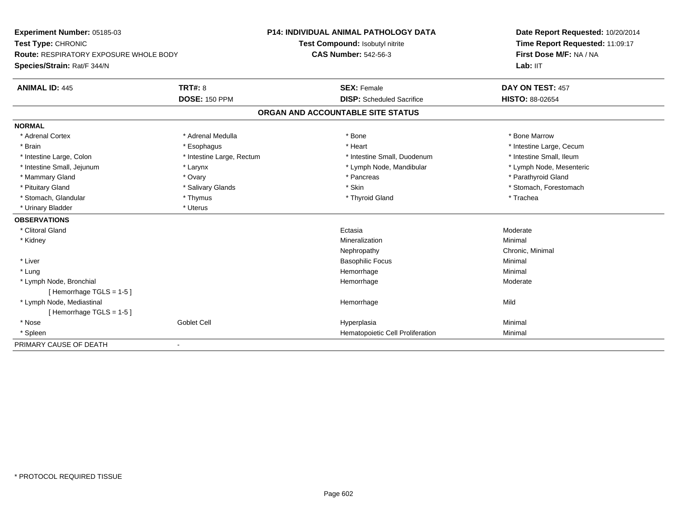| <b>Experiment Number: 05185-03</b><br>Test Type: CHRONIC<br>Route: RESPIRATORY EXPOSURE WHOLE BODY<br>Species/Strain: Rat/F 344/N |                           | <b>P14: INDIVIDUAL ANIMAL PATHOLOGY DATA</b> | Date Report Requested: 10/20/2014<br>Time Report Requested: 11:09:17<br>First Dose M/F: NA / NA |
|-----------------------------------------------------------------------------------------------------------------------------------|---------------------------|----------------------------------------------|-------------------------------------------------------------------------------------------------|
|                                                                                                                                   |                           | Test Compound: Isobutyl nitrite              |                                                                                                 |
|                                                                                                                                   |                           | <b>CAS Number: 542-56-3</b>                  |                                                                                                 |
|                                                                                                                                   |                           |                                              | Lab: IIT                                                                                        |
| <b>ANIMAL ID: 445</b>                                                                                                             | TRT#: 8                   | <b>SEX: Female</b>                           | DAY ON TEST: 457                                                                                |
|                                                                                                                                   | <b>DOSE: 150 PPM</b>      | <b>DISP:</b> Scheduled Sacrifice             | HISTO: 88-02654                                                                                 |
|                                                                                                                                   |                           | ORGAN AND ACCOUNTABLE SITE STATUS            |                                                                                                 |
| <b>NORMAL</b>                                                                                                                     |                           |                                              |                                                                                                 |
| * Adrenal Cortex                                                                                                                  | * Adrenal Medulla         | * Bone                                       | * Bone Marrow                                                                                   |
| * Brain                                                                                                                           | * Esophagus               | * Heart                                      | * Intestine Large, Cecum                                                                        |
| * Intestine Large, Colon                                                                                                          | * Intestine Large, Rectum | * Intestine Small, Duodenum                  | * Intestine Small, Ileum                                                                        |
| * Intestine Small, Jejunum                                                                                                        | * Larynx                  | * Lymph Node, Mandibular                     | * Lymph Node, Mesenteric                                                                        |
| * Mammary Gland                                                                                                                   | * Ovary                   | * Pancreas                                   | * Parathyroid Gland                                                                             |
| * Pituitary Gland                                                                                                                 | * Salivary Glands         | * Skin                                       | * Stomach, Forestomach                                                                          |
| * Stomach, Glandular                                                                                                              | * Thymus                  | * Thyroid Gland                              | * Trachea                                                                                       |
| * Urinary Bladder                                                                                                                 | * Uterus                  |                                              |                                                                                                 |
| <b>OBSERVATIONS</b>                                                                                                               |                           |                                              |                                                                                                 |
| * Clitoral Gland                                                                                                                  |                           | Ectasia                                      | Moderate                                                                                        |
| * Kidney                                                                                                                          |                           | Mineralization                               | Minimal                                                                                         |
|                                                                                                                                   |                           | Nephropathy                                  | Chronic, Minimal                                                                                |
| * Liver                                                                                                                           |                           | <b>Basophilic Focus</b>                      | Minimal                                                                                         |
| * Lung                                                                                                                            |                           | Hemorrhage                                   | Minimal                                                                                         |
| * Lymph Node, Bronchial                                                                                                           |                           | Hemorrhage                                   | Moderate                                                                                        |
| [Hemorrhage TGLS = 1-5]                                                                                                           |                           |                                              |                                                                                                 |
| * Lymph Node, Mediastinal                                                                                                         |                           | Hemorrhage                                   | Mild                                                                                            |
| [Hemorrhage TGLS = 1-5]                                                                                                           |                           |                                              |                                                                                                 |
| * Nose                                                                                                                            | <b>Goblet Cell</b>        | Hyperplasia                                  | Minimal                                                                                         |
| * Spleen                                                                                                                          |                           | Hematopoietic Cell Proliferation             | Minimal                                                                                         |
| PRIMARY CAUSE OF DEATH                                                                                                            | $\blacksquare$            |                                              |                                                                                                 |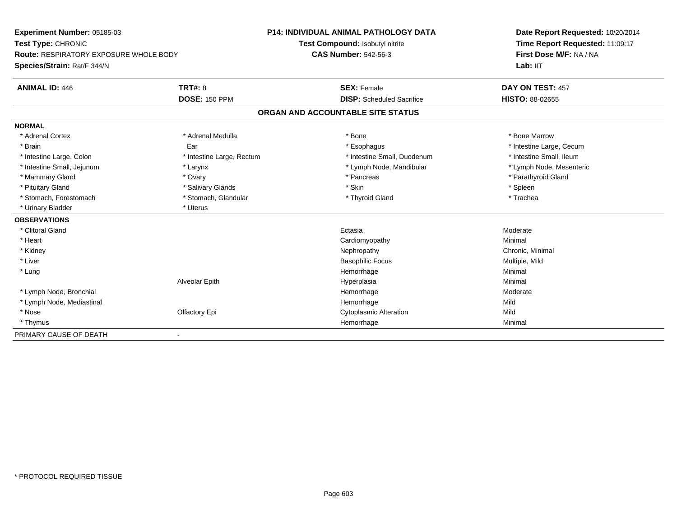| <b>Experiment Number: 05185-03</b><br>Test Type: CHRONIC<br>Route: RESPIRATORY EXPOSURE WHOLE BODY |                           | <b>P14: INDIVIDUAL ANIMAL PATHOLOGY DATA</b> | Date Report Requested: 10/20/2014<br>Time Report Requested: 11:09:17<br>First Dose M/F: NA / NA |  |
|----------------------------------------------------------------------------------------------------|---------------------------|----------------------------------------------|-------------------------------------------------------------------------------------------------|--|
|                                                                                                    |                           | Test Compound: Isobutyl nitrite              |                                                                                                 |  |
|                                                                                                    |                           | <b>CAS Number: 542-56-3</b>                  |                                                                                                 |  |
| Species/Strain: Rat/F 344/N                                                                        |                           |                                              | Lab: IIT                                                                                        |  |
| <b>ANIMAL ID: 446</b>                                                                              | TRT#: 8                   | <b>SEX: Female</b>                           | DAY ON TEST: 457                                                                                |  |
|                                                                                                    | <b>DOSE: 150 PPM</b>      | <b>DISP:</b> Scheduled Sacrifice             | <b>HISTO: 88-02655</b>                                                                          |  |
|                                                                                                    |                           | ORGAN AND ACCOUNTABLE SITE STATUS            |                                                                                                 |  |
| <b>NORMAL</b>                                                                                      |                           |                                              |                                                                                                 |  |
| * Adrenal Cortex                                                                                   | * Adrenal Medulla         | * Bone                                       | * Bone Marrow                                                                                   |  |
| * Brain                                                                                            | Ear                       | * Esophagus                                  | * Intestine Large, Cecum                                                                        |  |
| * Intestine Large, Colon                                                                           | * Intestine Large, Rectum | * Intestine Small, Duodenum                  | * Intestine Small, Ileum                                                                        |  |
| * Intestine Small, Jejunum                                                                         | * Larynx                  | * Lymph Node, Mandibular                     | * Lymph Node, Mesenteric                                                                        |  |
| * Mammary Gland                                                                                    | * Ovary                   | * Pancreas                                   | * Parathyroid Gland                                                                             |  |
| * Pituitary Gland                                                                                  | * Salivary Glands         | * Skin                                       | * Spleen                                                                                        |  |
| * Stomach, Forestomach                                                                             | * Stomach, Glandular      | * Thyroid Gland                              | * Trachea                                                                                       |  |
| * Urinary Bladder                                                                                  | * Uterus                  |                                              |                                                                                                 |  |
| <b>OBSERVATIONS</b>                                                                                |                           |                                              |                                                                                                 |  |
| * Clitoral Gland                                                                                   |                           | Ectasia                                      | Moderate                                                                                        |  |
| * Heart                                                                                            |                           | Cardiomyopathy                               | Minimal                                                                                         |  |
| * Kidney                                                                                           |                           | Nephropathy                                  | Chronic, Minimal                                                                                |  |
| * Liver                                                                                            |                           | <b>Basophilic Focus</b>                      | Multiple, Mild                                                                                  |  |
| * Lung                                                                                             |                           | Hemorrhage                                   | Minimal                                                                                         |  |
|                                                                                                    | Alveolar Epith            | Hyperplasia                                  | Minimal                                                                                         |  |
| * Lymph Node, Bronchial                                                                            |                           | Hemorrhage                                   | Moderate                                                                                        |  |
| * Lymph Node, Mediastinal                                                                          |                           | Hemorrhage                                   | Mild                                                                                            |  |
| * Nose                                                                                             | Olfactory Epi             | <b>Cytoplasmic Alteration</b>                | Mild                                                                                            |  |
| * Thymus                                                                                           |                           | Hemorrhage                                   | Minimal                                                                                         |  |
| PRIMARY CAUSE OF DEATH                                                                             | $\blacksquare$            |                                              |                                                                                                 |  |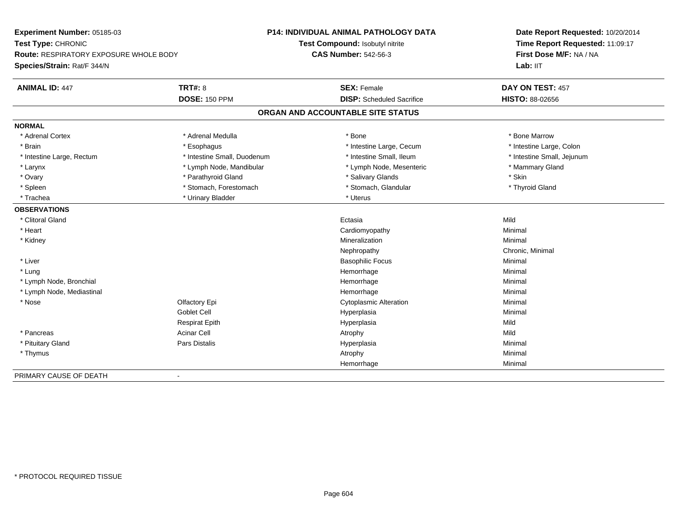| Experiment Number: 05185-03            | <b>P14: INDIVIDUAL ANIMAL PATHOLOGY DATA</b> |                                   | Date Report Requested: 10/20/2014                                      |
|----------------------------------------|----------------------------------------------|-----------------------------------|------------------------------------------------------------------------|
| Test Type: CHRONIC                     |                                              | Test Compound: Isobutyl nitrite   | Time Report Requested: 11:09:17<br>First Dose M/F: NA / NA<br>Lab: IIT |
| Route: RESPIRATORY EXPOSURE WHOLE BODY |                                              | <b>CAS Number: 542-56-3</b>       |                                                                        |
| Species/Strain: Rat/F 344/N            |                                              |                                   |                                                                        |
| <b>ANIMAL ID: 447</b>                  | <b>TRT#: 8</b>                               | <b>SEX: Female</b>                | DAY ON TEST: 457                                                       |
|                                        | <b>DOSE: 150 PPM</b>                         | <b>DISP:</b> Scheduled Sacrifice  | <b>HISTO: 88-02656</b>                                                 |
|                                        |                                              | ORGAN AND ACCOUNTABLE SITE STATUS |                                                                        |
| <b>NORMAL</b>                          |                                              |                                   |                                                                        |
| * Adrenal Cortex                       | * Adrenal Medulla                            | * Bone                            | * Bone Marrow                                                          |
| * Brain                                | * Esophagus                                  | * Intestine Large, Cecum          | * Intestine Large, Colon                                               |
| * Intestine Large, Rectum              | * Intestine Small, Duodenum                  | * Intestine Small, Ileum          | * Intestine Small, Jejunum                                             |
| * Larynx                               | * Lymph Node, Mandibular                     | * Lymph Node, Mesenteric          | * Mammary Gland                                                        |
| * Ovary                                | * Parathyroid Gland                          | * Salivary Glands                 | * Skin                                                                 |
| * Spleen                               | * Stomach, Forestomach                       | * Stomach, Glandular              | * Thyroid Gland                                                        |
| * Trachea                              | * Urinary Bladder                            | * Uterus                          |                                                                        |
| <b>OBSERVATIONS</b>                    |                                              |                                   |                                                                        |
| * Clitoral Gland                       |                                              | Ectasia                           | Mild                                                                   |
| * Heart                                |                                              | Cardiomyopathy                    | Minimal                                                                |
| * Kidney                               |                                              | Mineralization                    | Minimal                                                                |
|                                        |                                              | Nephropathy                       | Chronic, Minimal                                                       |
| * Liver                                |                                              | <b>Basophilic Focus</b>           | Minimal                                                                |
| * Lung                                 |                                              | Hemorrhage                        | Minimal                                                                |
| * Lymph Node, Bronchial                |                                              | Hemorrhage                        | Minimal                                                                |
| * Lymph Node, Mediastinal              |                                              | Hemorrhage                        | Minimal                                                                |
| * Nose                                 | Olfactory Epi                                | <b>Cytoplasmic Alteration</b>     | Minimal                                                                |
|                                        | Goblet Cell                                  | Hyperplasia                       | Minimal                                                                |
|                                        | <b>Respirat Epith</b>                        | Hyperplasia                       | Mild                                                                   |
| * Pancreas                             | <b>Acinar Cell</b>                           | Atrophy                           | Mild                                                                   |
| * Pituitary Gland                      | <b>Pars Distalis</b>                         | Hyperplasia                       | Minimal                                                                |
| * Thymus                               |                                              | Atrophy                           | Minimal                                                                |
|                                        |                                              | Hemorrhage                        | Minimal                                                                |
| PRIMARY CAUSE OF DEATH                 | $\blacksquare$                               |                                   |                                                                        |